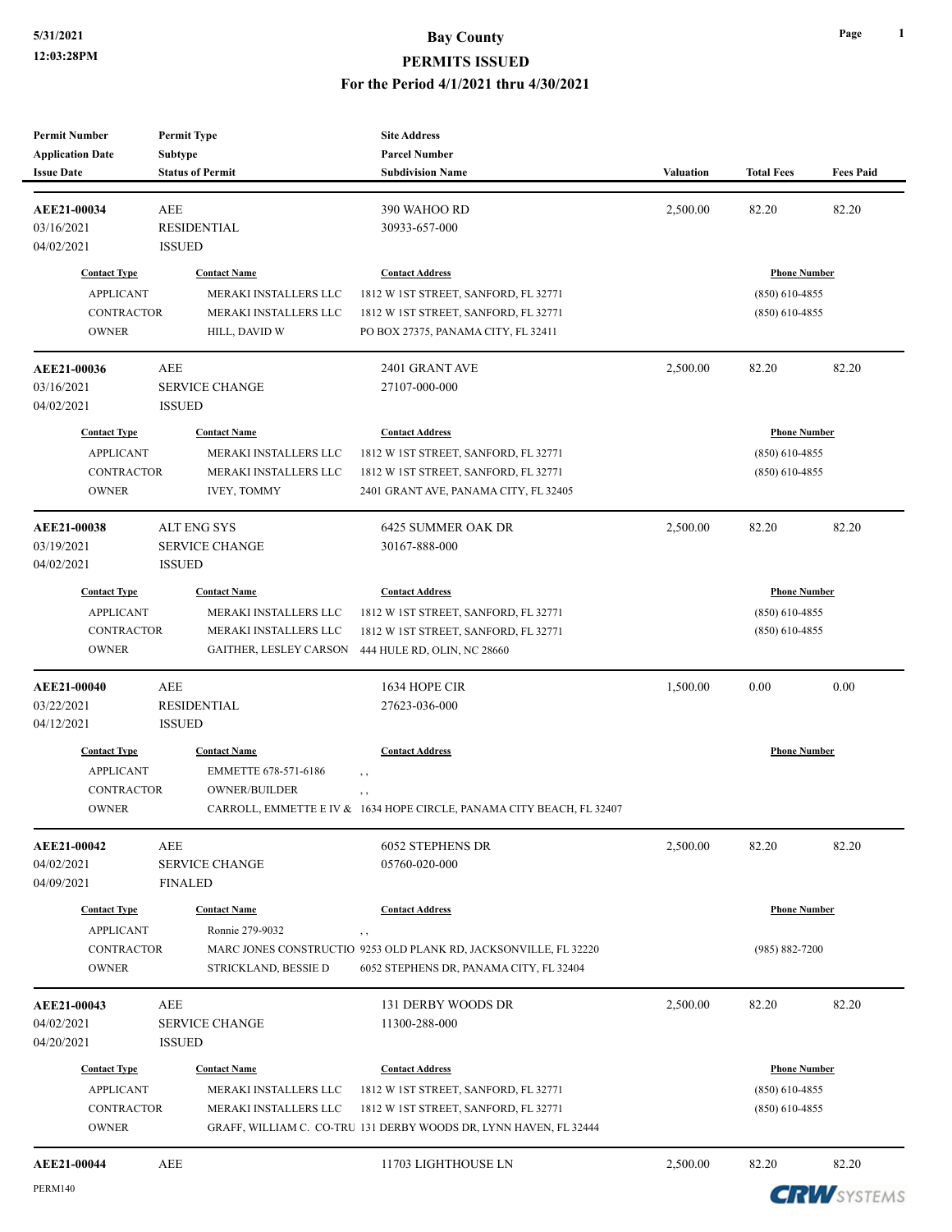| <b>Permit Number</b><br><b>Application Date</b>                              | <b>Permit Type</b><br>Subtype                                                                   | <b>Site Address</b><br><b>Parcel Number</b>                                                                                                                                 |           |                                                             |                  |
|------------------------------------------------------------------------------|-------------------------------------------------------------------------------------------------|-----------------------------------------------------------------------------------------------------------------------------------------------------------------------------|-----------|-------------------------------------------------------------|------------------|
| <b>Issue Date</b>                                                            | <b>Status of Permit</b>                                                                         | <b>Subdivision Name</b>                                                                                                                                                     | Valuation | <b>Total Fees</b>                                           | <b>Fees Paid</b> |
| AEE21-00034<br>03/16/2021<br>04/02/2021                                      | AEE<br><b>RESIDENTIAL</b><br><b>ISSUED</b>                                                      | 390 WAHOO RD<br>30933-657-000                                                                                                                                               | 2,500.00  | 82.20                                                       | 82.20            |
| <b>Contact Type</b><br><b>APPLICANT</b><br><b>CONTRACTOR</b><br><b>OWNER</b> | <b>Contact Name</b><br>MERAKI INSTALLERS LLC<br>MERAKI INSTALLERS LLC<br>HILL, DAVID W          | <b>Contact Address</b><br>1812 W 1ST STREET, SANFORD, FL 32771<br>1812 W 1ST STREET, SANFORD, FL 32771<br>PO BOX 27375, PANAMA CITY, FL 32411                               |           | <b>Phone Number</b><br>$(850)$ 610-4855<br>$(850)$ 610-4855 |                  |
| AEE21-00036<br>03/16/2021<br>04/02/2021                                      | AEE<br><b>SERVICE CHANGE</b><br><b>ISSUED</b>                                                   | 2401 GRANT AVE<br>27107-000-000                                                                                                                                             | 2,500.00  | 82.20                                                       | 82.20            |
| <b>Contact Type</b><br><b>APPLICANT</b><br><b>CONTRACTOR</b><br><b>OWNER</b> | <b>Contact Name</b><br>MERAKI INSTALLERS LLC<br>MERAKI INSTALLERS LLC<br><b>IVEY, TOMMY</b>     | <b>Contact Address</b><br>1812 W 1ST STREET, SANFORD, FL 32771<br>1812 W 1ST STREET, SANFORD, FL 32771<br>2401 GRANT AVE, PANAMA CITY, FL 32405                             |           | <b>Phone Number</b><br>$(850)$ 610-4855<br>$(850)$ 610-4855 |                  |
| AEE21-00038<br>03/19/2021<br>04/02/2021                                      | ALT ENG SYS<br><b>SERVICE CHANGE</b><br><b>ISSUED</b>                                           | <b>6425 SUMMER OAK DR</b><br>30167-888-000                                                                                                                                  | 2,500.00  | 82.20                                                       | 82.20            |
| <b>Contact Type</b><br><b>APPLICANT</b><br><b>CONTRACTOR</b><br><b>OWNER</b> | <b>Contact Name</b><br>MERAKI INSTALLERS LLC<br>MERAKI INSTALLERS LLC<br>GAITHER, LESLEY CARSON | <b>Contact Address</b><br>1812 W 1ST STREET, SANFORD, FL 32771<br>1812 W 1ST STREET, SANFORD, FL 32771<br>444 HULE RD, OLIN, NC 28660                                       |           | <b>Phone Number</b><br>$(850)$ 610-4855<br>$(850)$ 610-4855 |                  |
| AEE21-00040<br>03/22/2021<br>04/12/2021                                      | <b>AEE</b><br><b>RESIDENTIAL</b><br><b>ISSUED</b>                                               | 1634 HOPE CIR<br>27623-036-000                                                                                                                                              | 1,500.00  | 0.00                                                        | 0.00             |
| <b>Contact Type</b><br><b>APPLICANT</b><br><b>CONTRACTOR</b><br><b>OWNER</b> | <b>Contact Name</b><br>EMMETTE 678-571-6186<br>OWNER/BUILDER                                    | <b>Contact Address</b><br>$, \, , \,$<br>, ,<br>CARROLL, EMMETTE E IV & 1634 HOPE CIRCLE, PANAMA CITY BEACH, FL 32407                                                       |           | <b>Phone Number</b>                                         |                  |
| AEE21-00042<br>04/02/2021<br>04/09/2021                                      | AEE<br><b>SERVICE CHANGE</b><br><b>FINALED</b>                                                  | 6052 STEPHENS DR<br>05760-020-000                                                                                                                                           | 2,500.00  | 82.20                                                       | 82.20            |
| <b>Contact Type</b><br><b>APPLICANT</b><br><b>CONTRACTOR</b><br><b>OWNER</b> | <b>Contact Name</b><br>Ronnie 279-9032<br>STRICKLAND, BESSIE D                                  | <b>Contact Address</b><br>, ,<br>MARC JONES CONSTRUCTIO 9253 OLD PLANK RD, JACKSONVILLE, FL 32220<br>6052 STEPHENS DR, PANAMA CITY, FL 32404                                |           | <b>Phone Number</b><br>$(985) 882 - 7200$                   |                  |
| AEE21-00043<br>04/02/2021<br>04/20/2021                                      | AEE<br>SERVICE CHANGE<br><b>ISSUED</b>                                                          | 131 DERBY WOODS DR<br>11300-288-000                                                                                                                                         | 2,500.00  | 82.20                                                       | 82.20            |
| <b>Contact Type</b><br><b>APPLICANT</b><br><b>CONTRACTOR</b><br><b>OWNER</b> | <b>Contact Name</b><br>MERAKI INSTALLERS LLC<br>MERAKI INSTALLERS LLC                           | <b>Contact Address</b><br>1812 W 1ST STREET, SANFORD, FL 32771<br>1812 W 1ST STREET, SANFORD, FL 32771<br>GRAFF, WILLIAM C. CO-TRU 131 DERBY WOODS DR, LYNN HAVEN, FL 32444 |           | <b>Phone Number</b><br>$(850)$ 610-4855<br>$(850)$ 610-4855 |                  |
| AEE21-00044                                                                  | AEE                                                                                             | 11703 LIGHTHOUSE LN                                                                                                                                                         | 2,500.00  | 82.20                                                       | 82.20            |

**CRW**SYSTEMS

**Page 1**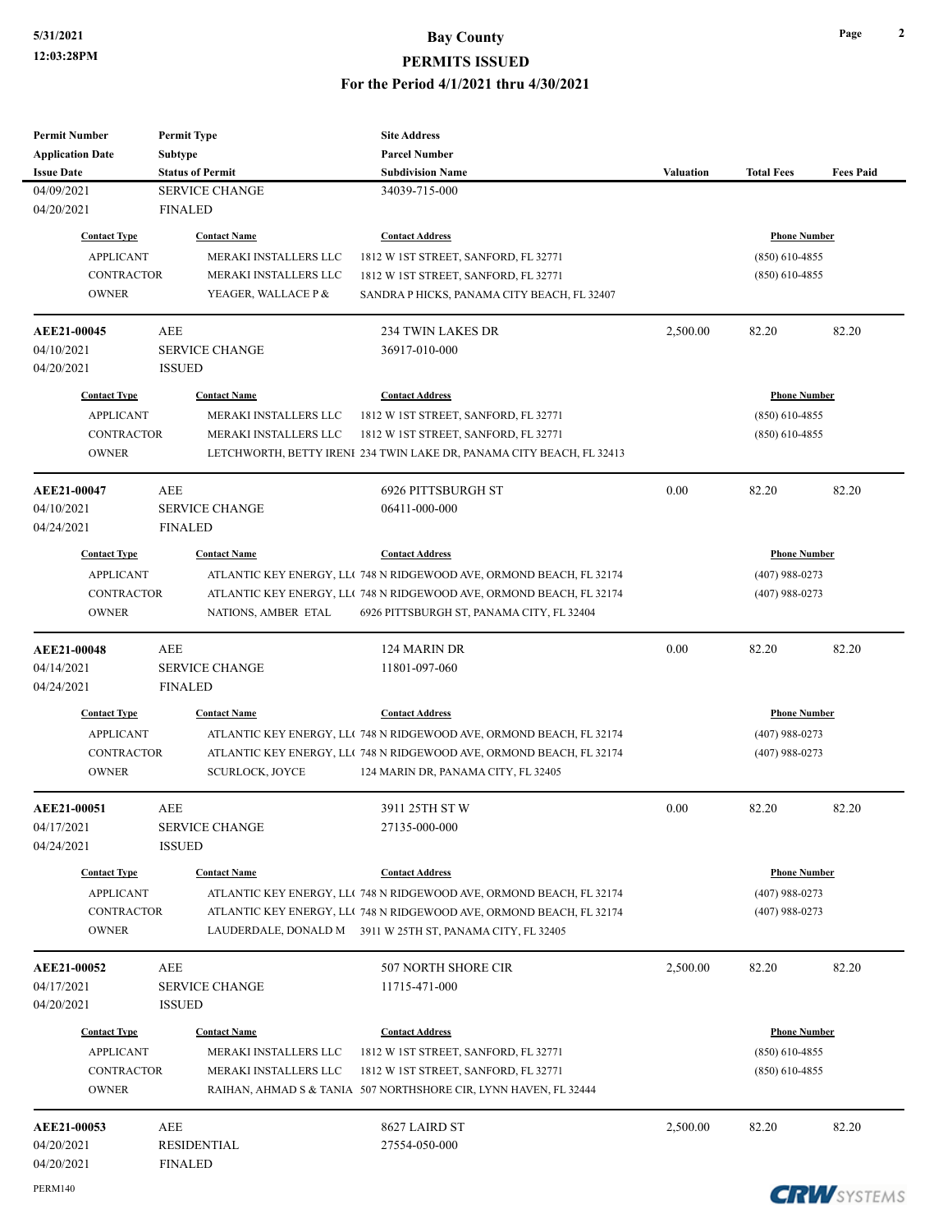## **5/31/2021 Bay County PERMITS ISSUED**

#### **For the Period 4/1/2021 thru 4/30/2021**

| <b>Permit Number</b>    | <b>Permit Type</b>      | <b>Site Address</b>                                                   |           |                     |                  |
|-------------------------|-------------------------|-----------------------------------------------------------------------|-----------|---------------------|------------------|
| <b>Application Date</b> | Subtype                 | <b>Parcel Number</b>                                                  |           |                     |                  |
| <b>Issue Date</b>       | <b>Status of Permit</b> | <b>Subdivision Name</b>                                               | Valuation | <b>Total Fees</b>   | <b>Fees Paid</b> |
| 04/09/2021              | <b>SERVICE CHANGE</b>   | 34039-715-000                                                         |           |                     |                  |
| 04/20/2021              | <b>FINALED</b>          |                                                                       |           |                     |                  |
| <b>Contact Type</b>     | <b>Contact Name</b>     | <b>Contact Address</b>                                                |           | <b>Phone Number</b> |                  |
| <b>APPLICANT</b>        | MERAKI INSTALLERS LLC   | 1812 W 1ST STREET, SANFORD, FL 32771                                  |           | $(850)$ 610-4855    |                  |
| <b>CONTRACTOR</b>       | MERAKI INSTALLERS LLC   | 1812 W 1ST STREET, SANFORD, FL 32771                                  |           | $(850)$ 610-4855    |                  |
| <b>OWNER</b>            | YEAGER, WALLACE P &     | SANDRA P HICKS, PANAMA CITY BEACH, FL 32407                           |           |                     |                  |
| <b>AEE21-00045</b>      | AEE                     | 234 TWIN LAKES DR                                                     | 2,500.00  | 82.20               | 82.20            |
| 04/10/2021              | <b>SERVICE CHANGE</b>   | 36917-010-000                                                         |           |                     |                  |
| 04/20/2021              | <b>ISSUED</b>           |                                                                       |           |                     |                  |
| <b>Contact Type</b>     | <b>Contact Name</b>     | <b>Contact Address</b>                                                |           | <b>Phone Number</b> |                  |
| <b>APPLICANT</b>        | MERAKI INSTALLERS LLC   | 1812 W 1ST STREET, SANFORD, FL 32771                                  |           | $(850)$ 610-4855    |                  |
| <b>CONTRACTOR</b>       | MERAKI INSTALLERS LLC   | 1812 W 1ST STREET, SANFORD, FL 32771                                  |           | $(850)$ 610-4855    |                  |
| <b>OWNER</b>            |                         | LETCHWORTH, BETTY IRENI 234 TWIN LAKE DR, PANAMA CITY BEACH, FL 32413 |           |                     |                  |
| AEE21-00047             | AEE                     | 6926 PITTSBURGH ST                                                    | 0.00      | 82.20               | 82.20            |
| 04/10/2021              | <b>SERVICE CHANGE</b>   | 06411-000-000                                                         |           |                     |                  |
| 04/24/2021              | <b>FINALED</b>          |                                                                       |           |                     |                  |
| <b>Contact Type</b>     | <b>Contact Name</b>     | <b>Contact Address</b>                                                |           | <b>Phone Number</b> |                  |
| <b>APPLICANT</b>        |                         | ATLANTIC KEY ENERGY, LLC 748 N RIDGEWOOD AVE, ORMOND BEACH, FL 32174  |           | $(407)$ 988-0273    |                  |
| <b>CONTRACTOR</b>       |                         | ATLANTIC KEY ENERGY, LLC 748 N RIDGEWOOD AVE, ORMOND BEACH, FL 32174  |           | $(407)$ 988-0273    |                  |
| <b>OWNER</b>            | NATIONS, AMBER ETAL     | 6926 PITTSBURGH ST, PANAMA CITY, FL 32404                             |           |                     |                  |
|                         |                         |                                                                       |           |                     |                  |
| <b>AEE21-00048</b>      | AEE                     | 124 MARIN DR                                                          | 0.00      | 82.20               | 82.20            |
| 04/14/2021              | <b>SERVICE CHANGE</b>   | 11801-097-060                                                         |           |                     |                  |
| 04/24/2021              | <b>FINALED</b>          |                                                                       |           |                     |                  |
| <b>Contact Type</b>     | <b>Contact Name</b>     | <b>Contact Address</b>                                                |           | <b>Phone Number</b> |                  |
| <b>APPLICANT</b>        |                         | ATLANTIC KEY ENERGY, LLC 748 N RIDGEWOOD AVE, ORMOND BEACH, FL 32174  |           | $(407)$ 988-0273    |                  |
| <b>CONTRACTOR</b>       |                         | ATLANTIC KEY ENERGY, LLC 748 N RIDGEWOOD AVE, ORMOND BEACH, FL 32174  |           | $(407)$ 988-0273    |                  |
| <b>OWNER</b>            | <b>SCURLOCK, JOYCE</b>  | 124 MARIN DR, PANAMA CITY, FL 32405                                   |           |                     |                  |
| <b>AEE21-00051</b>      | AEE                     | 3911 25TH ST W                                                        | 0.00      | 82.20               | 82.20            |
| 04/17/2021              | <b>SERVICE CHANGE</b>   | 27135-000-000                                                         |           |                     |                  |
| 04/24/2021              | <b>ISSUED</b>           |                                                                       |           |                     |                  |
| <b>Contact Type</b>     | <b>Contact Name</b>     | <b>Contact Address</b>                                                |           | <b>Phone Number</b> |                  |
| <b>APPLICANT</b>        |                         | ATLANTIC KEY ENERGY, LLC 748 N RIDGEWOOD AVE, ORMOND BEACH, FL 32174  |           | $(407)$ 988-0273    |                  |
| <b>CONTRACTOR</b>       |                         | ATLANTIC KEY ENERGY, LLC 748 N RIDGEWOOD AVE, ORMOND BEACH, FL 32174  |           | $(407)$ 988-0273    |                  |
| <b>OWNER</b>            |                         | LAUDERDALE, DONALD M 3911 W 25TH ST, PANAMA CITY, FL 32405            |           |                     |                  |
| AEE21-00052             | AEE                     | 507 NORTH SHORE CIR                                                   | 2,500.00  | 82.20               | 82.20            |
| 04/17/2021              | <b>SERVICE CHANGE</b>   | 11715-471-000                                                         |           |                     |                  |
| 04/20/2021              | <b>ISSUED</b>           |                                                                       |           |                     |                  |
| <b>Contact Type</b>     | <b>Contact Name</b>     | <b>Contact Address</b>                                                |           | <b>Phone Number</b> |                  |
| <b>APPLICANT</b>        | MERAKI INSTALLERS LLC   | 1812 W 1ST STREET, SANFORD, FL 32771                                  |           | $(850)$ 610-4855    |                  |
| <b>CONTRACTOR</b>       | MERAKI INSTALLERS LLC   | 1812 W 1ST STREET, SANFORD, FL 32771                                  |           | $(850)$ 610-4855    |                  |
| <b>OWNER</b>            |                         | RAIHAN, AHMAD S & TANIA 507 NORTHSHORE CIR, LYNN HAVEN, FL 32444      |           |                     |                  |
| <b>AEE21-00053</b>      | AEE                     | 8627 LAIRD ST                                                         | 2,500.00  | 82.20               | 82.20            |
| 04/20/2021              | RESIDENTIAL             | 27554-050-000                                                         |           |                     |                  |
| 04/20/2021              | <b>FINALED</b>          |                                                                       |           |                     |                  |

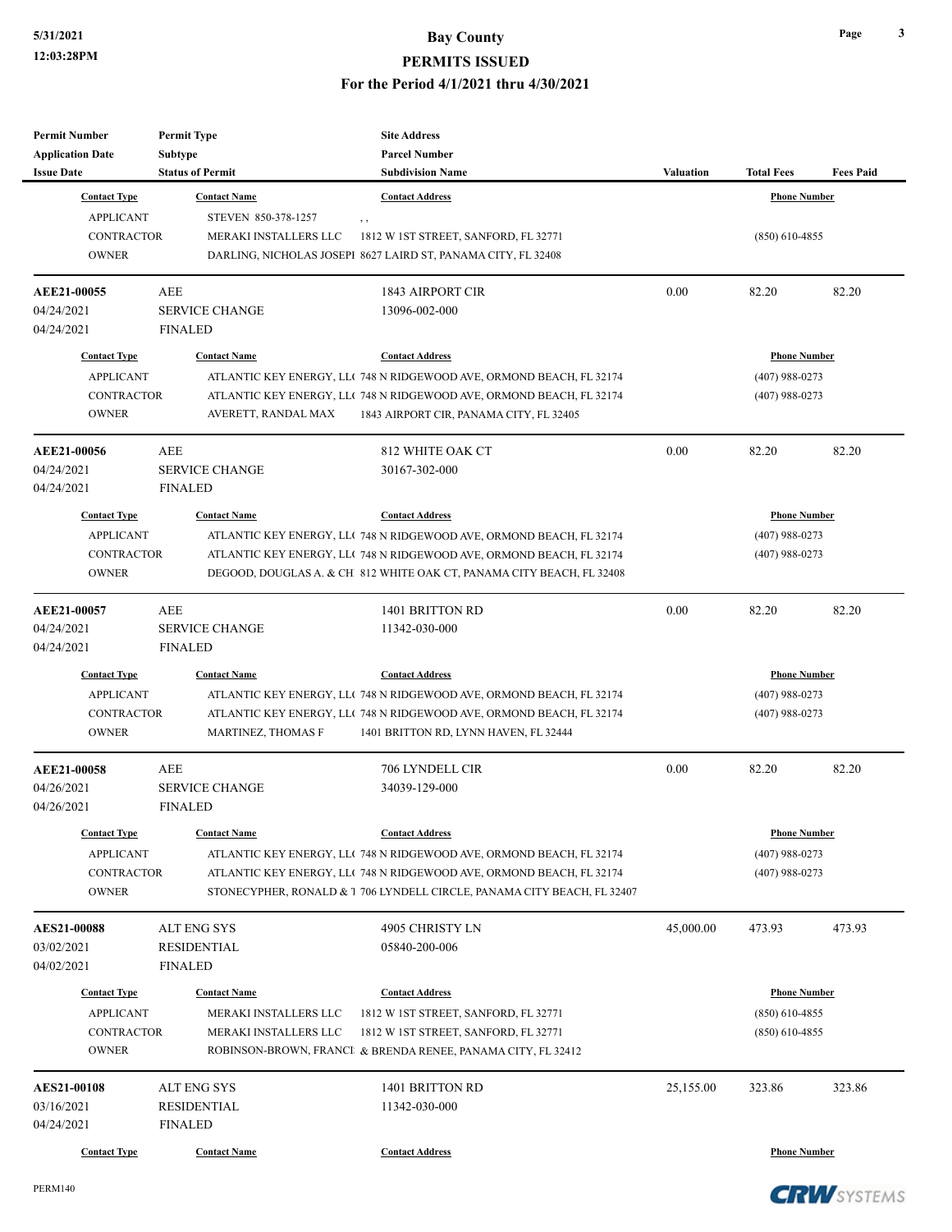| <b>Permit Number</b><br><b>Application Date</b> | <b>Permit Type</b><br>Subtype | <b>Site Address</b><br><b>Parcel Number</b>                             |                  |                     |                  |
|-------------------------------------------------|-------------------------------|-------------------------------------------------------------------------|------------------|---------------------|------------------|
| <b>Issue Date</b>                               | <b>Status of Permit</b>       | <b>Subdivision Name</b>                                                 | <b>Valuation</b> | <b>Total Fees</b>   | <b>Fees Paid</b> |
| <b>Contact Type</b>                             | <b>Contact Name</b>           | <b>Contact Address</b>                                                  |                  | <b>Phone Number</b> |                  |
| <b>APPLICANT</b>                                | STEVEN 850-378-1257           | , ,                                                                     |                  |                     |                  |
| <b>CONTRACTOR</b>                               | MERAKI INSTALLERS LLC         | 1812 W 1ST STREET, SANFORD, FL 32771                                    |                  | $(850)$ 610-4855    |                  |
| <b>OWNER</b>                                    |                               | DARLING, NICHOLAS JOSEPI 8627 LAIRD ST, PANAMA CITY, FL 32408           |                  |                     |                  |
| AEE21-00055                                     | AEE                           | <b>1843 AIRPORT CIR</b>                                                 | 0.00             | 82.20               | 82.20            |
| 04/24/2021                                      | <b>SERVICE CHANGE</b>         | 13096-002-000                                                           |                  |                     |                  |
| 04/24/2021                                      | <b>FINALED</b>                |                                                                         |                  |                     |                  |
| <b>Contact Type</b>                             | <b>Contact Name</b>           | <b>Contact Address</b>                                                  |                  | <b>Phone Number</b> |                  |
| <b>APPLICANT</b>                                |                               | ATLANTIC KEY ENERGY, LLC 748 N RIDGEWOOD AVE, ORMOND BEACH, FL 32174    |                  | $(407)$ 988-0273    |                  |
| <b>CONTRACTOR</b>                               |                               | ATLANTIC KEY ENERGY, LLC 748 N RIDGEWOOD AVE, ORMOND BEACH, FL 32174    |                  | $(407)$ 988-0273    |                  |
| <b>OWNER</b>                                    | AVERETT, RANDAL MAX           | 1843 AIRPORT CIR, PANAMA CITY, FL 32405                                 |                  |                     |                  |
| AEE21-00056                                     | <b>AEE</b>                    | 812 WHITE OAK CT                                                        | 0.00             | 82.20               | 82.20            |
| 04/24/2021                                      | <b>SERVICE CHANGE</b>         | 30167-302-000                                                           |                  |                     |                  |
| 04/24/2021                                      | <b>FINALED</b>                |                                                                         |                  |                     |                  |
| <b>Contact Type</b>                             | <b>Contact Name</b>           | <b>Contact Address</b>                                                  |                  | <b>Phone Number</b> |                  |
| <b>APPLICANT</b>                                |                               | ATLANTIC KEY ENERGY, LLC 748 N RIDGEWOOD AVE, ORMOND BEACH, FL 32174    |                  | $(407)$ 988-0273    |                  |
| <b>CONTRACTOR</b>                               |                               | ATLANTIC KEY ENERGY, LLC 748 N RIDGEWOOD AVE, ORMOND BEACH, FL 32174    |                  | $(407)$ 988-0273    |                  |
| <b>OWNER</b>                                    |                               | DEGOOD, DOUGLAS A. & CH 812 WHITE OAK CT, PANAMA CITY BEACH, FL 32408   |                  |                     |                  |
| AEE21-00057                                     | AEE                           | 1401 BRITTON RD                                                         | 0.00             | 82.20               | 82.20            |
| 04/24/2021                                      | <b>SERVICE CHANGE</b>         | 11342-030-000                                                           |                  |                     |                  |
| 04/24/2021                                      | <b>FINALED</b>                |                                                                         |                  |                     |                  |
| <b>Contact Type</b>                             | <b>Contact Name</b>           | <b>Contact Address</b>                                                  |                  | <b>Phone Number</b> |                  |
| <b>APPLICANT</b>                                |                               | ATLANTIC KEY ENERGY, LLC 748 N RIDGEWOOD AVE, ORMOND BEACH, FL 32174    |                  | $(407)$ 988-0273    |                  |
| <b>CONTRACTOR</b>                               |                               | ATLANTIC KEY ENERGY, LLC 748 N RIDGEWOOD AVE, ORMOND BEACH, FL 32174    |                  | $(407)$ 988-0273    |                  |
| <b>OWNER</b>                                    | MARTINEZ, THOMAS F            | 1401 BRITTON RD, LYNN HAVEN, FL 32444                                   |                  |                     |                  |
| AEE21-00058                                     | <b>AEE</b>                    | 706 LYNDELL CIR                                                         | 0.00             | 82.20               | 82.20            |
| 04/26/2021                                      | <b>SERVICE CHANGE</b>         | 34039-129-000                                                           |                  |                     |                  |
| 04/26/2021                                      | <b>FINALED</b>                |                                                                         |                  |                     |                  |
| <b>Contact Type</b>                             | <b>Contact Name</b>           | <b>Contact Address</b>                                                  |                  | <b>Phone Number</b> |                  |
| <b>APPLICANT</b>                                |                               | ATLANTIC KEY ENERGY, LLC 748 N RIDGEWOOD AVE, ORMOND BEACH, FL 32174    |                  | $(407)$ 988-0273    |                  |
| <b>CONTRACTOR</b>                               |                               | ATLANTIC KEY ENERGY, LLC 748 N RIDGEWOOD AVE, ORMOND BEACH, FL 32174    |                  | $(407)$ 988-0273    |                  |
| <b>OWNER</b>                                    |                               | STONECYPHER, RONALD & 1 706 LYNDELL CIRCLE, PANAMA CITY BEACH, FL 32407 |                  |                     |                  |
| <b>AES21-00088</b>                              | <b>ALT ENG SYS</b>            | 4905 CHRISTY LN                                                         | 45,000.00        | 473.93              | 473.93           |
| 03/02/2021                                      | <b>RESIDENTIAL</b>            | 05840-200-006                                                           |                  |                     |                  |
| 04/02/2021                                      | <b>FINALED</b>                |                                                                         |                  |                     |                  |
| <b>Contact Type</b>                             | <b>Contact Name</b>           | <b>Contact Address</b>                                                  |                  | <b>Phone Number</b> |                  |
| <b>APPLICANT</b>                                | MERAKI INSTALLERS LLC         | 1812 W 1ST STREET, SANFORD, FL 32771                                    |                  | $(850)$ 610-4855    |                  |
| <b>CONTRACTOR</b>                               | MERAKI INSTALLERS LLC         | 1812 W 1ST STREET, SANFORD, FL 32771                                    |                  | $(850)$ 610-4855    |                  |
| <b>OWNER</b>                                    |                               | ROBINSON-BROWN, FRANCI & BRENDA RENEE, PANAMA CITY, FL 32412            |                  |                     |                  |
| <b>AES21-00108</b>                              | <b>ALT ENG SYS</b>            | 1401 BRITTON RD                                                         | 25,155.00        | 323.86              | 323.86           |
| 03/16/2021                                      | <b>RESIDENTIAL</b>            | 11342-030-000                                                           |                  |                     |                  |
| 04/24/2021                                      | <b>FINALED</b>                |                                                                         |                  |                     |                  |
| <b>Contact Type</b>                             | <b>Contact Name</b>           | <b>Contact Address</b>                                                  |                  | <b>Phone Number</b> |                  |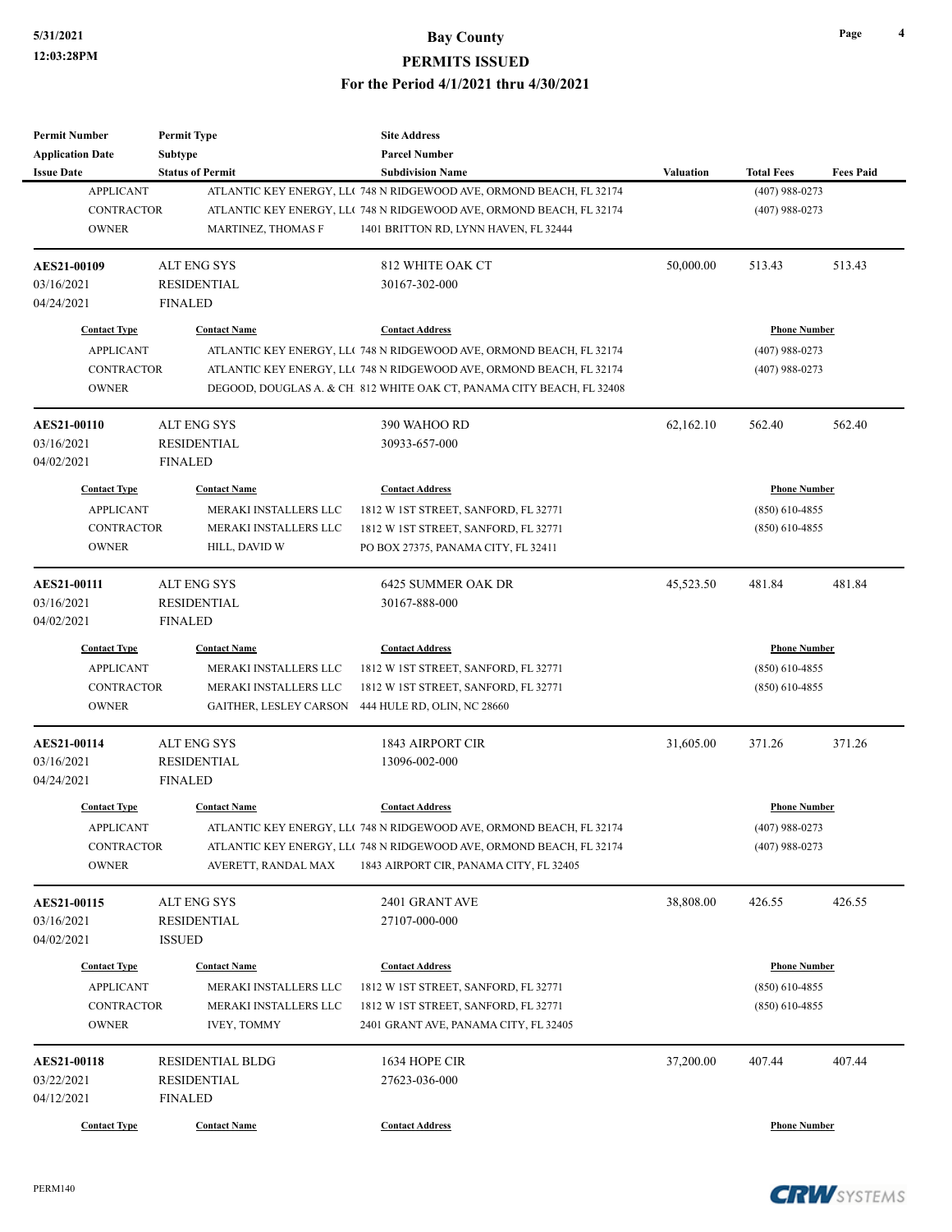| <b>Permit Number</b>    | <b>Permit Type</b>      | <b>Site Address</b>                                                   |                  |                     |                  |
|-------------------------|-------------------------|-----------------------------------------------------------------------|------------------|---------------------|------------------|
| <b>Application Date</b> | <b>Subtype</b>          | <b>Parcel Number</b>                                                  |                  |                     |                  |
| <b>Issue Date</b>       | <b>Status of Permit</b> | <b>Subdivision Name</b>                                               | <b>Valuation</b> | <b>Total Fees</b>   | <b>Fees Paid</b> |
| <b>APPLICANT</b>        |                         | ATLANTIC KEY ENERGY, LLC 748 N RIDGEWOOD AVE, ORMOND BEACH, FL 32174  |                  | $(407)$ 988-0273    |                  |
| <b>CONTRACTOR</b>       |                         | ATLANTIC KEY ENERGY, LL( 748 N RIDGEWOOD AVE, ORMOND BEACH, FL 32174  |                  | $(407)$ 988-0273    |                  |
| <b>OWNER</b>            | MARTINEZ, THOMAS F      | 1401 BRITTON RD, LYNN HAVEN, FL 32444                                 |                  |                     |                  |
|                         |                         |                                                                       |                  |                     |                  |
| <b>AES21-00109</b>      | <b>ALT ENG SYS</b>      | 812 WHITE OAK CT                                                      | 50,000.00        | 513.43              | 513.43           |
| 03/16/2021              | <b>RESIDENTIAL</b>      | 30167-302-000                                                         |                  |                     |                  |
| 04/24/2021              | <b>FINALED</b>          |                                                                       |                  |                     |                  |
| <b>Contact Type</b>     | <b>Contact Name</b>     | <b>Contact Address</b>                                                |                  | <b>Phone Number</b> |                  |
| <b>APPLICANT</b>        |                         | ATLANTIC KEY ENERGY, LLC 748 N RIDGEWOOD AVE, ORMOND BEACH, FL 32174  |                  | $(407)$ 988-0273    |                  |
| <b>CONTRACTOR</b>       |                         | ATLANTIC KEY ENERGY, LLC 748 N RIDGEWOOD AVE, ORMOND BEACH, FL 32174  |                  | $(407)$ 988-0273    |                  |
| <b>OWNER</b>            |                         | DEGOOD, DOUGLAS A. & CH 812 WHITE OAK CT, PANAMA CITY BEACH, FL 32408 |                  |                     |                  |
|                         |                         |                                                                       |                  |                     |                  |
| <b>AES21-00110</b>      | <b>ALT ENG SYS</b>      | 390 WAHOO RD                                                          | 62,162.10        | 562.40              | 562.40           |
| 03/16/2021              | <b>RESIDENTIAL</b>      | 30933-657-000                                                         |                  |                     |                  |
| 04/02/2021              | <b>FINALED</b>          |                                                                       |                  |                     |                  |
| <b>Contact Type</b>     | <b>Contact Name</b>     | <b>Contact Address</b>                                                |                  | <b>Phone Number</b> |                  |
| <b>APPLICANT</b>        | MERAKI INSTALLERS LLC   | 1812 W 1ST STREET, SANFORD, FL 32771                                  |                  | $(850)$ 610-4855    |                  |
| <b>CONTRACTOR</b>       | MERAKI INSTALLERS LLC   | 1812 W IST STREET, SANFORD, FL 32771                                  |                  | $(850)$ 610-4855    |                  |
| <b>OWNER</b>            | HILL, DAVID W           | PO BOX 27375, PANAMA CITY, FL 32411                                   |                  |                     |                  |
|                         |                         |                                                                       |                  |                     |                  |
| AES21-00111             | <b>ALT ENG SYS</b>      | 6425 SUMMER OAK DR                                                    | 45,523.50        | 481.84              | 481.84           |
| 03/16/2021              | <b>RESIDENTIAL</b>      | 30167-888-000                                                         |                  |                     |                  |
| 04/02/2021              | <b>FINALED</b>          |                                                                       |                  |                     |                  |
| <b>Contact Type</b>     | <b>Contact Name</b>     | <b>Contact Address</b>                                                |                  | <b>Phone Number</b> |                  |
| <b>APPLICANT</b>        | MERAKI INSTALLERS LLC   | 1812 W 1ST STREET, SANFORD, FL 32771                                  |                  | $(850)$ 610-4855    |                  |
| <b>CONTRACTOR</b>       | MERAKI INSTALLERS LLC   | 1812 W 1ST STREET, SANFORD, FL 32771                                  |                  | $(850)$ 610-4855    |                  |
| <b>OWNER</b>            | GAITHER, LESLEY CARSON  | 444 HULE RD, OLIN, NC 28660                                           |                  |                     |                  |
| AES21-00114             | <b>ALT ENG SYS</b>      | <b>1843 AIRPORT CIR</b>                                               | 31,605.00        | 371.26              | 371.26           |
| 03/16/2021              | <b>RESIDENTIAL</b>      | 13096-002-000                                                         |                  |                     |                  |
| 04/24/2021              | <b>FINALED</b>          |                                                                       |                  |                     |                  |
| <b>Contact Type</b>     | <b>Contact Name</b>     | <b>Contact Address</b>                                                |                  | <b>Phone Number</b> |                  |
| <b>APPLICANT</b>        |                         | ATLANTIC KEY ENERGY, LLC 748 N RIDGEWOOD AVE, ORMOND BEACH, FL 32174  |                  | $(407)$ 988-0273    |                  |
| <b>CONTRACTOR</b>       |                         | ATLANTIC KEY ENERGY, LLC 748 N RIDGEWOOD AVE, ORMOND BEACH, FL 32174  |                  | $(407)$ 988-0273    |                  |
| <b>OWNER</b>            | AVERETT, RANDAL MAX     | 1843 AIRPORT CIR, PANAMA CITY, FL 32405                               |                  |                     |                  |
|                         |                         |                                                                       |                  |                     |                  |
| <b>AES21-00115</b>      | ALT ENG SYS             | 2401 GRANT AVE                                                        | 38,808.00        | 426.55              | 426.55           |
| 03/16/2021              | <b>RESIDENTIAL</b>      | 27107-000-000                                                         |                  |                     |                  |
| 04/02/2021              | <b>ISSUED</b>           |                                                                       |                  |                     |                  |
| <b>Contact Type</b>     | <b>Contact Name</b>     | <b>Contact Address</b>                                                |                  | <b>Phone Number</b> |                  |
| <b>APPLICANT</b>        | MERAKI INSTALLERS LLC   | 1812 W 1ST STREET, SANFORD, FL 32771                                  |                  | $(850)$ 610-4855    |                  |
| <b>CONTRACTOR</b>       | MERAKI INSTALLERS LLC   | 1812 W 1ST STREET, SANFORD, FL 32771                                  |                  | $(850)$ 610-4855    |                  |
| <b>OWNER</b>            | <b>IVEY, TOMMY</b>      | 2401 GRANT AVE, PANAMA CITY, FL 32405                                 |                  |                     |                  |
| <b>AES21-00118</b>      | <b>RESIDENTIAL BLDG</b> | 1634 HOPE CIR                                                         | 37,200.00        | 407.44              | 407.44           |
| 03/22/2021              | RESIDENTIAL             | 27623-036-000                                                         |                  |                     |                  |
| 04/12/2021              | <b>FINALED</b>          |                                                                       |                  |                     |                  |
|                         |                         |                                                                       |                  |                     |                  |
| <b>Contact Type</b>     | <b>Contact Name</b>     | <b>Contact Address</b>                                                |                  | <b>Phone Number</b> |                  |

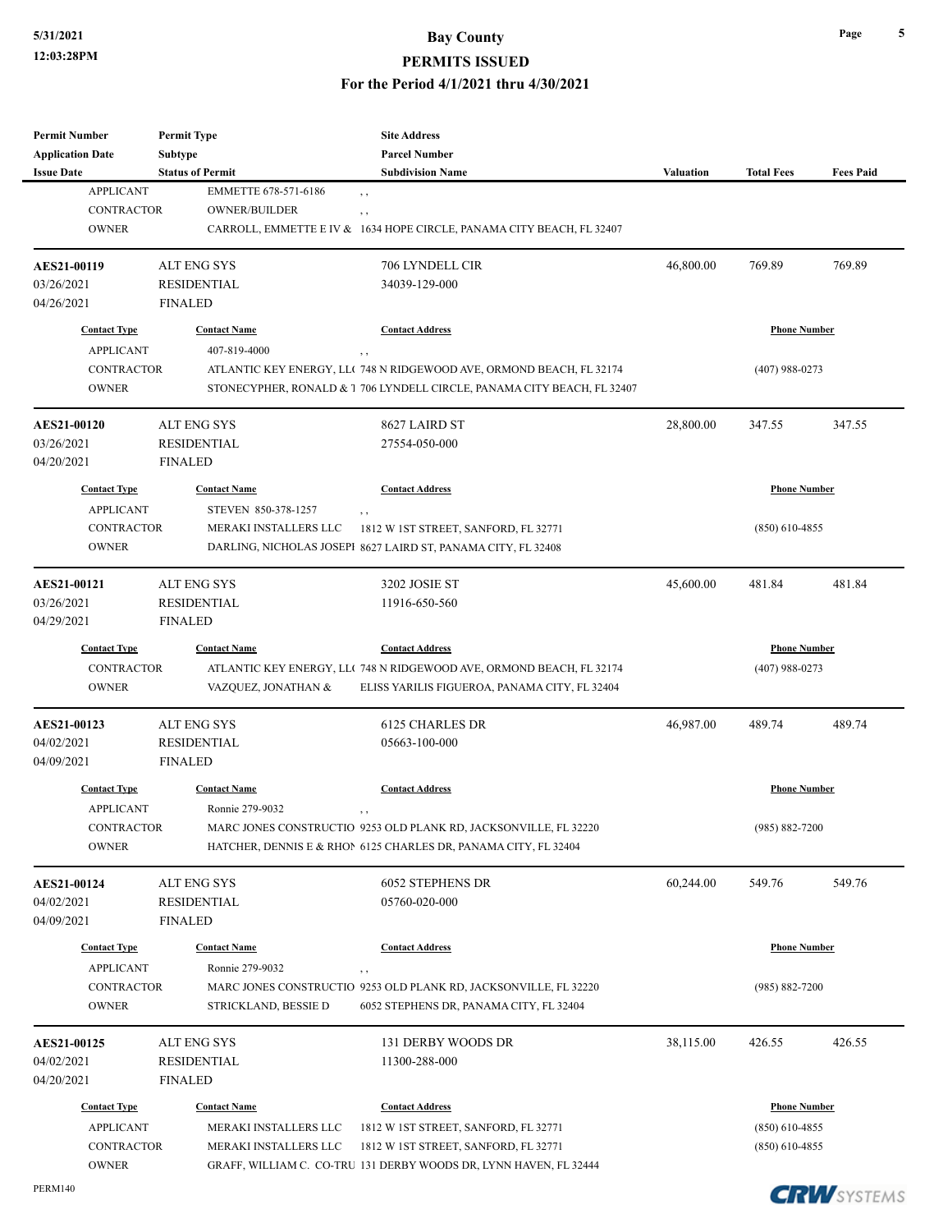#### **5/31/2021 Bay County**

#### **PERMITS ISSUED**

**For the Period 4/1/2021 thru 4/30/2021**

| <b>Permit Number</b>                                                                                    | <b>Permit Type</b>                   | <b>Site Address</b>                                                          |                     |                     |                  |
|---------------------------------------------------------------------------------------------------------|--------------------------------------|------------------------------------------------------------------------------|---------------------|---------------------|------------------|
| <b>Application Date</b>                                                                                 | <b>Subtype</b>                       | <b>Parcel Number</b>                                                         |                     |                     |                  |
| <b>Issue Date</b>                                                                                       | <b>Status of Permit</b>              | <b>Subdivision Name</b>                                                      | Valuation           | <b>Total Fees</b>   | <b>Fees Paid</b> |
| <b>APPLICANT</b>                                                                                        | EMMETTE 678-571-6186                 | , ,                                                                          |                     |                     |                  |
| <b>CONTRACTOR</b>                                                                                       | <b>OWNER/BUILDER</b>                 | , ,                                                                          |                     |                     |                  |
| <b>OWNER</b>                                                                                            |                                      | CARROLL, EMMETTE E IV & 1634 HOPE CIRCLE, PANAMA CITY BEACH, FL 32407        |                     |                     |                  |
| AES21-00119                                                                                             | <b>ALT ENG SYS</b>                   | 706 LYNDELL CIR                                                              | 46,800.00           | 769.89              | 769.89           |
| 03/26/2021                                                                                              | <b>RESIDENTIAL</b>                   | 34039-129-000                                                                |                     |                     |                  |
| 04/26/2021                                                                                              | <b>FINALED</b>                       |                                                                              |                     |                     |                  |
| <b>Contact Type</b>                                                                                     | <b>Contact Name</b>                  | <b>Contact Address</b>                                                       |                     | <b>Phone Number</b> |                  |
| <b>APPLICANT</b>                                                                                        | 407-819-4000                         | ,,                                                                           |                     |                     |                  |
| <b>CONTRACTOR</b>                                                                                       |                                      | ATLANTIC KEY ENERGY, LLC 748 N RIDGEWOOD AVE, ORMOND BEACH, FL 32174         |                     | $(407)$ 988-0273    |                  |
| <b>OWNER</b>                                                                                            |                                      | STONECYPHER, RONALD & 1 706 LYNDELL CIRCLE, PANAMA CITY BEACH, FL 32407      |                     |                     |                  |
| <b>AES21-00120</b>                                                                                      | <b>ALT ENG SYS</b>                   | 8627 LAIRD ST                                                                | 28,800.00           | 347.55              | 347.55           |
| 03/26/2021                                                                                              | <b>RESIDENTIAL</b>                   | 27554-050-000                                                                |                     |                     |                  |
| 04/20/2021                                                                                              | <b>FINALED</b>                       |                                                                              |                     |                     |                  |
|                                                                                                         |                                      |                                                                              |                     |                     |                  |
| <b>Contact Type</b>                                                                                     | <b>Contact Name</b>                  | <b>Contact Address</b>                                                       |                     | <b>Phone Number</b> |                  |
| <b>APPLICANT</b>                                                                                        | STEVEN 850-378-1257                  | , ,                                                                          |                     |                     |                  |
| <b>CONTRACTOR</b>                                                                                       | MERAKI INSTALLERS LLC                | 1812 W 1ST STREET, SANFORD, FL 32771                                         |                     | $(850)$ 610-4855    |                  |
| <b>OWNER</b>                                                                                            |                                      | DARLING, NICHOLAS JOSEPI 8627 LAIRD ST, PANAMA CITY, FL 32408                |                     |                     |                  |
| <b>AES21-00121</b>                                                                                      | <b>ALT ENG SYS</b>                   | 3202 JOSIE ST                                                                | 45,600.00           | 481.84              | 481.84           |
| 03/26/2021                                                                                              | <b>RESIDENTIAL</b>                   | 11916-650-560                                                                |                     |                     |                  |
| 04/29/2021                                                                                              | <b>FINALED</b>                       |                                                                              |                     |                     |                  |
| <b>Contact Type</b>                                                                                     | <b>Contact Name</b>                  | <b>Contact Address</b>                                                       | <b>Phone Number</b> |                     |                  |
| <b>CONTRACTOR</b>                                                                                       |                                      | ATLANTIC KEY ENERGY, LLC 748 N RIDGEWOOD AVE, ORMOND BEACH, FL 32174         |                     | $(407)$ 988-0273    |                  |
| <b>OWNER</b>                                                                                            | VAZQUEZ, JONATHAN &                  | ELISS YARILIS FIGUEROA, PANAMA CITY, FL 32404                                |                     |                     |                  |
| <b>AES21-00123</b>                                                                                      | <b>ALT ENG SYS</b>                   | 6125 CHARLES DR                                                              | 46,987.00           | 489.74              | 489.74           |
| 04/02/2021                                                                                              | <b>RESIDENTIAL</b>                   | 05663-100-000                                                                |                     |                     |                  |
| 04/09/2021                                                                                              | <b>FINALED</b>                       |                                                                              |                     |                     |                  |
| <b>Contact Type</b>                                                                                     | <b>Contact Name</b>                  | <b>Contact Address</b>                                                       |                     | <b>Phone Number</b> |                  |
| <b>APPLICANT</b>                                                                                        | Ronnie 279-9032                      | , ,                                                                          |                     |                     |                  |
| CONTRACTOR                                                                                              |                                      | MARC JONES CONSTRUCTIO 9253 OLD PLANK RD, JACKSONVILLE, FL 32220             |                     | $(985) 882 - 7200$  |                  |
| <b>OWNER</b>                                                                                            |                                      | HATCHER, DENNIS E & RHON 6125 CHARLES DR, PANAMA CITY, FL 32404              |                     |                     |                  |
|                                                                                                         | <b>ALT ENG SYS</b>                   | 6052 STEPHENS DR                                                             |                     | 549.76              | 549.76           |
|                                                                                                         |                                      |                                                                              | 60,244.00           |                     |                  |
|                                                                                                         | <b>RESIDENTIAL</b>                   | 05760-020-000                                                                |                     |                     |                  |
|                                                                                                         | <b>FINALED</b>                       |                                                                              |                     |                     |                  |
| <b>Contact Type</b>                                                                                     | <b>Contact Name</b>                  | <b>Contact Address</b>                                                       |                     | <b>Phone Number</b> |                  |
| <b>APPLICANT</b>                                                                                        | Ronnie 279-9032                      |                                                                              |                     |                     |                  |
|                                                                                                         |                                      | ,,<br>MARC JONES CONSTRUCTIO 9253 OLD PLANK RD, JACKSONVILLE, FL 32220       |                     |                     |                  |
| <b>CONTRACTOR</b><br><b>OWNER</b>                                                                       | STRICKLAND, BESSIE D                 | 6052 STEPHENS DR, PANAMA CITY, FL 32404                                      |                     | $(985) 882 - 7200$  |                  |
|                                                                                                         | <b>ALT ENG SYS</b>                   | 131 DERBY WOODS DR                                                           | 38,115.00           | 426.55              | 426.55           |
|                                                                                                         |                                      |                                                                              |                     |                     |                  |
|                                                                                                         | <b>RESIDENTIAL</b><br><b>FINALED</b> | 11300-288-000                                                                |                     |                     |                  |
| <b>Contact Type</b>                                                                                     | <b>Contact Name</b>                  | <b>Contact Address</b>                                                       |                     | <b>Phone Number</b> |                  |
| <b>APPLICANT</b>                                                                                        | MERAKI INSTALLERS LLC                |                                                                              |                     | $(850)$ 610-4855    |                  |
| AES21-00124<br>04/02/2021<br>04/09/2021<br>AES21-00125<br>04/02/2021<br>04/20/2021<br><b>CONTRACTOR</b> | MERAKI INSTALLERS LLC                | 1812 W 1ST STREET, SANFORD, FL 32771<br>1812 W 1ST STREET, SANFORD, FL 32771 |                     | $(850)$ 610-4855    |                  |

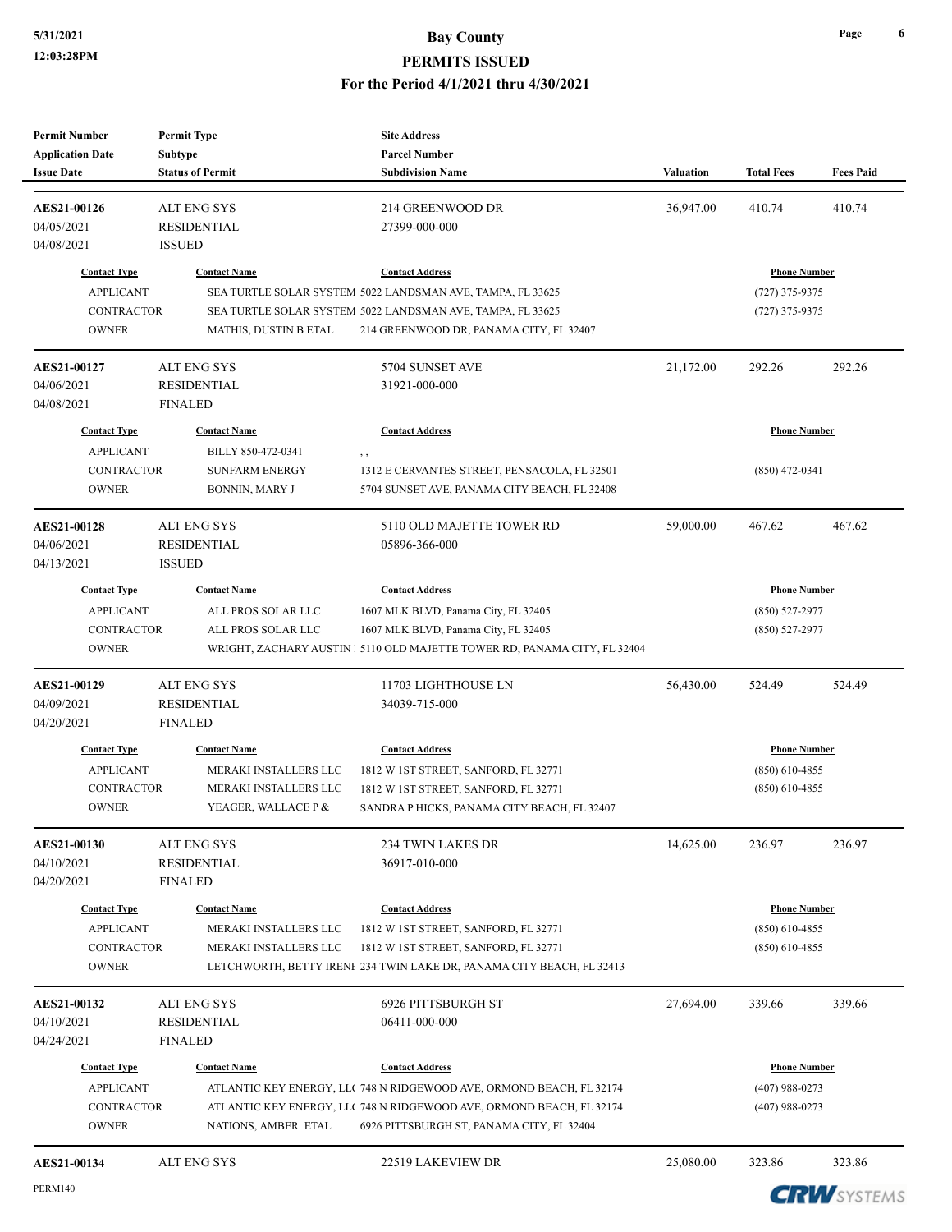| <b>Permit Number</b><br><b>Application Date</b> | <b>Permit Type</b><br><b>Subtype</b> | <b>Site Address</b><br><b>Parcel Number</b>                             |                  |                     |                  |
|-------------------------------------------------|--------------------------------------|-------------------------------------------------------------------------|------------------|---------------------|------------------|
| <b>Issue Date</b>                               | <b>Status of Permit</b>              | <b>Subdivision Name</b>                                                 | <b>Valuation</b> | <b>Total Fees</b>   | <b>Fees Paid</b> |
| AES21-00126                                     | <b>ALT ENG SYS</b>                   | 214 GREENWOOD DR                                                        | 36,947.00        | 410.74              | 410.74           |
| 04/05/2021                                      | <b>RESIDENTIAL</b>                   | 27399-000-000                                                           |                  |                     |                  |
| 04/08/2021                                      | <b>ISSUED</b>                        |                                                                         |                  |                     |                  |
| <b>Contact Type</b>                             | <b>Contact Name</b>                  | <b>Contact Address</b>                                                  |                  | <b>Phone Number</b> |                  |
| <b>APPLICANT</b>                                |                                      | SEA TURTLE SOLAR SYSTEM 5022 LANDSMAN AVE, TAMPA, FL 33625              |                  | $(727)$ 375-9375    |                  |
| <b>CONTRACTOR</b>                               |                                      | SEA TURTLE SOLAR SYSTEM 5022 LANDSMAN AVE, TAMPA, FL 33625              |                  | $(727)$ 375-9375    |                  |
| <b>OWNER</b>                                    | MATHIS, DUSTIN B ETAL                | 214 GREENWOOD DR, PANAMA CITY, FL 32407                                 |                  |                     |                  |
| <b>AES21-00127</b>                              | ALT ENG SYS                          | 5704 SUNSET AVE                                                         | 21,172.00        | 292.26              | 292.26           |
| 04/06/2021                                      | <b>RESIDENTIAL</b>                   | 31921-000-000                                                           |                  |                     |                  |
| 04/08/2021                                      | <b>FINALED</b>                       |                                                                         |                  |                     |                  |
| <b>Contact Type</b>                             | <b>Contact Name</b>                  | <b>Contact Address</b>                                                  |                  | <b>Phone Number</b> |                  |
| <b>APPLICANT</b>                                | BILLY 850-472-0341                   | , ,                                                                     |                  |                     |                  |
| <b>CONTRACTOR</b>                               | <b>SUNFARM ENERGY</b>                | 1312 E CERVANTES STREET, PENSACOLA, FL 32501                            |                  | $(850)$ 472-0341    |                  |
| <b>OWNER</b>                                    | BONNIN, MARY J                       | 5704 SUNSET AVE, PANAMA CITY BEACH, FL 32408                            |                  |                     |                  |
| AES21-00128                                     | ALT ENG SYS                          | 5110 OLD MAJETTE TOWER RD                                               | 59,000.00        | 467.62              | 467.62           |
| 04/06/2021                                      | <b>RESIDENTIAL</b>                   | 05896-366-000                                                           |                  |                     |                  |
| 04/13/2021                                      | <b>ISSUED</b>                        |                                                                         |                  |                     |                  |
| <b>Contact Type</b>                             | <b>Contact Name</b>                  | <b>Contact Address</b>                                                  |                  | <b>Phone Number</b> |                  |
| <b>APPLICANT</b>                                | ALL PROS SOLAR LLC                   | 1607 MLK BLVD, Panama City, FL 32405                                    |                  | $(850) 527 - 2977$  |                  |
| <b>CONTRACTOR</b>                               | ALL PROS SOLAR LLC                   | 1607 MLK BLVD, Panama City, FL 32405                                    |                  | $(850)$ 527-2977    |                  |
| <b>OWNER</b>                                    |                                      | WRIGHT, ZACHARY AUSTIN 5110 OLD MAJETTE TOWER RD, PANAMA CITY, FL 32404 |                  |                     |                  |
| <b>AES21-00129</b>                              | ALT ENG SYS                          | 11703 LIGHTHOUSE LN                                                     | 56,430.00        | 524.49              | 524.49           |
| 04/09/2021                                      | <b>RESIDENTIAL</b>                   | 34039-715-000                                                           |                  |                     |                  |
| 04/20/2021                                      | <b>FINALED</b>                       |                                                                         |                  |                     |                  |
| <b>Contact Type</b>                             | <b>Contact Name</b>                  | <b>Contact Address</b>                                                  |                  | <b>Phone Number</b> |                  |
| <b>APPLICANT</b>                                | MERAKI INSTALLERS LLC                | 1812 W 1ST STREET, SANFORD, FL 32771                                    |                  | $(850)$ 610-4855    |                  |
| <b>CONTRACTOR</b>                               | MERAKI INSTALLERS LLC                | 1812 W 1ST STREET, SANFORD, FL 32771                                    |                  | $(850)$ 610-4855    |                  |
| <b>OWNER</b>                                    | YEAGER, WALLACE P &                  | SANDRA P HICKS, PANAMA CITY BEACH, FL 32407                             |                  |                     |                  |
| <b>AES21-00130</b>                              | <b>ALT ENG SYS</b>                   | <b>234 TWIN LAKES DR</b>                                                | 14,625.00        | 236.97              | 236.97           |
| 04/10/2021                                      | <b>RESIDENTIAL</b>                   | 36917-010-000                                                           |                  |                     |                  |
| 04/20/2021                                      | <b>FINALED</b>                       |                                                                         |                  |                     |                  |
| <b>Contact Type</b>                             | <b>Contact Name</b>                  | <b>Contact Address</b>                                                  |                  | <b>Phone Number</b> |                  |
| <b>APPLICANT</b>                                | MERAKI INSTALLERS LLC                | 1812 W 1ST STREET, SANFORD, FL 32771                                    |                  | $(850)$ 610-4855    |                  |
| <b>CONTRACTOR</b>                               | MERAKI INSTALLERS LLC                | 1812 W 1ST STREET, SANFORD, FL 32771                                    |                  | $(850)$ 610-4855    |                  |
| <b>OWNER</b>                                    |                                      | LETCHWORTH, BETTY IRENI 234 TWIN LAKE DR, PANAMA CITY BEACH, FL 32413   |                  |                     |                  |
| AES21-00132                                     | ALT ENG SYS                          | 6926 PITTSBURGH ST                                                      | 27,694.00        | 339.66              | 339.66           |
| 04/10/2021                                      | RESIDENTIAL                          | 06411-000-000                                                           |                  |                     |                  |
| 04/24/2021                                      | <b>FINALED</b>                       |                                                                         |                  |                     |                  |
| <b>Contact Type</b>                             | <b>Contact Name</b>                  | <b>Contact Address</b>                                                  |                  | <b>Phone Number</b> |                  |
| <b>APPLICANT</b>                                |                                      | ATLANTIC KEY ENERGY, LLC 748 N RIDGEWOOD AVE, ORMOND BEACH, FL 32174    |                  | $(407)$ 988-0273    |                  |
| CONTRACTOR                                      |                                      | ATLANTIC KEY ENERGY, LLC 748 N RIDGEWOOD AVE, ORMOND BEACH, FL 32174    |                  | $(407)$ 988-0273    |                  |
|                                                 |                                      |                                                                         |                  |                     |                  |
| <b>OWNER</b>                                    | NATIONS, AMBER ETAL                  | 6926 PITTSBURGH ST, PANAMA CITY, FL 32404                               |                  |                     |                  |

**CRW**SYSTEMS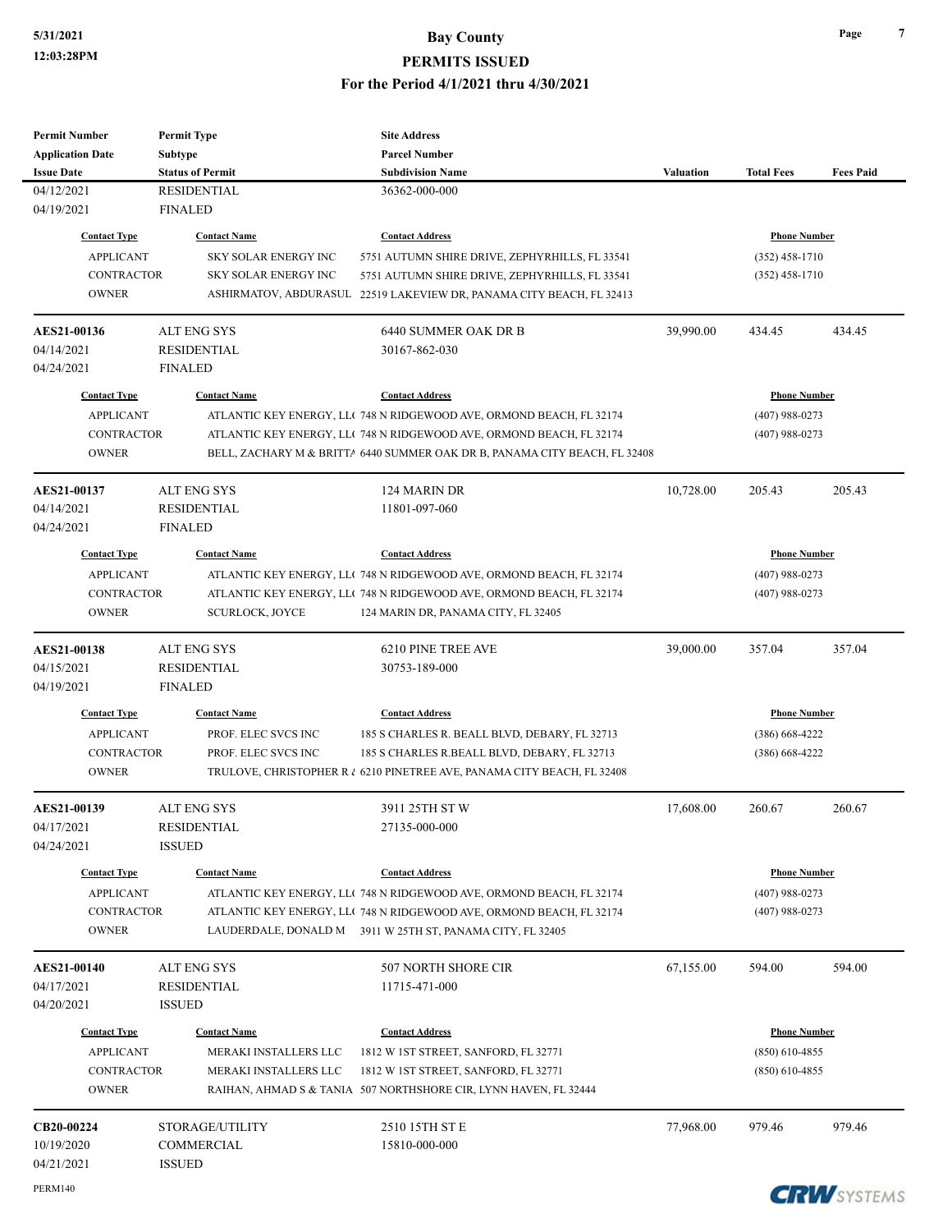#### **5/31/2021 Bay County**

**PERMITS ISSUED**

**For the Period 4/1/2021 thru 4/30/2021**

| <b>Permit Number</b>    | <b>Permit Type</b>      | <b>Site Address</b>                                                        |           |                     |                  |
|-------------------------|-------------------------|----------------------------------------------------------------------------|-----------|---------------------|------------------|
| <b>Application Date</b> | Subtype                 | <b>Parcel Number</b>                                                       |           |                     |                  |
| <b>Issue Date</b>       | <b>Status of Permit</b> | <b>Subdivision Name</b>                                                    | Valuation | <b>Total Fees</b>   | <b>Fees Paid</b> |
| 04/12/2021              | <b>RESIDENTIAL</b>      | 36362-000-000                                                              |           |                     |                  |
| 04/19/2021              | <b>FINALED</b>          |                                                                            |           |                     |                  |
| <b>Contact Type</b>     | <b>Contact Name</b>     | <b>Contact Address</b>                                                     |           | <b>Phone Number</b> |                  |
| <b>APPLICANT</b>        | SKY SOLAR ENERGY INC    | 5751 AUTUMN SHIRE DRIVE, ZEPHYRHILLS, FL 33541                             |           | $(352)$ 458-1710    |                  |
| <b>CONTRACTOR</b>       | SKY SOLAR ENERGY INC    | 5751 AUTUMN SHIRE DRIVE, ZEPHYRHILLS, FL 33541                             |           | $(352)$ 458-1710    |                  |
| <b>OWNER</b>            |                         | ASHIRMATOV, ABDURASUL 22519 LAKEVIEW DR, PANAMA CITY BEACH, FL 32413       |           |                     |                  |
| AES21-00136             | <b>ALT ENG SYS</b>      | 6440 SUMMER OAK DR B                                                       | 39,990.00 | 434.45              | 434.45           |
| 04/14/2021              | <b>RESIDENTIAL</b>      | 30167-862-030                                                              |           |                     |                  |
| 04/24/2021              | <b>FINALED</b>          |                                                                            |           |                     |                  |
| <b>Contact Type</b>     | <b>Contact Name</b>     | <b>Contact Address</b>                                                     |           | <b>Phone Number</b> |                  |
| <b>APPLICANT</b>        |                         | ATLANTIC KEY ENERGY, LLC 748 N RIDGEWOOD AVE, ORMOND BEACH, FL 32174       |           | $(407)$ 988-0273    |                  |
| <b>CONTRACTOR</b>       |                         | ATLANTIC KEY ENERGY, LLC 748 N RIDGEWOOD AVE, ORMOND BEACH, FL 32174       |           | $(407)$ 988-0273    |                  |
| <b>OWNER</b>            |                         | BELL, ZACHARY M & BRITTA 6440 SUMMER OAK DR B, PANAMA CITY BEACH, FL 32408 |           |                     |                  |
| AES21-00137             | <b>ALT ENG SYS</b>      | 124 MARIN DR                                                               | 10,728.00 | 205.43              | 205.43           |
| 04/14/2021              | <b>RESIDENTIAL</b>      | 11801-097-060                                                              |           |                     |                  |
| 04/24/2021              | <b>FINALED</b>          |                                                                            |           |                     |                  |
| <b>Contact Type</b>     | <b>Contact Name</b>     | <b>Contact Address</b>                                                     |           | <b>Phone Number</b> |                  |
| <b>APPLICANT</b>        |                         | ATLANTIC KEY ENERGY, LL( 748 N RIDGEWOOD AVE, ORMOND BEACH, FL 32174       |           | $(407)$ 988-0273    |                  |
| <b>CONTRACTOR</b>       |                         | ATLANTIC KEY ENERGY, LLC 748 N RIDGEWOOD AVE, ORMOND BEACH, FL 32174       |           | $(407)$ 988-0273    |                  |
| <b>OWNER</b>            | <b>SCURLOCK, JOYCE</b>  | 124 MARIN DR, PANAMA CITY, FL 32405                                        |           |                     |                  |
| <b>AES21-00138</b>      | <b>ALT ENG SYS</b>      | 6210 PINE TREE AVE                                                         | 39,000.00 | 357.04              | 357.04           |
| 04/15/2021              | RESIDENTIAL             | 30753-189-000                                                              |           |                     |                  |
| 04/19/2021              | <b>FINALED</b>          |                                                                            |           |                     |                  |
| <b>Contact Type</b>     | <b>Contact Name</b>     | <b>Contact Address</b>                                                     |           | <b>Phone Number</b> |                  |
| <b>APPLICANT</b>        | PROF. ELEC SVCS INC     | 185 S CHARLES R. BEALL BLVD, DEBARY, FL 32713                              |           | $(386)$ 668-4222    |                  |
| <b>CONTRACTOR</b>       | PROF. ELEC SVCS INC     | 185 S CHARLES R.BEALL BLVD, DEBARY, FL 32713                               |           | $(386)$ 668-4222    |                  |
| <b>OWNER</b>            |                         | TRULOVE, CHRISTOPHER R & 6210 PINETREE AVE, PANAMA CITY BEACH, FL 32408    |           |                     |                  |
| <b>AES21-00139</b>      | <b>ALT ENG SYS</b>      | 3911 25TH ST W                                                             | 17,608.00 | 260.67              | 260.67           |
| 04/17/2021              | <b>RESIDENTIAL</b>      | 27135-000-000                                                              |           |                     |                  |
| 04/24/2021              | <b>ISSUED</b>           |                                                                            |           |                     |                  |
| <b>Contact Type</b>     | <b>Contact Name</b>     | <b>Contact Address</b>                                                     |           | <b>Phone Number</b> |                  |
| <b>APPLICANT</b>        |                         | ATLANTIC KEY ENERGY, LLC 748 N RIDGEWOOD AVE, ORMOND BEACH, FL 32174       |           | $(407)$ 988-0273    |                  |
| <b>CONTRACTOR</b>       |                         | ATLANTIC KEY ENERGY, LLC 748 N RIDGEWOOD AVE, ORMOND BEACH, FL 32174       |           | $(407)$ 988-0273    |                  |
| <b>OWNER</b>            |                         | LAUDERDALE, DONALD M 3911 W 25TH ST, PANAMA CITY, FL 32405                 |           |                     |                  |
| <b>AES21-00140</b>      | <b>ALT ENG SYS</b>      | 507 NORTH SHORE CIR                                                        | 67,155.00 | 594.00              | 594.00           |
| 04/17/2021              | <b>RESIDENTIAL</b>      | 11715-471-000                                                              |           |                     |                  |
| 04/20/2021              | <b>ISSUED</b>           |                                                                            |           |                     |                  |
| <b>Contact Type</b>     | <b>Contact Name</b>     | <b>Contact Address</b>                                                     |           | <b>Phone Number</b> |                  |
| <b>APPLICANT</b>        | MERAKI INSTALLERS LLC   | 1812 W 1ST STREET, SANFORD, FL 32771                                       |           | $(850)$ 610-4855    |                  |
| <b>CONTRACTOR</b>       | MERAKI INSTALLERS LLC   | 1812 W 1ST STREET, SANFORD, FL 32771                                       |           | $(850)$ 610-4855    |                  |
| <b>OWNER</b>            |                         | RAIHAN, AHMAD S & TANIA 507 NORTHSHORE CIR, LYNN HAVEN, FL 32444           |           |                     |                  |
| CB20-00224              | STORAGE/UTILITY         | 2510 15TH ST E                                                             | 77,968.00 | 979.46              | 979.46           |
| 10/19/2020              | COMMERCIAL              | 15810-000-000                                                              |           |                     |                  |
| 04/21/2021              | <b>ISSUED</b>           |                                                                            |           |                     |                  |
|                         |                         |                                                                            |           |                     |                  |

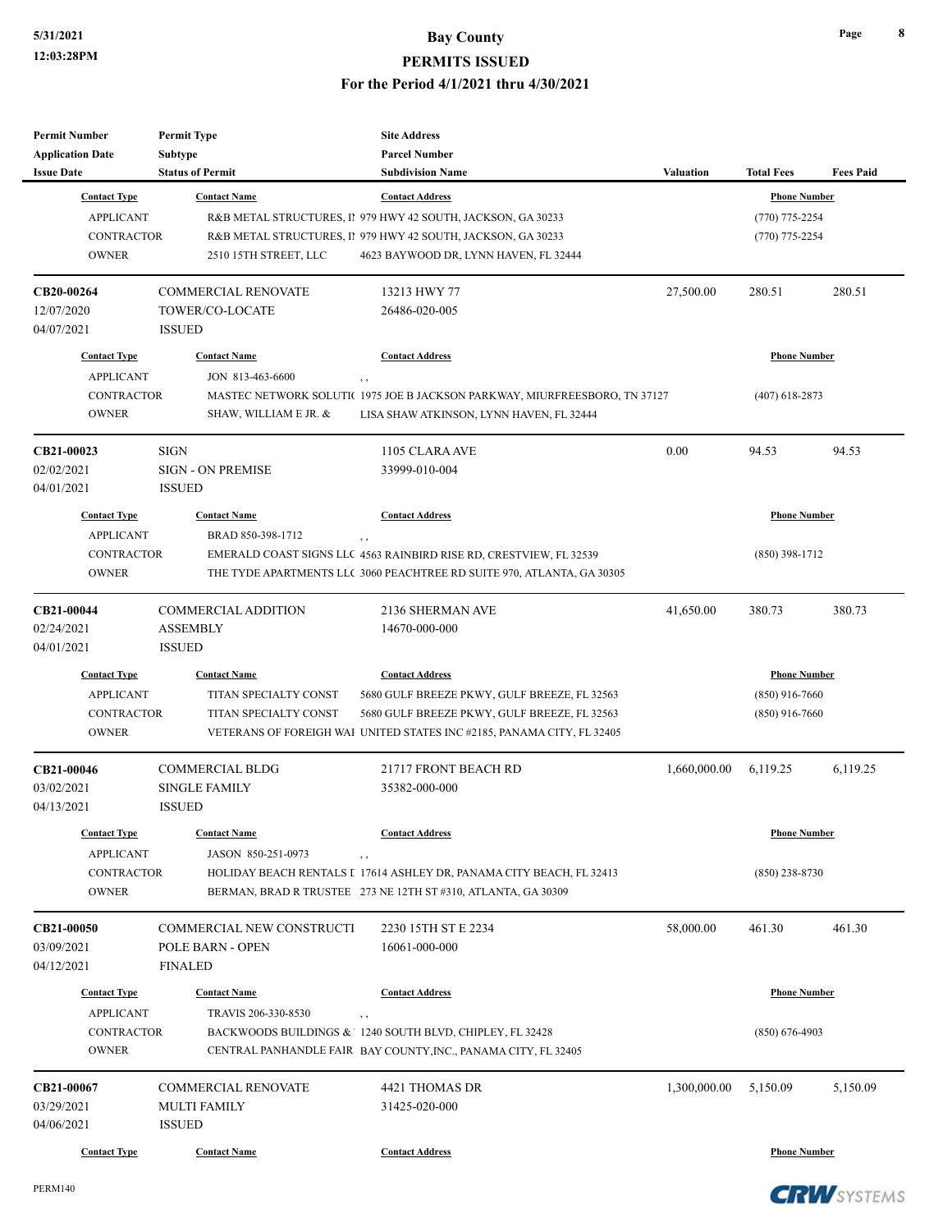| <b>Permit Number</b><br><b>Application Date</b><br><b>Issue Date</b> | <b>Permit Type</b><br>Subtype<br><b>Status of Permit</b> | <b>Site Address</b><br><b>Parcel Number</b><br><b>Subdivision Name</b>    | Valuation    | <b>Total Fees</b>   | <b>Fees Paid</b> |
|----------------------------------------------------------------------|----------------------------------------------------------|---------------------------------------------------------------------------|--------------|---------------------|------------------|
| <b>Contact Type</b>                                                  | <b>Contact Name</b>                                      | <b>Contact Address</b>                                                    |              | <b>Phone Number</b> |                  |
| <b>APPLICANT</b>                                                     |                                                          | R&B METAL STRUCTURES, II 979 HWY 42 SOUTH, JACKSON, GA 30233              |              | $(770)$ 775-2254    |                  |
| <b>CONTRACTOR</b>                                                    |                                                          | R&B METAL STRUCTURES, II 979 HWY 42 SOUTH, JACKSON, GA 30233              |              | $(770)$ 775-2254    |                  |
| <b>OWNER</b>                                                         | 2510 15TH STREET, LLC                                    | 4623 BAYWOOD DR, LYNN HAVEN, FL 32444                                     |              |                     |                  |
| CB20-00264                                                           | <b>COMMERCIAL RENOVATE</b>                               | 13213 HWY 77                                                              | 27,500.00    | 280.51              | 280.51           |
| 12/07/2020                                                           | TOWER/CO-LOCATE                                          | 26486-020-005                                                             |              |                     |                  |
| 04/07/2021                                                           | <b>ISSUED</b>                                            |                                                                           |              |                     |                  |
| <b>Contact Type</b>                                                  | <b>Contact Name</b>                                      | <b>Contact Address</b>                                                    |              | <b>Phone Number</b> |                  |
| <b>APPLICANT</b>                                                     | JON 813-463-6600                                         | , ,                                                                       |              |                     |                  |
| <b>CONTRACTOR</b>                                                    |                                                          | MASTEC NETWORK SOLUTI(1975 JOE B JACKSON PARKWAY, MIURFREESBORO, TN 37127 |              | $(407)$ 618-2873    |                  |
| <b>OWNER</b>                                                         | SHAW, WILLIAM E JR. &                                    | LISA SHAW ATKINSON, LYNN HAVEN, FL 32444                                  |              |                     |                  |
| CB21-00023                                                           | <b>SIGN</b>                                              | 1105 CLARA AVE                                                            | 0.00         | 94.53               | 94.53            |
| 02/02/2021                                                           | <b>SIGN - ON PREMISE</b>                                 | 33999-010-004                                                             |              |                     |                  |
| 04/01/2021                                                           | <b>ISSUED</b>                                            |                                                                           |              |                     |                  |
| <b>Contact Type</b>                                                  | <b>Contact Name</b>                                      | <b>Contact Address</b>                                                    |              | <b>Phone Number</b> |                  |
| <b>APPLICANT</b>                                                     | BRAD 850-398-1712                                        | , ,                                                                       |              |                     |                  |
| <b>CONTRACTOR</b>                                                    |                                                          | EMERALD COAST SIGNS LLC 4563 RAINBIRD RISE RD, CRESTVIEW, FL 32539        |              | $(850)$ 398-1712    |                  |
| <b>OWNER</b>                                                         |                                                          | THE TYDE APARTMENTS LLC 3060 PEACHTREE RD SUITE 970, ATLANTA, GA 30305    |              |                     |                  |
| CB21-00044                                                           | COMMERCIAL ADDITION                                      | 2136 SHERMAN AVE                                                          | 41,650.00    | 380.73              | 380.73           |
| 02/24/2021                                                           | <b>ASSEMBLY</b>                                          | 14670-000-000                                                             |              |                     |                  |
| 04/01/2021                                                           | <b>ISSUED</b>                                            |                                                                           |              |                     |                  |
| <b>Contact Type</b>                                                  | <b>Contact Name</b>                                      | <b>Contact Address</b>                                                    |              | <b>Phone Number</b> |                  |
| <b>APPLICANT</b>                                                     | TITAN SPECIALTY CONST                                    | 5680 GULF BREEZE PKWY, GULF BREEZE, FL 32563                              |              | $(850)$ 916-7660    |                  |
| <b>CONTRACTOR</b>                                                    | TITAN SPECIALTY CONST                                    | 5680 GULF BREEZE PKWY, GULF BREEZE, FL 32563                              |              | $(850)$ 916-7660    |                  |
| <b>OWNER</b>                                                         |                                                          | VETERANS OF FOREIGH WAI UNITED STATES INC #2185, PANAMA CITY, FL 32405    |              |                     |                  |
| CB21-00046                                                           | <b>COMMERCIAL BLDG</b>                                   | 21717 FRONT BEACH RD                                                      | 1,660,000.00 | 6,119.25            | 6,119.25         |
| 03/02/2021                                                           | <b>SINGLE FAMILY</b>                                     | 35382-000-000                                                             |              |                     |                  |
| 04/13/2021                                                           | <b>ISSUED</b>                                            |                                                                           |              |                     |                  |
| <b>Contact Type</b>                                                  | <b>Contact Name</b>                                      | <b>Contact Address</b>                                                    |              | <b>Phone Number</b> |                  |
| <b>APPLICANT</b>                                                     | JASON 850-251-0973                                       | $, \, , \,$                                                               |              |                     |                  |
| <b>CONTRACTOR</b>                                                    |                                                          | HOLIDAY BEACH RENTALS I 17614 ASHLEY DR, PANAMA CITY BEACH, FL 32413      |              | $(850)$ 238-8730    |                  |
| <b>OWNER</b>                                                         |                                                          | BERMAN, BRAD R TRUSTEE 273 NE 12TH ST #310, ATLANTA, GA 30309             |              |                     |                  |
| CB21-00050                                                           | COMMERCIAL NEW CONSTRUCTI                                | 2230 15TH ST E 2234                                                       | 58,000.00    | 461.30              | 461.30           |
| 03/09/2021                                                           | POLE BARN - OPEN                                         | 16061-000-000                                                             |              |                     |                  |
| 04/12/2021                                                           | <b>FINALED</b>                                           |                                                                           |              |                     |                  |
| <b>Contact Type</b>                                                  | <b>Contact Name</b>                                      | <b>Contact Address</b>                                                    |              | <b>Phone Number</b> |                  |
| <b>APPLICANT</b>                                                     | TRAVIS 206-330-8530                                      | , ,                                                                       |              |                     |                  |
| <b>CONTRACTOR</b>                                                    |                                                          | BACKWOODS BUILDINGS & 1240 SOUTH BLVD, CHIPLEY, FL 32428                  |              | $(850)$ 676-4903    |                  |
| <b>OWNER</b>                                                         |                                                          | CENTRAL PANHANDLE FAIR BAY COUNTY, INC., PANAMA CITY, FL 32405            |              |                     |                  |
| CB21-00067                                                           | <b>COMMERCIAL RENOVATE</b>                               | 4421 THOMAS DR                                                            | 1,300,000.00 | 5,150.09            | 5,150.09         |
| 03/29/2021                                                           | <b>MULTI FAMILY</b>                                      | 31425-020-000                                                             |              |                     |                  |
| 04/06/2021                                                           | <b>ISSUED</b>                                            |                                                                           |              |                     |                  |
| <b>Contact Type</b>                                                  | <b>Contact Name</b>                                      | <b>Contact Address</b>                                                    |              | <b>Phone Number</b> |                  |

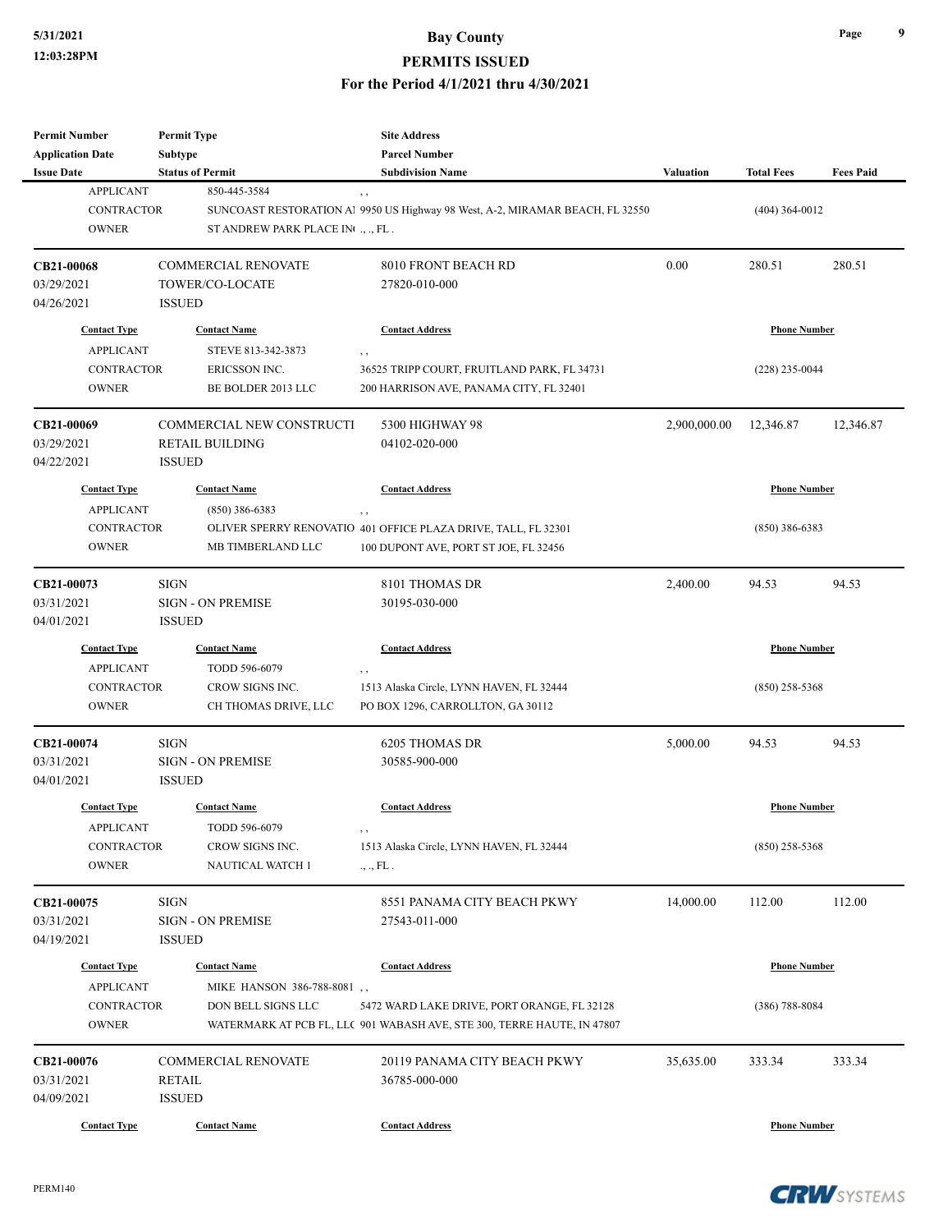# **5/31/2021 Bay County PERMITS ISSUED**

**For the Period 4/1/2021 thru 4/30/2021**

| Permit Number<br><b>Application Date</b> | <b>Permit Type</b><br>Subtype | <b>Site Address</b><br><b>Parcel Number</b>                                                  |                  |                     |                  |
|------------------------------------------|-------------------------------|----------------------------------------------------------------------------------------------|------------------|---------------------|------------------|
| <b>Issue Date</b>                        | <b>Status of Permit</b>       | <b>Subdivision Name</b>                                                                      | <b>Valuation</b> | <b>Total Fees</b>   | <b>Fees Paid</b> |
| <b>APPLICANT</b>                         | 850-445-3584                  |                                                                                              |                  |                     |                  |
| <b>CONTRACTOR</b>                        |                               | $, \, , \,$<br>SUNCOAST RESTORATION Al 9950 US Highway 98 West, A-2, MIRAMAR BEACH, FL 32550 |                  | $(404)$ 364-0012    |                  |
| <b>OWNER</b>                             | ST ANDREW PARK PLACE IN , FL. |                                                                                              |                  |                     |                  |
|                                          |                               |                                                                                              |                  |                     |                  |
| CB21-00068                               | <b>COMMERCIAL RENOVATE</b>    | 8010 FRONT BEACH RD                                                                          | 0.00             | 280.51              | 280.51           |
| 03/29/2021                               | TOWER/CO-LOCATE               | 27820-010-000                                                                                |                  |                     |                  |
| 04/26/2021                               | <b>ISSUED</b>                 |                                                                                              |                  |                     |                  |
| <b>Contact Type</b>                      | <b>Contact Name</b>           | <b>Contact Address</b>                                                                       |                  | <b>Phone Number</b> |                  |
| <b>APPLICANT</b>                         | STEVE 813-342-3873            |                                                                                              |                  |                     |                  |
| <b>CONTRACTOR</b>                        |                               | $, \, ,$                                                                                     |                  |                     |                  |
|                                          | ERICSSON INC.                 | 36525 TRIPP COURT, FRUITLAND PARK, FL 34731                                                  |                  | $(228)$ 235-0044    |                  |
| <b>OWNER</b>                             | BE BOLDER 2013 LLC            | 200 HARRISON AVE, PANAMA CITY, FL 32401                                                      |                  |                     |                  |
| CB21-00069                               | COMMERCIAL NEW CONSTRUCTI     | 5300 HIGHWAY 98                                                                              | 2,900,000.00     | 12,346.87           | 12,346.87        |
| 03/29/2021                               | <b>RETAIL BUILDING</b>        | 04102-020-000                                                                                |                  |                     |                  |
| 04/22/2021                               | <b>ISSUED</b>                 |                                                                                              |                  |                     |                  |
| <b>Contact Type</b>                      | <b>Contact Name</b>           | <b>Contact Address</b>                                                                       |                  | <b>Phone Number</b> |                  |
| <b>APPLICANT</b>                         | $(850)$ 386-6383              |                                                                                              |                  |                     |                  |
| <b>CONTRACTOR</b>                        |                               | $, \, ,$<br>OLIVER SPERRY RENOVATIO 401 OFFICE PLAZA DRIVE, TALL, FL 32301                   |                  | $(850)$ 386-6383    |                  |
| <b>OWNER</b>                             | MB TIMBERLAND LLC             | 100 DUPONT AVE, PORT ST JOE, FL 32456                                                        |                  |                     |                  |
|                                          |                               |                                                                                              |                  |                     |                  |
| CB21-00073                               | <b>SIGN</b>                   | 8101 THOMAS DR                                                                               | 2,400.00         | 94.53               | 94.53            |
| 03/31/2021                               | <b>SIGN - ON PREMISE</b>      | 30195-030-000                                                                                |                  |                     |                  |
| 04/01/2021                               | <b>ISSUED</b>                 |                                                                                              |                  |                     |                  |
| <b>Contact Type</b>                      | <b>Contact Name</b>           | <b>Contact Address</b>                                                                       |                  | <b>Phone Number</b> |                  |
| <b>APPLICANT</b>                         | TODD 596-6079                 | , ,                                                                                          |                  |                     |                  |
| <b>CONTRACTOR</b>                        | CROW SIGNS INC.               | 1513 Alaska Circle, LYNN HAVEN, FL 32444                                                     |                  | $(850)$ 258-5368    |                  |
| <b>OWNER</b>                             | CH THOMAS DRIVE, LLC          | PO BOX 1296, CARROLLTON, GA 30112                                                            |                  |                     |                  |
|                                          |                               |                                                                                              |                  |                     |                  |
| CB21-00074                               | <b>SIGN</b>                   | 6205 THOMAS DR                                                                               | 5,000.00         | 94.53               | 94.53            |
| 03/31/2021                               | <b>SIGN - ON PREMISE</b>      | 30585-900-000                                                                                |                  |                     |                  |
| 04/01/2021                               | <b>ISSUED</b>                 |                                                                                              |                  |                     |                  |
| <b>Contact Type</b>                      | <b>Contact Name</b>           | <b>Contact Address</b>                                                                       |                  | <b>Phone Number</b> |                  |
| <b>APPLICANT</b>                         | TODD 596-6079                 |                                                                                              |                  |                     |                  |
| CONTRACTOR                               | CROW SIGNS INC.               | 1513 Alaska Circle, LYNN HAVEN, FL 32444                                                     |                  | $(850)$ 258-5368    |                  |
| <b>OWNER</b>                             | NAUTICAL WATCH 1              | ., ., FL.                                                                                    |                  |                     |                  |
|                                          |                               |                                                                                              |                  |                     |                  |
| CB21-00075<br>03/31/2021                 | SIGN                          | 8551 PANAMA CITY BEACH PKWY                                                                  | 14,000.00        | 112.00              | 112.00           |
|                                          | SIGN - ON PREMISE             | 27543-011-000                                                                                |                  |                     |                  |
| 04/19/2021                               | <b>ISSUED</b>                 |                                                                                              |                  |                     |                  |
| <b>Contact Type</b>                      | <b>Contact Name</b>           | <b>Contact Address</b>                                                                       |                  | <b>Phone Number</b> |                  |
| <b>APPLICANT</b>                         | MIKE HANSON 386-788-8081,     |                                                                                              |                  |                     |                  |
| <b>CONTRACTOR</b>                        | DON BELL SIGNS LLC            | 5472 WARD LAKE DRIVE, PORT ORANGE, FL 32128                                                  |                  | $(386)$ 788-8084    |                  |
| <b>OWNER</b>                             |                               | WATERMARK AT PCB FL, LLC 901 WABASH AVE, STE 300, TERRE HAUTE, IN 47807                      |                  |                     |                  |
|                                          | COMMERCIAL RENOVATE           | 20119 PANAMA CITY BEACH PKWY                                                                 |                  |                     |                  |
| CB21-00076                               |                               |                                                                                              | 35,635.00        | 333.34              | 333.34           |
| 03/31/2021                               | RETAIL                        | 36785-000-000                                                                                |                  |                     |                  |
| 04/09/2021                               | <b>ISSUED</b>                 |                                                                                              |                  |                     |                  |
| <b>Contact Type</b>                      | <b>Contact Name</b>           | <b>Contact Address</b>                                                                       |                  | <b>Phone Number</b> |                  |

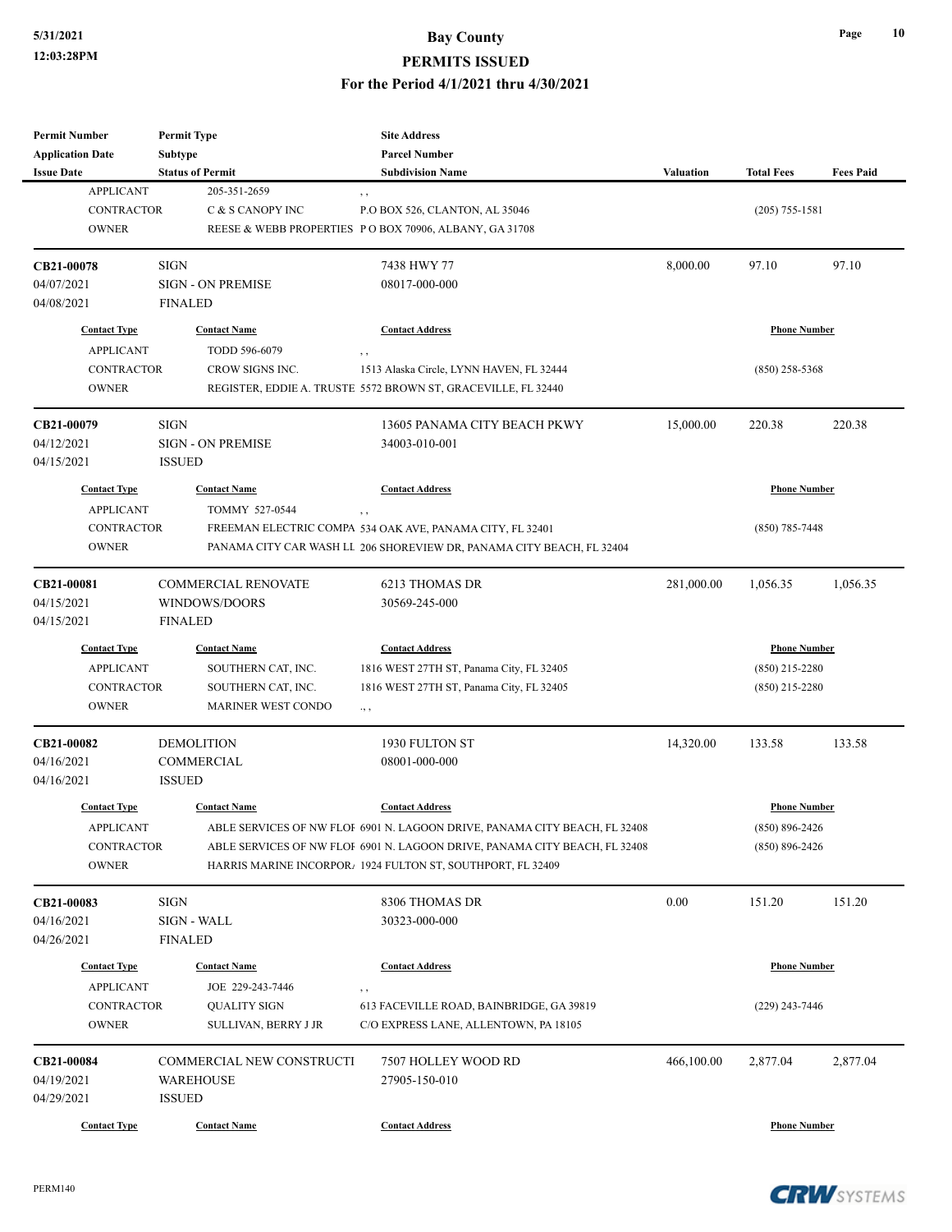| <b>Permit Number</b>    | <b>Permit Type</b>         | <b>Site Address</b>                                                        |                  |                     |                  |
|-------------------------|----------------------------|----------------------------------------------------------------------------|------------------|---------------------|------------------|
| <b>Application Date</b> | Subtype                    | <b>Parcel Number</b>                                                       |                  |                     |                  |
| <b>Issue Date</b>       | <b>Status of Permit</b>    | <b>Subdivision Name</b>                                                    | <b>Valuation</b> | <b>Total Fees</b>   | <b>Fees Paid</b> |
| <b>APPLICANT</b>        | 205-351-2659               | , ,                                                                        |                  |                     |                  |
| <b>CONTRACTOR</b>       | C & S CANOPY INC           | P.O BOX 526, CLANTON, AL 35046                                             |                  | $(205)$ 755-1581    |                  |
| <b>OWNER</b>            |                            | REESE & WEBB PROPERTIES PO BOX 70906, ALBANY, GA 31708                     |                  |                     |                  |
| CB21-00078              | <b>SIGN</b>                | 7438 HWY 77                                                                | 8,000.00         | 97.10               | 97.10            |
| 04/07/2021              | <b>SIGN - ON PREMISE</b>   | 08017-000-000                                                              |                  |                     |                  |
| 04/08/2021              | <b>FINALED</b>             |                                                                            |                  |                     |                  |
| <b>Contact Type</b>     | <b>Contact Name</b>        | <b>Contact Address</b>                                                     |                  | <b>Phone Number</b> |                  |
| <b>APPLICANT</b>        | TODD 596-6079              | $, \, ,$                                                                   |                  |                     |                  |
| <b>CONTRACTOR</b>       | CROW SIGNS INC.            | 1513 Alaska Circle, LYNN HAVEN, FL 32444                                   |                  | $(850)$ 258-5368    |                  |
| <b>OWNER</b>            |                            | REGISTER, EDDIE A. TRUSTE 5572 BROWN ST, GRACEVILLE, FL 32440              |                  |                     |                  |
| CB21-00079              | <b>SIGN</b>                | 13605 PANAMA CITY BEACH PKWY                                               | 15,000.00        | 220.38              | 220.38           |
| 04/12/2021              | <b>SIGN - ON PREMISE</b>   | 34003-010-001                                                              |                  |                     |                  |
| 04/15/2021              | <b>ISSUED</b>              |                                                                            |                  |                     |                  |
| <b>Contact Type</b>     | <b>Contact Name</b>        | <b>Contact Address</b>                                                     |                  | <b>Phone Number</b> |                  |
| <b>APPLICANT</b>        | TOMMY 527-0544             | ,,                                                                         |                  |                     |                  |
| <b>CONTRACTOR</b>       |                            | FREEMAN ELECTRIC COMPA 534 OAK AVE, PANAMA CITY, FL 32401                  |                  | $(850)$ 785-7448    |                  |
| <b>OWNER</b>            |                            | PANAMA CITY CAR WASH LL 206 SHOREVIEW DR, PANAMA CITY BEACH, FL 32404      |                  |                     |                  |
|                         |                            |                                                                            |                  |                     |                  |
| CB21-00081              | <b>COMMERCIAL RENOVATE</b> | 6213 THOMAS DR                                                             | 281,000.00       | 1,056.35            | 1,056.35         |
| 04/15/2021              | WINDOWS/DOORS              | 30569-245-000                                                              |                  |                     |                  |
| 04/15/2021              | <b>FINALED</b>             |                                                                            |                  |                     |                  |
| <b>Contact Type</b>     | <b>Contact Name</b>        | <b>Contact Address</b>                                                     |                  | <b>Phone Number</b> |                  |
| <b>APPLICANT</b>        | SOUTHERN CAT, INC.         | 1816 WEST 27TH ST, Panama City, FL 32405                                   |                  | $(850)$ 215-2280    |                  |
| <b>CONTRACTOR</b>       | SOUTHERN CAT, INC.         | 1816 WEST 27TH ST, Panama City, FL 32405                                   |                  | $(850)$ 215-2280    |                  |
| <b>OWNER</b>            | <b>MARINER WEST CONDO</b>  | ., ,                                                                       |                  |                     |                  |
| CB21-00082              | <b>DEMOLITION</b>          | 1930 FULTON ST                                                             | 14,320.00        | 133.58              | 133.58           |
| 04/16/2021              | COMMERCIAL                 | 08001-000-000                                                              |                  |                     |                  |
| 04/16/2021              | <b>ISSUED</b>              |                                                                            |                  |                     |                  |
| <b>Contact Type</b>     | <b>Contact Name</b>        | <b>Contact Address</b>                                                     |                  | <b>Phone Number</b> |                  |
| <b>APPLICANT</b>        |                            | ABLE SERVICES OF NW FLOF 6901 N. LAGOON DRIVE, PANAMA CITY BEACH, FL 32408 |                  | $(850) 896 - 2426$  |                  |
| <b>CONTRACTOR</b>       |                            | ABLE SERVICES OF NW FLOI 6901 N. LAGOON DRIVE, PANAMA CITY BEACH, FL 32408 |                  | $(850) 896 - 2426$  |                  |
| <b>OWNER</b>            |                            | HARRIS MARINE INCORPOR. 1924 FULTON ST, SOUTHPORT, FL 32409                |                  |                     |                  |
| CB21-00083              | SIGN                       | 8306 THOMAS DR                                                             | 0.00             | 151.20              | 151.20           |
| 04/16/2021              | SIGN - WALL                | 30323-000-000                                                              |                  |                     |                  |
| 04/26/2021              | <b>FINALED</b>             |                                                                            |                  |                     |                  |
| <b>Contact Type</b>     | <b>Contact Name</b>        | <b>Contact Address</b>                                                     |                  | <b>Phone Number</b> |                  |
| <b>APPLICANT</b>        | JOE 229-243-7446           | , ,                                                                        |                  |                     |                  |
| CONTRACTOR              | <b>QUALITY SIGN</b>        | 613 FACEVILLE ROAD, BAINBRIDGE, GA 39819                                   |                  | (229) 243-7446      |                  |
| <b>OWNER</b>            | SULLIVAN, BERRY J JR       | C/O EXPRESS LANE, ALLENTOWN, PA 18105                                      |                  |                     |                  |
| CB21-00084              | COMMERCIAL NEW CONSTRUCTI  | 7507 HOLLEY WOOD RD                                                        | 466,100.00       | 2,877.04            | 2,877.04         |
| 04/19/2021              | <b>WAREHOUSE</b>           | 27905-150-010                                                              |                  |                     |                  |
| 04/29/2021              | <b>ISSUED</b>              |                                                                            |                  |                     |                  |
|                         |                            |                                                                            |                  |                     |                  |
| <b>Contact Type</b>     | <b>Contact Name</b>        | <b>Contact Address</b>                                                     |                  | <b>Phone Number</b> |                  |

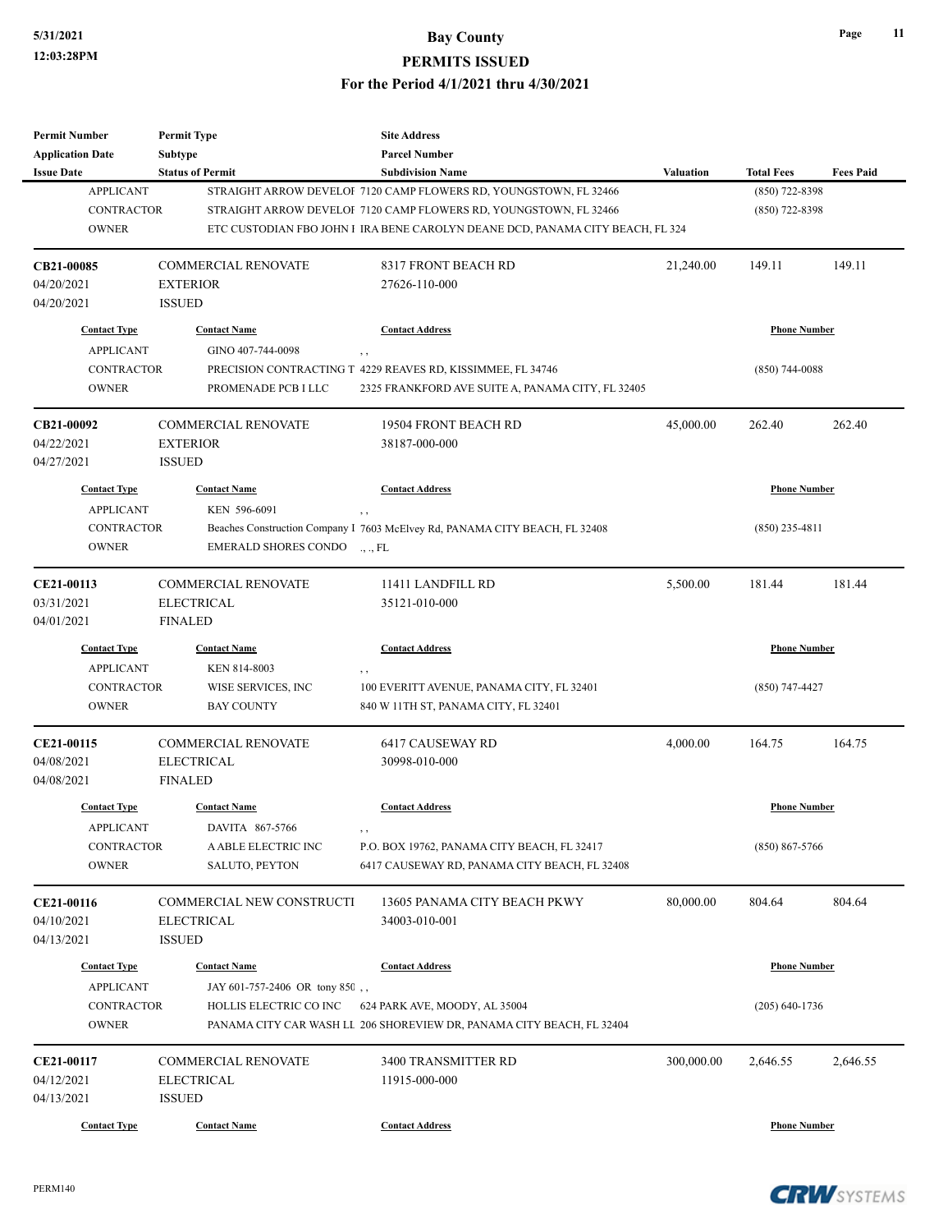| <b>Permit Number</b>    | <b>Permit Type</b>            | <b>Site Address</b>                                                            |            |                     |                  |
|-------------------------|-------------------------------|--------------------------------------------------------------------------------|------------|---------------------|------------------|
| <b>Application Date</b> | <b>Subtype</b>                | <b>Parcel Number</b>                                                           |            |                     |                  |
| <b>Issue Date</b>       | <b>Status of Permit</b>       | <b>Subdivision Name</b>                                                        | Valuation  | <b>Total Fees</b>   | <b>Fees Paid</b> |
| <b>APPLICANT</b>        |                               | STRAIGHT ARROW DEVELOI 7120 CAMP FLOWERS RD, YOUNGSTOWN, FL 32466              |            | (850) 722-8398      |                  |
| <b>CONTRACTOR</b>       |                               | STRAIGHT ARROW DEVELOI 7120 CAMP FLOWERS RD, YOUNGSTOWN, FL 32466              |            | $(850)$ 722-8398    |                  |
| <b>OWNER</b>            |                               | ETC CUSTODIAN FBO JOHN I IRA BENE CAROLYN DEANE DCD, PANAMA CITY BEACH, FL 324 |            |                     |                  |
| CB21-00085              | <b>COMMERCIAL RENOVATE</b>    | 8317 FRONT BEACH RD                                                            | 21,240.00  | 149.11              | 149.11           |
| 04/20/2021              | <b>EXTERIOR</b>               | 27626-110-000                                                                  |            |                     |                  |
| 04/20/2021              | <b>ISSUED</b>                 |                                                                                |            |                     |                  |
| <b>Contact Type</b>     | <b>Contact Name</b>           | <b>Contact Address</b>                                                         |            | <b>Phone Number</b> |                  |
| <b>APPLICANT</b>        | GINO 407-744-0098             | $, \, , \,$                                                                    |            |                     |                  |
| <b>CONTRACTOR</b>       |                               | PRECISION CONTRACTING T 4229 REAVES RD, KISSIMMEE, FL 34746                    |            | $(850)$ 744-0088    |                  |
| <b>OWNER</b>            | PROMENADE PCB I LLC           | 2325 FRANKFORD AVE SUITE A, PANAMA CITY, FL 32405                              |            |                     |                  |
| CB21-00092              | COMMERCIAL RENOVATE           | 19504 FRONT BEACH RD                                                           | 45,000.00  | 262.40              | 262.40           |
| 04/22/2021              | <b>EXTERIOR</b>               | 38187-000-000                                                                  |            |                     |                  |
| 04/27/2021              | <b>ISSUED</b>                 |                                                                                |            |                     |                  |
| <b>Contact Type</b>     | <b>Contact Name</b>           | <b>Contact Address</b>                                                         |            | <b>Phone Number</b> |                  |
| <b>APPLICANT</b>        | KEN 596-6091                  | , ,                                                                            |            |                     |                  |
| <b>CONTRACTOR</b>       |                               | Beaches Construction Company I 7603 McElvey Rd, PANAMA CITY BEACH, FL 32408    |            | $(850)$ 235-4811    |                  |
| <b>OWNER</b>            | <b>EMERALD SHORES CONDO</b>   | $\cdot$ , $\cdot$ , FL                                                         |            |                     |                  |
| CE21-00113              | <b>COMMERCIAL RENOVATE</b>    | 11411 LANDFILL RD                                                              | 5,500.00   | 181.44              | 181.44           |
| 03/31/2021              | <b>ELECTRICAL</b>             | 35121-010-000                                                                  |            |                     |                  |
| 04/01/2021              | <b>FINALED</b>                |                                                                                |            |                     |                  |
| <b>Contact Type</b>     | <b>Contact Name</b>           | <b>Contact Address</b>                                                         |            | <b>Phone Number</b> |                  |
| <b>APPLICANT</b>        | KEN 814-8003                  | , ,                                                                            |            |                     |                  |
| <b>CONTRACTOR</b>       | WISE SERVICES, INC            | 100 EVERITT AVENUE, PANAMA CITY, FL 32401                                      |            | $(850)$ 747-4427    |                  |
| <b>OWNER</b>            | <b>BAY COUNTY</b>             | 840 W 11TH ST, PANAMA CITY, FL 32401                                           |            |                     |                  |
| CE21-00115              | COMMERCIAL RENOVATE           | 6417 CAUSEWAY RD                                                               | 4,000.00   | 164.75              | 164.75           |
| 04/08/2021              | <b>ELECTRICAL</b>             | 30998-010-000                                                                  |            |                     |                  |
| 04/08/2021              | <b>FINALED</b>                |                                                                                |            |                     |                  |
| <b>Contact Type</b>     | <b>Contact Name</b>           | <b>Contact Address</b>                                                         |            | <b>Phone Number</b> |                  |
| <b>APPLICANT</b>        | DAVITA 867-5766               |                                                                                |            |                     |                  |
| CONTRACTOR              | A ABLE ELECTRIC INC           | P.O. BOX 19762, PANAMA CITY BEACH, FL 32417                                    |            | $(850) 867 - 5766$  |                  |
| <b>OWNER</b>            | <b>SALUTO, PEYTON</b>         | 6417 CAUSEWAY RD, PANAMA CITY BEACH, FL 32408                                  |            |                     |                  |
| CE21-00116              | COMMERCIAL NEW CONSTRUCTI     | 13605 PANAMA CITY BEACH PKWY                                                   | 80,000.00  | 804.64              | 804.64           |
| 04/10/2021              | <b>ELECTRICAL</b>             | 34003-010-001                                                                  |            |                     |                  |
| 04/13/2021              | <b>ISSUED</b>                 |                                                                                |            |                     |                  |
| <b>Contact Type</b>     | <b>Contact Name</b>           | <b>Contact Address</b>                                                         |            | <b>Phone Number</b> |                  |
| <b>APPLICANT</b>        | JAY 601-757-2406 OR tony 850, |                                                                                |            |                     |                  |
| CONTRACTOR              | HOLLIS ELECTRIC CO INC        | 624 PARK AVE, MOODY, AL 35004                                                  |            | $(205)$ 640-1736    |                  |
| <b>OWNER</b>            |                               | PANAMA CITY CAR WASH LL 206 SHOREVIEW DR, PANAMA CITY BEACH, FL 32404          |            |                     |                  |
|                         |                               |                                                                                |            |                     |                  |
| CE21-00117              | COMMERCIAL RENOVATE           | 3400 TRANSMITTER RD                                                            | 300,000.00 | 2,646.55            | 2,646.55         |
| 04/12/2021              | <b>ELECTRICAL</b>             | 11915-000-000                                                                  |            |                     |                  |
| 04/13/2021              | <b>ISSUED</b>                 |                                                                                |            |                     |                  |
| <b>Contact Type</b>     | <b>Contact Name</b>           | <b>Contact Address</b>                                                         |            | <b>Phone Number</b> |                  |

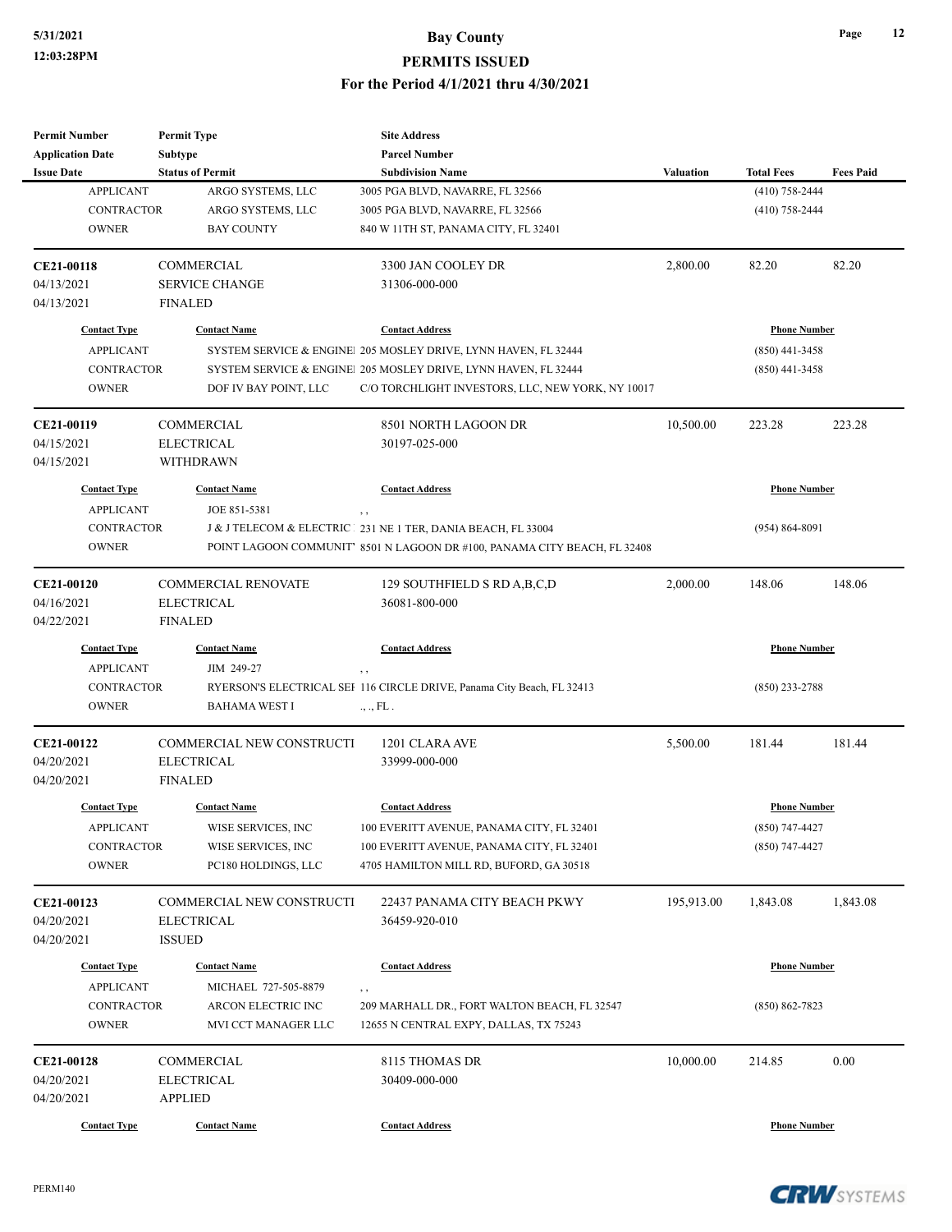| <b>Permit Number</b>    | <b>Permit Type</b>               | <b>Site Address</b>                                                       |                  |                     |                  |
|-------------------------|----------------------------------|---------------------------------------------------------------------------|------------------|---------------------|------------------|
| <b>Application Date</b> | Subtype                          | <b>Parcel Number</b>                                                      |                  |                     |                  |
| <b>Issue Date</b>       | <b>Status of Permit</b>          | <b>Subdivision Name</b>                                                   | <b>Valuation</b> | <b>Total Fees</b>   | <b>Fees Paid</b> |
| <b>APPLICANT</b>        | ARGO SYSTEMS, LLC                | 3005 PGA BLVD, NAVARRE, FL 32566                                          |                  | $(410)$ 758-2444    |                  |
| <b>CONTRACTOR</b>       | ARGO SYSTEMS, LLC                | 3005 PGA BLVD, NAVARRE, FL 32566                                          |                  | $(410)$ 758-2444    |                  |
| <b>OWNER</b>            | <b>BAY COUNTY</b>                | 840 W 11TH ST, PANAMA CITY, FL 32401                                      |                  |                     |                  |
| CE21-00118              | <b>COMMERCIAL</b>                | 3300 JAN COOLEY DR                                                        | 2,800.00         | 82.20               | 82.20            |
| 04/13/2021              | <b>SERVICE CHANGE</b>            | 31306-000-000                                                             |                  |                     |                  |
| 04/13/2021              | <b>FINALED</b>                   |                                                                           |                  |                     |                  |
| <b>Contact Type</b>     | <b>Contact Name</b>              | <b>Contact Address</b>                                                    |                  | <b>Phone Number</b> |                  |
| <b>APPLICANT</b>        |                                  | SYSTEM SERVICE & ENGINE 205 MOSLEY DRIVE, LYNN HAVEN, FL 32444            |                  | $(850)$ 441-3458    |                  |
| <b>CONTRACTOR</b>       |                                  | SYSTEM SERVICE & ENGINE 205 MOSLEY DRIVE, LYNN HAVEN, FL 32444            |                  | $(850)$ 441-3458    |                  |
| <b>OWNER</b>            | DOF IV BAY POINT, LLC            | C/O TORCHLIGHT INVESTORS, LLC, NEW YORK, NY 10017                         |                  |                     |                  |
| CE21-00119              | COMMERCIAL                       | 8501 NORTH LAGOON DR                                                      | 10,500.00        | 223.28              | 223.28           |
| 04/15/2021              | <b>ELECTRICAL</b>                | 30197-025-000                                                             |                  |                     |                  |
| 04/15/2021              | <b>WITHDRAWN</b>                 |                                                                           |                  |                     |                  |
| <b>Contact Type</b>     | <b>Contact Name</b>              | <b>Contact Address</b>                                                    |                  | <b>Phone Number</b> |                  |
| <b>APPLICANT</b>        | JOE 851-5381                     | , ,                                                                       |                  |                     |                  |
| <b>CONTRACTOR</b>       |                                  | J & J TELECOM & ELECTRIC 231 NE 1 TER, DANIA BEACH, FL 33004              |                  | $(954) 864 - 8091$  |                  |
| <b>OWNER</b>            |                                  | POINT LAGOON COMMUNIT' 8501 N LAGOON DR #100, PANAMA CITY BEACH, FL 32408 |                  |                     |                  |
| CE21-00120              | <b>COMMERCIAL RENOVATE</b>       | 129 SOUTHFIELD S RD A, B, C, D                                            | 2,000.00         | 148.06              | 148.06           |
| 04/16/2021              | <b>ELECTRICAL</b>                | 36081-800-000                                                             |                  |                     |                  |
| 04/22/2021              | <b>FINALED</b>                   |                                                                           |                  |                     |                  |
| <b>Contact Type</b>     | <b>Contact Name</b>              | <b>Contact Address</b>                                                    |                  | <b>Phone Number</b> |                  |
| <b>APPLICANT</b>        | JIM 249-27                       | $, \, ,$                                                                  |                  |                     |                  |
| CONTRACTOR              |                                  | RYERSON'S ELECTRICAL SEI 116 CIRCLE DRIVE, Panama City Beach, FL 32413    |                  | $(850)$ 233-2788    |                  |
| <b>OWNER</b>            | <b>BAHAMA WEST I</b>             | ., ., FL.                                                                 |                  |                     |                  |
| CE21-00122              | <b>COMMERCIAL NEW CONSTRUCTI</b> | 1201 CLARA AVE                                                            | 5,500.00         | 181.44              | 181.44           |
| 04/20/2021              | <b>ELECTRICAL</b>                | 33999-000-000                                                             |                  |                     |                  |
| 04/20/2021              | <b>FINALED</b>                   |                                                                           |                  |                     |                  |
| <b>Contact Type</b>     | <b>Contact Name</b>              | <b>Contact Address</b>                                                    |                  | <b>Phone Number</b> |                  |
| <b>APPLICANT</b>        | WISE SERVICES, INC               | 100 EVERITT AVENUE, PANAMA CITY, FL 32401                                 |                  | (850) 747-4427      |                  |
| CONTRACTOR              | WISE SERVICES, INC               | 100 EVERITT AVENUE, PANAMA CITY, FL 32401                                 |                  | $(850)$ 747-4427    |                  |
| <b>OWNER</b>            | PC180 HOLDINGS, LLC              | 4705 HAMILTON MILL RD, BUFORD, GA 30518                                   |                  |                     |                  |
| CE21-00123              | COMMERCIAL NEW CONSTRUCTI        | 22437 PANAMA CITY BEACH PKWY                                              | 195,913.00       | 1,843.08            | 1,843.08         |
| 04/20/2021              | <b>ELECTRICAL</b>                | 36459-920-010                                                             |                  |                     |                  |
| 04/20/2021              | <b>ISSUED</b>                    |                                                                           |                  |                     |                  |
| <b>Contact Type</b>     | <b>Contact Name</b>              | <b>Contact Address</b>                                                    |                  | <b>Phone Number</b> |                  |
| <b>APPLICANT</b>        | MICHAEL 727-505-8879             | $, \, ,$                                                                  |                  |                     |                  |
| CONTRACTOR              | ARCON ELECTRIC INC               | 209 MARHALL DR., FORT WALTON BEACH, FL 32547                              |                  | $(850) 862 - 7823$  |                  |
| <b>OWNER</b>            | MVI CCT MANAGER LLC              | 12655 N CENTRAL EXPY, DALLAS, TX 75243                                    |                  |                     |                  |
| CE21-00128              | COMMERCIAL                       | 8115 THOMAS DR                                                            | 10,000.00        | 214.85              | 0.00             |
| 04/20/2021              | <b>ELECTRICAL</b>                | 30409-000-000                                                             |                  |                     |                  |
| 04/20/2021              | <b>APPLIED</b>                   |                                                                           |                  |                     |                  |
| <b>Contact Type</b>     | <b>Contact Name</b>              | <b>Contact Address</b>                                                    |                  | <b>Phone Number</b> |                  |

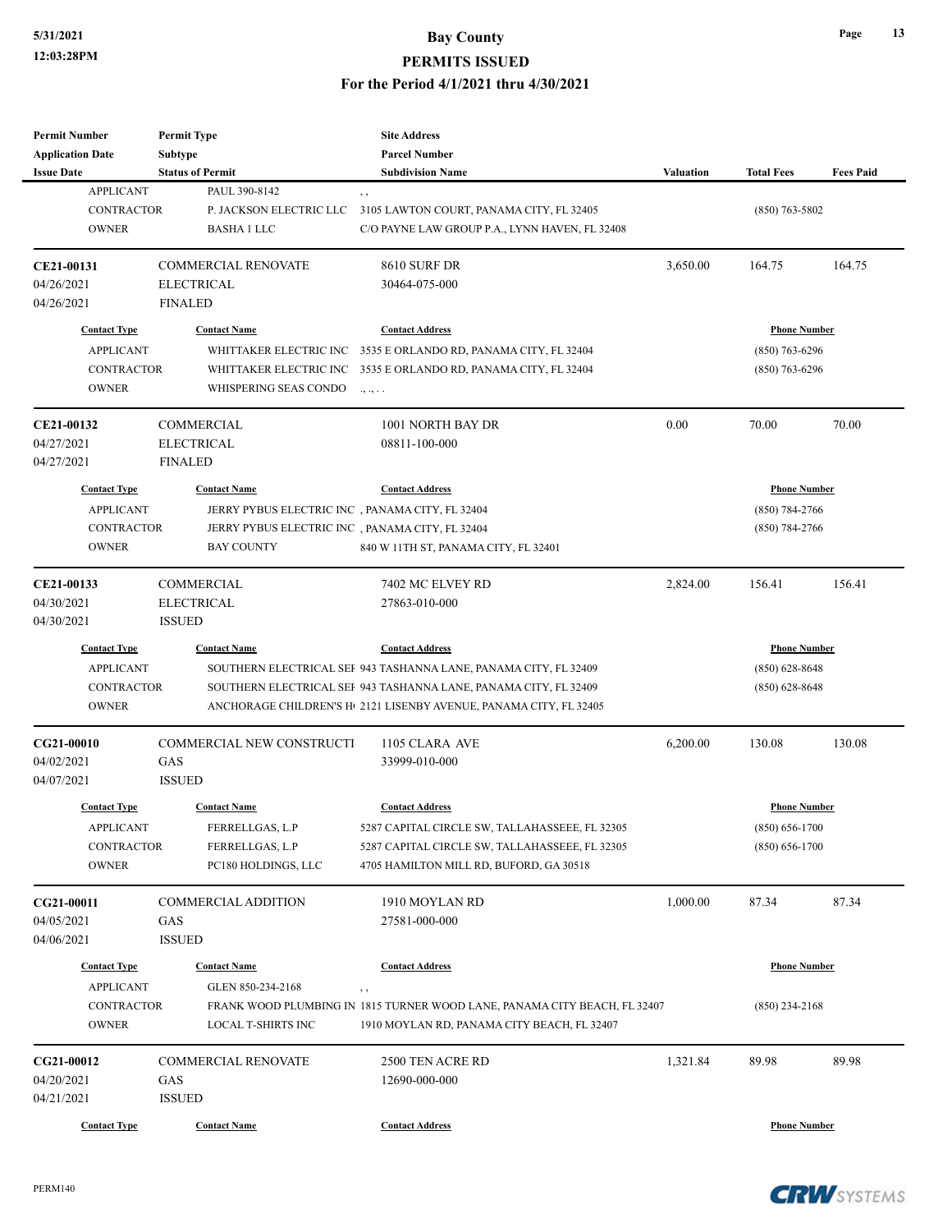| <b>Permit Number</b>    | <b>Permit Type</b>               | <b>Site Address</b>                                                            |                  |                     |                  |
|-------------------------|----------------------------------|--------------------------------------------------------------------------------|------------------|---------------------|------------------|
| <b>Application Date</b> | <b>Subtype</b>                   | <b>Parcel Number</b>                                                           |                  |                     |                  |
| <b>Issue Date</b>       | <b>Status of Permit</b>          | <b>Subdivision Name</b>                                                        | <b>Valuation</b> | <b>Total Fees</b>   | <b>Fees Paid</b> |
| <b>APPLICANT</b>        | PAUL 390-8142                    | , ,                                                                            |                  |                     |                  |
| <b>CONTRACTOR</b>       | P. JACKSON ELECTRIC LLC          | 3105 LAWTON COURT, PANAMA CITY, FL 32405                                       |                  | $(850)$ 763-5802    |                  |
| <b>OWNER</b>            | <b>BASHA 1 LLC</b>               | C/O PAYNE LAW GROUP P.A., LYNN HAVEN, FL 32408                                 |                  |                     |                  |
| CE21-00131              | <b>COMMERCIAL RENOVATE</b>       | <b>8610 SURF DR</b>                                                            | 3,650.00         | 164.75              | 164.75           |
| 04/26/2021              | <b>ELECTRICAL</b>                | 30464-075-000                                                                  |                  |                     |                  |
| 04/26/2021              | <b>FINALED</b>                   |                                                                                |                  |                     |                  |
|                         |                                  |                                                                                |                  |                     |                  |
| <b>Contact Type</b>     | <b>Contact Name</b>              | <b>Contact Address</b>                                                         |                  | <b>Phone Number</b> |                  |
| <b>APPLICANT</b>        | WHITTAKER ELECTRIC INC           | 3535 E ORLANDO RD, PANAMA CITY, FL 32404                                       |                  | $(850)$ 763-6296    |                  |
| <b>CONTRACTOR</b>       | WHITTAKER ELECTRIC INC           | 3535 E ORLANDO RD, PANAMA CITY, FL 32404                                       |                  | $(850)$ 763-6296    |                  |
| <b>OWNER</b>            | WHISPERING SEAS CONDO            | .,                                                                             |                  |                     |                  |
| CE21-00132              | COMMERCIAL                       | 1001 NORTH BAY DR                                                              | 0.00             | 70.00               | 70.00            |
| 04/27/2021              | <b>ELECTRICAL</b>                | 08811-100-000                                                                  |                  |                     |                  |
| 04/27/2021              | <b>FINALED</b>                   |                                                                                |                  |                     |                  |
| <b>Contact Type</b>     | <b>Contact Name</b>              | <b>Contact Address</b>                                                         |                  | <b>Phone Number</b> |                  |
| <b>APPLICANT</b>        |                                  | JERRY PYBUS ELECTRIC INC, PANAMA CITY, FL 32404                                |                  | $(850) 784 - 2766$  |                  |
| <b>CONTRACTOR</b>       |                                  | JERRY PYBUS ELECTRIC INC, PANAMA CITY, FL 32404                                |                  | $(850)$ 784-2766    |                  |
| <b>OWNER</b>            | <b>BAY COUNTY</b>                |                                                                                |                  |                     |                  |
|                         |                                  | 840 W 11TH ST, PANAMA CITY, FL 32401                                           |                  |                     |                  |
| CE21-00133              | COMMERCIAL                       | 7402 MC ELVEY RD                                                               | 2,824.00         | 156.41              | 156.41           |
| 04/30/2021              | <b>ELECTRICAL</b>                | 27863-010-000                                                                  |                  |                     |                  |
| 04/30/2021              | <b>ISSUED</b>                    |                                                                                |                  |                     |                  |
| <b>Contact Type</b>     | <b>Contact Name</b>              | <b>Contact Address</b>                                                         |                  | <b>Phone Number</b> |                  |
| <b>APPLICANT</b>        |                                  | SOUTHERN ELECTRICAL SEF 943 TASHANNA LANE, PANAMA CITY, FL 32409               |                  | $(850) 628 - 8648$  |                  |
| <b>CONTRACTOR</b>       |                                  | SOUTHERN ELECTRICAL SEF 943 TASHANNA LANE, PANAMA CITY, FL 32409               |                  | $(850)$ 628-8648    |                  |
| <b>OWNER</b>            |                                  | ANCHORAGE CHILDREN'S H <sub>1</sub> 2121 LISENBY AVENUE, PANAMA CITY, FL 32405 |                  |                     |                  |
| CG21-00010              | <b>COMMERCIAL NEW CONSTRUCTI</b> | 1105 CLARA AVE                                                                 | 6,200.00         | 130.08              | 130.08           |
| 04/02/2021              | GAS                              | 33999-010-000                                                                  |                  |                     |                  |
| 04/07/2021              | <b>ISSUED</b>                    |                                                                                |                  |                     |                  |
| <b>Contact Type</b>     | <b>Contact Name</b>              | <b>Contact Address</b>                                                         |                  | <b>Phone Number</b> |                  |
|                         |                                  |                                                                                |                  |                     |                  |
| <b>APPLICANT</b>        | FERRELLGAS, L.P                  | 5287 CAPITAL CIRCLE SW, TALLAHASSEEE, FL 32305                                 |                  | $(850) 656 - 1700$  |                  |
| CONTRACTOR              | FERRELLGAS, L.P                  | 5287 CAPITAL CIRCLE SW, TALLAHASSEEE, FL 32305                                 |                  | $(850) 656 - 1700$  |                  |
| <b>OWNER</b>            | PC180 HOLDINGS, LLC              | 4705 HAMILTON MILL RD, BUFORD, GA 30518                                        |                  |                     |                  |
| CG21-00011              | COMMERCIAL ADDITION              | 1910 MOYLAN RD                                                                 | 1,000.00         | 87.34               | 87.34            |
| 04/05/2021              | GAS                              | 27581-000-000                                                                  |                  |                     |                  |
| 04/06/2021              | <b>ISSUED</b>                    |                                                                                |                  |                     |                  |
| <b>Contact Type</b>     | <b>Contact Name</b>              | <b>Contact Address</b>                                                         |                  | <b>Phone Number</b> |                  |
| <b>APPLICANT</b>        | GLEN 850-234-2168                | $, \, , \,$                                                                    |                  |                     |                  |
| CONTRACTOR              |                                  | FRANK WOOD PLUMBING IN 1815 TURNER WOOD LANE, PANAMA CITY BEACH, FL 32407      |                  | $(850)$ 234-2168    |                  |
| <b>OWNER</b>            | LOCAL T-SHIRTS INC               | 1910 MOYLAN RD, PANAMA CITY BEACH, FL 32407                                    |                  |                     |                  |
|                         |                                  |                                                                                |                  |                     |                  |
| CG21-00012              | <b>COMMERCIAL RENOVATE</b>       | 2500 TEN ACRE RD                                                               | 1,321.84         | 89.98               | 89.98            |
| 04/20/2021              | GAS                              | 12690-000-000                                                                  |                  |                     |                  |
| 04/21/2021              | <b>ISSUED</b>                    |                                                                                |                  |                     |                  |
| <b>Contact Type</b>     | <b>Contact Name</b>              | <b>Contact Address</b>                                                         |                  | <b>Phone Number</b> |                  |

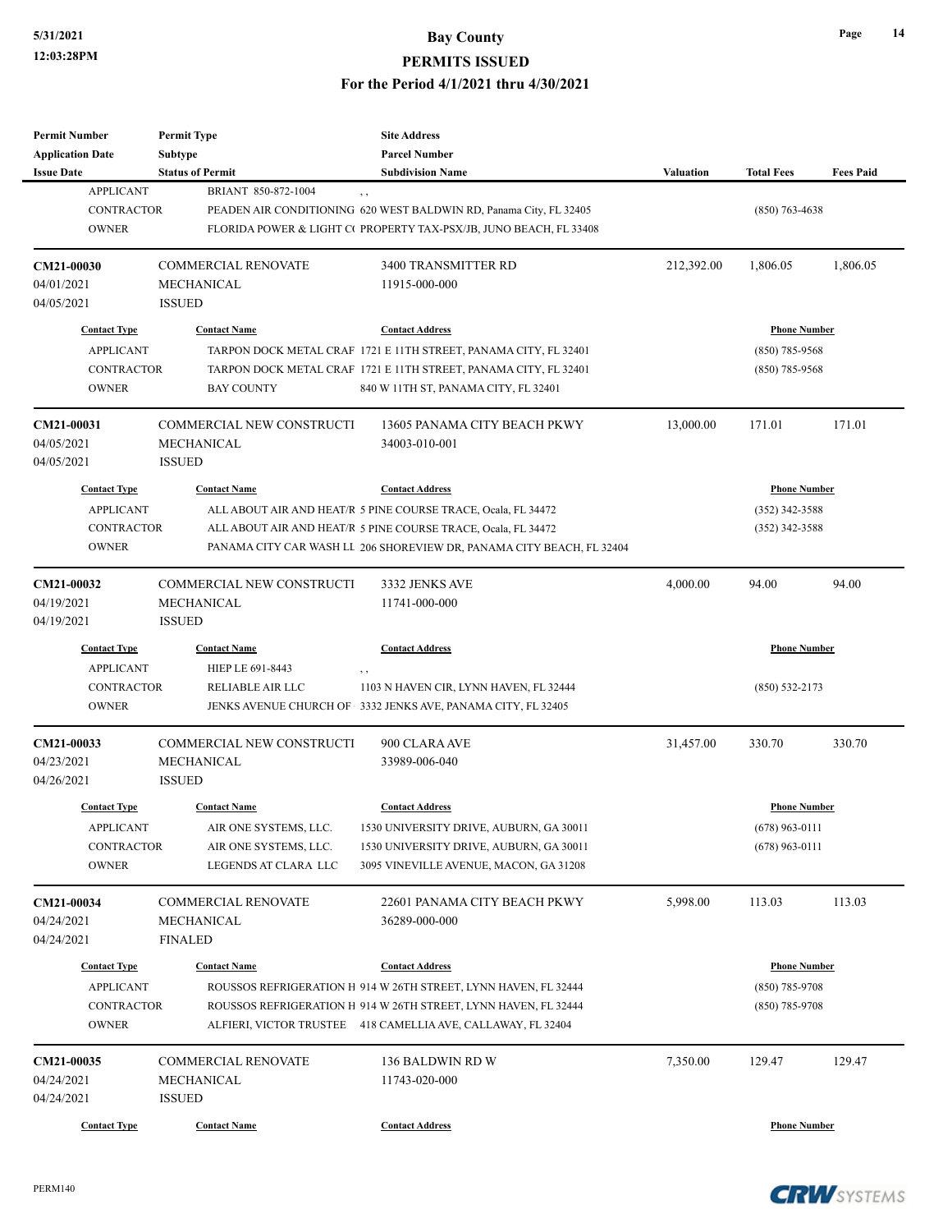**Permit Number**

**Permit Type**

### **5/31/2021 Bay County PERMITS ISSUED For the Period 4/1/2021 thru 4/30/2021**

**Site Address**

| <b>Application Date</b>                                                      | Subtype                                                                                       | <b>Parcel Number</b>                                                                                                                                                                                                              |                  |                                                             |                  |
|------------------------------------------------------------------------------|-----------------------------------------------------------------------------------------------|-----------------------------------------------------------------------------------------------------------------------------------------------------------------------------------------------------------------------------------|------------------|-------------------------------------------------------------|------------------|
| <b>Issue Date</b>                                                            | <b>Status of Permit</b>                                                                       | <b>Subdivision Name</b>                                                                                                                                                                                                           | <b>Valuation</b> | <b>Total Fees</b>                                           | <b>Fees Paid</b> |
| <b>APPLICANT</b><br><b>CONTRACTOR</b><br><b>OWNER</b>                        | BRIANT 850-872-1004                                                                           | PEADEN AIR CONDITIONING 620 WEST BALDWIN RD, Panama City, FL 32405<br>FLORIDA POWER & LIGHT C( PROPERTY TAX-PSX/JB, JUNO BEACH, FL 33408                                                                                          |                  | $(850)$ 763-4638                                            |                  |
| CM21-00030<br>04/01/2021<br>04/05/2021                                       | <b>COMMERCIAL RENOVATE</b><br>MECHANICAL<br><b>ISSUED</b>                                     | 3400 TRANSMITTER RD<br>11915-000-000                                                                                                                                                                                              | 212,392.00       | 1,806.05                                                    | 1,806.05         |
| <b>Contact Type</b><br><b>APPLICANT</b><br><b>CONTRACTOR</b><br><b>OWNER</b> | <b>Contact Name</b><br><b>BAY COUNTY</b>                                                      | <b>Contact Address</b><br>TARPON DOCK METAL CRAF 1721 E 11TH STREET, PANAMA CITY, FL 32401<br>TARPON DOCK METAL CRAF 1721 E 11TH STREET, PANAMA CITY, FL 32401<br>840 W 11TH ST, PANAMA CITY, FL 32401                            |                  | <b>Phone Number</b><br>$(850)$ 785-9568<br>$(850)$ 785-9568 |                  |
| CM21-00031<br>04/05/2021<br>04/05/2021                                       | COMMERCIAL NEW CONSTRUCTI<br>MECHANICAL<br><b>ISSUED</b>                                      | 13605 PANAMA CITY BEACH PKWY<br>34003-010-001                                                                                                                                                                                     | 13,000.00        | 171.01                                                      | 171.01           |
| <b>Contact Type</b><br><b>APPLICANT</b><br><b>CONTRACTOR</b><br><b>OWNER</b> | <b>Contact Name</b>                                                                           | <b>Contact Address</b><br>ALL ABOUT AIR AND HEAT/R 5 PINE COURSE TRACE, Ocala, FL 34472<br>ALL ABOUT AIR AND HEAT/R 5 PINE COURSE TRACE, Ocala, FL 34472<br>PANAMA CITY CAR WASH LL 206 SHOREVIEW DR, PANAMA CITY BEACH, FL 32404 |                  | <b>Phone Number</b><br>$(352)$ 342-3588<br>$(352)$ 342-3588 |                  |
| CM21-00032<br>04/19/2021<br>04/19/2021                                       | COMMERCIAL NEW CONSTRUCTI<br>MECHANICAL<br><b>ISSUED</b>                                      | 3332 JENKS AVE<br>11741-000-000                                                                                                                                                                                                   | 4,000.00         | 94.00                                                       | 94.00            |
| <b>Contact Type</b><br><b>APPLICANT</b><br><b>CONTRACTOR</b><br><b>OWNER</b> | <b>Contact Name</b><br>HIEP LE 691-8443<br>RELIABLE AIR LLC                                   | <b>Contact Address</b><br>1103 N HAVEN CIR, LYNN HAVEN, FL 32444<br>JENKS AVENUE CHURCH OF 3332 JENKS AVE, PANAMA CITY, FL 32405                                                                                                  |                  | <b>Phone Number</b><br>$(850)$ 532-2173                     |                  |
| CM21-00033<br>04/23/2021<br>04/26/2021                                       | COMMERCIAL NEW CONSTRUCTI<br>MECHANICAL<br><b>ISSUED</b>                                      | 900 CLARA AVE<br>33989-006-040                                                                                                                                                                                                    | 31,457.00        | 330.70                                                      | 330.70           |
| <b>Contact Type</b><br><b>APPLICANT</b><br>CONTRACTOR<br><b>OWNER</b>        | <b>Contact Name</b><br>AIR ONE SYSTEMS, LLC.<br>AIR ONE SYSTEMS, LLC.<br>LEGENDS AT CLARA LLC | <b>Contact Address</b><br>1530 UNIVERSITY DRIVE, AUBURN, GA 30011<br>1530 UNIVERSITY DRIVE, AUBURN, GA 30011<br>3095 VINEVILLE AVENUE, MACON, GA 31208                                                                            |                  | <b>Phone Number</b><br>$(678)$ 963-0111<br>$(678)$ 963-0111 |                  |
| CM21-00034<br>04/24/2021<br>04/24/2021                                       | <b>COMMERCIAL RENOVATE</b><br>MECHANICAL<br><b>FINALED</b>                                    | 22601 PANAMA CITY BEACH PKWY<br>36289-000-000                                                                                                                                                                                     | 5,998.00         | 113.03                                                      | 113.03           |
| <b>Contact Type</b><br><b>APPLICANT</b><br><b>CONTRACTOR</b><br><b>OWNER</b> | <b>Contact Name</b>                                                                           | <b>Contact Address</b><br>ROUSSOS REFRIGERATION H 914 W 26TH STREET, LYNN HAVEN, FL 32444<br>ROUSSOS REFRIGERATION H 914 W 26TH STREET, LYNN HAVEN, FL 32444<br>ALFIERI, VICTOR TRUSTEE 418 CAMELLIA AVE, CALLAWAY, FL 32404      |                  | <b>Phone Number</b><br>$(850)$ 785-9708<br>$(850)$ 785-9708 |                  |
| CM21-00035<br>04/24/2021<br>04/24/2021                                       | <b>COMMERCIAL RENOVATE</b><br>MECHANICAL<br><b>ISSUED</b>                                     | 136 BALDWIN RD W<br>11743-020-000                                                                                                                                                                                                 | 7,350.00         | 129.47                                                      | 129.47           |
| <b>Contact Type</b>                                                          | <b>Contact Name</b>                                                                           | <b>Contact Address</b>                                                                                                                                                                                                            |                  | <b>Phone Number</b>                                         |                  |

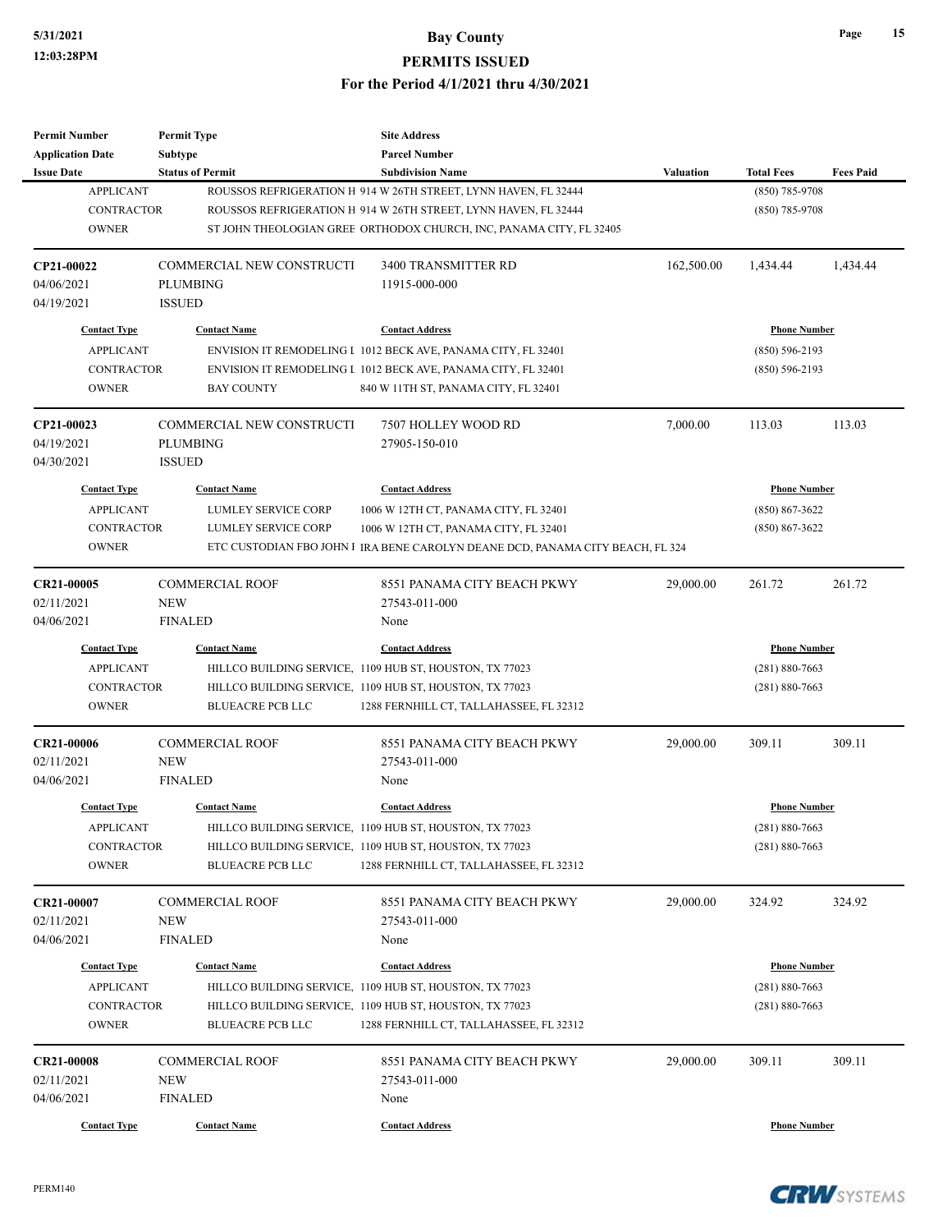| <b>Permit Number</b>                         | <b>Permit Type</b>                        | <b>Site Address</b>                                                            |                  |                     |                  |
|----------------------------------------------|-------------------------------------------|--------------------------------------------------------------------------------|------------------|---------------------|------------------|
| <b>Application Date</b><br><b>Issue Date</b> | <b>Subtype</b><br><b>Status of Permit</b> | <b>Parcel Number</b><br><b>Subdivision Name</b>                                | <b>Valuation</b> | <b>Total Fees</b>   | <b>Fees Paid</b> |
| <b>APPLICANT</b>                             |                                           | ROUSSOS REFRIGERATION H 914 W 26TH STREET, LYNN HAVEN, FL 32444                |                  | $(850)$ 785-9708    |                  |
| <b>CONTRACTOR</b>                            |                                           | ROUSSOS REFRIGERATION H 914 W 26TH STREET, LYNN HAVEN, FL 32444                |                  | $(850)$ 785-9708    |                  |
| <b>OWNER</b>                                 |                                           | ST JOHN THEOLOGIAN GREE ORTHODOX CHURCH, INC, PANAMA CITY, FL 32405            |                  |                     |                  |
|                                              |                                           |                                                                                |                  |                     |                  |
| CP21-00022                                   | COMMERCIAL NEW CONSTRUCTI                 | 3400 TRANSMITTER RD                                                            | 162,500.00       | 1,434.44            | 1,434.44         |
| 04/06/2021                                   | <b>PLUMBING</b>                           | 11915-000-000                                                                  |                  |                     |                  |
| 04/19/2021                                   | <b>ISSUED</b>                             |                                                                                |                  |                     |                  |
| <b>Contact Type</b>                          | <b>Contact Name</b>                       | <b>Contact Address</b>                                                         |                  | <b>Phone Number</b> |                  |
| <b>APPLICANT</b>                             |                                           | ENVISION IT REMODELING I 1012 BECK AVE, PANAMA CITY, FL 32401                  |                  | $(850) 596 - 2193$  |                  |
| <b>CONTRACTOR</b>                            |                                           | ENVISION IT REMODELING I 1012 BECK AVE, PANAMA CITY, FL 32401                  |                  | $(850) 596 - 2193$  |                  |
| <b>OWNER</b>                                 | <b>BAY COUNTY</b>                         | 840 W 11TH ST, PANAMA CITY, FL 32401                                           |                  |                     |                  |
|                                              |                                           |                                                                                |                  |                     |                  |
| CP21-00023                                   | COMMERCIAL NEW CONSTRUCTI                 | 7507 HOLLEY WOOD RD                                                            | 7,000.00         | 113.03              | 113.03           |
| 04/19/2021                                   | PLUMBING                                  | 27905-150-010                                                                  |                  |                     |                  |
| 04/30/2021                                   | <b>ISSUED</b>                             |                                                                                |                  |                     |                  |
| <b>Contact Type</b>                          | <b>Contact Name</b>                       | <b>Contact Address</b>                                                         |                  | <b>Phone Number</b> |                  |
| <b>APPLICANT</b>                             | LUMLEY SERVICE CORP                       | 1006 W 12TH CT, PANAMA CITY, FL 32401                                          |                  | $(850) 867 - 3622$  |                  |
| <b>CONTRACTOR</b>                            | <b>LUMLEY SERVICE CORP</b>                | 1006 W 12TH CT, PANAMA CITY, FL 32401                                          |                  | $(850) 867 - 3622$  |                  |
| <b>OWNER</b>                                 |                                           |                                                                                |                  |                     |                  |
|                                              |                                           | ETC CUSTODIAN FBO JOHN I IRA BENE CAROLYN DEANE DCD, PANAMA CITY BEACH, FL 324 |                  |                     |                  |
| CR21-00005                                   | <b>COMMERCIAL ROOF</b>                    | 8551 PANAMA CITY BEACH PKWY                                                    | 29,000.00        | 261.72              | 261.72           |
| 02/11/2021                                   | <b>NEW</b>                                | 27543-011-000                                                                  |                  |                     |                  |
| 04/06/2021                                   | <b>FINALED</b>                            | None                                                                           |                  |                     |                  |
| <b>Contact Type</b>                          | <b>Contact Name</b>                       | <b>Contact Address</b>                                                         |                  | <b>Phone Number</b> |                  |
| <b>APPLICANT</b>                             |                                           | HILLCO BUILDING SERVICE, 1109 HUB ST, HOUSTON, TX 77023                        |                  | $(281) 880 - 7663$  |                  |
| <b>CONTRACTOR</b>                            |                                           | HILLCO BUILDING SERVICE, 1109 HUB ST, HOUSTON, TX 77023                        |                  | $(281) 880 - 7663$  |                  |
| <b>OWNER</b>                                 | <b>BLUEACRE PCB LLC</b>                   |                                                                                |                  |                     |                  |
|                                              |                                           | 1288 FERNHILL CT, TALLAHASSEE, FL 32312                                        |                  |                     |                  |
| CR21-00006                                   | <b>COMMERCIAL ROOF</b>                    | 8551 PANAMA CITY BEACH PKWY                                                    | 29,000.00        | 309.11              | 309.11           |
| 02/11/2021                                   | <b>NEW</b>                                | 27543-011-000                                                                  |                  |                     |                  |
| 04/06/2021                                   | <b>FINALED</b>                            | None                                                                           |                  |                     |                  |
| <b>Contact Type</b>                          |                                           |                                                                                |                  |                     |                  |
|                                              |                                           |                                                                                |                  |                     |                  |
|                                              | <b>Contact Name</b>                       | <b>Contact Address</b>                                                         |                  | <b>Phone Number</b> |                  |
| <b>APPLICANT</b>                             |                                           | HILLCO BUILDING SERVICE, 1109 HUB ST, HOUSTON, TX 77023                        |                  | $(281) 880 - 7663$  |                  |
| <b>CONTRACTOR</b>                            |                                           | HILLCO BUILDING SERVICE, 1109 HUB ST, HOUSTON, TX 77023                        |                  | $(281) 880 - 7663$  |                  |
| <b>OWNER</b>                                 | <b>BLUEACRE PCB LLC</b>                   | 1288 FERNHILL CT, TALLAHASSEE, FL 32312                                        |                  |                     |                  |
| CR21-00007                                   | <b>COMMERCIAL ROOF</b>                    | 8551 PANAMA CITY BEACH PKWY                                                    | 29,000.00        | 324.92              | 324.92           |
|                                              | <b>NEW</b>                                | 27543-011-000                                                                  |                  |                     |                  |
|                                              | <b>FINALED</b>                            | None                                                                           |                  |                     |                  |
|                                              |                                           |                                                                                |                  |                     |                  |
| <b>Contact Type</b>                          | <b>Contact Name</b>                       | <b>Contact Address</b>                                                         |                  | <b>Phone Number</b> |                  |
| 02/11/2021<br>04/06/2021<br><b>APPLICANT</b> |                                           | HILLCO BUILDING SERVICE, 1109 HUB ST, HOUSTON, TX 77023                        |                  | $(281) 880 - 7663$  |                  |
| <b>CONTRACTOR</b>                            |                                           | HILLCO BUILDING SERVICE, 1109 HUB ST, HOUSTON, TX 77023                        |                  | $(281) 880 - 7663$  |                  |
| <b>OWNER</b>                                 | <b>BLUEACRE PCB LLC</b>                   | 1288 FERNHILL CT, TALLAHASSEE, FL 32312                                        |                  |                     |                  |
|                                              |                                           |                                                                                |                  |                     |                  |
|                                              | <b>COMMERCIAL ROOF</b>                    | 8551 PANAMA CITY BEACH PKWY                                                    | 29,000.00        | 309.11              | 309.11           |
| <b>CR21-00008</b><br>02/11/2021              | <b>NEW</b>                                | 27543-011-000                                                                  |                  |                     |                  |
| 04/06/2021                                   | <b>FINALED</b><br><b>Contact Name</b>     | None<br><b>Contact Address</b>                                                 |                  | <b>Phone Number</b> |                  |

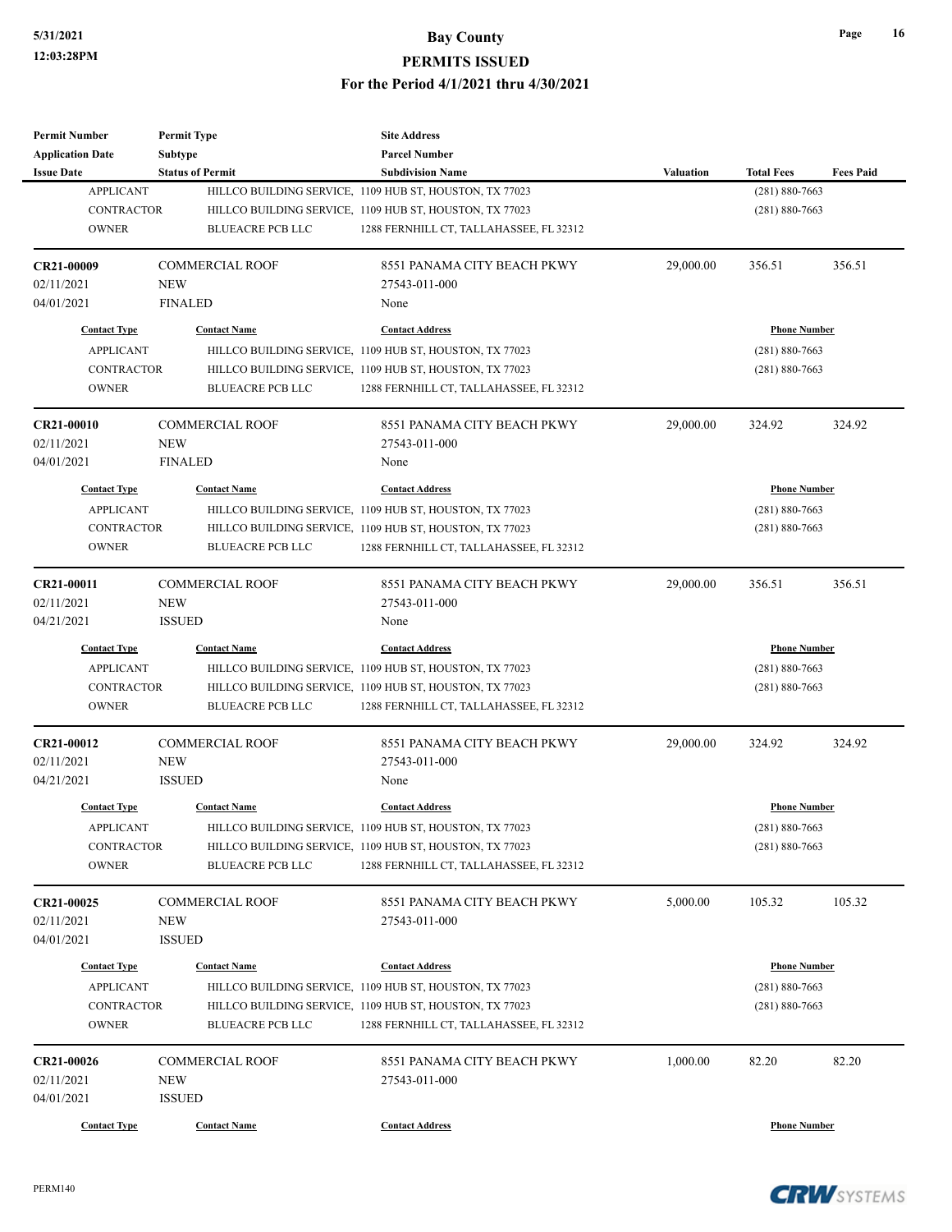| <b>Permit Number</b>       | <b>Permit Type</b>      | <b>Site Address</b>                                                                                |                  |                     |                  |
|----------------------------|-------------------------|----------------------------------------------------------------------------------------------------|------------------|---------------------|------------------|
| <b>Application Date</b>    | Subtype                 | <b>Parcel Number</b>                                                                               |                  |                     |                  |
| <b>Issue Date</b>          | <b>Status of Permit</b> | <b>Subdivision Name</b>                                                                            | <b>Valuation</b> | <b>Total Fees</b>   | <b>Fees Paid</b> |
| <b>APPLICANT</b>           |                         | HILLCO BUILDING SERVICE, 1109 HUB ST, HOUSTON, TX 77023                                            |                  | $(281) 880 - 7663$  |                  |
| <b>CONTRACTOR</b>          |                         | HILLCO BUILDING SERVICE, 1109 HUB ST, HOUSTON, TX 77023                                            |                  | $(281) 880 - 7663$  |                  |
| <b>OWNER</b>               | <b>BLUEACRE PCB LLC</b> | 1288 FERNHILL CT, TALLAHASSEE, FL 32312                                                            |                  |                     |                  |
| CR21-00009                 | <b>COMMERCIAL ROOF</b>  | 8551 PANAMA CITY BEACH PKWY                                                                        | 29,000.00        | 356.51              | 356.51           |
| 02/11/2021                 | <b>NEW</b>              | 27543-011-000                                                                                      |                  |                     |                  |
| 04/01/2021                 | <b>FINALED</b>          | None                                                                                               |                  |                     |                  |
| <b>Contact Type</b>        | <b>Contact Name</b>     | <b>Contact Address</b>                                                                             |                  | <b>Phone Number</b> |                  |
| <b>APPLICANT</b>           |                         | HILLCO BUILDING SERVICE, 1109 HUB ST, HOUSTON, TX 77023                                            |                  | $(281) 880 - 7663$  |                  |
| <b>CONTRACTOR</b>          |                         | HILLCO BUILDING SERVICE, 1109 HUB ST, HOUSTON, TX 77023                                            |                  | $(281) 880 - 7663$  |                  |
| <b>OWNER</b>               | <b>BLUEACRE PCB LLC</b> | 1288 FERNHILL CT, TALLAHASSEE, FL 32312                                                            |                  |                     |                  |
| CR21-00010                 | <b>COMMERCIAL ROOF</b>  | 8551 PANAMA CITY BEACH PKWY                                                                        | 29,000.00        | 324.92              | 324.92           |
| 02/11/2021                 | <b>NEW</b>              | 27543-011-000                                                                                      |                  |                     |                  |
| 04/01/2021                 | <b>FINALED</b>          | None                                                                                               |                  |                     |                  |
| <b>Contact Type</b>        | <b>Contact Name</b>     | <b>Contact Address</b>                                                                             |                  | <b>Phone Number</b> |                  |
| <b>APPLICANT</b>           |                         | HILLCO BUILDING SERVICE, 1109 HUB ST, HOUSTON, TX 77023                                            |                  | $(281) 880 - 7663$  |                  |
| <b>CONTRACTOR</b>          |                         | HILLCO BUILDING SERVICE, 1109 HUB ST, HOUSTON, TX 77023                                            |                  | $(281) 880 - 7663$  |                  |
| <b>OWNER</b>               | <b>BLUEACRE PCB LLC</b> | 1288 FERNHILL CT, TALLAHASSEE, FL 32312                                                            |                  |                     |                  |
|                            |                         |                                                                                                    |                  |                     |                  |
| CR21-00011                 | <b>COMMERCIAL ROOF</b>  | 8551 PANAMA CITY BEACH PKWY                                                                        | 29,000.00        | 356.51              | 356.51           |
| 02/11/2021                 | <b>NEW</b>              | 27543-011-000                                                                                      |                  |                     |                  |
| 04/21/2021                 | <b>ISSUED</b>           | None                                                                                               |                  |                     |                  |
| <b>Contact Type</b>        | <b>Contact Name</b>     | <b>Contact Address</b>                                                                             |                  | <b>Phone Number</b> |                  |
| <b>APPLICANT</b>           |                         | HILLCO BUILDING SERVICE, 1109 HUB ST, HOUSTON, TX 77023                                            |                  | $(281) 880 - 7663$  |                  |
| <b>CONTRACTOR</b>          |                         | HILLCO BUILDING SERVICE, 1109 HUB ST, HOUSTON, TX 77023                                            |                  | $(281) 880 - 7663$  |                  |
| <b>OWNER</b>               | <b>BLUEACRE PCB LLC</b> | 1288 FERNHILL CT, TALLAHASSEE, FL 32312                                                            |                  |                     |                  |
| CR21-00012                 | <b>COMMERCIAL ROOF</b>  | 8551 PANAMA CITY BEACH PKWY                                                                        | 29,000.00        | 324.92              | 324.92           |
| 02/11/2021                 | <b>NEW</b>              | 27543-011-000                                                                                      |                  |                     |                  |
| 04/21/2021                 | <b>ISSUED</b>           | None                                                                                               |                  |                     |                  |
| <b>Contact Type</b>        | <b>Contact Name</b>     | <b>Contact Address</b>                                                                             |                  | <b>Phone Number</b> |                  |
| <b>APPLICANT</b>           |                         | HILLCO BUILDING SERVICE, 1109 HUB ST, HOUSTON, TX 77023                                            |                  | $(281) 880 - 7663$  |                  |
| CONTRACTOR                 |                         | HILLCO BUILDING SERVICE, 1109 HUB ST, HOUSTON, TX 77023                                            |                  | $(281) 880 - 7663$  |                  |
| <b>OWNER</b>               | <b>BLUEACRE PCB LLC</b> | 1288 FERNHILL CT, TALLAHASSEE, FL 32312                                                            |                  |                     |                  |
| CR21-00025                 | <b>COMMERCIAL ROOF</b>  | 8551 PANAMA CITY BEACH PKWY                                                                        | 5,000.00         | 105.32              | 105.32           |
| 02/11/2021                 | NEW                     | 27543-011-000                                                                                      |                  |                     |                  |
| 04/01/2021                 | <b>ISSUED</b>           |                                                                                                    |                  |                     |                  |
| <b>Contact Type</b>        | <b>Contact Name</b>     | <b>Contact Address</b>                                                                             |                  | <b>Phone Number</b> |                  |
| <b>APPLICANT</b>           |                         | HILLCO BUILDING SERVICE, 1109 HUB ST, HOUSTON, TX 77023                                            |                  | $(281) 880 - 7663$  |                  |
|                            |                         |                                                                                                    |                  |                     |                  |
| CONTRACTOR<br><b>OWNER</b> | <b>BLUEACRE PCB LLC</b> | HILLCO BUILDING SERVICE, 1109 HUB ST, HOUSTON, TX 77023<br>1288 FERNHILL CT, TALLAHASSEE, FL 32312 |                  | $(281) 880 - 7663$  |                  |
|                            |                         |                                                                                                    |                  |                     |                  |
| CR21-00026                 | <b>COMMERCIAL ROOF</b>  | 8551 PANAMA CITY BEACH PKWY                                                                        | 1,000.00         | 82.20               | 82.20            |
| 02/11/2021                 | <b>NEW</b>              | 27543-011-000                                                                                      |                  |                     |                  |
| 04/01/2021                 | <b>ISSUED</b>           |                                                                                                    |                  |                     |                  |
| <b>Contact Type</b>        | <b>Contact Name</b>     | <b>Contact Address</b>                                                                             |                  | <b>Phone Number</b> |                  |

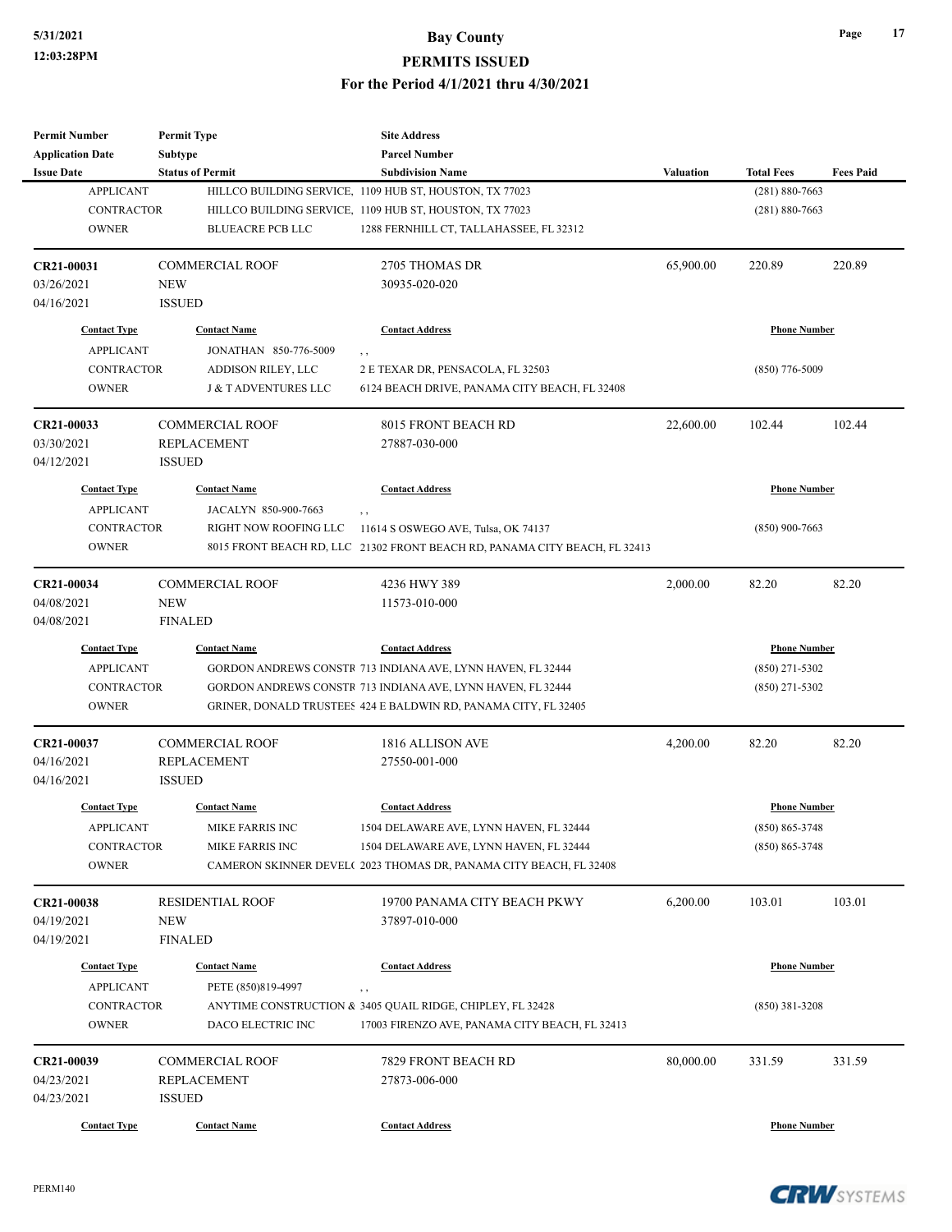| <b>Permit Number</b>    | <b>Permit Type</b>             | <b>Site Address</b>                                                        |                  |                     |                  |
|-------------------------|--------------------------------|----------------------------------------------------------------------------|------------------|---------------------|------------------|
| <b>Application Date</b> | <b>Subtype</b>                 | <b>Parcel Number</b>                                                       |                  |                     |                  |
| <b>Issue Date</b>       | <b>Status of Permit</b>        | <b>Subdivision Name</b>                                                    | <b>Valuation</b> | <b>Total Fees</b>   | <b>Fees Paid</b> |
| <b>APPLICANT</b>        |                                | HILLCO BUILDING SERVICE, 1109 HUB ST, HOUSTON, TX 77023                    |                  | $(281) 880 - 7663$  |                  |
| <b>CONTRACTOR</b>       |                                | HILLCO BUILDING SERVICE, 1109 HUB ST, HOUSTON, TX 77023                    |                  | $(281) 880 - 7663$  |                  |
| <b>OWNER</b>            | <b>BLUEACRE PCB LLC</b>        | 1288 FERNHILL CT, TALLAHASSEE, FL 32312                                    |                  |                     |                  |
|                         |                                |                                                                            |                  |                     |                  |
| CR21-00031              | <b>COMMERCIAL ROOF</b>         | 2705 THOMAS DR                                                             | 65,900.00        | 220.89              | 220.89           |
| 03/26/2021              | <b>NEW</b>                     | 30935-020-020                                                              |                  |                     |                  |
| 04/16/2021              | <b>ISSUED</b>                  |                                                                            |                  |                     |                  |
| <b>Contact Type</b>     | <b>Contact Name</b>            | <b>Contact Address</b>                                                     |                  | <b>Phone Number</b> |                  |
|                         | JONATHAN 850-776-5009          |                                                                            |                  |                     |                  |
| <b>APPLICANT</b>        |                                | $, \, ,$                                                                   |                  |                     |                  |
| <b>CONTRACTOR</b>       | ADDISON RILEY, LLC             | 2 E TEXAR DR, PENSACOLA, FL 32503                                          |                  | $(850)$ 776-5009    |                  |
| <b>OWNER</b>            | <b>J &amp; TADVENTURES LLC</b> | 6124 BEACH DRIVE, PANAMA CITY BEACH, FL 32408                              |                  |                     |                  |
| CR21-00033              | <b>COMMERCIAL ROOF</b>         | 8015 FRONT BEACH RD                                                        | 22,600.00        | 102.44              | 102.44           |
| 03/30/2021              | <b>REPLACEMENT</b>             | 27887-030-000                                                              |                  |                     |                  |
| 04/12/2021              | <b>ISSUED</b>                  |                                                                            |                  |                     |                  |
|                         |                                |                                                                            |                  |                     |                  |
| <b>Contact Type</b>     | <b>Contact Name</b>            | <b>Contact Address</b>                                                     |                  | <b>Phone Number</b> |                  |
| <b>APPLICANT</b>        | JACALYN 850-900-7663           | $, \, ,$                                                                   |                  |                     |                  |
| <b>CONTRACTOR</b>       | RIGHT NOW ROOFING LLC          | 11614 S OSWEGO AVE, Tulsa, OK 74137                                        |                  | $(850)$ 900-7663    |                  |
| <b>OWNER</b>            |                                | 8015 FRONT BEACH RD, LLC 21302 FRONT BEACH RD, PANAMA CITY BEACH, FL 32413 |                  |                     |                  |
| CR21-00034              | <b>COMMERCIAL ROOF</b>         | 4236 HWY 389                                                               | 2,000.00         | 82.20               | 82.20            |
| 04/08/2021              | <b>NEW</b>                     | 11573-010-000                                                              |                  |                     |                  |
| 04/08/2021              | <b>FINALED</b>                 |                                                                            |                  |                     |                  |
|                         |                                |                                                                            |                  |                     |                  |
| <b>Contact Type</b>     | <b>Contact Name</b>            | <b>Contact Address</b>                                                     |                  | <b>Phone Number</b> |                  |
| <b>APPLICANT</b>        |                                | GORDON ANDREWS CONSTR 713 INDIANA AVE, LYNN HAVEN, FL 32444                |                  | $(850)$ 271-5302    |                  |
| <b>CONTRACTOR</b>       |                                | GORDON ANDREWS CONSTR 713 INDIANA AVE, LYNN HAVEN, FL 32444                |                  | $(850)$ 271-5302    |                  |
| <b>OWNER</b>            |                                | GRINER, DONALD TRUSTEES 424 E BALDWIN RD, PANAMA CITY, FL 32405            |                  |                     |                  |
| CR21-00037              | <b>COMMERCIAL ROOF</b>         | 1816 ALLISON AVE                                                           | 4,200.00         | 82.20               | 82.20            |
| 04/16/2021              | <b>REPLACEMENT</b>             | 27550-001-000                                                              |                  |                     |                  |
| 04/16/2021              | <b>ISSUED</b>                  |                                                                            |                  |                     |                  |
|                         | <b>Contact Name</b>            |                                                                            |                  | <b>Phone Number</b> |                  |
| <b>Contact Type</b>     |                                | <b>Contact Address</b>                                                     |                  |                     |                  |
| <b>APPLICANT</b>        | MIKE FARRIS INC                | 1504 DELAWARE AVE, LYNN HAVEN, FL 32444                                    |                  | $(850) 865 - 3748$  |                  |
| CONTRACTOR              | MIKE FARRIS INC                | 1504 DELAWARE AVE, LYNN HAVEN, FL 32444                                    |                  | $(850) 865 - 3748$  |                  |
| <b>OWNER</b>            |                                | CAMERON SKINNER DEVEL( 2023 THOMAS DR, PANAMA CITY BEACH, FL 32408         |                  |                     |                  |
| CR21-00038              | <b>RESIDENTIAL ROOF</b>        | 19700 PANAMA CITY BEACH PKWY                                               | 6,200.00         | 103.01              | 103.01           |
| 04/19/2021              | <b>NEW</b>                     | 37897-010-000                                                              |                  |                     |                  |
| 04/19/2021              | <b>FINALED</b>                 |                                                                            |                  |                     |                  |
|                         |                                |                                                                            |                  |                     |                  |
| <b>Contact Type</b>     | <b>Contact Name</b>            | <b>Contact Address</b>                                                     |                  | <b>Phone Number</b> |                  |
| <b>APPLICANT</b>        | PETE (850)819-4997             | $, \, ,$                                                                   |                  |                     |                  |
| CONTRACTOR              |                                | ANYTIME CONSTRUCTION & 3405 QUAIL RIDGE, CHIPLEY, FL 32428                 |                  | $(850)$ 381-3208    |                  |
| <b>OWNER</b>            | DACO ELECTRIC INC              | 17003 FIRENZO AVE, PANAMA CITY BEACH, FL 32413                             |                  |                     |                  |
| CR21-00039              | <b>COMMERCIAL ROOF</b>         | 7829 FRONT BEACH RD                                                        | 80,000.00        | 331.59              | 331.59           |
| 04/23/2021              | REPLACEMENT                    | 27873-006-000                                                              |                  |                     |                  |
| 04/23/2021              | <b>ISSUED</b>                  |                                                                            |                  |                     |                  |
|                         |                                |                                                                            |                  |                     |                  |
| <b>Contact Type</b>     | <b>Contact Name</b>            | <b>Contact Address</b>                                                     |                  | <b>Phone Number</b> |                  |

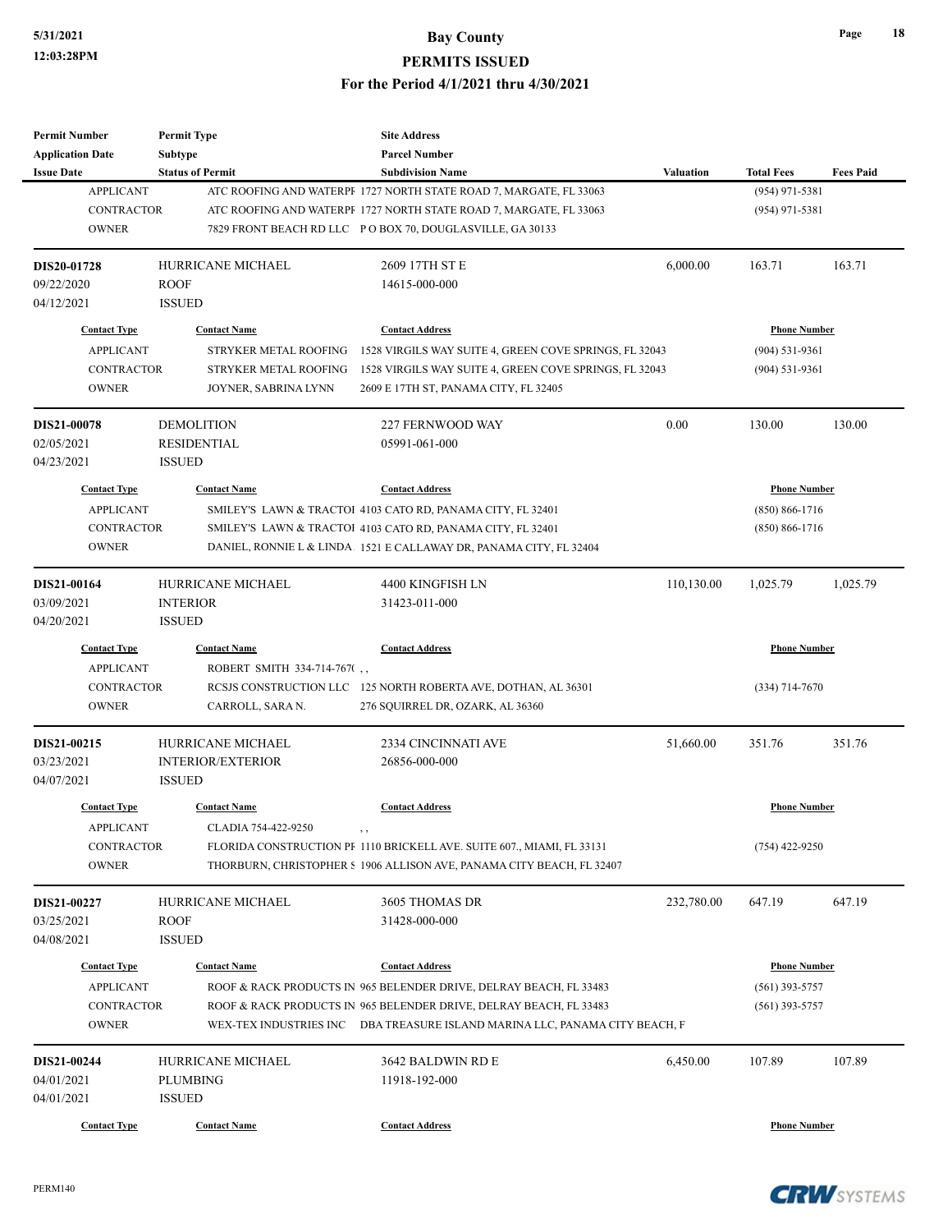| Permit Number           | <b>Permit Type</b>          | <b>Site Address</b>                                                         |            |                     |                  |
|-------------------------|-----------------------------|-----------------------------------------------------------------------------|------------|---------------------|------------------|
| <b>Application Date</b> | <b>Subtype</b>              | <b>Parcel Number</b>                                                        |            |                     |                  |
| <b>Issue Date</b>       | <b>Status of Permit</b>     | <b>Subdivision Name</b>                                                     | Valuation  | <b>Total Fees</b>   | <b>Fees Paid</b> |
| <b>APPLICANT</b>        |                             | ATC ROOFING AND WATERPF 1727 NORTH STATE ROAD 7, MARGATE, FL 33063          |            | $(954)$ 971-5381    |                  |
| <b>CONTRACTOR</b>       |                             | ATC ROOFING AND WATERPF 1727 NORTH STATE ROAD 7, MARGATE, FL 33063          |            | $(954)$ 971-5381    |                  |
| <b>OWNER</b>            |                             | 7829 FRONT BEACH RD LLC PO BOX 70, DOUGLASVILLE, GA 30133                   |            |                     |                  |
| DIS20-01728             | HURRICANE MICHAEL           | 2609 17TH ST E                                                              | 6,000.00   | 163.71              | 163.71           |
| 09/22/2020              | <b>ROOF</b>                 | 14615-000-000                                                               |            |                     |                  |
| 04/12/2021              | <b>ISSUED</b>               |                                                                             |            |                     |                  |
| <b>Contact Type</b>     | <b>Contact Name</b>         | <b>Contact Address</b>                                                      |            | <b>Phone Number</b> |                  |
| <b>APPLICANT</b>        | STRYKER METAL ROOFING       | 1528 VIRGILS WAY SUITE 4, GREEN COVE SPRINGS, FL 32043                      |            | $(904) 531 - 9361$  |                  |
| <b>CONTRACTOR</b>       | STRYKER METAL ROOFING       | 1528 VIRGILS WAY SUITE 4, GREEN COVE SPRINGS, FL 32043                      |            | $(904) 531 - 9361$  |                  |
| <b>OWNER</b>            | JOYNER, SABRINA LYNN        | 2609 E 17TH ST, PANAMA CITY, FL 32405                                       |            |                     |                  |
| <b>DIS21-00078</b>      | <b>DEMOLITION</b>           | 227 FERNWOOD WAY                                                            | 0.00       | 130.00              | 130.00           |
| 02/05/2021              | RESIDENTIAL                 | 05991-061-000                                                               |            |                     |                  |
| 04/23/2021              | <b>ISSUED</b>               |                                                                             |            |                     |                  |
| <b>Contact Type</b>     | <b>Contact Name</b>         | <b>Contact Address</b>                                                      |            | <b>Phone Number</b> |                  |
| <b>APPLICANT</b>        |                             | SMILEY'S LAWN & TRACTOI 4103 CATO RD, PANAMA CITY, FL 32401                 |            | $(850) 866 - 1716$  |                  |
| <b>CONTRACTOR</b>       |                             | SMILEY'S LAWN & TRACTOI 4103 CATO RD, PANAMA CITY, FL 32401                 |            | $(850) 866 - 1716$  |                  |
| <b>OWNER</b>            |                             | DANIEL, RONNIE L & LINDA. 1521 E CALLAWAY DR, PANAMA CITY, FL 32404         |            |                     |                  |
|                         |                             |                                                                             |            |                     |                  |
| DIS21-00164             | <b>HURRICANE MICHAEL</b>    | 4400 KINGFISH LN                                                            | 110,130.00 | 1,025.79            | 1,025.79         |
| 03/09/2021              | <b>INTERIOR</b>             | 31423-011-000                                                               |            |                     |                  |
| 04/20/2021              | <b>ISSUED</b>               |                                                                             |            |                     |                  |
| <b>Contact Type</b>     | <b>Contact Name</b>         | <b>Contact Address</b>                                                      |            | <b>Phone Number</b> |                  |
| <b>APPLICANT</b>        | ROBERT SMITH 334-714-767(,, |                                                                             |            |                     |                  |
| <b>CONTRACTOR</b>       |                             | RCSJS CONSTRUCTION LLC 125 NORTH ROBERTA AVE, DOTHAN, AL 36301              |            | $(334)$ 714-7670    |                  |
| <b>OWNER</b>            | CARROLL, SARA N.            | 276 SQUIRREL DR, OZARK, AL 36360                                            |            |                     |                  |
| DIS21-00215             | <b>HURRICANE MICHAEL</b>    | 2334 CINCINNATI AVE                                                         | 51,660.00  | 351.76              | 351.76           |
| 03/23/2021              | <b>INTERIOR/EXTERIOR</b>    | 26856-000-000                                                               |            |                     |                  |
| 04/07/2021              | <b>ISSUED</b>               |                                                                             |            |                     |                  |
| <b>Contact Type</b>     | <b>Contact Name</b>         | <b>Contact Address</b>                                                      |            | <b>Phone Number</b> |                  |
| <b>APPLICANT</b>        | CLADIA 754-422-9250         |                                                                             |            |                     |                  |
| CONTRACTOR              |                             | FLORIDA CONSTRUCTION PF 1110 BRICKELL AVE. SUITE 607., MIAMI, FL 33131      |            | $(754)$ 422-9250    |                  |
| <b>OWNER</b>            |                             | THORBURN, CHRISTOPHER § 1906 ALLISON AVE, PANAMA CITY BEACH, FL 32407       |            |                     |                  |
| DIS21-00227             | HURRICANE MICHAEL           | 3605 THOMAS DR                                                              | 232,780.00 | 647.19              | 647.19           |
| 03/25/2021              | <b>ROOF</b>                 | 31428-000-000                                                               |            |                     |                  |
| 04/08/2021              | <b>ISSUED</b>               |                                                                             |            |                     |                  |
| <b>Contact Type</b>     | <b>Contact Name</b>         | <b>Contact Address</b>                                                      |            | <b>Phone Number</b> |                  |
| <b>APPLICANT</b>        |                             | ROOF & RACK PRODUCTS IN 965 BELENDER DRIVE, DELRAY BEACH, FL 33483          |            | $(561)$ 393-5757    |                  |
| <b>CONTRACTOR</b>       |                             | ROOF & RACK PRODUCTS IN 965 BELENDER DRIVE, DELRAY BEACH, FL 33483          |            | $(561)$ 393-5757    |                  |
| <b>OWNER</b>            |                             | WEX-TEX INDUSTRIES INC DBA TREASURE ISLAND MARINA LLC, PANAMA CITY BEACH, F |            |                     |                  |
| DIS21-00244             | HURRICANE MICHAEL           | 3642 BALDWIN RD E                                                           | 6,450.00   | 107.89              | 107.89           |
| 04/01/2021              | <b>PLUMBING</b>             | 11918-192-000                                                               |            |                     |                  |
| 04/01/2021              | <b>ISSUED</b>               |                                                                             |            |                     |                  |
| <b>Contact Type</b>     | <b>Contact Name</b>         | <b>Contact Address</b>                                                      |            | <b>Phone Number</b> |                  |
|                         |                             |                                                                             |            |                     |                  |

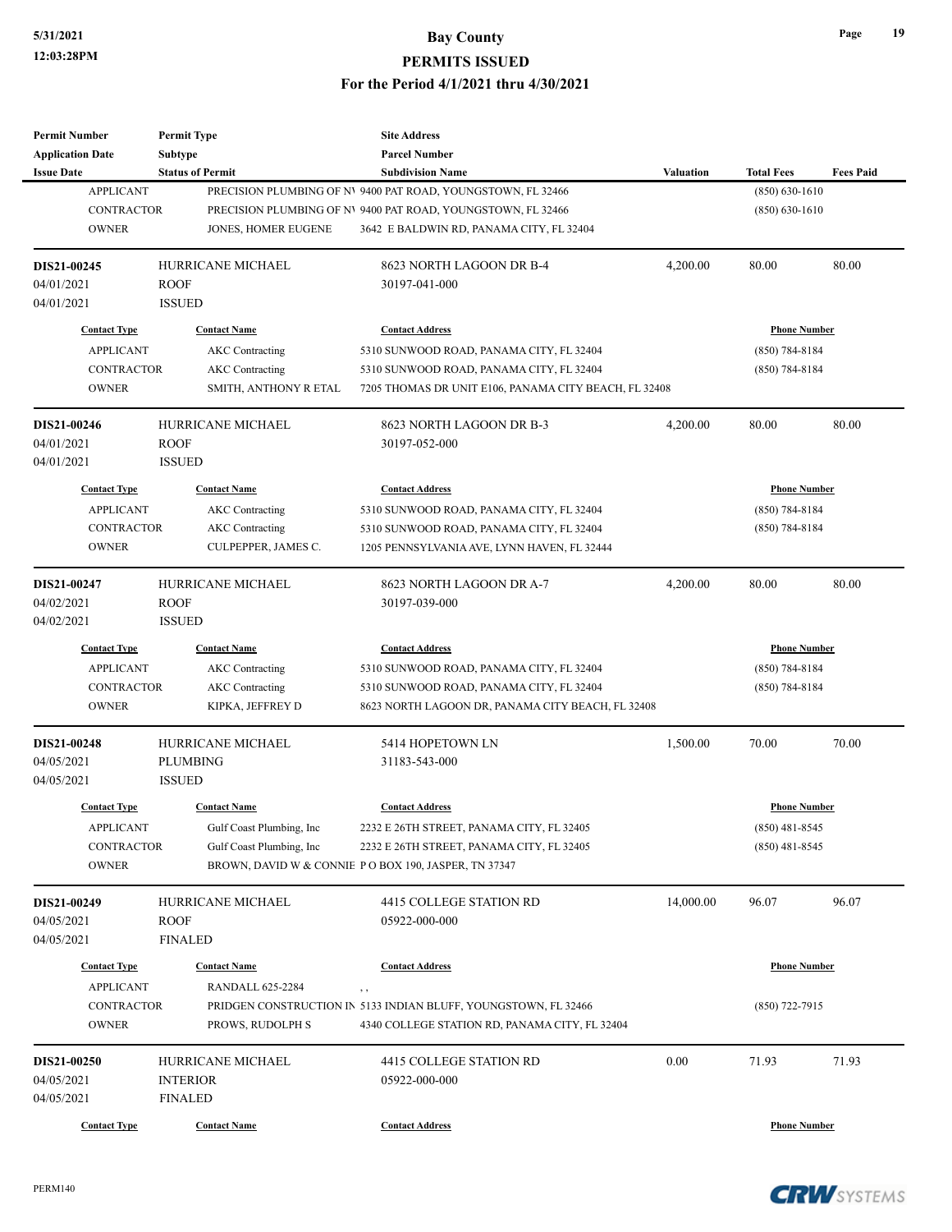| <b>Permit Number</b>    | <b>Permit Type</b>       | <b>Site Address</b>                                                            |                  |                     |                  |
|-------------------------|--------------------------|--------------------------------------------------------------------------------|------------------|---------------------|------------------|
| <b>Application Date</b> | <b>Subtype</b>           | <b>Parcel Number</b>                                                           |                  |                     |                  |
| <b>Issue Date</b>       | <b>Status of Permit</b>  | <b>Subdivision Name</b>                                                        | <b>Valuation</b> | <b>Total Fees</b>   | <b>Fees Paid</b> |
| <b>APPLICANT</b>        |                          | PRECISION PLUMBING OF NV 9400 PAT ROAD, YOUNGSTOWN, FL 32466                   |                  | $(850) 630 - 1610$  |                  |
| <b>CONTRACTOR</b>       |                          | PRECISION PLUMBING OF NV 9400 PAT ROAD, YOUNGSTOWN, FL 32466                   |                  | $(850) 630 - 1610$  |                  |
| <b>OWNER</b>            | JONES, HOMER EUGENE      | 3642 E BALDWIN RD, PANAMA CITY, FL 32404                                       |                  |                     |                  |
| DIS21-00245             | HURRICANE MICHAEL        | 8623 NORTH LAGOON DR B-4                                                       | 4,200.00         | 80.00               | 80.00            |
| 04/01/2021              | <b>ROOF</b>              | 30197-041-000                                                                  |                  |                     |                  |
| 04/01/2021              | <b>ISSUED</b>            |                                                                                |                  |                     |                  |
| <b>Contact Type</b>     | <b>Contact Name</b>      | <b>Contact Address</b>                                                         |                  | <b>Phone Number</b> |                  |
| <b>APPLICANT</b>        | <b>AKC</b> Contracting   | 5310 SUNWOOD ROAD, PANAMA CITY, FL 32404                                       |                  | $(850) 784 - 8184$  |                  |
| <b>CONTRACTOR</b>       | <b>AKC</b> Contracting   | 5310 SUNWOOD ROAD, PANAMA CITY, FL 32404                                       |                  | $(850) 784 - 8184$  |                  |
| <b>OWNER</b>            | SMITH, ANTHONY R ETAL    | 7205 THOMAS DR UNIT E106, PANAMA CITY BEACH, FL 32408                          |                  |                     |                  |
| DIS21-00246             | HURRICANE MICHAEL        | 8623 NORTH LAGOON DR B-3                                                       | 4,200.00         | 80.00               | 80.00            |
| 04/01/2021              | <b>ROOF</b>              | 30197-052-000                                                                  |                  |                     |                  |
| 04/01/2021              | <b>ISSUED</b>            |                                                                                |                  |                     |                  |
| <b>Contact Type</b>     | <b>Contact Name</b>      | <b>Contact Address</b>                                                         |                  | <b>Phone Number</b> |                  |
| <b>APPLICANT</b>        | <b>AKC</b> Contracting   | 5310 SUNWOOD ROAD, PANAMA CITY, FL 32404                                       |                  | $(850) 784 - 8184$  |                  |
| <b>CONTRACTOR</b>       | <b>AKC</b> Contracting   | 5310 SUNWOOD ROAD, PANAMA CITY, FL 32404                                       |                  | $(850) 784 - 8184$  |                  |
| <b>OWNER</b>            | CULPEPPER, JAMES C.      | 1205 PENNSYLVANIA AVE, LYNN HAVEN, FL 32444                                    |                  |                     |                  |
|                         |                          |                                                                                |                  |                     |                  |
| DIS21-00247             | HURRICANE MICHAEL        | 8623 NORTH LAGOON DR A-7                                                       | 4,200.00         | 80.00               | 80.00            |
| 04/02/2021              | <b>ROOF</b>              | 30197-039-000                                                                  |                  |                     |                  |
| 04/02/2021              | <b>ISSUED</b>            |                                                                                |                  |                     |                  |
| <b>Contact Type</b>     | <b>Contact Name</b>      | <b>Contact Address</b>                                                         |                  | <b>Phone Number</b> |                  |
| <b>APPLICANT</b>        | <b>AKC</b> Contracting   | 5310 SUNWOOD ROAD, PANAMA CITY, FL 32404                                       |                  | $(850) 784 - 8184$  |                  |
| <b>CONTRACTOR</b>       | <b>AKC</b> Contracting   | 5310 SUNWOOD ROAD, PANAMA CITY, FL 32404                                       |                  | $(850)$ 784-8184    |                  |
| <b>OWNER</b>            | KIPKA, JEFFREY D         | 8623 NORTH LAGOON DR, PANAMA CITY BEACH, FL 32408                              |                  |                     |                  |
| DIS21-00248             | <b>HURRICANE MICHAEL</b> | 5414 HOPETOWN LN                                                               | 1,500.00         | 70.00               | 70.00            |
| 04/05/2021              | <b>PLUMBING</b>          | 31183-543-000                                                                  |                  |                     |                  |
| 04/05/2021              | <b>ISSUED</b>            |                                                                                |                  |                     |                  |
| <b>Contact Type</b>     | <b>Contact Name</b>      | <b>Contact Address</b>                                                         |                  | <b>Phone Number</b> |                  |
| <b>APPLICANT</b>        | Gulf Coast Plumbing, Inc | 2232 E 26TH STREET, PANAMA CITY, FL 32405                                      |                  | $(850)$ 481-8545    |                  |
| <b>CONTRACTOR</b>       | Gulf Coast Plumbing, Inc | 2232 E 26TH STREET, PANAMA CITY, FL 32405                                      |                  | $(850)$ 481-8545    |                  |
| <b>OWNER</b>            |                          | BROWN, DAVID W & CONNIE P O BOX 190, JASPER, TN 37347                          |                  |                     |                  |
| DIS21-00249             | HURRICANE MICHAEL        | 4415 COLLEGE STATION RD                                                        | 14,000.00        | 96.07               | 96.07            |
| 04/05/2021              | ROOF                     | 05922-000-000                                                                  |                  |                     |                  |
| 04/05/2021              | <b>FINALED</b>           |                                                                                |                  |                     |                  |
| <b>Contact Type</b>     | <b>Contact Name</b>      | <b>Contact Address</b>                                                         |                  | <b>Phone Number</b> |                  |
| <b>APPLICANT</b>        | <b>RANDALL 625-2284</b>  |                                                                                |                  |                     |                  |
| <b>CONTRACTOR</b>       |                          | $, \, , \,$<br>PRIDGEN CONSTRUCTION IN 5133 INDIAN BLUFF, YOUNGSTOWN, FL 32466 |                  | $(850)$ 722-7915    |                  |
| <b>OWNER</b>            | PROWS, RUDOLPH S         | 4340 COLLEGE STATION RD, PANAMA CITY, FL 32404                                 |                  |                     |                  |
|                         |                          |                                                                                |                  |                     |                  |
| DIS21-00250             | HURRICANE MICHAEL        | 4415 COLLEGE STATION RD                                                        | 0.00             | 71.93               | 71.93            |
| 04/05/2021              | <b>INTERIOR</b>          | 05922-000-000                                                                  |                  |                     |                  |
| 04/05/2021              | <b>FINALED</b>           |                                                                                |                  |                     |                  |
| <b>Contact Type</b>     | <b>Contact Name</b>      | <b>Contact Address</b>                                                         |                  | <b>Phone Number</b> |                  |

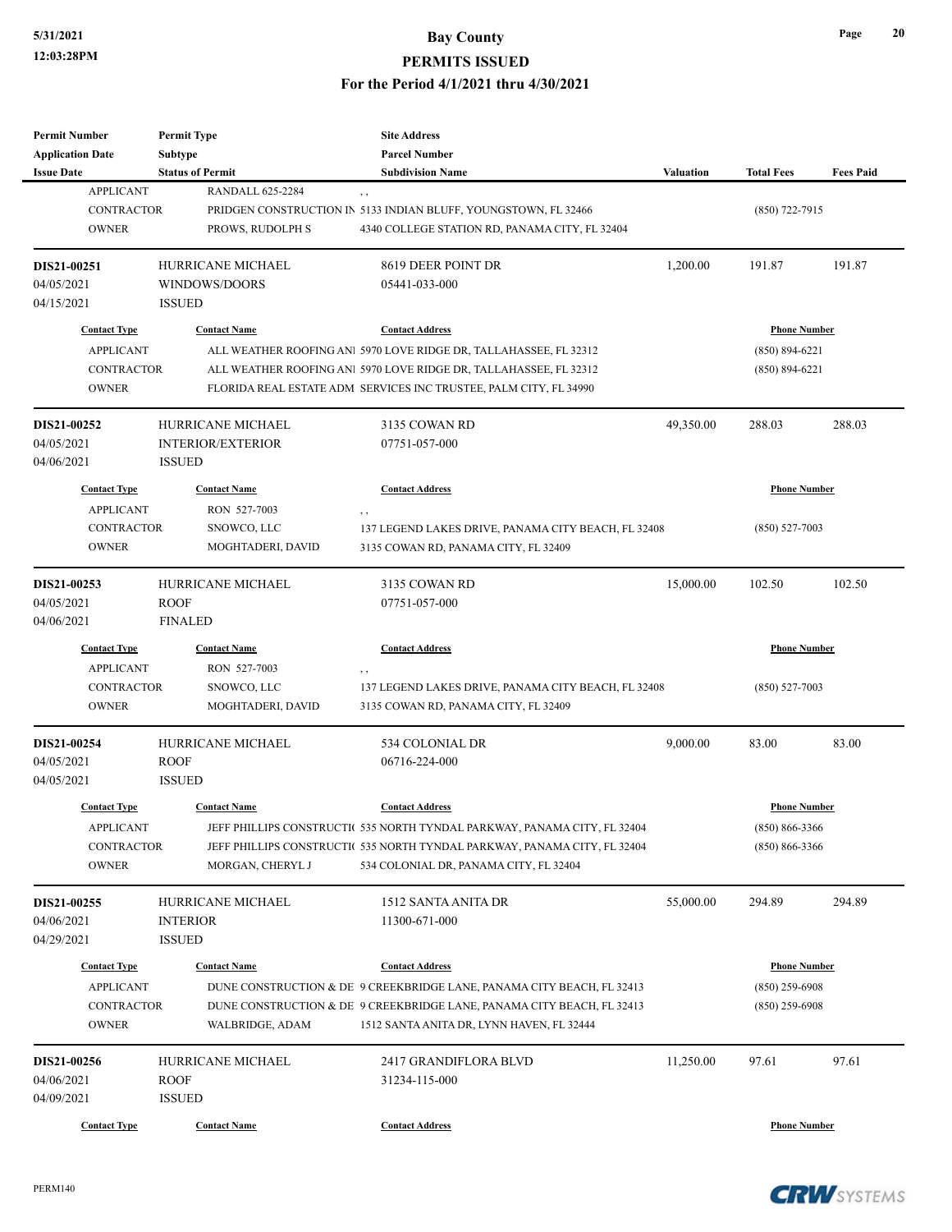| <b>Permit Number</b>    | <b>Permit Type</b>       | <b>Site Address</b>                                                       |                  |                     |                  |
|-------------------------|--------------------------|---------------------------------------------------------------------------|------------------|---------------------|------------------|
| <b>Application Date</b> | <b>Subtype</b>           | <b>Parcel Number</b>                                                      |                  |                     |                  |
| <b>Issue Date</b>       | <b>Status of Permit</b>  | <b>Subdivision Name</b>                                                   | <b>Valuation</b> | <b>Total Fees</b>   | <b>Fees Paid</b> |
| <b>APPLICANT</b>        | <b>RANDALL 625-2284</b>  | , ,                                                                       |                  |                     |                  |
| <b>CONTRACTOR</b>       |                          | PRIDGEN CONSTRUCTION IN 5133 INDIAN BLUFF, YOUNGSTOWN, FL 32466           |                  | $(850)$ 722-7915    |                  |
| <b>OWNER</b>            | PROWS, RUDOLPH S         | 4340 COLLEGE STATION RD, PANAMA CITY, FL 32404                            |                  |                     |                  |
| DIS21-00251             | HURRICANE MICHAEL        | 8619 DEER POINT DR                                                        | 1,200.00         | 191.87              | 191.87           |
| 04/05/2021              | WINDOWS/DOORS            | 05441-033-000                                                             |                  |                     |                  |
| 04/15/2021              | <b>ISSUED</b>            |                                                                           |                  |                     |                  |
| <b>Contact Type</b>     | <b>Contact Name</b>      | <b>Contact Address</b>                                                    |                  | <b>Phone Number</b> |                  |
| <b>APPLICANT</b>        |                          | ALL WEATHER ROOFING ANI 5970 LOVE RIDGE DR, TALLAHASSEE, FL 32312         |                  | $(850) 894 - 6221$  |                  |
| <b>CONTRACTOR</b>       |                          | ALL WEATHER ROOFING ANI 5970 LOVE RIDGE DR, TALLAHASSEE, FL 32312         |                  | $(850) 894 - 6221$  |                  |
| <b>OWNER</b>            |                          | FLORIDA REAL ESTATE ADM SERVICES INC TRUSTEE, PALM CITY, FL 34990         |                  |                     |                  |
| DIS21-00252             | HURRICANE MICHAEL        | 3135 COWAN RD                                                             | 49,350.00        | 288.03              | 288.03           |
| 04/05/2021              | <b>INTERIOR/EXTERIOR</b> | 07751-057-000                                                             |                  |                     |                  |
| 04/06/2021              | <b>ISSUED</b>            |                                                                           |                  |                     |                  |
| <b>Contact Type</b>     | <b>Contact Name</b>      | <b>Contact Address</b>                                                    |                  | <b>Phone Number</b> |                  |
| <b>APPLICANT</b>        | RON 527-7003             | , ,                                                                       |                  |                     |                  |
| <b>CONTRACTOR</b>       | SNOWCO, LLC              | 137 LEGEND LAKES DRIVE, PANAMA CITY BEACH, FL 32408                       |                  | $(850) 527 - 7003$  |                  |
| <b>OWNER</b>            | MOGHTADERI, DAVID        | 3135 COWAN RD, PANAMA CITY, FL 32409                                      |                  |                     |                  |
|                         |                          |                                                                           |                  |                     |                  |
| DIS21-00253             | HURRICANE MICHAEL        | 3135 COWAN RD                                                             | 15,000.00        | 102.50              | 102.50           |
| 04/05/2021              | <b>ROOF</b>              | 07751-057-000                                                             |                  |                     |                  |
| 04/06/2021              | <b>FINALED</b>           |                                                                           |                  |                     |                  |
| <b>Contact Type</b>     | <b>Contact Name</b>      | <b>Contact Address</b>                                                    |                  | <b>Phone Number</b> |                  |
| <b>APPLICANT</b>        | RON 527-7003             | , ,                                                                       |                  |                     |                  |
| <b>CONTRACTOR</b>       | SNOWCO, LLC              | 137 LEGEND LAKES DRIVE, PANAMA CITY BEACH, FL 32408                       |                  | $(850) 527 - 7003$  |                  |
| <b>OWNER</b>            | MOGHTADERI, DAVID        | 3135 COWAN RD, PANAMA CITY, FL 32409                                      |                  |                     |                  |
| DIS21-00254             | <b>HURRICANE MICHAEL</b> | 534 COLONIAL DR                                                           | 9,000.00         | 83.00               | 83.00            |
| 04/05/2021              | <b>ROOF</b>              | 06716-224-000                                                             |                  |                     |                  |
| 04/05/2021              | <b>ISSUED</b>            |                                                                           |                  |                     |                  |
| <b>Contact Type</b>     | <b>Contact Name</b>      | <b>Contact Address</b>                                                    |                  | <b>Phone Number</b> |                  |
| <b>APPLICANT</b>        |                          | JEFF PHILLIPS CONSTRUCTI( 535 NORTH TYNDAL PARKWAY, PANAMA CITY, FL 32404 |                  | $(850) 866 - 3366$  |                  |
| <b>CONTRACTOR</b>       |                          | JEFF PHILLIPS CONSTRUCTIC 535 NORTH TYNDAL PARKWAY, PANAMA CITY, FL 32404 |                  | $(850) 866 - 3366$  |                  |
| <b>OWNER</b>            | MORGAN, CHERYL J         | 534 COLONIAL DR, PANAMA CITY, FL 32404                                    |                  |                     |                  |
|                         |                          |                                                                           |                  |                     |                  |
| DIS21-00255             | HURRICANE MICHAEL        | 1512 SANTA ANITA DR                                                       | 55,000.00        | 294.89              | 294.89           |
| 04/06/2021              | <b>INTERIOR</b>          | 11300-671-000                                                             |                  |                     |                  |
| 04/29/2021              | <b>ISSUED</b>            |                                                                           |                  |                     |                  |
| <b>Contact Type</b>     | <b>Contact Name</b>      | <b>Contact Address</b>                                                    |                  | <b>Phone Number</b> |                  |
| <b>APPLICANT</b>        |                          | DUNE CONSTRUCTION & DE 9 CREEKBRIDGE LANE, PANAMA CITY BEACH, FL 32413    |                  | $(850)$ 259-6908    |                  |
| CONTRACTOR              |                          | DUNE CONSTRUCTION & DE 9 CREEKBRIDGE LANE, PANAMA CITY BEACH, FL 32413    |                  | $(850)$ 259-6908    |                  |
| <b>OWNER</b>            | WALBRIDGE, ADAM          | 1512 SANTA ANITA DR, LYNN HAVEN, FL 32444                                 |                  |                     |                  |
| DIS21-00256             | HURRICANE MICHAEL        | 2417 GRANDIFLORA BLVD                                                     | 11,250.00        | 97.61               | 97.61            |
| 04/06/2021              | <b>ROOF</b>              | 31234-115-000                                                             |                  |                     |                  |
| 04/09/2021              | <b>ISSUED</b>            |                                                                           |                  |                     |                  |
| <b>Contact Type</b>     | <b>Contact Name</b>      | <b>Contact Address</b>                                                    |                  | <b>Phone Number</b> |                  |
|                         |                          |                                                                           |                  |                     |                  |

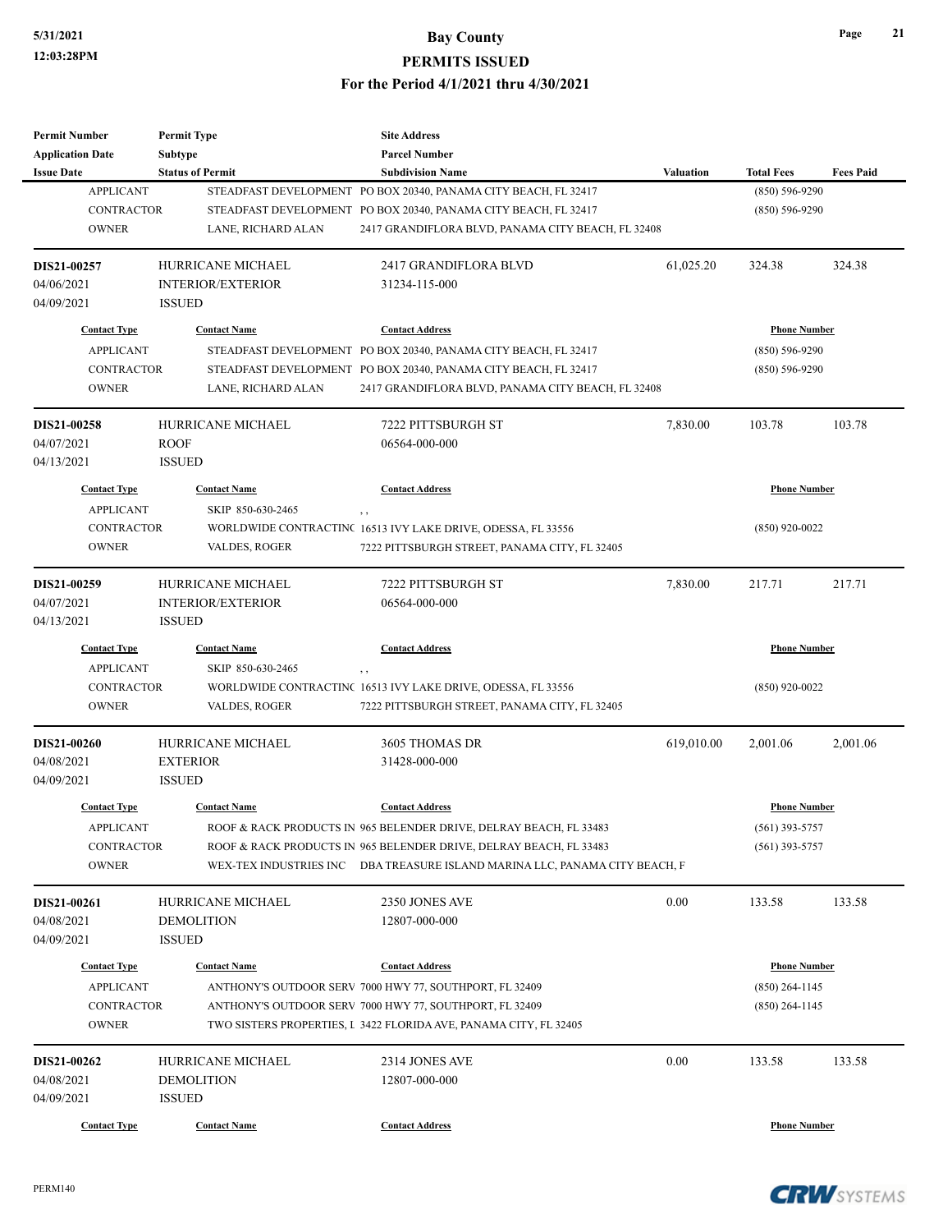| <b>Permit Number</b>    | <b>Permit Type</b>       | <b>Site Address</b>                                                         |                  |                     |                  |
|-------------------------|--------------------------|-----------------------------------------------------------------------------|------------------|---------------------|------------------|
| <b>Application Date</b> | Subtype                  | <b>Parcel Number</b>                                                        |                  |                     |                  |
| <b>Issue Date</b>       | <b>Status of Permit</b>  | <b>Subdivision Name</b>                                                     | <b>Valuation</b> | <b>Total Fees</b>   | <b>Fees Paid</b> |
| <b>APPLICANT</b>        |                          | STEADFAST DEVELOPMENT PO BOX 20340, PANAMA CITY BEACH, FL 32417             |                  | $(850) 596 - 9290$  |                  |
| <b>CONTRACTOR</b>       |                          | STEADFAST DEVELOPMENT PO BOX 20340, PANAMA CITY BEACH, FL 32417             |                  | $(850) 596 - 9290$  |                  |
| <b>OWNER</b>            | LANE, RICHARD ALAN       | 2417 GRANDIFLORA BLVD, PANAMA CITY BEACH, FL 32408                          |                  |                     |                  |
|                         |                          |                                                                             |                  |                     |                  |
| DIS21-00257             | HURRICANE MICHAEL        | 2417 GRANDIFLORA BLVD                                                       | 61,025.20        | 324.38              | 324.38           |
| 04/06/2021              | <b>INTERIOR/EXTERIOR</b> | 31234-115-000                                                               |                  |                     |                  |
| 04/09/2021              | <b>ISSUED</b>            |                                                                             |                  |                     |                  |
| <b>Contact Type</b>     | <b>Contact Name</b>      | <b>Contact Address</b>                                                      |                  | <b>Phone Number</b> |                  |
| <b>APPLICANT</b>        |                          | STEADFAST DEVELOPMENT PO BOX 20340, PANAMA CITY BEACH, FL 32417             |                  | $(850) 596 - 9290$  |                  |
| <b>CONTRACTOR</b>       |                          | STEADFAST DEVELOPMENT PO BOX 20340, PANAMA CITY BEACH, FL 32417             |                  | $(850) 596 - 9290$  |                  |
|                         |                          |                                                                             |                  |                     |                  |
| <b>OWNER</b>            | LANE, RICHARD ALAN       | 2417 GRANDIFLORA BLVD, PANAMA CITY BEACH, FL 32408                          |                  |                     |                  |
| <b>DIS21-00258</b>      | HURRICANE MICHAEL        | 7222 PITTSBURGH ST                                                          | 7,830.00         | 103.78              | 103.78           |
| 04/07/2021              | <b>ROOF</b>              | 06564-000-000                                                               |                  |                     |                  |
| 04/13/2021              | <b>ISSUED</b>            |                                                                             |                  |                     |                  |
| <b>Contact Type</b>     | <b>Contact Name</b>      | <b>Contact Address</b>                                                      |                  | <b>Phone Number</b> |                  |
| <b>APPLICANT</b>        | SKIP 850-630-2465        |                                                                             |                  |                     |                  |
| <b>CONTRACTOR</b>       |                          | $, \, ,$<br>WORLDWIDE CONTRACTINC 16513 IVY LAKE DRIVE, ODESSA, FL 33556    |                  | $(850)$ 920-0022    |                  |
| <b>OWNER</b>            |                          |                                                                             |                  |                     |                  |
|                         | VALDES, ROGER            | 7222 PITTSBURGH STREET, PANAMA CITY, FL 32405                               |                  |                     |                  |
| DIS21-00259             | <b>HURRICANE MICHAEL</b> | 7222 PITTSBURGH ST                                                          | 7,830.00         | 217.71              | 217.71           |
| 04/07/2021              | <b>INTERIOR/EXTERIOR</b> | 06564-000-000                                                               |                  |                     |                  |
| 04/13/2021              | <b>ISSUED</b>            |                                                                             |                  |                     |                  |
| <b>Contact Type</b>     | <b>Contact Name</b>      | <b>Contact Address</b>                                                      |                  | <b>Phone Number</b> |                  |
| <b>APPLICANT</b>        | SKIP 850-630-2465        |                                                                             |                  |                     |                  |
| <b>CONTRACTOR</b>       |                          | $, \, ,$<br>WORLDWIDE CONTRACTINC 16513 IVY LAKE DRIVE, ODESSA, FL 33556    |                  | $(850)$ 920-0022    |                  |
| <b>OWNER</b>            | VALDES, ROGER            | 7222 PITTSBURGH STREET, PANAMA CITY, FL 32405                               |                  |                     |                  |
|                         |                          |                                                                             |                  |                     |                  |
| DIS21-00260             | HURRICANE MICHAEL        | 3605 THOMAS DR                                                              | 619,010.00       | 2.001.06            | 2,001.06         |
| 04/08/2021              | <b>EXTERIOR</b>          | 31428-000-000                                                               |                  |                     |                  |
| 04/09/2021              | <b>ISSUED</b>            |                                                                             |                  |                     |                  |
| <b>Contact Type</b>     | <b>Contact Name</b>      | <b>Contact Address</b>                                                      |                  | <b>Phone Number</b> |                  |
|                         |                          |                                                                             |                  |                     |                  |
| <b>APPLICANT</b>        |                          | ROOF & RACK PRODUCTS IN 965 BELENDER DRIVE, DELRAY BEACH, FL 33483          |                  | $(561)$ 393-5757    |                  |
| <b>CONTRACTOR</b>       |                          | ROOF & RACK PRODUCTS IN 965 BELENDER DRIVE, DELRAY BEACH, FL 33483          |                  | $(561)$ 393-5757    |                  |
| <b>OWNER</b>            |                          | WEX-TEX INDUSTRIES INC DBA TREASURE ISLAND MARINA LLC, PANAMA CITY BEACH, F |                  |                     |                  |
| DIS21-00261             | HURRICANE MICHAEL        | 2350 JONES AVE                                                              | 0.00             | 133.58              | 133.58           |
| 04/08/2021              | <b>DEMOLITION</b>        | 12807-000-000                                                               |                  |                     |                  |
| 04/09/2021              | <b>ISSUED</b>            |                                                                             |                  |                     |                  |
|                         |                          |                                                                             |                  |                     |                  |
| <b>Contact Type</b>     | <b>Contact Name</b>      | <b>Contact Address</b>                                                      |                  | <b>Phone Number</b> |                  |
| <b>APPLICANT</b>        |                          | ANTHONY'S OUTDOOR SERV 7000 HWY 77, SOUTHPORT, FL 32409                     |                  | $(850)$ 264-1145    |                  |
| <b>CONTRACTOR</b>       |                          | ANTHONY'S OUTDOOR SERV 7000 HWY 77, SOUTHPORT, FL 32409                     |                  | $(850)$ 264-1145    |                  |
| <b>OWNER</b>            |                          | TWO SISTERS PROPERTIES, I 3422 FLORIDA AVE, PANAMA CITY, FL 32405           |                  |                     |                  |
| DIS21-00262             | HURRICANE MICHAEL        | 2314 JONES AVE                                                              | 0.00             | 133.58              | 133.58           |
| 04/08/2021              | DEMOLITION               | 12807-000-000                                                               |                  |                     |                  |
| 04/09/2021              | <b>ISSUED</b>            |                                                                             |                  |                     |                  |
|                         |                          |                                                                             |                  |                     |                  |
| <b>Contact Type</b>     | <b>Contact Name</b>      | <b>Contact Address</b>                                                      |                  | <b>Phone Number</b> |                  |

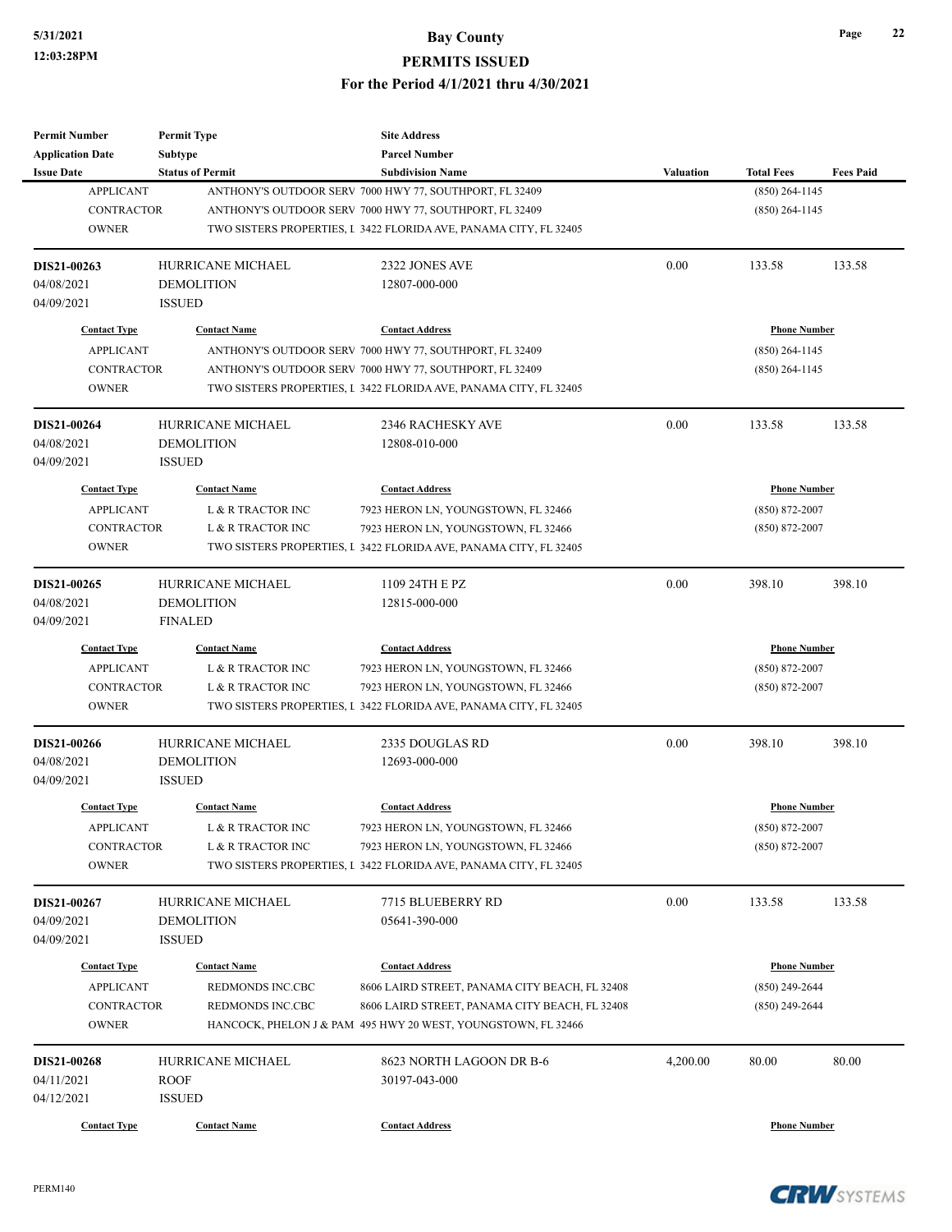| <b>Permit Number</b>    | <b>Permit Type</b>                  | <b>Site Address</b>                                               |                  |                     |                  |
|-------------------------|-------------------------------------|-------------------------------------------------------------------|------------------|---------------------|------------------|
| <b>Application Date</b> | Subtype                             | <b>Parcel Number</b>                                              |                  |                     |                  |
| <b>Issue Date</b>       | <b>Status of Permit</b>             | <b>Subdivision Name</b>                                           | <b>Valuation</b> | <b>Total Fees</b>   | <b>Fees Paid</b> |
| <b>APPLICANT</b>        |                                     | ANTHONY'S OUTDOOR SERV 7000 HWY 77, SOUTHPORT, FL 32409           |                  | $(850)$ 264-1145    |                  |
| <b>CONTRACTOR</b>       |                                     | ANTHONY'S OUTDOOR SERV 7000 HWY 77, SOUTHPORT, FL 32409           |                  | $(850)$ 264-1145    |                  |
| <b>OWNER</b>            |                                     | TWO SISTERS PROPERTIES, I 3422 FLORIDA AVE, PANAMA CITY, FL 32405 |                  |                     |                  |
| DIS21-00263             | HURRICANE MICHAEL                   | 2322 JONES AVE                                                    | 0.00             | 133.58              | 133.58           |
| 04/08/2021              | <b>DEMOLITION</b>                   | 12807-000-000                                                     |                  |                     |                  |
| 04/09/2021              | <b>ISSUED</b>                       |                                                                   |                  |                     |                  |
| <b>Contact Type</b>     | <b>Contact Name</b>                 | <b>Contact Address</b>                                            |                  | <b>Phone Number</b> |                  |
| <b>APPLICANT</b>        |                                     | ANTHONY'S OUTDOOR SERV 7000 HWY 77, SOUTHPORT, FL 32409           |                  | (850) 264-1145      |                  |
| <b>CONTRACTOR</b>       |                                     | ANTHONY'S OUTDOOR SERV 7000 HWY 77, SOUTHPORT, FL 32409           |                  | $(850)$ 264-1145    |                  |
| <b>OWNER</b>            |                                     | TWO SISTERS PROPERTIES, I 3422 FLORIDA AVE, PANAMA CITY, FL 32405 |                  |                     |                  |
| DIS21-00264             | HURRICANE MICHAEL                   | <b>2346 RACHESKY AVE</b>                                          | 0.00             | 133.58              | 133.58           |
| 04/08/2021              | <b>DEMOLITION</b>                   | 12808-010-000                                                     |                  |                     |                  |
| 04/09/2021              | <b>ISSUED</b>                       |                                                                   |                  |                     |                  |
| <b>Contact Type</b>     | <b>Contact Name</b>                 | <b>Contact Address</b>                                            |                  | <b>Phone Number</b> |                  |
| <b>APPLICANT</b>        | L & R TRACTOR INC                   | 7923 HERON LN, YOUNGSTOWN, FL 32466                               |                  | $(850) 872 - 2007$  |                  |
| <b>CONTRACTOR</b>       | L & R TRACTOR INC                   | 7923 HERON LN, YOUNGSTOWN, FL 32466                               |                  | $(850) 872 - 2007$  |                  |
| <b>OWNER</b>            |                                     | TWO SISTERS PROPERTIES, I 3422 FLORIDA AVE, PANAMA CITY, FL 32405 |                  |                     |                  |
|                         |                                     |                                                                   |                  |                     |                  |
| DIS21-00265             | HURRICANE MICHAEL                   | 1109 24TH E PZ                                                    | 0.00             | 398.10              | 398.10           |
| 04/08/2021              | <b>DEMOLITION</b><br><b>FINALED</b> | 12815-000-000                                                     |                  |                     |                  |
| 04/09/2021              |                                     |                                                                   |                  |                     |                  |
| <b>Contact Type</b>     | <b>Contact Name</b>                 | <b>Contact Address</b>                                            |                  | <b>Phone Number</b> |                  |
| <b>APPLICANT</b>        | L & R TRACTOR INC                   | 7923 HERON LN, YOUNGSTOWN, FL 32466                               |                  | $(850) 872 - 2007$  |                  |
| <b>CONTRACTOR</b>       | L & R TRACTOR INC                   | 7923 HERON LN, YOUNGSTOWN, FL 32466                               |                  | $(850)$ 872-2007    |                  |
| <b>OWNER</b>            |                                     | TWO SISTERS PROPERTIES, I 3422 FLORIDA AVE, PANAMA CITY, FL 32405 |                  |                     |                  |
| DIS21-00266             | <b>HURRICANE MICHAEL</b>            | 2335 DOUGLAS RD                                                   | 0.00             | 398.10              | 398.10           |
| 04/08/2021              | <b>DEMOLITION</b>                   | 12693-000-000                                                     |                  |                     |                  |
| 04/09/2021              | <b>ISSUED</b>                       |                                                                   |                  |                     |                  |
| <b>Contact Type</b>     | <b>Contact Name</b>                 | <b>Contact Address</b>                                            |                  | <b>Phone Number</b> |                  |
| APPLICANT               | L & R TRACTOR INC                   | 7923 HERON LN, YOUNGSTOWN, FL 32466                               |                  | $(850) 872 - 2007$  |                  |
| CONTRACTOR              | L & R TRACTOR INC                   | 7923 HERON LN, YOUNGSTOWN, FL 32466                               |                  | $(850)$ 872-2007    |                  |
| <b>OWNER</b>            |                                     | TWO SISTERS PROPERTIES, I 3422 FLORIDA AVE, PANAMA CITY, FL 32405 |                  |                     |                  |
| DIS21-00267             | HURRICANE MICHAEL                   | 7715 BLUEBERRY RD                                                 | 0.00             | 133.58              | 133.58           |
| 04/09/2021              | <b>DEMOLITION</b>                   | 05641-390-000                                                     |                  |                     |                  |
| 04/09/2021              | <b>ISSUED</b>                       |                                                                   |                  |                     |                  |
| <b>Contact Type</b>     | <b>Contact Name</b>                 | <b>Contact Address</b>                                            |                  | <b>Phone Number</b> |                  |
| <b>APPLICANT</b>        | REDMONDS INC.CBC                    | 8606 LAIRD STREET, PANAMA CITY BEACH, FL 32408                    |                  | $(850)$ 249-2644    |                  |
| CONTRACTOR              | REDMONDS INC.CBC                    | 8606 LAIRD STREET, PANAMA CITY BEACH, FL 32408                    |                  | $(850)$ 249-2644    |                  |
| <b>OWNER</b>            |                                     | HANCOCK, PHELON J & PAM 495 HWY 20 WEST, YOUNGSTOWN, FL 32466     |                  |                     |                  |
| DIS21-00268             | HURRICANE MICHAEL                   | 8623 NORTH LAGOON DR B-6                                          | 4,200.00         | 80.00               | 80.00            |
| 04/11/2021              | <b>ROOF</b>                         | 30197-043-000                                                     |                  |                     |                  |
| 04/12/2021              | <b>ISSUED</b>                       |                                                                   |                  |                     |                  |
| <b>Contact Type</b>     | <b>Contact Name</b>                 | <b>Contact Address</b>                                            |                  | <b>Phone Number</b> |                  |
|                         |                                     |                                                                   |                  |                     |                  |

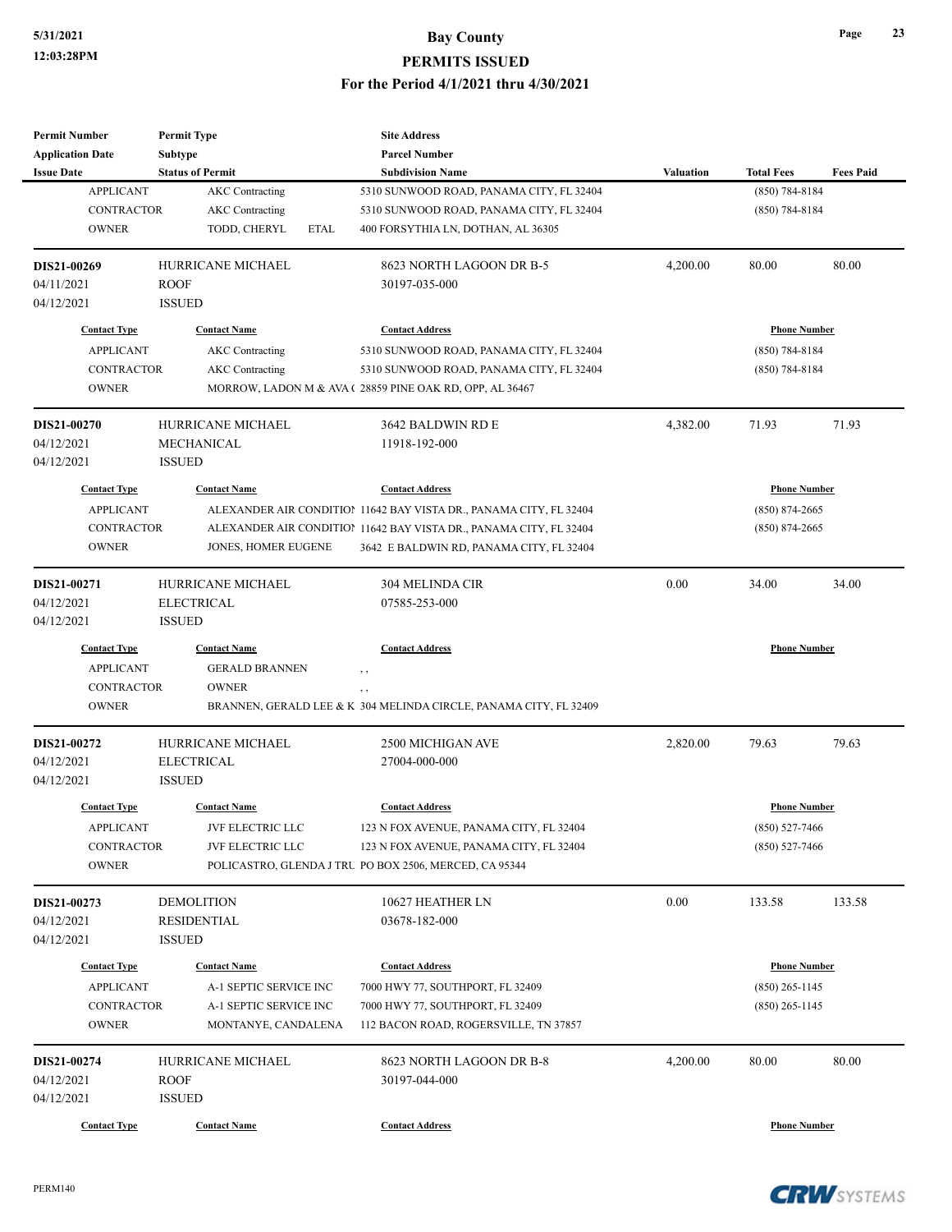| <b>Subtype</b><br><b>Parcel Number</b><br><b>Status of Permit</b><br><b>Subdivision Name</b><br><b>Valuation</b><br><b>Total Fees</b><br><b>Fees Paid</b><br><b>APPLICANT</b><br><b>AKC</b> Contracting<br>$(850)$ 784-8184<br>5310 SUNWOOD ROAD, PANAMA CITY, FL 32404<br><b>CONTRACTOR</b><br><b>AKC</b> Contracting<br>5310 SUNWOOD ROAD, PANAMA CITY, FL 32404<br>$(850) 784 - 8184$<br><b>OWNER</b><br>TODD, CHERYL<br><b>ETAL</b><br>400 FORSYTHIA LN, DOTHAN, AL 36305<br>HURRICANE MICHAEL<br>8623 NORTH LAGOON DR B-5<br>80.00<br>80.00<br>4,200.00<br><b>ROOF</b><br>30197-035-000<br><b>ISSUED</b><br><b>Contact Name</b><br><b>Contact Address</b><br><b>Phone Number</b><br><b>Contact Type</b><br><b>APPLICANT</b><br><b>AKC</b> Contracting<br>5310 SUNWOOD ROAD, PANAMA CITY, FL 32404<br>$(850) 784 - 8184$<br><b>CONTRACTOR</b><br><b>AKC</b> Contracting<br>$(850) 784 - 8184$<br>5310 SUNWOOD ROAD, PANAMA CITY, FL 32404<br><b>OWNER</b><br>MORROW, LADON M & AVA (28859 PINE OAK RD, OPP, AL 36467<br>4,382.00<br>71.93<br>DIS21-00270<br>HURRICANE MICHAEL<br>3642 BALDWIN RD E<br>71.93<br>04/12/2021<br>MECHANICAL<br>11918-192-000<br><b>ISSUED</b><br><b>Contact Name</b><br><b>Contact Address</b><br><b>Phone Number</b><br><b>Contact Type</b><br><b>APPLICANT</b><br>ALEXANDER AIR CONDITION 11642 BAY VISTA DR., PANAMA CITY, FL 32404<br>$(850)$ 874-2665<br><b>CONTRACTOR</b><br>ALEXANDER AIR CONDITION 11642 BAY VISTA DR., PANAMA CITY, FL 32404<br>$(850)$ 874-2665<br><b>OWNER</b><br>JONES, HOMER EUGENE<br>3642 E BALDWIN RD, PANAMA CITY, FL 32404<br>HURRICANE MICHAEL<br>304 MELINDA CIR<br>0.00<br>34.00<br>34.00<br><b>ELECTRICAL</b><br>07585-253-000<br><b>ISSUED</b><br><b>Contact Address</b><br><b>Phone Number</b><br><b>Contact Type</b><br><b>Contact Name</b><br><b>APPLICANT</b><br><b>GERALD BRANNEN</b><br>$, \, ,$<br><b>CONTRACTOR</b><br><b>OWNER</b><br>$, \, ,$<br><b>OWNER</b><br>BRANNEN, GERALD LEE & K 304 MELINDA CIRCLE, PANAMA CITY, FL 32409<br>2,820.00<br>79.63<br>79.63<br><b>HURRICANE MICHAEL</b><br>2500 MICHIGAN AVE<br><b>ELECTRICAL</b><br>27004-000-000<br><b>ISSUED</b><br><b>Contact Type</b><br><b>Contact Name</b><br><b>Contact Address</b><br><b>Phone Number</b><br><b>APPLICANT</b><br>JVF ELECTRIC LLC<br>123 N FOX AVENUE, PANAMA CITY, FL 32404<br>$(850) 527 - 7466$<br>CONTRACTOR<br>JVF ELECTRIC LLC<br>123 N FOX AVENUE, PANAMA CITY, FL 32404<br>$(850)$ 527-7466<br><b>OWNER</b><br>POLICASTRO, GLENDA J TRU PO BOX 2506, MERCED, CA 95344<br><b>DEMOLITION</b><br>0.00<br>133.58<br>10627 HEATHER LN<br>133.58<br>DIS21-00273<br>04/12/2021<br><b>RESIDENTIAL</b><br>03678-182-000<br>04/12/2021<br><b>ISSUED</b><br><b>Contact Type</b><br><b>Contact Name</b><br><b>Contact Address</b><br><b>Phone Number</b><br><b>APPLICANT</b><br>A-1 SEPTIC SERVICE INC<br>$(850)$ 265-1145<br>7000 HWY 77, SOUTHPORT, FL 32409<br><b>CONTRACTOR</b><br>A-1 SEPTIC SERVICE INC<br>7000 HWY 77, SOUTHPORT, FL 32409<br>$(850)$ 265-1145<br><b>OWNER</b><br>MONTANYE, CANDALENA<br>112 BACON ROAD, ROGERSVILLE, TN 37857<br>HURRICANE MICHAEL<br>8623 NORTH LAGOON DR B-8<br>80.00<br>4,200.00<br>80.00<br><b>ROOF</b><br>30197-044-000<br><b>ISSUED</b><br><b>Contact Type</b><br><b>Contact Address</b><br><b>Phone Number</b><br><b>Contact Name</b> | <b>Permit Number</b>    | <b>Permit Type</b> | <b>Site Address</b> |  |  |
|-------------------------------------------------------------------------------------------------------------------------------------------------------------------------------------------------------------------------------------------------------------------------------------------------------------------------------------------------------------------------------------------------------------------------------------------------------------------------------------------------------------------------------------------------------------------------------------------------------------------------------------------------------------------------------------------------------------------------------------------------------------------------------------------------------------------------------------------------------------------------------------------------------------------------------------------------------------------------------------------------------------------------------------------------------------------------------------------------------------------------------------------------------------------------------------------------------------------------------------------------------------------------------------------------------------------------------------------------------------------------------------------------------------------------------------------------------------------------------------------------------------------------------------------------------------------------------------------------------------------------------------------------------------------------------------------------------------------------------------------------------------------------------------------------------------------------------------------------------------------------------------------------------------------------------------------------------------------------------------------------------------------------------------------------------------------------------------------------------------------------------------------------------------------------------------------------------------------------------------------------------------------------------------------------------------------------------------------------------------------------------------------------------------------------------------------------------------------------------------------------------------------------------------------------------------------------------------------------------------------------------------------------------------------------------------------------------------------------------------------------------------------------------------------------------------------------------------------------------------------------------------------------------------------------------------------------------------------------------------------------------------------------------------------------------------------------------------------------------------------------------------------------------------------------------------------------------------------------------------------------------------------------------------------------------------------------------------------------|-------------------------|--------------------|---------------------|--|--|
|                                                                                                                                                                                                                                                                                                                                                                                                                                                                                                                                                                                                                                                                                                                                                                                                                                                                                                                                                                                                                                                                                                                                                                                                                                                                                                                                                                                                                                                                                                                                                                                                                                                                                                                                                                                                                                                                                                                                                                                                                                                                                                                                                                                                                                                                                                                                                                                                                                                                                                                                                                                                                                                                                                                                                                                                                                                                                                                                                                                                                                                                                                                                                                                                                                                                                                                                                 | <b>Application Date</b> |                    |                     |  |  |
|                                                                                                                                                                                                                                                                                                                                                                                                                                                                                                                                                                                                                                                                                                                                                                                                                                                                                                                                                                                                                                                                                                                                                                                                                                                                                                                                                                                                                                                                                                                                                                                                                                                                                                                                                                                                                                                                                                                                                                                                                                                                                                                                                                                                                                                                                                                                                                                                                                                                                                                                                                                                                                                                                                                                                                                                                                                                                                                                                                                                                                                                                                                                                                                                                                                                                                                                                 | <b>Issue Date</b>       |                    |                     |  |  |
|                                                                                                                                                                                                                                                                                                                                                                                                                                                                                                                                                                                                                                                                                                                                                                                                                                                                                                                                                                                                                                                                                                                                                                                                                                                                                                                                                                                                                                                                                                                                                                                                                                                                                                                                                                                                                                                                                                                                                                                                                                                                                                                                                                                                                                                                                                                                                                                                                                                                                                                                                                                                                                                                                                                                                                                                                                                                                                                                                                                                                                                                                                                                                                                                                                                                                                                                                 |                         |                    |                     |  |  |
|                                                                                                                                                                                                                                                                                                                                                                                                                                                                                                                                                                                                                                                                                                                                                                                                                                                                                                                                                                                                                                                                                                                                                                                                                                                                                                                                                                                                                                                                                                                                                                                                                                                                                                                                                                                                                                                                                                                                                                                                                                                                                                                                                                                                                                                                                                                                                                                                                                                                                                                                                                                                                                                                                                                                                                                                                                                                                                                                                                                                                                                                                                                                                                                                                                                                                                                                                 |                         |                    |                     |  |  |
|                                                                                                                                                                                                                                                                                                                                                                                                                                                                                                                                                                                                                                                                                                                                                                                                                                                                                                                                                                                                                                                                                                                                                                                                                                                                                                                                                                                                                                                                                                                                                                                                                                                                                                                                                                                                                                                                                                                                                                                                                                                                                                                                                                                                                                                                                                                                                                                                                                                                                                                                                                                                                                                                                                                                                                                                                                                                                                                                                                                                                                                                                                                                                                                                                                                                                                                                                 |                         |                    |                     |  |  |
|                                                                                                                                                                                                                                                                                                                                                                                                                                                                                                                                                                                                                                                                                                                                                                                                                                                                                                                                                                                                                                                                                                                                                                                                                                                                                                                                                                                                                                                                                                                                                                                                                                                                                                                                                                                                                                                                                                                                                                                                                                                                                                                                                                                                                                                                                                                                                                                                                                                                                                                                                                                                                                                                                                                                                                                                                                                                                                                                                                                                                                                                                                                                                                                                                                                                                                                                                 | DIS21-00269             |                    |                     |  |  |
|                                                                                                                                                                                                                                                                                                                                                                                                                                                                                                                                                                                                                                                                                                                                                                                                                                                                                                                                                                                                                                                                                                                                                                                                                                                                                                                                                                                                                                                                                                                                                                                                                                                                                                                                                                                                                                                                                                                                                                                                                                                                                                                                                                                                                                                                                                                                                                                                                                                                                                                                                                                                                                                                                                                                                                                                                                                                                                                                                                                                                                                                                                                                                                                                                                                                                                                                                 | 04/11/2021              |                    |                     |  |  |
|                                                                                                                                                                                                                                                                                                                                                                                                                                                                                                                                                                                                                                                                                                                                                                                                                                                                                                                                                                                                                                                                                                                                                                                                                                                                                                                                                                                                                                                                                                                                                                                                                                                                                                                                                                                                                                                                                                                                                                                                                                                                                                                                                                                                                                                                                                                                                                                                                                                                                                                                                                                                                                                                                                                                                                                                                                                                                                                                                                                                                                                                                                                                                                                                                                                                                                                                                 | 04/12/2021              |                    |                     |  |  |
|                                                                                                                                                                                                                                                                                                                                                                                                                                                                                                                                                                                                                                                                                                                                                                                                                                                                                                                                                                                                                                                                                                                                                                                                                                                                                                                                                                                                                                                                                                                                                                                                                                                                                                                                                                                                                                                                                                                                                                                                                                                                                                                                                                                                                                                                                                                                                                                                                                                                                                                                                                                                                                                                                                                                                                                                                                                                                                                                                                                                                                                                                                                                                                                                                                                                                                                                                 |                         |                    |                     |  |  |
|                                                                                                                                                                                                                                                                                                                                                                                                                                                                                                                                                                                                                                                                                                                                                                                                                                                                                                                                                                                                                                                                                                                                                                                                                                                                                                                                                                                                                                                                                                                                                                                                                                                                                                                                                                                                                                                                                                                                                                                                                                                                                                                                                                                                                                                                                                                                                                                                                                                                                                                                                                                                                                                                                                                                                                                                                                                                                                                                                                                                                                                                                                                                                                                                                                                                                                                                                 |                         |                    |                     |  |  |
|                                                                                                                                                                                                                                                                                                                                                                                                                                                                                                                                                                                                                                                                                                                                                                                                                                                                                                                                                                                                                                                                                                                                                                                                                                                                                                                                                                                                                                                                                                                                                                                                                                                                                                                                                                                                                                                                                                                                                                                                                                                                                                                                                                                                                                                                                                                                                                                                                                                                                                                                                                                                                                                                                                                                                                                                                                                                                                                                                                                                                                                                                                                                                                                                                                                                                                                                                 |                         |                    |                     |  |  |
|                                                                                                                                                                                                                                                                                                                                                                                                                                                                                                                                                                                                                                                                                                                                                                                                                                                                                                                                                                                                                                                                                                                                                                                                                                                                                                                                                                                                                                                                                                                                                                                                                                                                                                                                                                                                                                                                                                                                                                                                                                                                                                                                                                                                                                                                                                                                                                                                                                                                                                                                                                                                                                                                                                                                                                                                                                                                                                                                                                                                                                                                                                                                                                                                                                                                                                                                                 |                         |                    |                     |  |  |
|                                                                                                                                                                                                                                                                                                                                                                                                                                                                                                                                                                                                                                                                                                                                                                                                                                                                                                                                                                                                                                                                                                                                                                                                                                                                                                                                                                                                                                                                                                                                                                                                                                                                                                                                                                                                                                                                                                                                                                                                                                                                                                                                                                                                                                                                                                                                                                                                                                                                                                                                                                                                                                                                                                                                                                                                                                                                                                                                                                                                                                                                                                                                                                                                                                                                                                                                                 |                         |                    |                     |  |  |
|                                                                                                                                                                                                                                                                                                                                                                                                                                                                                                                                                                                                                                                                                                                                                                                                                                                                                                                                                                                                                                                                                                                                                                                                                                                                                                                                                                                                                                                                                                                                                                                                                                                                                                                                                                                                                                                                                                                                                                                                                                                                                                                                                                                                                                                                                                                                                                                                                                                                                                                                                                                                                                                                                                                                                                                                                                                                                                                                                                                                                                                                                                                                                                                                                                                                                                                                                 |                         |                    |                     |  |  |
|                                                                                                                                                                                                                                                                                                                                                                                                                                                                                                                                                                                                                                                                                                                                                                                                                                                                                                                                                                                                                                                                                                                                                                                                                                                                                                                                                                                                                                                                                                                                                                                                                                                                                                                                                                                                                                                                                                                                                                                                                                                                                                                                                                                                                                                                                                                                                                                                                                                                                                                                                                                                                                                                                                                                                                                                                                                                                                                                                                                                                                                                                                                                                                                                                                                                                                                                                 | 04/12/2021              |                    |                     |  |  |
|                                                                                                                                                                                                                                                                                                                                                                                                                                                                                                                                                                                                                                                                                                                                                                                                                                                                                                                                                                                                                                                                                                                                                                                                                                                                                                                                                                                                                                                                                                                                                                                                                                                                                                                                                                                                                                                                                                                                                                                                                                                                                                                                                                                                                                                                                                                                                                                                                                                                                                                                                                                                                                                                                                                                                                                                                                                                                                                                                                                                                                                                                                                                                                                                                                                                                                                                                 |                         |                    |                     |  |  |
|                                                                                                                                                                                                                                                                                                                                                                                                                                                                                                                                                                                                                                                                                                                                                                                                                                                                                                                                                                                                                                                                                                                                                                                                                                                                                                                                                                                                                                                                                                                                                                                                                                                                                                                                                                                                                                                                                                                                                                                                                                                                                                                                                                                                                                                                                                                                                                                                                                                                                                                                                                                                                                                                                                                                                                                                                                                                                                                                                                                                                                                                                                                                                                                                                                                                                                                                                 |                         |                    |                     |  |  |
|                                                                                                                                                                                                                                                                                                                                                                                                                                                                                                                                                                                                                                                                                                                                                                                                                                                                                                                                                                                                                                                                                                                                                                                                                                                                                                                                                                                                                                                                                                                                                                                                                                                                                                                                                                                                                                                                                                                                                                                                                                                                                                                                                                                                                                                                                                                                                                                                                                                                                                                                                                                                                                                                                                                                                                                                                                                                                                                                                                                                                                                                                                                                                                                                                                                                                                                                                 |                         |                    |                     |  |  |
|                                                                                                                                                                                                                                                                                                                                                                                                                                                                                                                                                                                                                                                                                                                                                                                                                                                                                                                                                                                                                                                                                                                                                                                                                                                                                                                                                                                                                                                                                                                                                                                                                                                                                                                                                                                                                                                                                                                                                                                                                                                                                                                                                                                                                                                                                                                                                                                                                                                                                                                                                                                                                                                                                                                                                                                                                                                                                                                                                                                                                                                                                                                                                                                                                                                                                                                                                 |                         |                    |                     |  |  |
|                                                                                                                                                                                                                                                                                                                                                                                                                                                                                                                                                                                                                                                                                                                                                                                                                                                                                                                                                                                                                                                                                                                                                                                                                                                                                                                                                                                                                                                                                                                                                                                                                                                                                                                                                                                                                                                                                                                                                                                                                                                                                                                                                                                                                                                                                                                                                                                                                                                                                                                                                                                                                                                                                                                                                                                                                                                                                                                                                                                                                                                                                                                                                                                                                                                                                                                                                 |                         |                    |                     |  |  |
|                                                                                                                                                                                                                                                                                                                                                                                                                                                                                                                                                                                                                                                                                                                                                                                                                                                                                                                                                                                                                                                                                                                                                                                                                                                                                                                                                                                                                                                                                                                                                                                                                                                                                                                                                                                                                                                                                                                                                                                                                                                                                                                                                                                                                                                                                                                                                                                                                                                                                                                                                                                                                                                                                                                                                                                                                                                                                                                                                                                                                                                                                                                                                                                                                                                                                                                                                 | DIS21-00271             |                    |                     |  |  |
|                                                                                                                                                                                                                                                                                                                                                                                                                                                                                                                                                                                                                                                                                                                                                                                                                                                                                                                                                                                                                                                                                                                                                                                                                                                                                                                                                                                                                                                                                                                                                                                                                                                                                                                                                                                                                                                                                                                                                                                                                                                                                                                                                                                                                                                                                                                                                                                                                                                                                                                                                                                                                                                                                                                                                                                                                                                                                                                                                                                                                                                                                                                                                                                                                                                                                                                                                 | 04/12/2021              |                    |                     |  |  |
|                                                                                                                                                                                                                                                                                                                                                                                                                                                                                                                                                                                                                                                                                                                                                                                                                                                                                                                                                                                                                                                                                                                                                                                                                                                                                                                                                                                                                                                                                                                                                                                                                                                                                                                                                                                                                                                                                                                                                                                                                                                                                                                                                                                                                                                                                                                                                                                                                                                                                                                                                                                                                                                                                                                                                                                                                                                                                                                                                                                                                                                                                                                                                                                                                                                                                                                                                 | 04/12/2021              |                    |                     |  |  |
|                                                                                                                                                                                                                                                                                                                                                                                                                                                                                                                                                                                                                                                                                                                                                                                                                                                                                                                                                                                                                                                                                                                                                                                                                                                                                                                                                                                                                                                                                                                                                                                                                                                                                                                                                                                                                                                                                                                                                                                                                                                                                                                                                                                                                                                                                                                                                                                                                                                                                                                                                                                                                                                                                                                                                                                                                                                                                                                                                                                                                                                                                                                                                                                                                                                                                                                                                 |                         |                    |                     |  |  |
|                                                                                                                                                                                                                                                                                                                                                                                                                                                                                                                                                                                                                                                                                                                                                                                                                                                                                                                                                                                                                                                                                                                                                                                                                                                                                                                                                                                                                                                                                                                                                                                                                                                                                                                                                                                                                                                                                                                                                                                                                                                                                                                                                                                                                                                                                                                                                                                                                                                                                                                                                                                                                                                                                                                                                                                                                                                                                                                                                                                                                                                                                                                                                                                                                                                                                                                                                 |                         |                    |                     |  |  |
|                                                                                                                                                                                                                                                                                                                                                                                                                                                                                                                                                                                                                                                                                                                                                                                                                                                                                                                                                                                                                                                                                                                                                                                                                                                                                                                                                                                                                                                                                                                                                                                                                                                                                                                                                                                                                                                                                                                                                                                                                                                                                                                                                                                                                                                                                                                                                                                                                                                                                                                                                                                                                                                                                                                                                                                                                                                                                                                                                                                                                                                                                                                                                                                                                                                                                                                                                 |                         |                    |                     |  |  |
|                                                                                                                                                                                                                                                                                                                                                                                                                                                                                                                                                                                                                                                                                                                                                                                                                                                                                                                                                                                                                                                                                                                                                                                                                                                                                                                                                                                                                                                                                                                                                                                                                                                                                                                                                                                                                                                                                                                                                                                                                                                                                                                                                                                                                                                                                                                                                                                                                                                                                                                                                                                                                                                                                                                                                                                                                                                                                                                                                                                                                                                                                                                                                                                                                                                                                                                                                 |                         |                    |                     |  |  |
|                                                                                                                                                                                                                                                                                                                                                                                                                                                                                                                                                                                                                                                                                                                                                                                                                                                                                                                                                                                                                                                                                                                                                                                                                                                                                                                                                                                                                                                                                                                                                                                                                                                                                                                                                                                                                                                                                                                                                                                                                                                                                                                                                                                                                                                                                                                                                                                                                                                                                                                                                                                                                                                                                                                                                                                                                                                                                                                                                                                                                                                                                                                                                                                                                                                                                                                                                 | DIS21-00272             |                    |                     |  |  |
|                                                                                                                                                                                                                                                                                                                                                                                                                                                                                                                                                                                                                                                                                                                                                                                                                                                                                                                                                                                                                                                                                                                                                                                                                                                                                                                                                                                                                                                                                                                                                                                                                                                                                                                                                                                                                                                                                                                                                                                                                                                                                                                                                                                                                                                                                                                                                                                                                                                                                                                                                                                                                                                                                                                                                                                                                                                                                                                                                                                                                                                                                                                                                                                                                                                                                                                                                 | 04/12/2021              |                    |                     |  |  |
|                                                                                                                                                                                                                                                                                                                                                                                                                                                                                                                                                                                                                                                                                                                                                                                                                                                                                                                                                                                                                                                                                                                                                                                                                                                                                                                                                                                                                                                                                                                                                                                                                                                                                                                                                                                                                                                                                                                                                                                                                                                                                                                                                                                                                                                                                                                                                                                                                                                                                                                                                                                                                                                                                                                                                                                                                                                                                                                                                                                                                                                                                                                                                                                                                                                                                                                                                 | 04/12/2021              |                    |                     |  |  |
|                                                                                                                                                                                                                                                                                                                                                                                                                                                                                                                                                                                                                                                                                                                                                                                                                                                                                                                                                                                                                                                                                                                                                                                                                                                                                                                                                                                                                                                                                                                                                                                                                                                                                                                                                                                                                                                                                                                                                                                                                                                                                                                                                                                                                                                                                                                                                                                                                                                                                                                                                                                                                                                                                                                                                                                                                                                                                                                                                                                                                                                                                                                                                                                                                                                                                                                                                 |                         |                    |                     |  |  |
|                                                                                                                                                                                                                                                                                                                                                                                                                                                                                                                                                                                                                                                                                                                                                                                                                                                                                                                                                                                                                                                                                                                                                                                                                                                                                                                                                                                                                                                                                                                                                                                                                                                                                                                                                                                                                                                                                                                                                                                                                                                                                                                                                                                                                                                                                                                                                                                                                                                                                                                                                                                                                                                                                                                                                                                                                                                                                                                                                                                                                                                                                                                                                                                                                                                                                                                                                 |                         |                    |                     |  |  |
|                                                                                                                                                                                                                                                                                                                                                                                                                                                                                                                                                                                                                                                                                                                                                                                                                                                                                                                                                                                                                                                                                                                                                                                                                                                                                                                                                                                                                                                                                                                                                                                                                                                                                                                                                                                                                                                                                                                                                                                                                                                                                                                                                                                                                                                                                                                                                                                                                                                                                                                                                                                                                                                                                                                                                                                                                                                                                                                                                                                                                                                                                                                                                                                                                                                                                                                                                 |                         |                    |                     |  |  |
|                                                                                                                                                                                                                                                                                                                                                                                                                                                                                                                                                                                                                                                                                                                                                                                                                                                                                                                                                                                                                                                                                                                                                                                                                                                                                                                                                                                                                                                                                                                                                                                                                                                                                                                                                                                                                                                                                                                                                                                                                                                                                                                                                                                                                                                                                                                                                                                                                                                                                                                                                                                                                                                                                                                                                                                                                                                                                                                                                                                                                                                                                                                                                                                                                                                                                                                                                 |                         |                    |                     |  |  |
|                                                                                                                                                                                                                                                                                                                                                                                                                                                                                                                                                                                                                                                                                                                                                                                                                                                                                                                                                                                                                                                                                                                                                                                                                                                                                                                                                                                                                                                                                                                                                                                                                                                                                                                                                                                                                                                                                                                                                                                                                                                                                                                                                                                                                                                                                                                                                                                                                                                                                                                                                                                                                                                                                                                                                                                                                                                                                                                                                                                                                                                                                                                                                                                                                                                                                                                                                 |                         |                    |                     |  |  |
|                                                                                                                                                                                                                                                                                                                                                                                                                                                                                                                                                                                                                                                                                                                                                                                                                                                                                                                                                                                                                                                                                                                                                                                                                                                                                                                                                                                                                                                                                                                                                                                                                                                                                                                                                                                                                                                                                                                                                                                                                                                                                                                                                                                                                                                                                                                                                                                                                                                                                                                                                                                                                                                                                                                                                                                                                                                                                                                                                                                                                                                                                                                                                                                                                                                                                                                                                 |                         |                    |                     |  |  |
|                                                                                                                                                                                                                                                                                                                                                                                                                                                                                                                                                                                                                                                                                                                                                                                                                                                                                                                                                                                                                                                                                                                                                                                                                                                                                                                                                                                                                                                                                                                                                                                                                                                                                                                                                                                                                                                                                                                                                                                                                                                                                                                                                                                                                                                                                                                                                                                                                                                                                                                                                                                                                                                                                                                                                                                                                                                                                                                                                                                                                                                                                                                                                                                                                                                                                                                                                 |                         |                    |                     |  |  |
|                                                                                                                                                                                                                                                                                                                                                                                                                                                                                                                                                                                                                                                                                                                                                                                                                                                                                                                                                                                                                                                                                                                                                                                                                                                                                                                                                                                                                                                                                                                                                                                                                                                                                                                                                                                                                                                                                                                                                                                                                                                                                                                                                                                                                                                                                                                                                                                                                                                                                                                                                                                                                                                                                                                                                                                                                                                                                                                                                                                                                                                                                                                                                                                                                                                                                                                                                 |                         |                    |                     |  |  |
|                                                                                                                                                                                                                                                                                                                                                                                                                                                                                                                                                                                                                                                                                                                                                                                                                                                                                                                                                                                                                                                                                                                                                                                                                                                                                                                                                                                                                                                                                                                                                                                                                                                                                                                                                                                                                                                                                                                                                                                                                                                                                                                                                                                                                                                                                                                                                                                                                                                                                                                                                                                                                                                                                                                                                                                                                                                                                                                                                                                                                                                                                                                                                                                                                                                                                                                                                 |                         |                    |                     |  |  |
|                                                                                                                                                                                                                                                                                                                                                                                                                                                                                                                                                                                                                                                                                                                                                                                                                                                                                                                                                                                                                                                                                                                                                                                                                                                                                                                                                                                                                                                                                                                                                                                                                                                                                                                                                                                                                                                                                                                                                                                                                                                                                                                                                                                                                                                                                                                                                                                                                                                                                                                                                                                                                                                                                                                                                                                                                                                                                                                                                                                                                                                                                                                                                                                                                                                                                                                                                 |                         |                    |                     |  |  |
|                                                                                                                                                                                                                                                                                                                                                                                                                                                                                                                                                                                                                                                                                                                                                                                                                                                                                                                                                                                                                                                                                                                                                                                                                                                                                                                                                                                                                                                                                                                                                                                                                                                                                                                                                                                                                                                                                                                                                                                                                                                                                                                                                                                                                                                                                                                                                                                                                                                                                                                                                                                                                                                                                                                                                                                                                                                                                                                                                                                                                                                                                                                                                                                                                                                                                                                                                 |                         |                    |                     |  |  |
|                                                                                                                                                                                                                                                                                                                                                                                                                                                                                                                                                                                                                                                                                                                                                                                                                                                                                                                                                                                                                                                                                                                                                                                                                                                                                                                                                                                                                                                                                                                                                                                                                                                                                                                                                                                                                                                                                                                                                                                                                                                                                                                                                                                                                                                                                                                                                                                                                                                                                                                                                                                                                                                                                                                                                                                                                                                                                                                                                                                                                                                                                                                                                                                                                                                                                                                                                 |                         |                    |                     |  |  |
|                                                                                                                                                                                                                                                                                                                                                                                                                                                                                                                                                                                                                                                                                                                                                                                                                                                                                                                                                                                                                                                                                                                                                                                                                                                                                                                                                                                                                                                                                                                                                                                                                                                                                                                                                                                                                                                                                                                                                                                                                                                                                                                                                                                                                                                                                                                                                                                                                                                                                                                                                                                                                                                                                                                                                                                                                                                                                                                                                                                                                                                                                                                                                                                                                                                                                                                                                 | DIS21-00274             |                    |                     |  |  |
|                                                                                                                                                                                                                                                                                                                                                                                                                                                                                                                                                                                                                                                                                                                                                                                                                                                                                                                                                                                                                                                                                                                                                                                                                                                                                                                                                                                                                                                                                                                                                                                                                                                                                                                                                                                                                                                                                                                                                                                                                                                                                                                                                                                                                                                                                                                                                                                                                                                                                                                                                                                                                                                                                                                                                                                                                                                                                                                                                                                                                                                                                                                                                                                                                                                                                                                                                 | 04/12/2021              |                    |                     |  |  |
|                                                                                                                                                                                                                                                                                                                                                                                                                                                                                                                                                                                                                                                                                                                                                                                                                                                                                                                                                                                                                                                                                                                                                                                                                                                                                                                                                                                                                                                                                                                                                                                                                                                                                                                                                                                                                                                                                                                                                                                                                                                                                                                                                                                                                                                                                                                                                                                                                                                                                                                                                                                                                                                                                                                                                                                                                                                                                                                                                                                                                                                                                                                                                                                                                                                                                                                                                 | 04/12/2021              |                    |                     |  |  |
|                                                                                                                                                                                                                                                                                                                                                                                                                                                                                                                                                                                                                                                                                                                                                                                                                                                                                                                                                                                                                                                                                                                                                                                                                                                                                                                                                                                                                                                                                                                                                                                                                                                                                                                                                                                                                                                                                                                                                                                                                                                                                                                                                                                                                                                                                                                                                                                                                                                                                                                                                                                                                                                                                                                                                                                                                                                                                                                                                                                                                                                                                                                                                                                                                                                                                                                                                 |                         |                    |                     |  |  |



**Page 23**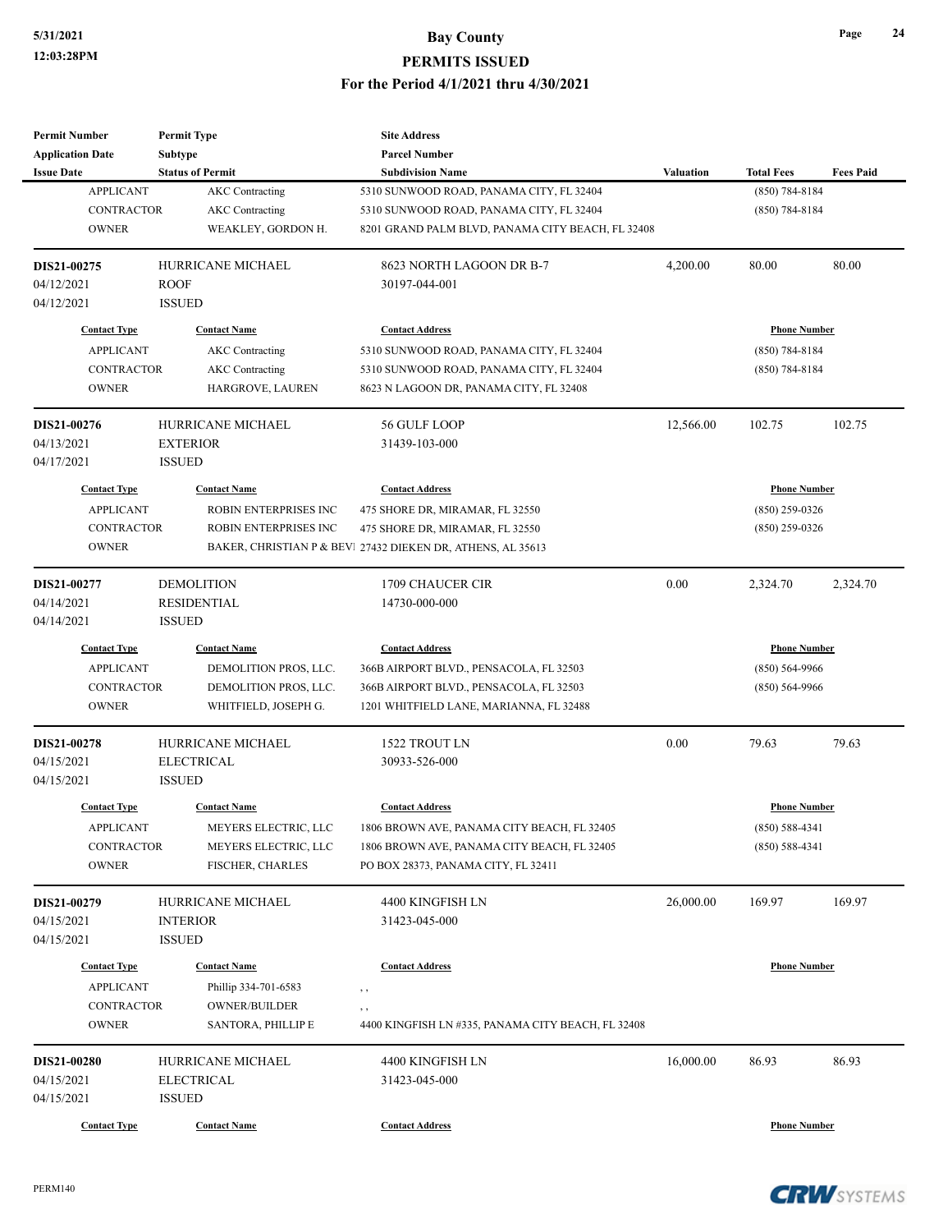| <b>Subtype</b><br><b>Parcel Number</b><br><b>Application Date</b><br><b>Status of Permit</b><br><b>Issue Date</b><br><b>Subdivision Name</b><br><b>Valuation</b><br><b>Total Fees</b><br><b>Fees Paid</b><br><b>APPLICANT</b><br><b>AKC</b> Contracting<br>$(850) 784 - 8184$<br>5310 SUNWOOD ROAD, PANAMA CITY, FL 32404<br>CONTRACTOR<br><b>AKC</b> Contracting<br>5310 SUNWOOD ROAD, PANAMA CITY, FL 32404<br>$(850) 784 - 8184$<br><b>OWNER</b><br>WEAKLEY, GORDON H.<br>8201 GRAND PALM BLVD, PANAMA CITY BEACH, FL 32408<br>DIS21-00275<br>HURRICANE MICHAEL<br>8623 NORTH LAGOON DR B-7<br>4,200.00<br>80.00<br>80.00<br>04/12/2021<br><b>ROOF</b><br>30197-044-001<br>04/12/2021<br><b>ISSUED</b><br><b>Contact Address</b><br><b>Phone Number</b><br><b>Contact Type</b><br><b>Contact Name</b><br><b>APPLICANT</b><br><b>AKC</b> Contracting<br>$(850) 784 - 8184$<br>5310 SUNWOOD ROAD, PANAMA CITY, FL 32404<br>CONTRACTOR<br><b>AKC</b> Contracting<br>$(850) 784 - 8184$<br>5310 SUNWOOD ROAD, PANAMA CITY, FL 32404<br><b>OWNER</b><br>HARGROVE, LAUREN<br>8623 N LAGOON DR, PANAMA CITY, FL 32408<br>HURRICANE MICHAEL<br>102.75<br>DIS21-00276<br>56 GULF LOOP<br>12,566.00<br>102.75<br>04/13/2021<br><b>EXTERIOR</b><br>31439-103-000<br>04/17/2021<br><b>ISSUED</b><br><b>Contact Type</b><br><b>Contact Name</b><br><b>Contact Address</b><br><b>Phone Number</b><br><b>APPLICANT</b><br>ROBIN ENTERPRISES INC<br>$(850)$ 259-0326<br>475 SHORE DR, MIRAMAR, FL 32550<br><b>CONTRACTOR</b><br>ROBIN ENTERPRISES INC<br>475 SHORE DR, MIRAMAR, FL 32550<br>$(850)$ 259-0326<br><b>OWNER</b><br>BAKER, CHRISTIAN P & BEVI 27432 DIEKEN DR, ATHENS, AL 35613<br>0.00<br>DIS21-00277<br><b>DEMOLITION</b><br>1709 CHAUCER CIR<br>2,324.70<br>2,324.70<br>04/14/2021<br><b>RESIDENTIAL</b><br>14730-000-000<br>04/14/2021<br><b>ISSUED</b><br><b>Contact Type</b><br><b>Phone Number</b><br><b>Contact Name</b><br><b>Contact Address</b><br><b>APPLICANT</b><br>$(850) 564-9966$<br>DEMOLITION PROS, LLC.<br>366B AIRPORT BLVD., PENSACOLA, FL 32503<br><b>CONTRACTOR</b><br>DEMOLITION PROS, LLC.<br>366B AIRPORT BLVD., PENSACOLA, FL 32503<br>$(850) 564-9966$<br><b>OWNER</b><br>WHITFIELD, JOSEPH G.<br>1201 WHITFIELD LANE, MARIANNA, FL 32488<br>0.00<br>79.63<br><b>HURRICANE MICHAEL</b><br>1522 TROUT LN<br>79.63<br>DIS21-00278<br>04/15/2021<br><b>ELECTRICAL</b><br>30933-526-000<br>04/15/2021<br><b>ISSUED</b><br><b>Contact Type</b><br><b>Contact Name</b><br><b>Contact Address</b><br><b>Phone Number</b><br><b>APPLICANT</b><br>MEYERS ELECTRIC, LLC<br>1806 BROWN AVE, PANAMA CITY BEACH, FL 32405<br>$(850) 588 - 4341$<br><b>CONTRACTOR</b><br>MEYERS ELECTRIC, LLC<br>1806 BROWN AVE, PANAMA CITY BEACH, FL 32405<br>$(850) 588 - 4341$<br><b>OWNER</b><br>FISCHER, CHARLES<br>PO BOX 28373, PANAMA CITY, FL 32411<br>26,000.00<br>169.97<br>HURRICANE MICHAEL<br>4400 KINGFISH LN<br>169.97<br>DIS21-00279<br>04/15/2021<br><b>INTERIOR</b><br>31423-045-000<br>04/15/2021<br><b>ISSUED</b><br><b>Contact Address</b><br><b>Phone Number</b><br><b>Contact Type</b><br><b>Contact Name</b><br><b>APPLICANT</b><br>Phillip 334-701-6583<br>, ,<br>CONTRACTOR<br><b>OWNER/BUILDER</b><br>, ,<br><b>OWNER</b><br>SANTORA, PHILLIP E<br>4400 KINGFISH LN #335, PANAMA CITY BEACH, FL 32408<br>DIS21-00280<br>HURRICANE MICHAEL<br>16,000.00<br>86.93<br>86.93<br>4400 KINGFISH LN<br><b>ELECTRICAL</b><br>04/15/2021<br>31423-045-000<br><b>ISSUED</b><br>04/15/2021<br><b>Contact Type</b><br><b>Contact Address</b><br><b>Phone Number</b><br><b>Contact Name</b> | <b>Permit Number</b> | <b>Permit Type</b> | <b>Site Address</b> |  |  |
|-----------------------------------------------------------------------------------------------------------------------------------------------------------------------------------------------------------------------------------------------------------------------------------------------------------------------------------------------------------------------------------------------------------------------------------------------------------------------------------------------------------------------------------------------------------------------------------------------------------------------------------------------------------------------------------------------------------------------------------------------------------------------------------------------------------------------------------------------------------------------------------------------------------------------------------------------------------------------------------------------------------------------------------------------------------------------------------------------------------------------------------------------------------------------------------------------------------------------------------------------------------------------------------------------------------------------------------------------------------------------------------------------------------------------------------------------------------------------------------------------------------------------------------------------------------------------------------------------------------------------------------------------------------------------------------------------------------------------------------------------------------------------------------------------------------------------------------------------------------------------------------------------------------------------------------------------------------------------------------------------------------------------------------------------------------------------------------------------------------------------------------------------------------------------------------------------------------------------------------------------------------------------------------------------------------------------------------------------------------------------------------------------------------------------------------------------------------------------------------------------------------------------------------------------------------------------------------------------------------------------------------------------------------------------------------------------------------------------------------------------------------------------------------------------------------------------------------------------------------------------------------------------------------------------------------------------------------------------------------------------------------------------------------------------------------------------------------------------------------------------------------------------------------------------------------------------------------------------------------------------------------------------------------------------------------------------------------------------------------------------------------------------------------------------------------------------------------------------------------------------------------------------------------------------------------------------------------------------------------|----------------------|--------------------|---------------------|--|--|
|                                                                                                                                                                                                                                                                                                                                                                                                                                                                                                                                                                                                                                                                                                                                                                                                                                                                                                                                                                                                                                                                                                                                                                                                                                                                                                                                                                                                                                                                                                                                                                                                                                                                                                                                                                                                                                                                                                                                                                                                                                                                                                                                                                                                                                                                                                                                                                                                                                                                                                                                                                                                                                                                                                                                                                                                                                                                                                                                                                                                                                                                                                                                                                                                                                                                                                                                                                                                                                                                                                                                                                                                           |                      |                    |                     |  |  |
|                                                                                                                                                                                                                                                                                                                                                                                                                                                                                                                                                                                                                                                                                                                                                                                                                                                                                                                                                                                                                                                                                                                                                                                                                                                                                                                                                                                                                                                                                                                                                                                                                                                                                                                                                                                                                                                                                                                                                                                                                                                                                                                                                                                                                                                                                                                                                                                                                                                                                                                                                                                                                                                                                                                                                                                                                                                                                                                                                                                                                                                                                                                                                                                                                                                                                                                                                                                                                                                                                                                                                                                                           |                      |                    |                     |  |  |
|                                                                                                                                                                                                                                                                                                                                                                                                                                                                                                                                                                                                                                                                                                                                                                                                                                                                                                                                                                                                                                                                                                                                                                                                                                                                                                                                                                                                                                                                                                                                                                                                                                                                                                                                                                                                                                                                                                                                                                                                                                                                                                                                                                                                                                                                                                                                                                                                                                                                                                                                                                                                                                                                                                                                                                                                                                                                                                                                                                                                                                                                                                                                                                                                                                                                                                                                                                                                                                                                                                                                                                                                           |                      |                    |                     |  |  |
|                                                                                                                                                                                                                                                                                                                                                                                                                                                                                                                                                                                                                                                                                                                                                                                                                                                                                                                                                                                                                                                                                                                                                                                                                                                                                                                                                                                                                                                                                                                                                                                                                                                                                                                                                                                                                                                                                                                                                                                                                                                                                                                                                                                                                                                                                                                                                                                                                                                                                                                                                                                                                                                                                                                                                                                                                                                                                                                                                                                                                                                                                                                                                                                                                                                                                                                                                                                                                                                                                                                                                                                                           |                      |                    |                     |  |  |
|                                                                                                                                                                                                                                                                                                                                                                                                                                                                                                                                                                                                                                                                                                                                                                                                                                                                                                                                                                                                                                                                                                                                                                                                                                                                                                                                                                                                                                                                                                                                                                                                                                                                                                                                                                                                                                                                                                                                                                                                                                                                                                                                                                                                                                                                                                                                                                                                                                                                                                                                                                                                                                                                                                                                                                                                                                                                                                                                                                                                                                                                                                                                                                                                                                                                                                                                                                                                                                                                                                                                                                                                           |                      |                    |                     |  |  |
|                                                                                                                                                                                                                                                                                                                                                                                                                                                                                                                                                                                                                                                                                                                                                                                                                                                                                                                                                                                                                                                                                                                                                                                                                                                                                                                                                                                                                                                                                                                                                                                                                                                                                                                                                                                                                                                                                                                                                                                                                                                                                                                                                                                                                                                                                                                                                                                                                                                                                                                                                                                                                                                                                                                                                                                                                                                                                                                                                                                                                                                                                                                                                                                                                                                                                                                                                                                                                                                                                                                                                                                                           |                      |                    |                     |  |  |
|                                                                                                                                                                                                                                                                                                                                                                                                                                                                                                                                                                                                                                                                                                                                                                                                                                                                                                                                                                                                                                                                                                                                                                                                                                                                                                                                                                                                                                                                                                                                                                                                                                                                                                                                                                                                                                                                                                                                                                                                                                                                                                                                                                                                                                                                                                                                                                                                                                                                                                                                                                                                                                                                                                                                                                                                                                                                                                                                                                                                                                                                                                                                                                                                                                                                                                                                                                                                                                                                                                                                                                                                           |                      |                    |                     |  |  |
|                                                                                                                                                                                                                                                                                                                                                                                                                                                                                                                                                                                                                                                                                                                                                                                                                                                                                                                                                                                                                                                                                                                                                                                                                                                                                                                                                                                                                                                                                                                                                                                                                                                                                                                                                                                                                                                                                                                                                                                                                                                                                                                                                                                                                                                                                                                                                                                                                                                                                                                                                                                                                                                                                                                                                                                                                                                                                                                                                                                                                                                                                                                                                                                                                                                                                                                                                                                                                                                                                                                                                                                                           |                      |                    |                     |  |  |
|                                                                                                                                                                                                                                                                                                                                                                                                                                                                                                                                                                                                                                                                                                                                                                                                                                                                                                                                                                                                                                                                                                                                                                                                                                                                                                                                                                                                                                                                                                                                                                                                                                                                                                                                                                                                                                                                                                                                                                                                                                                                                                                                                                                                                                                                                                                                                                                                                                                                                                                                                                                                                                                                                                                                                                                                                                                                                                                                                                                                                                                                                                                                                                                                                                                                                                                                                                                                                                                                                                                                                                                                           |                      |                    |                     |  |  |
|                                                                                                                                                                                                                                                                                                                                                                                                                                                                                                                                                                                                                                                                                                                                                                                                                                                                                                                                                                                                                                                                                                                                                                                                                                                                                                                                                                                                                                                                                                                                                                                                                                                                                                                                                                                                                                                                                                                                                                                                                                                                                                                                                                                                                                                                                                                                                                                                                                                                                                                                                                                                                                                                                                                                                                                                                                                                                                                                                                                                                                                                                                                                                                                                                                                                                                                                                                                                                                                                                                                                                                                                           |                      |                    |                     |  |  |
|                                                                                                                                                                                                                                                                                                                                                                                                                                                                                                                                                                                                                                                                                                                                                                                                                                                                                                                                                                                                                                                                                                                                                                                                                                                                                                                                                                                                                                                                                                                                                                                                                                                                                                                                                                                                                                                                                                                                                                                                                                                                                                                                                                                                                                                                                                                                                                                                                                                                                                                                                                                                                                                                                                                                                                                                                                                                                                                                                                                                                                                                                                                                                                                                                                                                                                                                                                                                                                                                                                                                                                                                           |                      |                    |                     |  |  |
|                                                                                                                                                                                                                                                                                                                                                                                                                                                                                                                                                                                                                                                                                                                                                                                                                                                                                                                                                                                                                                                                                                                                                                                                                                                                                                                                                                                                                                                                                                                                                                                                                                                                                                                                                                                                                                                                                                                                                                                                                                                                                                                                                                                                                                                                                                                                                                                                                                                                                                                                                                                                                                                                                                                                                                                                                                                                                                                                                                                                                                                                                                                                                                                                                                                                                                                                                                                                                                                                                                                                                                                                           |                      |                    |                     |  |  |
|                                                                                                                                                                                                                                                                                                                                                                                                                                                                                                                                                                                                                                                                                                                                                                                                                                                                                                                                                                                                                                                                                                                                                                                                                                                                                                                                                                                                                                                                                                                                                                                                                                                                                                                                                                                                                                                                                                                                                                                                                                                                                                                                                                                                                                                                                                                                                                                                                                                                                                                                                                                                                                                                                                                                                                                                                                                                                                                                                                                                                                                                                                                                                                                                                                                                                                                                                                                                                                                                                                                                                                                                           |                      |                    |                     |  |  |
|                                                                                                                                                                                                                                                                                                                                                                                                                                                                                                                                                                                                                                                                                                                                                                                                                                                                                                                                                                                                                                                                                                                                                                                                                                                                                                                                                                                                                                                                                                                                                                                                                                                                                                                                                                                                                                                                                                                                                                                                                                                                                                                                                                                                                                                                                                                                                                                                                                                                                                                                                                                                                                                                                                                                                                                                                                                                                                                                                                                                                                                                                                                                                                                                                                                                                                                                                                                                                                                                                                                                                                                                           |                      |                    |                     |  |  |
|                                                                                                                                                                                                                                                                                                                                                                                                                                                                                                                                                                                                                                                                                                                                                                                                                                                                                                                                                                                                                                                                                                                                                                                                                                                                                                                                                                                                                                                                                                                                                                                                                                                                                                                                                                                                                                                                                                                                                                                                                                                                                                                                                                                                                                                                                                                                                                                                                                                                                                                                                                                                                                                                                                                                                                                                                                                                                                                                                                                                                                                                                                                                                                                                                                                                                                                                                                                                                                                                                                                                                                                                           |                      |                    |                     |  |  |
|                                                                                                                                                                                                                                                                                                                                                                                                                                                                                                                                                                                                                                                                                                                                                                                                                                                                                                                                                                                                                                                                                                                                                                                                                                                                                                                                                                                                                                                                                                                                                                                                                                                                                                                                                                                                                                                                                                                                                                                                                                                                                                                                                                                                                                                                                                                                                                                                                                                                                                                                                                                                                                                                                                                                                                                                                                                                                                                                                                                                                                                                                                                                                                                                                                                                                                                                                                                                                                                                                                                                                                                                           |                      |                    |                     |  |  |
|                                                                                                                                                                                                                                                                                                                                                                                                                                                                                                                                                                                                                                                                                                                                                                                                                                                                                                                                                                                                                                                                                                                                                                                                                                                                                                                                                                                                                                                                                                                                                                                                                                                                                                                                                                                                                                                                                                                                                                                                                                                                                                                                                                                                                                                                                                                                                                                                                                                                                                                                                                                                                                                                                                                                                                                                                                                                                                                                                                                                                                                                                                                                                                                                                                                                                                                                                                                                                                                                                                                                                                                                           |                      |                    |                     |  |  |
|                                                                                                                                                                                                                                                                                                                                                                                                                                                                                                                                                                                                                                                                                                                                                                                                                                                                                                                                                                                                                                                                                                                                                                                                                                                                                                                                                                                                                                                                                                                                                                                                                                                                                                                                                                                                                                                                                                                                                                                                                                                                                                                                                                                                                                                                                                                                                                                                                                                                                                                                                                                                                                                                                                                                                                                                                                                                                                                                                                                                                                                                                                                                                                                                                                                                                                                                                                                                                                                                                                                                                                                                           |                      |                    |                     |  |  |
|                                                                                                                                                                                                                                                                                                                                                                                                                                                                                                                                                                                                                                                                                                                                                                                                                                                                                                                                                                                                                                                                                                                                                                                                                                                                                                                                                                                                                                                                                                                                                                                                                                                                                                                                                                                                                                                                                                                                                                                                                                                                                                                                                                                                                                                                                                                                                                                                                                                                                                                                                                                                                                                                                                                                                                                                                                                                                                                                                                                                                                                                                                                                                                                                                                                                                                                                                                                                                                                                                                                                                                                                           |                      |                    |                     |  |  |
|                                                                                                                                                                                                                                                                                                                                                                                                                                                                                                                                                                                                                                                                                                                                                                                                                                                                                                                                                                                                                                                                                                                                                                                                                                                                                                                                                                                                                                                                                                                                                                                                                                                                                                                                                                                                                                                                                                                                                                                                                                                                                                                                                                                                                                                                                                                                                                                                                                                                                                                                                                                                                                                                                                                                                                                                                                                                                                                                                                                                                                                                                                                                                                                                                                                                                                                                                                                                                                                                                                                                                                                                           |                      |                    |                     |  |  |
|                                                                                                                                                                                                                                                                                                                                                                                                                                                                                                                                                                                                                                                                                                                                                                                                                                                                                                                                                                                                                                                                                                                                                                                                                                                                                                                                                                                                                                                                                                                                                                                                                                                                                                                                                                                                                                                                                                                                                                                                                                                                                                                                                                                                                                                                                                                                                                                                                                                                                                                                                                                                                                                                                                                                                                                                                                                                                                                                                                                                                                                                                                                                                                                                                                                                                                                                                                                                                                                                                                                                                                                                           |                      |                    |                     |  |  |
|                                                                                                                                                                                                                                                                                                                                                                                                                                                                                                                                                                                                                                                                                                                                                                                                                                                                                                                                                                                                                                                                                                                                                                                                                                                                                                                                                                                                                                                                                                                                                                                                                                                                                                                                                                                                                                                                                                                                                                                                                                                                                                                                                                                                                                                                                                                                                                                                                                                                                                                                                                                                                                                                                                                                                                                                                                                                                                                                                                                                                                                                                                                                                                                                                                                                                                                                                                                                                                                                                                                                                                                                           |                      |                    |                     |  |  |
|                                                                                                                                                                                                                                                                                                                                                                                                                                                                                                                                                                                                                                                                                                                                                                                                                                                                                                                                                                                                                                                                                                                                                                                                                                                                                                                                                                                                                                                                                                                                                                                                                                                                                                                                                                                                                                                                                                                                                                                                                                                                                                                                                                                                                                                                                                                                                                                                                                                                                                                                                                                                                                                                                                                                                                                                                                                                                                                                                                                                                                                                                                                                                                                                                                                                                                                                                                                                                                                                                                                                                                                                           |                      |                    |                     |  |  |
|                                                                                                                                                                                                                                                                                                                                                                                                                                                                                                                                                                                                                                                                                                                                                                                                                                                                                                                                                                                                                                                                                                                                                                                                                                                                                                                                                                                                                                                                                                                                                                                                                                                                                                                                                                                                                                                                                                                                                                                                                                                                                                                                                                                                                                                                                                                                                                                                                                                                                                                                                                                                                                                                                                                                                                                                                                                                                                                                                                                                                                                                                                                                                                                                                                                                                                                                                                                                                                                                                                                                                                                                           |                      |                    |                     |  |  |
|                                                                                                                                                                                                                                                                                                                                                                                                                                                                                                                                                                                                                                                                                                                                                                                                                                                                                                                                                                                                                                                                                                                                                                                                                                                                                                                                                                                                                                                                                                                                                                                                                                                                                                                                                                                                                                                                                                                                                                                                                                                                                                                                                                                                                                                                                                                                                                                                                                                                                                                                                                                                                                                                                                                                                                                                                                                                                                                                                                                                                                                                                                                                                                                                                                                                                                                                                                                                                                                                                                                                                                                                           |                      |                    |                     |  |  |
|                                                                                                                                                                                                                                                                                                                                                                                                                                                                                                                                                                                                                                                                                                                                                                                                                                                                                                                                                                                                                                                                                                                                                                                                                                                                                                                                                                                                                                                                                                                                                                                                                                                                                                                                                                                                                                                                                                                                                                                                                                                                                                                                                                                                                                                                                                                                                                                                                                                                                                                                                                                                                                                                                                                                                                                                                                                                                                                                                                                                                                                                                                                                                                                                                                                                                                                                                                                                                                                                                                                                                                                                           |                      |                    |                     |  |  |
|                                                                                                                                                                                                                                                                                                                                                                                                                                                                                                                                                                                                                                                                                                                                                                                                                                                                                                                                                                                                                                                                                                                                                                                                                                                                                                                                                                                                                                                                                                                                                                                                                                                                                                                                                                                                                                                                                                                                                                                                                                                                                                                                                                                                                                                                                                                                                                                                                                                                                                                                                                                                                                                                                                                                                                                                                                                                                                                                                                                                                                                                                                                                                                                                                                                                                                                                                                                                                                                                                                                                                                                                           |                      |                    |                     |  |  |
|                                                                                                                                                                                                                                                                                                                                                                                                                                                                                                                                                                                                                                                                                                                                                                                                                                                                                                                                                                                                                                                                                                                                                                                                                                                                                                                                                                                                                                                                                                                                                                                                                                                                                                                                                                                                                                                                                                                                                                                                                                                                                                                                                                                                                                                                                                                                                                                                                                                                                                                                                                                                                                                                                                                                                                                                                                                                                                                                                                                                                                                                                                                                                                                                                                                                                                                                                                                                                                                                                                                                                                                                           |                      |                    |                     |  |  |
|                                                                                                                                                                                                                                                                                                                                                                                                                                                                                                                                                                                                                                                                                                                                                                                                                                                                                                                                                                                                                                                                                                                                                                                                                                                                                                                                                                                                                                                                                                                                                                                                                                                                                                                                                                                                                                                                                                                                                                                                                                                                                                                                                                                                                                                                                                                                                                                                                                                                                                                                                                                                                                                                                                                                                                                                                                                                                                                                                                                                                                                                                                                                                                                                                                                                                                                                                                                                                                                                                                                                                                                                           |                      |                    |                     |  |  |
|                                                                                                                                                                                                                                                                                                                                                                                                                                                                                                                                                                                                                                                                                                                                                                                                                                                                                                                                                                                                                                                                                                                                                                                                                                                                                                                                                                                                                                                                                                                                                                                                                                                                                                                                                                                                                                                                                                                                                                                                                                                                                                                                                                                                                                                                                                                                                                                                                                                                                                                                                                                                                                                                                                                                                                                                                                                                                                                                                                                                                                                                                                                                                                                                                                                                                                                                                                                                                                                                                                                                                                                                           |                      |                    |                     |  |  |
|                                                                                                                                                                                                                                                                                                                                                                                                                                                                                                                                                                                                                                                                                                                                                                                                                                                                                                                                                                                                                                                                                                                                                                                                                                                                                                                                                                                                                                                                                                                                                                                                                                                                                                                                                                                                                                                                                                                                                                                                                                                                                                                                                                                                                                                                                                                                                                                                                                                                                                                                                                                                                                                                                                                                                                                                                                                                                                                                                                                                                                                                                                                                                                                                                                                                                                                                                                                                                                                                                                                                                                                                           |                      |                    |                     |  |  |
|                                                                                                                                                                                                                                                                                                                                                                                                                                                                                                                                                                                                                                                                                                                                                                                                                                                                                                                                                                                                                                                                                                                                                                                                                                                                                                                                                                                                                                                                                                                                                                                                                                                                                                                                                                                                                                                                                                                                                                                                                                                                                                                                                                                                                                                                                                                                                                                                                                                                                                                                                                                                                                                                                                                                                                                                                                                                                                                                                                                                                                                                                                                                                                                                                                                                                                                                                                                                                                                                                                                                                                                                           |                      |                    |                     |  |  |
|                                                                                                                                                                                                                                                                                                                                                                                                                                                                                                                                                                                                                                                                                                                                                                                                                                                                                                                                                                                                                                                                                                                                                                                                                                                                                                                                                                                                                                                                                                                                                                                                                                                                                                                                                                                                                                                                                                                                                                                                                                                                                                                                                                                                                                                                                                                                                                                                                                                                                                                                                                                                                                                                                                                                                                                                                                                                                                                                                                                                                                                                                                                                                                                                                                                                                                                                                                                                                                                                                                                                                                                                           |                      |                    |                     |  |  |
|                                                                                                                                                                                                                                                                                                                                                                                                                                                                                                                                                                                                                                                                                                                                                                                                                                                                                                                                                                                                                                                                                                                                                                                                                                                                                                                                                                                                                                                                                                                                                                                                                                                                                                                                                                                                                                                                                                                                                                                                                                                                                                                                                                                                                                                                                                                                                                                                                                                                                                                                                                                                                                                                                                                                                                                                                                                                                                                                                                                                                                                                                                                                                                                                                                                                                                                                                                                                                                                                                                                                                                                                           |                      |                    |                     |  |  |
|                                                                                                                                                                                                                                                                                                                                                                                                                                                                                                                                                                                                                                                                                                                                                                                                                                                                                                                                                                                                                                                                                                                                                                                                                                                                                                                                                                                                                                                                                                                                                                                                                                                                                                                                                                                                                                                                                                                                                                                                                                                                                                                                                                                                                                                                                                                                                                                                                                                                                                                                                                                                                                                                                                                                                                                                                                                                                                                                                                                                                                                                                                                                                                                                                                                                                                                                                                                                                                                                                                                                                                                                           |                      |                    |                     |  |  |
|                                                                                                                                                                                                                                                                                                                                                                                                                                                                                                                                                                                                                                                                                                                                                                                                                                                                                                                                                                                                                                                                                                                                                                                                                                                                                                                                                                                                                                                                                                                                                                                                                                                                                                                                                                                                                                                                                                                                                                                                                                                                                                                                                                                                                                                                                                                                                                                                                                                                                                                                                                                                                                                                                                                                                                                                                                                                                                                                                                                                                                                                                                                                                                                                                                                                                                                                                                                                                                                                                                                                                                                                           |                      |                    |                     |  |  |
|                                                                                                                                                                                                                                                                                                                                                                                                                                                                                                                                                                                                                                                                                                                                                                                                                                                                                                                                                                                                                                                                                                                                                                                                                                                                                                                                                                                                                                                                                                                                                                                                                                                                                                                                                                                                                                                                                                                                                                                                                                                                                                                                                                                                                                                                                                                                                                                                                                                                                                                                                                                                                                                                                                                                                                                                                                                                                                                                                                                                                                                                                                                                                                                                                                                                                                                                                                                                                                                                                                                                                                                                           |                      |                    |                     |  |  |
|                                                                                                                                                                                                                                                                                                                                                                                                                                                                                                                                                                                                                                                                                                                                                                                                                                                                                                                                                                                                                                                                                                                                                                                                                                                                                                                                                                                                                                                                                                                                                                                                                                                                                                                                                                                                                                                                                                                                                                                                                                                                                                                                                                                                                                                                                                                                                                                                                                                                                                                                                                                                                                                                                                                                                                                                                                                                                                                                                                                                                                                                                                                                                                                                                                                                                                                                                                                                                                                                                                                                                                                                           |                      |                    |                     |  |  |
|                                                                                                                                                                                                                                                                                                                                                                                                                                                                                                                                                                                                                                                                                                                                                                                                                                                                                                                                                                                                                                                                                                                                                                                                                                                                                                                                                                                                                                                                                                                                                                                                                                                                                                                                                                                                                                                                                                                                                                                                                                                                                                                                                                                                                                                                                                                                                                                                                                                                                                                                                                                                                                                                                                                                                                                                                                                                                                                                                                                                                                                                                                                                                                                                                                                                                                                                                                                                                                                                                                                                                                                                           |                      |                    |                     |  |  |
|                                                                                                                                                                                                                                                                                                                                                                                                                                                                                                                                                                                                                                                                                                                                                                                                                                                                                                                                                                                                                                                                                                                                                                                                                                                                                                                                                                                                                                                                                                                                                                                                                                                                                                                                                                                                                                                                                                                                                                                                                                                                                                                                                                                                                                                                                                                                                                                                                                                                                                                                                                                                                                                                                                                                                                                                                                                                                                                                                                                                                                                                                                                                                                                                                                                                                                                                                                                                                                                                                                                                                                                                           |                      |                    |                     |  |  |
|                                                                                                                                                                                                                                                                                                                                                                                                                                                                                                                                                                                                                                                                                                                                                                                                                                                                                                                                                                                                                                                                                                                                                                                                                                                                                                                                                                                                                                                                                                                                                                                                                                                                                                                                                                                                                                                                                                                                                                                                                                                                                                                                                                                                                                                                                                                                                                                                                                                                                                                                                                                                                                                                                                                                                                                                                                                                                                                                                                                                                                                                                                                                                                                                                                                                                                                                                                                                                                                                                                                                                                                                           |                      |                    |                     |  |  |
|                                                                                                                                                                                                                                                                                                                                                                                                                                                                                                                                                                                                                                                                                                                                                                                                                                                                                                                                                                                                                                                                                                                                                                                                                                                                                                                                                                                                                                                                                                                                                                                                                                                                                                                                                                                                                                                                                                                                                                                                                                                                                                                                                                                                                                                                                                                                                                                                                                                                                                                                                                                                                                                                                                                                                                                                                                                                                                                                                                                                                                                                                                                                                                                                                                                                                                                                                                                                                                                                                                                                                                                                           |                      |                    |                     |  |  |
|                                                                                                                                                                                                                                                                                                                                                                                                                                                                                                                                                                                                                                                                                                                                                                                                                                                                                                                                                                                                                                                                                                                                                                                                                                                                                                                                                                                                                                                                                                                                                                                                                                                                                                                                                                                                                                                                                                                                                                                                                                                                                                                                                                                                                                                                                                                                                                                                                                                                                                                                                                                                                                                                                                                                                                                                                                                                                                                                                                                                                                                                                                                                                                                                                                                                                                                                                                                                                                                                                                                                                                                                           |                      |                    |                     |  |  |
|                                                                                                                                                                                                                                                                                                                                                                                                                                                                                                                                                                                                                                                                                                                                                                                                                                                                                                                                                                                                                                                                                                                                                                                                                                                                                                                                                                                                                                                                                                                                                                                                                                                                                                                                                                                                                                                                                                                                                                                                                                                                                                                                                                                                                                                                                                                                                                                                                                                                                                                                                                                                                                                                                                                                                                                                                                                                                                                                                                                                                                                                                                                                                                                                                                                                                                                                                                                                                                                                                                                                                                                                           |                      |                    |                     |  |  |
|                                                                                                                                                                                                                                                                                                                                                                                                                                                                                                                                                                                                                                                                                                                                                                                                                                                                                                                                                                                                                                                                                                                                                                                                                                                                                                                                                                                                                                                                                                                                                                                                                                                                                                                                                                                                                                                                                                                                                                                                                                                                                                                                                                                                                                                                                                                                                                                                                                                                                                                                                                                                                                                                                                                                                                                                                                                                                                                                                                                                                                                                                                                                                                                                                                                                                                                                                                                                                                                                                                                                                                                                           |                      |                    |                     |  |  |

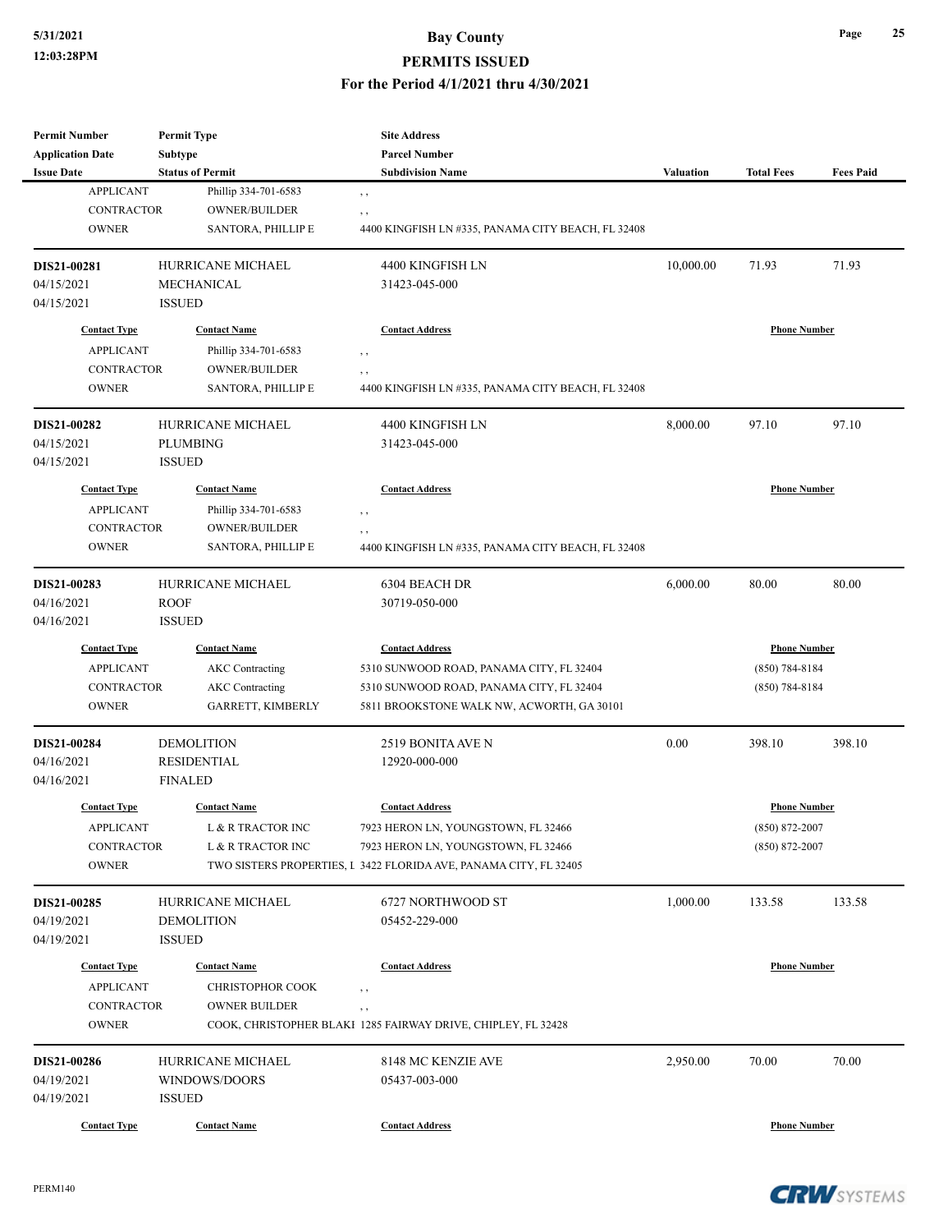#### **5/31/2021 Bay County PERMITS ISSUED**

#### **For the Period 4/1/2021 thru 4/30/2021**

| <b>Permit Number</b>    |               | <b>Permit Type</b>      |                                                                   |                  |                     |                  |
|-------------------------|---------------|-------------------------|-------------------------------------------------------------------|------------------|---------------------|------------------|
| <b>Application Date</b> | Subtype       |                         | <b>Parcel Number</b>                                              |                  |                     |                  |
| <b>Issue Date</b>       |               | <b>Status of Permit</b> | <b>Subdivision Name</b>                                           | <b>Valuation</b> | <b>Total Fees</b>   | <b>Fees Paid</b> |
| <b>APPLICANT</b>        |               | Phillip 334-701-6583    | $, \, , \,$                                                       |                  |                     |                  |
| <b>CONTRACTOR</b>       |               | OWNER/BUILDER           | , ,                                                               |                  |                     |                  |
| <b>OWNER</b>            |               | SANTORA, PHILLIP E      | 4400 KINGFISH LN #335, PANAMA CITY BEACH, FL 32408                |                  |                     |                  |
| DIS21-00281             |               | HURRICANE MICHAEL       | 4400 KINGFISH LN                                                  | 10,000.00        | 71.93               | 71.93            |
| 04/15/2021              |               | <b>MECHANICAL</b>       | 31423-045-000                                                     |                  |                     |                  |
| 04/15/2021              | <b>ISSUED</b> |                         |                                                                   |                  |                     |                  |
| <b>Contact Type</b>     |               | <b>Contact Name</b>     | <b>Contact Address</b>                                            |                  | <b>Phone Number</b> |                  |
| <b>APPLICANT</b>        |               | Phillip 334-701-6583    | $, \, , \,$                                                       |                  |                     |                  |
| <b>CONTRACTOR</b>       |               | OWNER/BUILDER           | , ,                                                               |                  |                     |                  |
| <b>OWNER</b>            |               | SANTORA, PHILLIP E      | 4400 KINGFISH LN #335, PANAMA CITY BEACH, FL 32408                |                  |                     |                  |
| DIS21-00282             |               | HURRICANE MICHAEL       | 4400 KINGFISH LN                                                  | 8,000.00         | 97.10               | 97.10            |
| 04/15/2021              |               |                         |                                                                   |                  |                     |                  |
| 04/15/2021              | <b>ISSUED</b> | PLUMBING                | 31423-045-000                                                     |                  |                     |                  |
| <b>Contact Type</b>     |               | <b>Contact Name</b>     | <b>Contact Address</b>                                            |                  | <b>Phone Number</b> |                  |
|                         |               |                         |                                                                   |                  |                     |                  |
| <b>APPLICANT</b>        |               | Phillip 334-701-6583    | $, \, , \,$                                                       |                  |                     |                  |
| <b>CONTRACTOR</b>       |               | <b>OWNER/BUILDER</b>    | $, \, , \,$                                                       |                  |                     |                  |
| <b>OWNER</b>            |               | SANTORA, PHILLIP E      | 4400 KINGFISH LN #335, PANAMA CITY BEACH, FL 32408                |                  |                     |                  |
| DIS21-00283             |               | HURRICANE MICHAEL       | 6304 BEACH DR                                                     | 6,000.00         | 80.00               | 80.00            |
| 04/16/2021              | <b>ROOF</b>   |                         | 30719-050-000                                                     |                  |                     |                  |
| 04/16/2021              | <b>ISSUED</b> |                         |                                                                   |                  |                     |                  |
| <b>Contact Type</b>     |               | <b>Contact Name</b>     | <b>Contact Address</b>                                            |                  | <b>Phone Number</b> |                  |
| <b>APPLICANT</b>        |               | <b>AKC</b> Contracting  | 5310 SUNWOOD ROAD, PANAMA CITY, FL 32404                          |                  | $(850) 784 - 8184$  |                  |
| <b>CONTRACTOR</b>       |               | <b>AKC</b> Contracting  | 5310 SUNWOOD ROAD, PANAMA CITY, FL 32404                          |                  | $(850) 784 - 8184$  |                  |
| <b>OWNER</b>            |               | GARRETT, KIMBERLY       | 5811 BROOKSTONE WALK NW, ACWORTH, GA 30101                        |                  |                     |                  |
| DIS21-00284             |               | <b>DEMOLITION</b>       | 2519 BONITA AVE N                                                 | 0.00             | 398.10              | 398.10           |
| 04/16/2021              |               | <b>RESIDENTIAL</b>      | 12920-000-000                                                     |                  |                     |                  |
| 04/16/2021              |               | <b>FINALED</b>          |                                                                   |                  |                     |                  |
| <b>Contact Type</b>     |               | <b>Contact Name</b>     | <b>Contact Address</b>                                            |                  | <b>Phone Number</b> |                  |
| APPLICANT               |               | L & R TRACTOR INC       | 7923 HERON LN, YOUNGSTOWN, FL 32466                               |                  | (850) 872-2007      |                  |
| CONTRACTOR              |               | L & R TRACTOR INC       | 7923 HERON LN, YOUNGSTOWN, FL 32466                               |                  | $(850) 872 - 2007$  |                  |
| <b>OWNER</b>            |               |                         | TWO SISTERS PROPERTIES, I 3422 FLORIDA AVE, PANAMA CITY, FL 32405 |                  |                     |                  |
| DIS21-00285             |               | HURRICANE MICHAEL       | 6727 NORTHWOOD ST                                                 | 1,000.00         | 133.58              | 133.58           |
| 04/19/2021              |               | <b>DEMOLITION</b>       | 05452-229-000                                                     |                  |                     |                  |
| 04/19/2021              | <b>ISSUED</b> |                         |                                                                   |                  |                     |                  |
|                         |               |                         |                                                                   |                  |                     |                  |
| <b>Contact Type</b>     |               | <b>Contact Name</b>     | <b>Contact Address</b>                                            |                  | <b>Phone Number</b> |                  |
| <b>APPLICANT</b>        |               | <b>CHRISTOPHOR COOK</b> | $, \, , \,$                                                       |                  |                     |                  |
| CONTRACTOR              |               | <b>OWNER BUILDER</b>    | , ,                                                               |                  |                     |                  |
| <b>OWNER</b>            |               |                         | COOK, CHRISTOPHER BLAKI 1285 FAIRWAY DRIVE, CHIPLEY, FL 32428     |                  |                     |                  |
| DIS21-00286             |               | HURRICANE MICHAEL       | 8148 MC KENZIE AVE                                                | 2,950.00         | 70.00               | 70.00            |
| 04/19/2021              |               | WINDOWS/DOORS           | 05437-003-000                                                     |                  |                     |                  |
| 04/19/2021              | <b>ISSUED</b> |                         |                                                                   |                  |                     |                  |
| <b>Contact Type</b>     |               | <b>Contact Name</b>     | <b>Contact Address</b>                                            |                  | <b>Phone Number</b> |                  |

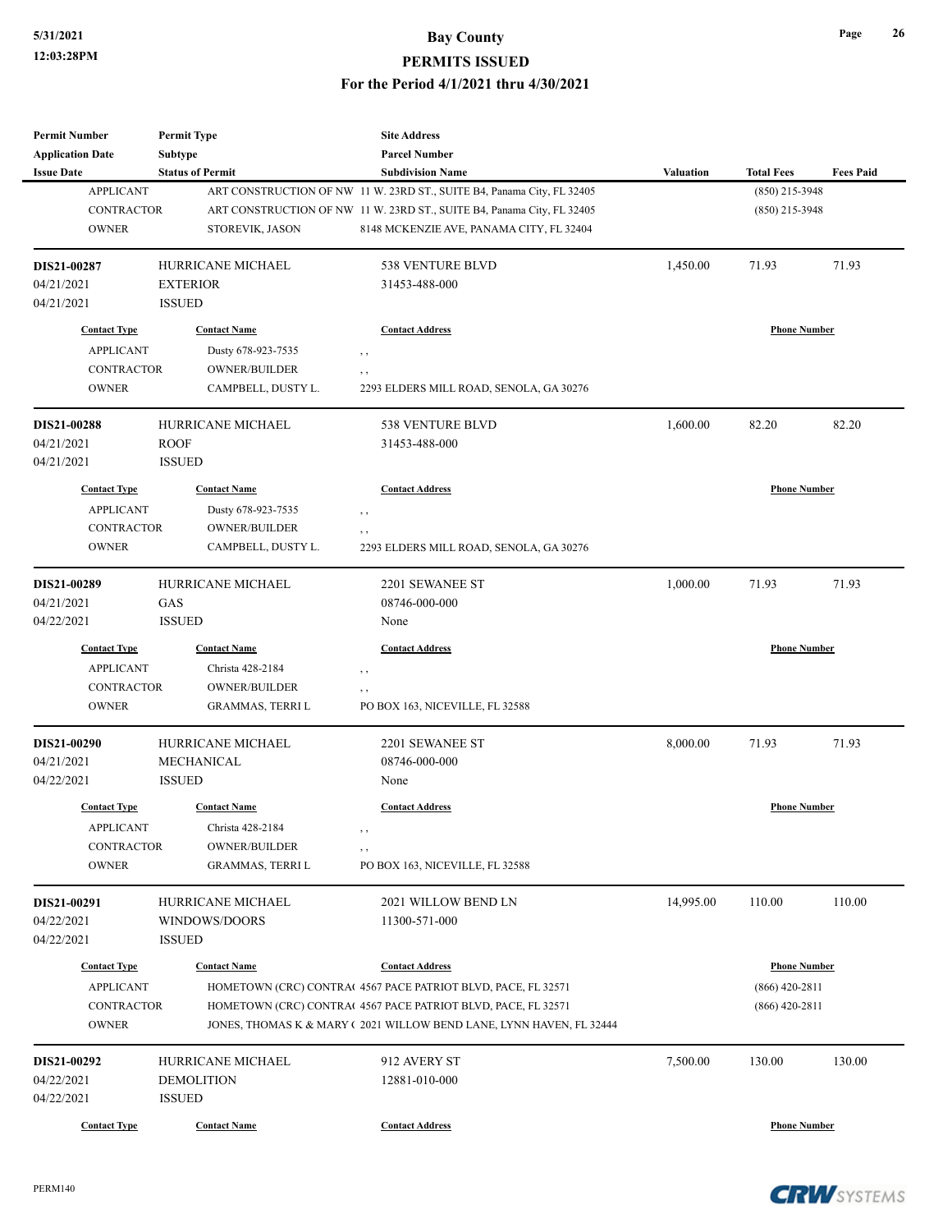| <b>Permit Number</b>                  | <b>Permit Type</b>                       | <b>Site Address</b>                                                    |                  |                     |                  |
|---------------------------------------|------------------------------------------|------------------------------------------------------------------------|------------------|---------------------|------------------|
| <b>Application Date</b>               | Subtype                                  | <b>Parcel Number</b>                                                   |                  |                     |                  |
| <b>Issue Date</b>                     | <b>Status of Permit</b>                  | <b>Subdivision Name</b>                                                | <b>Valuation</b> | <b>Total Fees</b>   | <b>Fees Paid</b> |
| <b>APPLICANT</b>                      |                                          | ART CONSTRUCTION OF NW 11 W. 23RD ST., SUITE B4, Panama City, FL 32405 |                  | (850) 215-3948      |                  |
| <b>CONTRACTOR</b>                     |                                          | ART CONSTRUCTION OF NW 11 W. 23RD ST., SUITE B4, Panama City, FL 32405 |                  | (850) 215-3948      |                  |
| <b>OWNER</b>                          | STOREVIK, JASON                          | 8148 MCKENZIE AVE, PANAMA CITY, FL 32404                               |                  |                     |                  |
| DIS21-00287                           | HURRICANE MICHAEL                        | 538 VENTURE BLVD                                                       | 1,450.00         | 71.93               | 71.93            |
| 04/21/2021                            | <b>EXTERIOR</b>                          | 31453-488-000                                                          |                  |                     |                  |
| 04/21/2021                            | <b>ISSUED</b>                            |                                                                        |                  |                     |                  |
| <b>Contact Type</b>                   | <b>Contact Name</b>                      | <b>Contact Address</b>                                                 |                  | <b>Phone Number</b> |                  |
| <b>APPLICANT</b>                      | Dusty 678-923-7535                       | , ,                                                                    |                  |                     |                  |
| <b>CONTRACTOR</b>                     | OWNER/BUILDER                            | , ,                                                                    |                  |                     |                  |
| <b>OWNER</b>                          | CAMPBELL, DUSTY L.                       | 2293 ELDERS MILL ROAD, SENOLA, GA 30276                                |                  |                     |                  |
| DIS21-00288                           | HURRICANE MICHAEL                        | 538 VENTURE BLVD                                                       | 1,600.00         | 82.20               | 82.20            |
| 04/21/2021                            | <b>ROOF</b>                              | 31453-488-000                                                          |                  |                     |                  |
| 04/21/2021                            | <b>ISSUED</b>                            |                                                                        |                  |                     |                  |
| <b>Contact Type</b>                   | <b>Contact Name</b>                      | <b>Contact Address</b>                                                 |                  | <b>Phone Number</b> |                  |
| <b>APPLICANT</b>                      | Dusty 678-923-7535                       | , ,                                                                    |                  |                     |                  |
| <b>CONTRACTOR</b>                     | <b>OWNER/BUILDER</b>                     | , ,                                                                    |                  |                     |                  |
| <b>OWNER</b>                          | CAMPBELL, DUSTY L.                       | 2293 ELDERS MILL ROAD, SENOLA, GA 30276                                |                  |                     |                  |
|                                       |                                          |                                                                        |                  |                     |                  |
| DIS21-00289<br>04/21/2021             | HURRICANE MICHAEL<br>GAS                 | 2201 SEWANEE ST<br>08746-000-000                                       | 1,000.00         | 71.93               | 71.93            |
| 04/22/2021                            | <b>ISSUED</b>                            | None                                                                   |                  |                     |                  |
|                                       |                                          |                                                                        |                  |                     |                  |
| <b>Contact Type</b>                   | <b>Contact Name</b>                      | <b>Contact Address</b>                                                 |                  | <b>Phone Number</b> |                  |
| <b>APPLICANT</b>                      | Christa 428-2184                         | , ,                                                                    |                  |                     |                  |
| <b>CONTRACTOR</b>                     | <b>OWNER/BUILDER</b>                     | , ,                                                                    |                  |                     |                  |
| <b>OWNER</b>                          | GRAMMAS, TERRI L                         | PO BOX 163, NICEVILLE, FL 32588                                        |                  |                     |                  |
| DIS21-00290                           | <b>HURRICANE MICHAEL</b>                 | 2201 SEWANEE ST                                                        | 8,000.00         | 71.93               | 71.93            |
| 04/21/2021                            | MECHANICAL                               | 08746-000-000                                                          |                  |                     |                  |
| 04/22/2021                            | <b>ISSUED</b>                            | None                                                                   |                  |                     |                  |
| <b>Contact Type</b>                   | <b>Contact Name</b>                      | <b>Contact Address</b>                                                 |                  | <b>Phone Number</b> |                  |
|                                       |                                          |                                                                        |                  |                     |                  |
| <b>APPLICANT</b><br><b>CONTRACTOR</b> | Christa 428-2184<br><b>OWNER/BUILDER</b> | , ,                                                                    |                  |                     |                  |
| <b>OWNER</b>                          | <b>GRAMMAS, TERRI L</b>                  | , ,<br>PO BOX 163, NICEVILLE, FL 32588                                 |                  |                     |                  |
|                                       |                                          |                                                                        |                  |                     |                  |
| DIS21-00291                           | HURRICANE MICHAEL                        | 2021 WILLOW BEND LN                                                    | 14,995.00        | 110.00              | 110.00           |
| 04/22/2021                            | WINDOWS/DOORS                            | 11300-571-000                                                          |                  |                     |                  |
| 04/22/2021                            | <b>ISSUED</b>                            |                                                                        |                  |                     |                  |
| <b>Contact Type</b>                   | <b>Contact Name</b>                      | <b>Contact Address</b>                                                 |                  | <b>Phone Number</b> |                  |
| <b>APPLICANT</b>                      |                                          | HOMETOWN (CRC) CONTRA(4567 PACE PATRIOT BLVD, PACE, FL 32571           |                  | $(866)$ 420-2811    |                  |
| <b>CONTRACTOR</b>                     |                                          | HOMETOWN (CRC) CONTRA(4567 PACE PATRIOT BLVD, PACE, FL 32571           |                  | $(866)$ 420-2811    |                  |
| <b>OWNER</b>                          |                                          | JONES, THOMAS K & MARY (2021 WILLOW BEND LANE, LYNN HAVEN, FL 32444    |                  |                     |                  |
| DIS21-00292                           | HURRICANE MICHAEL                        | 912 AVERY ST                                                           | 7,500.00         | 130.00              | 130.00           |
| 04/22/2021                            | <b>DEMOLITION</b>                        | 12881-010-000                                                          |                  |                     |                  |
| 04/22/2021                            | <b>ISSUED</b>                            |                                                                        |                  |                     |                  |
| <b>Contact Type</b>                   | <b>Contact Name</b>                      | <b>Contact Address</b>                                                 |                  | <b>Phone Number</b> |                  |
|                                       |                                          |                                                                        |                  |                     |                  |



**Page 26**

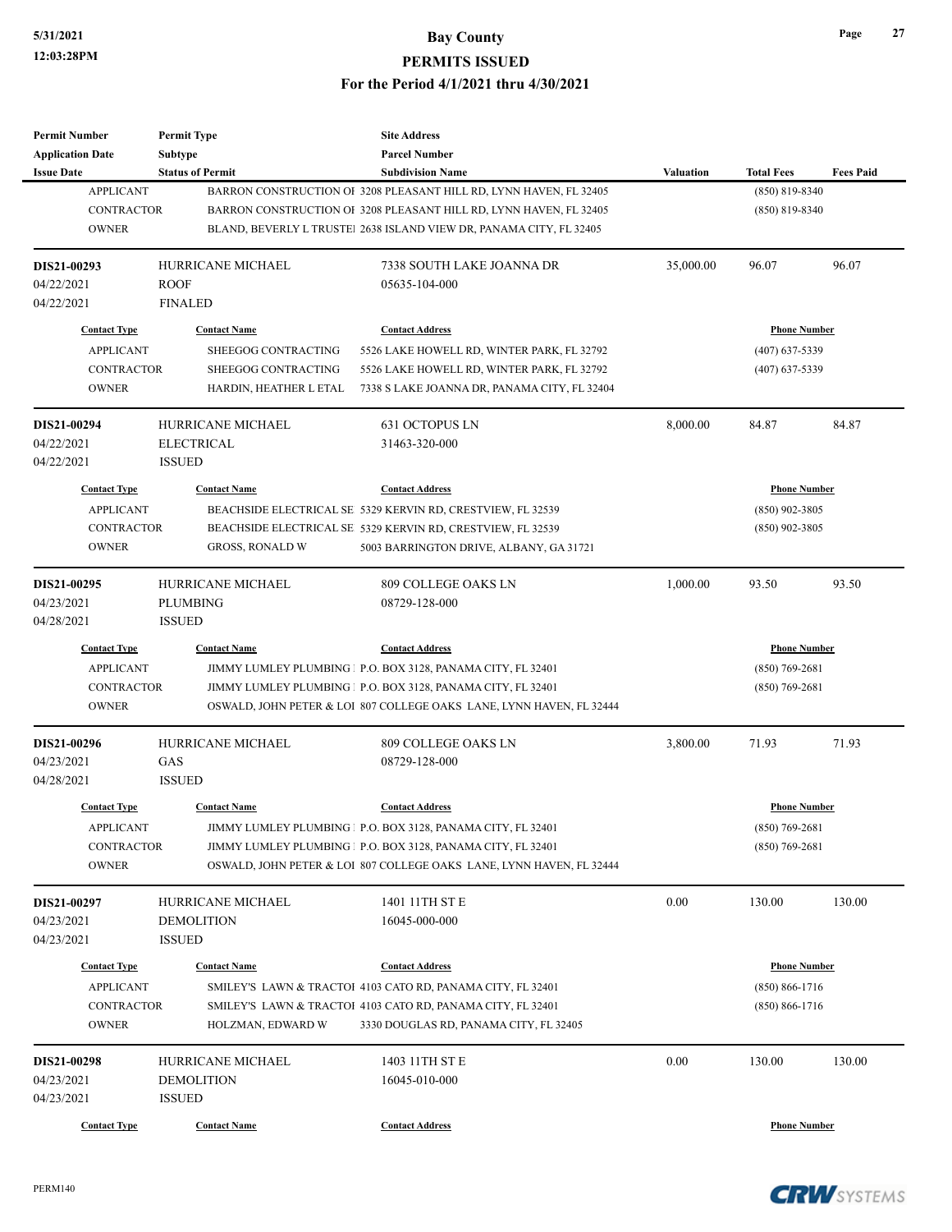| <b>Permit Number</b>    | <b>Permit Type</b>       | <b>Site Address</b>                                                  |                  |                     |                  |
|-------------------------|--------------------------|----------------------------------------------------------------------|------------------|---------------------|------------------|
| <b>Application Date</b> | <b>Subtype</b>           | <b>Parcel Number</b>                                                 |                  |                     |                  |
| <b>Issue Date</b>       | <b>Status of Permit</b>  | <b>Subdivision Name</b>                                              | <b>Valuation</b> | <b>Total Fees</b>   | <b>Fees Paid</b> |
| <b>APPLICANT</b>        |                          | BARRON CONSTRUCTION OF 3208 PLEASANT HILL RD, LYNN HAVEN, FL 32405   |                  | (850) 819-8340      |                  |
| <b>CONTRACTOR</b>       |                          | BARRON CONSTRUCTION OF 3208 PLEASANT HILL RD, LYNN HAVEN, FL 32405   |                  | $(850) 819 - 8340$  |                  |
| <b>OWNER</b>            |                          | BLAND, BEVERLY L TRUSTEI 2638 ISLAND VIEW DR, PANAMA CITY, FL 32405  |                  |                     |                  |
| DIS21-00293             | <b>HURRICANE MICHAEL</b> | 7338 SOUTH LAKE JOANNA DR                                            | 35,000.00        | 96.07               | 96.07            |
| 04/22/2021              | <b>ROOF</b>              | 05635-104-000                                                        |                  |                     |                  |
| 04/22/2021              | <b>FINALED</b>           |                                                                      |                  |                     |                  |
| <b>Contact Type</b>     | <b>Contact Name</b>      | <b>Contact Address</b>                                               |                  | <b>Phone Number</b> |                  |
| <b>APPLICANT</b>        | SHEEGOG CONTRACTING      | 5526 LAKE HOWELL RD, WINTER PARK, FL 32792                           |                  | $(407)$ 637-5339    |                  |
| <b>CONTRACTOR</b>       | SHEEGOG CONTRACTING      | 5526 LAKE HOWELL RD, WINTER PARK, FL 32792                           |                  | $(407)$ 637-5339    |                  |
| <b>OWNER</b>            | HARDIN, HEATHER L ETAL   | 7338 S LAKE JOANNA DR, PANAMA CITY, FL 32404                         |                  |                     |                  |
| DIS21-00294             | HURRICANE MICHAEL        | 631 OCTOPUS LN                                                       | 8,000.00         | 84.87               | 84.87            |
| 04/22/2021              | <b>ELECTRICAL</b>        | 31463-320-000                                                        |                  |                     |                  |
| 04/22/2021              | <b>ISSUED</b>            |                                                                      |                  |                     |                  |
| <b>Contact Type</b>     | <b>Contact Name</b>      | <b>Contact Address</b>                                               |                  | <b>Phone Number</b> |                  |
| <b>APPLICANT</b>        |                          | BEACHSIDE ELECTRICAL SE 5329 KERVIN RD, CRESTVIEW, FL 32539          |                  | $(850)$ 902-3805    |                  |
| <b>CONTRACTOR</b>       |                          | BEACHSIDE ELECTRICAL SE 5329 KERVIN RD, CRESTVIEW, FL 32539          |                  | $(850)$ 902-3805    |                  |
| <b>OWNER</b>            | <b>GROSS, RONALD W</b>   | 5003 BARRINGTON DRIVE, ALBANY, GA 31721                              |                  |                     |                  |
|                         |                          |                                                                      |                  |                     |                  |
| DIS21-00295             | HURRICANE MICHAEL        | 809 COLLEGE OAKS LN                                                  | 1,000.00         | 93.50               | 93.50            |
| 04/23/2021              | <b>PLUMBING</b>          | 08729-128-000                                                        |                  |                     |                  |
| 04/28/2021              | <b>ISSUED</b>            |                                                                      |                  |                     |                  |
| <b>Contact Type</b>     | <b>Contact Name</b>      | <b>Contact Address</b>                                               |                  | <b>Phone Number</b> |                  |
| <b>APPLICANT</b>        |                          | JIMMY LUMLEY PLUMBING   P.O. BOX 3128, PANAMA CITY, FL 32401         |                  | $(850)$ 769-2681    |                  |
| <b>CONTRACTOR</b>       |                          | JIMMY LUMLEY PLUMBING   P.O. BOX 3128, PANAMA CITY, FL 32401         |                  | $(850)$ 769-2681    |                  |
| <b>OWNER</b>            |                          | OSWALD, JOHN PETER & LOI 807 COLLEGE OAKS LANE, LYNN HAVEN, FL 32444 |                  |                     |                  |
| DIS21-00296             | HURRICANE MICHAEL        | 809 COLLEGE OAKS LN                                                  | 3,800.00         | 71.93               | 71.93            |
| 04/23/2021              | GAS                      | 08729-128-000                                                        |                  |                     |                  |
| 04/28/2021              | <b>ISSUED</b>            |                                                                      |                  |                     |                  |
| <b>Contact Type</b>     | <b>Contact Name</b>      | <b>Contact Address</b>                                               |                  | <b>Phone Number</b> |                  |
| <b>APPLICANT</b>        |                          | JIMMY LUMLEY PLUMBING   P.O. BOX 3128, PANAMA CITY, FL 32401         |                  | $(850)$ 769-2681    |                  |
| CONTRACTOR              |                          | JIMMY LUMLEY PLUMBING   P.O. BOX 3128, PANAMA CITY, FL 32401         |                  | $(850)$ 769-2681    |                  |
| <b>OWNER</b>            |                          | OSWALD, JOHN PETER & LOI 807 COLLEGE OAKS LANE, LYNN HAVEN, FL 32444 |                  |                     |                  |
| DIS21-00297             | HURRICANE MICHAEL        | 1401 11TH ST E                                                       | 0.00             | 130.00              | 130.00           |
| 04/23/2021              | <b>DEMOLITION</b>        | 16045-000-000                                                        |                  |                     |                  |
| 04/23/2021              | <b>ISSUED</b>            |                                                                      |                  |                     |                  |
| <b>Contact Type</b>     | <b>Contact Name</b>      | <b>Contact Address</b>                                               |                  | <b>Phone Number</b> |                  |
| <b>APPLICANT</b>        |                          | SMILEY'S LAWN & TRACTOI 4103 CATO RD, PANAMA CITY, FL 32401          |                  | $(850) 866 - 1716$  |                  |
| CONTRACTOR              |                          | SMILEY'S LAWN & TRACTOI 4103 CATO RD, PANAMA CITY, FL 32401          |                  | $(850) 866 - 1716$  |                  |
| <b>OWNER</b>            | HOLZMAN, EDWARD W        | 3330 DOUGLAS RD, PANAMA CITY, FL 32405                               |                  |                     |                  |
| DIS21-00298             | HURRICANE MICHAEL        | 1403 11TH ST E                                                       | 0.00             | 130.00              | 130.00           |
| 04/23/2021              | <b>DEMOLITION</b>        | 16045-010-000                                                        |                  |                     |                  |
| 04/23/2021              | <b>ISSUED</b>            |                                                                      |                  |                     |                  |
| <b>Contact Type</b>     | <b>Contact Name</b>      | <b>Contact Address</b>                                               |                  | <b>Phone Number</b> |                  |
|                         |                          |                                                                      |                  |                     |                  |

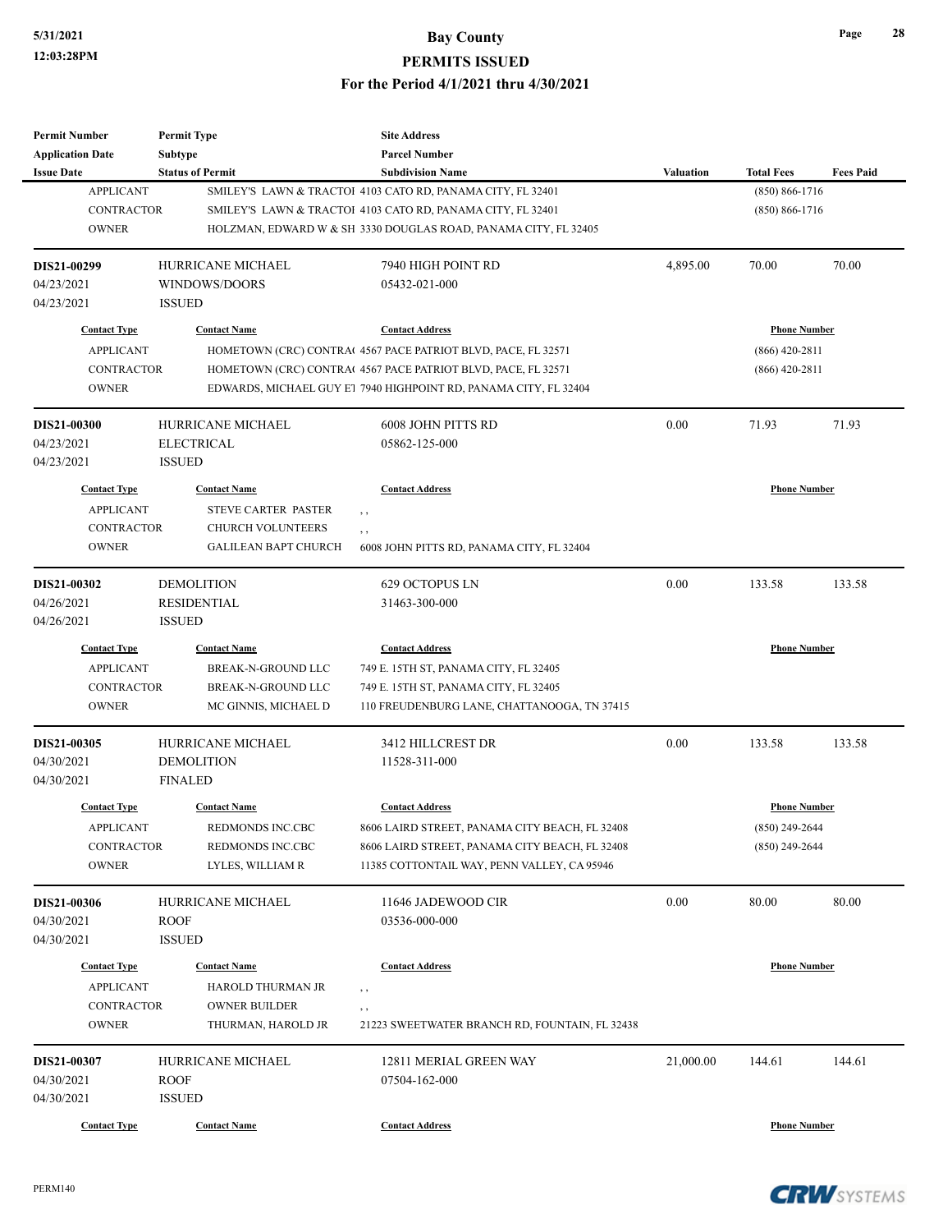| <b>Parcel Number</b><br><b>Subtype</b><br><b>Status of Permit</b><br><b>Subdivision Name</b><br><b>Valuation</b><br><b>Total Fees</b><br><b>Fees Paid</b><br><b>APPLICANT</b><br>SMILEY'S LAWN & TRACTOI 4103 CATO RD, PANAMA CITY, FL 32401<br>$(850) 866 - 1716$<br><b>CONTRACTOR</b><br>SMILEY'S LAWN & TRACTOI 4103 CATO RD, PANAMA CITY, FL 32401<br>$(850) 866 - 1716$<br><b>OWNER</b><br>HOLZMAN, EDWARD W & SH 3330 DOUGLAS ROAD, PANAMA CITY, FL 32405<br>HURRICANE MICHAEL<br>7940 HIGH POINT RD<br>4,895.00<br>70.00<br>70.00<br>WINDOWS/DOORS<br>05432-021-000<br><b>ISSUED</b><br><b>Phone Number</b><br><b>Contact Type</b><br><b>Contact Name</b><br><b>Contact Address</b><br><b>APPLICANT</b><br>HOMETOWN (CRC) CONTRA(4567 PACE PATRIOT BLVD, PACE, FL 32571<br>$(866)$ 420-2811<br><b>CONTRACTOR</b><br>$(866)$ 420-2811<br>HOMETOWN (CRC) CONTRA(4567 PACE PATRIOT BLVD, PACE, FL 32571<br><b>OWNER</b><br>EDWARDS, MICHAEL GUY E1 7940 HIGHPOINT RD, PANAMA CITY, FL 32404<br>HURRICANE MICHAEL<br>0.00<br>71.93<br>71.93<br>6008 JOHN PITTS RD<br><b>ELECTRICAL</b><br>05862-125-000<br><b>ISSUED</b><br><b>Contact Address</b><br><b>Phone Number</b><br><b>Contact Type</b><br><b>Contact Name</b><br><b>APPLICANT</b><br><b>STEVE CARTER PASTER</b><br>, ,<br><b>CONTRACTOR</b><br><b>CHURCH VOLUNTEERS</b><br>$, \, , \,$<br><b>OWNER</b><br><b>GALILEAN BAPT CHURCH</b><br>6008 JOHN PITTS RD, PANAMA CITY, FL 32404<br><b>DEMOLITION</b><br>629 OCTOPUS LN<br>0.00<br>133.58<br>133.58<br>04/26/2021<br><b>RESIDENTIAL</b><br>31463-300-000<br><b>ISSUED</b><br><b>Contact Type</b><br><b>Contact Address</b><br><b>Phone Number</b><br><b>Contact Name</b><br><b>APPLICANT</b><br>749 E. 15TH ST, PANAMA CITY, FL 32405<br>BREAK-N-GROUND LLC<br><b>CONTRACTOR</b><br>BREAK-N-GROUND LLC<br>749 E. 15TH ST, PANAMA CITY, FL 32405<br><b>OWNER</b><br>MC GINNIS, MICHAEL D<br>110 FREUDENBURG LANE, CHATTANOOGA, TN 37415<br>0.00<br>133.58<br>133.58<br>HURRICANE MICHAEL<br>3412 HILLCREST DR<br><b>DEMOLITION</b><br>11528-311-000<br><b>FINALED</b><br><b>Contact Type</b><br><b>Contact Name</b><br><b>Contact Address</b><br><b>Phone Number</b><br><b>APPLICANT</b><br>REDMONDS INC.CBC<br>8606 LAIRD STREET, PANAMA CITY BEACH, FL 32408<br>$(850)$ 249-2644<br><b>CONTRACTOR</b><br>REDMONDS INC.CBC<br>8606 LAIRD STREET, PANAMA CITY BEACH, FL 32408<br>$(850)$ 249-2644<br><b>OWNER</b><br>LYLES, WILLIAM R<br>11385 COTTONTAIL WAY, PENN VALLEY, CA 95946<br>0.00<br>80.00<br>HURRICANE MICHAEL<br>11646 JADEWOOD CIR<br>80.00<br>ROOF<br>03536-000-000<br><b>ISSUED</b><br><b>Contact Name</b><br><b>Contact Address</b><br><b>Phone Number</b><br><b>Contact Type</b><br><b>APPLICANT</b><br><b>HAROLD THURMAN JR</b><br>, ,<br><b>CONTRACTOR</b><br><b>OWNER BUILDER</b><br>, ,<br><b>OWNER</b><br>21223 SWEETWATER BRANCH RD, FOUNTAIN, FL 32438<br>THURMAN, HAROLD JR<br>144.61<br>HURRICANE MICHAEL<br>12811 MERIAL GREEN WAY<br>21,000.00<br>144.61<br>ROOF<br>07504-162-000<br><b>ISSUED</b><br><b>Contact Type</b><br><b>Contact Name</b><br><b>Contact Address</b><br><b>Phone Number</b> | <b>Permit Number</b>    | <b>Permit Type</b> | <b>Site Address</b> |  |  |
|----------------------------------------------------------------------------------------------------------------------------------------------------------------------------------------------------------------------------------------------------------------------------------------------------------------------------------------------------------------------------------------------------------------------------------------------------------------------------------------------------------------------------------------------------------------------------------------------------------------------------------------------------------------------------------------------------------------------------------------------------------------------------------------------------------------------------------------------------------------------------------------------------------------------------------------------------------------------------------------------------------------------------------------------------------------------------------------------------------------------------------------------------------------------------------------------------------------------------------------------------------------------------------------------------------------------------------------------------------------------------------------------------------------------------------------------------------------------------------------------------------------------------------------------------------------------------------------------------------------------------------------------------------------------------------------------------------------------------------------------------------------------------------------------------------------------------------------------------------------------------------------------------------------------------------------------------------------------------------------------------------------------------------------------------------------------------------------------------------------------------------------------------------------------------------------------------------------------------------------------------------------------------------------------------------------------------------------------------------------------------------------------------------------------------------------------------------------------------------------------------------------------------------------------------------------------------------------------------------------------------------------------------------------------------------------------------------------------------------------------------------------------------------------------------------------------------------------------------------------------------------------------------------------------------------------------------------------------------------------------------------------------------------------------------------------------------------------------------------------------------------------------|-------------------------|--------------------|---------------------|--|--|
|                                                                                                                                                                                                                                                                                                                                                                                                                                                                                                                                                                                                                                                                                                                                                                                                                                                                                                                                                                                                                                                                                                                                                                                                                                                                                                                                                                                                                                                                                                                                                                                                                                                                                                                                                                                                                                                                                                                                                                                                                                                                                                                                                                                                                                                                                                                                                                                                                                                                                                                                                                                                                                                                                                                                                                                                                                                                                                                                                                                                                                                                                                                                              | <b>Application Date</b> |                    |                     |  |  |
|                                                                                                                                                                                                                                                                                                                                                                                                                                                                                                                                                                                                                                                                                                                                                                                                                                                                                                                                                                                                                                                                                                                                                                                                                                                                                                                                                                                                                                                                                                                                                                                                                                                                                                                                                                                                                                                                                                                                                                                                                                                                                                                                                                                                                                                                                                                                                                                                                                                                                                                                                                                                                                                                                                                                                                                                                                                                                                                                                                                                                                                                                                                                              | <b>Issue Date</b>       |                    |                     |  |  |
|                                                                                                                                                                                                                                                                                                                                                                                                                                                                                                                                                                                                                                                                                                                                                                                                                                                                                                                                                                                                                                                                                                                                                                                                                                                                                                                                                                                                                                                                                                                                                                                                                                                                                                                                                                                                                                                                                                                                                                                                                                                                                                                                                                                                                                                                                                                                                                                                                                                                                                                                                                                                                                                                                                                                                                                                                                                                                                                                                                                                                                                                                                                                              |                         |                    |                     |  |  |
|                                                                                                                                                                                                                                                                                                                                                                                                                                                                                                                                                                                                                                                                                                                                                                                                                                                                                                                                                                                                                                                                                                                                                                                                                                                                                                                                                                                                                                                                                                                                                                                                                                                                                                                                                                                                                                                                                                                                                                                                                                                                                                                                                                                                                                                                                                                                                                                                                                                                                                                                                                                                                                                                                                                                                                                                                                                                                                                                                                                                                                                                                                                                              |                         |                    |                     |  |  |
|                                                                                                                                                                                                                                                                                                                                                                                                                                                                                                                                                                                                                                                                                                                                                                                                                                                                                                                                                                                                                                                                                                                                                                                                                                                                                                                                                                                                                                                                                                                                                                                                                                                                                                                                                                                                                                                                                                                                                                                                                                                                                                                                                                                                                                                                                                                                                                                                                                                                                                                                                                                                                                                                                                                                                                                                                                                                                                                                                                                                                                                                                                                                              |                         |                    |                     |  |  |
|                                                                                                                                                                                                                                                                                                                                                                                                                                                                                                                                                                                                                                                                                                                                                                                                                                                                                                                                                                                                                                                                                                                                                                                                                                                                                                                                                                                                                                                                                                                                                                                                                                                                                                                                                                                                                                                                                                                                                                                                                                                                                                                                                                                                                                                                                                                                                                                                                                                                                                                                                                                                                                                                                                                                                                                                                                                                                                                                                                                                                                                                                                                                              | DIS21-00299             |                    |                     |  |  |
|                                                                                                                                                                                                                                                                                                                                                                                                                                                                                                                                                                                                                                                                                                                                                                                                                                                                                                                                                                                                                                                                                                                                                                                                                                                                                                                                                                                                                                                                                                                                                                                                                                                                                                                                                                                                                                                                                                                                                                                                                                                                                                                                                                                                                                                                                                                                                                                                                                                                                                                                                                                                                                                                                                                                                                                                                                                                                                                                                                                                                                                                                                                                              | 04/23/2021              |                    |                     |  |  |
|                                                                                                                                                                                                                                                                                                                                                                                                                                                                                                                                                                                                                                                                                                                                                                                                                                                                                                                                                                                                                                                                                                                                                                                                                                                                                                                                                                                                                                                                                                                                                                                                                                                                                                                                                                                                                                                                                                                                                                                                                                                                                                                                                                                                                                                                                                                                                                                                                                                                                                                                                                                                                                                                                                                                                                                                                                                                                                                                                                                                                                                                                                                                              | 04/23/2021              |                    |                     |  |  |
|                                                                                                                                                                                                                                                                                                                                                                                                                                                                                                                                                                                                                                                                                                                                                                                                                                                                                                                                                                                                                                                                                                                                                                                                                                                                                                                                                                                                                                                                                                                                                                                                                                                                                                                                                                                                                                                                                                                                                                                                                                                                                                                                                                                                                                                                                                                                                                                                                                                                                                                                                                                                                                                                                                                                                                                                                                                                                                                                                                                                                                                                                                                                              |                         |                    |                     |  |  |
|                                                                                                                                                                                                                                                                                                                                                                                                                                                                                                                                                                                                                                                                                                                                                                                                                                                                                                                                                                                                                                                                                                                                                                                                                                                                                                                                                                                                                                                                                                                                                                                                                                                                                                                                                                                                                                                                                                                                                                                                                                                                                                                                                                                                                                                                                                                                                                                                                                                                                                                                                                                                                                                                                                                                                                                                                                                                                                                                                                                                                                                                                                                                              |                         |                    |                     |  |  |
|                                                                                                                                                                                                                                                                                                                                                                                                                                                                                                                                                                                                                                                                                                                                                                                                                                                                                                                                                                                                                                                                                                                                                                                                                                                                                                                                                                                                                                                                                                                                                                                                                                                                                                                                                                                                                                                                                                                                                                                                                                                                                                                                                                                                                                                                                                                                                                                                                                                                                                                                                                                                                                                                                                                                                                                                                                                                                                                                                                                                                                                                                                                                              |                         |                    |                     |  |  |
|                                                                                                                                                                                                                                                                                                                                                                                                                                                                                                                                                                                                                                                                                                                                                                                                                                                                                                                                                                                                                                                                                                                                                                                                                                                                                                                                                                                                                                                                                                                                                                                                                                                                                                                                                                                                                                                                                                                                                                                                                                                                                                                                                                                                                                                                                                                                                                                                                                                                                                                                                                                                                                                                                                                                                                                                                                                                                                                                                                                                                                                                                                                                              |                         |                    |                     |  |  |
|                                                                                                                                                                                                                                                                                                                                                                                                                                                                                                                                                                                                                                                                                                                                                                                                                                                                                                                                                                                                                                                                                                                                                                                                                                                                                                                                                                                                                                                                                                                                                                                                                                                                                                                                                                                                                                                                                                                                                                                                                                                                                                                                                                                                                                                                                                                                                                                                                                                                                                                                                                                                                                                                                                                                                                                                                                                                                                                                                                                                                                                                                                                                              | DIS21-00300             |                    |                     |  |  |
|                                                                                                                                                                                                                                                                                                                                                                                                                                                                                                                                                                                                                                                                                                                                                                                                                                                                                                                                                                                                                                                                                                                                                                                                                                                                                                                                                                                                                                                                                                                                                                                                                                                                                                                                                                                                                                                                                                                                                                                                                                                                                                                                                                                                                                                                                                                                                                                                                                                                                                                                                                                                                                                                                                                                                                                                                                                                                                                                                                                                                                                                                                                                              | 04/23/2021              |                    |                     |  |  |
|                                                                                                                                                                                                                                                                                                                                                                                                                                                                                                                                                                                                                                                                                                                                                                                                                                                                                                                                                                                                                                                                                                                                                                                                                                                                                                                                                                                                                                                                                                                                                                                                                                                                                                                                                                                                                                                                                                                                                                                                                                                                                                                                                                                                                                                                                                                                                                                                                                                                                                                                                                                                                                                                                                                                                                                                                                                                                                                                                                                                                                                                                                                                              | 04/23/2021              |                    |                     |  |  |
|                                                                                                                                                                                                                                                                                                                                                                                                                                                                                                                                                                                                                                                                                                                                                                                                                                                                                                                                                                                                                                                                                                                                                                                                                                                                                                                                                                                                                                                                                                                                                                                                                                                                                                                                                                                                                                                                                                                                                                                                                                                                                                                                                                                                                                                                                                                                                                                                                                                                                                                                                                                                                                                                                                                                                                                                                                                                                                                                                                                                                                                                                                                                              |                         |                    |                     |  |  |
|                                                                                                                                                                                                                                                                                                                                                                                                                                                                                                                                                                                                                                                                                                                                                                                                                                                                                                                                                                                                                                                                                                                                                                                                                                                                                                                                                                                                                                                                                                                                                                                                                                                                                                                                                                                                                                                                                                                                                                                                                                                                                                                                                                                                                                                                                                                                                                                                                                                                                                                                                                                                                                                                                                                                                                                                                                                                                                                                                                                                                                                                                                                                              |                         |                    |                     |  |  |
|                                                                                                                                                                                                                                                                                                                                                                                                                                                                                                                                                                                                                                                                                                                                                                                                                                                                                                                                                                                                                                                                                                                                                                                                                                                                                                                                                                                                                                                                                                                                                                                                                                                                                                                                                                                                                                                                                                                                                                                                                                                                                                                                                                                                                                                                                                                                                                                                                                                                                                                                                                                                                                                                                                                                                                                                                                                                                                                                                                                                                                                                                                                                              |                         |                    |                     |  |  |
|                                                                                                                                                                                                                                                                                                                                                                                                                                                                                                                                                                                                                                                                                                                                                                                                                                                                                                                                                                                                                                                                                                                                                                                                                                                                                                                                                                                                                                                                                                                                                                                                                                                                                                                                                                                                                                                                                                                                                                                                                                                                                                                                                                                                                                                                                                                                                                                                                                                                                                                                                                                                                                                                                                                                                                                                                                                                                                                                                                                                                                                                                                                                              |                         |                    |                     |  |  |
|                                                                                                                                                                                                                                                                                                                                                                                                                                                                                                                                                                                                                                                                                                                                                                                                                                                                                                                                                                                                                                                                                                                                                                                                                                                                                                                                                                                                                                                                                                                                                                                                                                                                                                                                                                                                                                                                                                                                                                                                                                                                                                                                                                                                                                                                                                                                                                                                                                                                                                                                                                                                                                                                                                                                                                                                                                                                                                                                                                                                                                                                                                                                              | DIS21-00302             |                    |                     |  |  |
|                                                                                                                                                                                                                                                                                                                                                                                                                                                                                                                                                                                                                                                                                                                                                                                                                                                                                                                                                                                                                                                                                                                                                                                                                                                                                                                                                                                                                                                                                                                                                                                                                                                                                                                                                                                                                                                                                                                                                                                                                                                                                                                                                                                                                                                                                                                                                                                                                                                                                                                                                                                                                                                                                                                                                                                                                                                                                                                                                                                                                                                                                                                                              |                         |                    |                     |  |  |
|                                                                                                                                                                                                                                                                                                                                                                                                                                                                                                                                                                                                                                                                                                                                                                                                                                                                                                                                                                                                                                                                                                                                                                                                                                                                                                                                                                                                                                                                                                                                                                                                                                                                                                                                                                                                                                                                                                                                                                                                                                                                                                                                                                                                                                                                                                                                                                                                                                                                                                                                                                                                                                                                                                                                                                                                                                                                                                                                                                                                                                                                                                                                              | 04/26/2021              |                    |                     |  |  |
|                                                                                                                                                                                                                                                                                                                                                                                                                                                                                                                                                                                                                                                                                                                                                                                                                                                                                                                                                                                                                                                                                                                                                                                                                                                                                                                                                                                                                                                                                                                                                                                                                                                                                                                                                                                                                                                                                                                                                                                                                                                                                                                                                                                                                                                                                                                                                                                                                                                                                                                                                                                                                                                                                                                                                                                                                                                                                                                                                                                                                                                                                                                                              |                         |                    |                     |  |  |
|                                                                                                                                                                                                                                                                                                                                                                                                                                                                                                                                                                                                                                                                                                                                                                                                                                                                                                                                                                                                                                                                                                                                                                                                                                                                                                                                                                                                                                                                                                                                                                                                                                                                                                                                                                                                                                                                                                                                                                                                                                                                                                                                                                                                                                                                                                                                                                                                                                                                                                                                                                                                                                                                                                                                                                                                                                                                                                                                                                                                                                                                                                                                              |                         |                    |                     |  |  |
|                                                                                                                                                                                                                                                                                                                                                                                                                                                                                                                                                                                                                                                                                                                                                                                                                                                                                                                                                                                                                                                                                                                                                                                                                                                                                                                                                                                                                                                                                                                                                                                                                                                                                                                                                                                                                                                                                                                                                                                                                                                                                                                                                                                                                                                                                                                                                                                                                                                                                                                                                                                                                                                                                                                                                                                                                                                                                                                                                                                                                                                                                                                                              |                         |                    |                     |  |  |
|                                                                                                                                                                                                                                                                                                                                                                                                                                                                                                                                                                                                                                                                                                                                                                                                                                                                                                                                                                                                                                                                                                                                                                                                                                                                                                                                                                                                                                                                                                                                                                                                                                                                                                                                                                                                                                                                                                                                                                                                                                                                                                                                                                                                                                                                                                                                                                                                                                                                                                                                                                                                                                                                                                                                                                                                                                                                                                                                                                                                                                                                                                                                              |                         |                    |                     |  |  |
|                                                                                                                                                                                                                                                                                                                                                                                                                                                                                                                                                                                                                                                                                                                                                                                                                                                                                                                                                                                                                                                                                                                                                                                                                                                                                                                                                                                                                                                                                                                                                                                                                                                                                                                                                                                                                                                                                                                                                                                                                                                                                                                                                                                                                                                                                                                                                                                                                                                                                                                                                                                                                                                                                                                                                                                                                                                                                                                                                                                                                                                                                                                                              | DIS21-00305             |                    |                     |  |  |
|                                                                                                                                                                                                                                                                                                                                                                                                                                                                                                                                                                                                                                                                                                                                                                                                                                                                                                                                                                                                                                                                                                                                                                                                                                                                                                                                                                                                                                                                                                                                                                                                                                                                                                                                                                                                                                                                                                                                                                                                                                                                                                                                                                                                                                                                                                                                                                                                                                                                                                                                                                                                                                                                                                                                                                                                                                                                                                                                                                                                                                                                                                                                              | 04/30/2021              |                    |                     |  |  |
|                                                                                                                                                                                                                                                                                                                                                                                                                                                                                                                                                                                                                                                                                                                                                                                                                                                                                                                                                                                                                                                                                                                                                                                                                                                                                                                                                                                                                                                                                                                                                                                                                                                                                                                                                                                                                                                                                                                                                                                                                                                                                                                                                                                                                                                                                                                                                                                                                                                                                                                                                                                                                                                                                                                                                                                                                                                                                                                                                                                                                                                                                                                                              | 04/30/2021              |                    |                     |  |  |
|                                                                                                                                                                                                                                                                                                                                                                                                                                                                                                                                                                                                                                                                                                                                                                                                                                                                                                                                                                                                                                                                                                                                                                                                                                                                                                                                                                                                                                                                                                                                                                                                                                                                                                                                                                                                                                                                                                                                                                                                                                                                                                                                                                                                                                                                                                                                                                                                                                                                                                                                                                                                                                                                                                                                                                                                                                                                                                                                                                                                                                                                                                                                              |                         |                    |                     |  |  |
|                                                                                                                                                                                                                                                                                                                                                                                                                                                                                                                                                                                                                                                                                                                                                                                                                                                                                                                                                                                                                                                                                                                                                                                                                                                                                                                                                                                                                                                                                                                                                                                                                                                                                                                                                                                                                                                                                                                                                                                                                                                                                                                                                                                                                                                                                                                                                                                                                                                                                                                                                                                                                                                                                                                                                                                                                                                                                                                                                                                                                                                                                                                                              |                         |                    |                     |  |  |
|                                                                                                                                                                                                                                                                                                                                                                                                                                                                                                                                                                                                                                                                                                                                                                                                                                                                                                                                                                                                                                                                                                                                                                                                                                                                                                                                                                                                                                                                                                                                                                                                                                                                                                                                                                                                                                                                                                                                                                                                                                                                                                                                                                                                                                                                                                                                                                                                                                                                                                                                                                                                                                                                                                                                                                                                                                                                                                                                                                                                                                                                                                                                              |                         |                    |                     |  |  |
|                                                                                                                                                                                                                                                                                                                                                                                                                                                                                                                                                                                                                                                                                                                                                                                                                                                                                                                                                                                                                                                                                                                                                                                                                                                                                                                                                                                                                                                                                                                                                                                                                                                                                                                                                                                                                                                                                                                                                                                                                                                                                                                                                                                                                                                                                                                                                                                                                                                                                                                                                                                                                                                                                                                                                                                                                                                                                                                                                                                                                                                                                                                                              |                         |                    |                     |  |  |
|                                                                                                                                                                                                                                                                                                                                                                                                                                                                                                                                                                                                                                                                                                                                                                                                                                                                                                                                                                                                                                                                                                                                                                                                                                                                                                                                                                                                                                                                                                                                                                                                                                                                                                                                                                                                                                                                                                                                                                                                                                                                                                                                                                                                                                                                                                                                                                                                                                                                                                                                                                                                                                                                                                                                                                                                                                                                                                                                                                                                                                                                                                                                              | DIS21-00306             |                    |                     |  |  |
|                                                                                                                                                                                                                                                                                                                                                                                                                                                                                                                                                                                                                                                                                                                                                                                                                                                                                                                                                                                                                                                                                                                                                                                                                                                                                                                                                                                                                                                                                                                                                                                                                                                                                                                                                                                                                                                                                                                                                                                                                                                                                                                                                                                                                                                                                                                                                                                                                                                                                                                                                                                                                                                                                                                                                                                                                                                                                                                                                                                                                                                                                                                                              | 04/30/2021              |                    |                     |  |  |
|                                                                                                                                                                                                                                                                                                                                                                                                                                                                                                                                                                                                                                                                                                                                                                                                                                                                                                                                                                                                                                                                                                                                                                                                                                                                                                                                                                                                                                                                                                                                                                                                                                                                                                                                                                                                                                                                                                                                                                                                                                                                                                                                                                                                                                                                                                                                                                                                                                                                                                                                                                                                                                                                                                                                                                                                                                                                                                                                                                                                                                                                                                                                              | 04/30/2021              |                    |                     |  |  |
|                                                                                                                                                                                                                                                                                                                                                                                                                                                                                                                                                                                                                                                                                                                                                                                                                                                                                                                                                                                                                                                                                                                                                                                                                                                                                                                                                                                                                                                                                                                                                                                                                                                                                                                                                                                                                                                                                                                                                                                                                                                                                                                                                                                                                                                                                                                                                                                                                                                                                                                                                                                                                                                                                                                                                                                                                                                                                                                                                                                                                                                                                                                                              |                         |                    |                     |  |  |
|                                                                                                                                                                                                                                                                                                                                                                                                                                                                                                                                                                                                                                                                                                                                                                                                                                                                                                                                                                                                                                                                                                                                                                                                                                                                                                                                                                                                                                                                                                                                                                                                                                                                                                                                                                                                                                                                                                                                                                                                                                                                                                                                                                                                                                                                                                                                                                                                                                                                                                                                                                                                                                                                                                                                                                                                                                                                                                                                                                                                                                                                                                                                              |                         |                    |                     |  |  |
|                                                                                                                                                                                                                                                                                                                                                                                                                                                                                                                                                                                                                                                                                                                                                                                                                                                                                                                                                                                                                                                                                                                                                                                                                                                                                                                                                                                                                                                                                                                                                                                                                                                                                                                                                                                                                                                                                                                                                                                                                                                                                                                                                                                                                                                                                                                                                                                                                                                                                                                                                                                                                                                                                                                                                                                                                                                                                                                                                                                                                                                                                                                                              |                         |                    |                     |  |  |
|                                                                                                                                                                                                                                                                                                                                                                                                                                                                                                                                                                                                                                                                                                                                                                                                                                                                                                                                                                                                                                                                                                                                                                                                                                                                                                                                                                                                                                                                                                                                                                                                                                                                                                                                                                                                                                                                                                                                                                                                                                                                                                                                                                                                                                                                                                                                                                                                                                                                                                                                                                                                                                                                                                                                                                                                                                                                                                                                                                                                                                                                                                                                              |                         |                    |                     |  |  |
|                                                                                                                                                                                                                                                                                                                                                                                                                                                                                                                                                                                                                                                                                                                                                                                                                                                                                                                                                                                                                                                                                                                                                                                                                                                                                                                                                                                                                                                                                                                                                                                                                                                                                                                                                                                                                                                                                                                                                                                                                                                                                                                                                                                                                                                                                                                                                                                                                                                                                                                                                                                                                                                                                                                                                                                                                                                                                                                                                                                                                                                                                                                                              | DIS21-00307             |                    |                     |  |  |
|                                                                                                                                                                                                                                                                                                                                                                                                                                                                                                                                                                                                                                                                                                                                                                                                                                                                                                                                                                                                                                                                                                                                                                                                                                                                                                                                                                                                                                                                                                                                                                                                                                                                                                                                                                                                                                                                                                                                                                                                                                                                                                                                                                                                                                                                                                                                                                                                                                                                                                                                                                                                                                                                                                                                                                                                                                                                                                                                                                                                                                                                                                                                              | 04/30/2021              |                    |                     |  |  |
|                                                                                                                                                                                                                                                                                                                                                                                                                                                                                                                                                                                                                                                                                                                                                                                                                                                                                                                                                                                                                                                                                                                                                                                                                                                                                                                                                                                                                                                                                                                                                                                                                                                                                                                                                                                                                                                                                                                                                                                                                                                                                                                                                                                                                                                                                                                                                                                                                                                                                                                                                                                                                                                                                                                                                                                                                                                                                                                                                                                                                                                                                                                                              | 04/30/2021              |                    |                     |  |  |
|                                                                                                                                                                                                                                                                                                                                                                                                                                                                                                                                                                                                                                                                                                                                                                                                                                                                                                                                                                                                                                                                                                                                                                                                                                                                                                                                                                                                                                                                                                                                                                                                                                                                                                                                                                                                                                                                                                                                                                                                                                                                                                                                                                                                                                                                                                                                                                                                                                                                                                                                                                                                                                                                                                                                                                                                                                                                                                                                                                                                                                                                                                                                              |                         |                    |                     |  |  |

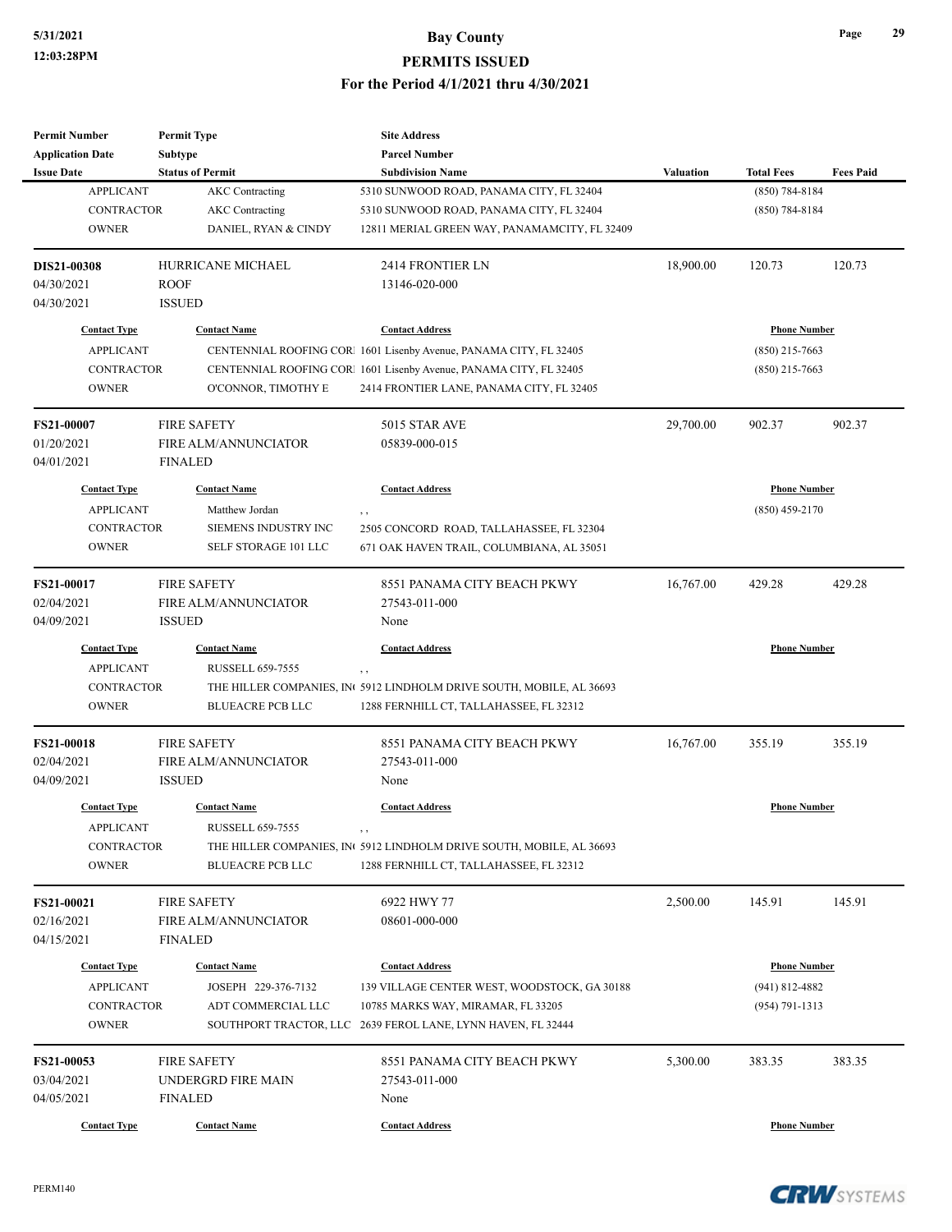| <b>Permit Number</b>    | <b>Permit Type</b>          | <b>Site Address</b>                                                               |                  |                     |                  |
|-------------------------|-----------------------------|-----------------------------------------------------------------------------------|------------------|---------------------|------------------|
| <b>Application Date</b> | Subtype                     | <b>Parcel Number</b>                                                              |                  |                     |                  |
| <b>Issue Date</b>       | <b>Status of Permit</b>     | <b>Subdivision Name</b>                                                           | <b>Valuation</b> | <b>Total Fees</b>   | <b>Fees Paid</b> |
| <b>APPLICANT</b>        | <b>AKC</b> Contracting      | 5310 SUNWOOD ROAD, PANAMA CITY, FL 32404                                          |                  | $(850) 784 - 8184$  |                  |
| <b>CONTRACTOR</b>       | <b>AKC</b> Contracting      | 5310 SUNWOOD ROAD, PANAMA CITY, FL 32404                                          |                  | $(850) 784 - 8184$  |                  |
| <b>OWNER</b>            | DANIEL, RYAN & CINDY        | 12811 MERIAL GREEN WAY, PANAMAMCITY, FL 32409                                     |                  |                     |                  |
| DIS21-00308             | <b>HURRICANE MICHAEL</b>    | 2414 FRONTIER LN                                                                  | 18,900.00        | 120.73              | 120.73           |
| 04/30/2021              | <b>ROOF</b>                 | 13146-020-000                                                                     |                  |                     |                  |
| 04/30/2021              | <b>ISSUED</b>               |                                                                                   |                  |                     |                  |
| <b>Contact Type</b>     | <b>Contact Name</b>         | <b>Contact Address</b>                                                            |                  | <b>Phone Number</b> |                  |
| <b>APPLICANT</b>        |                             | CENTENNIAL ROOFING COR 1601 Lisenby Avenue, PANAMA CITY, FL 32405                 |                  | $(850)$ 215-7663    |                  |
| <b>CONTRACTOR</b>       |                             | CENTENNIAL ROOFING COR 1601 Lisenby Avenue, PANAMA CITY, FL 32405                 |                  | $(850)$ 215-7663    |                  |
| <b>OWNER</b>            | O'CONNOR, TIMOTHY E         | 2414 FRONTIER LANE, PANAMA CITY, FL 32405                                         |                  |                     |                  |
| <b>FS21-00007</b>       | <b>FIRE SAFETY</b>          | 5015 STAR AVE                                                                     | 29,700.00        | 902.37              | 902.37           |
| 01/20/2021              | <b>FIRE ALM/ANNUNCIATOR</b> | 05839-000-015                                                                     |                  |                     |                  |
| 04/01/2021              | <b>FINALED</b>              |                                                                                   |                  |                     |                  |
| <b>Contact Type</b>     | <b>Contact Name</b>         | <b>Contact Address</b>                                                            |                  | <b>Phone Number</b> |                  |
| <b>APPLICANT</b>        | Matthew Jordan              | , ,                                                                               |                  | $(850)$ 459-2170    |                  |
| CONTRACTOR              | SIEMENS INDUSTRY INC        | 2505 CONCORD ROAD, TALLAHASSEE, FL 32304                                          |                  |                     |                  |
| <b>OWNER</b>            | SELF STORAGE 101 LLC        | 671 OAK HAVEN TRAIL, COLUMBIANA, AL 35051                                         |                  |                     |                  |
| <b>FS21-00017</b>       | <b>FIRE SAFETY</b>          | 8551 PANAMA CITY BEACH PKWY                                                       | 16,767.00        | 429.28              | 429.28           |
| 02/04/2021              | <b>FIRE ALM/ANNUNCIATOR</b> | 27543-011-000                                                                     |                  |                     |                  |
| 04/09/2021              | <b>ISSUED</b>               | None                                                                              |                  |                     |                  |
| <b>Contact Type</b>     | <b>Contact Name</b>         | <b>Contact Address</b>                                                            |                  | <b>Phone Number</b> |                  |
| <b>APPLICANT</b>        | RUSSELL 659-7555            | , ,                                                                               |                  |                     |                  |
| <b>CONTRACTOR</b>       |                             | THE HILLER COMPANIES, IN 5912 LINDHOLM DRIVE SOUTH, MOBILE, AL 36693              |                  |                     |                  |
| <b>OWNER</b>            | <b>BLUEACRE PCB LLC</b>     | 1288 FERNHILL CT, TALLAHASSEE, FL 32312                                           |                  |                     |                  |
| <b>FS21-00018</b>       | <b>FIRE SAFETY</b>          | 8551 PANAMA CITY BEACH PKWY                                                       | 16,767.00        | 355.19              | 355.19           |
| 02/04/2021              | FIRE ALM/ANNUNCIATOR        | 27543-011-000                                                                     |                  |                     |                  |
| 04/09/2021              | <b>ISSUED</b>               | None                                                                              |                  |                     |                  |
| <b>Contact Type</b>     | <b>Contact Name</b>         | <b>Contact Address</b>                                                            |                  | <b>Phone Number</b> |                  |
| <b>APPLICANT</b>        | RUSSELL 659-7555            | $\,$ ,                                                                            |                  |                     |                  |
| CONTRACTOR              |                             | THE HILLER COMPANIES, IN <sup>6</sup> 5912 LINDHOLM DRIVE SOUTH, MOBILE, AL 36693 |                  |                     |                  |
| <b>OWNER</b>            | <b>BLUEACRE PCB LLC</b>     | 1288 FERNHILL CT, TALLAHASSEE, FL 32312                                           |                  |                     |                  |
| FS21-00021              | <b>FIRE SAFETY</b>          | 6922 HWY 77                                                                       | 2,500.00         | 145.91              | 145.91           |
| 02/16/2021              | <b>FIRE ALM/ANNUNCIATOR</b> | 08601-000-000                                                                     |                  |                     |                  |
| 04/15/2021              | <b>FINALED</b>              |                                                                                   |                  |                     |                  |
| <b>Contact Type</b>     | <b>Contact Name</b>         | <b>Contact Address</b>                                                            |                  | <b>Phone Number</b> |                  |
| <b>APPLICANT</b>        | JOSEPH 229-376-7132         | 139 VILLAGE CENTER WEST, WOODSTOCK, GA 30188                                      |                  | $(941) 812 - 4882$  |                  |
| <b>CONTRACTOR</b>       | ADT COMMERCIAL LLC          | 10785 MARKS WAY, MIRAMAR, FL 33205                                                |                  | $(954) 791 - 1313$  |                  |
| <b>OWNER</b>            |                             | SOUTHPORT TRACTOR, LLC 2639 FEROL LANE, LYNN HAVEN, FL 32444                      |                  |                     |                  |
| FS21-00053              | <b>FIRE SAFETY</b>          | 8551 PANAMA CITY BEACH PKWY                                                       | 5,300.00         | 383.35              | 383.35           |
| 03/04/2021              | UNDERGRD FIRE MAIN          | 27543-011-000                                                                     |                  |                     |                  |
| 04/05/2021              | <b>FINALED</b>              | None                                                                              |                  |                     |                  |
| <b>Contact Type</b>     | <b>Contact Name</b>         | <b>Contact Address</b>                                                            |                  | <b>Phone Number</b> |                  |
|                         |                             |                                                                                   |                  |                     |                  |

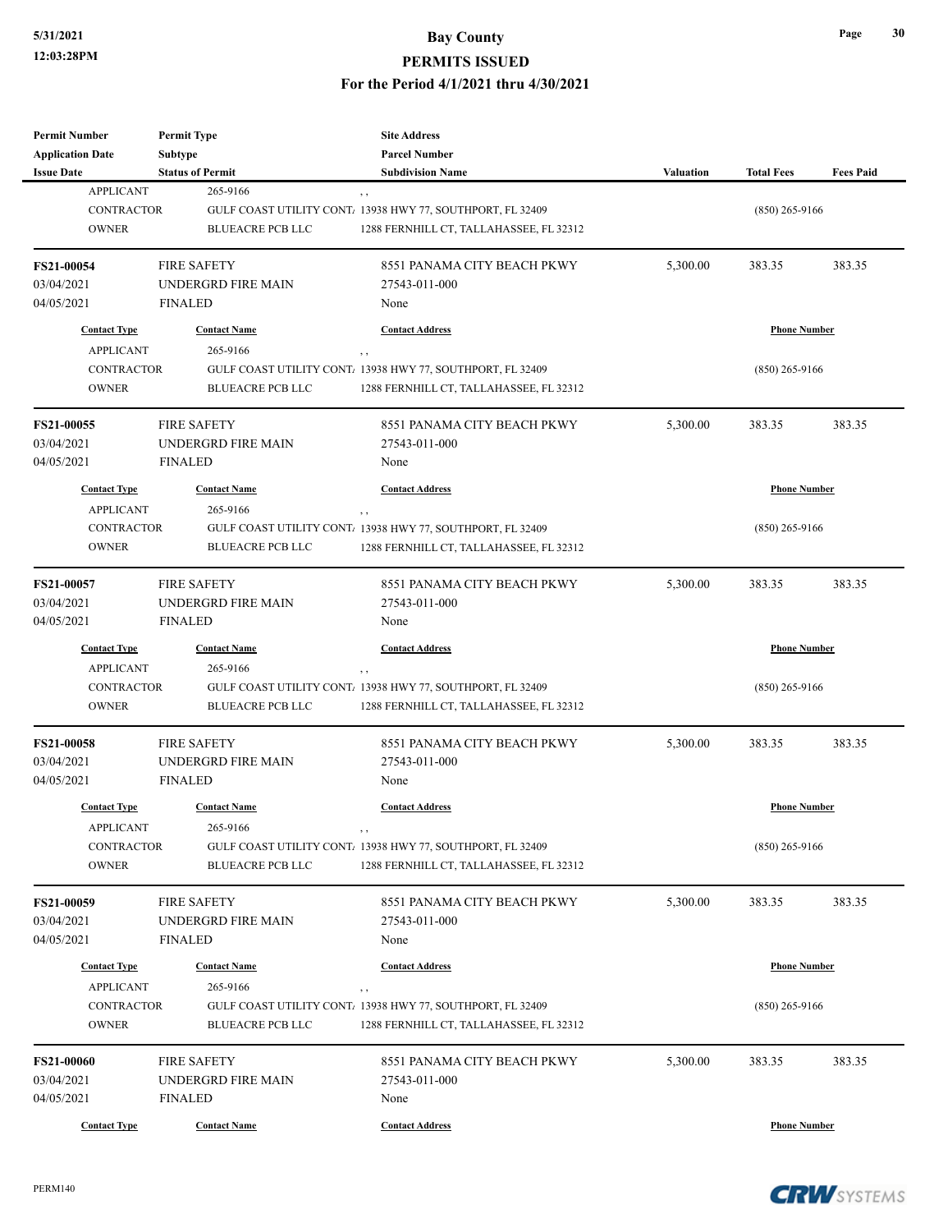| <b>Permit Number</b>                    | <b>Permit Type</b>                  | <b>Site Address</b>                                                                                   |                  |                     |                  |
|-----------------------------------------|-------------------------------------|-------------------------------------------------------------------------------------------------------|------------------|---------------------|------------------|
| <b>Application Date</b>                 | <b>Subtype</b>                      | <b>Parcel Number</b>                                                                                  |                  |                     |                  |
| <b>Issue Date</b><br><b>APPLICANT</b>   | <b>Status of Permit</b><br>265-9166 | <b>Subdivision Name</b>                                                                               | <b>Valuation</b> | <b>Total Fees</b>   | <b>Fees Paid</b> |
| <b>CONTRACTOR</b>                       |                                     | , ,                                                                                                   |                  |                     |                  |
| <b>OWNER</b>                            |                                     | GULF COAST UTILITY CONT. 13938 HWY 77, SOUTHPORT, FL 32409<br>1288 FERNHILL CT, TALLAHASSEE, FL 32312 |                  | $(850)$ 265-9166    |                  |
|                                         | <b>BLUEACRE PCB LLC</b>             |                                                                                                       |                  |                     |                  |
| <b>FS21-00054</b>                       | <b>FIRE SAFETY</b>                  | 8551 PANAMA CITY BEACH PKWY                                                                           | 5,300.00         | 383.35              | 383.35           |
| 03/04/2021                              | UNDERGRD FIRE MAIN                  | 27543-011-000                                                                                         |                  |                     |                  |
| 04/05/2021                              | <b>FINALED</b>                      | None                                                                                                  |                  |                     |                  |
| <b>Contact Type</b>                     | <b>Contact Name</b>                 | <b>Contact Address</b>                                                                                |                  | <b>Phone Number</b> |                  |
| <b>APPLICANT</b>                        | 265-9166                            | $, \, ,$                                                                                              |                  |                     |                  |
| <b>CONTRACTOR</b>                       |                                     | GULF COAST UTILITY CONT. 13938 HWY 77, SOUTHPORT, FL 32409                                            |                  | $(850)$ 265-9166    |                  |
| <b>OWNER</b>                            | <b>BLUEACRE PCB LLC</b>             | 1288 FERNHILL CT, TALLAHASSEE, FL 32312                                                               |                  |                     |                  |
| FS21-00055                              | <b>FIRE SAFETY</b>                  | 8551 PANAMA CITY BEACH PKWY                                                                           | 5,300.00         | 383.35              | 383.35           |
| 03/04/2021                              | UNDERGRD FIRE MAIN                  | 27543-011-000                                                                                         |                  |                     |                  |
| 04/05/2021                              | <b>FINALED</b>                      | None                                                                                                  |                  |                     |                  |
|                                         |                                     |                                                                                                       |                  |                     |                  |
| <b>Contact Type</b><br><b>APPLICANT</b> | <b>Contact Name</b><br>265-9166     | <b>Contact Address</b>                                                                                |                  | <b>Phone Number</b> |                  |
| <b>CONTRACTOR</b>                       |                                     | $, \, ,$<br>GULF COAST UTILITY CONT. 13938 HWY 77, SOUTHPORT, FL 32409                                |                  | $(850)$ 265-9166    |                  |
| <b>OWNER</b>                            |                                     | 1288 FERNHILL CT, TALLAHASSEE, FL 32312                                                               |                  |                     |                  |
|                                         | <b>BLUEACRE PCB LLC</b>             |                                                                                                       |                  |                     |                  |
| FS21-00057                              | <b>FIRE SAFETY</b>                  | 8551 PANAMA CITY BEACH PKWY                                                                           | 5,300.00         | 383.35              | 383.35           |
| 03/04/2021                              | UNDERGRD FIRE MAIN                  | 27543-011-000                                                                                         |                  |                     |                  |
| 04/05/2021                              | <b>FINALED</b>                      | None                                                                                                  |                  |                     |                  |
| <b>Contact Type</b>                     | <b>Contact Name</b>                 | <b>Contact Address</b>                                                                                |                  | <b>Phone Number</b> |                  |
| <b>APPLICANT</b>                        | 265-9166                            | , ,                                                                                                   |                  |                     |                  |
| CONTRACTOR                              |                                     | GULF COAST UTILITY CONT. 13938 HWY 77, SOUTHPORT, FL 32409                                            |                  | $(850)$ 265-9166    |                  |
| <b>OWNER</b>                            | <b>BLUEACRE PCB LLC</b>             | 1288 FERNHILL CT, TALLAHASSEE, FL 32312                                                               |                  |                     |                  |
| <b>FS21-00058</b>                       | <b>FIRE SAFETY</b>                  | 8551 PANAMA CITY BEACH PKWY                                                                           | 5,300.00         | 383.35              | 383.35           |
| 03/04/2021                              | UNDERGRD FIRE MAIN                  | 27543-011-000                                                                                         |                  |                     |                  |
| 04/05/2021                              | <b>FINALED</b>                      | None                                                                                                  |                  |                     |                  |
| <b>Contact Type</b>                     | <b>Contact Name</b>                 | <b>Contact Address</b>                                                                                |                  | <b>Phone Number</b> |                  |
| <b>APPLICANT</b>                        | 265-9166                            |                                                                                                       |                  |                     |                  |
| CONTRACTOR                              |                                     | GULF COAST UTILITY CONT. 13938 HWY 77, SOUTHPORT, FL 32409                                            |                  | $(850)$ 265-9166    |                  |
| <b>OWNER</b>                            | <b>BLUEACRE PCB LLC</b>             | 1288 FERNHILL CT, TALLAHASSEE, FL 32312                                                               |                  |                     |                  |
|                                         |                                     |                                                                                                       |                  |                     |                  |
| <b>FS21-00059</b>                       | <b>FIRE SAFETY</b>                  | 8551 PANAMA CITY BEACH PKWY                                                                           | 5,300.00         | 383.35              | 383.35           |
| 03/04/2021                              | UNDERGRD FIRE MAIN                  | 27543-011-000                                                                                         |                  |                     |                  |
| 04/05/2021                              | <b>FINALED</b>                      | None                                                                                                  |                  |                     |                  |
| <b>Contact Type</b>                     | <b>Contact Name</b>                 | <b>Contact Address</b>                                                                                |                  | <b>Phone Number</b> |                  |
| <b>APPLICANT</b>                        | 265-9166                            | , ,                                                                                                   |                  |                     |                  |
| CONTRACTOR                              |                                     | GULF COAST UTILITY CONT. 13938 HWY 77, SOUTHPORT, FL 32409                                            |                  | $(850)$ 265-9166    |                  |
| <b>OWNER</b>                            | <b>BLUEACRE PCB LLC</b>             | 1288 FERNHILL CT, TALLAHASSEE, FL 32312                                                               |                  |                     |                  |
| <b>FS21-00060</b>                       | <b>FIRE SAFETY</b>                  | 8551 PANAMA CITY BEACH PKWY                                                                           | 5,300.00         | 383.35              | 383.35           |
| 03/04/2021                              | UNDERGRD FIRE MAIN                  | 27543-011-000                                                                                         |                  |                     |                  |
| 04/05/2021                              | <b>FINALED</b>                      | None                                                                                                  |                  |                     |                  |
|                                         |                                     |                                                                                                       |                  |                     |                  |
| <b>Contact Type</b>                     | <b>Contact Name</b>                 | <b>Contact Address</b>                                                                                |                  | <b>Phone Number</b> |                  |

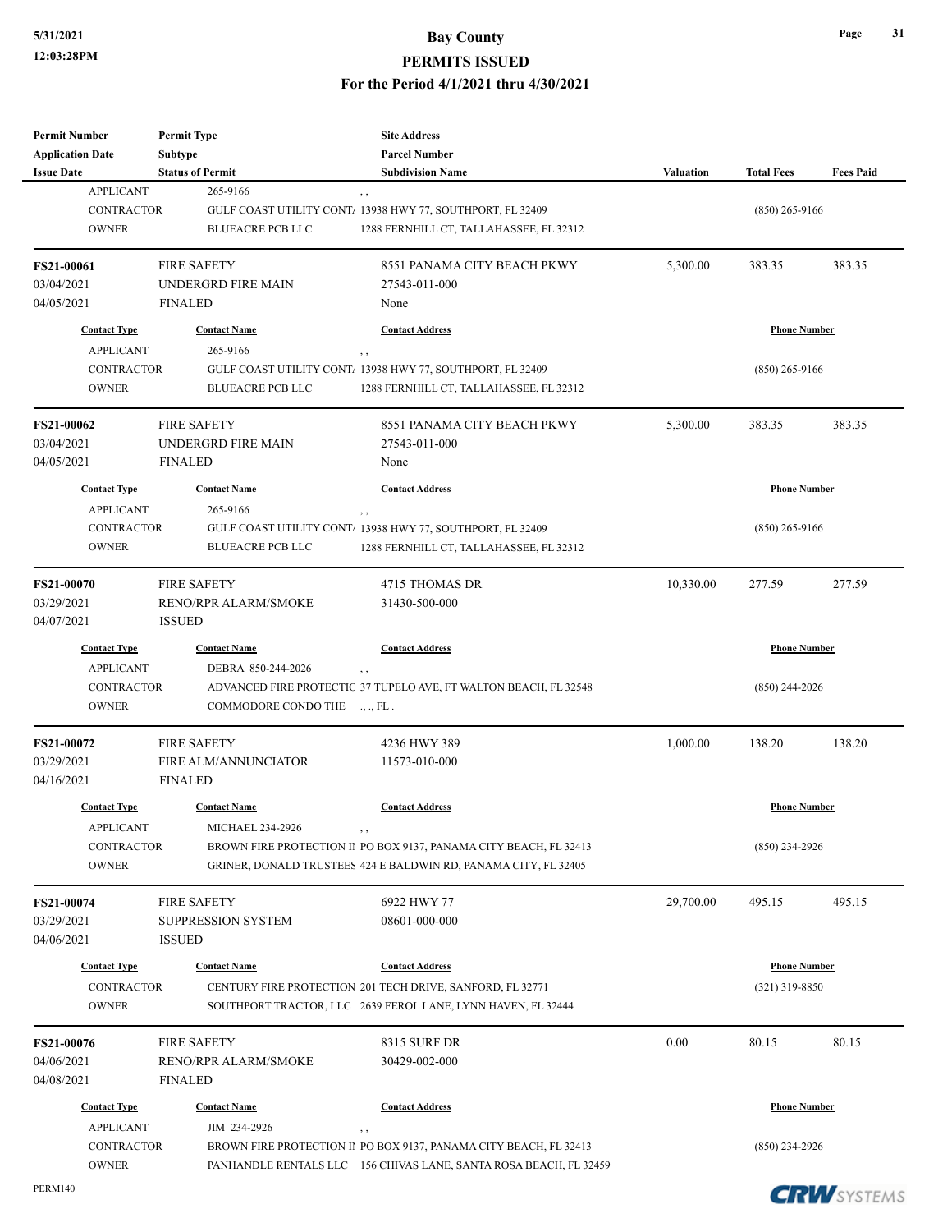| <b>Permit Number</b>    | <b>Permit Type</b>          | <b>Site Address</b>                                                              |                  |                     |                  |
|-------------------------|-----------------------------|----------------------------------------------------------------------------------|------------------|---------------------|------------------|
| <b>Application Date</b> | Subtype                     | <b>Parcel Number</b>                                                             |                  |                     |                  |
| <b>Issue Date</b>       | <b>Status of Permit</b>     | <b>Subdivision Name</b>                                                          | <b>Valuation</b> | <b>Total Fees</b>   | <b>Fees Paid</b> |
| <b>APPLICANT</b>        | 265-9166                    | $, \, , \,$                                                                      |                  |                     |                  |
| <b>CONTRACTOR</b>       |                             | GULF COAST UTILITY CONT. 13938 HWY 77, SOUTHPORT, FL 32409                       |                  | $(850)$ 265-9166    |                  |
| <b>OWNER</b>            | <b>BLUEACRE PCB LLC</b>     | 1288 FERNHILL CT, TALLAHASSEE, FL 32312                                          |                  |                     |                  |
| FS21-00061              | <b>FIRE SAFETY</b>          | 8551 PANAMA CITY BEACH PKWY                                                      | 5,300.00         | 383.35              | 383.35           |
| 03/04/2021              | UNDERGRD FIRE MAIN          | 27543-011-000                                                                    |                  |                     |                  |
| 04/05/2021              | <b>FINALED</b>              | None                                                                             |                  |                     |                  |
| <b>Contact Type</b>     | <b>Contact Name</b>         | <b>Contact Address</b>                                                           |                  | <b>Phone Number</b> |                  |
| <b>APPLICANT</b>        | 265-9166                    | $, \, , \,$                                                                      |                  |                     |                  |
| <b>CONTRACTOR</b>       |                             | GULF COAST UTILITY CONT. 13938 HWY 77, SOUTHPORT, FL 32409                       |                  | $(850)$ 265-9166    |                  |
| <b>OWNER</b>            | <b>BLUEACRE PCB LLC</b>     | 1288 FERNHILL CT, TALLAHASSEE, FL 32312                                          |                  |                     |                  |
| FS21-00062              | <b>FIRE SAFETY</b>          | 8551 PANAMA CITY BEACH PKWY                                                      | 5,300.00         | 383.35              | 383.35           |
| 03/04/2021              | UNDERGRD FIRE MAIN          | 27543-011-000                                                                    |                  |                     |                  |
| 04/05/2021              | <b>FINALED</b>              | None                                                                             |                  |                     |                  |
| <b>Contact Type</b>     | <b>Contact Name</b>         | <b>Contact Address</b>                                                           |                  | <b>Phone Number</b> |                  |
| <b>APPLICANT</b>        | 265-9166                    |                                                                                  |                  |                     |                  |
| <b>CONTRACTOR</b>       |                             | , ,<br>GULF COAST UTILITY CONT. 13938 HWY 77, SOUTHPORT, FL 32409                |                  | (850) 265-9166      |                  |
| <b>OWNER</b>            | <b>BLUEACRE PCB LLC</b>     | 1288 FERNHILL CT, TALLAHASSEE, FL 32312                                          |                  |                     |                  |
|                         |                             |                                                                                  |                  |                     |                  |
| FS21-00070              | <b>FIRE SAFETY</b>          | 4715 THOMAS DR                                                                   | 10,330.00        | 277.59              | 277.59           |
| 03/29/2021              | RENO/RPR ALARM/SMOKE        | 31430-500-000                                                                    |                  |                     |                  |
| 04/07/2021              | <b>ISSUED</b>               |                                                                                  |                  |                     |                  |
| <b>Contact Type</b>     | <b>Contact Name</b>         | <b>Contact Address</b>                                                           |                  | <b>Phone Number</b> |                  |
| <b>APPLICANT</b>        | DEBRA 850-244-2026          | $, \, ,$                                                                         |                  |                     |                  |
| <b>CONTRACTOR</b>       |                             | ADVANCED FIRE PROTECTIC 37 TUPELO AVE, FT WALTON BEACH, FL 32548                 |                  | (850) 244-2026      |                  |
| <b>OWNER</b>            | COMMODORE CONDO THE         | ., ., FL.                                                                        |                  |                     |                  |
| <b>FS21-00072</b>       | <b>FIRE SAFETY</b>          | 4236 HWY 389                                                                     | 1,000.00         | 138.20              | 138.20           |
| 03/29/2021              | FIRE ALM/ANNUNCIATOR        | 11573-010-000                                                                    |                  |                     |                  |
| 04/16/2021              | <b>FINALED</b>              |                                                                                  |                  |                     |                  |
| <b>Contact Type</b>     | <b>Contact Name</b>         | <b>Contact Address</b>                                                           |                  | <b>Phone Number</b> |                  |
| <b>APPLICANT</b>        | MICHAEL 234-2926            | $, \, , \,$                                                                      |                  |                     |                  |
| <b>CONTRACTOR</b>       |                             | BROWN FIRE PROTECTION II PO BOX 9137, PANAMA CITY BEACH, FL 32413                |                  | (850) 234-2926      |                  |
| <b>OWNER</b>            |                             | GRINER, DONALD TRUSTEES 424 E BALDWIN RD, PANAMA CITY, FL 32405                  |                  |                     |                  |
| <b>FS21-00074</b>       | <b>FIRE SAFETY</b>          | 6922 HWY 77                                                                      | 29,700.00        | 495.15              | 495.15           |
| 03/29/2021              | <b>SUPPRESSION SYSTEM</b>   | 08601-000-000                                                                    |                  |                     |                  |
| 04/06/2021              | <b>ISSUED</b>               |                                                                                  |                  |                     |                  |
| <b>Contact Type</b>     | <b>Contact Name</b>         | <b>Contact Address</b>                                                           |                  | <b>Phone Number</b> |                  |
| <b>CONTRACTOR</b>       |                             | CENTURY FIRE PROTECTION 201 TECH DRIVE, SANFORD, FL 32771                        |                  | (321) 319-8850      |                  |
| <b>OWNER</b>            |                             | SOUTHPORT TRACTOR, LLC 2639 FEROL LANE, LYNN HAVEN, FL 32444                     |                  |                     |                  |
| FS21-00076              | <b>FIRE SAFETY</b>          | <b>8315 SURF DR</b>                                                              | 0.00             | 80.15               | 80.15            |
| 04/06/2021              | <b>RENO/RPR ALARM/SMOKE</b> | 30429-002-000                                                                    |                  |                     |                  |
| 04/08/2021              | <b>FINALED</b>              |                                                                                  |                  |                     |                  |
| <b>Contact Type</b>     | <b>Contact Name</b>         | <b>Contact Address</b>                                                           |                  | <b>Phone Number</b> |                  |
| <b>APPLICANT</b>        | JIM 234-2926                |                                                                                  |                  |                     |                  |
| CONTRACTOR              |                             | $, \, , \,$<br>BROWN FIRE PROTECTION II PO BOX 9137, PANAMA CITY BEACH, FL 32413 |                  | $(850)$ 234-2926    |                  |
| <b>OWNER</b>            |                             | PANHANDLE RENTALS LLC 156 CHIVAS LANE, SANTA ROSA BEACH, FL 32459                |                  |                     |                  |
|                         |                             |                                                                                  |                  |                     |                  |

PERM140

**CRW**SYSTEMS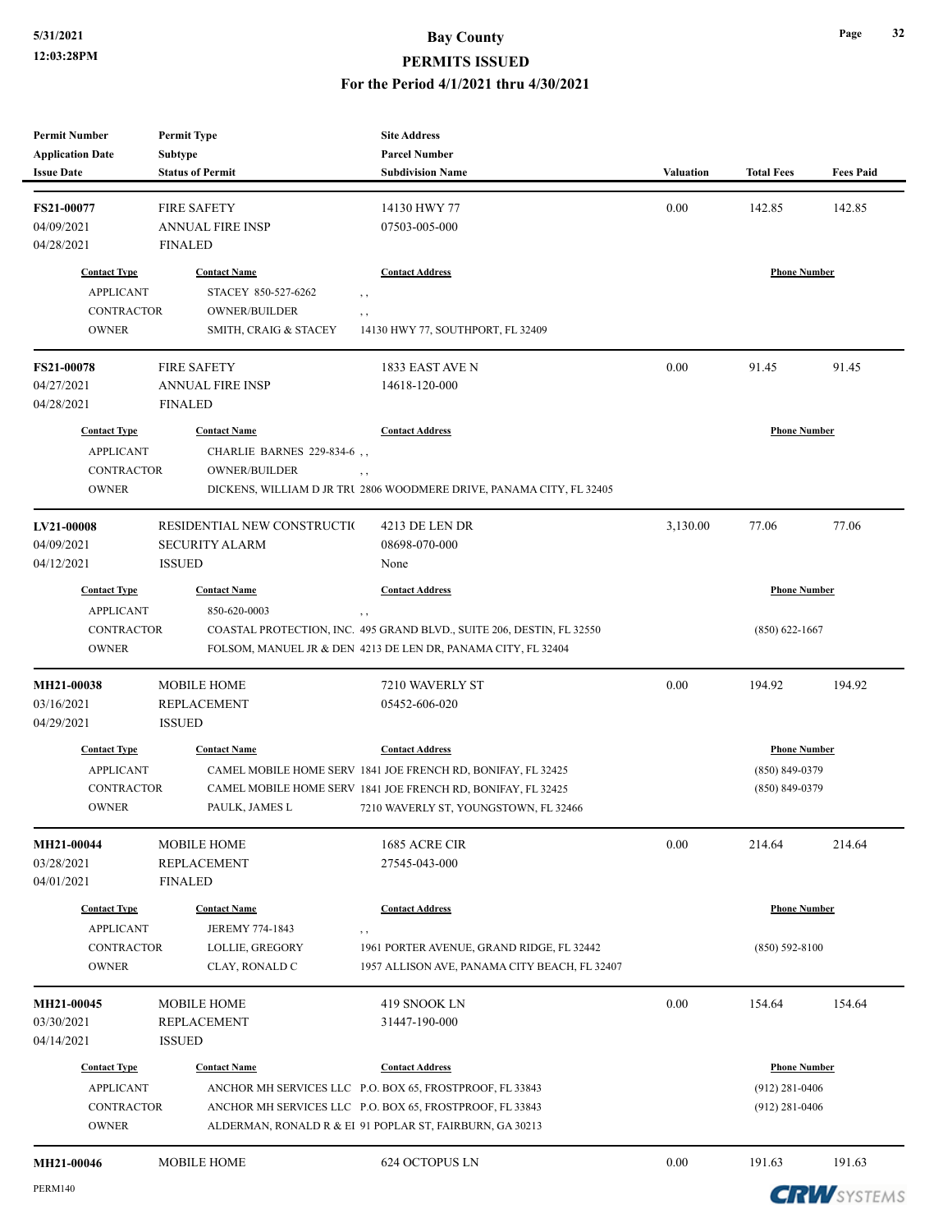| <b>Permit Number</b>     | <b>Permit Type</b>                 | <b>Site Address</b>                                                   |                  |                     |                  |
|--------------------------|------------------------------------|-----------------------------------------------------------------------|------------------|---------------------|------------------|
| <b>Application Date</b>  | Subtype                            | <b>Parcel Number</b>                                                  |                  |                     |                  |
| <b>Issue Date</b>        | <b>Status of Permit</b>            | <b>Subdivision Name</b>                                               | <b>Valuation</b> | <b>Total Fees</b>   | <b>Fees Paid</b> |
| FS21-00077               | <b>FIRE SAFETY</b>                 | 14130 HWY 77                                                          | 0.00             | 142.85              | 142.85           |
| 04/09/2021               | <b>ANNUAL FIRE INSP</b>            | 07503-005-000                                                         |                  |                     |                  |
| 04/28/2021               | <b>FINALED</b>                     |                                                                       |                  |                     |                  |
|                          |                                    |                                                                       |                  |                     |                  |
| <b>Contact Type</b>      | <b>Contact Name</b>                | <b>Contact Address</b>                                                |                  | <b>Phone Number</b> |                  |
| <b>APPLICANT</b>         | STACEY 850-527-6262                | , ,                                                                   |                  |                     |                  |
| <b>CONTRACTOR</b>        | <b>OWNER/BUILDER</b>               | $, \, ,$                                                              |                  |                     |                  |
| <b>OWNER</b>             | SMITH, CRAIG & STACEY              | 14130 HWY 77, SOUTHPORT, FL 32409                                     |                  |                     |                  |
| <b>FS21-00078</b>        | <b>FIRE SAFETY</b>                 | 1833 EAST AVE N                                                       | 0.00             | 91.45               | 91.45            |
| 04/27/2021               | <b>ANNUAL FIRE INSP</b>            | 14618-120-000                                                         |                  |                     |                  |
| 04/28/2021               | <b>FINALED</b>                     |                                                                       |                  |                     |                  |
| <b>Contact Type</b>      | <b>Contact Name</b>                | <b>Contact Address</b>                                                |                  | <b>Phone Number</b> |                  |
| <b>APPLICANT</b>         | CHARLIE BARNES 229-834-6,          |                                                                       |                  |                     |                  |
| CONTRACTOR               | <b>OWNER/BUILDER</b>               | $, \, ,$                                                              |                  |                     |                  |
| <b>OWNER</b>             |                                    | DICKENS, WILLIAM D JR TRU 2806 WOODMERE DRIVE, PANAMA CITY, FL 32405  |                  |                     |                  |
|                          |                                    |                                                                       |                  |                     |                  |
| LV21-00008               | RESIDENTIAL NEW CONSTRUCTIO        | 4213 DE LEN DR                                                        | 3,130.00         | 77.06               | 77.06            |
| 04/09/2021               | <b>SECURITY ALARM</b>              | 08698-070-000                                                         |                  |                     |                  |
| 04/12/2021               | <b>ISSUED</b>                      | None                                                                  |                  |                     |                  |
| <b>Contact Type</b>      | <b>Contact Name</b>                | <b>Contact Address</b>                                                |                  | <b>Phone Number</b> |                  |
| <b>APPLICANT</b>         | 850-620-0003                       | $, \, ,$                                                              |                  |                     |                  |
| CONTRACTOR               |                                    | COASTAL PROTECTION, INC. 495 GRAND BLVD., SUITE 206, DESTIN, FL 32550 |                  | $(850) 622 - 1667$  |                  |
| <b>OWNER</b>             |                                    | FOLSOM, MANUEL JR & DEN 4213 DE LEN DR, PANAMA CITY, FL 32404         |                  |                     |                  |
|                          | <b>MOBILE HOME</b>                 |                                                                       | 0.00             | 194.92              | 194.92           |
| MH21-00038<br>03/16/2021 | <b>REPLACEMENT</b>                 | 7210 WAVERLY ST<br>05452-606-020                                      |                  |                     |                  |
| 04/29/2021               | <b>ISSUED</b>                      |                                                                       |                  |                     |                  |
|                          |                                    |                                                                       |                  |                     |                  |
| <b>Contact Type</b>      | <b>Contact Name</b>                | <b>Contact Address</b>                                                |                  | <b>Phone Number</b> |                  |
| <b>APPLICANT</b>         |                                    | CAMEL MOBILE HOME SERV 1841 JOE FRENCH RD, BONIFAY, FL 32425          |                  | (850) 849-0379      |                  |
| <b>CONTRACTOR</b>        |                                    | CAMEL MOBILE HOME SERV 1841 JOE FRENCH RD, BONIFAY, FL 32425          |                  | (850) 849-0379      |                  |
| <b>OWNER</b>             | PAULK, JAMES L                     | 7210 WAVERLY ST, YOUNGSTOWN, FL 32466                                 |                  |                     |                  |
| MH21-00044               | MOBILE HOME                        | 1685 ACRE CIR                                                         | 0.00             | 214.64              | 214.64           |
| 03/28/2021               | <b>REPLACEMENT</b>                 | 27545-043-000                                                         |                  |                     |                  |
| 04/01/2021               | <b>FINALED</b>                     |                                                                       |                  |                     |                  |
| <b>Contact Type</b>      | <b>Contact Name</b>                | <b>Contact Address</b>                                                |                  | <b>Phone Number</b> |                  |
| <b>APPLICANT</b>         |                                    |                                                                       |                  |                     |                  |
| <b>CONTRACTOR</b>        | JEREMY 774-1843<br>LOLLIE, GREGORY | , ,<br>1961 PORTER AVENUE, GRAND RIDGE, FL 32442                      |                  |                     |                  |
| <b>OWNER</b>             |                                    |                                                                       |                  | $(850) 592 - 8100$  |                  |
|                          | CLAY, RONALD C                     | 1957 ALLISON AVE, PANAMA CITY BEACH, FL 32407                         |                  |                     |                  |
| MH21-00045               | <b>MOBILE HOME</b>                 | 419 SNOOK LN                                                          | $0.00\,$         | 154.64              | 154.64           |
| 03/30/2021               | <b>REPLACEMENT</b>                 | 31447-190-000                                                         |                  |                     |                  |
| 04/14/2021               | <b>ISSUED</b>                      |                                                                       |                  |                     |                  |
| <b>Contact Type</b>      | <b>Contact Name</b>                | <b>Contact Address</b>                                                |                  | <b>Phone Number</b> |                  |
| <b>APPLICANT</b>         |                                    | ANCHOR MH SERVICES LLC P.O. BOX 65, FROSTPROOF, FL 33843              |                  | $(912)$ 281-0406    |                  |
| CONTRACTOR               |                                    | ANCHOR MH SERVICES LLC P.O. BOX 65, FROSTPROOF, FL 33843              |                  | $(912)$ 281-0406    |                  |
| <b>OWNER</b>             |                                    | ALDERMAN, RONALD R & EI 91 POPLAR ST, FAIRBURN, GA 30213              |                  |                     |                  |
|                          |                                    |                                                                       |                  |                     |                  |
| MH21-00046               | <b>MOBILE HOME</b>                 | 624 OCTOPUS LN                                                        | $0.00\,$         | 191.63              | 191.63           |
|                          |                                    |                                                                       |                  |                     |                  |

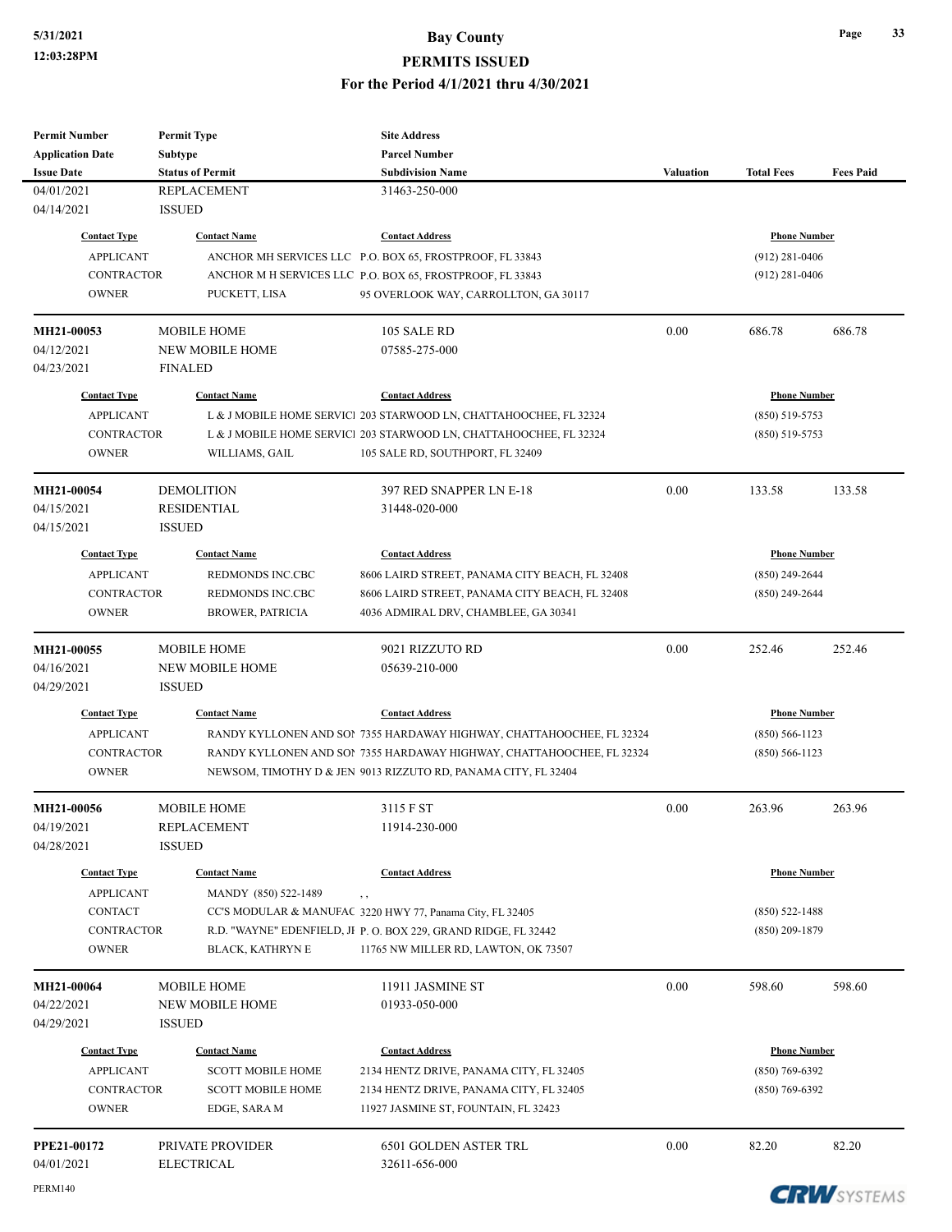| <b>Permit Number</b>    | <b>Permit Type</b>       | <b>Site Address</b>                                                   |           |                     |                    |
|-------------------------|--------------------------|-----------------------------------------------------------------------|-----------|---------------------|--------------------|
| <b>Application Date</b> | <b>Subtype</b>           | <b>Parcel Number</b>                                                  |           |                     |                    |
| <b>Issue Date</b>       | <b>Status of Permit</b>  | <b>Subdivision Name</b>                                               | Valuation | <b>Total Fees</b>   | <b>Fees Paid</b>   |
| 04/01/2021              | <b>REPLACEMENT</b>       | 31463-250-000                                                         |           |                     |                    |
| 04/14/2021              | <b>ISSUED</b>            |                                                                       |           |                     |                    |
| <b>Contact Type</b>     | <b>Contact Name</b>      | <b>Contact Address</b>                                                |           | <b>Phone Number</b> |                    |
| <b>APPLICANT</b>        |                          | ANCHOR MH SERVICES LLC P.O. BOX 65, FROSTPROOF, FL 33843              |           | $(912)$ 281-0406    |                    |
| <b>CONTRACTOR</b>       |                          | ANCHOR M H SERVICES LLC P.O. BOX 65, FROSTPROOF, FL 33843             |           | $(912)$ 281-0406    |                    |
| <b>OWNER</b>            | PUCKETT, LISA            | 95 OVERLOOK WAY, CARROLLTON, GA 30117                                 |           |                     |                    |
|                         |                          |                                                                       |           |                     |                    |
| MH21-00053              | <b>MOBILE HOME</b>       | 105 SALE RD                                                           | 0.00      | 686.78              | 686.78             |
| 04/12/2021              | <b>NEW MOBILE HOME</b>   | 07585-275-000                                                         |           |                     |                    |
| 04/23/2021              | <b>FINALED</b>           |                                                                       |           |                     |                    |
|                         |                          |                                                                       |           |                     |                    |
| <b>Contact Type</b>     | <b>Contact Name</b>      | <b>Contact Address</b>                                                |           | <b>Phone Number</b> |                    |
| <b>APPLICANT</b>        |                          | L & J MOBILE HOME SERVICI 203 STARWOOD LN, CHATTAHOOCHEE, FL 32324    |           | $(850) 519 - 5753$  |                    |
| <b>CONTRACTOR</b>       |                          | L & J MOBILE HOME SERVIC 203 STARWOOD LN, CHATTAHOOCHEE, FL 32324     |           | $(850)$ 519-5753    |                    |
| <b>OWNER</b>            | WILLIAMS, GAIL           | 105 SALE RD, SOUTHPORT, FL 32409                                      |           |                     |                    |
| MH21-00054              | <b>DEMOLITION</b>        | 397 RED SNAPPER LN E-18                                               | 0.00      | 133.58              | 133.58             |
| 04/15/2021              | <b>RESIDENTIAL</b>       | 31448-020-000                                                         |           |                     |                    |
| 04/15/2021              | <b>ISSUED</b>            |                                                                       |           |                     |                    |
|                         |                          |                                                                       |           |                     |                    |
| <b>Contact Type</b>     | <b>Contact Name</b>      | <b>Contact Address</b>                                                |           | <b>Phone Number</b> |                    |
| <b>APPLICANT</b>        | REDMONDS INC.CBC         | 8606 LAIRD STREET, PANAMA CITY BEACH, FL 32408                        |           | $(850)$ 249-2644    |                    |
| <b>CONTRACTOR</b>       | REDMONDS INC.CBC         | 8606 LAIRD STREET, PANAMA CITY BEACH, FL 32408                        |           | $(850)$ 249-2644    |                    |
| <b>OWNER</b>            | <b>BROWER, PATRICIA</b>  | 4036 ADMIRAL DRV, CHAMBLEE, GA 30341                                  |           |                     |                    |
| MH21-00055              | <b>MOBILE HOME</b>       | 9021 RIZZUTO RD                                                       | 0.00      | 252.46              | 252.46             |
| 04/16/2021              | <b>NEW MOBILE HOME</b>   | 05639-210-000                                                         |           |                     |                    |
| 04/29/2021              | <b>ISSUED</b>            |                                                                       |           |                     |                    |
|                         |                          |                                                                       |           |                     |                    |
| <b>Contact Type</b>     | <b>Contact Name</b>      | <b>Contact Address</b>                                                |           | <b>Phone Number</b> |                    |
| <b>APPLICANT</b>        |                          | RANDY KYLLONEN AND SON 7355 HARDAWAY HIGHWAY, CHATTAHOOCHEE, FL 32324 |           | $(850) 566 - 1123$  |                    |
| <b>CONTRACTOR</b>       |                          | RANDY KYLLONEN AND SOI 7355 HARDAWAY HIGHWAY, CHATTAHOOCHEE, FL 32324 |           | $(850) 566 - 1123$  |                    |
| <b>OWNER</b>            |                          | NEWSOM, TIMOTHY D & JEN 9013 RIZZUTO RD, PANAMA CITY, FL 32404        |           |                     |                    |
| MH21-00056              | <b>MOBILE HOME</b>       | 3115 F ST                                                             | 0.00      | 263.96              | 263.96             |
| 04/19/2021              | <b>REPLACEMENT</b>       | 11914-230-000                                                         |           |                     |                    |
| 04/28/2021              | <b>ISSUED</b>            |                                                                       |           |                     |                    |
|                         |                          |                                                                       |           |                     |                    |
| <b>Contact Type</b>     | <b>Contact Name</b>      | <b>Contact Address</b>                                                |           | <b>Phone Number</b> |                    |
| <b>APPLICANT</b>        | MANDY (850) 522-1489     | $, \, , \,$                                                           |           |                     |                    |
| <b>CONTACT</b>          |                          | CC'S MODULAR & MANUFAC 3220 HWY 77, Panama City, FL 32405             |           | $(850)$ 522-1488    |                    |
| <b>CONTRACTOR</b>       |                          | R.D. "WAYNE" EDENFIELD, JI P. O. BOX 229, GRAND RIDGE, FL 32442       |           | $(850)$ 209-1879    |                    |
| <b>OWNER</b>            | BLACK, KATHRYN E         | 11765 NW MILLER RD, LAWTON, OK 73507                                  |           |                     |                    |
| MH21-00064              | <b>MOBILE HOME</b>       | 11911 JASMINE ST                                                      | 0.00      | 598.60              | 598.60             |
| 04/22/2021              | <b>NEW MOBILE HOME</b>   | 01933-050-000                                                         |           |                     |                    |
| 04/29/2021              | <b>ISSUED</b>            |                                                                       |           |                     |                    |
|                         |                          |                                                                       |           |                     |                    |
| <b>Contact Type</b>     | <b>Contact Name</b>      | <b>Contact Address</b>                                                |           | <b>Phone Number</b> |                    |
| <b>APPLICANT</b>        | <b>SCOTT MOBILE HOME</b> | 2134 HENTZ DRIVE, PANAMA CITY, FL 32405                               |           | $(850)$ 769-6392    |                    |
| <b>CONTRACTOR</b>       | <b>SCOTT MOBILE HOME</b> | 2134 HENTZ DRIVE, PANAMA CITY, FL 32405                               |           | $(850)$ 769-6392    |                    |
| <b>OWNER</b>            | EDGE, SARA M             | 11927 JASMINE ST, FOUNTAIN, FL 32423                                  |           |                     |                    |
| PPE21-00172             | PRIVATE PROVIDER         | 6501 GOLDEN ASTER TRL                                                 | 0.00      | 82.20               | 82.20              |
| 04/01/2021              | <b>ELECTRICAL</b>        | 32611-656-000                                                         |           |                     |                    |
|                         |                          |                                                                       |           |                     |                    |
| <b>PERM140</b>          |                          |                                                                       |           |                     | <b>CRUNCYCTEMS</b> |

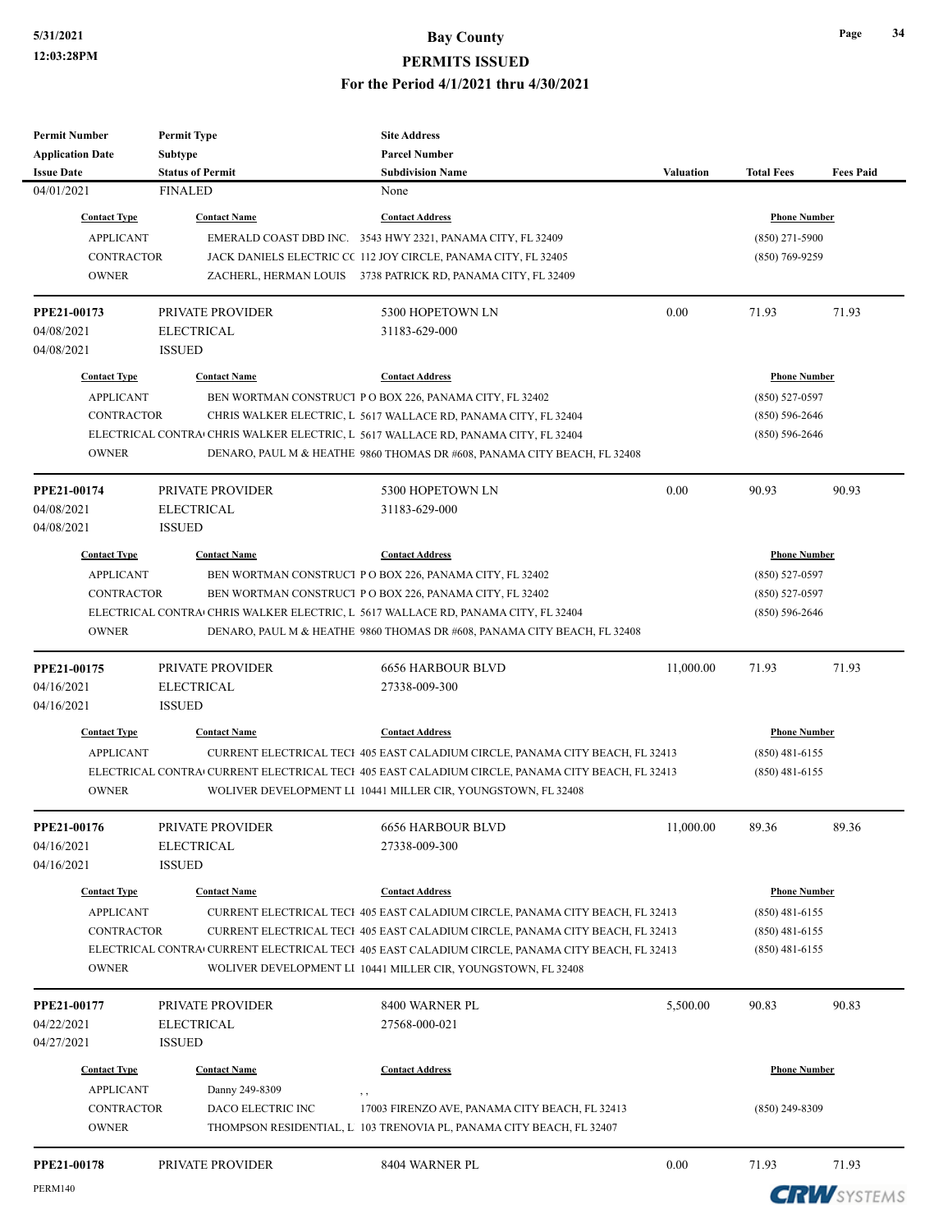| <b>Permit Number</b>    | <b>Permit Type</b>      | <b>Site Address</b>                                                                             |                  |                     |                  |
|-------------------------|-------------------------|-------------------------------------------------------------------------------------------------|------------------|---------------------|------------------|
| <b>Application Date</b> | Subtype                 | <b>Parcel Number</b>                                                                            |                  |                     |                  |
| <b>Issue Date</b>       | <b>Status of Permit</b> | <b>Subdivision Name</b>                                                                         | <b>Valuation</b> | <b>Total Fees</b>   | <b>Fees Paid</b> |
| 04/01/2021              | <b>FINALED</b>          | None                                                                                            |                  |                     |                  |
| <b>Contact Type</b>     | <b>Contact Name</b>     | <b>Contact Address</b>                                                                          |                  | <b>Phone Number</b> |                  |
| <b>APPLICANT</b>        |                         | EMERALD COAST DBD INC. 3543 HWY 2321, PANAMA CITY, FL 32409                                     |                  | $(850)$ 271-5900    |                  |
| <b>CONTRACTOR</b>       |                         | JACK DANIELS ELECTRIC CC 112 JOY CIRCLE, PANAMA CITY, FL 32405                                  |                  | $(850)$ 769-9259    |                  |
| <b>OWNER</b>            |                         | ZACHERL, HERMAN LOUIS 3738 PATRICK RD, PANAMA CITY, FL 32409                                    |                  |                     |                  |
|                         |                         |                                                                                                 |                  |                     |                  |
| PPE21-00173             | PRIVATE PROVIDER        | 5300 HOPETOWN LN                                                                                | 0.00             | 71.93               | 71.93            |
| 04/08/2021              | <b>ELECTRICAL</b>       | 31183-629-000                                                                                   |                  |                     |                  |
| 04/08/2021              | <b>ISSUED</b>           |                                                                                                 |                  |                     |                  |
| <b>Contact Type</b>     | <b>Contact Name</b>     | <b>Contact Address</b>                                                                          |                  | <b>Phone Number</b> |                  |
| <b>APPLICANT</b>        |                         | BEN WORTMAN CONSTRUCT PO BOX 226, PANAMA CITY, FL 32402                                         |                  | $(850) 527 - 0597$  |                  |
| <b>CONTRACTOR</b>       |                         | CHRIS WALKER ELECTRIC, L 5617 WALLACE RD, PANAMA CITY, FL 32404                                 |                  | $(850) 596 - 2646$  |                  |
|                         |                         | ELECTRICAL CONTRA CHRIS WALKER ELECTRIC, L 5617 WALLACE RD, PANAMA CITY, FL 32404               |                  | $(850) 596 - 2646$  |                  |
| <b>OWNER</b>            |                         | DENARO, PAUL M & HEATHE 9860 THOMAS DR #608, PANAMA CITY BEACH, FL 32408                        |                  |                     |                  |
|                         |                         |                                                                                                 |                  |                     |                  |
| PPE21-00174             | PRIVATE PROVIDER        | 5300 HOPETOWN LN                                                                                | 0.00             | 90.93               | 90.93            |
| 04/08/2021              | <b>ELECTRICAL</b>       | 31183-629-000                                                                                   |                  |                     |                  |
| 04/08/2021              | <b>ISSUED</b>           |                                                                                                 |                  |                     |                  |
| <b>Contact Type</b>     | <b>Contact Name</b>     | <b>Contact Address</b>                                                                          |                  | <b>Phone Number</b> |                  |
| <b>APPLICANT</b>        |                         | BEN WORTMAN CONSTRUCT PO BOX 226, PANAMA CITY, FL 32402                                         |                  | $(850)$ 527-0597    |                  |
| <b>CONTRACTOR</b>       |                         | BEN WORTMAN CONSTRUCT PO BOX 226, PANAMA CITY, FL 32402                                         |                  | $(850) 527 - 0597$  |                  |
|                         |                         | ELECTRICAL CONTRA CHRIS WALKER ELECTRIC, L 5617 WALLACE RD, PANAMA CITY, FL 32404               |                  | $(850) 596 - 2646$  |                  |
| <b>OWNER</b>            |                         | DENARO, PAUL M & HEATHE 9860 THOMAS DR #608, PANAMA CITY BEACH, FL 32408                        |                  |                     |                  |
|                         |                         |                                                                                                 |                  |                     |                  |
| PPE21-00175             | <b>PRIVATE PROVIDER</b> | <b>6656 HARBOUR BLVD</b>                                                                        | 11,000.00        | 71.93               | 71.93            |
| 04/16/2021              | <b>ELECTRICAL</b>       | 27338-009-300                                                                                   |                  |                     |                  |
| 04/16/2021              | <b>ISSUED</b>           |                                                                                                 |                  |                     |                  |
| <b>Contact Type</b>     | <b>Contact Name</b>     | <b>Contact Address</b>                                                                          |                  | <b>Phone Number</b> |                  |
| <b>APPLICANT</b>        |                         | CURRENT ELECTRICAL TECI 405 EAST CALADIUM CIRCLE, PANAMA CITY BEACH, FL 32413                   |                  | $(850)$ 481-6155    |                  |
|                         |                         | ELECTRICAL CONTRA CURRENT ELECTRICAL TECI 405 EAST CALADIUM CIRCLE, PANAMA CITY BEACH, FL 32413 |                  | $(850)$ 481-6155    |                  |
| <b>OWNER</b>            |                         | WOLIVER DEVELOPMENT LI 10441 MILLER CIR, YOUNGSTOWN, FL 32408                                   |                  |                     |                  |
|                         |                         |                                                                                                 |                  |                     |                  |
| PPE21-00176             | PRIVATE PROVIDER        | <b>6656 HARBOUR BLVD</b>                                                                        | 11,000.00        | 89.36               | 89.36            |
| 04/16/2021              | <b>ELECTRICAL</b>       | 27338-009-300                                                                                   |                  |                     |                  |
| 04/16/2021              | <b>ISSUED</b>           |                                                                                                 |                  |                     |                  |
| <b>Contact Type</b>     | <b>Contact Name</b>     | <b>Contact Address</b>                                                                          |                  | <b>Phone Number</b> |                  |
| <b>APPLICANT</b>        |                         | CURRENT ELECTRICAL TECI 405 EAST CALADIUM CIRCLE, PANAMA CITY BEACH, FL 32413                   |                  | $(850)$ 481-6155    |                  |
| <b>CONTRACTOR</b>       |                         | CURRENT ELECTRICAL TECI 405 EAST CALADIUM CIRCLE, PANAMA CITY BEACH, FL 32413                   |                  | $(850)$ 481-6155    |                  |
|                         |                         | ELECTRICAL CONTRA CURRENT ELECTRICAL TECI 405 EAST CALADIUM CIRCLE, PANAMA CITY BEACH, FL 32413 |                  | $(850)$ 481-6155    |                  |
| <b>OWNER</b>            |                         | WOLIVER DEVELOPMENT LI 10441 MILLER CIR, YOUNGSTOWN, FL 32408                                   |                  |                     |                  |
|                         |                         |                                                                                                 |                  |                     |                  |
| PPE21-00177             | PRIVATE PROVIDER        | 8400 WARNER PL                                                                                  | 5,500.00         | 90.83               | 90.83            |
| 04/22/2021              | <b>ELECTRICAL</b>       | 27568-000-021                                                                                   |                  |                     |                  |
| 04/27/2021              | <b>ISSUED</b>           |                                                                                                 |                  |                     |                  |
| <b>Contact Type</b>     | <b>Contact Name</b>     | <b>Contact Address</b>                                                                          |                  | <b>Phone Number</b> |                  |
| <b>APPLICANT</b>        | Danny 249-8309          | , ,                                                                                             |                  |                     |                  |
| <b>CONTRACTOR</b>       | DACO ELECTRIC INC       | 17003 FIRENZO AVE, PANAMA CITY BEACH, FL 32413                                                  |                  | $(850)$ 249-8309    |                  |
| <b>OWNER</b>            |                         | THOMPSON RESIDENTIAL, L 103 TRENOVIA PL, PANAMA CITY BEACH, FL 32407                            |                  |                     |                  |
|                         |                         |                                                                                                 |                  |                     |                  |
| PPE21-00178             | PRIVATE PROVIDER        | 8404 WARNER PL                                                                                  | 0.00             | 71.93               | 71.93            |
| <b>PERM140</b>          |                         |                                                                                                 |                  |                     | COLLOVETTILE     |

**CRW**SYSTEMS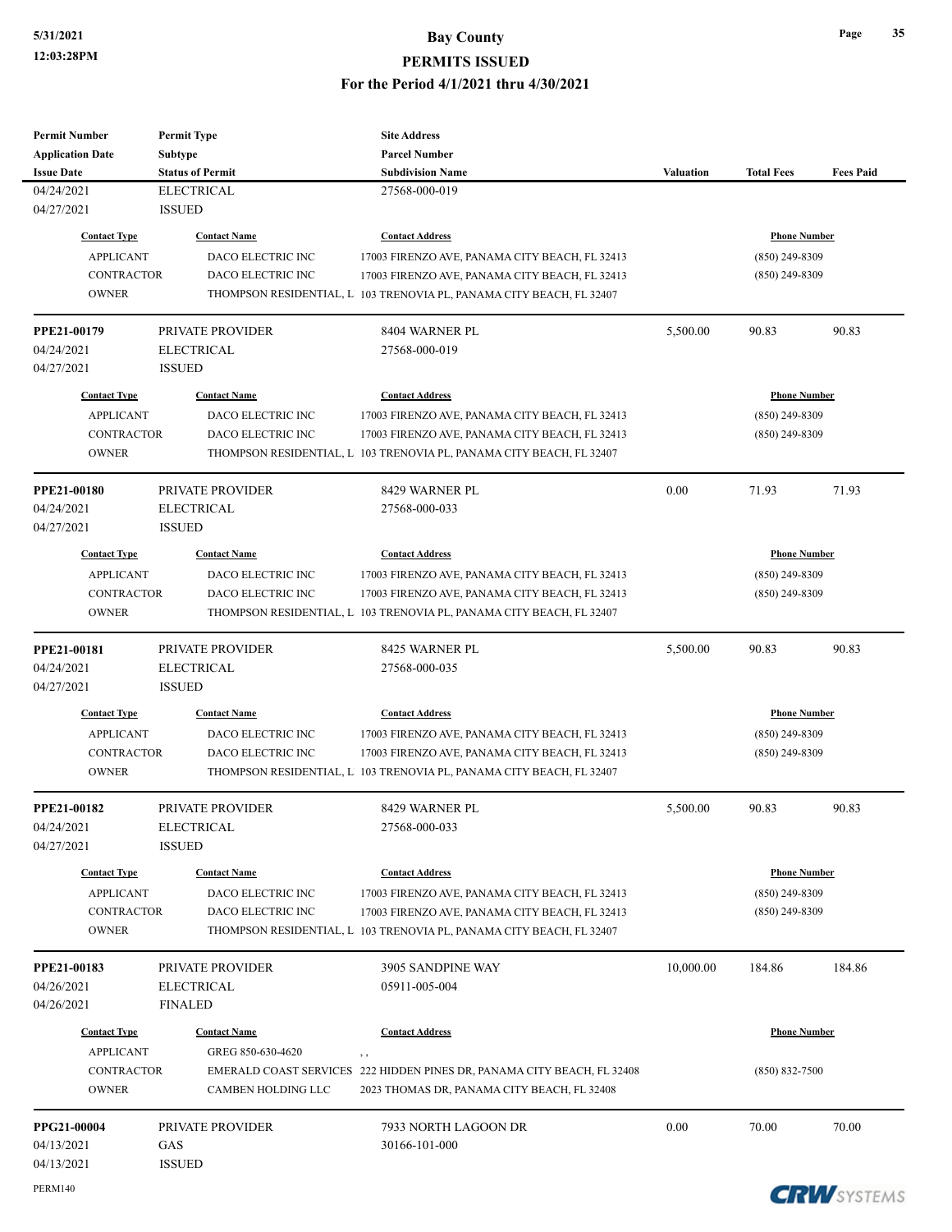# **5/31/2021 Bay County**

**PERMITS ISSUED**

**For the Period 4/1/2021 thru 4/30/2021**

| <b>Permit Number</b>    | <b>Permit Type</b>      |                                                                         |           |                     |                  |
|-------------------------|-------------------------|-------------------------------------------------------------------------|-----------|---------------------|------------------|
| <b>Application Date</b> | <b>Subtype</b>          | <b>Parcel Number</b>                                                    |           |                     |                  |
| <b>Issue Date</b>       | <b>Status of Permit</b> | <b>Subdivision Name</b>                                                 | Valuation | <b>Total Fees</b>   | <b>Fees Paid</b> |
| 04/24/2021              | <b>ELECTRICAL</b>       | 27568-000-019                                                           |           |                     |                  |
| 04/27/2021              | <b>ISSUED</b>           |                                                                         |           |                     |                  |
| <b>Contact Type</b>     | <b>Contact Name</b>     | <b>Contact Address</b>                                                  |           | <b>Phone Number</b> |                  |
| <b>APPLICANT</b>        | DACO ELECTRIC INC       | 17003 FIRENZO AVE, PANAMA CITY BEACH, FL 32413                          |           | $(850)$ 249-8309    |                  |
| <b>CONTRACTOR</b>       | DACO ELECTRIC INC       | 17003 FIRENZO AVE, PANAMA CITY BEACH, FL 32413                          |           | $(850)$ 249-8309    |                  |
| <b>OWNER</b>            |                         | THOMPSON RESIDENTIAL, L 103 TRENOVIA PL, PANAMA CITY BEACH, FL 32407    |           |                     |                  |
| PPE21-00179             | PRIVATE PROVIDER        | 8404 WARNER PL                                                          | 5,500.00  | 90.83               | 90.83            |
| 04/24/2021              | <b>ELECTRICAL</b>       | 27568-000-019                                                           |           |                     |                  |
| 04/27/2021              | <b>ISSUED</b>           |                                                                         |           |                     |                  |
| <b>Contact Type</b>     | <b>Contact Name</b>     | <b>Contact Address</b>                                                  |           | <b>Phone Number</b> |                  |
| <b>APPLICANT</b>        | DACO ELECTRIC INC       | 17003 FIRENZO AVE, PANAMA CITY BEACH, FL 32413                          |           | $(850)$ 249-8309    |                  |
| <b>CONTRACTOR</b>       | DACO ELECTRIC INC       | 17003 FIRENZO AVE, PANAMA CITY BEACH, FL 32413                          |           | $(850)$ 249-8309    |                  |
| <b>OWNER</b>            |                         | THOMPSON RESIDENTIAL, L 103 TRENOVIA PL, PANAMA CITY BEACH, FL 32407    |           |                     |                  |
| <b>PPE21-00180</b>      | PRIVATE PROVIDER        | 8429 WARNER PL                                                          | 0.00      | 71.93               | 71.93            |
| 04/24/2021              | <b>ELECTRICAL</b>       | 27568-000-033                                                           |           |                     |                  |
| 04/27/2021              | <b>ISSUED</b>           |                                                                         |           |                     |                  |
| <b>Contact Type</b>     | <b>Contact Name</b>     | <b>Contact Address</b>                                                  |           | <b>Phone Number</b> |                  |
| <b>APPLICANT</b>        | DACO ELECTRIC INC       | 17003 FIRENZO AVE, PANAMA CITY BEACH, FL 32413                          |           | $(850)$ 249-8309    |                  |
| <b>CONTRACTOR</b>       | DACO ELECTRIC INC       | 17003 FIRENZO AVE, PANAMA CITY BEACH, FL 32413                          |           | $(850)$ 249-8309    |                  |
| <b>OWNER</b>            |                         | THOMPSON RESIDENTIAL, L 103 TRENOVIA PL, PANAMA CITY BEACH, FL 32407    |           |                     |                  |
| PPE21-00181             | PRIVATE PROVIDER        | 8425 WARNER PL                                                          | 5,500.00  | 90.83               | 90.83            |
| 04/24/2021              | <b>ELECTRICAL</b>       | 27568-000-035                                                           |           |                     |                  |
| 04/27/2021              | <b>ISSUED</b>           |                                                                         |           |                     |                  |
| <b>Contact Type</b>     | <b>Contact Name</b>     | <b>Contact Address</b>                                                  |           | <b>Phone Number</b> |                  |
| <b>APPLICANT</b>        | DACO ELECTRIC INC       | 17003 FIRENZO AVE, PANAMA CITY BEACH, FL 32413                          |           | $(850)$ 249-8309    |                  |
| <b>CONTRACTOR</b>       | DACO ELECTRIC INC       | 17003 FIRENZO AVE, PANAMA CITY BEACH, FL 32413                          |           | $(850)$ 249-8309    |                  |
| <b>OWNER</b>            |                         | THOMPSON RESIDENTIAL, L 103 TRENOVIA PL, PANAMA CITY BEACH, FL 32407    |           |                     |                  |
| PPE21-00182             | PRIVATE PROVIDER        | 8429 WARNER PL                                                          | 5,500.00  | 90.83               | 90.83            |
| 04/24/2021              | ELECTRICAL              | 27568-000-033                                                           |           |                     |                  |
| 04/27/2021              | <b>ISSUED</b>           |                                                                         |           |                     |                  |
| <b>Contact Type</b>     | <b>Contact Name</b>     | <b>Contact Address</b>                                                  |           | <b>Phone Number</b> |                  |
| <b>APPLICANT</b>        | DACO ELECTRIC INC       | 17003 FIRENZO AVE, PANAMA CITY BEACH, FL 32413                          |           | $(850)$ 249-8309    |                  |
| <b>CONTRACTOR</b>       | DACO ELECTRIC INC       | 17003 FIRENZO AVE, PANAMA CITY BEACH, FL 32413                          |           | $(850)$ 249-8309    |                  |
| <b>OWNER</b>            |                         | THOMPSON RESIDENTIAL, L 103 TRENOVIA PL, PANAMA CITY BEACH, FL 32407    |           |                     |                  |
| PPE21-00183             | PRIVATE PROVIDER        | 3905 SANDPINE WAY                                                       | 10,000.00 | 184.86              | 184.86           |
| 04/26/2021              | <b>ELECTRICAL</b>       | 05911-005-004                                                           |           |                     |                  |
| 04/26/2021              | <b>FINALED</b>          |                                                                         |           |                     |                  |
| <b>Contact Type</b>     | <b>Contact Name</b>     | <b>Contact Address</b>                                                  |           | <b>Phone Number</b> |                  |
| <b>APPLICANT</b>        | GREG 850-630-4620       | , ,                                                                     |           |                     |                  |
| <b>CONTRACTOR</b>       |                         | EMERALD COAST SERVICES 222 HIDDEN PINES DR, PANAMA CITY BEACH, FL 32408 |           | $(850) 832 - 7500$  |                  |
| <b>OWNER</b>            | CAMBEN HOLDING LLC      | 2023 THOMAS DR, PANAMA CITY BEACH, FL 32408                             |           |                     |                  |
| PPG21-00004             | PRIVATE PROVIDER        | 7933 NORTH LAGOON DR                                                    | 0.00      | 70.00               | 70.00            |
| 04/13/2021              | GAS                     | 30166-101-000                                                           |           |                     |                  |
| 04/13/2021              | <b>ISSUED</b>           |                                                                         |           |                     |                  |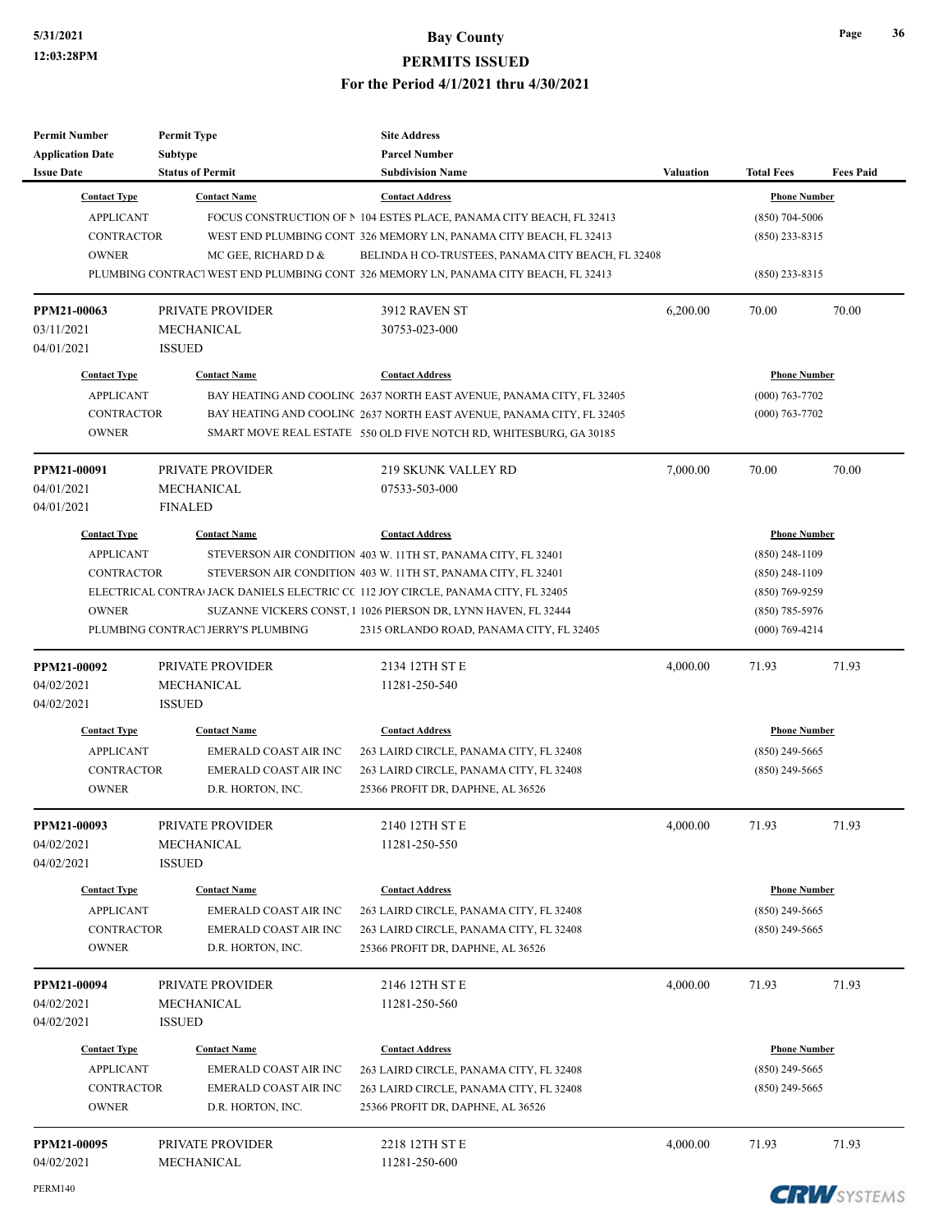| <b>Permit Number</b>    | <b>Permit Type</b>                 | <b>Site Address</b>                                                                 |                  |                     |                  |
|-------------------------|------------------------------------|-------------------------------------------------------------------------------------|------------------|---------------------|------------------|
| <b>Application Date</b> | Subtype                            | <b>Parcel Number</b>                                                                |                  |                     |                  |
| <b>Issue Date</b>       | <b>Status of Permit</b>            | <b>Subdivision Name</b>                                                             | <b>Valuation</b> | <b>Total Fees</b>   | <b>Fees Paid</b> |
| <b>Contact Type</b>     | <b>Contact Name</b>                | <b>Contact Address</b>                                                              |                  | <b>Phone Number</b> |                  |
| <b>APPLICANT</b>        |                                    | FOCUS CONSTRUCTION OF N 104 ESTES PLACE, PANAMA CITY BEACH, FL 32413                |                  | $(850)$ 704-5006    |                  |
| <b>CONTRACTOR</b>       |                                    | WEST END PLUMBING CONT 326 MEMORY LN, PANAMA CITY BEACH, FL 32413                   |                  | $(850)$ 233-8315    |                  |
| <b>OWNER</b>            | MC GEE, RICHARD D &                | BELINDA H CO-TRUSTEES, PANAMA CITY BEACH, FL 32408                                  |                  |                     |                  |
|                         |                                    | PLUMBING CONTRACT WEST END PLUMBING CONT 326 MEMORY LN, PANAMA CITY BEACH, FL 32413 |                  | $(850)$ 233-8315    |                  |
| PPM21-00063             | PRIVATE PROVIDER                   | 3912 RAVEN ST                                                                       | 6,200.00         | 70.00               | 70.00            |
| 03/11/2021              | MECHANICAL                         | 30753-023-000                                                                       |                  |                     |                  |
| 04/01/2021              | <b>ISSUED</b>                      |                                                                                     |                  |                     |                  |
| <b>Contact Type</b>     | <b>Contact Name</b>                | <b>Contact Address</b>                                                              |                  | <b>Phone Number</b> |                  |
| <b>APPLICANT</b>        |                                    | BAY HEATING AND COOLINC 2637 NORTH EAST AVENUE, PANAMA CITY, FL 32405               |                  | $(000)$ 763-7702    |                  |
| <b>CONTRACTOR</b>       |                                    | BAY HEATING AND COOLINC 2637 NORTH EAST AVENUE, PANAMA CITY, FL 32405               |                  | $(000)$ 763-7702    |                  |
| <b>OWNER</b>            |                                    | SMART MOVE REAL ESTATE 550 OLD FIVE NOTCH RD, WHITESBURG, GA 30185                  |                  |                     |                  |
| PPM21-00091             | PRIVATE PROVIDER                   | <b>219 SKUNK VALLEY RD</b>                                                          | 7,000.00         | 70.00               | 70.00            |
| 04/01/2021              | MECHANICAL                         | 07533-503-000                                                                       |                  |                     |                  |
| 04/01/2021              | <b>FINALED</b>                     |                                                                                     |                  |                     |                  |
| <b>Contact Type</b>     | <b>Contact Name</b>                | <b>Contact Address</b>                                                              |                  | <b>Phone Number</b> |                  |
| <b>APPLICANT</b>        |                                    | STEVERSON AIR CONDITION 403 W. 11TH ST, PANAMA CITY, FL 32401                       |                  | $(850)$ 248-1109    |                  |
| <b>CONTRACTOR</b>       |                                    | STEVERSON AIR CONDITION 403 W. 11TH ST, PANAMA CITY, FL 32401                       |                  | $(850)$ 248-1109    |                  |
|                         |                                    | ELECTRICAL CONTRA JACK DANIELS ELECTRIC CC 112 JOY CIRCLE, PANAMA CITY, FL 32405    |                  | $(850)$ 769-9259    |                  |
| <b>OWNER</b>            |                                    | SUZANNE VICKERS CONST, 1 1026 PIERSON DR, LYNN HAVEN, FL 32444                      |                  | $(850)$ 785-5976    |                  |
|                         | PLUMBING CONTRAC1 JERRY'S PLUMBING | 2315 ORLANDO ROAD, PANAMA CITY, FL 32405                                            |                  | $(000)$ 769-4214    |                  |
| PPM21-00092             | <b>PRIVATE PROVIDER</b>            | 2134 12TH ST E                                                                      | 4,000.00         | 71.93               | 71.93            |
| 04/02/2021              | MECHANICAL                         | 11281-250-540                                                                       |                  |                     |                  |
| 04/02/2021              | <b>ISSUED</b>                      |                                                                                     |                  |                     |                  |
| <b>Contact Type</b>     | <b>Contact Name</b>                | <b>Contact Address</b>                                                              |                  | <b>Phone Number</b> |                  |
| <b>APPLICANT</b>        | <b>EMERALD COAST AIR INC</b>       | 263 LAIRD CIRCLE, PANAMA CITY, FL 32408                                             |                  | $(850)$ 249-5665    |                  |
| <b>CONTRACTOR</b>       | <b>EMERALD COAST AIR INC</b>       | 263 LAIRD CIRCLE, PANAMA CITY, FL 32408                                             |                  | $(850)$ 249-5665    |                  |
| <b>OWNER</b>            | D.R. HORTON, INC.                  | 25366 PROFIT DR, DAPHNE, AL 36526                                                   |                  |                     |                  |
| PPM21-00093             | PRIVATE PROVIDER                   | 2140 12TH ST E                                                                      | 4,000.00         | 71.93               | 71.93            |
| 04/02/2021              | MECHANICAL                         | 11281-250-550                                                                       |                  |                     |                  |
| 04/02/2021              | <b>ISSUED</b>                      |                                                                                     |                  |                     |                  |
| <b>Contact Type</b>     | <b>Contact Name</b>                | <b>Contact Address</b>                                                              |                  | <b>Phone Number</b> |                  |
| <b>APPLICANT</b>        | <b>EMERALD COAST AIR INC</b>       | 263 LAIRD CIRCLE, PANAMA CITY, FL 32408                                             |                  | $(850)$ 249-5665    |                  |
| <b>CONTRACTOR</b>       | <b>EMERALD COAST AIR INC</b>       | 263 LAIRD CIRCLE, PANAMA CITY, FL 32408                                             |                  | $(850)$ 249-5665    |                  |
| <b>OWNER</b>            | D.R. HORTON, INC.                  | 25366 PROFIT DR, DAPHNE, AL 36526                                                   |                  |                     |                  |
| PPM21-00094             | PRIVATE PROVIDER                   | 2146 12TH ST E                                                                      | 4,000.00         | 71.93               | 71.93            |
| 04/02/2021              | MECHANICAL                         | 11281-250-560                                                                       |                  |                     |                  |
| 04/02/2021              | <b>ISSUED</b>                      |                                                                                     |                  |                     |                  |
| <b>Contact Type</b>     | <b>Contact Name</b>                | <b>Contact Address</b>                                                              |                  | <b>Phone Number</b> |                  |
| <b>APPLICANT</b>        | <b>EMERALD COAST AIR INC</b>       | 263 LAIRD CIRCLE, PANAMA CITY, FL 32408                                             |                  | $(850)$ 249-5665    |                  |
| <b>CONTRACTOR</b>       | EMERALD COAST AIR INC              | 263 LAIRD CIRCLE, PANAMA CITY, FL 32408                                             |                  | $(850)$ 249-5665    |                  |
| <b>OWNER</b>            | D.R. HORTON, INC.                  | 25366 PROFIT DR, DAPHNE, AL 36526                                                   |                  |                     |                  |
| PPM21-00095             | PRIVATE PROVIDER                   | 2218 12TH ST E                                                                      | 4,000.00         | 71.93               | 71.93            |
| 04/02/2021              | MECHANICAL                         | 11281-250-600                                                                       |                  |                     |                  |

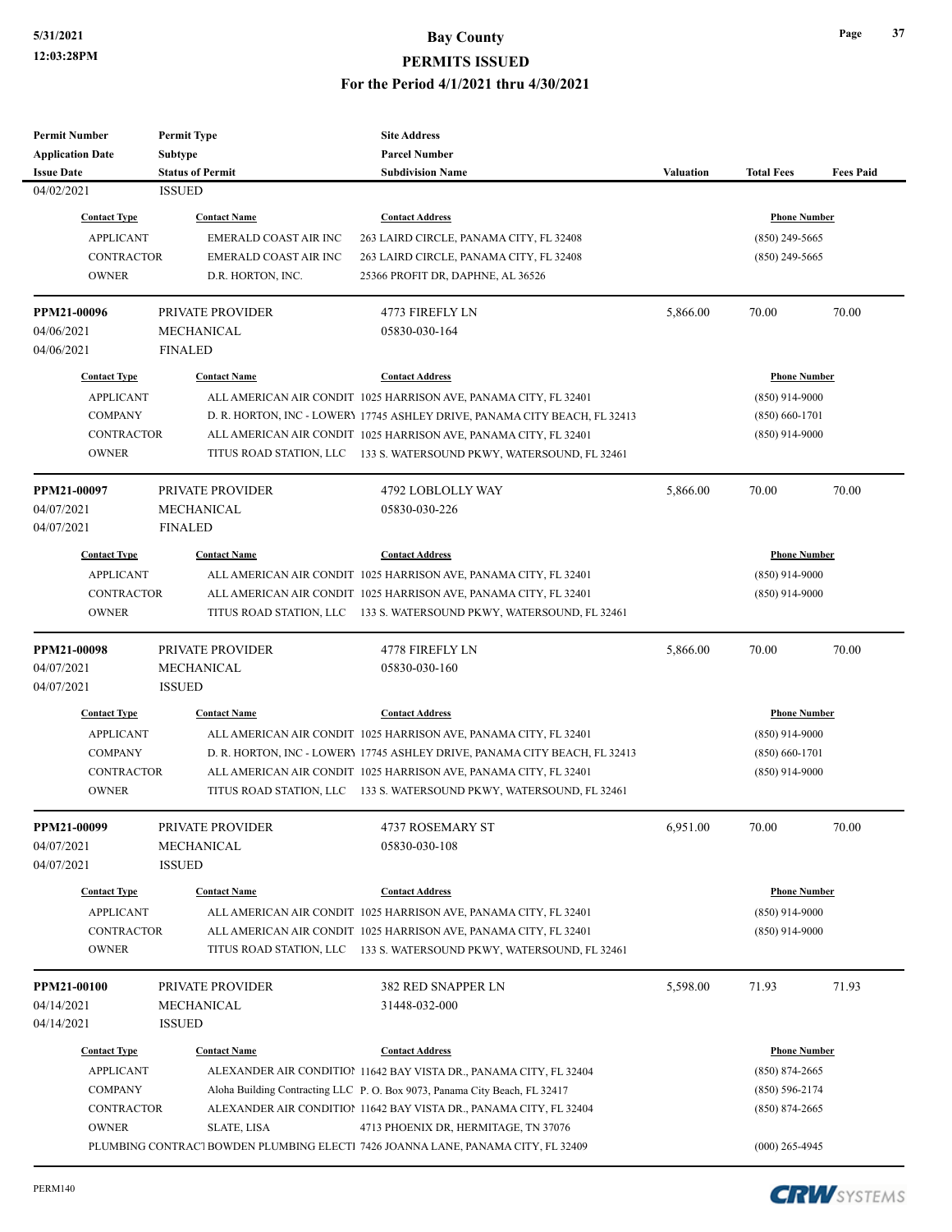| <b>Permit Number</b>    | <b>Permit Type</b>           | <b>Site Address</b>                                                              |                  |                     |                  |
|-------------------------|------------------------------|----------------------------------------------------------------------------------|------------------|---------------------|------------------|
| <b>Application Date</b> | Subtype                      | <b>Parcel Number</b>                                                             |                  |                     |                  |
| <b>Issue Date</b>       | <b>Status of Permit</b>      | <b>Subdivision Name</b>                                                          | <b>Valuation</b> | <b>Total Fees</b>   | <b>Fees Paid</b> |
| 04/02/2021              | <b>ISSUED</b>                |                                                                                  |                  |                     |                  |
| <b>Contact Type</b>     | <b>Contact Name</b>          | <b>Contact Address</b>                                                           |                  | <b>Phone Number</b> |                  |
| <b>APPLICANT</b>        | <b>EMERALD COAST AIR INC</b> | 263 LAIRD CIRCLE, PANAMA CITY, FL 32408                                          |                  | $(850)$ 249-5665    |                  |
| <b>CONTRACTOR</b>       | EMERALD COAST AIR INC        | 263 LAIRD CIRCLE, PANAMA CITY, FL 32408                                          |                  | $(850)$ 249-5665    |                  |
| <b>OWNER</b>            | D.R. HORTON, INC.            | 25366 PROFIT DR, DAPHNE, AL 36526                                                |                  |                     |                  |
| PPM21-00096             | PRIVATE PROVIDER             | 4773 FIREFLY LN                                                                  | 5,866.00         | 70.00               | 70.00            |
| 04/06/2021              | MECHANICAL                   | 05830-030-164                                                                    |                  |                     |                  |
| 04/06/2021              | <b>FINALED</b>               |                                                                                  |                  |                     |                  |
| <b>Contact Type</b>     | <b>Contact Name</b>          | <b>Contact Address</b>                                                           |                  | <b>Phone Number</b> |                  |
| <b>APPLICANT</b>        |                              | ALL AMERICAN AIR CONDIT 1025 HARRISON AVE, PANAMA CITY, FL 32401                 |                  | $(850)$ 914-9000    |                  |
| <b>COMPANY</b>          |                              | D. R. HORTON, INC - LOWERY 17745 ASHLEY DRIVE, PANAMA CITY BEACH, FL 32413       |                  | $(850) 660 - 1701$  |                  |
| <b>CONTRACTOR</b>       |                              | ALL AMERICAN AIR CONDIT 1025 HARRISON AVE, PANAMA CITY, FL 32401                 |                  | $(850)$ 914-9000    |                  |
| <b>OWNER</b>            |                              | TITUS ROAD STATION, LLC 133 S. WATERSOUND PKWY, WATERSOUND, FL 32461             |                  |                     |                  |
| PPM21-00097             | PRIVATE PROVIDER             | 4792 LOBLOLLY WAY                                                                | 5,866.00         | 70.00               | 70.00            |
| 04/07/2021              | MECHANICAL                   | 05830-030-226                                                                    |                  |                     |                  |
| 04/07/2021              | <b>FINALED</b>               |                                                                                  |                  |                     |                  |
| <b>Contact Type</b>     | <b>Contact Name</b>          | <b>Contact Address</b>                                                           |                  | <b>Phone Number</b> |                  |
| <b>APPLICANT</b>        |                              | ALL AMERICAN AIR CONDIT 1025 HARRISON AVE, PANAMA CITY, FL 32401                 |                  | $(850)$ 914-9000    |                  |
| <b>CONTRACTOR</b>       |                              | ALL AMERICAN AIR CONDIT 1025 HARRISON AVE, PANAMA CITY, FL 32401                 |                  | $(850)$ 914-9000    |                  |
| <b>OWNER</b>            |                              | TITUS ROAD STATION, LLC 133 S. WATERSOUND PKWY, WATERSOUND, FL 32461             |                  |                     |                  |
|                         |                              |                                                                                  |                  |                     |                  |
| PPM21-00098             | PRIVATE PROVIDER             | 4778 FIREFLY LN                                                                  | 5,866.00         | 70.00               | 70.00            |
| 04/07/2021              | MECHANICAL                   | 05830-030-160                                                                    |                  |                     |                  |
| 04/07/2021              | <b>ISSUED</b>                |                                                                                  |                  |                     |                  |
| <b>Contact Type</b>     | <b>Contact Name</b>          | <b>Contact Address</b>                                                           |                  | <b>Phone Number</b> |                  |
| <b>APPLICANT</b>        |                              | ALL AMERICAN AIR CONDIT 1025 HARRISON AVE, PANAMA CITY, FL 32401                 |                  | $(850)$ 914-9000    |                  |
| <b>COMPANY</b>          |                              | D. R. HORTON, INC - LOWERY 17745 ASHLEY DRIVE, PANAMA CITY BEACH, FL 32413       |                  | $(850) 660 - 1701$  |                  |
| <b>CONTRACTOR</b>       |                              | ALL AMERICAN AIR CONDIT 1025 HARRISON AVE, PANAMA CITY, FL 32401                 |                  | $(850)$ 914-9000    |                  |
| <b>OWNER</b>            |                              | TITUS ROAD STATION, LLC 133 S. WATERSOUND PKWY, WATERSOUND, FL 32461             |                  |                     |                  |
| PPM21-00099             | PRIVATE PROVIDER             | 4737 ROSEMARY ST                                                                 | 6,951.00         | 70.00               | 70.00            |
| 04/07/2021              | MECHANICAL                   | 05830-030-108                                                                    |                  |                     |                  |
| 04/07/2021              | <b>ISSUED</b>                |                                                                                  |                  |                     |                  |
| <b>Contact Type</b>     | <b>Contact Name</b>          | <b>Contact Address</b>                                                           |                  | <b>Phone Number</b> |                  |
| <b>APPLICANT</b>        |                              | ALL AMERICAN AIR CONDIT 1025 HARRISON AVE, PANAMA CITY, FL 32401                 |                  | $(850)$ 914-9000    |                  |
| <b>CONTRACTOR</b>       |                              | ALL AMERICAN AIR CONDIT 1025 HARRISON AVE, PANAMA CITY, FL 32401                 |                  | $(850)$ 914-9000    |                  |
| <b>OWNER</b>            |                              | TITUS ROAD STATION, LLC 133 S. WATERSOUND PKWY, WATERSOUND, FL 32461             |                  |                     |                  |
|                         |                              |                                                                                  |                  |                     |                  |
| PPM21-00100             | PRIVATE PROVIDER             | 382 RED SNAPPER LN                                                               | 5,598.00         | 71.93               | 71.93            |
| 04/14/2021              | MECHANICAL                   | 31448-032-000                                                                    |                  |                     |                  |
| 04/14/2021              | <b>ISSUED</b>                |                                                                                  |                  |                     |                  |
| <b>Contact Type</b>     | <b>Contact Name</b>          | <b>Contact Address</b>                                                           |                  | <b>Phone Number</b> |                  |
| <b>APPLICANT</b>        |                              | ALEXANDER AIR CONDITION 11642 BAY VISTA DR., PANAMA CITY, FL 32404               |                  | $(850) 874 - 2665$  |                  |
| <b>COMPANY</b>          |                              | Aloha Building Contracting LLC P. O. Box 9073, Panama City Beach, FL 32417       |                  | $(850) 596 - 2174$  |                  |
| <b>CONTRACTOR</b>       |                              | ALEXANDER AIR CONDITION 11642 BAY VISTA DR., PANAMA CITY, FL 32404               |                  | $(850) 874 - 2665$  |                  |
| <b>OWNER</b>            | <b>SLATE, LISA</b>           | 4713 PHOENIX DR, HERMITAGE, TN 37076                                             |                  |                     |                  |
|                         |                              | PLUMBING CONTRACT BOWDEN PLUMBING ELECTI 7426 JOANNA LANE, PANAMA CITY, FL 32409 |                  | $(000)$ 265-4945    |                  |

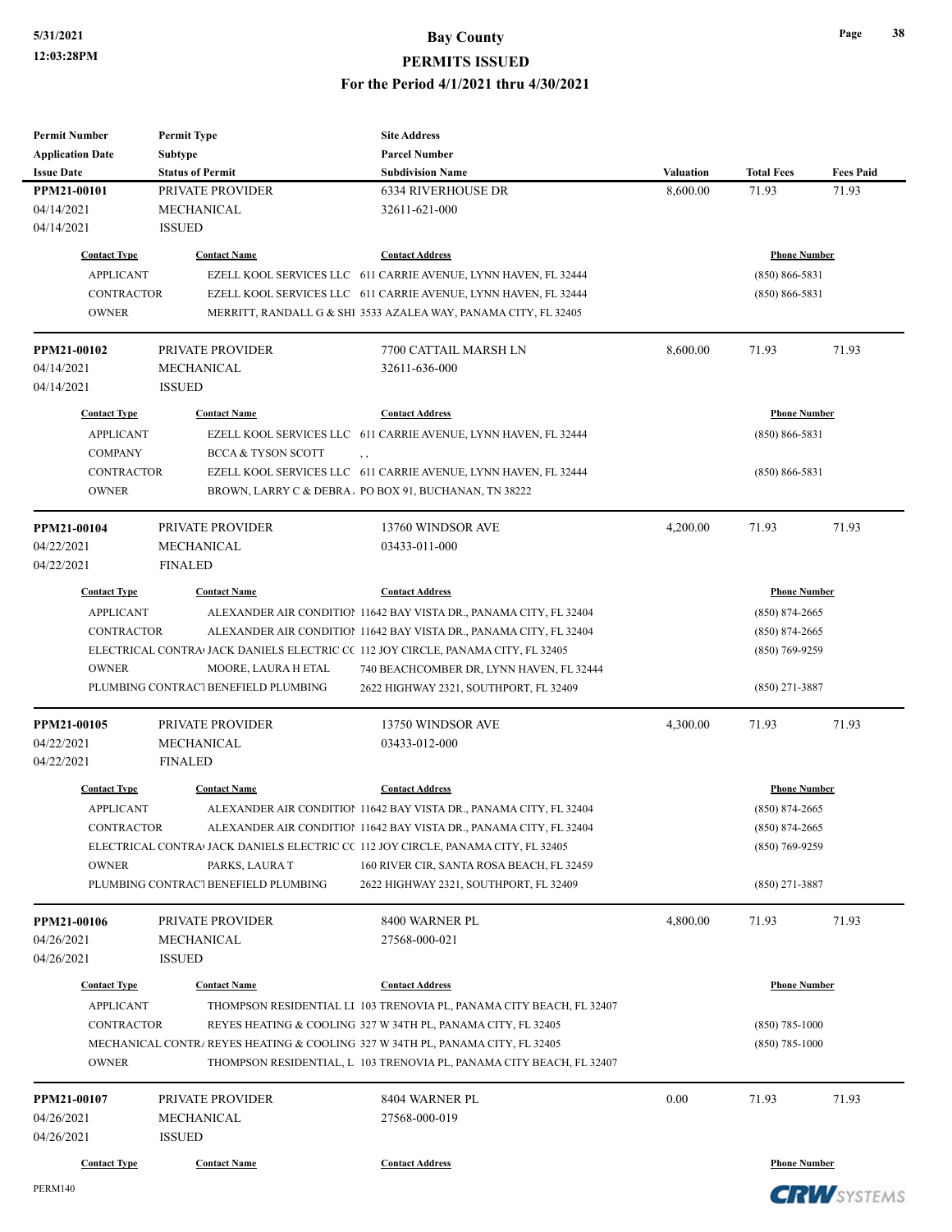**PERMITS ISSUED**

#### **For the Period 4/1/2021 thru 4/30/2021**

| <b>Permit Number</b>      | <b>Permit Type</b>                   | <b>Site Address</b>                                                                           |           |                     |                  |  |
|---------------------------|--------------------------------------|-----------------------------------------------------------------------------------------------|-----------|---------------------|------------------|--|
| <b>Application Date</b>   | <b>Subtype</b>                       | <b>Parcel Number</b>                                                                          |           |                     |                  |  |
| <b>Issue Date</b>         | <b>Status of Permit</b>              | <b>Subdivision Name</b>                                                                       | Valuation | <b>Total Fees</b>   | <b>Fees Paid</b> |  |
| PPM21-00101               | PRIVATE PROVIDER                     | <b>6334 RIVERHOUSE DR</b>                                                                     | 8,600.00  | 71.93               | 71.93            |  |
| 04/14/2021                | MECHANICAL                           | 32611-621-000                                                                                 |           |                     |                  |  |
| 04/14/2021                | <b>ISSUED</b>                        |                                                                                               |           |                     |                  |  |
| <b>Contact Type</b>       | <b>Contact Name</b>                  | <b>Contact Address</b>                                                                        |           | <b>Phone Number</b> |                  |  |
| <b>APPLICANT</b>          |                                      | EZELL KOOL SERVICES LLC 611 CARRIE AVENUE, LYNN HAVEN, FL 32444                               |           | $(850) 866 - 5831$  |                  |  |
| <b>CONTRACTOR</b>         |                                      | EZELL KOOL SERVICES LLC 611 CARRIE AVENUE, LYNN HAVEN, FL 32444                               |           | $(850) 866 - 5831$  |                  |  |
| <b>OWNER</b>              |                                      | MERRITT, RANDALL G & SHI 3533 AZALEA WAY, PANAMA CITY, FL 32405                               |           |                     |                  |  |
|                           |                                      |                                                                                               |           |                     |                  |  |
| PPM21-00102               | PRIVATE PROVIDER                     | 7700 CATTAIL MARSH LN                                                                         | 8,600.00  | 71.93               | 71.93            |  |
| 04/14/2021                | MECHANICAL                           | 32611-636-000                                                                                 |           |                     |                  |  |
| 04/14/2021                | <b>ISSUED</b>                        |                                                                                               |           |                     |                  |  |
| <b>Contact Type</b>       | <b>Contact Name</b>                  | <b>Contact Address</b>                                                                        |           | <b>Phone Number</b> |                  |  |
| <b>APPLICANT</b>          |                                      | EZELL KOOL SERVICES LLC 611 CARRIE AVENUE, LYNN HAVEN, FL 32444                               |           | $(850) 866 - 5831$  |                  |  |
| <b>COMPANY</b>            | <b>BCCA &amp; TYSON SCOTT</b>        | , ,                                                                                           |           |                     |                  |  |
| <b>CONTRACTOR</b>         |                                      | EZELL KOOL SERVICES LLC 611 CARRIE AVENUE, LYNN HAVEN, FL 32444                               |           | $(850) 866 - 5831$  |                  |  |
| <b>OWNER</b>              |                                      | BROWN, LARRY C & DEBRA. PO BOX 91, BUCHANAN, TN 38222                                         |           |                     |                  |  |
|                           |                                      |                                                                                               |           |                     |                  |  |
| PPM21-00104               | PRIVATE PROVIDER                     | 13760 WINDSOR AVE                                                                             | 4,200.00  | 71.93               | 71.93            |  |
| 04/22/2021                | MECHANICAL                           | 03433-011-000                                                                                 |           |                     |                  |  |
| 04/22/2021                | <b>FINALED</b>                       |                                                                                               |           |                     |                  |  |
| <b>Contact Type</b>       | <b>Contact Name</b>                  | <b>Contact Address</b>                                                                        |           | <b>Phone Number</b> |                  |  |
| <b>APPLICANT</b>          |                                      | ALEXANDER AIR CONDITION 11642 BAY VISTA DR., PANAMA CITY, FL 32404                            |           | $(850) 874 - 2665$  |                  |  |
| <b>CONTRACTOR</b>         |                                      | ALEXANDER AIR CONDITION 11642 BAY VISTA DR., PANAMA CITY, FL 32404                            |           | (850) 874-2665      |                  |  |
|                           |                                      | ELECTRICAL CONTRA <sup>I</sup> JACK DANIELS ELECTRIC CC 112 JOY CIRCLE, PANAMA CITY, FL 32405 |           | (850) 769-9259      |                  |  |
| <b>OWNER</b>              | MOORE, LAURA H ETAL                  | 740 BEACHCOMBER DR, LYNN HAVEN, FL 32444                                                      |           |                     |                  |  |
|                           | PLUMBING CONTRACT BENEFIELD PLUMBING | 2622 HIGHWAY 2321, SOUTHPORT, FL 32409                                                        |           | (850) 271-3887      |                  |  |
|                           | <b>PRIVATE PROVIDER</b>              | 13750 WINDSOR AVE                                                                             | 4,300.00  | 71.93               | 71.93            |  |
| PPM21-00105<br>04/22/2021 | <b>MECHANICAL</b>                    | 03433-012-000                                                                                 |           |                     |                  |  |
| 04/22/2021                | <b>FINALED</b>                       |                                                                                               |           |                     |                  |  |
|                           |                                      |                                                                                               |           |                     |                  |  |
| <b>Contact Type</b>       | <b>Contact Name</b>                  | <b>Contact Address</b>                                                                        |           | <b>Phone Number</b> |                  |  |
| <b>APPLICANT</b>          |                                      | ALEXANDER AIR CONDITION 11642 BAY VISTA DR., PANAMA CITY, FL 32404                            |           | (850) 874-2665      |                  |  |
| CONTRACTOR                |                                      | ALEXANDER AIR CONDITION 11642 BAY VISTA DR., PANAMA CITY, FL 32404                            |           | $(850) 874 - 2665$  |                  |  |
|                           |                                      | ELECTRICAL CONTRA JACK DANIELS ELECTRIC CC 112 JOY CIRCLE, PANAMA CITY, FL 32405              |           | (850) 769-9259      |                  |  |
| <b>OWNER</b>              | PARKS, LAURA T                       | 160 RIVER CIR, SANTA ROSA BEACH, FL 32459                                                     |           |                     |                  |  |
|                           | PLUMBING CONTRACT BENEFIELD PLUMBING | 2622 HIGHWAY 2321, SOUTHPORT, FL 32409                                                        |           | (850) 271-3887      |                  |  |
| PPM21-00106               | PRIVATE PROVIDER                     | 8400 WARNER PL                                                                                | 4,800.00  | 71.93               | 71.93            |  |
| 04/26/2021                | MECHANICAL                           | 27568-000-021                                                                                 |           |                     |                  |  |
| 04/26/2021                | <b>ISSUED</b>                        |                                                                                               |           |                     |                  |  |
| <b>Contact Type</b>       | <b>Contact Name</b>                  | <b>Contact Address</b>                                                                        |           | <b>Phone Number</b> |                  |  |
| <b>APPLICANT</b>          |                                      | THOMPSON RESIDENTIAL LI 103 TRENOVIA PL, PANAMA CITY BEACH, FL 32407                          |           |                     |                  |  |
| <b>CONTRACTOR</b>         |                                      | REYES HEATING & COOLING 327 W 34TH PL, PANAMA CITY, FL 32405                                  |           | (850) 785-1000      |                  |  |
|                           |                                      | MECHANICAL CONTR/ REYES HEATING & COOLING 327 W 34TH PL, PANAMA CITY, FL 32405                |           | (850) 785-1000      |                  |  |
| <b>OWNER</b>              |                                      | THOMPSON RESIDENTIAL, L 103 TRENOVIA PL, PANAMA CITY BEACH, FL 32407                          |           |                     |                  |  |
|                           |                                      |                                                                                               |           |                     |                  |  |
| PPM21-00107               | PRIVATE PROVIDER                     | 8404 WARNER PL                                                                                | 0.00      | 71.93               | 71.93            |  |
| 04/26/2021                | MECHANICAL                           | 27568-000-019                                                                                 |           |                     |                  |  |
| 04/26/2021                | <b>ISSUED</b>                        |                                                                                               |           |                     |                  |  |
| <b>Contact Type</b>       | <b>Contact Name</b>                  | <b>Contact Address</b>                                                                        |           | <b>Phone Number</b> |                  |  |
|                           |                                      |                                                                                               |           |                     |                  |  |

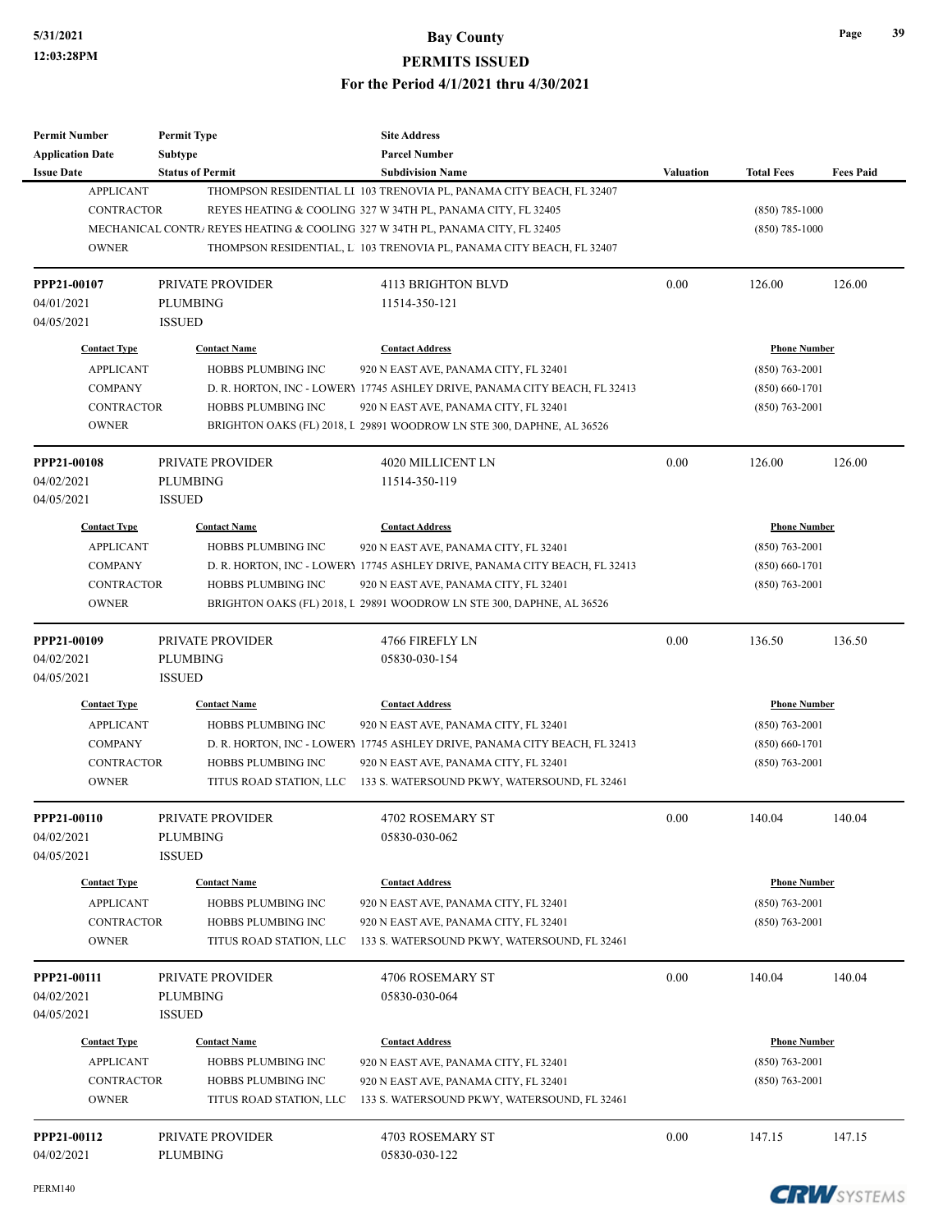| <b>Permit Number</b><br><b>Application Date</b> | <b>Permit Type</b><br><b>Subtype</b> | <b>Site Address</b><br><b>Parcel Number</b>                                    |                  |                     |                  |
|-------------------------------------------------|--------------------------------------|--------------------------------------------------------------------------------|------------------|---------------------|------------------|
| <b>Issue Date</b>                               | <b>Status of Permit</b>              | <b>Subdivision Name</b>                                                        | <b>Valuation</b> | <b>Total Fees</b>   | <b>Fees Paid</b> |
| <b>APPLICANT</b>                                |                                      | THOMPSON RESIDENTIAL LI 103 TRENOVIA PL, PANAMA CITY BEACH, FL 32407           |                  |                     |                  |
| <b>CONTRACTOR</b>                               |                                      | REYES HEATING & COOLING 327 W 34TH PL, PANAMA CITY, FL 32405                   |                  | $(850)$ 785-1000    |                  |
|                                                 |                                      | MECHANICAL CONTRA REYES HEATING & COOLING 327 W 34TH PL, PANAMA CITY, FL 32405 |                  | $(850)$ 785-1000    |                  |
| <b>OWNER</b>                                    |                                      | THOMPSON RESIDENTIAL, L 103 TRENOVIA PL, PANAMA CITY BEACH, FL 32407           |                  |                     |                  |
| PPP21-00107                                     | PRIVATE PROVIDER                     | 4113 BRIGHTON BLVD                                                             | 0.00             | 126.00              | 126.00           |
| 04/01/2021                                      | <b>PLUMBING</b>                      | 11514-350-121                                                                  |                  |                     |                  |
| 04/05/2021                                      | <b>ISSUED</b>                        |                                                                                |                  |                     |                  |
| <b>Contact Type</b>                             | <b>Contact Name</b>                  | <b>Contact Address</b>                                                         |                  | <b>Phone Number</b> |                  |
| <b>APPLICANT</b>                                | HOBBS PLUMBING INC                   | 920 N EAST AVE, PANAMA CITY, FL 32401                                          |                  | $(850) 763 - 2001$  |                  |
| <b>COMPANY</b>                                  |                                      | D. R. HORTON, INC - LOWERY 17745 ASHLEY DRIVE, PANAMA CITY BEACH, FL 32413     |                  | $(850) 660 - 1701$  |                  |
| <b>CONTRACTOR</b>                               | HOBBS PLUMBING INC                   | 920 N EAST AVE, PANAMA CITY, FL 32401                                          |                  | $(850) 763 - 2001$  |                  |
| <b>OWNER</b>                                    |                                      | BRIGHTON OAKS (FL) 2018, L 29891 WOODROW LN STE 300, DAPHNE, AL 36526          |                  |                     |                  |
| PPP21-00108                                     | PRIVATE PROVIDER                     | 4020 MILLICENT LN                                                              | 0.00             | 126.00              | 126.00           |
| 04/02/2021                                      | <b>PLUMBING</b>                      | 11514-350-119                                                                  |                  |                     |                  |
| 04/05/2021                                      | <b>ISSUED</b>                        |                                                                                |                  |                     |                  |
| <b>Contact Type</b>                             | <b>Contact Name</b>                  | <b>Contact Address</b>                                                         |                  | <b>Phone Number</b> |                  |
| <b>APPLICANT</b>                                | HOBBS PLUMBING INC                   | 920 N EAST AVE, PANAMA CITY, FL 32401                                          |                  | $(850) 763 - 2001$  |                  |
| <b>COMPANY</b>                                  |                                      | D. R. HORTON, INC - LOWERY 17745 ASHLEY DRIVE, PANAMA CITY BEACH, FL 32413     |                  | $(850) 660 - 1701$  |                  |
| <b>CONTRACTOR</b>                               | HOBBS PLUMBING INC                   | 920 N EAST AVE, PANAMA CITY, FL 32401                                          |                  | $(850) 763 - 2001$  |                  |
| <b>OWNER</b>                                    |                                      | BRIGHTON OAKS (FL) 2018, L 29891 WOODROW LN STE 300, DAPHNE, AL 36526          |                  |                     |                  |
| PPP21-00109                                     | <b>PRIVATE PROVIDER</b>              | 4766 FIREFLY LN                                                                | 0.00             | 136.50              | 136.50           |
| 04/02/2021                                      | <b>PLUMBING</b>                      | 05830-030-154                                                                  |                  |                     |                  |
| 04/05/2021                                      | <b>ISSUED</b>                        |                                                                                |                  |                     |                  |
| <b>Contact Type</b>                             | <b>Contact Name</b>                  | <b>Contact Address</b>                                                         |                  | <b>Phone Number</b> |                  |
| <b>APPLICANT</b>                                | HOBBS PLUMBING INC                   | 920 N EAST AVE, PANAMA CITY, FL 32401                                          |                  | $(850)$ 763-2001    |                  |
| <b>COMPANY</b>                                  |                                      | D. R. HORTON, INC - LOWERY 17745 ASHLEY DRIVE, PANAMA CITY BEACH, FL 32413     |                  | $(850) 660 - 1701$  |                  |
| <b>CONTRACTOR</b>                               | HOBBS PLUMBING INC                   | 920 N EAST AVE, PANAMA CITY, FL 32401                                          |                  | $(850) 763 - 2001$  |                  |
| <b>OWNER</b>                                    | TITUS ROAD STATION, LLC              | 133 S. WATERSOUND PKWY, WATERSOUND, FL 32461                                   |                  |                     |                  |
| PPP21-00110                                     | PRIVATE PROVIDER                     | 4702 ROSEMARY ST                                                               | 0.00             | 140.04              | 140.04           |
| 04/02/2021                                      | PLUMBING                             | 05830-030-062                                                                  |                  |                     |                  |
| 04/05/2021                                      | <b>ISSUED</b>                        |                                                                                |                  |                     |                  |
| <b>Contact Type</b>                             | <b>Contact Name</b>                  | <b>Contact Address</b>                                                         |                  | <b>Phone Number</b> |                  |
| <b>APPLICANT</b>                                | HOBBS PLUMBING INC                   | 920 N EAST AVE, PANAMA CITY, FL 32401                                          |                  | $(850)$ 763-2001    |                  |
| CONTRACTOR                                      | HOBBS PLUMBING INC                   | 920 N EAST AVE, PANAMA CITY, FL 32401                                          |                  | $(850)$ 763-2001    |                  |
| <b>OWNER</b>                                    | TITUS ROAD STATION, LLC              | 133 S. WATERSOUND PKWY, WATERSOUND, FL 32461                                   |                  |                     |                  |
| PPP21-00111                                     | PRIVATE PROVIDER                     | 4706 ROSEMARY ST                                                               | 0.00             | 140.04              | 140.04           |
| 04/02/2021                                      | <b>PLUMBING</b>                      | 05830-030-064                                                                  |                  |                     |                  |
| 04/05/2021                                      | <b>ISSUED</b>                        |                                                                                |                  |                     |                  |
| <b>Contact Type</b>                             | <b>Contact Name</b>                  | <b>Contact Address</b>                                                         |                  | <b>Phone Number</b> |                  |
| <b>APPLICANT</b>                                | HOBBS PLUMBING INC                   | 920 N EAST AVE, PANAMA CITY, FL 32401                                          |                  | (850) 763-2001      |                  |
| CONTRACTOR                                      | HOBBS PLUMBING INC                   | 920 N EAST AVE, PANAMA CITY, FL 32401                                          |                  | $(850)$ 763-2001    |                  |
| <b>OWNER</b>                                    | TITUS ROAD STATION, LLC              | 133 S. WATERSOUND PKWY, WATERSOUND, FL 32461                                   |                  |                     |                  |
| PPP21-00112                                     | PRIVATE PROVIDER                     | 4703 ROSEMARY ST                                                               | 0.00             | 147.15              | 147.15           |
|                                                 |                                      |                                                                                |                  |                     |                  |

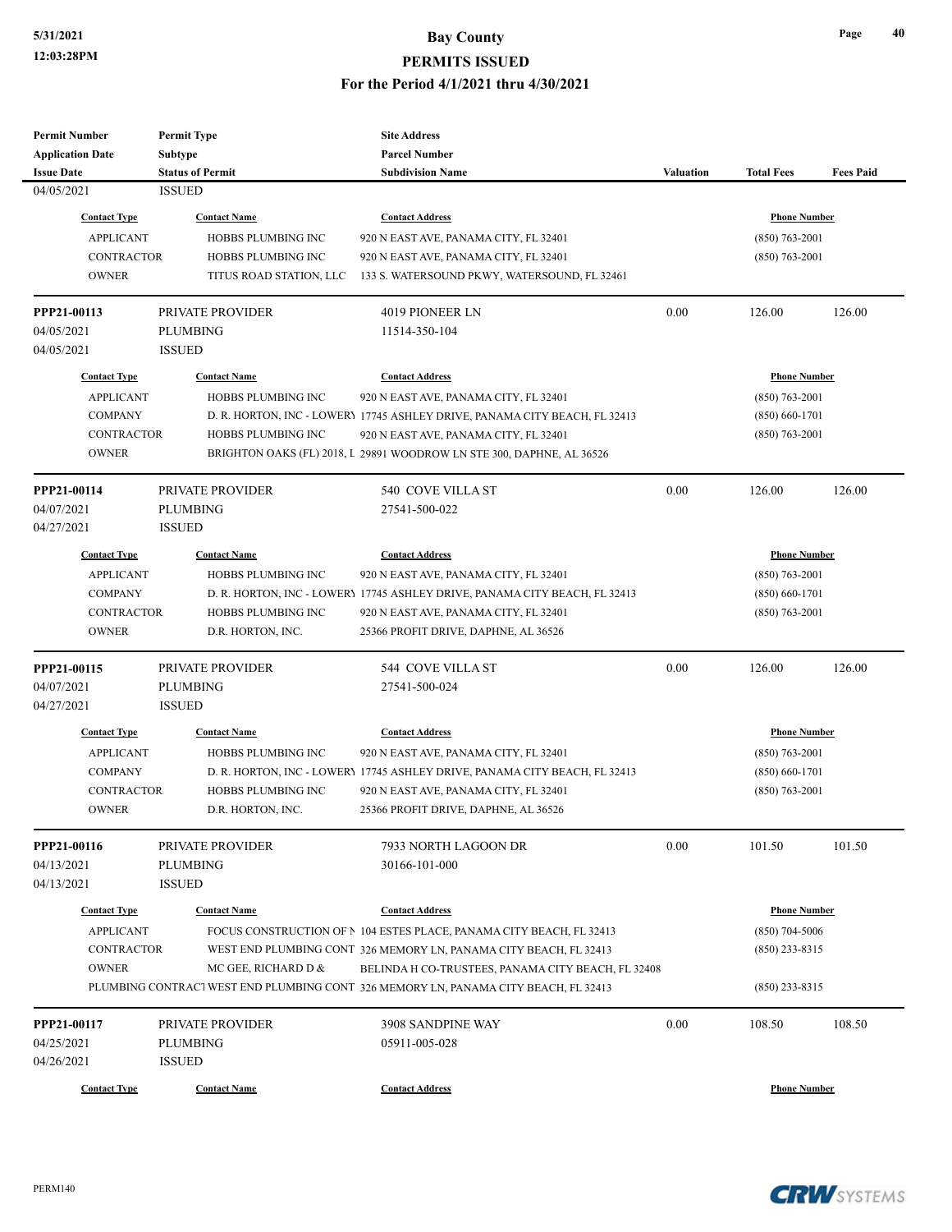| <b>Permit Number</b>    | <b>Permit Type</b>        | <b>Site Address</b>                                                                 |           |                     |                  |
|-------------------------|---------------------------|-------------------------------------------------------------------------------------|-----------|---------------------|------------------|
| <b>Application Date</b> | Subtype                   | <b>Parcel Number</b>                                                                |           |                     |                  |
| <b>Issue Date</b>       | <b>Status of Permit</b>   | <b>Subdivision Name</b>                                                             | Valuation | <b>Total Fees</b>   | <b>Fees Paid</b> |
| 04/05/2021              | <b>ISSUED</b>             |                                                                                     |           |                     |                  |
| <b>Contact Type</b>     | <b>Contact Name</b>       | <b>Contact Address</b>                                                              |           | <b>Phone Number</b> |                  |
| <b>APPLICANT</b>        | HOBBS PLUMBING INC        | 920 N EAST AVE, PANAMA CITY, FL 32401                                               |           | $(850) 763 - 2001$  |                  |
| <b>CONTRACTOR</b>       | HOBBS PLUMBING INC        | 920 N EAST AVE, PANAMA CITY, FL 32401                                               |           | $(850)$ 763-2001    |                  |
| <b>OWNER</b>            | TITUS ROAD STATION, LLC   | 133 S. WATERSOUND PKWY, WATERSOUND, FL 32461                                        |           |                     |                  |
| PPP21-00113             | PRIVATE PROVIDER          | 4019 PIONEER LN                                                                     | 0.00      | 126.00              | 126.00           |
| 04/05/2021              | <b>PLUMBING</b>           | 11514-350-104                                                                       |           |                     |                  |
| 04/05/2021              | <b>ISSUED</b>             |                                                                                     |           |                     |                  |
| <b>Contact Type</b>     | <b>Contact Name</b>       | <b>Contact Address</b>                                                              |           | <b>Phone Number</b> |                  |
| <b>APPLICANT</b>        | HOBBS PLUMBING INC        | 920 N EAST AVE, PANAMA CITY, FL 32401                                               |           | $(850)$ 763-2001    |                  |
| <b>COMPANY</b>          |                           | D. R. HORTON, INC - LOWERY 17745 ASHLEY DRIVE, PANAMA CITY BEACH, FL 32413          |           | $(850) 660 - 1701$  |                  |
| <b>CONTRACTOR</b>       | HOBBS PLUMBING INC        | 920 N EAST AVE, PANAMA CITY, FL 32401                                               |           | $(850)$ 763-2001    |                  |
| <b>OWNER</b>            |                           | BRIGHTON OAKS (FL) 2018, I 29891 WOODROW LN STE 300, DAPHNE, AL 36526               |           |                     |                  |
| PPP21-00114             | PRIVATE PROVIDER          | 540 COVE VILLA ST                                                                   | 0.00      | 126.00              | 126.00           |
| 04/07/2021              | <b>PLUMBING</b>           | 27541-500-022                                                                       |           |                     |                  |
| 04/27/2021              | <b>ISSUED</b>             |                                                                                     |           |                     |                  |
| <b>Contact Type</b>     | <b>Contact Name</b>       | <b>Contact Address</b>                                                              |           | <u>Phone Number</u> |                  |
| <b>APPLICANT</b>        | HOBBS PLUMBING INC        | 920 N EAST AVE, PANAMA CITY, FL 32401                                               |           | $(850)$ 763-2001    |                  |
| <b>COMPANY</b>          |                           | D. R. HORTON, INC - LOWERY 17745 ASHLEY DRIVE, PANAMA CITY BEACH, FL 32413          |           | $(850) 660 - 1701$  |                  |
| <b>CONTRACTOR</b>       | HOBBS PLUMBING INC        | 920 N EAST AVE, PANAMA CITY, FL 32401                                               |           | $(850)$ 763-2001    |                  |
| <b>OWNER</b>            | D.R. HORTON, INC.         | 25366 PROFIT DRIVE, DAPHNE, AL 36526                                                |           |                     |                  |
| PPP21-00115             | PRIVATE PROVIDER          | 544 COVE VILLA ST                                                                   | 0.00      | 126.00              | 126.00           |
| 04/07/2021              | PLUMBING                  | 27541-500-024                                                                       |           |                     |                  |
| 04/27/2021              | <b>ISSUED</b>             |                                                                                     |           |                     |                  |
| <b>Contact Type</b>     | <b>Contact Name</b>       | <b>Contact Address</b>                                                              |           | <b>Phone Number</b> |                  |
| <b>APPLICANT</b>        | HOBBS PLUMBING INC        | 920 N EAST AVE, PANAMA CITY, FL 32401                                               |           | $(850)$ 763-2001    |                  |
| <b>COMPANY</b>          |                           | D. R. HORTON, INC - LOWERY 17745 ASHLEY DRIVE, PANAMA CITY BEACH, FL 32413          |           | $(850) 660 - 1701$  |                  |
| <b>CONTRACTOR</b>       | <b>HOBBS PLUMBING INC</b> | 920 N EAST AVE, PANAMA CITY, FL 32401                                               |           | $(850) 763 - 2001$  |                  |
| <b>OWNER</b>            | D.R. HORTON, INC.         | 25366 PROFIT DRIVE, DAPHNE, AL 36526                                                |           |                     |                  |
| PPP21-00116             | PRIVATE PROVIDER          | 7933 NORTH LAGOON DR                                                                | 0.00      | 101.50              | 101.50           |
| 04/13/2021              | PLUMBING                  | 30166-101-000                                                                       |           |                     |                  |
| 04/13/2021              | <b>ISSUED</b>             |                                                                                     |           |                     |                  |
| <b>Contact Type</b>     | <b>Contact Name</b>       | <b>Contact Address</b>                                                              |           | <b>Phone Number</b> |                  |
| <b>APPLICANT</b>        |                           | FOCUS CONSTRUCTION OF N 104 ESTES PLACE, PANAMA CITY BEACH, FL 32413                |           | $(850)$ 704-5006    |                  |
| CONTRACTOR              |                           | WEST END PLUMBING CONT 326 MEMORY LN, PANAMA CITY BEACH, FL 32413                   |           | $(850)$ 233-8315    |                  |
| <b>OWNER</b>            | MC GEE, RICHARD D &       | BELINDA H CO-TRUSTEES, PANAMA CITY BEACH, FL 32408                                  |           |                     |                  |
|                         |                           | PLUMBING CONTRACT WEST END PLUMBING CONT 326 MEMORY LN, PANAMA CITY BEACH, FL 32413 |           | $(850)$ 233-8315    |                  |
| PPP21-00117             | PRIVATE PROVIDER          | 3908 SANDPINE WAY                                                                   | 0.00      | 108.50              | 108.50           |
| 04/25/2021              | <b>PLUMBING</b>           | 05911-005-028                                                                       |           |                     |                  |
| 04/26/2021              | <b>ISSUED</b>             |                                                                                     |           |                     |                  |
| <b>Contact Type</b>     | <b>Contact Name</b>       | <b>Contact Address</b>                                                              |           | <b>Phone Number</b> |                  |
|                         |                           |                                                                                     |           |                     |                  |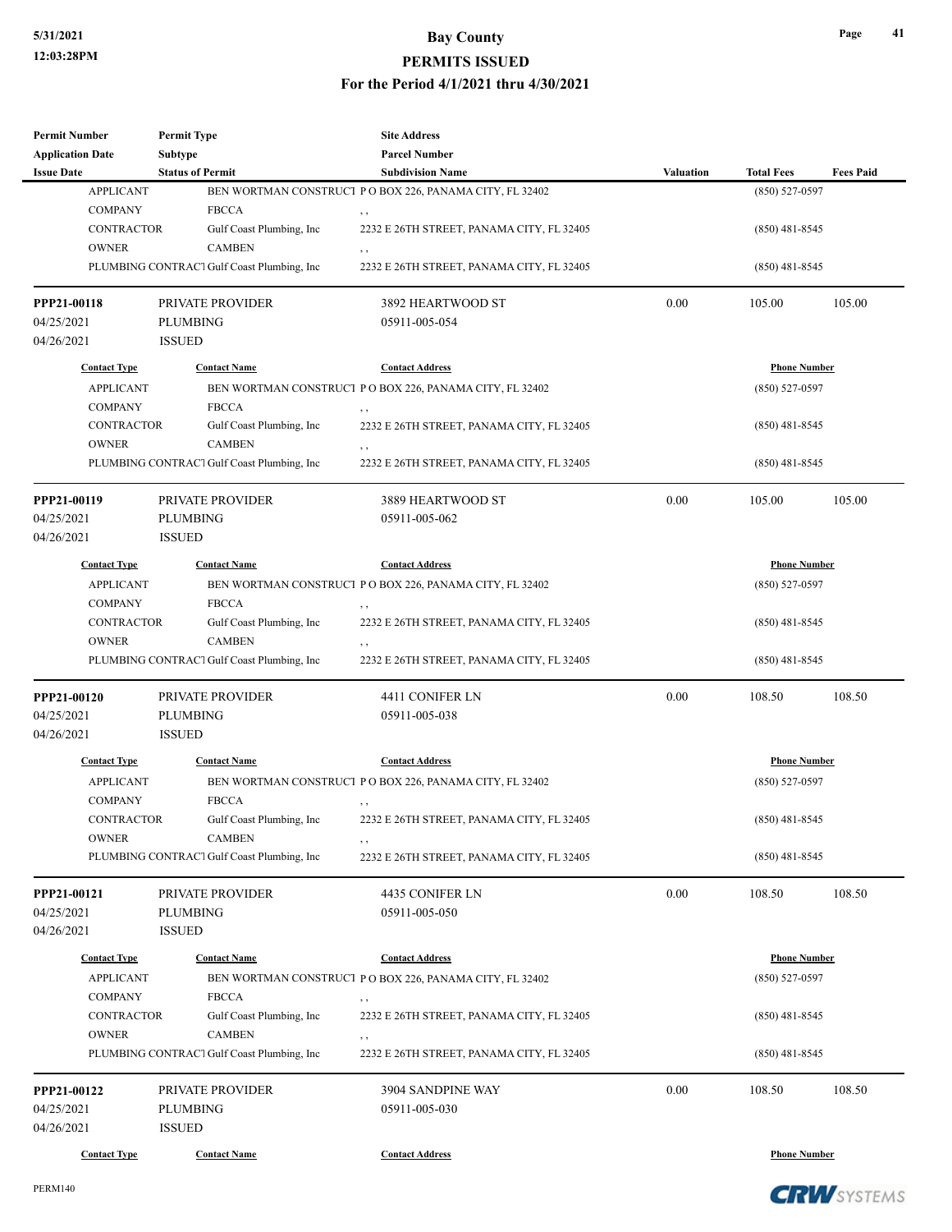| <b>Permit Number</b>               | <b>Permit Type</b>                         | <b>Site Address</b>                                      |                  |                     |                  |
|------------------------------------|--------------------------------------------|----------------------------------------------------------|------------------|---------------------|------------------|
| <b>Application Date</b>            | Subtype                                    | <b>Parcel Number</b>                                     |                  |                     |                  |
| <b>Issue Date</b>                  | <b>Status of Permit</b>                    | <b>Subdivision Name</b>                                  | <b>Valuation</b> | <b>Total Fees</b>   | <b>Fees Paid</b> |
| <b>APPLICANT</b>                   |                                            | BEN WORTMAN CONSTRUCT PO BOX 226, PANAMA CITY, FL 32402  |                  | $(850) 527 - 0597$  |                  |
| <b>COMPANY</b>                     | <b>FBCCA</b>                               |                                                          |                  |                     |                  |
| <b>CONTRACTOR</b><br><b>OWNER</b>  | Gulf Coast Plumbing, Inc<br><b>CAMBEN</b>  | 2232 E 26TH STREET, PANAMA CITY, FL 32405                |                  | $(850)$ 481-8545    |                  |
|                                    | PLUMBING CONTRACT Gulf Coast Plumbing, Inc | 2232 E 26TH STREET, PANAMA CITY, FL 32405                |                  | $(850)$ 481-8545    |                  |
|                                    |                                            |                                                          |                  |                     |                  |
| PPP21-00118                        | PRIVATE PROVIDER                           | 3892 HEARTWOOD ST                                        | 0.00             | 105.00              | 105.00           |
| 04/25/2021                         | <b>PLUMBING</b>                            | 05911-005-054                                            |                  |                     |                  |
| 04/26/2021                         | <b>ISSUED</b>                              |                                                          |                  |                     |                  |
| <b>Contact Type</b>                | <b>Contact Name</b>                        | <b>Contact Address</b>                                   |                  | <b>Phone Number</b> |                  |
| <b>APPLICANT</b>                   |                                            | BEN WORTMAN CONSTRUCT P O BOX 226, PANAMA CITY, FL 32402 |                  | $(850) 527 - 0597$  |                  |
| <b>COMPANY</b>                     | <b>FBCCA</b>                               | $, \, , \,$                                              |                  |                     |                  |
| <b>CONTRACTOR</b>                  | Gulf Coast Plumbing, Inc                   | 2232 E 26TH STREET, PANAMA CITY, FL 32405                |                  | $(850)$ 481-8545    |                  |
| <b>OWNER</b>                       | <b>CAMBEN</b>                              | , ,                                                      |                  |                     |                  |
|                                    | PLUMBING CONTRACT Gulf Coast Plumbing, Inc | 2232 E 26TH STREET, PANAMA CITY, FL 32405                |                  | $(850)$ 481-8545    |                  |
| PPP21-00119                        | <b>PRIVATE PROVIDER</b>                    | 3889 HEARTWOOD ST                                        | 0.00             | 105.00              | 105.00           |
| 04/25/2021                         | <b>PLUMBING</b>                            | 05911-005-062                                            |                  |                     |                  |
| 04/26/2021                         | <b>ISSUED</b>                              |                                                          |                  |                     |                  |
|                                    |                                            |                                                          |                  |                     |                  |
| <b>Contact Type</b>                | <b>Contact Name</b>                        | <b>Contact Address</b>                                   |                  | <b>Phone Number</b> |                  |
| <b>APPLICANT</b><br><b>COMPANY</b> | <b>FBCCA</b>                               | BEN WORTMAN CONSTRUCT PO BOX 226, PANAMA CITY, FL 32402  |                  | $(850) 527 - 0597$  |                  |
| <b>CONTRACTOR</b>                  | Gulf Coast Plumbing, Inc                   | 2232 E 26TH STREET, PANAMA CITY, FL 32405                |                  | $(850)$ 481-8545    |                  |
| <b>OWNER</b>                       | <b>CAMBEN</b>                              |                                                          |                  |                     |                  |
|                                    | PLUMBING CONTRACT Gulf Coast Plumbing, Inc | 2232 E 26TH STREET, PANAMA CITY, FL 32405                |                  | $(850)$ 481-8545    |                  |
|                                    |                                            |                                                          |                  |                     |                  |
| PPP21-00120                        | PRIVATE PROVIDER                           | 4411 CONIFER LN                                          | 0.00             | 108.50              | 108.50           |
| 04/25/2021<br>04/26/2021           | PLUMBING<br><b>ISSUED</b>                  | 05911-005-038                                            |                  |                     |                  |
|                                    |                                            |                                                          |                  |                     |                  |
| <b>Contact Type</b>                | <b>Contact Name</b>                        | <b>Contact Address</b>                                   |                  | <b>Phone Number</b> |                  |
| <b>APPLICANT</b>                   |                                            | BEN WORTMAN CONSTRUCT P O BOX 226, PANAMA CITY, FL 32402 |                  | $(850)$ 527-0597    |                  |
| <b>COMPANY</b>                     | <b>FBCCA</b>                               |                                                          |                  |                     |                  |
| CONTRACTOR<br><b>OWNER</b>         | Gulf Coast Plumbing, Inc<br><b>CAMBEN</b>  | 2232 E 26TH STREET, PANAMA CITY, FL 32405                |                  | $(850)$ 481-8545    |                  |
|                                    | PLUMBING CONTRACT Gulf Coast Plumbing, Inc | 2232 E 26TH STREET, PANAMA CITY, FL 32405                |                  | $(850)$ 481-8545    |                  |
|                                    |                                            |                                                          |                  |                     |                  |
| PPP21-00121                        | PRIVATE PROVIDER                           | 4435 CONIFER LN                                          | 0.00             | 108.50              | 108.50           |
| 04/25/2021                         | PLUMBING                                   | 05911-005-050                                            |                  |                     |                  |
| 04/26/2021                         | <b>ISSUED</b>                              |                                                          |                  |                     |                  |
| <b>Contact Type</b>                | <b>Contact Name</b>                        | <b>Contact Address</b>                                   |                  | <b>Phone Number</b> |                  |
| <b>APPLICANT</b>                   |                                            | BEN WORTMAN CONSTRUCT PO BOX 226, PANAMA CITY, FL 32402  |                  | $(850) 527 - 0597$  |                  |
| <b>COMPANY</b>                     | <b>FBCCA</b>                               | , ,                                                      |                  |                     |                  |
| CONTRACTOR                         | Gulf Coast Plumbing, Inc                   | 2232 E 26TH STREET, PANAMA CITY, FL 32405                |                  | $(850)$ 481-8545    |                  |
| <b>OWNER</b>                       | <b>CAMBEN</b>                              | , ,                                                      |                  |                     |                  |
|                                    | PLUMBING CONTRACT Gulf Coast Plumbing, Inc | 2232 E 26TH STREET, PANAMA CITY, FL 32405                |                  | $(850)$ 481-8545    |                  |
| PPP21-00122                        | PRIVATE PROVIDER                           | 3904 SANDPINE WAY                                        | 0.00             | 108.50              | 108.50           |
| 04/25/2021                         | <b>PLUMBING</b>                            | 05911-005-030                                            |                  |                     |                  |
| 04/26/2021                         | <b>ISSUED</b>                              |                                                          |                  |                     |                  |
| <b>Contact Type</b>                | <b>Contact Name</b>                        | <b>Contact Address</b>                                   |                  | <b>Phone Number</b> |                  |



**Page 41**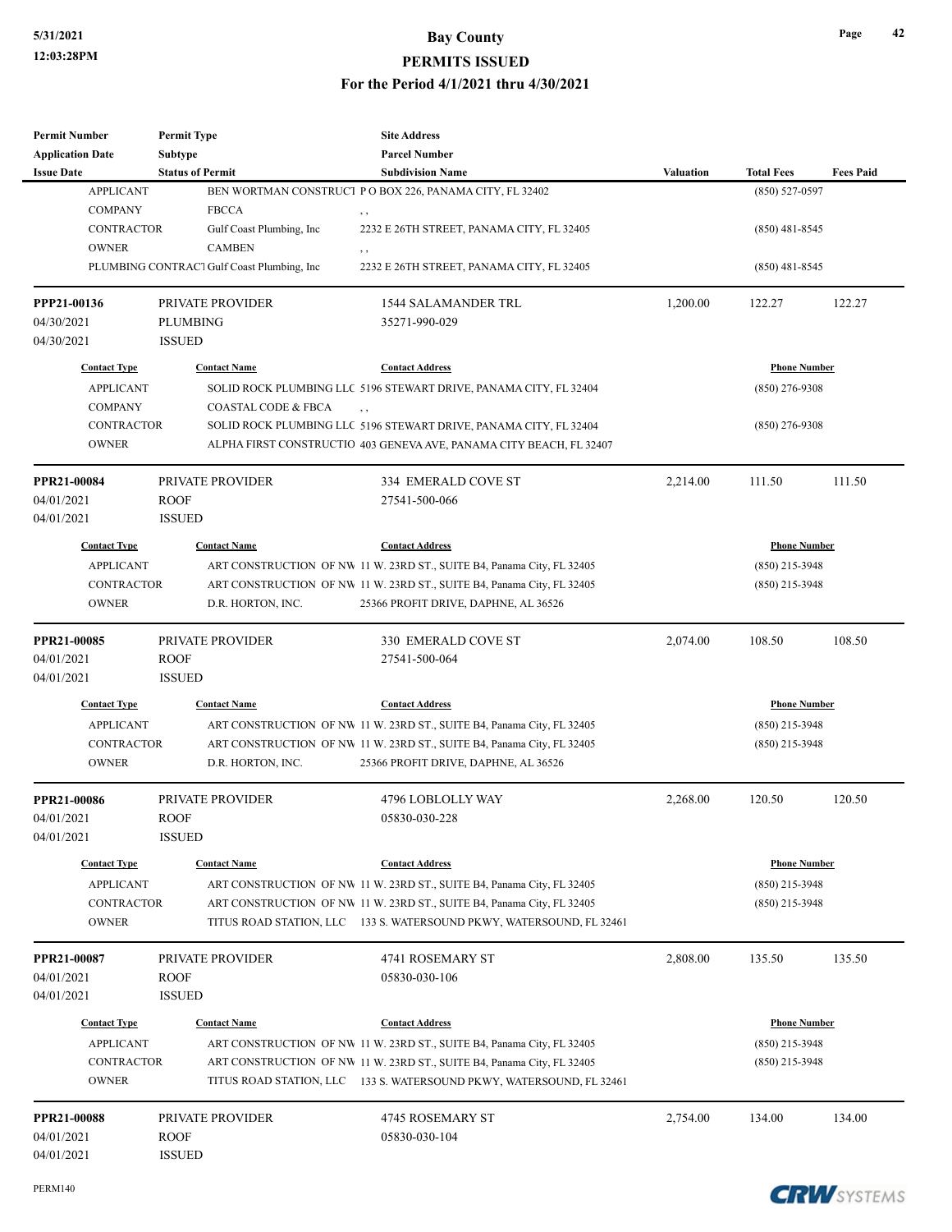| <b>Permit Number</b>      | <b>Permit Type</b>                         | <b>Site Address</b>                                                      |                  |                     |                  |
|---------------------------|--------------------------------------------|--------------------------------------------------------------------------|------------------|---------------------|------------------|
| <b>Application Date</b>   | Subtype                                    | <b>Parcel Number</b>                                                     |                  |                     |                  |
| <b>Issue Date</b>         | <b>Status of Permit</b>                    | <b>Subdivision Name</b>                                                  | <b>Valuation</b> | <b>Total Fees</b>   | <b>Fees Paid</b> |
| <b>APPLICANT</b>          |                                            | BEN WORTMAN CONSTRUCT P O BOX 226, PANAMA CITY, FL 32402                 |                  | $(850) 527 - 0597$  |                  |
| <b>COMPANY</b>            | <b>FBCCA</b>                               | , ,                                                                      |                  |                     |                  |
| <b>CONTRACTOR</b>         | Gulf Coast Plumbing, Inc                   | 2232 E 26TH STREET, PANAMA CITY, FL 32405                                |                  | $(850)$ 481-8545    |                  |
| <b>OWNER</b>              | <b>CAMBEN</b>                              | , ,                                                                      |                  |                     |                  |
|                           | PLUMBING CONTRACT Gulf Coast Plumbing, Inc | 2232 E 26TH STREET, PANAMA CITY, FL 32405                                |                  | $(850)$ 481-8545    |                  |
| PPP21-00136               | PRIVATE PROVIDER                           | <b>1544 SALAMANDER TRL</b>                                               | 1,200.00         | 122.27              | 122.27           |
| 04/30/2021                | PLUMBING                                   | 35271-990-029                                                            |                  |                     |                  |
| 04/30/2021                | <b>ISSUED</b>                              |                                                                          |                  |                     |                  |
| <b>Contact Type</b>       | <b>Contact Name</b>                        | <b>Contact Address</b>                                                   |                  | <b>Phone Number</b> |                  |
| <b>APPLICANT</b>          |                                            | SOLID ROCK PLUMBING LLC 5196 STEWART DRIVE, PANAMA CITY, FL 32404        |                  | $(850)$ 276-9308    |                  |
| <b>COMPANY</b>            | <b>COASTAL CODE &amp; FBCA</b>             |                                                                          |                  |                     |                  |
| <b>CONTRACTOR</b>         |                                            | , ,<br>SOLID ROCK PLUMBING LLC 5196 STEWART DRIVE, PANAMA CITY, FL 32404 |                  | $(850)$ 276-9308    |                  |
| <b>OWNER</b>              |                                            | ALPHA FIRST CONSTRUCTIO 403 GENEVA AVE, PANAMA CITY BEACH, FL 32407      |                  |                     |                  |
|                           |                                            |                                                                          |                  |                     |                  |
| PPR21-00084               | PRIVATE PROVIDER                           | 334 EMERALD COVE ST                                                      | 2,214.00         | 111.50              | 111.50           |
| 04/01/2021                | <b>ROOF</b>                                | 27541-500-066                                                            |                  |                     |                  |
| 04/01/2021                | <b>ISSUED</b>                              |                                                                          |                  |                     |                  |
| <b>Contact Type</b>       | <b>Contact Name</b>                        | <b>Contact Address</b>                                                   |                  | <b>Phone Number</b> |                  |
| <b>APPLICANT</b>          |                                            | ART CONSTRUCTION OF NW 11 W. 23RD ST., SUITE B4, Panama City, FL 32405   |                  | $(850)$ 215-3948    |                  |
| CONTRACTOR                |                                            | ART CONSTRUCTION OF NW 11 W. 23RD ST., SUITE B4, Panama City, FL 32405   |                  | $(850)$ 215-3948    |                  |
| <b>OWNER</b>              | D.R. HORTON, INC.                          | 25366 PROFIT DRIVE, DAPHNE, AL 36526                                     |                  |                     |                  |
|                           |                                            |                                                                          |                  |                     |                  |
| PPR21-00085               | PRIVATE PROVIDER                           | 330 EMERALD COVE ST                                                      | 2,074.00         | 108.50              | 108.50           |
| 04/01/2021                | <b>ROOF</b>                                | 27541-500-064                                                            |                  |                     |                  |
| 04/01/2021                | <b>ISSUED</b>                              |                                                                          |                  |                     |                  |
| <b>Contact Type</b>       | <b>Contact Name</b>                        | <b>Contact Address</b>                                                   |                  | <b>Phone Number</b> |                  |
| <b>APPLICANT</b>          |                                            | ART CONSTRUCTION OF NW 11 W. 23RD ST., SUITE B4, Panama City, FL 32405   |                  | $(850)$ 215-3948    |                  |
| <b>CONTRACTOR</b>         |                                            | ART CONSTRUCTION OF NW 11 W. 23RD ST., SUITE B4, Panama City, FL 32405   |                  | $(850)$ 215-3948    |                  |
| <b>OWNER</b>              | D.R. HORTON, INC.                          | 25366 PROFIT DRIVE, DAPHNE, AL 36526                                     |                  |                     |                  |
| PPR21-00086               | PRIVATE PROVIDER                           | 4796 LOBLOLLY WAY                                                        | 2,268.00         | 120.50              | 120.50           |
| 04/01/2021                | <b>ROOF</b>                                | 05830-030-228                                                            |                  |                     |                  |
| 04/01/2021                | <b>ISSUED</b>                              |                                                                          |                  |                     |                  |
| <b>Contact Type</b>       | <b>Contact Name</b>                        | <b>Contact Address</b>                                                   |                  | <b>Phone Number</b> |                  |
| <b>APPLICANT</b>          |                                            | ART CONSTRUCTION OF NW 11 W. 23RD ST., SUITE B4, Panama City, FL 32405   |                  | $(850)$ 215-3948    |                  |
| <b>CONTRACTOR</b>         |                                            | ART CONSTRUCTION OF NW 11 W. 23RD ST., SUITE B4, Panama City, FL 32405   |                  | $(850)$ 215-3948    |                  |
| <b>OWNER</b>              |                                            | TITUS ROAD STATION, LLC 133 S. WATERSOUND PKWY, WATERSOUND, FL 32461     |                  |                     |                  |
| PPR21-00087               | PRIVATE PROVIDER                           | 4741 ROSEMARY ST                                                         | 2,808.00         | 135.50              | 135.50           |
| 04/01/2021                | <b>ROOF</b>                                | 05830-030-106                                                            |                  |                     |                  |
| 04/01/2021                | <b>ISSUED</b>                              |                                                                          |                  |                     |                  |
| <b>Contact Type</b>       | <b>Contact Name</b>                        | <b>Contact Address</b>                                                   |                  | <b>Phone Number</b> |                  |
| <b>APPLICANT</b>          |                                            | ART CONSTRUCTION OF NW 11 W. 23RD ST., SUITE B4, Panama City, FL 32405   |                  | $(850)$ 215-3948    |                  |
| <b>CONTRACTOR</b>         |                                            | ART CONSTRUCTION OF NW 11 W. 23RD ST., SUITE B4, Panama City, FL 32405   |                  | $(850)$ 215-3948    |                  |
| <b>OWNER</b>              |                                            | TITUS ROAD STATION, LLC 133 S. WATERSOUND PKWY, WATERSOUND, FL 32461     |                  |                     |                  |
|                           |                                            |                                                                          |                  |                     |                  |
| PPR21-00088<br>04/01/2021 | PRIVATE PROVIDER<br>ROOF                   | 4745 ROSEMARY ST<br>05830-030-104                                        | 2,754.00         | 134.00              | 134.00           |
| 04/01/2021                | <b>ISSUED</b>                              |                                                                          |                  |                     |                  |
|                           |                                            |                                                                          |                  |                     |                  |

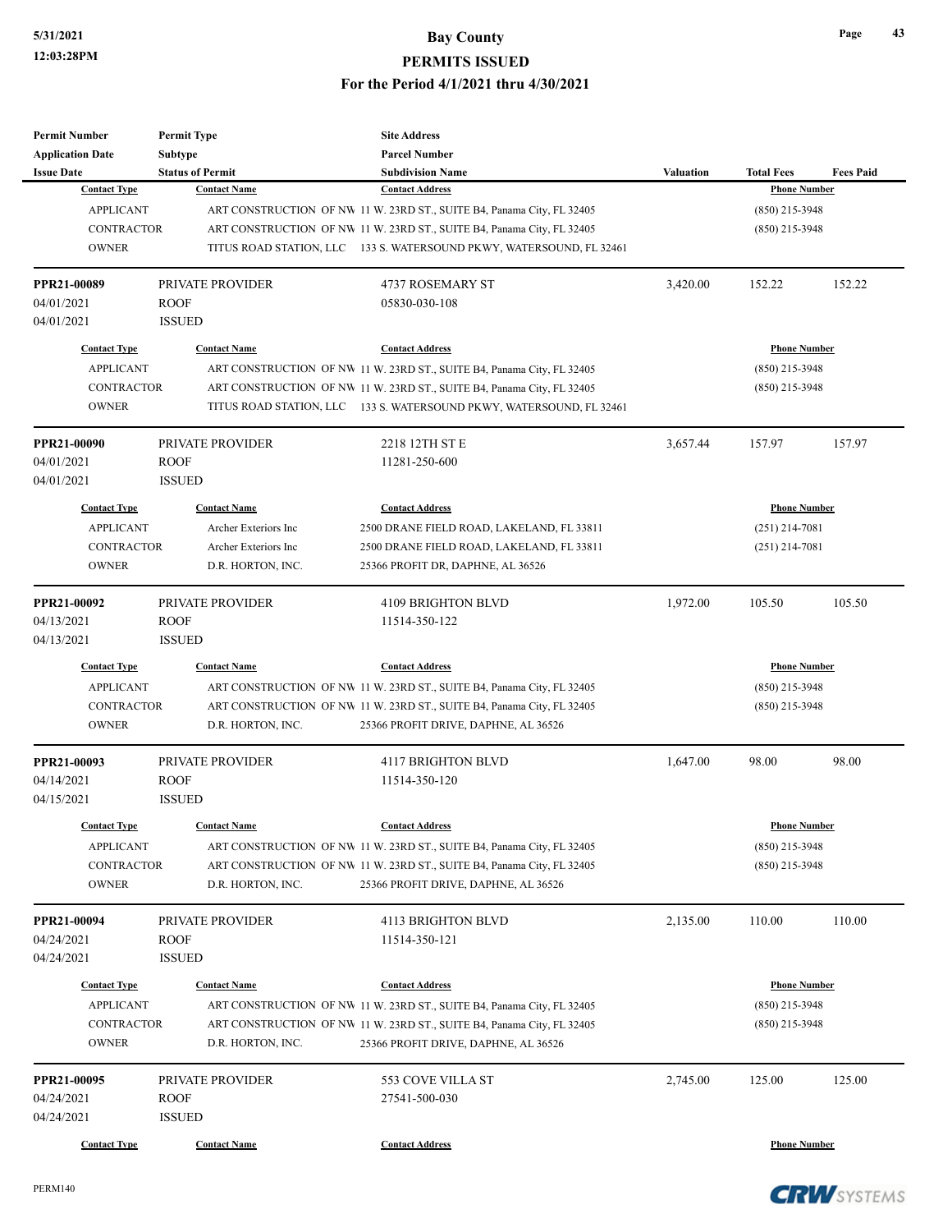| <b>Permit Number</b>    | <b>Permit Type</b>      | <b>Site Address</b>                                                    |                  |                     |                  |
|-------------------------|-------------------------|------------------------------------------------------------------------|------------------|---------------------|------------------|
| <b>Application Date</b> | Subtype                 | <b>Parcel Number</b>                                                   |                  |                     |                  |
| <b>Issue Date</b>       | <b>Status of Permit</b> | <b>Subdivision Name</b>                                                | <b>Valuation</b> | <b>Total Fees</b>   | <b>Fees Paid</b> |
| <b>Contact Type</b>     | <b>Contact Name</b>     | <b>Contact Address</b>                                                 |                  | <b>Phone Number</b> |                  |
| <b>APPLICANT</b>        |                         | ART CONSTRUCTION OF NW 11 W. 23RD ST., SUITE B4, Panama City, FL 32405 |                  | $(850)$ 215-3948    |                  |
| <b>CONTRACTOR</b>       |                         | ART CONSTRUCTION OF NW 11 W. 23RD ST., SUITE B4, Panama City, FL 32405 |                  | $(850)$ 215-3948    |                  |
| <b>OWNER</b>            |                         | TITUS ROAD STATION, LLC 133 S. WATERSOUND PKWY, WATERSOUND, FL 32461   |                  |                     |                  |
| PPR21-00089             | <b>PRIVATE PROVIDER</b> | <b>4737 ROSEMARY ST</b>                                                | 3,420.00         | 152.22              | 152.22           |
| 04/01/2021              | <b>ROOF</b>             | 05830-030-108                                                          |                  |                     |                  |
| 04/01/2021              | <b>ISSUED</b>           |                                                                        |                  |                     |                  |
| <b>Contact Type</b>     | <b>Contact Name</b>     | <b>Contact Address</b>                                                 |                  | <b>Phone Number</b> |                  |
| <b>APPLICANT</b>        |                         | ART CONSTRUCTION OF NW 11 W. 23RD ST., SUITE B4, Panama City, FL 32405 |                  | $(850)$ 215-3948    |                  |
| <b>CONTRACTOR</b>       |                         | ART CONSTRUCTION OF NW 11 W. 23RD ST., SUITE B4, Panama City, FL 32405 |                  | $(850)$ 215-3948    |                  |
| <b>OWNER</b>            |                         | TITUS ROAD STATION, LLC 133 S. WATERSOUND PKWY, WATERSOUND, FL 32461   |                  |                     |                  |
| PPR21-00090             | PRIVATE PROVIDER        | 2218 12TH ST E                                                         | 3,657.44         | 157.97              | 157.97           |
| 04/01/2021              | <b>ROOF</b>             | 11281-250-600                                                          |                  |                     |                  |
| 04/01/2021              | <b>ISSUED</b>           |                                                                        |                  |                     |                  |
| <b>Contact Type</b>     | <b>Contact Name</b>     | <b>Contact Address</b>                                                 |                  | <b>Phone Number</b> |                  |
| <b>APPLICANT</b>        | Archer Exteriors Inc    | 2500 DRANE FIELD ROAD, LAKELAND, FL 33811                              |                  | $(251)$ 214-7081    |                  |
| <b>CONTRACTOR</b>       | Archer Exteriors Inc    | 2500 DRANE FIELD ROAD, LAKELAND, FL 33811                              |                  | $(251)$ 214-7081    |                  |
| <b>OWNER</b>            | D.R. HORTON, INC.       | 25366 PROFIT DR, DAPHNE, AL 36526                                      |                  |                     |                  |
|                         |                         |                                                                        |                  |                     |                  |
| PPR21-00092             | PRIVATE PROVIDER        | 4109 BRIGHTON BLVD                                                     | 1,972.00         | 105.50              | 105.50           |
| 04/13/2021              | <b>ROOF</b>             | 11514-350-122                                                          |                  |                     |                  |
| 04/13/2021              | <b>ISSUED</b>           |                                                                        |                  |                     |                  |
| <b>Contact Type</b>     | <b>Contact Name</b>     | <b>Contact Address</b>                                                 |                  | <b>Phone Number</b> |                  |
| <b>APPLICANT</b>        |                         | ART CONSTRUCTION OF NW 11 W. 23RD ST., SUITE B4, Panama City, FL 32405 |                  | $(850)$ 215-3948    |                  |
| <b>CONTRACTOR</b>       |                         | ART CONSTRUCTION OF NW 11 W. 23RD ST., SUITE B4, Panama City, FL 32405 |                  | $(850)$ 215-3948    |                  |
| <b>OWNER</b>            | D.R. HORTON, INC.       | 25366 PROFIT DRIVE, DAPHNE, AL 36526                                   |                  |                     |                  |
| PPR21-00093             | <b>PRIVATE PROVIDER</b> | <b>4117 BRIGHTON BLVD</b>                                              | 1,647.00         | 98.00               | 98.00            |
| 04/14/2021              | <b>ROOF</b>             | 11514-350-120                                                          |                  |                     |                  |
| 04/15/2021              | <b>ISSUED</b>           |                                                                        |                  |                     |                  |
| <b>Contact Type</b>     | <b>Contact Name</b>     | <b>Contact Address</b>                                                 |                  | <b>Phone Number</b> |                  |
| <b>APPLICANT</b>        |                         | ART CONSTRUCTION OF NW 11 W. 23RD ST., SUITE B4, Panama City, FL 32405 |                  | $(850)$ 215-3948    |                  |
| <b>CONTRACTOR</b>       |                         | ART CONSTRUCTION OF NW 11 W. 23RD ST., SUITE B4, Panama City, FL 32405 |                  | $(850)$ 215-3948    |                  |
| <b>OWNER</b>            | D.R. HORTON, INC.       | 25366 PROFIT DRIVE, DAPHNE, AL 36526                                   |                  |                     |                  |
| PPR21-00094             | PRIVATE PROVIDER        | 4113 BRIGHTON BLVD                                                     | 2,135.00         | 110.00              | 110.00           |
| 04/24/2021              | ROOF                    | 11514-350-121                                                          |                  |                     |                  |
| 04/24/2021              | <b>ISSUED</b>           |                                                                        |                  |                     |                  |
|                         |                         |                                                                        |                  |                     |                  |
| <b>Contact Type</b>     | <b>Contact Name</b>     | <b>Contact Address</b>                                                 |                  | <b>Phone Number</b> |                  |
| <b>APPLICANT</b>        |                         | ART CONSTRUCTION OF NW 11 W. 23RD ST., SUITE B4, Panama City, FL 32405 |                  | $(850)$ 215-3948    |                  |
| <b>CONTRACTOR</b>       |                         | ART CONSTRUCTION OF NW 11 W. 23RD ST., SUITE B4, Panama City, FL 32405 |                  | $(850)$ 215-3948    |                  |
| <b>OWNER</b>            | D.R. HORTON, INC.       | 25366 PROFIT DRIVE, DAPHNE, AL 36526                                   |                  |                     |                  |
| PPR21-00095             | PRIVATE PROVIDER        | 553 COVE VILLA ST                                                      | 2,745.00         | 125.00              | 125.00           |
| 04/24/2021              | <b>ROOF</b>             | 27541-500-030                                                          |                  |                     |                  |
| 04/24/2021              | <b>ISSUED</b>           |                                                                        |                  |                     |                  |
| <b>Contact Type</b>     | <b>Contact Name</b>     | <b>Contact Address</b>                                                 |                  | <b>Phone Number</b> |                  |

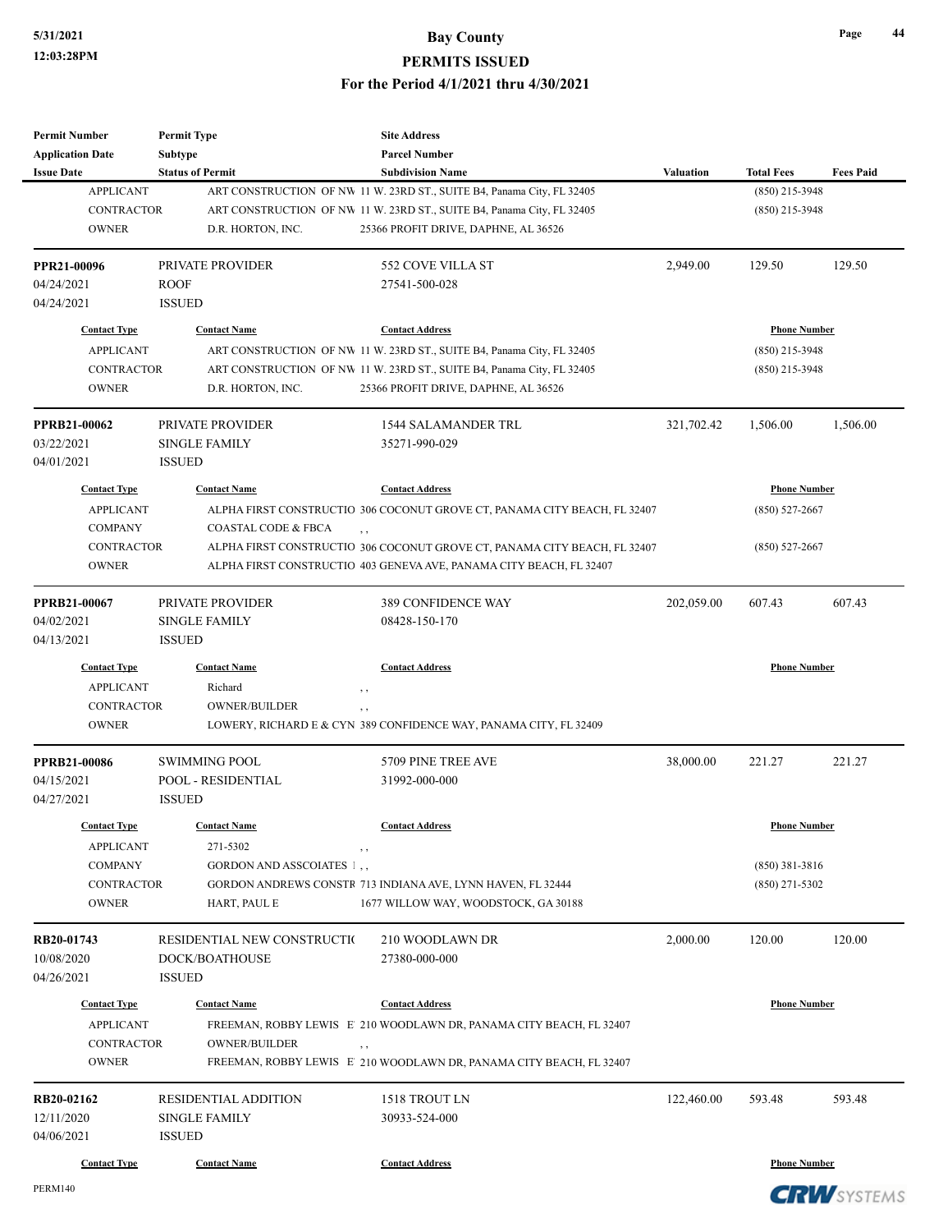| <b>Permit Number</b>    | <b>Permit Type</b>             | <b>Site Address</b>                                                       |                  |                     |                  |
|-------------------------|--------------------------------|---------------------------------------------------------------------------|------------------|---------------------|------------------|
| <b>Application Date</b> | <b>Subtype</b>                 | <b>Parcel Number</b>                                                      |                  |                     |                  |
| <b>Issue Date</b>       | <b>Status of Permit</b>        | <b>Subdivision Name</b>                                                   | <b>Valuation</b> | <b>Total Fees</b>   | <b>Fees Paid</b> |
| <b>APPLICANT</b>        |                                | ART CONSTRUCTION OF NW 11 W. 23RD ST., SUITE B4, Panama City, FL 32405    |                  | $(850)$ 215-3948    |                  |
| <b>CONTRACTOR</b>       |                                | ART CONSTRUCTION OF NW 11 W. 23RD ST., SUITE B4, Panama City, FL 32405    |                  | $(850)$ 215-3948    |                  |
| <b>OWNER</b>            | D.R. HORTON, INC.              | 25366 PROFIT DRIVE, DAPHNE, AL 36526                                      |                  |                     |                  |
| PPR21-00096             | PRIVATE PROVIDER               | 552 COVE VILLA ST                                                         | 2,949.00         | 129.50              | 129.50           |
| 04/24/2021              | <b>ROOF</b>                    | 27541-500-028                                                             |                  |                     |                  |
| 04/24/2021              | <b>ISSUED</b>                  |                                                                           |                  |                     |                  |
| <b>Contact Type</b>     | <b>Contact Name</b>            | <b>Contact Address</b>                                                    |                  | <b>Phone Number</b> |                  |
| <b>APPLICANT</b>        |                                | ART CONSTRUCTION OF NW 11 W. 23RD ST., SUITE B4, Panama City, FL 32405    |                  | $(850)$ 215-3948    |                  |
| <b>CONTRACTOR</b>       |                                | ART CONSTRUCTION OF NW 11 W. 23RD ST., SUITE B4, Panama City, FL 32405    |                  | $(850)$ 215-3948    |                  |
| <b>OWNER</b>            | D.R. HORTON, INC.              | 25366 PROFIT DRIVE, DAPHNE, AL 36526                                      |                  |                     |                  |
| <b>PPRB21-00062</b>     | <b>PRIVATE PROVIDER</b>        | <b>1544 SALAMANDER TRL</b>                                                | 321,702.42       | 1,506.00            | 1,506.00         |
| 03/22/2021              | <b>SINGLE FAMILY</b>           | 35271-990-029                                                             |                  |                     |                  |
| 04/01/2021              | <b>ISSUED</b>                  |                                                                           |                  |                     |                  |
| <b>Contact Type</b>     | <b>Contact Name</b>            | <b>Contact Address</b>                                                    |                  | <b>Phone Number</b> |                  |
| <b>APPLICANT</b>        |                                | ALPHA FIRST CONSTRUCTIO 306 COCONUT GROVE CT, PANAMA CITY BEACH, FL 32407 |                  | $(850) 527 - 2667$  |                  |
| <b>COMPANY</b>          | <b>COASTAL CODE &amp; FBCA</b> | , ,                                                                       |                  |                     |                  |
| <b>CONTRACTOR</b>       |                                | ALPHA FIRST CONSTRUCTIO 306 COCONUT GROVE CT, PANAMA CITY BEACH, FL 32407 |                  | $(850) 527 - 2667$  |                  |
| <b>OWNER</b>            |                                | ALPHA FIRST CONSTRUCTIO 403 GENEVA AVE, PANAMA CITY BEACH, FL 32407       |                  |                     |                  |
| PPRB21-00067            | PRIVATE PROVIDER               | 389 CONFIDENCE WAY                                                        | 202,059.00       | 607.43              | 607.43           |
| 04/02/2021              | <b>SINGLE FAMILY</b>           | 08428-150-170                                                             |                  |                     |                  |
| 04/13/2021              | <b>ISSUED</b>                  |                                                                           |                  |                     |                  |
| <b>Contact Type</b>     | <b>Contact Name</b>            | <b>Contact Address</b>                                                    |                  | <b>Phone Number</b> |                  |
| <b>APPLICANT</b>        | Richard                        | , ,                                                                       |                  |                     |                  |
| <b>CONTRACTOR</b>       | <b>OWNER/BUILDER</b>           | $, \, ,$                                                                  |                  |                     |                  |
| <b>OWNER</b>            |                                | LOWERY, RICHARD E & CYN 389 CONFIDENCE WAY, PANAMA CITY, FL 32409         |                  |                     |                  |
| <b>PPRB21-00086</b>     | <b>SWIMMING POOL</b>           | 5709 PINE TREE AVE                                                        | 38,000.00        | 221.27              | 221.27           |
| 04/15/2021              | POOL - RESIDENTIAL             | 31992-000-000                                                             |                  |                     |                  |
| 04/27/2021              | <b>ISSUED</b>                  |                                                                           |                  |                     |                  |
| <b>Contact Type</b>     | <b>Contact Name</b>            | <b>Contact Address</b>                                                    |                  | <b>Phone Number</b> |                  |
| <b>APPLICANT</b>        | 271-5302                       | , ,                                                                       |                  |                     |                  |
| <b>COMPANY</b>          | GORDON AND ASSCOIATES 1,       |                                                                           |                  | $(850)$ 381-3816    |                  |
| <b>CONTRACTOR</b>       |                                | GORDON ANDREWS CONSTR 713 INDIANA AVE, LYNN HAVEN, FL 32444               |                  | $(850)$ 271-5302    |                  |
| <b>OWNER</b>            | HART, PAUL E                   | 1677 WILLOW WAY, WOODSTOCK, GA 30188                                      |                  |                     |                  |
| RB20-01743              | RESIDENTIAL NEW CONSTRUCTIO    | 210 WOODLAWN DR                                                           | 2,000.00         | 120.00              | 120.00           |
| 10/08/2020              | DOCK/BOATHOUSE                 | 27380-000-000                                                             |                  |                     |                  |
| 04/26/2021              | <b>ISSUED</b>                  |                                                                           |                  |                     |                  |
| <b>Contact Type</b>     | <b>Contact Name</b>            | <b>Contact Address</b>                                                    |                  | <b>Phone Number</b> |                  |
| <b>APPLICANT</b>        |                                | FREEMAN, ROBBY LEWIS E 210 WOODLAWN DR, PANAMA CITY BEACH, FL 32407       |                  |                     |                  |
| <b>CONTRACTOR</b>       | <b>OWNER/BUILDER</b>           | , ,                                                                       |                  |                     |                  |
| <b>OWNER</b>            |                                | FREEMAN, ROBBY LEWIS E 210 WOODLAWN DR, PANAMA CITY BEACH, FL 32407       |                  |                     |                  |
| RB20-02162              | RESIDENTIAL ADDITION           | 1518 TROUT LN                                                             | 122,460.00       | 593.48              | 593.48           |
| 12/11/2020              | <b>SINGLE FAMILY</b>           | 30933-524-000                                                             |                  |                     |                  |
| 04/06/2021              | <b>ISSUED</b>                  |                                                                           |                  |                     |                  |
| <b>Contact Type</b>     | <b>Contact Name</b>            | <b>Contact Address</b>                                                    |                  | <b>Phone Number</b> |                  |
|                         |                                |                                                                           |                  |                     |                  |

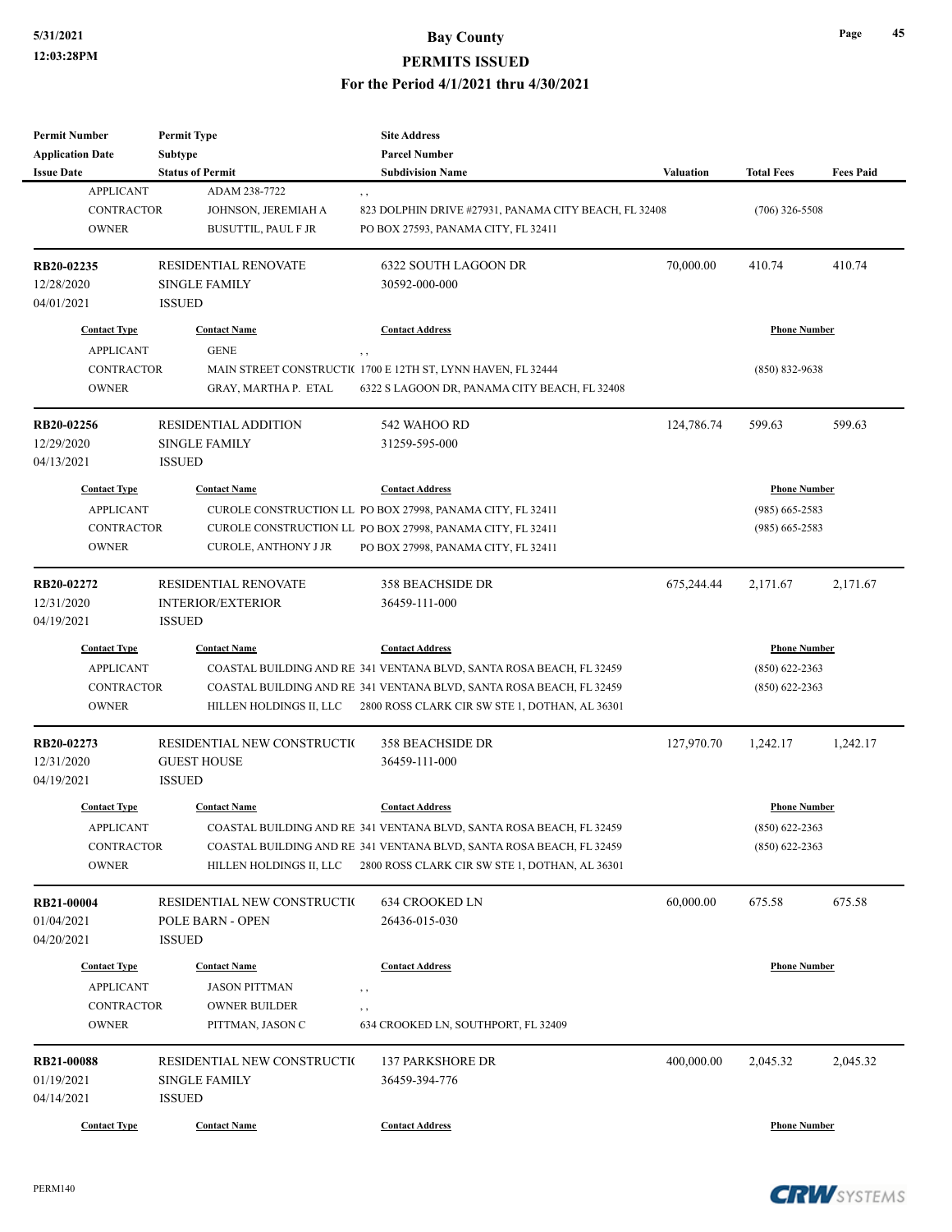# **5/31/2021 Bay County**

#### **PERMITS ISSUED**

**For the Period 4/1/2021 thru 4/30/2021**

| Permit Number                         | <b>Permit Type</b>                       | <b>Site Address</b>                                                  |                  |                     |                  |
|---------------------------------------|------------------------------------------|----------------------------------------------------------------------|------------------|---------------------|------------------|
| <b>Application Date</b>               | Subtype                                  | <b>Parcel Number</b>                                                 |                  |                     |                  |
| <b>Issue Date</b><br><b>APPLICANT</b> | <b>Status of Permit</b><br>ADAM 238-7722 | <b>Subdivision Name</b>                                              | <b>Valuation</b> | <b>Total Fees</b>   | <b>Fees Paid</b> |
| <b>CONTRACTOR</b>                     | JOHNSON, JEREMIAH A                      | , ,<br>823 DOLPHIN DRIVE #27931, PANAMA CITY BEACH, FL 32408         |                  | $(706)$ 326-5508    |                  |
| <b>OWNER</b>                          | <b>BUSUTTIL, PAUL F JR</b>               | PO BOX 27593, PANAMA CITY, FL 32411                                  |                  |                     |                  |
|                                       |                                          |                                                                      |                  |                     |                  |
| RB20-02235                            | <b>RESIDENTIAL RENOVATE</b>              | 6322 SOUTH LAGOON DR                                                 | 70,000.00        | 410.74              | 410.74           |
| 12/28/2020                            | <b>SINGLE FAMILY</b>                     | 30592-000-000                                                        |                  |                     |                  |
| 04/01/2021                            | <b>ISSUED</b>                            |                                                                      |                  |                     |                  |
| <b>Contact Type</b>                   | <b>Contact Name</b>                      | <b>Contact Address</b>                                               |                  | <b>Phone Number</b> |                  |
| <b>APPLICANT</b>                      | <b>GENE</b>                              |                                                                      |                  |                     |                  |
| <b>CONTRACTOR</b>                     |                                          | MAIN STREET CONSTRUCTI(1700 E 12TH ST, LYNN HAVEN, FL 32444          |                  | $(850) 832 - 9638$  |                  |
| <b>OWNER</b>                          | GRAY, MARTHA P. ETAL                     | 6322 S LAGOON DR, PANAMA CITY BEACH, FL 32408                        |                  |                     |                  |
| RB20-02256                            | <b>RESIDENTIAL ADDITION</b>              | 542 WAHOO RD                                                         | 124,786.74       | 599.63              | 599.63           |
| 12/29/2020                            | <b>SINGLE FAMILY</b>                     | 31259-595-000                                                        |                  |                     |                  |
| 04/13/2021                            | <b>ISSUED</b>                            |                                                                      |                  |                     |                  |
| <b>Contact Type</b>                   | <b>Contact Name</b>                      | <b>Contact Address</b>                                               |                  | <b>Phone Number</b> |                  |
| <b>APPLICANT</b>                      |                                          | CUROLE CONSTRUCTION LL PO BOX 27998, PANAMA CITY, FL 32411           |                  | $(985)$ 665-2583    |                  |
| <b>CONTRACTOR</b>                     |                                          | CUROLE CONSTRUCTION LL PO BOX 27998, PANAMA CITY, FL 32411           |                  | $(985)$ 665-2583    |                  |
| <b>OWNER</b>                          | <b>CUROLE, ANTHONY J JR</b>              | PO BOX 27998, PANAMA CITY, FL 32411                                  |                  |                     |                  |
|                                       |                                          |                                                                      |                  |                     |                  |
| RB20-02272                            | <b>RESIDENTIAL RENOVATE</b>              | <b>358 BEACHSIDE DR</b>                                              | 675,244.44       | 2,171.67            | 2,171.67         |
| 12/31/2020                            | <b>INTERIOR/EXTERIOR</b>                 | 36459-111-000                                                        |                  |                     |                  |
| 04/19/2021                            | <b>ISSUED</b>                            |                                                                      |                  |                     |                  |
| <b>Contact Type</b>                   | <b>Contact Name</b>                      | <b>Contact Address</b>                                               |                  | <b>Phone Number</b> |                  |
| <b>APPLICANT</b>                      |                                          | COASTAL BUILDING AND RE 341 VENTANA BLVD, SANTA ROSA BEACH, FL 32459 |                  | $(850)$ 622-2363    |                  |
| <b>CONTRACTOR</b>                     |                                          | COASTAL BUILDING AND RE 341 VENTANA BLVD, SANTA ROSA BEACH, FL 32459 |                  | $(850)$ 622-2363    |                  |
| <b>OWNER</b>                          | HILLEN HOLDINGS II, LLC                  | 2800 ROSS CLARK CIR SW STE 1, DOTHAN, AL 36301                       |                  |                     |                  |
| RB20-02273                            | RESIDENTIAL NEW CONSTRUCTIO              | <b>358 BEACHSIDE DR</b>                                              | 127,970.70       | 1,242.17            | 1,242.17         |
| 12/31/2020                            | <b>GUEST HOUSE</b>                       | 36459-111-000                                                        |                  |                     |                  |
| 04/19/2021                            | <b>ISSUED</b>                            |                                                                      |                  |                     |                  |
| <b>Contact Type</b>                   | <b>Contact Name</b>                      | <b>Contact Address</b>                                               |                  | <b>Phone Number</b> |                  |
| APPLICANT                             |                                          | COASTAL BUILDING AND RE 341 VENTANA BLVD, SANTA ROSA BEACH, FL 32459 |                  | $(850) 622 - 2363$  |                  |
| <b>CONTRACTOR</b>                     |                                          | COASTAL BUILDING AND RE 341 VENTANA BLVD, SANTA ROSA BEACH, FL 32459 |                  | $(850)$ 622-2363    |                  |
| <b>OWNER</b>                          | HILLEN HOLDINGS II, LLC                  | 2800 ROSS CLARK CIR SW STE 1, DOTHAN, AL 36301                       |                  |                     |                  |
| RB21-00004                            | RESIDENTIAL NEW CONSTRUCTIO              | 634 CROOKED LN                                                       | 60,000.00        | 675.58              | 675.58           |
| 01/04/2021                            | POLE BARN - OPEN                         | 26436-015-030                                                        |                  |                     |                  |
| 04/20/2021                            | <b>ISSUED</b>                            |                                                                      |                  |                     |                  |
| <b>Contact Type</b>                   | <b>Contact Name</b>                      | <b>Contact Address</b>                                               |                  | <b>Phone Number</b> |                  |
| <b>APPLICANT</b>                      | <b>JASON PITTMAN</b>                     |                                                                      |                  |                     |                  |
| <b>CONTRACTOR</b>                     | <b>OWNER BUILDER</b>                     | , ,                                                                  |                  |                     |                  |
| <b>OWNER</b>                          | PITTMAN, JASON C                         | , ,<br>634 CROOKED LN, SOUTHPORT, FL 32409                           |                  |                     |                  |
|                                       |                                          |                                                                      |                  |                     |                  |
| <b>RB21-00088</b>                     | RESIDENTIAL NEW CONSTRUCTIO              | <b>137 PARKSHORE DR</b>                                              | 400,000.00       | 2,045.32            | 2,045.32         |
| 01/19/2021                            | <b>SINGLE FAMILY</b>                     | 36459-394-776                                                        |                  |                     |                  |
| 04/14/2021                            | <b>ISSUED</b>                            |                                                                      |                  |                     |                  |
| <b>Contact Type</b>                   | <b>Contact Name</b>                      | <b>Contact Address</b>                                               |                  | <b>Phone Number</b> |                  |



**Page 45**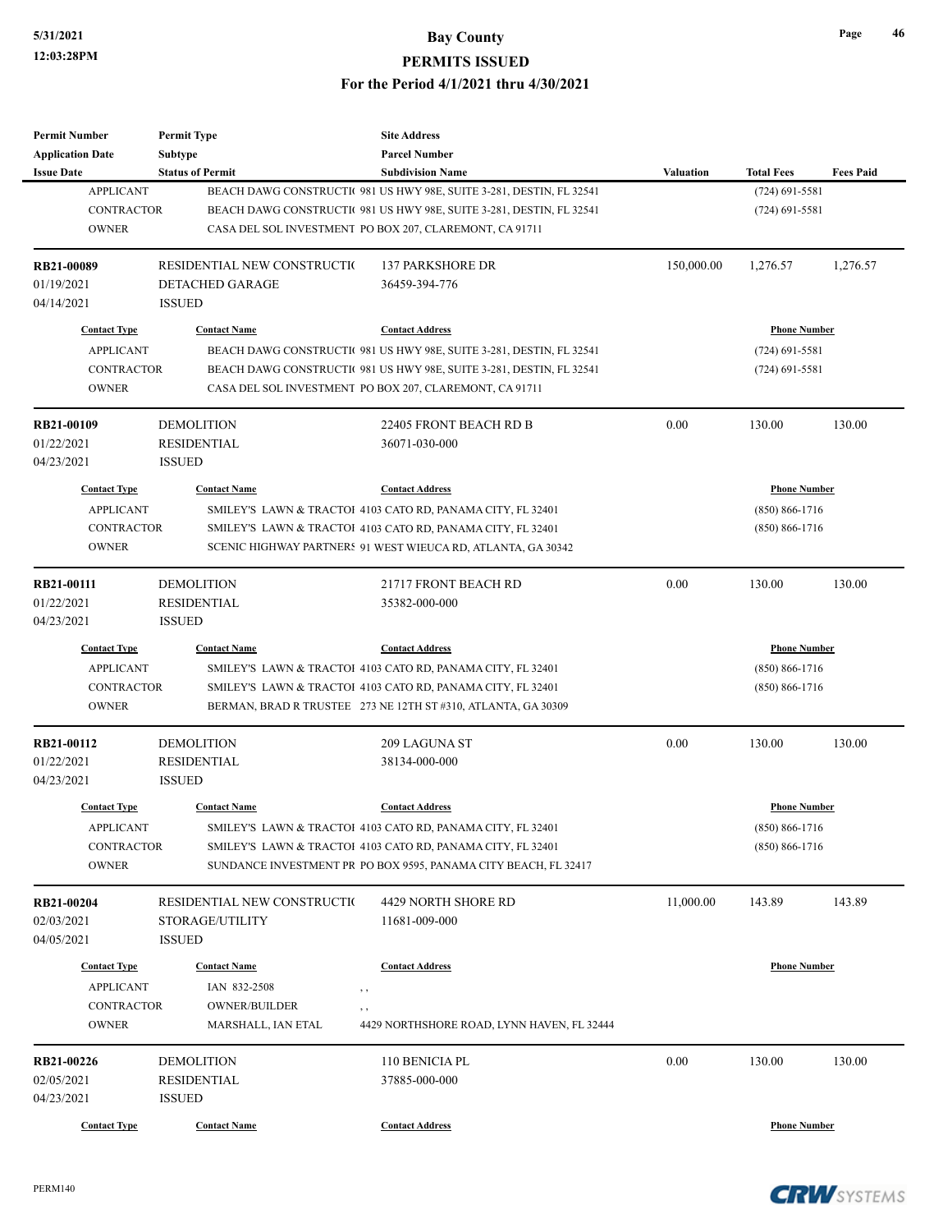| <b>Permit Number</b>                  | <b>Permit Type</b>           | <b>Site Address</b>                                                                             |            |                                       |                  |
|---------------------------------------|------------------------------|-------------------------------------------------------------------------------------------------|------------|---------------------------------------|------------------|
| <b>Application Date</b>               | <b>Subtype</b>               | <b>Parcel Number</b>                                                                            |            |                                       |                  |
| <b>Issue Date</b><br><b>APPLICANT</b> | <b>Status of Permit</b>      | <b>Subdivision Name</b><br>BEACH DAWG CONSTRUCTI( 981 US HWY 98E, SUITE 3-281, DESTIN, FL 32541 | Valuation  | <b>Total Fees</b><br>$(724)$ 691-5581 | <b>Fees Paid</b> |
| <b>CONTRACTOR</b>                     |                              | BEACH DAWG CONSTRUCTI(981 US HWY 98E, SUITE 3-281, DESTIN, FL 32541                             |            | $(724)$ 691-5581                      |                  |
| <b>OWNER</b>                          |                              | CASA DEL SOL INVESTMENT PO BOX 207, CLAREMONT, CA 91711                                         |            |                                       |                  |
|                                       |                              |                                                                                                 |            |                                       |                  |
| RB21-00089                            | RESIDENTIAL NEW CONSTRUCTIO  | <b>137 PARKSHORE DR</b>                                                                         | 150,000.00 | 1,276.57                              | 1,276.57         |
| 01/19/2021                            | <b>DETACHED GARAGE</b>       | 36459-394-776                                                                                   |            |                                       |                  |
| 04/14/2021                            | <b>ISSUED</b>                |                                                                                                 |            |                                       |                  |
| <b>Contact Type</b>                   | <b>Contact Name</b>          | <b>Contact Address</b>                                                                          |            | <b>Phone Number</b>                   |                  |
| <b>APPLICANT</b>                      |                              | BEACH DAWG CONSTRUCTI(981 US HWY 98E, SUITE 3-281, DESTIN, FL 32541                             |            | $(724)$ 691-5581                      |                  |
| CONTRACTOR                            |                              | BEACH DAWG CONSTRUCTI(981 US HWY 98E, SUITE 3-281, DESTIN, FL 32541                             |            | $(724)$ 691-5581                      |                  |
| <b>OWNER</b>                          |                              | CASA DEL SOL INVESTMENT PO BOX 207, CLAREMONT, CA 91711                                         |            |                                       |                  |
| RB21-00109                            | <b>DEMOLITION</b>            | 22405 FRONT BEACH RD B                                                                          | 0.00       | 130.00                                | 130.00           |
| 01/22/2021                            | <b>RESIDENTIAL</b>           | 36071-030-000                                                                                   |            |                                       |                  |
| 04/23/2021                            | <b>ISSUED</b>                |                                                                                                 |            |                                       |                  |
| <b>Contact Type</b>                   | <b>Contact Name</b>          | <b>Contact Address</b>                                                                          |            | <b>Phone Number</b>                   |                  |
| <b>APPLICANT</b>                      |                              | SMILEY'S LAWN & TRACTOI 4103 CATO RD, PANAMA CITY, FL 32401                                     |            | $(850) 866 - 1716$                    |                  |
| <b>CONTRACTOR</b>                     |                              | SMILEY'S LAWN & TRACTOI 4103 CATO RD, PANAMA CITY, FL 32401                                     |            | $(850) 866 - 1716$                    |                  |
| <b>OWNER</b>                          |                              | SCENIC HIGHWAY PARTNERS 91 WEST WIEUCA RD, ATLANTA, GA 30342                                    |            |                                       |                  |
|                                       |                              |                                                                                                 |            |                                       |                  |
| RB21-00111                            | <b>DEMOLITION</b>            | 21717 FRONT BEACH RD                                                                            | 0.00       | 130.00                                | 130.00           |
| 01/22/2021                            | <b>RESIDENTIAL</b>           | 35382-000-000                                                                                   |            |                                       |                  |
| 04/23/2021                            | <b>ISSUED</b>                |                                                                                                 |            |                                       |                  |
| <b>Contact Type</b>                   | <b>Contact Name</b>          | <b>Contact Address</b>                                                                          |            | <b>Phone Number</b>                   |                  |
| <b>APPLICANT</b>                      |                              | SMILEY'S LAWN & TRACTOI 4103 CATO RD, PANAMA CITY, FL 32401                                     |            | $(850) 866 - 1716$                    |                  |
| <b>CONTRACTOR</b>                     |                              | SMILEY'S LAWN & TRACTOI 4103 CATO RD, PANAMA CITY, FL 32401                                     |            | $(850) 866 - 1716$                    |                  |
| <b>OWNER</b>                          |                              | BERMAN, BRAD R TRUSTEE 273 NE 12TH ST #310, ATLANTA, GA 30309                                   |            |                                       |                  |
| RB21-00112                            | <b>DEMOLITION</b>            | 209 LAGUNA ST                                                                                   | 0.00       | 130.00                                | 130.00           |
| 01/22/2021                            | <b>RESIDENTIAL</b>           | 38134-000-000                                                                                   |            |                                       |                  |
| 04/23/2021                            | <b>ISSUED</b>                |                                                                                                 |            |                                       |                  |
| <b>Contact Type</b>                   | <b>Contact Name</b>          | <b>Contact Address</b>                                                                          |            | <b>Phone Number</b>                   |                  |
| APPLICANT                             |                              | SMILEY'S LAWN & TRACTOI 4103 CATO RD, PANAMA CITY, FL 32401                                     |            | $(850) 866 - 1716$                    |                  |
| CONTRACTOR                            |                              | SMILEY'S LAWN & TRACTOI 4103 CATO RD, PANAMA CITY, FL 32401                                     |            | $(850) 866 - 1716$                    |                  |
| <b>OWNER</b>                          |                              | SUNDANCE INVESTMENT PR PO BOX 9595, PANAMA CITY BEACH, FL 32417                                 |            |                                       |                  |
| RB21-00204                            | RESIDENTIAL NEW CONSTRUCTIO  | 4429 NORTH SHORE RD                                                                             | 11,000.00  | 143.89                                | 143.89           |
| 02/03/2021                            | STORAGE/UTILITY              | 11681-009-000                                                                                   |            |                                       |                  |
| 04/05/2021                            | <b>ISSUED</b>                |                                                                                                 |            |                                       |                  |
| <b>Contact Type</b>                   | <b>Contact Name</b>          | <b>Contact Address</b>                                                                          |            | <b>Phone Number</b>                   |                  |
| <b>APPLICANT</b>                      | IAN 832-2508                 |                                                                                                 |            |                                       |                  |
| <b>CONTRACTOR</b>                     | <b>OWNER/BUILDER</b>         | , ,                                                                                             |            |                                       |                  |
| <b>OWNER</b>                          | MARSHALL, IAN ETAL           | , ,<br>4429 NORTHSHORE ROAD, LYNN HAVEN, FL 32444                                               |            |                                       |                  |
|                                       |                              |                                                                                                 |            |                                       |                  |
| RB21-00226                            | <b>DEMOLITION</b>            | 110 BENICIA PL                                                                                  | 0.00       | 130.00                                | 130.00           |
| 02/05/2021<br>04/23/2021              | RESIDENTIAL<br><b>ISSUED</b> | 37885-000-000                                                                                   |            |                                       |                  |
|                                       |                              |                                                                                                 |            |                                       |                  |
| <b>Contact Type</b>                   | <b>Contact Name</b>          | <b>Contact Address</b>                                                                          |            | <b>Phone Number</b>                   |                  |

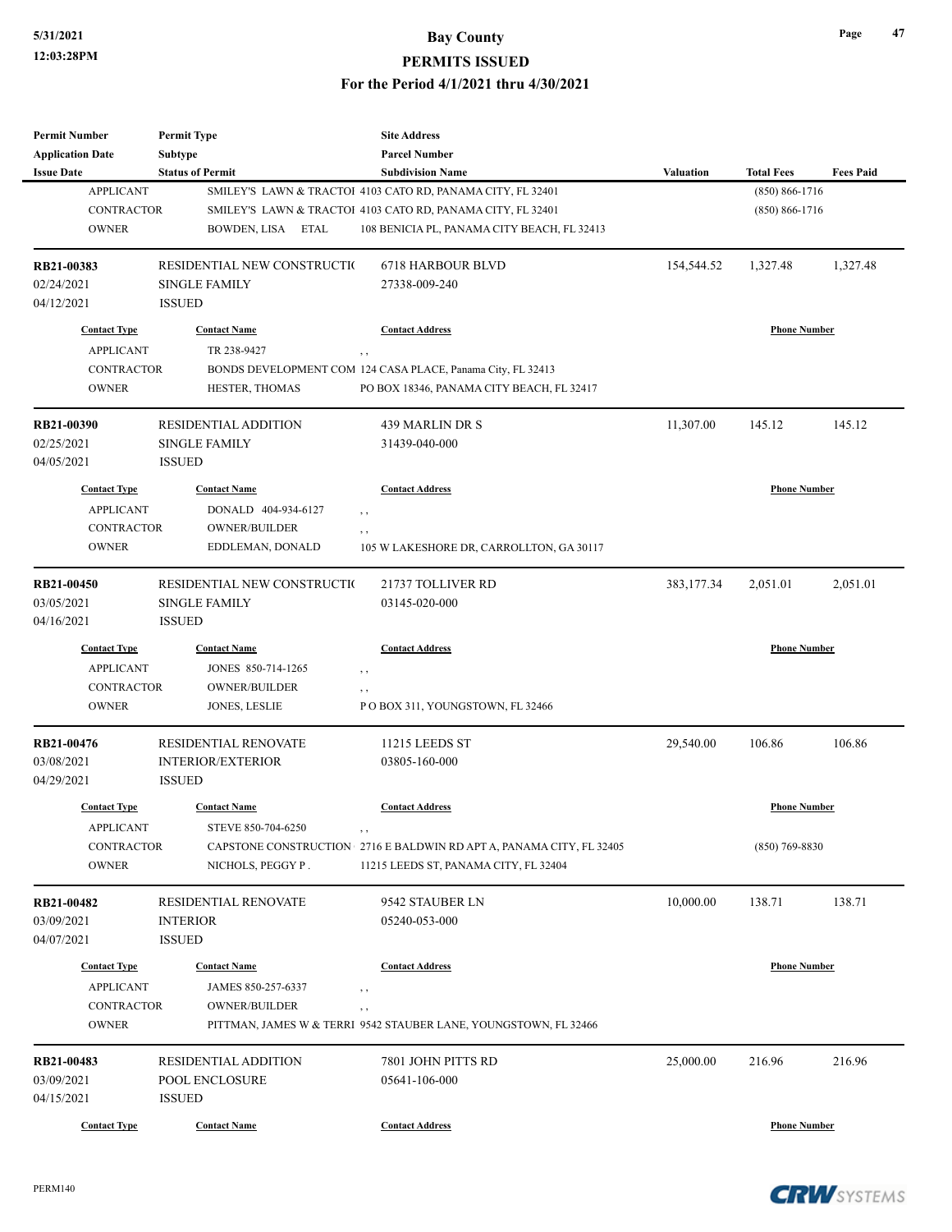## **5/31/2021 Bay County**

#### **PERMITS ISSUED**

#### **For the Period 4/1/2021 thru 4/30/2021**

| <b>Permit Number</b>    | <b>Permit Type</b>          | <b>Site Address</b>                                                     |                  |                     |                  |
|-------------------------|-----------------------------|-------------------------------------------------------------------------|------------------|---------------------|------------------|
| <b>Application Date</b> | Subtype                     | <b>Parcel Number</b>                                                    |                  |                     |                  |
| <b>Issue Date</b>       | <b>Status of Permit</b>     | <b>Subdivision Name</b>                                                 | <b>Valuation</b> | <b>Total Fees</b>   | <b>Fees Paid</b> |
| <b>APPLICANT</b>        |                             | SMILEY'S LAWN & TRACTOI 4103 CATO RD, PANAMA CITY, FL 32401             |                  | $(850) 866 - 1716$  |                  |
| <b>CONTRACTOR</b>       |                             | SMILEY'S LAWN & TRACTOI 4103 CATO RD, PANAMA CITY, FL 32401             |                  | $(850) 866 - 1716$  |                  |
| <b>OWNER</b>            | BOWDEN, LISA ETAL           | 108 BENICIA PL, PANAMA CITY BEACH, FL 32413                             |                  |                     |                  |
| RB21-00383              | RESIDENTIAL NEW CONSTRUCTIO | <b>6718 HARBOUR BLVD</b>                                                | 154,544.52       | 1,327.48            | 1,327.48         |
| 02/24/2021              | <b>SINGLE FAMILY</b>        | 27338-009-240                                                           |                  |                     |                  |
| 04/12/2021              | <b>ISSUED</b>               |                                                                         |                  |                     |                  |
| <b>Contact Type</b>     | <b>Contact Name</b>         | <b>Contact Address</b>                                                  |                  | <b>Phone Number</b> |                  |
| <b>APPLICANT</b>        | TR 238-9427                 | , ,                                                                     |                  |                     |                  |
| CONTRACTOR              |                             | BONDS DEVELOPMENT COM 124 CASA PLACE, Panama City, FL 32413             |                  |                     |                  |
| <b>OWNER</b>            | HESTER, THOMAS              | PO BOX 18346, PANAMA CITY BEACH, FL 32417                               |                  |                     |                  |
| RB21-00390              | <b>RESIDENTIAL ADDITION</b> | 439 MARLIN DR S                                                         | 11,307.00        | 145.12              | 145.12           |
| 02/25/2021              | <b>SINGLE FAMILY</b>        | 31439-040-000                                                           |                  |                     |                  |
| 04/05/2021              | <b>ISSUED</b>               |                                                                         |                  |                     |                  |
| <b>Contact Type</b>     | <b>Contact Name</b>         | <b>Contact Address</b>                                                  |                  | <b>Phone Number</b> |                  |
| <b>APPLICANT</b>        | DONALD 404-934-6127         | $, \, ,$                                                                |                  |                     |                  |
| <b>CONTRACTOR</b>       | <b>OWNER/BUILDER</b>        | , ,                                                                     |                  |                     |                  |
| <b>OWNER</b>            | EDDLEMAN, DONALD            | 105 W LAKESHORE DR, CARROLLTON, GA 30117                                |                  |                     |                  |
| RB21-00450              | RESIDENTIAL NEW CONSTRUCTIO | 21737 TOLLIVER RD                                                       | 383, 177.34      | 2,051.01            | 2,051.01         |
| 03/05/2021              | <b>SINGLE FAMILY</b>        | 03145-020-000                                                           |                  |                     |                  |
| 04/16/2021              | <b>ISSUED</b>               |                                                                         |                  |                     |                  |
| <b>Contact Type</b>     | <b>Contact Name</b>         | <b>Contact Address</b>                                                  |                  | <b>Phone Number</b> |                  |
| <b>APPLICANT</b>        | JONES 850-714-1265          | $, \, ,$                                                                |                  |                     |                  |
| <b>CONTRACTOR</b>       | OWNER/BUILDER               | $, \, ,$                                                                |                  |                     |                  |
| <b>OWNER</b>            | JONES, LESLIE               | POBOX 311, YOUNGSTOWN, FL 32466                                         |                  |                     |                  |
| RB21-00476              | RESIDENTIAL RENOVATE        | <b>11215 LEEDS ST</b>                                                   | 29,540.00        | 106.86              | 106.86           |
| 03/08/2021              | INTERIOR/EXTERIOR           | 03805-160-000                                                           |                  |                     |                  |
| 04/29/2021              | <b>ISSUED</b>               |                                                                         |                  |                     |                  |
| <b>Contact Type</b>     | <b>Contact Name</b>         | <b>Contact Address</b>                                                  |                  | <b>Phone Number</b> |                  |
| <b>APPLICANT</b>        | STEVE 850-704-6250          | , ,                                                                     |                  |                     |                  |
| CONTRACTOR              |                             | CAPSTONE CONSTRUCTION 2716 E BALDWIN RD APT A, PANAMA CITY, FL 32405    |                  | $(850)$ 769-8830    |                  |
| <b>OWNER</b>            | NICHOLS, PEGGY P.           | 11215 LEEDS ST, PANAMA CITY, FL 32404                                   |                  |                     |                  |
| RB21-00482              | RESIDENTIAL RENOVATE        | 9542 STAUBER LN                                                         | 10,000.00        | 138.71              | 138.71           |
| 03/09/2021              | <b>INTERIOR</b>             | 05240-053-000                                                           |                  |                     |                  |
| 04/07/2021              | <b>ISSUED</b>               |                                                                         |                  |                     |                  |
| <b>Contact Type</b>     | <b>Contact Name</b>         | <b>Contact Address</b>                                                  |                  | <b>Phone Number</b> |                  |
| <b>APPLICANT</b>        | JAMES 850-257-6337          |                                                                         |                  |                     |                  |
| CONTRACTOR              | <b>OWNER/BUILDER</b>        | $, \, ,$                                                                |                  |                     |                  |
| <b>OWNER</b>            |                             | , ,<br>PITTMAN, JAMES W & TERRI 9542 STAUBER LANE, YOUNGSTOWN, FL 32466 |                  |                     |                  |
| RB21-00483              | <b>RESIDENTIAL ADDITION</b> | 7801 JOHN PITTS RD                                                      | 25,000.00        | 216.96              | 216.96           |
| 03/09/2021              | POOL ENCLOSURE              | 05641-106-000                                                           |                  |                     |                  |
| 04/15/2021              | <b>ISSUED</b>               |                                                                         |                  |                     |                  |
| <b>Contact Type</b>     | <b>Contact Name</b>         | <b>Contact Address</b>                                                  |                  | <b>Phone Number</b> |                  |
|                         |                             |                                                                         |                  |                     |                  |

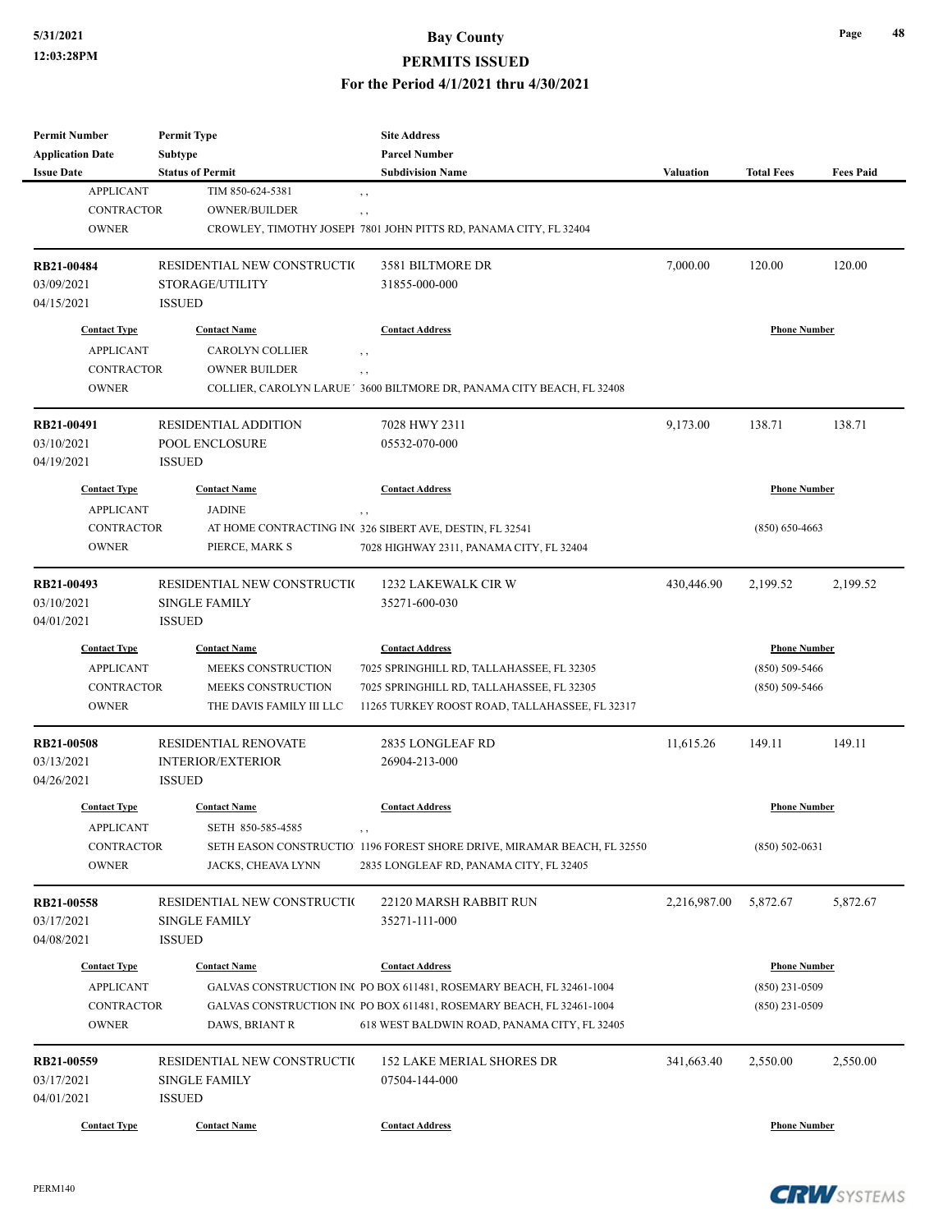#### **5/31/2021 Bay County**

#### **PERMITS ISSUED**

**For the Period 4/1/2021 thru 4/30/2021**

| <b>Permit Number</b>                  | <b>Permit Type</b>                          | <b>Site Address</b>                                                     |              |                     |                  |
|---------------------------------------|---------------------------------------------|-------------------------------------------------------------------------|--------------|---------------------|------------------|
| <b>Application Date</b>               | <b>Subtype</b>                              | <b>Parcel Number</b>                                                    |              |                     |                  |
| <b>Issue Date</b>                     | <b>Status of Permit</b><br>TIM 850-624-5381 | <b>Subdivision Name</b>                                                 | Valuation    | <b>Total Fees</b>   | <b>Fees Paid</b> |
| <b>APPLICANT</b><br><b>CONTRACTOR</b> |                                             | , ,                                                                     |              |                     |                  |
|                                       | <b>OWNER/BUILDER</b>                        | , ,                                                                     |              |                     |                  |
| <b>OWNER</b>                          |                                             | CROWLEY, TIMOTHY JOSEPI 7801 JOHN PITTS RD, PANAMA CITY, FL 32404       |              |                     |                  |
| RB21-00484                            | RESIDENTIAL NEW CONSTRUCTIO                 | 3581 BILTMORE DR                                                        | 7,000.00     | 120.00              | 120.00           |
| 03/09/2021                            | STORAGE/UTILITY                             | 31855-000-000                                                           |              |                     |                  |
| 04/15/2021                            | <b>ISSUED</b>                               |                                                                         |              |                     |                  |
| <b>Contact Type</b>                   | <b>Contact Name</b>                         | <b>Contact Address</b>                                                  |              | <b>Phone Number</b> |                  |
| <b>APPLICANT</b>                      | <b>CAROLYN COLLIER</b>                      | , ,                                                                     |              |                     |                  |
| <b>CONTRACTOR</b>                     | <b>OWNER BUILDER</b>                        | , ,                                                                     |              |                     |                  |
| <b>OWNER</b>                          |                                             | COLLIER, CAROLYN LARUE ' 3600 BILTMORE DR, PANAMA CITY BEACH, FL 32408  |              |                     |                  |
| RB21-00491                            | <b>RESIDENTIAL ADDITION</b>                 | 7028 HWY 2311                                                           | 9,173.00     | 138.71              | 138.71           |
| 03/10/2021                            | POOL ENCLOSURE                              | 05532-070-000                                                           |              |                     |                  |
| 04/19/2021                            | <b>ISSUED</b>                               |                                                                         |              |                     |                  |
| <b>Contact Type</b>                   | <b>Contact Name</b>                         | <b>Contact Address</b>                                                  |              | <b>Phone Number</b> |                  |
| <b>APPLICANT</b>                      | <b>JADINE</b>                               | , ,                                                                     |              |                     |                  |
| <b>CONTRACTOR</b>                     |                                             | AT HOME CONTRACTING INC 326 SIBERT AVE, DESTIN, FL 32541                |              | $(850) 650 - 4663$  |                  |
| <b>OWNER</b>                          | PIERCE, MARK S                              | 7028 HIGHWAY 2311, PANAMA CITY, FL 32404                                |              |                     |                  |
|                                       |                                             |                                                                         |              |                     |                  |
| RB21-00493                            | RESIDENTIAL NEW CONSTRUCTIO                 | 1232 LAKEWALK CIR W                                                     | 430,446.90   | 2,199.52            | 2,199.52         |
| 03/10/2021                            | <b>SINGLE FAMILY</b>                        | 35271-600-030                                                           |              |                     |                  |
| 04/01/2021                            | <b>ISSUED</b>                               |                                                                         |              |                     |                  |
| <b>Contact Type</b>                   | <b>Contact Name</b>                         | <b>Contact Address</b>                                                  |              | <b>Phone Number</b> |                  |
| <b>APPLICANT</b>                      | MEEKS CONSTRUCTION                          | 7025 SPRINGHILL RD, TALLAHASSEE, FL 32305                               |              | $(850) 509 - 5466$  |                  |
| <b>CONTRACTOR</b>                     | MEEKS CONSTRUCTION                          | 7025 SPRINGHILL RD, TALLAHASSEE, FL 32305                               |              | $(850) 509 - 5466$  |                  |
| <b>OWNER</b>                          | THE DAVIS FAMILY III LLC                    | 11265 TURKEY ROOST ROAD, TALLAHASSEE, FL 32317                          |              |                     |                  |
| RB21-00508                            | RESIDENTIAL RENOVATE                        | 2835 LONGLEAF RD                                                        | 11,615.26    | 149.11              | 149.11           |
| 03/13/2021                            | <b>INTERIOR/EXTERIOR</b>                    | 26904-213-000                                                           |              |                     |                  |
| 04/26/2021                            | <b>ISSUED</b>                               |                                                                         |              |                     |                  |
|                                       |                                             |                                                                         |              |                     |                  |
| <b>Contact Type</b>                   | <b>Contact Name</b>                         | <b>Contact Address</b>                                                  |              | <b>Phone Number</b> |                  |
| <b>APPLICANT</b>                      | SETH 850-585-4585                           | , ,                                                                     |              |                     |                  |
| CONTRACTOR                            |                                             | SETH EASON CONSTRUCTIO 1196 FOREST SHORE DRIVE, MIRAMAR BEACH, FL 32550 |              | $(850) 502 - 0631$  |                  |
| <b>OWNER</b>                          | JACKS, CHEAVA LYNN                          | 2835 LONGLEAF RD, PANAMA CITY, FL 32405                                 |              |                     |                  |
| RB21-00558                            | RESIDENTIAL NEW CONSTRUCTIO                 | 22120 MARSH RABBIT RUN                                                  | 2,216,987.00 | 5,872.67            | 5,872.67         |
| 03/17/2021                            | <b>SINGLE FAMILY</b>                        | 35271-111-000                                                           |              |                     |                  |
| 04/08/2021                            | <b>ISSUED</b>                               |                                                                         |              |                     |                  |
| <b>Contact Type</b>                   | <b>Contact Name</b>                         | <b>Contact Address</b>                                                  |              | <b>Phone Number</b> |                  |
| <b>APPLICANT</b>                      |                                             | GALVAS CONSTRUCTION INC PO BOX 611481, ROSEMARY BEACH, FL 32461-1004    |              | $(850)$ 231-0509    |                  |
| <b>CONTRACTOR</b>                     |                                             | GALVAS CONSTRUCTION INC PO BOX 611481, ROSEMARY BEACH, FL 32461-1004    |              |                     |                  |
| <b>OWNER</b>                          | DAWS, BRIANT R                              | 618 WEST BALDWIN ROAD, PANAMA CITY, FL 32405                            |              | $(850)$ 231-0509    |                  |
|                                       |                                             |                                                                         |              |                     |                  |
| RB21-00559                            | RESIDENTIAL NEW CONSTRUCTIO                 | <b>152 LAKE MERIAL SHORES DR</b>                                        | 341,663.40   | 2,550.00            | 2,550.00         |
| 03/17/2021                            | SINGLE FAMILY                               | 07504-144-000                                                           |              |                     |                  |
| 04/01/2021                            | <b>ISSUED</b>                               |                                                                         |              |                     |                  |
| <b>Contact Type</b>                   | <b>Contact Name</b>                         | <b>Contact Address</b>                                                  |              | <b>Phone Number</b> |                  |

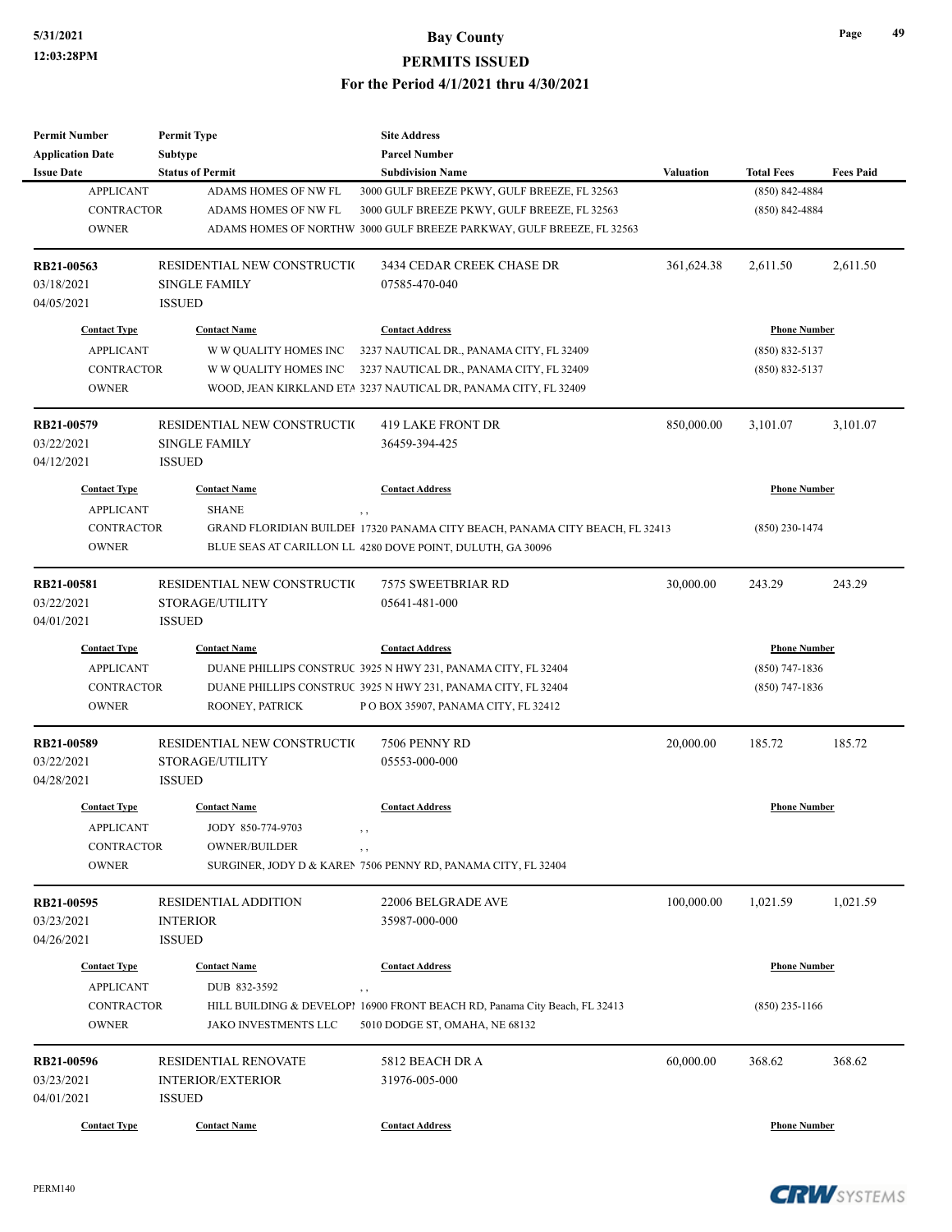| <b>Permit Number</b>    | <b>Permit Type</b>          | <b>Site Address</b>                                                          |                  |                     |                  |
|-------------------------|-----------------------------|------------------------------------------------------------------------------|------------------|---------------------|------------------|
| <b>Application Date</b> | Subtype                     | <b>Parcel Number</b>                                                         |                  |                     |                  |
| <b>Issue Date</b>       | <b>Status of Permit</b>     | <b>Subdivision Name</b>                                                      | <b>Valuation</b> | <b>Total Fees</b>   | <b>Fees Paid</b> |
| <b>APPLICANT</b>        | ADAMS HOMES OF NW FL        | 3000 GULF BREEZE PKWY, GULF BREEZE, FL 32563                                 |                  | $(850)$ 842-4884    |                  |
| <b>CONTRACTOR</b>       | ADAMS HOMES OF NW FL        | 3000 GULF BREEZE PKWY, GULF BREEZE, FL 32563                                 |                  | $(850) 842 - 4884$  |                  |
| <b>OWNER</b>            |                             | ADAMS HOMES OF NORTHW 3000 GULF BREEZE PARKWAY, GULF BREEZE, FL 32563        |                  |                     |                  |
|                         |                             |                                                                              |                  |                     |                  |
| RB21-00563              | RESIDENTIAL NEW CONSTRUCTIO | 3434 CEDAR CREEK CHASE DR                                                    | 361,624.38       | 2,611.50            | 2,611.50         |
| 03/18/2021              | <b>SINGLE FAMILY</b>        | 07585-470-040                                                                |                  |                     |                  |
| 04/05/2021              | <b>ISSUED</b>               |                                                                              |                  |                     |                  |
|                         |                             |                                                                              |                  |                     |                  |
| <b>Contact Type</b>     | <b>Contact Name</b>         | <b>Contact Address</b>                                                       |                  | <b>Phone Number</b> |                  |
| <b>APPLICANT</b>        | W W QUALITY HOMES INC       | 3237 NAUTICAL DR., PANAMA CITY, FL 32409                                     |                  | $(850) 832 - 5137$  |                  |
| <b>CONTRACTOR</b>       | W W QUALITY HOMES INC       | 3237 NAUTICAL DR., PANAMA CITY, FL 32409                                     |                  | $(850) 832 - 5137$  |                  |
| <b>OWNER</b>            |                             | WOOD, JEAN KIRKLAND ETA 3237 NAUTICAL DR, PANAMA CITY, FL 32409              |                  |                     |                  |
| RB21-00579              | RESIDENTIAL NEW CONSTRUCTIO | 419 LAKE FRONT DR                                                            | 850,000.00       | 3,101.07            | 3,101.07         |
|                         |                             |                                                                              |                  |                     |                  |
| 03/22/2021              | <b>SINGLE FAMILY</b>        | 36459-394-425                                                                |                  |                     |                  |
| 04/12/2021              | <b>ISSUED</b>               |                                                                              |                  |                     |                  |
| <b>Contact Type</b>     | <b>Contact Name</b>         | <b>Contact Address</b>                                                       |                  | <b>Phone Number</b> |                  |
| <b>APPLICANT</b>        | <b>SHANE</b>                |                                                                              |                  |                     |                  |
| CONTRACTOR              |                             | GRAND FLORIDIAN BUILDEI 17320 PANAMA CITY BEACH, PANAMA CITY BEACH, FL 32413 |                  | $(850)$ 230-1474    |                  |
| <b>OWNER</b>            |                             | BLUE SEAS AT CARILLON LL 4280 DOVE POINT, DULUTH, GA 30096                   |                  |                     |                  |
|                         |                             |                                                                              |                  |                     |                  |
| RB21-00581              | RESIDENTIAL NEW CONSTRUCTIO | 7575 SWEETBRIAR RD                                                           | 30,000.00        | 243.29              | 243.29           |
| 03/22/2021              | STORAGE/UTILITY             | 05641-481-000                                                                |                  |                     |                  |
| 04/01/2021              | <b>ISSUED</b>               |                                                                              |                  |                     |                  |
| <b>Contact Type</b>     | <b>Contact Name</b>         | <b>Contact Address</b>                                                       |                  | <b>Phone Number</b> |                  |
| <b>APPLICANT</b>        |                             | DUANE PHILLIPS CONSTRUC 3925 N HWY 231, PANAMA CITY, FL 32404                |                  | $(850)$ 747-1836    |                  |
| <b>CONTRACTOR</b>       |                             | DUANE PHILLIPS CONSTRUC 3925 N HWY 231, PANAMA CITY, FL 32404                |                  | $(850)$ 747-1836    |                  |
| <b>OWNER</b>            | ROONEY, PATRICK             | PO BOX 35907, PANAMA CITY, FL 32412                                          |                  |                     |                  |
|                         |                             |                                                                              |                  |                     |                  |
| RB21-00589              | RESIDENTIAL NEW CONSTRUCTIO | 7506 PENNY RD                                                                | 20,000.00        | 185.72              | 185.72           |
| 03/22/2021              | STORAGE/UTILITY             | 05553-000-000                                                                |                  |                     |                  |
| 04/28/2021              | <b>ISSUED</b>               |                                                                              |                  |                     |                  |
| <b>Contact Type</b>     | <b>Contact Name</b>         | <b>Contact Address</b>                                                       |                  | <b>Phone Number</b> |                  |
| <b>APPLICANT</b>        | JODY 850-774-9703           | , ,                                                                          |                  |                     |                  |
| <b>CONTRACTOR</b>       | <b>OWNER/BUILDER</b>        |                                                                              |                  |                     |                  |
| <b>OWNER</b>            |                             | , ,<br>SURGINER, JODY D & KAREN 7506 PENNY RD, PANAMA CITY, FL 32404         |                  |                     |                  |
|                         |                             |                                                                              |                  |                     |                  |
| RB21-00595              | <b>RESIDENTIAL ADDITION</b> | 22006 BELGRADE AVE                                                           | 100,000.00       | 1,021.59            | 1,021.59         |
| 03/23/2021              | <b>INTERIOR</b>             | 35987-000-000                                                                |                  |                     |                  |
| 04/26/2021              | <b>ISSUED</b>               |                                                                              |                  |                     |                  |
| <b>Contact Type</b>     | <b>Contact Name</b>         | <b>Contact Address</b>                                                       |                  | <b>Phone Number</b> |                  |
| <b>APPLICANT</b>        | DUB 832-3592                |                                                                              |                  |                     |                  |
|                         |                             | , ,                                                                          |                  |                     |                  |
| <b>CONTRACTOR</b>       |                             | HILL BUILDING & DEVELOP! 16900 FRONT BEACH RD, Panama City Beach, FL 32413   |                  | $(850)$ 235-1166    |                  |
| <b>OWNER</b>            | JAKO INVESTMENTS LLC        | 5010 DODGE ST, OMAHA, NE 68132                                               |                  |                     |                  |
| RB21-00596              | RESIDENTIAL RENOVATE        | 5812 BEACH DR A                                                              | 60,000.00        | 368.62              | 368.62           |
| 03/23/2021              | <b>INTERIOR/EXTERIOR</b>    | 31976-005-000                                                                |                  |                     |                  |
| 04/01/2021              | <b>ISSUED</b>               |                                                                              |                  |                     |                  |
|                         |                             |                                                                              |                  |                     |                  |
| <b>Contact Type</b>     | <b>Contact Name</b>         | <b>Contact Address</b>                                                       |                  | <b>Phone Number</b> |                  |

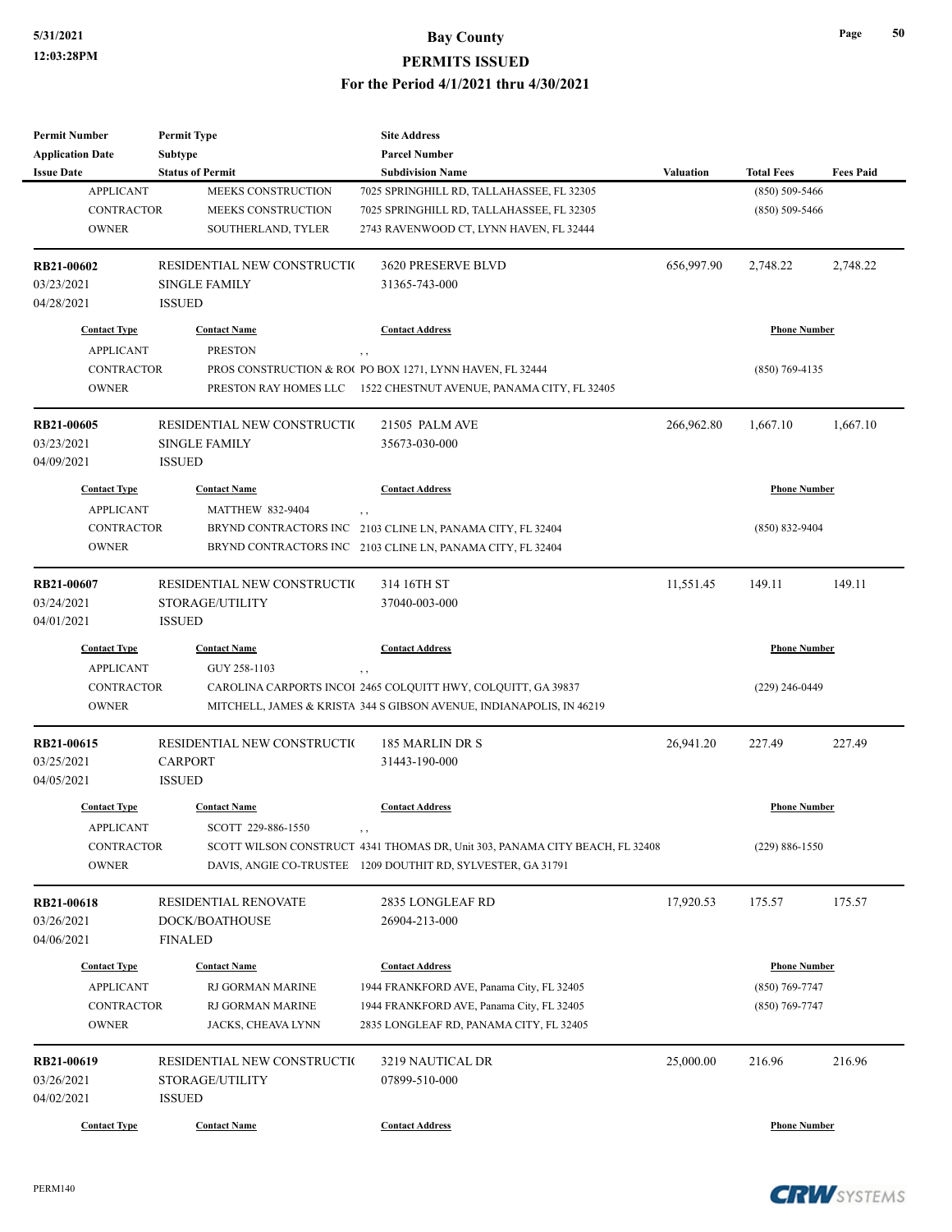| <b>Permit Number</b>                    | <b>Permit Type</b>                      | <b>Site Address</b>                                                          |                  |                     |                  |
|-----------------------------------------|-----------------------------------------|------------------------------------------------------------------------------|------------------|---------------------|------------------|
| <b>Application Date</b>                 | Subtype                                 | <b>Parcel Number</b>                                                         |                  |                     |                  |
| <b>Issue Date</b>                       | <b>Status of Permit</b>                 | <b>Subdivision Name</b>                                                      | <b>Valuation</b> | <b>Total Fees</b>   | <b>Fees Paid</b> |
| <b>APPLICANT</b>                        | MEEKS CONSTRUCTION                      | 7025 SPRINGHILL RD, TALLAHASSEE, FL 32305                                    |                  | $(850) 509 - 5466$  |                  |
| <b>CONTRACTOR</b>                       | MEEKS CONSTRUCTION                      | 7025 SPRINGHILL RD, TALLAHASSEE, FL 32305                                    |                  | $(850) 509 - 5466$  |                  |
| <b>OWNER</b>                            | SOUTHERLAND, TYLER                      | 2743 RAVENWOOD CT, LYNN HAVEN, FL 32444                                      |                  |                     |                  |
| RB21-00602                              | RESIDENTIAL NEW CONSTRUCTIO             | 3620 PRESERVE BLVD                                                           | 656,997.90       | 2,748.22            | 2,748.22         |
| 03/23/2021                              | <b>SINGLE FAMILY</b>                    | 31365-743-000                                                                |                  |                     |                  |
| 04/28/2021                              | <b>ISSUED</b>                           |                                                                              |                  |                     |                  |
| <b>Contact Type</b>                     | <b>Contact Name</b>                     | <b>Contact Address</b>                                                       |                  | <b>Phone Number</b> |                  |
| <b>APPLICANT</b>                        | <b>PRESTON</b>                          | , ,                                                                          |                  |                     |                  |
| <b>CONTRACTOR</b>                       |                                         | PROS CONSTRUCTION & ROC PO BOX 1271, LYNN HAVEN, FL 32444                    |                  | $(850)$ 769-4135    |                  |
| <b>OWNER</b>                            |                                         | PRESTON RAY HOMES LLC 1522 CHESTNUT AVENUE, PANAMA CITY, FL 32405            |                  |                     |                  |
| <b>RB21-00605</b>                       | RESIDENTIAL NEW CONSTRUCTIO             | 21505 PALM AVE                                                               | 266,962.80       | 1,667.10            | 1,667.10         |
| 03/23/2021                              | <b>SINGLE FAMILY</b>                    | 35673-030-000                                                                |                  |                     |                  |
| 04/09/2021                              | <b>ISSUED</b>                           |                                                                              |                  |                     |                  |
| <b>Contact Type</b>                     | <b>Contact Name</b>                     | <b>Contact Address</b>                                                       |                  | <b>Phone Number</b> |                  |
| <b>APPLICANT</b>                        | <b>MATTHEW 832-9404</b>                 |                                                                              |                  |                     |                  |
| CONTRACTOR                              |                                         | BRYND CONTRACTORS INC 2103 CLINE LN, PANAMA CITY, FL 32404                   |                  | $(850) 832 - 9404$  |                  |
| <b>OWNER</b>                            |                                         | BRYND CONTRACTORS INC 2103 CLINE LN, PANAMA CITY, FL 32404                   |                  |                     |                  |
|                                         |                                         |                                                                              |                  |                     |                  |
| RB21-00607                              | RESIDENTIAL NEW CONSTRUCTIO             | 314 16TH ST                                                                  | 11,551.45        | 149.11              | 149.11           |
| 03/24/2021                              | STORAGE/UTILITY                         | 37040-003-000                                                                |                  |                     |                  |
| 04/01/2021                              | <b>ISSUED</b>                           |                                                                              |                  |                     |                  |
| <b>Contact Type</b>                     | <b>Contact Name</b>                     | <b>Contact Address</b>                                                       |                  | <b>Phone Number</b> |                  |
| <b>APPLICANT</b>                        | GUY 258-1103                            | , ,                                                                          |                  |                     |                  |
| <b>CONTRACTOR</b>                       |                                         | CAROLINA CARPORTS INCOI 2465 COLQUITT HWY, COLQUITT, GA 39837                |                  | $(229)$ 246-0449    |                  |
| <b>OWNER</b>                            |                                         | MITCHELL, JAMES & KRISTA 344 S GIBSON AVENUE, INDIANAPOLIS, IN 46219         |                  |                     |                  |
| RB21-00615                              | RESIDENTIAL NEW CONSTRUCTIO             | 185 MARLIN DR S                                                              | 26,941.20        | 227.49              | 227.49           |
| 03/25/2021                              | <b>CARPORT</b>                          | 31443-190-000                                                                |                  |                     |                  |
| 04/05/2021                              | <b>ISSUED</b>                           |                                                                              |                  |                     |                  |
| <b>Contact Type</b>                     | <b>Contact Name</b>                     | <b>Contact Address</b>                                                       |                  | <b>Phone Number</b> |                  |
| <b>APPLICANT</b>                        | SCOTT 229-886-1550                      | $, \, , \,$                                                                  |                  |                     |                  |
| CONTRACTOR                              |                                         | SCOTT WILSON CONSTRUCT 4341 THOMAS DR, Unit 303, PANAMA CITY BEACH, FL 32408 |                  | $(229) 886 - 1550$  |                  |
| <b>OWNER</b>                            |                                         | DAVIS, ANGIE CO-TRUSTEE 1209 DOUTHIT RD, SYLVESTER, GA 31791                 |                  |                     |                  |
| RB21-00618                              | RESIDENTIAL RENOVATE                    | 2835 LONGLEAF RD                                                             | 17,920.53        | 175.57              | 175.57           |
| 03/26/2021                              | DOCK/BOATHOUSE                          | 26904-213-000                                                                |                  |                     |                  |
| 04/06/2021                              | <b>FINALED</b>                          |                                                                              |                  |                     |                  |
|                                         |                                         |                                                                              |                  |                     |                  |
| <b>Contact Type</b><br><b>APPLICANT</b> | <b>Contact Name</b><br>RJ GORMAN MARINE | <b>Contact Address</b>                                                       |                  | <b>Phone Number</b> |                  |
|                                         |                                         | 1944 FRANKFORD AVE, Panama City, FL 32405                                    |                  | $(850)$ 769-7747    |                  |
| CONTRACTOR                              | RJ GORMAN MARINE                        | 1944 FRANKFORD AVE, Panama City, FL 32405                                    |                  | $(850)$ 769-7747    |                  |
| <b>OWNER</b>                            | JACKS, CHEAVA LYNN                      | 2835 LONGLEAF RD, PANAMA CITY, FL 32405                                      |                  |                     |                  |
| RB21-00619                              | RESIDENTIAL NEW CONSTRUCTIO             | 3219 NAUTICAL DR                                                             | 25,000.00        | 216.96              | 216.96           |
| 03/26/2021                              | STORAGE/UTILITY                         | 07899-510-000                                                                |                  |                     |                  |
| 04/02/2021                              | <b>ISSUED</b>                           |                                                                              |                  |                     |                  |
| <b>Contact Type</b>                     | <b>Contact Name</b>                     | <b>Contact Address</b>                                                       |                  | <b>Phone Number</b> |                  |
|                                         |                                         |                                                                              |                  |                     |                  |

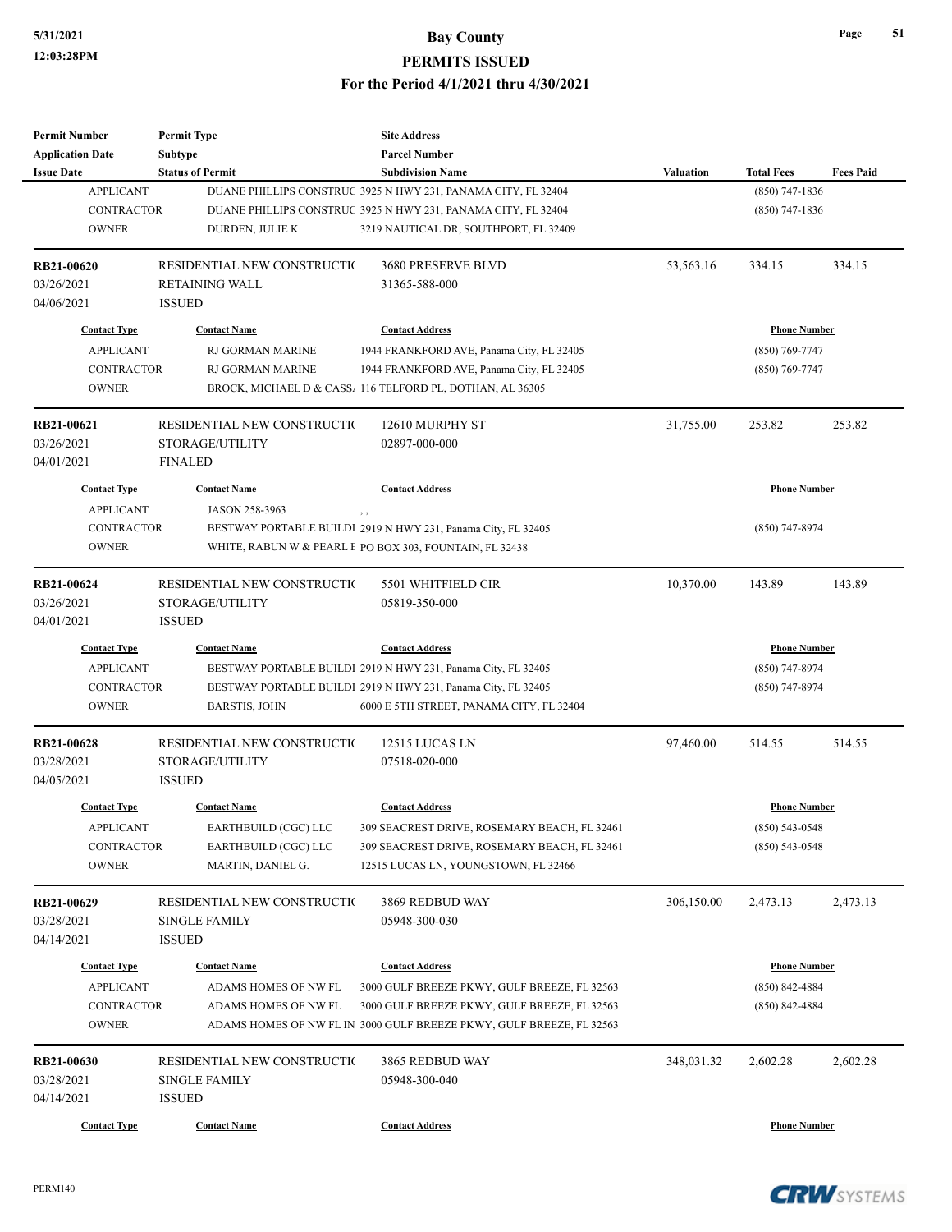| <b>Permit Number</b>    | <b>Permit Type</b>          | <b>Site Address</b>                                                  |                  |                     |                  |
|-------------------------|-----------------------------|----------------------------------------------------------------------|------------------|---------------------|------------------|
| <b>Application Date</b> | Subtype                     | <b>Parcel Number</b>                                                 |                  |                     |                  |
| <b>Issue Date</b>       | <b>Status of Permit</b>     | <b>Subdivision Name</b>                                              | <b>Valuation</b> | <b>Total Fees</b>   | <b>Fees Paid</b> |
| <b>APPLICANT</b>        |                             | DUANE PHILLIPS CONSTRUC 3925 N HWY 231, PANAMA CITY, FL 32404        |                  | $(850)$ 747-1836    |                  |
| <b>CONTRACTOR</b>       |                             | DUANE PHILLIPS CONSTRUC 3925 N HWY 231, PANAMA CITY, FL 32404        |                  | $(850)$ 747-1836    |                  |
| <b>OWNER</b>            | DURDEN, JULIE K             | 3219 NAUTICAL DR, SOUTHPORT, FL 32409                                |                  |                     |                  |
| RB21-00620              | RESIDENTIAL NEW CONSTRUCTIO | 3680 PRESERVE BLVD                                                   | 53,563.16        | 334.15              | 334.15           |
| 03/26/2021              | <b>RETAINING WALL</b>       | 31365-588-000                                                        |                  |                     |                  |
| 04/06/2021              | <b>ISSUED</b>               |                                                                      |                  |                     |                  |
| <b>Contact Type</b>     | <b>Contact Name</b>         | <b>Contact Address</b>                                               |                  | <b>Phone Number</b> |                  |
| <b>APPLICANT</b>        | RJ GORMAN MARINE            | 1944 FRANKFORD AVE, Panama City, FL 32405                            |                  | $(850)$ 769-7747    |                  |
| <b>CONTRACTOR</b>       | RJ GORMAN MARINE            | 1944 FRANKFORD AVE, Panama City, FL 32405                            |                  | $(850)$ 769-7747    |                  |
| <b>OWNER</b>            |                             | BROCK, MICHAEL D & CASS. 116 TELFORD PL, DOTHAN, AL 36305            |                  |                     |                  |
| RB21-00621              | RESIDENTIAL NEW CONSTRUCTIO | 12610 MURPHY ST                                                      | 31,755.00        | 253.82              | 253.82           |
| 03/26/2021              | STORAGE/UTILITY             | 02897-000-000                                                        |                  |                     |                  |
| 04/01/2021              | <b>FINALED</b>              |                                                                      |                  |                     |                  |
| <b>Contact Type</b>     | <b>Contact Name</b>         | <b>Contact Address</b>                                               |                  | <b>Phone Number</b> |                  |
| <b>APPLICANT</b>        | JASON 258-3963              |                                                                      |                  |                     |                  |
| <b>CONTRACTOR</b>       |                             | BESTWAY PORTABLE BUILDI 2919 N HWY 231, Panama City, FL 32405        |                  | $(850)$ 747-8974    |                  |
| <b>OWNER</b>            |                             | WHITE, RABUN W & PEARL F PO BOX 303, FOUNTAIN, FL 32438              |                  |                     |                  |
| RB21-00624              | RESIDENTIAL NEW CONSTRUCTIO | 5501 WHITFIELD CIR                                                   | 10,370.00        | 143.89              | 143.89           |
| 03/26/2021              | STORAGE/UTILITY             | 05819-350-000                                                        |                  |                     |                  |
| 04/01/2021              | <b>ISSUED</b>               |                                                                      |                  |                     |                  |
| <b>Contact Type</b>     | <b>Contact Name</b>         | <b>Contact Address</b>                                               |                  | <b>Phone Number</b> |                  |
| <b>APPLICANT</b>        |                             | BESTWAY PORTABLE BUILDI 2919 N HWY 231, Panama City, FL 32405        |                  | $(850)$ 747-8974    |                  |
| <b>CONTRACTOR</b>       |                             | BESTWAY PORTABLE BUILDI 2919 N HWY 231, Panama City, FL 32405        |                  | $(850)$ 747-8974    |                  |
| <b>OWNER</b>            | <b>BARSTIS, JOHN</b>        | 6000 E 5TH STREET, PANAMA CITY, FL 32404                             |                  |                     |                  |
| RB21-00628              | RESIDENTIAL NEW CONSTRUCTIO | 12515 LUCAS LN                                                       | 97,460.00        | 514.55              | 514.55           |
| 03/28/2021              | STORAGE/UTILITY             | 07518-020-000                                                        |                  |                     |                  |
| 04/05/2021              | <b>ISSUED</b>               |                                                                      |                  |                     |                  |
| <b>Contact Type</b>     | <b>Contact Name</b>         | <b>Contact Address</b>                                               |                  | <b>Phone Number</b> |                  |
| <b>APPLICANT</b>        | EARTHBUILD (CGC) LLC        | 309 SEACREST DRIVE, ROSEMARY BEACH, FL 32461                         |                  | $(850) 543 - 0548$  |                  |
| CONTRACTOR              | EARTHBUILD (CGC) LLC        | 309 SEACREST DRIVE, ROSEMARY BEACH, FL 32461                         |                  | $(850)$ 543-0548    |                  |
| <b>OWNER</b>            | MARTIN, DANIEL G.           | 12515 LUCAS LN, YOUNGSTOWN, FL 32466                                 |                  |                     |                  |
| RB21-00629              | RESIDENTIAL NEW CONSTRUCTIO | 3869 REDBUD WAY                                                      | 306,150.00       | 2,473.13            | 2,473.13         |
| 03/28/2021              | <b>SINGLE FAMILY</b>        | 05948-300-030                                                        |                  |                     |                  |
| 04/14/2021              | <b>ISSUED</b>               |                                                                      |                  |                     |                  |
| <b>Contact Type</b>     | <b>Contact Name</b>         | <b>Contact Address</b>                                               |                  | <b>Phone Number</b> |                  |
| <b>APPLICANT</b>        | ADAMS HOMES OF NW FL        | 3000 GULF BREEZE PKWY, GULF BREEZE, FL 32563                         |                  | $(850) 842 - 4884$  |                  |
| <b>CONTRACTOR</b>       | ADAMS HOMES OF NW FL        | 3000 GULF BREEZE PKWY, GULF BREEZE, FL 32563                         |                  | $(850)$ 842-4884    |                  |
| <b>OWNER</b>            |                             | ADAMS HOMES OF NW FL IN 3000 GULF BREEZE PKWY, GULF BREEZE, FL 32563 |                  |                     |                  |
| RB21-00630              |                             |                                                                      |                  |                     |                  |
|                         | RESIDENTIAL NEW CONSTRUCTIO | 3865 REDBUD WAY                                                      | 348,031.32       | 2,602.28            | 2,602.28         |
| 03/28/2021              | <b>SINGLE FAMILY</b>        | 05948-300-040                                                        |                  |                     |                  |
| 04/14/2021              | <b>ISSUED</b>               |                                                                      |                  |                     |                  |
| <b>Contact Type</b>     | <b>Contact Name</b>         | <b>Contact Address</b>                                               |                  | <b>Phone Number</b> |                  |

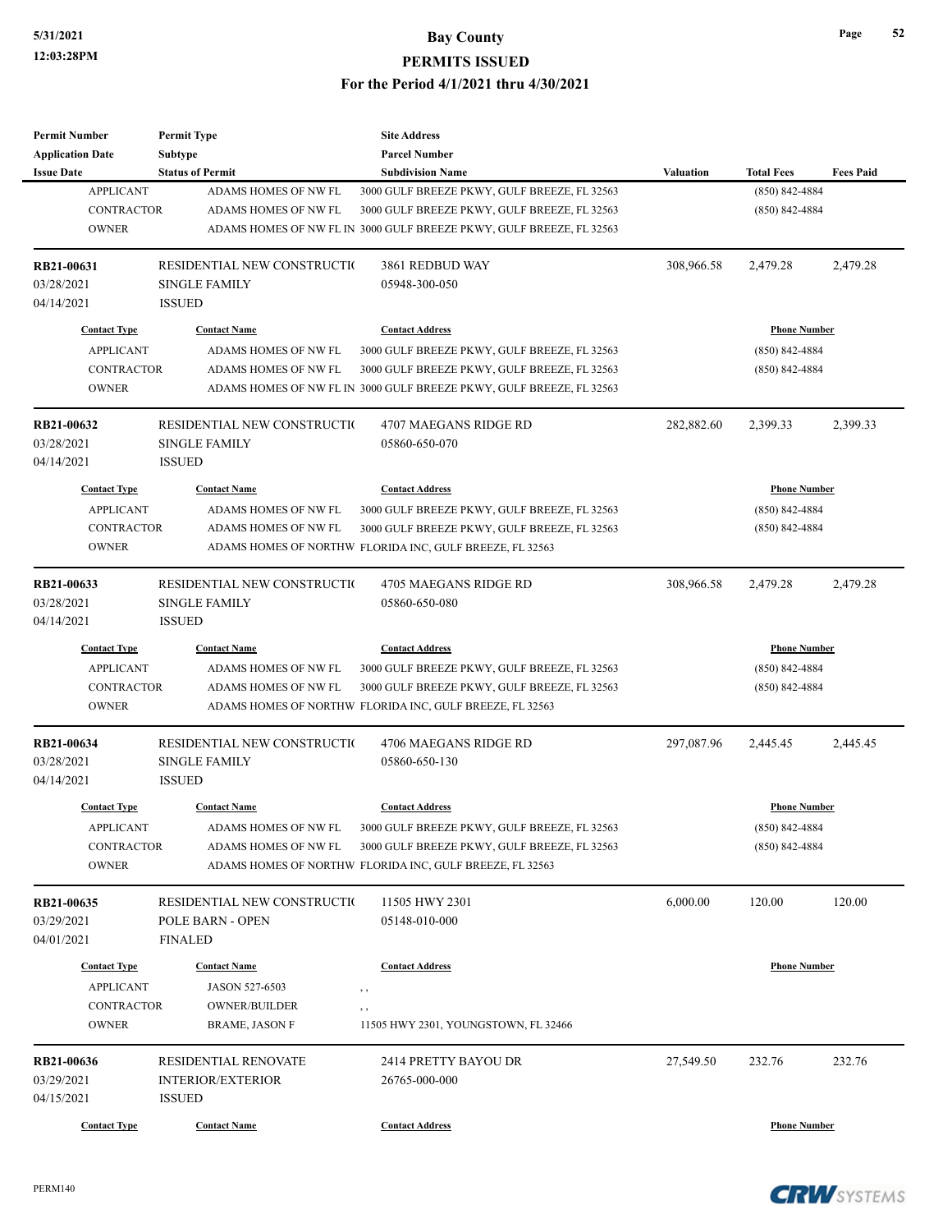| <b>Permit Number</b>    | <b>Permit Type</b>          | <b>Site Address</b>                                                  |                  |                     |                  |
|-------------------------|-----------------------------|----------------------------------------------------------------------|------------------|---------------------|------------------|
| <b>Application Date</b> | Subtype                     | <b>Parcel Number</b>                                                 |                  |                     |                  |
| <b>Issue Date</b>       | <b>Status of Permit</b>     | <b>Subdivision Name</b>                                              | <b>Valuation</b> | <b>Total Fees</b>   | <b>Fees Paid</b> |
| <b>APPLICANT</b>        | ADAMS HOMES OF NW FL        | 3000 GULF BREEZE PKWY, GULF BREEZE, FL 32563                         |                  | $(850) 842 - 4884$  |                  |
| <b>CONTRACTOR</b>       | ADAMS HOMES OF NW FL        | 3000 GULF BREEZE PKWY, GULF BREEZE, FL 32563                         |                  | $(850) 842 - 4884$  |                  |
| <b>OWNER</b>            |                             | ADAMS HOMES OF NW FL IN 3000 GULF BREEZE PKWY, GULF BREEZE, FL 32563 |                  |                     |                  |
| RB21-00631              | RESIDENTIAL NEW CONSTRUCTIO | 3861 REDBUD WAY                                                      | 308,966.58       | 2,479.28            | 2,479.28         |
| 03/28/2021              | <b>SINGLE FAMILY</b>        | 05948-300-050                                                        |                  |                     |                  |
| 04/14/2021              | <b>ISSUED</b>               |                                                                      |                  |                     |                  |
| <b>Contact Type</b>     | <b>Contact Name</b>         | <b>Contact Address</b>                                               |                  | <b>Phone Number</b> |                  |
| <b>APPLICANT</b>        | ADAMS HOMES OF NW FL        | 3000 GULF BREEZE PKWY, GULF BREEZE, FL 32563                         |                  | $(850) 842 - 4884$  |                  |
| <b>CONTRACTOR</b>       | ADAMS HOMES OF NW FL        | 3000 GULF BREEZE PKWY, GULF BREEZE, FL 32563                         |                  | $(850)$ 842-4884    |                  |
| <b>OWNER</b>            |                             | ADAMS HOMES OF NW FL IN 3000 GULF BREEZE PKWY, GULF BREEZE, FL 32563 |                  |                     |                  |
| RB21-00632              | RESIDENTIAL NEW CONSTRUCTIO | 4707 MAEGANS RIDGE RD                                                | 282,882.60       | 2,399.33            | 2,399.33         |
| 03/28/2021              | <b>SINGLE FAMILY</b>        | 05860-650-070                                                        |                  |                     |                  |
| 04/14/2021              | <b>ISSUED</b>               |                                                                      |                  |                     |                  |
| <b>Contact Type</b>     | <b>Contact Name</b>         | <b>Contact Address</b>                                               |                  | <b>Phone Number</b> |                  |
| <b>APPLICANT</b>        | ADAMS HOMES OF NW FL        | 3000 GULF BREEZE PKWY, GULF BREEZE, FL 32563                         |                  | $(850) 842 - 4884$  |                  |
| <b>CONTRACTOR</b>       | ADAMS HOMES OF NW FL        | 3000 GULF BREEZE PKWY, GULF BREEZE, FL 32563                         |                  | $(850)$ 842-4884    |                  |
| <b>OWNER</b>            |                             | ADAMS HOMES OF NORTHW FLORIDA INC, GULF BREEZE, FL 32563             |                  |                     |                  |
| RB21-00633              | RESIDENTIAL NEW CONSTRUCTIO | 4705 MAEGANS RIDGE RD                                                | 308,966.58       | 2,479.28            | 2,479.28         |
| 03/28/2021              | <b>SINGLE FAMILY</b>        | 05860-650-080                                                        |                  |                     |                  |
| 04/14/2021              | <b>ISSUED</b>               |                                                                      |                  |                     |                  |
| <b>Contact Type</b>     | <b>Contact Name</b>         | <b>Contact Address</b>                                               |                  | <b>Phone Number</b> |                  |
| <b>APPLICANT</b>        | ADAMS HOMES OF NW FL        | 3000 GULF BREEZE PKWY, GULF BREEZE, FL 32563                         |                  | $(850) 842 - 4884$  |                  |
| <b>CONTRACTOR</b>       | ADAMS HOMES OF NW FL        | 3000 GULF BREEZE PKWY, GULF BREEZE, FL 32563                         |                  | $(850)$ 842-4884    |                  |
| <b>OWNER</b>            |                             | ADAMS HOMES OF NORTHW FLORIDA INC, GULF BREEZE, FL 32563             |                  |                     |                  |
| RB21-00634              | RESIDENTIAL NEW CONSTRUCTIO | 4706 MAEGANS RIDGE RD                                                | 297,087.96       | 2,445.45            | 2,445.45         |
| 03/28/2021              | <b>SINGLE FAMILY</b>        | 05860-650-130                                                        |                  |                     |                  |
| 04/14/2021              | <b>ISSUED</b>               |                                                                      |                  |                     |                  |
| <b>Contact Type</b>     | <b>Contact Name</b>         | <b>Contact Address</b>                                               |                  | <b>Phone Number</b> |                  |
| <b>APPLICANT</b>        | ADAMS HOMES OF NW FL        | 3000 GULF BREEZE PKWY, GULF BREEZE, FL 32563                         |                  | $(850)$ 842-4884    |                  |
| <b>CONTRACTOR</b>       | ADAMS HOMES OF NW FL        | 3000 GULF BREEZE PKWY, GULF BREEZE, FL 32563                         |                  | $(850)$ 842-4884    |                  |
| <b>OWNER</b>            |                             | ADAMS HOMES OF NORTHW FLORIDA INC, GULF BREEZE, FL 32563             |                  |                     |                  |
| RB21-00635              | RESIDENTIAL NEW CONSTRUCTIO | 11505 HWY 2301                                                       | 6,000.00         | 120.00              | 120.00           |
| 03/29/2021              | POLE BARN - OPEN            | 05148-010-000                                                        |                  |                     |                  |
| 04/01/2021              | <b>FINALED</b>              |                                                                      |                  |                     |                  |
| <b>Contact Type</b>     | <b>Contact Name</b>         | <b>Contact Address</b>                                               |                  | <b>Phone Number</b> |                  |
| <b>APPLICANT</b>        | JASON 527-6503              | , ,                                                                  |                  |                     |                  |
| CONTRACTOR              | OWNER/BUILDER               | , ,                                                                  |                  |                     |                  |
| <b>OWNER</b>            | <b>BRAME, JASON F</b>       | 11505 HWY 2301, YOUNGSTOWN, FL 32466                                 |                  |                     |                  |
| RB21-00636              | <b>RESIDENTIAL RENOVATE</b> | 2414 PRETTY BAYOU DR                                                 | 27,549.50        | 232.76              | 232.76           |
| 03/29/2021              | <b>INTERIOR/EXTERIOR</b>    | 26765-000-000                                                        |                  |                     |                  |
| 04/15/2021              | <b>ISSUED</b>               |                                                                      |                  |                     |                  |
| <b>Contact Type</b>     | <b>Contact Name</b>         | <b>Contact Address</b>                                               |                  | <b>Phone Number</b> |                  |

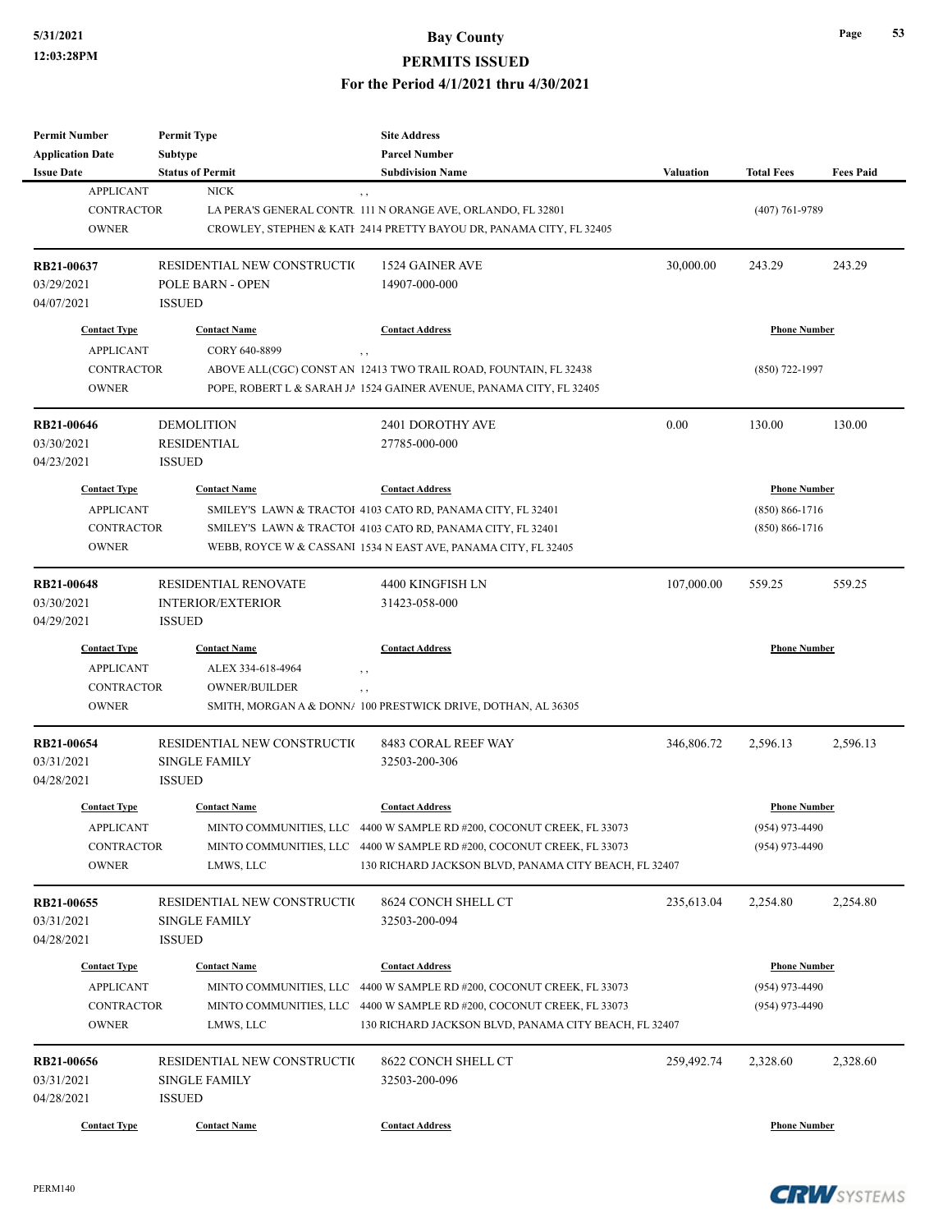| <b>Permit Number</b><br><b>Application Date</b><br><b>Issue Date</b>         | <b>Permit Type</b><br><b>Subtype</b><br><b>Status of Permit</b>          | <b>Site Address</b><br><b>Parcel Number</b><br><b>Subdivision Name</b>                                                                                                                                                            | <b>Valuation</b> | <b>Total Fees</b>                                               | <b>Fees Paid</b> |
|------------------------------------------------------------------------------|--------------------------------------------------------------------------|-----------------------------------------------------------------------------------------------------------------------------------------------------------------------------------------------------------------------------------|------------------|-----------------------------------------------------------------|------------------|
| <b>APPLICANT</b><br><b>CONTRACTOR</b><br><b>OWNER</b>                        | <b>NICK</b>                                                              | $, \, , \,$<br>LA PERA'S GENERAL CONTR. 111 N ORANGE AVE, ORLANDO, FL 32801<br>CROWLEY, STEPHEN & KATI 2414 PRETTY BAYOU DR, PANAMA CITY, FL 32405                                                                                |                  | $(407)$ 761-9789                                                |                  |
| RB21-00637<br>03/29/2021<br>04/07/2021                                       | RESIDENTIAL NEW CONSTRUCTIO<br><b>POLE BARN - OPEN</b><br><b>ISSUED</b>  | 1524 GAINER AVE<br>14907-000-000                                                                                                                                                                                                  | 30,000.00        | 243.29                                                          | 243.29           |
| <b>Contact Type</b>                                                          | <b>Contact Name</b>                                                      | <b>Contact Address</b>                                                                                                                                                                                                            |                  | <b>Phone Number</b>                                             |                  |
| <b>APPLICANT</b><br><b>CONTRACTOR</b><br><b>OWNER</b>                        | CORY 640-8899                                                            | , ,<br>ABOVE ALL(CGC) CONST AN 12413 TWO TRAIL ROAD, FOUNTAIN, FL 32438<br>POPE, ROBERT L & SARAH JA 1524 GAINER AVENUE, PANAMA CITY, FL 32405                                                                                    |                  | $(850)$ 722-1997                                                |                  |
| <b>RB21-00646</b><br>03/30/2021<br>04/23/2021                                | <b>DEMOLITION</b><br><b>RESIDENTIAL</b><br><b>ISSUED</b>                 | 2401 DOROTHY AVE<br>27785-000-000                                                                                                                                                                                                 | 0.00             | 130.00                                                          | 130.00           |
| <b>Contact Type</b><br><b>APPLICANT</b><br><b>CONTRACTOR</b><br><b>OWNER</b> | <b>Contact Name</b>                                                      | <b>Contact Address</b><br>SMILEY'S LAWN & TRACTOI 4103 CATO RD, PANAMA CITY, FL 32401<br>SMILEY'S LAWN & TRACTOI 4103 CATO RD, PANAMA CITY, FL 32401<br>WEBB, ROYCE W & CASSANI 1534 N EAST AVE, PANAMA CITY, FL 32405            |                  | <b>Phone Number</b><br>$(850) 866 - 1716$<br>$(850) 866 - 1716$ |                  |
| <b>RB21-00648</b><br>03/30/2021<br>04/29/2021                                | <b>RESIDENTIAL RENOVATE</b><br><b>INTERIOR/EXTERIOR</b><br><b>ISSUED</b> | 4400 KINGFISH LN<br>31423-058-000                                                                                                                                                                                                 | 107,000.00       | 559.25                                                          | 559.25           |
| <b>Contact Type</b><br><b>APPLICANT</b><br><b>CONTRACTOR</b><br><b>OWNER</b> | <b>Contact Name</b><br>ALEX 334-618-4964<br><b>OWNER/BUILDER</b>         | <b>Contact Address</b><br>, ,<br>,,<br>SMITH, MORGAN A & DONN/ 100 PRESTWICK DRIVE, DOTHAN, AL 36305                                                                                                                              |                  | <b>Phone Number</b>                                             |                  |
| RB21-00654<br>03/31/2021<br>04/28/2021                                       | RESIDENTIAL NEW CONSTRUCTIO<br><b>SINGLE FAMILY</b><br><b>ISSUED</b>     | 8483 CORAL REEF WAY<br>32503-200-306                                                                                                                                                                                              | 346,806.72       | 2,596.13                                                        | 2,596.13         |
| <b>Contact Type</b><br><b>APPLICANT</b><br><b>CONTRACTOR</b><br><b>OWNER</b> | <b>Contact Name</b><br>LMWS, LLC                                         | <b>Contact Address</b><br>MINTO COMMUNITIES, LLC 4400 W SAMPLE RD #200, COCONUT CREEK, FL 33073<br>MINTO COMMUNITIES, LLC 4400 W SAMPLE RD #200, COCONUT CREEK, FL 33073<br>130 RICHARD JACKSON BLVD, PANAMA CITY BEACH, FL 32407 |                  | <b>Phone Number</b><br>$(954)$ 973-4490<br>$(954)$ 973-4490     |                  |
| RB21-00655<br>03/31/2021<br>04/28/2021                                       | RESIDENTIAL NEW CONSTRUCTIO<br><b>SINGLE FAMILY</b><br><b>ISSUED</b>     | 8624 CONCH SHELL CT<br>32503-200-094                                                                                                                                                                                              | 235,613.04       | 2,254.80                                                        | 2,254.80         |
| <b>Contact Type</b><br><b>APPLICANT</b><br>CONTRACTOR<br><b>OWNER</b>        | <b>Contact Name</b><br>MINTO COMMUNITIES, LLC<br>LMWS, LLC               | <b>Contact Address</b><br>4400 W SAMPLE RD #200, COCONUT CREEK, FL 33073<br>MINTO COMMUNITIES, LLC 4400 W SAMPLE RD #200, COCONUT CREEK, FL 33073<br>130 RICHARD JACKSON BLVD, PANAMA CITY BEACH, FL 32407                        |                  | <b>Phone Number</b><br>$(954)$ 973-4490<br>$(954)$ 973-4490     |                  |
| RB21-00656<br>03/31/2021<br>04/28/2021                                       | RESIDENTIAL NEW CONSTRUCTIO<br><b>SINGLE FAMILY</b><br><b>ISSUED</b>     | 8622 CONCH SHELL CT<br>32503-200-096                                                                                                                                                                                              | 259,492.74       | 2,328.60                                                        | 2,328.60         |
| <b>Contact Type</b>                                                          | <b>Contact Name</b>                                                      | <b>Contact Address</b>                                                                                                                                                                                                            |                  | <b>Phone Number</b>                                             |                  |

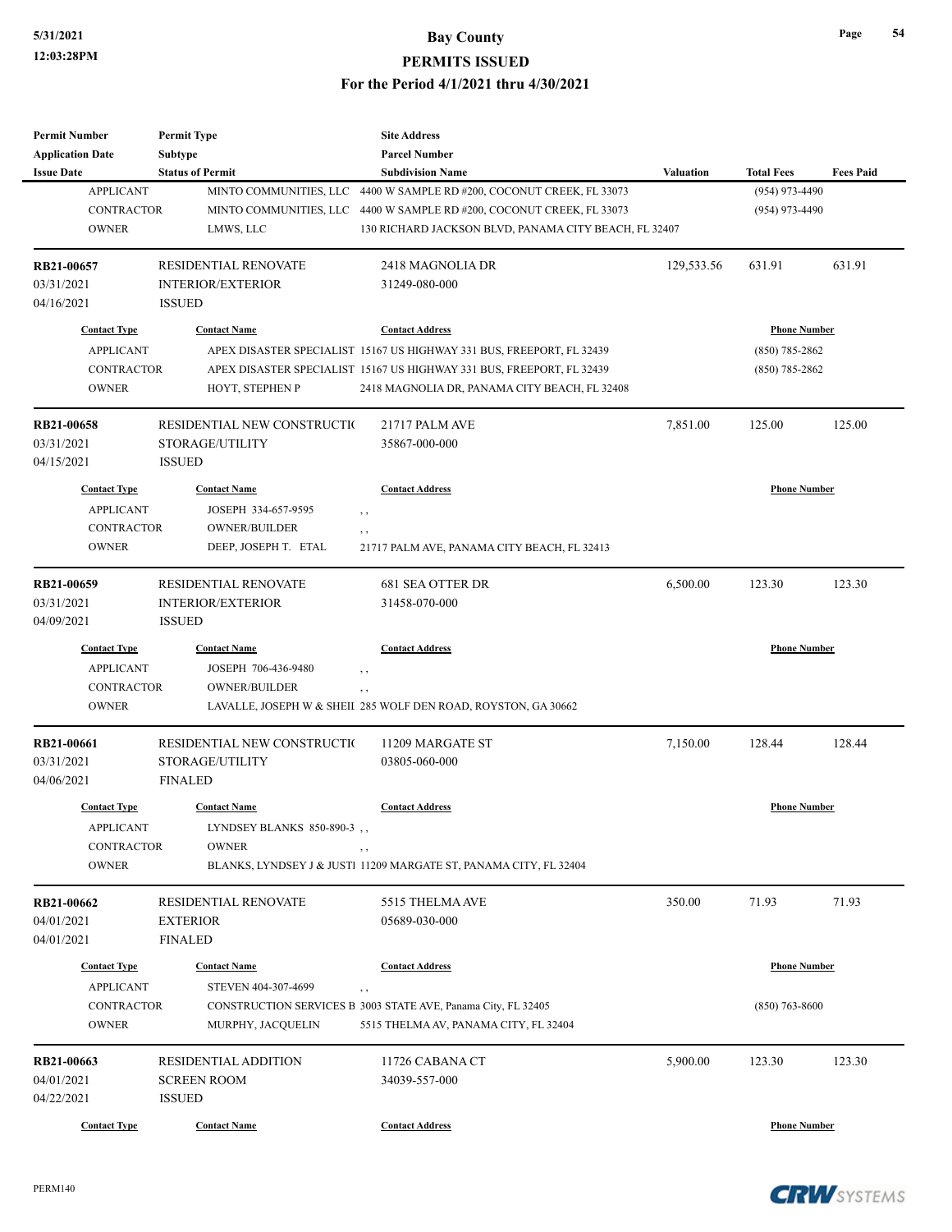| <b>Permit Number</b>    | <b>Permit Type</b>           | <b>Site Address</b>                                                   |                  |                     |                  |
|-------------------------|------------------------------|-----------------------------------------------------------------------|------------------|---------------------|------------------|
| <b>Application Date</b> | <b>Subtype</b>               | <b>Parcel Number</b>                                                  |                  |                     |                  |
| <b>Issue Date</b>       | <b>Status of Permit</b>      | <b>Subdivision Name</b>                                               | <b>Valuation</b> | <b>Total Fees</b>   | <b>Fees Paid</b> |
| <b>APPLICANT</b>        | MINTO COMMUNITIES, LLC       | 4400 W SAMPLE RD #200, COCONUT CREEK, FL 33073                        |                  | (954) 973-4490      |                  |
| <b>CONTRACTOR</b>       | MINTO COMMUNITIES, LLC       | 4400 W SAMPLE RD #200, COCONUT CREEK, FL 33073                        |                  | $(954)$ 973-4490    |                  |
| <b>OWNER</b>            | LMWS, LLC                    | 130 RICHARD JACKSON BLVD, PANAMA CITY BEACH, FL 32407                 |                  |                     |                  |
| RB21-00657              | RESIDENTIAL RENOVATE         | 2418 MAGNOLIA DR                                                      | 129,533.56       | 631.91              | 631.91           |
| 03/31/2021              | <b>INTERIOR/EXTERIOR</b>     | 31249-080-000                                                         |                  |                     |                  |
| 04/16/2021              | <b>ISSUED</b>                |                                                                       |                  |                     |                  |
| <b>Contact Type</b>     | <b>Contact Name</b>          | <b>Contact Address</b>                                                |                  | <b>Phone Number</b> |                  |
| <b>APPLICANT</b>        |                              | APEX DISASTER SPECIALIST 15167 US HIGHWAY 331 BUS, FREEPORT, FL 32439 |                  | $(850)$ 785-2862    |                  |
| CONTRACTOR              |                              | APEX DISASTER SPECIALIST 15167 US HIGHWAY 331 BUS, FREEPORT, FL 32439 |                  | (850) 785-2862      |                  |
| <b>OWNER</b>            | HOYT, STEPHEN P              | 2418 MAGNOLIA DR, PANAMA CITY BEACH, FL 32408                         |                  |                     |                  |
| <b>RB21-00658</b>       | RESIDENTIAL NEW CONSTRUCTION | 21717 PALM AVE                                                        | 7,851.00         | 125.00              | 125.00           |
| 03/31/2021              | STORAGE/UTILITY              | 35867-000-000                                                         |                  |                     |                  |
| 04/15/2021              | <b>ISSUED</b>                |                                                                       |                  |                     |                  |
| <b>Contact Type</b>     | <b>Contact Name</b>          | <b>Contact Address</b>                                                |                  | <b>Phone Number</b> |                  |
| <b>APPLICANT</b>        | JOSEPH 334-657-9595          | , ,                                                                   |                  |                     |                  |
| <b>CONTRACTOR</b>       | <b>OWNER/BUILDER</b>         |                                                                       |                  |                     |                  |
| <b>OWNER</b>            | DEEP, JOSEPH T. ETAL         | , ,<br>21717 PALM AVE, PANAMA CITY BEACH, FL 32413                    |                  |                     |                  |
|                         |                              |                                                                       |                  |                     |                  |
| RB21-00659              | RESIDENTIAL RENOVATE         | <b>681 SEA OTTER DR</b>                                               | 6,500.00         | 123.30              | 123.30           |
| 03/31/2021              | <b>INTERIOR/EXTERIOR</b>     | 31458-070-000                                                         |                  |                     |                  |
| 04/09/2021              | <b>ISSUED</b>                |                                                                       |                  |                     |                  |
| <b>Contact Type</b>     | <b>Contact Name</b>          | <b>Contact Address</b>                                                |                  | <b>Phone Number</b> |                  |
| <b>APPLICANT</b>        | JOSEPH 706-436-9480          | , ,                                                                   |                  |                     |                  |
| <b>CONTRACTOR</b>       | <b>OWNER/BUILDER</b>         | , ,                                                                   |                  |                     |                  |
| <b>OWNER</b>            |                              | LAVALLE, JOSEPH W & SHEII 285 WOLF DEN ROAD, ROYSTON, GA 30662        |                  |                     |                  |
| RB21-00661              | RESIDENTIAL NEW CONSTRUCTIO  | 11209 MARGATE ST                                                      | 7,150.00         | 128.44              | 128.44           |
| 03/31/2021              | STORAGE/UTILITY              | 03805-060-000                                                         |                  |                     |                  |
| 04/06/2021              | <b>FINALED</b>               |                                                                       |                  |                     |                  |
| <b>Contact Type</b>     | <b>Contact Name</b>          | <b>Contact Address</b>                                                |                  | <b>Phone Number</b> |                  |
| <b>APPLICANT</b>        | LYNDSEY BLANKS 850-890-3,    |                                                                       |                  |                     |                  |
| CONTRACTOR              | <b>OWNER</b>                 | , ,                                                                   |                  |                     |                  |
| <b>OWNER</b>            |                              | BLANKS, LYNDSEY J & JUST 11209 MARGATE ST, PANAMA CITY, FL 32404      |                  |                     |                  |
| RB21-00662              | <b>RESIDENTIAL RENOVATE</b>  | 5515 THELMA AVE                                                       | 350.00           | 71.93               | 71.93            |
| 04/01/2021              | <b>EXTERIOR</b>              | 05689-030-000                                                         |                  |                     |                  |
| 04/01/2021              | <b>FINALED</b>               |                                                                       |                  |                     |                  |
|                         |                              |                                                                       |                  |                     |                  |
| <b>Contact Type</b>     | <b>Contact Name</b>          | <b>Contact Address</b>                                                |                  | <b>Phone Number</b> |                  |
| <b>APPLICANT</b>        | STEVEN 404-307-4699          | , ,                                                                   |                  |                     |                  |
| CONTRACTOR              |                              | CONSTRUCTION SERVICES B 3003 STATE AVE, Panama City, FL 32405         |                  | $(850)$ 763-8600    |                  |
| <b>OWNER</b>            | MURPHY, JACQUELIN            | 5515 THELMA AV, PANAMA CITY, FL 32404                                 |                  |                     |                  |
| RB21-00663              | RESIDENTIAL ADDITION         | 11726 CABANA CT                                                       | 5,900.00         | 123.30              | 123.30           |
| 04/01/2021              | <b>SCREEN ROOM</b>           | 34039-557-000                                                         |                  |                     |                  |
| 04/22/2021              | <b>ISSUED</b>                |                                                                       |                  |                     |                  |
| <b>Contact Type</b>     | <b>Contact Name</b>          | <b>Contact Address</b>                                                |                  | <b>Phone Number</b> |                  |
|                         |                              |                                                                       |                  |                     |                  |

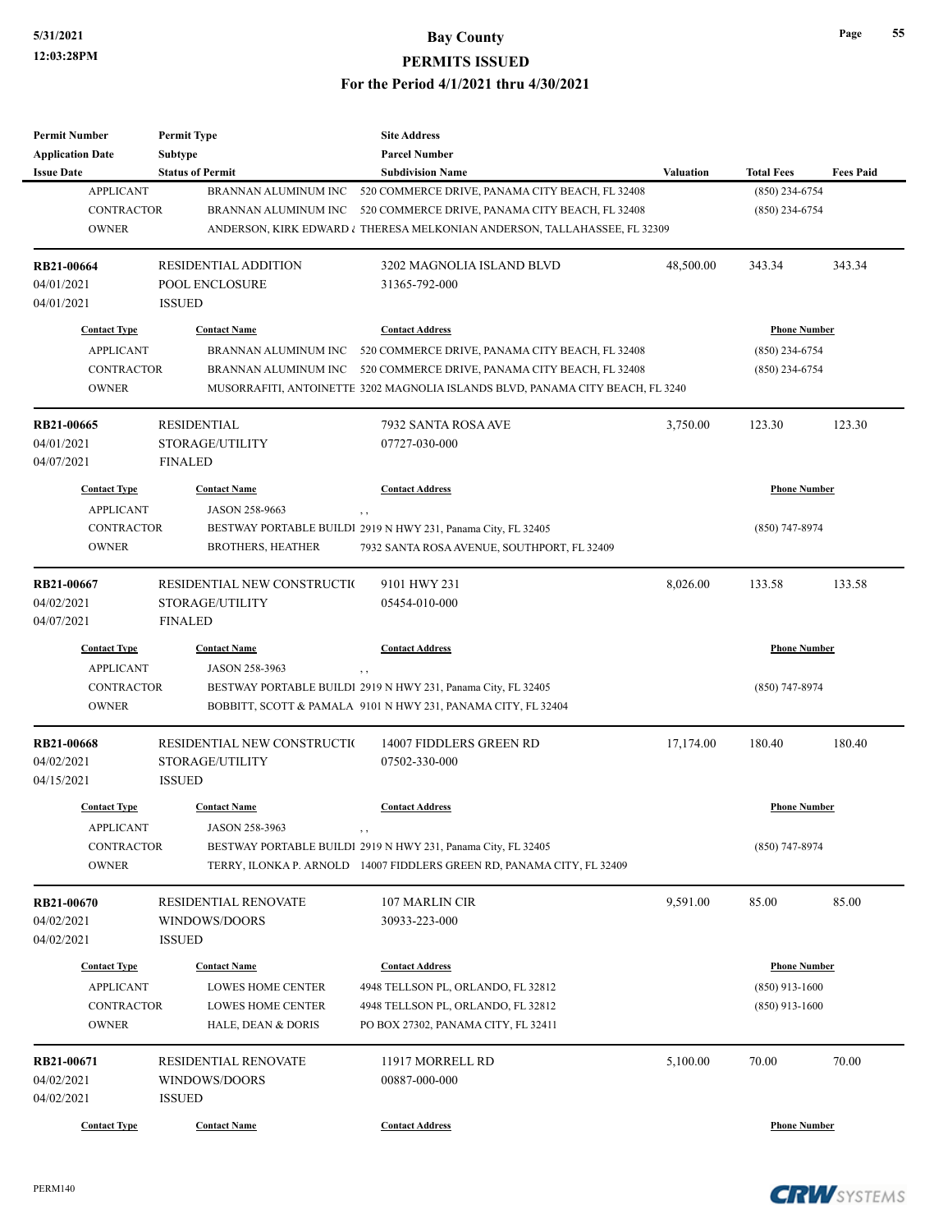| <b>Subtype</b><br><b>Parcel Number</b><br><b>Application Date</b><br><b>Status of Permit</b><br><b>Issue Date</b><br><b>Subdivision Name</b><br><b>Valuation</b><br><b>Total Fees</b><br><b>Fees Paid</b><br><b>APPLICANT</b><br>BRANNAN ALUMINUM INC<br>$(850)$ 234-6754<br>520 COMMERCE DRIVE, PANAMA CITY BEACH, FL 32408<br><b>CONTRACTOR</b><br>520 COMMERCE DRIVE, PANAMA CITY BEACH, FL 32408<br>$(850)$ 234-6754<br>BRANNAN ALUMINUM INC<br><b>OWNER</b><br>ANDERSON, KIRK EDWARD & THERESA MELKONIAN ANDERSON, TALLAHASSEE, FL 32309<br><b>RESIDENTIAL ADDITION</b><br>3202 MAGNOLIA ISLAND BLVD<br>48,500.00<br>343.34<br>343.34<br>RB21-00664<br>04/01/2021<br>POOL ENCLOSURE<br>31365-792-000<br>04/01/2021<br><b>ISSUED</b><br><b>Contact Type</b><br><b>Contact Name</b><br><b>Phone Number</b><br><b>Contact Address</b><br><b>APPLICANT</b><br>BRANNAN ALUMINUM INC<br>$(850)$ 234-6754<br>520 COMMERCE DRIVE, PANAMA CITY BEACH, FL 32408<br><b>CONTRACTOR</b><br>BRANNAN ALUMINUM INC<br>520 COMMERCE DRIVE, PANAMA CITY BEACH, FL 32408<br>$(850)$ 234-6754<br><b>OWNER</b><br>MUSORRAFITI, ANTOINETTE 3202 MAGNOLIA ISLANDS BLVD, PANAMA CITY BEACH, FL 3240<br><b>RESIDENTIAL</b><br>3,750.00<br>123.30<br>RB21-00665<br>7932 SANTA ROSA AVE<br>123.30<br>STORAGE/UTILITY<br>04/01/2021<br>07727-030-000<br>04/07/2021<br><b>FINALED</b><br><b>Contact Type</b><br><b>Contact Name</b><br><b>Contact Address</b><br><b>Phone Number</b><br><b>APPLICANT</b><br>JASON 258-9663<br>, ,<br><b>CONTRACTOR</b><br>BESTWAY PORTABLE BUILDI 2919 N HWY 231, Panama City, FL 32405<br>(850) 747-8974<br><b>OWNER</b><br><b>BROTHERS, HEATHER</b><br>7932 SANTA ROSA AVENUE, SOUTHPORT, FL 32409<br>RB21-00667<br>RESIDENTIAL NEW CONSTRUCTIO<br>9101 HWY 231<br>8,026.00<br>133.58<br>133.58<br>04/02/2021<br>STORAGE/UTILITY<br>05454-010-000<br>04/07/2021<br><b>FINALED</b><br><b>Contact Type</b><br><b>Contact Name</b><br><b>Contact Address</b><br><b>Phone Number</b><br><b>APPLICANT</b><br>JASON 258-3963<br>, ,<br><b>CONTRACTOR</b><br>BESTWAY PORTABLE BUILDI 2919 N HWY 231, Panama City, FL 32405<br>$(850)$ 747-8974<br><b>OWNER</b><br>BOBBITT, SCOTT & PAMALA 9101 N HWY 231, PANAMA CITY, FL 32404<br>180.40<br>RESIDENTIAL NEW CONSTRUCTIO<br>14007 FIDDLERS GREEN RD<br>17,174.00<br>180.40<br>RB21-00668<br>04/02/2021<br>STORAGE/UTILITY<br>07502-330-000<br>04/15/2021<br><b>ISSUED</b><br><b>Contact Type</b><br><b>Contact Name</b><br><b>Contact Address</b><br><b>Phone Number</b><br><b>APPLICANT</b><br>JASON 258-3963<br>, ,<br>CONTRACTOR<br>BESTWAY PORTABLE BUILDI 2919 N HWY 231, Panama City, FL 32405<br>$(850)$ 747-8974<br><b>OWNER</b><br>TERRY, ILONKA P. ARNOLD 14007 FIDDLERS GREEN RD, PANAMA CITY, FL 32409<br>9,591.00<br>85.00<br><b>RESIDENTIAL RENOVATE</b><br>107 MARLIN CIR<br>85.00<br>RB21-00670<br>04/02/2021<br>WINDOWS/DOORS<br>30933-223-000<br>04/02/2021<br><b>ISSUED</b><br><b>Phone Number</b><br><b>Contact Type</b><br><b>Contact Name</b><br><b>Contact Address</b><br><b>APPLICANT</b><br>LOWES HOME CENTER<br>$(850)$ 913-1600<br>4948 TELLSON PL, ORLANDO, FL 32812<br>CONTRACTOR<br>LOWES HOME CENTER<br>4948 TELLSON PL, ORLANDO, FL 32812<br>$(850)$ 913-1600<br><b>OWNER</b><br>PO BOX 27302, PANAMA CITY, FL 32411<br><b>HALE, DEAN &amp; DORIS</b><br>RB21-00671<br>RESIDENTIAL RENOVATE<br>11917 MORRELL RD<br>5,100.00<br>70.00<br>70.00<br>04/02/2021<br>WINDOWS/DOORS<br>00887-000-000<br>04/02/2021<br><b>ISSUED</b><br><b>Contact Type</b><br><b>Phone Number</b><br><b>Contact Name</b><br><b>Contact Address</b> | <b>Permit Number</b> | <b>Permit Type</b> | <b>Site Address</b> |  |  |
|----------------------------------------------------------------------------------------------------------------------------------------------------------------------------------------------------------------------------------------------------------------------------------------------------------------------------------------------------------------------------------------------------------------------------------------------------------------------------------------------------------------------------------------------------------------------------------------------------------------------------------------------------------------------------------------------------------------------------------------------------------------------------------------------------------------------------------------------------------------------------------------------------------------------------------------------------------------------------------------------------------------------------------------------------------------------------------------------------------------------------------------------------------------------------------------------------------------------------------------------------------------------------------------------------------------------------------------------------------------------------------------------------------------------------------------------------------------------------------------------------------------------------------------------------------------------------------------------------------------------------------------------------------------------------------------------------------------------------------------------------------------------------------------------------------------------------------------------------------------------------------------------------------------------------------------------------------------------------------------------------------------------------------------------------------------------------------------------------------------------------------------------------------------------------------------------------------------------------------------------------------------------------------------------------------------------------------------------------------------------------------------------------------------------------------------------------------------------------------------------------------------------------------------------------------------------------------------------------------------------------------------------------------------------------------------------------------------------------------------------------------------------------------------------------------------------------------------------------------------------------------------------------------------------------------------------------------------------------------------------------------------------------------------------------------------------------------------------------------------------------------------------------------------------------------------------------------------------------------------------------------------------------------------------------------------------------------------------------------------------------------------------------------------------------------------------------------------------------------------------------------------------------------------------------------------------------------------------------------------|----------------------|--------------------|---------------------|--|--|
|                                                                                                                                                                                                                                                                                                                                                                                                                                                                                                                                                                                                                                                                                                                                                                                                                                                                                                                                                                                                                                                                                                                                                                                                                                                                                                                                                                                                                                                                                                                                                                                                                                                                                                                                                                                                                                                                                                                                                                                                                                                                                                                                                                                                                                                                                                                                                                                                                                                                                                                                                                                                                                                                                                                                                                                                                                                                                                                                                                                                                                                                                                                                                                                                                                                                                                                                                                                                                                                                                                                                                                                                                |                      |                    |                     |  |  |
|                                                                                                                                                                                                                                                                                                                                                                                                                                                                                                                                                                                                                                                                                                                                                                                                                                                                                                                                                                                                                                                                                                                                                                                                                                                                                                                                                                                                                                                                                                                                                                                                                                                                                                                                                                                                                                                                                                                                                                                                                                                                                                                                                                                                                                                                                                                                                                                                                                                                                                                                                                                                                                                                                                                                                                                                                                                                                                                                                                                                                                                                                                                                                                                                                                                                                                                                                                                                                                                                                                                                                                                                                |                      |                    |                     |  |  |
|                                                                                                                                                                                                                                                                                                                                                                                                                                                                                                                                                                                                                                                                                                                                                                                                                                                                                                                                                                                                                                                                                                                                                                                                                                                                                                                                                                                                                                                                                                                                                                                                                                                                                                                                                                                                                                                                                                                                                                                                                                                                                                                                                                                                                                                                                                                                                                                                                                                                                                                                                                                                                                                                                                                                                                                                                                                                                                                                                                                                                                                                                                                                                                                                                                                                                                                                                                                                                                                                                                                                                                                                                |                      |                    |                     |  |  |
|                                                                                                                                                                                                                                                                                                                                                                                                                                                                                                                                                                                                                                                                                                                                                                                                                                                                                                                                                                                                                                                                                                                                                                                                                                                                                                                                                                                                                                                                                                                                                                                                                                                                                                                                                                                                                                                                                                                                                                                                                                                                                                                                                                                                                                                                                                                                                                                                                                                                                                                                                                                                                                                                                                                                                                                                                                                                                                                                                                                                                                                                                                                                                                                                                                                                                                                                                                                                                                                                                                                                                                                                                |                      |                    |                     |  |  |
|                                                                                                                                                                                                                                                                                                                                                                                                                                                                                                                                                                                                                                                                                                                                                                                                                                                                                                                                                                                                                                                                                                                                                                                                                                                                                                                                                                                                                                                                                                                                                                                                                                                                                                                                                                                                                                                                                                                                                                                                                                                                                                                                                                                                                                                                                                                                                                                                                                                                                                                                                                                                                                                                                                                                                                                                                                                                                                                                                                                                                                                                                                                                                                                                                                                                                                                                                                                                                                                                                                                                                                                                                |                      |                    |                     |  |  |
|                                                                                                                                                                                                                                                                                                                                                                                                                                                                                                                                                                                                                                                                                                                                                                                                                                                                                                                                                                                                                                                                                                                                                                                                                                                                                                                                                                                                                                                                                                                                                                                                                                                                                                                                                                                                                                                                                                                                                                                                                                                                                                                                                                                                                                                                                                                                                                                                                                                                                                                                                                                                                                                                                                                                                                                                                                                                                                                                                                                                                                                                                                                                                                                                                                                                                                                                                                                                                                                                                                                                                                                                                |                      |                    |                     |  |  |
|                                                                                                                                                                                                                                                                                                                                                                                                                                                                                                                                                                                                                                                                                                                                                                                                                                                                                                                                                                                                                                                                                                                                                                                                                                                                                                                                                                                                                                                                                                                                                                                                                                                                                                                                                                                                                                                                                                                                                                                                                                                                                                                                                                                                                                                                                                                                                                                                                                                                                                                                                                                                                                                                                                                                                                                                                                                                                                                                                                                                                                                                                                                                                                                                                                                                                                                                                                                                                                                                                                                                                                                                                |                      |                    |                     |  |  |
|                                                                                                                                                                                                                                                                                                                                                                                                                                                                                                                                                                                                                                                                                                                                                                                                                                                                                                                                                                                                                                                                                                                                                                                                                                                                                                                                                                                                                                                                                                                                                                                                                                                                                                                                                                                                                                                                                                                                                                                                                                                                                                                                                                                                                                                                                                                                                                                                                                                                                                                                                                                                                                                                                                                                                                                                                                                                                                                                                                                                                                                                                                                                                                                                                                                                                                                                                                                                                                                                                                                                                                                                                |                      |                    |                     |  |  |
|                                                                                                                                                                                                                                                                                                                                                                                                                                                                                                                                                                                                                                                                                                                                                                                                                                                                                                                                                                                                                                                                                                                                                                                                                                                                                                                                                                                                                                                                                                                                                                                                                                                                                                                                                                                                                                                                                                                                                                                                                                                                                                                                                                                                                                                                                                                                                                                                                                                                                                                                                                                                                                                                                                                                                                                                                                                                                                                                                                                                                                                                                                                                                                                                                                                                                                                                                                                                                                                                                                                                                                                                                |                      |                    |                     |  |  |
|                                                                                                                                                                                                                                                                                                                                                                                                                                                                                                                                                                                                                                                                                                                                                                                                                                                                                                                                                                                                                                                                                                                                                                                                                                                                                                                                                                                                                                                                                                                                                                                                                                                                                                                                                                                                                                                                                                                                                                                                                                                                                                                                                                                                                                                                                                                                                                                                                                                                                                                                                                                                                                                                                                                                                                                                                                                                                                                                                                                                                                                                                                                                                                                                                                                                                                                                                                                                                                                                                                                                                                                                                |                      |                    |                     |  |  |
|                                                                                                                                                                                                                                                                                                                                                                                                                                                                                                                                                                                                                                                                                                                                                                                                                                                                                                                                                                                                                                                                                                                                                                                                                                                                                                                                                                                                                                                                                                                                                                                                                                                                                                                                                                                                                                                                                                                                                                                                                                                                                                                                                                                                                                                                                                                                                                                                                                                                                                                                                                                                                                                                                                                                                                                                                                                                                                                                                                                                                                                                                                                                                                                                                                                                                                                                                                                                                                                                                                                                                                                                                |                      |                    |                     |  |  |
|                                                                                                                                                                                                                                                                                                                                                                                                                                                                                                                                                                                                                                                                                                                                                                                                                                                                                                                                                                                                                                                                                                                                                                                                                                                                                                                                                                                                                                                                                                                                                                                                                                                                                                                                                                                                                                                                                                                                                                                                                                                                                                                                                                                                                                                                                                                                                                                                                                                                                                                                                                                                                                                                                                                                                                                                                                                                                                                                                                                                                                                                                                                                                                                                                                                                                                                                                                                                                                                                                                                                                                                                                |                      |                    |                     |  |  |
|                                                                                                                                                                                                                                                                                                                                                                                                                                                                                                                                                                                                                                                                                                                                                                                                                                                                                                                                                                                                                                                                                                                                                                                                                                                                                                                                                                                                                                                                                                                                                                                                                                                                                                                                                                                                                                                                                                                                                                                                                                                                                                                                                                                                                                                                                                                                                                                                                                                                                                                                                                                                                                                                                                                                                                                                                                                                                                                                                                                                                                                                                                                                                                                                                                                                                                                                                                                                                                                                                                                                                                                                                |                      |                    |                     |  |  |
|                                                                                                                                                                                                                                                                                                                                                                                                                                                                                                                                                                                                                                                                                                                                                                                                                                                                                                                                                                                                                                                                                                                                                                                                                                                                                                                                                                                                                                                                                                                                                                                                                                                                                                                                                                                                                                                                                                                                                                                                                                                                                                                                                                                                                                                                                                                                                                                                                                                                                                                                                                                                                                                                                                                                                                                                                                                                                                                                                                                                                                                                                                                                                                                                                                                                                                                                                                                                                                                                                                                                                                                                                |                      |                    |                     |  |  |
|                                                                                                                                                                                                                                                                                                                                                                                                                                                                                                                                                                                                                                                                                                                                                                                                                                                                                                                                                                                                                                                                                                                                                                                                                                                                                                                                                                                                                                                                                                                                                                                                                                                                                                                                                                                                                                                                                                                                                                                                                                                                                                                                                                                                                                                                                                                                                                                                                                                                                                                                                                                                                                                                                                                                                                                                                                                                                                                                                                                                                                                                                                                                                                                                                                                                                                                                                                                                                                                                                                                                                                                                                |                      |                    |                     |  |  |
|                                                                                                                                                                                                                                                                                                                                                                                                                                                                                                                                                                                                                                                                                                                                                                                                                                                                                                                                                                                                                                                                                                                                                                                                                                                                                                                                                                                                                                                                                                                                                                                                                                                                                                                                                                                                                                                                                                                                                                                                                                                                                                                                                                                                                                                                                                                                                                                                                                                                                                                                                                                                                                                                                                                                                                                                                                                                                                                                                                                                                                                                                                                                                                                                                                                                                                                                                                                                                                                                                                                                                                                                                |                      |                    |                     |  |  |
|                                                                                                                                                                                                                                                                                                                                                                                                                                                                                                                                                                                                                                                                                                                                                                                                                                                                                                                                                                                                                                                                                                                                                                                                                                                                                                                                                                                                                                                                                                                                                                                                                                                                                                                                                                                                                                                                                                                                                                                                                                                                                                                                                                                                                                                                                                                                                                                                                                                                                                                                                                                                                                                                                                                                                                                                                                                                                                                                                                                                                                                                                                                                                                                                                                                                                                                                                                                                                                                                                                                                                                                                                |                      |                    |                     |  |  |
|                                                                                                                                                                                                                                                                                                                                                                                                                                                                                                                                                                                                                                                                                                                                                                                                                                                                                                                                                                                                                                                                                                                                                                                                                                                                                                                                                                                                                                                                                                                                                                                                                                                                                                                                                                                                                                                                                                                                                                                                                                                                                                                                                                                                                                                                                                                                                                                                                                                                                                                                                                                                                                                                                                                                                                                                                                                                                                                                                                                                                                                                                                                                                                                                                                                                                                                                                                                                                                                                                                                                                                                                                |                      |                    |                     |  |  |
|                                                                                                                                                                                                                                                                                                                                                                                                                                                                                                                                                                                                                                                                                                                                                                                                                                                                                                                                                                                                                                                                                                                                                                                                                                                                                                                                                                                                                                                                                                                                                                                                                                                                                                                                                                                                                                                                                                                                                                                                                                                                                                                                                                                                                                                                                                                                                                                                                                                                                                                                                                                                                                                                                                                                                                                                                                                                                                                                                                                                                                                                                                                                                                                                                                                                                                                                                                                                                                                                                                                                                                                                                |                      |                    |                     |  |  |
|                                                                                                                                                                                                                                                                                                                                                                                                                                                                                                                                                                                                                                                                                                                                                                                                                                                                                                                                                                                                                                                                                                                                                                                                                                                                                                                                                                                                                                                                                                                                                                                                                                                                                                                                                                                                                                                                                                                                                                                                                                                                                                                                                                                                                                                                                                                                                                                                                                                                                                                                                                                                                                                                                                                                                                                                                                                                                                                                                                                                                                                                                                                                                                                                                                                                                                                                                                                                                                                                                                                                                                                                                |                      |                    |                     |  |  |
|                                                                                                                                                                                                                                                                                                                                                                                                                                                                                                                                                                                                                                                                                                                                                                                                                                                                                                                                                                                                                                                                                                                                                                                                                                                                                                                                                                                                                                                                                                                                                                                                                                                                                                                                                                                                                                                                                                                                                                                                                                                                                                                                                                                                                                                                                                                                                                                                                                                                                                                                                                                                                                                                                                                                                                                                                                                                                                                                                                                                                                                                                                                                                                                                                                                                                                                                                                                                                                                                                                                                                                                                                |                      |                    |                     |  |  |
|                                                                                                                                                                                                                                                                                                                                                                                                                                                                                                                                                                                                                                                                                                                                                                                                                                                                                                                                                                                                                                                                                                                                                                                                                                                                                                                                                                                                                                                                                                                                                                                                                                                                                                                                                                                                                                                                                                                                                                                                                                                                                                                                                                                                                                                                                                                                                                                                                                                                                                                                                                                                                                                                                                                                                                                                                                                                                                                                                                                                                                                                                                                                                                                                                                                                                                                                                                                                                                                                                                                                                                                                                |                      |                    |                     |  |  |
|                                                                                                                                                                                                                                                                                                                                                                                                                                                                                                                                                                                                                                                                                                                                                                                                                                                                                                                                                                                                                                                                                                                                                                                                                                                                                                                                                                                                                                                                                                                                                                                                                                                                                                                                                                                                                                                                                                                                                                                                                                                                                                                                                                                                                                                                                                                                                                                                                                                                                                                                                                                                                                                                                                                                                                                                                                                                                                                                                                                                                                                                                                                                                                                                                                                                                                                                                                                                                                                                                                                                                                                                                |                      |                    |                     |  |  |
|                                                                                                                                                                                                                                                                                                                                                                                                                                                                                                                                                                                                                                                                                                                                                                                                                                                                                                                                                                                                                                                                                                                                                                                                                                                                                                                                                                                                                                                                                                                                                                                                                                                                                                                                                                                                                                                                                                                                                                                                                                                                                                                                                                                                                                                                                                                                                                                                                                                                                                                                                                                                                                                                                                                                                                                                                                                                                                                                                                                                                                                                                                                                                                                                                                                                                                                                                                                                                                                                                                                                                                                                                |                      |                    |                     |  |  |
|                                                                                                                                                                                                                                                                                                                                                                                                                                                                                                                                                                                                                                                                                                                                                                                                                                                                                                                                                                                                                                                                                                                                                                                                                                                                                                                                                                                                                                                                                                                                                                                                                                                                                                                                                                                                                                                                                                                                                                                                                                                                                                                                                                                                                                                                                                                                                                                                                                                                                                                                                                                                                                                                                                                                                                                                                                                                                                                                                                                                                                                                                                                                                                                                                                                                                                                                                                                                                                                                                                                                                                                                                |                      |                    |                     |  |  |
|                                                                                                                                                                                                                                                                                                                                                                                                                                                                                                                                                                                                                                                                                                                                                                                                                                                                                                                                                                                                                                                                                                                                                                                                                                                                                                                                                                                                                                                                                                                                                                                                                                                                                                                                                                                                                                                                                                                                                                                                                                                                                                                                                                                                                                                                                                                                                                                                                                                                                                                                                                                                                                                                                                                                                                                                                                                                                                                                                                                                                                                                                                                                                                                                                                                                                                                                                                                                                                                                                                                                                                                                                |                      |                    |                     |  |  |
|                                                                                                                                                                                                                                                                                                                                                                                                                                                                                                                                                                                                                                                                                                                                                                                                                                                                                                                                                                                                                                                                                                                                                                                                                                                                                                                                                                                                                                                                                                                                                                                                                                                                                                                                                                                                                                                                                                                                                                                                                                                                                                                                                                                                                                                                                                                                                                                                                                                                                                                                                                                                                                                                                                                                                                                                                                                                                                                                                                                                                                                                                                                                                                                                                                                                                                                                                                                                                                                                                                                                                                                                                |                      |                    |                     |  |  |
|                                                                                                                                                                                                                                                                                                                                                                                                                                                                                                                                                                                                                                                                                                                                                                                                                                                                                                                                                                                                                                                                                                                                                                                                                                                                                                                                                                                                                                                                                                                                                                                                                                                                                                                                                                                                                                                                                                                                                                                                                                                                                                                                                                                                                                                                                                                                                                                                                                                                                                                                                                                                                                                                                                                                                                                                                                                                                                                                                                                                                                                                                                                                                                                                                                                                                                                                                                                                                                                                                                                                                                                                                |                      |                    |                     |  |  |
|                                                                                                                                                                                                                                                                                                                                                                                                                                                                                                                                                                                                                                                                                                                                                                                                                                                                                                                                                                                                                                                                                                                                                                                                                                                                                                                                                                                                                                                                                                                                                                                                                                                                                                                                                                                                                                                                                                                                                                                                                                                                                                                                                                                                                                                                                                                                                                                                                                                                                                                                                                                                                                                                                                                                                                                                                                                                                                                                                                                                                                                                                                                                                                                                                                                                                                                                                                                                                                                                                                                                                                                                                |                      |                    |                     |  |  |
|                                                                                                                                                                                                                                                                                                                                                                                                                                                                                                                                                                                                                                                                                                                                                                                                                                                                                                                                                                                                                                                                                                                                                                                                                                                                                                                                                                                                                                                                                                                                                                                                                                                                                                                                                                                                                                                                                                                                                                                                                                                                                                                                                                                                                                                                                                                                                                                                                                                                                                                                                                                                                                                                                                                                                                                                                                                                                                                                                                                                                                                                                                                                                                                                                                                                                                                                                                                                                                                                                                                                                                                                                |                      |                    |                     |  |  |
|                                                                                                                                                                                                                                                                                                                                                                                                                                                                                                                                                                                                                                                                                                                                                                                                                                                                                                                                                                                                                                                                                                                                                                                                                                                                                                                                                                                                                                                                                                                                                                                                                                                                                                                                                                                                                                                                                                                                                                                                                                                                                                                                                                                                                                                                                                                                                                                                                                                                                                                                                                                                                                                                                                                                                                                                                                                                                                                                                                                                                                                                                                                                                                                                                                                                                                                                                                                                                                                                                                                                                                                                                |                      |                    |                     |  |  |
|                                                                                                                                                                                                                                                                                                                                                                                                                                                                                                                                                                                                                                                                                                                                                                                                                                                                                                                                                                                                                                                                                                                                                                                                                                                                                                                                                                                                                                                                                                                                                                                                                                                                                                                                                                                                                                                                                                                                                                                                                                                                                                                                                                                                                                                                                                                                                                                                                                                                                                                                                                                                                                                                                                                                                                                                                                                                                                                                                                                                                                                                                                                                                                                                                                                                                                                                                                                                                                                                                                                                                                                                                |                      |                    |                     |  |  |
|                                                                                                                                                                                                                                                                                                                                                                                                                                                                                                                                                                                                                                                                                                                                                                                                                                                                                                                                                                                                                                                                                                                                                                                                                                                                                                                                                                                                                                                                                                                                                                                                                                                                                                                                                                                                                                                                                                                                                                                                                                                                                                                                                                                                                                                                                                                                                                                                                                                                                                                                                                                                                                                                                                                                                                                                                                                                                                                                                                                                                                                                                                                                                                                                                                                                                                                                                                                                                                                                                                                                                                                                                |                      |                    |                     |  |  |
|                                                                                                                                                                                                                                                                                                                                                                                                                                                                                                                                                                                                                                                                                                                                                                                                                                                                                                                                                                                                                                                                                                                                                                                                                                                                                                                                                                                                                                                                                                                                                                                                                                                                                                                                                                                                                                                                                                                                                                                                                                                                                                                                                                                                                                                                                                                                                                                                                                                                                                                                                                                                                                                                                                                                                                                                                                                                                                                                                                                                                                                                                                                                                                                                                                                                                                                                                                                                                                                                                                                                                                                                                |                      |                    |                     |  |  |
|                                                                                                                                                                                                                                                                                                                                                                                                                                                                                                                                                                                                                                                                                                                                                                                                                                                                                                                                                                                                                                                                                                                                                                                                                                                                                                                                                                                                                                                                                                                                                                                                                                                                                                                                                                                                                                                                                                                                                                                                                                                                                                                                                                                                                                                                                                                                                                                                                                                                                                                                                                                                                                                                                                                                                                                                                                                                                                                                                                                                                                                                                                                                                                                                                                                                                                                                                                                                                                                                                                                                                                                                                |                      |                    |                     |  |  |
|                                                                                                                                                                                                                                                                                                                                                                                                                                                                                                                                                                                                                                                                                                                                                                                                                                                                                                                                                                                                                                                                                                                                                                                                                                                                                                                                                                                                                                                                                                                                                                                                                                                                                                                                                                                                                                                                                                                                                                                                                                                                                                                                                                                                                                                                                                                                                                                                                                                                                                                                                                                                                                                                                                                                                                                                                                                                                                                                                                                                                                                                                                                                                                                                                                                                                                                                                                                                                                                                                                                                                                                                                |                      |                    |                     |  |  |
|                                                                                                                                                                                                                                                                                                                                                                                                                                                                                                                                                                                                                                                                                                                                                                                                                                                                                                                                                                                                                                                                                                                                                                                                                                                                                                                                                                                                                                                                                                                                                                                                                                                                                                                                                                                                                                                                                                                                                                                                                                                                                                                                                                                                                                                                                                                                                                                                                                                                                                                                                                                                                                                                                                                                                                                                                                                                                                                                                                                                                                                                                                                                                                                                                                                                                                                                                                                                                                                                                                                                                                                                                |                      |                    |                     |  |  |
|                                                                                                                                                                                                                                                                                                                                                                                                                                                                                                                                                                                                                                                                                                                                                                                                                                                                                                                                                                                                                                                                                                                                                                                                                                                                                                                                                                                                                                                                                                                                                                                                                                                                                                                                                                                                                                                                                                                                                                                                                                                                                                                                                                                                                                                                                                                                                                                                                                                                                                                                                                                                                                                                                                                                                                                                                                                                                                                                                                                                                                                                                                                                                                                                                                                                                                                                                                                                                                                                                                                                                                                                                |                      |                    |                     |  |  |
|                                                                                                                                                                                                                                                                                                                                                                                                                                                                                                                                                                                                                                                                                                                                                                                                                                                                                                                                                                                                                                                                                                                                                                                                                                                                                                                                                                                                                                                                                                                                                                                                                                                                                                                                                                                                                                                                                                                                                                                                                                                                                                                                                                                                                                                                                                                                                                                                                                                                                                                                                                                                                                                                                                                                                                                                                                                                                                                                                                                                                                                                                                                                                                                                                                                                                                                                                                                                                                                                                                                                                                                                                |                      |                    |                     |  |  |
|                                                                                                                                                                                                                                                                                                                                                                                                                                                                                                                                                                                                                                                                                                                                                                                                                                                                                                                                                                                                                                                                                                                                                                                                                                                                                                                                                                                                                                                                                                                                                                                                                                                                                                                                                                                                                                                                                                                                                                                                                                                                                                                                                                                                                                                                                                                                                                                                                                                                                                                                                                                                                                                                                                                                                                                                                                                                                                                                                                                                                                                                                                                                                                                                                                                                                                                                                                                                                                                                                                                                                                                                                |                      |                    |                     |  |  |
|                                                                                                                                                                                                                                                                                                                                                                                                                                                                                                                                                                                                                                                                                                                                                                                                                                                                                                                                                                                                                                                                                                                                                                                                                                                                                                                                                                                                                                                                                                                                                                                                                                                                                                                                                                                                                                                                                                                                                                                                                                                                                                                                                                                                                                                                                                                                                                                                                                                                                                                                                                                                                                                                                                                                                                                                                                                                                                                                                                                                                                                                                                                                                                                                                                                                                                                                                                                                                                                                                                                                                                                                                |                      |                    |                     |  |  |
|                                                                                                                                                                                                                                                                                                                                                                                                                                                                                                                                                                                                                                                                                                                                                                                                                                                                                                                                                                                                                                                                                                                                                                                                                                                                                                                                                                                                                                                                                                                                                                                                                                                                                                                                                                                                                                                                                                                                                                                                                                                                                                                                                                                                                                                                                                                                                                                                                                                                                                                                                                                                                                                                                                                                                                                                                                                                                                                                                                                                                                                                                                                                                                                                                                                                                                                                                                                                                                                                                                                                                                                                                |                      |                    |                     |  |  |
|                                                                                                                                                                                                                                                                                                                                                                                                                                                                                                                                                                                                                                                                                                                                                                                                                                                                                                                                                                                                                                                                                                                                                                                                                                                                                                                                                                                                                                                                                                                                                                                                                                                                                                                                                                                                                                                                                                                                                                                                                                                                                                                                                                                                                                                                                                                                                                                                                                                                                                                                                                                                                                                                                                                                                                                                                                                                                                                                                                                                                                                                                                                                                                                                                                                                                                                                                                                                                                                                                                                                                                                                                |                      |                    |                     |  |  |
|                                                                                                                                                                                                                                                                                                                                                                                                                                                                                                                                                                                                                                                                                                                                                                                                                                                                                                                                                                                                                                                                                                                                                                                                                                                                                                                                                                                                                                                                                                                                                                                                                                                                                                                                                                                                                                                                                                                                                                                                                                                                                                                                                                                                                                                                                                                                                                                                                                                                                                                                                                                                                                                                                                                                                                                                                                                                                                                                                                                                                                                                                                                                                                                                                                                                                                                                                                                                                                                                                                                                                                                                                |                      |                    |                     |  |  |

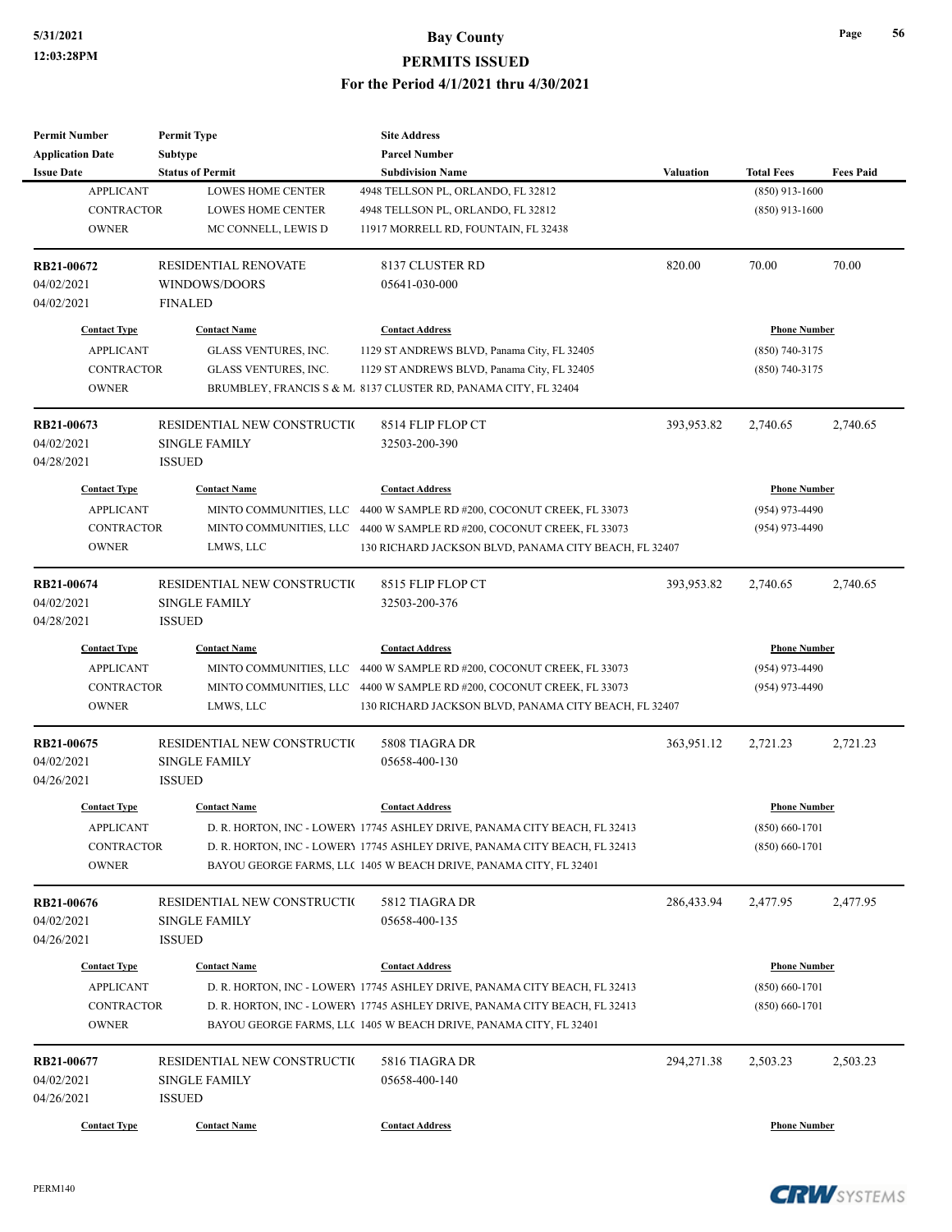| <b>Permit Number</b>     | <b>Permit Type</b>                    | <b>Site Address</b>                                                        |                  |                     |                  |
|--------------------------|---------------------------------------|----------------------------------------------------------------------------|------------------|---------------------|------------------|
| <b>Application Date</b>  | Subtype                               | <b>Parcel Number</b>                                                       |                  |                     |                  |
| <b>Issue Date</b>        | <b>Status of Permit</b>               | <b>Subdivision Name</b>                                                    | <b>Valuation</b> | <b>Total Fees</b>   | <b>Fees Paid</b> |
| <b>APPLICANT</b>         | <b>LOWES HOME CENTER</b>              | 4948 TELLSON PL, ORLANDO, FL 32812                                         |                  | $(850)$ 913-1600    |                  |
| <b>CONTRACTOR</b>        | <b>LOWES HOME CENTER</b>              | 4948 TELLSON PL, ORLANDO, FL 32812                                         |                  | $(850)$ 913-1600    |                  |
| <b>OWNER</b>             | MC CONNELL, LEWIS D                   | 11917 MORRELL RD, FOUNTAIN, FL 32438                                       |                  |                     |                  |
| RB21-00672               | <b>RESIDENTIAL RENOVATE</b>           | 8137 CLUSTER RD                                                            | 820.00           | 70.00               | 70.00            |
| 04/02/2021               | WINDOWS/DOORS                         | 05641-030-000                                                              |                  |                     |                  |
| 04/02/2021               | <b>FINALED</b>                        |                                                                            |                  |                     |                  |
| <b>Contact Type</b>      | <b>Contact Name</b>                   | <b>Contact Address</b>                                                     |                  | <b>Phone Number</b> |                  |
| <b>APPLICANT</b>         | GLASS VENTURES, INC.                  | 1129 ST ANDREWS BLVD, Panama City, FL 32405                                |                  | $(850)$ 740-3175    |                  |
| <b>CONTRACTOR</b>        | GLASS VENTURES, INC.                  | 1129 ST ANDREWS BLVD, Panama City, FL 32405                                |                  | $(850)$ 740-3175    |                  |
| <b>OWNER</b>             |                                       | BRUMBLEY, FRANCIS S & M. 8137 CLUSTER RD, PANAMA CITY, FL 32404            |                  |                     |                  |
| RB21-00673               | RESIDENTIAL NEW CONSTRUCTIO           | 8514 FLIP FLOP CT                                                          | 393,953.82       | 2,740.65            | 2,740.65         |
| 04/02/2021               | <b>SINGLE FAMILY</b>                  | 32503-200-390                                                              |                  |                     |                  |
| 04/28/2021               | <b>ISSUED</b>                         |                                                                            |                  |                     |                  |
| <b>Contact Type</b>      | <b>Contact Name</b>                   | <b>Contact Address</b>                                                     |                  | <b>Phone Number</b> |                  |
| <b>APPLICANT</b>         | MINTO COMMUNITIES, LLC                | 4400 W SAMPLE RD #200, COCONUT CREEK, FL 33073                             |                  | (954) 973-4490      |                  |
| <b>CONTRACTOR</b>        | MINTO COMMUNITIES, LLC                | 4400 W SAMPLE RD #200, COCONUT CREEK, FL 33073                             |                  | (954) 973-4490      |                  |
| <b>OWNER</b>             | LMWS, LLC                             | 130 RICHARD JACKSON BLVD, PANAMA CITY BEACH, FL 32407                      |                  |                     |                  |
| RB21-00674               |                                       | 8515 FLIP FLOP CT                                                          |                  |                     |                  |
|                          | RESIDENTIAL NEW CONSTRUCTIO           |                                                                            | 393,953.82       | 2,740.65            | 2,740.65         |
| 04/02/2021<br>04/28/2021 | <b>SINGLE FAMILY</b><br><b>ISSUED</b> | 32503-200-376                                                              |                  |                     |                  |
|                          |                                       |                                                                            |                  |                     |                  |
| <b>Contact Type</b>      | <b>Contact Name</b>                   | <b>Contact Address</b>                                                     |                  | <b>Phone Number</b> |                  |
| <b>APPLICANT</b>         |                                       | MINTO COMMUNITIES, LLC 4400 W SAMPLE RD #200, COCONUT CREEK, FL 33073      |                  | (954) 973-4490      |                  |
| <b>CONTRACTOR</b>        |                                       | MINTO COMMUNITIES, LLC 4400 W SAMPLE RD #200, COCONUT CREEK, FL 33073      |                  | $(954)$ 973-4490    |                  |
| <b>OWNER</b>             | LMWS, LLC                             | 130 RICHARD JACKSON BLVD, PANAMA CITY BEACH, FL 32407                      |                  |                     |                  |
| RB21-00675               | RESIDENTIAL NEW CONSTRUCTIO           | 5808 TIAGRA DR                                                             | 363,951.12       | 2,721.23            | 2,721.23         |
| 04/02/2021               | <b>SINGLE FAMILY</b>                  | 05658-400-130                                                              |                  |                     |                  |
| 04/26/2021               | <b>ISSUED</b>                         |                                                                            |                  |                     |                  |
| <b>Contact Type</b>      | <b>Contact Name</b>                   | <b>Contact Address</b>                                                     |                  | <b>Phone Number</b> |                  |
| APPLICANT                |                                       | D. R. HORTON, INC - LOWERY 17745 ASHLEY DRIVE, PANAMA CITY BEACH, FL 32413 |                  | $(850) 660 - 1701$  |                  |
| <b>CONTRACTOR</b>        |                                       | D. R. HORTON, INC - LOWERY 17745 ASHLEY DRIVE, PANAMA CITY BEACH, FL 32413 |                  | $(850)$ 660-1701    |                  |
| <b>OWNER</b>             |                                       | BAYOU GEORGE FARMS, LLC 1405 W BEACH DRIVE, PANAMA CITY, FL 32401          |                  |                     |                  |
| RB21-00676               | RESIDENTIAL NEW CONSTRUCTIO           | 5812 TIAGRA DR                                                             | 286,433.94       | 2,477.95            | 2,477.95         |
| 04/02/2021               | <b>SINGLE FAMILY</b>                  | 05658-400-135                                                              |                  |                     |                  |
| 04/26/2021               | <b>ISSUED</b>                         |                                                                            |                  |                     |                  |
| <b>Contact Type</b>      | <b>Contact Name</b>                   | <b>Contact Address</b>                                                     |                  | <b>Phone Number</b> |                  |
| <b>APPLICANT</b>         |                                       | D. R. HORTON, INC - LOWERY 17745 ASHLEY DRIVE, PANAMA CITY BEACH, FL 32413 |                  | $(850) 660 - 1701$  |                  |
| CONTRACTOR               |                                       | D. R. HORTON, INC - LOWERY 17745 ASHLEY DRIVE, PANAMA CITY BEACH, FL 32413 |                  | $(850) 660 - 1701$  |                  |
| <b>OWNER</b>             |                                       | BAYOU GEORGE FARMS, LLC 1405 W BEACH DRIVE, PANAMA CITY, FL 32401          |                  |                     |                  |
| RB21-00677               | RESIDENTIAL NEW CONSTRUCTIO           | 5816 TIAGRA DR                                                             | 294,271.38       | 2,503.23            | 2,503.23         |
|                          |                                       |                                                                            |                  |                     |                  |
| 04/02/2021               | <b>SINGLE FAMILY</b>                  | 05658-400-140                                                              |                  |                     |                  |
| 04/26/2021               | <b>ISSUED</b>                         |                                                                            |                  |                     |                  |
| <b>Contact Type</b>      | <b>Contact Name</b>                   | <b>Contact Address</b>                                                     |                  | <b>Phone Number</b> |                  |

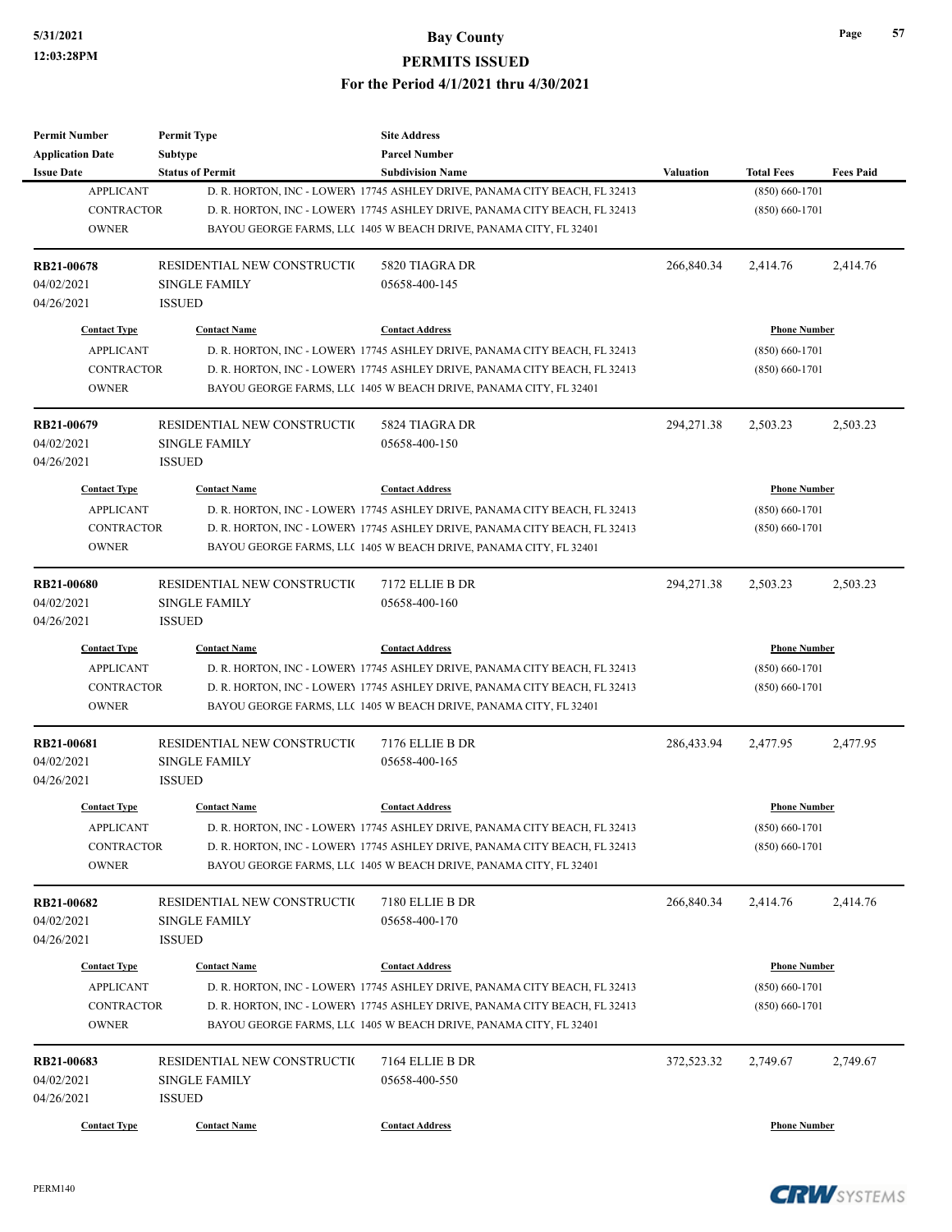| <b>Permit Number</b>    | <b>Permit Type</b>          | <b>Site Address</b>                                                        |                  |                     |                  |
|-------------------------|-----------------------------|----------------------------------------------------------------------------|------------------|---------------------|------------------|
| <b>Application Date</b> | Subtype                     | <b>Parcel Number</b>                                                       |                  |                     |                  |
| <b>Issue Date</b>       | <b>Status of Permit</b>     | <b>Subdivision Name</b>                                                    | <b>Valuation</b> | <b>Total Fees</b>   | <b>Fees Paid</b> |
| <b>APPLICANT</b>        |                             | D. R. HORTON, INC - LOWERY 17745 ASHLEY DRIVE, PANAMA CITY BEACH, FL 32413 |                  | $(850) 660 - 1701$  |                  |
| <b>CONTRACTOR</b>       |                             | D. R. HORTON, INC - LOWERY 17745 ASHLEY DRIVE, PANAMA CITY BEACH, FL 32413 |                  | $(850) 660 - 1701$  |                  |
| <b>OWNER</b>            |                             | BAYOU GEORGE FARMS, LLC 1405 W BEACH DRIVE, PANAMA CITY, FL 32401          |                  |                     |                  |
|                         |                             |                                                                            |                  |                     |                  |
| <b>RB21-00678</b>       | RESIDENTIAL NEW CONSTRUCTIO | 5820 TIAGRA DR                                                             | 266,840.34       | 2,414.76            | 2,414.76         |
| 04/02/2021              | <b>SINGLE FAMILY</b>        | 05658-400-145                                                              |                  |                     |                  |
| 04/26/2021              | <b>ISSUED</b>               |                                                                            |                  |                     |                  |
|                         |                             |                                                                            |                  |                     |                  |
| <b>Contact Type</b>     | <b>Contact Name</b>         | <b>Contact Address</b>                                                     |                  | <b>Phone Number</b> |                  |
| <b>APPLICANT</b>        |                             | D. R. HORTON, INC - LOWERY 17745 ASHLEY DRIVE, PANAMA CITY BEACH, FL 32413 |                  | $(850) 660 - 1701$  |                  |
| <b>CONTRACTOR</b>       |                             | D. R. HORTON, INC - LOWERY 17745 ASHLEY DRIVE, PANAMA CITY BEACH, FL 32413 |                  | $(850)$ 660-1701    |                  |
| <b>OWNER</b>            |                             | BAYOU GEORGE FARMS, LLC 1405 W BEACH DRIVE, PANAMA CITY, FL 32401          |                  |                     |                  |
| RB21-00679              | RESIDENTIAL NEW CONSTRUCTIO | 5824 TIAGRA DR                                                             | 294,271.38       | 2,503.23            | 2,503.23         |
| 04/02/2021              | <b>SINGLE FAMILY</b>        | 05658-400-150                                                              |                  |                     |                  |
| 04/26/2021              | <b>ISSUED</b>               |                                                                            |                  |                     |                  |
| <b>Contact Type</b>     | <b>Contact Name</b>         | <b>Contact Address</b>                                                     |                  | <b>Phone Number</b> |                  |
|                         |                             |                                                                            |                  |                     |                  |
| <b>APPLICANT</b>        |                             | D. R. HORTON, INC - LOWERY 17745 ASHLEY DRIVE, PANAMA CITY BEACH, FL 32413 |                  | $(850) 660 - 1701$  |                  |
| <b>CONTRACTOR</b>       |                             | D. R. HORTON, INC - LOWERY 17745 ASHLEY DRIVE, PANAMA CITY BEACH, FL 32413 |                  | $(850) 660 - 1701$  |                  |
| <b>OWNER</b>            |                             | BAYOU GEORGE FARMS, LLC 1405 W BEACH DRIVE, PANAMA CITY, FL 32401          |                  |                     |                  |
| <b>RB21-00680</b>       | RESIDENTIAL NEW CONSTRUCTIO | 7172 ELLIE B DR                                                            | 294,271.38       | 2,503.23            | 2,503.23         |
| 04/02/2021              | <b>SINGLE FAMILY</b>        | 05658-400-160                                                              |                  |                     |                  |
| 04/26/2021              | <b>ISSUED</b>               |                                                                            |                  |                     |                  |
| <b>Contact Type</b>     | <b>Contact Name</b>         | <b>Contact Address</b>                                                     |                  | <b>Phone Number</b> |                  |
| <b>APPLICANT</b>        |                             | D. R. HORTON, INC - LOWERY 17745 ASHLEY DRIVE, PANAMA CITY BEACH, FL 32413 |                  | $(850) 660 - 1701$  |                  |
| <b>CONTRACTOR</b>       |                             | D. R. HORTON, INC - LOWERY 17745 ASHLEY DRIVE, PANAMA CITY BEACH, FL 32413 |                  | $(850) 660 - 1701$  |                  |
| <b>OWNER</b>            |                             | BAYOU GEORGE FARMS, LLC 1405 W BEACH DRIVE, PANAMA CITY, FL 32401          |                  |                     |                  |
| <b>RB21-00681</b>       | RESIDENTIAL NEW CONSTRUCTIO | 7176 ELLIE B DR                                                            | 286,433.94       | 2,477.95            | 2,477.95         |
| 04/02/2021              | <b>SINGLE FAMILY</b>        | 05658-400-165                                                              |                  |                     |                  |
| 04/26/2021              | <b>ISSUED</b>               |                                                                            |                  |                     |                  |
|                         |                             |                                                                            |                  |                     |                  |
| <b>Contact Type</b>     | <b>Contact Name</b>         | <b>Contact Address</b>                                                     |                  | <b>Phone Number</b> |                  |
| APPLICANT               |                             | D. R. HORTON, INC - LOWERY 17745 ASHLEY DRIVE, PANAMA CITY BEACH, FL 32413 |                  | $(850) 660 - 1701$  |                  |
| CONTRACTOR              |                             | D. R. HORTON, INC - LOWERY 17745 ASHLEY DRIVE, PANAMA CITY BEACH, FL 32413 |                  | $(850)$ 660-1701    |                  |
| <b>OWNER</b>            |                             | BAYOU GEORGE FARMS, LLC 1405 W BEACH DRIVE, PANAMA CITY, FL 32401          |                  |                     |                  |
| RB21-00682              | RESIDENTIAL NEW CONSTRUCTIO | 7180 ELLIE B DR                                                            | 266,840.34       | 2,414.76            | 2,414.76         |
| 04/02/2021              | <b>SINGLE FAMILY</b>        | 05658-400-170                                                              |                  |                     |                  |
| 04/26/2021              | <b>ISSUED</b>               |                                                                            |                  |                     |                  |
|                         |                             |                                                                            |                  |                     |                  |
| <b>Contact Type</b>     | <b>Contact Name</b>         | <b>Contact Address</b>                                                     |                  | <b>Phone Number</b> |                  |
| <b>APPLICANT</b>        |                             | D. R. HORTON, INC - LOWERY 17745 ASHLEY DRIVE, PANAMA CITY BEACH, FL 32413 |                  | $(850) 660 - 1701$  |                  |
| CONTRACTOR              |                             | D. R. HORTON, INC - LOWERY 17745 ASHLEY DRIVE, PANAMA CITY BEACH, FL 32413 |                  | $(850) 660 - 1701$  |                  |
| <b>OWNER</b>            |                             | BAYOU GEORGE FARMS, LLC 1405 W BEACH DRIVE, PANAMA CITY, FL 32401          |                  |                     |                  |
| RB21-00683              | RESIDENTIAL NEW CONSTRUCTIO | 7164 ELLIE B DR                                                            | 372,523.32       | 2,749.67            | 2,749.67         |
| 04/02/2021              | <b>SINGLE FAMILY</b>        | 05658-400-550                                                              |                  |                     |                  |
| 04/26/2021              | <b>ISSUED</b>               |                                                                            |                  |                     |                  |
|                         |                             |                                                                            |                  |                     |                  |
| <b>Contact Type</b>     | <b>Contact Name</b>         | <b>Contact Address</b>                                                     |                  | <b>Phone Number</b> |                  |

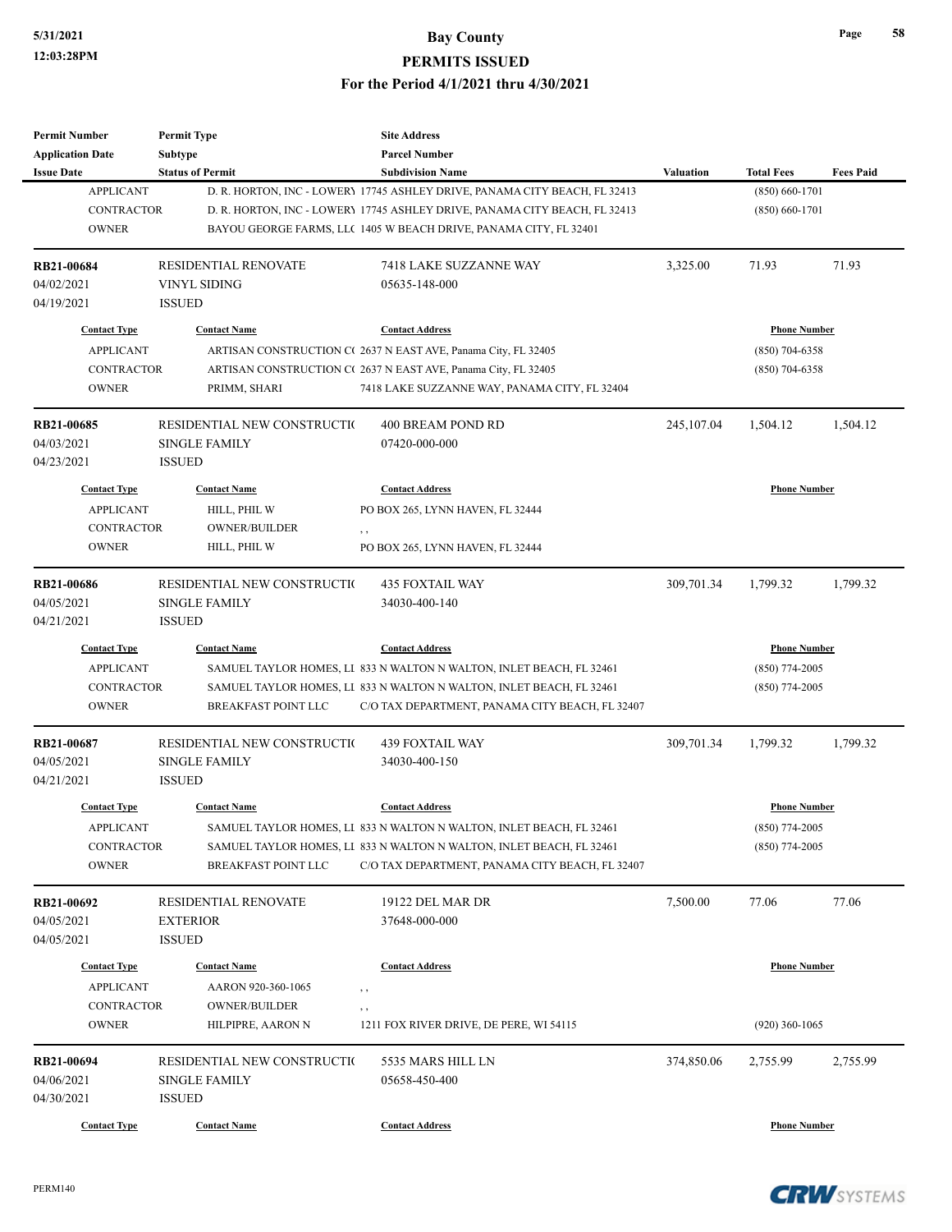| <b>Permit Number</b>    | <b>Permit Type</b>          | <b>Site Address</b>                                                        |                  |                     |                  |
|-------------------------|-----------------------------|----------------------------------------------------------------------------|------------------|---------------------|------------------|
| <b>Application Date</b> | Subtype                     | <b>Parcel Number</b>                                                       |                  |                     |                  |
| <b>Issue Date</b>       | <b>Status of Permit</b>     | <b>Subdivision Name</b>                                                    | <b>Valuation</b> | <b>Total Fees</b>   | <b>Fees Paid</b> |
| <b>APPLICANT</b>        |                             | D. R. HORTON, INC - LOWERY 17745 ASHLEY DRIVE, PANAMA CITY BEACH, FL 32413 |                  | $(850) 660 - 1701$  |                  |
| <b>CONTRACTOR</b>       |                             | D. R. HORTON, INC - LOWERY 17745 ASHLEY DRIVE, PANAMA CITY BEACH, FL 32413 |                  | $(850) 660 - 1701$  |                  |
| <b>OWNER</b>            |                             | BAYOU GEORGE FARMS, LLC 1405 W BEACH DRIVE, PANAMA CITY, FL 32401          |                  |                     |                  |
| RB21-00684              | RESIDENTIAL RENOVATE        | 7418 LAKE SUZZANNE WAY                                                     | 3,325.00         | 71.93               | 71.93            |
| 04/02/2021              | VINYL SIDING                | 05635-148-000                                                              |                  |                     |                  |
| 04/19/2021              | <b>ISSUED</b>               |                                                                            |                  |                     |                  |
| <b>Contact Type</b>     | <b>Contact Name</b>         | <b>Contact Address</b>                                                     |                  | <b>Phone Number</b> |                  |
| <b>APPLICANT</b>        |                             | ARTISAN CONSTRUCTION C(2637 N EAST AVE, Panama City, FL 32405              |                  | $(850)$ 704-6358    |                  |
| <b>CONTRACTOR</b>       |                             | ARTISAN CONSTRUCTION C(2637 N EAST AVE, Panama City, FL 32405              |                  | (850) 704-6358      |                  |
| <b>OWNER</b>            | PRIMM, SHARI                | 7418 LAKE SUZZANNE WAY, PANAMA CITY, FL 32404                              |                  |                     |                  |
| <b>RB21-00685</b>       | RESIDENTIAL NEW CONSTRUCTIO | 400 BREAM POND RD                                                          | 245,107.04       | 1,504.12            | 1,504.12         |
| 04/03/2021              | <b>SINGLE FAMILY</b>        | 07420-000-000                                                              |                  |                     |                  |
| 04/23/2021              | <b>ISSUED</b>               |                                                                            |                  |                     |                  |
| <b>Contact Type</b>     | <b>Contact Name</b>         | <b>Contact Address</b>                                                     |                  | <b>Phone Number</b> |                  |
| <b>APPLICANT</b>        | HILL, PHIL W                | PO BOX 265, LYNN HAVEN, FL 32444                                           |                  |                     |                  |
| <b>CONTRACTOR</b>       | OWNER/BUILDER               | , ,                                                                        |                  |                     |                  |
| <b>OWNER</b>            | HILL, PHIL W                | PO BOX 265, LYNN HAVEN, FL 32444                                           |                  |                     |                  |
|                         |                             |                                                                            |                  |                     |                  |
| <b>RB21-00686</b>       | RESIDENTIAL NEW CONSTRUCTIO | <b>435 FOXTAIL WAY</b>                                                     | 309,701.34       | 1,799.32            | 1,799.32         |
| 04/05/2021              | <b>SINGLE FAMILY</b>        | 34030-400-140                                                              |                  |                     |                  |
| 04/21/2021              | <b>ISSUED</b>               |                                                                            |                  |                     |                  |
| <b>Contact Type</b>     | <b>Contact Name</b>         | <b>Contact Address</b>                                                     |                  | <b>Phone Number</b> |                  |
| <b>APPLICANT</b>        |                             | SAMUEL TAYLOR HOMES, LI 833 N WALTON N WALTON, INLET BEACH, FL 32461       |                  | $(850)$ 774-2005    |                  |
| <b>CONTRACTOR</b>       |                             | SAMUEL TAYLOR HOMES, LI 833 N WALTON N WALTON, INLET BEACH, FL 32461       |                  | (850) 774-2005      |                  |
| <b>OWNER</b>            | <b>BREAKFAST POINT LLC</b>  | C/O TAX DEPARTMENT, PANAMA CITY BEACH, FL 32407                            |                  |                     |                  |
| RB21-00687              | RESIDENTIAL NEW CONSTRUCTIO | <b>439 FOXTAIL WAY</b>                                                     | 309,701.34       | 1,799.32            | 1,799.32         |
| 04/05/2021              | <b>SINGLE FAMILY</b>        | 34030-400-150                                                              |                  |                     |                  |
| 04/21/2021              | <b>ISSUED</b>               |                                                                            |                  |                     |                  |
| <b>Contact Type</b>     | <b>Contact Name</b>         | <b>Contact Address</b>                                                     |                  | <b>Phone Number</b> |                  |
| <b>APPLICANT</b>        |                             | SAMUEL TAYLOR HOMES, LI 833 N WALTON N WALTON, INLET BEACH, FL 32461       |                  | $(850)$ 774-2005    |                  |
| CONTRACTOR              |                             | SAMUEL TAYLOR HOMES, LI 833 N WALTON N WALTON, INLET BEACH, FL 32461       |                  | $(850)$ 774-2005    |                  |
| <b>OWNER</b>            | <b>BREAKFAST POINT LLC</b>  | C/O TAX DEPARTMENT, PANAMA CITY BEACH, FL 32407                            |                  |                     |                  |
| RB21-00692              | RESIDENTIAL RENOVATE        | 19122 DEL MAR DR                                                           | 7,500.00         | 77.06               | 77.06            |
| 04/05/2021              | <b>EXTERIOR</b>             | 37648-000-000                                                              |                  |                     |                  |
| 04/05/2021              | <b>ISSUED</b>               |                                                                            |                  |                     |                  |
|                         |                             |                                                                            |                  |                     |                  |
| <b>Contact Type</b>     | <b>Contact Name</b>         | <b>Contact Address</b>                                                     |                  | <b>Phone Number</b> |                  |
| <b>APPLICANT</b>        | AARON 920-360-1065          | , ,                                                                        |                  |                     |                  |
| <b>CONTRACTOR</b>       | <b>OWNER/BUILDER</b>        | , ,                                                                        |                  |                     |                  |
| <b>OWNER</b>            | HILPIPRE, AARON N           | 1211 FOX RIVER DRIVE, DE PERE, WI 54115                                    |                  | $(920)$ 360-1065    |                  |
| RB21-00694              | RESIDENTIAL NEW CONSTRUCTIO | 5535 MARS HILL LN                                                          | 374,850.06       | 2,755.99            | 2,755.99         |
| 04/06/2021              | <b>SINGLE FAMILY</b>        | 05658-450-400                                                              |                  |                     |                  |
| 04/30/2021              | <b>ISSUED</b>               |                                                                            |                  |                     |                  |
| <b>Contact Type</b>     | <b>Contact Name</b>         | <b>Contact Address</b>                                                     |                  | <b>Phone Number</b> |                  |
|                         |                             |                                                                            |                  |                     |                  |

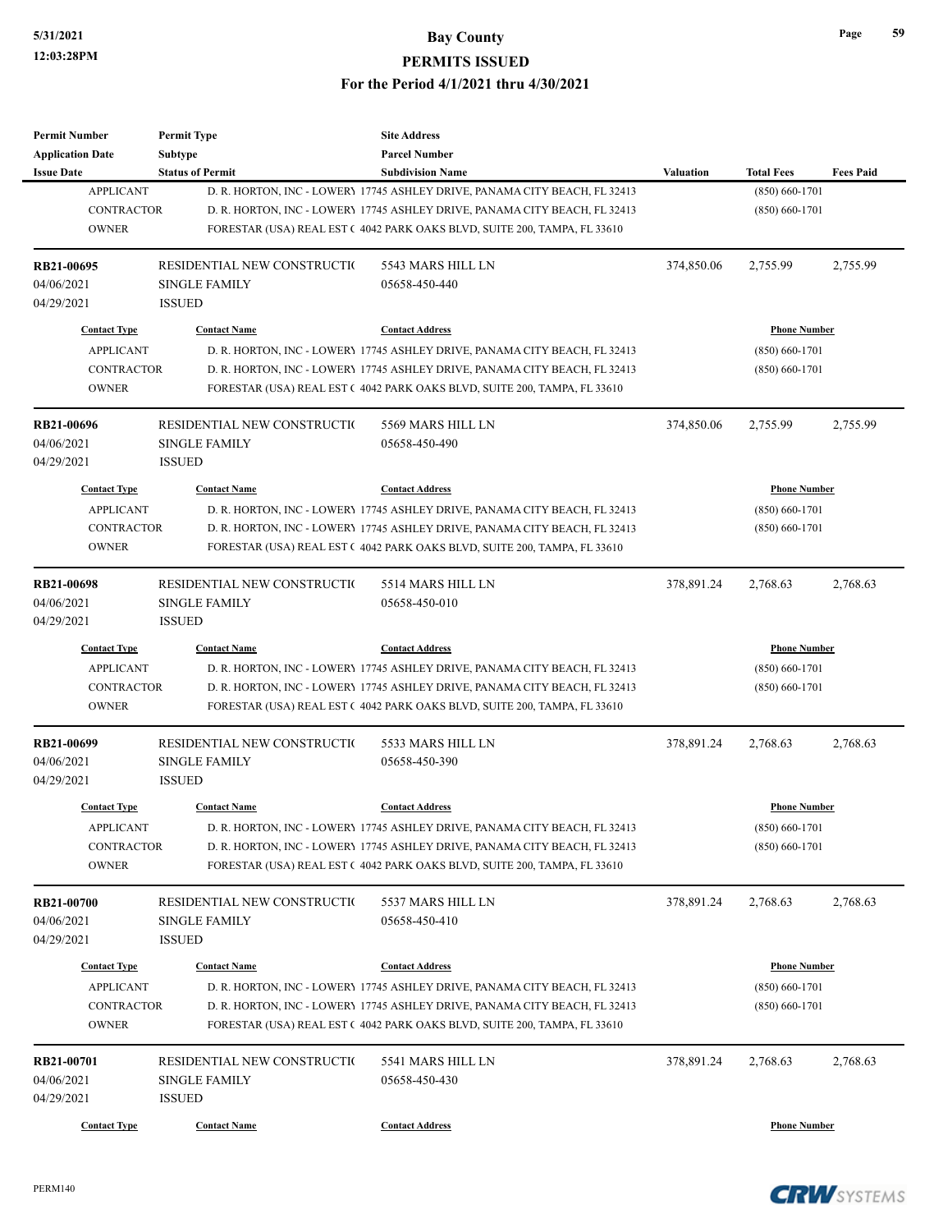| <b>Permit Number</b>    | <b>Permit Type</b>          | <b>Site Address</b>                                                        |                  |                     |                  |
|-------------------------|-----------------------------|----------------------------------------------------------------------------|------------------|---------------------|------------------|
| <b>Application Date</b> | Subtype                     | <b>Parcel Number</b>                                                       |                  |                     |                  |
| <b>Issue Date</b>       | <b>Status of Permit</b>     | <b>Subdivision Name</b>                                                    | <b>Valuation</b> | <b>Total Fees</b>   | <b>Fees Paid</b> |
| <b>APPLICANT</b>        |                             | D. R. HORTON, INC - LOWERY 17745 ASHLEY DRIVE, PANAMA CITY BEACH, FL 32413 |                  | $(850) 660 - 1701$  |                  |
| <b>CONTRACTOR</b>       |                             | D. R. HORTON, INC - LOWERY 17745 ASHLEY DRIVE, PANAMA CITY BEACH, FL 32413 |                  | $(850) 660 - 1701$  |                  |
| <b>OWNER</b>            |                             | FORESTAR (USA) REAL EST (4042 PARK OAKS BLVD, SUITE 200, TAMPA, FL 33610   |                  |                     |                  |
|                         |                             |                                                                            |                  |                     |                  |
| RB21-00695              | RESIDENTIAL NEW CONSTRUCTIO | 5543 MARS HILL LN                                                          | 374,850.06       | 2,755.99            | 2,755.99         |
| 04/06/2021              | <b>SINGLE FAMILY</b>        | 05658-450-440                                                              |                  |                     |                  |
| 04/29/2021              | <b>ISSUED</b>               |                                                                            |                  |                     |                  |
|                         |                             |                                                                            |                  |                     |                  |
| <b>Contact Type</b>     | <b>Contact Name</b>         | <b>Contact Address</b>                                                     |                  | <b>Phone Number</b> |                  |
| <b>APPLICANT</b>        |                             | D. R. HORTON, INC - LOWERY 17745 ASHLEY DRIVE, PANAMA CITY BEACH, FL 32413 |                  | $(850) 660 - 1701$  |                  |
| <b>CONTRACTOR</b>       |                             | D. R. HORTON, INC - LOWERY 17745 ASHLEY DRIVE, PANAMA CITY BEACH, FL 32413 |                  | $(850) 660 - 1701$  |                  |
| <b>OWNER</b>            |                             | FORESTAR (USA) REAL EST (4042 PARK OAKS BLVD, SUITE 200, TAMPA, FL 33610   |                  |                     |                  |
|                         |                             |                                                                            |                  |                     |                  |
| RB21-00696              | RESIDENTIAL NEW CONSTRUCTIO | 5569 MARS HILL LN                                                          | 374,850.06       | 2,755.99            | 2,755.99         |
| 04/06/2021              | <b>SINGLE FAMILY</b>        | 05658-450-490                                                              |                  |                     |                  |
| 04/29/2021              | <b>ISSUED</b>               |                                                                            |                  |                     |                  |
| <b>Contact Type</b>     | <b>Contact Name</b>         | <b>Contact Address</b>                                                     |                  | <b>Phone Number</b> |                  |
|                         |                             |                                                                            |                  |                     |                  |
| <b>APPLICANT</b>        |                             | D. R. HORTON, INC - LOWERY 17745 ASHLEY DRIVE, PANAMA CITY BEACH, FL 32413 |                  | $(850) 660 - 1701$  |                  |
| <b>CONTRACTOR</b>       |                             | D. R. HORTON, INC - LOWERY 17745 ASHLEY DRIVE, PANAMA CITY BEACH, FL 32413 |                  | $(850) 660 - 1701$  |                  |
| <b>OWNER</b>            |                             | FORESTAR (USA) REAL EST (4042 PARK OAKS BLVD, SUITE 200, TAMPA, FL 33610   |                  |                     |                  |
| <b>RB21-00698</b>       | RESIDENTIAL NEW CONSTRUCTIO | 5514 MARS HILL LN                                                          | 378,891.24       | 2,768.63            | 2,768.63         |
| 04/06/2021              | <b>SINGLE FAMILY</b>        | 05658-450-010                                                              |                  |                     |                  |
|                         |                             |                                                                            |                  |                     |                  |
| 04/29/2021              | <b>ISSUED</b>               |                                                                            |                  |                     |                  |
| <b>Contact Type</b>     | <b>Contact Name</b>         | <b>Contact Address</b>                                                     |                  | <b>Phone Number</b> |                  |
| <b>APPLICANT</b>        |                             | D. R. HORTON, INC - LOWERY 17745 ASHLEY DRIVE, PANAMA CITY BEACH, FL 32413 |                  | $(850) 660 - 1701$  |                  |
| <b>CONTRACTOR</b>       |                             | D. R. HORTON, INC - LOWERY 17745 ASHLEY DRIVE, PANAMA CITY BEACH, FL 32413 |                  | $(850)$ 660-1701    |                  |
| <b>OWNER</b>            |                             | FORESTAR (USA) REAL EST (4042 PARK OAKS BLVD, SUITE 200, TAMPA, FL 33610   |                  |                     |                  |
|                         |                             |                                                                            |                  |                     |                  |
| RB21-00699              | RESIDENTIAL NEW CONSTRUCTIO | 5533 MARS HILL LN                                                          | 378,891.24       | 2,768.63            | 2,768.63         |
| 04/06/2021              | <b>SINGLE FAMILY</b>        | 05658-450-390                                                              |                  |                     |                  |
| 04/29/2021              | <b>ISSUED</b>               |                                                                            |                  |                     |                  |
| <b>Contact Type</b>     | <b>Contact Name</b>         | <b>Contact Address</b>                                                     |                  | <b>Phone Number</b> |                  |
| <b>APPLICANT</b>        |                             | D. R. HORTON, INC - LOWERY 17745 ASHLEY DRIVE, PANAMA CITY BEACH, FL 32413 |                  | $(850) 660 - 1701$  |                  |
| CONTRACTOR              |                             | D. R. HORTON, INC - LOWERY 17745 ASHLEY DRIVE, PANAMA CITY BEACH, FL 32413 |                  | $(850) 660 - 1701$  |                  |
| <b>OWNER</b>            |                             | FORESTAR (USA) REAL EST (4042 PARK OAKS BLVD, SUITE 200, TAMPA, FL 33610   |                  |                     |                  |
|                         |                             |                                                                            |                  |                     |                  |
| RB21-00700              | RESIDENTIAL NEW CONSTRUCTIO | 5537 MARS HILL LN                                                          | 378,891.24       | 2,768.63            | 2,768.63         |
| 04/06/2021              | <b>SINGLE FAMILY</b>        | 05658-450-410                                                              |                  |                     |                  |
| 04/29/2021              | <b>ISSUED</b>               |                                                                            |                  |                     |                  |
|                         |                             |                                                                            |                  |                     |                  |
| <b>Contact Type</b>     | <b>Contact Name</b>         | <b>Contact Address</b>                                                     |                  | <b>Phone Number</b> |                  |
| <b>APPLICANT</b>        |                             | D. R. HORTON, INC - LOWERY 17745 ASHLEY DRIVE, PANAMA CITY BEACH, FL 32413 |                  | $(850) 660 - 1701$  |                  |
| <b>CONTRACTOR</b>       |                             | D. R. HORTON, INC - LOWERY 17745 ASHLEY DRIVE, PANAMA CITY BEACH, FL 32413 |                  | $(850) 660 - 1701$  |                  |
| <b>OWNER</b>            |                             | FORESTAR (USA) REAL EST (4042 PARK OAKS BLVD, SUITE 200, TAMPA, FL 33610   |                  |                     |                  |
|                         |                             |                                                                            |                  |                     |                  |
| RB21-00701              | RESIDENTIAL NEW CONSTRUCTIO | 5541 MARS HILL LN                                                          | 378,891.24       | 2,768.63            | 2,768.63         |
| 04/06/2021              | <b>SINGLE FAMILY</b>        | 05658-450-430                                                              |                  |                     |                  |
| 04/29/2021              | <b>ISSUED</b>               |                                                                            |                  |                     |                  |
| <b>Contact Type</b>     | <b>Contact Name</b>         | <b>Contact Address</b>                                                     |                  | <b>Phone Number</b> |                  |

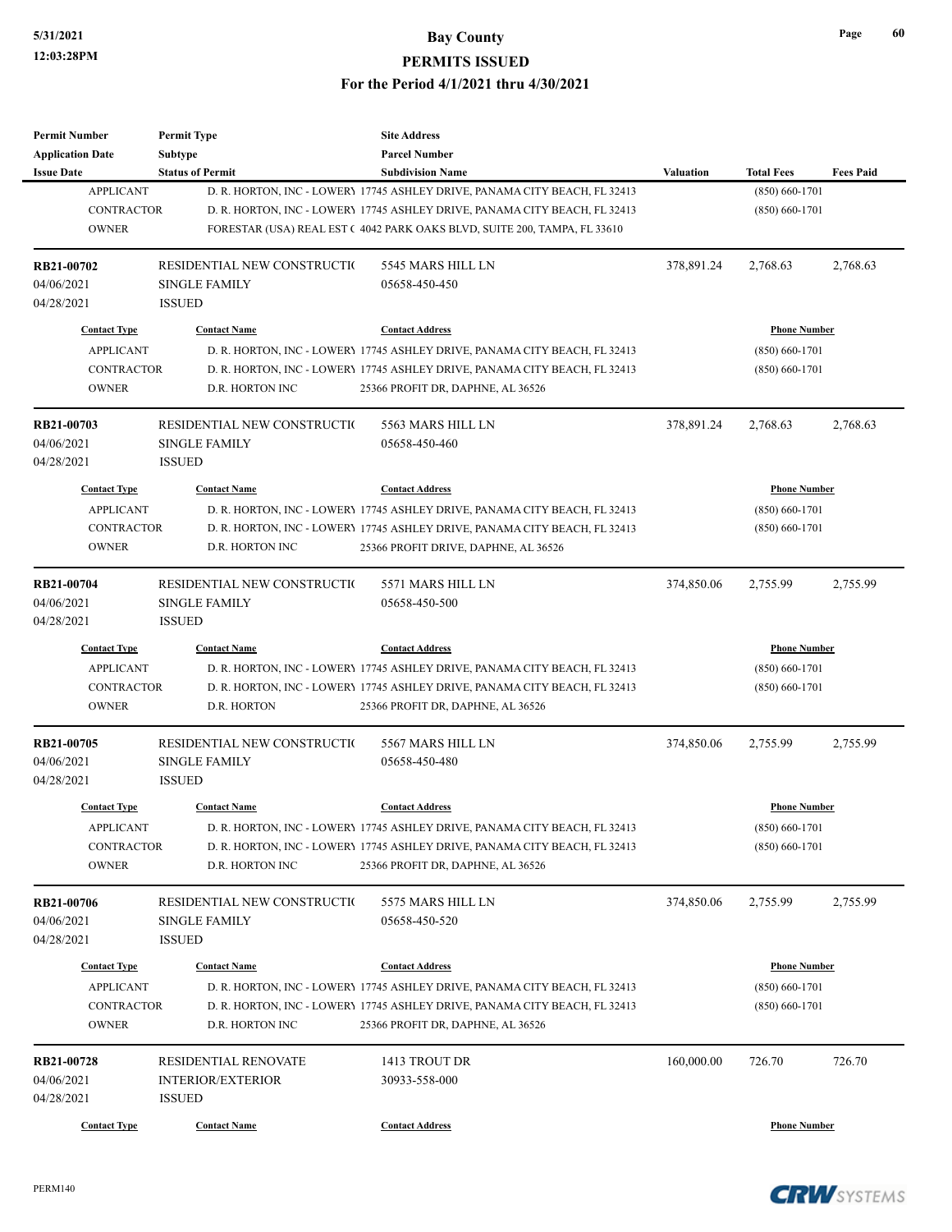| Permit Number<br><b>Application Date</b> | <b>Permit Type</b><br><b>Subtype</b> | <b>Site Address</b><br><b>Parcel Number</b>                                |            |                     |                  |
|------------------------------------------|--------------------------------------|----------------------------------------------------------------------------|------------|---------------------|------------------|
| <b>Issue Date</b>                        | <b>Status of Permit</b>              | <b>Subdivision Name</b>                                                    | Valuation  | <b>Total Fees</b>   | <b>Fees Paid</b> |
| <b>APPLICANT</b>                         |                                      | D. R. HORTON, INC - LOWERY 17745 ASHLEY DRIVE, PANAMA CITY BEACH, FL 32413 |            | $(850) 660 - 1701$  |                  |
| <b>CONTRACTOR</b>                        |                                      | D. R. HORTON, INC - LOWERY 17745 ASHLEY DRIVE, PANAMA CITY BEACH, FL 32413 |            | $(850) 660 - 1701$  |                  |
| <b>OWNER</b>                             |                                      | FORESTAR (USA) REAL EST (4042 PARK OAKS BLVD, SUITE 200, TAMPA, FL 33610   |            |                     |                  |
| RB21-00702                               | RESIDENTIAL NEW CONSTRUCTIO          | 5545 MARS HILL LN                                                          | 378,891.24 | 2,768.63            | 2,768.63         |
| 04/06/2021                               | <b>SINGLE FAMILY</b>                 | 05658-450-450                                                              |            |                     |                  |
| 04/28/2021                               | <b>ISSUED</b>                        |                                                                            |            |                     |                  |
| <b>Contact Type</b>                      | <b>Contact Name</b>                  | <b>Contact Address</b>                                                     |            | <b>Phone Number</b> |                  |
| <b>APPLICANT</b>                         |                                      | D. R. HORTON, INC - LOWERY 17745 ASHLEY DRIVE, PANAMA CITY BEACH, FL 32413 |            | $(850) 660 - 1701$  |                  |
| <b>CONTRACTOR</b>                        |                                      | D. R. HORTON, INC - LOWERY 17745 ASHLEY DRIVE, PANAMA CITY BEACH, FL 32413 |            | $(850) 660 - 1701$  |                  |
| <b>OWNER</b>                             | D.R. HORTON INC                      | 25366 PROFIT DR, DAPHNE, AL 36526                                          |            |                     |                  |
| RB21-00703                               | RESIDENTIAL NEW CONSTRUCTIO          | 5563 MARS HILL LN                                                          | 378,891.24 | 2,768.63            | 2,768.63         |
| 04/06/2021                               | <b>SINGLE FAMILY</b>                 | 05658-450-460                                                              |            |                     |                  |
| 04/28/2021                               | <b>ISSUED</b>                        |                                                                            |            |                     |                  |
| <b>Contact Type</b>                      | <b>Contact Name</b>                  | <b>Contact Address</b>                                                     |            | <b>Phone Number</b> |                  |
| <b>APPLICANT</b>                         |                                      | D. R. HORTON, INC - LOWERY 17745 ASHLEY DRIVE, PANAMA CITY BEACH, FL 32413 |            | $(850) 660 - 1701$  |                  |
| <b>CONTRACTOR</b>                        |                                      | D. R. HORTON, INC - LOWERY 17745 ASHLEY DRIVE, PANAMA CITY BEACH, FL 32413 |            | $(850) 660 - 1701$  |                  |
| <b>OWNER</b>                             | D.R. HORTON INC                      | 25366 PROFIT DRIVE, DAPHNE, AL 36526                                       |            |                     |                  |
| RB21-00704                               | RESIDENTIAL NEW CONSTRUCTIO          | 5571 MARS HILL LN                                                          | 374,850.06 | 2,755.99            | 2,755.99         |
| 04/06/2021                               | <b>SINGLE FAMILY</b>                 | 05658-450-500                                                              |            |                     |                  |
| 04/28/2021                               | <b>ISSUED</b>                        |                                                                            |            |                     |                  |
| <b>Contact Type</b>                      | <b>Contact Name</b>                  | <b>Contact Address</b>                                                     |            | <b>Phone Number</b> |                  |
| <b>APPLICANT</b>                         |                                      | D. R. HORTON, INC - LOWERY 17745 ASHLEY DRIVE, PANAMA CITY BEACH, FL 32413 |            | $(850) 660 - 1701$  |                  |
| <b>CONTRACTOR</b>                        |                                      | D. R. HORTON, INC - LOWERY 17745 ASHLEY DRIVE, PANAMA CITY BEACH, FL 32413 |            | $(850) 660 - 1701$  |                  |
| <b>OWNER</b>                             | D.R. HORTON                          | 25366 PROFIT DR, DAPHNE, AL 36526                                          |            |                     |                  |
| RB21-00705                               | RESIDENTIAL NEW CONSTRUCTIO          | 5567 MARS HILL LN                                                          | 374,850.06 | 2,755.99            | 2,755.99         |
| 04/06/2021                               | <b>SINGLE FAMILY</b>                 | 05658-450-480                                                              |            |                     |                  |
| 04/28/2021                               | <b>ISSUED</b>                        |                                                                            |            |                     |                  |
| <b>Contact Type</b>                      | <b>Contact Name</b>                  | <b>Contact Address</b>                                                     |            | <b>Phone Number</b> |                  |
| APPLICANT                                |                                      | D. R. HORTON, INC - LOWERY 17745 ASHLEY DRIVE, PANAMA CITY BEACH, FL 32413 |            | $(850) 660 - 1701$  |                  |
| CONTRACTOR                               |                                      | D. R. HORTON, INC - LOWERY 17745 ASHLEY DRIVE, PANAMA CITY BEACH, FL 32413 |            | $(850)$ 660-1701    |                  |
| <b>OWNER</b>                             | D.R. HORTON INC                      | 25366 PROFIT DR, DAPHNE, AL 36526                                          |            |                     |                  |
| RB21-00706                               | RESIDENTIAL NEW CONSTRUCTIO          | 5575 MARS HILL LN                                                          | 374,850.06 | 2,755.99            | 2,755.99         |
| 04/06/2021                               | <b>SINGLE FAMILY</b>                 | 05658-450-520                                                              |            |                     |                  |
| 04/28/2021                               | <b>ISSUED</b>                        |                                                                            |            |                     |                  |
| <b>Contact Type</b>                      | <b>Contact Name</b>                  | <b>Contact Address</b>                                                     |            | <b>Phone Number</b> |                  |
| <b>APPLICANT</b>                         |                                      | D. R. HORTON, INC - LOWERY 17745 ASHLEY DRIVE, PANAMA CITY BEACH, FL 32413 |            | $(850) 660 - 1701$  |                  |
| <b>CONTRACTOR</b>                        |                                      | D. R. HORTON, INC - LOWERY 17745 ASHLEY DRIVE, PANAMA CITY BEACH, FL 32413 |            | $(850) 660 - 1701$  |                  |
| <b>OWNER</b>                             | D.R. HORTON INC                      | 25366 PROFIT DR, DAPHNE, AL 36526                                          |            |                     |                  |
| RB21-00728                               | RESIDENTIAL RENOVATE                 | 1413 TROUT DR                                                              | 160,000.00 | 726.70              | 726.70           |
| 04/06/2021                               | <b>INTERIOR/EXTERIOR</b>             | 30933-558-000                                                              |            |                     |                  |
| 04/28/2021                               | <b>ISSUED</b>                        |                                                                            |            |                     |                  |
| <b>Contact Type</b>                      | <b>Contact Name</b>                  | <b>Contact Address</b>                                                     |            | <b>Phone Number</b> |                  |

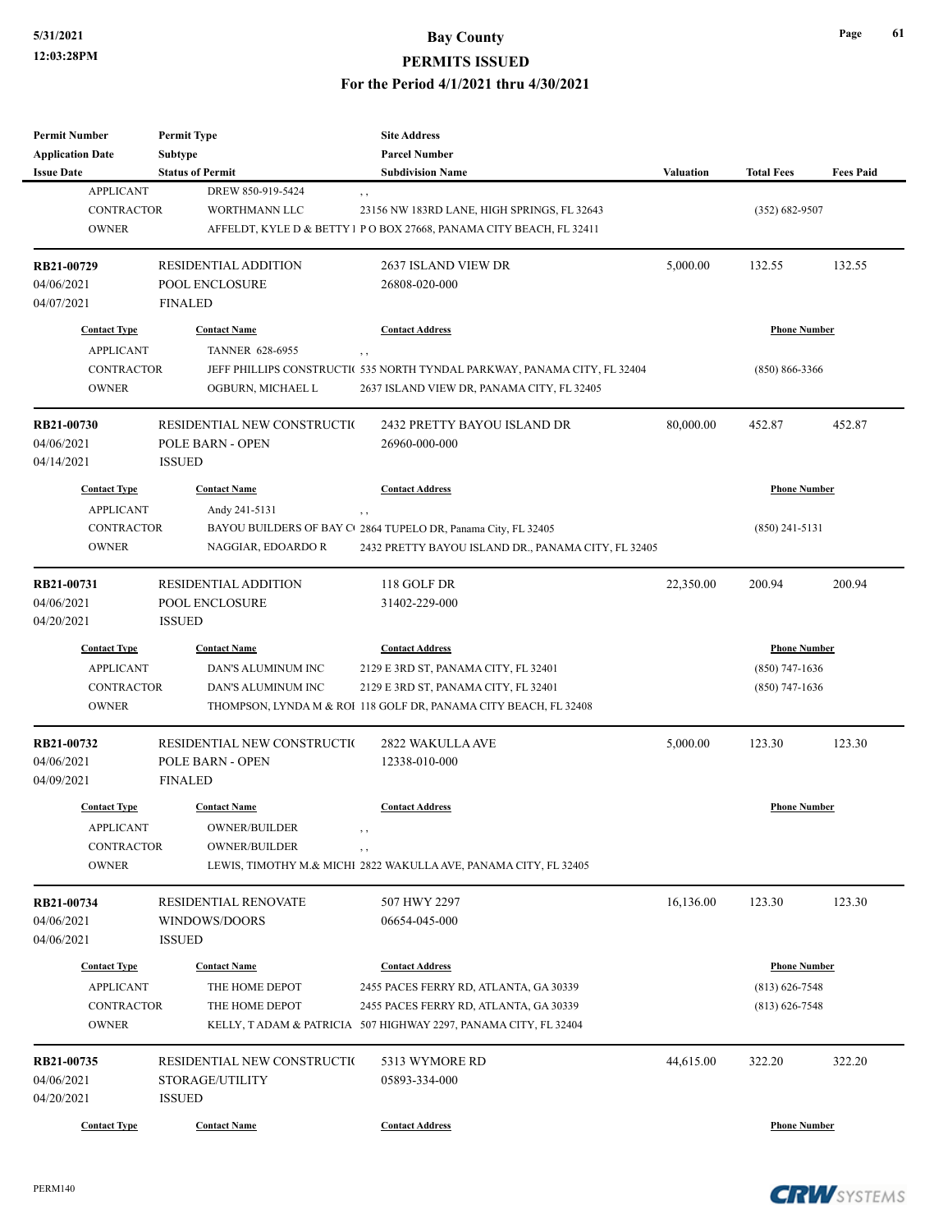| <b>Permit Number</b>    | <b>Permit Type</b>          | <b>Site Address</b>                                                       |                  |                     |                  |
|-------------------------|-----------------------------|---------------------------------------------------------------------------|------------------|---------------------|------------------|
| <b>Application Date</b> | Subtype                     | <b>Parcel Number</b>                                                      |                  |                     |                  |
| <b>Issue Date</b>       | <b>Status of Permit</b>     | <b>Subdivision Name</b>                                                   | <b>Valuation</b> | <b>Total Fees</b>   | <b>Fees Paid</b> |
| <b>APPLICANT</b>        | DREW 850-919-5424           | $, \, ,$                                                                  |                  |                     |                  |
| CONTRACTOR              | WORTHMANN LLC               | 23156 NW 183RD LANE, HIGH SPRINGS, FL 32643                               |                  | $(352) 682 - 9507$  |                  |
| <b>OWNER</b>            |                             | AFFELDT, KYLE D & BETTY I PO BOX 27668, PANAMA CITY BEACH, FL 32411       |                  |                     |                  |
| RB21-00729              | <b>RESIDENTIAL ADDITION</b> | 2637 ISLAND VIEW DR                                                       | 5,000.00         | 132.55              | 132.55           |
| 04/06/2021              | POOL ENCLOSURE              | 26808-020-000                                                             |                  |                     |                  |
| 04/07/2021              | <b>FINALED</b>              |                                                                           |                  |                     |                  |
| <b>Contact Type</b>     | <b>Contact Name</b>         | <b>Contact Address</b>                                                    |                  | <b>Phone Number</b> |                  |
| <b>APPLICANT</b>        | TANNER 628-6955             | , ,                                                                       |                  |                     |                  |
| CONTRACTOR              |                             | JEFF PHILLIPS CONSTRUCTI( 535 NORTH TYNDAL PARKWAY, PANAMA CITY, FL 32404 |                  | $(850) 866 - 3366$  |                  |
| <b>OWNER</b>            | OGBURN, MICHAEL L           | 2637 ISLAND VIEW DR, PANAMA CITY, FL 32405                                |                  |                     |                  |
| RB21-00730              | RESIDENTIAL NEW CONSTRUCTIO | 2432 PRETTY BAYOU ISLAND DR                                               | 80,000.00        | 452.87              | 452.87           |
| 04/06/2021              | POLE BARN - OPEN            | 26960-000-000                                                             |                  |                     |                  |
| 04/14/2021              | <b>ISSUED</b>               |                                                                           |                  |                     |                  |
| <b>Contact Type</b>     | <b>Contact Name</b>         | <b>Contact Address</b>                                                    |                  | <b>Phone Number</b> |                  |
| <b>APPLICANT</b>        | Andy 241-5131               | , ,                                                                       |                  |                     |                  |
| <b>CONTRACTOR</b>       |                             | BAYOU BUILDERS OF BAY C 2864 TUPELO DR, Panama City, FL 32405             |                  | $(850)$ 241-5131    |                  |
| <b>OWNER</b>            | NAGGIAR, EDOARDO R          | 2432 PRETTY BAYOU ISLAND DR., PANAMA CITY, FL 32405                       |                  |                     |                  |
|                         |                             |                                                                           |                  |                     |                  |
| RB21-00731              | <b>RESIDENTIAL ADDITION</b> | 118 GOLF DR                                                               | 22,350.00        | 200.94              | 200.94           |
| 04/06/2021              | POOL ENCLOSURE              | 31402-229-000                                                             |                  |                     |                  |
| 04/20/2021              | <b>ISSUED</b>               |                                                                           |                  |                     |                  |
| <b>Contact Type</b>     | <b>Contact Name</b>         | <b>Contact Address</b>                                                    |                  | <b>Phone Number</b> |                  |
| <b>APPLICANT</b>        | DAN'S ALUMINUM INC          | 2129 E 3RD ST, PANAMA CITY, FL 32401                                      |                  | $(850)$ 747-1636    |                  |
| <b>CONTRACTOR</b>       | DAN'S ALUMINUM INC          | 2129 E 3RD ST, PANAMA CITY, FL 32401                                      |                  | $(850)$ 747-1636    |                  |
| <b>OWNER</b>            |                             | THOMPSON, LYNDA M & ROI 118 GOLF DR, PANAMA CITY BEACH, FL 32408          |                  |                     |                  |
| RB21-00732              | RESIDENTIAL NEW CONSTRUCTIO | 2822 WAKULLA AVE                                                          | 5,000.00         | 123.30              | 123.30           |
| 04/06/2021              | <b>POLE BARN - OPEN</b>     | 12338-010-000                                                             |                  |                     |                  |
| 04/09/2021              | <b>FINALED</b>              |                                                                           |                  |                     |                  |
| <b>Contact Type</b>     |                             | <b>Contact Address</b>                                                    |                  | <b>Phone Number</b> |                  |
|                         | <b>Contact Name</b>         |                                                                           |                  |                     |                  |
| <b>APPLICANT</b>        | OWNER/BUILDER               |                                                                           |                  |                     |                  |
| <b>CONTRACTOR</b>       | <b>OWNER/BUILDER</b>        | , ,                                                                       |                  |                     |                  |
| <b>OWNER</b>            |                             | LEWIS, TIMOTHY M.& MICHI 2822 WAKULLA AVE, PANAMA CITY, FL 32405          |                  |                     |                  |
| RB21-00734              | RESIDENTIAL RENOVATE        | 507 HWY 2297                                                              | 16,136.00        | 123.30              | 123.30           |
| 04/06/2021              | WINDOWS/DOORS               | 06654-045-000                                                             |                  |                     |                  |
| 04/06/2021              | <b>ISSUED</b>               |                                                                           |                  |                     |                  |
| <b>Contact Type</b>     | <b>Contact Name</b>         | <b>Contact Address</b>                                                    |                  | <b>Phone Number</b> |                  |
| <b>APPLICANT</b>        | THE HOME DEPOT              | 2455 PACES FERRY RD, ATLANTA, GA 30339                                    |                  | $(813)$ 626-7548    |                  |
| <b>CONTRACTOR</b>       | THE HOME DEPOT              | 2455 PACES FERRY RD, ATLANTA, GA 30339                                    |                  | $(813) 626 - 7548$  |                  |
| <b>OWNER</b>            |                             | KELLY, TADAM & PATRICIA 507 HIGHWAY 2297, PANAMA CITY, FL 32404           |                  |                     |                  |
|                         |                             |                                                                           |                  |                     |                  |
| RB21-00735              | RESIDENTIAL NEW CONSTRUCTIO | 5313 WYMORE RD                                                            | 44,615.00        | 322.20              | 322.20           |
| 04/06/2021              | STORAGE/UTILITY             | 05893-334-000                                                             |                  |                     |                  |
| 04/20/2021              | <b>ISSUED</b>               |                                                                           |                  |                     |                  |
| <b>Contact Type</b>     | <b>Contact Name</b>         | <b>Contact Address</b>                                                    |                  | <b>Phone Number</b> |                  |

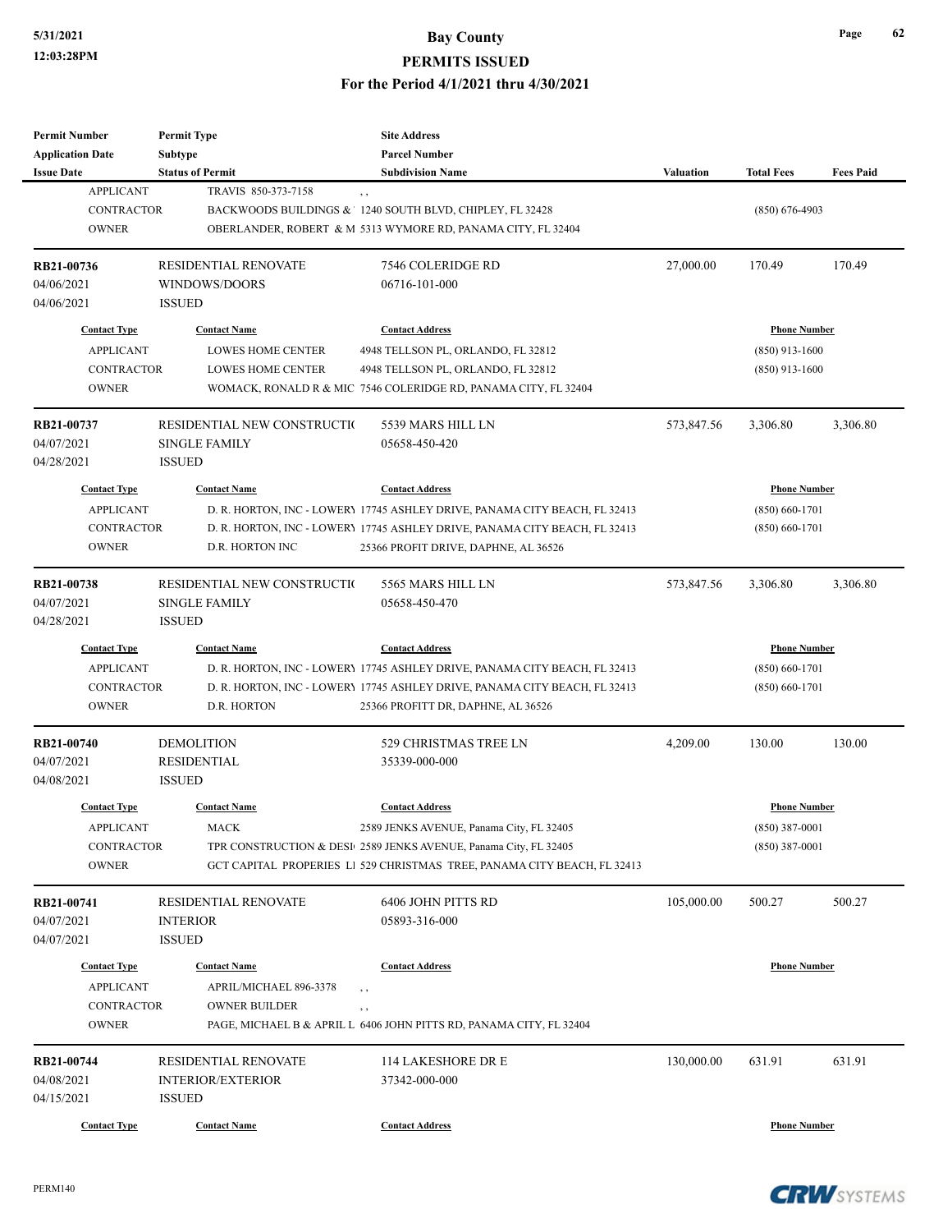| <b>Permit Number</b>    | <b>Permit Type</b>          | <b>Site Address</b>                                                           |                  |                     |                  |
|-------------------------|-----------------------------|-------------------------------------------------------------------------------|------------------|---------------------|------------------|
| <b>Application Date</b> | Subtype                     | <b>Parcel Number</b>                                                          |                  |                     |                  |
| <b>Issue Date</b>       | <b>Status of Permit</b>     | <b>Subdivision Name</b>                                                       | <b>Valuation</b> | <b>Total Fees</b>   | <b>Fees Paid</b> |
| <b>APPLICANT</b>        | TRAVIS 850-373-7158         | $, \, , \,$                                                                   |                  |                     |                  |
| <b>CONTRACTOR</b>       |                             | BACKWOODS BUILDINGS & 1240 SOUTH BLVD, CHIPLEY, FL 32428                      |                  | $(850)$ 676-4903    |                  |
| <b>OWNER</b>            |                             | OBERLANDER, ROBERT & M 5313 WYMORE RD, PANAMA CITY, FL 32404                  |                  |                     |                  |
| RB21-00736              | RESIDENTIAL RENOVATE        | 7546 COLERIDGE RD                                                             | 27,000.00        | 170.49              | 170.49           |
| 04/06/2021              | WINDOWS/DOORS               | 06716-101-000                                                                 |                  |                     |                  |
| 04/06/2021              | <b>ISSUED</b>               |                                                                               |                  |                     |                  |
| <b>Contact Type</b>     | <b>Contact Name</b>         | <b>Contact Address</b>                                                        |                  | <b>Phone Number</b> |                  |
| <b>APPLICANT</b>        | <b>LOWES HOME CENTER</b>    | 4948 TELLSON PL, ORLANDO, FL 32812                                            |                  | $(850)$ 913-1600    |                  |
| <b>CONTRACTOR</b>       | <b>LOWES HOME CENTER</b>    | 4948 TELLSON PL, ORLANDO, FL 32812                                            |                  | $(850)$ 913-1600    |                  |
| <b>OWNER</b>            |                             | WOMACK, RONALD R & MIC 7546 COLERIDGE RD, PANAMA CITY, FL 32404               |                  |                     |                  |
| RB21-00737              | RESIDENTIAL NEW CONSTRUCTIO | 5539 MARS HILL LN                                                             | 573,847.56       | 3,306.80            | 3,306.80         |
| 04/07/2021              | <b>SINGLE FAMILY</b>        | 05658-450-420                                                                 |                  |                     |                  |
| 04/28/2021              | <b>ISSUED</b>               |                                                                               |                  |                     |                  |
| <b>Contact Type</b>     | <b>Contact Name</b>         | <b>Contact Address</b>                                                        |                  | <b>Phone Number</b> |                  |
| <b>APPLICANT</b>        |                             | D. R. HORTON, INC - LOWERY 17745 ASHLEY DRIVE, PANAMA CITY BEACH, FL 32413    |                  | $(850) 660 - 1701$  |                  |
| <b>CONTRACTOR</b>       |                             | D. R. HORTON, INC - LOWERY 17745 ASHLEY DRIVE, PANAMA CITY BEACH, FL 32413    |                  | $(850) 660 - 1701$  |                  |
| <b>OWNER</b>            | D.R. HORTON INC             | 25366 PROFIT DRIVE, DAPHNE, AL 36526                                          |                  |                     |                  |
|                         |                             |                                                                               |                  |                     |                  |
| RB21-00738              | RESIDENTIAL NEW CONSTRUCTIO | 5565 MARS HILL LN                                                             | 573,847.56       | 3,306.80            | 3,306.80         |
| 04/07/2021              | <b>SINGLE FAMILY</b>        | 05658-450-470                                                                 |                  |                     |                  |
| 04/28/2021              | <b>ISSUED</b>               |                                                                               |                  |                     |                  |
| <b>Contact Type</b>     | <b>Contact Name</b>         | <b>Contact Address</b>                                                        |                  | <b>Phone Number</b> |                  |
| <b>APPLICANT</b>        |                             | D. R. HORTON, INC - LOWERY 17745 ASHLEY DRIVE, PANAMA CITY BEACH, FL 32413    |                  | $(850) 660 - 1701$  |                  |
| <b>CONTRACTOR</b>       |                             | D. R. HORTON, INC - LOWERY 17745 ASHLEY DRIVE, PANAMA CITY BEACH, FL 32413    |                  | $(850) 660 - 1701$  |                  |
| <b>OWNER</b>            | D.R. HORTON                 | 25366 PROFITT DR, DAPHNE, AL 36526                                            |                  |                     |                  |
| RB21-00740              | <b>DEMOLITION</b>           | 529 CHRISTMAS TREE LN                                                         | 4,209.00         | 130.00              | 130.00           |
| 04/07/2021              | <b>RESIDENTIAL</b>          | 35339-000-000                                                                 |                  |                     |                  |
| 04/08/2021              | <b>ISSUED</b>               |                                                                               |                  |                     |                  |
| <b>Contact Type</b>     | <b>Contact Name</b>         | <b>Contact Address</b>                                                        |                  | <b>Phone Number</b> |                  |
| <b>APPLICANT</b>        | MACK                        | 2589 JENKS AVENUE, Panama City, FL 32405                                      |                  | $(850)$ 387-0001    |                  |
| CONTRACTOR              |                             | TPR CONSTRUCTION & DESI <sup>1</sup> 2589 JENKS AVENUE, Panama City, FL 32405 |                  | $(850)$ 387-0001    |                  |
| <b>OWNER</b>            |                             | GCT CAPITAL PROPERIES LI 529 CHRISTMAS TREE, PANAMA CITY BEACH, FL 32413      |                  |                     |                  |
| RB21-00741              | RESIDENTIAL RENOVATE        | 6406 JOHN PITTS RD                                                            | 105,000.00       | 500.27              | 500.27           |
| 04/07/2021              | <b>INTERIOR</b>             | 05893-316-000                                                                 |                  |                     |                  |
| 04/07/2021              | <b>ISSUED</b>               |                                                                               |                  |                     |                  |
|                         |                             |                                                                               |                  |                     |                  |
| <b>Contact Type</b>     | <b>Contact Name</b>         | <b>Contact Address</b>                                                        |                  | <b>Phone Number</b> |                  |
| <b>APPLICANT</b>        | APRIL/MICHAEL 896-3378      | , ,                                                                           |                  |                     |                  |
| <b>CONTRACTOR</b>       | <b>OWNER BUILDER</b>        | , ,                                                                           |                  |                     |                  |
| <b>OWNER</b>            |                             | PAGE, MICHAEL B & APRIL L 6406 JOHN PITTS RD, PANAMA CITY, FL 32404           |                  |                     |                  |
| RB21-00744              | RESIDENTIAL RENOVATE        | 114 LAKESHORE DR E                                                            | 130,000.00       | 631.91              | 631.91           |
| 04/08/2021              | <b>INTERIOR/EXTERIOR</b>    | 37342-000-000                                                                 |                  |                     |                  |
| 04/15/2021              | <b>ISSUED</b>               |                                                                               |                  |                     |                  |
| <b>Contact Type</b>     | <b>Contact Name</b>         | <b>Contact Address</b>                                                        |                  | <b>Phone Number</b> |                  |
|                         |                             |                                                                               |                  |                     |                  |



**CRW**SYSTEMS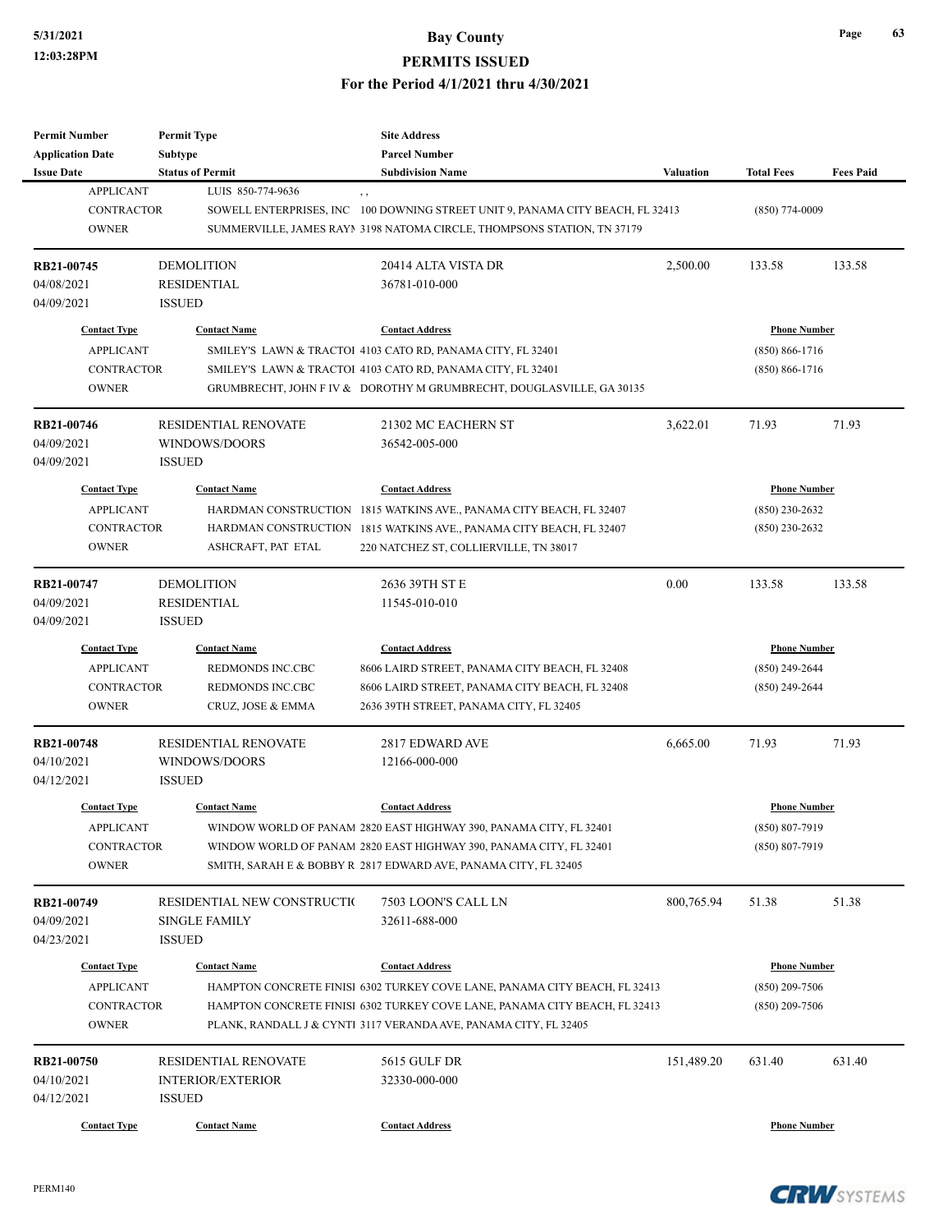# **5/31/2021 Bay County**

## **PERMITS ISSUED**

#### **For the Period 4/1/2021 thru 4/30/2021**

| Permit Number<br><b>Application Date</b> | <b>Permit Type</b><br>Subtype       | <b>Site Address</b><br><b>Parcel Number</b>                                    |            |                     |                  |
|------------------------------------------|-------------------------------------|--------------------------------------------------------------------------------|------------|---------------------|------------------|
| <b>Issue Date</b>                        | <b>Status of Permit</b>             | <b>Subdivision Name</b>                                                        | Valuation  | <b>Total Fees</b>   | <b>Fees Paid</b> |
| <b>APPLICANT</b>                         | LUIS 850-774-9636                   | , ,                                                                            |            |                     |                  |
| <b>CONTRACTOR</b>                        |                                     | SOWELL ENTERPRISES, INC 100 DOWNING STREET UNIT 9, PANAMA CITY BEACH, FL 32413 |            | $(850)$ 774-0009    |                  |
| <b>OWNER</b>                             |                                     | SUMMERVILLE, JAMES RAYI 3198 NATOMA CIRCLE, THOMPSONS STATION, TN 37179        |            |                     |                  |
| RB21-00745                               | <b>DEMOLITION</b>                   | 20414 ALTA VISTA DR                                                            | 2,500.00   | 133.58              | 133.58           |
| 04/08/2021                               | RESIDENTIAL                         | 36781-010-000                                                                  |            |                     |                  |
| 04/09/2021                               | <b>ISSUED</b>                       |                                                                                |            |                     |                  |
| <b>Contact Type</b>                      | <b>Contact Name</b>                 | <b>Contact Address</b>                                                         |            | <b>Phone Number</b> |                  |
| <b>APPLICANT</b>                         |                                     | SMILEY'S LAWN & TRACTOI 4103 CATO RD, PANAMA CITY, FL 32401                    |            | $(850) 866 - 1716$  |                  |
| <b>CONTRACTOR</b>                        |                                     | SMILEY'S LAWN & TRACTOI 4103 CATO RD, PANAMA CITY, FL 32401                    |            | $(850) 866 - 1716$  |                  |
| <b>OWNER</b>                             |                                     | GRUMBRECHT, JOHN F IV & DOROTHY M GRUMBRECHT, DOUGLASVILLE, GA 30135           |            |                     |                  |
| RB21-00746                               | <b>RESIDENTIAL RENOVATE</b>         | 21302 MC EACHERN ST                                                            | 3,622.01   | 71.93               | 71.93            |
| 04/09/2021                               | WINDOWS/DOORS                       | 36542-005-000                                                                  |            |                     |                  |
| 04/09/2021                               | <b>ISSUED</b>                       |                                                                                |            |                     |                  |
| <b>Contact Type</b>                      | <b>Contact Name</b>                 | <b>Contact Address</b>                                                         |            | <b>Phone Number</b> |                  |
| <b>APPLICANT</b>                         |                                     | HARDMAN CONSTRUCTION 1815 WATKINS AVE., PANAMA CITY BEACH, FL 32407            |            | $(850)$ 230-2632    |                  |
| <b>CONTRACTOR</b>                        | HARDMAN CONSTRUCTION                | 1815 WATKINS AVE., PANAMA CITY BEACH, FL 32407                                 |            | $(850)$ 230-2632    |                  |
| <b>OWNER</b>                             | ASHCRAFT, PAT ETAL                  | 220 NATCHEZ ST, COLLIERVILLE, TN 38017                                         |            |                     |                  |
|                                          |                                     |                                                                                |            |                     |                  |
| RB21-00747                               | <b>DEMOLITION</b>                   | 2636 39TH ST E                                                                 | 0.00       | 133.58              | 133.58           |
| 04/09/2021<br>04/09/2021                 | <b>RESIDENTIAL</b><br><b>ISSUED</b> | 11545-010-010                                                                  |            |                     |                  |
|                                          |                                     |                                                                                |            |                     |                  |
| <b>Contact Type</b>                      | <b>Contact Name</b>                 | <b>Contact Address</b>                                                         |            | <b>Phone Number</b> |                  |
| <b>APPLICANT</b>                         | REDMONDS INC.CBC                    | 8606 LAIRD STREET, PANAMA CITY BEACH, FL 32408                                 |            | $(850)$ 249-2644    |                  |
| <b>CONTRACTOR</b>                        | REDMONDS INC.CBC                    | 8606 LAIRD STREET, PANAMA CITY BEACH, FL 32408                                 |            | $(850)$ 249-2644    |                  |
| <b>OWNER</b>                             | CRUZ, JOSE & EMMA                   | 2636 39TH STREET, PANAMA CITY, FL 32405                                        |            |                     |                  |
| <b>RB21-00748</b>                        | <b>RESIDENTIAL RENOVATE</b>         | 2817 EDWARD AVE                                                                | 6,665.00   | 71.93               | 71.93            |
| 04/10/2021                               | WINDOWS/DOORS                       | 12166-000-000                                                                  |            |                     |                  |
| 04/12/2021                               | <b>ISSUED</b>                       |                                                                                |            |                     |                  |
| <b>Contact Type</b>                      | <b>Contact Name</b>                 | <b>Contact Address</b>                                                         |            | <b>Phone Number</b> |                  |
| APPLICANT                                |                                     | WINDOW WORLD OF PANAM 2820 EAST HIGHWAY 390, PANAMA CITY, FL 32401             |            | (850) 807-7919      |                  |
| CONTRACTOR                               |                                     | WINDOW WORLD OF PANAM 2820 EAST HIGHWAY 390, PANAMA CITY, FL 32401             |            | $(850) 807 - 7919$  |                  |
| <b>OWNER</b>                             |                                     | SMITH, SARAH E & BOBBY R 2817 EDWARD AVE, PANAMA CITY, FL 32405                |            |                     |                  |
| RB21-00749                               | RESIDENTIAL NEW CONSTRUCTIO         | 7503 LOON'S CALL LN                                                            | 800,765.94 | 51.38               | 51.38            |
| 04/09/2021                               | <b>SINGLE FAMILY</b>                | 32611-688-000                                                                  |            |                     |                  |
| 04/23/2021                               | <b>ISSUED</b>                       |                                                                                |            |                     |                  |
| <b>Contact Type</b>                      | <b>Contact Name</b>                 | <b>Contact Address</b>                                                         |            | <b>Phone Number</b> |                  |
| <b>APPLICANT</b>                         |                                     | HAMPTON CONCRETE FINISI 6302 TURKEY COVE LANE, PANAMA CITY BEACH, FL 32413     |            | $(850)$ 209-7506    |                  |
| <b>CONTRACTOR</b>                        |                                     | HAMPTON CONCRETE FINISI 6302 TURKEY COVE LANE, PANAMA CITY BEACH, FL 32413     |            | $(850)$ 209-7506    |                  |
| <b>OWNER</b>                             |                                     | PLANK, RANDALL J & CYNT1 3117 VERANDA AVE, PANAMA CITY, FL 32405               |            |                     |                  |
| RB21-00750                               | RESIDENTIAL RENOVATE                | 5615 GULF DR                                                                   | 151,489.20 | 631.40              | 631.40           |
| 04/10/2021                               | <b>INTERIOR/EXTERIOR</b>            | 32330-000-000                                                                  |            |                     |                  |
| 04/12/2021                               | <b>ISSUED</b>                       |                                                                                |            |                     |                  |
|                                          |                                     |                                                                                |            |                     |                  |
| <b>Contact Type</b>                      | <b>Contact Name</b>                 | <b>Contact Address</b>                                                         |            | <b>Phone Number</b> |                  |



**Page 63**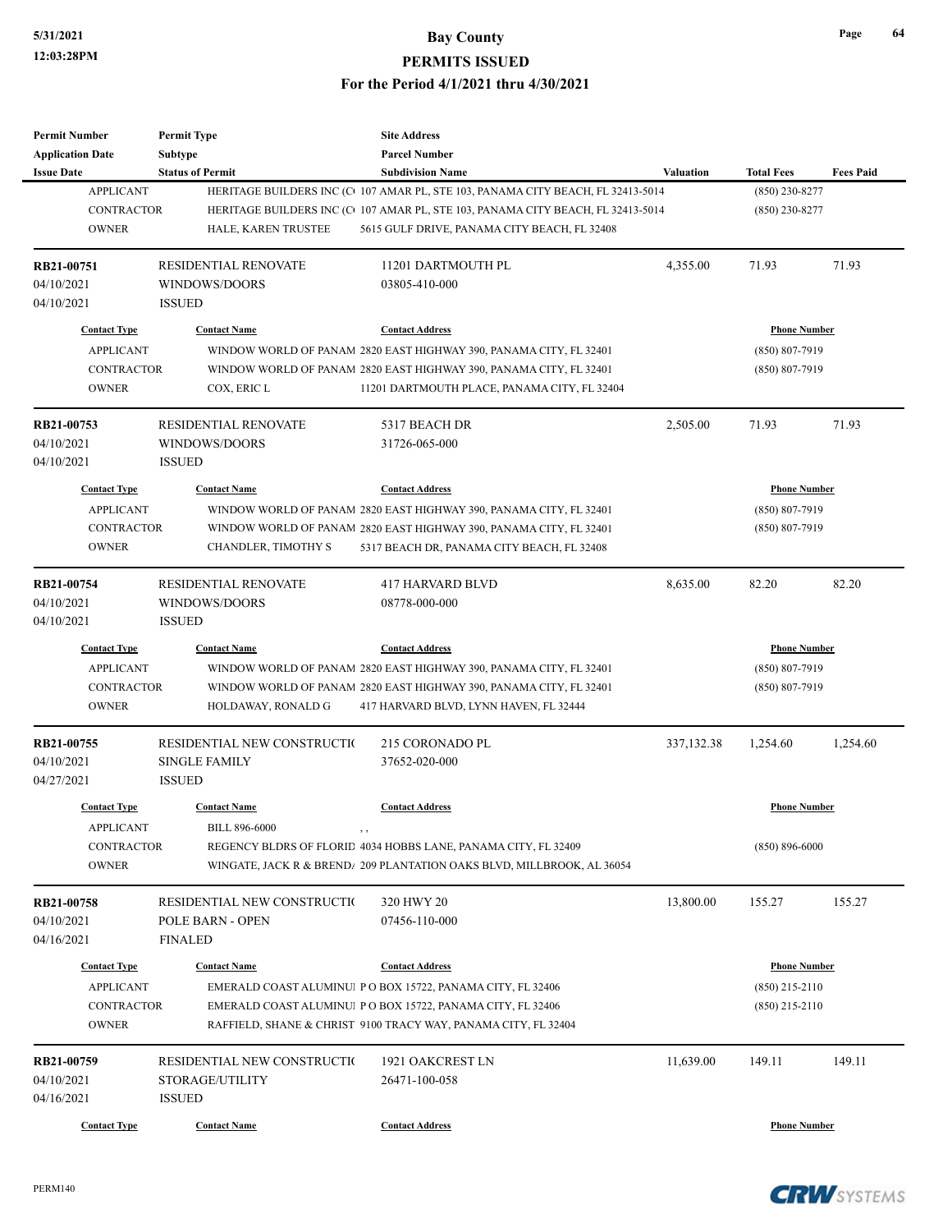| <b>Permit Number</b>    | <b>Permit Type</b>          | <b>Site Address</b>                                                             |                  |                     |                  |
|-------------------------|-----------------------------|---------------------------------------------------------------------------------|------------------|---------------------|------------------|
| <b>Application Date</b> | <b>Subtype</b>              | <b>Parcel Number</b>                                                            |                  |                     |                  |
| <b>Issue Date</b>       | <b>Status of Permit</b>     | <b>Subdivision Name</b>                                                         | <b>Valuation</b> | <b>Total Fees</b>   | <b>Fees Paid</b> |
| <b>APPLICANT</b>        |                             | HERITAGE BUILDERS INC (C+107 AMAR PL, STE 103, PANAMA CITY BEACH, FL 32413-5014 |                  | $(850)$ 230-8277    |                  |
| <b>CONTRACTOR</b>       |                             | HERITAGE BUILDERS INC (C+107 AMAR PL, STE 103, PANAMA CITY BEACH, FL 32413-5014 |                  | $(850)$ 230-8277    |                  |
| <b>OWNER</b>            | HALE, KAREN TRUSTEE         | 5615 GULF DRIVE, PANAMA CITY BEACH, FL 32408                                    |                  |                     |                  |
|                         |                             |                                                                                 |                  |                     |                  |
| RB21-00751              | <b>RESIDENTIAL RENOVATE</b> | 11201 DARTMOUTH PL                                                              | 4,355.00         | 71.93               | 71.93            |
| 04/10/2021              | WINDOWS/DOORS               | 03805-410-000                                                                   |                  |                     |                  |
| 04/10/2021              | <b>ISSUED</b>               |                                                                                 |                  |                     |                  |
| <b>Contact Type</b>     | <b>Contact Name</b>         | <b>Contact Address</b>                                                          |                  | <b>Phone Number</b> |                  |
| <b>APPLICANT</b>        |                             | WINDOW WORLD OF PANAM 2820 EAST HIGHWAY 390, PANAMA CITY, FL 32401              |                  | (850) 807-7919      |                  |
| <b>CONTRACTOR</b>       |                             | WINDOW WORLD OF PANAM 2820 EAST HIGHWAY 390, PANAMA CITY, FL 32401              |                  | (850) 807-7919      |                  |
| <b>OWNER</b>            | COX, ERIC L                 | 11201 DARTMOUTH PLACE, PANAMA CITY, FL 32404                                    |                  |                     |                  |
|                         |                             |                                                                                 |                  |                     |                  |
| RB21-00753              | <b>RESIDENTIAL RENOVATE</b> | 5317 BEACH DR                                                                   | 2,505.00         | 71.93               | 71.93            |
| 04/10/2021              | WINDOWS/DOORS               | 31726-065-000                                                                   |                  |                     |                  |
| 04/10/2021              | <b>ISSUED</b>               |                                                                                 |                  |                     |                  |
| <b>Contact Type</b>     | <b>Contact Name</b>         | <b>Contact Address</b>                                                          |                  | <b>Phone Number</b> |                  |
|                         |                             |                                                                                 |                  |                     |                  |
| <b>APPLICANT</b>        |                             | WINDOW WORLD OF PANAM 2820 EAST HIGHWAY 390, PANAMA CITY, FL 32401              |                  | $(850) 807 - 7919$  |                  |
| <b>CONTRACTOR</b>       |                             | WINDOW WORLD OF PANAM 2820 EAST HIGHWAY 390, PANAMA CITY, FL 32401              |                  | (850) 807-7919      |                  |
| <b>OWNER</b>            | CHANDLER, TIMOTHY S         | 5317 BEACH DR, PANAMA CITY BEACH, FL 32408                                      |                  |                     |                  |
| RB21-00754              | RESIDENTIAL RENOVATE        | <b>417 HARVARD BLVD</b>                                                         | 8,635.00         | 82.20               | 82.20            |
| 04/10/2021              | WINDOWS/DOORS               | 08778-000-000                                                                   |                  |                     |                  |
| 04/10/2021              | <b>ISSUED</b>               |                                                                                 |                  |                     |                  |
|                         |                             |                                                                                 |                  |                     |                  |
| <b>Contact Type</b>     | <b>Contact Name</b>         | <b>Contact Address</b>                                                          |                  | <b>Phone Number</b> |                  |
| <b>APPLICANT</b>        |                             | WINDOW WORLD OF PANAM 2820 EAST HIGHWAY 390, PANAMA CITY, FL 32401              |                  | $(850) 807 - 7919$  |                  |
| <b>CONTRACTOR</b>       |                             | WINDOW WORLD OF PANAM 2820 EAST HIGHWAY 390, PANAMA CITY, FL 32401              |                  | (850) 807-7919      |                  |
| <b>OWNER</b>            | HOLDAWAY, RONALD G          | 417 HARVARD BLVD, LYNN HAVEN, FL 32444                                          |                  |                     |                  |
| RB21-00755              | RESIDENTIAL NEW CONSTRUCTIO | 215 CORONADO PL                                                                 | 337, 132. 38     | 1,254.60            | 1,254.60         |
| 04/10/2021              | <b>SINGLE FAMILY</b>        | 37652-020-000                                                                   |                  |                     |                  |
| 04/27/2021              | <b>ISSUED</b>               |                                                                                 |                  |                     |                  |
|                         |                             |                                                                                 |                  |                     |                  |
| <b>Contact Type</b>     | <b>Contact Name</b>         | <b>Contact Address</b>                                                          |                  | <b>Phone Number</b> |                  |
| <b>APPLICANT</b>        | <b>BILL 896-6000</b>        | , ,                                                                             |                  |                     |                  |
| CONTRACTOR              |                             | REGENCY BLDRS OF FLORID 4034 HOBBS LANE, PANAMA CITY, FL 32409                  |                  | $(850) 896 - 6000$  |                  |
| <b>OWNER</b>            |                             | WINGATE, JACK R & BREND/ 209 PLANTATION OAKS BLVD, MILLBROOK, AL 36054          |                  |                     |                  |
|                         |                             |                                                                                 |                  |                     |                  |
| RB21-00758              | RESIDENTIAL NEW CONSTRUCTI( | 320 HWY 20                                                                      | 13,800.00        | 155.27              | 155.27           |
| 04/10/2021              | POLE BARN - OPEN            | 07456-110-000                                                                   |                  |                     |                  |
| 04/16/2021              | <b>FINALED</b>              |                                                                                 |                  |                     |                  |
| <b>Contact Type</b>     | <b>Contact Name</b>         | <b>Contact Address</b>                                                          |                  | <b>Phone Number</b> |                  |
| <b>APPLICANT</b>        |                             | EMERALD COAST ALUMINU P O BOX 15722, PANAMA CITY, FL 32406                      |                  | (850) 215-2110      |                  |
| <b>CONTRACTOR</b>       |                             | EMERALD COAST ALUMINUI PO BOX 15722, PANAMA CITY, FL 32406                      |                  | $(850)$ 215-2110    |                  |
| <b>OWNER</b>            |                             | RAFFIELD, SHANE & CHRIST 9100 TRACY WAY, PANAMA CITY, FL 32404                  |                  |                     |                  |
|                         |                             |                                                                                 |                  |                     |                  |
| RB21-00759              | RESIDENTIAL NEW CONSTRUCTIO | 1921 OAKCREST LN                                                                | 11,639.00        | 149.11              | 149.11           |
| 04/10/2021              | STORAGE/UTILITY             | 26471-100-058                                                                   |                  |                     |                  |
| 04/16/2021              | <b>ISSUED</b>               |                                                                                 |                  |                     |                  |
| <b>Contact Type</b>     | <b>Contact Name</b>         | <b>Contact Address</b>                                                          |                  | <b>Phone Number</b> |                  |



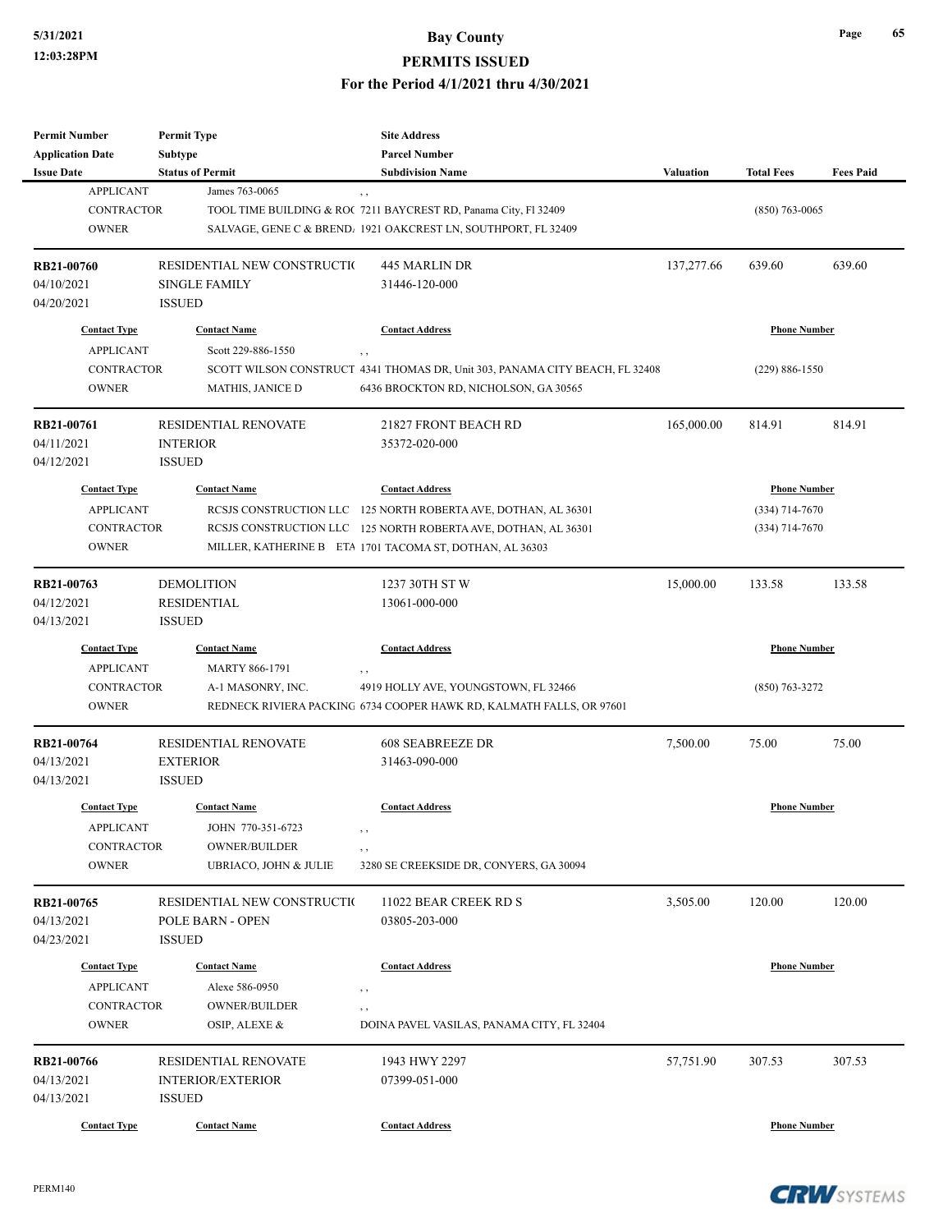| <b>Permit Number</b>    | <b>Permit Type</b>          | <b>Site Address</b>                                                                 |                  |                     |                  |
|-------------------------|-----------------------------|-------------------------------------------------------------------------------------|------------------|---------------------|------------------|
| <b>Application Date</b> | <b>Subtype</b>              | <b>Parcel Number</b>                                                                |                  |                     |                  |
| <b>Issue Date</b>       | <b>Status of Permit</b>     | <b>Subdivision Name</b>                                                             | <b>Valuation</b> | <b>Total Fees</b>   | <b>Fees Paid</b> |
| <b>APPLICANT</b>        | James 763-0065              | , ,                                                                                 |                  |                     |                  |
| CONTRACTOR              |                             | TOOL TIME BUILDING & ROC 7211 BAYCREST RD, Panama City, Fl 32409                    |                  | $(850)$ 763-0065    |                  |
| <b>OWNER</b>            |                             | SALVAGE, GENE C & BREND, 1921 OAKCREST LN, SOUTHPORT, FL 32409                      |                  |                     |                  |
|                         |                             |                                                                                     |                  |                     |                  |
| RB21-00760              | RESIDENTIAL NEW CONSTRUCTIO | <b>445 MARLIN DR</b>                                                                | 137,277.66       | 639.60              | 639.60           |
| 04/10/2021              | <b>SINGLE FAMILY</b>        | 31446-120-000                                                                       |                  |                     |                  |
| 04/20/2021              | <b>ISSUED</b>               |                                                                                     |                  |                     |                  |
| <b>Contact Type</b>     | <b>Contact Name</b>         | <b>Contact Address</b>                                                              |                  | <b>Phone Number</b> |                  |
| <b>APPLICANT</b>        | Scott 229-886-1550          |                                                                                     |                  |                     |                  |
| CONTRACTOR              |                             | , ,<br>SCOTT WILSON CONSTRUCT 4341 THOMAS DR, Unit 303, PANAMA CITY BEACH, FL 32408 |                  | $(229) 886 - 1550$  |                  |
| <b>OWNER</b>            |                             |                                                                                     |                  |                     |                  |
|                         | <b>MATHIS, JANICE D</b>     | 6436 BROCKTON RD, NICHOLSON, GA 30565                                               |                  |                     |                  |
| RB21-00761              | <b>RESIDENTIAL RENOVATE</b> | 21827 FRONT BEACH RD                                                                | 165,000.00       | 814.91              | 814.91           |
| 04/11/2021              | <b>INTERIOR</b>             | 35372-020-000                                                                       |                  |                     |                  |
| 04/12/2021              | <b>ISSUED</b>               |                                                                                     |                  |                     |                  |
|                         |                             |                                                                                     |                  |                     |                  |
| <b>Contact Type</b>     | <b>Contact Name</b>         | <b>Contact Address</b>                                                              |                  | <b>Phone Number</b> |                  |
| <b>APPLICANT</b>        |                             | RCSJS CONSTRUCTION LLC 125 NORTH ROBERTA AVE, DOTHAN, AL 36301                      |                  | $(334)$ 714-7670    |                  |
| <b>CONTRACTOR</b>       |                             | RCSJS CONSTRUCTION LLC 125 NORTH ROBERTA AVE, DOTHAN, AL 36301                      |                  | $(334)$ 714-7670    |                  |
| <b>OWNER</b>            |                             | MILLER, KATHERINE B ETA 1701 TACOMA ST, DOTHAN, AL 36303                            |                  |                     |                  |
|                         |                             |                                                                                     |                  |                     |                  |
| RB21-00763              | <b>DEMOLITION</b>           | 1237 30TH ST W                                                                      | 15,000.00        | 133.58              | 133.58           |
| 04/12/2021              | <b>RESIDENTIAL</b>          | 13061-000-000                                                                       |                  |                     |                  |
| 04/13/2021              | <b>ISSUED</b>               |                                                                                     |                  |                     |                  |
| <b>Contact Type</b>     | <b>Contact Name</b>         | <b>Contact Address</b>                                                              |                  | <b>Phone Number</b> |                  |
| <b>APPLICANT</b>        | <b>MARTY 866-1791</b>       | , ,                                                                                 |                  |                     |                  |
| <b>CONTRACTOR</b>       | A-1 MASONRY, INC.           | 4919 HOLLY AVE, YOUNGSTOWN, FL 32466                                                |                  | $(850)$ 763-3272    |                  |
| <b>OWNER</b>            |                             | REDNECK RIVIERA PACKING 6734 COOPER HAWK RD, KALMATH FALLS, OR 97601                |                  |                     |                  |
|                         |                             |                                                                                     |                  |                     |                  |
| RB21-00764              | <b>RESIDENTIAL RENOVATE</b> | <b>608 SEABREEZE DR</b>                                                             | 7,500.00         | 75.00               | 75.00            |
| 04/13/2021              | <b>EXTERIOR</b>             | 31463-090-000                                                                       |                  |                     |                  |
| 04/13/2021              | <b>ISSUED</b>               |                                                                                     |                  |                     |                  |
| <b>Contact Type</b>     | <b>Contact Name</b>         | <b>Contact Address</b>                                                              |                  | <b>Phone Number</b> |                  |
| <b>APPLICANT</b>        | JOHN 770-351-6723           | , ,                                                                                 |                  |                     |                  |
| CONTRACTOR              | <b>OWNER/BUILDER</b>        | $, \, ,$                                                                            |                  |                     |                  |
| <b>OWNER</b>            | UBRIACO, JOHN & JULIE       | 3280 SE CREEKSIDE DR, CONYERS, GA 30094                                             |                  |                     |                  |
|                         |                             |                                                                                     |                  |                     |                  |
| RB21-00765              | RESIDENTIAL NEW CONSTRUCTIO | 11022 BEAR CREEK RD S                                                               | 3,505.00         | 120.00              | 120.00           |
| 04/13/2021              | <b>POLE BARN - OPEN</b>     | 03805-203-000                                                                       |                  |                     |                  |
| 04/23/2021              | <b>ISSUED</b>               |                                                                                     |                  |                     |                  |
| <b>Contact Type</b>     | <b>Contact Name</b>         | <b>Contact Address</b>                                                              |                  | <b>Phone Number</b> |                  |
|                         |                             |                                                                                     |                  |                     |                  |
| <b>APPLICANT</b>        | Alexe 586-0950              | $, \,$                                                                              |                  |                     |                  |
| CONTRACTOR              | <b>OWNER/BUILDER</b>        | , ,                                                                                 |                  |                     |                  |
| <b>OWNER</b>            | OSIP, ALEXE &               | DOINA PAVEL VASILAS, PANAMA CITY, FL 32404                                          |                  |                     |                  |
| RB21-00766              | RESIDENTIAL RENOVATE        | 1943 HWY 2297                                                                       | 57,751.90        | 307.53              | 307.53           |
| 04/13/2021              | <b>INTERIOR/EXTERIOR</b>    | 07399-051-000                                                                       |                  |                     |                  |
| 04/13/2021              | <b>ISSUED</b>               |                                                                                     |                  |                     |                  |
|                         |                             |                                                                                     |                  |                     |                  |
| <b>Contact Type</b>     | <b>Contact Name</b>         | <b>Contact Address</b>                                                              |                  | <b>Phone Number</b> |                  |

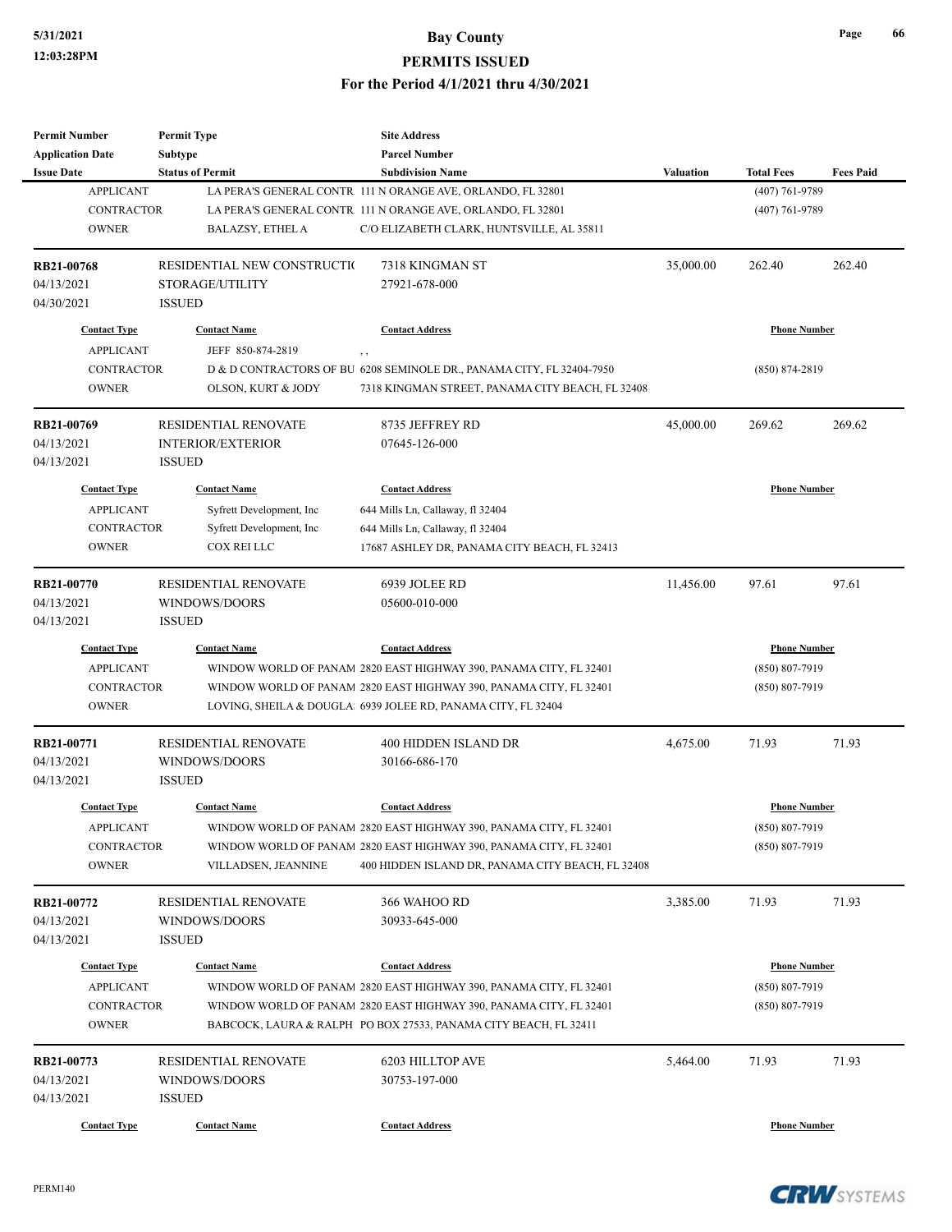| <b>Permit Number</b>    | <b>Permit Type</b>          | <b>Site Address</b>                                                   |                     |                     |                  |
|-------------------------|-----------------------------|-----------------------------------------------------------------------|---------------------|---------------------|------------------|
| <b>Application Date</b> | Subtype                     | <b>Parcel Number</b>                                                  |                     |                     |                  |
| <b>Issue Date</b>       | <b>Status of Permit</b>     | <b>Subdivision Name</b>                                               | Valuation           | <b>Total Fees</b>   | <b>Fees Paid</b> |
| <b>APPLICANT</b>        |                             | LA PERA'S GENERAL CONTR. 111 N ORANGE AVE, ORLANDO, FL 32801          |                     | $(407)$ 761-9789    |                  |
| <b>CONTRACTOR</b>       |                             | LA PERA'S GENERAL CONTR. 111 N ORANGE AVE, ORLANDO, FL 32801          |                     | $(407)$ 761-9789    |                  |
| <b>OWNER</b>            | BALAZSY, ETHEL A            | C/O ELIZABETH CLARK, HUNTSVILLE, AL 35811                             |                     |                     |                  |
| RB21-00768              | RESIDENTIAL NEW CONSTRUCTIO | 7318 KINGMAN ST                                                       | 35,000.00           | 262.40              | 262.40           |
| 04/13/2021              | STORAGE/UTILITY             | 27921-678-000                                                         |                     |                     |                  |
| 04/30/2021              | <b>ISSUED</b>               |                                                                       |                     |                     |                  |
| <b>Contact Type</b>     | <b>Contact Name</b>         | <b>Contact Address</b>                                                |                     | <b>Phone Number</b> |                  |
| <b>APPLICANT</b>        | JEFF 850-874-2819           | , ,                                                                   |                     |                     |                  |
| <b>CONTRACTOR</b>       |                             | D & D CONTRACTORS OF BU 6208 SEMINOLE DR., PANAMA CITY, FL 32404-7950 |                     | $(850) 874 - 2819$  |                  |
| <b>OWNER</b>            | OLSON, KURT & JODY          | 7318 KINGMAN STREET, PANAMA CITY BEACH, FL 32408                      |                     |                     |                  |
| RB21-00769              | <b>RESIDENTIAL RENOVATE</b> | 8735 JEFFREY RD                                                       | 45,000.00           | 269.62              | 269.62           |
| 04/13/2021              | <b>INTERIOR/EXTERIOR</b>    | 07645-126-000                                                         |                     |                     |                  |
| 04/13/2021              | <b>ISSUED</b>               |                                                                       |                     |                     |                  |
| <b>Contact Type</b>     | <b>Contact Name</b>         | <b>Contact Address</b>                                                |                     | <b>Phone Number</b> |                  |
| <b>APPLICANT</b>        | Syfrett Development, Inc    | 644 Mills Ln, Callaway, fl 32404                                      |                     |                     |                  |
| <b>CONTRACTOR</b>       | Syfrett Development, Inc.   | 644 Mills Ln, Callaway, fl 32404                                      |                     |                     |                  |
| <b>OWNER</b>            | COX REI LLC                 | 17687 ASHLEY DR, PANAMA CITY BEACH, FL 32413                          |                     |                     |                  |
|                         |                             |                                                                       |                     |                     |                  |
| RB21-00770              | RESIDENTIAL RENOVATE        | 6939 JOLEE RD                                                         | 11,456.00           | 97.61               | 97.61            |
| 04/13/2021              | WINDOWS/DOORS               | 05600-010-000                                                         |                     |                     |                  |
| 04/13/2021              | <b>ISSUED</b>               |                                                                       |                     |                     |                  |
| <b>Contact Type</b>     | <b>Contact Name</b>         | <b>Contact Address</b>                                                | <b>Phone Number</b> |                     |                  |
| <b>APPLICANT</b>        |                             | WINDOW WORLD OF PANAM 2820 EAST HIGHWAY 390, PANAMA CITY, FL 32401    |                     | $(850) 807 - 7919$  |                  |
| <b>CONTRACTOR</b>       |                             | WINDOW WORLD OF PANAM 2820 EAST HIGHWAY 390, PANAMA CITY, FL 32401    |                     | $(850) 807 - 7919$  |                  |
| <b>OWNER</b>            |                             | LOVING, SHEILA & DOUGLA 6939 JOLEE RD, PANAMA CITY, FL 32404          |                     |                     |                  |
| RB21-00771              | <b>RESIDENTIAL RENOVATE</b> | <b>400 HIDDEN ISLAND DR</b>                                           | 4,675.00            | 71.93               | 71.93            |
| 04/13/2021              | WINDOWS/DOORS               | 30166-686-170                                                         |                     |                     |                  |
| 04/13/2021              | <b>ISSUED</b>               |                                                                       |                     |                     |                  |
| <b>Contact Type</b>     | <b>Contact Name</b>         | <b>Contact Address</b>                                                |                     | <b>Phone Number</b> |                  |
| APPLICANT               |                             | WINDOW WORLD OF PANAM 2820 EAST HIGHWAY 390, PANAMA CITY, FL 32401    |                     | $(850) 807 - 7919$  |                  |
| <b>CONTRACTOR</b>       |                             | WINDOW WORLD OF PANAM 2820 EAST HIGHWAY 390, PANAMA CITY, FL 32401    |                     | $(850) 807 - 7919$  |                  |
| <b>OWNER</b>            | VILLADSEN, JEANNINE         | 400 HIDDEN ISLAND DR, PANAMA CITY BEACH, FL 32408                     |                     |                     |                  |
| RB21-00772              | RESIDENTIAL RENOVATE        | 366 WAHOO RD                                                          | 3,385.00            | 71.93               | 71.93            |
| 04/13/2021              | WINDOWS/DOORS               | 30933-645-000                                                         |                     |                     |                  |
| 04/13/2021              | <b>ISSUED</b>               |                                                                       |                     |                     |                  |
|                         |                             |                                                                       |                     |                     |                  |
| <b>Contact Type</b>     | <b>Contact Name</b>         | <b>Contact Address</b>                                                |                     | <b>Phone Number</b> |                  |
| <b>APPLICANT</b>        |                             | WINDOW WORLD OF PANAM 2820 EAST HIGHWAY 390, PANAMA CITY, FL 32401    |                     | $(850) 807 - 7919$  |                  |
| <b>CONTRACTOR</b>       |                             | WINDOW WORLD OF PANAM 2820 EAST HIGHWAY 390, PANAMA CITY, FL 32401    |                     | $(850) 807 - 7919$  |                  |
| <b>OWNER</b>            |                             | BABCOCK, LAURA & RALPH PO BOX 27533, PANAMA CITY BEACH, FL 32411      |                     |                     |                  |
| RB21-00773              | RESIDENTIAL RENOVATE        | 6203 HILLTOP AVE                                                      | 5,464.00            | 71.93               | 71.93            |
| 04/13/2021              | WINDOWS/DOORS               | 30753-197-000                                                         |                     |                     |                  |
| 04/13/2021              | <b>ISSUED</b>               |                                                                       |                     |                     |                  |
|                         |                             |                                                                       |                     |                     |                  |
| <b>Contact Type</b>     | <b>Contact Name</b>         | <b>Contact Address</b>                                                |                     | <b>Phone Number</b> |                  |

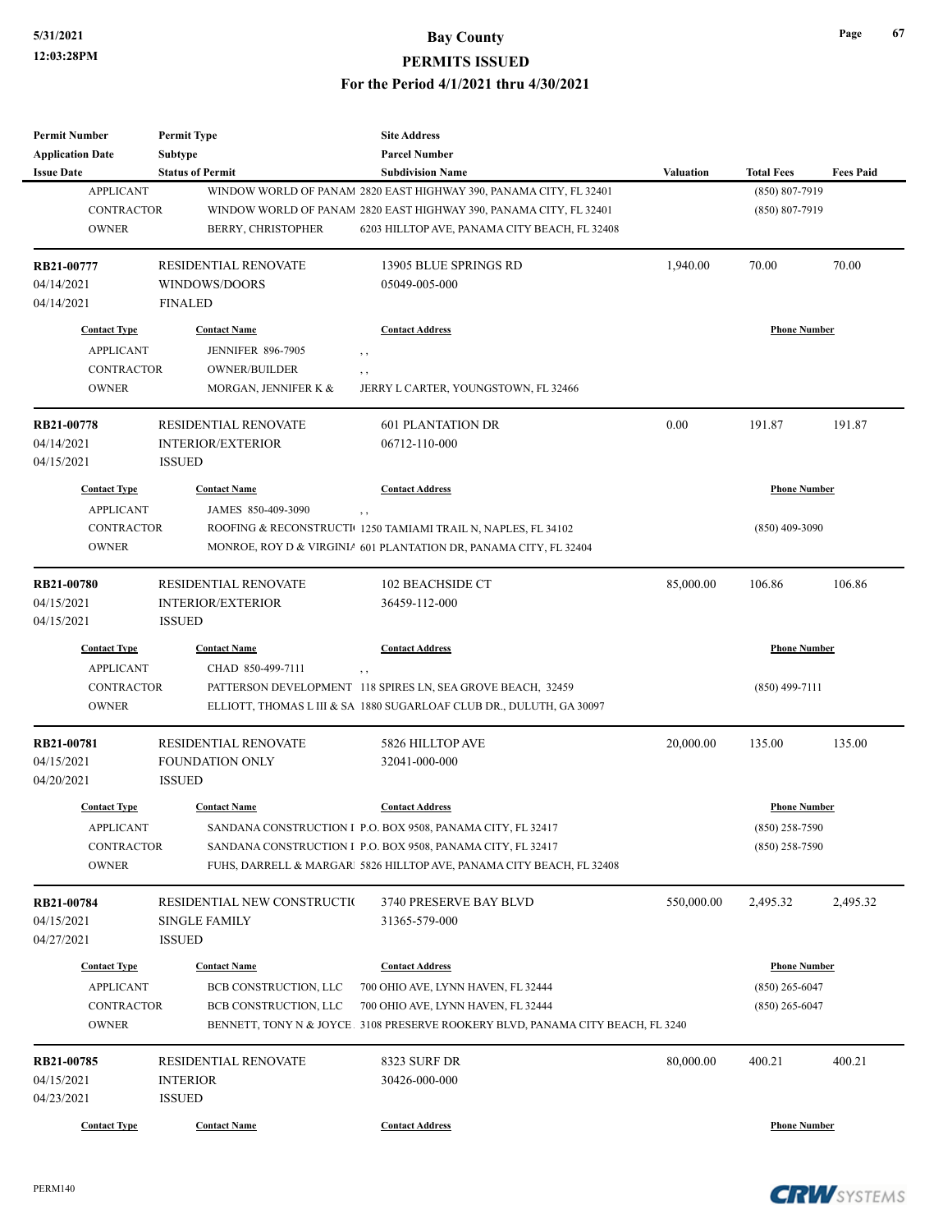| <b>Permit Number</b>    | <b>Permit Type</b>          | <b>Site Address</b>                                                            |                  |                     |                  |
|-------------------------|-----------------------------|--------------------------------------------------------------------------------|------------------|---------------------|------------------|
| <b>Application Date</b> | Subtype                     | <b>Parcel Number</b>                                                           |                  |                     |                  |
| <b>Issue Date</b>       | <b>Status of Permit</b>     | <b>Subdivision Name</b>                                                        | <b>Valuation</b> | <b>Total Fees</b>   | <b>Fees Paid</b> |
| <b>APPLICANT</b>        |                             | WINDOW WORLD OF PANAM 2820 EAST HIGHWAY 390, PANAMA CITY, FL 32401             |                  | (850) 807-7919      |                  |
| <b>CONTRACTOR</b>       |                             | WINDOW WORLD OF PANAM 2820 EAST HIGHWAY 390, PANAMA CITY, FL 32401             |                  | $(850) 807 - 7919$  |                  |
| <b>OWNER</b>            | BERRY, CHRISTOPHER          | 6203 HILLTOP AVE, PANAMA CITY BEACH, FL 32408                                  |                  |                     |                  |
| RB21-00777              | RESIDENTIAL RENOVATE        | 13905 BLUE SPRINGS RD                                                          | 1,940.00         | 70.00               | 70.00            |
| 04/14/2021              | WINDOWS/DOORS               | 05049-005-000                                                                  |                  |                     |                  |
| 04/14/2021              | <b>FINALED</b>              |                                                                                |                  |                     |                  |
| <b>Contact Type</b>     | <b>Contact Name</b>         | <b>Contact Address</b>                                                         |                  | <b>Phone Number</b> |                  |
| <b>APPLICANT</b>        | <b>JENNIFER 896-7905</b>    | , ,                                                                            |                  |                     |                  |
| <b>CONTRACTOR</b>       | OWNER/BUILDER               | , ,                                                                            |                  |                     |                  |
| <b>OWNER</b>            | MORGAN, JENNIFER K &        | JERRY L CARTER, YOUNGSTOWN, FL 32466                                           |                  |                     |                  |
| RB21-00778              | <b>RESIDENTIAL RENOVATE</b> | <b>601 PLANTATION DR</b>                                                       | 0.00             | 191.87              | 191.87           |
| 04/14/2021              | <b>INTERIOR/EXTERIOR</b>    | 06712-110-000                                                                  |                  |                     |                  |
| 04/15/2021              | <b>ISSUED</b>               |                                                                                |                  |                     |                  |
| <b>Contact Type</b>     | <b>Contact Name</b>         | <b>Contact Address</b>                                                         |                  | <b>Phone Number</b> |                  |
| <b>APPLICANT</b>        | JAMES 850-409-3090          | , ,                                                                            |                  |                     |                  |
| <b>CONTRACTOR</b>       |                             | ROOFING & RECONSTRUCTI 1250 TAMIAMI TRAIL N, NAPLES, FL 34102                  |                  | $(850)$ 409-3090    |                  |
| <b>OWNER</b>            |                             | MONROE, ROY D & VIRGINIA 601 PLANTATION DR, PANAMA CITY, FL 32404              |                  |                     |                  |
| <b>RB21-00780</b>       | <b>RESIDENTIAL RENOVATE</b> | 102 BEACHSIDE CT                                                               | 85,000.00        | 106.86              | 106.86           |
| 04/15/2021              | <b>INTERIOR/EXTERIOR</b>    | 36459-112-000                                                                  |                  |                     |                  |
| 04/15/2021              | <b>ISSUED</b>               |                                                                                |                  |                     |                  |
| <b>Contact Type</b>     | <b>Contact Name</b>         | <b>Contact Address</b>                                                         |                  | <b>Phone Number</b> |                  |
| <b>APPLICANT</b>        | CHAD 850-499-7111           | , ,                                                                            |                  |                     |                  |
| <b>CONTRACTOR</b>       |                             | PATTERSON DEVELOPMENT 118 SPIRES LN, SEA GROVE BEACH, 32459                    |                  | $(850)$ 499-7111    |                  |
| <b>OWNER</b>            |                             | ELLIOTT, THOMAS L III & SA 1880 SUGARLOAF CLUB DR., DULUTH, GA 30097           |                  |                     |                  |
| RB21-00781              | <b>RESIDENTIAL RENOVATE</b> | 5826 HILLTOP AVE                                                               | 20,000.00        | 135.00              | 135.00           |
| 04/15/2021              | <b>FOUNDATION ONLY</b>      | 32041-000-000                                                                  |                  |                     |                  |
| 04/20/2021              | <b>ISSUED</b>               |                                                                                |                  |                     |                  |
| <b>Contact Type</b>     | <b>Contact Name</b>         | <b>Contact Address</b>                                                         |                  | <b>Phone Number</b> |                  |
| <b>APPLICANT</b>        |                             | SANDANA CONSTRUCTION I P.O. BOX 9508, PANAMA CITY, FL 32417                    |                  | $(850)$ 258-7590    |                  |
| CONTRACTOR              |                             | SANDANA CONSTRUCTION I P.O. BOX 9508, PANAMA CITY, FL 32417                    |                  | $(850)$ 258-7590    |                  |
| <b>OWNER</b>            |                             | FUHS, DARRELL & MARGAR<br>  5826 HILLTOP AVE, PANAMA CITY BEACH, FL 32408      |                  |                     |                  |
| RB21-00784              | RESIDENTIAL NEW CONSTRUCTIO | 3740 PRESERVE BAY BLVD                                                         | 550,000.00       | 2,495.32            | 2,495.32         |
| 04/15/2021              | <b>SINGLE FAMILY</b>        | 31365-579-000                                                                  |                  |                     |                  |
| 04/27/2021              | <b>ISSUED</b>               |                                                                                |                  |                     |                  |
| <b>Contact Type</b>     | <b>Contact Name</b>         | <b>Contact Address</b>                                                         |                  | <b>Phone Number</b> |                  |
| <b>APPLICANT</b>        | BCB CONSTRUCTION, LLC       | 700 OHIO AVE, LYNN HAVEN, FL 32444                                             |                  | $(850)$ 265-6047    |                  |
| CONTRACTOR              | BCB CONSTRUCTION, LLC       | 700 OHIO AVE, LYNN HAVEN, FL 32444                                             |                  | $(850)$ 265-6047    |                  |
| <b>OWNER</b>            |                             | BENNETT, TONY N & JOYCE 3108 PRESERVE ROOKERY BLVD, PANAMA CITY BEACH, FL 3240 |                  |                     |                  |
| RB21-00785              | RESIDENTIAL RENOVATE        | 8323 SURF DR                                                                   | 80,000.00        | 400.21              | 400.21           |
| 04/15/2021              | <b>INTERIOR</b>             | 30426-000-000                                                                  |                  |                     |                  |
| 04/23/2021              | <b>ISSUED</b>               |                                                                                |                  |                     |                  |
| <b>Contact Type</b>     | <b>Contact Name</b>         | <b>Contact Address</b>                                                         |                  | <b>Phone Number</b> |                  |
|                         |                             |                                                                                |                  |                     |                  |

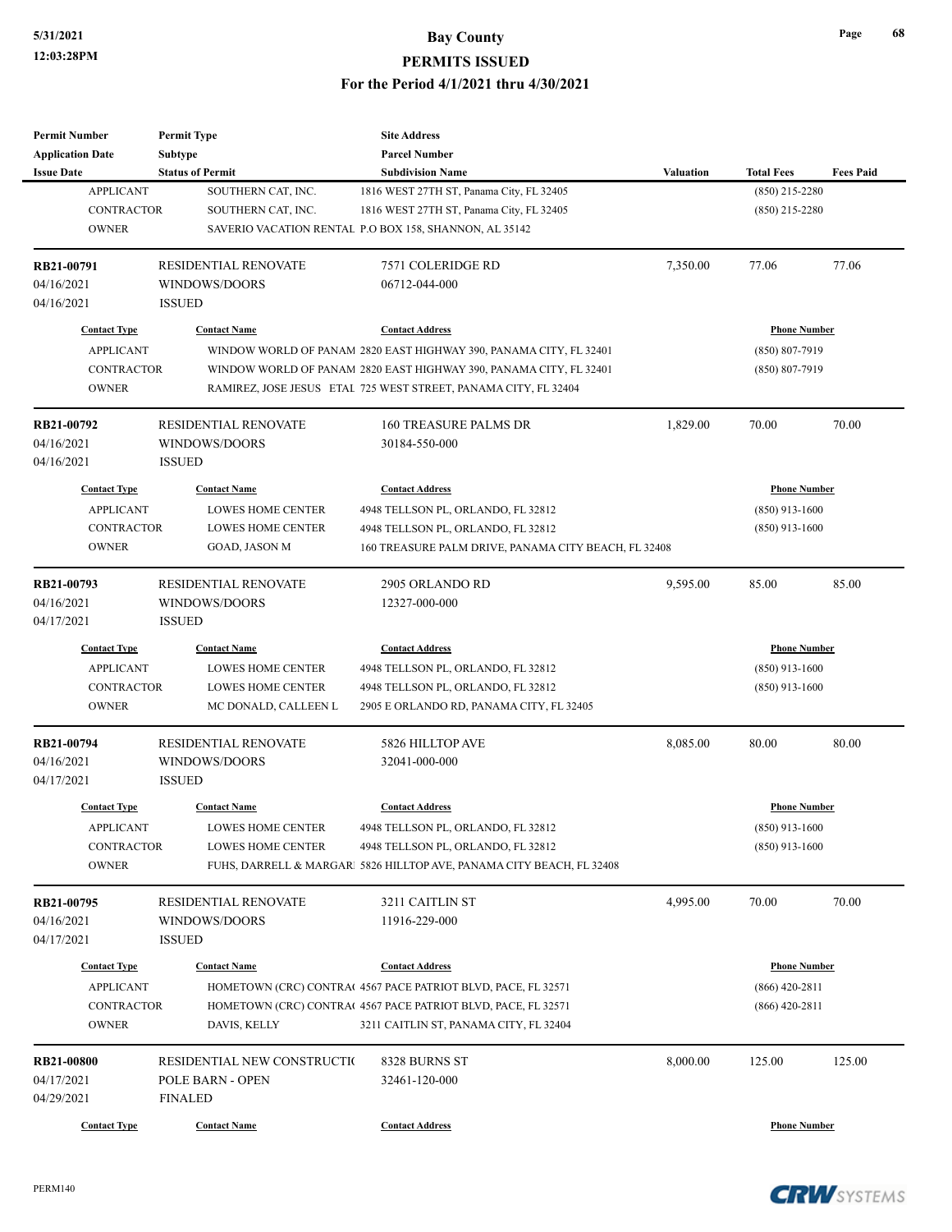| <b>Permit Number</b>    | <b>Permit Type</b>          | <b>Site Address</b>                                                  |                     |                     |                  |
|-------------------------|-----------------------------|----------------------------------------------------------------------|---------------------|---------------------|------------------|
| <b>Application Date</b> | Subtype                     | <b>Parcel Number</b>                                                 |                     |                     |                  |
| <b>Issue Date</b>       | <b>Status of Permit</b>     | <b>Subdivision Name</b>                                              | <b>Valuation</b>    | <b>Total Fees</b>   | <b>Fees Paid</b> |
| <b>APPLICANT</b>        | SOUTHERN CAT, INC.          | 1816 WEST 27TH ST, Panama City, FL 32405                             |                     | $(850)$ 215-2280    |                  |
| <b>CONTRACTOR</b>       | SOUTHERN CAT, INC.          | 1816 WEST 27TH ST, Panama City, FL 32405                             |                     | $(850)$ 215-2280    |                  |
| <b>OWNER</b>            |                             | SAVERIO VACATION RENTAL P.O BOX 158, SHANNON, AL 35142               |                     |                     |                  |
|                         |                             |                                                                      |                     |                     |                  |
| RB21-00791              | <b>RESIDENTIAL RENOVATE</b> | 7571 COLERIDGE RD                                                    | 7,350.00            | 77.06               | 77.06            |
| 04/16/2021              | WINDOWS/DOORS               | 06712-044-000                                                        |                     |                     |                  |
| 04/16/2021              | <b>ISSUED</b>               |                                                                      |                     |                     |                  |
|                         |                             |                                                                      |                     |                     |                  |
| <b>Contact Type</b>     | <b>Contact Name</b>         | <b>Contact Address</b>                                               |                     | <b>Phone Number</b> |                  |
| <b>APPLICANT</b>        |                             | WINDOW WORLD OF PANAM 2820 EAST HIGHWAY 390, PANAMA CITY, FL 32401   |                     | $(850) 807 - 7919$  |                  |
| <b>CONTRACTOR</b>       |                             | WINDOW WORLD OF PANAM 2820 EAST HIGHWAY 390, PANAMA CITY, FL 32401   |                     | $(850) 807 - 7919$  |                  |
| <b>OWNER</b>            |                             | RAMIREZ, JOSE JESUS ETAL 725 WEST STREET, PANAMA CITY, FL 32404      |                     |                     |                  |
| RB21-00792              | <b>RESIDENTIAL RENOVATE</b> | <b>160 TREASURE PALMS DR</b>                                         | 1,829.00            | 70.00               | 70.00            |
| 04/16/2021              | WINDOWS/DOORS               | 30184-550-000                                                        |                     |                     |                  |
| 04/16/2021              | <b>ISSUED</b>               |                                                                      |                     |                     |                  |
| <b>Contact Type</b>     | <b>Contact Name</b>         | <b>Contact Address</b>                                               |                     | <b>Phone Number</b> |                  |
|                         |                             |                                                                      |                     |                     |                  |
| <b>APPLICANT</b>        | <b>LOWES HOME CENTER</b>    | 4948 TELLSON PL, ORLANDO, FL 32812                                   |                     | $(850)$ 913-1600    |                  |
| <b>CONTRACTOR</b>       | <b>LOWES HOME CENTER</b>    | 4948 TELLSON PL, ORLANDO, FL 32812                                   |                     | $(850)$ 913-1600    |                  |
| <b>OWNER</b>            | GOAD, JASON M               | 160 TREASURE PALM DRIVE, PANAMA CITY BEACH, FL 32408                 |                     |                     |                  |
| RB21-00793              | RESIDENTIAL RENOVATE        | 2905 ORLANDO RD                                                      | 9,595.00            | 85.00               | 85.00            |
| 04/16/2021              | WINDOWS/DOORS               | 12327-000-000                                                        |                     |                     |                  |
| 04/17/2021              | <b>ISSUED</b>               |                                                                      |                     |                     |                  |
| <b>Contact Type</b>     | <b>Contact Name</b>         | <b>Contact Address</b>                                               | <b>Phone Number</b> |                     |                  |
| <b>APPLICANT</b>        | LOWES HOME CENTER           | 4948 TELLSON PL, ORLANDO, FL 32812                                   |                     | $(850)$ 913-1600    |                  |
| <b>CONTRACTOR</b>       | <b>LOWES HOME CENTER</b>    | 4948 TELLSON PL, ORLANDO, FL 32812                                   |                     | $(850)$ 913-1600    |                  |
| <b>OWNER</b>            | MC DONALD, CALLEEN L        | 2905 E ORLANDO RD, PANAMA CITY, FL 32405                             |                     |                     |                  |
| RB21-00794              | RESIDENTIAL RENOVATE        | 5826 HILLTOP AVE                                                     | 8,085.00            | 80.00               | 80.00            |
| 04/16/2021              | WINDOWS/DOORS               | 32041-000-000                                                        |                     |                     |                  |
| 04/17/2021              | <b>ISSUED</b>               |                                                                      |                     |                     |                  |
|                         |                             |                                                                      |                     |                     |                  |
| <b>Contact Type</b>     | <b>Contact Name</b>         | <b>Contact Address</b>                                               |                     | <b>Phone Number</b> |                  |
| <b>APPLICANT</b>        | LOWES HOME CENTER           | 4948 TELLSON PL, ORLANDO, FL 32812                                   |                     | $(850)$ 913-1600    |                  |
| <b>CONTRACTOR</b>       | <b>LOWES HOME CENTER</b>    | 4948 TELLSON PL, ORLANDO, FL 32812                                   |                     | $(850)$ 913-1600    |                  |
| <b>OWNER</b>            |                             | FUHS, DARRELL & MARGAR 5826 HILLTOP AVE, PANAMA CITY BEACH, FL 32408 |                     |                     |                  |
| RB21-00795              | RESIDENTIAL RENOVATE        | 3211 CAITLIN ST                                                      | 4,995.00            | 70.00               | 70.00            |
| 04/16/2021              | WINDOWS/DOORS               | 11916-229-000                                                        |                     |                     |                  |
| 04/17/2021              | <b>ISSUED</b>               |                                                                      |                     |                     |                  |
|                         |                             |                                                                      |                     |                     |                  |
| <b>Contact Type</b>     | <b>Contact Name</b>         | <b>Contact Address</b>                                               |                     | <b>Phone Number</b> |                  |
| <b>APPLICANT</b>        |                             | HOMETOWN (CRC) CONTRA(4567 PACE PATRIOT BLVD, PACE, FL 32571         |                     | $(866)$ 420-2811    |                  |
| <b>CONTRACTOR</b>       |                             | HOMETOWN (CRC) CONTRA(4567 PACE PATRIOT BLVD, PACE, FL 32571         |                     | $(866)$ 420-2811    |                  |
| <b>OWNER</b>            | DAVIS, KELLY                | 3211 CAITLIN ST, PANAMA CITY, FL 32404                               |                     |                     |                  |
| RB21-00800              | RESIDENTIAL NEW CONSTRUCTIO | 8328 BURNS ST                                                        | 8,000.00            | 125.00              | 125.00           |
| 04/17/2021              | POLE BARN - OPEN            | 32461-120-000                                                        |                     |                     |                  |
| 04/29/2021              | <b>FINALED</b>              |                                                                      |                     |                     |                  |
|                         |                             |                                                                      |                     |                     |                  |
| <b>Contact Type</b>     | <b>Contact Name</b>         | <b>Contact Address</b>                                               |                     | <b>Phone Number</b> |                  |

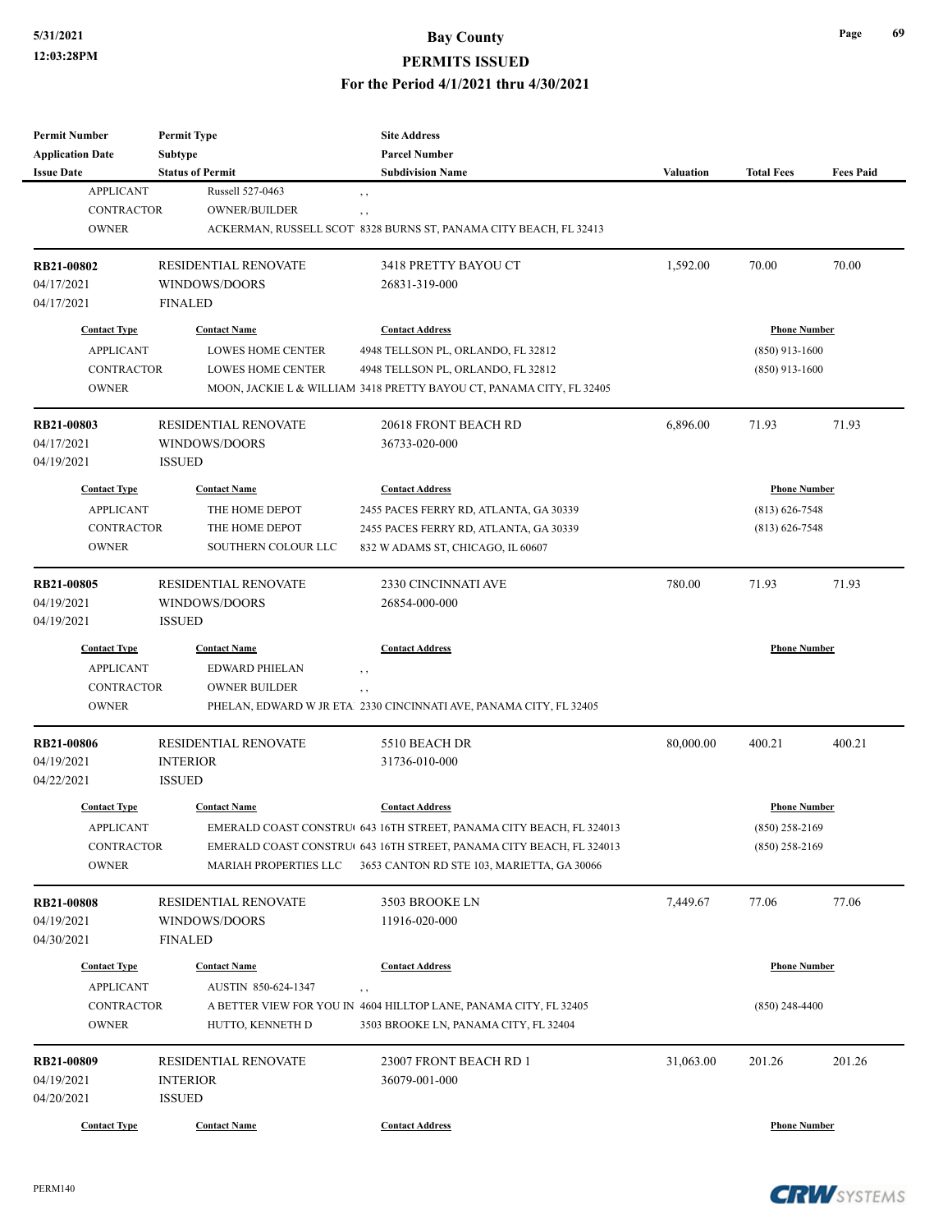#### **5/31/2021 Bay County**

#### **PERMITS ISSUED**

**For the Period 4/1/2021 thru 4/30/2021**

| <b>Permit Number</b><br><b>Application Date</b> | <b>Permit Type</b><br>Subtype | <b>Site Address</b><br><b>Parcel Number</b>                          |                  |                     |                  |
|-------------------------------------------------|-------------------------------|----------------------------------------------------------------------|------------------|---------------------|------------------|
| <b>Issue Date</b>                               | <b>Status of Permit</b>       | <b>Subdivision Name</b>                                              | <b>Valuation</b> | <b>Total Fees</b>   | <b>Fees Paid</b> |
| <b>APPLICANT</b>                                | Russell 527-0463              | $, \, , \,$                                                          |                  |                     |                  |
| <b>CONTRACTOR</b>                               | <b>OWNER/BUILDER</b>          | , ,                                                                  |                  |                     |                  |
| <b>OWNER</b>                                    |                               | ACKERMAN, RUSSELL SCOT 8328 BURNS ST, PANAMA CITY BEACH, FL 32413    |                  |                     |                  |
|                                                 |                               |                                                                      |                  |                     |                  |
| <b>RB21-00802</b>                               | RESIDENTIAL RENOVATE          | 3418 PRETTY BAYOU CT                                                 | 1,592.00         | 70.00               | 70.00            |
| 04/17/2021                                      | WINDOWS/DOORS                 | 26831-319-000                                                        |                  |                     |                  |
| 04/17/2021                                      | <b>FINALED</b>                |                                                                      |                  |                     |                  |
| <b>Contact Type</b>                             | <b>Contact Name</b>           | <b>Contact Address</b>                                               |                  | <b>Phone Number</b> |                  |
| <b>APPLICANT</b>                                | <b>LOWES HOME CENTER</b>      | 4948 TELLSON PL, ORLANDO, FL 32812                                   |                  | $(850)$ 913-1600    |                  |
| <b>CONTRACTOR</b>                               | <b>LOWES HOME CENTER</b>      | 4948 TELLSON PL, ORLANDO, FL 32812                                   |                  | $(850)$ 913-1600    |                  |
| <b>OWNER</b>                                    |                               | MOON, JACKIE L & WILLIAM 3418 PRETTY BAYOU CT, PANAMA CITY, FL 32405 |                  |                     |                  |
|                                                 |                               |                                                                      |                  |                     |                  |
| RB21-00803                                      | RESIDENTIAL RENOVATE          | 20618 FRONT BEACH RD                                                 | 6,896.00         | 71.93               | 71.93            |
| 04/17/2021                                      | WINDOWS/DOORS                 | 36733-020-000                                                        |                  |                     |                  |
| 04/19/2021                                      | <b>ISSUED</b>                 |                                                                      |                  |                     |                  |
| <b>Contact Type</b>                             | <b>Contact Name</b>           | <b>Contact Address</b>                                               |                  | <b>Phone Number</b> |                  |
| <b>APPLICANT</b>                                | THE HOME DEPOT                | 2455 PACES FERRY RD, ATLANTA, GA 30339                               |                  | $(813) 626 - 7548$  |                  |
| <b>CONTRACTOR</b>                               | THE HOME DEPOT                | 2455 PACES FERRY RD, ATLANTA, GA 30339                               |                  | $(813) 626 - 7548$  |                  |
| <b>OWNER</b>                                    | SOUTHERN COLOUR LLC           | 832 W ADAMS ST, CHICAGO, IL 60607                                    |                  |                     |                  |
|                                                 |                               |                                                                      |                  |                     |                  |
| RB21-00805                                      | <b>RESIDENTIAL RENOVATE</b>   | 2330 CINCINNATI AVE                                                  | 780.00           | 71.93               | 71.93            |
| 04/19/2021                                      | WINDOWS/DOORS                 | 26854-000-000                                                        |                  |                     |                  |
| 04/19/2021                                      | <b>ISSUED</b>                 |                                                                      |                  |                     |                  |
| <b>Contact Type</b>                             | <b>Contact Name</b>           | <b>Contact Address</b>                                               |                  | <b>Phone Number</b> |                  |
| <b>APPLICANT</b>                                | EDWARD PHIELAN                | , ,                                                                  |                  |                     |                  |
| <b>CONTRACTOR</b>                               | <b>OWNER BUILDER</b>          | , ,                                                                  |                  |                     |                  |
| <b>OWNER</b>                                    |                               | PHELAN, EDWARD W JR ETA! 2330 CINCINNATI AVE, PANAMA CITY, FL 32405  |                  |                     |                  |
|                                                 |                               |                                                                      |                  |                     |                  |
| <b>RB21-00806</b><br>04/19/2021                 | <b>RESIDENTIAL RENOVATE</b>   | 5510 BEACH DR                                                        | 80,000.00        | 400.21              | 400.21           |
| 04/22/2021                                      | <b>INTERIOR</b>               | 31736-010-000                                                        |                  |                     |                  |
|                                                 | <b>ISSUED</b>                 |                                                                      |                  |                     |                  |
| <b>Contact Type</b>                             | <b>Contact Name</b>           | <b>Contact Address</b>                                               |                  | <b>Phone Number</b> |                  |
| <b>APPLICANT</b>                                |                               | EMERALD COAST CONSTRU( 643 16TH STREET, PANAMA CITY BEACH, FL 324013 |                  | $(850)$ 258-2169    |                  |
| <b>CONTRACTOR</b>                               |                               | EMERALD COAST CONSTRU(643 16TH STREET, PANAMA CITY BEACH, FL 324013  |                  | $(850)$ 258-2169    |                  |
| <b>OWNER</b>                                    | MARIAH PROPERTIES LLC         | 3653 CANTON RD STE 103, MARIETTA, GA 30066                           |                  |                     |                  |
|                                                 | RESIDENTIAL RENOVATE          | 3503 BROOKE LN                                                       | 7,449.67         | 77.06               | 77.06            |
| <b>RB21-00808</b><br>04/19/2021                 | WINDOWS/DOORS                 | 11916-020-000                                                        |                  |                     |                  |
|                                                 |                               |                                                                      |                  |                     |                  |
| 04/30/2021                                      | <b>FINALED</b>                |                                                                      |                  |                     |                  |
| <b>Contact Type</b>                             | <b>Contact Name</b>           | <b>Contact Address</b>                                               |                  | <b>Phone Number</b> |                  |
| <b>APPLICANT</b>                                | AUSTIN 850-624-1347           | , ,                                                                  |                  |                     |                  |
| <b>CONTRACTOR</b>                               |                               | A BETTER VIEW FOR YOU IN 4604 HILLTOP LANE, PANAMA CITY, FL 32405    |                  | $(850)$ 248-4400    |                  |
| <b>OWNER</b>                                    | HUTTO, KENNETH D              | 3503 BROOKE LN, PANAMA CITY, FL 32404                                |                  |                     |                  |
| RB21-00809                                      | RESIDENTIAL RENOVATE          | 23007 FRONT BEACH RD 1                                               | 31,063.00        | 201.26              | 201.26           |
|                                                 |                               |                                                                      |                  |                     |                  |
| 04/19/2021                                      | <b>INTERIOR</b>               | 36079-001-000                                                        |                  |                     |                  |
| 04/20/2021                                      | <b>ISSUED</b>                 |                                                                      |                  |                     |                  |
| <b>Contact Type</b>                             | <b>Contact Name</b>           | <b>Contact Address</b>                                               |                  | <b>Phone Number</b> |                  |

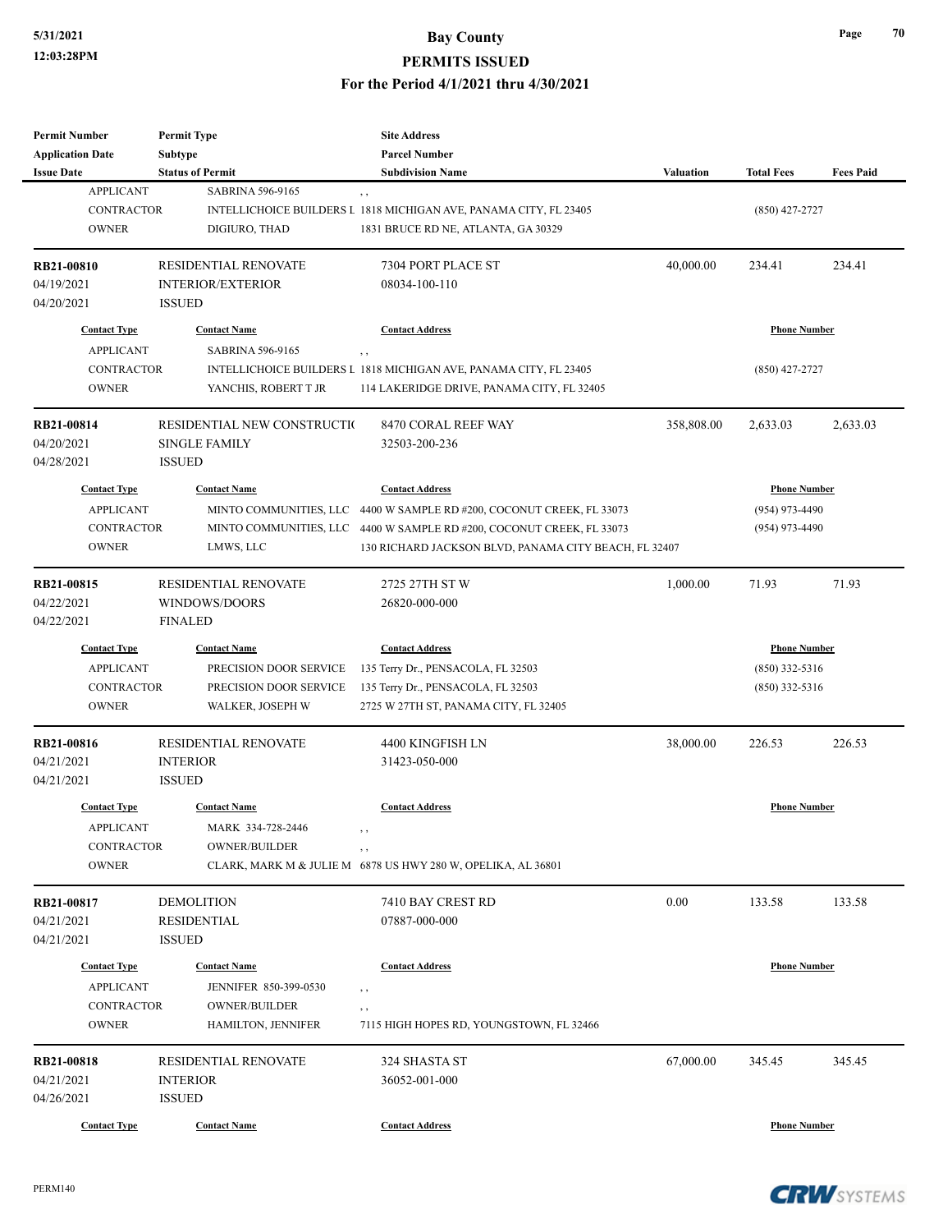| <b>Permit Number</b>    | <b>Permit Type</b>          | <b>Site Address</b>                                                   |                  |                     |                  |
|-------------------------|-----------------------------|-----------------------------------------------------------------------|------------------|---------------------|------------------|
| <b>Application Date</b> | <b>Subtype</b>              | <b>Parcel Number</b>                                                  |                  |                     |                  |
| <b>Issue Date</b>       | <b>Status of Permit</b>     | <b>Subdivision Name</b>                                               | <b>Valuation</b> | <b>Total Fees</b>   | <b>Fees Paid</b> |
| <b>APPLICANT</b>        | <b>SABRINA 596-9165</b>     | $, \, , \,$                                                           |                  |                     |                  |
| <b>CONTRACTOR</b>       |                             | INTELLICHOICE BUILDERS L 1818 MICHIGAN AVE, PANAMA CITY, FL 23405     |                  | $(850)$ 427-2727    |                  |
| <b>OWNER</b>            | DIGIURO, THAD               | 1831 BRUCE RD NE, ATLANTA, GA 30329                                   |                  |                     |                  |
| <b>RB21-00810</b>       | <b>RESIDENTIAL RENOVATE</b> | 7304 PORT PLACE ST                                                    | 40,000.00        | 234.41              | 234.41           |
| 04/19/2021              | <b>INTERIOR/EXTERIOR</b>    | 08034-100-110                                                         |                  |                     |                  |
| 04/20/2021              | <b>ISSUED</b>               |                                                                       |                  |                     |                  |
| <b>Contact Type</b>     | <b>Contact Name</b>         | <b>Contact Address</b>                                                |                  | <b>Phone Number</b> |                  |
| <b>APPLICANT</b>        | <b>SABRINA 596-9165</b>     | , ,                                                                   |                  |                     |                  |
| <b>CONTRACTOR</b>       |                             | INTELLICHOICE BUILDERS L 1818 MICHIGAN AVE, PANAMA CITY, FL 23405     |                  | $(850)$ 427-2727    |                  |
| <b>OWNER</b>            | YANCHIS, ROBERT T JR        | 114 LAKERIDGE DRIVE, PANAMA CITY, FL 32405                            |                  |                     |                  |
| RB21-00814              | RESIDENTIAL NEW CONSTRUCTIO | 8470 CORAL REEF WAY                                                   | 358,808.00       | 2,633.03            | 2,633.03         |
| 04/20/2021              | <b>SINGLE FAMILY</b>        | 32503-200-236                                                         |                  |                     |                  |
| 04/28/2021              | <b>ISSUED</b>               |                                                                       |                  |                     |                  |
| <b>Contact Type</b>     | <b>Contact Name</b>         | <b>Contact Address</b>                                                |                  | <u>Phone Number</u> |                  |
| <b>APPLICANT</b>        |                             | MINTO COMMUNITIES, LLC 4400 W SAMPLE RD #200, COCONUT CREEK, FL 33073 |                  | $(954)$ 973-4490    |                  |
| <b>CONTRACTOR</b>       |                             | MINTO COMMUNITIES, LLC 4400 W SAMPLE RD #200, COCONUT CREEK, FL 33073 |                  | $(954)$ 973-4490    |                  |
| <b>OWNER</b>            | LMWS, LLC                   | 130 RICHARD JACKSON BLVD, PANAMA CITY BEACH, FL 32407                 |                  |                     |                  |
|                         |                             |                                                                       |                  |                     |                  |
| RB21-00815              | RESIDENTIAL RENOVATE        | 2725 27TH ST W                                                        | 1,000.00         | 71.93               | 71.93            |
| 04/22/2021              | WINDOWS/DOORS               | 26820-000-000                                                         |                  |                     |                  |
| 04/22/2021              | <b>FINALED</b>              |                                                                       |                  |                     |                  |
| <b>Contact Type</b>     | <b>Contact Name</b>         | <b>Contact Address</b>                                                |                  | <b>Phone Number</b> |                  |
| <b>APPLICANT</b>        | PRECISION DOOR SERVICE      | 135 Terry Dr., PENSACOLA, FL 32503                                    |                  | $(850)$ 332-5316    |                  |
| CONTRACTOR              | PRECISION DOOR SERVICE      | 135 Terry Dr., PENSACOLA, FL 32503                                    |                  | $(850)$ 332-5316    |                  |
| <b>OWNER</b>            | WALKER, JOSEPH W            | 2725 W 27TH ST, PANAMA CITY, FL 32405                                 |                  |                     |                  |
| RB21-00816              | RESIDENTIAL RENOVATE        | 4400 KINGFISH LN                                                      | 38,000.00        | 226.53              | 226.53           |
| 04/21/2021              | <b>INTERIOR</b>             | 31423-050-000                                                         |                  |                     |                  |
| 04/21/2021              | <b>ISSUED</b>               |                                                                       |                  |                     |                  |
| <b>Contact Type</b>     | <b>Contact Name</b>         | <b>Contact Address</b>                                                |                  | <b>Phone Number</b> |                  |
| <b>APPLICANT</b>        | MARK 334-728-2446           |                                                                       |                  |                     |                  |
| CONTRACTOR              | <b>OWNER/BUILDER</b>        |                                                                       |                  |                     |                  |
| <b>OWNER</b>            |                             | , ,<br>CLARK, MARK M & JULIE M 6878 US HWY 280 W, OPELIKA, AL 36801   |                  |                     |                  |
|                         |                             |                                                                       |                  |                     |                  |
| RB21-00817              | <b>DEMOLITION</b>           | 7410 BAY CREST RD                                                     | 0.00             | 133.58              | 133.58           |
| 04/21/2021              | <b>RESIDENTIAL</b>          | 07887-000-000                                                         |                  |                     |                  |
| 04/21/2021              | <b>ISSUED</b>               |                                                                       |                  |                     |                  |
| <b>Contact Type</b>     | <b>Contact Name</b>         | <b>Contact Address</b>                                                |                  | <b>Phone Number</b> |                  |
| <b>APPLICANT</b>        | JENNIFER 850-399-0530       | , ,                                                                   |                  |                     |                  |
| CONTRACTOR              | <b>OWNER/BUILDER</b>        | , ,                                                                   |                  |                     |                  |
| <b>OWNER</b>            | HAMILTON, JENNIFER          | 7115 HIGH HOPES RD, YOUNGSTOWN, FL 32466                              |                  |                     |                  |
| <b>RB21-00818</b>       | RESIDENTIAL RENOVATE        | 324 SHASTA ST                                                         | 67,000.00        | 345.45              | 345.45           |
| 04/21/2021              | <b>INTERIOR</b>             | 36052-001-000                                                         |                  |                     |                  |
| 04/26/2021              | <b>ISSUED</b>               |                                                                       |                  |                     |                  |
| <b>Contact Type</b>     | <b>Contact Name</b>         | <b>Contact Address</b>                                                |                  | <b>Phone Number</b> |                  |

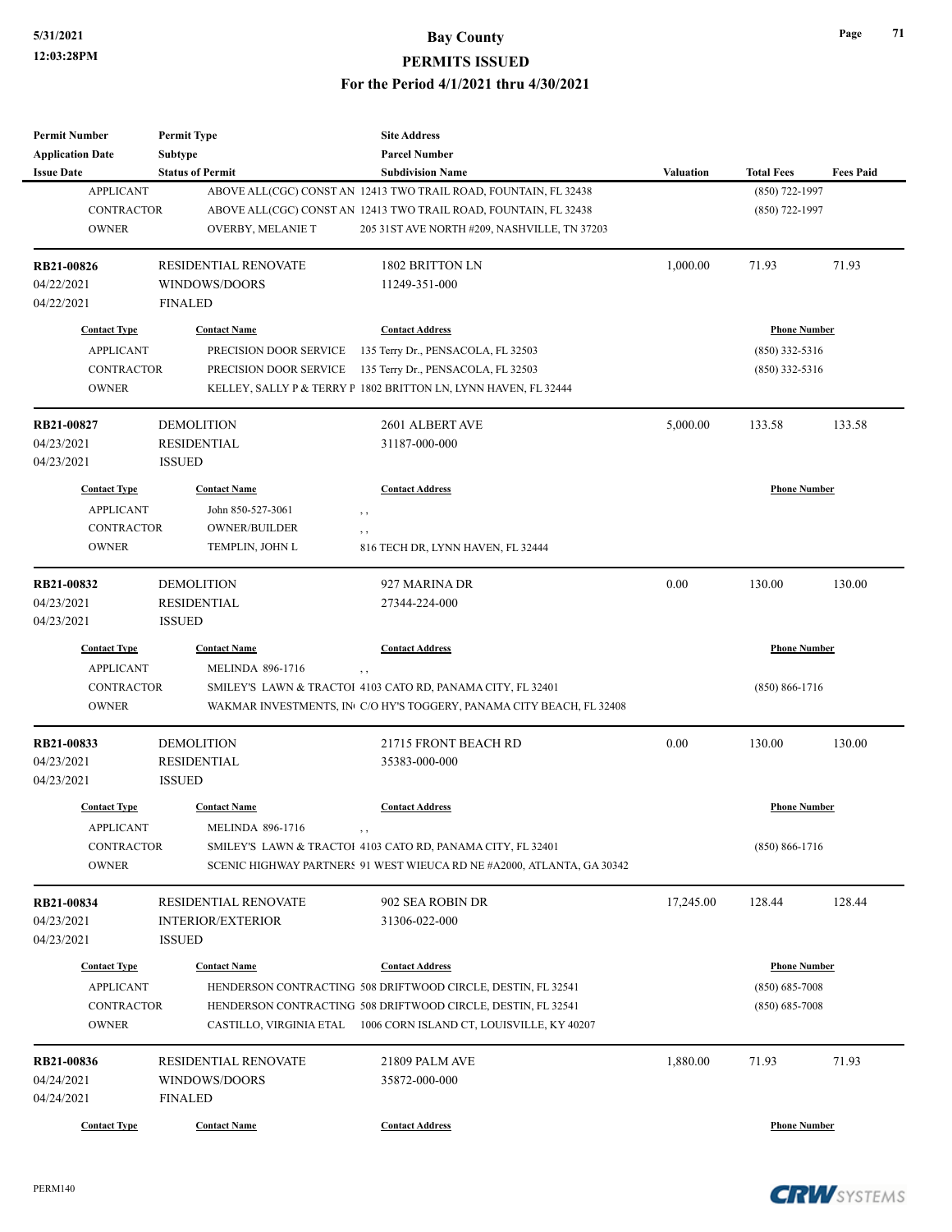| <b>Permit Number</b>                    | <b>Permit Type</b>          | <b>Site Address</b>                                                                    |                  |                                           |                  |
|-----------------------------------------|-----------------------------|----------------------------------------------------------------------------------------|------------------|-------------------------------------------|------------------|
| <b>Application Date</b>                 | <b>Subtype</b>              | <b>Parcel Number</b>                                                                   |                  |                                           |                  |
| <b>Issue Date</b>                       | <b>Status of Permit</b>     | <b>Subdivision Name</b>                                                                | <b>Valuation</b> | <b>Total Fees</b>                         | <b>Fees Paid</b> |
| <b>APPLICANT</b>                        |                             | ABOVE ALL(CGC) CONST AN 12413 TWO TRAIL ROAD, FOUNTAIN, FL 32438                       |                  | $(850)$ 722-1997                          |                  |
| <b>CONTRACTOR</b>                       |                             | ABOVE ALL(CGC) CONST AN 12413 TWO TRAIL ROAD, FOUNTAIN, FL 32438                       |                  | $(850)$ 722-1997                          |                  |
| <b>OWNER</b>                            | OVERBY, MELANIE T           | 205 31 ST AVE NORTH #209, NASHVILLE, TN 37203                                          |                  |                                           |                  |
| <b>RB21-00826</b>                       | <b>RESIDENTIAL RENOVATE</b> | 1802 BRITTON LN                                                                        | 1,000.00         | 71.93                                     | 71.93            |
| 04/22/2021                              | WINDOWS/DOORS               | 11249-351-000                                                                          |                  |                                           |                  |
| 04/22/2021                              | <b>FINALED</b>              |                                                                                        |                  |                                           |                  |
| <b>Contact Type</b>                     | <b>Contact Name</b>         | <b>Contact Address</b>                                                                 |                  | <b>Phone Number</b>                       |                  |
| <b>APPLICANT</b>                        | PRECISION DOOR SERVICE      | 135 Terry Dr., PENSACOLA, FL 32503                                                     |                  | $(850)$ 332-5316                          |                  |
| <b>CONTRACTOR</b>                       | PRECISION DOOR SERVICE      | 135 Terry Dr., PENSACOLA, FL 32503                                                     |                  | $(850)$ 332-5316                          |                  |
| <b>OWNER</b>                            |                             | KELLEY, SALLY P & TERRY P 1802 BRITTON LN, LYNN HAVEN, FL 32444                        |                  |                                           |                  |
| RB21-00827                              | <b>DEMOLITION</b>           | 2601 ALBERT AVE                                                                        | 5,000.00         | 133.58                                    | 133.58           |
| 04/23/2021                              | <b>RESIDENTIAL</b>          | 31187-000-000                                                                          |                  |                                           |                  |
| 04/23/2021                              | <b>ISSUED</b>               |                                                                                        |                  |                                           |                  |
| <b>Contact Type</b>                     | <b>Contact Name</b>         | <b>Contact Address</b>                                                                 |                  | <b>Phone Number</b>                       |                  |
| <b>APPLICANT</b>                        | John 850-527-3061           | , ,                                                                                    |                  |                                           |                  |
| <b>CONTRACTOR</b>                       | <b>OWNER/BUILDER</b>        |                                                                                        |                  |                                           |                  |
| <b>OWNER</b>                            | TEMPLIN, JOHN L             | $, \, , \,$<br>816 TECH DR, LYNN HAVEN, FL 32444                                       |                  |                                           |                  |
|                                         |                             |                                                                                        |                  |                                           |                  |
| RB21-00832                              | <b>DEMOLITION</b>           | 927 MARINA DR                                                                          | 0.00             | 130.00                                    | 130.00           |
| 04/23/2021                              | <b>RESIDENTIAL</b>          | 27344-224-000                                                                          |                  |                                           |                  |
| 04/23/2021                              | <b>ISSUED</b>               |                                                                                        |                  |                                           |                  |
| <b>Contact Type</b>                     | <b>Contact Name</b>         | <b>Contact Address</b>                                                                 |                  | <b>Phone Number</b>                       |                  |
| <b>APPLICANT</b>                        | <b>MELINDA 896-1716</b>     | $, \, ,$                                                                               |                  |                                           |                  |
| <b>CONTRACTOR</b>                       |                             | SMILEY'S LAWN & TRACTOI 4103 CATO RD, PANAMA CITY, FL 32401                            |                  | $(850) 866 - 1716$                        |                  |
| <b>OWNER</b>                            |                             | WAKMAR INVESTMENTS, IN C/O HY'S TOGGERY, PANAMA CITY BEACH, FL 32408                   |                  |                                           |                  |
| RB21-00833                              | <b>DEMOLITION</b>           | <b>21715 FRONT BEACH RD</b>                                                            | 0.00             | 130.00                                    | 130.00           |
| 04/23/2021                              | <b>RESIDENTIAL</b>          | 35383-000-000                                                                          |                  |                                           |                  |
| 04/23/2021                              | <b>ISSUED</b>               |                                                                                        |                  |                                           |                  |
| <b>Contact Type</b>                     | <b>Contact Name</b>         | <b>Contact Address</b>                                                                 |                  | <b>Phone Number</b>                       |                  |
| <b>APPLICANT</b>                        | <b>MELINDA 896-1716</b>     | , ,                                                                                    |                  |                                           |                  |
| CONTRACTOR                              |                             | SMILEY'S LAWN & TRACTOI 4103 CATO RD, PANAMA CITY, FL 32401                            |                  | $(850) 866 - 1716$                        |                  |
| <b>OWNER</b>                            |                             | SCENIC HIGHWAY PARTNERS 91 WEST WIEUCA RD NE #A2000, ATLANTA, GA 30342                 |                  |                                           |                  |
| RB21-00834                              | RESIDENTIAL RENOVATE        | 902 SEA ROBIN DR                                                                       | 17,245.00        | 128.44                                    | 128.44           |
| 04/23/2021                              | <b>INTERIOR/EXTERIOR</b>    | 31306-022-000                                                                          |                  |                                           |                  |
| 04/23/2021                              | <b>ISSUED</b>               |                                                                                        |                  |                                           |                  |
|                                         |                             |                                                                                        |                  |                                           |                  |
| <b>Contact Type</b><br><b>APPLICANT</b> | <b>Contact Name</b>         | <b>Contact Address</b><br>HENDERSON CONTRACTING 508 DRIFTWOOD CIRCLE, DESTIN, FL 32541 |                  | <b>Phone Number</b><br>$(850) 685 - 7008$ |                  |
|                                         |                             |                                                                                        |                  |                                           |                  |
| <b>CONTRACTOR</b>                       |                             | HENDERSON CONTRACTING 508 DRIFTWOOD CIRCLE, DESTIN, FL 32541                           |                  | $(850) 685 - 7008$                        |                  |
| <b>OWNER</b>                            |                             | CASTILLO, VIRGINIA ETAL 1006 CORN ISLAND CT, LOUISVILLE, KY 40207                      |                  |                                           |                  |
| RB21-00836                              | RESIDENTIAL RENOVATE        | 21809 PALM AVE                                                                         | 1,880.00         | 71.93                                     | 71.93            |
| 04/24/2021                              | WINDOWS/DOORS               | 35872-000-000                                                                          |                  |                                           |                  |
| 04/24/2021                              | <b>FINALED</b>              |                                                                                        |                  |                                           |                  |
| <b>Contact Type</b>                     | <b>Contact Name</b>         | <b>Contact Address</b>                                                                 |                  | <b>Phone Number</b>                       |                  |
|                                         |                             |                                                                                        |                  |                                           |                  |

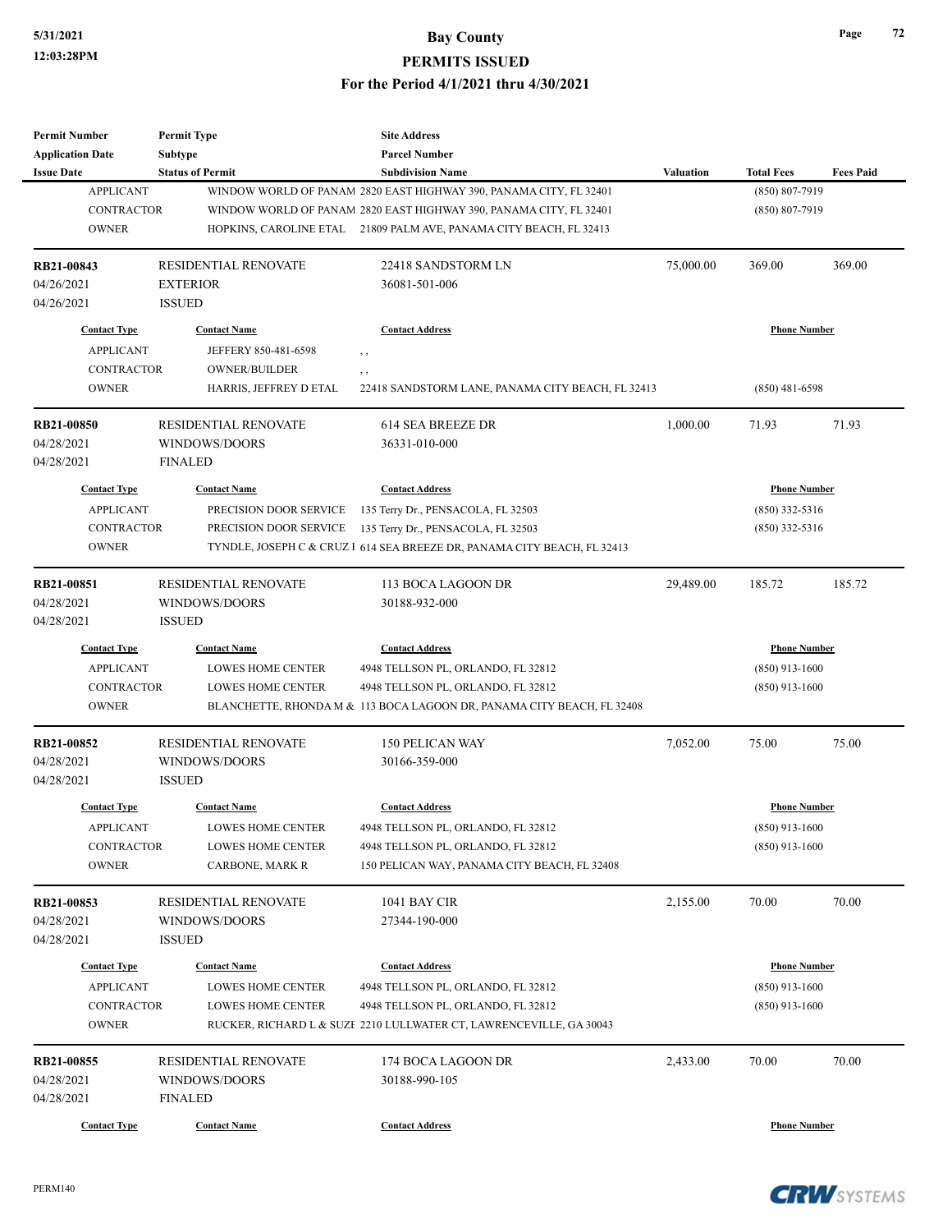| <b>Permit Number</b>                    | <b>Permit Type</b>                       | <b>Site Address</b>                                                      |                     |                                         |                  |
|-----------------------------------------|------------------------------------------|--------------------------------------------------------------------------|---------------------|-----------------------------------------|------------------|
| <b>Application Date</b>                 | <b>Subtype</b>                           | <b>Parcel Number</b>                                                     |                     |                                         |                  |
| <b>Issue Date</b>                       | <b>Status of Permit</b>                  | <b>Subdivision Name</b>                                                  | <b>Valuation</b>    | <b>Total Fees</b>                       | <b>Fees Paid</b> |
| <b>APPLICANT</b>                        |                                          | WINDOW WORLD OF PANAM 2820 EAST HIGHWAY 390, PANAMA CITY, FL 32401       |                     | $(850) 807 - 7919$                      |                  |
| <b>CONTRACTOR</b>                       |                                          | WINDOW WORLD OF PANAM 2820 EAST HIGHWAY 390, PANAMA CITY, FL 32401       |                     | $(850) 807 - 7919$                      |                  |
| <b>OWNER</b>                            |                                          | HOPKINS, CAROLINE ETAL 21809 PALM AVE, PANAMA CITY BEACH, FL 32413       |                     |                                         |                  |
| RB21-00843                              | <b>RESIDENTIAL RENOVATE</b>              | 22418 SANDSTORM LN                                                       | 75,000.00           | 369.00                                  | 369.00           |
| 04/26/2021                              | <b>EXTERIOR</b>                          | 36081-501-006                                                            |                     |                                         |                  |
| 04/26/2021                              | <b>ISSUED</b>                            |                                                                          |                     |                                         |                  |
| <b>Contact Type</b>                     | <b>Contact Name</b>                      | <b>Contact Address</b>                                                   |                     | <b>Phone Number</b>                     |                  |
| <b>APPLICANT</b>                        | JEFFERY 850-481-6598                     | , ,                                                                      |                     |                                         |                  |
| <b>CONTRACTOR</b>                       | <b>OWNER/BUILDER</b>                     | , ,                                                                      |                     |                                         |                  |
| <b>OWNER</b>                            | HARRIS, JEFFREY D ETAL                   | 22418 SANDSTORM LANE, PANAMA CITY BEACH, FL 32413                        |                     | $(850)$ 481-6598                        |                  |
| <b>RB21-00850</b>                       | <b>RESIDENTIAL RENOVATE</b>              | 614 SEA BREEZE DR                                                        | 1,000.00            | 71.93                                   | 71.93            |
| 04/28/2021                              | WINDOWS/DOORS                            | 36331-010-000                                                            |                     |                                         |                  |
| 04/28/2021                              | <b>FINALED</b>                           |                                                                          |                     |                                         |                  |
| <b>Contact Type</b>                     | <b>Contact Name</b>                      | <b>Contact Address</b>                                                   |                     | <b>Phone Number</b>                     |                  |
| <b>APPLICANT</b>                        | PRECISION DOOR SERVICE                   | 135 Terry Dr., PENSACOLA, FL 32503                                       |                     | $(850)$ 332-5316                        |                  |
| <b>CONTRACTOR</b>                       | PRECISION DOOR SERVICE                   | 135 Terry Dr., PENSACOLA, FL 32503                                       |                     | $(850)$ 332-5316                        |                  |
| <b>OWNER</b>                            |                                          | TYNDLE, JOSEPH C & CRUZ 1 614 SEA BREEZE DR, PANAMA CITY BEACH, FL 32413 |                     |                                         |                  |
|                                         |                                          |                                                                          |                     |                                         |                  |
| RB21-00851                              | RESIDENTIAL RENOVATE                     | 113 BOCA LAGOON DR                                                       | 29,489.00           | 185.72                                  | 185.72           |
| 04/28/2021                              | WINDOWS/DOORS                            | 30188-932-000                                                            |                     |                                         |                  |
| 04/28/2021                              | <b>ISSUED</b>                            |                                                                          |                     |                                         |                  |
| <b>Contact Type</b>                     | <b>Contact Name</b>                      | <b>Contact Address</b>                                                   | <b>Phone Number</b> |                                         |                  |
| <b>APPLICANT</b>                        | <b>LOWES HOME CENTER</b>                 | 4948 TELLSON PL, ORLANDO, FL 32812                                       |                     | $(850)$ 913-1600                        |                  |
| <b>CONTRACTOR</b>                       | <b>LOWES HOME CENTER</b>                 | 4948 TELLSON PL, ORLANDO, FL 32812                                       |                     | $(850)$ 913-1600                        |                  |
| <b>OWNER</b>                            |                                          | BLANCHETTE, RHONDA M & 113 BOCA LAGOON DR, PANAMA CITY BEACH, FL 32408   |                     |                                         |                  |
| <b>RB21-00852</b>                       | <b>RESIDENTIAL RENOVATE</b>              | <b>150 PELICAN WAY</b>                                                   | 7,052.00            | 75.00                                   | 75.00            |
| 04/28/2021                              | WINDOWS/DOORS                            | 30166-359-000                                                            |                     |                                         |                  |
| 04/28/2021                              | <b>ISSUED</b>                            |                                                                          |                     |                                         |                  |
| <b>Contact Type</b>                     | <b>Contact Name</b>                      | <b>Contact Address</b>                                                   |                     | <b>Phone Number</b>                     |                  |
| <b>APPLICANT</b>                        | LOWES HOME CENTER                        | 4948 TELLSON PL, ORLANDO, FL 32812                                       |                     | $(850)$ 913-1600                        |                  |
| CONTRACTOR                              | LOWES HOME CENTER                        | 4948 TELLSON PL, ORLANDO, FL 32812                                       |                     | $(850)$ 913-1600                        |                  |
| <b>OWNER</b>                            | CARBONE, MARK R                          | 150 PELICAN WAY, PANAMA CITY BEACH, FL 32408                             |                     |                                         |                  |
| RB21-00853                              | RESIDENTIAL RENOVATE                     | 1041 BAY CIR                                                             | 2,155.00            | 70.00                                   | 70.00            |
| 04/28/2021                              | WINDOWS/DOORS                            | 27344-190-000                                                            |                     |                                         |                  |
| 04/28/2021                              | <b>ISSUED</b>                            |                                                                          |                     |                                         |                  |
|                                         |                                          |                                                                          |                     |                                         |                  |
| <b>Contact Type</b><br><b>APPLICANT</b> | <b>Contact Name</b><br>LOWES HOME CENTER | <b>Contact Address</b>                                                   |                     | <b>Phone Number</b><br>$(850)$ 913-1600 |                  |
|                                         |                                          | 4948 TELLSON PL, ORLANDO, FL 32812                                       |                     |                                         |                  |
| <b>CONTRACTOR</b>                       | LOWES HOME CENTER                        | 4948 TELLSON PL, ORLANDO, FL 32812                                       |                     | $(850)$ 913-1600                        |                  |
| <b>OWNER</b>                            |                                          | RUCKER, RICHARD L & SUZE 2210 LULLWATER CT, LAWRENCEVILLE, GA 30043      |                     |                                         |                  |
| RB21-00855                              | RESIDENTIAL RENOVATE                     | 174 BOCA LAGOON DR                                                       | 2,433.00            | 70.00                                   | 70.00            |
| 04/28/2021                              | WINDOWS/DOORS                            | 30188-990-105                                                            |                     |                                         |                  |
| 04/28/2021                              | <b>FINALED</b>                           |                                                                          |                     |                                         |                  |
| <b>Contact Type</b>                     | <b>Contact Name</b>                      | <b>Contact Address</b>                                                   |                     | <b>Phone Number</b>                     |                  |
|                                         |                                          |                                                                          |                     |                                         |                  |

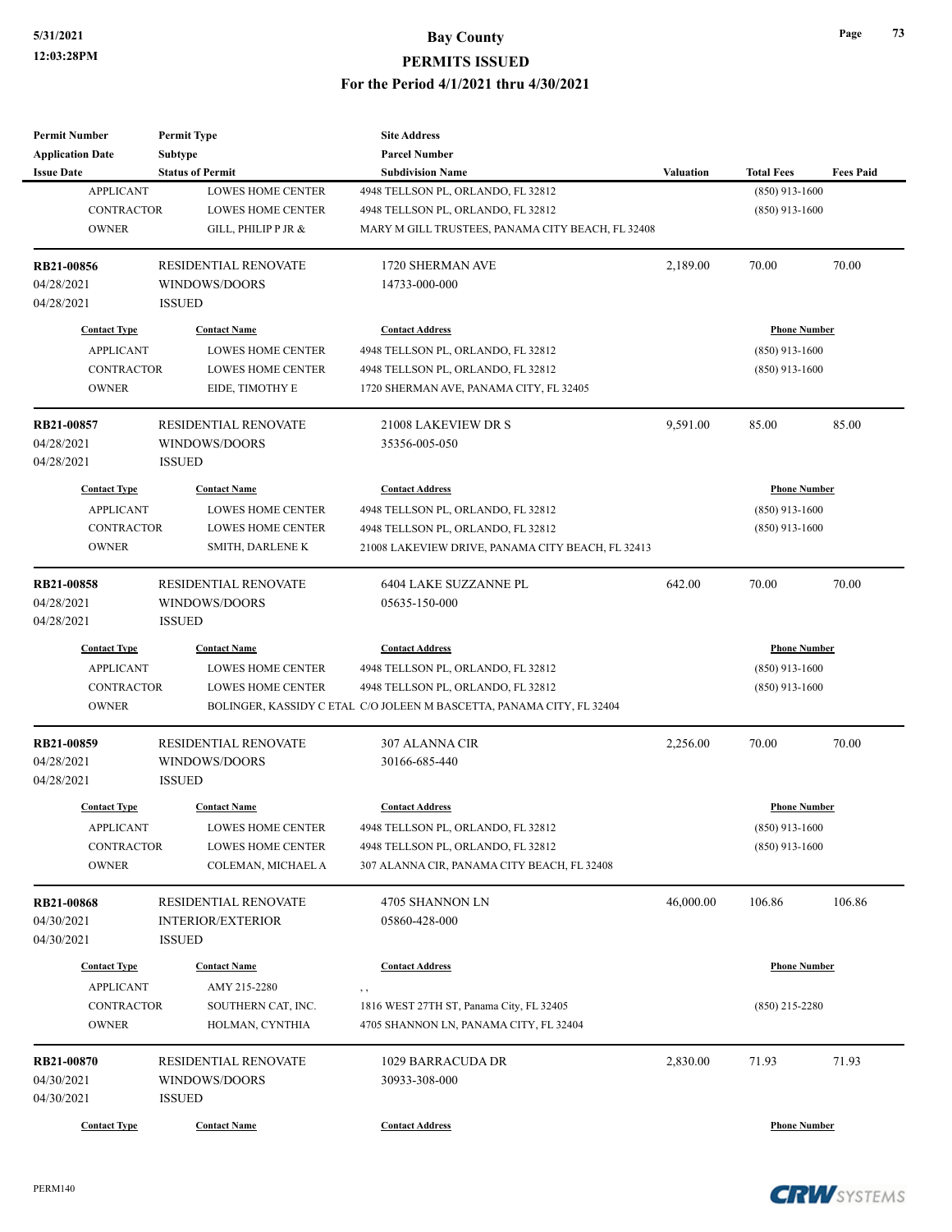| <b>Permit Number</b>    | <b>Permit Type</b>          | <b>Site Address</b>                                                   |                  |                     |                  |
|-------------------------|-----------------------------|-----------------------------------------------------------------------|------------------|---------------------|------------------|
| <b>Application Date</b> | <b>Subtype</b>              | <b>Parcel Number</b>                                                  |                  |                     |                  |
| <b>Issue Date</b>       | <b>Status of Permit</b>     | <b>Subdivision Name</b>                                               | <b>Valuation</b> | <b>Total Fees</b>   | <b>Fees Paid</b> |
| <b>APPLICANT</b>        | <b>LOWES HOME CENTER</b>    | 4948 TELLSON PL, ORLANDO, FL 32812                                    |                  | $(850)$ 913-1600    |                  |
| <b>CONTRACTOR</b>       | <b>LOWES HOME CENTER</b>    | 4948 TELLSON PL, ORLANDO, FL 32812                                    |                  | $(850)$ 913-1600    |                  |
| <b>OWNER</b>            | GILL, PHILIP P JR &         | MARY M GILL TRUSTEES, PANAMA CITY BEACH, FL 32408                     |                  |                     |                  |
| <b>RB21-00856</b>       | RESIDENTIAL RENOVATE        | 1720 SHERMAN AVE                                                      | 2,189.00         | 70.00               | 70.00            |
| 04/28/2021              | WINDOWS/DOORS               | 14733-000-000                                                         |                  |                     |                  |
| 04/28/2021              | <b>ISSUED</b>               |                                                                       |                  |                     |                  |
| <b>Contact Type</b>     | <b>Contact Name</b>         | <b>Contact Address</b>                                                |                  | <b>Phone Number</b> |                  |
| <b>APPLICANT</b>        | <b>LOWES HOME CENTER</b>    | 4948 TELLSON PL, ORLANDO, FL 32812                                    |                  | $(850)$ 913-1600    |                  |
| CONTRACTOR              | <b>LOWES HOME CENTER</b>    | 4948 TELLSON PL, ORLANDO, FL 32812                                    |                  | $(850)$ 913-1600    |                  |
| <b>OWNER</b>            | EIDE, TIMOTHY E             | 1720 SHERMAN AVE, PANAMA CITY, FL 32405                               |                  |                     |                  |
| RB21-00857              | <b>RESIDENTIAL RENOVATE</b> | 21008 LAKEVIEW DR S                                                   | 9,591.00         | 85.00               | 85.00            |
| 04/28/2021              | WINDOWS/DOORS               | 35356-005-050                                                         |                  |                     |                  |
| 04/28/2021              | <b>ISSUED</b>               |                                                                       |                  |                     |                  |
| <b>Contact Type</b>     | <b>Contact Name</b>         | <b>Contact Address</b>                                                |                  | <b>Phone Number</b> |                  |
| <b>APPLICANT</b>        | <b>LOWES HOME CENTER</b>    | 4948 TELLSON PL, ORLANDO, FL 32812                                    |                  | $(850)$ 913-1600    |                  |
| <b>CONTRACTOR</b>       | <b>LOWES HOME CENTER</b>    | 4948 TELLSON PL, ORLANDO, FL 32812                                    |                  | $(850)$ 913-1600    |                  |
| <b>OWNER</b>            | SMITH, DARLENE K            | 21008 LAKEVIEW DRIVE, PANAMA CITY BEACH, FL 32413                     |                  |                     |                  |
|                         |                             |                                                                       |                  |                     |                  |
| <b>RB21-00858</b>       | RESIDENTIAL RENOVATE        | 6404 LAKE SUZZANNE PL                                                 | 642.00           | 70.00               | 70.00            |
| 04/28/2021              | WINDOWS/DOORS               | 05635-150-000                                                         |                  |                     |                  |
| 04/28/2021              | <b>ISSUED</b>               |                                                                       |                  |                     |                  |
| <b>Contact Type</b>     | <b>Contact Name</b>         | <b>Contact Address</b>                                                |                  | <b>Phone Number</b> |                  |
| <b>APPLICANT</b>        | <b>LOWES HOME CENTER</b>    | 4948 TELLSON PL, ORLANDO, FL 32812                                    |                  | $(850)$ 913-1600    |                  |
| <b>CONTRACTOR</b>       | <b>LOWES HOME CENTER</b>    | 4948 TELLSON PL, ORLANDO, FL 32812                                    |                  | $(850)$ 913-1600    |                  |
| <b>OWNER</b>            |                             | BOLINGER, KASSIDY C ETAL C/O JOLEEN M BASCETTA, PANAMA CITY, FL 32404 |                  |                     |                  |
| RB21-00859              | <b>RESIDENTIAL RENOVATE</b> | <b>307 ALANNA CIR</b>                                                 | 2,256.00         | 70.00               | 70.00            |
| 04/28/2021              | WINDOWS/DOORS               | 30166-685-440                                                         |                  |                     |                  |
| 04/28/2021              | <b>ISSUED</b>               |                                                                       |                  |                     |                  |
| <b>Contact Type</b>     | <b>Contact Name</b>         | <b>Contact Address</b>                                                |                  | <b>Phone Number</b> |                  |
| <b>APPLICANT</b>        | LOWES HOME CENTER           | 4948 TELLSON PL, ORLANDO, FL 32812                                    |                  | $(850)$ 913-1600    |                  |
| CONTRACTOR              | <b>LOWES HOME CENTER</b>    | 4948 TELLSON PL, ORLANDO, FL 32812                                    |                  | $(850)$ 913-1600    |                  |
| <b>OWNER</b>            | COLEMAN, MICHAEL A          | 307 ALANNA CIR, PANAMA CITY BEACH, FL 32408                           |                  |                     |                  |
| <b>RB21-00868</b>       | RESIDENTIAL RENOVATE        | 4705 SHANNON LN                                                       | 46,000.00        | 106.86              | 106.86           |
| 04/30/2021              | <b>INTERIOR/EXTERIOR</b>    | 05860-428-000                                                         |                  |                     |                  |
| 04/30/2021              | <b>ISSUED</b>               |                                                                       |                  |                     |                  |
|                         |                             |                                                                       |                  |                     |                  |
| <b>Contact Type</b>     | <b>Contact Name</b>         | <b>Contact Address</b>                                                |                  | <b>Phone Number</b> |                  |
| <b>APPLICANT</b>        | AMY 215-2280                | , ,                                                                   |                  |                     |                  |
| <b>CONTRACTOR</b>       | SOUTHERN CAT, INC.          | 1816 WEST 27TH ST, Panama City, FL 32405                              |                  | $(850)$ 215-2280    |                  |
| <b>OWNER</b>            | HOLMAN, CYNTHIA             | 4705 SHANNON LN, PANAMA CITY, FL 32404                                |                  |                     |                  |
| <b>RB21-00870</b>       | RESIDENTIAL RENOVATE        | 1029 BARRACUDA DR                                                     | 2,830.00         | 71.93               | 71.93            |
| 04/30/2021              | WINDOWS/DOORS               | 30933-308-000                                                         |                  |                     |                  |
| 04/30/2021              | <b>ISSUED</b>               |                                                                       |                  |                     |                  |
| <b>Contact Type</b>     | <b>Contact Name</b>         | <b>Contact Address</b>                                                |                  | <b>Phone Number</b> |                  |
|                         |                             |                                                                       |                  |                     |                  |

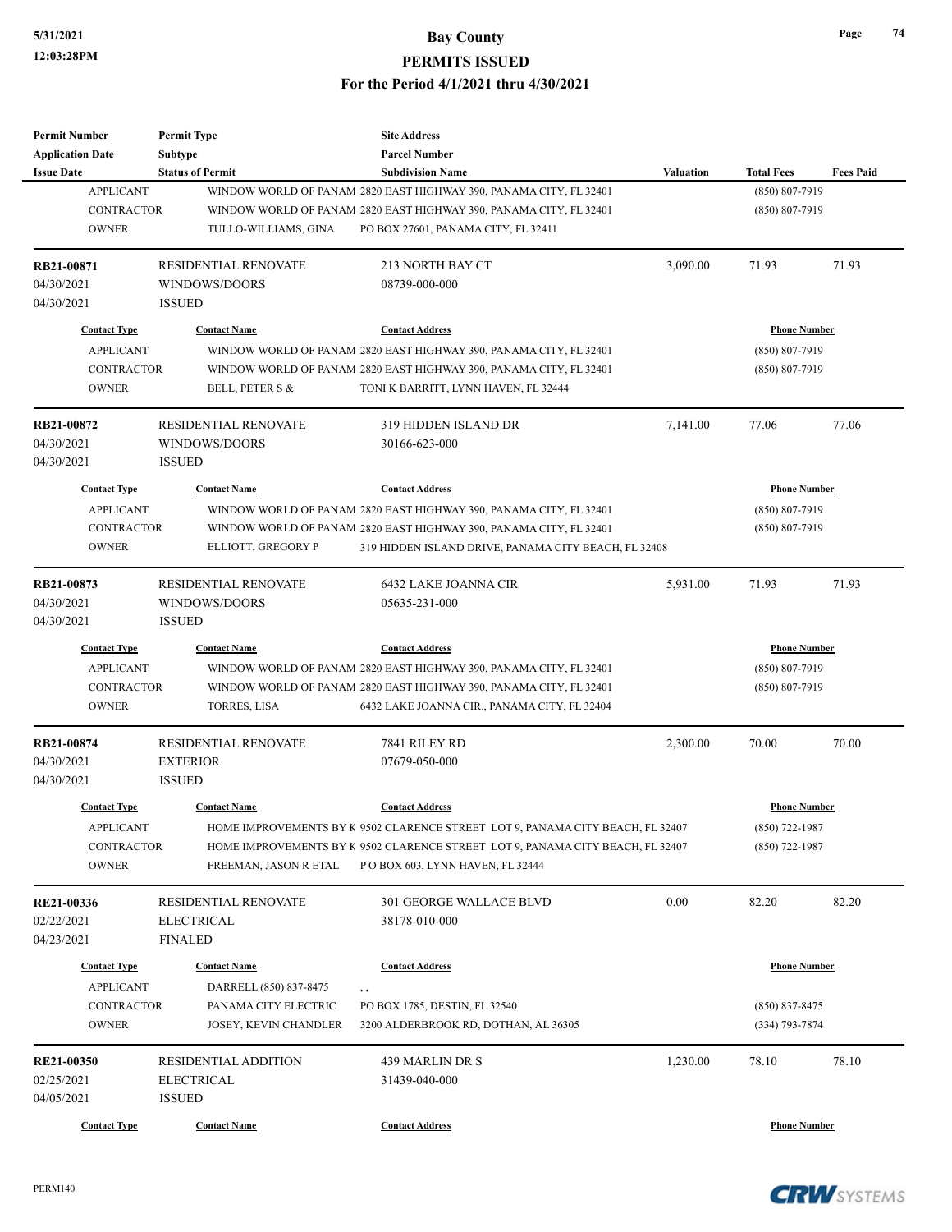| <b>Permit Number</b>    | <b>Permit Type</b>           | <b>Site Address</b>                                                            |                  |                     |                  |
|-------------------------|------------------------------|--------------------------------------------------------------------------------|------------------|---------------------|------------------|
| <b>Application Date</b> | <b>Subtype</b>               | <b>Parcel Number</b>                                                           |                  |                     |                  |
| <b>Issue Date</b>       | <b>Status of Permit</b>      | <b>Subdivision Name</b>                                                        | <b>Valuation</b> | <b>Total Fees</b>   | <b>Fees Paid</b> |
| <b>APPLICANT</b>        |                              | WINDOW WORLD OF PANAM 2820 EAST HIGHWAY 390, PANAMA CITY, FL 32401             |                  | (850) 807-7919      |                  |
| <b>CONTRACTOR</b>       |                              | WINDOW WORLD OF PANAM 2820 EAST HIGHWAY 390, PANAMA CITY, FL 32401             |                  | $(850) 807 - 7919$  |                  |
| <b>OWNER</b>            | TULLO-WILLIAMS, GINA         | PO BOX 27601, PANAMA CITY, FL 32411                                            |                  |                     |                  |
|                         |                              |                                                                                |                  |                     |                  |
| RB21-00871              | <b>RESIDENTIAL RENOVATE</b>  | 213 NORTH BAY CT                                                               | 3,090.00         | 71.93               | 71.93            |
| 04/30/2021              | WINDOWS/DOORS                | 08739-000-000                                                                  |                  |                     |                  |
| 04/30/2021              | <b>ISSUED</b>                |                                                                                |                  |                     |                  |
| <b>Contact Type</b>     | <b>Contact Name</b>          | <b>Contact Address</b>                                                         |                  | <b>Phone Number</b> |                  |
| <b>APPLICANT</b>        |                              | WINDOW WORLD OF PANAM 2820 EAST HIGHWAY 390, PANAMA CITY, FL 32401             |                  | $(850) 807 - 7919$  |                  |
| <b>CONTRACTOR</b>       |                              | WINDOW WORLD OF PANAM 2820 EAST HIGHWAY 390, PANAMA CITY, FL 32401             |                  | $(850) 807 - 7919$  |                  |
| <b>OWNER</b>            | BELL, PETER S &              | TONI K BARRITT, LYNN HAVEN, FL 32444                                           |                  |                     |                  |
|                         |                              |                                                                                |                  |                     |                  |
| RB21-00872              | <b>RESIDENTIAL RENOVATE</b>  | 319 HIDDEN ISLAND DR                                                           | 7,141.00         | 77.06               | 77.06            |
| 04/30/2021              | WINDOWS/DOORS                | 30166-623-000                                                                  |                  |                     |                  |
| 04/30/2021              | <b>ISSUED</b>                |                                                                                |                  |                     |                  |
| <b>Contact Type</b>     | <b>Contact Name</b>          | <b>Contact Address</b>                                                         |                  | <b>Phone Number</b> |                  |
|                         |                              |                                                                                |                  |                     |                  |
| <b>APPLICANT</b>        |                              | WINDOW WORLD OF PANAM 2820 EAST HIGHWAY 390, PANAMA CITY, FL 32401             |                  | (850) 807-7919      |                  |
| <b>CONTRACTOR</b>       |                              | WINDOW WORLD OF PANAM 2820 EAST HIGHWAY 390, PANAMA CITY, FL 32401             |                  | (850) 807-7919      |                  |
| <b>OWNER</b>            | ELLIOTT, GREGORY P           | 319 HIDDEN ISLAND DRIVE, PANAMA CITY BEACH, FL 32408                           |                  |                     |                  |
| RB21-00873              | RESIDENTIAL RENOVATE         | 6432 LAKE JOANNA CIR                                                           | 5,931.00         | 71.93               | 71.93            |
| 04/30/2021              | WINDOWS/DOORS                | 05635-231-000                                                                  |                  |                     |                  |
| 04/30/2021              | <b>ISSUED</b>                |                                                                                |                  |                     |                  |
|                         |                              |                                                                                |                  |                     |                  |
| <b>Contact Type</b>     | <b>Contact Name</b>          | <b>Contact Address</b>                                                         |                  | <b>Phone Number</b> |                  |
| <b>APPLICANT</b>        |                              | WINDOW WORLD OF PANAM 2820 EAST HIGHWAY 390, PANAMA CITY, FL 32401             |                  | $(850) 807 - 7919$  |                  |
| <b>CONTRACTOR</b>       |                              | WINDOW WORLD OF PANAM 2820 EAST HIGHWAY 390, PANAMA CITY, FL 32401             |                  | (850) 807-7919      |                  |
| <b>OWNER</b>            | <b>TORRES, LISA</b>          | 6432 LAKE JOANNA CIR., PANAMA CITY, FL 32404                                   |                  |                     |                  |
| <b>RB21-00874</b>       | <b>RESIDENTIAL RENOVATE</b>  | 7841 RILEY RD                                                                  | 2,300.00         | 70.00               | 70.00            |
| 04/30/2021              | <b>EXTERIOR</b>              | 07679-050-000                                                                  |                  |                     |                  |
| 04/30/2021              | <b>ISSUED</b>                |                                                                                |                  |                     |                  |
|                         |                              |                                                                                |                  |                     |                  |
| <b>Contact Type</b>     | <b>Contact Name</b>          | <b>Contact Address</b>                                                         |                  | <b>Phone Number</b> |                  |
| <b>APPLICANT</b>        |                              | HOME IMPROVEMENTS BY K 9502 CLARENCE STREET LOT 9, PANAMA CITY BEACH, FL 32407 |                  | (850) 722-1987      |                  |
| <b>CONTRACTOR</b>       |                              | HOME IMPROVEMENTS BY K 9502 CLARENCE STREET LOT 9, PANAMA CITY BEACH, FL 32407 |                  | (850) 722-1987      |                  |
| <b>OWNER</b>            | FREEMAN, JASON R ETAL        | PO BOX 603, LYNN HAVEN, FL 32444                                               |                  |                     |                  |
| RE21-00336              | <b>RESIDENTIAL RENOVATE</b>  | <b>301 GEORGE WALLACE BLVD</b>                                                 | 0.00             | 82.20               | 82.20            |
| 02/22/2021              | <b>ELECTRICAL</b>            | 38178-010-000                                                                  |                  |                     |                  |
| 04/23/2021              | <b>FINALED</b>               |                                                                                |                  |                     |                  |
|                         |                              |                                                                                |                  |                     |                  |
| <b>Contact Type</b>     | <b>Contact Name</b>          | <b>Contact Address</b>                                                         |                  | <b>Phone Number</b> |                  |
| <b>APPLICANT</b>        | DARRELL (850) 837-8475       | $, \, ,$                                                                       |                  |                     |                  |
| CONTRACTOR              | PANAMA CITY ELECTRIC         | PO BOX 1785, DESTIN, FL 32540                                                  |                  | $(850)$ 837-8475    |                  |
| <b>OWNER</b>            | <b>JOSEY, KEVIN CHANDLER</b> | 3200 ALDERBROOK RD, DOTHAN, AL 36305                                           |                  | $(334) 793 - 7874$  |                  |
| <b>RE21-00350</b>       | RESIDENTIAL ADDITION         | 439 MARLIN DR S                                                                | 1,230.00         | 78.10               | 78.10            |
| 02/25/2021              | <b>ELECTRICAL</b>            | 31439-040-000                                                                  |                  |                     |                  |
| 04/05/2021              | <b>ISSUED</b>                |                                                                                |                  |                     |                  |
|                         |                              |                                                                                |                  |                     |                  |
| <b>Contact Type</b>     | <b>Contact Name</b>          | <b>Contact Address</b>                                                         |                  | <b>Phone Number</b> |                  |

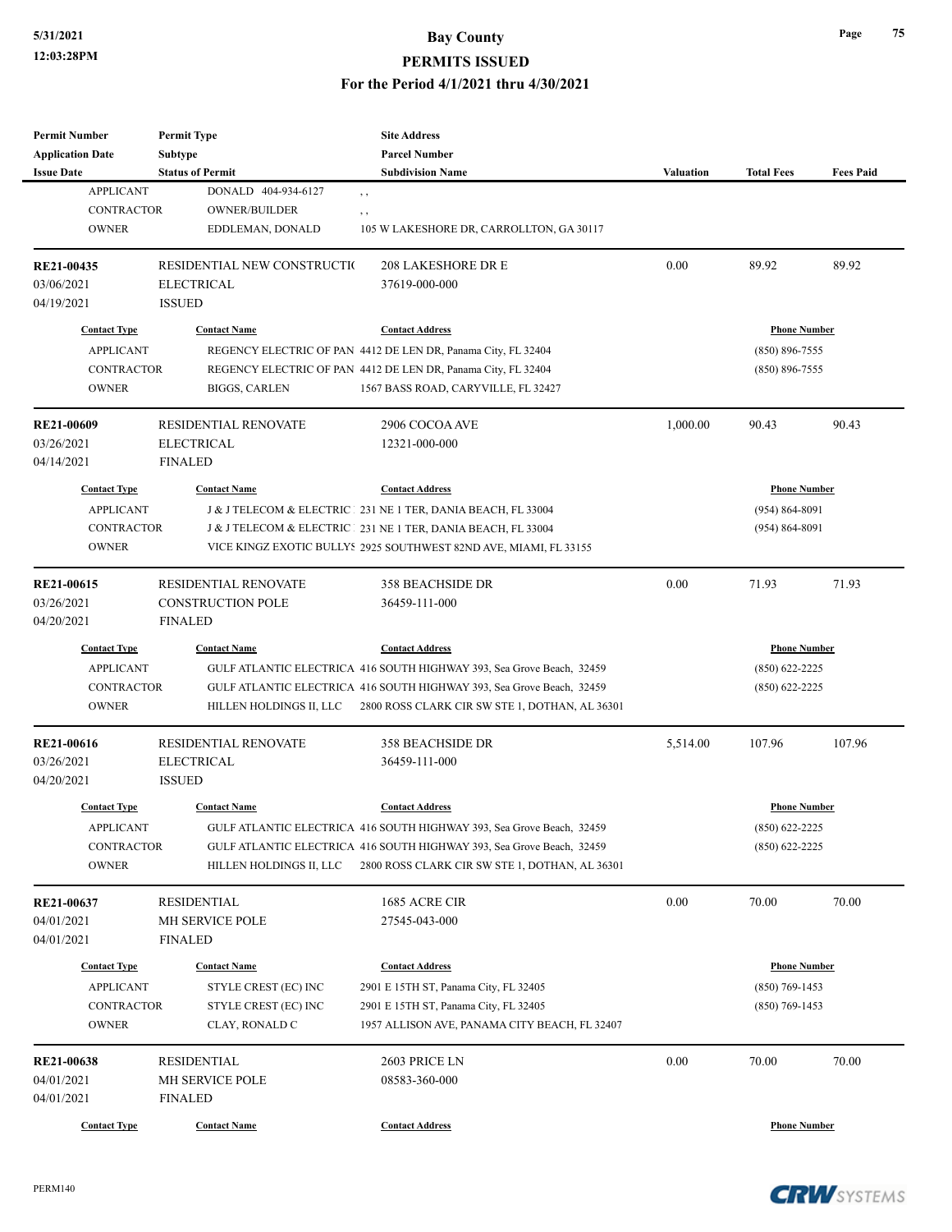# **5/31/2021 Bay County PERMITS ISSUED**

**For the Period 4/1/2021 thru 4/30/2021**

| <b>Permit Number</b>                    | <b>Permit Type</b>                          | <b>Site Address</b>                                                   |                  |                                         |                  |
|-----------------------------------------|---------------------------------------------|-----------------------------------------------------------------------|------------------|-----------------------------------------|------------------|
| <b>Application Date</b>                 | Subtype                                     | <b>Parcel Number</b>                                                  |                  |                                         |                  |
| <b>Issue Date</b>                       | <b>Status of Permit</b>                     | <b>Subdivision Name</b>                                               | <b>Valuation</b> | <b>Total Fees</b>                       | <b>Fees Paid</b> |
| <b>APPLICANT</b>                        | DONALD 404-934-6127                         | $, \, , \,$                                                           |                  |                                         |                  |
| <b>CONTRACTOR</b>                       | OWNER/BUILDER                               | $, \, , \,$                                                           |                  |                                         |                  |
| <b>OWNER</b>                            | EDDLEMAN, DONALD                            | 105 W LAKESHORE DR, CARROLLTON, GA 30117                              |                  |                                         |                  |
| RE21-00435                              | RESIDENTIAL NEW CONSTRUCTIO                 | <b>208 LAKESHORE DR E</b>                                             | 0.00             | 89.92                                   | 89.92            |
| 03/06/2021                              | <b>ELECTRICAL</b>                           | 37619-000-000                                                         |                  |                                         |                  |
| 04/19/2021                              | <b>ISSUED</b>                               |                                                                       |                  |                                         |                  |
| <b>Contact Type</b>                     | <b>Contact Name</b>                         | <b>Contact Address</b>                                                |                  | <b>Phone Number</b>                     |                  |
| <b>APPLICANT</b>                        |                                             | REGENCY ELECTRIC OF PAN 4412 DE LEN DR, Panama City, FL 32404         |                  | $(850) 896 - 7555$                      |                  |
| <b>CONTRACTOR</b>                       |                                             | REGENCY ELECTRIC OF PAN 4412 DE LEN DR, Panama City, FL 32404         |                  | $(850) 896 - 7555$                      |                  |
| <b>OWNER</b>                            | <b>BIGGS, CARLEN</b>                        | 1567 BASS ROAD, CARYVILLE, FL 32427                                   |                  |                                         |                  |
| RE21-00609                              | <b>RESIDENTIAL RENOVATE</b>                 | 2906 COCOA AVE                                                        | 1,000.00         | 90.43                                   | 90.43            |
| 03/26/2021                              | <b>ELECTRICAL</b>                           | 12321-000-000                                                         |                  |                                         |                  |
| 04/14/2021                              | <b>FINALED</b>                              |                                                                       |                  |                                         |                  |
| <b>Contact Type</b>                     | <b>Contact Name</b>                         | <b>Contact Address</b>                                                |                  | <b>Phone Number</b>                     |                  |
| <b>APPLICANT</b>                        |                                             | J & J TELECOM & ELECTRIC 231 NE 1 TER, DANIA BEACH, FL 33004          |                  | $(954) 864 - 8091$                      |                  |
| <b>CONTRACTOR</b>                       |                                             | J & J TELECOM & ELECTRIC   231 NE 1 TER, DANIA BEACH, FL 33004        |                  | $(954) 864 - 8091$                      |                  |
| <b>OWNER</b>                            |                                             | VICE KINGZ EXOTIC BULLYS 2925 SOUTHWEST 82ND AVE, MIAMI, FL 33155     |                  |                                         |                  |
|                                         |                                             |                                                                       |                  |                                         |                  |
| RE21-00615                              | <b>RESIDENTIAL RENOVATE</b>                 | <b>358 BEACHSIDE DR</b>                                               | 0.00             | 71.93                                   | 71.93            |
| 03/26/2021                              | <b>CONSTRUCTION POLE</b>                    | 36459-111-000                                                         |                  |                                         |                  |
| 04/20/2021                              | <b>FINALED</b>                              |                                                                       |                  |                                         |                  |
| <b>Contact Type</b>                     | <b>Contact Name</b>                         | <b>Contact Address</b>                                                |                  | <b>Phone Number</b>                     |                  |
| <b>APPLICANT</b>                        |                                             | GULF ATLANTIC ELECTRICA 416 SOUTH HIGHWAY 393, Sea Grove Beach, 32459 |                  | $(850)$ 622-2225                        |                  |
| <b>CONTRACTOR</b>                       |                                             | GULF ATLANTIC ELECTRICA 416 SOUTH HIGHWAY 393, Sea Grove Beach, 32459 |                  | $(850)$ 622-2225                        |                  |
| <b>OWNER</b>                            | HILLEN HOLDINGS II, LLC                     | 2800 ROSS CLARK CIR SW STE 1, DOTHAN, AL 36301                        |                  |                                         |                  |
| <b>RE21-00616</b>                       | <b>RESIDENTIAL RENOVATE</b>                 | <b>358 BEACHSIDE DR</b>                                               | 5,514.00         | 107.96                                  | 107.96           |
| 03/26/2021                              | <b>ELECTRICAL</b>                           | 36459-111-000                                                         |                  |                                         |                  |
| 04/20/2021                              | <b>ISSUED</b>                               |                                                                       |                  |                                         |                  |
| <b>Contact Type</b>                     | <b>Contact Name</b>                         | <b>Contact Address</b>                                                |                  | <b>Phone Number</b>                     |                  |
| <b>APPLICANT</b>                        |                                             | GULF ATLANTIC ELECTRICA 416 SOUTH HIGHWAY 393, Sea Grove Beach, 32459 |                  | $(850) 622 - 2225$                      |                  |
| <b>CONTRACTOR</b>                       |                                             | GULF ATLANTIC ELECTRICA 416 SOUTH HIGHWAY 393, Sea Grove Beach, 32459 |                  | $(850)$ 622-2225                        |                  |
| <b>OWNER</b>                            | HILLEN HOLDINGS II. LLC                     | 2800 ROSS CLARK CIR SW STE 1, DOTHAN, AL 36301                        |                  |                                         |                  |
| RE21-00637                              | <b>RESIDENTIAL</b>                          | 1685 ACRE CIR                                                         | 0.00             | 70.00                                   | 70.00            |
| 04/01/2021                              | <b>MH SERVICE POLE</b>                      | 27545-043-000                                                         |                  |                                         |                  |
| 04/01/2021                              | <b>FINALED</b>                              |                                                                       |                  |                                         |                  |
|                                         |                                             |                                                                       |                  |                                         |                  |
| <b>Contact Type</b><br><b>APPLICANT</b> | <b>Contact Name</b><br>STYLE CREST (EC) INC | <b>Contact Address</b>                                                |                  | <b>Phone Number</b><br>$(850)$ 769-1453 |                  |
|                                         |                                             | 2901 E 15TH ST, Panama City, FL 32405                                 |                  |                                         |                  |
| <b>CONTRACTOR</b>                       | STYLE CREST (EC) INC                        | 2901 E 15TH ST, Panama City, FL 32405                                 |                  | $(850)$ 769-1453                        |                  |
| <b>OWNER</b>                            | CLAY, RONALD C                              | 1957 ALLISON AVE, PANAMA CITY BEACH, FL 32407                         |                  |                                         |                  |
| RE21-00638                              | <b>RESIDENTIAL</b>                          | 2603 PRICE LN                                                         | 0.00             | 70.00                                   | 70.00            |
| 04/01/2021                              | MH SERVICE POLE                             | 08583-360-000                                                         |                  |                                         |                  |
| 04/01/2021                              | <b>FINALED</b>                              |                                                                       |                  |                                         |                  |
| <b>Contact Type</b>                     | <b>Contact Name</b>                         | <b>Contact Address</b>                                                |                  | <b>Phone Number</b>                     |                  |
|                                         |                                             |                                                                       |                  |                                         |                  |

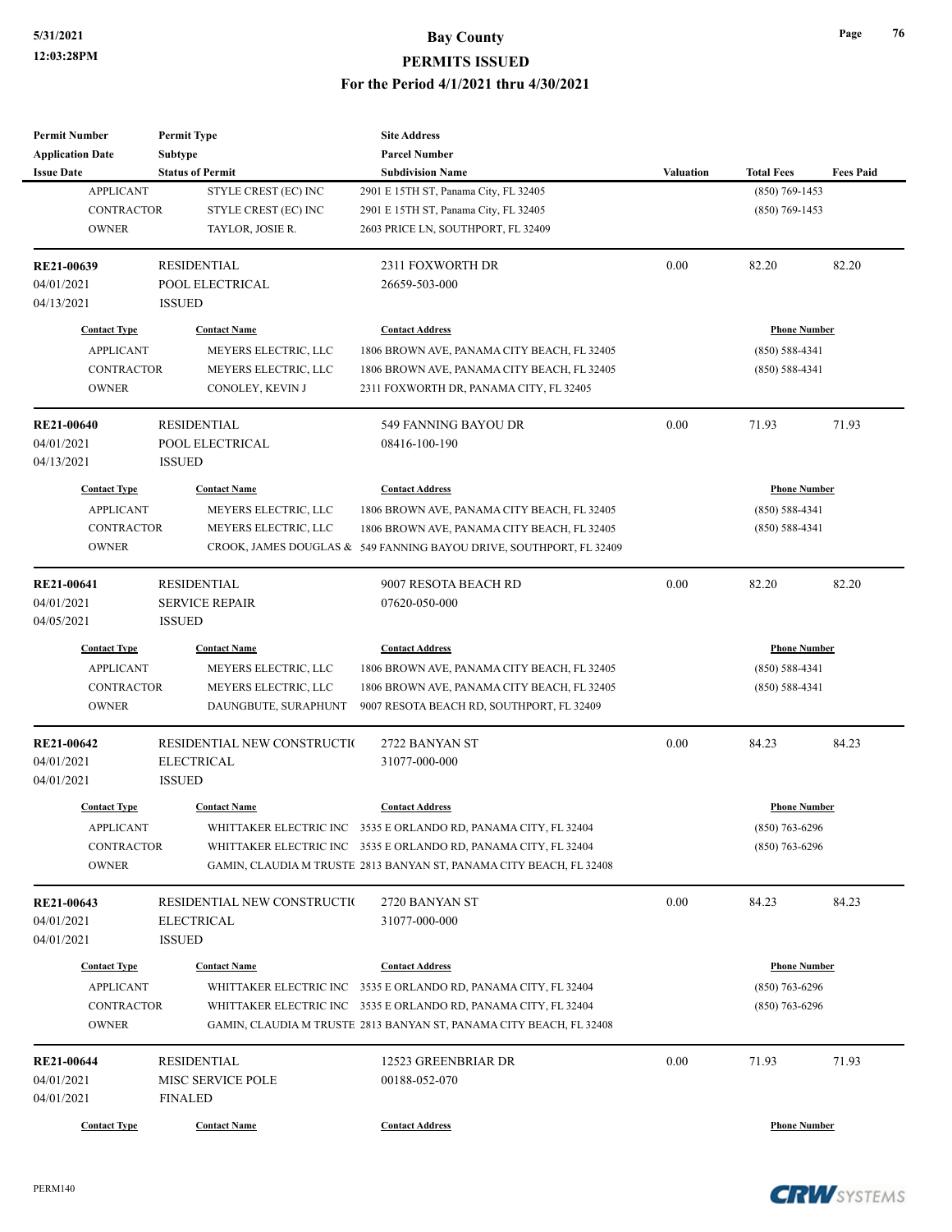| <b>Permit Number</b>    | <b>Permit Type</b>          | <b>Site Address</b>                                                 |                  |                     |                  |
|-------------------------|-----------------------------|---------------------------------------------------------------------|------------------|---------------------|------------------|
| <b>Application Date</b> | Subtype                     | <b>Parcel Number</b>                                                |                  |                     |                  |
| <b>Issue Date</b>       | <b>Status of Permit</b>     | <b>Subdivision Name</b>                                             | <b>Valuation</b> | <b>Total Fees</b>   | <b>Fees Paid</b> |
| <b>APPLICANT</b>        | STYLE CREST (EC) INC        | 2901 E 15TH ST, Panama City, FL 32405                               |                  | $(850)$ 769-1453    |                  |
| <b>CONTRACTOR</b>       | STYLE CREST (EC) INC        | 2901 E 15TH ST, Panama City, FL 32405                               |                  | $(850)$ 769-1453    |                  |
| <b>OWNER</b>            | TAYLOR, JOSIE R.            | 2603 PRICE LN, SOUTHPORT, FL 32409                                  |                  |                     |                  |
| RE21-00639              | <b>RESIDENTIAL</b>          | 2311 FOXWORTH DR                                                    | 0.00             | 82.20               | 82.20            |
| 04/01/2021              | POOL ELECTRICAL             | 26659-503-000                                                       |                  |                     |                  |
| 04/13/2021              | <b>ISSUED</b>               |                                                                     |                  |                     |                  |
| <b>Contact Type</b>     | <b>Contact Name</b>         | <b>Contact Address</b>                                              |                  | <b>Phone Number</b> |                  |
| <b>APPLICANT</b>        | MEYERS ELECTRIC, LLC        | 1806 BROWN AVE, PANAMA CITY BEACH, FL 32405                         |                  | $(850) 588 - 4341$  |                  |
| <b>CONTRACTOR</b>       | MEYERS ELECTRIC, LLC        | 1806 BROWN AVE, PANAMA CITY BEACH, FL 32405                         |                  | $(850) 588 - 4341$  |                  |
| <b>OWNER</b>            | CONOLEY, KEVIN J            | 2311 FOXWORTH DR, PANAMA CITY, FL 32405                             |                  |                     |                  |
| <b>RE21-00640</b>       | <b>RESIDENTIAL</b>          | 549 FANNING BAYOU DR                                                | 0.00             | 71.93               | 71.93            |
| 04/01/2021              | POOL ELECTRICAL             | 08416-100-190                                                       |                  |                     |                  |
| 04/13/2021              | <b>ISSUED</b>               |                                                                     |                  |                     |                  |
| <b>Contact Type</b>     | <b>Contact Name</b>         | <b>Contact Address</b>                                              |                  | <b>Phone Number</b> |                  |
| <b>APPLICANT</b>        | MEYERS ELECTRIC, LLC        | 1806 BROWN AVE, PANAMA CITY BEACH, FL 32405                         |                  | $(850) 588 - 4341$  |                  |
| <b>CONTRACTOR</b>       | MEYERS ELECTRIC, LLC        | 1806 BROWN AVE, PANAMA CITY BEACH, FL 32405                         |                  | $(850) 588 - 4341$  |                  |
| <b>OWNER</b>            |                             | CROOK, JAMES DOUGLAS & 549 FANNING BAYOU DRIVE, SOUTHPORT, FL 32409 |                  |                     |                  |
| RE21-00641              | <b>RESIDENTIAL</b>          | 9007 RESOTA BEACH RD                                                | 0.00             | 82.20               | 82.20            |
| 04/01/2021              | <b>SERVICE REPAIR</b>       | 07620-050-000                                                       |                  |                     |                  |
| 04/05/2021              | <b>ISSUED</b>               |                                                                     |                  |                     |                  |
| <b>Contact Type</b>     | <b>Contact Name</b>         | <b>Contact Address</b>                                              |                  | <b>Phone Number</b> |                  |
| <b>APPLICANT</b>        | MEYERS ELECTRIC, LLC        | 1806 BROWN AVE, PANAMA CITY BEACH, FL 32405                         |                  | $(850) 588 - 4341$  |                  |
| <b>CONTRACTOR</b>       | MEYERS ELECTRIC, LLC        | 1806 BROWN AVE, PANAMA CITY BEACH, FL 32405                         |                  | $(850) 588 - 4341$  |                  |
| <b>OWNER</b>            | DAUNGBUTE, SURAPHUNT        | 9007 RESOTA BEACH RD, SOUTHPORT, FL 32409                           |                  |                     |                  |
| <b>RE21-00642</b>       | RESIDENTIAL NEW CONSTRUCTIO | 2722 BANYAN ST                                                      | 0.00             | 84.23               | 84.23            |
| 04/01/2021              | <b>ELECTRICAL</b>           | 31077-000-000                                                       |                  |                     |                  |
| 04/01/2021              | <b>ISSUED</b>               |                                                                     |                  |                     |                  |
| <b>Contact Type</b>     | <b>Contact Name</b>         | <b>Contact Address</b>                                              |                  | <b>Phone Number</b> |                  |
| <b>APPLICANT</b>        |                             | WHITTAKER ELECTRIC INC 3535 E ORLANDO RD, PANAMA CITY, FL 32404     |                  | $(850)$ 763-6296    |                  |
| CONTRACTOR              |                             | WHITTAKER ELECTRIC INC 3535 E ORLANDO RD, PANAMA CITY, FL 32404     |                  | $(850)$ 763-6296    |                  |
| <b>OWNER</b>            |                             | GAMIN, CLAUDIA M TRUSTE 2813 BANYAN ST, PANAMA CITY BEACH, FL 32408 |                  |                     |                  |
| RE21-00643              | RESIDENTIAL NEW CONSTRUCTIO | 2720 BANYAN ST                                                      | 0.00             | 84.23               | 84.23            |
| 04/01/2021              | <b>ELECTRICAL</b>           | 31077-000-000                                                       |                  |                     |                  |
| 04/01/2021              | <b>ISSUED</b>               |                                                                     |                  |                     |                  |
| <b>Contact Type</b>     | <b>Contact Name</b>         | <b>Contact Address</b>                                              |                  | <b>Phone Number</b> |                  |
| <b>APPLICANT</b>        |                             | WHITTAKER ELECTRIC INC 3535 E ORLANDO RD, PANAMA CITY, FL 32404     |                  | $(850)$ 763-6296    |                  |
| <b>CONTRACTOR</b>       |                             | WHITTAKER ELECTRIC INC 3535 E ORLANDO RD, PANAMA CITY, FL 32404     |                  | $(850)$ 763-6296    |                  |
| <b>OWNER</b>            |                             | GAMIN, CLAUDIA M TRUSTE 2813 BANYAN ST, PANAMA CITY BEACH, FL 32408 |                  |                     |                  |
| RE21-00644              | <b>RESIDENTIAL</b>          | 12523 GREENBRIAR DR                                                 | 0.00             | 71.93               | 71.93            |
| 04/01/2021              | MISC SERVICE POLE           | 00188-052-070                                                       |                  |                     |                  |
| 04/01/2021              | <b>FINALED</b>              |                                                                     |                  |                     |                  |
| <b>Contact Type</b>     | <b>Contact Name</b>         | <b>Contact Address</b>                                              |                  | <b>Phone Number</b> |                  |
|                         |                             |                                                                     |                  |                     |                  |



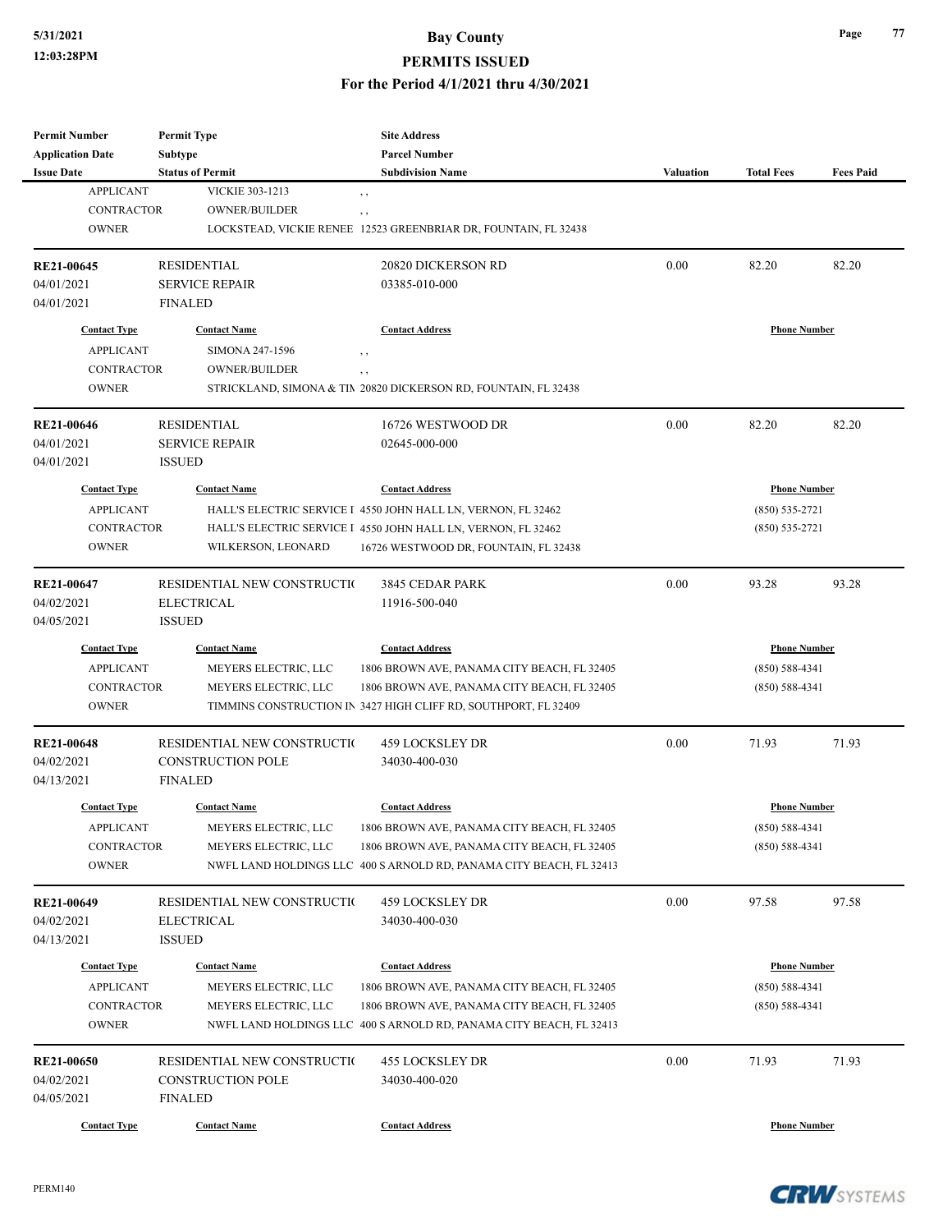#### **PERMITS ISSUED**

**For the Period 4/1/2021 thru 4/30/2021**

| <b>Permit Number</b>    | <b>Permit Type</b>          | <b>Site Address</b>                                                 |                  |                     |                  |
|-------------------------|-----------------------------|---------------------------------------------------------------------|------------------|---------------------|------------------|
| <b>Application Date</b> | Subtype                     | <b>Parcel Number</b>                                                |                  |                     |                  |
| <b>Issue Date</b>       | <b>Status of Permit</b>     | <b>Subdivision Name</b>                                             | <b>Valuation</b> | <b>Total Fees</b>   | <b>Fees Paid</b> |
| <b>APPLICANT</b>        | VICKIE 303-1213             | $, \, , \,$                                                         |                  |                     |                  |
| <b>CONTRACTOR</b>       | <b>OWNER/BUILDER</b>        | $, \, ,$                                                            |                  |                     |                  |
| <b>OWNER</b>            |                             | LOCKSTEAD, VICKIE RENEE 12523 GREENBRIAR DR, FOUNTAIN, FL 32438     |                  |                     |                  |
| RE21-00645              | <b>RESIDENTIAL</b>          | 20820 DICKERSON RD                                                  | 0.00             | 82.20               | 82.20            |
| 04/01/2021              | <b>SERVICE REPAIR</b>       | 03385-010-000                                                       |                  |                     |                  |
| 04/01/2021              | <b>FINALED</b>              |                                                                     |                  |                     |                  |
| <b>Contact Type</b>     | <b>Contact Name</b>         | <b>Contact Address</b>                                              |                  | <b>Phone Number</b> |                  |
| <b>APPLICANT</b>        | SIMONA 247-1596             | $, \, , \,$                                                         |                  |                     |                  |
| <b>CONTRACTOR</b>       | <b>OWNER/BUILDER</b>        | $, \, ,$                                                            |                  |                     |                  |
| <b>OWNER</b>            |                             | STRICKLAND, SIMONA & TIM 20820 DICKERSON RD, FOUNTAIN, FL 32438     |                  |                     |                  |
| <b>RE21-00646</b>       | <b>RESIDENTIAL</b>          | 16726 WESTWOOD DR                                                   | 0.00             | 82.20               | 82.20            |
| 04/01/2021              | <b>SERVICE REPAIR</b>       | 02645-000-000                                                       |                  |                     |                  |
| 04/01/2021              | <b>ISSUED</b>               |                                                                     |                  |                     |                  |
| <b>Contact Type</b>     | <b>Contact Name</b>         | <b>Contact Address</b>                                              |                  | <b>Phone Number</b> |                  |
| <b>APPLICANT</b>        |                             | HALL'S ELECTRIC SERVICE I 4550 JOHN HALL LN, VERNON, FL 32462       |                  | $(850)$ 535-2721    |                  |
| <b>CONTRACTOR</b>       |                             | HALL'S ELECTRIC SERVICE I 4550 JOHN HALL LN, VERNON, FL 32462       |                  | $(850) 535 - 2721$  |                  |
| <b>OWNER</b>            | WILKERSON, LEONARD          | 16726 WESTWOOD DR, FOUNTAIN, FL 32438                               |                  |                     |                  |
|                         |                             |                                                                     |                  |                     |                  |
| RE21-00647              | RESIDENTIAL NEW CONSTRUCTIO | 3845 CEDAR PARK                                                     | 0.00             | 93.28               | 93.28            |
| 04/02/2021              | <b>ELECTRICAL</b>           | 11916-500-040                                                       |                  |                     |                  |
| 04/05/2021              | <b>ISSUED</b>               |                                                                     |                  |                     |                  |
| <b>Contact Type</b>     | <b>Contact Name</b>         | <b>Contact Address</b>                                              |                  | <b>Phone Number</b> |                  |
| <b>APPLICANT</b>        | MEYERS ELECTRIC, LLC        | 1806 BROWN AVE, PANAMA CITY BEACH, FL 32405                         |                  | $(850) 588 - 4341$  |                  |
| <b>CONTRACTOR</b>       | MEYERS ELECTRIC, LLC        | 1806 BROWN AVE, PANAMA CITY BEACH, FL 32405                         |                  | $(850) 588 - 4341$  |                  |
| <b>OWNER</b>            |                             | TIMMINS CONSTRUCTION IN 3427 HIGH CLIFF RD, SOUTHPORT, FL 32409     |                  |                     |                  |
| <b>RE21-00648</b>       | RESIDENTIAL NEW CONSTRUCTIO | 459 LOCKSLEY DR                                                     | 0.00             | 71.93               | 71.93            |
| 04/02/2021              | <b>CONSTRUCTION POLE</b>    | 34030-400-030                                                       |                  |                     |                  |
| 04/13/2021              | <b>FINALED</b>              |                                                                     |                  |                     |                  |
| <b>Contact Type</b>     | <b>Contact Name</b>         | <b>Contact Address</b>                                              |                  | <b>Phone Number</b> |                  |
| <b>APPLICANT</b>        | MEYERS ELECTRIC, LLC        | 1806 BROWN AVE, PANAMA CITY BEACH, FL 32405                         |                  | $(850) 588 - 4341$  |                  |
| <b>CONTRACTOR</b>       | MEYERS ELECTRIC, LLC        | 1806 BROWN AVE, PANAMA CITY BEACH, FL 32405                         |                  | $(850) 588 - 4341$  |                  |
| <b>OWNER</b>            |                             | NWFL LAND HOLDINGS LLC 400 S ARNOLD RD, PANAMA CITY BEACH, FL 32413 |                  |                     |                  |
| RE21-00649              | RESIDENTIAL NEW CONSTRUCTIO | 459 LOCKSLEY DR                                                     | 0.00             | 97.58               | 97.58            |
|                         |                             |                                                                     |                  |                     |                  |
| 04/02/2021              | <b>ELECTRICAL</b>           | 34030-400-030                                                       |                  |                     |                  |
| 04/13/2021              | <b>ISSUED</b>               |                                                                     |                  |                     |                  |
| <b>Contact Type</b>     | <b>Contact Name</b>         | <b>Contact Address</b>                                              |                  | <b>Phone Number</b> |                  |
| <b>APPLICANT</b>        | MEYERS ELECTRIC, LLC        | 1806 BROWN AVE, PANAMA CITY BEACH, FL 32405                         |                  | $(850) 588 - 4341$  |                  |
| <b>CONTRACTOR</b>       | MEYERS ELECTRIC, LLC        | 1806 BROWN AVE, PANAMA CITY BEACH, FL 32405                         |                  | $(850) 588 - 4341$  |                  |
| <b>OWNER</b>            |                             | NWFL LAND HOLDINGS LLC 400 S ARNOLD RD, PANAMA CITY BEACH, FL 32413 |                  |                     |                  |
| <b>RE21-00650</b>       | RESIDENTIAL NEW CONSTRUCTIO | 455 LOCKSLEY DR                                                     | 0.00             | 71.93               | 71.93            |
| 04/02/2021              | CONSTRUCTION POLE           | 34030-400-020                                                       |                  |                     |                  |
| 04/05/2021              | <b>FINALED</b>              |                                                                     |                  |                     |                  |
| <b>Contact Type</b>     | <b>Contact Name</b>         | <b>Contact Address</b>                                              |                  | <b>Phone Number</b> |                  |
|                         |                             |                                                                     |                  |                     |                  |



**Page 77**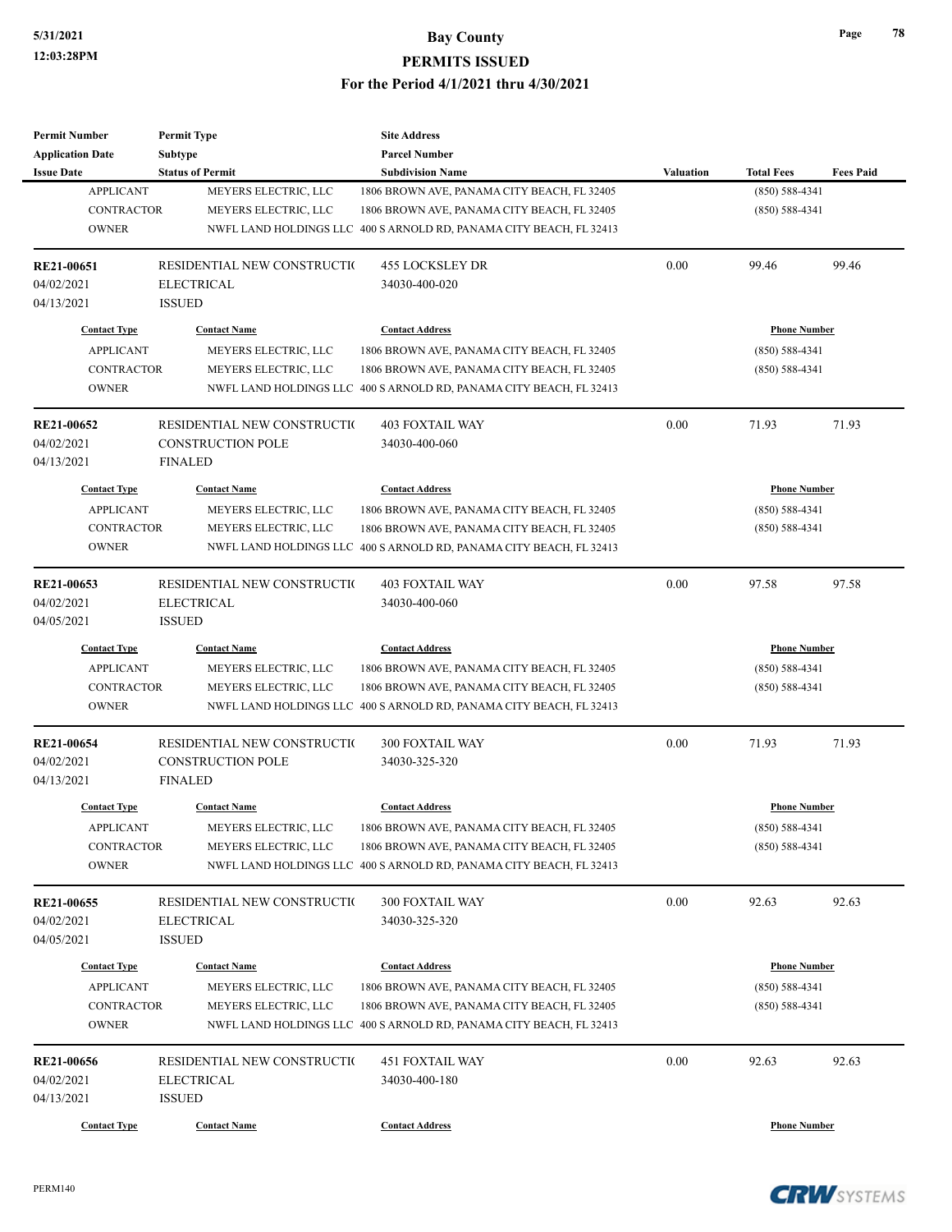| <b>Permit Number</b>    | <b>Permit Type</b>          | <b>Site Address</b>                                                 |                  |                     |                  |
|-------------------------|-----------------------------|---------------------------------------------------------------------|------------------|---------------------|------------------|
| <b>Application Date</b> | Subtype                     | <b>Parcel Number</b>                                                |                  |                     |                  |
| <b>Issue Date</b>       | <b>Status of Permit</b>     | <b>Subdivision Name</b>                                             | <b>Valuation</b> | <b>Total Fees</b>   | <b>Fees Paid</b> |
| <b>APPLICANT</b>        | MEYERS ELECTRIC, LLC        | 1806 BROWN AVE, PANAMA CITY BEACH, FL 32405                         |                  | $(850) 588 - 4341$  |                  |
| <b>CONTRACTOR</b>       | MEYERS ELECTRIC, LLC        | 1806 BROWN AVE, PANAMA CITY BEACH, FL 32405                         |                  | $(850) 588 - 4341$  |                  |
| <b>OWNER</b>            |                             | NWFL LAND HOLDINGS LLC 400 S ARNOLD RD, PANAMA CITY BEACH, FL 32413 |                  |                     |                  |
| RE21-00651              | RESIDENTIAL NEW CONSTRUCTIO | <b>455 LOCKSLEY DR</b>                                              | 0.00             | 99.46               | 99.46            |
| 04/02/2021              | <b>ELECTRICAL</b>           | 34030-400-020                                                       |                  |                     |                  |
| 04/13/2021              | <b>ISSUED</b>               |                                                                     |                  |                     |                  |
| <b>Contact Type</b>     | <b>Contact Name</b>         | <b>Contact Address</b>                                              |                  | <b>Phone Number</b> |                  |
| <b>APPLICANT</b>        | MEYERS ELECTRIC, LLC        | 1806 BROWN AVE, PANAMA CITY BEACH, FL 32405                         |                  | $(850) 588 - 4341$  |                  |
| <b>CONTRACTOR</b>       | MEYERS ELECTRIC, LLC        | 1806 BROWN AVE, PANAMA CITY BEACH, FL 32405                         |                  | $(850) 588 - 4341$  |                  |
| <b>OWNER</b>            |                             | NWFL LAND HOLDINGS LLC 400 S ARNOLD RD, PANAMA CITY BEACH, FL 32413 |                  |                     |                  |
| RE21-00652              | RESIDENTIAL NEW CONSTRUCTIO | 403 FOXTAIL WAY                                                     | 0.00             | 71.93               | 71.93            |
| 04/02/2021              | <b>CONSTRUCTION POLE</b>    | 34030-400-060                                                       |                  |                     |                  |
| 04/13/2021              | <b>FINALED</b>              |                                                                     |                  |                     |                  |
| <b>Contact Type</b>     | <b>Contact Name</b>         | <b>Contact Address</b>                                              |                  | <b>Phone Number</b> |                  |
| <b>APPLICANT</b>        | MEYERS ELECTRIC, LLC        | 1806 BROWN AVE, PANAMA CITY BEACH, FL 32405                         |                  | $(850) 588 - 4341$  |                  |
| <b>CONTRACTOR</b>       | MEYERS ELECTRIC, LLC        | 1806 BROWN AVE, PANAMA CITY BEACH, FL 32405                         |                  | $(850) 588 - 4341$  |                  |
| <b>OWNER</b>            |                             | NWFL LAND HOLDINGS LLC 400 S ARNOLD RD, PANAMA CITY BEACH, FL 32413 |                  |                     |                  |
|                         |                             |                                                                     |                  |                     |                  |
| RE21-00653              | RESIDENTIAL NEW CONSTRUCTIO | <b>403 FOXTAIL WAY</b>                                              | 0.00             | 97.58               | 97.58            |
| 04/02/2021              | <b>ELECTRICAL</b>           | 34030-400-060                                                       |                  |                     |                  |
| 04/05/2021              | <b>ISSUED</b>               |                                                                     |                  |                     |                  |
| <b>Contact Type</b>     | <b>Contact Name</b>         | <b>Contact Address</b>                                              |                  | <b>Phone Number</b> |                  |
| <b>APPLICANT</b>        | MEYERS ELECTRIC, LLC        | 1806 BROWN AVE, PANAMA CITY BEACH, FL 32405                         |                  | $(850) 588 - 4341$  |                  |
| <b>CONTRACTOR</b>       | MEYERS ELECTRIC, LLC        | 1806 BROWN AVE, PANAMA CITY BEACH, FL 32405                         |                  | $(850) 588 - 4341$  |                  |
| <b>OWNER</b>            |                             | NWFL LAND HOLDINGS LLC 400 S ARNOLD RD, PANAMA CITY BEACH, FL 32413 |                  |                     |                  |
| RE21-00654              | RESIDENTIAL NEW CONSTRUCTIO | <b>300 FOXTAIL WAY</b>                                              | 0.00             | 71.93               | 71.93            |
| 04/02/2021              | <b>CONSTRUCTION POLE</b>    | 34030-325-320                                                       |                  |                     |                  |
| 04/13/2021              | <b>FINALED</b>              |                                                                     |                  |                     |                  |
| <b>Contact Type</b>     | <b>Contact Name</b>         | <b>Contact Address</b>                                              |                  | <b>Phone Number</b> |                  |
| <b>APPLICANT</b>        | MEYERS ELECTRIC, LLC        | 1806 BROWN AVE, PANAMA CITY BEACH, FL 32405                         |                  | $(850) 588 - 4341$  |                  |
| <b>CONTRACTOR</b>       | MEYERS ELECTRIC, LLC        | 1806 BROWN AVE, PANAMA CITY BEACH, FL 32405                         |                  | $(850) 588 - 4341$  |                  |
| <b>OWNER</b>            |                             | NWFL LAND HOLDINGS LLC 400 S ARNOLD RD, PANAMA CITY BEACH, FL 32413 |                  |                     |                  |
| RE21-00655              | RESIDENTIAL NEW CONSTRUCTIO | 300 FOXTAIL WAY                                                     | 0.00             | 92.63               | 92.63            |
| 04/02/2021              | <b>ELECTRICAL</b>           | 34030-325-320                                                       |                  |                     |                  |
| 04/05/2021              | <b>ISSUED</b>               |                                                                     |                  |                     |                  |
|                         |                             |                                                                     |                  |                     |                  |
| <b>Contact Type</b>     | <b>Contact Name</b>         | <b>Contact Address</b>                                              |                  | <b>Phone Number</b> |                  |
| <b>APPLICANT</b>        | MEYERS ELECTRIC, LLC        | 1806 BROWN AVE, PANAMA CITY BEACH, FL 32405                         |                  | $(850) 588 - 4341$  |                  |
| <b>CONTRACTOR</b>       | MEYERS ELECTRIC, LLC        | 1806 BROWN AVE, PANAMA CITY BEACH, FL 32405                         |                  | $(850) 588 - 4341$  |                  |
| <b>OWNER</b>            |                             | NWFL LAND HOLDINGS LLC 400 S ARNOLD RD, PANAMA CITY BEACH, FL 32413 |                  |                     |                  |
| RE21-00656              | RESIDENTIAL NEW CONSTRUCTIO | <b>451 FOXTAIL WAY</b>                                              | 0.00             | 92.63               | 92.63            |
| 04/02/2021              | <b>ELECTRICAL</b>           | 34030-400-180                                                       |                  |                     |                  |
| 04/13/2021              | <b>ISSUED</b>               |                                                                     |                  |                     |                  |
|                         |                             | <b>Contact Address</b>                                              |                  | <b>Phone Number</b> |                  |
| <b>Contact Type</b>     | <b>Contact Name</b>         |                                                                     |                  |                     |                  |



**Page 78**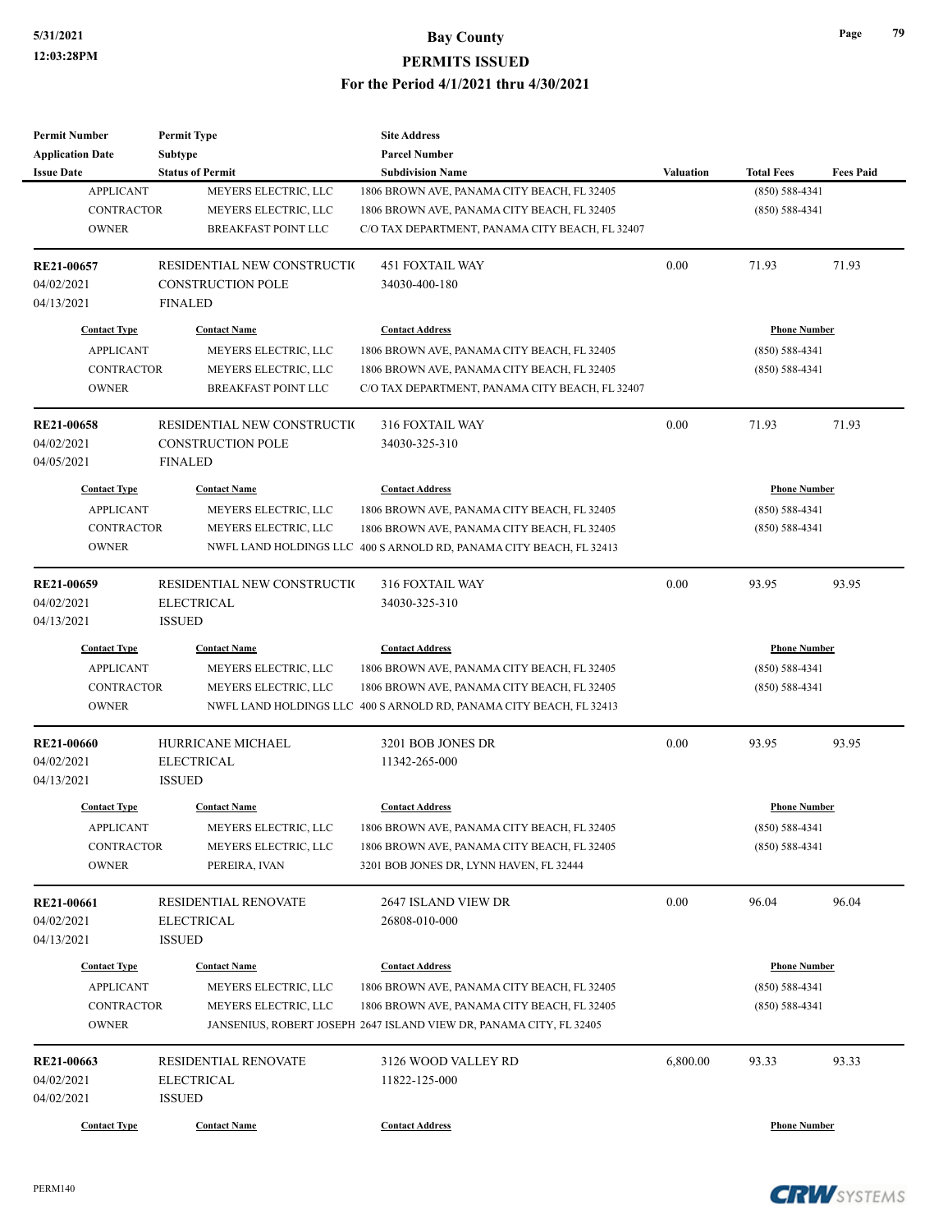| <b>Permit Number</b>    | <b>Permit Type</b>          | <b>Site Address</b>                                                 |                  |                     |                  |
|-------------------------|-----------------------------|---------------------------------------------------------------------|------------------|---------------------|------------------|
| <b>Application Date</b> | <b>Subtype</b>              | <b>Parcel Number</b>                                                |                  |                     |                  |
| <b>Issue Date</b>       | <b>Status of Permit</b>     | <b>Subdivision Name</b>                                             | <b>Valuation</b> | <b>Total Fees</b>   | <b>Fees Paid</b> |
| <b>APPLICANT</b>        | MEYERS ELECTRIC, LLC        | 1806 BROWN AVE, PANAMA CITY BEACH, FL 32405                         |                  | $(850) 588 - 4341$  |                  |
| <b>CONTRACTOR</b>       | MEYERS ELECTRIC, LLC        | 1806 BROWN AVE, PANAMA CITY BEACH, FL 32405                         |                  | $(850) 588 - 4341$  |                  |
| <b>OWNER</b>            | <b>BREAKFAST POINT LLC</b>  | C/O TAX DEPARTMENT, PANAMA CITY BEACH, FL 32407                     |                  |                     |                  |
| RE21-00657              | RESIDENTIAL NEW CONSTRUCTIO | <b>451 FOXTAIL WAY</b>                                              | 0.00             | 71.93               | 71.93            |
| 04/02/2021              | <b>CONSTRUCTION POLE</b>    | 34030-400-180                                                       |                  |                     |                  |
| 04/13/2021              | <b>FINALED</b>              |                                                                     |                  |                     |                  |
| <b>Contact Type</b>     | <b>Contact Name</b>         | <b>Contact Address</b>                                              |                  | <b>Phone Number</b> |                  |
| <b>APPLICANT</b>        | MEYERS ELECTRIC, LLC        | 1806 BROWN AVE, PANAMA CITY BEACH, FL 32405                         |                  | $(850) 588 - 4341$  |                  |
| <b>CONTRACTOR</b>       | MEYERS ELECTRIC, LLC        | 1806 BROWN AVE, PANAMA CITY BEACH, FL 32405                         |                  | $(850) 588 - 4341$  |                  |
| <b>OWNER</b>            | <b>BREAKFAST POINT LLC</b>  | C/O TAX DEPARTMENT, PANAMA CITY BEACH, FL 32407                     |                  |                     |                  |
| RE21-00658              | RESIDENTIAL NEW CONSTRUCTIO | 316 FOXTAIL WAY                                                     | 0.00             | 71.93               | 71.93            |
| 04/02/2021              | <b>CONSTRUCTION POLE</b>    | 34030-325-310                                                       |                  |                     |                  |
| 04/05/2021              | <b>FINALED</b>              |                                                                     |                  |                     |                  |
| <b>Contact Type</b>     | <b>Contact Name</b>         | <b>Contact Address</b>                                              |                  | <b>Phone Number</b> |                  |
| <b>APPLICANT</b>        | MEYERS ELECTRIC, LLC        | 1806 BROWN AVE, PANAMA CITY BEACH, FL 32405                         |                  | $(850) 588 - 4341$  |                  |
| <b>CONTRACTOR</b>       | MEYERS ELECTRIC, LLC        | 1806 BROWN AVE, PANAMA CITY BEACH, FL 32405                         |                  | $(850) 588 - 4341$  |                  |
| <b>OWNER</b>            |                             | NWFL LAND HOLDINGS LLC 400 S ARNOLD RD, PANAMA CITY BEACH, FL 32413 |                  |                     |                  |
|                         |                             |                                                                     |                  |                     |                  |
| RE21-00659              | RESIDENTIAL NEW CONSTRUCTIO | 316 FOXTAIL WAY                                                     | 0.00             | 93.95               | 93.95            |
| 04/02/2021              | <b>ELECTRICAL</b>           | 34030-325-310                                                       |                  |                     |                  |
| 04/13/2021              | <b>ISSUED</b>               |                                                                     |                  |                     |                  |
| <b>Contact Type</b>     | <b>Contact Name</b>         | <b>Contact Address</b>                                              |                  | <b>Phone Number</b> |                  |
| <b>APPLICANT</b>        | MEYERS ELECTRIC, LLC        | 1806 BROWN AVE, PANAMA CITY BEACH, FL 32405                         |                  | $(850) 588 - 4341$  |                  |
| <b>CONTRACTOR</b>       | MEYERS ELECTRIC, LLC        | 1806 BROWN AVE, PANAMA CITY BEACH, FL 32405                         |                  | $(850) 588 - 4341$  |                  |
| <b>OWNER</b>            |                             | NWFL LAND HOLDINGS LLC 400 S ARNOLD RD, PANAMA CITY BEACH, FL 32413 |                  |                     |                  |
| <b>RE21-00660</b>       | HURRICANE MICHAEL           | 3201 BOB JONES DR                                                   | 0.00             | 93.95               | 93.95            |
| 04/02/2021              | <b>ELECTRICAL</b>           | 11342-265-000                                                       |                  |                     |                  |
| 04/13/2021              | <b>ISSUED</b>               |                                                                     |                  |                     |                  |
| <b>Contact Type</b>     | <b>Contact Name</b>         | <b>Contact Address</b>                                              |                  | <b>Phone Number</b> |                  |
| <b>APPLICANT</b>        | MEYERS ELECTRIC, LLC        | 1806 BROWN AVE, PANAMA CITY BEACH, FL 32405                         |                  | $(850) 588 - 4341$  |                  |
| <b>CONTRACTOR</b>       | MEYERS ELECTRIC, LLC        | 1806 BROWN AVE, PANAMA CITY BEACH, FL 32405                         |                  | $(850) 588 - 4341$  |                  |
| <b>OWNER</b>            | PEREIRA, IVAN               | 3201 BOB JONES DR, LYNN HAVEN, FL 32444                             |                  |                     |                  |
| RE21-00661              | RESIDENTIAL RENOVATE        | 2647 ISLAND VIEW DR                                                 | 0.00             | 96.04               | 96.04            |
| 04/02/2021              | <b>ELECTRICAL</b>           | 26808-010-000                                                       |                  |                     |                  |
| 04/13/2021              | <b>ISSUED</b>               |                                                                     |                  |                     |                  |
| <b>Contact Type</b>     | <b>Contact Name</b>         | <b>Contact Address</b>                                              |                  | <b>Phone Number</b> |                  |
| <b>APPLICANT</b>        | MEYERS ELECTRIC, LLC        | 1806 BROWN AVE, PANAMA CITY BEACH, FL 32405                         |                  | $(850) 588 - 4341$  |                  |
| <b>CONTRACTOR</b>       | MEYERS ELECTRIC, LLC        | 1806 BROWN AVE, PANAMA CITY BEACH, FL 32405                         |                  | $(850) 588 - 4341$  |                  |
| <b>OWNER</b>            |                             | JANSENIUS, ROBERT JOSEPH 2647 ISLAND VIEW DR, PANAMA CITY, FL 32405 |                  |                     |                  |
| RE21-00663              | RESIDENTIAL RENOVATE        | 3126 WOOD VALLEY RD                                                 | 6,800.00         | 93.33               | 93.33            |
|                         |                             |                                                                     |                  |                     |                  |
| 04/02/2021              | ELECTRICAL                  | 11822-125-000                                                       |                  |                     |                  |
| 04/02/2021              | <b>ISSUED</b>               |                                                                     |                  |                     |                  |
| <b>Contact Type</b>     | <b>Contact Name</b>         | <b>Contact Address</b>                                              |                  | <b>Phone Number</b> |                  |

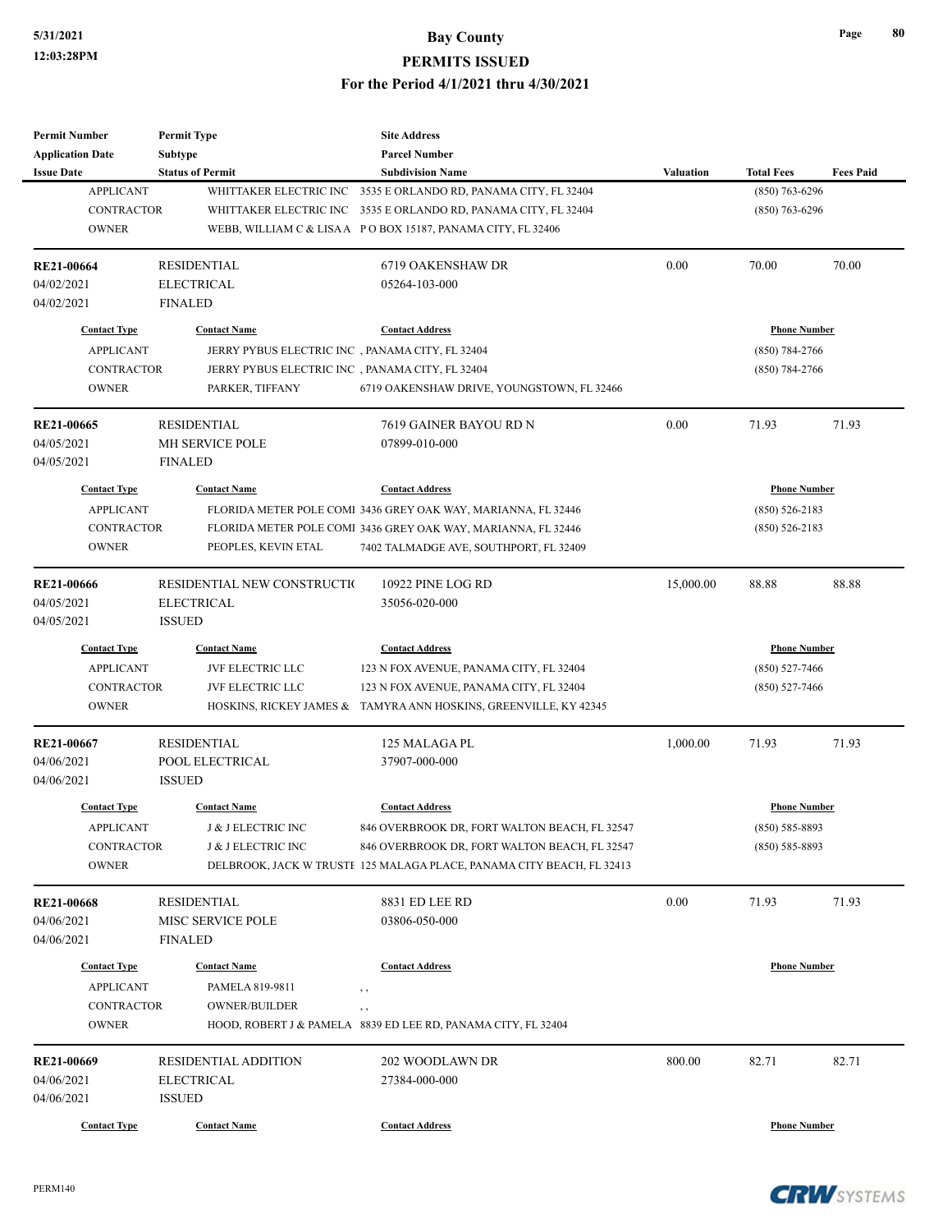| <b>Permit Number</b>    | <b>Permit Type</b>            | <b>Site Address</b>                                                   |                  |                     |                  |
|-------------------------|-------------------------------|-----------------------------------------------------------------------|------------------|---------------------|------------------|
| <b>Application Date</b> | <b>Subtype</b>                | <b>Parcel Number</b>                                                  |                  |                     |                  |
| <b>Issue Date</b>       | <b>Status of Permit</b>       | <b>Subdivision Name</b>                                               | <b>Valuation</b> | <b>Total Fees</b>   | <b>Fees Paid</b> |
| <b>APPLICANT</b>        | WHITTAKER ELECTRIC INC        | 3535 E ORLANDO RD, PANAMA CITY, FL 32404                              |                  | $(850)$ 763-6296    |                  |
| <b>CONTRACTOR</b>       | WHITTAKER ELECTRIC INC        | 3535 E ORLANDO RD, PANAMA CITY, FL 32404                              |                  | $(850)$ 763-6296    |                  |
| <b>OWNER</b>            |                               | WEBB, WILLIAM C & LISAA PO BOX 15187, PANAMA CITY, FL 32406           |                  |                     |                  |
| <b>RE21-00664</b>       | <b>RESIDENTIAL</b>            | 6719 OAKENSHAW DR                                                     | 0.00             | 70.00               | 70.00            |
| 04/02/2021              | <b>ELECTRICAL</b>             | 05264-103-000                                                         |                  |                     |                  |
| 04/02/2021              | <b>FINALED</b>                |                                                                       |                  |                     |                  |
| <b>Contact Type</b>     | <b>Contact Name</b>           | <b>Contact Address</b>                                                |                  | <b>Phone Number</b> |                  |
| <b>APPLICANT</b>        |                               | JERRY PYBUS ELECTRIC INC, PANAMA CITY, FL 32404                       |                  | $(850) 784 - 2766$  |                  |
| <b>CONTRACTOR</b>       |                               | JERRY PYBUS ELECTRIC INC, PANAMA CITY, FL 32404                       |                  | $(850) 784 - 2766$  |                  |
| <b>OWNER</b>            | PARKER, TIFFANY               | 6719 OAKENSHAW DRIVE, YOUNGSTOWN, FL 32466                            |                  |                     |                  |
| <b>RE21-00665</b>       | <b>RESIDENTIAL</b>            | 7619 GAINER BAYOU RD N                                                | 0.00             | 71.93               | 71.93            |
| 04/05/2021              | MH SERVICE POLE               | 07899-010-000                                                         |                  |                     |                  |
| 04/05/2021              | <b>FINALED</b>                |                                                                       |                  |                     |                  |
| <b>Contact Type</b>     | <b>Contact Name</b>           | <b>Contact Address</b>                                                |                  | <b>Phone Number</b> |                  |
| <b>APPLICANT</b>        |                               | FLORIDA METER POLE COMI 3436 GREY OAK WAY, MARIANNA, FL 32446         |                  | $(850) 526 - 2183$  |                  |
| <b>CONTRACTOR</b>       |                               | FLORIDA METER POLE COMI 3436 GREY OAK WAY, MARIANNA, FL 32446         |                  | $(850) 526 - 2183$  |                  |
| <b>OWNER</b>            | PEOPLES, KEVIN ETAL           | 7402 TALMADGE AVE, SOUTHPORT, FL 32409                                |                  |                     |                  |
|                         |                               |                                                                       |                  |                     |                  |
| <b>RE21-00666</b>       | RESIDENTIAL NEW CONSTRUCTIO   | 10922 PINE LOG RD                                                     | 15,000.00        | 88.88               | 88.88            |
| 04/05/2021              | <b>ELECTRICAL</b>             | 35056-020-000                                                         |                  |                     |                  |
| 04/05/2021              | <b>ISSUED</b>                 |                                                                       |                  |                     |                  |
| <b>Contact Type</b>     | <b>Contact Name</b>           | <b>Contact Address</b>                                                |                  | <b>Phone Number</b> |                  |
| <b>APPLICANT</b>        | <b>JVF ELECTRIC LLC</b>       | 123 N FOX AVENUE, PANAMA CITY, FL 32404                               |                  | $(850) 527 - 7466$  |                  |
| <b>CONTRACTOR</b>       | JVF ELECTRIC LLC              | 123 N FOX AVENUE, PANAMA CITY, FL 32404                               |                  | $(850)$ 527-7466    |                  |
| <b>OWNER</b>            |                               | HOSKINS, RICKEY JAMES & TAMYRA ANN HOSKINS, GREENVILLE, KY 42345      |                  |                     |                  |
| RE21-00667              | <b>RESIDENTIAL</b>            | 125 MALAGA PL                                                         | 1,000.00         | 71.93               | 71.93            |
| 04/06/2021              | POOL ELECTRICAL               | 37907-000-000                                                         |                  |                     |                  |
| 04/06/2021              | <b>ISSUED</b>                 |                                                                       |                  |                     |                  |
| <b>Contact Type</b>     | <b>Contact Name</b>           | <b>Contact Address</b>                                                |                  | <b>Phone Number</b> |                  |
| <b>APPLICANT</b>        | <b>J &amp; J ELECTRIC INC</b> | 846 OVERBROOK DR, FORT WALTON BEACH, FL 32547                         |                  | $(850) 585 - 8893$  |                  |
| <b>CONTRACTOR</b>       | J & J ELECTRIC INC            | 846 OVERBROOK DR, FORT WALTON BEACH, FL 32547                         |                  | $(850) 585 - 8893$  |                  |
| <b>OWNER</b>            |                               | DELBROOK, JACK W TRUSTE 125 MALAGA PLACE, PANAMA CITY BEACH, FL 32413 |                  |                     |                  |
| <b>RE21-00668</b>       | <b>RESIDENTIAL</b>            | 8831 ED LEE RD                                                        | 0.00             | 71.93               | 71.93            |
| 04/06/2021              | <b>MISC SERVICE POLE</b>      | 03806-050-000                                                         |                  |                     |                  |
| 04/06/2021              | <b>FINALED</b>                |                                                                       |                  |                     |                  |
| <b>Contact Type</b>     | <b>Contact Name</b>           | <b>Contact Address</b>                                                |                  | <b>Phone Number</b> |                  |
| <b>APPLICANT</b>        | PAMELA 819-9811               |                                                                       |                  |                     |                  |
| <b>CONTRACTOR</b>       | <b>OWNER/BUILDER</b>          | , ,                                                                   |                  |                     |                  |
| <b>OWNER</b>            |                               | , ,<br>HOOD, ROBERT J & PAMELA 8839 ED LEE RD, PANAMA CITY, FL 32404  |                  |                     |                  |
|                         |                               |                                                                       |                  |                     |                  |
| RE21-00669              | RESIDENTIAL ADDITION          | 202 WOODLAWN DR                                                       | 800.00           | 82.71               | 82.71            |
| 04/06/2021              | ELECTRICAL                    | 27384-000-000                                                         |                  |                     |                  |
| 04/06/2021              | <b>ISSUED</b>                 |                                                                       |                  |                     |                  |
| <b>Contact Type</b>     | <b>Contact Name</b>           | <b>Contact Address</b>                                                |                  | <b>Phone Number</b> |                  |

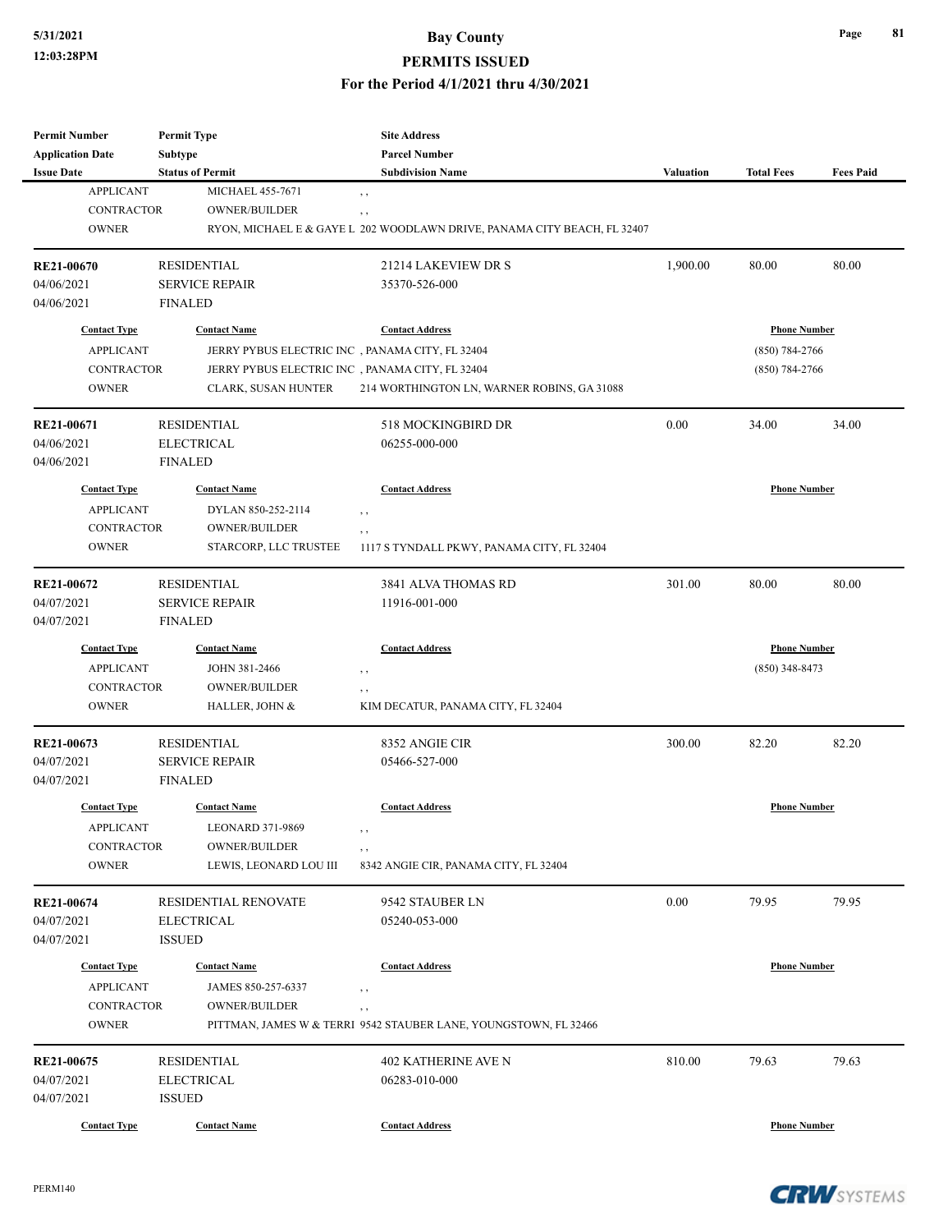#### **PERMITS ISSUED**

#### **For the Period 4/1/2021 thru 4/30/2021**

| <b>Permit Number</b>    | <b>Permit Type</b>      | <b>Site Address</b>                                                      |           |                     |                  |
|-------------------------|-------------------------|--------------------------------------------------------------------------|-----------|---------------------|------------------|
| <b>Application Date</b> | Subtype                 | <b>Parcel Number</b>                                                     |           |                     |                  |
| <b>Issue Date</b>       | <b>Status of Permit</b> | <b>Subdivision Name</b>                                                  | Valuation | <b>Total Fees</b>   | <b>Fees Paid</b> |
| <b>APPLICANT</b>        | <b>MICHAEL 455-7671</b> | , ,                                                                      |           |                     |                  |
| <b>CONTRACTOR</b>       | OWNER/BUILDER           | $, \, , \,$                                                              |           |                     |                  |
| <b>OWNER</b>            |                         | RYON, MICHAEL E & GAYE L 202 WOODLAWN DRIVE, PANAMA CITY BEACH, FL 32407 |           |                     |                  |
| <b>RE21-00670</b>       | <b>RESIDENTIAL</b>      | 21214 LAKEVIEW DR S                                                      | 1,900.00  | 80.00               | 80.00            |
| 04/06/2021              | <b>SERVICE REPAIR</b>   | 35370-526-000                                                            |           |                     |                  |
| 04/06/2021              | <b>FINALED</b>          |                                                                          |           |                     |                  |
| <b>Contact Type</b>     | <b>Contact Name</b>     | <b>Contact Address</b>                                                   |           | <b>Phone Number</b> |                  |
| <b>APPLICANT</b>        |                         | JERRY PYBUS ELECTRIC INC, PANAMA CITY, FL 32404                          |           | $(850)$ 784-2766    |                  |
| <b>CONTRACTOR</b>       |                         | JERRY PYBUS ELECTRIC INC, PANAMA CITY, FL 32404                          |           | $(850)$ 784-2766    |                  |
| <b>OWNER</b>            | CLARK, SUSAN HUNTER     | 214 WORTHINGTON LN, WARNER ROBINS, GA 31088                              |           |                     |                  |
| RE21-00671              | <b>RESIDENTIAL</b>      | 518 MOCKINGBIRD DR                                                       | 0.00      | 34.00               | 34.00            |
| 04/06/2021              | <b>ELECTRICAL</b>       | 06255-000-000                                                            |           |                     |                  |
| 04/06/2021              | <b>FINALED</b>          |                                                                          |           |                     |                  |
| <b>Contact Type</b>     | <b>Contact Name</b>     | <b>Contact Address</b>                                                   |           | <b>Phone Number</b> |                  |
| <b>APPLICANT</b>        | DYLAN 850-252-2114      |                                                                          |           |                     |                  |
| <b>CONTRACTOR</b>       | <b>OWNER/BUILDER</b>    | , ,                                                                      |           |                     |                  |
| <b>OWNER</b>            | STARCORP, LLC TRUSTEE   | $, \, , \,$<br>1117 S TYNDALL PKWY, PANAMA CITY, FL 32404                |           |                     |                  |
|                         |                         |                                                                          |           |                     |                  |
| RE21-00672              | <b>RESIDENTIAL</b>      | 3841 ALVA THOMAS RD                                                      | 301.00    | 80.00               | 80.00            |
| 04/07/2021              | <b>SERVICE REPAIR</b>   | 11916-001-000                                                            |           |                     |                  |
| 04/07/2021              | <b>FINALED</b>          |                                                                          |           |                     |                  |
| <b>Contact Type</b>     | <b>Contact Name</b>     | <b>Contact Address</b>                                                   |           | <b>Phone Number</b> |                  |
| <b>APPLICANT</b>        | JOHN 381-2466           | , ,                                                                      |           | $(850)$ 348-8473    |                  |
| <b>CONTRACTOR</b>       | <b>OWNER/BUILDER</b>    | $, \, , \,$                                                              |           |                     |                  |
| <b>OWNER</b>            | HALLER, JOHN &          | KIM DECATUR, PANAMA CITY, FL 32404                                       |           |                     |                  |
| RE21-00673              | <b>RESIDENTIAL</b>      | 8352 ANGIE CIR                                                           | 300.00    | 82.20               | 82.20            |
| 04/07/2021              | <b>SERVICE REPAIR</b>   | 05466-527-000                                                            |           |                     |                  |
| 04/07/2021              | <b>FINALED</b>          |                                                                          |           |                     |                  |
| <b>Contact Type</b>     | <b>Contact Name</b>     | <b>Contact Address</b>                                                   |           | <b>Phone Number</b> |                  |
| APPLICANT               | LEONARD 371-9869        | , ,                                                                      |           |                     |                  |
| CONTRACTOR              | <b>OWNER/BUILDER</b>    | $, \, , \,$                                                              |           |                     |                  |
| <b>OWNER</b>            | LEWIS, LEONARD LOU III  | 8342 ANGIE CIR, PANAMA CITY, FL 32404                                    |           |                     |                  |
| RE21-00674              | RESIDENTIAL RENOVATE    | 9542 STAUBER LN                                                          | 0.00      | 79.95               | 79.95            |
| 04/07/2021              | <b>ELECTRICAL</b>       | 05240-053-000                                                            |           |                     |                  |
| 04/07/2021              | <b>ISSUED</b>           |                                                                          |           |                     |                  |
|                         |                         |                                                                          |           |                     |                  |
| <b>Contact Type</b>     | <b>Contact Name</b>     | <b>Contact Address</b>                                                   |           | <b>Phone Number</b> |                  |
| <b>APPLICANT</b>        | JAMES 850-257-6337      | $, \, , \,$                                                              |           |                     |                  |
| CONTRACTOR              | <b>OWNER/BUILDER</b>    | $, \, , \,$                                                              |           |                     |                  |
| <b>OWNER</b>            |                         | PITTMAN, JAMES W & TERRI 9542 STAUBER LANE, YOUNGSTOWN, FL 32466         |           |                     |                  |
| RE21-00675              | <b>RESIDENTIAL</b>      | <b>402 KATHERINE AVE N</b>                                               | 810.00    | 79.63               | 79.63            |
| 04/07/2021              | <b>ELECTRICAL</b>       | 06283-010-000                                                            |           |                     |                  |
| 04/07/2021              | <b>ISSUED</b>           |                                                                          |           |                     |                  |
| <b>Contact Type</b>     | <b>Contact Name</b>     | <b>Contact Address</b>                                                   |           | <b>Phone Number</b> |                  |



**Page 81**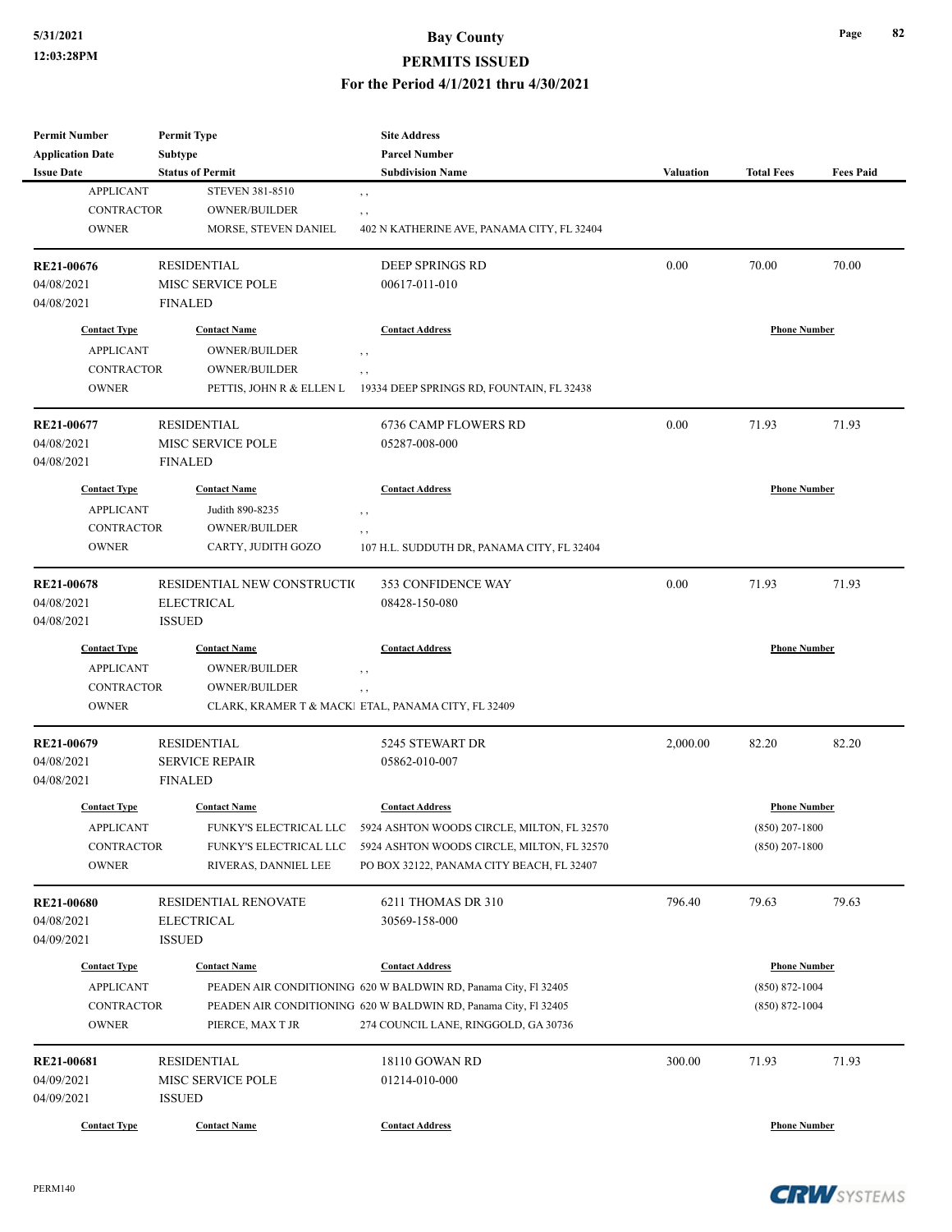## **PERMITS ISSUED**

**For the Period 4/1/2021 thru 4/30/2021**

| <b>Permit Number</b>    | <b>Permit Type</b>          | <b>Site Address</b>                                               |                  |                     |                  |
|-------------------------|-----------------------------|-------------------------------------------------------------------|------------------|---------------------|------------------|
| <b>Application Date</b> | <b>Subtype</b>              | <b>Parcel Number</b>                                              |                  |                     |                  |
| <b>Issue Date</b>       | <b>Status of Permit</b>     | <b>Subdivision Name</b>                                           | <b>Valuation</b> | <b>Total Fees</b>   | <b>Fees Paid</b> |
| <b>APPLICANT</b>        | <b>STEVEN 381-8510</b>      | , ,                                                               |                  |                     |                  |
| <b>CONTRACTOR</b>       | <b>OWNER/BUILDER</b>        | , ,                                                               |                  |                     |                  |
| <b>OWNER</b>            | MORSE, STEVEN DANIEL        | 402 N KATHERINE AVE, PANAMA CITY, FL 32404                        |                  |                     |                  |
| RE21-00676              | <b>RESIDENTIAL</b>          | <b>DEEP SPRINGS RD</b>                                            | 0.00             | 70.00               | 70.00            |
| 04/08/2021              | MISC SERVICE POLE           | 00617-011-010                                                     |                  |                     |                  |
| 04/08/2021              | <b>FINALED</b>              |                                                                   |                  |                     |                  |
| <b>Contact Type</b>     | <b>Contact Name</b>         | <b>Contact Address</b>                                            |                  | <b>Phone Number</b> |                  |
| <b>APPLICANT</b>        | <b>OWNER/BUILDER</b>        | $, \, , \,$                                                       |                  |                     |                  |
| <b>CONTRACTOR</b>       | <b>OWNER/BUILDER</b>        | , ,                                                               |                  |                     |                  |
| <b>OWNER</b>            | PETTIS, JOHN R & ELLEN L    | 19334 DEEP SPRINGS RD, FOUNTAIN, FL 32438                         |                  |                     |                  |
| RE21-00677              | <b>RESIDENTIAL</b>          |                                                                   | 0.00             | 71.93               | 71.93            |
|                         |                             | 6736 CAMP FLOWERS RD                                              |                  |                     |                  |
| 04/08/2021              | MISC SERVICE POLE           | 05287-008-000                                                     |                  |                     |                  |
| 04/08/2021              | <b>FINALED</b>              |                                                                   |                  |                     |                  |
| <b>Contact Type</b>     | <b>Contact Name</b>         | <b>Contact Address</b>                                            |                  | <b>Phone Number</b> |                  |
| <b>APPLICANT</b>        | Judith 890-8235             | , ,                                                               |                  |                     |                  |
| <b>CONTRACTOR</b>       | <b>OWNER/BUILDER</b>        | $, \, , \,$                                                       |                  |                     |                  |
| <b>OWNER</b>            | CARTY, JUDITH GOZO          | 107 H.L. SUDDUTH DR, PANAMA CITY, FL 32404                        |                  |                     |                  |
| RE21-00678              | RESIDENTIAL NEW CONSTRUCTIO | 353 CONFIDENCE WAY                                                | 0.00             | 71.93               | 71.93            |
| 04/08/2021              | <b>ELECTRICAL</b>           | 08428-150-080                                                     |                  |                     |                  |
|                         |                             |                                                                   |                  |                     |                  |
| 04/08/2021              | <b>ISSUED</b>               |                                                                   |                  |                     |                  |
| <b>Contact Type</b>     | <b>Contact Name</b>         | <b>Contact Address</b>                                            |                  | <b>Phone Number</b> |                  |
| <b>APPLICANT</b>        | OWNER/BUILDER               | , ,                                                               |                  |                     |                  |
| <b>CONTRACTOR</b>       | OWNER/BUILDER               | , ,                                                               |                  |                     |                  |
| <b>OWNER</b>            |                             | CLARK, KRAMER T & MACK ETAL, PANAMA CITY, FL 32409                |                  |                     |                  |
| RE21-00679              | <b>RESIDENTIAL</b>          | 5245 STEWART DR                                                   | 2,000.00         | 82.20               | 82.20            |
| 04/08/2021              | <b>SERVICE REPAIR</b>       | 05862-010-007                                                     |                  |                     |                  |
| 04/08/2021              | <b>FINALED</b>              |                                                                   |                  |                     |                  |
| <b>Contact Type</b>     | <b>Contact Name</b>         | <b>Contact Address</b>                                            |                  | <b>Phone Number</b> |                  |
|                         |                             |                                                                   |                  |                     |                  |
| <b>APPLICANT</b>        |                             | FUNKY'S ELECTRICAL LLC 5924 ASHTON WOODS CIRCLE, MILTON, FL 32570 |                  | $(850)$ 207-1800    |                  |
| <b>CONTRACTOR</b>       | FUNKY'S ELECTRICAL LLC      | 5924 ASHTON WOODS CIRCLE, MILTON, FL 32570                        |                  | $(850)$ 207-1800    |                  |
| <b>OWNER</b>            | RIVERAS, DANNIEL LEE        | PO BOX 32122, PANAMA CITY BEACH, FL 32407                         |                  |                     |                  |
| <b>RE21-00680</b>       | RESIDENTIAL RENOVATE        | 6211 THOMAS DR 310                                                | 796.40           | 79.63               | 79.63            |
| 04/08/2021              | <b>ELECTRICAL</b>           | 30569-158-000                                                     |                  |                     |                  |
| 04/09/2021              | <b>ISSUED</b>               |                                                                   |                  |                     |                  |
| <b>Contact Type</b>     | <b>Contact Name</b>         | <b>Contact Address</b>                                            |                  | <b>Phone Number</b> |                  |
| <b>APPLICANT</b>        |                             | PEADEN AIR CONDITIONING 620 W BALDWIN RD, Panama City, Fl 32405   |                  | $(850) 872 - 1004$  |                  |
| <b>CONTRACTOR</b>       |                             | PEADEN AIR CONDITIONING 620 W BALDWIN RD, Panama City, Fl 32405   |                  | $(850) 872 - 1004$  |                  |
| <b>OWNER</b>            | PIERCE, MAX T JR            | 274 COUNCIL LANE, RINGGOLD, GA 30736                              |                  |                     |                  |
|                         |                             |                                                                   |                  |                     |                  |
| RE21-00681              | <b>RESIDENTIAL</b>          | 18110 GOWAN RD                                                    | 300.00           | 71.93               | 71.93            |
| 04/09/2021              | MISC SERVICE POLE           | 01214-010-000                                                     |                  |                     |                  |
| 04/09/2021              | <b>ISSUED</b>               |                                                                   |                  |                     |                  |
| <b>Contact Type</b>     | <b>Contact Name</b>         | <b>Contact Address</b>                                            |                  | <b>Phone Number</b> |                  |
|                         |                             |                                                                   |                  |                     |                  |



**Page 82**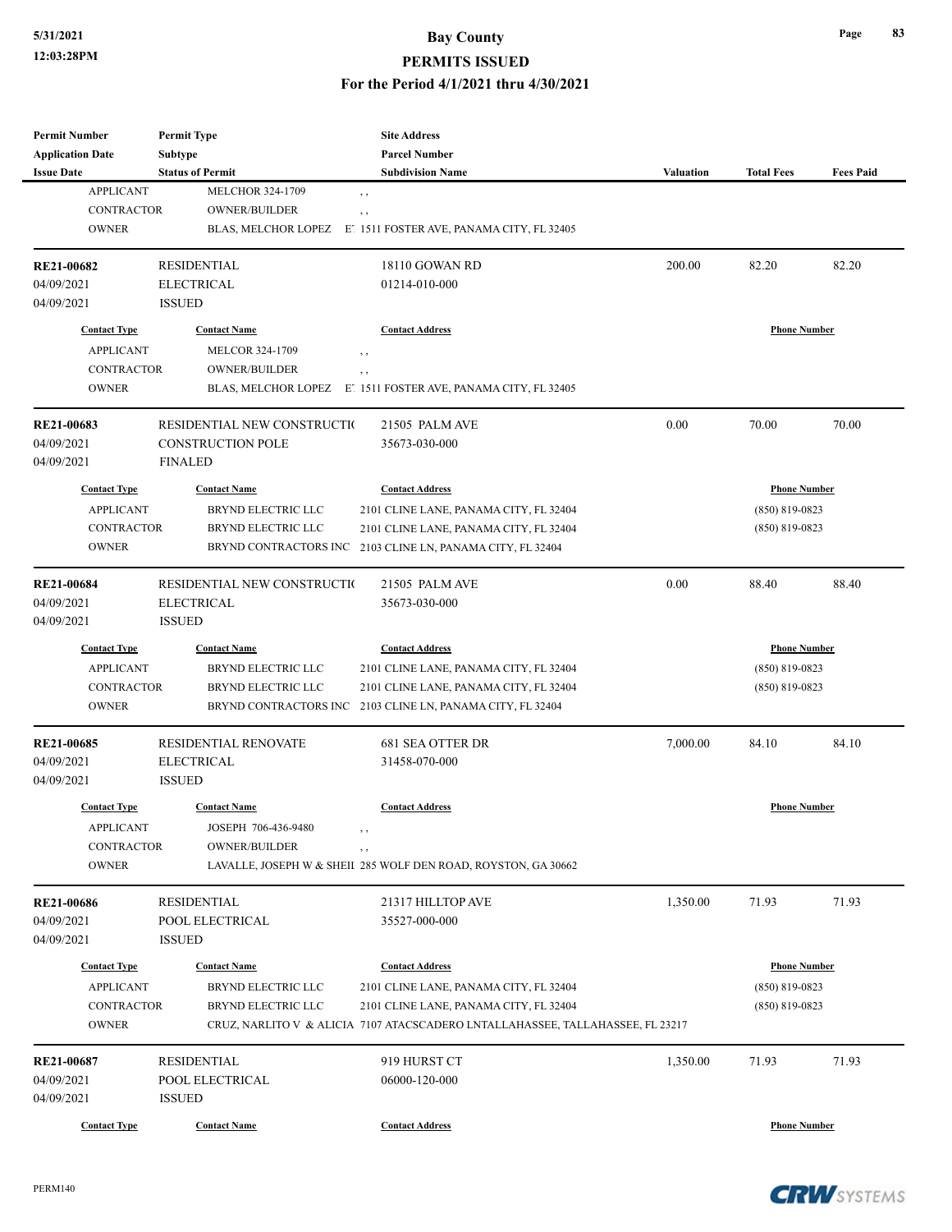#### **PERMITS ISSUED**

#### **For the Period 4/1/2021 thru 4/30/2021**

| <b>Permit Number</b>    | <b>Permit Type</b>          | <b>Site Address</b>                                                            |                  |                     |                  |
|-------------------------|-----------------------------|--------------------------------------------------------------------------------|------------------|---------------------|------------------|
| <b>Application Date</b> | <b>Subtype</b>              | <b>Parcel Number</b>                                                           |                  |                     |                  |
| <b>Issue Date</b>       | <b>Status of Permit</b>     | <b>Subdivision Name</b>                                                        | <b>Valuation</b> | <b>Total Fees</b>   | <b>Fees Paid</b> |
| <b>APPLICANT</b>        | <b>MELCHOR 324-1709</b>     | , ,                                                                            |                  |                     |                  |
| <b>CONTRACTOR</b>       | <b>OWNER/BUILDER</b>        | , ,                                                                            |                  |                     |                  |
| <b>OWNER</b>            | BLAS, MELCHOR LOPEZ         | E! 1511 FOSTER AVE, PANAMA CITY, FL 32405                                      |                  |                     |                  |
| RE21-00682              | <b>RESIDENTIAL</b>          | 18110 GOWAN RD                                                                 | 200.00           | 82.20               | 82.20            |
| 04/09/2021              | <b>ELECTRICAL</b>           | 01214-010-000                                                                  |                  |                     |                  |
| 04/09/2021              | <b>ISSUED</b>               |                                                                                |                  |                     |                  |
| <b>Contact Type</b>     | <b>Contact Name</b>         | <b>Contact Address</b>                                                         |                  | <b>Phone Number</b> |                  |
| <b>APPLICANT</b>        | <b>MELCOR 324-1709</b>      | , ,                                                                            |                  |                     |                  |
| <b>CONTRACTOR</b>       | <b>OWNER/BUILDER</b>        | , ,                                                                            |                  |                     |                  |
| <b>OWNER</b>            | BLAS, MELCHOR LOPEZ         | E 1511 FOSTER AVE, PANAMA CITY, FL 32405                                       |                  |                     |                  |
| RE21-00683              | RESIDENTIAL NEW CONSTRUCTIO | 21505 PALM AVE                                                                 | 0.00             | 70.00               | 70.00            |
| 04/09/2021              | <b>CONSTRUCTION POLE</b>    | 35673-030-000                                                                  |                  |                     |                  |
| 04/09/2021              | <b>FINALED</b>              |                                                                                |                  |                     |                  |
| <b>Contact Type</b>     | <b>Contact Name</b>         | <b>Contact Address</b>                                                         |                  | <b>Phone Number</b> |                  |
| <b>APPLICANT</b>        | BRYND ELECTRIC LLC          | 2101 CLINE LANE, PANAMA CITY, FL 32404                                         |                  | $(850)$ 819-0823    |                  |
| CONTRACTOR              | BRYND ELECTRIC LLC          | 2101 CLINE LANE, PANAMA CITY, FL 32404                                         |                  | $(850)$ 819-0823    |                  |
| <b>OWNER</b>            | BRYND CONTRACTORS INC       | 2103 CLINE LN, PANAMA CITY, FL 32404                                           |                  |                     |                  |
|                         |                             |                                                                                |                  |                     |                  |
| <b>RE21-00684</b>       | RESIDENTIAL NEW CONSTRUCTIO | 21505 PALM AVE                                                                 | 0.00             | 88.40               | 88.40            |
| 04/09/2021              | <b>ELECTRICAL</b>           | 35673-030-000                                                                  |                  |                     |                  |
| 04/09/2021              | <b>ISSUED</b>               |                                                                                |                  |                     |                  |
| <b>Contact Type</b>     | <b>Contact Name</b>         | <b>Contact Address</b>                                                         |                  | <b>Phone Number</b> |                  |
| <b>APPLICANT</b>        | BRYND ELECTRIC LLC          | 2101 CLINE LANE, PANAMA CITY, FL 32404                                         |                  | $(850)$ 819-0823    |                  |
| <b>CONTRACTOR</b>       | BRYND ELECTRIC LLC          | 2101 CLINE LANE, PANAMA CITY, FL 32404                                         |                  | $(850)$ 819-0823    |                  |
| <b>OWNER</b>            | BRYND CONTRACTORS INC       | 2103 CLINE LN, PANAMA CITY, FL 32404                                           |                  |                     |                  |
| <b>RE21-00685</b>       | <b>RESIDENTIAL RENOVATE</b> | 681 SEA OTTER DR                                                               | 7,000.00         | 84.10               | 84.10            |
| 04/09/2021              | <b>ELECTRICAL</b>           | 31458-070-000                                                                  |                  |                     |                  |
| 04/09/2021              | <b>ISSUED</b>               |                                                                                |                  |                     |                  |
| <b>Contact Type</b>     | <b>Contact Name</b>         | <b>Contact Address</b>                                                         |                  | <b>Phone Number</b> |                  |
| <b>APPLICANT</b>        | JOSEPH 706-436-9480         |                                                                                |                  |                     |                  |
| <b>CONTRACTOR</b>       | OWNER/BUILDER               | , ,                                                                            |                  |                     |                  |
| <b>OWNER</b>            |                             | LAVALLE, JOSEPH W & SHEII 285 WOLF DEN ROAD, ROYSTON, GA 30662                 |                  |                     |                  |
| <b>RE21-00686</b>       | <b>RESIDENTIAL</b>          | 21317 HILLTOP AVE                                                              | 1,350.00         | 71.93               | 71.93            |
| 04/09/2021              | POOL ELECTRICAL             | 35527-000-000                                                                  |                  |                     |                  |
| 04/09/2021              | <b>ISSUED</b>               |                                                                                |                  |                     |                  |
| <b>Contact Type</b>     | <b>Contact Name</b>         | <b>Contact Address</b>                                                         |                  | <b>Phone Number</b> |                  |
| <b>APPLICANT</b>        | BRYND ELECTRIC LLC          | 2101 CLINE LANE, PANAMA CITY, FL 32404                                         |                  | $(850)$ 819-0823    |                  |
| CONTRACTOR              | <b>BRYND ELECTRIC LLC</b>   | 2101 CLINE LANE, PANAMA CITY, FL 32404                                         |                  | $(850) 819 - 0823$  |                  |
| <b>OWNER</b>            |                             | CRUZ, NARLITO V & ALICIA 7107 ATACSCADERO LNTALLAHASSEE, TALLAHASSEE, FL 23217 |                  |                     |                  |
| RE21-00687              | <b>RESIDENTIAL</b>          | 919 HURST CT                                                                   | 1,350.00         | 71.93               | 71.93            |
| 04/09/2021              | POOL ELECTRICAL             | 06000-120-000                                                                  |                  |                     |                  |
| 04/09/2021              | $\operatorname{ISSUED}$     |                                                                                |                  |                     |                  |
| <b>Contact Type</b>     | <b>Contact Name</b>         | <b>Contact Address</b>                                                         |                  | <b>Phone Number</b> |                  |
|                         |                             |                                                                                |                  |                     |                  |

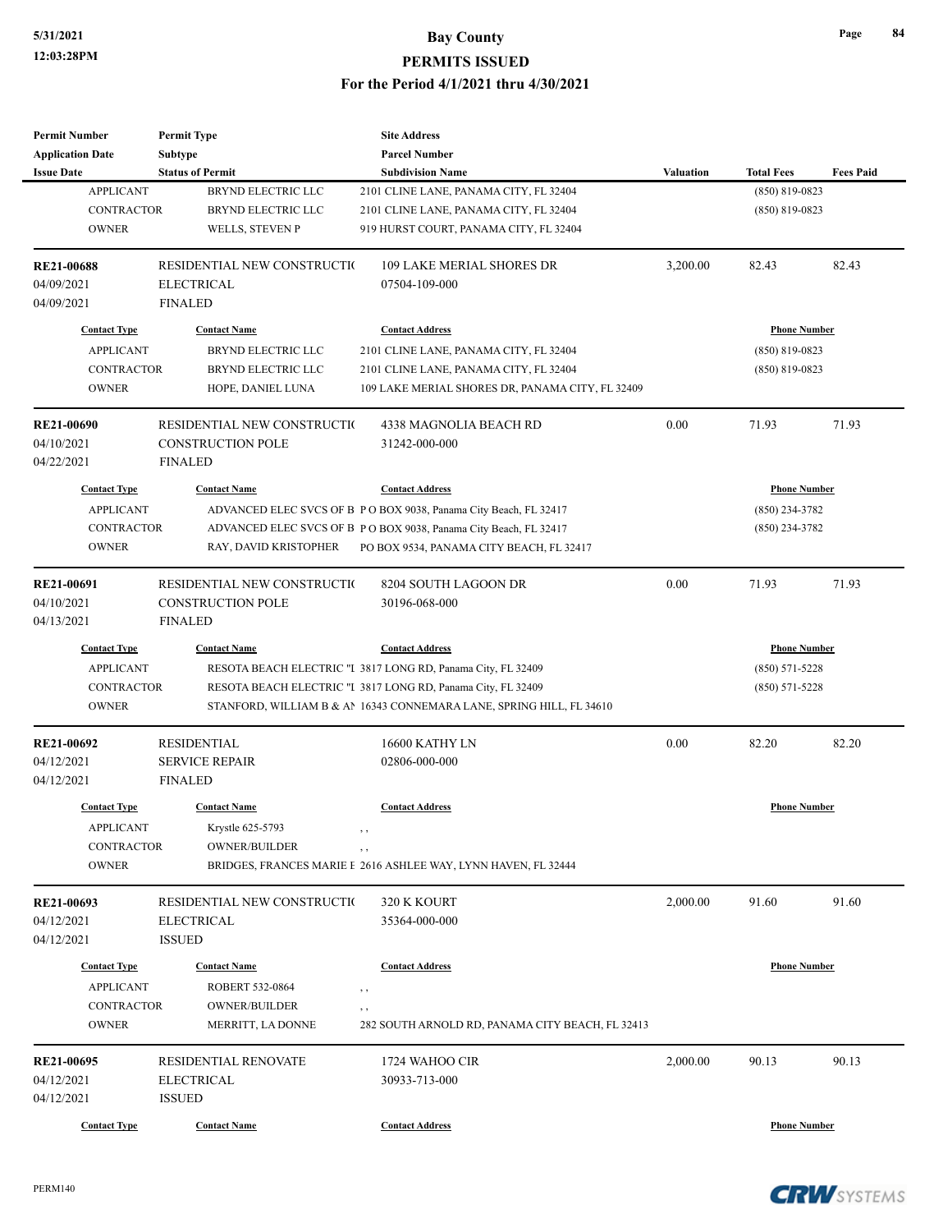| <b>Parcel Number</b><br>Subtype<br><b>Status of Permit</b><br><b>Fees Paid</b><br><b>Issue Date</b><br><b>Subdivision Name</b><br><b>Valuation</b><br><b>Total Fees</b><br><b>APPLICANT</b><br><b>BRYND ELECTRIC LLC</b><br>$(850) 819 - 0823$<br>2101 CLINE LANE, PANAMA CITY, FL 32404<br><b>CONTRACTOR</b><br><b>BRYND ELECTRIC LLC</b><br>2101 CLINE LANE, PANAMA CITY, FL 32404<br>$(850) 819 - 0823$<br><b>OWNER</b><br>WELLS, STEVEN P<br>919 HURST COURT, PANAMA CITY, FL 32404<br>RESIDENTIAL NEW CONSTRUCTIO<br><b>109 LAKE MERIAL SHORES DR</b><br>3,200.00<br>82.43<br>82.43<br><b>ELECTRICAL</b><br>07504-109-000<br><b>FINALED</b><br><b>Contact Type</b><br><b>Contact Name</b><br><b>Contact Address</b><br><b>Phone Number</b><br><b>APPLICANT</b><br><b>BRYND ELECTRIC LLC</b><br>2101 CLINE LANE, PANAMA CITY, FL 32404<br>$(850) 819 - 0823$<br><b>CONTRACTOR</b><br><b>BRYND ELECTRIC LLC</b><br>2101 CLINE LANE, PANAMA CITY, FL 32404<br>$(850)$ 819-0823<br><b>OWNER</b><br>109 LAKE MERIAL SHORES DR, PANAMA CITY, FL 32409<br>HOPE, DANIEL LUNA<br>0.00<br>71.93<br>71.93<br>RESIDENTIAL NEW CONSTRUCTIO<br>4338 MAGNOLIA BEACH RD<br><b>CONSTRUCTION POLE</b><br>31242-000-000<br><b>FINALED</b><br><b>Contact Type</b><br><b>Contact Name</b><br><b>Phone Number</b><br><b>Contact Address</b><br><b>APPLICANT</b><br>ADVANCED ELEC SVCS OF B PO BOX 9038, Panama City Beach, FL 32417<br>$(850)$ 234-3782<br>CONTRACTOR<br>ADVANCED ELEC SVCS OF B P O BOX 9038, Panama City Beach, FL 32417<br>$(850)$ 234-3782<br><b>OWNER</b><br>RAY, DAVID KRISTOPHER<br>PO BOX 9534, PANAMA CITY BEACH, FL 32417<br>RESIDENTIAL NEW CONSTRUCTIO<br>8204 SOUTH LAGOON DR<br>0.00<br>71.93<br>71.93<br>04/10/2021<br><b>CONSTRUCTION POLE</b><br>30196-068-000<br><b>FINALED</b><br>04/13/2021<br><b>Contact Type</b><br><b>Phone Number</b><br><b>Contact Name</b><br><b>Contact Address</b><br><b>APPLICANT</b><br>RESOTA BEACH ELECTRIC "I 3817 LONG RD, Panama City, FL 32409<br>$(850) 571 - 5228$<br>CONTRACTOR<br>RESOTA BEACH ELECTRIC "I 3817 LONG RD, Panama City, FL 32409<br>$(850) 571 - 5228$<br><b>OWNER</b><br>STANFORD, WILLIAM B & AN 16343 CONNEMARA LANE, SPRING HILL, FL 34610<br>0.00<br>82.20<br>82.20<br><b>RESIDENTIAL</b><br>16600 KATHY LN<br><b>SERVICE REPAIR</b><br>02806-000-000<br><b>FINALED</b><br><b>Contact Address</b><br><b>Phone Number</b><br><b>Contact Type</b><br><b>Contact Name</b><br><b>APPLICANT</b><br>Krystle 625-5793<br>, ,<br>CONTRACTOR<br>OWNER/BUILDER<br>, ,<br><b>OWNER</b><br>BRIDGES, FRANCES MARIE E 2616 ASHLEE WAY, LYNN HAVEN, FL 32444<br>91.60<br>RESIDENTIAL NEW CONSTRUCTIO<br>320 K KOURT<br>2,000.00<br>91.60<br><b>ELECTRICAL</b><br>35364-000-000<br><b>ISSUED</b><br><b>Contact Name</b><br><b>Phone Number</b><br><b>Contact Type</b><br><b>Contact Address</b><br><b>APPLICANT</b><br>ROBERT 532-0864<br>, ,<br><b>CONTRACTOR</b><br><b>OWNER/BUILDER</b><br>, ,<br><b>OWNER</b><br>MERRITT, LA DONNE<br>282 SOUTH ARNOLD RD, PANAMA CITY BEACH, FL 32413<br>RESIDENTIAL RENOVATE<br>90.13<br>90.13<br>1724 WAHOO CIR<br>2,000.00<br><b>ELECTRICAL</b><br>30933-713-000<br><b>ISSUED</b><br><b>Contact Type</b><br><b>Contact Name</b><br><b>Contact Address</b><br><b>Phone Number</b> | <b>Permit Number</b>    | <b>Permit Type</b> | <b>Site Address</b> |  |  |
|------------------------------------------------------------------------------------------------------------------------------------------------------------------------------------------------------------------------------------------------------------------------------------------------------------------------------------------------------------------------------------------------------------------------------------------------------------------------------------------------------------------------------------------------------------------------------------------------------------------------------------------------------------------------------------------------------------------------------------------------------------------------------------------------------------------------------------------------------------------------------------------------------------------------------------------------------------------------------------------------------------------------------------------------------------------------------------------------------------------------------------------------------------------------------------------------------------------------------------------------------------------------------------------------------------------------------------------------------------------------------------------------------------------------------------------------------------------------------------------------------------------------------------------------------------------------------------------------------------------------------------------------------------------------------------------------------------------------------------------------------------------------------------------------------------------------------------------------------------------------------------------------------------------------------------------------------------------------------------------------------------------------------------------------------------------------------------------------------------------------------------------------------------------------------------------------------------------------------------------------------------------------------------------------------------------------------------------------------------------------------------------------------------------------------------------------------------------------------------------------------------------------------------------------------------------------------------------------------------------------------------------------------------------------------------------------------------------------------------------------------------------------------------------------------------------------------------------------------------------------------------------------------------------------------------------------------------------------------------------------------------------------------------------------------------------------------------------------------------------------------------------------------------------------------------------------------------------------------------------------------------------------------------|-------------------------|--------------------|---------------------|--|--|
|                                                                                                                                                                                                                                                                                                                                                                                                                                                                                                                                                                                                                                                                                                                                                                                                                                                                                                                                                                                                                                                                                                                                                                                                                                                                                                                                                                                                                                                                                                                                                                                                                                                                                                                                                                                                                                                                                                                                                                                                                                                                                                                                                                                                                                                                                                                                                                                                                                                                                                                                                                                                                                                                                                                                                                                                                                                                                                                                                                                                                                                                                                                                                                                                                                                                                    | <b>Application Date</b> |                    |                     |  |  |
|                                                                                                                                                                                                                                                                                                                                                                                                                                                                                                                                                                                                                                                                                                                                                                                                                                                                                                                                                                                                                                                                                                                                                                                                                                                                                                                                                                                                                                                                                                                                                                                                                                                                                                                                                                                                                                                                                                                                                                                                                                                                                                                                                                                                                                                                                                                                                                                                                                                                                                                                                                                                                                                                                                                                                                                                                                                                                                                                                                                                                                                                                                                                                                                                                                                                                    |                         |                    |                     |  |  |
|                                                                                                                                                                                                                                                                                                                                                                                                                                                                                                                                                                                                                                                                                                                                                                                                                                                                                                                                                                                                                                                                                                                                                                                                                                                                                                                                                                                                                                                                                                                                                                                                                                                                                                                                                                                                                                                                                                                                                                                                                                                                                                                                                                                                                                                                                                                                                                                                                                                                                                                                                                                                                                                                                                                                                                                                                                                                                                                                                                                                                                                                                                                                                                                                                                                                                    |                         |                    |                     |  |  |
|                                                                                                                                                                                                                                                                                                                                                                                                                                                                                                                                                                                                                                                                                                                                                                                                                                                                                                                                                                                                                                                                                                                                                                                                                                                                                                                                                                                                                                                                                                                                                                                                                                                                                                                                                                                                                                                                                                                                                                                                                                                                                                                                                                                                                                                                                                                                                                                                                                                                                                                                                                                                                                                                                                                                                                                                                                                                                                                                                                                                                                                                                                                                                                                                                                                                                    |                         |                    |                     |  |  |
|                                                                                                                                                                                                                                                                                                                                                                                                                                                                                                                                                                                                                                                                                                                                                                                                                                                                                                                                                                                                                                                                                                                                                                                                                                                                                                                                                                                                                                                                                                                                                                                                                                                                                                                                                                                                                                                                                                                                                                                                                                                                                                                                                                                                                                                                                                                                                                                                                                                                                                                                                                                                                                                                                                                                                                                                                                                                                                                                                                                                                                                                                                                                                                                                                                                                                    |                         |                    |                     |  |  |
|                                                                                                                                                                                                                                                                                                                                                                                                                                                                                                                                                                                                                                                                                                                                                                                                                                                                                                                                                                                                                                                                                                                                                                                                                                                                                                                                                                                                                                                                                                                                                                                                                                                                                                                                                                                                                                                                                                                                                                                                                                                                                                                                                                                                                                                                                                                                                                                                                                                                                                                                                                                                                                                                                                                                                                                                                                                                                                                                                                                                                                                                                                                                                                                                                                                                                    | <b>RE21-00688</b>       |                    |                     |  |  |
|                                                                                                                                                                                                                                                                                                                                                                                                                                                                                                                                                                                                                                                                                                                                                                                                                                                                                                                                                                                                                                                                                                                                                                                                                                                                                                                                                                                                                                                                                                                                                                                                                                                                                                                                                                                                                                                                                                                                                                                                                                                                                                                                                                                                                                                                                                                                                                                                                                                                                                                                                                                                                                                                                                                                                                                                                                                                                                                                                                                                                                                                                                                                                                                                                                                                                    | 04/09/2021              |                    |                     |  |  |
|                                                                                                                                                                                                                                                                                                                                                                                                                                                                                                                                                                                                                                                                                                                                                                                                                                                                                                                                                                                                                                                                                                                                                                                                                                                                                                                                                                                                                                                                                                                                                                                                                                                                                                                                                                                                                                                                                                                                                                                                                                                                                                                                                                                                                                                                                                                                                                                                                                                                                                                                                                                                                                                                                                                                                                                                                                                                                                                                                                                                                                                                                                                                                                                                                                                                                    | 04/09/2021              |                    |                     |  |  |
|                                                                                                                                                                                                                                                                                                                                                                                                                                                                                                                                                                                                                                                                                                                                                                                                                                                                                                                                                                                                                                                                                                                                                                                                                                                                                                                                                                                                                                                                                                                                                                                                                                                                                                                                                                                                                                                                                                                                                                                                                                                                                                                                                                                                                                                                                                                                                                                                                                                                                                                                                                                                                                                                                                                                                                                                                                                                                                                                                                                                                                                                                                                                                                                                                                                                                    |                         |                    |                     |  |  |
|                                                                                                                                                                                                                                                                                                                                                                                                                                                                                                                                                                                                                                                                                                                                                                                                                                                                                                                                                                                                                                                                                                                                                                                                                                                                                                                                                                                                                                                                                                                                                                                                                                                                                                                                                                                                                                                                                                                                                                                                                                                                                                                                                                                                                                                                                                                                                                                                                                                                                                                                                                                                                                                                                                                                                                                                                                                                                                                                                                                                                                                                                                                                                                                                                                                                                    |                         |                    |                     |  |  |
|                                                                                                                                                                                                                                                                                                                                                                                                                                                                                                                                                                                                                                                                                                                                                                                                                                                                                                                                                                                                                                                                                                                                                                                                                                                                                                                                                                                                                                                                                                                                                                                                                                                                                                                                                                                                                                                                                                                                                                                                                                                                                                                                                                                                                                                                                                                                                                                                                                                                                                                                                                                                                                                                                                                                                                                                                                                                                                                                                                                                                                                                                                                                                                                                                                                                                    |                         |                    |                     |  |  |
|                                                                                                                                                                                                                                                                                                                                                                                                                                                                                                                                                                                                                                                                                                                                                                                                                                                                                                                                                                                                                                                                                                                                                                                                                                                                                                                                                                                                                                                                                                                                                                                                                                                                                                                                                                                                                                                                                                                                                                                                                                                                                                                                                                                                                                                                                                                                                                                                                                                                                                                                                                                                                                                                                                                                                                                                                                                                                                                                                                                                                                                                                                                                                                                                                                                                                    |                         |                    |                     |  |  |
|                                                                                                                                                                                                                                                                                                                                                                                                                                                                                                                                                                                                                                                                                                                                                                                                                                                                                                                                                                                                                                                                                                                                                                                                                                                                                                                                                                                                                                                                                                                                                                                                                                                                                                                                                                                                                                                                                                                                                                                                                                                                                                                                                                                                                                                                                                                                                                                                                                                                                                                                                                                                                                                                                                                                                                                                                                                                                                                                                                                                                                                                                                                                                                                                                                                                                    | <b>RE21-00690</b>       |                    |                     |  |  |
|                                                                                                                                                                                                                                                                                                                                                                                                                                                                                                                                                                                                                                                                                                                                                                                                                                                                                                                                                                                                                                                                                                                                                                                                                                                                                                                                                                                                                                                                                                                                                                                                                                                                                                                                                                                                                                                                                                                                                                                                                                                                                                                                                                                                                                                                                                                                                                                                                                                                                                                                                                                                                                                                                                                                                                                                                                                                                                                                                                                                                                                                                                                                                                                                                                                                                    | 04/10/2021              |                    |                     |  |  |
|                                                                                                                                                                                                                                                                                                                                                                                                                                                                                                                                                                                                                                                                                                                                                                                                                                                                                                                                                                                                                                                                                                                                                                                                                                                                                                                                                                                                                                                                                                                                                                                                                                                                                                                                                                                                                                                                                                                                                                                                                                                                                                                                                                                                                                                                                                                                                                                                                                                                                                                                                                                                                                                                                                                                                                                                                                                                                                                                                                                                                                                                                                                                                                                                                                                                                    | 04/22/2021              |                    |                     |  |  |
|                                                                                                                                                                                                                                                                                                                                                                                                                                                                                                                                                                                                                                                                                                                                                                                                                                                                                                                                                                                                                                                                                                                                                                                                                                                                                                                                                                                                                                                                                                                                                                                                                                                                                                                                                                                                                                                                                                                                                                                                                                                                                                                                                                                                                                                                                                                                                                                                                                                                                                                                                                                                                                                                                                                                                                                                                                                                                                                                                                                                                                                                                                                                                                                                                                                                                    |                         |                    |                     |  |  |
|                                                                                                                                                                                                                                                                                                                                                                                                                                                                                                                                                                                                                                                                                                                                                                                                                                                                                                                                                                                                                                                                                                                                                                                                                                                                                                                                                                                                                                                                                                                                                                                                                                                                                                                                                                                                                                                                                                                                                                                                                                                                                                                                                                                                                                                                                                                                                                                                                                                                                                                                                                                                                                                                                                                                                                                                                                                                                                                                                                                                                                                                                                                                                                                                                                                                                    |                         |                    |                     |  |  |
|                                                                                                                                                                                                                                                                                                                                                                                                                                                                                                                                                                                                                                                                                                                                                                                                                                                                                                                                                                                                                                                                                                                                                                                                                                                                                                                                                                                                                                                                                                                                                                                                                                                                                                                                                                                                                                                                                                                                                                                                                                                                                                                                                                                                                                                                                                                                                                                                                                                                                                                                                                                                                                                                                                                                                                                                                                                                                                                                                                                                                                                                                                                                                                                                                                                                                    |                         |                    |                     |  |  |
|                                                                                                                                                                                                                                                                                                                                                                                                                                                                                                                                                                                                                                                                                                                                                                                                                                                                                                                                                                                                                                                                                                                                                                                                                                                                                                                                                                                                                                                                                                                                                                                                                                                                                                                                                                                                                                                                                                                                                                                                                                                                                                                                                                                                                                                                                                                                                                                                                                                                                                                                                                                                                                                                                                                                                                                                                                                                                                                                                                                                                                                                                                                                                                                                                                                                                    |                         |                    |                     |  |  |
|                                                                                                                                                                                                                                                                                                                                                                                                                                                                                                                                                                                                                                                                                                                                                                                                                                                                                                                                                                                                                                                                                                                                                                                                                                                                                                                                                                                                                                                                                                                                                                                                                                                                                                                                                                                                                                                                                                                                                                                                                                                                                                                                                                                                                                                                                                                                                                                                                                                                                                                                                                                                                                                                                                                                                                                                                                                                                                                                                                                                                                                                                                                                                                                                                                                                                    |                         |                    |                     |  |  |
|                                                                                                                                                                                                                                                                                                                                                                                                                                                                                                                                                                                                                                                                                                                                                                                                                                                                                                                                                                                                                                                                                                                                                                                                                                                                                                                                                                                                                                                                                                                                                                                                                                                                                                                                                                                                                                                                                                                                                                                                                                                                                                                                                                                                                                                                                                                                                                                                                                                                                                                                                                                                                                                                                                                                                                                                                                                                                                                                                                                                                                                                                                                                                                                                                                                                                    | <b>RE21-00691</b>       |                    |                     |  |  |
|                                                                                                                                                                                                                                                                                                                                                                                                                                                                                                                                                                                                                                                                                                                                                                                                                                                                                                                                                                                                                                                                                                                                                                                                                                                                                                                                                                                                                                                                                                                                                                                                                                                                                                                                                                                                                                                                                                                                                                                                                                                                                                                                                                                                                                                                                                                                                                                                                                                                                                                                                                                                                                                                                                                                                                                                                                                                                                                                                                                                                                                                                                                                                                                                                                                                                    |                         |                    |                     |  |  |
|                                                                                                                                                                                                                                                                                                                                                                                                                                                                                                                                                                                                                                                                                                                                                                                                                                                                                                                                                                                                                                                                                                                                                                                                                                                                                                                                                                                                                                                                                                                                                                                                                                                                                                                                                                                                                                                                                                                                                                                                                                                                                                                                                                                                                                                                                                                                                                                                                                                                                                                                                                                                                                                                                                                                                                                                                                                                                                                                                                                                                                                                                                                                                                                                                                                                                    |                         |                    |                     |  |  |
|                                                                                                                                                                                                                                                                                                                                                                                                                                                                                                                                                                                                                                                                                                                                                                                                                                                                                                                                                                                                                                                                                                                                                                                                                                                                                                                                                                                                                                                                                                                                                                                                                                                                                                                                                                                                                                                                                                                                                                                                                                                                                                                                                                                                                                                                                                                                                                                                                                                                                                                                                                                                                                                                                                                                                                                                                                                                                                                                                                                                                                                                                                                                                                                                                                                                                    |                         |                    |                     |  |  |
|                                                                                                                                                                                                                                                                                                                                                                                                                                                                                                                                                                                                                                                                                                                                                                                                                                                                                                                                                                                                                                                                                                                                                                                                                                                                                                                                                                                                                                                                                                                                                                                                                                                                                                                                                                                                                                                                                                                                                                                                                                                                                                                                                                                                                                                                                                                                                                                                                                                                                                                                                                                                                                                                                                                                                                                                                                                                                                                                                                                                                                                                                                                                                                                                                                                                                    |                         |                    |                     |  |  |
|                                                                                                                                                                                                                                                                                                                                                                                                                                                                                                                                                                                                                                                                                                                                                                                                                                                                                                                                                                                                                                                                                                                                                                                                                                                                                                                                                                                                                                                                                                                                                                                                                                                                                                                                                                                                                                                                                                                                                                                                                                                                                                                                                                                                                                                                                                                                                                                                                                                                                                                                                                                                                                                                                                                                                                                                                                                                                                                                                                                                                                                                                                                                                                                                                                                                                    |                         |                    |                     |  |  |
|                                                                                                                                                                                                                                                                                                                                                                                                                                                                                                                                                                                                                                                                                                                                                                                                                                                                                                                                                                                                                                                                                                                                                                                                                                                                                                                                                                                                                                                                                                                                                                                                                                                                                                                                                                                                                                                                                                                                                                                                                                                                                                                                                                                                                                                                                                                                                                                                                                                                                                                                                                                                                                                                                                                                                                                                                                                                                                                                                                                                                                                                                                                                                                                                                                                                                    |                         |                    |                     |  |  |
|                                                                                                                                                                                                                                                                                                                                                                                                                                                                                                                                                                                                                                                                                                                                                                                                                                                                                                                                                                                                                                                                                                                                                                                                                                                                                                                                                                                                                                                                                                                                                                                                                                                                                                                                                                                                                                                                                                                                                                                                                                                                                                                                                                                                                                                                                                                                                                                                                                                                                                                                                                                                                                                                                                                                                                                                                                                                                                                                                                                                                                                                                                                                                                                                                                                                                    | RE21-00692              |                    |                     |  |  |
|                                                                                                                                                                                                                                                                                                                                                                                                                                                                                                                                                                                                                                                                                                                                                                                                                                                                                                                                                                                                                                                                                                                                                                                                                                                                                                                                                                                                                                                                                                                                                                                                                                                                                                                                                                                                                                                                                                                                                                                                                                                                                                                                                                                                                                                                                                                                                                                                                                                                                                                                                                                                                                                                                                                                                                                                                                                                                                                                                                                                                                                                                                                                                                                                                                                                                    | 04/12/2021              |                    |                     |  |  |
|                                                                                                                                                                                                                                                                                                                                                                                                                                                                                                                                                                                                                                                                                                                                                                                                                                                                                                                                                                                                                                                                                                                                                                                                                                                                                                                                                                                                                                                                                                                                                                                                                                                                                                                                                                                                                                                                                                                                                                                                                                                                                                                                                                                                                                                                                                                                                                                                                                                                                                                                                                                                                                                                                                                                                                                                                                                                                                                                                                                                                                                                                                                                                                                                                                                                                    | 04/12/2021              |                    |                     |  |  |
|                                                                                                                                                                                                                                                                                                                                                                                                                                                                                                                                                                                                                                                                                                                                                                                                                                                                                                                                                                                                                                                                                                                                                                                                                                                                                                                                                                                                                                                                                                                                                                                                                                                                                                                                                                                                                                                                                                                                                                                                                                                                                                                                                                                                                                                                                                                                                                                                                                                                                                                                                                                                                                                                                                                                                                                                                                                                                                                                                                                                                                                                                                                                                                                                                                                                                    |                         |                    |                     |  |  |
|                                                                                                                                                                                                                                                                                                                                                                                                                                                                                                                                                                                                                                                                                                                                                                                                                                                                                                                                                                                                                                                                                                                                                                                                                                                                                                                                                                                                                                                                                                                                                                                                                                                                                                                                                                                                                                                                                                                                                                                                                                                                                                                                                                                                                                                                                                                                                                                                                                                                                                                                                                                                                                                                                                                                                                                                                                                                                                                                                                                                                                                                                                                                                                                                                                                                                    |                         |                    |                     |  |  |
|                                                                                                                                                                                                                                                                                                                                                                                                                                                                                                                                                                                                                                                                                                                                                                                                                                                                                                                                                                                                                                                                                                                                                                                                                                                                                                                                                                                                                                                                                                                                                                                                                                                                                                                                                                                                                                                                                                                                                                                                                                                                                                                                                                                                                                                                                                                                                                                                                                                                                                                                                                                                                                                                                                                                                                                                                                                                                                                                                                                                                                                                                                                                                                                                                                                                                    |                         |                    |                     |  |  |
|                                                                                                                                                                                                                                                                                                                                                                                                                                                                                                                                                                                                                                                                                                                                                                                                                                                                                                                                                                                                                                                                                                                                                                                                                                                                                                                                                                                                                                                                                                                                                                                                                                                                                                                                                                                                                                                                                                                                                                                                                                                                                                                                                                                                                                                                                                                                                                                                                                                                                                                                                                                                                                                                                                                                                                                                                                                                                                                                                                                                                                                                                                                                                                                                                                                                                    |                         |                    |                     |  |  |
|                                                                                                                                                                                                                                                                                                                                                                                                                                                                                                                                                                                                                                                                                                                                                                                                                                                                                                                                                                                                                                                                                                                                                                                                                                                                                                                                                                                                                                                                                                                                                                                                                                                                                                                                                                                                                                                                                                                                                                                                                                                                                                                                                                                                                                                                                                                                                                                                                                                                                                                                                                                                                                                                                                                                                                                                                                                                                                                                                                                                                                                                                                                                                                                                                                                                                    | RE21-00693              |                    |                     |  |  |
|                                                                                                                                                                                                                                                                                                                                                                                                                                                                                                                                                                                                                                                                                                                                                                                                                                                                                                                                                                                                                                                                                                                                                                                                                                                                                                                                                                                                                                                                                                                                                                                                                                                                                                                                                                                                                                                                                                                                                                                                                                                                                                                                                                                                                                                                                                                                                                                                                                                                                                                                                                                                                                                                                                                                                                                                                                                                                                                                                                                                                                                                                                                                                                                                                                                                                    | 04/12/2021              |                    |                     |  |  |
|                                                                                                                                                                                                                                                                                                                                                                                                                                                                                                                                                                                                                                                                                                                                                                                                                                                                                                                                                                                                                                                                                                                                                                                                                                                                                                                                                                                                                                                                                                                                                                                                                                                                                                                                                                                                                                                                                                                                                                                                                                                                                                                                                                                                                                                                                                                                                                                                                                                                                                                                                                                                                                                                                                                                                                                                                                                                                                                                                                                                                                                                                                                                                                                                                                                                                    | 04/12/2021              |                    |                     |  |  |
|                                                                                                                                                                                                                                                                                                                                                                                                                                                                                                                                                                                                                                                                                                                                                                                                                                                                                                                                                                                                                                                                                                                                                                                                                                                                                                                                                                                                                                                                                                                                                                                                                                                                                                                                                                                                                                                                                                                                                                                                                                                                                                                                                                                                                                                                                                                                                                                                                                                                                                                                                                                                                                                                                                                                                                                                                                                                                                                                                                                                                                                                                                                                                                                                                                                                                    |                         |                    |                     |  |  |
|                                                                                                                                                                                                                                                                                                                                                                                                                                                                                                                                                                                                                                                                                                                                                                                                                                                                                                                                                                                                                                                                                                                                                                                                                                                                                                                                                                                                                                                                                                                                                                                                                                                                                                                                                                                                                                                                                                                                                                                                                                                                                                                                                                                                                                                                                                                                                                                                                                                                                                                                                                                                                                                                                                                                                                                                                                                                                                                                                                                                                                                                                                                                                                                                                                                                                    |                         |                    |                     |  |  |
|                                                                                                                                                                                                                                                                                                                                                                                                                                                                                                                                                                                                                                                                                                                                                                                                                                                                                                                                                                                                                                                                                                                                                                                                                                                                                                                                                                                                                                                                                                                                                                                                                                                                                                                                                                                                                                                                                                                                                                                                                                                                                                                                                                                                                                                                                                                                                                                                                                                                                                                                                                                                                                                                                                                                                                                                                                                                                                                                                                                                                                                                                                                                                                                                                                                                                    |                         |                    |                     |  |  |
|                                                                                                                                                                                                                                                                                                                                                                                                                                                                                                                                                                                                                                                                                                                                                                                                                                                                                                                                                                                                                                                                                                                                                                                                                                                                                                                                                                                                                                                                                                                                                                                                                                                                                                                                                                                                                                                                                                                                                                                                                                                                                                                                                                                                                                                                                                                                                                                                                                                                                                                                                                                                                                                                                                                                                                                                                                                                                                                                                                                                                                                                                                                                                                                                                                                                                    |                         |                    |                     |  |  |
|                                                                                                                                                                                                                                                                                                                                                                                                                                                                                                                                                                                                                                                                                                                                                                                                                                                                                                                                                                                                                                                                                                                                                                                                                                                                                                                                                                                                                                                                                                                                                                                                                                                                                                                                                                                                                                                                                                                                                                                                                                                                                                                                                                                                                                                                                                                                                                                                                                                                                                                                                                                                                                                                                                                                                                                                                                                                                                                                                                                                                                                                                                                                                                                                                                                                                    | RE21-00695              |                    |                     |  |  |
|                                                                                                                                                                                                                                                                                                                                                                                                                                                                                                                                                                                                                                                                                                                                                                                                                                                                                                                                                                                                                                                                                                                                                                                                                                                                                                                                                                                                                                                                                                                                                                                                                                                                                                                                                                                                                                                                                                                                                                                                                                                                                                                                                                                                                                                                                                                                                                                                                                                                                                                                                                                                                                                                                                                                                                                                                                                                                                                                                                                                                                                                                                                                                                                                                                                                                    | 04/12/2021              |                    |                     |  |  |
|                                                                                                                                                                                                                                                                                                                                                                                                                                                                                                                                                                                                                                                                                                                                                                                                                                                                                                                                                                                                                                                                                                                                                                                                                                                                                                                                                                                                                                                                                                                                                                                                                                                                                                                                                                                                                                                                                                                                                                                                                                                                                                                                                                                                                                                                                                                                                                                                                                                                                                                                                                                                                                                                                                                                                                                                                                                                                                                                                                                                                                                                                                                                                                                                                                                                                    | 04/12/2021              |                    |                     |  |  |
|                                                                                                                                                                                                                                                                                                                                                                                                                                                                                                                                                                                                                                                                                                                                                                                                                                                                                                                                                                                                                                                                                                                                                                                                                                                                                                                                                                                                                                                                                                                                                                                                                                                                                                                                                                                                                                                                                                                                                                                                                                                                                                                                                                                                                                                                                                                                                                                                                                                                                                                                                                                                                                                                                                                                                                                                                                                                                                                                                                                                                                                                                                                                                                                                                                                                                    |                         |                    |                     |  |  |

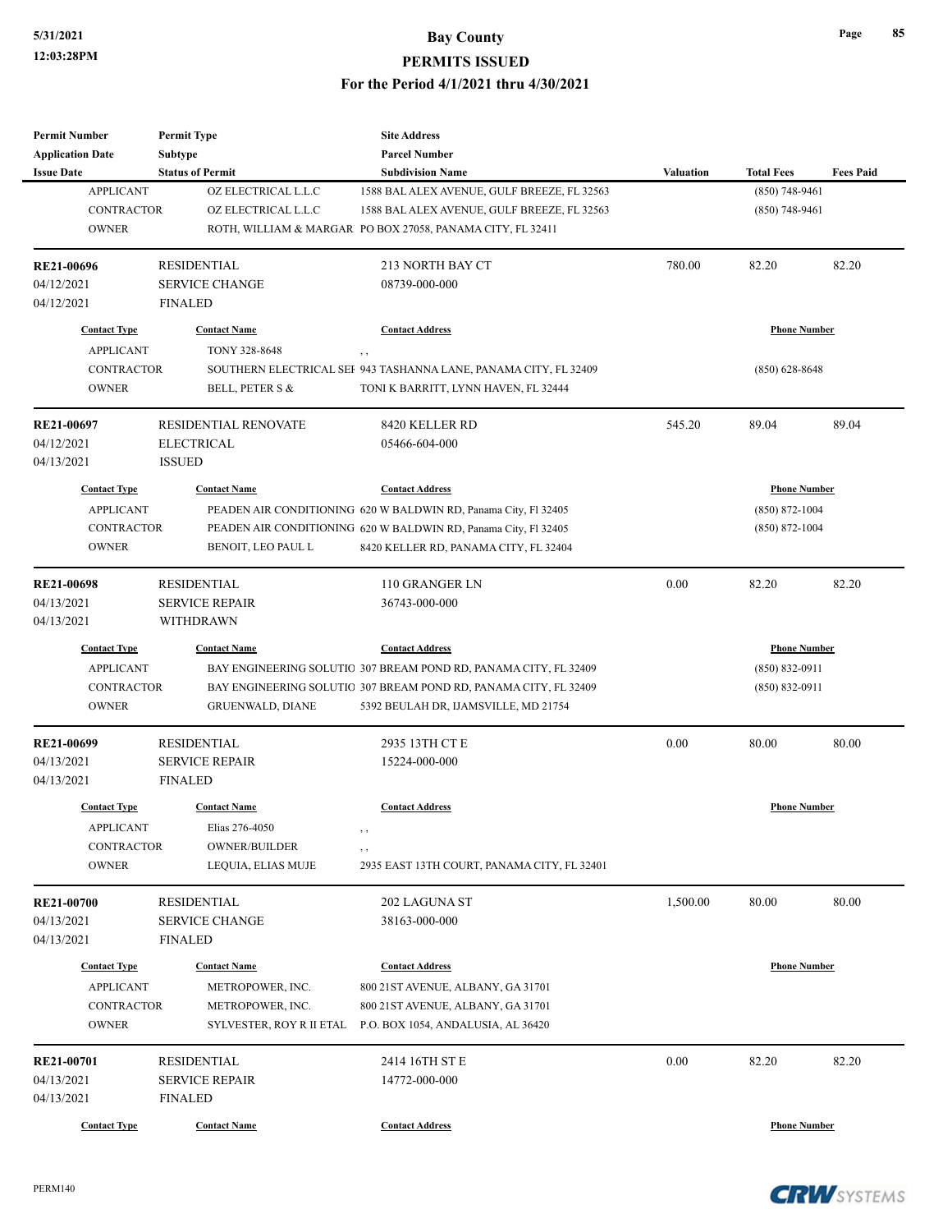| <b>Permit Number</b>     | <b>Permit Type</b>                      | <b>Site Address</b>                                              |                  |                     |                  |
|--------------------------|-----------------------------------------|------------------------------------------------------------------|------------------|---------------------|------------------|
| <b>Application Date</b>  | <b>Subtype</b>                          | <b>Parcel Number</b>                                             |                  |                     |                  |
| <b>Issue Date</b>        | <b>Status of Permit</b>                 | <b>Subdivision Name</b>                                          | <b>Valuation</b> | <b>Total Fees</b>   | <b>Fees Paid</b> |
| <b>APPLICANT</b>         | OZ ELECTRICAL L.L.C                     | 1588 BAL ALEX AVENUE, GULF BREEZE, FL 32563                      |                  | $(850)$ 748-9461    |                  |
| <b>CONTRACTOR</b>        | OZ ELECTRICAL L.L.C                     | 1588 BAL ALEX AVENUE, GULF BREEZE, FL 32563                      |                  | $(850)$ 748-9461    |                  |
| <b>OWNER</b>             |                                         | ROTH, WILLIAM & MARGAR PO BOX 27058, PANAMA CITY, FL 32411       |                  |                     |                  |
| RE21-00696               | <b>RESIDENTIAL</b>                      | 213 NORTH BAY CT                                                 | 780.00           | 82.20               | 82.20            |
| 04/12/2021               | <b>SERVICE CHANGE</b>                   | 08739-000-000                                                    |                  |                     |                  |
| 04/12/2021               | <b>FINALED</b>                          |                                                                  |                  |                     |                  |
| <b>Contact Type</b>      | <b>Contact Name</b>                     | <b>Contact Address</b>                                           |                  | <b>Phone Number</b> |                  |
| <b>APPLICANT</b>         | TONY 328-8648                           | $, \, ,$                                                         |                  |                     |                  |
| <b>CONTRACTOR</b>        |                                         | SOUTHERN ELECTRICAL SEF 943 TASHANNA LANE, PANAMA CITY, FL 32409 |                  | $(850)$ 628-8648    |                  |
| <b>OWNER</b>             | BELL, PETER S &                         | TONI K BARRITT, LYNN HAVEN, FL 32444                             |                  |                     |                  |
| RE21-00697               | <b>RESIDENTIAL RENOVATE</b>             | 8420 KELLER RD                                                   | 545.20           | 89.04               | 89.04            |
| 04/12/2021               | <b>ELECTRICAL</b>                       | 05466-604-000                                                    |                  |                     |                  |
| 04/13/2021               | <b>ISSUED</b>                           |                                                                  |                  |                     |                  |
| <b>Contact Type</b>      | <b>Contact Name</b>                     | <b>Contact Address</b>                                           |                  | <b>Phone Number</b> |                  |
| <b>APPLICANT</b>         |                                         | PEADEN AIR CONDITIONING 620 W BALDWIN RD, Panama City, Fl 32405  |                  | $(850) 872 - 1004$  |                  |
| <b>CONTRACTOR</b>        |                                         | PEADEN AIR CONDITIONING 620 W BALDWIN RD, Panama City, Fl 32405  |                  | $(850)$ 872-1004    |                  |
| <b>OWNER</b>             | BENOIT, LEO PAUL L                      | 8420 KELLER RD, PANAMA CITY, FL 32404                            |                  |                     |                  |
|                          |                                         |                                                                  |                  |                     |                  |
| RE21-00698               | <b>RESIDENTIAL</b>                      | 110 GRANGER LN                                                   | 0.00             | 82.20               | 82.20            |
| 04/13/2021               | <b>SERVICE REPAIR</b>                   | 36743-000-000                                                    |                  |                     |                  |
| 04/13/2021               | WITHDRAWN                               |                                                                  |                  |                     |                  |
| <b>Contact Type</b>      | <b>Contact Name</b>                     | <b>Contact Address</b>                                           |                  | <b>Phone Number</b> |                  |
| <b>APPLICANT</b>         |                                         | BAY ENGINEERING SOLUTIO 307 BREAM POND RD, PANAMA CITY, FL 32409 |                  | $(850) 832 - 0911$  |                  |
| <b>CONTRACTOR</b>        |                                         | BAY ENGINEERING SOLUTIO 307 BREAM POND RD, PANAMA CITY, FL 32409 |                  | $(850) 832 - 0911$  |                  |
| <b>OWNER</b>             | <b>GRUENWALD, DIANE</b>                 | 5392 BEULAH DR, IJAMSVILLE, MD 21754                             |                  |                     |                  |
|                          |                                         |                                                                  |                  |                     |                  |
| RE21-00699               | <b>RESIDENTIAL</b>                      | 2935 13TH CT E                                                   | 0.00             | 80.00               | 80.00            |
| 04/13/2021<br>04/13/2021 | <b>SERVICE REPAIR</b><br><b>FINALED</b> | 15224-000-000                                                    |                  |                     |                  |
|                          |                                         |                                                                  |                  |                     |                  |
| <b>Contact Type</b>      | <b>Contact Name</b>                     | <b>Contact Address</b>                                           |                  | <b>Phone Number</b> |                  |
| <b>APPLICANT</b>         | Elias 276-4050                          | , ,                                                              |                  |                     |                  |
| CONTRACTOR               | OWNER/BUILDER                           | , ,                                                              |                  |                     |                  |
| <b>OWNER</b>             | LEQUIA, ELIAS MUJE                      | 2935 EAST 13TH COURT, PANAMA CITY, FL 32401                      |                  |                     |                  |
| <b>RE21-00700</b>        | <b>RESIDENTIAL</b>                      | 202 LAGUNA ST                                                    | 1,500.00         | 80.00               | 80.00            |
| 04/13/2021               | <b>SERVICE CHANGE</b>                   | 38163-000-000                                                    |                  |                     |                  |
| 04/13/2021               | <b>FINALED</b>                          |                                                                  |                  |                     |                  |
| <b>Contact Type</b>      | <b>Contact Name</b>                     | <b>Contact Address</b>                                           |                  | <b>Phone Number</b> |                  |
| <b>APPLICANT</b>         | METROPOWER, INC.                        | 800 21 ST AVENUE, ALBANY, GA 31701                               |                  |                     |                  |
| CONTRACTOR               | METROPOWER, INC.                        | 800 21 ST AVENUE, ALBANY, GA 31701                               |                  |                     |                  |
| <b>OWNER</b>             | SYLVESTER, ROY R II ETAL                | P.O. BOX 1054, ANDALUSIA, AL 36420                               |                  |                     |                  |
| RE21-00701               | <b>RESIDENTIAL</b>                      | 2414 16TH ST E                                                   | 0.00             | 82.20               | 82.20            |
| 04/13/2021               | <b>SERVICE REPAIR</b>                   | 14772-000-000                                                    |                  |                     |                  |
| 04/13/2021               | <b>FINALED</b>                          |                                                                  |                  |                     |                  |
| <b>Contact Type</b>      | <b>Contact Name</b>                     | <b>Contact Address</b>                                           |                  | <b>Phone Number</b> |                  |
|                          |                                         |                                                                  |                  |                     |                  |

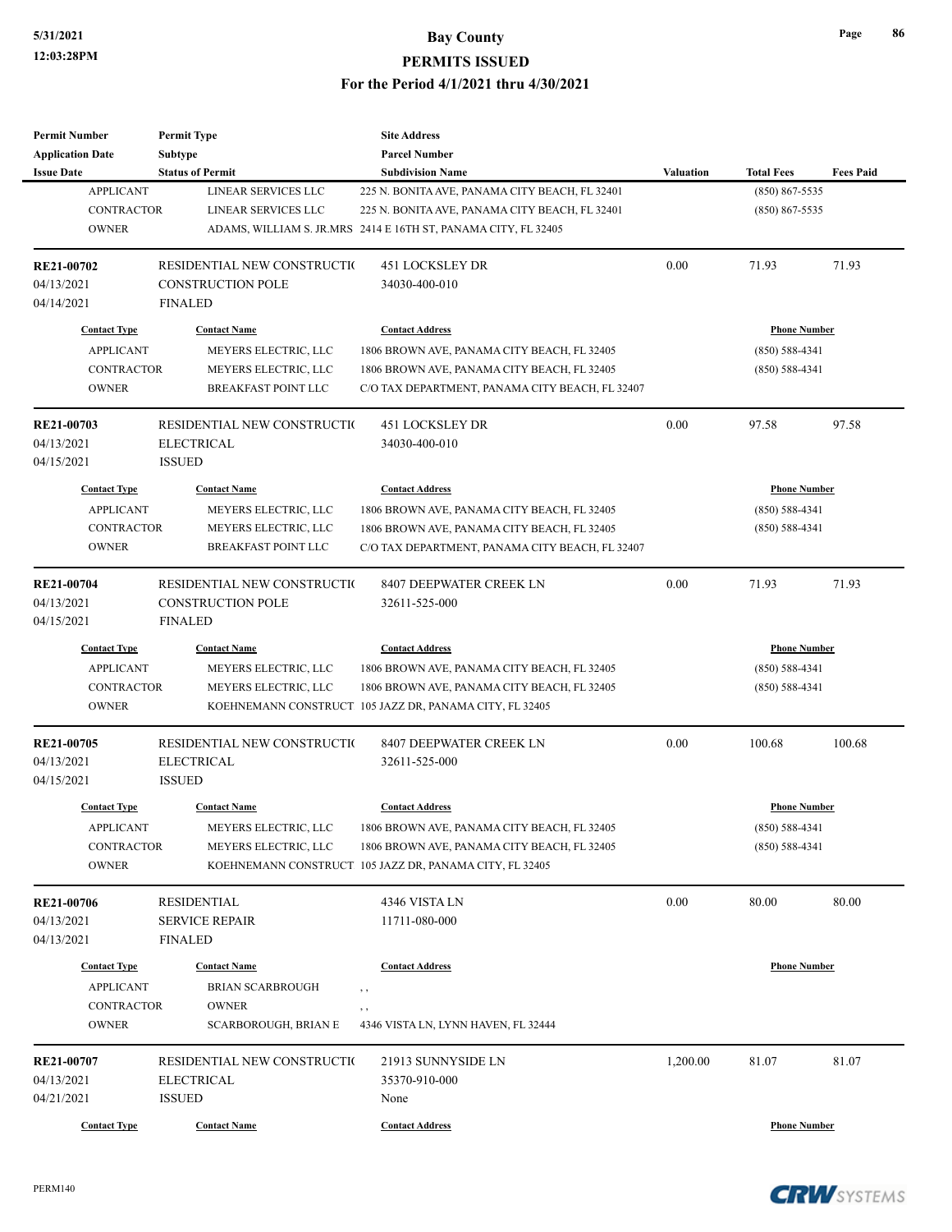| <b>Permit Number</b>              | <b>Permit Type</b>                          | <b>Site Address</b>                                            |           |                     |                  |
|-----------------------------------|---------------------------------------------|----------------------------------------------------------------|-----------|---------------------|------------------|
| <b>Application Date</b>           | <b>Subtype</b>                              | <b>Parcel Number</b>                                           |           |                     |                  |
| <b>Issue Date</b>                 | <b>Status of Permit</b>                     | <b>Subdivision Name</b>                                        | Valuation | <b>Total Fees</b>   | <b>Fees Paid</b> |
| <b>APPLICANT</b>                  | LINEAR SERVICES LLC                         | 225 N. BONITA AVE, PANAMA CITY BEACH, FL 32401                 |           | $(850) 867 - 5535$  |                  |
| <b>CONTRACTOR</b>                 | LINEAR SERVICES LLC                         | 225 N. BONITA AVE, PANAMA CITY BEACH, FL 32401                 |           | $(850) 867 - 5535$  |                  |
| <b>OWNER</b>                      |                                             | ADAMS, WILLIAM S. JR.MRS 2414 E 16TH ST, PANAMA CITY, FL 32405 |           |                     |                  |
| RE21-00702                        | RESIDENTIAL NEW CONSTRUCTIO                 | 451 LOCKSLEY DR                                                | 0.00      | 71.93               | 71.93            |
| 04/13/2021                        | CONSTRUCTION POLE                           | 34030-400-010                                                  |           |                     |                  |
| 04/14/2021                        | <b>FINALED</b>                              |                                                                |           |                     |                  |
| <b>Contact Type</b>               | <b>Contact Name</b>                         | <b>Contact Address</b>                                         |           | <b>Phone Number</b> |                  |
| <b>APPLICANT</b>                  | MEYERS ELECTRIC, LLC                        | 1806 BROWN AVE, PANAMA CITY BEACH, FL 32405                    |           | $(850) 588 - 4341$  |                  |
| <b>CONTRACTOR</b>                 | MEYERS ELECTRIC, LLC                        | 1806 BROWN AVE, PANAMA CITY BEACH, FL 32405                    |           | $(850) 588 - 4341$  |                  |
| <b>OWNER</b>                      | BREAKFAST POINT LLC                         | C/O TAX DEPARTMENT, PANAMA CITY BEACH, FL 32407                |           |                     |                  |
| RE21-00703                        | RESIDENTIAL NEW CONSTRUCTIO                 | 451 LOCKSLEY DR                                                | 0.00      | 97.58               | 97.58            |
| 04/13/2021                        | <b>ELECTRICAL</b>                           | 34030-400-010                                                  |           |                     |                  |
| 04/15/2021                        | <b>ISSUED</b>                               |                                                                |           |                     |                  |
| <b>Contact Type</b>               | <b>Contact Name</b>                         | <b>Contact Address</b>                                         |           | <b>Phone Number</b> |                  |
| <b>APPLICANT</b>                  | MEYERS ELECTRIC, LLC                        | 1806 BROWN AVE, PANAMA CITY BEACH, FL 32405                    |           | $(850) 588 - 4341$  |                  |
| <b>CONTRACTOR</b>                 | MEYERS ELECTRIC, LLC                        | 1806 BROWN AVE, PANAMA CITY BEACH, FL 32405                    |           | $(850) 588 - 4341$  |                  |
| <b>OWNER</b>                      | <b>BREAKFAST POINT LLC</b>                  | C/O TAX DEPARTMENT, PANAMA CITY BEACH, FL 32407                |           |                     |                  |
|                                   |                                             |                                                                |           |                     |                  |
| RE21-00704                        | RESIDENTIAL NEW CONSTRUCTIO                 | 8407 DEEPWATER CREEK LN                                        | 0.00      | 71.93               | 71.93            |
| 04/13/2021                        | <b>CONSTRUCTION POLE</b>                    | 32611-525-000                                                  |           |                     |                  |
| 04/15/2021                        | <b>FINALED</b>                              |                                                                |           |                     |                  |
| <b>Contact Type</b>               | <b>Contact Name</b>                         | <b>Contact Address</b>                                         |           | <b>Phone Number</b> |                  |
| <b>APPLICANT</b>                  | MEYERS ELECTRIC, LLC                        | 1806 BROWN AVE, PANAMA CITY BEACH, FL 32405                    |           | $(850) 588 - 4341$  |                  |
| <b>CONTRACTOR</b>                 | MEYERS ELECTRIC, LLC                        | 1806 BROWN AVE, PANAMA CITY BEACH, FL 32405                    |           | $(850) 588 - 4341$  |                  |
| <b>OWNER</b>                      |                                             | KOEHNEMANN CONSTRUCT 105 JAZZ DR, PANAMA CITY, FL 32405        |           |                     |                  |
| RE21-00705                        | RESIDENTIAL NEW CONSTRUCTIO                 | 8407 DEEPWATER CREEK LN                                        | 0.00      | 100.68              | 100.68           |
| 04/13/2021                        | <b>ELECTRICAL</b>                           | 32611-525-000                                                  |           |                     |                  |
| 04/15/2021                        | <b>ISSUED</b>                               |                                                                |           |                     |                  |
| <b>Contact Type</b>               | <b>Contact Name</b>                         | <b>Contact Address</b>                                         |           | <b>Phone Number</b> |                  |
| <b>APPLICANT</b>                  | MEYERS ELECTRIC, LLC                        | 1806 BROWN AVE, PANAMA CITY BEACH, FL 32405                    |           | $(850) 588 - 4341$  |                  |
| CONTRACTOR                        | MEYERS ELECTRIC, LLC                        | 1806 BROWN AVE, PANAMA CITY BEACH, FL 32405                    |           | $(850) 588 - 4341$  |                  |
| <b>OWNER</b>                      |                                             | KOEHNEMANN CONSTRUCT 105 JAZZ DR, PANAMA CITY, FL 32405        |           |                     |                  |
| <b>RE21-00706</b>                 | RESIDENTIAL                                 | 4346 VISTA LN                                                  | 0.00      | 80.00               | 80.00            |
| 04/13/2021                        | <b>SERVICE REPAIR</b>                       | 11711-080-000                                                  |           |                     |                  |
| 04/13/2021                        | <b>FINALED</b>                              |                                                                |           |                     |                  |
|                                   |                                             |                                                                |           |                     |                  |
| <b>Contact Type</b>               | <b>Contact Name</b>                         | <b>Contact Address</b>                                         |           | <b>Phone Number</b> |                  |
| <b>APPLICANT</b>                  | <b>BRIAN SCARBROUGH</b>                     | , ,                                                            |           |                     |                  |
| <b>CONTRACTOR</b><br><b>OWNER</b> | <b>OWNER</b><br><b>SCARBOROUGH, BRIAN E</b> | , ,<br>4346 VISTA LN, LYNN HAVEN, FL 32444                     |           |                     |                  |
|                                   |                                             |                                                                |           |                     |                  |
| RE21-00707                        | RESIDENTIAL NEW CONSTRUCTIO                 | 21913 SUNNYSIDE LN                                             | 1,200.00  | 81.07               | 81.07            |
| 04/13/2021                        | <b>ELECTRICAL</b>                           | 35370-910-000                                                  |           |                     |                  |
| 04/21/2021                        | <b>ISSUED</b>                               | None                                                           |           |                     |                  |
| <b>Contact Type</b>               | <b>Contact Name</b>                         | <b>Contact Address</b>                                         |           | <b>Phone Number</b> |                  |

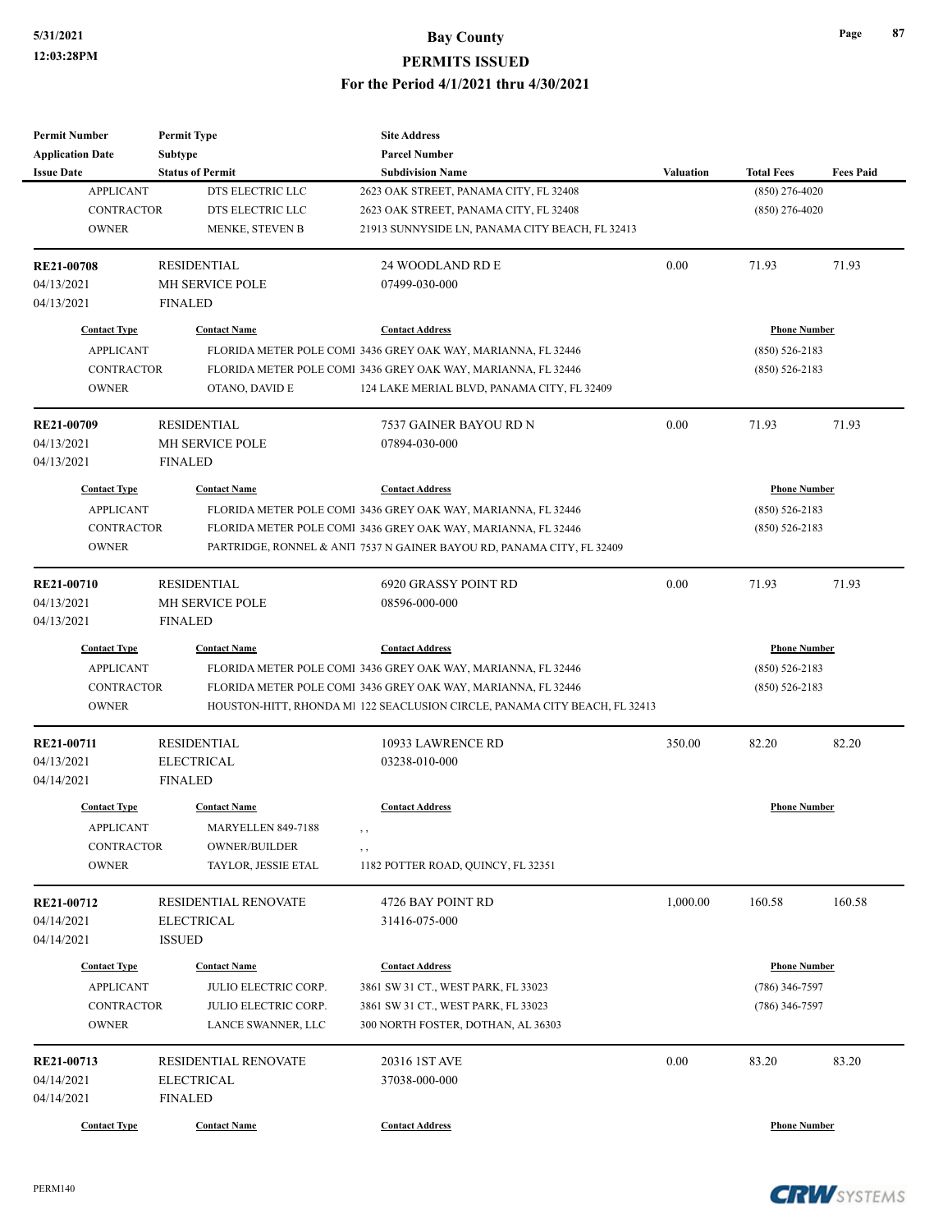| <b>Permit Number</b>    | <b>Permit Type</b>      | <b>Site Address</b>                                                        |           |                     |                  |
|-------------------------|-------------------------|----------------------------------------------------------------------------|-----------|---------------------|------------------|
| <b>Application Date</b> | <b>Subtype</b>          | <b>Parcel Number</b>                                                       |           |                     |                  |
| <b>Issue Date</b>       | <b>Status of Permit</b> | <b>Subdivision Name</b>                                                    | Valuation | <b>Total Fees</b>   | <b>Fees Paid</b> |
| <b>APPLICANT</b>        | DTS ELECTRIC LLC        | 2623 OAK STREET, PANAMA CITY, FL 32408                                     |           | $(850)$ 276-4020    |                  |
| <b>CONTRACTOR</b>       | DTS ELECTRIC LLC        | 2623 OAK STREET, PANAMA CITY, FL 32408                                     |           | $(850)$ 276-4020    |                  |
| <b>OWNER</b>            | MENKE, STEVEN B         | 21913 SUNNYSIDE LN, PANAMA CITY BEACH, FL 32413                            |           |                     |                  |
| RE21-00708              | <b>RESIDENTIAL</b>      | 24 WOODLAND RD E                                                           | 0.00      | 71.93               | 71.93            |
| 04/13/2021              | MH SERVICE POLE         | 07499-030-000                                                              |           |                     |                  |
| 04/13/2021              | <b>FINALED</b>          |                                                                            |           |                     |                  |
| <b>Contact Type</b>     | <b>Contact Name</b>     | <b>Contact Address</b>                                                     |           | <b>Phone Number</b> |                  |
| <b>APPLICANT</b>        |                         | FLORIDA METER POLE COMI 3436 GREY OAK WAY, MARIANNA, FL 32446              |           | $(850) 526 - 2183$  |                  |
| CONTRACTOR              |                         | FLORIDA METER POLE COMI 3436 GREY OAK WAY, MARIANNA, FL 32446              |           | $(850) 526 - 2183$  |                  |
| <b>OWNER</b>            | OTANO, DAVID E          | 124 LAKE MERIAL BLVD, PANAMA CITY, FL 32409                                |           |                     |                  |
| RE21-00709              | <b>RESIDENTIAL</b>      | 7537 GAINER BAYOU RD N                                                     | 0.00      | 71.93               | 71.93            |
| 04/13/2021              | MH SERVICE POLE         | 07894-030-000                                                              |           |                     |                  |
| 04/13/2021              | <b>FINALED</b>          |                                                                            |           |                     |                  |
| <b>Contact Type</b>     | <b>Contact Name</b>     | <b>Contact Address</b>                                                     |           | <b>Phone Number</b> |                  |
| <b>APPLICANT</b>        |                         | FLORIDA METER POLE COMI 3436 GREY OAK WAY, MARIANNA, FL 32446              |           | $(850) 526 - 2183$  |                  |
| <b>CONTRACTOR</b>       |                         | FLORIDA METER POLE COMI 3436 GREY OAK WAY, MARIANNA, FL 32446              |           | $(850) 526 - 2183$  |                  |
| <b>OWNER</b>            |                         | PARTRIDGE, RONNEL & ANI1 7537 N GAINER BAYOU RD, PANAMA CITY, FL 32409     |           |                     |                  |
| RE21-00710              | <b>RESIDENTIAL</b>      | 6920 GRASSY POINT RD                                                       | 0.00      | 71.93               | 71.93            |
| 04/13/2021              | MH SERVICE POLE         | 08596-000-000                                                              |           |                     |                  |
| 04/13/2021              | <b>FINALED</b>          |                                                                            |           |                     |                  |
| <b>Contact Type</b>     | <b>Contact Name</b>     | <b>Contact Address</b>                                                     |           | <b>Phone Number</b> |                  |
| <b>APPLICANT</b>        |                         | FLORIDA METER POLE COMI 3436 GREY OAK WAY, MARIANNA, FL 32446              |           | $(850) 526 - 2183$  |                  |
| <b>CONTRACTOR</b>       |                         | FLORIDA METER POLE COMI 3436 GREY OAK WAY, MARIANNA, FL 32446              |           | $(850) 526 - 2183$  |                  |
| <b>OWNER</b>            |                         | HOUSTON-HITT, RHONDA M1 122 SEACLUSION CIRCLE, PANAMA CITY BEACH, FL 32413 |           |                     |                  |
| RE21-00711              | <b>RESIDENTIAL</b>      | 10933 LAWRENCE RD                                                          | 350.00    | 82.20               | 82.20            |
| 04/13/2021              | <b>ELECTRICAL</b>       | 03238-010-000                                                              |           |                     |                  |
| 04/14/2021              | <b>FINALED</b>          |                                                                            |           |                     |                  |
| <b>Contact Type</b>     | <b>Contact Name</b>     | <b>Contact Address</b>                                                     |           | <b>Phone Number</b> |                  |
| <b>APPLICANT</b>        | MARYELLEN 849-7188      |                                                                            |           |                     |                  |
| CONTRACTOR              | OWNER/BUILDER           | , ,                                                                        |           |                     |                  |
| <b>OWNER</b>            | TAYLOR, JESSIE ETAL     | 1182 POTTER ROAD, QUINCY, FL 32351                                         |           |                     |                  |
| RE21-00712              | RESIDENTIAL RENOVATE    | 4726 BAY POINT RD                                                          | 1,000.00  | 160.58              | 160.58           |
| 04/14/2021              | ELECTRICAL              | 31416-075-000                                                              |           |                     |                  |
| 04/14/2021              | <b>ISSUED</b>           |                                                                            |           |                     |                  |
| <b>Contact Type</b>     | <b>Contact Name</b>     | <b>Contact Address</b>                                                     |           | <b>Phone Number</b> |                  |
| <b>APPLICANT</b>        | JULIO ELECTRIC CORP.    | 3861 SW 31 CT., WEST PARK, FL 33023                                        |           | $(786)$ 346-7597    |                  |
| <b>CONTRACTOR</b>       | JULIO ELECTRIC CORP.    | 3861 SW 31 CT., WEST PARK, FL 33023                                        |           | $(786)$ 346-7597    |                  |
| <b>OWNER</b>            | LANCE SWANNER, LLC      | 300 NORTH FOSTER, DOTHAN, AL 36303                                         |           |                     |                  |
| RE21-00713              | RESIDENTIAL RENOVATE    | 20316 IST AVE                                                              | 0.00      | 83.20               | 83.20            |
| 04/14/2021              | <b>ELECTRICAL</b>       | 37038-000-000                                                              |           |                     |                  |
| 04/14/2021              | <b>FINALED</b>          |                                                                            |           |                     |                  |
| <b>Contact Type</b>     | <b>Contact Name</b>     | <b>Contact Address</b>                                                     |           | <b>Phone Number</b> |                  |
|                         |                         |                                                                            |           |                     |                  |

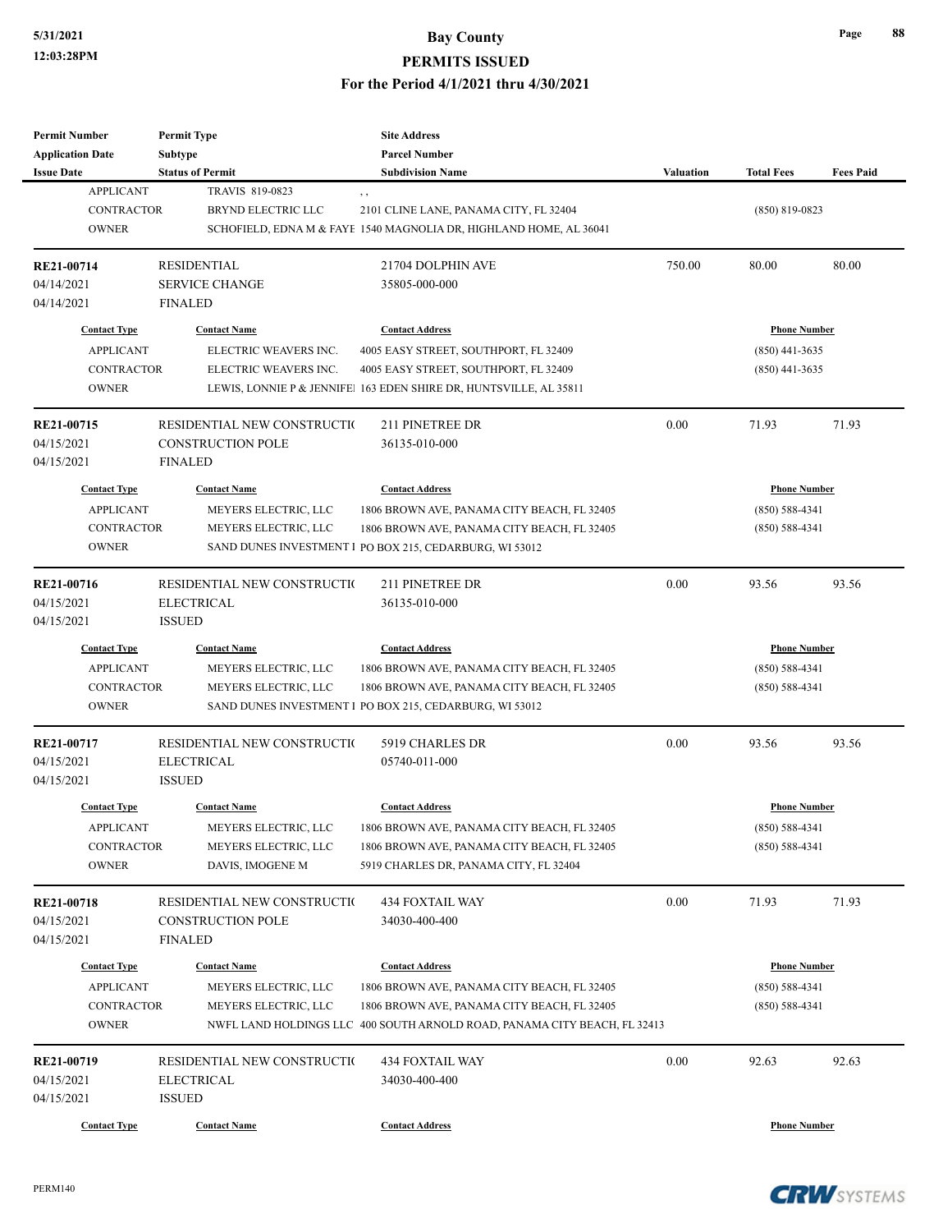| <b>Permit Number</b>    | <b>Permit Type</b>           | <b>Site Address</b>                                                       |                  |                     |                  |
|-------------------------|------------------------------|---------------------------------------------------------------------------|------------------|---------------------|------------------|
| <b>Application Date</b> | <b>Subtype</b>               | <b>Parcel Number</b>                                                      |                  |                     |                  |
| <b>Issue Date</b>       | <b>Status of Permit</b>      | <b>Subdivision Name</b>                                                   | <b>Valuation</b> | <b>Total Fees</b>   | <b>Fees Paid</b> |
| <b>APPLICANT</b>        | TRAVIS 819-0823              | , ,                                                                       |                  |                     |                  |
| <b>CONTRACTOR</b>       | <b>BRYND ELECTRIC LLC</b>    | 2101 CLINE LANE, PANAMA CITY, FL 32404                                    |                  | $(850)$ 819-0823    |                  |
| <b>OWNER</b>            |                              | SCHOFIELD, EDNA M & FAYE 1540 MAGNOLIA DR, HIGHLAND HOME, AL 36041        |                  |                     |                  |
| RE21-00714              | <b>RESIDENTIAL</b>           | 21704 DOLPHIN AVE                                                         | 750.00           | 80.00               | 80.00            |
| 04/14/2021              | <b>SERVICE CHANGE</b>        | 35805-000-000                                                             |                  |                     |                  |
| 04/14/2021              | <b>FINALED</b>               |                                                                           |                  |                     |                  |
| <b>Contact Type</b>     | <b>Contact Name</b>          | <b>Contact Address</b>                                                    |                  | <b>Phone Number</b> |                  |
| <b>APPLICANT</b>        | ELECTRIC WEAVERS INC.        | 4005 EASY STREET, SOUTHPORT, FL 32409                                     |                  | $(850)$ 441-3635    |                  |
| <b>CONTRACTOR</b>       | ELECTRIC WEAVERS INC.        | 4005 EASY STREET, SOUTHPORT, FL 32409                                     |                  | $(850)$ 441-3635    |                  |
| <b>OWNER</b>            |                              | LEWIS, LONNIE P & JENNIFE 163 EDEN SHIRE DR, HUNTSVILLE, AL 35811         |                  |                     |                  |
|                         |                              |                                                                           |                  |                     |                  |
| RE21-00715              | RESIDENTIAL NEW CONSTRUCTIO  | 211 PINETREE DR                                                           | 0.00             | 71.93               | 71.93            |
| 04/15/2021              | <b>CONSTRUCTION POLE</b>     | 36135-010-000                                                             |                  |                     |                  |
| 04/15/2021              | <b>FINALED</b>               |                                                                           |                  |                     |                  |
| <b>Contact Type</b>     | <b>Contact Name</b>          | <b>Contact Address</b>                                                    |                  | <b>Phone Number</b> |                  |
| <b>APPLICANT</b>        | MEYERS ELECTRIC, LLC         | 1806 BROWN AVE, PANAMA CITY BEACH, FL 32405                               |                  | $(850) 588 - 4341$  |                  |
| <b>CONTRACTOR</b>       | MEYERS ELECTRIC, LLC         | 1806 BROWN AVE, PANAMA CITY BEACH, FL 32405                               |                  | $(850) 588 - 4341$  |                  |
| <b>OWNER</b>            |                              | SAND DUNES INVESTMENT 1 PO BOX 215, CEDARBURG, WI 53012                   |                  |                     |                  |
|                         |                              |                                                                           |                  |                     |                  |
| RE21-00716              | RESIDENTIAL NEW CONSTRUCTIO  | 211 PINETREE DR                                                           | 0.00             | 93.56               | 93.56            |
| 04/15/2021              | <b>ELECTRICAL</b>            | 36135-010-000                                                             |                  |                     |                  |
| 04/15/2021              | <b>ISSUED</b>                |                                                                           |                  |                     |                  |
| <b>Contact Type</b>     | <b>Contact Name</b>          | <b>Contact Address</b>                                                    |                  | <b>Phone Number</b> |                  |
| <b>APPLICANT</b>        | MEYERS ELECTRIC, LLC         | 1806 BROWN AVE, PANAMA CITY BEACH, FL 32405                               |                  | $(850) 588 - 4341$  |                  |
| CONTRACTOR              | MEYERS ELECTRIC, LLC         | 1806 BROWN AVE, PANAMA CITY BEACH, FL 32405                               |                  | $(850) 588 - 4341$  |                  |
| <b>OWNER</b>            |                              | SAND DUNES INVESTMENT 1 PO BOX 215, CEDARBURG, WI 53012                   |                  |                     |                  |
| RE21-00717              | RESIDENTIAL NEW CONSTRUCTIO  | 5919 CHARLES DR                                                           | 0.00             | 93.56               | 93.56            |
| 04/15/2021              | <b>ELECTRICAL</b>            | 05740-011-000                                                             |                  |                     |                  |
| 04/15/2021              | <b>ISSUED</b>                |                                                                           |                  |                     |                  |
|                         |                              |                                                                           |                  |                     |                  |
| <b>Contact Type</b>     | <b>Contact Name</b>          | <b>Contact Address</b>                                                    |                  | <b>Phone Number</b> |                  |
| APPLICANT               | MEYERS ELECTRIC, LLC         | 1806 BROWN AVE, PANAMA CITY BEACH, FL 32405                               |                  | $(850) 588 - 4341$  |                  |
| CONTRACTOR              | MEYERS ELECTRIC, LLC         | 1806 BROWN AVE, PANAMA CITY BEACH, FL 32405                               |                  | $(850) 588 - 4341$  |                  |
| <b>OWNER</b>            | DAVIS, IMOGENE M             | 5919 CHARLES DR, PANAMA CITY, FL 32404                                    |                  |                     |                  |
| RE21-00718              | RESIDENTIAL NEW CONSTRUCTION | <b>434 FOXTAIL WAY</b>                                                    | 0.00             | 71.93               | 71.93            |
| 04/15/2021              | <b>CONSTRUCTION POLE</b>     | 34030-400-400                                                             |                  |                     |                  |
| 04/15/2021              | FINALED                      |                                                                           |                  |                     |                  |
| <b>Contact Type</b>     | <b>Contact Name</b>          | <b>Contact Address</b>                                                    |                  | <b>Phone Number</b> |                  |
|                         |                              |                                                                           |                  |                     |                  |
| <b>APPLICANT</b>        | MEYERS ELECTRIC, LLC         | 1806 BROWN AVE, PANAMA CITY BEACH, FL 32405                               |                  | $(850) 588 - 4341$  |                  |
| <b>CONTRACTOR</b>       | MEYERS ELECTRIC, LLC         | 1806 BROWN AVE, PANAMA CITY BEACH, FL 32405                               |                  | $(850) 588 - 4341$  |                  |
| <b>OWNER</b>            |                              | NWFL LAND HOLDINGS LLC 400 SOUTH ARNOLD ROAD, PANAMA CITY BEACH, FL 32413 |                  |                     |                  |
| RE21-00719              | RESIDENTIAL NEW CONSTRUCTIO  | <b>434 FOXTAIL WAY</b>                                                    | 0.00             | 92.63               | 92.63            |
| 04/15/2021              | <b>ELECTRICAL</b>            | 34030-400-400                                                             |                  |                     |                  |
| 04/15/2021              | <b>ISSUED</b>                |                                                                           |                  |                     |                  |
| <b>Contact Type</b>     | <b>Contact Name</b>          | <b>Contact Address</b>                                                    |                  | <b>Phone Number</b> |                  |
|                         |                              |                                                                           |                  |                     |                  |

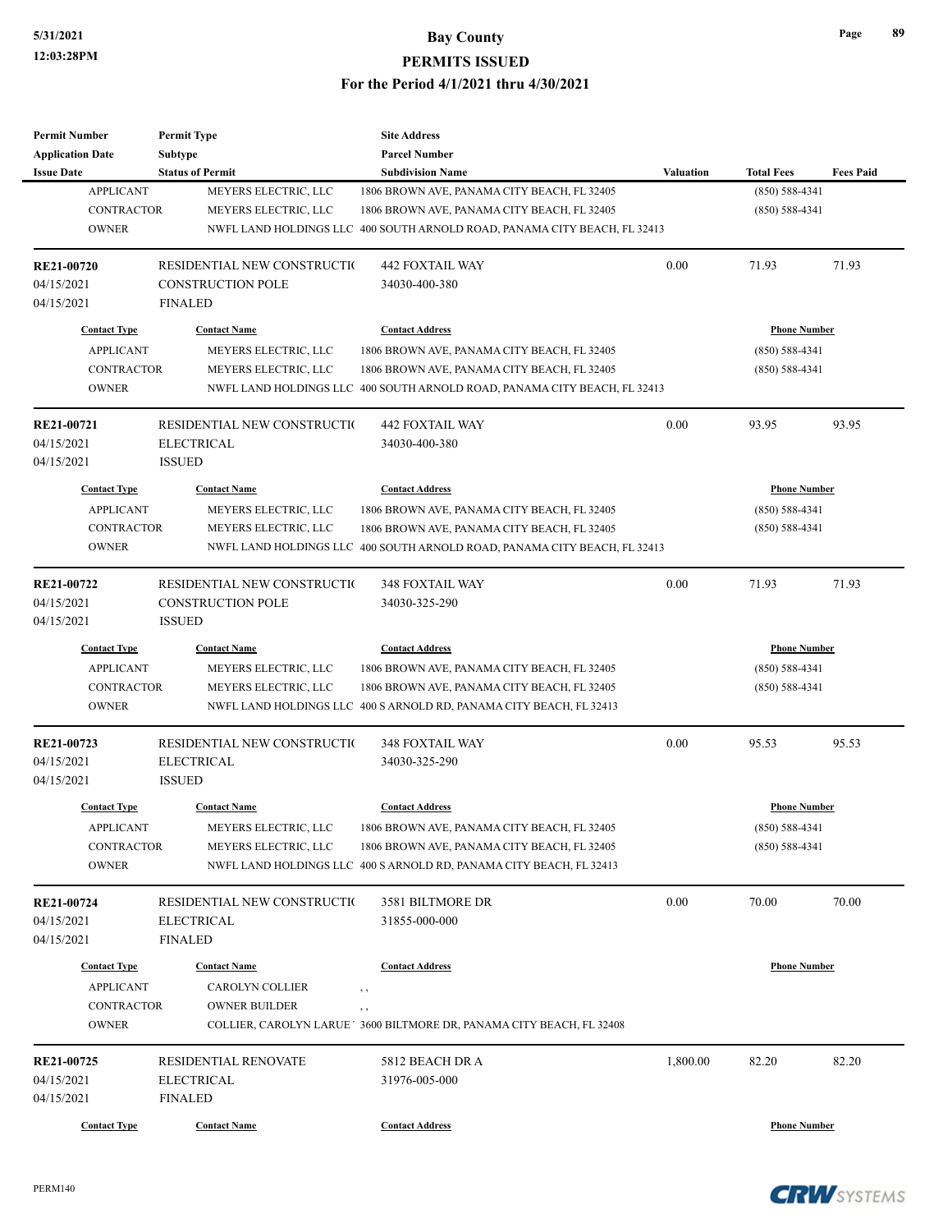| <b>Permit Number</b>    | <b>Permit Type</b>          | <b>Site Address</b>                                                       |                  |                     |                  |
|-------------------------|-----------------------------|---------------------------------------------------------------------------|------------------|---------------------|------------------|
| <b>Application Date</b> | Subtype                     | <b>Parcel Number</b>                                                      |                  |                     |                  |
| <b>Issue Date</b>       | <b>Status of Permit</b>     | <b>Subdivision Name</b>                                                   | <b>Valuation</b> | <b>Total Fees</b>   | <b>Fees Paid</b> |
| <b>APPLICANT</b>        | MEYERS ELECTRIC, LLC        | 1806 BROWN AVE, PANAMA CITY BEACH, FL 32405                               |                  | $(850) 588 - 4341$  |                  |
| <b>CONTRACTOR</b>       | MEYERS ELECTRIC, LLC        | 1806 BROWN AVE, PANAMA CITY BEACH, FL 32405                               |                  | $(850) 588 - 4341$  |                  |
| <b>OWNER</b>            |                             | NWFL LAND HOLDINGS LLC 400 SOUTH ARNOLD ROAD, PANAMA CITY BEACH, FL 32413 |                  |                     |                  |
| RE21-00720              | RESIDENTIAL NEW CONSTRUCTIO | <b>442 FOXTAIL WAY</b>                                                    | 0.00             | 71.93               | 71.93            |
| 04/15/2021              | <b>CONSTRUCTION POLE</b>    | 34030-400-380                                                             |                  |                     |                  |
| 04/15/2021              | <b>FINALED</b>              |                                                                           |                  |                     |                  |
| <b>Contact Type</b>     | <b>Contact Name</b>         | <b>Contact Address</b>                                                    |                  | <b>Phone Number</b> |                  |
| <b>APPLICANT</b>        | MEYERS ELECTRIC, LLC        | 1806 BROWN AVE, PANAMA CITY BEACH, FL 32405                               |                  | $(850) 588 - 4341$  |                  |
| <b>CONTRACTOR</b>       | MEYERS ELECTRIC, LLC        | 1806 BROWN AVE, PANAMA CITY BEACH, FL 32405                               |                  | $(850) 588 - 4341$  |                  |
| <b>OWNER</b>            |                             | NWFL LAND HOLDINGS LLC 400 SOUTH ARNOLD ROAD, PANAMA CITY BEACH, FL 32413 |                  |                     |                  |
| RE21-00721              | RESIDENTIAL NEW CONSTRUCTIO | <b>442 FOXTAIL WAY</b>                                                    | 0.00             | 93.95               | 93.95            |
| 04/15/2021              | <b>ELECTRICAL</b>           | 34030-400-380                                                             |                  |                     |                  |
| 04/15/2021              | <b>ISSUED</b>               |                                                                           |                  |                     |                  |
| <b>Contact Type</b>     | <b>Contact Name</b>         | <b>Contact Address</b>                                                    |                  | <b>Phone Number</b> |                  |
| <b>APPLICANT</b>        | MEYERS ELECTRIC, LLC        | 1806 BROWN AVE, PANAMA CITY BEACH, FL 32405                               |                  | $(850) 588 - 4341$  |                  |
| <b>CONTRACTOR</b>       | MEYERS ELECTRIC, LLC        | 1806 BROWN AVE, PANAMA CITY BEACH, FL 32405                               |                  | $(850) 588 - 4341$  |                  |
| <b>OWNER</b>            |                             | NWFL LAND HOLDINGS LLC 400 SOUTH ARNOLD ROAD, PANAMA CITY BEACH, FL 32413 |                  |                     |                  |
| RE21-00722              | RESIDENTIAL NEW CONSTRUCTIO | 348 FOXTAIL WAY                                                           | 0.00             | 71.93               | 71.93            |
| 04/15/2021              | <b>CONSTRUCTION POLE</b>    | 34030-325-290                                                             |                  |                     |                  |
| 04/15/2021              | <b>ISSUED</b>               |                                                                           |                  |                     |                  |
| <b>Contact Type</b>     | <b>Contact Name</b>         | <b>Contact Address</b>                                                    |                  | <b>Phone Number</b> |                  |
| <b>APPLICANT</b>        | MEYERS ELECTRIC, LLC        | 1806 BROWN AVE, PANAMA CITY BEACH, FL 32405                               |                  | $(850) 588 - 4341$  |                  |
| <b>CONTRACTOR</b>       | MEYERS ELECTRIC, LLC        | 1806 BROWN AVE, PANAMA CITY BEACH, FL 32405                               |                  | $(850) 588 - 4341$  |                  |
| <b>OWNER</b>            |                             | NWFL LAND HOLDINGS LLC 400 S ARNOLD RD, PANAMA CITY BEACH, FL 32413       |                  |                     |                  |
| RE21-00723              | RESIDENTIAL NEW CONSTRUCTIO | 348 FOXTAIL WAY                                                           | 0.00             | 95.53               | 95.53            |
| 04/15/2021              | <b>ELECTRICAL</b>           | 34030-325-290                                                             |                  |                     |                  |
| 04/15/2021              | <b>ISSUED</b>               |                                                                           |                  |                     |                  |
| <b>Contact Type</b>     | <b>Contact Name</b>         | <b>Contact Address</b>                                                    |                  | <b>Phone Number</b> |                  |
| <b>APPLICANT</b>        | MEYERS ELECTRIC, LLC        | 1806 BROWN AVE, PANAMA CITY BEACH, FL 32405                               |                  | $(850) 588 - 4341$  |                  |
| <b>CONTRACTOR</b>       | MEYERS ELECTRIC, LLC        | 1806 BROWN AVE, PANAMA CITY BEACH, FL 32405                               |                  | $(850) 588 - 4341$  |                  |
| <b>OWNER</b>            |                             | NWFL LAND HOLDINGS LLC 400 S ARNOLD RD, PANAMA CITY BEACH, FL 32413       |                  |                     |                  |
| RE21-00724              | RESIDENTIAL NEW CONSTRUCTIO | 3581 BILTMORE DR                                                          | 0.00             | 70.00               | 70.00            |
| 04/15/2021              | <b>ELECTRICAL</b>           | 31855-000-000                                                             |                  |                     |                  |
| 04/15/2021              | <b>FINALED</b>              |                                                                           |                  |                     |                  |
| <b>Contact Type</b>     | <b>Contact Name</b>         | <b>Contact Address</b>                                                    |                  | <b>Phone Number</b> |                  |
| <b>APPLICANT</b>        | CAROLYN COLLIER             | , ,                                                                       |                  |                     |                  |
| <b>CONTRACTOR</b>       | <b>OWNER BUILDER</b>        | , ,                                                                       |                  |                     |                  |
| <b>OWNER</b>            |                             | COLLIER, CAROLYN LARUE ' 3600 BILTMORE DR, PANAMA CITY BEACH, FL 32408    |                  |                     |                  |
| RE21-00725              | RESIDENTIAL RENOVATE        | 5812 BEACH DR A                                                           | 1,800.00         | 82.20               | 82.20            |
| 04/15/2021              | <b>ELECTRICAL</b>           | 31976-005-000                                                             |                  |                     |                  |
| 04/15/2021              | <b>FINALED</b>              |                                                                           |                  |                     |                  |
| <b>Contact Type</b>     | <b>Contact Name</b>         | <b>Contact Address</b>                                                    |                  | <b>Phone Number</b> |                  |
|                         |                             |                                                                           |                  |                     |                  |

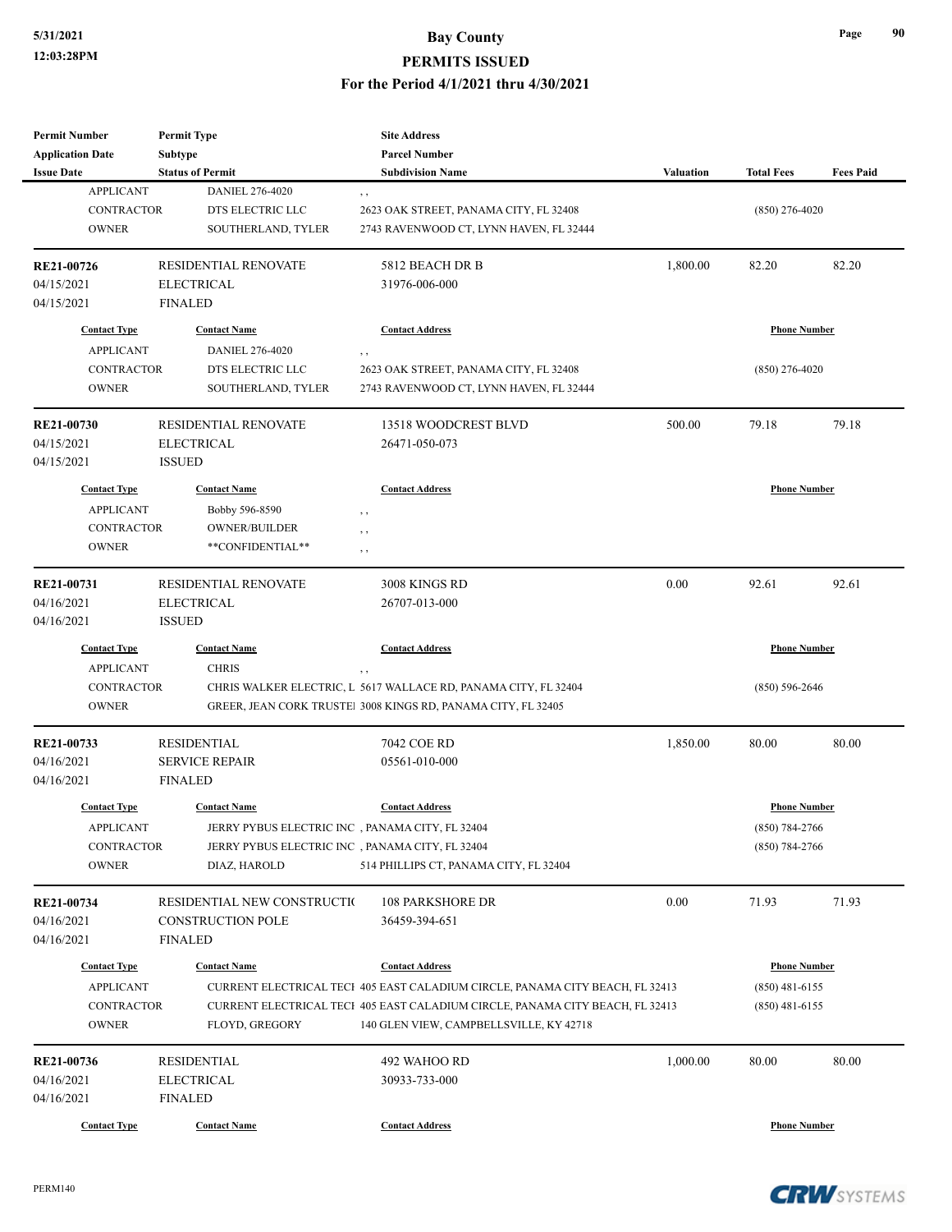| <b>Permit Number</b>    | <b>Permit Type</b>          | <b>Site Address</b>                                                           |                  |                     |                  |
|-------------------------|-----------------------------|-------------------------------------------------------------------------------|------------------|---------------------|------------------|
| <b>Application Date</b> | <b>Subtype</b>              | <b>Parcel Number</b>                                                          |                  |                     |                  |
| <b>Issue Date</b>       | <b>Status of Permit</b>     | <b>Subdivision Name</b>                                                       | <b>Valuation</b> | <b>Total Fees</b>   | <b>Fees Paid</b> |
| <b>APPLICANT</b>        | DANIEL 276-4020             | , ,                                                                           |                  |                     |                  |
| <b>CONTRACTOR</b>       | DTS ELECTRIC LLC            | 2623 OAK STREET, PANAMA CITY, FL 32408                                        |                  | $(850)$ 276-4020    |                  |
| <b>OWNER</b>            | SOUTHERLAND, TYLER          | 2743 RAVENWOOD CT, LYNN HAVEN, FL 32444                                       |                  |                     |                  |
|                         |                             |                                                                               |                  |                     |                  |
| RE21-00726              | RESIDENTIAL RENOVATE        | 5812 BEACH DR B                                                               | 1,800.00         | 82.20               | 82.20            |
| 04/15/2021              | <b>ELECTRICAL</b>           | 31976-006-000                                                                 |                  |                     |                  |
| 04/15/2021              | <b>FINALED</b>              |                                                                               |                  |                     |                  |
| <b>Contact Type</b>     | <b>Contact Name</b>         | <b>Contact Address</b>                                                        |                  | <b>Phone Number</b> |                  |
| <b>APPLICANT</b>        | DANIEL 276-4020             | , ,                                                                           |                  |                     |                  |
| <b>CONTRACTOR</b>       | DTS ELECTRIC LLC            | 2623 OAK STREET, PANAMA CITY, FL 32408                                        |                  | $(850)$ 276-4020    |                  |
| <b>OWNER</b>            | SOUTHERLAND, TYLER          | 2743 RAVENWOOD CT, LYNN HAVEN, FL 32444                                       |                  |                     |                  |
| <b>RE21-00730</b>       | <b>RESIDENTIAL RENOVATE</b> | 13518 WOODCREST BLVD                                                          | 500.00           | 79.18               | 79.18            |
| 04/15/2021              | <b>ELECTRICAL</b>           | 26471-050-073                                                                 |                  |                     |                  |
| 04/15/2021              | <b>ISSUED</b>               |                                                                               |                  |                     |                  |
|                         |                             |                                                                               |                  |                     |                  |
| <b>Contact Type</b>     | <b>Contact Name</b>         | <b>Contact Address</b>                                                        |                  | <b>Phone Number</b> |                  |
| <b>APPLICANT</b>        | Bobby 596-8590              | $, \, ,$                                                                      |                  |                     |                  |
| <b>CONTRACTOR</b>       | <b>OWNER/BUILDER</b>        | $, \, ,$                                                                      |                  |                     |                  |
| <b>OWNER</b>            | **CONFIDENTIAL**            | $, \, ,$                                                                      |                  |                     |                  |
| RE21-00731              | RESIDENTIAL RENOVATE        | 3008 KINGS RD                                                                 | 0.00             | 92.61               | 92.61            |
| 04/16/2021              | <b>ELECTRICAL</b>           | 26707-013-000                                                                 |                  |                     |                  |
| 04/16/2021              | <b>ISSUED</b>               |                                                                               |                  |                     |                  |
| <b>Contact Type</b>     | <b>Contact Name</b>         | <b>Contact Address</b>                                                        |                  | <b>Phone Number</b> |                  |
| <b>APPLICANT</b>        | <b>CHRIS</b>                | $, \, ,$                                                                      |                  |                     |                  |
| <b>CONTRACTOR</b>       |                             | CHRIS WALKER ELECTRIC, L 5617 WALLACE RD, PANAMA CITY, FL 32404               |                  | $(850) 596 - 2646$  |                  |
| <b>OWNER</b>            |                             | GREER, JEAN CORK TRUSTE! 3008 KINGS RD, PANAMA CITY, FL 32405                 |                  |                     |                  |
| RE21-00733              | <b>RESIDENTIAL</b>          | 7042 COE RD                                                                   | 1,850.00         | 80.00               | 80.00            |
| 04/16/2021              | <b>SERVICE REPAIR</b>       | 05561-010-000                                                                 |                  |                     |                  |
| 04/16/2021              | <b>FINALED</b>              |                                                                               |                  |                     |                  |
|                         |                             |                                                                               |                  |                     |                  |
| <b>Contact Type</b>     | <b>Contact Name</b>         | <b>Contact Address</b>                                                        |                  | <b>Phone Number</b> |                  |
| <b>APPLICANT</b>        |                             | JERRY PYBUS ELECTRIC INC , PANAMA CITY, FL 32404                              |                  | $(850) 784 - 2766$  |                  |
| CONTRACTOR              |                             | JERRY PYBUS ELECTRIC INC, PANAMA CITY, FL 32404                               |                  | $(850)$ 784-2766    |                  |
| <b>OWNER</b>            | DIAZ, HAROLD                | 514 PHILLIPS CT, PANAMA CITY, FL 32404                                        |                  |                     |                  |
| RE21-00734              | RESIDENTIAL NEW CONSTRUCTIO | <b>108 PARKSHORE DR</b>                                                       | 0.00             | 71.93               | 71.93            |
| 04/16/2021              | <b>CONSTRUCTION POLE</b>    | 36459-394-651                                                                 |                  |                     |                  |
| 04/16/2021              | <b>FINALED</b>              |                                                                               |                  |                     |                  |
| <b>Contact Type</b>     | <b>Contact Name</b>         | <b>Contact Address</b>                                                        |                  | <b>Phone Number</b> |                  |
| <b>APPLICANT</b>        |                             | CURRENT ELECTRICAL TECI 405 EAST CALADIUM CIRCLE, PANAMA CITY BEACH, FL 32413 |                  | $(850)$ 481-6155    |                  |
| CONTRACTOR              |                             | CURRENT ELECTRICAL TECI 405 EAST CALADIUM CIRCLE, PANAMA CITY BEACH, FL 32413 |                  | $(850)$ 481-6155    |                  |
| <b>OWNER</b>            | FLOYD, GREGORY              | 140 GLEN VIEW, CAMPBELLSVILLE, KY 42718                                       |                  |                     |                  |
|                         |                             |                                                                               |                  |                     |                  |
| RE21-00736              | <b>RESIDENTIAL</b>          | 492 WAHOO RD                                                                  | 1,000.00         | 80.00               | 80.00            |
| 04/16/2021              | <b>ELECTRICAL</b>           | 30933-733-000                                                                 |                  |                     |                  |
| 04/16/2021              | <b>FINALED</b>              |                                                                               |                  |                     |                  |
| <b>Contact Type</b>     | <b>Contact Name</b>         | <b>Contact Address</b>                                                        |                  | <b>Phone Number</b> |                  |

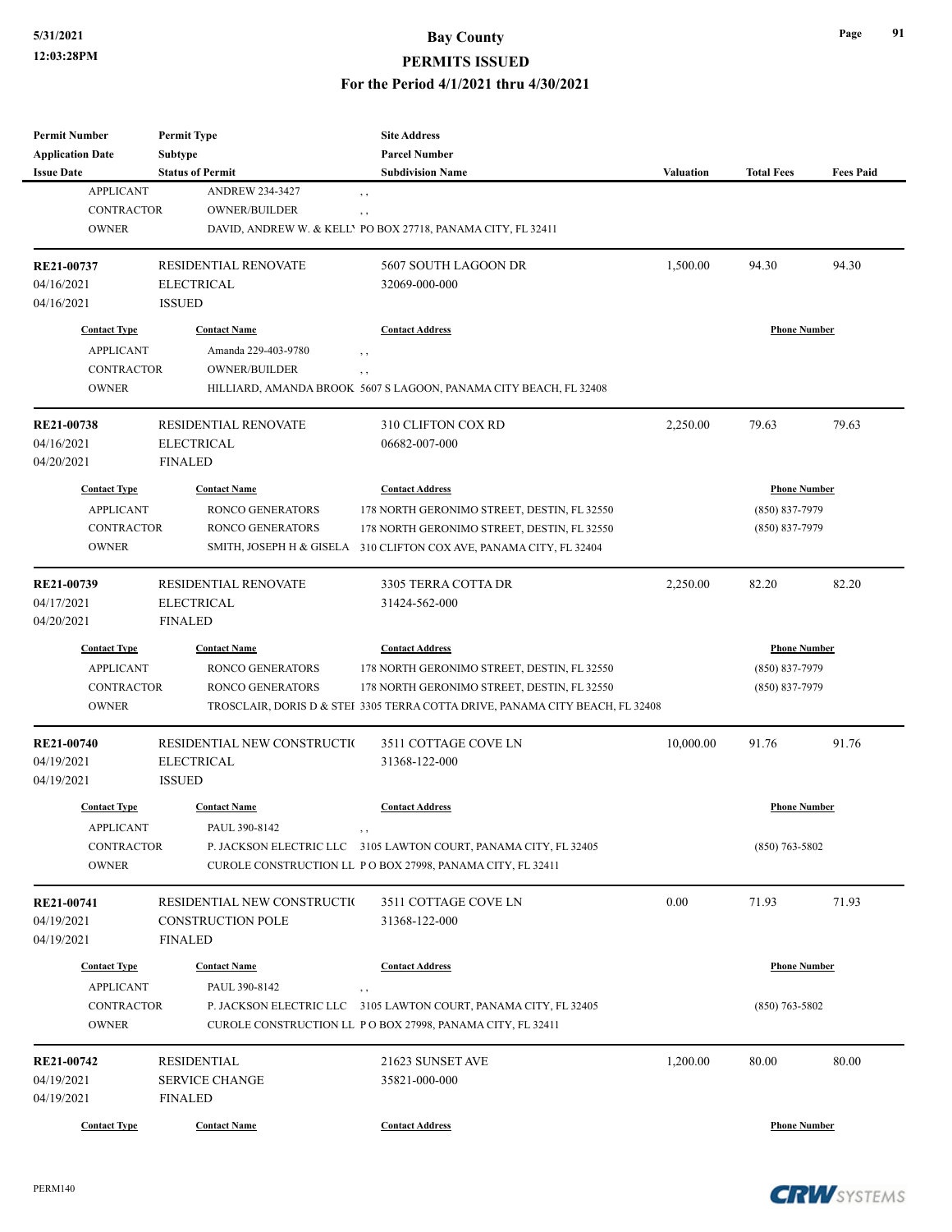#### **PERMITS ISSUED**

#### **For the Period 4/1/2021 thru 4/30/2021**

| <b>Permit Number</b>    | <b>Permit Type</b>          | <b>Site Address</b>                                                           |                  |                     |                  |
|-------------------------|-----------------------------|-------------------------------------------------------------------------------|------------------|---------------------|------------------|
| <b>Application Date</b> | <b>Subtype</b>              | <b>Parcel Number</b>                                                          |                  |                     |                  |
| <b>Issue Date</b>       | <b>Status of Permit</b>     | <b>Subdivision Name</b>                                                       | <b>Valuation</b> | <b>Total Fees</b>   | <b>Fees Paid</b> |
| <b>APPLICANT</b>        | <b>ANDREW 234-3427</b>      | $, \,$                                                                        |                  |                     |                  |
| <b>CONTRACTOR</b>       | OWNER/BUILDER               | , ,                                                                           |                  |                     |                  |
| <b>OWNER</b>            |                             | DAVID, ANDREW W. & KELLY PO BOX 27718, PANAMA CITY, FL 32411                  |                  |                     |                  |
|                         |                             |                                                                               |                  |                     |                  |
| RE21-00737              | RESIDENTIAL RENOVATE        | 5607 SOUTH LAGOON DR                                                          | 1,500.00         | 94.30               | 94.30            |
| 04/16/2021              | <b>ELECTRICAL</b>           | 32069-000-000                                                                 |                  |                     |                  |
| 04/16/2021              | <b>ISSUED</b>               |                                                                               |                  |                     |                  |
| <b>Contact Type</b>     | <b>Contact Name</b>         | <b>Contact Address</b>                                                        |                  | <b>Phone Number</b> |                  |
|                         |                             |                                                                               |                  |                     |                  |
| <b>APPLICANT</b>        | Amanda 229-403-9780         | , ,                                                                           |                  |                     |                  |
| <b>CONTRACTOR</b>       | <b>OWNER/BUILDER</b>        | $, \, , \,$                                                                   |                  |                     |                  |
| <b>OWNER</b>            |                             | HILLIARD, AMANDA BROOK 5607 S LAGOON, PANAMA CITY BEACH, FL 32408             |                  |                     |                  |
| RE21-00738              | RESIDENTIAL RENOVATE        | 310 CLIFTON COX RD                                                            | 2,250.00         | 79.63               | 79.63            |
| 04/16/2021              | <b>ELECTRICAL</b>           | 06682-007-000                                                                 |                  |                     |                  |
| 04/20/2021              | <b>FINALED</b>              |                                                                               |                  |                     |                  |
|                         |                             |                                                                               |                  |                     |                  |
| <b>Contact Type</b>     | <b>Contact Name</b>         | <b>Contact Address</b>                                                        |                  | <b>Phone Number</b> |                  |
| <b>APPLICANT</b>        | <b>RONCO GENERATORS</b>     | 178 NORTH GERONIMO STREET, DESTIN, FL 32550                                   |                  | (850) 837-7979      |                  |
| <b>CONTRACTOR</b>       | <b>RONCO GENERATORS</b>     | 178 NORTH GERONIMO STREET, DESTIN, FL 32550                                   |                  | (850) 837-7979      |                  |
| <b>OWNER</b>            |                             | SMITH, JOSEPH H & GISELA 310 CLIFTON COX AVE, PANAMA CITY, FL 32404           |                  |                     |                  |
|                         |                             |                                                                               |                  |                     |                  |
| RE21-00739              | <b>RESIDENTIAL RENOVATE</b> | 3305 TERRA COTTA DR                                                           | 2,250.00         | 82.20               | 82.20            |
| 04/17/2021              | <b>ELECTRICAL</b>           | 31424-562-000                                                                 |                  |                     |                  |
| 04/20/2021              | <b>FINALED</b>              |                                                                               |                  |                     |                  |
| <b>Contact Type</b>     | <b>Contact Name</b>         | <b>Contact Address</b>                                                        |                  | <b>Phone Number</b> |                  |
| <b>APPLICANT</b>        | RONCO GENERATORS            | 178 NORTH GERONIMO STREET, DESTIN, FL 32550                                   |                  | (850) 837-7979      |                  |
| <b>CONTRACTOR</b>       | <b>RONCO GENERATORS</b>     | 178 NORTH GERONIMO STREET, DESTIN, FL 32550                                   |                  | (850) 837-7979      |                  |
| <b>OWNER</b>            |                             | TROSCLAIR, DORIS D & STEI 3305 TERRA COTTA DRIVE, PANAMA CITY BEACH, FL 32408 |                  |                     |                  |
|                         |                             |                                                                               |                  |                     |                  |
| RE21-00740              | RESIDENTIAL NEW CONSTRUCTIO | 3511 COTTAGE COVE LN                                                          | 10,000.00        | 91.76               | 91.76            |
| 04/19/2021              | <b>ELECTRICAL</b>           | 31368-122-000                                                                 |                  |                     |                  |
| 04/19/2021              | <b>ISSUED</b>               |                                                                               |                  |                     |                  |
|                         |                             |                                                                               |                  |                     |                  |
| <b>Contact Type</b>     | <b>Contact Name</b>         | <b>Contact Address</b>                                                        |                  | <b>Phone Number</b> |                  |
| <b>APPLICANT</b>        | PAUL 390-8142               | , ,                                                                           |                  |                     |                  |
| <b>CONTRACTOR</b>       |                             | P. JACKSON ELECTRIC LLC 3105 LAWTON COURT, PANAMA CITY, FL 32405              |                  | $(850)$ 763-5802    |                  |
| <b>OWNER</b>            |                             | CUROLE CONSTRUCTION LL PO BOX 27998, PANAMA CITY, FL 32411                    |                  |                     |                  |
|                         |                             |                                                                               |                  |                     |                  |
| RE21-00741              | RESIDENTIAL NEW CONSTRUCTIO | 3511 COTTAGE COVE LN                                                          | 0.00             | 71.93               | 71.93            |
| 04/19/2021              | <b>CONSTRUCTION POLE</b>    | 31368-122-000                                                                 |                  |                     |                  |
| 04/19/2021              | <b>FINALED</b>              |                                                                               |                  |                     |                  |
| <b>Contact Type</b>     | <b>Contact Name</b>         | <b>Contact Address</b>                                                        |                  | <b>Phone Number</b> |                  |
| <b>APPLICANT</b>        | PAUL 390-8142               | , ,                                                                           |                  |                     |                  |
| CONTRACTOR              |                             | P. JACKSON ELECTRIC LLC 3105 LAWTON COURT, PANAMA CITY, FL 32405              |                  | $(850)$ 763-5802    |                  |
| <b>OWNER</b>            |                             | CUROLE CONSTRUCTION LL PO BOX 27998, PANAMA CITY, FL 32411                    |                  |                     |                  |
|                         |                             |                                                                               |                  |                     |                  |
| RE21-00742              | <b>RESIDENTIAL</b>          | 21623 SUNSET AVE                                                              | 1,200.00         | 80.00               | 80.00            |
| 04/19/2021              | <b>SERVICE CHANGE</b>       | 35821-000-000                                                                 |                  |                     |                  |
| 04/19/2021              | <b>FINALED</b>              |                                                                               |                  |                     |                  |
|                         |                             |                                                                               |                  |                     |                  |
| <b>Contact Type</b>     | <b>Contact Name</b>         | <b>Contact Address</b>                                                        |                  | <b>Phone Number</b> |                  |

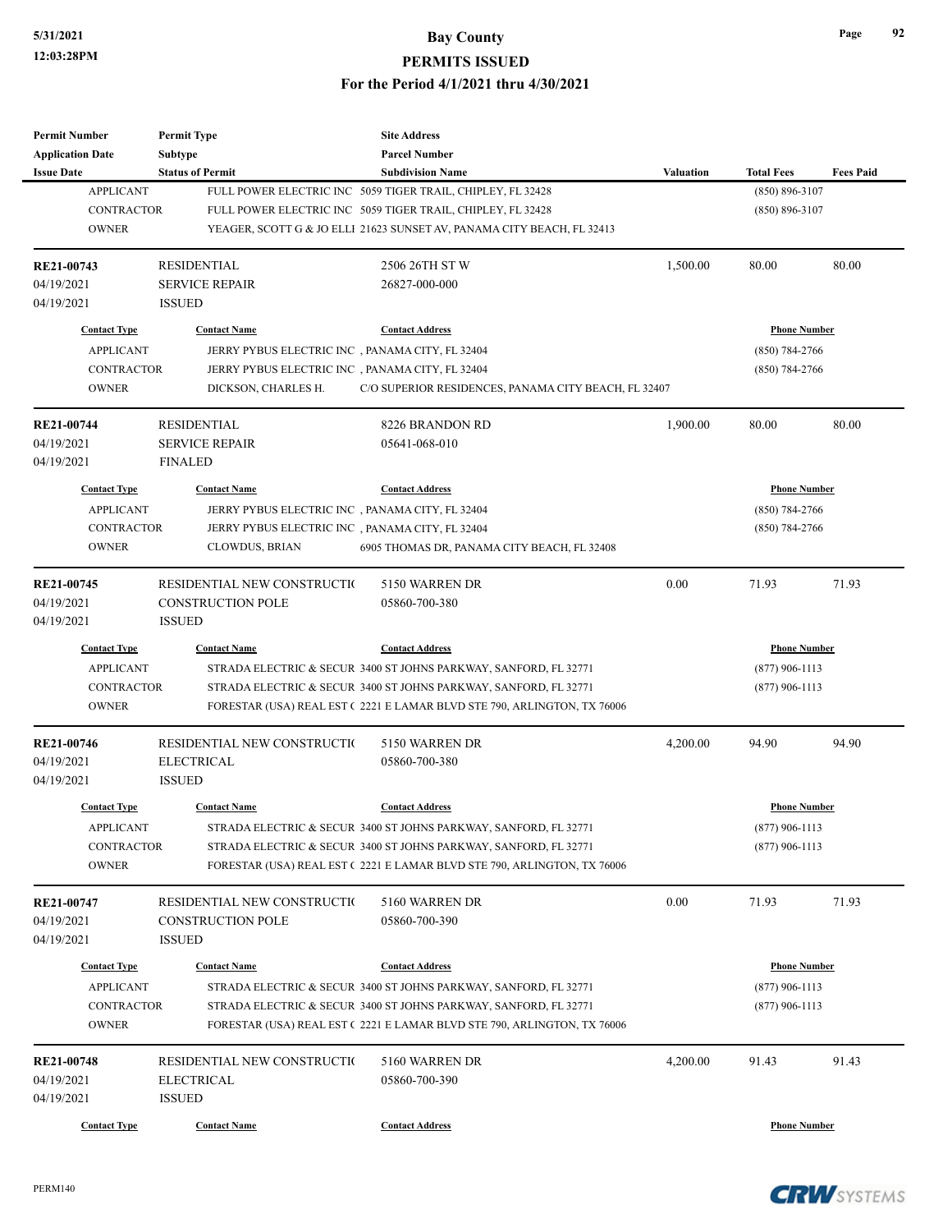| <b>Permit Number</b>    | <b>Permit Type</b>          | <b>Site Address</b>                                                     |                  |                     |                  |
|-------------------------|-----------------------------|-------------------------------------------------------------------------|------------------|---------------------|------------------|
| <b>Application Date</b> | Subtype                     | <b>Parcel Number</b>                                                    |                  |                     |                  |
| <b>Issue Date</b>       | <b>Status of Permit</b>     | <b>Subdivision Name</b>                                                 | <b>Valuation</b> | <b>Total Fees</b>   | <b>Fees Paid</b> |
| <b>APPLICANT</b>        |                             | FULL POWER ELECTRIC INC 5059 TIGER TRAIL, CHIPLEY, FL 32428             |                  | $(850) 896 - 3107$  |                  |
| <b>CONTRACTOR</b>       |                             | FULL POWER ELECTRIC INC 5059 TIGER TRAIL, CHIPLEY, FL 32428             |                  | $(850) 896 - 3107$  |                  |
| <b>OWNER</b>            |                             | YEAGER, SCOTT G & JO ELLI 21623 SUNSET AV, PANAMA CITY BEACH, FL 32413  |                  |                     |                  |
| RE21-00743              | <b>RESIDENTIAL</b>          | 2506 26TH ST W                                                          | 1,500.00         | 80.00               | 80.00            |
| 04/19/2021              | <b>SERVICE REPAIR</b>       | 26827-000-000                                                           |                  |                     |                  |
| 04/19/2021              | <b>ISSUED</b>               |                                                                         |                  |                     |                  |
| <b>Contact Type</b>     | <b>Contact Name</b>         | <b>Contact Address</b>                                                  |                  | <b>Phone Number</b> |                  |
| <b>APPLICANT</b>        |                             | JERRY PYBUS ELECTRIC INC, PANAMA CITY, FL 32404                         |                  | $(850) 784 - 2766$  |                  |
| <b>CONTRACTOR</b>       |                             | JERRY PYBUS ELECTRIC INC , PANAMA CITY, FL 32404                        |                  | $(850)$ 784-2766    |                  |
| <b>OWNER</b>            | DICKSON, CHARLES H.         | C/O SUPERIOR RESIDENCES, PANAMA CITY BEACH, FL 32407                    |                  |                     |                  |
| RE21-00744              | <b>RESIDENTIAL</b>          | 8226 BRANDON RD                                                         | 1,900.00         | 80.00               | 80.00            |
| 04/19/2021              | <b>SERVICE REPAIR</b>       | 05641-068-010                                                           |                  |                     |                  |
| 04/19/2021              | <b>FINALED</b>              |                                                                         |                  |                     |                  |
| <b>Contact Type</b>     | <b>Contact Name</b>         | <b>Contact Address</b>                                                  |                  | <b>Phone Number</b> |                  |
| <b>APPLICANT</b>        |                             | JERRY PYBUS ELECTRIC INC, PANAMA CITY, FL 32404                         |                  | $(850) 784 - 2766$  |                  |
| <b>CONTRACTOR</b>       |                             | JERRY PYBUS ELECTRIC INC , PANAMA CITY, FL 32404                        |                  | $(850)$ 784-2766    |                  |
| <b>OWNER</b>            | <b>CLOWDUS, BRIAN</b>       | 6905 THOMAS DR, PANAMA CITY BEACH, FL 32408                             |                  |                     |                  |
|                         |                             |                                                                         |                  |                     |                  |
| RE21-00745              | RESIDENTIAL NEW CONSTRUCTIO | 5150 WARREN DR                                                          | 0.00             | 71.93               | 71.93            |
| 04/19/2021              | <b>CONSTRUCTION POLE</b>    | 05860-700-380                                                           |                  |                     |                  |
| 04/19/2021              | <b>ISSUED</b>               |                                                                         |                  |                     |                  |
| <b>Contact Type</b>     | <b>Contact Name</b>         | <b>Contact Address</b>                                                  |                  | <b>Phone Number</b> |                  |
| <b>APPLICANT</b>        |                             | STRADA ELECTRIC & SECUR 3400 ST JOHNS PARKWAY, SANFORD, FL 32771        |                  | $(877)$ 906-1113    |                  |
| <b>CONTRACTOR</b>       |                             | STRADA ELECTRIC & SECUR 3400 ST JOHNS PARKWAY, SANFORD, FL 32771        |                  | $(877)$ 906-1113    |                  |
| <b>OWNER</b>            |                             | FORESTAR (USA) REAL EST (2221 E LAMAR BLVD STE 790, ARLINGTON, TX 76006 |                  |                     |                  |
| RE21-00746              | RESIDENTIAL NEW CONSTRUCTIO | 5150 WARREN DR                                                          | 4,200.00         | 94.90               | 94.90            |
| 04/19/2021              | <b>ELECTRICAL</b>           | 05860-700-380                                                           |                  |                     |                  |
| 04/19/2021              | <b>ISSUED</b>               |                                                                         |                  |                     |                  |
| <b>Contact Type</b>     | <b>Contact Name</b>         | <b>Contact Address</b>                                                  |                  | <b>Phone Number</b> |                  |
| <b>APPLICANT</b>        |                             | STRADA ELECTRIC & SECUR 3400 ST JOHNS PARKWAY, SANFORD, FL 32771        |                  | $(877)$ 906-1113    |                  |
| <b>CONTRACTOR</b>       |                             | STRADA ELECTRIC & SECUR 3400 ST JOHNS PARKWAY, SANFORD, FL 32771        |                  | $(877)$ 906-1113    |                  |
| <b>OWNER</b>            |                             | FORESTAR (USA) REAL EST (2221 E LAMAR BLVD STE 790, ARLINGTON, TX 76006 |                  |                     |                  |
| RE21-00747              | RESIDENTIAL NEW CONSTRUCTIO | 5160 WARREN DR                                                          | 0.00             | 71.93               | 71.93            |
| 04/19/2021              | <b>CONSTRUCTION POLE</b>    | 05860-700-390                                                           |                  |                     |                  |
|                         |                             |                                                                         |                  |                     |                  |
| 04/19/2021              | <b>ISSUED</b>               |                                                                         |                  |                     |                  |
| <b>Contact Type</b>     | <b>Contact Name</b>         | <b>Contact Address</b>                                                  |                  | <b>Phone Number</b> |                  |
| <b>APPLICANT</b>        |                             | STRADA ELECTRIC & SECUR 3400 ST JOHNS PARKWAY, SANFORD, FL 32771        |                  | $(877)$ 906-1113    |                  |
| <b>CONTRACTOR</b>       |                             | STRADA ELECTRIC & SECUR 3400 ST JOHNS PARKWAY, SANFORD, FL 32771        |                  | $(877)$ 906-1113    |                  |
| <b>OWNER</b>            |                             | FORESTAR (USA) REAL EST (2221 E LAMAR BLVD STE 790, ARLINGTON, TX 76006 |                  |                     |                  |
| RE21-00748              | RESIDENTIAL NEW CONSTRUCTIO | 5160 WARREN DR                                                          | 4,200.00         | 91.43               | 91.43            |
| 04/19/2021              | ELECTRICAL                  | 05860-700-390                                                           |                  |                     |                  |
| 04/19/2021              | <b>ISSUED</b>               |                                                                         |                  |                     |                  |
|                         |                             |                                                                         |                  |                     |                  |
| <b>Contact Type</b>     | <b>Contact Name</b>         | <b>Contact Address</b>                                                  |                  | <b>Phone Number</b> |                  |

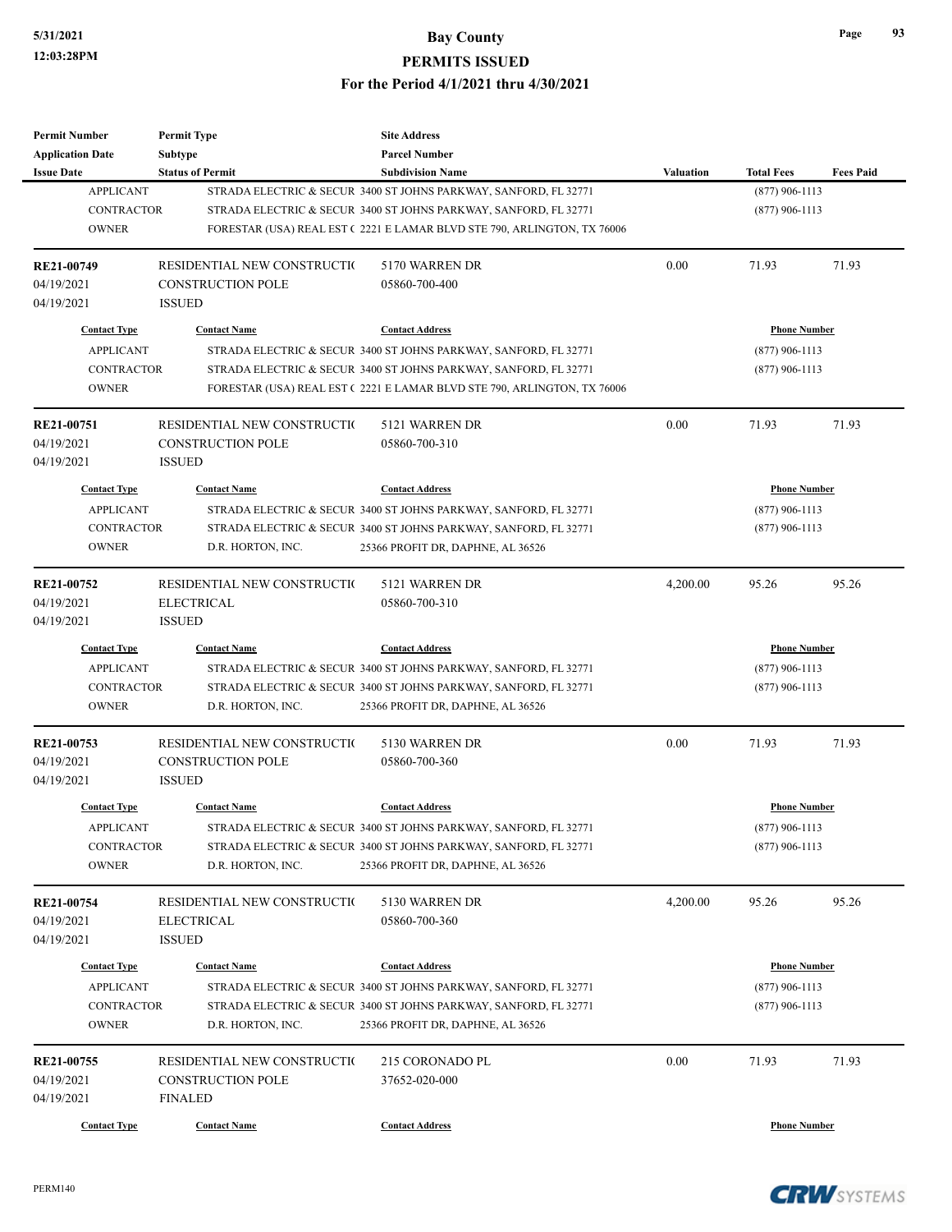| <b>Permit Number</b>    | <b>Permit Type</b>          | <b>Site Address</b>                                                     |                  |                     |                  |
|-------------------------|-----------------------------|-------------------------------------------------------------------------|------------------|---------------------|------------------|
| <b>Application Date</b> | Subtype                     | <b>Parcel Number</b>                                                    |                  |                     |                  |
| <b>Issue Date</b>       | <b>Status of Permit</b>     | <b>Subdivision Name</b>                                                 | <b>Valuation</b> | <b>Total Fees</b>   | <b>Fees Paid</b> |
| <b>APPLICANT</b>        |                             | STRADA ELECTRIC & SECUR 3400 ST JOHNS PARKWAY, SANFORD, FL 32771        |                  | $(877)$ 906-1113    |                  |
| <b>CONTRACTOR</b>       |                             | STRADA ELECTRIC & SECUR 3400 ST JOHNS PARKWAY, SANFORD, FL 32771        |                  | $(877)$ 906-1113    |                  |
| <b>OWNER</b>            |                             | FORESTAR (USA) REAL EST (2221 E LAMAR BLVD STE 790, ARLINGTON, TX 76006 |                  |                     |                  |
| RE21-00749              | RESIDENTIAL NEW CONSTRUCTIO | 5170 WARREN DR                                                          | 0.00             | 71.93               | 71.93            |
| 04/19/2021              | <b>CONSTRUCTION POLE</b>    | 05860-700-400                                                           |                  |                     |                  |
| 04/19/2021              | <b>ISSUED</b>               |                                                                         |                  |                     |                  |
| <b>Contact Type</b>     | <b>Contact Name</b>         | <b>Contact Address</b>                                                  |                  | <b>Phone Number</b> |                  |
| <b>APPLICANT</b>        |                             | STRADA ELECTRIC & SECUR 3400 ST JOHNS PARKWAY, SANFORD, FL 32771        |                  | $(877)$ 906-1113    |                  |
| <b>CONTRACTOR</b>       |                             | STRADA ELECTRIC & SECUR 3400 ST JOHNS PARKWAY, SANFORD, FL 32771        |                  | $(877)$ 906-1113    |                  |
| <b>OWNER</b>            |                             | FORESTAR (USA) REAL EST (2221 E LAMAR BLVD STE 790, ARLINGTON, TX 76006 |                  |                     |                  |
| RE21-00751              | RESIDENTIAL NEW CONSTRUCTIO | 5121 WARREN DR                                                          | 0.00             | 71.93               | 71.93            |
| 04/19/2021              | <b>CONSTRUCTION POLE</b>    | 05860-700-310                                                           |                  |                     |                  |
| 04/19/2021              | <b>ISSUED</b>               |                                                                         |                  |                     |                  |
| <b>Contact Type</b>     | <b>Contact Name</b>         | <b>Contact Address</b>                                                  |                  | <b>Phone Number</b> |                  |
| <b>APPLICANT</b>        |                             | STRADA ELECTRIC & SECUR 3400 ST JOHNS PARKWAY, SANFORD, FL 32771        |                  | $(877)$ 906-1113    |                  |
| <b>CONTRACTOR</b>       |                             | STRADA ELECTRIC & SECUR 3400 ST JOHNS PARKWAY, SANFORD, FL 32771        |                  | $(877)$ 906-1113    |                  |
| <b>OWNER</b>            | D.R. HORTON, INC.           | 25366 PROFIT DR, DAPHNE, AL 36526                                       |                  |                     |                  |
|                         |                             |                                                                         |                  |                     |                  |
| RE21-00752              | RESIDENTIAL NEW CONSTRUCTIO | 5121 WARREN DR                                                          | 4,200.00         | 95.26               | 95.26            |
| 04/19/2021              | <b>ELECTRICAL</b>           | 05860-700-310                                                           |                  |                     |                  |
| 04/19/2021              | <b>ISSUED</b>               |                                                                         |                  |                     |                  |
| <b>Contact Type</b>     | <b>Contact Name</b>         | <b>Contact Address</b>                                                  |                  | <b>Phone Number</b> |                  |
| <b>APPLICANT</b>        |                             | STRADA ELECTRIC & SECUR 3400 ST JOHNS PARKWAY, SANFORD, FL 32771        |                  | $(877)$ 906-1113    |                  |
| <b>CONTRACTOR</b>       |                             | STRADA ELECTRIC & SECUR 3400 ST JOHNS PARKWAY, SANFORD, FL 32771        |                  | $(877)$ 906-1113    |                  |
| <b>OWNER</b>            | D.R. HORTON, INC.           | 25366 PROFIT DR, DAPHNE, AL 36526                                       |                  |                     |                  |
| RE21-00753              | RESIDENTIAL NEW CONSTRUCTIO | 5130 WARREN DR                                                          | 0.00             | 71.93               | 71.93            |
| 04/19/2021              | <b>CONSTRUCTION POLE</b>    | 05860-700-360                                                           |                  |                     |                  |
| 04/19/2021              | <b>ISSUED</b>               |                                                                         |                  |                     |                  |
| <b>Contact Type</b>     | <b>Contact Name</b>         | <b>Contact Address</b>                                                  |                  | <b>Phone Number</b> |                  |
| <b>APPLICANT</b>        |                             | STRADA ELECTRIC & SECUR 3400 ST JOHNS PARKWAY, SANFORD, FL 32771        |                  | $(877)$ 906-1113    |                  |
| <b>CONTRACTOR</b>       |                             | STRADA ELECTRIC & SECUR 3400 ST JOHNS PARKWAY, SANFORD, FL 32771        |                  | $(877)$ 906-1113    |                  |
| <b>OWNER</b>            | D.R. HORTON, INC.           | 25366 PROFIT DR, DAPHNE, AL 36526                                       |                  |                     |                  |
|                         |                             |                                                                         |                  |                     |                  |
| RE21-00754              | RESIDENTIAL NEW CONSTRUCTIO | 5130 WARREN DR                                                          | 4,200.00         | 95.26               | 95.26            |
| 04/19/2021              | <b>ELECTRICAL</b>           | 05860-700-360                                                           |                  |                     |                  |
| 04/19/2021              | <b>ISSUED</b>               |                                                                         |                  |                     |                  |
| <b>Contact Type</b>     | <b>Contact Name</b>         | <b>Contact Address</b>                                                  |                  | <b>Phone Number</b> |                  |
| <b>APPLICANT</b>        |                             | STRADA ELECTRIC & SECUR 3400 ST JOHNS PARKWAY, SANFORD, FL 32771        |                  | $(877)$ 906-1113    |                  |
| <b>CONTRACTOR</b>       |                             | STRADA ELECTRIC & SECUR 3400 ST JOHNS PARKWAY, SANFORD, FL 32771        |                  | $(877)$ 906-1113    |                  |
| <b>OWNER</b>            | D.R. HORTON, INC.           | 25366 PROFIT DR, DAPHNE, AL 36526                                       |                  |                     |                  |
| RE21-00755              | RESIDENTIAL NEW CONSTRUCTIO | 215 CORONADO PL                                                         | 0.00             | 71.93               | 71.93            |
| 04/19/2021              | <b>CONSTRUCTION POLE</b>    | 37652-020-000                                                           |                  |                     |                  |
| 04/19/2021              | <b>FINALED</b>              |                                                                         |                  |                     |                  |
|                         |                             |                                                                         |                  |                     |                  |
| <b>Contact Type</b>     | <b>Contact Name</b>         | <b>Contact Address</b>                                                  |                  | <b>Phone Number</b> |                  |

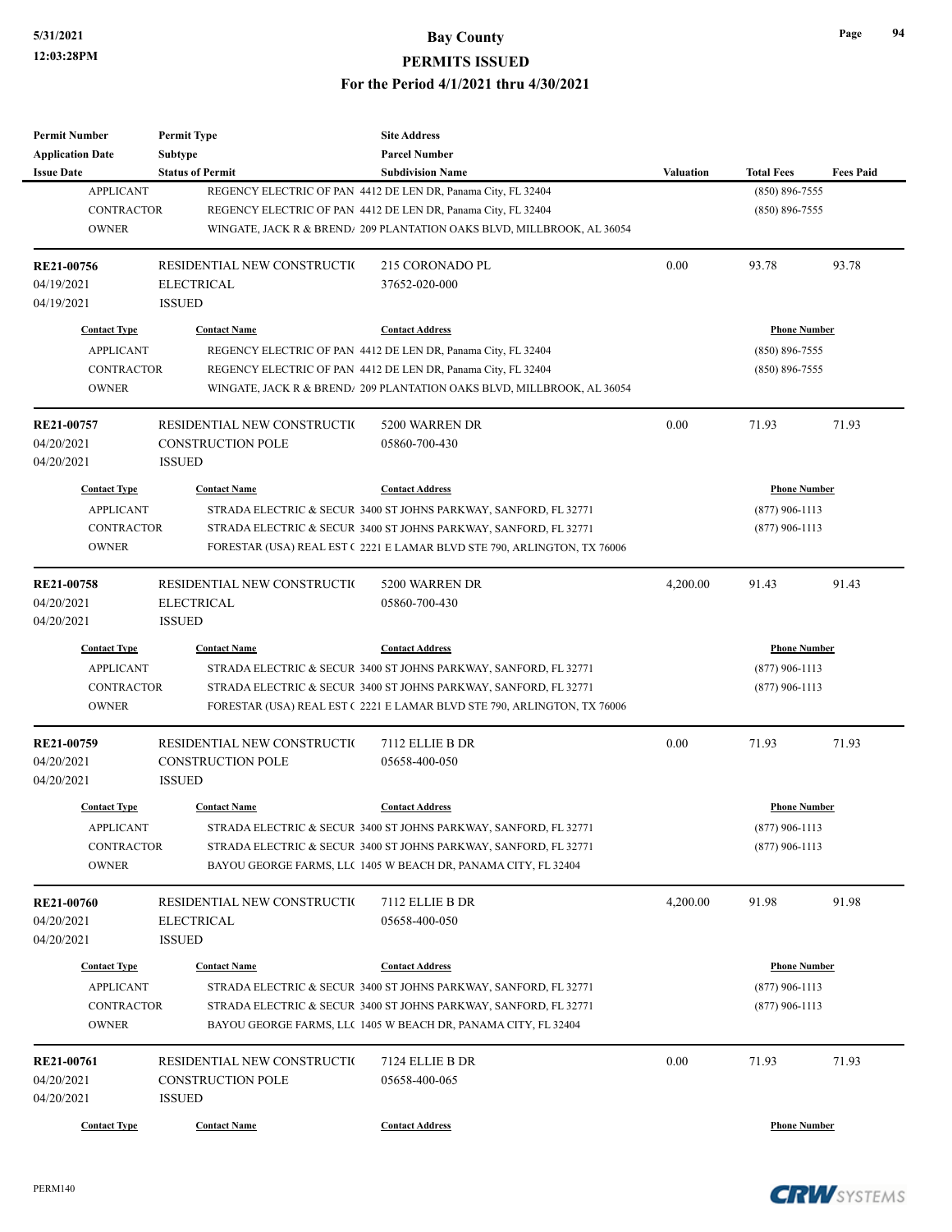| <b>Permit Number</b>    | <b>Permit Type</b>                                      | <b>Site Address</b>                                                     |                  |                     |                  |
|-------------------------|---------------------------------------------------------|-------------------------------------------------------------------------|------------------|---------------------|------------------|
| <b>Application Date</b> | Subtype                                                 | <b>Parcel Number</b>                                                    |                  |                     |                  |
| <b>Issue Date</b>       | <b>Status of Permit</b>                                 | <b>Subdivision Name</b>                                                 | <b>Valuation</b> | <b>Total Fees</b>   | <b>Fees Paid</b> |
| <b>APPLICANT</b>        |                                                         | REGENCY ELECTRIC OF PAN 4412 DE LEN DR, Panama City, FL 32404           |                  | $(850) 896 - 7555$  |                  |
| <b>CONTRACTOR</b>       |                                                         | REGENCY ELECTRIC OF PAN 4412 DE LEN DR, Panama City, FL 32404           |                  | $(850) 896 - 7555$  |                  |
| <b>OWNER</b>            |                                                         | WINGATE, JACK R & BREND/ 209 PLANTATION OAKS BLVD, MILLBROOK, AL 36054  |                  |                     |                  |
|                         |                                                         |                                                                         |                  |                     |                  |
| RE21-00756              | RESIDENTIAL NEW CONSTRUCTIO                             | 215 CORONADO PL                                                         | 0.00             | 93.78               | 93.78            |
| 04/19/2021              | <b>ELECTRICAL</b>                                       | 37652-020-000                                                           |                  |                     |                  |
| 04/19/2021              | <b>ISSUED</b>                                           |                                                                         |                  |                     |                  |
|                         |                                                         |                                                                         |                  |                     |                  |
| <b>Contact Type</b>     | <b>Contact Name</b>                                     | <b>Contact Address</b>                                                  |                  | <b>Phone Number</b> |                  |
| <b>APPLICANT</b>        |                                                         | REGENCY ELECTRIC OF PAN 4412 DE LEN DR, Panama City, FL 32404           |                  | $(850) 896 - 7555$  |                  |
| <b>CONTRACTOR</b>       |                                                         | REGENCY ELECTRIC OF PAN 4412 DE LEN DR, Panama City, FL 32404           |                  | $(850) 896 - 7555$  |                  |
| <b>OWNER</b>            |                                                         | WINGATE, JACK R & BREND/ 209 PLANTATION OAKS BLVD, MILLBROOK, AL 36054  |                  |                     |                  |
|                         |                                                         |                                                                         | 0.00             |                     |                  |
| RE21-00757              | RESIDENTIAL NEW CONSTRUCTIO<br><b>CONSTRUCTION POLE</b> | 5200 WARREN DR                                                          |                  | 71.93               | 71.93            |
| 04/20/2021              |                                                         | 05860-700-430                                                           |                  |                     |                  |
| 04/20/2021              | <b>ISSUED</b>                                           |                                                                         |                  |                     |                  |
| <b>Contact Type</b>     | <b>Contact Name</b>                                     | <b>Contact Address</b>                                                  |                  | <b>Phone Number</b> |                  |
| <b>APPLICANT</b>        |                                                         | STRADA ELECTRIC & SECUR 3400 ST JOHNS PARKWAY, SANFORD, FL 32771        |                  | $(877)$ 906-1113    |                  |
| <b>CONTRACTOR</b>       |                                                         | STRADA ELECTRIC & SECUR 3400 ST JOHNS PARKWAY, SANFORD, FL 32771        |                  | $(877)$ 906-1113    |                  |
| <b>OWNER</b>            |                                                         | FORESTAR (USA) REAL EST (2221 E LAMAR BLVD STE 790, ARLINGTON, TX 76006 |                  |                     |                  |
|                         |                                                         |                                                                         |                  |                     |                  |
| RE21-00758              | RESIDENTIAL NEW CONSTRUCTIO                             | 5200 WARREN DR                                                          | 4,200.00         | 91.43               | 91.43            |
| 04/20/2021              | <b>ELECTRICAL</b>                                       | 05860-700-430                                                           |                  |                     |                  |
| 04/20/2021              | <b>ISSUED</b>                                           |                                                                         |                  |                     |                  |
| <b>Contact Type</b>     | <b>Contact Name</b>                                     | <b>Contact Address</b>                                                  |                  | <b>Phone Number</b> |                  |
| <b>APPLICANT</b>        |                                                         | STRADA ELECTRIC & SECUR 3400 ST JOHNS PARKWAY, SANFORD, FL 32771        |                  | $(877)$ 906-1113    |                  |
| <b>CONTRACTOR</b>       |                                                         | STRADA ELECTRIC & SECUR 3400 ST JOHNS PARKWAY, SANFORD, FL 32771        |                  | $(877)$ 906-1113    |                  |
| <b>OWNER</b>            |                                                         | FORESTAR (USA) REAL EST (2221 E LAMAR BLVD STE 790, ARLINGTON, TX 76006 |                  |                     |                  |
|                         |                                                         |                                                                         |                  |                     |                  |
| RE21-00759              | RESIDENTIAL NEW CONSTRUCTIO                             | 7112 ELLIE B DR                                                         | 0.00             | 71.93               | 71.93            |
| 04/20/2021              | <b>CONSTRUCTION POLE</b>                                | 05658-400-050                                                           |                  |                     |                  |
| 04/20/2021              | <b>ISSUED</b>                                           |                                                                         |                  |                     |                  |
|                         |                                                         |                                                                         |                  |                     |                  |
| <b>Contact Type</b>     | <b>Contact Name</b>                                     | <b>Contact Address</b>                                                  |                  | <b>Phone Number</b> |                  |
| <b>APPLICANT</b>        |                                                         | STRADA ELECTRIC & SECUR 3400 ST JOHNS PARKWAY, SANFORD, FL 32771        |                  | $(877)$ 906-1113    |                  |
| CONTRACTOR              |                                                         | STRADA ELECTRIC & SECUR 3400 ST JOHNS PARKWAY, SANFORD, FL 32771        |                  | $(877)$ 906-1113    |                  |
| <b>OWNER</b>            |                                                         | BAYOU GEORGE FARMS, LLC 1405 W BEACH DR, PANAMA CITY, FL 32404          |                  |                     |                  |
|                         |                                                         |                                                                         |                  |                     |                  |
| RE21-00760              | RESIDENTIAL NEW CONSTRUCTIO                             | 7112 ELLIE B DR                                                         | 4,200.00         | 91.98               | 91.98            |
| 04/20/2021              | <b>ELECTRICAL</b>                                       | 05658-400-050                                                           |                  |                     |                  |
| 04/20/2021              | <b>ISSUED</b>                                           |                                                                         |                  |                     |                  |
| <b>Contact Type</b>     | <b>Contact Name</b>                                     | <b>Contact Address</b>                                                  |                  | <b>Phone Number</b> |                  |
| <b>APPLICANT</b>        |                                                         | STRADA ELECTRIC & SECUR 3400 ST JOHNS PARKWAY, SANFORD, FL 32771        |                  | $(877)$ 906-1113    |                  |
| CONTRACTOR              |                                                         | STRADA ELECTRIC & SECUR 3400 ST JOHNS PARKWAY, SANFORD, FL 32771        |                  | $(877)$ 906-1113    |                  |
| <b>OWNER</b>            |                                                         | BAYOU GEORGE FARMS, LLC 1405 W BEACH DR, PANAMA CITY, FL 32404          |                  |                     |                  |
|                         |                                                         |                                                                         |                  |                     |                  |
| RE21-00761              | RESIDENTIAL NEW CONSTRUCTIO                             | 7124 ELLIE B DR                                                         | 0.00             | 71.93               | 71.93            |
| 04/20/2021              | CONSTRUCTION POLE                                       | 05658-400-065                                                           |                  |                     |                  |
| 04/20/2021              | <b>ISSUED</b>                                           |                                                                         |                  |                     |                  |
| <b>Contact Type</b>     | <b>Contact Name</b>                                     | <b>Contact Address</b>                                                  |                  | <b>Phone Number</b> |                  |
|                         |                                                         |                                                                         |                  |                     |                  |

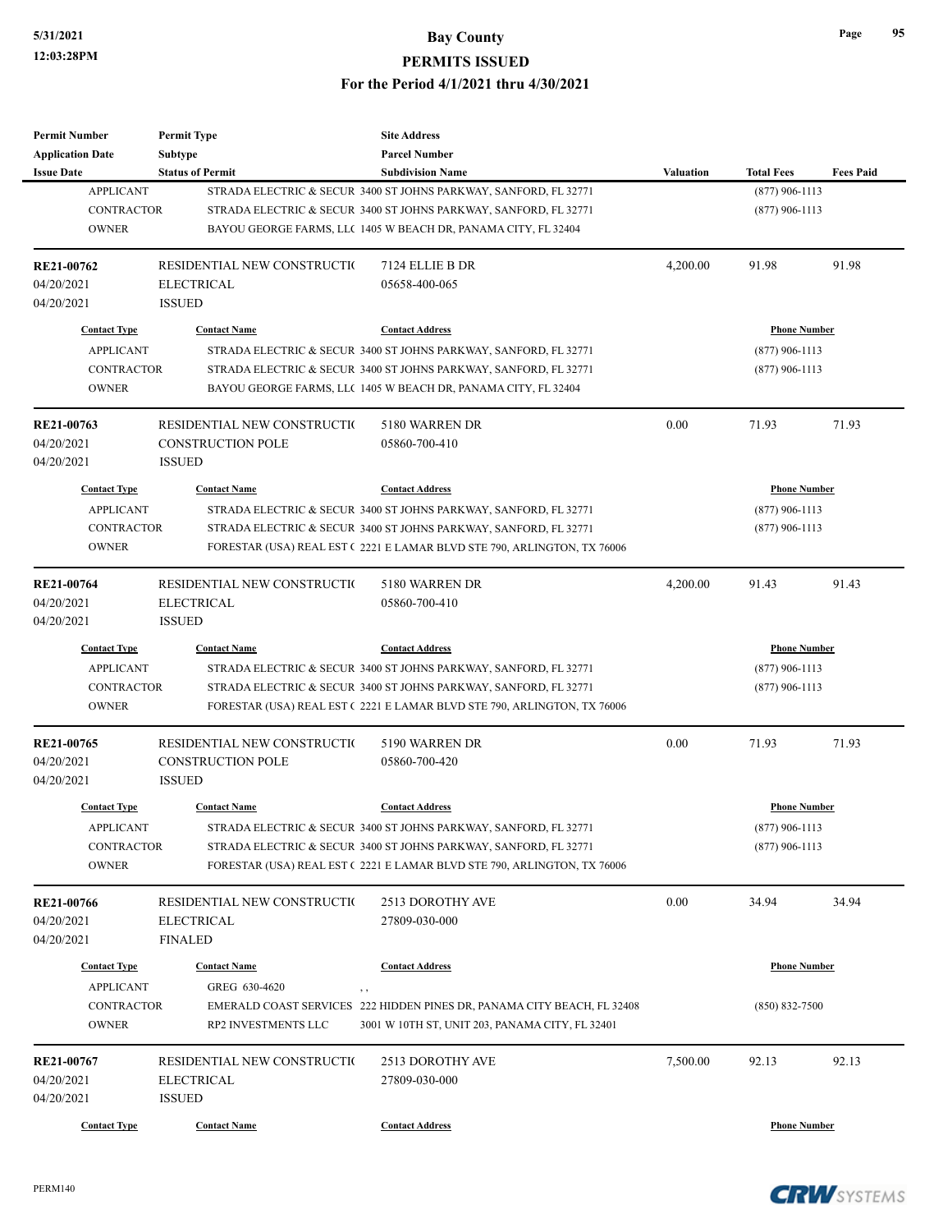| <b>Permit Number</b>                  | <b>Permit Type</b>          | <b>Site Address</b>                                                     |           |                     |                  |  |
|---------------------------------------|-----------------------------|-------------------------------------------------------------------------|-----------|---------------------|------------------|--|
| <b>Application Date</b>               | <b>Subtype</b>              | <b>Parcel Number</b>                                                    |           |                     |                  |  |
| <b>Issue Date</b><br><b>APPLICANT</b> | <b>Status of Permit</b>     | <b>Subdivision Name</b>                                                 | Valuation | <b>Total Fees</b>   | <b>Fees Paid</b> |  |
|                                       |                             | STRADA ELECTRIC & SECUR 3400 ST JOHNS PARKWAY, SANFORD, FL 32771        |           | $(877)$ 906-1113    |                  |  |
| <b>CONTRACTOR</b>                     |                             | STRADA ELECTRIC & SECUR 3400 ST JOHNS PARKWAY, SANFORD, FL 32771        |           | $(877)$ 906-1113    |                  |  |
| <b>OWNER</b>                          |                             | BAYOU GEORGE FARMS, LLC 1405 W BEACH DR, PANAMA CITY, FL 32404          |           |                     |                  |  |
| RE21-00762                            | RESIDENTIAL NEW CONSTRUCTIO | 7124 ELLIE B DR                                                         | 4,200.00  | 91.98               | 91.98            |  |
| 04/20/2021                            | <b>ELECTRICAL</b>           | 05658-400-065                                                           |           |                     |                  |  |
| 04/20/2021                            | <b>ISSUED</b>               |                                                                         |           |                     |                  |  |
| <b>Contact Type</b>                   | <b>Contact Name</b>         | <b>Contact Address</b>                                                  |           | <b>Phone Number</b> |                  |  |
| <b>APPLICANT</b>                      |                             | STRADA ELECTRIC & SECUR 3400 ST JOHNS PARKWAY, SANFORD, FL 32771        |           | $(877)$ 906-1113    |                  |  |
| <b>CONTRACTOR</b>                     |                             | STRADA ELECTRIC & SECUR 3400 ST JOHNS PARKWAY, SANFORD, FL 32771        |           | $(877)$ 906-1113    |                  |  |
| <b>OWNER</b>                          |                             | BAYOU GEORGE FARMS, LLC 1405 W BEACH DR, PANAMA CITY, FL 32404          |           |                     |                  |  |
|                                       |                             |                                                                         |           |                     |                  |  |
| RE21-00763                            | RESIDENTIAL NEW CONSTRUCTIO | 5180 WARREN DR                                                          | 0.00      | 71.93               | 71.93            |  |
| 04/20/2021                            | <b>CONSTRUCTION POLE</b>    | 05860-700-410                                                           |           |                     |                  |  |
| 04/20/2021                            | <b>ISSUED</b>               |                                                                         |           |                     |                  |  |
| <b>Contact Type</b>                   | <b>Contact Name</b>         | <b>Contact Address</b>                                                  |           | <b>Phone Number</b> |                  |  |
| <b>APPLICANT</b>                      |                             | STRADA ELECTRIC & SECUR 3400 ST JOHNS PARKWAY, SANFORD, FL 32771        |           | $(877)$ 906-1113    |                  |  |
| <b>CONTRACTOR</b>                     |                             | STRADA ELECTRIC & SECUR 3400 ST JOHNS PARKWAY, SANFORD, FL 32771        |           | $(877)$ 906-1113    |                  |  |
| <b>OWNER</b>                          |                             | FORESTAR (USA) REAL EST (2221 E LAMAR BLVD STE 790, ARLINGTON, TX 76006 |           |                     |                  |  |
| RE21-00764                            | RESIDENTIAL NEW CONSTRUCTIO | 5180 WARREN DR                                                          | 4,200.00  | 91.43               | 91.43            |  |
| 04/20/2021                            | <b>ELECTRICAL</b>           | 05860-700-410                                                           |           |                     |                  |  |
| 04/20/2021                            | <b>ISSUED</b>               |                                                                         |           |                     |                  |  |
|                                       |                             |                                                                         |           |                     |                  |  |
| <b>Contact Type</b>                   | <b>Contact Name</b>         | <b>Contact Address</b>                                                  |           | <b>Phone Number</b> |                  |  |
| <b>APPLICANT</b>                      |                             | STRADA ELECTRIC & SECUR 3400 ST JOHNS PARKWAY, SANFORD, FL 32771        |           | $(877)$ 906-1113    |                  |  |
| <b>CONTRACTOR</b>                     |                             | STRADA ELECTRIC & SECUR 3400 ST JOHNS PARKWAY, SANFORD, FL 32771        |           | $(877)$ 906-1113    |                  |  |
| <b>OWNER</b>                          |                             | FORESTAR (USA) REAL EST (2221 E LAMAR BLVD STE 790, ARLINGTON, TX 76006 |           |                     |                  |  |
| RE21-00765                            | RESIDENTIAL NEW CONSTRUCTIO | 5190 WARREN DR                                                          | 0.00      | 71.93               | 71.93            |  |
| 04/20/2021                            | <b>CONSTRUCTION POLE</b>    | 05860-700-420                                                           |           |                     |                  |  |
| 04/20/2021                            | <b>ISSUED</b>               |                                                                         |           |                     |                  |  |
| <b>Contact Type</b>                   | <b>Contact Name</b>         | <b>Contact Address</b>                                                  |           | <b>Phone Number</b> |                  |  |
|                                       |                             |                                                                         |           |                     |                  |  |
| APPLICANT                             |                             | STRADA ELECTRIC & SECUR 3400 ST JOHNS PARKWAY, SANFORD, FL 32771        |           | $(877)$ 906-1113    |                  |  |
| CONTRACTOR                            |                             | STRADA ELECTRIC & SECUR 3400 ST JOHNS PARKWAY, SANFORD, FL 32771        |           | $(877)$ 906-1113    |                  |  |
| <b>OWNER</b>                          |                             | FORESTAR (USA) REAL EST (2221 E LAMAR BLVD STE 790, ARLINGTON, TX 76006 |           |                     |                  |  |
| <b>RE21-00766</b>                     | RESIDENTIAL NEW CONSTRUCTIO | 2513 DOROTHY AVE                                                        | 0.00      | 34.94               | 34.94            |  |
| 04/20/2021                            | ELECTRICAL                  | 27809-030-000                                                           |           |                     |                  |  |
| 04/20/2021                            | <b>FINALED</b>              |                                                                         |           |                     |                  |  |
| <b>Contact Type</b>                   | <b>Contact Name</b>         | <b>Contact Address</b>                                                  |           | <b>Phone Number</b> |                  |  |
| <b>APPLICANT</b>                      | GREG 630-4620               |                                                                         |           |                     |                  |  |
|                                       |                             | $, \, ,$                                                                |           |                     |                  |  |
| <b>CONTRACTOR</b>                     |                             | EMERALD COAST SERVICES 222 HIDDEN PINES DR, PANAMA CITY BEACH, FL 32408 |           | $(850) 832 - 7500$  |                  |  |
| <b>OWNER</b>                          | RP2 INVESTMENTS LLC         | 3001 W 10TH ST, UNIT 203, PANAMA CITY, FL 32401                         |           |                     |                  |  |
| RE21-00767                            | RESIDENTIAL NEW CONSTRUCTIO | 2513 DOROTHY AVE                                                        | 7,500.00  | 92.13               | 92.13            |  |
| 04/20/2021                            | <b>ELECTRICAL</b>           | 27809-030-000                                                           |           |                     |                  |  |
| 04/20/2021                            | <b>ISSUED</b>               |                                                                         |           |                     |                  |  |
|                                       |                             |                                                                         |           |                     |                  |  |
| <b>Contact Type</b>                   | <b>Contact Name</b>         | <b>Contact Address</b>                                                  |           | <b>Phone Number</b> |                  |  |

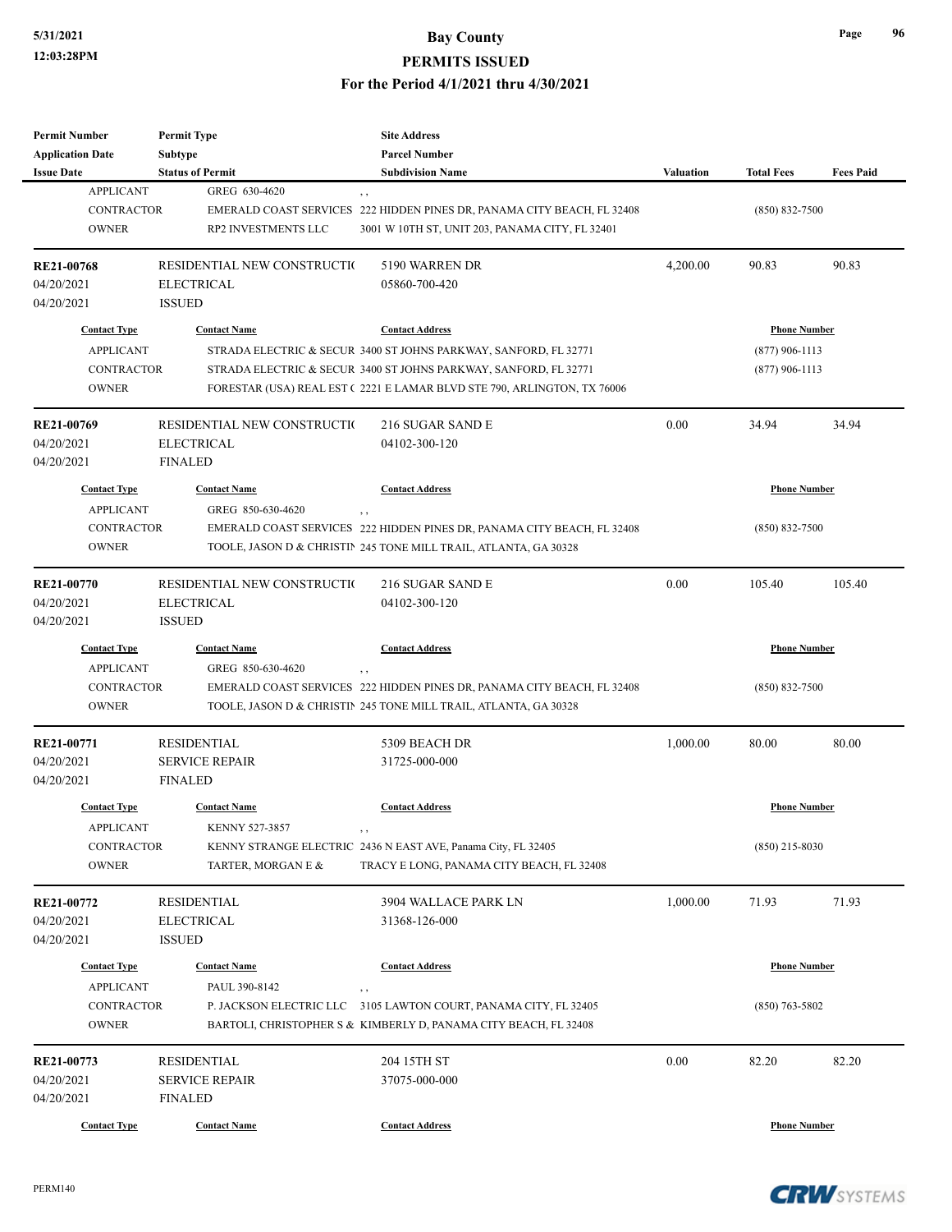| <b>Permit Number</b><br><b>Application Date</b> | <b>Permit Type</b><br>Subtype | <b>Site Address</b><br><b>Parcel Number</b>                             |                  |                     |                  |
|-------------------------------------------------|-------------------------------|-------------------------------------------------------------------------|------------------|---------------------|------------------|
| <b>Issue Date</b>                               | <b>Status of Permit</b>       | <b>Subdivision Name</b>                                                 | <b>Valuation</b> | <b>Total Fees</b>   | <b>Fees Paid</b> |
| <b>APPLICANT</b>                                | GREG 630-4620                 | , ,                                                                     |                  |                     |                  |
| <b>CONTRACTOR</b>                               |                               | EMERALD COAST SERVICES 222 HIDDEN PINES DR, PANAMA CITY BEACH, FL 32408 |                  | $(850) 832 - 7500$  |                  |
| <b>OWNER</b>                                    | RP2 INVESTMENTS LLC           | 3001 W 10TH ST, UNIT 203, PANAMA CITY, FL 32401                         |                  |                     |                  |
|                                                 |                               |                                                                         |                  |                     |                  |
| <b>RE21-00768</b>                               | RESIDENTIAL NEW CONSTRUCTIO   | 5190 WARREN DR                                                          | 4,200.00         | 90.83               | 90.83            |
| 04/20/2021                                      | <b>ELECTRICAL</b>             | 05860-700-420                                                           |                  |                     |                  |
| 04/20/2021                                      | <b>ISSUED</b>                 |                                                                         |                  |                     |                  |
| <b>Contact Type</b>                             | <b>Contact Name</b>           | <b>Contact Address</b>                                                  |                  | <b>Phone Number</b> |                  |
| <b>APPLICANT</b>                                |                               | STRADA ELECTRIC & SECUR 3400 ST JOHNS PARKWAY, SANFORD, FL 32771        |                  | $(877)$ 906-1113    |                  |
| <b>CONTRACTOR</b>                               |                               | STRADA ELECTRIC & SECUR 3400 ST JOHNS PARKWAY, SANFORD, FL 32771        |                  | $(877)$ 906-1113    |                  |
| <b>OWNER</b>                                    |                               | FORESTAR (USA) REAL EST (2221 E LAMAR BLVD STE 790, ARLINGTON, TX 76006 |                  |                     |                  |
| RE21-00769                                      | RESIDENTIAL NEW CONSTRUCTIO   | 216 SUGAR SAND E                                                        | 0.00             | 34.94               | 34.94            |
| 04/20/2021                                      | <b>ELECTRICAL</b>             | 04102-300-120                                                           |                  |                     |                  |
| 04/20/2021                                      | <b>FINALED</b>                |                                                                         |                  |                     |                  |
| <b>Contact Type</b>                             | <b>Contact Name</b>           | <b>Contact Address</b>                                                  |                  | <b>Phone Number</b> |                  |
| <b>APPLICANT</b>                                | GREG 850-630-4620             | $, \, ,$                                                                |                  |                     |                  |
| <b>CONTRACTOR</b>                               |                               | EMERALD COAST SERVICES 222 HIDDEN PINES DR, PANAMA CITY BEACH, FL 32408 |                  | $(850) 832 - 7500$  |                  |
| <b>OWNER</b>                                    |                               | TOOLE, JASON D & CHRISTIN 245 TONE MILL TRAIL, ATLANTA, GA 30328        |                  |                     |                  |
|                                                 |                               |                                                                         |                  |                     |                  |
| <b>RE21-00770</b>                               | RESIDENTIAL NEW CONSTRUCTIO   | 216 SUGAR SAND E                                                        | 0.00             | 105.40              | 105.40           |
| 04/20/2021                                      | <b>ELECTRICAL</b>             | 04102-300-120                                                           |                  |                     |                  |
| 04/20/2021                                      | <b>ISSUED</b>                 |                                                                         |                  |                     |                  |
| <b>Contact Type</b>                             | <b>Contact Name</b>           | <b>Contact Address</b>                                                  |                  | <b>Phone Number</b> |                  |
| <b>APPLICANT</b>                                | GREG 850-630-4620             | , ,                                                                     |                  |                     |                  |
| <b>CONTRACTOR</b>                               |                               | EMERALD COAST SERVICES 222 HIDDEN PINES DR, PANAMA CITY BEACH, FL 32408 |                  | $(850) 832 - 7500$  |                  |
| <b>OWNER</b>                                    |                               | TOOLE, JASON D & CHRISTIN 245 TONE MILL TRAIL, ATLANTA, GA 30328        |                  |                     |                  |
| RE21-00771                                      | <b>RESIDENTIAL</b>            | 5309 BEACH DR                                                           | 1,000.00         | 80.00               | 80.00            |
| 04/20/2021                                      | <b>SERVICE REPAIR</b>         | 31725-000-000                                                           |                  |                     |                  |
| 04/20/2021                                      | <b>FINALED</b>                |                                                                         |                  |                     |                  |
| <b>Contact Type</b>                             | <b>Contact Name</b>           | <b>Contact Address</b>                                                  |                  | <b>Phone Number</b> |                  |
| APPLICANT                                       | KENNY 527-3857                |                                                                         |                  |                     |                  |
| CONTRACTOR                                      |                               | KENNY STRANGE ELECTRIC 2436 N EAST AVE, Panama City, FL 32405           |                  | $(850)$ 215-8030    |                  |
| <b>OWNER</b>                                    | TARTER, MORGAN E &            | TRACY E LONG, PANAMA CITY BEACH, FL 32408                               |                  |                     |                  |
| RE21-00772                                      | <b>RESIDENTIAL</b>            | 3904 WALLACE PARK LN                                                    | 1,000.00         | 71.93               | 71.93            |
| 04/20/2021                                      | <b>ELECTRICAL</b>             | 31368-126-000                                                           |                  |                     |                  |
| 04/20/2021                                      | <b>ISSUED</b>                 |                                                                         |                  |                     |                  |
| <b>Contact Type</b>                             | <b>Contact Name</b>           | <b>Contact Address</b>                                                  |                  | <b>Phone Number</b> |                  |
| <b>APPLICANT</b>                                | PAUL 390-8142                 | , ,                                                                     |                  |                     |                  |
| CONTRACTOR                                      | P. JACKSON ELECTRIC LLC       | 3105 LAWTON COURT, PANAMA CITY, FL 32405                                |                  | $(850)$ 763-5802    |                  |
| <b>OWNER</b>                                    |                               | BARTOLI, CHRISTOPHER S & KIMBERLY D, PANAMA CITY BEACH, FL 32408        |                  |                     |                  |
| RE21-00773                                      | <b>RESIDENTIAL</b>            | 204 15TH ST                                                             | 0.00             | 82.20               | 82.20            |
| 04/20/2021                                      | <b>SERVICE REPAIR</b>         | 37075-000-000                                                           |                  |                     |                  |
| 04/20/2021                                      | <b>FINALED</b>                |                                                                         |                  |                     |                  |
| <b>Contact Type</b>                             | <b>Contact Name</b>           | <b>Contact Address</b>                                                  |                  | <b>Phone Number</b> |                  |
|                                                 |                               |                                                                         |                  |                     |                  |

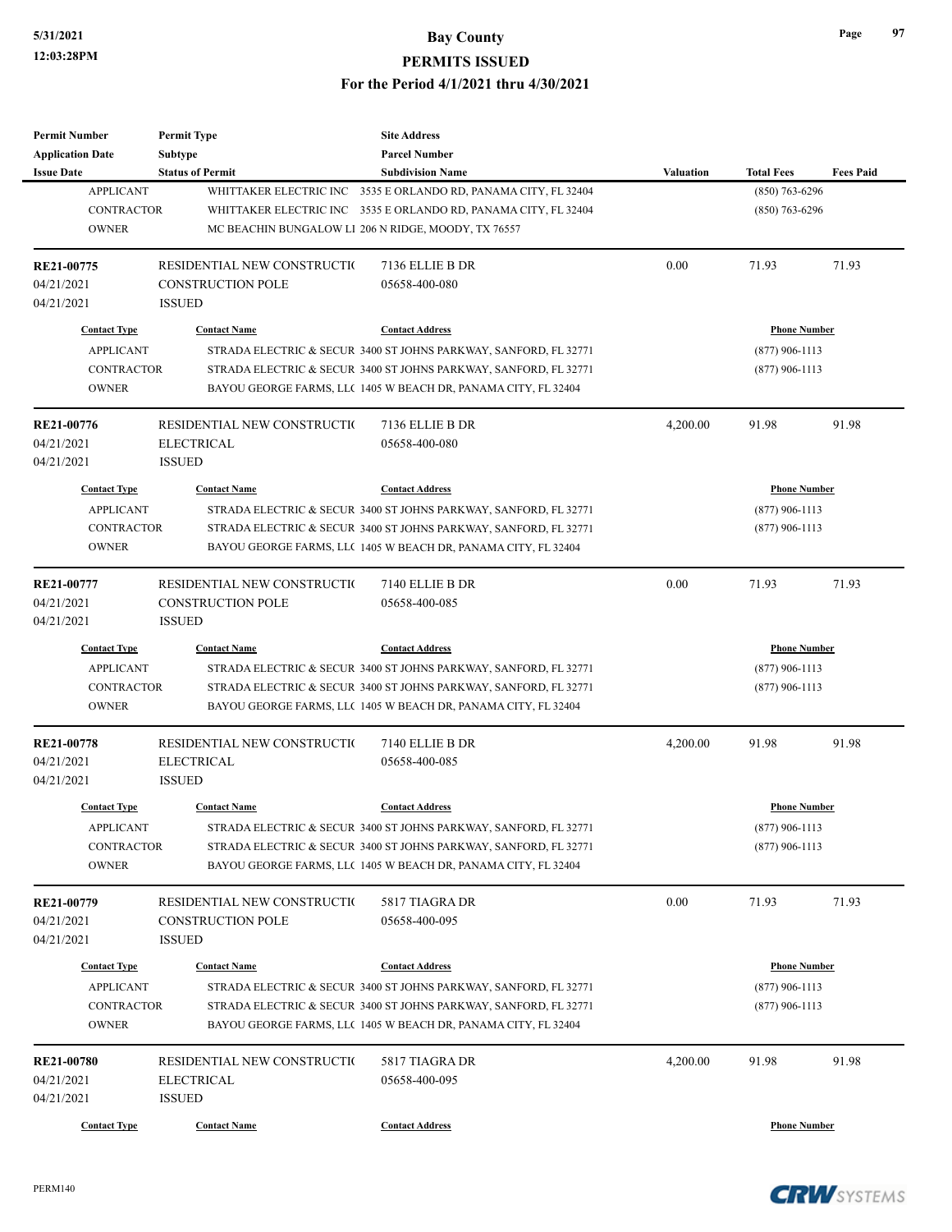| <b>Permit Number</b>    | <b>Permit Type</b>          | <b>Site Address</b>                                              |                  |                     |                  |
|-------------------------|-----------------------------|------------------------------------------------------------------|------------------|---------------------|------------------|
| <b>Application Date</b> | Subtype                     | <b>Parcel Number</b>                                             |                  |                     |                  |
| <b>Issue Date</b>       | <b>Status of Permit</b>     | <b>Subdivision Name</b>                                          | <b>Valuation</b> | <b>Total Fees</b>   | <b>Fees Paid</b> |
| <b>APPLICANT</b>        |                             | WHITTAKER ELECTRIC INC 3535 E ORLANDO RD, PANAMA CITY, FL 32404  |                  | $(850)$ 763-6296    |                  |
| <b>CONTRACTOR</b>       |                             | WHITTAKER ELECTRIC INC 3535 E ORLANDO RD, PANAMA CITY, FL 32404  |                  | $(850)$ 763-6296    |                  |
| <b>OWNER</b>            |                             | MC BEACHIN BUNGALOW LI 206 N RIDGE, MOODY, TX 76557              |                  |                     |                  |
| RE21-00775              | RESIDENTIAL NEW CONSTRUCTIO | 7136 ELLIE B DR                                                  | 0.00             | 71.93               | 71.93            |
| 04/21/2021              | <b>CONSTRUCTION POLE</b>    | 05658-400-080                                                    |                  |                     |                  |
| 04/21/2021              | <b>ISSUED</b>               |                                                                  |                  |                     |                  |
| <b>Contact Type</b>     | <b>Contact Name</b>         | <b>Contact Address</b>                                           |                  | <b>Phone Number</b> |                  |
| <b>APPLICANT</b>        |                             | STRADA ELECTRIC & SECUR 3400 ST JOHNS PARKWAY, SANFORD, FL 32771 |                  | $(877)$ 906-1113    |                  |
| <b>CONTRACTOR</b>       |                             | STRADA ELECTRIC & SECUR 3400 ST JOHNS PARKWAY, SANFORD, FL 32771 |                  | $(877)$ 906-1113    |                  |
| <b>OWNER</b>            |                             | BAYOU GEORGE FARMS, LLC 1405 W BEACH DR, PANAMA CITY, FL 32404   |                  |                     |                  |
| RE21-00776              | RESIDENTIAL NEW CONSTRUCTIO | 7136 ELLIE B DR                                                  | 4,200.00         | 91.98               | 91.98            |
| 04/21/2021              | <b>ELECTRICAL</b>           | 05658-400-080                                                    |                  |                     |                  |
| 04/21/2021              | <b>ISSUED</b>               |                                                                  |                  |                     |                  |
| <b>Contact Type</b>     | <b>Contact Name</b>         | <b>Contact Address</b>                                           |                  | <b>Phone Number</b> |                  |
| <b>APPLICANT</b>        |                             | STRADA ELECTRIC & SECUR 3400 ST JOHNS PARKWAY, SANFORD, FL 32771 |                  | $(877)$ 906-1113    |                  |
| <b>CONTRACTOR</b>       |                             | STRADA ELECTRIC & SECUR 3400 ST JOHNS PARKWAY, SANFORD, FL 32771 |                  | $(877)$ 906-1113    |                  |
| <b>OWNER</b>            |                             | BAYOU GEORGE FARMS, LLC 1405 W BEACH DR, PANAMA CITY, FL 32404   |                  |                     |                  |
|                         |                             |                                                                  |                  |                     |                  |
| RE21-00777              | RESIDENTIAL NEW CONSTRUCTIO | 7140 ELLIE B DR                                                  | 0.00             | 71.93               | 71.93            |
| 04/21/2021              | <b>CONSTRUCTION POLE</b>    | 05658-400-085                                                    |                  |                     |                  |
| 04/21/2021              | <b>ISSUED</b>               |                                                                  |                  |                     |                  |
| <b>Contact Type</b>     | <b>Contact Name</b>         | <b>Contact Address</b>                                           |                  | <b>Phone Number</b> |                  |
| <b>APPLICANT</b>        |                             | STRADA ELECTRIC & SECUR 3400 ST JOHNS PARKWAY, SANFORD, FL 32771 |                  | $(877)$ 906-1113    |                  |
| <b>CONTRACTOR</b>       |                             | STRADA ELECTRIC & SECUR 3400 ST JOHNS PARKWAY, SANFORD, FL 32771 |                  | $(877)$ 906-1113    |                  |
| <b>OWNER</b>            |                             | BAYOU GEORGE FARMS, LLC 1405 W BEACH DR, PANAMA CITY, FL 32404   |                  |                     |                  |
| RE21-00778              | RESIDENTIAL NEW CONSTRUCTIO | 7140 ELLIE B DR                                                  | 4,200.00         | 91.98               | 91.98            |
| 04/21/2021              | <b>ELECTRICAL</b>           | 05658-400-085                                                    |                  |                     |                  |
| 04/21/2021              | <b>ISSUED</b>               |                                                                  |                  |                     |                  |
| <b>Contact Type</b>     | <b>Contact Name</b>         | <b>Contact Address</b>                                           |                  | <b>Phone Number</b> |                  |
| <b>APPLICANT</b>        |                             | STRADA ELECTRIC & SECUR 3400 ST JOHNS PARKWAY, SANFORD, FL 32771 | $(877)$ 906-1113 |                     |                  |
| <b>CONTRACTOR</b>       |                             | STRADA ELECTRIC & SECUR 3400 ST JOHNS PARKWAY, SANFORD, FL 32771 |                  | $(877)$ 906-1113    |                  |
| <b>OWNER</b>            |                             | BAYOU GEORGE FARMS, LLC 1405 W BEACH DR, PANAMA CITY, FL 32404   |                  |                     |                  |
| RE21-00779              | RESIDENTIAL NEW CONSTRUCTIO | 5817 TIAGRA DR                                                   | 0.00             | 71.93               | 71.93            |
| 04/21/2021              | <b>CONSTRUCTION POLE</b>    | 05658-400-095                                                    |                  |                     |                  |
| 04/21/2021              | <b>ISSUED</b>               |                                                                  |                  |                     |                  |
|                         |                             |                                                                  |                  |                     |                  |
| <b>Contact Type</b>     | <b>Contact Name</b>         | <b>Contact Address</b>                                           |                  | <b>Phone Number</b> |                  |
| <b>APPLICANT</b>        |                             | STRADA ELECTRIC & SECUR 3400 ST JOHNS PARKWAY, SANFORD, FL 32771 |                  | $(877)$ 906-1113    |                  |
| <b>CONTRACTOR</b>       |                             | STRADA ELECTRIC & SECUR 3400 ST JOHNS PARKWAY, SANFORD, FL 32771 |                  | $(877)$ 906-1113    |                  |
| <b>OWNER</b>            |                             | BAYOU GEORGE FARMS, LLC 1405 W BEACH DR, PANAMA CITY, FL 32404   |                  |                     |                  |
| RE21-00780              | RESIDENTIAL NEW CONSTRUCTIO | 5817 TIAGRA DR                                                   | 4,200.00         | 91.98               | 91.98            |
| 04/21/2021              | <b>ELECTRICAL</b>           | 05658-400-095                                                    |                  |                     |                  |
| 04/21/2021              | <b>ISSUED</b>               |                                                                  |                  |                     |                  |
|                         |                             |                                                                  |                  |                     |                  |
| <b>Contact Type</b>     | <b>Contact Name</b>         | <b>Contact Address</b>                                           |                  | <b>Phone Number</b> |                  |

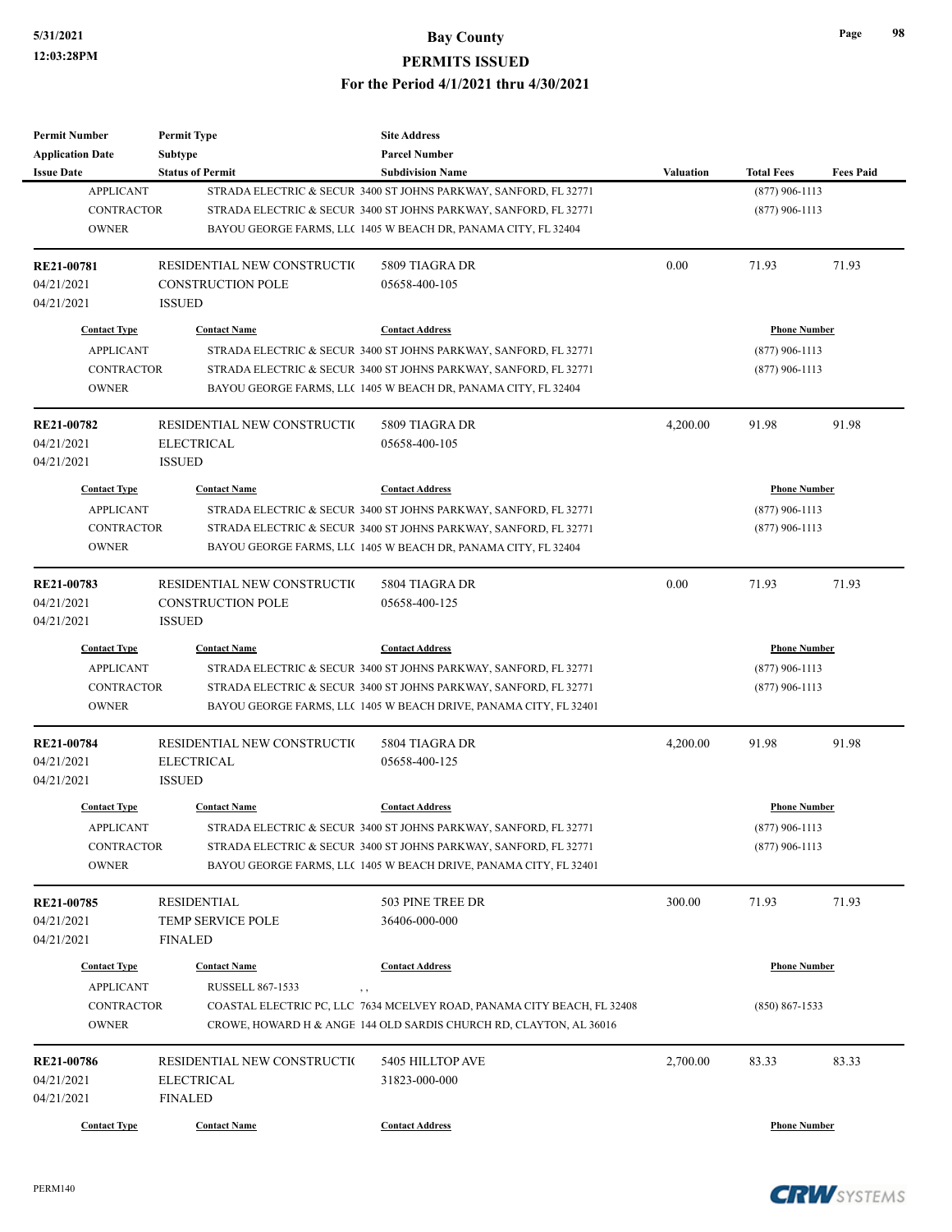| Permit Number                                | <b>Permit Type</b>                 | <b>Site Address</b>                                                     |                  |                     |                  |
|----------------------------------------------|------------------------------------|-------------------------------------------------------------------------|------------------|---------------------|------------------|
| <b>Application Date</b><br><b>Issue Date</b> | Subtype<br><b>Status of Permit</b> | <b>Parcel Number</b><br><b>Subdivision Name</b>                         | Valuation        | <b>Total Fees</b>   | <b>Fees Paid</b> |
| <b>APPLICANT</b>                             |                                    | STRADA ELECTRIC & SECUR 3400 ST JOHNS PARKWAY, SANFORD, FL 32771        |                  | $(877)$ 906-1113    |                  |
| <b>CONTRACTOR</b>                            |                                    | STRADA ELECTRIC & SECUR 3400 ST JOHNS PARKWAY, SANFORD, FL 32771        |                  | $(877)$ 906-1113    |                  |
| <b>OWNER</b>                                 |                                    | BAYOU GEORGE FARMS, LLC 1405 W BEACH DR, PANAMA CITY, FL 32404          |                  |                     |                  |
|                                              |                                    |                                                                         |                  |                     |                  |
| RE21-00781                                   | RESIDENTIAL NEW CONSTRUCTION       | 5809 TIAGRA DR                                                          | 0.00             | 71.93               | 71.93            |
| 04/21/2021                                   | <b>CONSTRUCTION POLE</b>           | 05658-400-105                                                           |                  |                     |                  |
| 04/21/2021                                   | <b>ISSUED</b>                      |                                                                         |                  |                     |                  |
| <b>Contact Type</b>                          | <b>Contact Name</b>                | <b>Contact Address</b>                                                  |                  | <b>Phone Number</b> |                  |
| <b>APPLICANT</b>                             |                                    | STRADA ELECTRIC & SECUR 3400 ST JOHNS PARKWAY, SANFORD, FL 32771        |                  | $(877)$ 906-1113    |                  |
| <b>CONTRACTOR</b>                            |                                    | STRADA ELECTRIC & SECUR 3400 ST JOHNS PARKWAY, SANFORD, FL 32771        |                  | $(877)$ 906-1113    |                  |
| <b>OWNER</b>                                 |                                    | BAYOU GEORGE FARMS, LLC 1405 W BEACH DR, PANAMA CITY, FL 32404          |                  |                     |                  |
| RE21-00782                                   | RESIDENTIAL NEW CONSTRUCTION       | 5809 TIAGRA DR                                                          | 4,200.00         | 91.98               | 91.98            |
| 04/21/2021                                   | <b>ELECTRICAL</b>                  | 05658-400-105                                                           |                  |                     |                  |
| 04/21/2021                                   | <b>ISSUED</b>                      |                                                                         |                  |                     |                  |
| <b>Contact Type</b>                          | <b>Contact Name</b>                | <b>Contact Address</b>                                                  |                  | <b>Phone Number</b> |                  |
| <b>APPLICANT</b>                             |                                    | STRADA ELECTRIC & SECUR 3400 ST JOHNS PARKWAY, SANFORD, FL 32771        |                  | $(877)$ 906-1113    |                  |
| <b>CONTRACTOR</b>                            |                                    | STRADA ELECTRIC & SECUR 3400 ST JOHNS PARKWAY, SANFORD, FL 32771        |                  | $(877)$ 906-1113    |                  |
| <b>OWNER</b>                                 |                                    | BAYOU GEORGE FARMS, LLC 1405 W BEACH DR, PANAMA CITY, FL 32404          |                  |                     |                  |
|                                              |                                    |                                                                         |                  |                     |                  |
| RE21-00783                                   | RESIDENTIAL NEW CONSTRUCTIO        | 5804 TIAGRA DR                                                          | 0.00             | 71.93               | 71.93            |
| 04/21/2021                                   | <b>CONSTRUCTION POLE</b>           | 05658-400-125                                                           |                  |                     |                  |
| 04/21/2021                                   | <b>ISSUED</b>                      |                                                                         |                  |                     |                  |
| <b>Contact Type</b>                          | <b>Contact Name</b>                | <b>Contact Address</b>                                                  |                  | <b>Phone Number</b> |                  |
| <b>APPLICANT</b>                             |                                    | STRADA ELECTRIC & SECUR 3400 ST JOHNS PARKWAY, SANFORD, FL 32771        |                  | $(877)$ 906-1113    |                  |
| <b>CONTRACTOR</b>                            |                                    | STRADA ELECTRIC & SECUR 3400 ST JOHNS PARKWAY, SANFORD, FL 32771        |                  | $(877)$ 906-1113    |                  |
| <b>OWNER</b>                                 |                                    | BAYOU GEORGE FARMS, LLC 1405 W BEACH DRIVE, PANAMA CITY, FL 32401       |                  |                     |                  |
| <b>RE21-00784</b>                            | RESIDENTIAL NEW CONSTRUCTION       | 5804 TIAGRA DR                                                          | 4,200.00         | 91.98               | 91.98            |
| 04/21/2021                                   | <b>ELECTRICAL</b>                  | 05658-400-125                                                           |                  |                     |                  |
| 04/21/2021                                   | <b>ISSUED</b>                      |                                                                         |                  |                     |                  |
| <b>Contact Type</b>                          | <b>Contact Name</b>                | <b>Contact Address</b>                                                  |                  | <b>Phone Number</b> |                  |
| APPLICANT                                    |                                    | STRADA ELECTRIC & SECUR 3400 ST JOHNS PARKWAY, SANFORD, FL 32771        | $(877)$ 906-1113 |                     |                  |
| CONTRACTOR                                   |                                    | STRADA ELECTRIC & SECUR 3400 ST JOHNS PARKWAY, SANFORD, FL 32771        |                  | $(877)$ 906-1113    |                  |
| <b>OWNER</b>                                 |                                    | BAYOU GEORGE FARMS, LLC 1405 W BEACH DRIVE, PANAMA CITY, FL 32401       |                  |                     |                  |
| RE21-00785                                   | <b>RESIDENTIAL</b>                 | 503 PINE TREE DR                                                        | 300.00           | 71.93               | 71.93            |
| 04/21/2021                                   | TEMP SERVICE POLE                  | 36406-000-000                                                           |                  |                     |                  |
| 04/21/2021                                   | <b>FINALED</b>                     |                                                                         |                  |                     |                  |
| <b>Contact Type</b>                          | <b>Contact Name</b>                | <b>Contact Address</b>                                                  |                  | <b>Phone Number</b> |                  |
| <b>APPLICANT</b>                             | <b>RUSSELL 867-1533</b>            |                                                                         |                  |                     |                  |
| <b>CONTRACTOR</b>                            | , ,                                | COASTAL ELECTRIC PC, LLC 7634 MCELVEY ROAD, PANAMA CITY BEACH, FL 32408 |                  | $(850) 867 - 1533$  |                  |
| <b>OWNER</b>                                 |                                    | CROWE, HOWARD H & ANGE 144 OLD SARDIS CHURCH RD, CLAYTON, AL 36016      |                  |                     |                  |
|                                              |                                    |                                                                         |                  |                     |                  |
| RE21-00786                                   | RESIDENTIAL NEW CONSTRUCTIO        | 5405 HILLTOP AVE                                                        | 2,700.00         | 83.33               | 83.33            |
| 04/21/2021                                   | <b>ELECTRICAL</b>                  | 31823-000-000                                                           |                  |                     |                  |
| 04/21/2021                                   | <b>FINALED</b>                     |                                                                         |                  |                     |                  |
| <b>Contact Type</b>                          | <b>Contact Name</b>                | <b>Contact Address</b>                                                  |                  | <b>Phone Number</b> |                  |

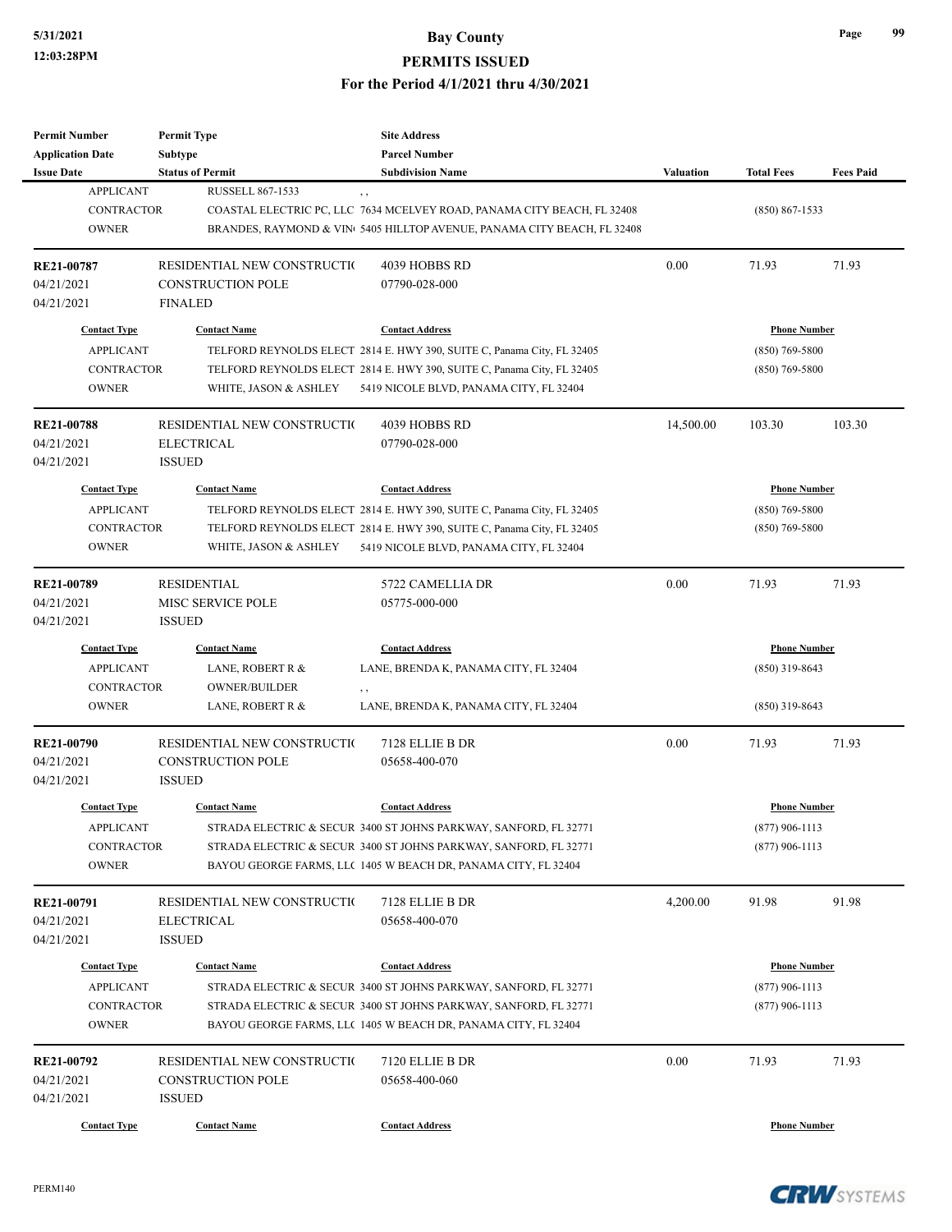| <b>Permit Number</b><br><b>Application Date</b> | <b>Permit Type</b><br><b>Subtype</b> | <b>Site Address</b><br><b>Parcel Number</b>                             |                  |                     |                  |
|-------------------------------------------------|--------------------------------------|-------------------------------------------------------------------------|------------------|---------------------|------------------|
| <b>Issue Date</b>                               | <b>Status of Permit</b>              | <b>Subdivision Name</b>                                                 | <b>Valuation</b> | <b>Total Fees</b>   | <b>Fees Paid</b> |
| <b>APPLICANT</b>                                | <b>RUSSELL 867-1533</b>              | , ,                                                                     |                  |                     |                  |
| <b>CONTRACTOR</b>                               |                                      | COASTAL ELECTRIC PC, LLC 7634 MCELVEY ROAD, PANAMA CITY BEACH, FL 32408 |                  | $(850) 867 - 1533$  |                  |
| <b>OWNER</b>                                    |                                      | BRANDES, RAYMOND & VIN 5405 HILLTOP AVENUE, PANAMA CITY BEACH, FL 32408 |                  |                     |                  |
| RE21-00787                                      | RESIDENTIAL NEW CONSTRUCTIO          | 4039 HOBBS RD                                                           | 0.00             | 71.93               | 71.93            |
| 04/21/2021                                      | <b>CONSTRUCTION POLE</b>             | 07790-028-000                                                           |                  |                     |                  |
| 04/21/2021                                      | <b>FINALED</b>                       |                                                                         |                  |                     |                  |
| <b>Contact Type</b>                             | <b>Contact Name</b>                  | <b>Contact Address</b>                                                  |                  | <b>Phone Number</b> |                  |
| <b>APPLICANT</b>                                |                                      | TELFORD REYNOLDS ELECT 2814 E. HWY 390, SUITE C, Panama City, FL 32405  |                  | $(850)$ 769-5800    |                  |
| <b>CONTRACTOR</b>                               |                                      | TELFORD REYNOLDS ELECT 2814 E. HWY 390, SUITE C, Panama City, FL 32405  |                  | $(850)$ 769-5800    |                  |
| <b>OWNER</b>                                    | WHITE, JASON & ASHLEY                | 5419 NICOLE BLVD, PANAMA CITY, FL 32404                                 |                  |                     |                  |
| <b>RE21-00788</b>                               | RESIDENTIAL NEW CONSTRUCTIO          | 4039 HOBBS RD                                                           | 14,500.00        | 103.30              | 103.30           |
| 04/21/2021                                      | <b>ELECTRICAL</b>                    | 07790-028-000                                                           |                  |                     |                  |
| 04/21/2021                                      | <b>ISSUED</b>                        |                                                                         |                  |                     |                  |
| <b>Contact Type</b>                             | <b>Contact Name</b>                  | <b>Contact Address</b>                                                  |                  | <b>Phone Number</b> |                  |
| <b>APPLICANT</b>                                |                                      | TELFORD REYNOLDS ELECT 2814 E. HWY 390, SUITE C, Panama City, FL 32405  |                  | $(850)$ 769-5800    |                  |
| <b>CONTRACTOR</b>                               |                                      | TELFORD REYNOLDS ELECT 2814 E. HWY 390, SUITE C, Panama City, FL 32405  |                  | $(850)$ 769-5800    |                  |
| <b>OWNER</b>                                    | WHITE, JASON & ASHLEY                | 5419 NICOLE BLVD, PANAMA CITY, FL 32404                                 |                  |                     |                  |
| RE21-00789                                      | <b>RESIDENTIAL</b>                   | 5722 CAMELLIA DR                                                        | 0.00             | 71.93               | 71.93            |
| 04/21/2021                                      | MISC SERVICE POLE                    | 05775-000-000                                                           |                  |                     |                  |
| 04/21/2021                                      | <b>ISSUED</b>                        |                                                                         |                  |                     |                  |
| <b>Contact Type</b>                             | <b>Contact Name</b>                  | <b>Contact Address</b>                                                  |                  | <b>Phone Number</b> |                  |
| <b>APPLICANT</b>                                | LANE, ROBERT R &                     | LANE, BRENDA K, PANAMA CITY, FL 32404                                   |                  | $(850)$ 319-8643    |                  |
| <b>CONTRACTOR</b>                               | <b>OWNER/BUILDER</b>                 | , ,                                                                     |                  |                     |                  |
| <b>OWNER</b>                                    | LANE, ROBERT R &                     | LANE, BRENDA K, PANAMA CITY, FL 32404                                   |                  | $(850)$ 319-8643    |                  |
| <b>RE21-00790</b>                               | RESIDENTIAL NEW CONSTRUCTIO          | 7128 ELLIE B DR                                                         | 0.00             | 71.93               | 71.93            |
| 04/21/2021                                      | <b>CONSTRUCTION POLE</b>             | 05658-400-070                                                           |                  |                     |                  |
| 04/21/2021                                      | <b>ISSUED</b>                        |                                                                         |                  |                     |                  |
| <b>Contact Type</b>                             | <b>Contact Name</b>                  | <b>Contact Address</b>                                                  |                  | <b>Phone Number</b> |                  |
| <b>APPLICANT</b>                                |                                      | STRADA ELECTRIC & SECUR $3400$ ST JOHNS PARKWAY, SANFORD, FL 32771      |                  | $(877)$ 906-1113    |                  |
| CONTRACTOR                                      |                                      | STRADA ELECTRIC & SECUR 3400 ST JOHNS PARKWAY, SANFORD, FL 32771        |                  | $(877)$ 906-1113    |                  |
| <b>OWNER</b>                                    |                                      | BAYOU GEORGE FARMS, LLC 1405 W BEACH DR, PANAMA CITY, FL 32404          |                  |                     |                  |
| RE21-00791                                      | RESIDENTIAL NEW CONSTRUCTIO          | 7128 ELLIE B DR                                                         | 4,200.00         | 91.98               | 91.98            |
| 04/21/2021                                      | <b>ELECTRICAL</b>                    | 05658-400-070                                                           |                  |                     |                  |
| 04/21/2021                                      | <b>ISSUED</b>                        |                                                                         |                  |                     |                  |
| <b>Contact Type</b>                             | <b>Contact Name</b>                  | <b>Contact Address</b>                                                  |                  | <b>Phone Number</b> |                  |
| <b>APPLICANT</b>                                |                                      | STRADA ELECTRIC & SECUR 3400 ST JOHNS PARKWAY, SANFORD, FL 32771        |                  | $(877)$ 906-1113    |                  |
| CONTRACTOR                                      |                                      | STRADA ELECTRIC & SECUR 3400 ST JOHNS PARKWAY, SANFORD, FL 32771        |                  | $(877)$ 906-1113    |                  |
| <b>OWNER</b>                                    |                                      | BAYOU GEORGE FARMS, LLC 1405 W BEACH DR, PANAMA CITY, FL 32404          |                  |                     |                  |
| RE21-00792                                      | RESIDENTIAL NEW CONSTRUCTIO          | 7120 ELLIE B DR                                                         | 0.00             | 71.93               | 71.93            |
| 04/21/2021                                      | CONSTRUCTION POLE                    | 05658-400-060                                                           |                  |                     |                  |
| 04/21/2021                                      | <b>ISSUED</b>                        |                                                                         |                  |                     |                  |
|                                                 |                                      |                                                                         |                  |                     |                  |
| <b>Contact Type</b>                             | <b>Contact Name</b>                  | <b>Contact Address</b>                                                  |                  | <b>Phone Number</b> |                  |

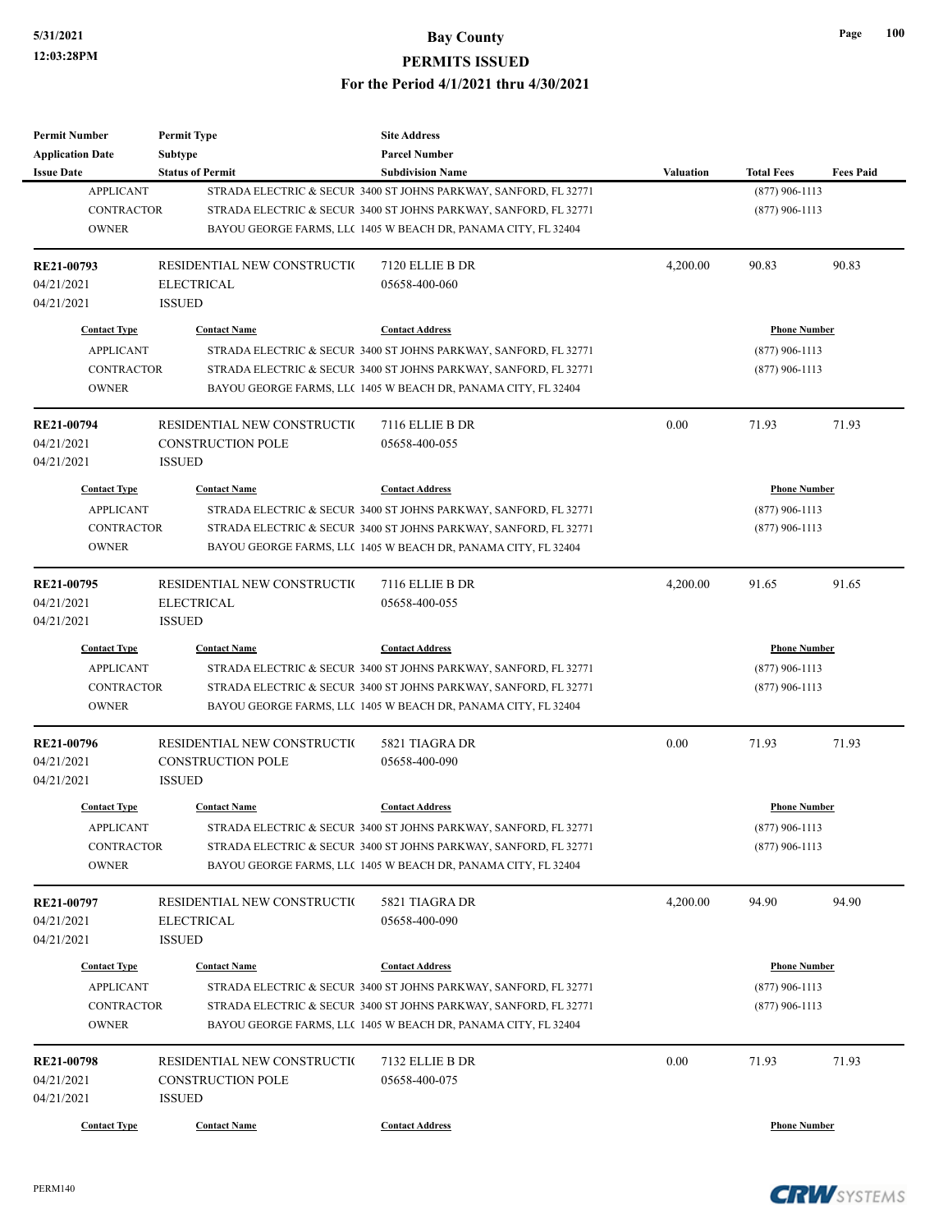| <b>Permit Number</b>            | <b>Permit Type</b>          | <b>Site Address</b>                                              |                  |                     |                  |
|---------------------------------|-----------------------------|------------------------------------------------------------------|------------------|---------------------|------------------|
| <b>Application Date</b>         | <b>Subtype</b>              | <b>Parcel Number</b>                                             |                  |                     |                  |
| <b>Issue Date</b>               | <b>Status of Permit</b>     | <b>Subdivision Name</b>                                          | <b>Valuation</b> | <b>Total Fees</b>   | <b>Fees Paid</b> |
| <b>APPLICANT</b>                |                             | STRADA ELECTRIC & SECUR 3400 ST JOHNS PARKWAY, SANFORD, FL 32771 |                  | $(877)$ 906-1113    |                  |
| <b>CONTRACTOR</b>               |                             | STRADA ELECTRIC & SECUR 3400 ST JOHNS PARKWAY, SANFORD, FL 32771 |                  | $(877)$ 906-1113    |                  |
| <b>OWNER</b>                    |                             | BAYOU GEORGE FARMS, LLC 1405 W BEACH DR, PANAMA CITY, FL 32404   |                  |                     |                  |
| RE21-00793                      | RESIDENTIAL NEW CONSTRUCTIO | 7120 ELLIE B DR                                                  | 4,200.00         | 90.83               | 90.83            |
| 04/21/2021                      | <b>ELECTRICAL</b>           | 05658-400-060                                                    |                  |                     |                  |
| 04/21/2021                      | <b>ISSUED</b>               |                                                                  |                  |                     |                  |
| <b>Contact Type</b>             | <b>Contact Name</b>         | <b>Contact Address</b>                                           |                  | <b>Phone Number</b> |                  |
| <b>APPLICANT</b>                |                             | STRADA ELECTRIC & SECUR 3400 ST JOHNS PARKWAY, SANFORD, FL 32771 |                  | $(877)$ 906-1113    |                  |
| <b>CONTRACTOR</b>               |                             | STRADA ELECTRIC & SECUR 3400 ST JOHNS PARKWAY, SANFORD, FL 32771 |                  | $(877)$ 906-1113    |                  |
| <b>OWNER</b>                    |                             | BAYOU GEORGE FARMS, LLC 1405 W BEACH DR, PANAMA CITY, FL 32404   |                  |                     |                  |
| RE21-00794                      | RESIDENTIAL NEW CONSTRUCTIO | 7116 ELLIE B DR                                                  | 0.00             | 71.93               | 71.93            |
| 04/21/2021                      | <b>CONSTRUCTION POLE</b>    | 05658-400-055                                                    |                  |                     |                  |
| 04/21/2021                      | <b>ISSUED</b>               |                                                                  |                  |                     |                  |
| <b>Contact Type</b>             | <b>Contact Name</b>         | <b>Contact Address</b>                                           |                  | <b>Phone Number</b> |                  |
| <b>APPLICANT</b>                |                             | STRADA ELECTRIC & SECUR 3400 ST JOHNS PARKWAY, SANFORD, FL 32771 |                  | $(877)$ 906-1113    |                  |
| <b>CONTRACTOR</b>               |                             | STRADA ELECTRIC & SECUR 3400 ST JOHNS PARKWAY, SANFORD, FL 32771 |                  | $(877)$ 906-1113    |                  |
| <b>OWNER</b>                    |                             |                                                                  |                  |                     |                  |
|                                 |                             | BAYOU GEORGE FARMS, LLC 1405 W BEACH DR, PANAMA CITY, FL 32404   |                  |                     |                  |
| RE21-00795                      | RESIDENTIAL NEW CONSTRUCTIO | 7116 ELLIE B DR                                                  | 4,200.00         | 91.65               | 91.65            |
| 04/21/2021                      | <b>ELECTRICAL</b>           | 05658-400-055                                                    |                  |                     |                  |
| 04/21/2021                      | <b>ISSUED</b>               |                                                                  |                  |                     |                  |
| <b>Contact Type</b>             | <b>Contact Name</b>         | <b>Contact Address</b>                                           |                  | <b>Phone Number</b> |                  |
| <b>APPLICANT</b>                |                             | STRADA ELECTRIC & SECUR 3400 ST JOHNS PARKWAY, SANFORD, FL 32771 |                  | $(877)$ 906-1113    |                  |
| <b>CONTRACTOR</b>               |                             | STRADA ELECTRIC & SECUR 3400 ST JOHNS PARKWAY, SANFORD, FL 32771 |                  | $(877)$ 906-1113    |                  |
| <b>OWNER</b>                    |                             | BAYOU GEORGE FARMS, LLC 1405 W BEACH DR, PANAMA CITY, FL 32404   |                  |                     |                  |
| RE21-00796                      | RESIDENTIAL NEW CONSTRUCTIO | 5821 TIAGRA DR                                                   | 0.00             | 71.93               | 71.93            |
| 04/21/2021                      | CONSTRUCTION POLE           | 05658-400-090                                                    |                  |                     |                  |
| 04/21/2021                      | <b>ISSUED</b>               |                                                                  |                  |                     |                  |
| <b>Contact Type</b>             | <b>Contact Name</b>         | <b>Contact Address</b>                                           |                  | <b>Phone Number</b> |                  |
| <b>APPLICANT</b>                |                             | STRADA ELECTRIC & SECUR 3400 ST JOHNS PARKWAY, SANFORD, FL 32771 |                  | $(877)$ 906-1113    |                  |
| <b>CONTRACTOR</b>               |                             | STRADA ELECTRIC & SECUR 3400 ST JOHNS PARKWAY, SANFORD, FL 32771 |                  | $(877)$ 906-1113    |                  |
| <b>OWNER</b>                    |                             | BAYOU GEORGE FARMS, LLC 1405 W BEACH DR, PANAMA CITY, FL 32404   |                  |                     |                  |
|                                 | RESIDENTIAL NEW CONSTRUCTIO |                                                                  |                  | 94.90               | 94.90            |
| <b>RE21-00797</b><br>04/21/2021 | <b>ELECTRICAL</b>           | 5821 TIAGRA DR<br>05658-400-090                                  | 4,200.00         |                     |                  |
|                                 |                             |                                                                  |                  |                     |                  |
| 04/21/2021                      | <b>ISSUED</b>               |                                                                  |                  |                     |                  |
| <b>Contact Type</b>             | <b>Contact Name</b>         | <b>Contact Address</b>                                           |                  | <b>Phone Number</b> |                  |
| <b>APPLICANT</b>                |                             | STRADA ELECTRIC & SECUR 3400 ST JOHNS PARKWAY, SANFORD, FL 32771 |                  | $(877)$ 906-1113    |                  |
| CONTRACTOR                      |                             | STRADA ELECTRIC & SECUR 3400 ST JOHNS PARKWAY, SANFORD, FL 32771 |                  | $(877)$ 906-1113    |                  |
| <b>OWNER</b>                    |                             | BAYOU GEORGE FARMS, LLC 1405 W BEACH DR, PANAMA CITY, FL 32404   |                  |                     |                  |
| <b>RE21-00798</b>               | RESIDENTIAL NEW CONSTRUCTIO | 7132 ELLIE B DR                                                  | 0.00             | 71.93               | 71.93            |
| 04/21/2021                      | <b>CONSTRUCTION POLE</b>    | 05658-400-075                                                    |                  |                     |                  |
| 04/21/2021                      | <b>ISSUED</b>               |                                                                  |                  |                     |                  |
|                                 |                             |                                                                  |                  |                     |                  |
| <b>Contact Type</b>             | <b>Contact Name</b>         | <b>Contact Address</b>                                           |                  | <b>Phone Number</b> |                  |

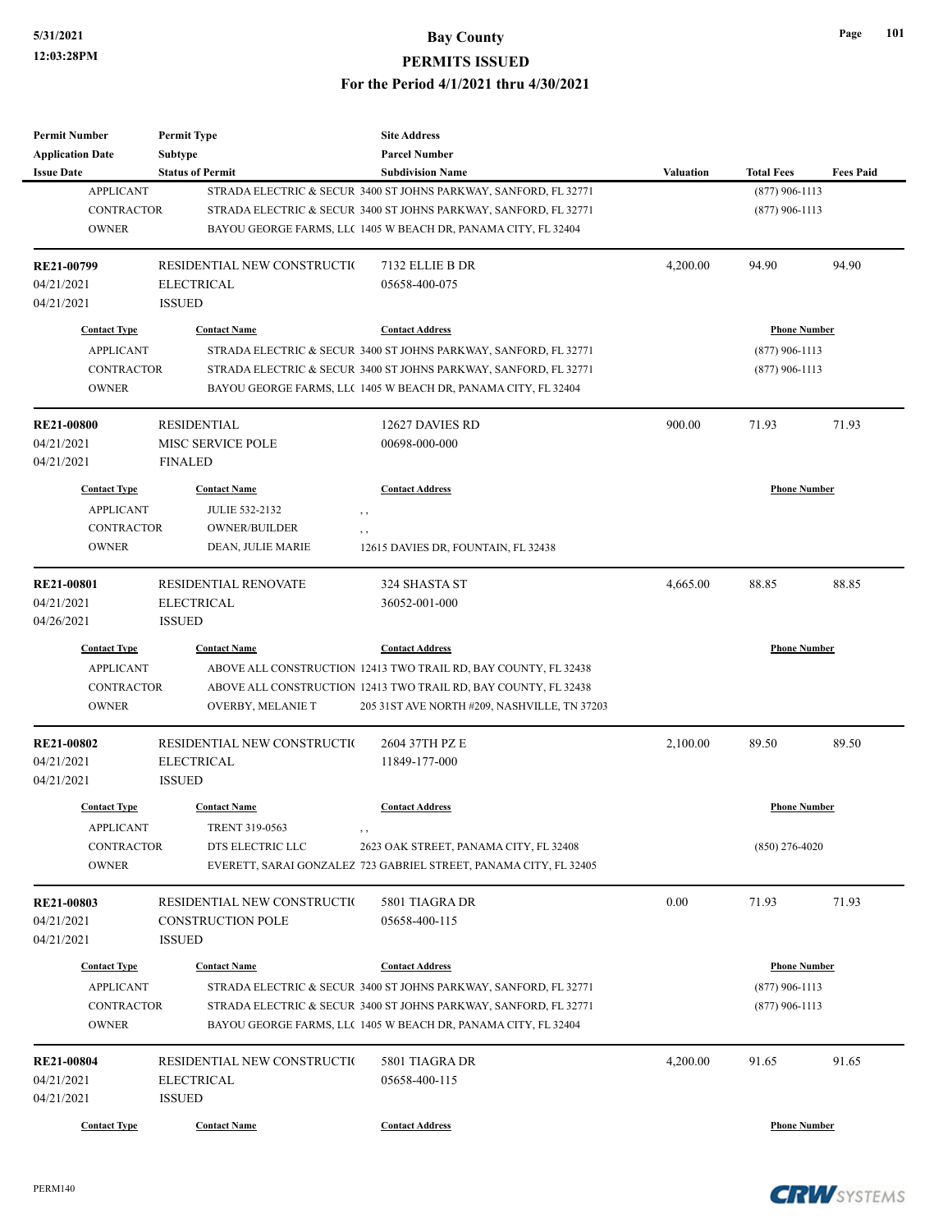| <b>Permit Number</b>       | <b>Permit Type</b>          | <b>Site Address</b>                                                                                                                |                  |                     |                  |
|----------------------------|-----------------------------|------------------------------------------------------------------------------------------------------------------------------------|------------------|---------------------|------------------|
| <b>Application Date</b>    | Subtype                     | <b>Parcel Number</b>                                                                                                               |                  |                     |                  |
| <b>Issue Date</b>          | <b>Status of Permit</b>     | <b>Subdivision Name</b>                                                                                                            | <b>Valuation</b> | <b>Total Fees</b>   | <b>Fees Paid</b> |
| <b>APPLICANT</b>           |                             | STRADA ELECTRIC & SECUR 3400 ST JOHNS PARKWAY, SANFORD, FL 32771                                                                   |                  | $(877)$ 906-1113    |                  |
| <b>CONTRACTOR</b>          |                             | STRADA ELECTRIC & SECUR 3400 ST JOHNS PARKWAY, SANFORD, FL 32771                                                                   |                  | $(877)$ 906-1113    |                  |
| <b>OWNER</b>               |                             | BAYOU GEORGE FARMS, LLC 1405 W BEACH DR, PANAMA CITY, FL 32404                                                                     |                  |                     |                  |
| RE21-00799                 | RESIDENTIAL NEW CONSTRUCTIO | 7132 ELLIE B DR                                                                                                                    | 4,200.00         | 94.90               | 94.90            |
| 04/21/2021                 | <b>ELECTRICAL</b>           | 05658-400-075                                                                                                                      |                  |                     |                  |
| 04/21/2021                 | <b>ISSUED</b>               |                                                                                                                                    |                  |                     |                  |
| <b>Contact Type</b>        | <b>Contact Name</b>         | <b>Contact Address</b>                                                                                                             |                  | <b>Phone Number</b> |                  |
| <b>APPLICANT</b>           |                             | STRADA ELECTRIC & SECUR 3400 ST JOHNS PARKWAY, SANFORD, FL 32771                                                                   |                  | $(877)$ 906-1113    |                  |
| <b>CONTRACTOR</b>          |                             | STRADA ELECTRIC & SECUR 3400 ST JOHNS PARKWAY, SANFORD, FL 32771                                                                   |                  | $(877)$ 906-1113    |                  |
| <b>OWNER</b>               |                             | BAYOU GEORGE FARMS, LLC 1405 W BEACH DR, PANAMA CITY, FL 32404                                                                     |                  |                     |                  |
| <b>RE21-00800</b>          | <b>RESIDENTIAL</b>          | 12627 DAVIES RD                                                                                                                    | 900.00           | 71.93               | 71.93            |
| 04/21/2021                 | <b>MISC SERVICE POLE</b>    | 00698-000-000                                                                                                                      |                  |                     |                  |
| 04/21/2021                 | <b>FINALED</b>              |                                                                                                                                    |                  |                     |                  |
| <b>Contact Type</b>        | <b>Contact Name</b>         | <b>Contact Address</b>                                                                                                             |                  | <b>Phone Number</b> |                  |
| <b>APPLICANT</b>           | <b>JULIE 532-2132</b>       | , ,                                                                                                                                |                  |                     |                  |
| <b>CONTRACTOR</b>          | OWNER/BUILDER               |                                                                                                                                    |                  |                     |                  |
| <b>OWNER</b>               | DEAN, JULIE MARIE           | , ,<br>12615 DAVIES DR, FOUNTAIN, FL 32438                                                                                         |                  |                     |                  |
|                            |                             |                                                                                                                                    |                  |                     |                  |
| <b>RE21-00801</b>          | <b>RESIDENTIAL RENOVATE</b> | 324 SHASTA ST                                                                                                                      | 4,665.00         | 88.85               | 88.85            |
| 04/21/2021                 | <b>ELECTRICAL</b>           | 36052-001-000                                                                                                                      |                  |                     |                  |
| 04/26/2021                 | <b>ISSUED</b>               |                                                                                                                                    |                  |                     |                  |
| <b>Contact Type</b>        | <b>Contact Name</b>         | <b>Contact Address</b>                                                                                                             |                  | <b>Phone Number</b> |                  |
| <b>APPLICANT</b>           |                             | ABOVE ALL CONSTRUCTION 12413 TWO TRAIL RD, BAY COUNTY, FL 32438                                                                    |                  |                     |                  |
| <b>CONTRACTOR</b>          |                             | ABOVE ALL CONSTRUCTION 12413 TWO TRAIL RD, BAY COUNTY, FL 32438                                                                    |                  |                     |                  |
| <b>OWNER</b>               | OVERBY, MELANIE T           | 205 31 ST AVE NORTH #209, NASHVILLE, TN 37203                                                                                      |                  |                     |                  |
| <b>RE21-00802</b>          | RESIDENTIAL NEW CONSTRUCTIO | 2604 37TH PZ E                                                                                                                     | 2,100.00         | 89.50               | 89.50            |
| 04/21/2021                 | <b>ELECTRICAL</b>           | 11849-177-000                                                                                                                      |                  |                     |                  |
| 04/21/2021                 | <b>ISSUED</b>               |                                                                                                                                    |                  |                     |                  |
| <b>Contact Type</b>        | <b>Contact Name</b>         | <b>Contact Address</b>                                                                                                             |                  | <b>Phone Number</b> |                  |
|                            |                             |                                                                                                                                    |                  |                     |                  |
| <b>APPLICANT</b>           | TRENT 319-0563              | , ,                                                                                                                                |                  |                     |                  |
| CONTRACTOR                 | DTS ELECTRIC LLC            | 2623 OAK STREET, PANAMA CITY, FL 32408                                                                                             |                  | $(850)$ 276-4020    |                  |
| <b>OWNER</b>               |                             | EVERETT, SARAI GONZALEZ 723 GABRIEL STREET, PANAMA CITY, FL 32405                                                                  |                  |                     |                  |
| RE21-00803                 | RESIDENTIAL NEW CONSTRUCTIO | 5801 TIAGRA DR                                                                                                                     | 0.00             | 71.93               | 71.93            |
| 04/21/2021                 | CONSTRUCTION POLE           | 05658-400-115                                                                                                                      |                  |                     |                  |
| 04/21/2021                 | <b>ISSUED</b>               |                                                                                                                                    |                  |                     |                  |
| <b>Contact Type</b>        | <b>Contact Name</b>         | <b>Contact Address</b>                                                                                                             |                  | <b>Phone Number</b> |                  |
| <b>APPLICANT</b>           |                             |                                                                                                                                    |                  | $(877)$ 906-1113    |                  |
|                            |                             | STRADA ELECTRIC & SECUR 3400 ST JOHNS PARKWAY, SANFORD, FL 32771                                                                   |                  |                     |                  |
| CONTRACTOR<br><b>OWNER</b> |                             | STRADA ELECTRIC & SECUR 3400 ST JOHNS PARKWAY, SANFORD, FL 32771<br>BAYOU GEORGE FARMS, LLC 1405 W BEACH DR, PANAMA CITY, FL 32404 |                  | $(877)$ 906-1113    |                  |
|                            |                             |                                                                                                                                    |                  |                     |                  |
| RE21-00804                 | RESIDENTIAL NEW CONSTRUCTIO | 5801 TIAGRA DR                                                                                                                     | 4,200.00         | 91.65               | 91.65            |
| 04/21/2021                 | ELECTRICAL                  | 05658-400-115                                                                                                                      |                  |                     |                  |
| 04/21/2021                 | <b>ISSUED</b>               |                                                                                                                                    |                  |                     |                  |
| <b>Contact Type</b>        | <b>Contact Name</b>         | <b>Contact Address</b>                                                                                                             |                  | <b>Phone Number</b> |                  |

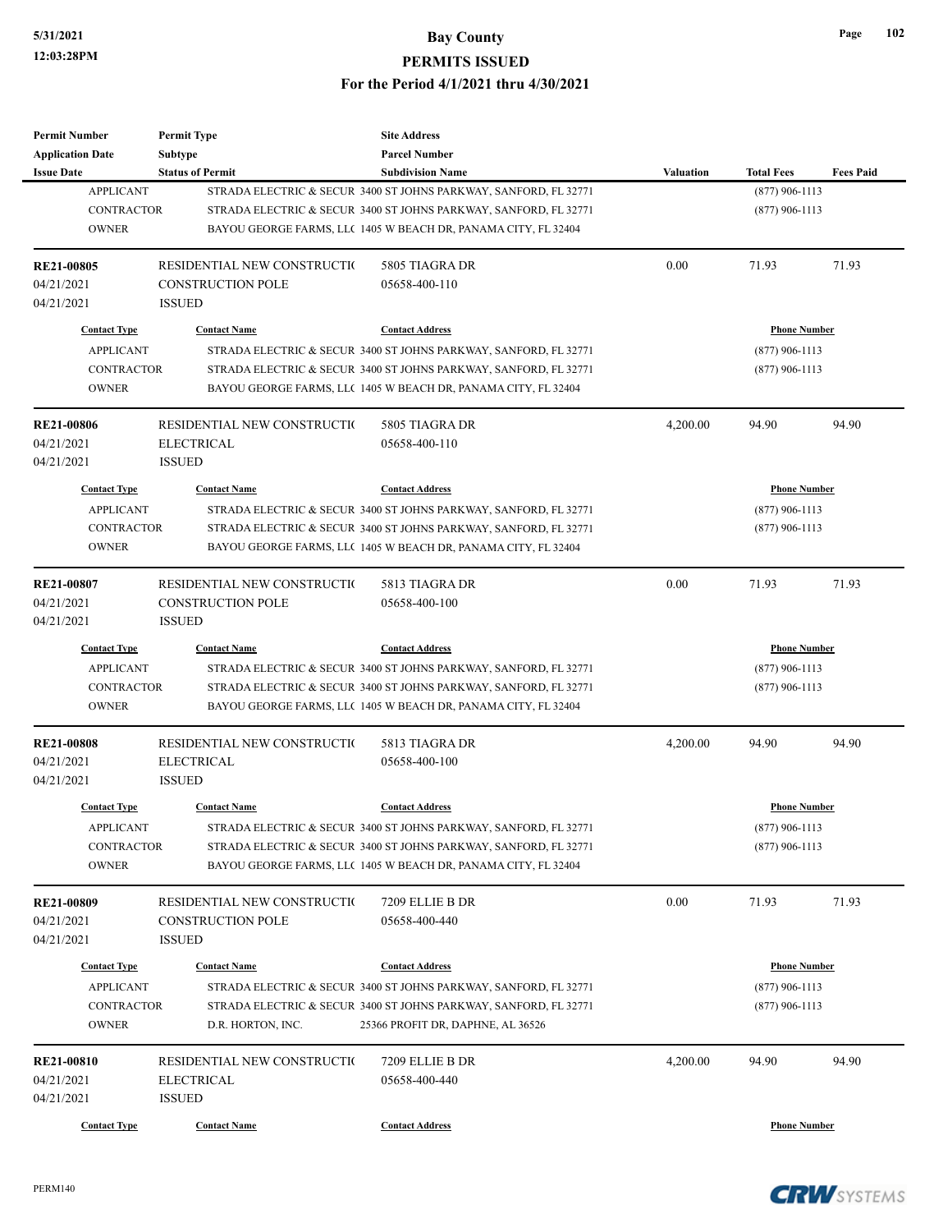| 102 |
|-----|
|     |

| <b>Permit Number</b>                         | <b>Permit Type</b>                        | <b>Site Address</b>                                                                                                                |                  |                     |                  |
|----------------------------------------------|-------------------------------------------|------------------------------------------------------------------------------------------------------------------------------------|------------------|---------------------|------------------|
| <b>Application Date</b><br><b>Issue Date</b> | Subtype<br><b>Status of Permit</b>        | <b>Parcel Number</b><br><b>Subdivision Name</b>                                                                                    | <b>Valuation</b> | <b>Total Fees</b>   | <b>Fees Paid</b> |
| <b>APPLICANT</b>                             |                                           | STRADA ELECTRIC & SECUR 3400 ST JOHNS PARKWAY, SANFORD, FL 32771                                                                   |                  | $(877)$ 906-1113    |                  |
| <b>CONTRACTOR</b><br><b>OWNER</b>            |                                           | STRADA ELECTRIC & SECUR 3400 ST JOHNS PARKWAY, SANFORD, FL 32771<br>BAYOU GEORGE FARMS, LLC 1405 W BEACH DR, PANAMA CITY, FL 32404 |                  | $(877)$ 906-1113    |                  |
| <b>RE21-00805</b>                            | RESIDENTIAL NEW CONSTRUCTION              | 5805 TIAGRA DR                                                                                                                     | 0.00             | 71.93               | 71.93            |
| 04/21/2021<br>04/21/2021                     | <b>CONSTRUCTION POLE</b><br><b>ISSUED</b> | 05658-400-110                                                                                                                      |                  |                     |                  |
| <b>Contact Type</b>                          | <b>Contact Name</b>                       | <b>Contact Address</b>                                                                                                             |                  | <b>Phone Number</b> |                  |
| <b>APPLICANT</b>                             |                                           | STRADA ELECTRIC & SECUR 3400 ST JOHNS PARKWAY, SANFORD, FL 32771                                                                   |                  | $(877)$ 906-1113    |                  |
| <b>CONTRACTOR</b><br><b>OWNER</b>            |                                           | STRADA ELECTRIC & SECUR 3400 ST JOHNS PARKWAY, SANFORD, FL 32771<br>BAYOU GEORGE FARMS, LLC 1405 W BEACH DR, PANAMA CITY, FL 32404 |                  | $(877)$ 906-1113    |                  |
| RE21-00806                                   | RESIDENTIAL NEW CONSTRUCTIO               | 5805 TIAGRA DR                                                                                                                     | 4,200.00         | 94.90               | 94.90            |
| 04/21/2021<br>04/21/2021                     | <b>ELECTRICAL</b><br><b>ISSUED</b>        | 05658-400-110                                                                                                                      |                  |                     |                  |
| <b>Contact Type</b>                          | <b>Contact Name</b>                       | <b>Contact Address</b>                                                                                                             |                  | <b>Phone Number</b> |                  |
| <b>APPLICANT</b>                             |                                           | STRADA ELECTRIC & SECUR 3400 ST JOHNS PARKWAY, SANFORD, FL 32771                                                                   |                  | $(877)$ 906-1113    |                  |
| <b>CONTRACTOR</b>                            |                                           | STRADA ELECTRIC & SECUR 3400 ST JOHNS PARKWAY, SANFORD, FL 32771                                                                   |                  | $(877)$ 906-1113    |                  |
| <b>OWNER</b>                                 |                                           | BAYOU GEORGE FARMS, LLC 1405 W BEACH DR, PANAMA CITY, FL 32404                                                                     |                  |                     |                  |
| RE21-00807                                   | RESIDENTIAL NEW CONSTRUCTIO               | 5813 TIAGRA DR                                                                                                                     | 0.00             | 71.93               | 71.93            |
| 04/21/2021<br>04/21/2021                     | <b>CONSTRUCTION POLE</b><br><b>ISSUED</b> | 05658-400-100                                                                                                                      |                  |                     |                  |
| <b>Contact Type</b>                          | <b>Contact Name</b>                       | <b>Contact Address</b>                                                                                                             |                  | <b>Phone Number</b> |                  |
| <b>APPLICANT</b>                             |                                           | STRADA ELECTRIC & SECUR 3400 ST JOHNS PARKWAY, SANFORD, FL 32771                                                                   |                  | $(877)$ 906-1113    |                  |
| <b>CONTRACTOR</b><br><b>OWNER</b>            |                                           | STRADA ELECTRIC & SECUR 3400 ST JOHNS PARKWAY, SANFORD, FL 32771<br>BAYOU GEORGE FARMS, LLC 1405 W BEACH DR, PANAMA CITY, FL 32404 |                  | $(877)$ 906-1113    |                  |
| <b>RE21-00808</b>                            | RESIDENTIAL NEW CONSTRUCTIO               | 5813 TIAGRA DR                                                                                                                     | 4,200.00         | 94.90               | 94.90            |
| 04/21/2021<br>04/21/2021                     | <b>ELECTRICAL</b><br><b>ISSUED</b>        | 05658-400-100                                                                                                                      |                  |                     |                  |
| <b>Contact Type</b>                          | <b>Contact Name</b>                       | <b>Contact Address</b>                                                                                                             |                  | <b>Phone Number</b> |                  |
| <b>APPLICANT</b>                             |                                           | STRADA ELECTRIC & SECUR 3400 ST JOHNS PARKWAY, SANFORD, FL 32771                                                                   |                  | $(877)$ 906-1113    |                  |
| <b>CONTRACTOR</b><br><b>OWNER</b>            |                                           | STRADA ELECTRIC & SECUR 3400 ST JOHNS PARKWAY, SANFORD, FL 32771<br>BAYOU GEORGE FARMS, LLC 1405 W BEACH DR, PANAMA CITY, FL 32404 |                  | $(877)$ 906-1113    |                  |
| RE21-00809                                   | RESIDENTIAL NEW CONSTRUCTIO               | 7209 ELLIE B DR                                                                                                                    | 0.00             | 71.93               | 71.93            |
| 04/21/2021                                   | <b>CONSTRUCTION POLE</b>                  | 05658-400-440                                                                                                                      |                  |                     |                  |
| 04/21/2021                                   | <b>ISSUED</b>                             |                                                                                                                                    |                  |                     |                  |
| <b>Contact Type</b>                          | <b>Contact Name</b>                       | <b>Contact Address</b>                                                                                                             |                  | <b>Phone Number</b> |                  |
| <b>APPLICANT</b>                             |                                           | STRADA ELECTRIC & SECUR 3400 ST JOHNS PARKWAY, SANFORD, FL 32771                                                                   |                  | $(877)$ 906-1113    |                  |
| CONTRACTOR<br><b>OWNER</b>                   | D.R. HORTON, INC.                         | STRADA ELECTRIC & SECUR 3400 ST JOHNS PARKWAY, SANFORD, FL 32771<br>25366 PROFIT DR, DAPHNE, AL 36526                              |                  | $(877)$ 906-1113    |                  |
| <b>RE21-00810</b>                            | RESIDENTIAL NEW CONSTRUCTIO               | 7209 ELLIE B DR                                                                                                                    | 4,200.00         | 94.90               | 94.90            |
| 04/21/2021<br>04/21/2021                     | <b>ELECTRICAL</b><br><b>ISSUED</b>        | 05658-400-440                                                                                                                      |                  |                     |                  |
| <b>Contact Type</b>                          | <b>Contact Name</b>                       | <b>Contact Address</b>                                                                                                             |                  | <b>Phone Number</b> |                  |

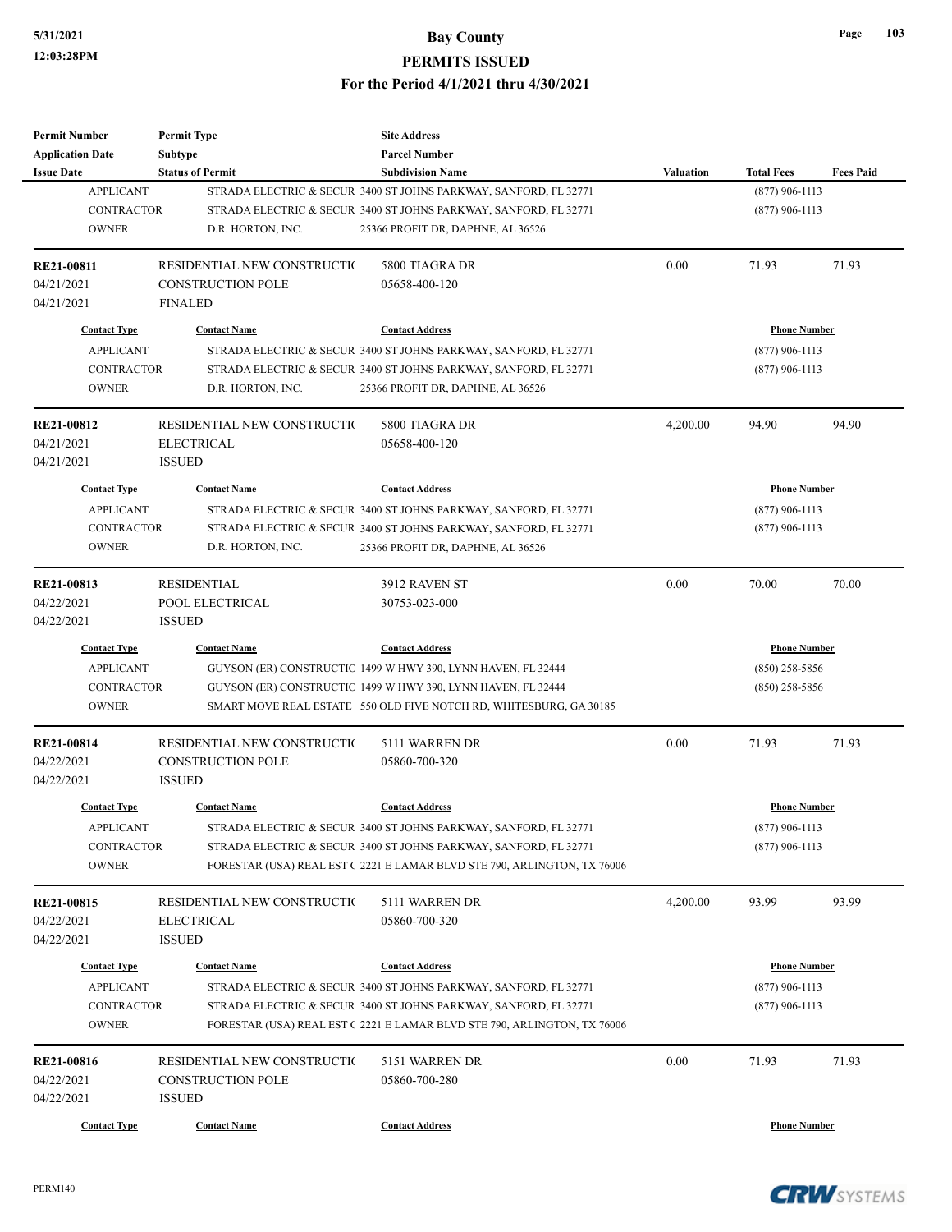| <b>Permit Number</b>    | <b>Permit Type</b>           | <b>Site Address</b>                                                     |                  |                     |                  |
|-------------------------|------------------------------|-------------------------------------------------------------------------|------------------|---------------------|------------------|
| <b>Application Date</b> | <b>Subtype</b>               | <b>Parcel Number</b>                                                    |                  |                     |                  |
| <b>Issue Date</b>       | <b>Status of Permit</b>      | <b>Subdivision Name</b>                                                 | <b>Valuation</b> | <b>Total Fees</b>   | <b>Fees Paid</b> |
| <b>APPLICANT</b>        |                              | STRADA ELECTRIC & SECUR 3400 ST JOHNS PARKWAY, SANFORD, FL 32771        |                  | $(877)$ 906-1113    |                  |
| <b>CONTRACTOR</b>       |                              | STRADA ELECTRIC & SECUR 3400 ST JOHNS PARKWAY, SANFORD, FL 32771        |                  | $(877)$ 906-1113    |                  |
| <b>OWNER</b>            | D.R. HORTON, INC.            | 25366 PROFIT DR, DAPHNE, AL 36526                                       |                  |                     |                  |
| <b>RE21-00811</b>       | RESIDENTIAL NEW CONSTRUCTIO  | 5800 TIAGRA DR                                                          | 0.00             | 71.93               | 71.93            |
| 04/21/2021              | <b>CONSTRUCTION POLE</b>     | 05658-400-120                                                           |                  |                     |                  |
| 04/21/2021              | <b>FINALED</b>               |                                                                         |                  |                     |                  |
|                         |                              |                                                                         |                  |                     |                  |
| <b>Contact Type</b>     | <b>Contact Name</b>          | <b>Contact Address</b>                                                  |                  | <b>Phone Number</b> |                  |
| <b>APPLICANT</b>        |                              | STRADA ELECTRIC & SECUR 3400 ST JOHNS PARKWAY, SANFORD, FL 32771        |                  | $(877)$ 906-1113    |                  |
| <b>CONTRACTOR</b>       |                              | STRADA ELECTRIC & SECUR 3400 ST JOHNS PARKWAY, SANFORD, FL 32771        |                  | $(877)$ 906-1113    |                  |
| <b>OWNER</b>            | D.R. HORTON, INC.            | 25366 PROFIT DR, DAPHNE, AL 36526                                       |                  |                     |                  |
| <b>RE21-00812</b>       | RESIDENTIAL NEW CONSTRUCTION | 5800 TIAGRA DR                                                          | 4,200.00         | 94.90               | 94.90            |
| 04/21/2021              | <b>ELECTRICAL</b>            | 05658-400-120                                                           |                  |                     |                  |
| 04/21/2021              | <b>ISSUED</b>                |                                                                         |                  |                     |                  |
| <b>Contact Type</b>     | <b>Contact Name</b>          | <b>Contact Address</b>                                                  |                  | <b>Phone Number</b> |                  |
| <b>APPLICANT</b>        |                              | STRADA ELECTRIC & SECUR 3400 ST JOHNS PARKWAY, SANFORD, FL 32771        |                  | $(877)$ 906-1113    |                  |
| <b>CONTRACTOR</b>       |                              |                                                                         |                  |                     |                  |
|                         |                              | STRADA ELECTRIC & SECUR 3400 ST JOHNS PARKWAY, SANFORD, FL 32771        |                  | $(877)$ 906-1113    |                  |
| <b>OWNER</b>            | D.R. HORTON, INC.            | 25366 PROFIT DR, DAPHNE, AL 36526                                       |                  |                     |                  |
| RE21-00813              | <b>RESIDENTIAL</b>           | 3912 RAVEN ST                                                           | 0.00             | 70.00               | 70.00            |
| 04/22/2021              | POOL ELECTRICAL              | 30753-023-000                                                           |                  |                     |                  |
| 04/22/2021              | <b>ISSUED</b>                |                                                                         |                  |                     |                  |
| <b>Contact Type</b>     | <b>Contact Name</b>          | <b>Contact Address</b>                                                  |                  | <b>Phone Number</b> |                  |
| <b>APPLICANT</b>        |                              | GUYSON (ER) CONSTRUCTIC 1499 W HWY 390, LYNN HAVEN, FL 32444            |                  | $(850)$ 258-5856    |                  |
| <b>CONTRACTOR</b>       |                              | GUYSON (ER) CONSTRUCTIC 1499 W HWY 390, LYNN HAVEN, FL 32444            |                  | $(850)$ 258-5856    |                  |
| <b>OWNER</b>            |                              | SMART MOVE REAL ESTATE 550 OLD FIVE NOTCH RD, WHITESBURG, GA 30185      |                  |                     |                  |
|                         |                              |                                                                         |                  |                     |                  |
| RE21-00814              | RESIDENTIAL NEW CONSTRUCTIO  | 5111 WARREN DR                                                          | 0.00             | 71.93               | 71.93            |
| 04/22/2021              | <b>CONSTRUCTION POLE</b>     | 05860-700-320                                                           |                  |                     |                  |
| 04/22/2021              | <b>ISSUED</b>                |                                                                         |                  |                     |                  |
| <b>Contact Type</b>     | <b>Contact Name</b>          | <b>Contact Address</b>                                                  |                  | <b>Phone Number</b> |                  |
| <b>APPLICANT</b>        |                              | STRADA ELECTRIC & SECUR 3400 ST JOHNS PARKWAY, SANFORD, FL 32771        |                  | $(877)$ 906-1113    |                  |
| CONTRACTOR              |                              | STRADA ELECTRIC & SECUR 3400 ST JOHNS PARKWAY, SANFORD, FL 32771        |                  | $(877)$ 906-1113    |                  |
| <b>OWNER</b>            |                              | FORESTAR (USA) REAL EST (2221 E LAMAR BLVD STE 790, ARLINGTON, TX 76006 |                  |                     |                  |
| RE21-00815              | RESIDENTIAL NEW CONSTRUCTIO  | 5111 WARREN DR                                                          | 4,200.00         | 93.99               | 93.99            |
| 04/22/2021              | <b>ELECTRICAL</b>            | 05860-700-320                                                           |                  |                     |                  |
| 04/22/2021              | <b>ISSUED</b>                |                                                                         |                  |                     |                  |
|                         |                              |                                                                         |                  |                     |                  |
| <b>Contact Type</b>     | <b>Contact Name</b>          | <b>Contact Address</b>                                                  |                  | <b>Phone Number</b> |                  |
| <b>APPLICANT</b>        |                              | STRADA ELECTRIC & SECUR 3400 ST JOHNS PARKWAY, SANFORD, FL 32771        |                  | $(877)$ 906-1113    |                  |
| CONTRACTOR              |                              | STRADA ELECTRIC & SECUR 3400 ST JOHNS PARKWAY, SANFORD, FL 32771        |                  | $(877)$ 906-1113    |                  |
| <b>OWNER</b>            |                              | FORESTAR (USA) REAL EST (2221 E LAMAR BLVD STE 790, ARLINGTON, TX 76006 |                  |                     |                  |
| <b>RE21-00816</b>       | RESIDENTIAL NEW CONSTRUCTIO  | 5151 WARREN DR                                                          | 0.00             | 71.93               | 71.93            |
|                         | <b>CONSTRUCTION POLE</b>     |                                                                         |                  |                     |                  |
| 04/22/2021              |                              | 05860-700-280                                                           |                  |                     |                  |
| 04/22/2021              | <b>ISSUED</b>                |                                                                         |                  |                     |                  |
| <b>Contact Type</b>     | <b>Contact Name</b>          | <b>Contact Address</b>                                                  |                  | <b>Phone Number</b> |                  |

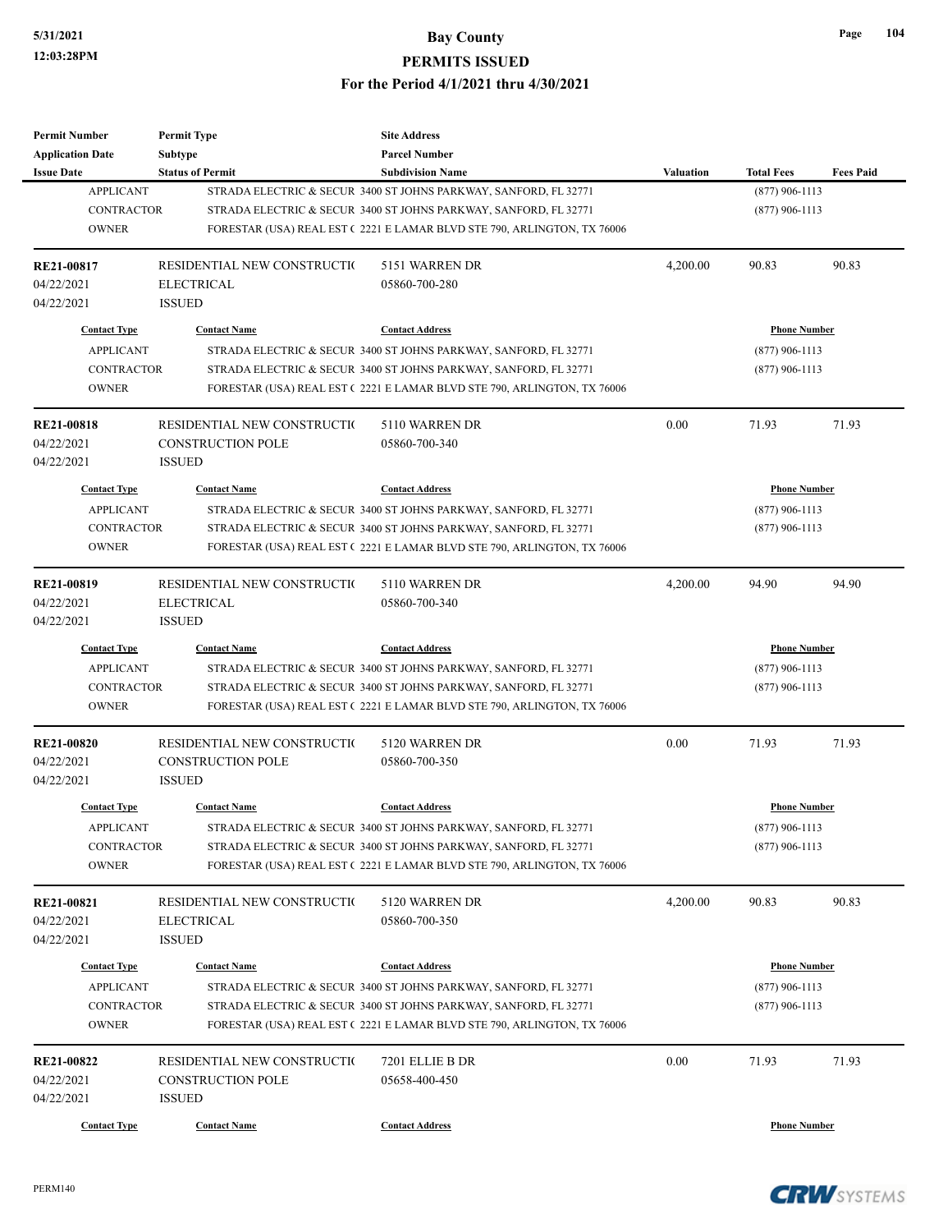| <b>Permit Number</b>              | <b>Permit Type</b>          | <b>Site Address</b>                                                     |                  |                     |                  |
|-----------------------------------|-----------------------------|-------------------------------------------------------------------------|------------------|---------------------|------------------|
| <b>Application Date</b>           | <b>Subtype</b>              | <b>Parcel Number</b>                                                    |                  |                     |                  |
| <b>Issue Date</b>                 | <b>Status of Permit</b>     | <b>Subdivision Name</b>                                                 | <b>Valuation</b> | <b>Total Fees</b>   | <b>Fees Paid</b> |
| <b>APPLICANT</b>                  |                             | STRADA ELECTRIC & SECUR 3400 ST JOHNS PARKWAY, SANFORD, FL 32771        |                  | $(877)$ 906-1113    |                  |
| <b>CONTRACTOR</b>                 |                             | STRADA ELECTRIC & SECUR 3400 ST JOHNS PARKWAY, SANFORD, FL 32771        |                  | $(877)$ 906-1113    |                  |
| <b>OWNER</b>                      |                             | FORESTAR (USA) REAL EST (2221 E LAMAR BLVD STE 790, ARLINGTON, TX 76006 |                  |                     |                  |
| RE21-00817                        | RESIDENTIAL NEW CONSTRUCTIO | 5151 WARREN DR                                                          | 4,200.00         | 90.83               | 90.83            |
| 04/22/2021                        | <b>ELECTRICAL</b>           | 05860-700-280                                                           |                  |                     |                  |
| 04/22/2021                        | <b>ISSUED</b>               |                                                                         |                  |                     |                  |
| <b>Contact Type</b>               | <b>Contact Name</b>         | <b>Contact Address</b>                                                  |                  | <b>Phone Number</b> |                  |
| <b>APPLICANT</b>                  |                             | STRADA ELECTRIC & SECUR 3400 ST JOHNS PARKWAY, SANFORD, FL 32771        |                  | $(877)$ 906-1113    |                  |
| <b>CONTRACTOR</b>                 |                             | STRADA ELECTRIC & SECUR 3400 ST JOHNS PARKWAY, SANFORD, FL 32771        |                  | $(877)$ 906-1113    |                  |
| <b>OWNER</b>                      |                             | FORESTAR (USA) REAL EST (2221 E LAMAR BLVD STE 790, ARLINGTON, TX 76006 |                  |                     |                  |
| <b>RE21-00818</b>                 | RESIDENTIAL NEW CONSTRUCTIO | 5110 WARREN DR                                                          | 0.00             | 71.93               | 71.93            |
| 04/22/2021                        | <b>CONSTRUCTION POLE</b>    | 05860-700-340                                                           |                  |                     |                  |
| 04/22/2021                        | <b>ISSUED</b>               |                                                                         |                  |                     |                  |
| <b>Contact Type</b>               | <b>Contact Name</b>         | <b>Contact Address</b>                                                  |                  | <b>Phone Number</b> |                  |
| <b>APPLICANT</b>                  |                             | STRADA ELECTRIC & SECUR 3400 ST JOHNS PARKWAY, SANFORD, FL 32771        |                  | $(877)$ 906-1113    |                  |
| <b>CONTRACTOR</b>                 |                             | STRADA ELECTRIC & SECUR 3400 ST JOHNS PARKWAY, SANFORD, FL 32771        |                  | $(877)$ 906-1113    |                  |
| <b>OWNER</b>                      |                             | FORESTAR (USA) REAL EST (2221 E LAMAR BLVD STE 790, ARLINGTON, TX 76006 |                  |                     |                  |
|                                   |                             |                                                                         |                  |                     |                  |
| <b>RE21-00819</b>                 | RESIDENTIAL NEW CONSTRUCTIO | 5110 WARREN DR                                                          | 4,200.00         | 94.90               | 94.90            |
| 04/22/2021                        | <b>ELECTRICAL</b>           | 05860-700-340                                                           |                  |                     |                  |
| 04/22/2021                        | <b>ISSUED</b>               |                                                                         |                  |                     |                  |
| <b>Contact Type</b>               | <b>Contact Name</b>         | <b>Contact Address</b>                                                  |                  | <b>Phone Number</b> |                  |
| <b>APPLICANT</b>                  |                             | STRADA ELECTRIC & SECUR 3400 ST JOHNS PARKWAY, SANFORD, FL 32771        |                  | $(877)$ 906-1113    |                  |
| <b>CONTRACTOR</b>                 |                             | STRADA ELECTRIC & SECUR 3400 ST JOHNS PARKWAY, SANFORD, FL 32771        |                  | $(877)$ 906-1113    |                  |
| <b>OWNER</b>                      |                             | FORESTAR (USA) REAL EST (2221 E LAMAR BLVD STE 790, ARLINGTON, TX 76006 |                  |                     |                  |
| <b>RE21-00820</b>                 | RESIDENTIAL NEW CONSTRUCTIO | 5120 WARREN DR                                                          | 0.00             | 71.93               | 71.93            |
| 04/22/2021                        | <b>CONSTRUCTION POLE</b>    | 05860-700-350                                                           |                  |                     |                  |
| 04/22/2021                        | <b>ISSUED</b>               |                                                                         |                  |                     |                  |
| <b>Contact Type</b>               | <b>Contact Name</b>         | <b>Contact Address</b>                                                  |                  | <b>Phone Number</b> |                  |
| <b>APPLICANT</b>                  |                             | STRADA ELECTRIC & SECUR 3400 ST JOHNS PARKWAY, SANFORD, FL 32771        | $(877)$ 906-1113 |                     |                  |
|                                   |                             | STRADA ELECTRIC & SECUR 3400 ST JOHNS PARKWAY, SANFORD, FL 32771        |                  |                     |                  |
| <b>CONTRACTOR</b><br><b>OWNER</b> |                             | FORESTAR (USA) REAL EST (2221 E LAMAR BLVD STE 790, ARLINGTON, TX 76006 |                  | $(877)$ 906-1113    |                  |
|                                   |                             |                                                                         |                  |                     |                  |
| <b>RE21-00821</b>                 | RESIDENTIAL NEW CONSTRUCTIO | 5120 WARREN DR                                                          | 4,200.00         | 90.83               | 90.83            |
| 04/22/2021                        | <b>ELECTRICAL</b>           | 05860-700-350                                                           |                  |                     |                  |
| 04/22/2021                        | <b>ISSUED</b>               |                                                                         |                  |                     |                  |
| <b>Contact Type</b>               | <b>Contact Name</b>         | <b>Contact Address</b>                                                  |                  | <b>Phone Number</b> |                  |
| <b>APPLICANT</b>                  |                             | STRADA ELECTRIC & SECUR 3400 ST JOHNS PARKWAY, SANFORD, FL 32771        |                  | $(877)$ 906-1113    |                  |
| CONTRACTOR                        |                             | STRADA ELECTRIC & SECUR 3400 ST JOHNS PARKWAY, SANFORD, FL 32771        |                  | $(877)$ 906-1113    |                  |
| <b>OWNER</b>                      |                             | FORESTAR (USA) REAL EST (2221 E LAMAR BLVD STE 790, ARLINGTON, TX 76006 |                  |                     |                  |
| <b>RE21-00822</b>                 | RESIDENTIAL NEW CONSTRUCTIO | 7201 ELLIE B DR                                                         | 0.00             | 71.93               | 71.93            |
| 04/22/2021                        | <b>CONSTRUCTION POLE</b>    | 05658-400-450                                                           |                  |                     |                  |
| 04/22/2021                        | <b>ISSUED</b>               |                                                                         |                  |                     |                  |
|                                   |                             |                                                                         |                  |                     |                  |
| <b>Contact Type</b>               | <b>Contact Name</b>         | <b>Contact Address</b>                                                  |                  | <b>Phone Number</b> |                  |



**Page 104**

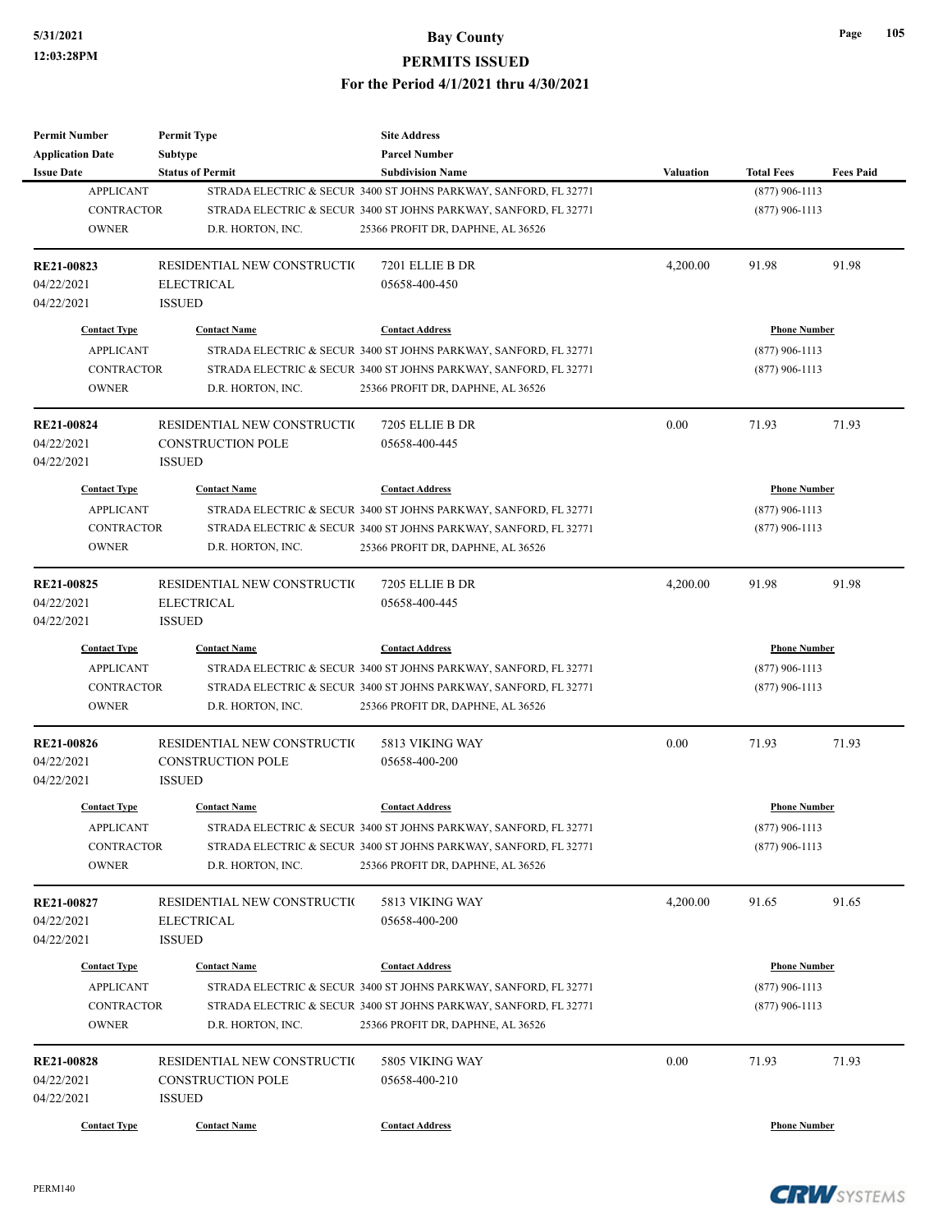| <b>Permit Number</b>              | <b>Permit Type</b>           | <b>Site Address</b>                                                                                   |                  |                     |                  |
|-----------------------------------|------------------------------|-------------------------------------------------------------------------------------------------------|------------------|---------------------|------------------|
| <b>Application Date</b>           | <b>Subtype</b>               | <b>Parcel Number</b>                                                                                  |                  |                     |                  |
| <b>Issue Date</b>                 | <b>Status of Permit</b>      | <b>Subdivision Name</b>                                                                               | <b>Valuation</b> | <b>Total Fees</b>   | <b>Fees Paid</b> |
| <b>APPLICANT</b>                  |                              | STRADA ELECTRIC & SECUR 3400 ST JOHNS PARKWAY, SANFORD, FL 32771                                      |                  | $(877)$ 906-1113    |                  |
| <b>CONTRACTOR</b>                 |                              | STRADA ELECTRIC & SECUR 3400 ST JOHNS PARKWAY, SANFORD, FL 32771                                      |                  | $(877)$ 906-1113    |                  |
| <b>OWNER</b>                      | D.R. HORTON, INC.            | 25366 PROFIT DR, DAPHNE, AL 36526                                                                     |                  |                     |                  |
| RE21-00823                        | RESIDENTIAL NEW CONSTRUCTION | 7201 ELLIE B DR                                                                                       | 4,200.00         | 91.98               | 91.98            |
| 04/22/2021                        | <b>ELECTRICAL</b>            | 05658-400-450                                                                                         |                  |                     |                  |
| 04/22/2021                        | <b>ISSUED</b>                |                                                                                                       |                  |                     |                  |
| <b>Contact Type</b>               | <b>Contact Name</b>          | <b>Contact Address</b>                                                                                |                  | <b>Phone Number</b> |                  |
| <b>APPLICANT</b>                  |                              | STRADA ELECTRIC & SECUR 3400 ST JOHNS PARKWAY, SANFORD, FL 32771                                      |                  | $(877)$ 906-1113    |                  |
| <b>CONTRACTOR</b>                 |                              | STRADA ELECTRIC & SECUR 3400 ST JOHNS PARKWAY, SANFORD, FL 32771                                      |                  | $(877)$ 906-1113    |                  |
| <b>OWNER</b>                      | D.R. HORTON, INC.            | 25366 PROFIT DR, DAPHNE, AL 36526                                                                     |                  |                     |                  |
| <b>RE21-00824</b>                 | RESIDENTIAL NEW CONSTRUCTIO  | 7205 ELLIE B DR                                                                                       | 0.00             | 71.93               | 71.93            |
| 04/22/2021                        | <b>CONSTRUCTION POLE</b>     | 05658-400-445                                                                                         |                  |                     |                  |
| 04/22/2021                        | <b>ISSUED</b>                |                                                                                                       |                  |                     |                  |
| <b>Contact Type</b>               | <b>Contact Name</b>          | <b>Contact Address</b>                                                                                |                  | <b>Phone Number</b> |                  |
| <b>APPLICANT</b>                  |                              | STRADA ELECTRIC & SECUR 3400 ST JOHNS PARKWAY, SANFORD, FL 32771                                      |                  | $(877)$ 906-1113    |                  |
| <b>CONTRACTOR</b>                 |                              | STRADA ELECTRIC & SECUR 3400 ST JOHNS PARKWAY, SANFORD, FL 32771                                      |                  | $(877)$ 906-1113    |                  |
| <b>OWNER</b>                      | D.R. HORTON, INC.            | 25366 PROFIT DR, DAPHNE, AL 36526                                                                     |                  |                     |                  |
|                                   |                              |                                                                                                       |                  |                     |                  |
| RE21-00825                        | RESIDENTIAL NEW CONSTRUCTIO  | 7205 ELLIE B DR                                                                                       | 4,200.00         | 91.98               | 91.98            |
| 04/22/2021                        | <b>ELECTRICAL</b>            | 05658-400-445                                                                                         |                  |                     |                  |
| 04/22/2021                        | <b>ISSUED</b>                |                                                                                                       |                  |                     |                  |
| <b>Contact Type</b>               | <b>Contact Name</b>          | <b>Contact Address</b>                                                                                |                  | <b>Phone Number</b> |                  |
| <b>APPLICANT</b>                  |                              | STRADA ELECTRIC & SECUR 3400 ST JOHNS PARKWAY, SANFORD, FL 32771                                      |                  | $(877)$ 906-1113    |                  |
| <b>CONTRACTOR</b>                 |                              | STRADA ELECTRIC & SECUR 3400 ST JOHNS PARKWAY, SANFORD, FL 32771                                      |                  | $(877)$ 906-1113    |                  |
| <b>OWNER</b>                      | D.R. HORTON, INC.            | 25366 PROFIT DR, DAPHNE, AL 36526                                                                     |                  |                     |                  |
| <b>RE21-00826</b>                 | RESIDENTIAL NEW CONSTRUCTIO  | 5813 VIKING WAY                                                                                       | 0.00             | 71.93               | 71.93            |
| 04/22/2021                        | <b>CONSTRUCTION POLE</b>     | 05658-400-200                                                                                         |                  |                     |                  |
| 04/22/2021                        | <b>ISSUED</b>                |                                                                                                       |                  |                     |                  |
| <b>Contact Type</b>               | <b>Contact Name</b>          | <b>Contact Address</b>                                                                                |                  | <b>Phone Number</b> |                  |
| <b>APPLICANT</b>                  |                              |                                                                                                       |                  |                     |                  |
|                                   |                              | STRADA ELECTRIC & SECUR 3400 ST JOHNS PARKWAY, SANFORD, FL 32771                                      |                  | $(877)$ 906-1113    |                  |
| <b>CONTRACTOR</b><br><b>OWNER</b> | D.R. HORTON, INC.            | STRADA ELECTRIC & SECUR 3400 ST JOHNS PARKWAY, SANFORD, FL 32771<br>25366 PROFIT DR, DAPHNE, AL 36526 |                  | $(877)$ 906-1113    |                  |
|                                   |                              |                                                                                                       |                  |                     |                  |
| RE21-00827                        | RESIDENTIAL NEW CONSTRUCTIO  | 5813 VIKING WAY                                                                                       | 4,200.00         | 91.65               | 91.65            |
| 04/22/2021                        | <b>ELECTRICAL</b>            | 05658-400-200                                                                                         |                  |                     |                  |
| 04/22/2021                        | <b>ISSUED</b>                |                                                                                                       |                  |                     |                  |
| <b>Contact Type</b>               | <b>Contact Name</b>          | <b>Contact Address</b>                                                                                |                  | <b>Phone Number</b> |                  |
| <b>APPLICANT</b>                  |                              | STRADA ELECTRIC & SECUR 3400 ST JOHNS PARKWAY, SANFORD, FL 32771                                      |                  | $(877)$ 906-1113    |                  |
| <b>CONTRACTOR</b>                 |                              | STRADA ELECTRIC & SECUR 3400 ST JOHNS PARKWAY, SANFORD, FL 32771                                      |                  | $(877)$ 906-1113    |                  |
| <b>OWNER</b>                      | D.R. HORTON, INC.            | 25366 PROFIT DR, DAPHNE, AL 36526                                                                     |                  |                     |                  |
| <b>RE21-00828</b>                 | RESIDENTIAL NEW CONSTRUCTIO  | 5805 VIKING WAY                                                                                       | 0.00             | 71.93               | 71.93            |
| 04/22/2021                        | <b>CONSTRUCTION POLE</b>     | 05658-400-210                                                                                         |                  |                     |                  |
| 04/22/2021                        | <b>ISSUED</b>                |                                                                                                       |                  |                     |                  |
|                                   |                              |                                                                                                       |                  |                     |                  |
| <b>Contact Type</b>               | <b>Contact Name</b>          | <b>Contact Address</b>                                                                                |                  | <b>Phone Number</b> |                  |



**Page 105**

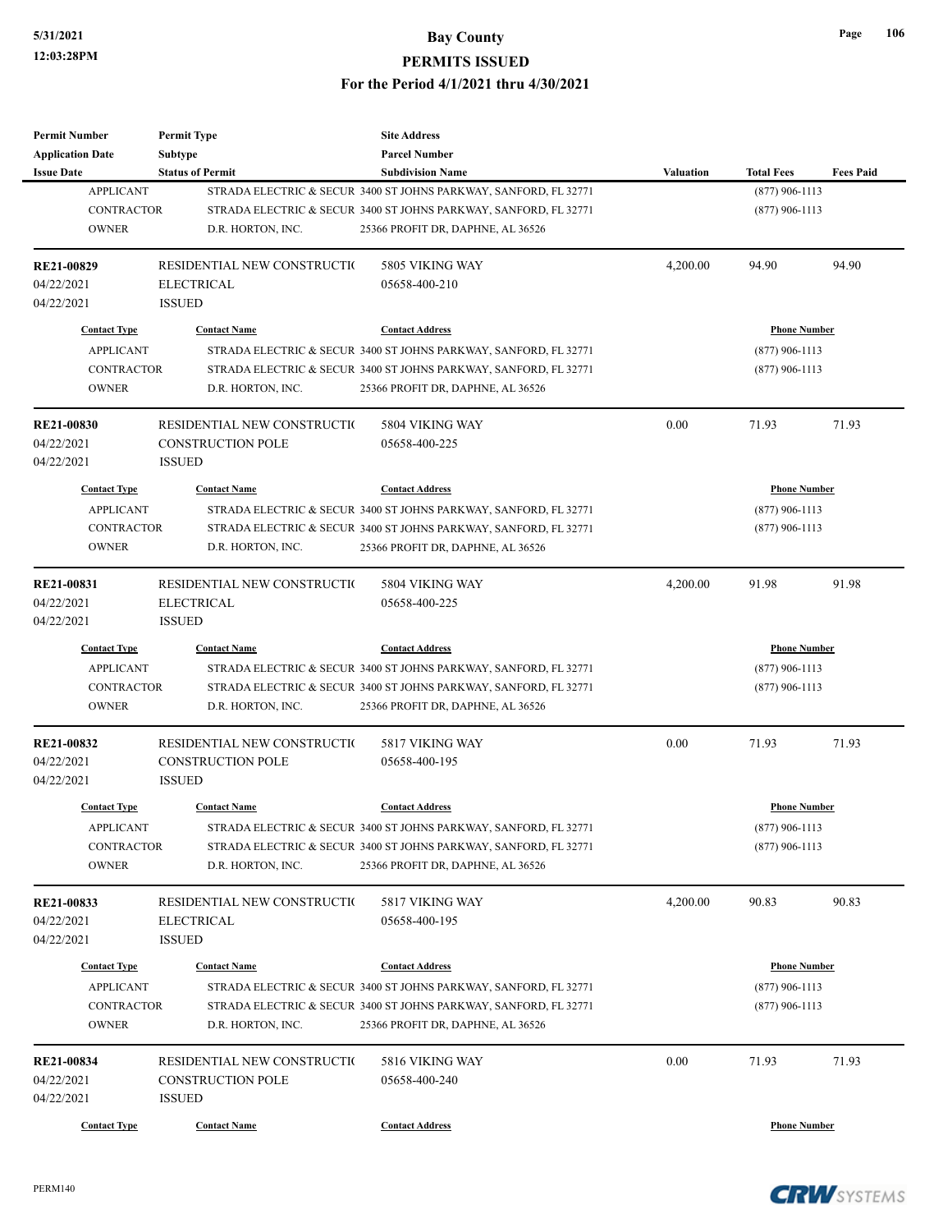| <b>Permit Number</b>    | <b>Permit Type</b>           | <b>Site Address</b>                                              |                  |                     |                     |  |
|-------------------------|------------------------------|------------------------------------------------------------------|------------------|---------------------|---------------------|--|
| <b>Application Date</b> | <b>Subtype</b>               | <b>Parcel Number</b>                                             |                  |                     |                     |  |
| <b>Issue Date</b>       | <b>Status of Permit</b>      | <b>Subdivision Name</b>                                          | <b>Valuation</b> | <b>Total Fees</b>   | <b>Fees Paid</b>    |  |
| <b>APPLICANT</b>        |                              | STRADA ELECTRIC & SECUR 3400 ST JOHNS PARKWAY, SANFORD, FL 32771 |                  | $(877)$ 906-1113    |                     |  |
| <b>CONTRACTOR</b>       |                              | STRADA ELECTRIC & SECUR 3400 ST JOHNS PARKWAY, SANFORD, FL 32771 |                  | $(877)$ 906-1113    |                     |  |
| <b>OWNER</b>            | D.R. HORTON, INC.            | 25366 PROFIT DR, DAPHNE, AL 36526                                |                  |                     |                     |  |
| RE21-00829              | RESIDENTIAL NEW CONSTRUCTION | 5805 VIKING WAY                                                  | 4,200.00         | 94.90               | 94.90               |  |
| 04/22/2021              | <b>ELECTRICAL</b>            | 05658-400-210                                                    |                  |                     |                     |  |
| 04/22/2021              | <b>ISSUED</b>                |                                                                  |                  |                     |                     |  |
| <b>Contact Type</b>     | <b>Contact Name</b>          | <b>Contact Address</b>                                           |                  | <b>Phone Number</b> |                     |  |
| <b>APPLICANT</b>        |                              | STRADA ELECTRIC & SECUR 3400 ST JOHNS PARKWAY, SANFORD, FL 32771 |                  | $(877)$ 906-1113    |                     |  |
| <b>CONTRACTOR</b>       |                              | STRADA ELECTRIC & SECUR 3400 ST JOHNS PARKWAY, SANFORD, FL 32771 |                  | $(877)$ 906-1113    |                     |  |
| <b>OWNER</b>            | D.R. HORTON, INC.            | 25366 PROFIT DR, DAPHNE, AL 36526                                |                  |                     |                     |  |
| <b>RE21-00830</b>       | RESIDENTIAL NEW CONSTRUCTIO  | 5804 VIKING WAY                                                  | 0.00             | 71.93               | 71.93               |  |
| 04/22/2021              | <b>CONSTRUCTION POLE</b>     | 05658-400-225                                                    |                  |                     |                     |  |
| 04/22/2021              | <b>ISSUED</b>                |                                                                  |                  |                     |                     |  |
| <b>Contact Type</b>     | <b>Contact Name</b>          | <b>Contact Address</b>                                           |                  | <b>Phone Number</b> |                     |  |
| <b>APPLICANT</b>        |                              | STRADA ELECTRIC & SECUR 3400 ST JOHNS PARKWAY, SANFORD, FL 32771 |                  | $(877)$ 906-1113    |                     |  |
| <b>CONTRACTOR</b>       |                              | STRADA ELECTRIC & SECUR 3400 ST JOHNS PARKWAY, SANFORD, FL 32771 |                  | $(877)$ 906-1113    |                     |  |
| <b>OWNER</b>            | D.R. HORTON, INC.            | 25366 PROFIT DR, DAPHNE, AL 36526                                |                  |                     |                     |  |
|                         |                              |                                                                  |                  |                     |                     |  |
| RE21-00831              | RESIDENTIAL NEW CONSTRUCTIO  | 5804 VIKING WAY                                                  | 4,200.00         | 91.98               | 91.98               |  |
| 04/22/2021              | <b>ELECTRICAL</b>            | 05658-400-225                                                    |                  |                     |                     |  |
| 04/22/2021              | <b>ISSUED</b>                |                                                                  |                  |                     |                     |  |
| <b>Contact Type</b>     | <b>Contact Name</b>          | <b>Contact Address</b>                                           |                  |                     | <b>Phone Number</b> |  |
| <b>APPLICANT</b>        |                              | STRADA ELECTRIC & SECUR 3400 ST JOHNS PARKWAY, SANFORD, FL 32771 |                  | $(877)$ 906-1113    |                     |  |
| <b>CONTRACTOR</b>       |                              | STRADA ELECTRIC & SECUR 3400 ST JOHNS PARKWAY, SANFORD, FL 32771 |                  | $(877)$ 906-1113    |                     |  |
| <b>OWNER</b>            | D.R. HORTON, INC.            | 25366 PROFIT DR, DAPHNE, AL 36526                                |                  |                     |                     |  |
| <b>RE21-00832</b>       | RESIDENTIAL NEW CONSTRUCTIO  | 5817 VIKING WAY                                                  | 0.00             | 71.93               | 71.93               |  |
| 04/22/2021              | <b>CONSTRUCTION POLE</b>     | 05658-400-195                                                    |                  |                     |                     |  |
| 04/22/2021              | <b>ISSUED</b>                |                                                                  |                  |                     |                     |  |
| <b>Contact Type</b>     | <b>Contact Name</b>          | <b>Contact Address</b>                                           |                  | <b>Phone Number</b> |                     |  |
| <b>APPLICANT</b>        |                              | STRADA ELECTRIC & SECUR 3400 ST JOHNS PARKWAY, SANFORD, FL 32771 | $(877)$ 906-1113 |                     |                     |  |
| CONTRACTOR              |                              | STRADA ELECTRIC & SECUR 3400 ST JOHNS PARKWAY, SANFORD, FL 32771 |                  | $(877)$ 906-1113    |                     |  |
| <b>OWNER</b>            | D.R. HORTON, INC.            | 25366 PROFIT DR, DAPHNE, AL 36526                                |                  |                     |                     |  |
|                         |                              |                                                                  |                  |                     |                     |  |
| RE21-00833              | RESIDENTIAL NEW CONSTRUCTIO  | 5817 VIKING WAY                                                  | 4,200.00         | 90.83               | 90.83               |  |
| 04/22/2021              | <b>ELECTRICAL</b>            | 05658-400-195                                                    |                  |                     |                     |  |
| 04/22/2021              | <b>ISSUED</b>                |                                                                  |                  |                     |                     |  |
| <b>Contact Type</b>     | <b>Contact Name</b>          | <b>Contact Address</b>                                           |                  | <b>Phone Number</b> |                     |  |
| <b>APPLICANT</b>        |                              | STRADA ELECTRIC & SECUR 3400 ST JOHNS PARKWAY, SANFORD, FL 32771 |                  | $(877)$ 906-1113    |                     |  |
| <b>CONTRACTOR</b>       |                              | STRADA ELECTRIC & SECUR 3400 ST JOHNS PARKWAY, SANFORD, FL 32771 |                  | $(877)$ 906-1113    |                     |  |
| <b>OWNER</b>            | D.R. HORTON, INC.            | 25366 PROFIT DR, DAPHNE, AL 36526                                |                  |                     |                     |  |
| RE21-00834              | RESIDENTIAL NEW CONSTRUCTIO  | 5816 VIKING WAY                                                  | 0.00             | 71.93               | 71.93               |  |
| 04/22/2021              | CONSTRUCTION POLE            | 05658-400-240                                                    |                  |                     |                     |  |
| 04/22/2021              | <b>ISSUED</b>                |                                                                  |                  |                     |                     |  |
| <b>Contact Type</b>     | <b>Contact Name</b>          | <b>Contact Address</b>                                           |                  | <b>Phone Number</b> |                     |  |
|                         |                              |                                                                  |                  |                     |                     |  |

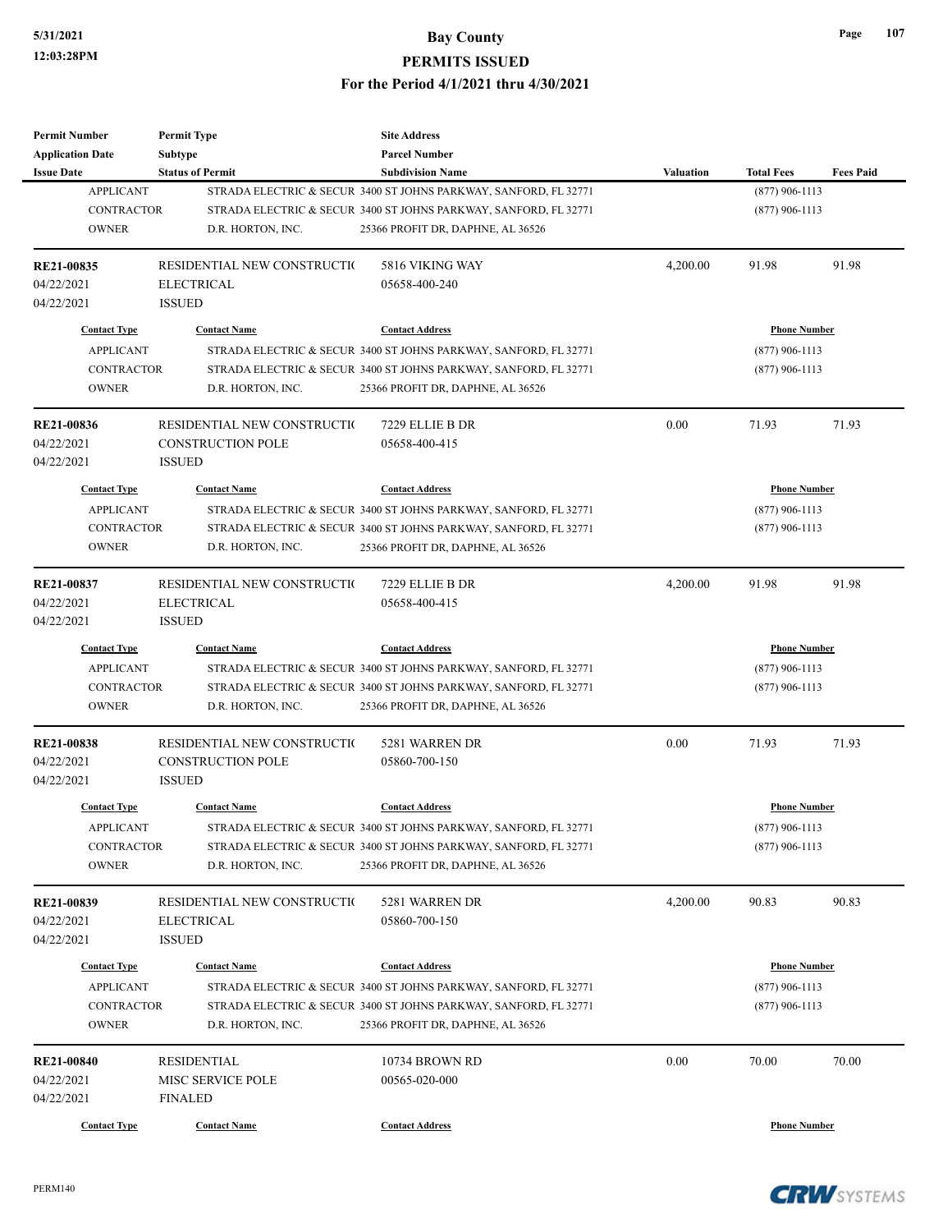| <b>Permit Number</b>     | <b>Permit Type</b>                                | <b>Site Address</b>                                              |                     |                     |                  |
|--------------------------|---------------------------------------------------|------------------------------------------------------------------|---------------------|---------------------|------------------|
| <b>Application Date</b>  | <b>Subtype</b>                                    | <b>Parcel Number</b>                                             |                     |                     |                  |
| <b>Issue Date</b>        | <b>Status of Permit</b>                           | <b>Subdivision Name</b>                                          | <b>Valuation</b>    | <b>Total Fees</b>   | <b>Fees Paid</b> |
| <b>APPLICANT</b>         |                                                   | STRADA ELECTRIC & SECUR 3400 ST JOHNS PARKWAY, SANFORD, FL 32771 |                     | $(877)$ 906-1113    |                  |
| <b>CONTRACTOR</b>        |                                                   | STRADA ELECTRIC & SECUR 3400 ST JOHNS PARKWAY, SANFORD, FL 32771 |                     | $(877)$ 906-1113    |                  |
| <b>OWNER</b>             | D.R. HORTON, INC.                                 | 25366 PROFIT DR, DAPHNE, AL 36526                                |                     |                     |                  |
| <b>RE21-00835</b>        | RESIDENTIAL NEW CONSTRUCTION                      | 5816 VIKING WAY                                                  | 4,200.00            | 91.98               | 91.98            |
| 04/22/2021               | <b>ELECTRICAL</b>                                 | 05658-400-240                                                    |                     |                     |                  |
| 04/22/2021               | <b>ISSUED</b>                                     |                                                                  |                     |                     |                  |
| <b>Contact Type</b>      | <b>Contact Name</b>                               | <b>Contact Address</b>                                           |                     | <b>Phone Number</b> |                  |
| <b>APPLICANT</b>         |                                                   | STRADA ELECTRIC & SECUR 3400 ST JOHNS PARKWAY, SANFORD, FL 32771 |                     | $(877)$ 906-1113    |                  |
| <b>CONTRACTOR</b>        |                                                   | STRADA ELECTRIC & SECUR 3400 ST JOHNS PARKWAY, SANFORD, FL 32771 |                     | $(877)$ 906-1113    |                  |
| <b>OWNER</b>             | D.R. HORTON, INC.                                 | 25366 PROFIT DR, DAPHNE, AL 36526                                |                     |                     |                  |
| RE21-00836               | RESIDENTIAL NEW CONSTRUCTIO                       | 7229 ELLIE B DR                                                  | 0.00                | 71.93               | 71.93            |
|                          |                                                   | 05658-400-415                                                    |                     |                     |                  |
| 04/22/2021<br>04/22/2021 | <b>CONSTRUCTION POLE</b><br><b>ISSUED</b>         |                                                                  |                     |                     |                  |
| <b>Contact Type</b>      | <b>Contact Name</b>                               | <b>Contact Address</b>                                           |                     | <b>Phone Number</b> |                  |
| <b>APPLICANT</b>         |                                                   | STRADA ELECTRIC & SECUR 3400 ST JOHNS PARKWAY, SANFORD, FL 32771 |                     | $(877)$ 906-1113    |                  |
| <b>CONTRACTOR</b>        |                                                   | STRADA ELECTRIC & SECUR 3400 ST JOHNS PARKWAY, SANFORD, FL 32771 |                     | $(877)$ 906-1113    |                  |
| <b>OWNER</b>             | D.R. HORTON, INC.                                 | 25366 PROFIT DR, DAPHNE, AL 36526                                |                     |                     |                  |
|                          |                                                   |                                                                  |                     |                     |                  |
| RE21-00837               | RESIDENTIAL NEW CONSTRUCTIO                       | 7229 ELLIE B DR                                                  | 4,200.00            | 91.98               | 91.98            |
| 04/22/2021               | <b>ELECTRICAL</b>                                 | 05658-400-415                                                    |                     |                     |                  |
| 04/22/2021               | <b>ISSUED</b>                                     |                                                                  |                     |                     |                  |
| <b>Contact Type</b>      | <b>Contact Name</b>                               | <b>Contact Address</b>                                           | <b>Phone Number</b> |                     |                  |
| <b>APPLICANT</b>         |                                                   | STRADA ELECTRIC & SECUR 3400 ST JOHNS PARKWAY, SANFORD, FL 32771 |                     | $(877)$ 906-1113    |                  |
| <b>CONTRACTOR</b>        |                                                   | STRADA ELECTRIC & SECUR 3400 ST JOHNS PARKWAY, SANFORD, FL 32771 |                     | $(877)$ 906-1113    |                  |
| <b>OWNER</b>             | D.R. HORTON, INC.                                 | 25366 PROFIT DR, DAPHNE, AL 36526                                |                     |                     |                  |
| RE21-00838               | RESIDENTIAL NEW CONSTRUCTIO                       | 5281 WARREN DR                                                   | 0.00                | 71.93               | 71.93            |
| 04/22/2021               | CONSTRUCTION POLE                                 | 05860-700-150                                                    |                     |                     |                  |
| 04/22/2021               | <b>ISSUED</b>                                     |                                                                  |                     |                     |                  |
| <b>Contact Type</b>      | <b>Contact Name</b>                               | <b>Contact Address</b>                                           |                     | <b>Phone Number</b> |                  |
| <b>APPLICANT</b>         |                                                   | STRADA ELECTRIC & SECUR 3400 ST JOHNS PARKWAY, SANFORD, FL 32771 |                     | $(877)$ 906-1113    |                  |
| <b>CONTRACTOR</b>        |                                                   | STRADA ELECTRIC & SECUR 3400 ST JOHNS PARKWAY, SANFORD, FL 32771 |                     | $(877)$ 906-1113    |                  |
| <b>OWNER</b>             | D.R. HORTON, INC.                                 | 25366 PROFIT DR, DAPHNE, AL 36526                                |                     |                     |                  |
|                          |                                                   | 5281 WARREN DR                                                   |                     |                     | 90.83            |
| RE21-00839<br>04/22/2021 | RESIDENTIAL NEW CONSTRUCTION<br><b>ELECTRICAL</b> | 05860-700-150                                                    | 4,200.00            | 90.83               |                  |
|                          |                                                   |                                                                  |                     |                     |                  |
| 04/22/2021               | <b>ISSUED</b>                                     |                                                                  |                     |                     |                  |
| <b>Contact Type</b>      | <b>Contact Name</b>                               | <b>Contact Address</b>                                           |                     | <b>Phone Number</b> |                  |
| <b>APPLICANT</b>         |                                                   | STRADA ELECTRIC & SECUR 3400 ST JOHNS PARKWAY, SANFORD, FL 32771 |                     | $(877)$ 906-1113    |                  |
| <b>CONTRACTOR</b>        |                                                   | STRADA ELECTRIC & SECUR 3400 ST JOHNS PARKWAY, SANFORD, FL 32771 |                     | $(877)$ 906-1113    |                  |
| <b>OWNER</b>             | D.R. HORTON, INC.                                 | 25366 PROFIT DR, DAPHNE, AL 36526                                |                     |                     |                  |
| <b>RE21-00840</b>        | <b>RESIDENTIAL</b>                                | 10734 BROWN RD                                                   | 0.00                | 70.00               | 70.00            |
| 04/22/2021               | MISC SERVICE POLE                                 | 00565-020-000                                                    |                     |                     |                  |
| 04/22/2021               | <b>FINALED</b>                                    |                                                                  |                     |                     |                  |
| <b>Contact Type</b>      | <b>Contact Name</b>                               | <b>Contact Address</b>                                           |                     | <b>Phone Number</b> |                  |
|                          |                                                   |                                                                  |                     |                     |                  |

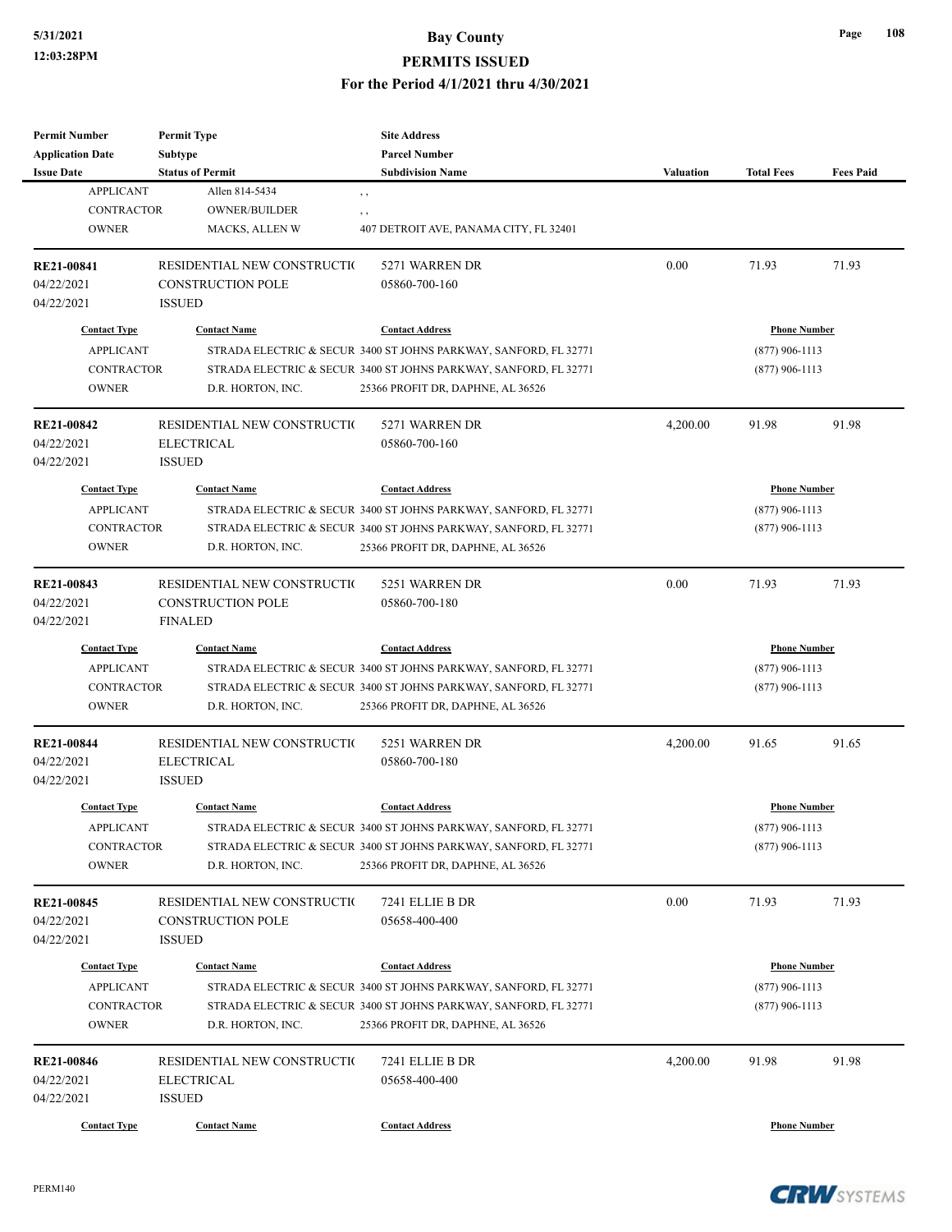# **5/31/2021 Bay County PERMITS ISSUED**

#### **For the Period 4/1/2021 thru 4/30/2021**

| <b>Permit Number</b><br><b>Application Date</b> | <b>Permit Type</b><br><b>Subtype</b>                    | <b>Site Address</b><br><b>Parcel Number</b>                      |                     |                     |                  |
|-------------------------------------------------|---------------------------------------------------------|------------------------------------------------------------------|---------------------|---------------------|------------------|
| <b>Issue Date</b>                               | <b>Status of Permit</b>                                 | <b>Subdivision Name</b>                                          | <b>Valuation</b>    | <b>Total Fees</b>   | <b>Fees Paid</b> |
| <b>APPLICANT</b>                                | Allen 814-5434                                          | , ,                                                              |                     |                     |                  |
| <b>CONTRACTOR</b>                               | <b>OWNER/BUILDER</b>                                    | , ,                                                              |                     |                     |                  |
| <b>OWNER</b>                                    | <b>MACKS, ALLEN W</b>                                   | 407 DETROIT AVE, PANAMA CITY, FL 32401                           |                     |                     |                  |
| RE21-00841                                      | RESIDENTIAL NEW CONSTRUCTIO                             | 5271 WARREN DR                                                   | 0.00                | 71.93               | 71.93            |
| 04/22/2021                                      | <b>CONSTRUCTION POLE</b>                                | 05860-700-160                                                    |                     |                     |                  |
| 04/22/2021                                      | <b>ISSUED</b>                                           |                                                                  |                     |                     |                  |
| <b>Contact Type</b>                             | <b>Contact Name</b>                                     | <b>Contact Address</b>                                           |                     | <b>Phone Number</b> |                  |
| <b>APPLICANT</b>                                |                                                         | STRADA ELECTRIC & SECUR 3400 ST JOHNS PARKWAY, SANFORD, FL 32771 |                     | $(877)$ 906-1113    |                  |
| <b>CONTRACTOR</b>                               |                                                         | STRADA ELECTRIC & SECUR 3400 ST JOHNS PARKWAY, SANFORD, FL 32771 |                     | $(877)$ 906-1113    |                  |
| <b>OWNER</b>                                    | D.R. HORTON, INC.                                       | 25366 PROFIT DR, DAPHNE, AL 36526                                |                     |                     |                  |
| <b>RE21-00842</b>                               | RESIDENTIAL NEW CONSTRUCTION                            | 5271 WARREN DR                                                   | 4,200.00            | 91.98               | 91.98            |
| 04/22/2021                                      | <b>ELECTRICAL</b>                                       | 05860-700-160                                                    |                     |                     |                  |
| 04/22/2021                                      | <b>ISSUED</b>                                           |                                                                  |                     |                     |                  |
| <b>Contact Type</b>                             | <b>Contact Name</b>                                     | <b>Contact Address</b>                                           | <b>Phone Number</b> |                     |                  |
| <b>APPLICANT</b>                                |                                                         | STRADA ELECTRIC & SECUR 3400 ST JOHNS PARKWAY, SANFORD, FL 32771 |                     | $(877)$ 906-1113    |                  |
| <b>CONTRACTOR</b>                               |                                                         | STRADA ELECTRIC & SECUR 3400 ST JOHNS PARKWAY, SANFORD, FL 32771 |                     | $(877)$ 906-1113    |                  |
| <b>OWNER</b>                                    | D.R. HORTON, INC.                                       | 25366 PROFIT DR, DAPHNE, AL 36526                                |                     |                     |                  |
|                                                 |                                                         |                                                                  |                     |                     |                  |
| RE21-00843<br>04/22/2021                        | RESIDENTIAL NEW CONSTRUCTIO<br><b>CONSTRUCTION POLE</b> | 5251 WARREN DR<br>05860-700-180                                  | 0.00                | 71.93               | 71.93            |
| 04/22/2021                                      | <b>FINALED</b>                                          |                                                                  |                     |                     |                  |
|                                                 |                                                         |                                                                  |                     |                     |                  |
| <b>Contact Name</b><br><b>Contact Type</b>      |                                                         | <b>Contact Address</b>                                           | <b>Phone Number</b> |                     |                  |
| <b>APPLICANT</b>                                |                                                         | STRADA ELECTRIC & SECUR 3400 ST JOHNS PARKWAY, SANFORD, FL 32771 | $(877)$ 906-1113    |                     |                  |
| <b>CONTRACTOR</b>                               |                                                         | STRADA ELECTRIC & SECUR 3400 ST JOHNS PARKWAY, SANFORD, FL 32771 |                     | $(877)$ 906-1113    |                  |
| <b>OWNER</b>                                    | D.R. HORTON, INC.                                       | 25366 PROFIT DR, DAPHNE, AL 36526                                |                     |                     |                  |
| <b>RE21-00844</b>                               | RESIDENTIAL NEW CONSTRUCTIO                             | 5251 WARREN DR                                                   | 4,200.00            | 91.65               | 91.65            |
| 04/22/2021                                      | <b>ELECTRICAL</b>                                       | 05860-700-180                                                    |                     |                     |                  |
| 04/22/2021                                      | <b>ISSUED</b>                                           |                                                                  |                     |                     |                  |
| <b>Contact Type</b>                             | <b>Contact Name</b>                                     | <b>Contact Address</b>                                           | <b>Phone Number</b> |                     |                  |
| <b>APPLICANT</b>                                |                                                         | STRADA ELECTRIC & SECUR 3400 ST JOHNS PARKWAY, SANFORD, FL 32771 |                     | $(877)$ 906-1113    |                  |
| <b>CONTRACTOR</b>                               |                                                         | STRADA ELECTRIC & SECUR 3400 ST JOHNS PARKWAY, SANFORD, FL 32771 |                     | $(877)$ 906-1113    |                  |
| <b>OWNER</b>                                    | D.R. HORTON, INC.                                       | 25366 PROFIT DR, DAPHNE, AL 36526                                |                     |                     |                  |
| <b>RE21-00845</b>                               | RESIDENTIAL NEW CONSTRUCTIO                             | 7241 ELLIE B DR                                                  | 0.00                | 71.93               | 71.93            |
| 04/22/2021                                      | <b>CONSTRUCTION POLE</b>                                | 05658-400-400                                                    |                     |                     |                  |
| 04/22/2021                                      | <b>ISSUED</b>                                           |                                                                  |                     |                     |                  |
| <b>Contact Type</b>                             | <b>Contact Name</b>                                     | <b>Contact Address</b>                                           | <b>Phone Number</b> |                     |                  |
| <b>APPLICANT</b>                                |                                                         | STRADA ELECTRIC & SECUR 3400 ST JOHNS PARKWAY, SANFORD, FL 32771 | $(877)$ 906-1113    |                     |                  |
| <b>CONTRACTOR</b>                               |                                                         | STRADA ELECTRIC & SECUR 3400 ST JOHNS PARKWAY, SANFORD, FL 32771 |                     | $(877)$ 906-1113    |                  |
| <b>OWNER</b>                                    | D.R. HORTON, INC.                                       | 25366 PROFIT DR, DAPHNE, AL 36526                                |                     |                     |                  |
| <b>RE21-00846</b>                               | RESIDENTIAL NEW CONSTRUCTIO                             | 7241 ELLIE B DR                                                  | 4,200.00            | 91.98               | 91.98            |
| 04/22/2021                                      | <b>ELECTRICAL</b>                                       | 05658-400-400                                                    |                     |                     |                  |
| 04/22/2021                                      | <b>ISSUED</b>                                           |                                                                  |                     |                     |                  |
| <b>Contact Type</b>                             | <b>Contact Name</b>                                     | <b>Contact Address</b>                                           |                     | <b>Phone Number</b> |                  |
|                                                 |                                                         |                                                                  |                     |                     |                  |

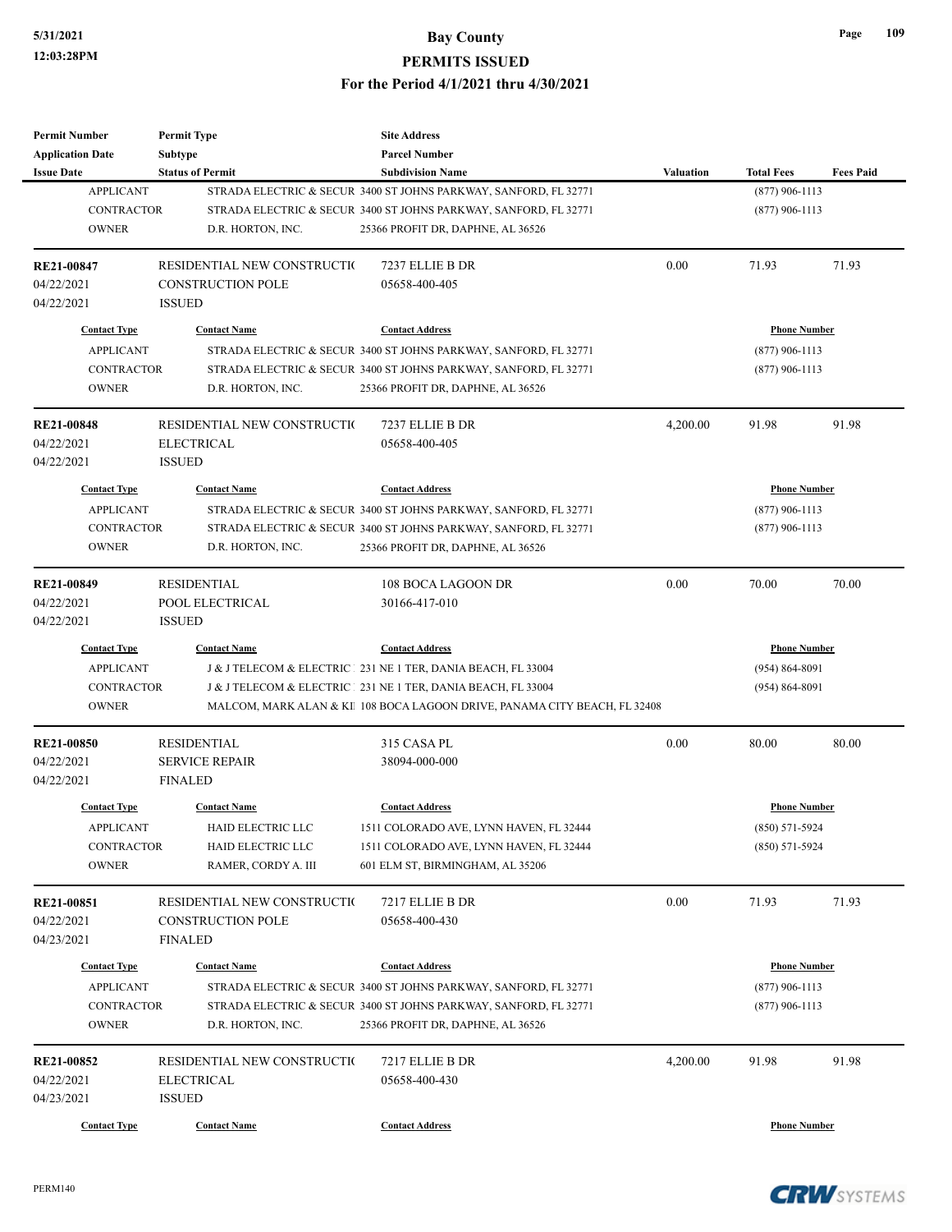| <b>Permit Number</b>    | <b>Permit Type</b>          | <b>Site Address</b>                                                       |                  |                     |                  |
|-------------------------|-----------------------------|---------------------------------------------------------------------------|------------------|---------------------|------------------|
| <b>Application Date</b> | <b>Subtype</b>              | <b>Parcel Number</b>                                                      |                  |                     |                  |
| <b>Issue Date</b>       | <b>Status of Permit</b>     | <b>Subdivision Name</b>                                                   | <b>Valuation</b> | <b>Total Fees</b>   | <b>Fees Paid</b> |
| <b>APPLICANT</b>        |                             | STRADA ELECTRIC & SECUR 3400 ST JOHNS PARKWAY, SANFORD, FL 32771          |                  | $(877)$ 906-1113    |                  |
| <b>CONTRACTOR</b>       |                             | STRADA ELECTRIC & SECUR 3400 ST JOHNS PARKWAY, SANFORD, FL 32771          |                  | $(877)$ 906-1113    |                  |
| <b>OWNER</b>            | D.R. HORTON, INC.           | 25366 PROFIT DR, DAPHNE, AL 36526                                         |                  |                     |                  |
| RE21-00847              | RESIDENTIAL NEW CONSTRUCTIO | 7237 ELLIE B DR                                                           | 0.00             | 71.93               | 71.93            |
| 04/22/2021              | <b>CONSTRUCTION POLE</b>    | 05658-400-405                                                             |                  |                     |                  |
| 04/22/2021              | <b>ISSUED</b>               |                                                                           |                  |                     |                  |
| <b>Contact Type</b>     | <b>Contact Name</b>         | <b>Contact Address</b>                                                    |                  | <b>Phone Number</b> |                  |
| <b>APPLICANT</b>        |                             | STRADA ELECTRIC & SECUR 3400 ST JOHNS PARKWAY, SANFORD, FL 32771          |                  | $(877)$ 906-1113    |                  |
| <b>CONTRACTOR</b>       |                             | STRADA ELECTRIC & SECUR 3400 ST JOHNS PARKWAY, SANFORD, FL 32771          |                  | $(877)$ 906-1113    |                  |
| <b>OWNER</b>            | D.R. HORTON, INC.           | 25366 PROFIT DR, DAPHNE, AL 36526                                         |                  |                     |                  |
| <b>RE21-00848</b>       | RESIDENTIAL NEW CONSTRUCTIO | 7237 ELLIE B DR                                                           | 4,200.00         | 91.98               | 91.98            |
| 04/22/2021              | <b>ELECTRICAL</b>           | 05658-400-405                                                             |                  |                     |                  |
| 04/22/2021              | <b>ISSUED</b>               |                                                                           |                  |                     |                  |
| <b>Contact Type</b>     | <b>Contact Name</b>         | <b>Contact Address</b>                                                    |                  | <b>Phone Number</b> |                  |
| <b>APPLICANT</b>        |                             | STRADA ELECTRIC & SECUR 3400 ST JOHNS PARKWAY, SANFORD, FL 32771          |                  | $(877)$ 906-1113    |                  |
| <b>CONTRACTOR</b>       |                             | STRADA ELECTRIC & SECUR 3400 ST JOHNS PARKWAY, SANFORD, FL 32771          |                  | $(877)$ 906-1113    |                  |
| <b>OWNER</b>            | D.R. HORTON, INC.           | 25366 PROFIT DR, DAPHNE, AL 36526                                         |                  |                     |                  |
|                         |                             |                                                                           |                  |                     |                  |
| RE21-00849              | <b>RESIDENTIAL</b>          | 108 BOCA LAGOON DR                                                        | 0.00             | 70.00               | 70.00            |
| 04/22/2021              | POOL ELECTRICAL             | 30166-417-010                                                             |                  |                     |                  |
| 04/22/2021              | <b>ISSUED</b>               |                                                                           |                  |                     |                  |
| <b>Contact Type</b>     | <b>Contact Name</b>         | <b>Contact Address</b>                                                    |                  | <b>Phone Number</b> |                  |
| <b>APPLICANT</b>        |                             | J & J TELECOM & ELECTRIC 231 NE 1 TER, DANIA BEACH, FL 33004              |                  | $(954) 864 - 8091$  |                  |
| <b>CONTRACTOR</b>       |                             | J & J TELECOM & ELECTRIC 231 NE 1 TER, DANIA BEACH, FL 33004              |                  | $(954) 864 - 8091$  |                  |
| <b>OWNER</b>            |                             | MALCOM, MARK ALAN & KI 108 BOCA LAGOON DRIVE, PANAMA CITY BEACH, FL 32408 |                  |                     |                  |
| <b>RE21-00850</b>       | <b>RESIDENTIAL</b>          | 315 CASA PL                                                               | 0.00             | 80.00               | 80.00            |
| 04/22/2021              | <b>SERVICE REPAIR</b>       | 38094-000-000                                                             |                  |                     |                  |
| 04/22/2021              | <b>FINALED</b>              |                                                                           |                  |                     |                  |
| <b>Contact Type</b>     | <b>Contact Name</b>         | <b>Contact Address</b>                                                    |                  | <b>Phone Number</b> |                  |
| <b>APPLICANT</b>        | HAID ELECTRIC LLC           | 1511 COLORADO AVE, LYNN HAVEN, FL 32444                                   |                  | $(850) 571 - 5924$  |                  |
| <b>CONTRACTOR</b>       | HAID ELECTRIC LLC           | 1511 COLORADO AVE, LYNN HAVEN, FL 32444                                   |                  | $(850) 571 - 5924$  |                  |
| <b>OWNER</b>            | RAMER, CORDY A. III         | 601 ELM ST, BIRMINGHAM, AL 35206                                          |                  |                     |                  |
| <b>RE21-00851</b>       | RESIDENTIAL NEW CONSTRUCTIO | 7217 ELLIE B DR                                                           | 0.00             | 71.93               | 71.93            |
| 04/22/2021              | <b>CONSTRUCTION POLE</b>    | 05658-400-430                                                             |                  |                     |                  |
| 04/23/2021              | <b>FINALED</b>              |                                                                           |                  |                     |                  |
|                         |                             |                                                                           |                  |                     |                  |
| <b>Contact Type</b>     | <b>Contact Name</b>         | <b>Contact Address</b>                                                    |                  | <b>Phone Number</b> |                  |
| <b>APPLICANT</b>        |                             | STRADA ELECTRIC & SECUR 3400 ST JOHNS PARKWAY, SANFORD, FL 32771          |                  | $(877)$ 906-1113    |                  |
| <b>CONTRACTOR</b>       |                             | STRADA ELECTRIC & SECUR 3400 ST JOHNS PARKWAY, SANFORD, FL 32771          |                  | $(877)$ 906-1113    |                  |
| <b>OWNER</b>            | D.R. HORTON, INC.           | 25366 PROFIT DR, DAPHNE, AL 36526                                         |                  |                     |                  |
| RE21-00852              | RESIDENTIAL NEW CONSTRUCTIO | 7217 ELLIE B DR                                                           | 4,200.00         | 91.98               | 91.98            |
| 04/22/2021              | ELECTRICAL                  | 05658-400-430                                                             |                  |                     |                  |
| 04/23/2021              | <b>ISSUED</b>               |                                                                           |                  |                     |                  |
|                         |                             |                                                                           |                  |                     |                  |
| <b>Contact Type</b>     | <b>Contact Name</b>         | <b>Contact Address</b>                                                    |                  | <b>Phone Number</b> |                  |

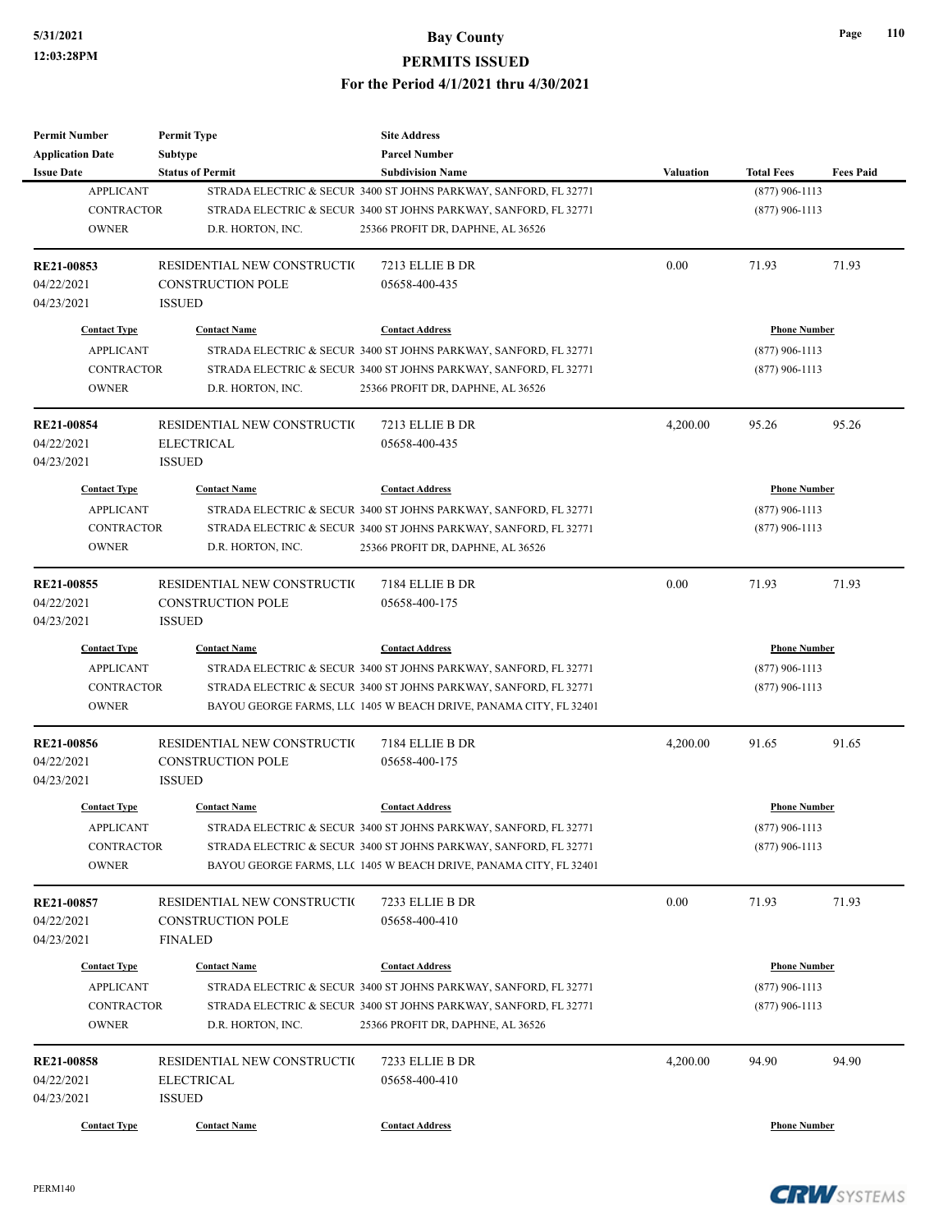| <b>Permit Number</b>    | <b>Permit Type</b>           | <b>Site Address</b>                                               |                     |                     |                  |
|-------------------------|------------------------------|-------------------------------------------------------------------|---------------------|---------------------|------------------|
| <b>Application Date</b> | <b>Subtype</b>               | <b>Parcel Number</b>                                              |                     |                     |                  |
| <b>Issue Date</b>       | <b>Status of Permit</b>      | <b>Subdivision Name</b>                                           | <b>Valuation</b>    | <b>Total Fees</b>   | <b>Fees Paid</b> |
| <b>APPLICANT</b>        |                              | STRADA ELECTRIC & SECUR 3400 ST JOHNS PARKWAY, SANFORD, FL 32771  |                     | $(877)$ 906-1113    |                  |
| <b>CONTRACTOR</b>       |                              | STRADA ELECTRIC & SECUR 3400 ST JOHNS PARKWAY, SANFORD, FL 32771  |                     | $(877)$ 906-1113    |                  |
| <b>OWNER</b>            | D.R. HORTON, INC.            | 25366 PROFIT DR, DAPHNE, AL 36526                                 |                     |                     |                  |
| <b>RE21-00853</b>       | RESIDENTIAL NEW CONSTRUCTIO  | 7213 ELLIE B DR                                                   | 0.00                | 71.93               | 71.93            |
| 04/22/2021              | <b>CONSTRUCTION POLE</b>     | 05658-400-435                                                     |                     |                     |                  |
| 04/23/2021              | <b>ISSUED</b>                |                                                                   |                     |                     |                  |
| <b>Contact Type</b>     | <b>Contact Name</b>          | <b>Contact Address</b>                                            |                     | <b>Phone Number</b> |                  |
| <b>APPLICANT</b>        |                              | STRADA ELECTRIC & SECUR 3400 ST JOHNS PARKWAY, SANFORD, FL 32771  |                     | $(877)$ 906-1113    |                  |
| <b>CONTRACTOR</b>       |                              | STRADA ELECTRIC & SECUR 3400 ST JOHNS PARKWAY, SANFORD, FL 32771  |                     | $(877)$ 906-1113    |                  |
| <b>OWNER</b>            | D.R. HORTON, INC.            | 25366 PROFIT DR, DAPHNE, AL 36526                                 |                     |                     |                  |
| <b>RE21-00854</b>       | RESIDENTIAL NEW CONSTRUCTION | 7213 ELLIE B DR                                                   | 4,200.00            | 95.26               | 95.26            |
| 04/22/2021              | <b>ELECTRICAL</b>            | 05658-400-435                                                     |                     |                     |                  |
| 04/23/2021              | <b>ISSUED</b>                |                                                                   |                     |                     |                  |
| <b>Contact Type</b>     | <b>Contact Name</b>          | <b>Contact Address</b>                                            |                     | <b>Phone Number</b> |                  |
| <b>APPLICANT</b>        |                              | STRADA ELECTRIC & SECUR 3400 ST JOHNS PARKWAY, SANFORD, FL 32771  |                     | $(877)$ 906-1113    |                  |
| <b>CONTRACTOR</b>       |                              | STRADA ELECTRIC & SECUR 3400 ST JOHNS PARKWAY, SANFORD, FL 32771  |                     | $(877)$ 906-1113    |                  |
| <b>OWNER</b>            | D.R. HORTON, INC.            | 25366 PROFIT DR, DAPHNE, AL 36526                                 |                     |                     |                  |
|                         |                              |                                                                   |                     |                     |                  |
| <b>RE21-00855</b>       | RESIDENTIAL NEW CONSTRUCTIO  | 7184 ELLIE B DR                                                   | 0.00                | 71.93               | 71.93            |
| 04/22/2021              | <b>CONSTRUCTION POLE</b>     | 05658-400-175                                                     |                     |                     |                  |
| 04/23/2021              | <b>ISSUED</b>                |                                                                   |                     |                     |                  |
| <b>Contact Type</b>     | <b>Contact Name</b>          | <b>Contact Address</b>                                            | <b>Phone Number</b> |                     |                  |
| <b>APPLICANT</b>        |                              | STRADA ELECTRIC & SECUR 3400 ST JOHNS PARKWAY, SANFORD, FL 32771  |                     | $(877)$ 906-1113    |                  |
| <b>CONTRACTOR</b>       |                              | STRADA ELECTRIC & SECUR 3400 ST JOHNS PARKWAY, SANFORD, FL 32771  |                     | $(877)$ 906-1113    |                  |
| <b>OWNER</b>            |                              | BAYOU GEORGE FARMS, LLC 1405 W BEACH DRIVE, PANAMA CITY, FL 32401 |                     |                     |                  |
| <b>RE21-00856</b>       | RESIDENTIAL NEW CONSTRUCTIO  | 7184 ELLIE B DR                                                   | 4,200.00            | 91.65               | 91.65            |
| 04/22/2021              | <b>CONSTRUCTION POLE</b>     | 05658-400-175                                                     |                     |                     |                  |
| 04/23/2021              | <b>ISSUED</b>                |                                                                   |                     |                     |                  |
| <b>Contact Type</b>     | <b>Contact Name</b>          | <b>Contact Address</b>                                            |                     | <b>Phone Number</b> |                  |
| <b>APPLICANT</b>        |                              | STRADA ELECTRIC & SECUR 3400 ST JOHNS PARKWAY, SANFORD, FL 32771  |                     | $(877)$ 906-1113    |                  |
| <b>CONTRACTOR</b>       |                              | STRADA ELECTRIC & SECUR 3400 ST JOHNS PARKWAY, SANFORD, FL 32771  |                     | $(877)$ 906-1113    |                  |
| <b>OWNER</b>            |                              | BAYOU GEORGE FARMS, LLC 1405 W BEACH DRIVE, PANAMA CITY, FL 32401 |                     |                     |                  |
| RE21-00857              | RESIDENTIAL NEW CONSTRUCTIO  | 7233 ELLIE B DR                                                   | 0.00                | 71.93               | 71.93            |
| 04/22/2021              | <b>CONSTRUCTION POLE</b>     | 05658-400-410                                                     |                     |                     |                  |
| 04/23/2021              | <b>FINALED</b>               |                                                                   |                     |                     |                  |
|                         |                              |                                                                   |                     |                     |                  |
| <b>Contact Type</b>     | <b>Contact Name</b>          | <b>Contact Address</b>                                            |                     | <b>Phone Number</b> |                  |
| <b>APPLICANT</b>        |                              | STRADA ELECTRIC & SECUR 3400 ST JOHNS PARKWAY, SANFORD, FL 32771  |                     | $(877)$ 906-1113    |                  |
| CONTRACTOR              |                              | STRADA ELECTRIC & SECUR 3400 ST JOHNS PARKWAY, SANFORD, FL 32771  |                     | $(877)$ 906-1113    |                  |
| <b>OWNER</b>            | D.R. HORTON, INC.            | 25366 PROFIT DR, DAPHNE, AL 36526                                 |                     |                     |                  |
| <b>RE21-00858</b>       | RESIDENTIAL NEW CONSTRUCTIO  | 7233 ELLIE B DR                                                   | 4,200.00            | 94.90               | 94.90            |
| 04/22/2021              | ELECTRICAL                   | 05658-400-410                                                     |                     |                     |                  |
| 04/23/2021              | <b>ISSUED</b>                |                                                                   |                     |                     |                  |
|                         |                              |                                                                   |                     |                     |                  |
| <b>Contact Type</b>     | <b>Contact Name</b>          | <b>Contact Address</b>                                            |                     | <b>Phone Number</b> |                  |



**Page 110**

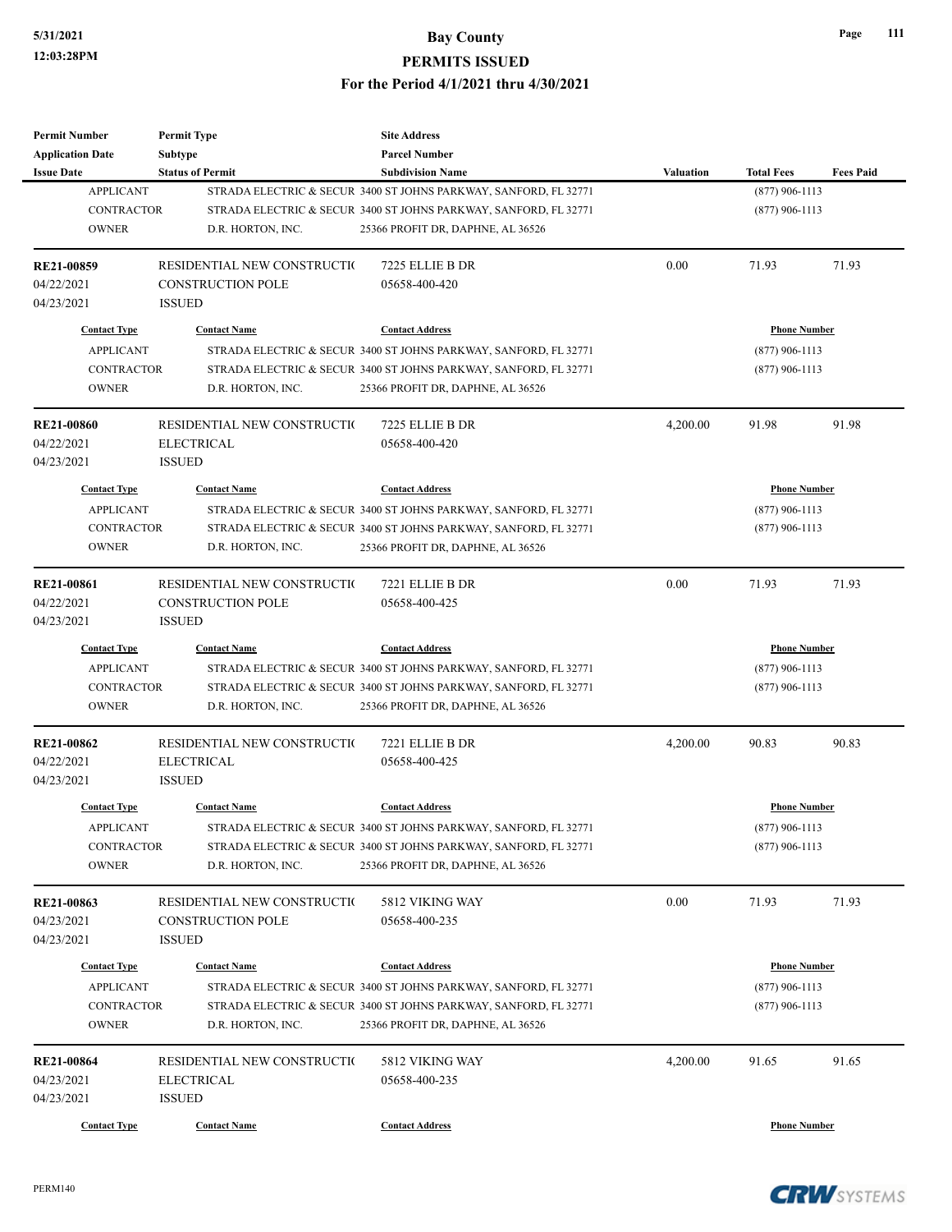| <b>Permit Number</b>    | <b>Permit Type</b>           | <b>Site Address</b>                                              |                     |                     |                  |
|-------------------------|------------------------------|------------------------------------------------------------------|---------------------|---------------------|------------------|
| <b>Application Date</b> | <b>Subtype</b>               | <b>Parcel Number</b>                                             |                     |                     |                  |
| <b>Issue Date</b>       | <b>Status of Permit</b>      | <b>Subdivision Name</b>                                          | <b>Valuation</b>    | <b>Total Fees</b>   | <b>Fees Paid</b> |
| <b>APPLICANT</b>        |                              | STRADA ELECTRIC & SECUR 3400 ST JOHNS PARKWAY, SANFORD, FL 32771 |                     | $(877)$ 906-1113    |                  |
| <b>CONTRACTOR</b>       |                              | STRADA ELECTRIC & SECUR 3400 ST JOHNS PARKWAY, SANFORD, FL 32771 |                     | $(877)$ 906-1113    |                  |
| <b>OWNER</b>            | D.R. HORTON, INC.            | 25366 PROFIT DR, DAPHNE, AL 36526                                |                     |                     |                  |
| RE21-00859              | RESIDENTIAL NEW CONSTRUCTIO  | 7225 ELLIE B DR                                                  | 0.00                | 71.93               | 71.93            |
| 04/22/2021              | <b>CONSTRUCTION POLE</b>     | 05658-400-420                                                    |                     |                     |                  |
| 04/23/2021              | <b>ISSUED</b>                |                                                                  |                     |                     |                  |
| <b>Contact Type</b>     | <b>Contact Name</b>          | <b>Contact Address</b>                                           |                     | <b>Phone Number</b> |                  |
| <b>APPLICANT</b>        |                              | STRADA ELECTRIC & SECUR 3400 ST JOHNS PARKWAY, SANFORD, FL 32771 |                     | $(877)$ 906-1113    |                  |
| <b>CONTRACTOR</b>       |                              | STRADA ELECTRIC & SECUR 3400 ST JOHNS PARKWAY, SANFORD, FL 32771 |                     | $(877)$ 906-1113    |                  |
| <b>OWNER</b>            | D.R. HORTON, INC.            | 25366 PROFIT DR, DAPHNE, AL 36526                                |                     |                     |                  |
| <b>RE21-00860</b>       | RESIDENTIAL NEW CONSTRUCTION | 7225 ELLIE B DR                                                  | 4,200.00            | 91.98               | 91.98            |
| 04/22/2021              | <b>ELECTRICAL</b>            | 05658-400-420                                                    |                     |                     |                  |
| 04/23/2021              | <b>ISSUED</b>                |                                                                  |                     |                     |                  |
| <b>Contact Type</b>     | <b>Contact Name</b>          | <b>Contact Address</b>                                           |                     | <b>Phone Number</b> |                  |
| <b>APPLICANT</b>        |                              | STRADA ELECTRIC & SECUR 3400 ST JOHNS PARKWAY, SANFORD, FL 32771 |                     | $(877)$ 906-1113    |                  |
| <b>CONTRACTOR</b>       |                              |                                                                  |                     | $(877)$ 906-1113    |                  |
|                         |                              | STRADA ELECTRIC & SECUR 3400 ST JOHNS PARKWAY, SANFORD, FL 32771 |                     |                     |                  |
| <b>OWNER</b>            | D.R. HORTON, INC.            | 25366 PROFIT DR, DAPHNE, AL 36526                                |                     |                     |                  |
| RE21-00861              | RESIDENTIAL NEW CONSTRUCTIO  | 7221 ELLIE B DR                                                  | 0.00                | 71.93               | 71.93            |
| 04/22/2021              | <b>CONSTRUCTION POLE</b>     | 05658-400-425                                                    |                     |                     |                  |
| 04/23/2021              | <b>ISSUED</b>                |                                                                  |                     |                     |                  |
| <b>Contact Type</b>     | <b>Contact Name</b>          | <b>Contact Address</b>                                           | <b>Phone Number</b> |                     |                  |
| <b>APPLICANT</b>        |                              | STRADA ELECTRIC & SECUR 3400 ST JOHNS PARKWAY, SANFORD, FL 32771 |                     | $(877)$ 906-1113    |                  |
| <b>CONTRACTOR</b>       |                              | STRADA ELECTRIC & SECUR 3400 ST JOHNS PARKWAY, SANFORD, FL 32771 |                     | $(877)$ 906-1113    |                  |
| <b>OWNER</b>            | D.R. HORTON, INC.            | 25366 PROFIT DR, DAPHNE, AL 36526                                |                     |                     |                  |
| <b>RE21-00862</b>       | RESIDENTIAL NEW CONSTRUCTIO  | 7221 ELLIE B DR                                                  | 4,200.00            | 90.83               | 90.83            |
| 04/22/2021              | <b>ELECTRICAL</b>            | 05658-400-425                                                    |                     |                     |                  |
| 04/23/2021              | <b>ISSUED</b>                |                                                                  |                     |                     |                  |
| <b>Contact Type</b>     | <b>Contact Name</b>          | <b>Contact Address</b>                                           |                     | <b>Phone Number</b> |                  |
|                         |                              |                                                                  |                     |                     |                  |
| <b>APPLICANT</b>        |                              | STRADA ELECTRIC & SECUR 3400 ST JOHNS PARKWAY, SANFORD, FL 32771 |                     | $(877)$ 906-1113    |                  |
| <b>CONTRACTOR</b>       |                              | STRADA ELECTRIC & SECUR 3400 ST JOHNS PARKWAY, SANFORD, FL 32771 |                     | $(877)$ 906-1113    |                  |
| <b>OWNER</b>            | D.R. HORTON, INC.            | 25366 PROFIT DR, DAPHNE, AL 36526                                |                     |                     |                  |
| RE21-00863              | RESIDENTIAL NEW CONSTRUCTIO  | 5812 VIKING WAY                                                  | 0.00                | 71.93               | 71.93            |
| 04/23/2021              | <b>CONSTRUCTION POLE</b>     | 05658-400-235                                                    |                     |                     |                  |
| 04/23/2021              | <b>ISSUED</b>                |                                                                  |                     |                     |                  |
|                         |                              |                                                                  |                     |                     |                  |
| <b>Contact Type</b>     | <b>Contact Name</b>          | <b>Contact Address</b>                                           |                     | <b>Phone Number</b> |                  |
| <b>APPLICANT</b>        |                              | STRADA ELECTRIC & SECUR 3400 ST JOHNS PARKWAY, SANFORD, FL 32771 |                     | $(877)$ 906-1113    |                  |
| CONTRACTOR              |                              | STRADA ELECTRIC & SECUR 3400 ST JOHNS PARKWAY, SANFORD, FL 32771 |                     | $(877)$ 906-1113    |                  |
| <b>OWNER</b>            | D.R. HORTON, INC.            | 25366 PROFIT DR, DAPHNE, AL 36526                                |                     |                     |                  |
| RE21-00864              | RESIDENTIAL NEW CONSTRUCTI(  | 5812 VIKING WAY                                                  | 4,200.00            | 91.65               | 91.65            |
| 04/23/2021              | ELECTRICAL                   | 05658-400-235                                                    |                     |                     |                  |
| 04/23/2021              | <b>ISSUED</b>                |                                                                  |                     |                     |                  |
|                         |                              |                                                                  |                     |                     |                  |
| <b>Contact Type</b>     | <b>Contact Name</b>          | <b>Contact Address</b>                                           |                     | <b>Phone Number</b> |                  |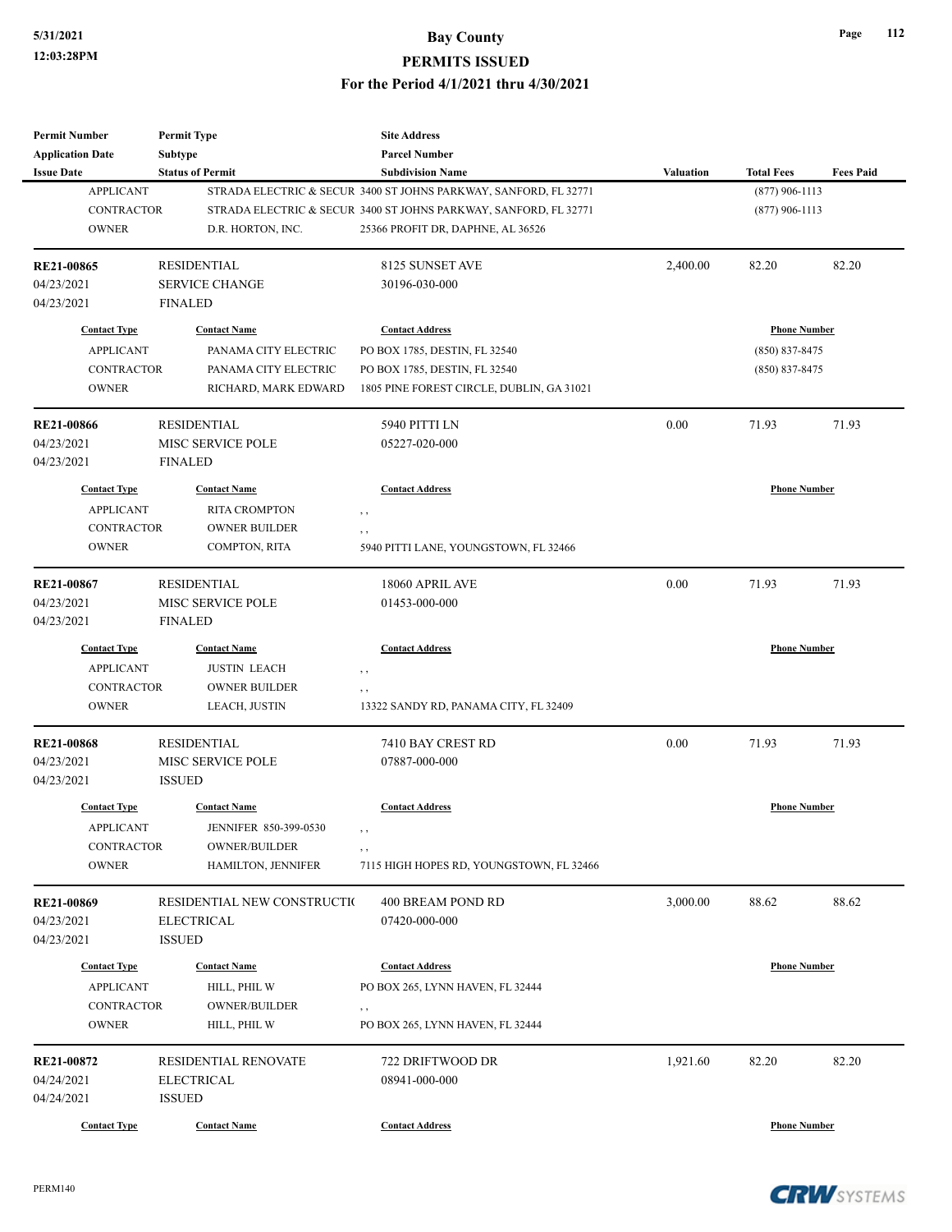| <b>Permit Number</b>    | <b>Permit Type</b>          | <b>Site Address</b>                                              |                  |                     |                  |
|-------------------------|-----------------------------|------------------------------------------------------------------|------------------|---------------------|------------------|
| <b>Application Date</b> | <b>Subtype</b>              | <b>Parcel Number</b>                                             |                  |                     |                  |
| <b>Issue Date</b>       | <b>Status of Permit</b>     | <b>Subdivision Name</b>                                          | <b>Valuation</b> | <b>Total Fees</b>   | <b>Fees Paid</b> |
| <b>APPLICANT</b>        |                             | STRADA ELECTRIC & SECUR 3400 ST JOHNS PARKWAY, SANFORD, FL 32771 |                  | $(877)$ 906-1113    |                  |
| <b>CONTRACTOR</b>       |                             | STRADA ELECTRIC & SECUR 3400 ST JOHNS PARKWAY, SANFORD, FL 32771 |                  | $(877)$ 906-1113    |                  |
| <b>OWNER</b>            | D.R. HORTON, INC.           | 25366 PROFIT DR, DAPHNE, AL 36526                                |                  |                     |                  |
| <b>RE21-00865</b>       | <b>RESIDENTIAL</b>          | 8125 SUNSET AVE                                                  | 2,400.00         | 82.20               | 82.20            |
| 04/23/2021              | <b>SERVICE CHANGE</b>       | 30196-030-000                                                    |                  |                     |                  |
| 04/23/2021              | <b>FINALED</b>              |                                                                  |                  |                     |                  |
| <b>Contact Type</b>     | <b>Contact Name</b>         | <b>Contact Address</b>                                           |                  | <b>Phone Number</b> |                  |
| <b>APPLICANT</b>        | PANAMA CITY ELECTRIC        | PO BOX 1785, DESTIN, FL 32540                                    |                  | $(850) 837 - 8475$  |                  |
| <b>CONTRACTOR</b>       | PANAMA CITY ELECTRIC        | PO BOX 1785, DESTIN, FL 32540                                    |                  | $(850)$ 837-8475    |                  |
| <b>OWNER</b>            | RICHARD, MARK EDWARD        | 1805 PINE FOREST CIRCLE, DUBLIN, GA 31021                        |                  |                     |                  |
| <b>RE21-00866</b>       | <b>RESIDENTIAL</b>          | 5940 PITTI LN                                                    | 0.00             | 71.93               | 71.93            |
| 04/23/2021              | MISC SERVICE POLE           | 05227-020-000                                                    |                  |                     |                  |
| 04/23/2021              | <b>FINALED</b>              |                                                                  |                  |                     |                  |
| <b>Contact Type</b>     | <b>Contact Name</b>         | <b>Contact Address</b>                                           |                  | <b>Phone Number</b> |                  |
| <b>APPLICANT</b>        | <b>RITA CROMPTON</b>        | , ,                                                              |                  |                     |                  |
| <b>CONTRACTOR</b>       | <b>OWNER BUILDER</b>        | , ,                                                              |                  |                     |                  |
| <b>OWNER</b>            | COMPTON, RITA               | 5940 PITTI LANE, YOUNGSTOWN, FL 32466                            |                  |                     |                  |
| <b>RE21-00867</b>       | <b>RESIDENTIAL</b>          | 18060 APRIL AVE                                                  | 0.00             | 71.93               | 71.93            |
| 04/23/2021              | MISC SERVICE POLE           | 01453-000-000                                                    |                  |                     |                  |
| 04/23/2021              | <b>FINALED</b>              |                                                                  |                  |                     |                  |
| <b>Contact Type</b>     | <b>Contact Name</b>         | <b>Contact Address</b>                                           |                  | <b>Phone Number</b> |                  |
| <b>APPLICANT</b>        | <b>JUSTIN LEACH</b>         | , ,                                                              |                  |                     |                  |
| <b>CONTRACTOR</b>       | <b>OWNER BUILDER</b>        | , ,                                                              |                  |                     |                  |
| <b>OWNER</b>            | LEACH, JUSTIN               | 13322 SANDY RD, PANAMA CITY, FL 32409                            |                  |                     |                  |
| <b>RE21-00868</b>       | <b>RESIDENTIAL</b>          | 7410 BAY CREST RD                                                | 0.00             | 71.93               | 71.93            |
| 04/23/2021              | MISC SERVICE POLE           | 07887-000-000                                                    |                  |                     |                  |
| 04/23/2021              | <b>ISSUED</b>               |                                                                  |                  |                     |                  |
| <b>Contact Type</b>     | <b>Contact Name</b>         | <b>Contact Address</b>                                           |                  | <b>Phone Number</b> |                  |
| <b>APPLICANT</b>        | JENNIFER 850-399-0530       | $, \, , \,$                                                      |                  |                     |                  |
| CONTRACTOR              | <b>OWNER/BUILDER</b>        | , ,                                                              |                  |                     |                  |
| <b>OWNER</b>            | HAMILTON, JENNIFER          | 7115 HIGH HOPES RD, YOUNGSTOWN, FL 32466                         |                  |                     |                  |
| RE21-00869              | RESIDENTIAL NEW CONSTRUCTIO | 400 BREAM POND RD                                                | 3,000.00         | 88.62               | 88.62            |
| 04/23/2021              | <b>ELECTRICAL</b>           | 07420-000-000                                                    |                  |                     |                  |
| 04/23/2021              | <b>ISSUED</b>               |                                                                  |                  |                     |                  |
| <b>Contact Type</b>     | <b>Contact Name</b>         | <b>Contact Address</b>                                           |                  | <b>Phone Number</b> |                  |
| <b>APPLICANT</b>        | HILL, PHIL W                | PO BOX 265, LYNN HAVEN, FL 32444                                 |                  |                     |                  |
| CONTRACTOR              | <b>OWNER/BUILDER</b>        | , ,                                                              |                  |                     |                  |
| <b>OWNER</b>            | HILL, PHIL W                | PO BOX 265, LYNN HAVEN, FL 32444                                 |                  |                     |                  |
| RE21-00872              | RESIDENTIAL RENOVATE        | 722 DRIFTWOOD DR                                                 | 1,921.60         | 82.20               | 82.20            |
| 04/24/2021              | <b>ELECTRICAL</b>           | 08941-000-000                                                    |                  |                     |                  |
| 04/24/2021              | <b>ISSUED</b>               |                                                                  |                  |                     |                  |
| <b>Contact Type</b>     | <b>Contact Name</b>         | <b>Contact Address</b>                                           |                  | <b>Phone Number</b> |                  |

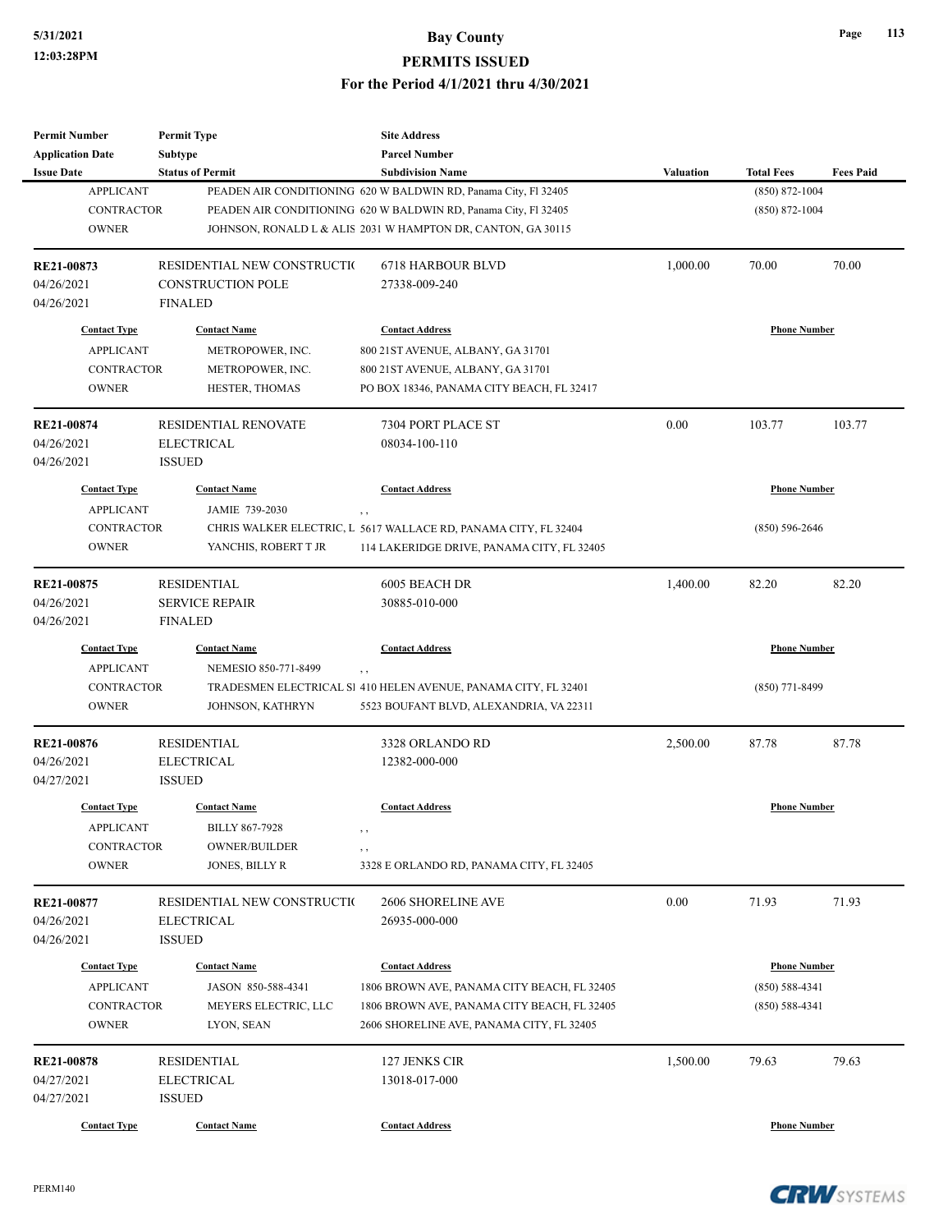| Page | 113 |
|------|-----|
|------|-----|

| <b>Permit Number</b>                                                         | <b>Permit Type</b>                                                                     | <b>Site Address</b><br><b>Parcel Number</b>                                                                                                                                                        |                                           |                                                                 |                  |
|------------------------------------------------------------------------------|----------------------------------------------------------------------------------------|----------------------------------------------------------------------------------------------------------------------------------------------------------------------------------------------------|-------------------------------------------|-----------------------------------------------------------------|------------------|
| <b>Application Date</b><br><b>Issue Date</b>                                 | Subtype<br><b>Status of Permit</b>                                                     | <b>Subdivision Name</b>                                                                                                                                                                            | <b>Valuation</b>                          | <b>Total Fees</b>                                               | <b>Fees Paid</b> |
| <b>APPLICANT</b><br><b>CONTRACTOR</b><br><b>OWNER</b>                        |                                                                                        | PEADEN AIR CONDITIONING 620 W BALDWIN RD, Panama City, Fl 32405<br>PEADEN AIR CONDITIONING 620 W BALDWIN RD, Panama City, Fl 32405<br>JOHNSON, RONALD L & ALIS 2031 W HAMPTON DR, CANTON, GA 30115 | $(850) 872 - 1004$<br>$(850) 872 - 1004$  |                                                                 |                  |
| RE21-00873<br>04/26/2021<br>04/26/2021                                       | RESIDENTIAL NEW CONSTRUCTIO<br><b>CONSTRUCTION POLE</b><br><b>FINALED</b>              | <b>6718 HARBOUR BLVD</b><br>27338-009-240                                                                                                                                                          | 1,000.00                                  | 70.00                                                           | 70.00            |
| <b>Contact Type</b><br><b>APPLICANT</b><br><b>CONTRACTOR</b><br><b>OWNER</b> | <b>Contact Name</b><br>METROPOWER, INC.<br>METROPOWER, INC.<br>HESTER, THOMAS          | <b>Contact Address</b><br>800 21ST AVENUE, ALBANY, GA 31701<br>800 21ST AVENUE, ALBANY, GA 31701<br>PO BOX 18346, PANAMA CITY BEACH, FL 32417                                                      |                                           | <b>Phone Number</b>                                             |                  |
| <b>RE21-00874</b><br>04/26/2021<br>04/26/2021                                | <b>RESIDENTIAL RENOVATE</b><br><b>ELECTRICAL</b><br><b>ISSUED</b>                      | 7304 PORT PLACE ST<br>08034-100-110                                                                                                                                                                | 0.00                                      | 103.77                                                          | 103.77           |
| <b>Contact Type</b><br><b>APPLICANT</b><br><b>CONTRACTOR</b><br><b>OWNER</b> | <b>Contact Name</b><br>JAMIE 739-2030<br>YANCHIS, ROBERT T JR                          | <b>Contact Address</b><br>, ,<br>CHRIS WALKER ELECTRIC, L 5617 WALLACE RD, PANAMA CITY, FL 32404<br>114 LAKERIDGE DRIVE, PANAMA CITY, FL 32405                                                     | <b>Phone Number</b><br>$(850) 596 - 2646$ |                                                                 |                  |
| RE21-00875<br>04/26/2021<br>04/26/2021                                       | <b>RESIDENTIAL</b><br><b>SERVICE REPAIR</b><br><b>FINALED</b>                          | 6005 BEACH DR<br>30885-010-000                                                                                                                                                                     | 1,400.00                                  | 82.20                                                           | 82.20            |
| <b>Contact Type</b><br><b>APPLICANT</b><br><b>CONTRACTOR</b>                 | <b>Contact Name</b><br>NEMESIO 850-771-8499                                            | <b>Contact Address</b><br>, ,<br>TRADESMEN ELECTRICAL SI 410 HELEN AVENUE, PANAMA CITY, FL 32401                                                                                                   | <b>Phone Number</b><br>$(850)$ 771-8499   |                                                                 |                  |
| <b>OWNER</b>                                                                 | JOHNSON, KATHRYN                                                                       | 5523 BOUFANT BLVD, ALEXANDRIA, VA 22311                                                                                                                                                            |                                           |                                                                 |                  |
| RE21-00876<br>04/26/2021<br>04/27/2021                                       | <b>RESIDENTIAL</b><br><b>ELECTRICAL</b><br><b>ISSUED</b>                               | 3328 ORLANDO RD<br>12382-000-000                                                                                                                                                                   | 2,500.00                                  | 87.78                                                           | 87.78            |
| <b>Contact Type</b><br><b>APPLICANT</b><br>CONTRACTOR<br><b>OWNER</b>        | <b>Contact Name</b><br><b>BILLY 867-7928</b><br><b>OWNER/BUILDER</b><br>JONES, BILLY R | <b>Contact Address</b><br>, ,<br>$, \,$<br>3328 E ORLANDO RD, PANAMA CITY, FL 32405                                                                                                                |                                           | <b>Phone Number</b>                                             |                  |
| RE21-00877<br>04/26/2021<br>04/26/2021                                       | RESIDENTIAL NEW CONSTRUCTIO<br><b>ELECTRICAL</b><br><b>ISSUED</b>                      | 2606 SHORELINE AVE<br>26935-000-000                                                                                                                                                                | 0.00                                      | 71.93                                                           | 71.93            |
| <b>Contact Type</b><br><b>APPLICANT</b><br>CONTRACTOR<br><b>OWNER</b>        | <b>Contact Name</b><br>JASON 850-588-4341<br>MEYERS ELECTRIC, LLC<br>LYON, SEAN        | <b>Contact Address</b><br>1806 BROWN AVE, PANAMA CITY BEACH, FL 32405<br>1806 BROWN AVE, PANAMA CITY BEACH, FL 32405<br>2606 SHORELINE AVE, PANAMA CITY, FL 32405                                  |                                           | <b>Phone Number</b><br>$(850) 588 - 4341$<br>$(850) 588 - 4341$ |                  |
| RE21-00878<br>04/27/2021<br>04/27/2021                                       | <b>RESIDENTIAL</b><br><b>ELECTRICAL</b><br><b>ISSUED</b>                               | 127 JENKS CIR<br>13018-017-000                                                                                                                                                                     | 1,500.00                                  | 79.63                                                           | 79.63            |
| <b>Contact Type</b>                                                          | <b>Contact Name</b>                                                                    | <b>Contact Address</b>                                                                                                                                                                             |                                           | <b>Phone Number</b>                                             |                  |

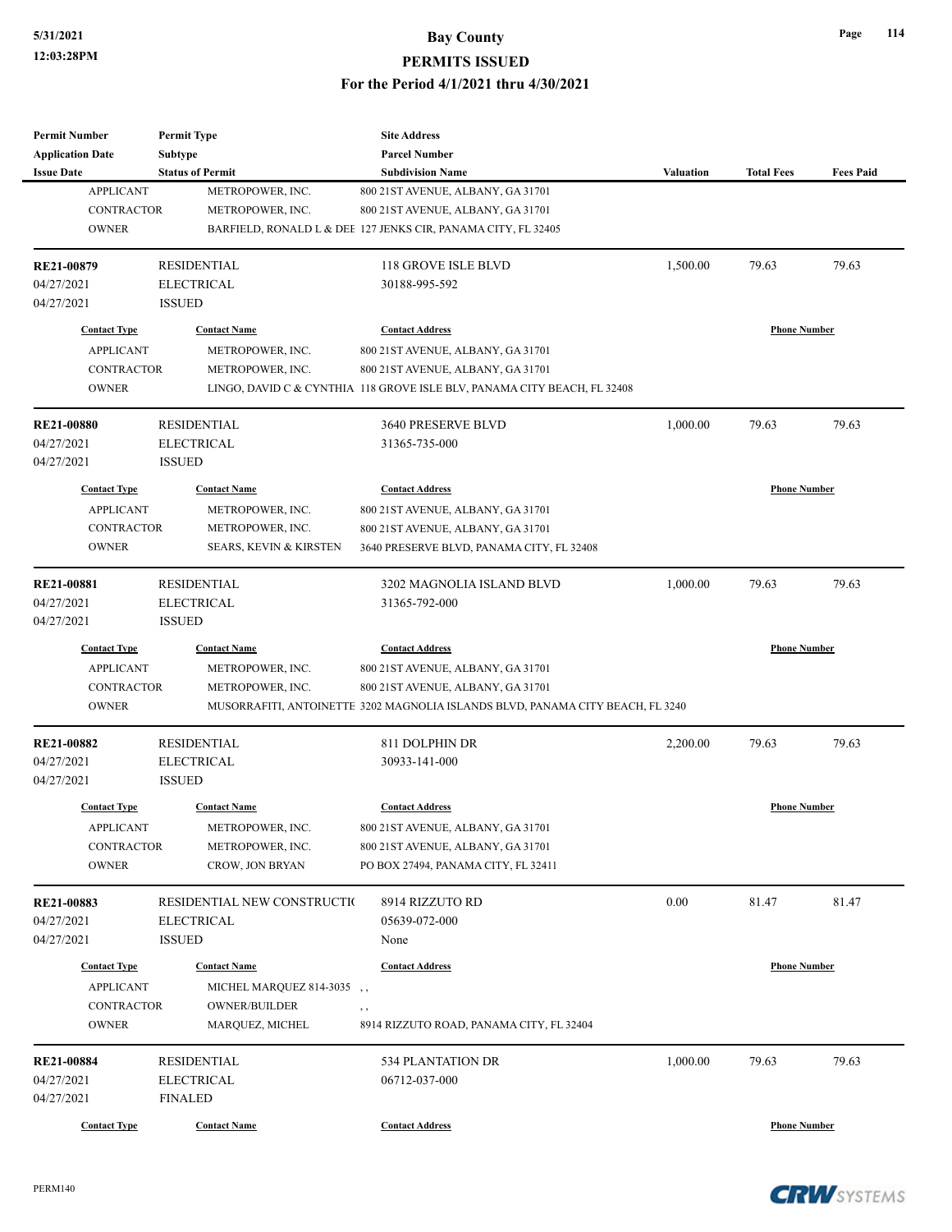| <b>Permit Number</b>    | <b>Permit Type</b>                | <b>Site Address</b>                                                            |                  |                     |                  |
|-------------------------|-----------------------------------|--------------------------------------------------------------------------------|------------------|---------------------|------------------|
| <b>Application Date</b> | Subtype                           | <b>Parcel Number</b>                                                           |                  |                     |                  |
| <b>Issue Date</b>       | <b>Status of Permit</b>           | <b>Subdivision Name</b>                                                        | <b>Valuation</b> | <b>Total Fees</b>   | <b>Fees Paid</b> |
| <b>APPLICANT</b>        | METROPOWER, INC.                  | 800 21 ST AVENUE, ALBANY, GA 31701                                             |                  |                     |                  |
| <b>CONTRACTOR</b>       | METROPOWER, INC.                  | 800 21 ST AVENUE, ALBANY, GA 31701                                             |                  |                     |                  |
| <b>OWNER</b>            |                                   | BARFIELD, RONALD L & DEE 127 JENKS CIR, PANAMA CITY, FL 32405                  |                  |                     |                  |
| RE21-00879              | <b>RESIDENTIAL</b>                | 118 GROVE ISLE BLVD                                                            | 1,500.00         | 79.63               | 79.63            |
| 04/27/2021              | <b>ELECTRICAL</b>                 | 30188-995-592                                                                  |                  |                     |                  |
| 04/27/2021              | <b>ISSUED</b>                     |                                                                                |                  |                     |                  |
| <b>Contact Type</b>     | <b>Contact Name</b>               | <b>Contact Address</b>                                                         |                  | <b>Phone Number</b> |                  |
| <b>APPLICANT</b>        | METROPOWER, INC.                  | 800 21ST AVENUE, ALBANY, GA 31701                                              |                  |                     |                  |
| <b>CONTRACTOR</b>       | METROPOWER, INC.                  | 800 21 ST AVENUE, ALBANY, GA 31701                                             |                  |                     |                  |
| <b>OWNER</b>            |                                   | LINGO, DAVID C & CYNTHIA 118 GROVE ISLE BLV, PANAMA CITY BEACH, FL 32408       |                  |                     |                  |
| <b>RE21-00880</b>       | <b>RESIDENTIAL</b>                | 3640 PRESERVE BLVD                                                             | 1,000.00         | 79.63               | 79.63            |
| 04/27/2021              | <b>ELECTRICAL</b>                 | 31365-735-000                                                                  |                  |                     |                  |
| 04/27/2021              | <b>ISSUED</b>                     |                                                                                |                  |                     |                  |
| <b>Contact Type</b>     | <b>Contact Name</b>               | <b>Contact Address</b>                                                         |                  | <b>Phone Number</b> |                  |
| <b>APPLICANT</b>        | METROPOWER, INC.                  | 800 21ST AVENUE, ALBANY, GA 31701                                              |                  |                     |                  |
| <b>CONTRACTOR</b>       | METROPOWER, INC.                  | 800 21 ST AVENUE, ALBANY, GA 31701                                             |                  |                     |                  |
| <b>OWNER</b>            | <b>SEARS, KEVIN &amp; KIRSTEN</b> | 3640 PRESERVE BLVD, PANAMA CITY, FL 32408                                      |                  |                     |                  |
|                         |                                   |                                                                                |                  |                     |                  |
| <b>RE21-00881</b>       | <b>RESIDENTIAL</b>                | 3202 MAGNOLIA ISLAND BLVD                                                      | 1,000.00         | 79.63               | 79.63            |
| 04/27/2021              | <b>ELECTRICAL</b>                 | 31365-792-000                                                                  |                  |                     |                  |
| 04/27/2021              | <b>ISSUED</b>                     |                                                                                |                  |                     |                  |
| <b>Contact Type</b>     | <b>Contact Name</b>               | <b>Contact Address</b>                                                         |                  | <b>Phone Number</b> |                  |
| <b>APPLICANT</b>        | METROPOWER, INC.                  | 800 21ST AVENUE, ALBANY, GA 31701                                              |                  |                     |                  |
| <b>CONTRACTOR</b>       | METROPOWER, INC.                  | 800 21 ST AVENUE, ALBANY, GA 31701                                             |                  |                     |                  |
| <b>OWNER</b>            |                                   | MUSORRAFITI, ANTOINETTE 3202 MAGNOLIA ISLANDS BLVD, PANAMA CITY BEACH, FL 3240 |                  |                     |                  |
| <b>RE21-00882</b>       | <b>RESIDENTIAL</b>                | 811 DOLPHIN DR                                                                 | 2,200.00         | 79.63               | 79.63            |
| 04/27/2021              | <b>ELECTRICAL</b>                 | 30933-141-000                                                                  |                  |                     |                  |
| 04/27/2021              | <b>ISSUED</b>                     |                                                                                |                  |                     |                  |
| <b>Contact Type</b>     | <b>Contact Name</b>               | <b>Contact Address</b>                                                         |                  | <b>Phone Number</b> |                  |
| <b>APPLICANT</b>        | METROPOWER, INC.                  | 800 21 ST AVENUE, ALBANY, GA 31701                                             |                  |                     |                  |
| <b>CONTRACTOR</b>       | METROPOWER, INC.                  | 800 21ST AVENUE, ALBANY, GA 31701                                              |                  |                     |                  |
| <b>OWNER</b>            | CROW, JON BRYAN                   | PO BOX 27494, PANAMA CITY, FL 32411                                            |                  |                     |                  |
| <b>RE21-00883</b>       | RESIDENTIAL NEW CONSTRUCTIO       | 8914 RIZZUTO RD                                                                | 0.00             | 81.47               | 81.47            |
| 04/27/2021              | <b>ELECTRICAL</b>                 | 05639-072-000                                                                  |                  |                     |                  |
| 04/27/2021              | <b>ISSUED</b>                     | None                                                                           |                  |                     |                  |
| <b>Contact Type</b>     | <b>Contact Name</b>               | <b>Contact Address</b>                                                         |                  | <b>Phone Number</b> |                  |
| <b>APPLICANT</b>        | MICHEL MARQUEZ 814-3035,          |                                                                                |                  |                     |                  |
| <b>CONTRACTOR</b>       | <b>OWNER/BUILDER</b>              | $, \, ,$                                                                       |                  |                     |                  |
| <b>OWNER</b>            | MARQUEZ, MICHEL                   | 8914 RIZZUTO ROAD, PANAMA CITY, FL 32404                                       |                  |                     |                  |
| <b>RE21-00884</b>       | <b>RESIDENTIAL</b>                | 534 PLANTATION DR                                                              | 1,000.00         | 79.63               | 79.63            |
| 04/27/2021              | <b>ELECTRICAL</b>                 | 06712-037-000                                                                  |                  |                     |                  |
| 04/27/2021              | <b>FINALED</b>                    |                                                                                |                  |                     |                  |
| <b>Contact Type</b>     | <b>Contact Name</b>               | <b>Contact Address</b>                                                         |                  | <b>Phone Number</b> |                  |



**Page 114**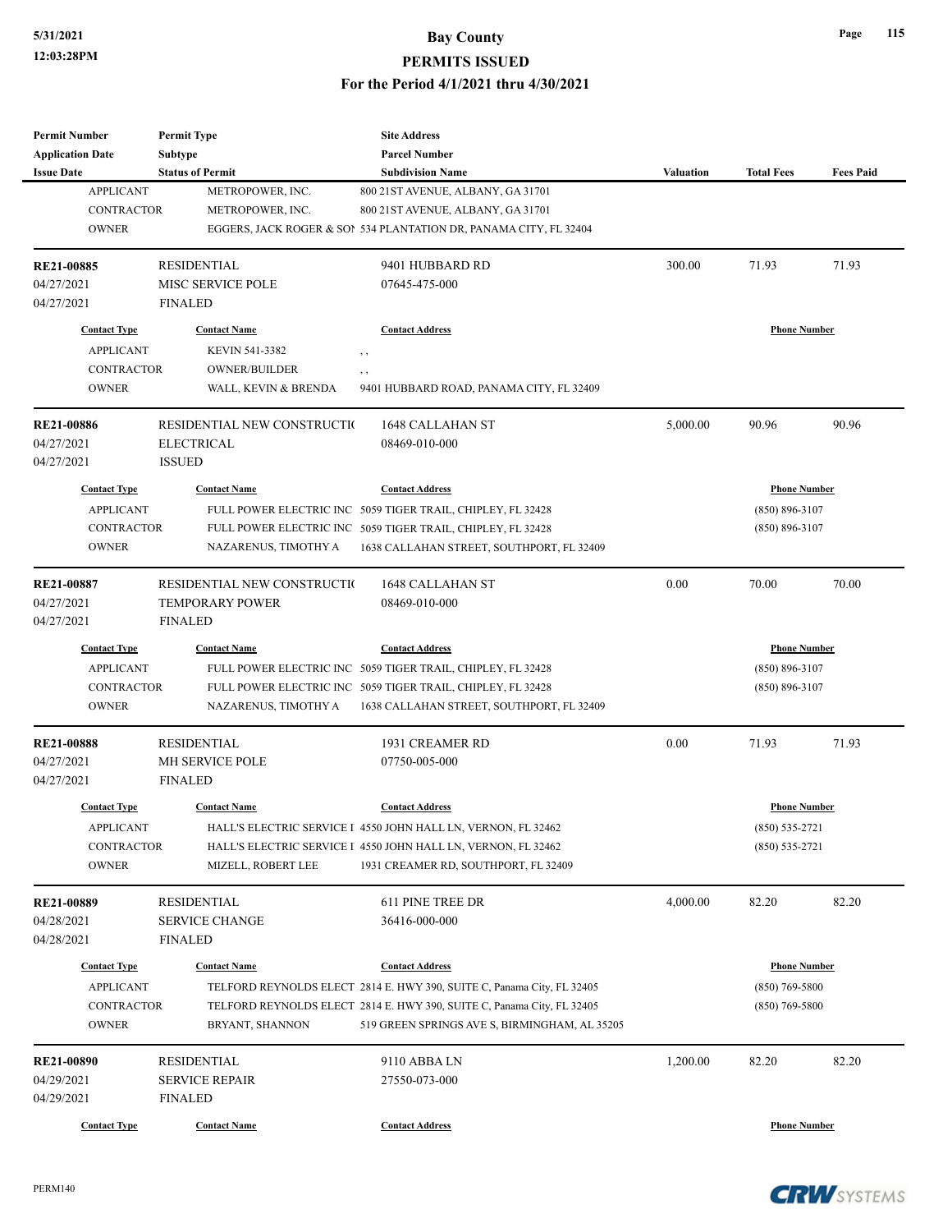## **5/31/2021 Bay County PERMITS ISSUED**

**For the Period 4/1/2021 thru 4/30/2021**

| <b>Permit Number</b>    | <b>Permit Type</b>          | <b>Site Address</b>                                                    |                  |                     |                  |
|-------------------------|-----------------------------|------------------------------------------------------------------------|------------------|---------------------|------------------|
| <b>Application Date</b> | <b>Subtype</b>              | <b>Parcel Number</b>                                                   |                  |                     |                  |
| <b>Issue Date</b>       | <b>Status of Permit</b>     | <b>Subdivision Name</b>                                                | <b>Valuation</b> | <b>Total Fees</b>   | <b>Fees Paid</b> |
| <b>APPLICANT</b>        | METROPOWER, INC.            | 800 21ST AVENUE, ALBANY, GA 31701                                      |                  |                     |                  |
| <b>CONTRACTOR</b>       | METROPOWER, INC.            | 800 21ST AVENUE, ALBANY, GA 31701                                      |                  |                     |                  |
| <b>OWNER</b>            |                             | EGGERS, JACK ROGER & SON 534 PLANTATION DR, PANAMA CITY, FL 32404      |                  |                     |                  |
| <b>RE21-00885</b>       | <b>RESIDENTIAL</b>          | 9401 HUBBARD RD                                                        | 300.00           | 71.93               | 71.93            |
| 04/27/2021              | MISC SERVICE POLE           | 07645-475-000                                                          |                  |                     |                  |
| 04/27/2021              | <b>FINALED</b>              |                                                                        |                  |                     |                  |
| <b>Contact Type</b>     | <b>Contact Name</b>         | <b>Contact Address</b>                                                 |                  | <b>Phone Number</b> |                  |
| <b>APPLICANT</b>        | KEVIN 541-3382              | $, \, , \,$                                                            |                  |                     |                  |
| <b>CONTRACTOR</b>       | <b>OWNER/BUILDER</b>        | , ,                                                                    |                  |                     |                  |
| <b>OWNER</b>            | WALL, KEVIN & BRENDA        | 9401 HUBBARD ROAD, PANAMA CITY, FL 32409                               |                  |                     |                  |
| <b>RE21-00886</b>       | RESIDENTIAL NEW CONSTRUCTIO | 1648 CALLAHAN ST                                                       | 5,000.00         | 90.96               | 90.96            |
| 04/27/2021              | <b>ELECTRICAL</b>           | 08469-010-000                                                          |                  |                     |                  |
| 04/27/2021              | <b>ISSUED</b>               |                                                                        |                  |                     |                  |
| <b>Contact Type</b>     | <b>Contact Name</b>         | <b>Contact Address</b>                                                 |                  | <b>Phone Number</b> |                  |
| <b>APPLICANT</b>        |                             | FULL POWER ELECTRIC INC 5059 TIGER TRAIL, CHIPLEY, FL 32428            |                  | $(850) 896 - 3107$  |                  |
| <b>CONTRACTOR</b>       |                             | FULL POWER ELECTRIC INC 5059 TIGER TRAIL, CHIPLEY, FL 32428            |                  | $(850) 896 - 3107$  |                  |
| <b>OWNER</b>            | NAZARENUS, TIMOTHY A        | 1638 CALLAHAN STREET, SOUTHPORT, FL 32409                              |                  |                     |                  |
|                         |                             |                                                                        |                  |                     |                  |
| <b>RE21-00887</b>       | RESIDENTIAL NEW CONSTRUCTIO | <b>1648 CALLAHAN ST</b>                                                | 0.00             | 70.00               | 70.00            |
| 04/27/2021              | <b>TEMPORARY POWER</b>      | 08469-010-000                                                          |                  |                     |                  |
| 04/27/2021              | <b>FINALED</b>              |                                                                        |                  |                     |                  |
| <b>Contact Type</b>     | <b>Contact Name</b>         | <b>Contact Address</b>                                                 |                  | <b>Phone Number</b> |                  |
| <b>APPLICANT</b>        |                             | FULL POWER ELECTRIC INC 5059 TIGER TRAIL, CHIPLEY, FL 32428            |                  | $(850) 896 - 3107$  |                  |
| <b>CONTRACTOR</b>       |                             | FULL POWER ELECTRIC INC 5059 TIGER TRAIL, CHIPLEY, FL 32428            |                  | $(850) 896 - 3107$  |                  |
| <b>OWNER</b>            | NAZARENUS, TIMOTHY A        | 1638 CALLAHAN STREET, SOUTHPORT, FL 32409                              |                  |                     |                  |
| <b>RE21-00888</b>       | <b>RESIDENTIAL</b>          | 1931 CREAMER RD                                                        | 0.00             | 71.93               | 71.93            |
| 04/27/2021              | MH SERVICE POLE             | 07750-005-000                                                          |                  |                     |                  |
| 04/27/2021              | <b>FINALED</b>              |                                                                        |                  |                     |                  |
| <b>Contact Type</b>     | <b>Contact Name</b>         | <b>Contact Address</b>                                                 |                  | <b>Phone Number</b> |                  |
| <b>APPLICANT</b>        |                             | HALL'S ELECTRIC SERVICE I 4550 JOHN HALL LN, VERNON, FL 32462          |                  | $(850) 535 - 2721$  |                  |
| <b>CONTRACTOR</b>       |                             | HALL'S ELECTRIC SERVICE I 4550 JOHN HALL LN, VERNON, FL 32462          |                  | $(850) 535 - 2721$  |                  |
| <b>OWNER</b>            | MIZELL, ROBERT LEE          | 1931 CREAMER RD, SOUTHPORT, FL 32409                                   |                  |                     |                  |
| RE21-00889              | <b>RESIDENTIAL</b>          | 611 PINE TREE DR                                                       | 4,000.00         | 82.20               | 82.20            |
| 04/28/2021              | <b>SERVICE CHANGE</b>       | 36416-000-000                                                          |                  |                     |                  |
| 04/28/2021              | <b>FINALED</b>              |                                                                        |                  |                     |                  |
|                         |                             |                                                                        |                  |                     |                  |
| <b>Contact Type</b>     | <b>Contact Name</b>         | <b>Contact Address</b>                                                 |                  | <b>Phone Number</b> |                  |
| <b>APPLICANT</b>        |                             | TELFORD REYNOLDS ELECT 2814 E. HWY 390, SUITE C, Panama City, FL 32405 |                  | $(850)$ 769-5800    |                  |
| <b>CONTRACTOR</b>       |                             | TELFORD REYNOLDS ELECT 2814 E. HWY 390, SUITE C, Panama City, FL 32405 |                  | $(850)$ 769-5800    |                  |
| <b>OWNER</b>            | BRYANT, SHANNON             | 519 GREEN SPRINGS AVE S, BIRMINGHAM, AL 35205                          |                  |                     |                  |
| <b>RE21-00890</b>       | <b>RESIDENTIAL</b>          | 9110 ABBA LN                                                           | 1,200.00         | 82.20               | 82.20            |
| 04/29/2021              | <b>SERVICE REPAIR</b>       | 27550-073-000                                                          |                  |                     |                  |
| 04/29/2021              | <b>FINALED</b>              |                                                                        |                  |                     |                  |
|                         |                             |                                                                        |                  |                     |                  |
| <b>Contact Type</b>     | <b>Contact Name</b>         | <b>Contact Address</b>                                                 |                  | <b>Phone Number</b> |                  |

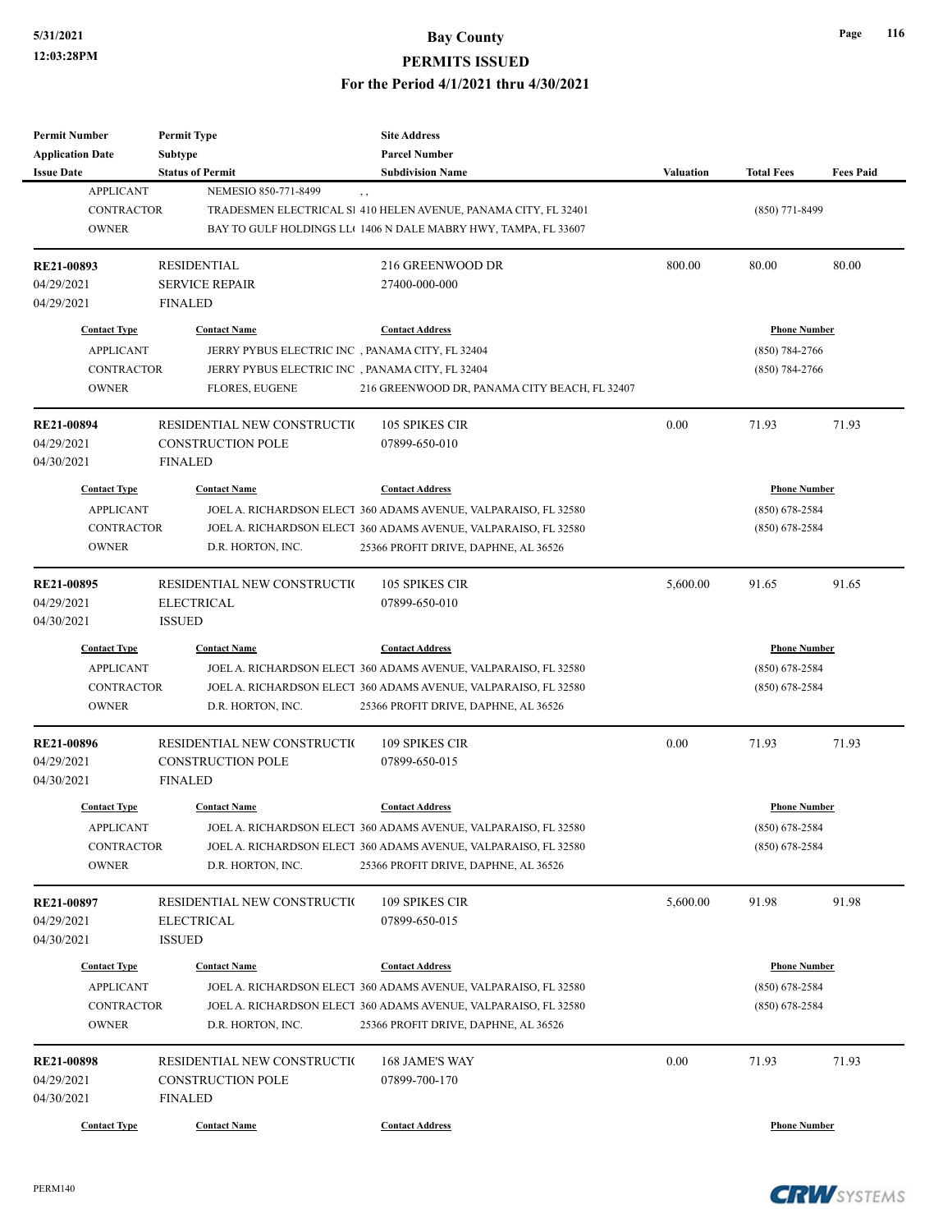| <b>Permit Number</b>    | <b>Permit Type</b>                              | <b>Site Address</b>                                             |                     |                     |                  |
|-------------------------|-------------------------------------------------|-----------------------------------------------------------------|---------------------|---------------------|------------------|
| <b>Application Date</b> | <b>Subtype</b>                                  | <b>Parcel Number</b>                                            |                     |                     |                  |
| <b>Issue Date</b>       | <b>Status of Permit</b>                         | <b>Subdivision Name</b>                                         | <b>Valuation</b>    | <b>Total Fees</b>   | <b>Fees Paid</b> |
| <b>APPLICANT</b>        | NEMESIO 850-771-8499                            | , ,                                                             |                     |                     |                  |
| <b>CONTRACTOR</b>       |                                                 | TRADESMEN ELECTRICAL SI 410 HELEN AVENUE, PANAMA CITY, FL 32401 |                     | $(850)$ 771-8499    |                  |
| <b>OWNER</b>            |                                                 | BAY TO GULF HOLDINGS LL(1406 N DALE MABRY HWY, TAMPA, FL 33607  |                     |                     |                  |
| RE21-00893              | <b>RESIDENTIAL</b>                              | 216 GREENWOOD DR                                                | 800.00              | 80.00               | 80.00            |
| 04/29/2021              | <b>SERVICE REPAIR</b>                           | 27400-000-000                                                   |                     |                     |                  |
| 04/29/2021              | <b>FINALED</b>                                  |                                                                 |                     |                     |                  |
| <b>Contact Type</b>     | <b>Contact Name</b>                             | <b>Contact Address</b>                                          |                     | <b>Phone Number</b> |                  |
| <b>APPLICANT</b>        | JERRY PYBUS ELECTRIC INC, PANAMA CITY, FL 32404 |                                                                 |                     | $(850) 784 - 2766$  |                  |
| <b>CONTRACTOR</b>       | JERRY PYBUS ELECTRIC INC, PANAMA CITY, FL 32404 |                                                                 |                     | $(850)$ 784-2766    |                  |
| <b>OWNER</b>            | <b>FLORES, EUGENE</b>                           | 216 GREENWOOD DR, PANAMA CITY BEACH, FL 32407                   |                     |                     |                  |
| <b>RE21-00894</b>       | RESIDENTIAL NEW CONSTRUCTIO                     | 105 SPIKES CIR                                                  | 0.00                | 71.93               | 71.93            |
| 04/29/2021              | <b>CONSTRUCTION POLE</b>                        | 07899-650-010                                                   |                     |                     |                  |
| 04/30/2021              | <b>FINALED</b>                                  |                                                                 |                     |                     |                  |
| <b>Contact Type</b>     |                                                 | <b>Contact Address</b>                                          |                     |                     |                  |
|                         | <b>Contact Name</b>                             |                                                                 |                     | <b>Phone Number</b> |                  |
| <b>APPLICANT</b>        |                                                 | JOEL A. RICHARDSON ELECT 360 ADAMS AVENUE, VALPARAISO, FL 32580 |                     | $(850) 678 - 2584$  |                  |
| <b>CONTRACTOR</b>       |                                                 | JOEL A. RICHARDSON ELECT 360 ADAMS AVENUE, VALPARAISO, FL 32580 |                     | $(850)$ 678-2584    |                  |
| <b>OWNER</b>            | D.R. HORTON, INC.                               | 25366 PROFIT DRIVE, DAPHNE, AL 36526                            |                     |                     |                  |
| <b>RE21-00895</b>       | RESIDENTIAL NEW CONSTRUCTIO                     | <b>105 SPIKES CIR</b>                                           | 5,600.00            | 91.65               | 91.65            |
| 04/29/2021              | <b>ELECTRICAL</b>                               | 07899-650-010                                                   |                     |                     |                  |
| 04/30/2021              | <b>ISSUED</b>                                   |                                                                 |                     |                     |                  |
| <b>Contact Type</b>     | <b>Contact Name</b>                             | <b>Contact Address</b>                                          | <b>Phone Number</b> |                     |                  |
| <b>APPLICANT</b>        |                                                 | JOEL A. RICHARDSON ELECT 360 ADAMS AVENUE, VALPARAISO, FL 32580 |                     | $(850)$ 678-2584    |                  |
| <b>CONTRACTOR</b>       |                                                 | JOEL A. RICHARDSON ELECT 360 ADAMS AVENUE, VALPARAISO, FL 32580 |                     | $(850)$ 678-2584    |                  |
| <b>OWNER</b>            | D.R. HORTON, INC.                               | 25366 PROFIT DRIVE, DAPHNE, AL 36526                            |                     |                     |                  |
| <b>RE21-00896</b>       | RESIDENTIAL NEW CONSTRUCTIO                     | 109 SPIKES CIR                                                  | 0.00                | 71.93               | 71.93            |
| 04/29/2021              | <b>CONSTRUCTION POLE</b>                        | 07899-650-015                                                   |                     |                     |                  |
| 04/30/2021              | <b>FINALED</b>                                  |                                                                 |                     |                     |                  |
| <b>Contact Type</b>     | <b>Contact Name</b>                             | <b>Contact Address</b>                                          |                     | <b>Phone Number</b> |                  |
|                         |                                                 |                                                                 |                     |                     |                  |
| <b>APPLICANT</b>        |                                                 | JOEL A. RICHARDSON ELECT 360 ADAMS AVENUE, VALPARAISO, FL 32580 |                     | $(850)$ 678-2584    |                  |
| <b>CONTRACTOR</b>       |                                                 | JOEL A. RICHARDSON ELECT 360 ADAMS AVENUE, VALPARAISO, FL 32580 |                     | $(850)$ 678-2584    |                  |
| <b>OWNER</b>            | D.R. HORTON, INC.                               | 25366 PROFIT DRIVE, DAPHNE, AL 36526                            |                     |                     |                  |
| RE21-00897              | RESIDENTIAL NEW CONSTRUCTIO                     | 109 SPIKES CIR                                                  | 5,600.00            | 91.98               | 91.98            |
| 04/29/2021              | <b>ELECTRICAL</b>                               | 07899-650-015                                                   |                     |                     |                  |
| 04/30/2021              | <b>ISSUED</b>                                   |                                                                 |                     |                     |                  |
| <b>Contact Type</b>     | <b>Contact Name</b>                             | <b>Contact Address</b>                                          |                     | <b>Phone Number</b> |                  |
| <b>APPLICANT</b>        |                                                 | JOEL A. RICHARDSON ELECT 360 ADAMS AVENUE, VALPARAISO, FL 32580 |                     | $(850) 678 - 2584$  |                  |
| <b>CONTRACTOR</b>       |                                                 | JOEL A. RICHARDSON ELECT 360 ADAMS AVENUE, VALPARAISO, FL 32580 |                     | $(850)$ 678-2584    |                  |
| <b>OWNER</b>            | D.R. HORTON, INC.                               | 25366 PROFIT DRIVE, DAPHNE, AL 36526                            |                     |                     |                  |
|                         |                                                 |                                                                 |                     |                     |                  |
| <b>RE21-00898</b>       | RESIDENTIAL NEW CONSTRUCTIO                     | 168 JAME'S WAY                                                  | 0.00                | 71.93               | 71.93            |
| 04/29/2021              | <b>CONSTRUCTION POLE</b>                        | 07899-700-170                                                   |                     |                     |                  |
| 04/30/2021              | <b>FINALED</b>                                  |                                                                 |                     |                     |                  |
| <b>Contact Type</b>     | <b>Contact Name</b>                             | <b>Contact Address</b>                                          |                     | <b>Phone Number</b> |                  |

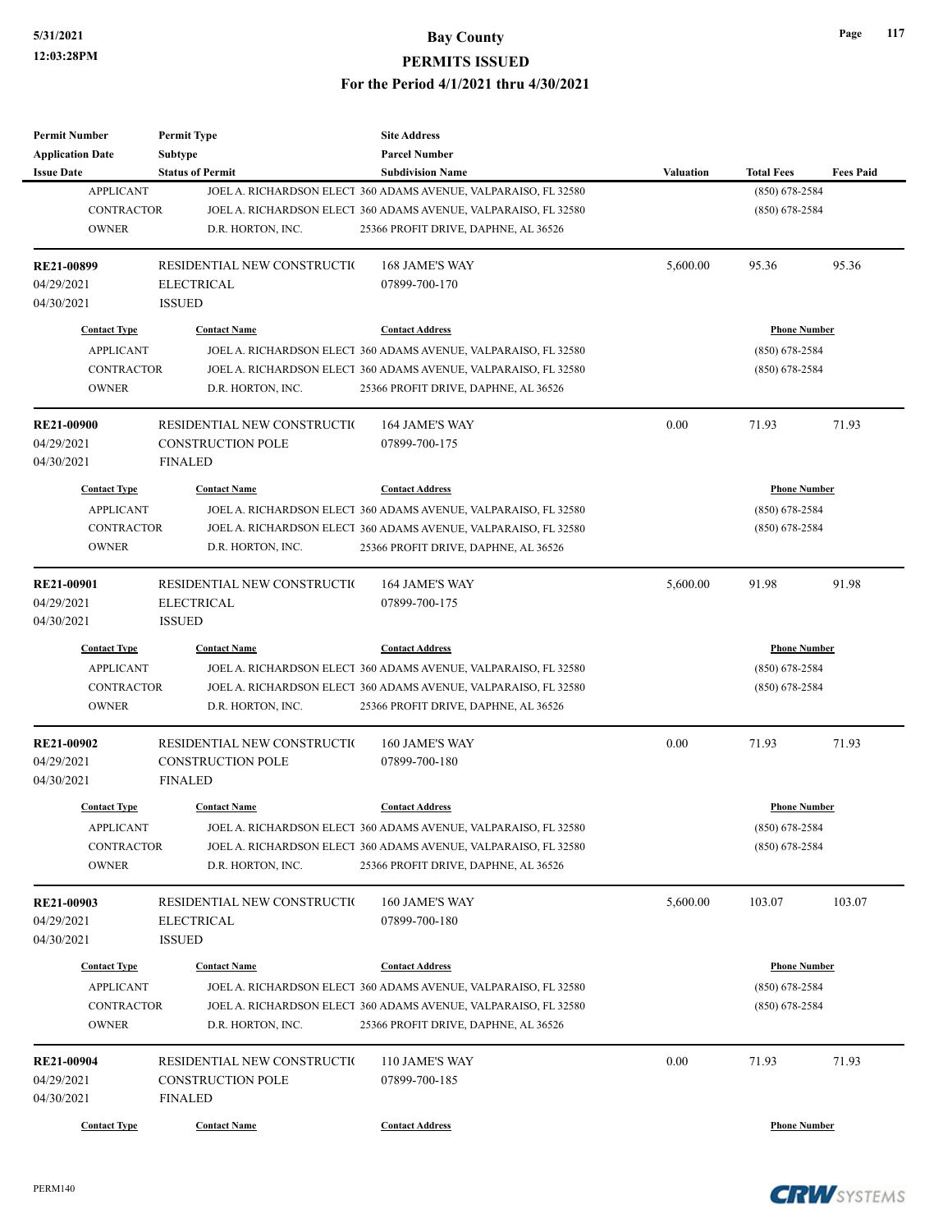| <b>Permit Number</b>    | <b>Permit Type</b>          | <b>Site Address</b>                                             |                     |                     |                  |
|-------------------------|-----------------------------|-----------------------------------------------------------------|---------------------|---------------------|------------------|
| <b>Application Date</b> | <b>Subtype</b>              | <b>Parcel Number</b>                                            |                     |                     |                  |
| <b>Issue Date</b>       | <b>Status of Permit</b>     | <b>Subdivision Name</b>                                         | <b>Valuation</b>    | <b>Total Fees</b>   | <b>Fees Paid</b> |
| <b>APPLICANT</b>        |                             | JOEL A. RICHARDSON ELECT 360 ADAMS AVENUE, VALPARAISO, FL 32580 |                     | $(850) 678 - 2584$  |                  |
| <b>CONTRACTOR</b>       |                             | JOEL A. RICHARDSON ELECT 360 ADAMS AVENUE, VALPARAISO, FL 32580 |                     | $(850)$ 678-2584    |                  |
| <b>OWNER</b>            | D.R. HORTON, INC.           | 25366 PROFIT DRIVE, DAPHNE, AL 36526                            |                     |                     |                  |
| RE21-00899              | RESIDENTIAL NEW CONSTRUCTIO | 168 JAME'S WAY                                                  | 5,600.00            | 95.36               | 95.36            |
| 04/29/2021              | <b>ELECTRICAL</b>           | 07899-700-170                                                   |                     |                     |                  |
| 04/30/2021              | <b>ISSUED</b>               |                                                                 |                     |                     |                  |
| <b>Contact Type</b>     | <b>Contact Name</b>         | <b>Contact Address</b>                                          |                     | <b>Phone Number</b> |                  |
| <b>APPLICANT</b>        |                             | JOEL A. RICHARDSON ELECT 360 ADAMS AVENUE, VALPARAISO, FL 32580 |                     | $(850)$ 678-2584    |                  |
| <b>CONTRACTOR</b>       |                             | JOEL A. RICHARDSON ELECT 360 ADAMS AVENUE, VALPARAISO, FL 32580 |                     | $(850)$ 678-2584    |                  |
| <b>OWNER</b>            | D.R. HORTON, INC.           | 25366 PROFIT DRIVE, DAPHNE, AL 36526                            |                     |                     |                  |
| <b>RE21-00900</b>       | RESIDENTIAL NEW CONSTRUCTIO | 164 JAME'S WAY                                                  | 0.00                | 71.93               | 71.93            |
| 04/29/2021              | <b>CONSTRUCTION POLE</b>    | 07899-700-175                                                   |                     |                     |                  |
| 04/30/2021              | <b>FINALED</b>              |                                                                 |                     |                     |                  |
| <b>Contact Type</b>     | <b>Contact Name</b>         | <b>Contact Address</b>                                          |                     | <b>Phone Number</b> |                  |
| <b>APPLICANT</b>        |                             | JOEL A. RICHARDSON ELECT 360 ADAMS AVENUE, VALPARAISO, FL 32580 |                     | $(850)$ 678-2584    |                  |
| <b>CONTRACTOR</b>       |                             | JOEL A. RICHARDSON ELECT 360 ADAMS AVENUE, VALPARAISO, FL 32580 |                     | $(850)$ 678-2584    |                  |
| <b>OWNER</b>            |                             |                                                                 |                     |                     |                  |
|                         | D.R. HORTON, INC.           | 25366 PROFIT DRIVE, DAPHNE, AL 36526                            |                     |                     |                  |
| RE21-00901              | RESIDENTIAL NEW CONSTRUCTIO | 164 JAME'S WAY                                                  | 5,600.00            | 91.98               | 91.98            |
| 04/29/2021              | <b>ELECTRICAL</b>           | 07899-700-175                                                   |                     |                     |                  |
| 04/30/2021              | <b>ISSUED</b>               |                                                                 |                     |                     |                  |
| <b>Contact Type</b>     | <b>Contact Name</b>         | <b>Contact Address</b>                                          | <b>Phone Number</b> |                     |                  |
| <b>APPLICANT</b>        |                             | JOEL A. RICHARDSON ELECT 360 ADAMS AVENUE, VALPARAISO, FL 32580 |                     | $(850)$ 678-2584    |                  |
| <b>CONTRACTOR</b>       |                             | JOEL A. RICHARDSON ELECT 360 ADAMS AVENUE, VALPARAISO, FL 32580 |                     | $(850)$ 678-2584    |                  |
| <b>OWNER</b>            | D.R. HORTON, INC.           | 25366 PROFIT DRIVE, DAPHNE, AL 36526                            |                     |                     |                  |
| <b>RE21-00902</b>       | RESIDENTIAL NEW CONSTRUCTIO | 160 JAME'S WAY                                                  | 0.00                | 71.93               | 71.93            |
| 04/29/2021              | <b>CONSTRUCTION POLE</b>    | 07899-700-180                                                   |                     |                     |                  |
| 04/30/2021              | <b>FINALED</b>              |                                                                 |                     |                     |                  |
| <b>Contact Type</b>     | <b>Contact Name</b>         | <b>Contact Address</b>                                          |                     | <b>Phone Number</b> |                  |
| <b>APPLICANT</b>        |                             | JOEL A. RICHARDSON ELECT 360 ADAMS AVENUE, VALPARAISO, FL 32580 |                     | $(850) 678 - 2584$  |                  |
|                         |                             |                                                                 |                     |                     |                  |
| CONTRACTOR              |                             | JOEL A. RICHARDSON ELECT 360 ADAMS AVENUE, VALPARAISO, FL 32580 |                     | $(850)$ 678-2584    |                  |
| <b>OWNER</b>            | D.R. HORTON, INC.           | 25366 PROFIT DRIVE, DAPHNE, AL 36526                            |                     |                     |                  |
| RE21-00903              | RESIDENTIAL NEW CONSTRUCTIO | 160 JAME'S WAY                                                  | 5,600.00            | 103.07              | 103.07           |
| 04/29/2021              | <b>ELECTRICAL</b>           | 07899-700-180                                                   |                     |                     |                  |
| 04/30/2021              | <b>ISSUED</b>               |                                                                 |                     |                     |                  |
| <b>Contact Type</b>     | <b>Contact Name</b>         | <b>Contact Address</b>                                          |                     | <b>Phone Number</b> |                  |
| <b>APPLICANT</b>        |                             | JOEL A. RICHARDSON ELECT 360 ADAMS AVENUE, VALPARAISO, FL 32580 |                     | $(850)$ 678-2584    |                  |
| CONTRACTOR              |                             | JOEL A. RICHARDSON ELECT 360 ADAMS AVENUE, VALPARAISO, FL 32580 |                     | $(850)$ 678-2584    |                  |
| <b>OWNER</b>            | D.R. HORTON, INC.           | 25366 PROFIT DRIVE, DAPHNE, AL 36526                            |                     |                     |                  |
|                         |                             |                                                                 |                     |                     |                  |
| RE21-00904              | RESIDENTIAL NEW CONSTRUCTIO | 110 JAME'S WAY                                                  | 0.00                | 71.93               | 71.93            |
| 04/29/2021              | <b>CONSTRUCTION POLE</b>    | 07899-700-185                                                   |                     |                     |                  |
| 04/30/2021              | <b>FINALED</b>              |                                                                 |                     |                     |                  |
| <b>Contact Type</b>     | <b>Contact Name</b>         | <b>Contact Address</b>                                          |                     | <b>Phone Number</b> |                  |

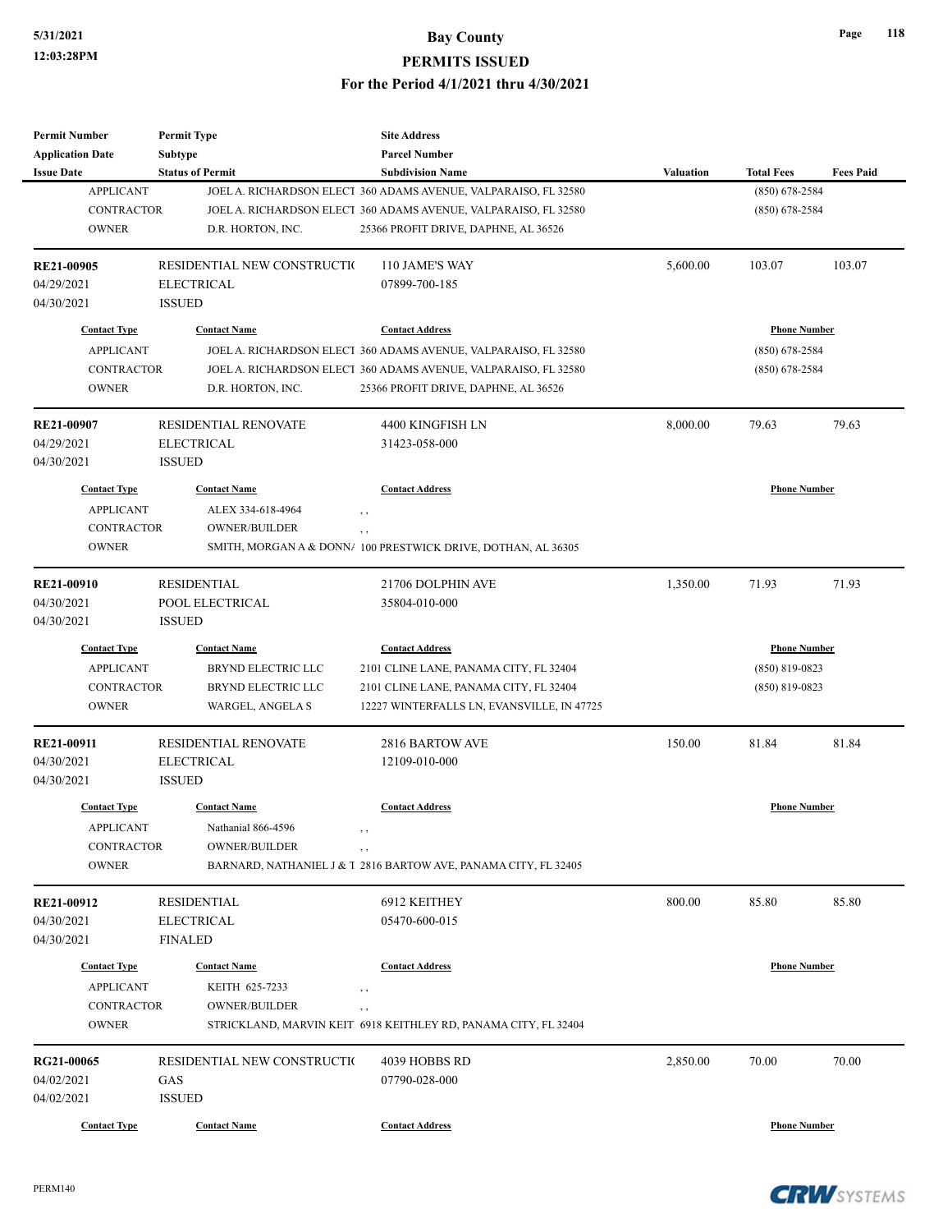| <b>Permit Number</b>    | <b>Permit Type</b>          | <b>Site Address</b>                                             |                  |                     |                  |
|-------------------------|-----------------------------|-----------------------------------------------------------------|------------------|---------------------|------------------|
| <b>Application Date</b> | <b>Subtype</b>              | <b>Parcel Number</b>                                            |                  |                     |                  |
| <b>Issue Date</b>       | <b>Status of Permit</b>     | <b>Subdivision Name</b>                                         | <b>Valuation</b> | <b>Total Fees</b>   | <b>Fees Paid</b> |
| <b>APPLICANT</b>        |                             | JOEL A. RICHARDSON ELECT 360 ADAMS AVENUE, VALPARAISO, FL 32580 |                  | $(850)$ 678-2584    |                  |
| <b>CONTRACTOR</b>       |                             | JOEL A. RICHARDSON ELECT 360 ADAMS AVENUE, VALPARAISO, FL 32580 |                  | $(850)$ 678-2584    |                  |
| <b>OWNER</b>            | D.R. HORTON, INC.           | 25366 PROFIT DRIVE, DAPHNE, AL 36526                            |                  |                     |                  |
|                         |                             |                                                                 |                  |                     |                  |
| RE21-00905              | RESIDENTIAL NEW CONSTRUCTIO | 110 JAME'S WAY                                                  | 5,600.00         | 103.07              | 103.07           |
| 04/29/2021              | <b>ELECTRICAL</b>           | 07899-700-185                                                   |                  |                     |                  |
| 04/30/2021              | <b>ISSUED</b>               |                                                                 |                  |                     |                  |
| <b>Contact Type</b>     | <b>Contact Name</b>         | <b>Contact Address</b>                                          |                  | <b>Phone Number</b> |                  |
| <b>APPLICANT</b>        |                             | JOEL A. RICHARDSON ELECT 360 ADAMS AVENUE, VALPARAISO, FL 32580 |                  | $(850) 678 - 2584$  |                  |
| <b>CONTRACTOR</b>       |                             | JOEL A. RICHARDSON ELECT 360 ADAMS AVENUE, VALPARAISO, FL 32580 |                  | $(850)$ 678-2584    |                  |
| <b>OWNER</b>            | D.R. HORTON, INC.           | 25366 PROFIT DRIVE, DAPHNE, AL 36526                            |                  |                     |                  |
|                         |                             |                                                                 |                  |                     |                  |
| RE21-00907              | RESIDENTIAL RENOVATE        | 4400 KINGFISH LN                                                | 8,000.00         | 79.63               | 79.63            |
| 04/29/2021              | <b>ELECTRICAL</b>           | 31423-058-000                                                   |                  |                     |                  |
| 04/30/2021              | <b>ISSUED</b>               |                                                                 |                  |                     |                  |
|                         |                             |                                                                 |                  |                     |                  |
| <b>Contact Type</b>     | <b>Contact Name</b>         | <b>Contact Address</b>                                          |                  | <b>Phone Number</b> |                  |
| <b>APPLICANT</b>        | ALEX 334-618-4964           | , ,                                                             |                  |                     |                  |
| <b>CONTRACTOR</b>       | <b>OWNER/BUILDER</b>        | $, \, ,$                                                        |                  |                     |                  |
| <b>OWNER</b>            |                             | SMITH, MORGAN A & DONN/ 100 PRESTWICK DRIVE, DOTHAN, AL 36305   |                  |                     |                  |
| RE21-00910              | <b>RESIDENTIAL</b>          | 21706 DOLPHIN AVE                                               | 1,350.00         | 71.93               | 71.93            |
| 04/30/2021              | POOL ELECTRICAL             | 35804-010-000                                                   |                  |                     |                  |
| 04/30/2021              | <b>ISSUED</b>               |                                                                 |                  |                     |                  |
|                         |                             |                                                                 |                  |                     |                  |
| <b>Contact Type</b>     | <b>Contact Name</b>         | <b>Contact Address</b>                                          |                  | <b>Phone Number</b> |                  |
| <b>APPLICANT</b>        | BRYND ELECTRIC LLC          | 2101 CLINE LANE, PANAMA CITY, FL 32404                          |                  | $(850) 819 - 0823$  |                  |
| CONTRACTOR              | BRYND ELECTRIC LLC          | 2101 CLINE LANE, PANAMA CITY, FL 32404                          |                  | $(850)$ 819-0823    |                  |
| <b>OWNER</b>            | WARGEL, ANGELA S            | 12227 WINTERFALLS LN, EVANSVILLE, IN 47725                      |                  |                     |                  |
| RE21-00911              | <b>RESIDENTIAL RENOVATE</b> | 2816 BARTOW AVE                                                 | 150.00           | 81.84               | 81.84            |
| 04/30/2021              | <b>ELECTRICAL</b>           | 12109-010-000                                                   |                  |                     |                  |
| 04/30/2021              | <b>ISSUED</b>               |                                                                 |                  |                     |                  |
|                         |                             |                                                                 |                  |                     |                  |
| <b>Contact Type</b>     | <b>Contact Name</b>         | <b>Contact Address</b>                                          |                  | <b>Phone Number</b> |                  |
| <b>APPLICANT</b>        | Nathanial 866-4596          | , ,                                                             |                  |                     |                  |
| CONTRACTOR              | <b>OWNER/BUILDER</b>        | , ,                                                             |                  |                     |                  |
| <b>OWNER</b>            |                             | BARNARD, NATHANIEL J & T 2816 BARTOW AVE, PANAMA CITY, FL 32405 |                  |                     |                  |
|                         |                             |                                                                 |                  |                     |                  |
| RE21-00912              | RESIDENTIAL                 | 6912 KEITHEY                                                    | 800.00           | 85.80               | 85.80            |
| 04/30/2021              | <b>ELECTRICAL</b>           | 05470-600-015                                                   |                  |                     |                  |
| 04/30/2021              | <b>FINALED</b>              |                                                                 |                  |                     |                  |
| <b>Contact Type</b>     | <b>Contact Name</b>         | <b>Contact Address</b>                                          |                  | <b>Phone Number</b> |                  |
| <b>APPLICANT</b>        | KEITH 625-7233              | $, \, , \,$                                                     |                  |                     |                  |
| CONTRACTOR              | <b>OWNER/BUILDER</b>        | , ,                                                             |                  |                     |                  |
| <b>OWNER</b>            |                             | STRICKLAND, MARVIN KEIT 6918 KEITHLEY RD, PANAMA CITY, FL 32404 |                  |                     |                  |
|                         |                             |                                                                 |                  |                     |                  |
| RG21-00065              | RESIDENTIAL NEW CONSTRUCTIO | 4039 HOBBS RD                                                   | 2,850.00         | 70.00               | 70.00            |
| 04/02/2021              | GAS                         | 07790-028-000                                                   |                  |                     |                  |
| 04/02/2021              | <b>ISSUED</b>               |                                                                 |                  |                     |                  |
| <b>Contact Type</b>     | <b>Contact Name</b>         | <b>Contact Address</b>                                          |                  | <b>Phone Number</b> |                  |



**Page 118**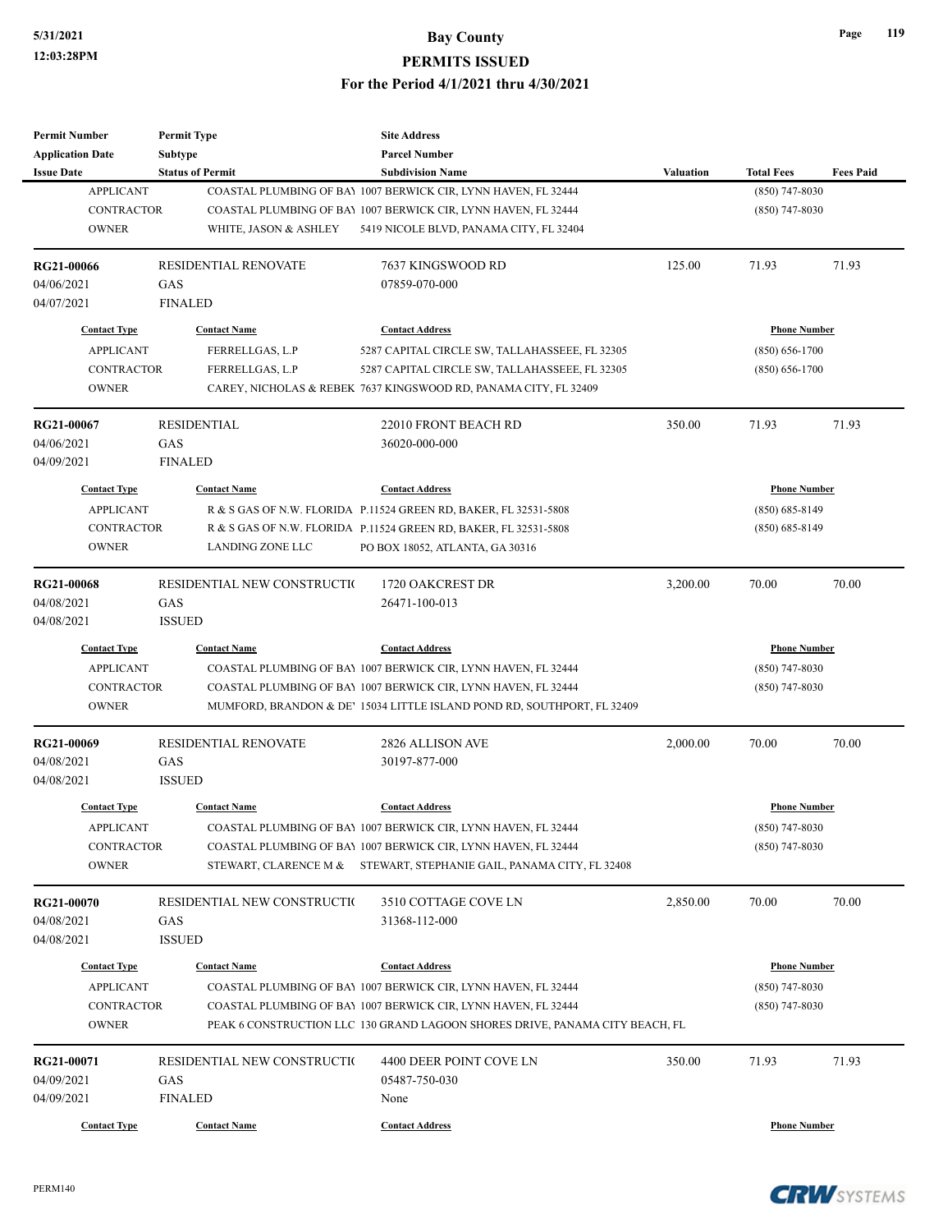| <b>Permit Number</b>              | <b>Permit Type</b>          | <b>Site Address</b>                                                                                                                            |                  |                     |                  |
|-----------------------------------|-----------------------------|------------------------------------------------------------------------------------------------------------------------------------------------|------------------|---------------------|------------------|
| <b>Application Date</b>           | <b>Subtype</b>              | <b>Parcel Number</b>                                                                                                                           |                  |                     |                  |
| <b>Issue Date</b>                 | <b>Status of Permit</b>     | <b>Subdivision Name</b>                                                                                                                        | <b>Valuation</b> | <b>Total Fees</b>   | <b>Fees Paid</b> |
| <b>APPLICANT</b>                  |                             | COASTAL PLUMBING OF BAY 1007 BERWICK CIR, LYNN HAVEN, FL 32444                                                                                 |                  | $(850)$ 747-8030    |                  |
| <b>CONTRACTOR</b>                 |                             | COASTAL PLUMBING OF BAY 1007 BERWICK CIR, LYNN HAVEN, FL 32444                                                                                 |                  | $(850)$ 747-8030    |                  |
| <b>OWNER</b>                      | WHITE, JASON & ASHLEY       | 5419 NICOLE BLVD, PANAMA CITY, FL 32404                                                                                                        |                  |                     |                  |
| RG21-00066                        | <b>RESIDENTIAL RENOVATE</b> | 7637 KINGSWOOD RD                                                                                                                              | 125.00           | 71.93               | 71.93            |
| 04/06/2021                        | GAS                         | 07859-070-000                                                                                                                                  |                  |                     |                  |
| 04/07/2021                        | <b>FINALED</b>              |                                                                                                                                                |                  |                     |                  |
| <b>Contact Type</b>               | <b>Contact Name</b>         | <b>Contact Address</b>                                                                                                                         |                  | <b>Phone Number</b> |                  |
| <b>APPLICANT</b>                  | FERRELLGAS, L.P             | 5287 CAPITAL CIRCLE SW, TALLAHASSEEE, FL 32305                                                                                                 |                  | $(850) 656 - 1700$  |                  |
| <b>CONTRACTOR</b>                 | FERRELLGAS, L.P             | 5287 CAPITAL CIRCLE SW, TALLAHASSEEE, FL 32305                                                                                                 |                  | $(850) 656 - 1700$  |                  |
| <b>OWNER</b>                      |                             | CAREY, NICHOLAS & REBEK 7637 KINGSWOOD RD, PANAMA CITY, FL 32409                                                                               |                  |                     |                  |
| RG21-00067                        | <b>RESIDENTIAL</b>          | 22010 FRONT BEACH RD                                                                                                                           | 350.00           | 71.93               | 71.93            |
| 04/06/2021                        | GAS                         | 36020-000-000                                                                                                                                  |                  |                     |                  |
| 04/09/2021                        | <b>FINALED</b>              |                                                                                                                                                |                  |                     |                  |
| <b>Contact Type</b>               | <b>Contact Name</b>         | <b>Contact Address</b>                                                                                                                         |                  | <b>Phone Number</b> |                  |
| <b>APPLICANT</b>                  |                             | R & S GAS OF N.W. FLORIDA P.11524 GREEN RD, BAKER, FL 32531-5808                                                                               |                  | $(850) 685 - 8149$  |                  |
| <b>CONTRACTOR</b>                 |                             | R & S GAS OF N.W. FLORIDA P.11524 GREEN RD, BAKER, FL 32531-5808                                                                               |                  | $(850) 685 - 8149$  |                  |
| <b>OWNER</b>                      | <b>LANDING ZONE LLC</b>     | PO BOX 18052, ATLANTA, GA 30316                                                                                                                |                  |                     |                  |
|                                   |                             |                                                                                                                                                |                  |                     |                  |
| <b>RG21-00068</b>                 | RESIDENTIAL NEW CONSTRUCTIO | 1720 OAKCREST DR                                                                                                                               | 3,200.00         | 70.00               | 70.00            |
| 04/08/2021                        | GAS                         | 26471-100-013                                                                                                                                  |                  |                     |                  |
| 04/08/2021                        | <b>ISSUED</b>               |                                                                                                                                                |                  |                     |                  |
| <b>Contact Type</b>               | <b>Contact Name</b>         | <b>Contact Address</b>                                                                                                                         |                  | <b>Phone Number</b> |                  |
| <b>APPLICANT</b>                  |                             | COASTAL PLUMBING OF BAY 1007 BERWICK CIR, LYNN HAVEN, FL 32444                                                                                 |                  | $(850)$ 747-8030    |                  |
| <b>CONTRACTOR</b>                 |                             | COASTAL PLUMBING OF BAY 1007 BERWICK CIR, LYNN HAVEN, FL 32444                                                                                 |                  | $(850)$ 747-8030    |                  |
| <b>OWNER</b>                      |                             | MUMFORD, BRANDON & DE' 15034 LITTLE ISLAND POND RD, SOUTHPORT, FL 32409                                                                        |                  |                     |                  |
| RG21-00069                        | RESIDENTIAL RENOVATE        | 2826 ALLISON AVE                                                                                                                               | 2,000.00         | 70.00               | 70.00            |
| 04/08/2021                        | GAS                         | 30197-877-000                                                                                                                                  |                  |                     |                  |
| 04/08/2021                        | <b>ISSUED</b>               |                                                                                                                                                |                  |                     |                  |
| <b>Contact Type</b>               | <b>Contact Name</b>         | <b>Contact Address</b>                                                                                                                         |                  | <b>Phone Number</b> |                  |
| <b>APPLICANT</b>                  |                             | COASTAL PLUMBING OF BAY 1007 BERWICK CIR, LYNN HAVEN, FL 32444                                                                                 |                  | $(850)$ 747-8030    |                  |
| CONTRACTOR                        |                             | COASTAL PLUMBING OF BAY 1007 BERWICK CIR, LYNN HAVEN, FL 32444                                                                                 |                  | $(850)$ 747-8030    |                  |
| <b>OWNER</b>                      |                             | STEWART, CLARENCE M & STEWART, STEPHANIE GAIL, PANAMA CITY, FL 32408                                                                           |                  |                     |                  |
| RG21-00070                        | RESIDENTIAL NEW CONSTRUCTI( | 3510 COTTAGE COVE LN                                                                                                                           | 2,850.00         | 70.00               | 70.00            |
| 04/08/2021                        | GAS                         | 31368-112-000                                                                                                                                  |                  |                     |                  |
| 04/08/2021                        | <b>ISSUED</b>               |                                                                                                                                                |                  |                     |                  |
|                                   |                             |                                                                                                                                                |                  |                     |                  |
| <b>Contact Type</b>               | <b>Contact Name</b>         | <b>Contact Address</b>                                                                                                                         |                  | <b>Phone Number</b> |                  |
| <b>APPLICANT</b>                  |                             | COASTAL PLUMBING OF BAY 1007 BERWICK CIR, LYNN HAVEN, FL 32444                                                                                 |                  | $(850)$ 747-8030    |                  |
| <b>CONTRACTOR</b><br><b>OWNER</b> |                             | COASTAL PLUMBING OF BAY 1007 BERWICK CIR, LYNN HAVEN, FL 32444<br>PEAK 6 CONSTRUCTION LLC 130 GRAND LAGOON SHORES DRIVE, PANAMA CITY BEACH, FL |                  | $(850)$ 747-8030    |                  |
|                                   |                             |                                                                                                                                                |                  |                     |                  |
| RG21-00071                        | RESIDENTIAL NEW CONSTRUCTIO | 4400 DEER POINT COVE LN                                                                                                                        | 350.00           | 71.93               | 71.93            |
| 04/09/2021                        | GAS                         | 05487-750-030                                                                                                                                  |                  |                     |                  |
| 04/09/2021                        | <b>FINALED</b>              | None                                                                                                                                           |                  |                     |                  |
| <b>Contact Type</b>               | <b>Contact Name</b>         | <b>Contact Address</b>                                                                                                                         |                  | <b>Phone Number</b> |                  |



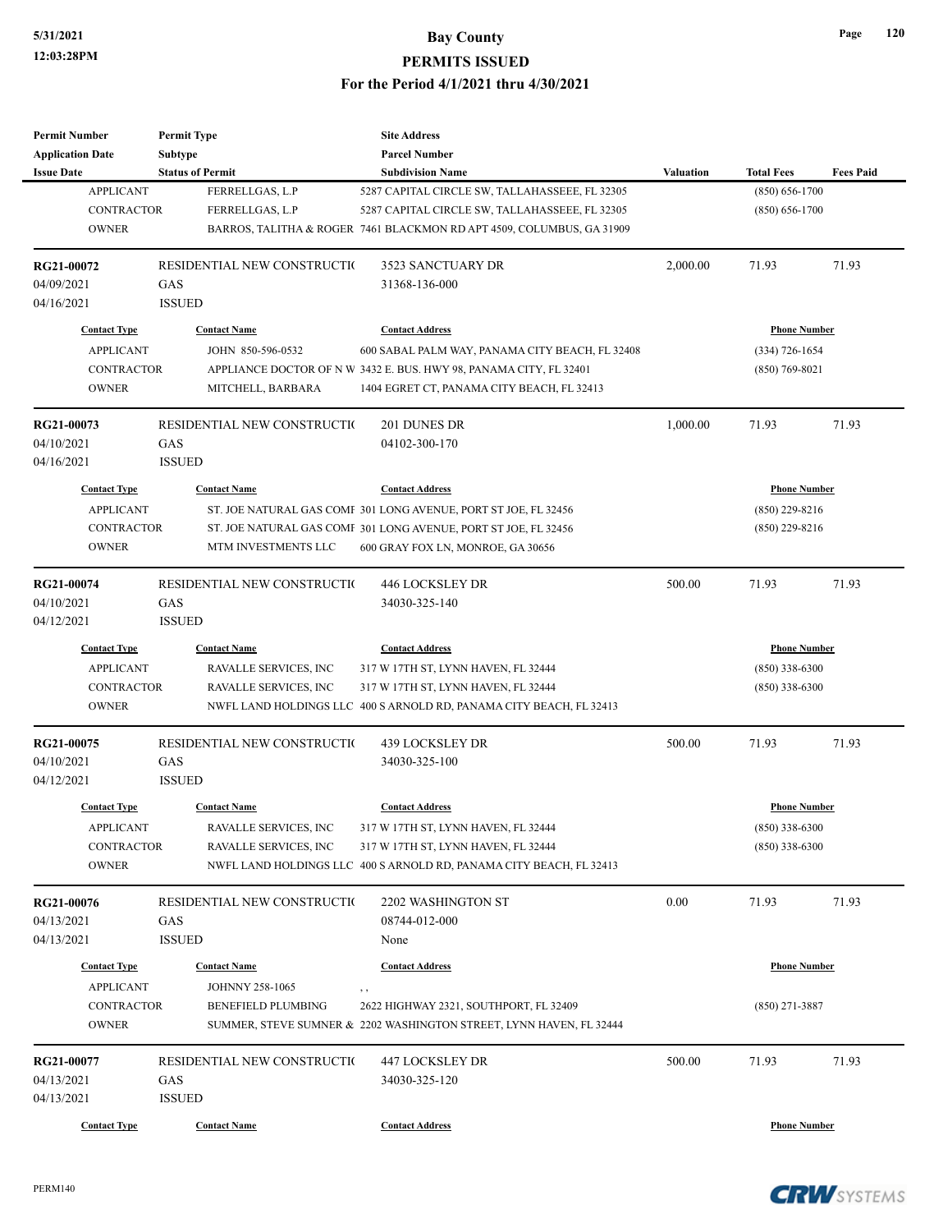| <b>Permit Number</b>                    | <b>Permit Type</b>                     | <b>Site Address</b>                                                   |                  |                     |                  |
|-----------------------------------------|----------------------------------------|-----------------------------------------------------------------------|------------------|---------------------|------------------|
| <b>Application Date</b>                 | <b>Subtype</b>                         | <b>Parcel Number</b>                                                  |                  |                     |                  |
| <b>Issue Date</b>                       | <b>Status of Permit</b>                | <b>Subdivision Name</b>                                               | <b>Valuation</b> | <b>Total Fees</b>   | <b>Fees Paid</b> |
| <b>APPLICANT</b>                        | FERRELLGAS, L.P                        | 5287 CAPITAL CIRCLE SW, TALLAHASSEEE, FL 32305                        |                  | $(850) 656 - 1700$  |                  |
| CONTRACTOR                              | FERRELLGAS, L.P                        | 5287 CAPITAL CIRCLE SW, TALLAHASSEEE, FL 32305                        |                  | $(850) 656 - 1700$  |                  |
| <b>OWNER</b>                            |                                        | BARROS, TALITHA & ROGER 7461 BLACKMON RD APT 4509, COLUMBUS, GA 31909 |                  |                     |                  |
| RG21-00072                              | RESIDENTIAL NEW CONSTRUCTIO            | 3523 SANCTUARY DR                                                     | 2,000.00         | 71.93               | 71.93            |
| 04/09/2021                              | GAS                                    | 31368-136-000                                                         |                  |                     |                  |
| 04/16/2021                              | <b>ISSUED</b>                          |                                                                       |                  |                     |                  |
| <b>Contact Type</b>                     | <b>Contact Name</b>                    | <b>Contact Address</b>                                                |                  | <b>Phone Number</b> |                  |
| <b>APPLICANT</b>                        | JOHN 850-596-0532                      | 600 SABAL PALM WAY, PANAMA CITY BEACH, FL 32408                       |                  | (334) 726-1654      |                  |
| <b>CONTRACTOR</b>                       |                                        | APPLIANCE DOCTOR OF N W 3432 E. BUS. HWY 98, PANAMA CITY, FL 32401    |                  | $(850)$ 769-8021    |                  |
| <b>OWNER</b>                            | MITCHELL, BARBARA                      | 1404 EGRET CT, PANAMA CITY BEACH, FL 32413                            |                  |                     |                  |
| RG21-00073                              | RESIDENTIAL NEW CONSTRUCTIO            | 201 DUNES DR                                                          | 1,000.00         | 71.93               | 71.93            |
| 04/10/2021                              | GAS                                    | 04102-300-170                                                         |                  |                     |                  |
| 04/16/2021                              | <b>ISSUED</b>                          |                                                                       |                  |                     |                  |
| <b>Contact Type</b>                     | <b>Contact Name</b>                    | <b>Contact Address</b>                                                |                  | <b>Phone Number</b> |                  |
| <b>APPLICANT</b>                        |                                        | ST. JOE NATURAL GAS COMF 301 LONG AVENUE, PORT ST JOE, FL 32456       |                  | $(850)$ 229-8216    |                  |
| <b>CONTRACTOR</b>                       |                                        | ST. JOE NATURAL GAS COMF 301 LONG AVENUE, PORT ST JOE, FL 32456       |                  | $(850)$ 229-8216    |                  |
| <b>OWNER</b>                            | MTM INVESTMENTS LLC                    | 600 GRAY FOX LN, MONROE, GA 30656                                     |                  |                     |                  |
|                                         |                                        |                                                                       |                  |                     |                  |
| RG21-00074                              | RESIDENTIAL NEW CONSTRUCTIO            | <b>446 LOCKSLEY DR</b>                                                | 500.00           | 71.93               | 71.93            |
| 04/10/2021                              | GAS                                    | 34030-325-140                                                         |                  |                     |                  |
| 04/12/2021                              | <b>ISSUED</b>                          |                                                                       |                  |                     |                  |
| <b>Contact Type</b>                     | <b>Contact Name</b>                    | <b>Contact Address</b>                                                |                  | <b>Phone Number</b> |                  |
| <b>APPLICANT</b>                        | RAVALLE SERVICES, INC                  | 317 W 17TH ST, LYNN HAVEN, FL 32444                                   |                  | $(850)$ 338-6300    |                  |
| <b>CONTRACTOR</b>                       | RAVALLE SERVICES, INC                  | 317 W 17TH ST, LYNN HAVEN, FL 32444                                   |                  | $(850)$ 338-6300    |                  |
| <b>OWNER</b>                            |                                        | NWFL LAND HOLDINGS LLC 400 S ARNOLD RD, PANAMA CITY BEACH, FL 32413   |                  |                     |                  |
| RG21-00075                              | RESIDENTIAL NEW CONSTRUCTIO            | 439 LOCKSLEY DR                                                       | 500.00           | 71.93               | 71.93            |
| 04/10/2021                              | GAS                                    | 34030-325-100                                                         |                  |                     |                  |
| 04/12/2021                              | <b>ISSUED</b>                          |                                                                       |                  |                     |                  |
| <b>Contact Type</b>                     | <b>Contact Name</b>                    | <b>Contact Address</b>                                                |                  | <b>Phone Number</b> |                  |
| <b>APPLICANT</b>                        | RAVALLE SERVICES, INC                  | 317 W 17TH ST, LYNN HAVEN, FL 32444                                   |                  | $(850)$ 338-6300    |                  |
| CONTRACTOR                              | RAVALLE SERVICES, INC                  | 317 W 17TH ST, LYNN HAVEN, FL 32444                                   |                  | $(850)$ 338-6300    |                  |
| <b>OWNER</b>                            |                                        | NWFL LAND HOLDINGS LLC 400 S ARNOLD RD, PANAMA CITY BEACH, FL 32413   |                  |                     |                  |
| RG21-00076                              | RESIDENTIAL NEW CONSTRUCTIO            | 2202 WASHINGTON ST                                                    | 0.00             | 71.93               | 71.93            |
| 04/13/2021                              | GAS                                    | 08744-012-000                                                         |                  |                     |                  |
| 04/13/2021                              | <b>ISSUED</b>                          | None                                                                  |                  |                     |                  |
|                                         |                                        |                                                                       |                  |                     |                  |
| <b>Contact Type</b><br><b>APPLICANT</b> | <b>Contact Name</b><br>JOHNNY 258-1065 | <b>Contact Address</b>                                                |                  | <b>Phone Number</b> |                  |
| <b>CONTRACTOR</b>                       | <b>BENEFIELD PLUMBING</b>              | 2622 HIGHWAY 2321, SOUTHPORT, FL 32409                                |                  | $(850)$ 271-3887    |                  |
| <b>OWNER</b>                            |                                        | SUMMER, STEVE SUMNER & 2202 WASHINGTON STREET, LYNN HAVEN, FL 32444   |                  |                     |                  |
|                                         |                                        |                                                                       |                  |                     |                  |
| RG21-00077                              | RESIDENTIAL NEW CONSTRUCTIO            | 447 LOCKSLEY DR                                                       | 500.00           | 71.93               | 71.93            |
| 04/13/2021                              | GAS                                    | 34030-325-120                                                         |                  |                     |                  |
| 04/13/2021                              | <b>ISSUED</b>                          |                                                                       |                  |                     |                  |
| <b>Contact Type</b>                     | <b>Contact Name</b>                    | <b>Contact Address</b>                                                |                  | <b>Phone Number</b> |                  |

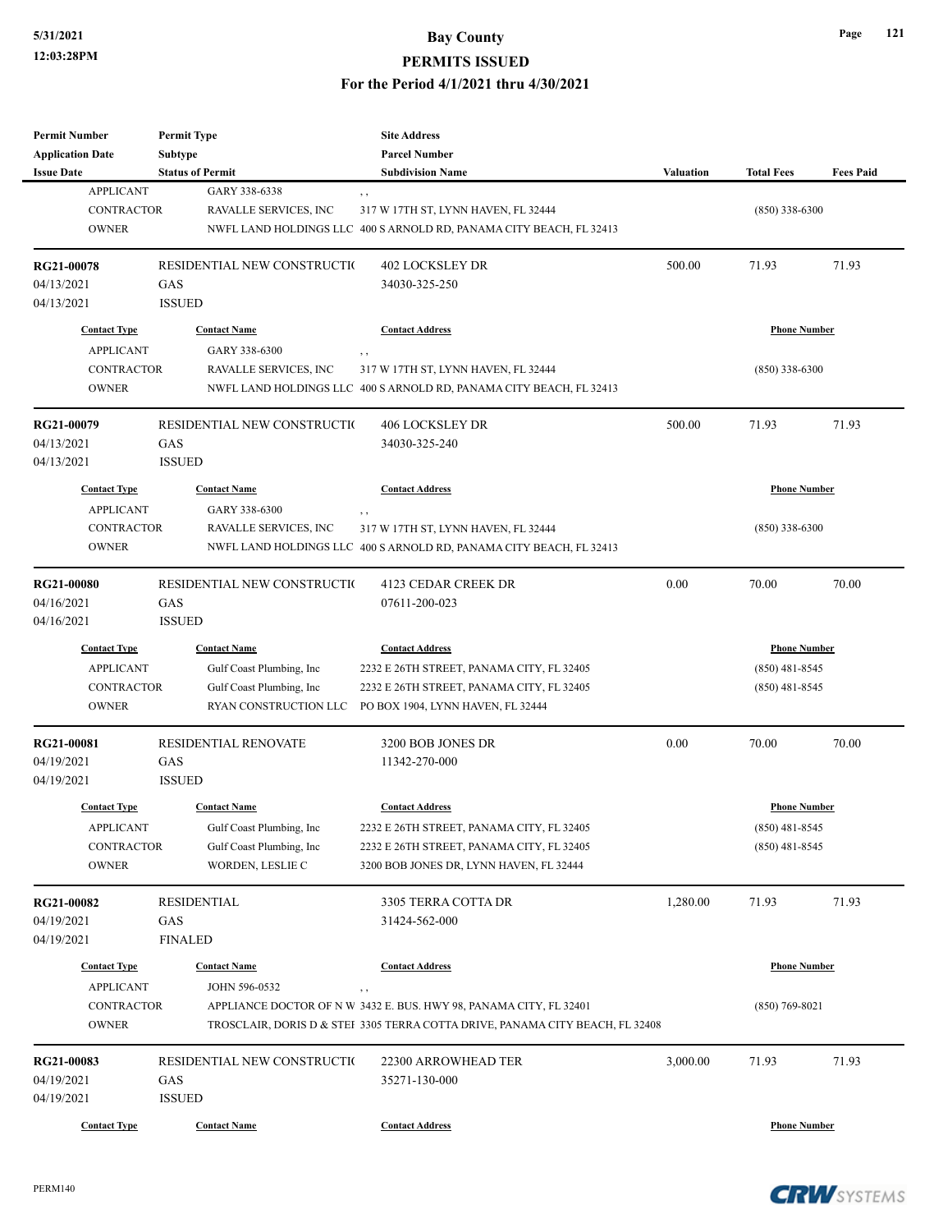| <b>Permit Number</b>    | <b>Permit Type</b>          | <b>Site Address</b>                                                           |                  |                     |                  |
|-------------------------|-----------------------------|-------------------------------------------------------------------------------|------------------|---------------------|------------------|
| <b>Application Date</b> | Subtype                     | <b>Parcel Number</b>                                                          |                  |                     |                  |
| <b>Issue Date</b>       | <b>Status of Permit</b>     | <b>Subdivision Name</b>                                                       | <b>Valuation</b> | <b>Total Fees</b>   | <b>Fees Paid</b> |
| <b>APPLICANT</b>        | GARY 338-6338               | , ,                                                                           |                  |                     |                  |
| <b>CONTRACTOR</b>       | RAVALLE SERVICES, INC       | 317 W 17TH ST, LYNN HAVEN, FL 32444                                           |                  | $(850)$ 338-6300    |                  |
| <b>OWNER</b>            |                             | NWFL LAND HOLDINGS LLC 400 S ARNOLD RD, PANAMA CITY BEACH, FL 32413           |                  |                     |                  |
|                         |                             |                                                                               |                  |                     |                  |
| RG21-00078              | RESIDENTIAL NEW CONSTRUCTIO | <b>402 LOCKSLEY DR</b>                                                        | 500.00           | 71.93               | 71.93            |
| 04/13/2021              | GAS                         | 34030-325-250                                                                 |                  |                     |                  |
| 04/13/2021              | <b>ISSUED</b>               |                                                                               |                  |                     |                  |
|                         |                             |                                                                               |                  |                     |                  |
| <b>Contact Type</b>     | <b>Contact Name</b>         | <b>Contact Address</b>                                                        |                  | <b>Phone Number</b> |                  |
| <b>APPLICANT</b>        | GARY 338-6300               | $, \, , \,$                                                                   |                  |                     |                  |
| <b>CONTRACTOR</b>       | RAVALLE SERVICES, INC       | 317 W 17TH ST, LYNN HAVEN, FL 32444                                           |                  | $(850)$ 338-6300    |                  |
| <b>OWNER</b>            |                             | NWFL LAND HOLDINGS LLC 400 S ARNOLD RD, PANAMA CITY BEACH, FL 32413           |                  |                     |                  |
|                         |                             |                                                                               |                  |                     |                  |
| RG21-00079              | RESIDENTIAL NEW CONSTRUCTIO | 406 LOCKSLEY DR                                                               | 500.00           | 71.93               | 71.93            |
| 04/13/2021              | GAS                         | 34030-325-240                                                                 |                  |                     |                  |
| 04/13/2021              | <b>ISSUED</b>               |                                                                               |                  |                     |                  |
|                         |                             |                                                                               |                  |                     |                  |
| <b>Contact Type</b>     | <b>Contact Name</b>         | <b>Contact Address</b>                                                        |                  | <b>Phone Number</b> |                  |
| <b>APPLICANT</b>        | GARY 338-6300               |                                                                               |                  |                     |                  |
| CONTRACTOR              | RAVALLE SERVICES, INC       | 317 W 17TH ST, LYNN HAVEN, FL 32444                                           |                  | $(850)$ 338-6300    |                  |
| <b>OWNER</b>            |                             | NWFL LAND HOLDINGS LLC 400 S ARNOLD RD, PANAMA CITY BEACH, FL 32413           |                  |                     |                  |
|                         |                             |                                                                               |                  |                     |                  |
| <b>RG21-00080</b>       | RESIDENTIAL NEW CONSTRUCTIO | 4123 CEDAR CREEK DR                                                           | 0.00             | 70.00               | 70.00            |
| 04/16/2021              | GAS                         | 07611-200-023                                                                 |                  |                     |                  |
| 04/16/2021              | <b>ISSUED</b>               |                                                                               |                  |                     |                  |
| <b>Contact Type</b>     | <b>Contact Name</b>         | <b>Contact Address</b>                                                        |                  | <b>Phone Number</b> |                  |
|                         |                             |                                                                               |                  |                     |                  |
| <b>APPLICANT</b>        | Gulf Coast Plumbing, Inc    | 2232 E 26TH STREET, PANAMA CITY, FL 32405                                     |                  | $(850)$ 481-8545    |                  |
| <b>CONTRACTOR</b>       | Gulf Coast Plumbing, Inc    | 2232 E 26TH STREET, PANAMA CITY, FL 32405                                     |                  | $(850)$ 481-8545    |                  |
| <b>OWNER</b>            | RYAN CONSTRUCTION LLC       | PO BOX 1904, LYNN HAVEN, FL 32444                                             |                  |                     |                  |
|                         | <b>RESIDENTIAL RENOVATE</b> | 3200 BOB JONES DR                                                             | 0.00             | 70.00               | 70.00            |
| RG21-00081              |                             |                                                                               |                  |                     |                  |
| 04/19/2021              | GAS                         | 11342-270-000                                                                 |                  |                     |                  |
| 04/19/2021              | <b>ISSUED</b>               |                                                                               |                  |                     |                  |
| <b>Contact Type</b>     | <b>Contact Name</b>         | <b>Contact Address</b>                                                        |                  | <b>Phone Number</b> |                  |
| <b>APPLICANT</b>        | Gulf Coast Plumbing, Inc    | 2232 E 26TH STREET, PANAMA CITY, FL 32405                                     |                  | $(850)$ 481-8545    |                  |
| CONTRACTOR              | Gulf Coast Plumbing, Inc    | 2232 E 26TH STREET, PANAMA CITY, FL 32405                                     |                  | $(850)$ 481-8545    |                  |
|                         |                             | 3200 BOB JONES DR, LYNN HAVEN, FL 32444                                       |                  |                     |                  |
| <b>OWNER</b>            | WORDEN, LESLIE C            |                                                                               |                  |                     |                  |
| RG21-00082              | RESIDENTIAL                 | 3305 TERRA COTTA DR                                                           | 1,280.00         | 71.93               | 71.93            |
|                         |                             |                                                                               |                  |                     |                  |
| 04/19/2021              | GAS                         | 31424-562-000                                                                 |                  |                     |                  |
| 04/19/2021              | <b>FINALED</b>              |                                                                               |                  |                     |                  |
| <b>Contact Type</b>     | <b>Contact Name</b>         | <b>Contact Address</b>                                                        |                  | <b>Phone Number</b> |                  |
| <b>APPLICANT</b>        | JOHN 596-0532               | $, \, ,$                                                                      |                  |                     |                  |
| CONTRACTOR              |                             | APPLIANCE DOCTOR OF N W 3432 E. BUS. HWY 98, PANAMA CITY, FL 32401            |                  | $(850)$ 769-8021    |                  |
| <b>OWNER</b>            |                             | TROSCLAIR, DORIS D & STEI 3305 TERRA COTTA DRIVE, PANAMA CITY BEACH, FL 32408 |                  |                     |                  |
|                         |                             |                                                                               |                  |                     |                  |
| RG21-00083              | RESIDENTIAL NEW CONSTRUCTIO | 22300 ARROWHEAD TER                                                           | 3,000.00         | 71.93               | 71.93            |
| 04/19/2021              | GAS                         | 35271-130-000                                                                 |                  |                     |                  |
| 04/19/2021              | <b>ISSUED</b>               |                                                                               |                  |                     |                  |
|                         |                             |                                                                               |                  |                     |                  |
| <b>Contact Type</b>     | <b>Contact Name</b>         | <b>Contact Address</b>                                                        |                  | <b>Phone Number</b> |                  |

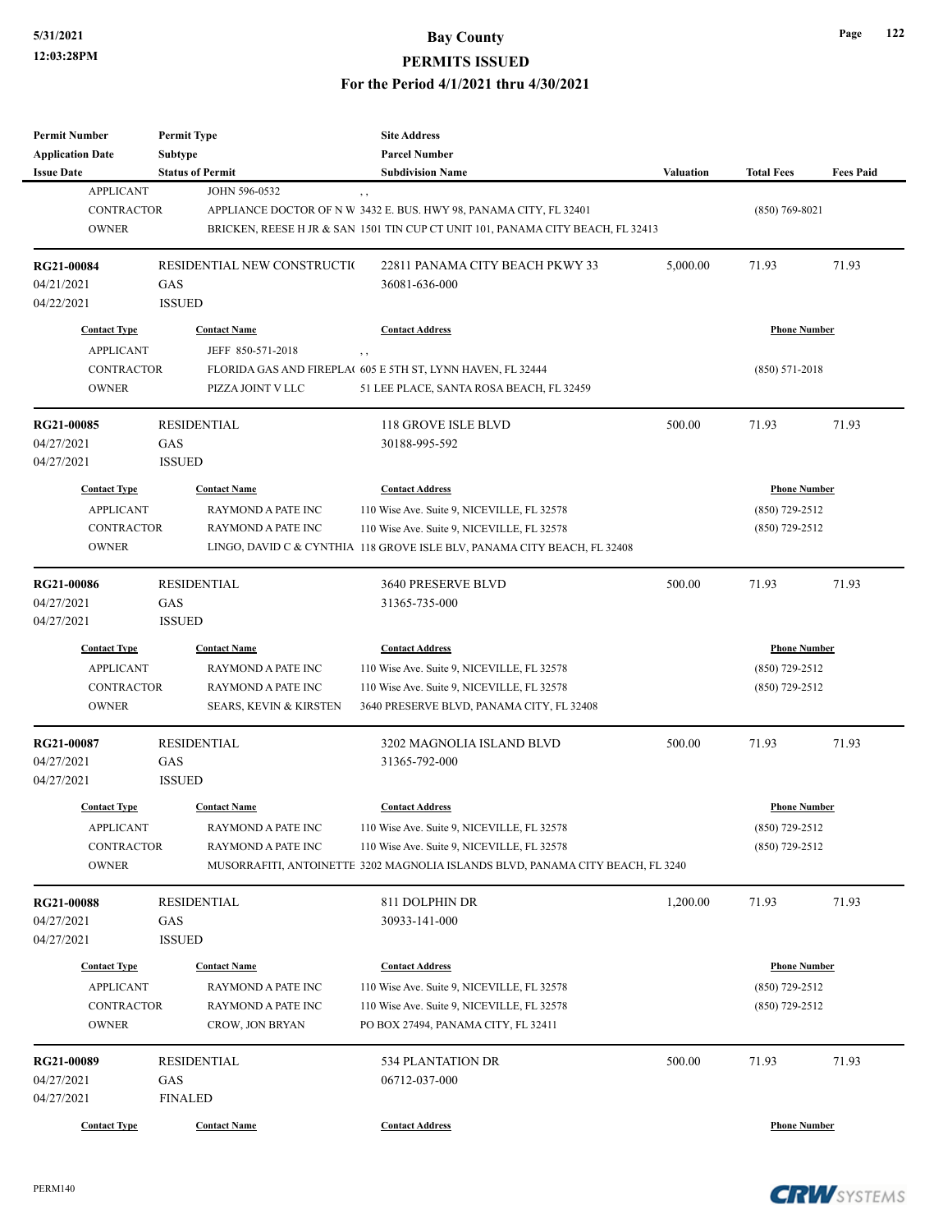| <b>Permit Number</b>    | <b>Permit Type</b>                | <b>Site Address</b>                                                             |                  |                     |                  |
|-------------------------|-----------------------------------|---------------------------------------------------------------------------------|------------------|---------------------|------------------|
| <b>Application Date</b> | <b>Subtype</b>                    | <b>Parcel Number</b>                                                            |                  |                     |                  |
| <b>Issue Date</b>       | <b>Status of Permit</b>           | <b>Subdivision Name</b>                                                         | <b>Valuation</b> | <b>Total Fees</b>   | <b>Fees Paid</b> |
| <b>APPLICANT</b>        | JOHN 596-0532                     | , ,                                                                             |                  |                     |                  |
| <b>CONTRACTOR</b>       |                                   | APPLIANCE DOCTOR OF N W 3432 E. BUS. HWY 98, PANAMA CITY, FL 32401              |                  | $(850)$ 769-8021    |                  |
| <b>OWNER</b>            |                                   | BRICKEN, REESE H JR & SAN 1501 TIN CUP CT UNIT 101, PANAMA CITY BEACH, FL 32413 |                  |                     |                  |
| <b>RG21-00084</b>       | RESIDENTIAL NEW CONSTRUCTIO       | 22811 PANAMA CITY BEACH PKWY 33                                                 | 5,000.00         | 71.93               | 71.93            |
| 04/21/2021              | GAS                               | 36081-636-000                                                                   |                  |                     |                  |
| 04/22/2021              | <b>ISSUED</b>                     |                                                                                 |                  |                     |                  |
| <b>Contact Type</b>     | <b>Contact Name</b>               | <b>Contact Address</b>                                                          |                  | <b>Phone Number</b> |                  |
| <b>APPLICANT</b>        | JEFF 850-571-2018                 | $, \, ,$                                                                        |                  |                     |                  |
| <b>CONTRACTOR</b>       |                                   | FLORIDA GAS AND FIREPLAC 605 E 5TH ST, LYNN HAVEN, FL 32444                     |                  | $(850) 571 - 2018$  |                  |
| <b>OWNER</b>            | PIZZA JOINT V LLC                 | 51 LEE PLACE, SANTA ROSA BEACH, FL 32459                                        |                  |                     |                  |
| RG21-00085              | <b>RESIDENTIAL</b>                | 118 GROVE ISLE BLVD                                                             | 500.00           | 71.93               | 71.93            |
| 04/27/2021              | GAS                               | 30188-995-592                                                                   |                  |                     |                  |
| 04/27/2021              | <b>ISSUED</b>                     |                                                                                 |                  |                     |                  |
| <b>Contact Type</b>     | <b>Contact Name</b>               | <b>Contact Address</b>                                                          |                  | <b>Phone Number</b> |                  |
| <b>APPLICANT</b>        | <b>RAYMOND A PATE INC</b>         | 110 Wise Ave. Suite 9, NICEVILLE, FL 32578                                      |                  | $(850)$ 729-2512    |                  |
| <b>CONTRACTOR</b>       | <b>RAYMOND A PATE INC</b>         | 110 Wise Ave. Suite 9, NICEVILLE, FL 32578                                      |                  | $(850)$ 729-2512    |                  |
| <b>OWNER</b>            |                                   | LINGO, DAVID C & CYNTHIA 118 GROVE ISLE BLV, PANAMA CITY BEACH, FL 32408        |                  |                     |                  |
| RG21-00086              | <b>RESIDENTIAL</b>                | 3640 PRESERVE BLVD                                                              | 500.00           | 71.93               | 71.93            |
| 04/27/2021              | GAS                               | 31365-735-000                                                                   |                  |                     |                  |
| 04/27/2021              | <b>ISSUED</b>                     |                                                                                 |                  |                     |                  |
|                         |                                   | <b>Contact Address</b>                                                          |                  |                     |                  |
| <b>Contact Type</b>     | <b>Contact Name</b>               |                                                                                 |                  | <b>Phone Number</b> |                  |
| <b>APPLICANT</b>        | <b>RAYMOND A PATE INC</b>         | 110 Wise Ave. Suite 9, NICEVILLE, FL 32578                                      |                  | $(850)$ 729-2512    |                  |
| <b>CONTRACTOR</b>       | <b>RAYMOND A PATE INC</b>         | 110 Wise Ave. Suite 9, NICEVILLE, FL 32578                                      |                  | $(850)$ 729-2512    |                  |
| <b>OWNER</b>            | <b>SEARS, KEVIN &amp; KIRSTEN</b> | 3640 PRESERVE BLVD, PANAMA CITY, FL 32408                                       |                  |                     |                  |
| RG21-00087              | <b>RESIDENTIAL</b>                | 3202 MAGNOLIA ISLAND BLVD                                                       | 500.00           | 71.93               | 71.93            |
| 04/27/2021              | GAS                               | 31365-792-000                                                                   |                  |                     |                  |
| 04/27/2021              | <b>ISSUED</b>                     |                                                                                 |                  |                     |                  |
| <b>Contact Type</b>     | <b>Contact Name</b>               | <b>Contact Address</b>                                                          |                  | <b>Phone Number</b> |                  |
| <b>APPLICANT</b>        | RAYMOND A PATE INC                | 110 Wise Ave. Suite 9, NICEVILLE, FL 32578                                      |                  | (850) 729-2512      |                  |
| CONTRACTOR              | RAYMOND A PATE INC                | 110 Wise Ave. Suite 9, NICEVILLE, FL 32578                                      |                  | $(850)$ 729-2512    |                  |
| <b>OWNER</b>            |                                   | MUSORRAFITI, ANTOINETTE 3202 MAGNOLIA ISLANDS BLVD, PANAMA CITY BEACH, FL 3240  |                  |                     |                  |
| <b>RG21-00088</b>       | <b>RESIDENTIAL</b>                | 811 DOLPHIN DR                                                                  | 1,200.00         | 71.93               | 71.93            |
| 04/27/2021              | GAS                               | 30933-141-000                                                                   |                  |                     |                  |
| 04/27/2021              | <b>ISSUED</b>                     |                                                                                 |                  |                     |                  |
| <b>Contact Type</b>     | <b>Contact Name</b>               | <b>Contact Address</b>                                                          |                  | <b>Phone Number</b> |                  |
| <b>APPLICANT</b>        | RAYMOND A PATE INC                | 110 Wise Ave. Suite 9, NICEVILLE, FL 32578                                      |                  | $(850)$ 729-2512    |                  |
| CONTRACTOR              | RAYMOND A PATE INC                | 110 Wise Ave. Suite 9, NICEVILLE, FL 32578                                      |                  | $(850)$ 729-2512    |                  |
| <b>OWNER</b>            | CROW, JON BRYAN                   | PO BOX 27494, PANAMA CITY, FL 32411                                             |                  |                     |                  |
| RG21-00089              | <b>RESIDENTIAL</b>                | 534 PLANTATION DR                                                               | 500.00           | 71.93               | 71.93            |
| 04/27/2021              | GAS                               | 06712-037-000                                                                   |                  |                     |                  |
| 04/27/2021              | <b>FINALED</b>                    |                                                                                 |                  |                     |                  |
| <b>Contact Type</b>     | <b>Contact Name</b>               | <b>Contact Address</b>                                                          |                  | <b>Phone Number</b> |                  |
|                         |                                   |                                                                                 |                  |                     |                  |

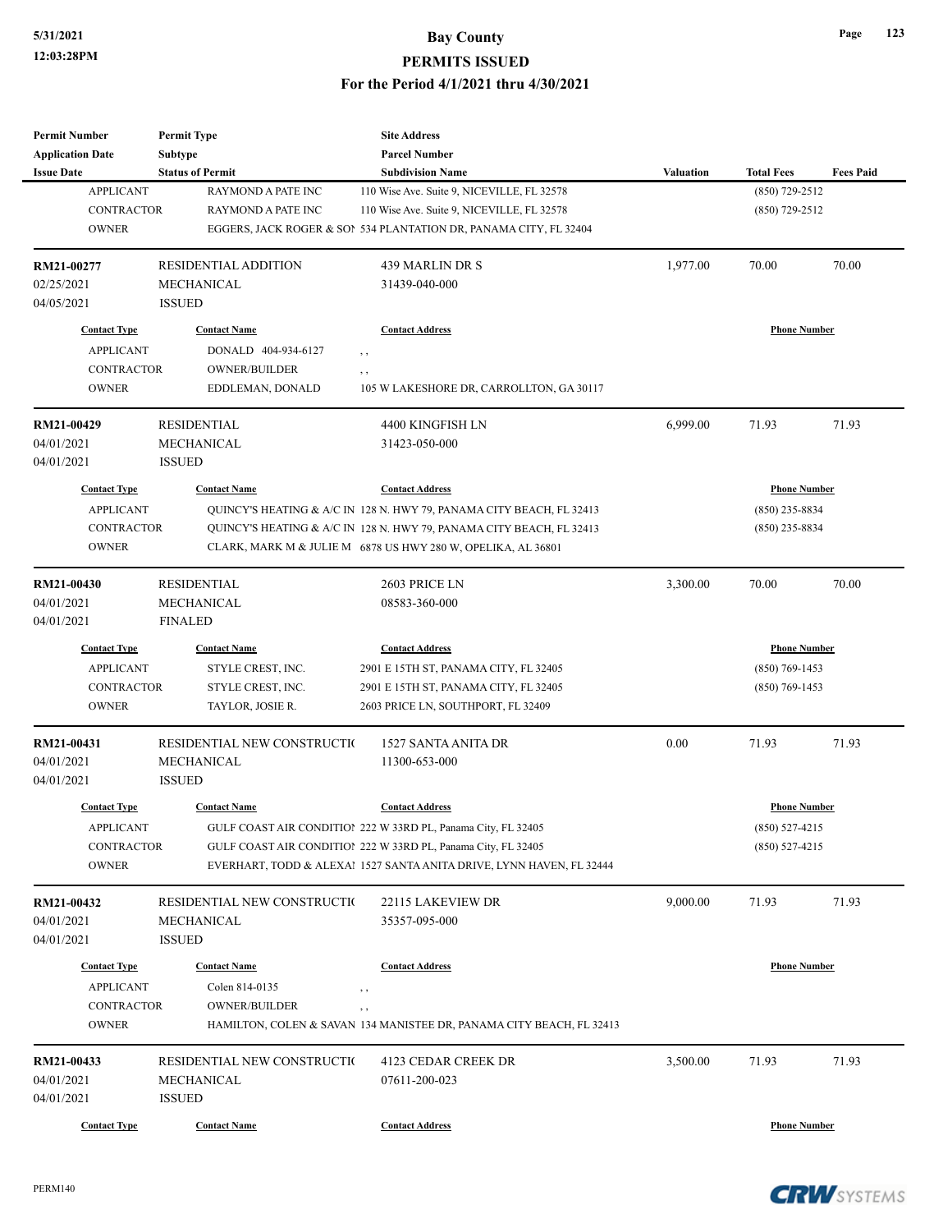| <b>Permit Number</b>    | <b>Permit Type</b>          | <b>Site Address</b>                                                  |                  |                     |                  |
|-------------------------|-----------------------------|----------------------------------------------------------------------|------------------|---------------------|------------------|
| <b>Application Date</b> | Subtype                     | <b>Parcel Number</b>                                                 |                  |                     |                  |
| <b>Issue Date</b>       | <b>Status of Permit</b>     | <b>Subdivision Name</b>                                              | <b>Valuation</b> | <b>Total Fees</b>   | <b>Fees Paid</b> |
| <b>APPLICANT</b>        | RAYMOND A PATE INC          | 110 Wise Ave. Suite 9, NICEVILLE, FL 32578                           |                  | $(850)$ 729-2512    |                  |
| <b>CONTRACTOR</b>       | <b>RAYMOND A PATE INC</b>   | 110 Wise Ave. Suite 9, NICEVILLE, FL 32578                           |                  | $(850)$ 729-2512    |                  |
| <b>OWNER</b>            |                             | EGGERS, JACK ROGER & SON 534 PLANTATION DR, PANAMA CITY, FL 32404    |                  |                     |                  |
| RM21-00277              | <b>RESIDENTIAL ADDITION</b> | 439 MARLIN DR S                                                      | 1,977.00         | 70.00               | 70.00            |
| 02/25/2021              | <b>MECHANICAL</b>           | 31439-040-000                                                        |                  |                     |                  |
| 04/05/2021              | <b>ISSUED</b>               |                                                                      |                  |                     |                  |
| <b>Contact Type</b>     | <b>Contact Name</b>         | <b>Contact Address</b>                                               |                  | <b>Phone Number</b> |                  |
| <b>APPLICANT</b>        | DONALD 404-934-6127         | , ,                                                                  |                  |                     |                  |
| <b>CONTRACTOR</b>       | <b>OWNER/BUILDER</b>        | , ,                                                                  |                  |                     |                  |
| <b>OWNER</b>            | EDDLEMAN, DONALD            | 105 W LAKESHORE DR, CARROLLTON, GA 30117                             |                  |                     |                  |
| RM21-00429              | <b>RESIDENTIAL</b>          | 4400 KINGFISH LN                                                     | 6,999.00         | 71.93               | 71.93            |
| 04/01/2021              | MECHANICAL                  | 31423-050-000                                                        |                  |                     |                  |
| 04/01/2021              | <b>ISSUED</b>               |                                                                      |                  |                     |                  |
| <b>Contact Type</b>     | <b>Contact Name</b>         | <b>Contact Address</b>                                               |                  | <b>Phone Number</b> |                  |
| <b>APPLICANT</b>        |                             | QUINCY'S HEATING & A/C IN 128 N. HWY 79, PANAMA CITY BEACH, FL 32413 |                  | $(850)$ 235-8834    |                  |
| <b>CONTRACTOR</b>       |                             | QUINCY'S HEATING & A/C IN 128 N. HWY 79, PANAMA CITY BEACH, FL 32413 |                  | $(850)$ 235-8834    |                  |
| <b>OWNER</b>            |                             | CLARK, MARK M & JULIE M 6878 US HWY 280 W, OPELIKA, AL 36801         |                  |                     |                  |
|                         |                             |                                                                      |                  | 70.00               |                  |
| RM21-00430              | <b>RESIDENTIAL</b>          | 2603 PRICE LN                                                        | 3,300.00         |                     | 70.00            |
| 04/01/2021              | <b>MECHANICAL</b>           | 08583-360-000                                                        |                  |                     |                  |
| 04/01/2021              | <b>FINALED</b>              |                                                                      |                  |                     |                  |
| <b>Contact Type</b>     | <b>Contact Name</b>         | <b>Contact Address</b>                                               |                  | <b>Phone Number</b> |                  |
| <b>APPLICANT</b>        | STYLE CREST, INC.           | 2901 E 15TH ST, PANAMA CITY, FL 32405                                |                  | $(850)$ 769-1453    |                  |
| <b>CONTRACTOR</b>       | STYLE CREST, INC.           | 2901 E 15TH ST, PANAMA CITY, FL 32405                                |                  | $(850)$ 769-1453    |                  |
| <b>OWNER</b>            | TAYLOR, JOSIE R.            | 2603 PRICE LN, SOUTHPORT, FL 32409                                   |                  |                     |                  |
| RM21-00431              | RESIDENTIAL NEW CONSTRUCTIO | 1527 SANTA ANITA DR                                                  | 0.00             | 71.93               | 71.93            |
| 04/01/2021              | <b>MECHANICAL</b>           | 11300-653-000                                                        |                  |                     |                  |
| 04/01/2021              | <b>ISSUED</b>               |                                                                      |                  |                     |                  |
| <b>Contact Type</b>     | <b>Contact Name</b>         | <b>Contact Address</b>                                               |                  | <b>Phone Number</b> |                  |
| <b>APPLICANT</b>        |                             | GULF COAST AIR CONDITION 222 W 33RD PL, Panama City, FL 32405        |                  | $(850) 527 - 4215$  |                  |
| CONTRACTOR              |                             | GULF COAST AIR CONDITION 222 W 33RD PL, Panama City, FL 32405        |                  | $(850)$ 527-4215    |                  |
| <b>OWNER</b>            |                             | EVERHART, TODD & ALEXAl 1527 SANTA ANITA DRIVE, LYNN HAVEN, FL 32444 |                  |                     |                  |
| RM21-00432              | RESIDENTIAL NEW CONSTRUCTIO | 22115 LAKEVIEW DR                                                    | 9,000.00         | 71.93               | 71.93            |
| 04/01/2021              | MECHANICAL                  | 35357-095-000                                                        |                  |                     |                  |
| 04/01/2021              | <b>ISSUED</b>               |                                                                      |                  |                     |                  |
|                         |                             |                                                                      |                  |                     |                  |
| <b>Contact Type</b>     | <b>Contact Name</b>         | <b>Contact Address</b>                                               |                  | <b>Phone Number</b> |                  |
| <b>APPLICANT</b>        | Colen 814-0135              | $\,$ ,                                                               |                  |                     |                  |
| CONTRACTOR              | OWNER/BUILDER               | , ,                                                                  |                  |                     |                  |
| <b>OWNER</b>            |                             | HAMILTON, COLEN & SAVAN 134 MANISTEE DR, PANAMA CITY BEACH, FL 32413 |                  |                     |                  |
| RM21-00433              | RESIDENTIAL NEW CONSTRUCTIO | 4123 CEDAR CREEK DR                                                  | 3,500.00         | 71.93               | 71.93            |
| 04/01/2021              | MECHANICAL                  | 07611-200-023                                                        |                  |                     |                  |
| 04/01/2021              | <b>ISSUED</b>               |                                                                      |                  |                     |                  |
| <b>Contact Type</b>     | <b>Contact Name</b>         | <b>Contact Address</b>                                               |                  | <b>Phone Number</b> |                  |
|                         |                             |                                                                      |                  |                     |                  |

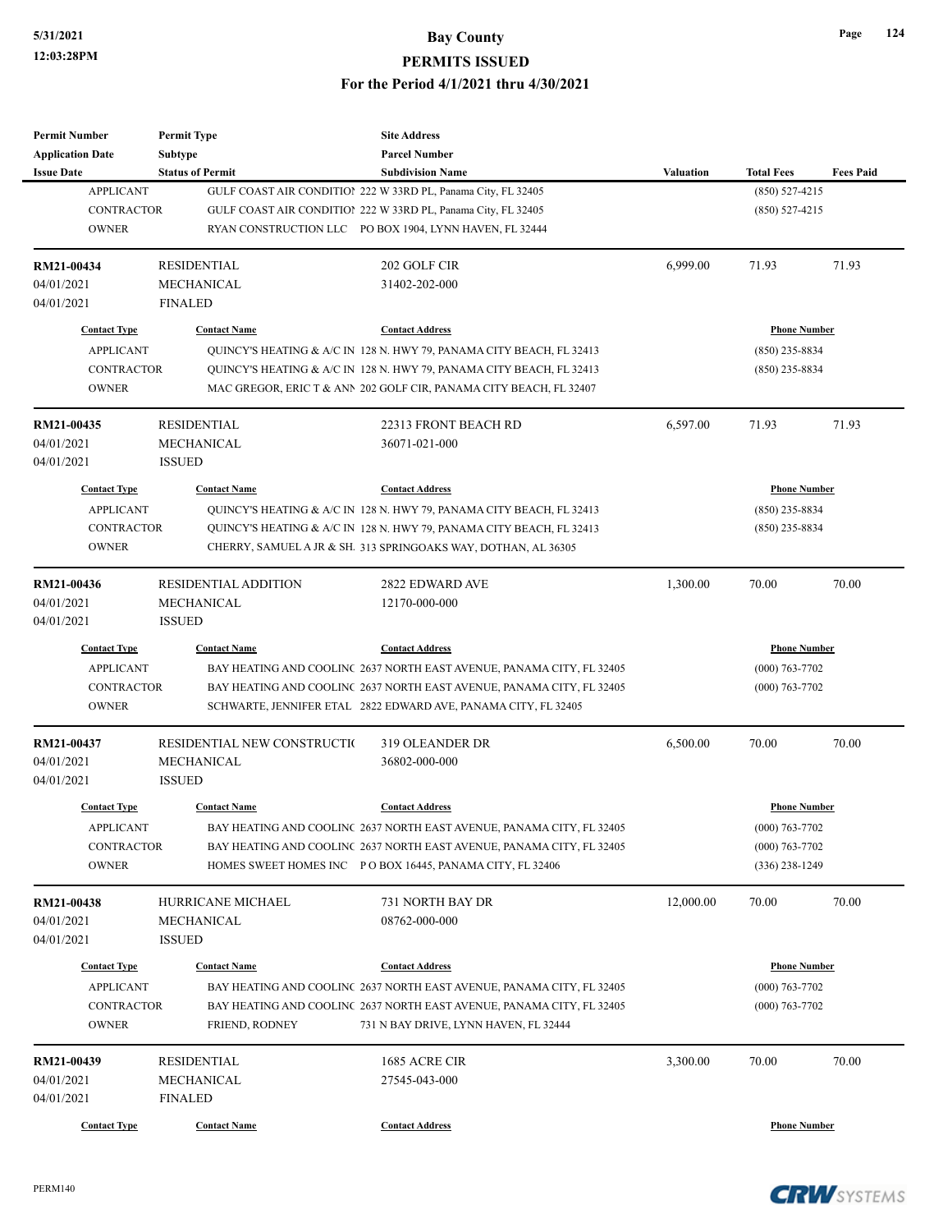| <b>Permit Number</b>                    | <b>Permit Type</b>           | <b>Site Address</b>                                                                             |                  |                                         |                  |
|-----------------------------------------|------------------------------|-------------------------------------------------------------------------------------------------|------------------|-----------------------------------------|------------------|
| <b>Application Date</b>                 | Subtype                      | <b>Parcel Number</b>                                                                            |                  |                                         |                  |
| <b>Issue Date</b>                       | <b>Status of Permit</b>      | <b>Subdivision Name</b>                                                                         | <b>Valuation</b> | <b>Total Fees</b>                       | <b>Fees Paid</b> |
| <b>APPLICANT</b>                        |                              | GULF COAST AIR CONDITION 222 W 33RD PL, Panama City, FL 32405                                   |                  | $(850) 527 - 4215$                      |                  |
| <b>CONTRACTOR</b>                       |                              | GULF COAST AIR CONDITION 222 W 33RD PL, Panama City, FL 32405                                   |                  | $(850) 527 - 4215$                      |                  |
| <b>OWNER</b>                            |                              | RYAN CONSTRUCTION LLC PO BOX 1904, LYNN HAVEN, FL 32444                                         |                  |                                         |                  |
| RM21-00434                              | <b>RESIDENTIAL</b>           | 202 GOLF CIR                                                                                    | 6,999.00         | 71.93                                   | 71.93            |
| 04/01/2021                              | MECHANICAL                   | 31402-202-000                                                                                   |                  |                                         |                  |
| 04/01/2021                              | <b>FINALED</b>               |                                                                                                 |                  |                                         |                  |
| <b>Contact Type</b>                     | <b>Contact Name</b>          | <b>Contact Address</b>                                                                          |                  | <b>Phone Number</b>                     |                  |
| <b>APPLICANT</b>                        |                              | QUINCY'S HEATING & A/C IN 128 N. HWY 79, PANAMA CITY BEACH, FL 32413                            |                  | $(850)$ 235-8834                        |                  |
| <b>CONTRACTOR</b>                       |                              | QUINCY'S HEATING & A/C IN 128 N. HWY 79, PANAMA CITY BEACH, FL 32413                            |                  | $(850)$ 235-8834                        |                  |
| <b>OWNER</b>                            |                              | MAC GREGOR, ERIC T & ANN 202 GOLF CIR, PANAMA CITY BEACH, FL 32407                              |                  |                                         |                  |
| RM21-00435                              | <b>RESIDENTIAL</b>           | 22313 FRONT BEACH RD                                                                            | 6,597.00         | 71.93                                   | 71.93            |
| 04/01/2021                              | <b>MECHANICAL</b>            | 36071-021-000                                                                                   |                  |                                         |                  |
| 04/01/2021                              | <b>ISSUED</b>                |                                                                                                 |                  |                                         |                  |
| <b>Contact Type</b>                     | <b>Contact Name</b>          | <b>Contact Address</b>                                                                          |                  | <b>Phone Number</b>                     |                  |
| <b>APPLICANT</b>                        |                              | QUINCY'S HEATING & A/C IN 128 N. HWY 79, PANAMA CITY BEACH, FL 32413                            |                  | $(850)$ 235-8834                        |                  |
| <b>CONTRACTOR</b>                       |                              | QUINCY'S HEATING & A/C IN 128 N. HWY 79, PANAMA CITY BEACH, FL 32413                            |                  | $(850)$ 235-8834                        |                  |
| <b>OWNER</b>                            |                              | CHERRY, SAMUEL A JR & SH. 313 SPRINGOAKS WAY, DOTHAN, AL 36305                                  |                  |                                         |                  |
|                                         |                              |                                                                                                 |                  |                                         |                  |
| RM21-00436                              | <b>RESIDENTIAL ADDITION</b>  | 2822 EDWARD AVE                                                                                 | 1,300.00         | 70.00                                   | 70.00            |
| 04/01/2021                              | MECHANICAL                   | 12170-000-000                                                                                   |                  |                                         |                  |
| 04/01/2021                              | <b>ISSUED</b>                |                                                                                                 |                  |                                         |                  |
| <b>Contact Type</b>                     | <b>Contact Name</b>          | <b>Contact Address</b>                                                                          |                  | <b>Phone Number</b>                     |                  |
| <b>APPLICANT</b>                        |                              | BAY HEATING AND COOLINC 2637 NORTH EAST AVENUE, PANAMA CITY, FL 32405                           |                  | $(000)$ 763-7702                        |                  |
| <b>CONTRACTOR</b>                       |                              | BAY HEATING AND COOLINC 2637 NORTH EAST AVENUE, PANAMA CITY, FL 32405                           |                  | $(000)$ 763-7702                        |                  |
| <b>OWNER</b>                            |                              | SCHWARTE, JENNIFER ETAL 2822 EDWARD AVE, PANAMA CITY, FL 32405                                  |                  |                                         |                  |
| RM21-00437                              | RESIDENTIAL NEW CONSTRUCTION | 319 OLEANDER DR                                                                                 | 6,500.00         | 70.00                                   | 70.00            |
| 04/01/2021                              | MECHANICAL                   | 36802-000-000                                                                                   |                  |                                         |                  |
| 04/01/2021                              | <b>ISSUED</b>                |                                                                                                 |                  |                                         |                  |
| <b>Contact Type</b>                     | <b>Contact Name</b>          | <b>Contact Address</b>                                                                          |                  | <b>Phone Number</b>                     |                  |
| <b>APPLICANT</b>                        |                              | BAY HEATING AND COOLINC 2637 NORTH EAST AVENUE, PANAMA CITY, FL 32405                           |                  | $(000) 763 - 7702$                      |                  |
| CONTRACTOR                              |                              | BAY HEATING AND COOLINC 2637 NORTH EAST AVENUE, PANAMA CITY, FL 32405                           |                  | $(000)$ 763-7702                        |                  |
| <b>OWNER</b>                            |                              | HOMES SWEET HOMES INC PO BOX 16445, PANAMA CITY, FL 32406                                       |                  | $(336)$ 238-1249                        |                  |
| RM21-00438                              | HURRICANE MICHAEL            | 731 NORTH BAY DR                                                                                | 12,000.00        | 70.00                                   | 70.00            |
| 04/01/2021                              | MECHANICAL                   | 08762-000-000                                                                                   |                  |                                         |                  |
| 04/01/2021                              | <b>ISSUED</b>                |                                                                                                 |                  |                                         |                  |
|                                         |                              |                                                                                                 |                  |                                         |                  |
| <b>Contact Type</b><br><b>APPLICANT</b> | <b>Contact Name</b>          | <b>Contact Address</b><br>BAY HEATING AND COOLINC 2637 NORTH EAST AVENUE, PANAMA CITY, FL 32405 |                  | <b>Phone Number</b><br>$(000)$ 763-7702 |                  |
| CONTRACTOR                              |                              | BAY HEATING AND COOLINC 2637 NORTH EAST AVENUE, PANAMA CITY, FL 32405                           |                  | $(000)$ 763-7702                        |                  |
| <b>OWNER</b>                            | FRIEND, RODNEY               | 731 N BAY DRIVE, LYNN HAVEN, FL 32444                                                           |                  |                                         |                  |
|                                         |                              |                                                                                                 |                  |                                         |                  |
| RM21-00439                              | <b>RESIDENTIAL</b>           | 1685 ACRE CIR                                                                                   | 3,300.00         | 70.00                                   | 70.00            |
| 04/01/2021                              | MECHANICAL                   | 27545-043-000                                                                                   |                  |                                         |                  |
| 04/01/2021                              | <b>FINALED</b>               |                                                                                                 |                  |                                         |                  |
| <b>Contact Type</b>                     | <b>Contact Name</b>          | <b>Contact Address</b>                                                                          |                  | <b>Phone Number</b>                     |                  |

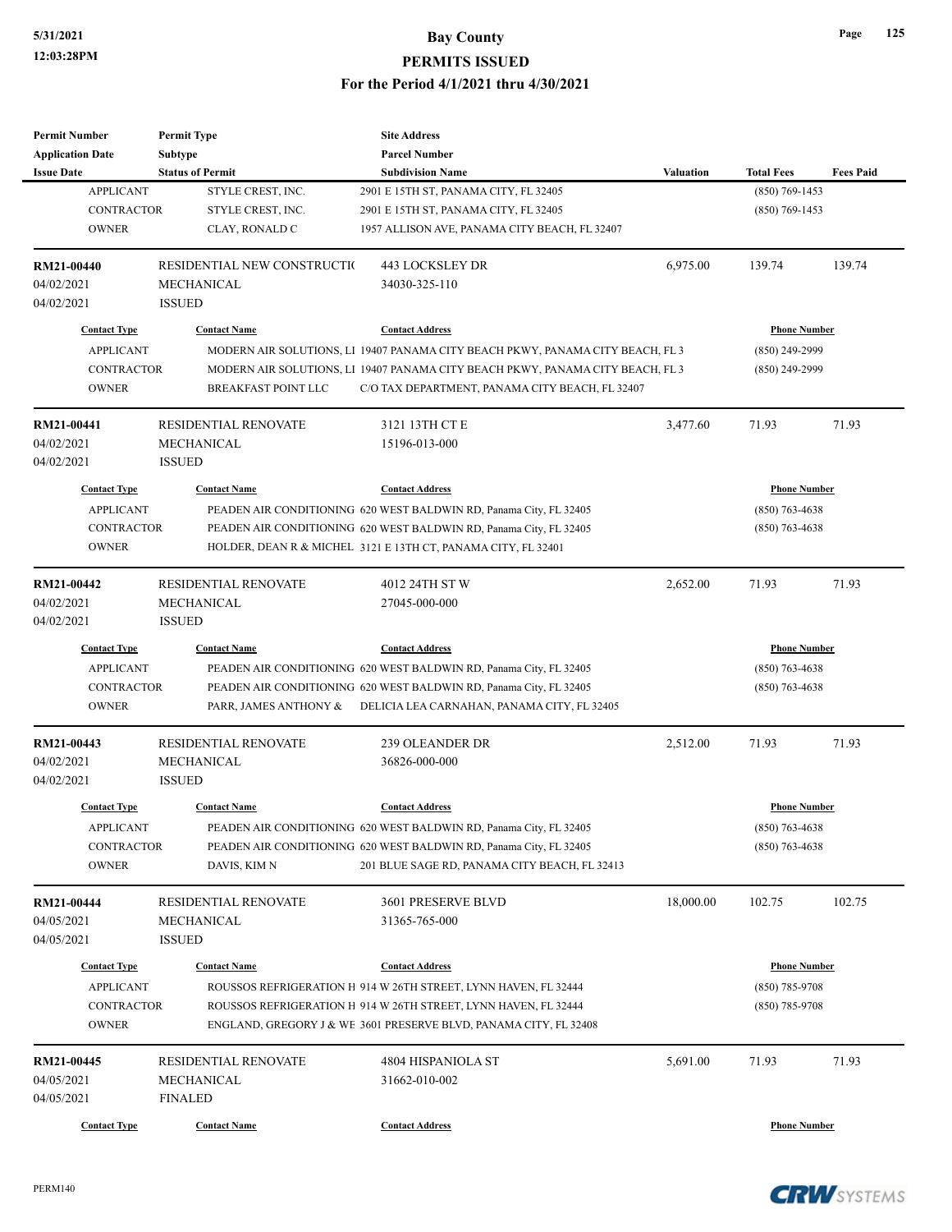## **5/31/2021 Bay County PERMITS ISSUED**

#### **For the Period 4/1/2021 thru 4/30/2021**

| <b>Permit Number</b>    | <b>Permit Type</b>          | <b>Site Address</b>                                                                                                                |           |                     |                  |
|-------------------------|-----------------------------|------------------------------------------------------------------------------------------------------------------------------------|-----------|---------------------|------------------|
| <b>Application Date</b> | Subtype                     | <b>Parcel Number</b>                                                                                                               |           |                     |                  |
| <b>Issue Date</b>       | <b>Status of Permit</b>     | <b>Subdivision Name</b>                                                                                                            | Valuation | <b>Total Fees</b>   | <b>Fees Paid</b> |
| <b>APPLICANT</b>        | STYLE CREST, INC.           | 2901 E 15TH ST, PANAMA CITY, FL 32405                                                                                              |           | $(850) 769 - 1453$  |                  |
| <b>CONTRACTOR</b>       | STYLE CREST, INC.           | 2901 E 15TH ST, PANAMA CITY, FL 32405                                                                                              |           | $(850)$ 769-1453    |                  |
| <b>OWNER</b>            | CLAY, RONALD C              | 1957 ALLISON AVE, PANAMA CITY BEACH, FL 32407                                                                                      |           |                     |                  |
| <b>RM21-00440</b>       | RESIDENTIAL NEW CONSTRUCTIO | 443 LOCKSLEY DR                                                                                                                    | 6,975.00  | 139.74              | 139.74           |
| 04/02/2021              | MECHANICAL                  | 34030-325-110                                                                                                                      |           |                     |                  |
| 04/02/2021              | <b>ISSUED</b>               |                                                                                                                                    |           |                     |                  |
| <b>Contact Type</b>     | <b>Contact Name</b>         | <b>Contact Address</b>                                                                                                             |           | <b>Phone Number</b> |                  |
| <b>APPLICANT</b>        |                             | MODERN AIR SOLUTIONS, L1 19407 PANAMA CITY BEACH PKWY, PANAMA CITY BEACH, FL 3                                                     |           | $(850)$ 249-2999    |                  |
| <b>CONTRACTOR</b>       |                             | MODERN AIR SOLUTIONS, L1 19407 PANAMA CITY BEACH PKWY, PANAMA CITY BEACH, FL 3                                                     |           | $(850)$ 249-2999    |                  |
| <b>OWNER</b>            | <b>BREAKFAST POINT LLC</b>  | C/O TAX DEPARTMENT, PANAMA CITY BEACH, FL 32407                                                                                    |           |                     |                  |
| RM21-00441              | <b>RESIDENTIAL RENOVATE</b> | 3121 13TH CT E                                                                                                                     | 3,477.60  | 71.93               | 71.93            |
| 04/02/2021              | MECHANICAL                  | 15196-013-000                                                                                                                      |           |                     |                  |
| 04/02/2021              | <b>ISSUED</b>               |                                                                                                                                    |           |                     |                  |
| <b>Contact Type</b>     | <b>Contact Name</b>         | <b>Contact Address</b>                                                                                                             |           | <b>Phone Number</b> |                  |
| <b>APPLICANT</b>        |                             | PEADEN AIR CONDITIONING 620 WEST BALDWIN RD, Panama City, FL 32405                                                                 |           | $(850)$ 763-4638    |                  |
| <b>CONTRACTOR</b>       |                             | PEADEN AIR CONDITIONING 620 WEST BALDWIN RD, Panama City, FL 32405                                                                 |           | $(850)$ 763-4638    |                  |
| <b>OWNER</b>            |                             | HOLDER, DEAN R & MICHEL 3121 E 13TH CT, PANAMA CITY, FL 32401                                                                      |           |                     |                  |
|                         |                             |                                                                                                                                    |           |                     |                  |
| RM21-00442              | RESIDENTIAL RENOVATE        | 4012 24TH ST W                                                                                                                     | 2,652.00  | 71.93               | 71.93            |
| 04/02/2021              | <b>MECHANICAL</b>           | 27045-000-000                                                                                                                      |           |                     |                  |
| 04/02/2021              | <b>ISSUED</b>               |                                                                                                                                    |           |                     |                  |
| <b>Contact Type</b>     | <b>Contact Name</b>         | <b>Contact Address</b>                                                                                                             |           | <b>Phone Number</b> |                  |
| <b>APPLICANT</b>        |                             | PEADEN AIR CONDITIONING 620 WEST BALDWIN RD, Panama City, FL 32405                                                                 |           | $(850)$ 763-4638    |                  |
| <b>CONTRACTOR</b>       |                             | PEADEN AIR CONDITIONING 620 WEST BALDWIN RD, Panama City, FL 32405                                                                 |           | $(850)$ 763-4638    |                  |
| <b>OWNER</b>            | PARR, JAMES ANTHONY &       | DELICIA LEA CARNAHAN, PANAMA CITY, FL 32405                                                                                        |           |                     |                  |
| RM21-00443              | <b>RESIDENTIAL RENOVATE</b> | 239 OLEANDER DR                                                                                                                    | 2,512.00  | 71.93               | 71.93            |
| 04/02/2021              | MECHANICAL                  | 36826-000-000                                                                                                                      |           |                     |                  |
| 04/02/2021              | <b>ISSUED</b>               |                                                                                                                                    |           |                     |                  |
| <b>Contact Type</b>     | <b>Contact Name</b>         | <b>Contact Address</b>                                                                                                             |           | Phone Number        |                  |
| <b>APPLICANT</b>        |                             | PEADEN AIR CONDITIONING 620 WEST BALDWIN RD, Panama City, FL 32405                                                                 |           | $(850) 763 - 4638$  |                  |
| CONTRACTOR              |                             | PEADEN AIR CONDITIONING 620 WEST BALDWIN RD, Panama City, FL 32405                                                                 |           | $(850)$ 763-4638    |                  |
| <b>OWNER</b>            | DAVIS, KIM N                | 201 BLUE SAGE RD, PANAMA CITY BEACH, FL 32413                                                                                      |           |                     |                  |
| RM21-00444              | RESIDENTIAL RENOVATE        | 3601 PRESERVE BLVD                                                                                                                 | 18,000.00 | 102.75              | 102.75           |
| 04/05/2021              | MECHANICAL                  | 31365-765-000                                                                                                                      |           |                     |                  |
| 04/05/2021              | <b>ISSUED</b>               |                                                                                                                                    |           |                     |                  |
| <b>Contact Type</b>     | <b>Contact Name</b>         | <b>Contact Address</b>                                                                                                             |           | <b>Phone Number</b> |                  |
| <b>APPLICANT</b>        |                             |                                                                                                                                    |           | $(850)$ 785-9708    |                  |
| <b>CONTRACTOR</b>       |                             | ROUSSOS REFRIGERATION H 914 W 26TH STREET, LYNN HAVEN, FL 32444<br>ROUSSOS REFRIGERATION H 914 W 26TH STREET, LYNN HAVEN, FL 32444 |           | $(850)$ 785-9708    |                  |
| <b>OWNER</b>            |                             | ENGLAND, GREGORY J & WE 3601 PRESERVE BLVD, PANAMA CITY, FL 32408                                                                  |           |                     |                  |
|                         |                             |                                                                                                                                    |           |                     |                  |
| RM21-00445              | RESIDENTIAL RENOVATE        | 4804 HISPANIOLA ST                                                                                                                 | 5,691.00  | 71.93               | 71.93            |
| 04/05/2021              | MECHANICAL                  | 31662-010-002                                                                                                                      |           |                     |                  |
| 04/05/2021              | <b>FINALED</b>              |                                                                                                                                    |           |                     |                  |
| <b>Contact Type</b>     | <b>Contact Name</b>         | <b>Contact Address</b>                                                                                                             |           | <b>Phone Number</b> |                  |

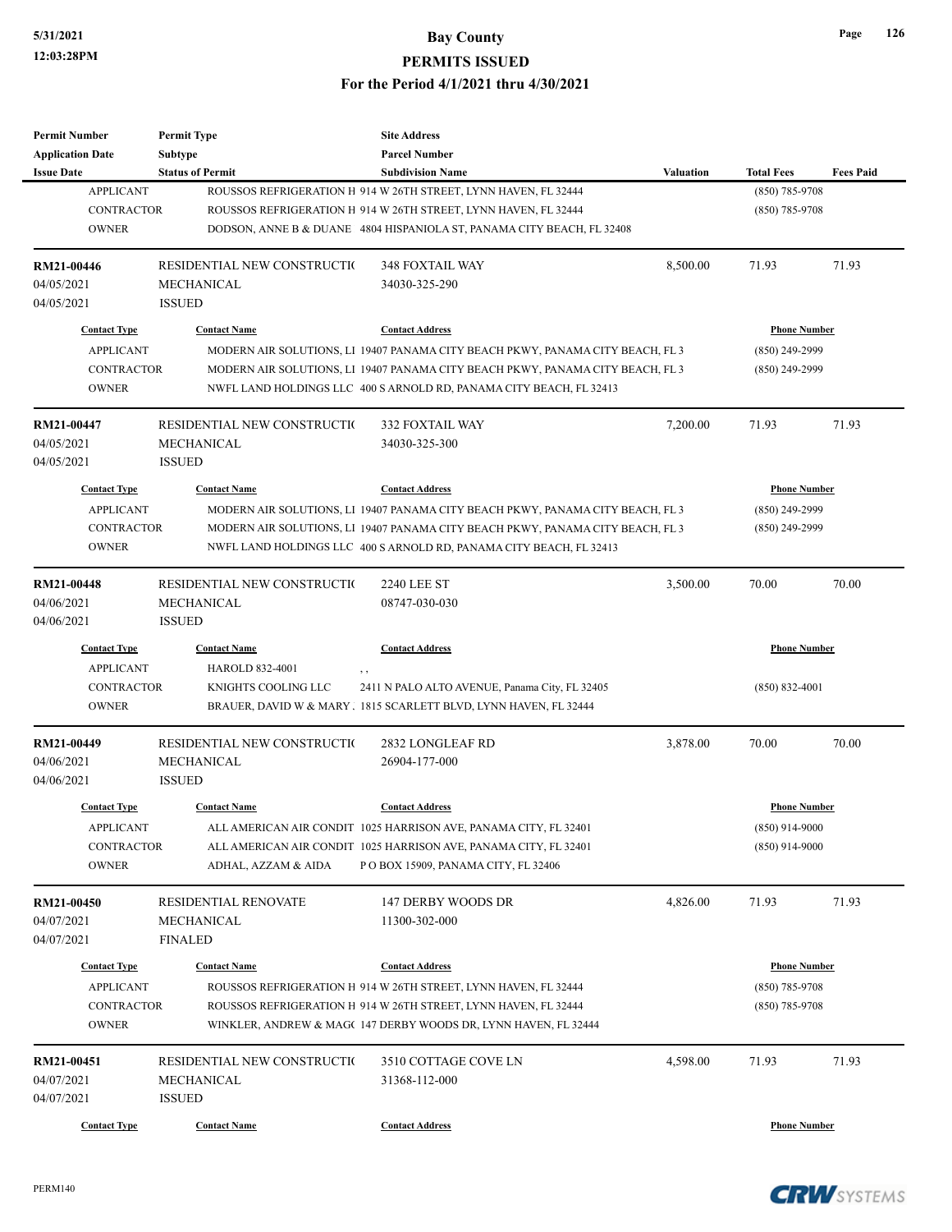| <b>Permit Number</b>    | <b>Permit Type</b>                               | <b>Site Address</b>                                                            |                  |                     |                  |
|-------------------------|--------------------------------------------------|--------------------------------------------------------------------------------|------------------|---------------------|------------------|
| <b>Application Date</b> | Subtype                                          | <b>Parcel Number</b>                                                           |                  |                     |                  |
| <b>Issue Date</b>       | <b>Status of Permit</b>                          | <b>Subdivision Name</b>                                                        | <b>Valuation</b> | <b>Total Fees</b>   | <b>Fees Paid</b> |
| <b>APPLICANT</b>        |                                                  | ROUSSOS REFRIGERATION H 914 W 26TH STREET, LYNN HAVEN, FL 32444                |                  | (850) 785-9708      |                  |
| <b>CONTRACTOR</b>       |                                                  | ROUSSOS REFRIGERATION H 914 W 26TH STREET, LYNN HAVEN, FL 32444                |                  | $(850)$ 785-9708    |                  |
| <b>OWNER</b>            |                                                  | DODSON, ANNE B & DUANE 4804 HISPANIOLA ST, PANAMA CITY BEACH, FL 32408         |                  |                     |                  |
|                         |                                                  |                                                                                |                  |                     |                  |
| RM21-00446              | RESIDENTIAL NEW CONSTRUCTIO                      | <b>348 FOXTAIL WAY</b>                                                         | 8,500.00         | 71.93               | 71.93            |
| 04/05/2021              | <b>MECHANICAL</b>                                | 34030-325-290                                                                  |                  |                     |                  |
| 04/05/2021              | <b>ISSUED</b>                                    |                                                                                |                  |                     |                  |
|                         |                                                  |                                                                                |                  |                     |                  |
| <b>Contact Type</b>     | <b>Contact Name</b>                              | <b>Contact Address</b>                                                         |                  | <b>Phone Number</b> |                  |
| <b>APPLICANT</b>        |                                                  | MODERN AIR SOLUTIONS, L1 19407 PANAMA CITY BEACH PKWY, PANAMA CITY BEACH, FL 3 |                  | $(850)$ 249-2999    |                  |
| <b>CONTRACTOR</b>       |                                                  | MODERN AIR SOLUTIONS, L1 19407 PANAMA CITY BEACH PKWY, PANAMA CITY BEACH, FL 3 |                  | $(850)$ 249-2999    |                  |
| <b>OWNER</b>            |                                                  | NWFL LAND HOLDINGS LLC 400 S ARNOLD RD, PANAMA CITY BEACH, FL 32413            |                  |                     |                  |
| RM21-00447              | RESIDENTIAL NEW CONSTRUCTIO                      | 332 FOXTAIL WAY                                                                | 7,200.00         | 71.93               | 71.93            |
| 04/05/2021              | MECHANICAL                                       | 34030-325-300                                                                  |                  |                     |                  |
| 04/05/2021              | <b>ISSUED</b>                                    |                                                                                |                  |                     |                  |
|                         |                                                  |                                                                                |                  |                     |                  |
| <b>Contact Type</b>     | <b>Contact Name</b>                              | <b>Contact Address</b>                                                         |                  | <b>Phone Number</b> |                  |
| <b>APPLICANT</b>        |                                                  | MODERN AIR SOLUTIONS, L1 19407 PANAMA CITY BEACH PKWY, PANAMA CITY BEACH, FL 3 |                  | $(850)$ 249-2999    |                  |
| <b>CONTRACTOR</b>       |                                                  | MODERN AIR SOLUTIONS, L1 19407 PANAMA CITY BEACH PKWY, PANAMA CITY BEACH, FL 3 |                  | $(850)$ 249-2999    |                  |
| <b>OWNER</b>            |                                                  | NWFL LAND HOLDINGS LLC 400 S ARNOLD RD, PANAMA CITY BEACH, FL 32413            |                  |                     |                  |
|                         |                                                  |                                                                                |                  |                     |                  |
| <b>RM21-00448</b>       | RESIDENTIAL NEW CONSTRUCTIO                      | 2240 LEE ST                                                                    | 3,500.00         | 70.00               | 70.00            |
| 04/06/2021              | MECHANICAL                                       | 08747-030-030                                                                  |                  |                     |                  |
| 04/06/2021              | <b>ISSUED</b>                                    |                                                                                |                  |                     |                  |
| <b>Contact Type</b>     | <b>Contact Name</b>                              | <b>Contact Address</b>                                                         |                  | <b>Phone Number</b> |                  |
| <b>APPLICANT</b>        | <b>HAROLD 832-4001</b>                           | , ,                                                                            |                  |                     |                  |
| <b>CONTRACTOR</b>       | KNIGHTS COOLING LLC                              | 2411 N PALO ALTO AVENUE, Panama City, FL 32405                                 |                  | $(850) 832 - 4001$  |                  |
| <b>OWNER</b>            |                                                  | BRAUER, DAVID W & MARY . 1815 SCARLETT BLVD, LYNN HAVEN, FL 32444              |                  |                     |                  |
|                         |                                                  |                                                                                |                  |                     |                  |
| RM21-00449              | RESIDENTIAL NEW CONSTRUCTIO                      | 2832 LONGLEAF RD                                                               | 3,878.00         | 70.00               | 70.00            |
| 04/06/2021              | MECHANICAL                                       | 26904-177-000                                                                  |                  |                     |                  |
| 04/06/2021              | <b>ISSUED</b>                                    |                                                                                |                  |                     |                  |
|                         |                                                  |                                                                                |                  |                     |                  |
| <b>Contact Type</b>     | <b>Contact Name</b>                              | <b>Contact Address</b>                                                         |                  | <b>Phone Number</b> |                  |
| <b>APPLICANT</b>        |                                                  | ALL AMERICAN AIR CONDIT 1025 HARRISON AVE, PANAMA CITY, FL 32401               |                  | $(850)$ 914-9000    |                  |
| <b>CONTRACTOR</b>       |                                                  | ALL AMERICAN AIR CONDIT 1025 HARRISON AVE, PANAMA CITY, FL 32401               |                  | $(850)$ 914-9000    |                  |
| <b>OWNER</b>            | ADHAL, AZZAM & AIDA                              | POBOX 15909, PANAMA CITY, FL 32406                                             |                  |                     |                  |
|                         |                                                  |                                                                                | 4,826.00         | 71.93               | 71.93            |
| <b>RM21-00450</b>       | <b>RESIDENTIAL RENOVATE</b><br><b>MECHANICAL</b> | 147 DERBY WOODS DR<br>11300-302-000                                            |                  |                     |                  |
| 04/07/2021              |                                                  |                                                                                |                  |                     |                  |
| 04/07/2021              | <b>FINALED</b>                                   |                                                                                |                  |                     |                  |
| <b>Contact Type</b>     | <b>Contact Name</b>                              | <b>Contact Address</b>                                                         |                  | <b>Phone Number</b> |                  |
| <b>APPLICANT</b>        |                                                  | ROUSSOS REFRIGERATION H 914 W 26TH STREET, LYNN HAVEN, FL 32444                |                  | $(850)$ 785-9708    |                  |
| <b>CONTRACTOR</b>       |                                                  | ROUSSOS REFRIGERATION H 914 W 26TH STREET, LYNN HAVEN, FL 32444                |                  | $(850)$ 785-9708    |                  |
| <b>OWNER</b>            |                                                  | WINKLER, ANDREW & MAG(147 DERBY WOODS DR, LYNN HAVEN, FL 32444                 |                  |                     |                  |
|                         |                                                  |                                                                                |                  |                     |                  |
| RM21-00451              | RESIDENTIAL NEW CONSTRUCTIO                      | 3510 COTTAGE COVE LN                                                           | 4,598.00         | 71.93               | 71.93            |
| 04/07/2021              | MECHANICAL                                       | 31368-112-000                                                                  |                  |                     |                  |
| 04/07/2021              | <b>ISSUED</b>                                    |                                                                                |                  |                     |                  |
| <b>Contact Type</b>     | <b>Contact Name</b>                              | <b>Contact Address</b>                                                         |                  | <b>Phone Number</b> |                  |

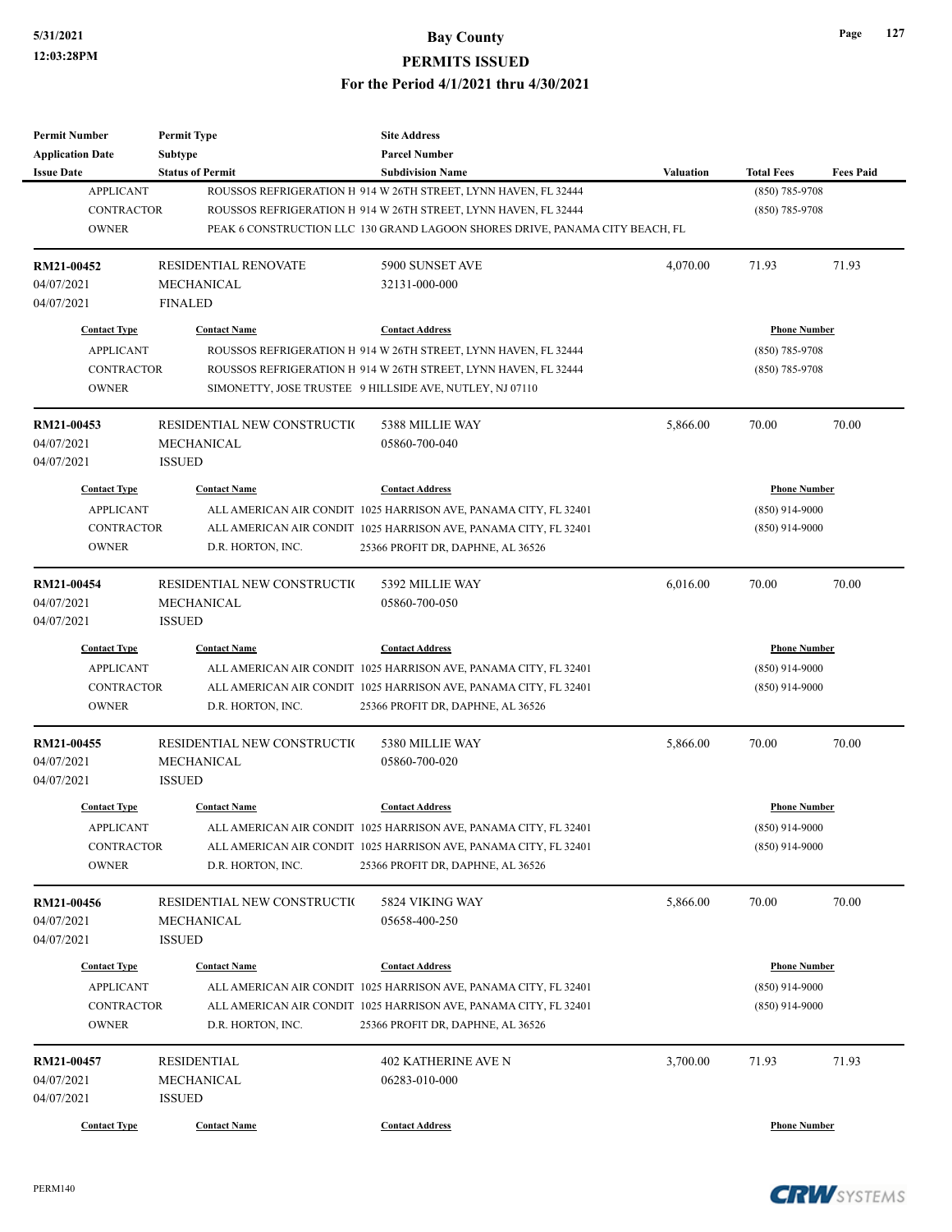| <b>Permit Number</b>    | <b>Permit Type</b>          | <b>Site Address</b>                                                          |                  |                     |                  |
|-------------------------|-----------------------------|------------------------------------------------------------------------------|------------------|---------------------|------------------|
| <b>Application Date</b> | Subtype                     | <b>Parcel Number</b>                                                         |                  |                     |                  |
| <b>Issue Date</b>       | <b>Status of Permit</b>     | <b>Subdivision Name</b>                                                      | <b>Valuation</b> | <b>Total Fees</b>   | <b>Fees Paid</b> |
| <b>APPLICANT</b>        |                             | ROUSSOS REFRIGERATION H 914 W 26TH STREET, LYNN HAVEN, FL 32444              |                  | (850) 785-9708      |                  |
| <b>CONTRACTOR</b>       |                             | ROUSSOS REFRIGERATION H 914 W 26TH STREET, LYNN HAVEN, FL 32444              |                  | $(850)$ 785-9708    |                  |
| <b>OWNER</b>            |                             | PEAK 6 CONSTRUCTION LLC 130 GRAND LAGOON SHORES DRIVE, PANAMA CITY BEACH, FL |                  |                     |                  |
| RM21-00452              | RESIDENTIAL RENOVATE        | 5900 SUNSET AVE                                                              | 4,070.00         | 71.93               | 71.93            |
| 04/07/2021              | <b>MECHANICAL</b>           | 32131-000-000                                                                |                  |                     |                  |
| 04/07/2021              | <b>FINALED</b>              |                                                                              |                  |                     |                  |
| <b>Contact Type</b>     | <b>Contact Name</b>         | <b>Contact Address</b>                                                       |                  | <b>Phone Number</b> |                  |
| <b>APPLICANT</b>        |                             | ROUSSOS REFRIGERATION H 914 W 26TH STREET, LYNN HAVEN, FL 32444              |                  | $(850)$ 785-9708    |                  |
| <b>CONTRACTOR</b>       |                             | ROUSSOS REFRIGERATION H 914 W 26TH STREET, LYNN HAVEN, FL 32444              |                  | $(850)$ 785-9708    |                  |
| <b>OWNER</b>            |                             | SIMONETTY, JOSE TRUSTEE 9 HILLSIDE AVE, NUTLEY, NJ 07110                     |                  |                     |                  |
| RM21-00453              | RESIDENTIAL NEW CONSTRUCTIO | 5388 MILLIE WAY                                                              | 5,866.00         | 70.00               | 70.00            |
| 04/07/2021              | MECHANICAL                  | 05860-700-040                                                                |                  |                     |                  |
| 04/07/2021              | <b>ISSUED</b>               |                                                                              |                  |                     |                  |
| <b>Contact Type</b>     | <b>Contact Name</b>         | <b>Contact Address</b>                                                       |                  | <b>Phone Number</b> |                  |
| <b>APPLICANT</b>        |                             | ALL AMERICAN AIR CONDIT 1025 HARRISON AVE, PANAMA CITY, FL 32401             |                  | $(850)$ 914-9000    |                  |
| <b>CONTRACTOR</b>       |                             | ALL AMERICAN AIR CONDIT 1025 HARRISON AVE, PANAMA CITY, FL 32401             |                  | $(850)$ 914-9000    |                  |
| <b>OWNER</b>            | D.R. HORTON, INC.           | 25366 PROFIT DR, DAPHNE, AL 36526                                            |                  |                     |                  |
|                         |                             |                                                                              |                  |                     |                  |
| RM21-00454              | RESIDENTIAL NEW CONSTRUCTIO | 5392 MILLIE WAY                                                              | 6,016.00         | 70.00               | 70.00            |
| 04/07/2021              | MECHANICAL                  | 05860-700-050                                                                |                  |                     |                  |
| 04/07/2021              | <b>ISSUED</b>               |                                                                              |                  |                     |                  |
| <b>Contact Type</b>     | <b>Contact Name</b>         | <b>Contact Address</b>                                                       |                  | <b>Phone Number</b> |                  |
| <b>APPLICANT</b>        |                             | ALL AMERICAN AIR CONDIT 1025 HARRISON AVE, PANAMA CITY, FL 32401             |                  | $(850)$ 914-9000    |                  |
| <b>CONTRACTOR</b>       |                             | ALL AMERICAN AIR CONDIT 1025 HARRISON AVE, PANAMA CITY, FL 32401             |                  | $(850)$ 914-9000    |                  |
| <b>OWNER</b>            | D.R. HORTON, INC.           | 25366 PROFIT DR, DAPHNE, AL 36526                                            |                  |                     |                  |
| RM21-00455              | RESIDENTIAL NEW CONSTRUCTIO | 5380 MILLIE WAY                                                              | 5,866.00         | 70.00               | 70.00            |
| 04/07/2021              | <b>MECHANICAL</b>           | 05860-700-020                                                                |                  |                     |                  |
| 04/07/2021              | <b>ISSUED</b>               |                                                                              |                  |                     |                  |
| <b>Contact Type</b>     | <b>Contact Name</b>         | <b>Contact Address</b>                                                       |                  | <b>Phone Number</b> |                  |
| <b>APPLICANT</b>        |                             | ALL AMERICAN AIR CONDIT 1025 HARRISON AVE, PANAMA CITY, FL 32401             |                  | $(850)$ 914-9000    |                  |
| CONTRACTOR              |                             | ALL AMERICAN AIR CONDIT 1025 HARRISON AVE, PANAMA CITY, FL 32401             |                  | $(850)$ 914-9000    |                  |
| <b>OWNER</b>            | D.R. HORTON, INC.           | 25366 PROFIT DR, DAPHNE, AL 36526                                            |                  |                     |                  |
| RM21-00456              | RESIDENTIAL NEW CONSTRUCTIO | 5824 VIKING WAY                                                              | 5,866.00         | 70.00               | 70.00            |
| 04/07/2021              | <b>MECHANICAL</b>           | 05658-400-250                                                                |                  |                     |                  |
| 04/07/2021              | <b>ISSUED</b>               |                                                                              |                  |                     |                  |
| <b>Contact Type</b>     | <b>Contact Name</b>         | <b>Contact Address</b>                                                       |                  | <b>Phone Number</b> |                  |
| <b>APPLICANT</b>        |                             | ALL AMERICAN AIR CONDIT 1025 HARRISON AVE, PANAMA CITY, FL 32401             |                  | $(850)$ 914-9000    |                  |
| <b>CONTRACTOR</b>       |                             | ALL AMERICAN AIR CONDIT 1025 HARRISON AVE, PANAMA CITY, FL 32401             |                  | $(850)$ 914-9000    |                  |
| <b>OWNER</b>            | D.R. HORTON, INC.           | 25366 PROFIT DR, DAPHNE, AL 36526                                            |                  |                     |                  |
| RM21-00457              | <b>RESIDENTIAL</b>          | <b>402 KATHERINE AVE N</b>                                                   | 3,700.00         | 71.93               | 71.93            |
| 04/07/2021              | MECHANICAL                  | 06283-010-000                                                                |                  |                     |                  |
| 04/07/2021              | <b>ISSUED</b>               |                                                                              |                  |                     |                  |
| <b>Contact Type</b>     | <b>Contact Name</b>         | <b>Contact Address</b>                                                       |                  | <b>Phone Number</b> |                  |
|                         |                             |                                                                              |                  |                     |                  |

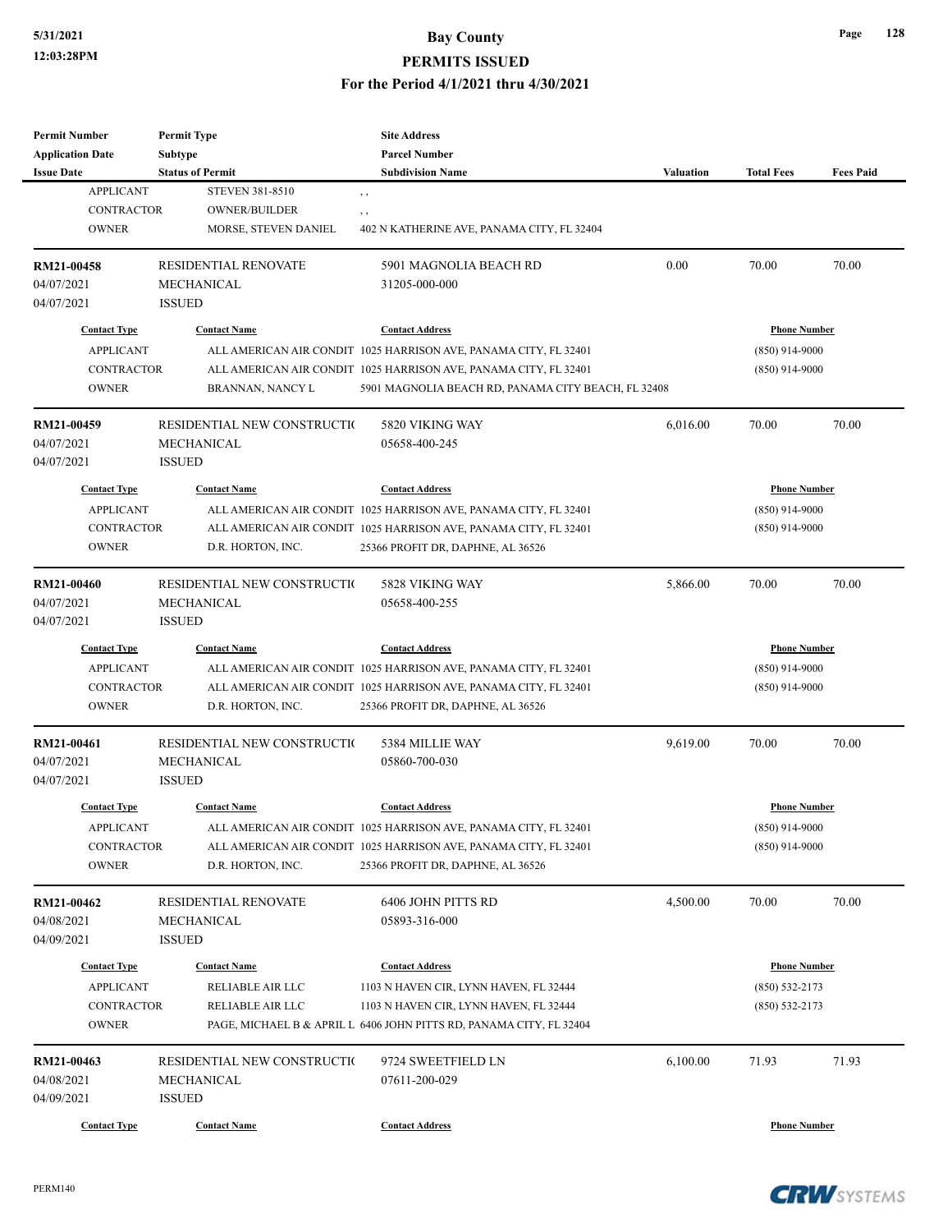### **5/31/2021 Bay County**

#### **PERMITS ISSUED**

#### **For the Period 4/1/2021 thru 4/30/2021**

| Permit Number<br><b>Application Date</b> | <b>Permit Type</b><br>Subtype | <b>Site Address</b><br><b>Parcel Number</b>                         |                  |                     |                  |
|------------------------------------------|-------------------------------|---------------------------------------------------------------------|------------------|---------------------|------------------|
| <b>Issue Date</b>                        | <b>Status of Permit</b>       | <b>Subdivision Name</b>                                             | <b>Valuation</b> | <b>Total Fees</b>   | <b>Fees Paid</b> |
| <b>APPLICANT</b>                         | <b>STEVEN 381-8510</b>        |                                                                     |                  |                     |                  |
| <b>CONTRACTOR</b>                        | <b>OWNER/BUILDER</b>          | $, \, , \,$                                                         |                  |                     |                  |
| <b>OWNER</b>                             | MORSE, STEVEN DANIEL          | , ,<br>402 N KATHERINE AVE, PANAMA CITY, FL 32404                   |                  |                     |                  |
|                                          |                               |                                                                     |                  |                     |                  |
| <b>RM21-00458</b>                        | <b>RESIDENTIAL RENOVATE</b>   | 5901 MAGNOLIA BEACH RD                                              | 0.00             | 70.00               | 70.00            |
| 04/07/2021                               | MECHANICAL                    | 31205-000-000                                                       |                  |                     |                  |
| 04/07/2021                               | <b>ISSUED</b>                 |                                                                     |                  |                     |                  |
| <b>Contact Type</b>                      | <b>Contact Name</b>           | <b>Contact Address</b>                                              |                  | <b>Phone Number</b> |                  |
| <b>APPLICANT</b>                         |                               | ALL AMERICAN AIR CONDIT 1025 HARRISON AVE, PANAMA CITY, FL 32401    |                  | $(850)$ 914-9000    |                  |
| <b>CONTRACTOR</b>                        |                               | ALL AMERICAN AIR CONDIT 1025 HARRISON AVE, PANAMA CITY, FL 32401    |                  | $(850)$ 914-9000    |                  |
| <b>OWNER</b>                             | BRANNAN, NANCY L              | 5901 MAGNOLIA BEACH RD, PANAMA CITY BEACH, FL 32408                 |                  |                     |                  |
|                                          |                               |                                                                     |                  |                     |                  |
| <b>RM21-00459</b>                        | RESIDENTIAL NEW CONSTRUCTIO   | 5820 VIKING WAY                                                     | 6,016.00         | 70.00               | 70.00            |
| 04/07/2021                               | MECHANICAL                    | 05658-400-245                                                       |                  |                     |                  |
| 04/07/2021                               | <b>ISSUED</b>                 |                                                                     |                  |                     |                  |
| <b>Contact Type</b>                      | <b>Contact Name</b>           | <b>Contact Address</b>                                              |                  | <b>Phone Number</b> |                  |
| <b>APPLICANT</b>                         |                               | ALL AMERICAN AIR CONDIT 1025 HARRISON AVE, PANAMA CITY, FL 32401    |                  | $(850)$ 914-9000    |                  |
| <b>CONTRACTOR</b>                        |                               | ALL AMERICAN AIR CONDIT 1025 HARRISON AVE, PANAMA CITY, FL 32401    |                  | $(850)$ 914-9000    |                  |
| <b>OWNER</b>                             | D.R. HORTON, INC.             | 25366 PROFIT DR, DAPHNE, AL 36526                                   |                  |                     |                  |
|                                          |                               |                                                                     |                  |                     |                  |
| RM21-00460                               | RESIDENTIAL NEW CONSTRUCTIO   | 5828 VIKING WAY                                                     | 5,866.00         | 70.00               | 70.00            |
| 04/07/2021                               | <b>MECHANICAL</b>             | 05658-400-255                                                       |                  |                     |                  |
| 04/07/2021                               | <b>ISSUED</b>                 |                                                                     |                  |                     |                  |
| <b>Contact Type</b>                      | <b>Contact Name</b>           | <b>Contact Address</b>                                              |                  | <b>Phone Number</b> |                  |
| <b>APPLICANT</b>                         |                               | ALL AMERICAN AIR CONDIT 1025 HARRISON AVE, PANAMA CITY, FL 32401    |                  | (850) 914-9000      |                  |
| <b>CONTRACTOR</b>                        |                               | ALL AMERICAN AIR CONDIT 1025 HARRISON AVE, PANAMA CITY, FL 32401    |                  | $(850)$ 914-9000    |                  |
| <b>OWNER</b>                             | D.R. HORTON, INC.             | 25366 PROFIT DR, DAPHNE, AL 36526                                   |                  |                     |                  |
| RM21-00461                               | RESIDENTIAL NEW CONSTRUCTIO   | 5384 MILLIE WAY                                                     | 9,619.00         | 70.00               | 70.00            |
| 04/07/2021                               | MECHANICAL                    | 05860-700-030                                                       |                  |                     |                  |
| 04/07/2021                               | <b>ISSUED</b>                 |                                                                     |                  |                     |                  |
|                                          |                               |                                                                     |                  |                     |                  |
| <b>Contact Type</b>                      | <b>Contact Name</b>           | <b>Contact Address</b>                                              |                  | <b>Phone Number</b> |                  |
| APPLICANT                                |                               | ALL AMERICAN AIR CONDIT 1025 HARRISON AVE, PANAMA CITY, FL 32401    |                  | $(850)$ 914-9000    |                  |
| CONTRACTOR                               |                               | ALL AMERICAN AIR CONDIT 1025 HARRISON AVE, PANAMA CITY, FL 32401    |                  | $(850)$ 914-9000    |                  |
| <b>OWNER</b>                             | D.R. HORTON, INC.             | 25366 PROFIT DR, DAPHNE, AL 36526                                   |                  |                     |                  |
| RM21-00462                               | RESIDENTIAL RENOVATE          | 6406 JOHN PITTS RD                                                  | 4,500.00         | 70.00               | 70.00            |
| 04/08/2021                               | MECHANICAL                    | 05893-316-000                                                       |                  |                     |                  |
| 04/09/2021                               | <b>ISSUED</b>                 |                                                                     |                  |                     |                  |
|                                          |                               |                                                                     |                  |                     |                  |
| <b>Contact Type</b>                      | <b>Contact Name</b>           | <b>Contact Address</b>                                              |                  | <b>Phone Number</b> |                  |
| <b>APPLICANT</b>                         | RELIABLE AIR LLC              | 1103 N HAVEN CIR, LYNN HAVEN, FL 32444                              |                  | $(850)$ 532-2173    |                  |
| <b>CONTRACTOR</b>                        | RELIABLE AIR LLC              | 1103 N HAVEN CIR, LYNN HAVEN, FL 32444                              |                  | $(850) 532 - 2173$  |                  |
| <b>OWNER</b>                             |                               | PAGE, MICHAEL B & APRIL L 6406 JOHN PITTS RD, PANAMA CITY, FL 32404 |                  |                     |                  |
| RM21-00463                               | RESIDENTIAL NEW CONSTRUCTIO   | 9724 SWEETFIELD LN                                                  | 6,100.00         | 71.93               | 71.93            |
| 04/08/2021                               | MECHANICAL                    | 07611-200-029                                                       |                  |                     |                  |
| 04/09/2021                               | <b>ISSUED</b>                 |                                                                     |                  |                     |                  |
| <b>Contact Type</b>                      | <b>Contact Name</b>           | <b>Contact Address</b>                                              |                  | <b>Phone Number</b> |                  |
|                                          |                               |                                                                     |                  |                     |                  |

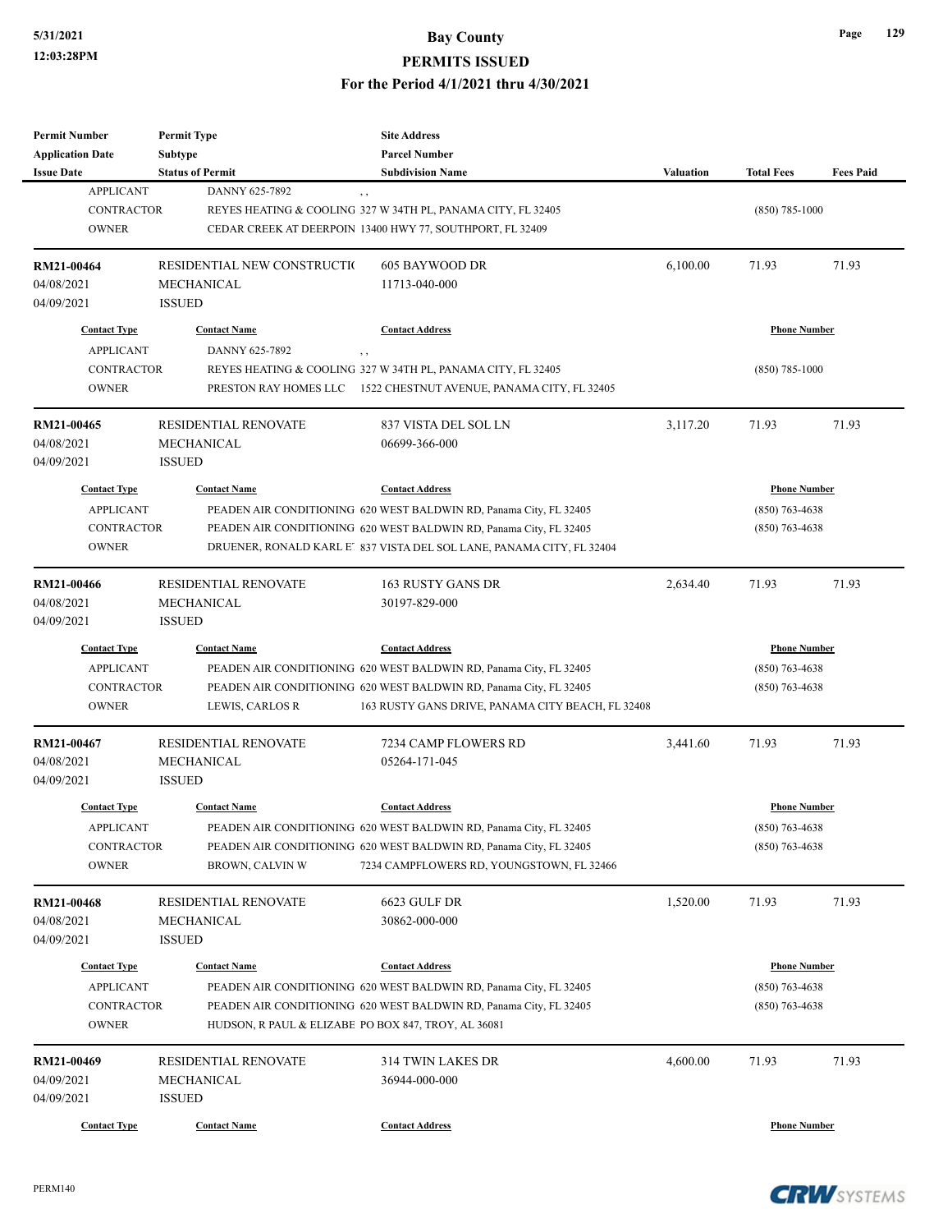### **5/31/2021 Bay County PERMITS ISSUED For the Period 4/1/2021 thru 4/30/2021**

| <b>Permit Number</b>    | <b>Permit Type</b>          | <b>Site Address</b>                                                   |                  |                     |                  |
|-------------------------|-----------------------------|-----------------------------------------------------------------------|------------------|---------------------|------------------|
| <b>Application Date</b> | Subtype                     | <b>Parcel Number</b>                                                  |                  |                     |                  |
| <b>Issue Date</b>       | <b>Status of Permit</b>     | <b>Subdivision Name</b>                                               | <b>Valuation</b> | <b>Total Fees</b>   | <b>Fees Paid</b> |
| <b>APPLICANT</b>        | DANNY 625-7892              | $, \, ,$                                                              |                  |                     |                  |
| <b>CONTRACTOR</b>       |                             | REYES HEATING & COOLING 327 W 34TH PL, PANAMA CITY, FL 32405          |                  | $(850) 785 - 1000$  |                  |
| <b>OWNER</b>            |                             | CEDAR CREEK AT DEERPOIN 13400 HWY 77, SOUTHPORT, FL 32409             |                  |                     |                  |
| RM21-00464              | RESIDENTIAL NEW CONSTRUCTIO | <b>605 BAYWOOD DR</b>                                                 | 6,100.00         | 71.93               | 71.93            |
| 04/08/2021              | MECHANICAL                  | 11713-040-000                                                         |                  |                     |                  |
| 04/09/2021              | <b>ISSUED</b>               |                                                                       |                  |                     |                  |
|                         |                             |                                                                       |                  |                     |                  |
| <b>Contact Type</b>     | <b>Contact Name</b>         | <b>Contact Address</b>                                                |                  | <b>Phone Number</b> |                  |
| <b>APPLICANT</b>        | DANNY 625-7892              | $, \, ,$                                                              |                  |                     |                  |
| <b>CONTRACTOR</b>       |                             | REYES HEATING & COOLING 327 W 34TH PL, PANAMA CITY, FL 32405          |                  | $(850)$ 785-1000    |                  |
| <b>OWNER</b>            |                             | PRESTON RAY HOMES LLC 1522 CHESTNUT AVENUE, PANAMA CITY, FL 32405     |                  |                     |                  |
| RM21-00465              | <b>RESIDENTIAL RENOVATE</b> | 837 VISTA DEL SOL LN                                                  | 3,117.20         | 71.93               | 71.93            |
| 04/08/2021              | MECHANICAL                  | 06699-366-000                                                         |                  |                     |                  |
| 04/09/2021              | <b>ISSUED</b>               |                                                                       |                  |                     |                  |
| <b>Contact Type</b>     | <b>Contact Name</b>         | <b>Contact Address</b>                                                |                  | <b>Phone Number</b> |                  |
| <b>APPLICANT</b>        |                             | PEADEN AIR CONDITIONING 620 WEST BALDWIN RD, Panama City, FL 32405    |                  | $(850)$ 763-4638    |                  |
| <b>CONTRACTOR</b>       |                             | PEADEN AIR CONDITIONING 620 WEST BALDWIN RD, Panama City, FL 32405    |                  | $(850)$ 763-4638    |                  |
| <b>OWNER</b>            |                             | DRUENER, RONALD KARL E' 837 VISTA DEL SOL LANE, PANAMA CITY, FL 32404 |                  |                     |                  |
|                         |                             |                                                                       |                  |                     |                  |
| RM21-00466              | RESIDENTIAL RENOVATE        | 163 RUSTY GANS DR                                                     | 2,634.40         | 71.93               | 71.93            |
| 04/08/2021              | <b>MECHANICAL</b>           | 30197-829-000                                                         |                  |                     |                  |
| 04/09/2021              | <b>ISSUED</b>               |                                                                       |                  |                     |                  |
| <b>Contact Type</b>     | <b>Contact Name</b>         | <b>Contact Address</b>                                                |                  | <b>Phone Number</b> |                  |
| <b>APPLICANT</b>        |                             | PEADEN AIR CONDITIONING 620 WEST BALDWIN RD, Panama City, FL 32405    |                  | $(850)$ 763-4638    |                  |
| <b>CONTRACTOR</b>       |                             | PEADEN AIR CONDITIONING 620 WEST BALDWIN RD, Panama City, FL 32405    |                  | $(850)$ 763-4638    |                  |
| <b>OWNER</b>            | LEWIS, CARLOS R             | 163 RUSTY GANS DRIVE, PANAMA CITY BEACH, FL 32408                     |                  |                     |                  |
| RM21-00467              | <b>RESIDENTIAL RENOVATE</b> | 7234 CAMP FLOWERS RD                                                  | 3,441.60         | 71.93               | 71.93            |
| 04/08/2021              | MECHANICAL                  | 05264-171-045                                                         |                  |                     |                  |
| 04/09/2021              | <b>ISSUED</b>               |                                                                       |                  |                     |                  |
|                         |                             |                                                                       |                  |                     |                  |
| <b>Contact Type</b>     | <b>Contact Name</b>         | <b>Contact Address</b>                                                |                  | <b>Phone Number</b> |                  |
| <b>APPLICANT</b>        |                             | PEADEN AIR CONDITIONING 620 WEST BALDWIN RD, Panama City, FL 32405    |                  | $(850) 763 - 4638$  |                  |
| <b>CONTRACTOR</b>       |                             | PEADEN AIR CONDITIONING 620 WEST BALDWIN RD, Panama City, FL 32405    |                  | $(850)$ 763-4638    |                  |
| <b>OWNER</b>            | BROWN, CALVIN W             | 7234 CAMPFLOWERS RD, YOUNGSTOWN, FL 32466                             |                  |                     |                  |
| <b>RM21-00468</b>       | RESIDENTIAL RENOVATE        | 6623 GULF DR                                                          | 1,520.00         | 71.93               | 71.93            |
| 04/08/2021              | MECHANICAL                  | 30862-000-000                                                         |                  |                     |                  |
| 04/09/2021              | <b>ISSUED</b>               |                                                                       |                  |                     |                  |
|                         |                             | <b>Contact Address</b>                                                |                  |                     |                  |
| <b>Contact Type</b>     | <b>Contact Name</b>         |                                                                       |                  | <b>Phone Number</b> |                  |
| <b>APPLICANT</b>        |                             | PEADEN AIR CONDITIONING 620 WEST BALDWIN RD, Panama City, FL 32405    |                  | $(850)$ 763-4638    |                  |
| <b>CONTRACTOR</b>       |                             | PEADEN AIR CONDITIONING 620 WEST BALDWIN RD, Panama City, FL 32405    |                  | $(850)$ 763-4638    |                  |
| <b>OWNER</b>            |                             | HUDSON, R PAUL & ELIZABE PO BOX 847, TROY, AL 36081                   |                  |                     |                  |
| RM21-00469              | RESIDENTIAL RENOVATE        | 314 TWIN LAKES DR                                                     | 4,600.00         | 71.93               | 71.93            |
| 04/09/2021              | MECHANICAL                  | 36944-000-000                                                         |                  |                     |                  |
| 04/09/2021              | <b>ISSUED</b>               |                                                                       |                  |                     |                  |
| <b>Contact Type</b>     | <b>Contact Name</b>         | <b>Contact Address</b>                                                |                  | <b>Phone Number</b> |                  |
|                         |                             |                                                                       |                  |                     |                  |

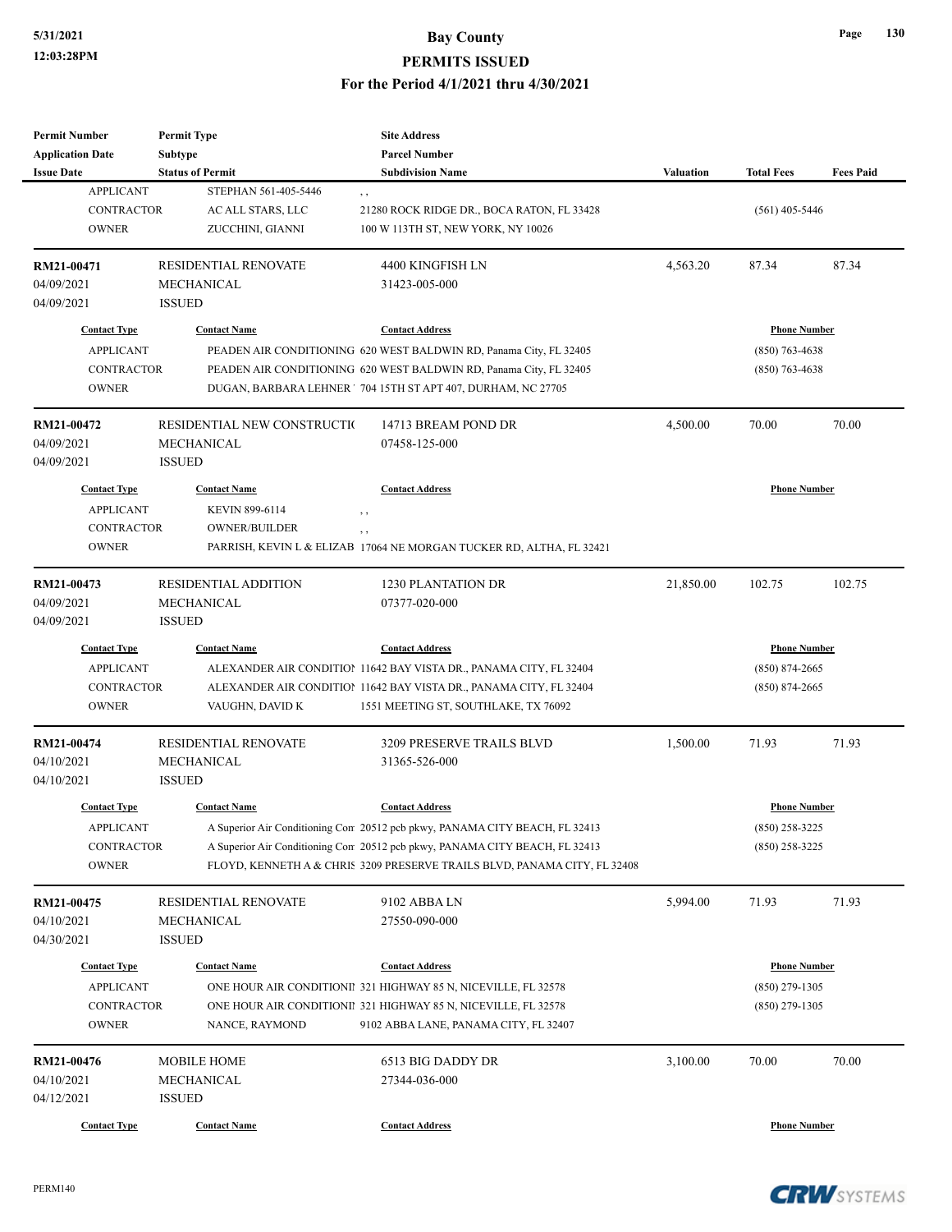| <b>Permit Number</b>    | <b>Permit Type</b>           | <b>Site Address</b>                                                         |                  |                     |                  |
|-------------------------|------------------------------|-----------------------------------------------------------------------------|------------------|---------------------|------------------|
| <b>Application Date</b> | <b>Subtype</b>               | <b>Parcel Number</b>                                                        |                  |                     |                  |
| <b>Issue Date</b>       | <b>Status of Permit</b>      | <b>Subdivision Name</b>                                                     | <b>Valuation</b> | <b>Total Fees</b>   | <b>Fees Paid</b> |
| <b>APPLICANT</b>        | STEPHAN 561-405-5446         | , ,                                                                         |                  |                     |                  |
| <b>CONTRACTOR</b>       | AC ALL STARS, LLC            | 21280 ROCK RIDGE DR., BOCA RATON, FL 33428                                  |                  | $(561)$ 405-5446    |                  |
| <b>OWNER</b>            | ZUCCHINI, GIANNI             | 100 W 113TH ST, NEW YORK, NY 10026                                          |                  |                     |                  |
|                         |                              |                                                                             |                  |                     |                  |
| RM21-00471              | <b>RESIDENTIAL RENOVATE</b>  | 4400 KINGFISH LN                                                            | 4,563.20         | 87.34               | 87.34            |
| 04/09/2021              | MECHANICAL                   | 31423-005-000                                                               |                  |                     |                  |
| 04/09/2021              | <b>ISSUED</b>                |                                                                             |                  |                     |                  |
| <b>Contact Type</b>     | <b>Contact Name</b>          | <b>Contact Address</b>                                                      |                  | <b>Phone Number</b> |                  |
| <b>APPLICANT</b>        |                              | PEADEN AIR CONDITIONING 620 WEST BALDWIN RD, Panama City, FL 32405          |                  | $(850)$ 763-4638    |                  |
| <b>CONTRACTOR</b>       |                              | PEADEN AIR CONDITIONING 620 WEST BALDWIN RD, Panama City, FL 32405          |                  | $(850)$ 763-4638    |                  |
| <b>OWNER</b>            |                              | DUGAN, BARBARA LEHNER 704 15TH ST APT 407, DURHAM, NC 27705                 |                  |                     |                  |
| RM21-00472              | RESIDENTIAL NEW CONSTRUCTION | 14713 BREAM POND DR                                                         | 4,500.00         | 70.00               | 70.00            |
| 04/09/2021              |                              |                                                                             |                  |                     |                  |
|                         | MECHANICAL                   | 07458-125-000                                                               |                  |                     |                  |
| 04/09/2021              | <b>ISSUED</b>                |                                                                             |                  |                     |                  |
| <b>Contact Type</b>     | <b>Contact Name</b>          | <b>Contact Address</b>                                                      |                  | <b>Phone Number</b> |                  |
| <b>APPLICANT</b>        | KEVIN 899-6114               | , ,                                                                         |                  |                     |                  |
| <b>CONTRACTOR</b>       | <b>OWNER/BUILDER</b>         | , ,                                                                         |                  |                     |                  |
| <b>OWNER</b>            |                              | PARRISH, KEVIN L & ELIZAB 17064 NE MORGAN TUCKER RD, ALTHA, FL 32421        |                  |                     |                  |
|                         |                              |                                                                             |                  |                     |                  |
| RM21-00473              | <b>RESIDENTIAL ADDITION</b>  | <b>1230 PLANTATION DR</b>                                                   | 21,850.00        | 102.75              | 102.75           |
| 04/09/2021              | <b>MECHANICAL</b>            | 07377-020-000                                                               |                  |                     |                  |
| 04/09/2021              | <b>ISSUED</b>                |                                                                             |                  |                     |                  |
| <b>Contact Type</b>     | <b>Contact Name</b>          | <b>Contact Address</b>                                                      |                  | <b>Phone Number</b> |                  |
| <b>APPLICANT</b>        |                              | ALEXANDER AIR CONDITION 11642 BAY VISTA DR., PANAMA CITY, FL 32404          |                  | $(850) 874 - 2665$  |                  |
| <b>CONTRACTOR</b>       |                              | ALEXANDER AIR CONDITION 11642 BAY VISTA DR., PANAMA CITY, FL 32404          |                  | $(850) 874 - 2665$  |                  |
| <b>OWNER</b>            | VAUGHN, DAVID K              | 1551 MEETING ST, SOUTHLAKE, TX 76092                                        |                  |                     |                  |
| RM21-00474              | <b>RESIDENTIAL RENOVATE</b>  | 3209 PRESERVE TRAILS BLVD                                                   | 1,500.00         | 71.93               | 71.93            |
| 04/10/2021              | MECHANICAL                   | 31365-526-000                                                               |                  |                     |                  |
| 04/10/2021              | <b>ISSUED</b>                |                                                                             |                  |                     |                  |
| <b>Contact Type</b>     | <b>Contact Name</b>          | <b>Contact Address</b>                                                      |                  | <b>Phone Number</b> |                  |
| <b>APPLICANT</b>        |                              | A Superior Air Conditioning Con 20512 pcb pkwy, PANAMA CITY BEACH, FL 32413 |                  | (850) 258-3225      |                  |
| CONTRACTOR              |                              | A Superior Air Conditioning Con 20512 pcb pkwy, PANAMA CITY BEACH, FL 32413 |                  | (850) 258-3225      |                  |
| <b>OWNER</b>            |                              | FLOYD, KENNETH A & CHRIS 3209 PRESERVE TRAILS BLVD, PANAMA CITY, FL 32408   |                  |                     |                  |
|                         |                              |                                                                             |                  |                     |                  |
| RM21-00475              | RESIDENTIAL RENOVATE         | 9102 ABBA LN                                                                | 5,994.00         | 71.93               | 71.93            |
| 04/10/2021              | MECHANICAL                   | 27550-090-000                                                               |                  |                     |                  |
| 04/30/2021              | <b>ISSUED</b>                |                                                                             |                  |                     |                  |
| <b>Contact Type</b>     | <b>Contact Name</b>          | <b>Contact Address</b>                                                      |                  | <b>Phone Number</b> |                  |
| <b>APPLICANT</b>        |                              | ONE HOUR AIR CONDITIONII 321 HIGHWAY 85 N, NICEVILLE, FL 32578              |                  | $(850)$ 279-1305    |                  |
| CONTRACTOR              |                              | ONE HOUR AIR CONDITIONII 321 HIGHWAY 85 N, NICEVILLE, FL 32578              |                  | $(850)$ 279-1305    |                  |
| <b>OWNER</b>            | NANCE, RAYMOND               | 9102 ABBA LANE, PANAMA CITY, FL 32407                                       |                  |                     |                  |
|                         |                              |                                                                             |                  |                     |                  |
| RM21-00476              | <b>MOBILE HOME</b>           | 6513 BIG DADDY DR                                                           | 3,100.00         | 70.00               | 70.00            |
| 04/10/2021              | MECHANICAL                   | 27344-036-000                                                               |                  |                     |                  |
| 04/12/2021              | <b>ISSUED</b>                |                                                                             |                  |                     |                  |
| <b>Contact Type</b>     | <b>Contact Name</b>          | <b>Contact Address</b>                                                      |                  | <b>Phone Number</b> |                  |

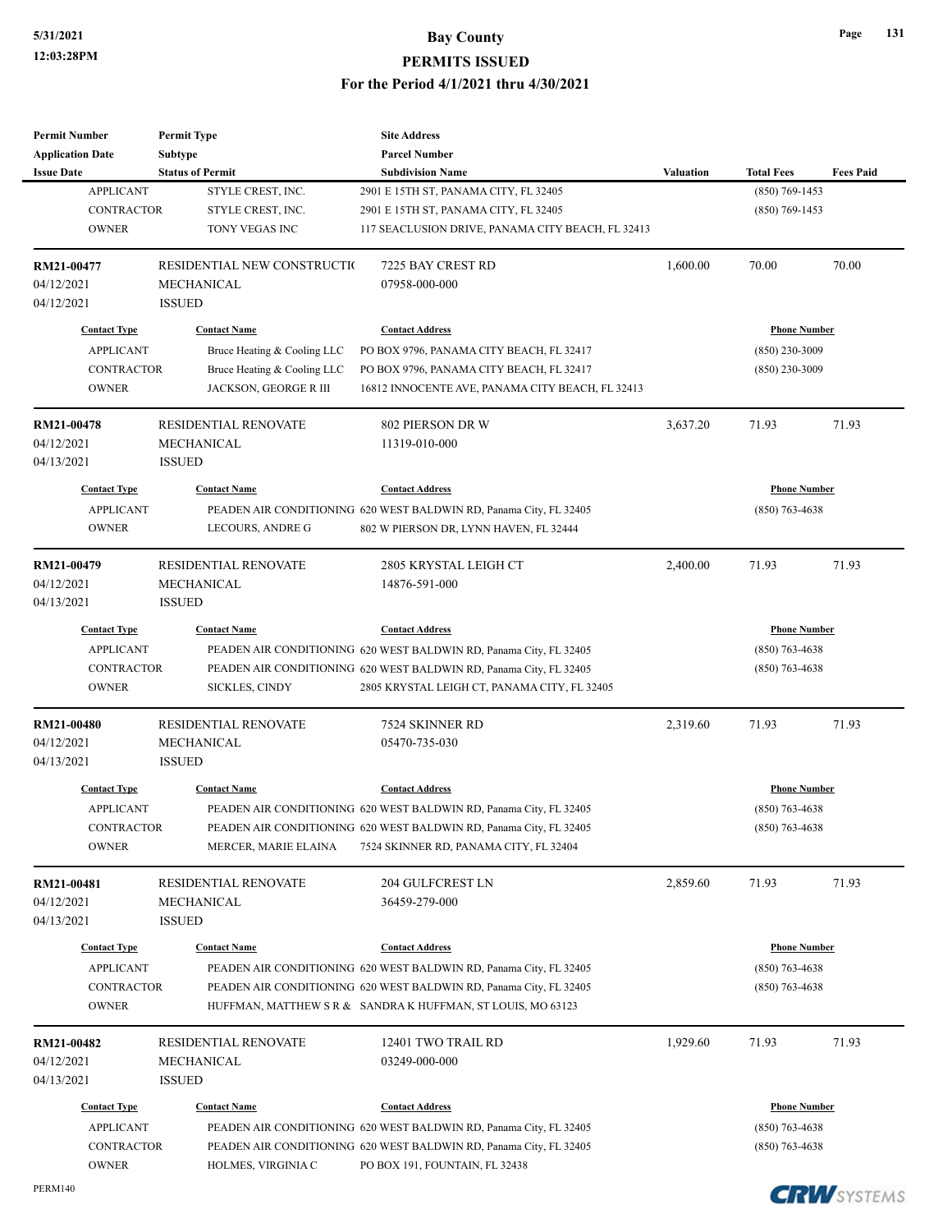| <b>Permit Number</b>       | <b>Permit Type</b>          | <b>Site Address</b>                                                                                          |                  |                     |                  |
|----------------------------|-----------------------------|--------------------------------------------------------------------------------------------------------------|------------------|---------------------|------------------|
| <b>Application Date</b>    | Subtype                     | <b>Parcel Number</b>                                                                                         |                  |                     |                  |
| <b>Issue Date</b>          | <b>Status of Permit</b>     | <b>Subdivision Name</b>                                                                                      | <b>Valuation</b> | <b>Total Fees</b>   | <b>Fees Paid</b> |
| <b>APPLICANT</b>           | STYLE CREST, INC.           | 2901 E 15TH ST, PANAMA CITY, FL 32405                                                                        |                  | $(850)$ 769-1453    |                  |
| <b>CONTRACTOR</b>          | STYLE CREST, INC.           | 2901 E 15TH ST, PANAMA CITY, FL 32405                                                                        |                  | $(850)$ 769-1453    |                  |
| <b>OWNER</b>               | TONY VEGAS INC              | 117 SEACLUSION DRIVE, PANAMA CITY BEACH, FL 32413                                                            |                  |                     |                  |
| RM21-00477                 | RESIDENTIAL NEW CONSTRUCTIO | 7225 BAY CREST RD                                                                                            | 1,600.00         | 70.00               | 70.00            |
| 04/12/2021                 | MECHANICAL                  | 07958-000-000                                                                                                |                  |                     |                  |
| 04/12/2021                 | <b>ISSUED</b>               |                                                                                                              |                  |                     |                  |
| <b>Contact Type</b>        | <b>Contact Name</b>         | <b>Contact Address</b>                                                                                       |                  | <b>Phone Number</b> |                  |
| <b>APPLICANT</b>           | Bruce Heating & Cooling LLC | PO BOX 9796, PANAMA CITY BEACH, FL 32417                                                                     |                  | $(850)$ 230-3009    |                  |
| <b>CONTRACTOR</b>          | Bruce Heating & Cooling LLC | PO BOX 9796, PANAMA CITY BEACH, FL 32417                                                                     |                  | $(850)$ 230-3009    |                  |
| <b>OWNER</b>               | JACKSON, GEORGE R III       | 16812 INNOCENTE AVE, PANAMA CITY BEACH, FL 32413                                                             |                  |                     |                  |
| <b>RM21-00478</b>          | <b>RESIDENTIAL RENOVATE</b> | <b>802 PIERSON DR W</b>                                                                                      | 3,637.20         | 71.93               | 71.93            |
| 04/12/2021                 | MECHANICAL                  | 11319-010-000                                                                                                |                  |                     |                  |
| 04/13/2021                 | <b>ISSUED</b>               |                                                                                                              |                  |                     |                  |
| <b>Contact Type</b>        | <b>Contact Name</b>         | <b>Contact Address</b>                                                                                       |                  | <b>Phone Number</b> |                  |
| <b>APPLICANT</b>           |                             | PEADEN AIR CONDITIONING 620 WEST BALDWIN RD, Panama City, FL 32405                                           |                  | $(850)$ 763-4638    |                  |
| <b>OWNER</b>               | LECOURS, ANDRE G            | 802 W PIERSON DR, LYNN HAVEN, FL 32444                                                                       |                  |                     |                  |
| RM21-00479                 | <b>RESIDENTIAL RENOVATE</b> | 2805 KRYSTAL LEIGH CT                                                                                        | 2,400.00         | 71.93               | 71.93            |
| 04/12/2021                 | MECHANICAL                  | 14876-591-000                                                                                                |                  |                     |                  |
| 04/13/2021                 | <b>ISSUED</b>               |                                                                                                              |                  |                     |                  |
| <b>Contact Type</b>        | <b>Contact Name</b>         | <b>Contact Address</b>                                                                                       |                  | <b>Phone Number</b> |                  |
| <b>APPLICANT</b>           |                             | PEADEN AIR CONDITIONING 620 WEST BALDWIN RD, Panama City, FL 32405                                           |                  | $(850)$ 763-4638    |                  |
| <b>CONTRACTOR</b>          |                             | PEADEN AIR CONDITIONING 620 WEST BALDWIN RD, Panama City, FL 32405                                           |                  | $(850)$ 763-4638    |                  |
| <b>OWNER</b>               | SICKLES, CINDY              | 2805 KRYSTAL LEIGH CT, PANAMA CITY, FL 32405                                                                 |                  |                     |                  |
| RM21-00480                 | <b>RESIDENTIAL RENOVATE</b> | 7524 SKINNER RD                                                                                              | 2,319.60         | 71.93               | 71.93            |
| 04/12/2021                 | <b>MECHANICAL</b>           | 05470-735-030                                                                                                |                  |                     |                  |
| 04/13/2021                 | <b>ISSUED</b>               |                                                                                                              |                  |                     |                  |
| <b>Contact Type</b>        | <b>Contact Name</b>         | <b>Contact Address</b>                                                                                       |                  | <b>Phone Number</b> |                  |
|                            |                             |                                                                                                              |                  |                     |                  |
| <b>APPLICANT</b>           |                             | PEADEN AIR CONDITIONING 620 WEST BALDWIN RD, Panama City, FL 32405                                           |                  | $(850)$ 763-4638    |                  |
| CONTRACTOR<br><b>OWNER</b> | MERCER, MARIE ELAINA        | PEADEN AIR CONDITIONING 620 WEST BALDWIN RD, Panama City, FL 32405<br>7524 SKINNER RD, PANAMA CITY, FL 32404 |                  | $(850) 763 - 4638$  |                  |
|                            |                             |                                                                                                              |                  |                     |                  |
| RM21-00481                 | <b>RESIDENTIAL RENOVATE</b> | 204 GULFCREST LN                                                                                             | 2,859.60         | 71.93               | 71.93            |
| 04/12/2021<br>04/13/2021   | MECHANICAL<br><b>ISSUED</b> | 36459-279-000                                                                                                |                  |                     |                  |
| <b>Contact Type</b>        | <b>Contact Name</b>         | <b>Contact Address</b>                                                                                       |                  | <b>Phone Number</b> |                  |
| <b>APPLICANT</b>           |                             | PEADEN AIR CONDITIONING 620 WEST BALDWIN RD, Panama City, FL 32405                                           |                  | $(850)$ 763-4638    |                  |
| <b>CONTRACTOR</b>          |                             | PEADEN AIR CONDITIONING 620 WEST BALDWIN RD, Panama City, FL 32405                                           |                  | $(850)$ 763-4638    |                  |
| <b>OWNER</b>               |                             | HUFFMAN, MATTHEW S R & SANDRA K HUFFMAN, ST LOUIS, MO 63123                                                  |                  |                     |                  |
| RM21-00482                 | <b>RESIDENTIAL RENOVATE</b> | 12401 TWO TRAIL RD                                                                                           | 1,929.60         | 71.93               | 71.93            |
| 04/12/2021                 | MECHANICAL                  | 03249-000-000                                                                                                |                  |                     |                  |
| 04/13/2021                 | <b>ISSUED</b>               |                                                                                                              |                  |                     |                  |
| <b>Contact Type</b>        | <b>Contact Name</b>         | <b>Contact Address</b>                                                                                       |                  | <b>Phone Number</b> |                  |
| <b>APPLICANT</b>           |                             | PEADEN AIR CONDITIONING 620 WEST BALDWIN RD, Panama City, FL 32405                                           |                  | $(850) 763 - 4638$  |                  |
| <b>CONTRACTOR</b>          |                             | PEADEN AIR CONDITIONING 620 WEST BALDWIN RD, Panama City, FL 32405                                           |                  | $(850)$ 763-4638    |                  |
| <b>OWNER</b>               | HOLMES, VIRGINIA C          | PO BOX 191, FOUNTAIN, FL 32438                                                                               |                  |                     |                  |
|                            |                             |                                                                                                              |                  |                     |                  |

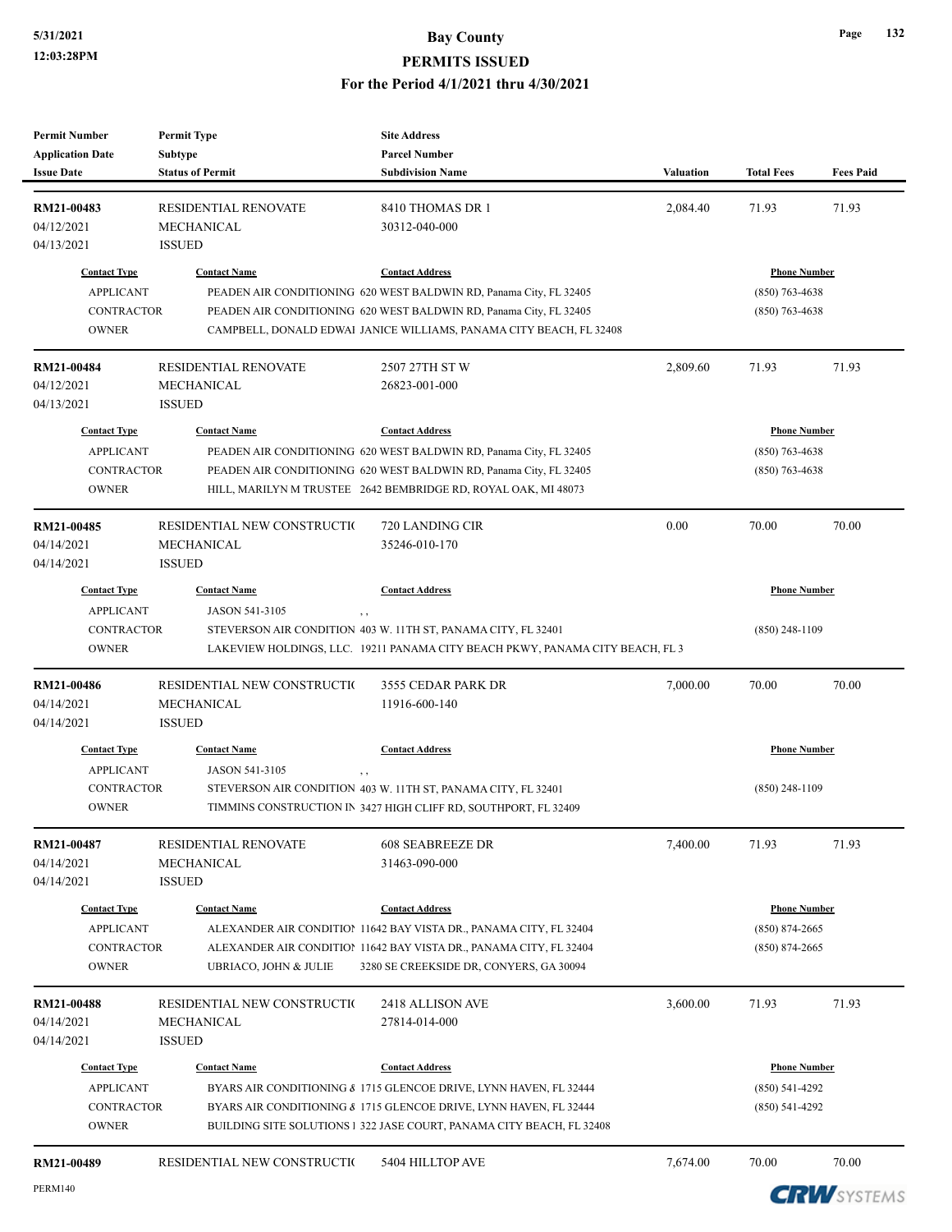## **5/31/2021 Bay County PERMITS ISSUED**

#### **For the Period 4/1/2021 thru 4/30/2021**

| <b>Permit Number</b><br><b>Application Date</b>                              | <b>Permit Type</b><br><b>Subtype</b>                              | <b>Site Address</b><br><b>Parcel Number</b>                                                                                                                                                                                               |           |                                                                 |                  |
|------------------------------------------------------------------------------|-------------------------------------------------------------------|-------------------------------------------------------------------------------------------------------------------------------------------------------------------------------------------------------------------------------------------|-----------|-----------------------------------------------------------------|------------------|
| <b>Issue Date</b>                                                            | <b>Status of Permit</b>                                           | <b>Subdivision Name</b>                                                                                                                                                                                                                   | Valuation | <b>Total Fees</b>                                               | <b>Fees Paid</b> |
| RM21-00483<br>04/12/2021<br>04/13/2021                                       | <b>RESIDENTIAL RENOVATE</b><br>MECHANICAL<br><b>ISSUED</b>        | 8410 THOMAS DR 1<br>30312-040-000                                                                                                                                                                                                         | 2,084.40  | 71.93                                                           | 71.93            |
| <b>Contact Type</b><br><b>APPLICANT</b><br><b>CONTRACTOR</b><br><b>OWNER</b> | <b>Contact Name</b>                                               | <b>Contact Address</b><br>PEADEN AIR CONDITIONING 620 WEST BALDWIN RD, Panama City, FL 32405<br>PEADEN AIR CONDITIONING 620 WEST BALDWIN RD, Panama City, FL 32405<br>CAMPBELL, DONALD EDWAI JANICE WILLIAMS, PANAMA CITY BEACH, FL 32408 |           | <b>Phone Number</b><br>$(850)$ 763-4638<br>$(850)$ 763-4638     |                  |
| RM21-00484<br>04/12/2021<br>04/13/2021                                       | RESIDENTIAL RENOVATE<br>MECHANICAL<br><b>ISSUED</b>               | 2507 27TH ST W<br>26823-001-000                                                                                                                                                                                                           | 2,809.60  | 71.93                                                           | 71.93            |
| <b>Contact Type</b><br><b>APPLICANT</b><br><b>CONTRACTOR</b><br><b>OWNER</b> | <b>Contact Name</b>                                               | <b>Contact Address</b><br>PEADEN AIR CONDITIONING 620 WEST BALDWIN RD, Panama City, FL 32405<br>PEADEN AIR CONDITIONING 620 WEST BALDWIN RD, Panama City, FL 32405<br>HILL, MARILYN M TRUSTEE 2642 BEMBRIDGE RD, ROYAL OAK, MI 48073      |           | <b>Phone Number</b><br>$(850)$ 763-4638<br>$(850)$ 763-4638     |                  |
| RM21-00485<br>04/14/2021<br>04/14/2021                                       | RESIDENTIAL NEW CONSTRUCTIO<br>MECHANICAL<br><b>ISSUED</b>        | 720 LANDING CIR<br>35246-010-170                                                                                                                                                                                                          | 0.00      | 70.00                                                           | 70.00            |
| <b>Contact Type</b>                                                          | <b>Contact Name</b>                                               | <b>Contact Address</b>                                                                                                                                                                                                                    |           | <b>Phone Number</b>                                             |                  |
| <b>APPLICANT</b><br><b>CONTRACTOR</b><br><b>OWNER</b>                        | JASON 541-3105<br>, ,                                             | STEVERSON AIR CONDITION 403 W. 11TH ST, PANAMA CITY, FL 32401<br>LAKEVIEW HOLDINGS, LLC. 19211 PANAMA CITY BEACH PKWY, PANAMA CITY BEACH, FL 3                                                                                            |           | $(850)$ 248-1109                                                |                  |
| RM21-00486<br>04/14/2021<br>04/14/2021                                       | RESIDENTIAL NEW CONSTRUCTIO<br>MECHANICAL<br><b>ISSUED</b>        | 3555 CEDAR PARK DR<br>11916-600-140                                                                                                                                                                                                       | 7,000.00  | 70.00                                                           | 70.00            |
| <b>Contact Type</b><br><b>APPLICANT</b><br><b>CONTRACTOR</b><br><b>OWNER</b> | <b>Contact Name</b><br>JASON 541-3105<br>$, \, , \,$              | <b>Contact Address</b><br>STEVERSON AIR CONDITION 403 W. 11TH ST, PANAMA CITY, FL 32401<br>TIMMINS CONSTRUCTION IN 3427 HIGH CLIFF RD, SOUTHPORT, FL 32409                                                                                |           | <b>Phone Number</b><br>$(850)$ 248-1109                         |                  |
| RM21-00487<br>04/14/2021<br>04/14/2021                                       | RESIDENTIAL RENOVATE<br>MECHANICAL<br><b>ISSUED</b>               | 608 SEABREEZE DR<br>31463-090-000                                                                                                                                                                                                         | 7,400.00  | 71.93                                                           | 71.93            |
| <b>Contact Type</b><br><b>APPLICANT</b><br>CONTRACTOR<br><b>OWNER</b>        | <b>Contact Name</b><br><b>UBRIACO, JOHN &amp; JULIE</b>           | <b>Contact Address</b><br>ALEXANDER AIR CONDITION 11642 BAY VISTA DR., PANAMA CITY, FL 32404<br>ALEXANDER AIR CONDITION 11642 BAY VISTA DR., PANAMA CITY, FL 32404<br>3280 SE CREEKSIDE DR, CONYERS, GA 30094                             |           | <b>Phone Number</b><br>$(850) 874 - 2665$<br>$(850) 874 - 2665$ |                  |
| RM21-00488<br>04/14/2021<br>04/14/2021                                       | RESIDENTIAL NEW CONSTRUCTIO<br><b>MECHANICAL</b><br><b>ISSUED</b> | 2418 ALLISON AVE<br>27814-014-000                                                                                                                                                                                                         | 3,600.00  | 71.93                                                           | 71.93            |
| <b>Contact Type</b><br><b>APPLICANT</b><br>CONTRACTOR<br><b>OWNER</b>        | <b>Contact Name</b>                                               | <b>Contact Address</b><br>BYARS AIR CONDITIONING & 1715 GLENCOE DRIVE, LYNN HAVEN, FL 32444<br>BYARS AIR CONDITIONING & 1715 GLENCOE DRIVE, LYNN HAVEN, FL 32444<br>BUILDING SITE SOLUTIONS 1 322 JASE COURT, PANAMA CITY BEACH, FL 32408 |           | <b>Phone Number</b><br>$(850) 541 - 4292$<br>$(850)$ 541-4292   |                  |
| RM21-00489                                                                   | RESIDENTIAL NEW CONSTRUCTIO                                       | 5404 HILLTOP AVE                                                                                                                                                                                                                          | 7,674.00  | 70.00                                                           | 70.00            |

**CRW**SYSTEMS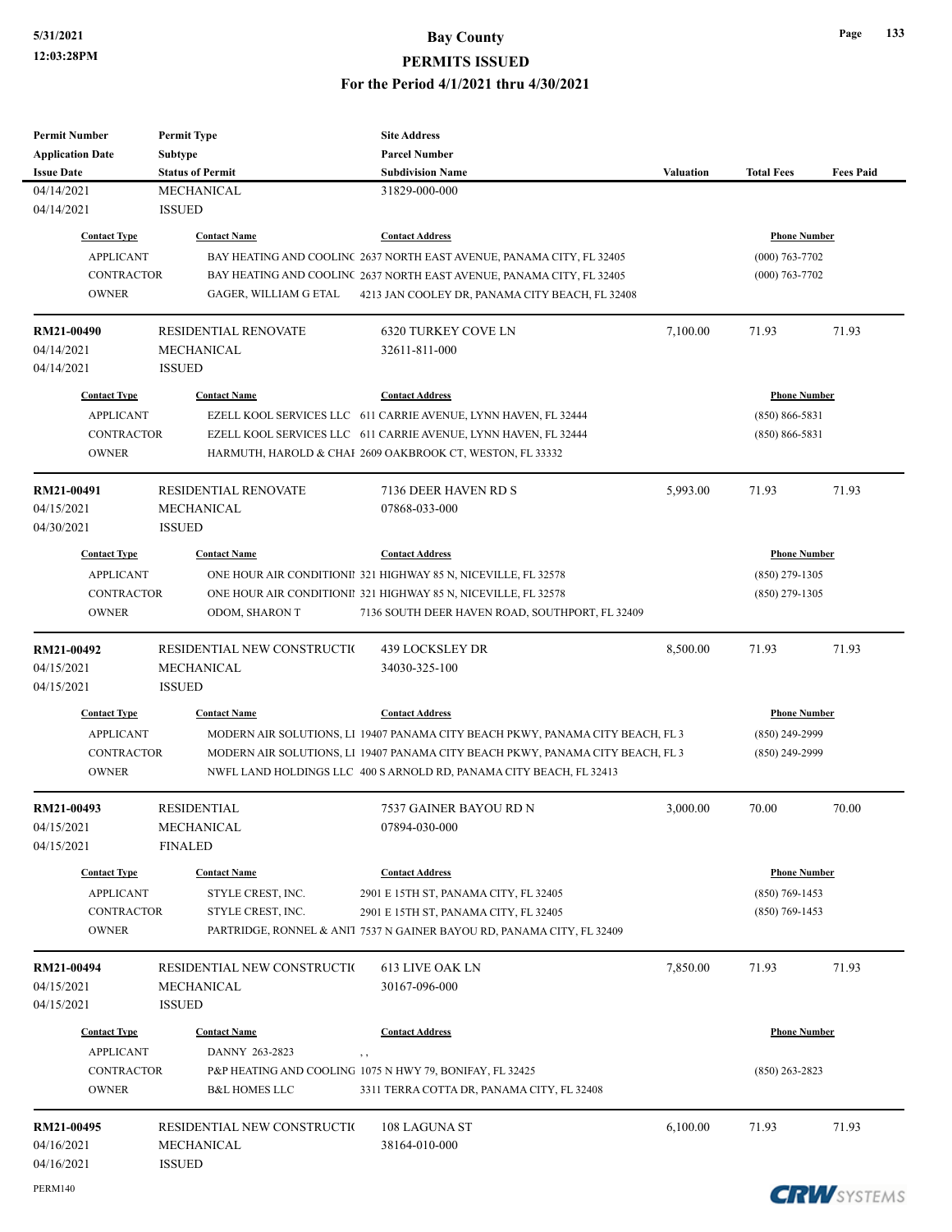# **5/31/2021 Bay County**

**Page 133**

**CRW**SYSTEMS

**PERMITS ISSUED**

#### **For the Period 4/1/2021 thru 4/30/2021**

| <b>Permit Number</b>    | <b>Permit Type</b>          | <b>Site Address</b>                                                            |                  |                     |                  |
|-------------------------|-----------------------------|--------------------------------------------------------------------------------|------------------|---------------------|------------------|
| <b>Application Date</b> | <b>Subtype</b>              | <b>Parcel Number</b>                                                           |                  |                     |                  |
| <b>Issue Date</b>       | <b>Status of Permit</b>     | <b>Subdivision Name</b>                                                        | <b>Valuation</b> | <b>Total Fees</b>   | <b>Fees Paid</b> |
| 04/14/2021              | MECHANICAL                  | 31829-000-000                                                                  |                  |                     |                  |
| 04/14/2021              | <b>ISSUED</b>               |                                                                                |                  |                     |                  |
| <b>Contact Type</b>     | <b>Contact Name</b>         | <b>Contact Address</b>                                                         |                  | <b>Phone Number</b> |                  |
| <b>APPLICANT</b>        |                             | BAY HEATING AND COOLINC 2637 NORTH EAST AVENUE, PANAMA CITY, FL 32405          |                  | $(000)$ 763-7702    |                  |
| <b>CONTRACTOR</b>       |                             | BAY HEATING AND COOLINC 2637 NORTH EAST AVENUE, PANAMA CITY, FL 32405          |                  | $(000)$ 763-7702    |                  |
| <b>OWNER</b>            | GAGER, WILLIAM G ETAL       | 4213 JAN COOLEY DR, PANAMA CITY BEACH, FL 32408                                |                  |                     |                  |
|                         |                             |                                                                                |                  |                     |                  |
| RM21-00490              | <b>RESIDENTIAL RENOVATE</b> | <b>6320 TURKEY COVE LN</b>                                                     | 7,100.00         | 71.93               | 71.93            |
| 04/14/2021              | MECHANICAL                  | 32611-811-000                                                                  |                  |                     |                  |
| 04/14/2021              | <b>ISSUED</b>               |                                                                                |                  |                     |                  |
| <b>Contact Type</b>     | <b>Contact Name</b>         | <b>Contact Address</b>                                                         |                  | <b>Phone Number</b> |                  |
| <b>APPLICANT</b>        |                             | EZELL KOOL SERVICES LLC 611 CARRIE AVENUE, LYNN HAVEN, FL 32444                |                  | $(850) 866 - 5831$  |                  |
| <b>CONTRACTOR</b>       |                             | EZELL KOOL SERVICES LLC 611 CARRIE AVENUE, LYNN HAVEN, FL 32444                |                  | $(850) 866 - 5831$  |                  |
| <b>OWNER</b>            |                             | HARMUTH, HAROLD & CHAI 2609 OAKBROOK CT, WESTON, FL 33332                      |                  |                     |                  |
|                         |                             |                                                                                |                  |                     |                  |
| RM21-00491              | <b>RESIDENTIAL RENOVATE</b> | 7136 DEER HAVEN RD S                                                           | 5,993.00         | 71.93               | 71.93            |
| 04/15/2021              | <b>MECHANICAL</b>           | 07868-033-000                                                                  |                  |                     |                  |
| 04/30/2021              | <b>ISSUED</b>               |                                                                                |                  |                     |                  |
| <b>Contact Type</b>     | <b>Contact Name</b>         | <b>Contact Address</b>                                                         |                  | <b>Phone Number</b> |                  |
| <b>APPLICANT</b>        |                             | ONE HOUR AIR CONDITIONII 321 HIGHWAY 85 N, NICEVILLE, FL 32578                 |                  | $(850)$ 279-1305    |                  |
| <b>CONTRACTOR</b>       |                             | ONE HOUR AIR CONDITIONII 321 HIGHWAY 85 N, NICEVILLE, FL 32578                 |                  | $(850)$ 279-1305    |                  |
| <b>OWNER</b>            | ODOM, SHARON T              | 7136 SOUTH DEER HAVEN ROAD, SOUTHPORT, FL 32409                                |                  |                     |                  |
|                         |                             |                                                                                |                  |                     |                  |
| RM21-00492              | RESIDENTIAL NEW CONSTRUCTIO | 439 LOCKSLEY DR                                                                | 8,500.00         | 71.93               | 71.93            |
| 04/15/2021              | <b>MECHANICAL</b>           | 34030-325-100                                                                  |                  |                     |                  |
| 04/15/2021              | <b>ISSUED</b>               |                                                                                |                  |                     |                  |
| <b>Contact Type</b>     | <b>Contact Name</b>         | <b>Contact Address</b>                                                         |                  | <b>Phone Number</b> |                  |
| <b>APPLICANT</b>        |                             | MODERN AIR SOLUTIONS, L1 19407 PANAMA CITY BEACH PKWY, PANAMA CITY BEACH, FL 3 |                  | $(850)$ 249-2999    |                  |
| <b>CONTRACTOR</b>       |                             | MODERN AIR SOLUTIONS, L1 19407 PANAMA CITY BEACH PKWY, PANAMA CITY BEACH, FL 3 |                  | $(850)$ 249-2999    |                  |
| <b>OWNER</b>            |                             | NWFL LAND HOLDINGS LLC 400 S ARNOLD RD, PANAMA CITY BEACH, FL 32413            |                  |                     |                  |
|                         |                             |                                                                                |                  |                     |                  |
| RM21-00493              | <b>RESIDENTIAL</b>          | 7537 GAINER BAYOU RD N                                                         | 3,000.00         | 70.00               | 70.00            |
| 04/15/2021              | MECHANICAL                  | 07894-030-000                                                                  |                  |                     |                  |
| 04/15/2021              | <b>FINALED</b>              |                                                                                |                  |                     |                  |
| <b>Contact Type</b>     | <b>Contact Name</b>         | <b>Contact Address</b>                                                         |                  | <b>Phone Number</b> |                  |
| <b>APPLICANT</b>        | STYLE CREST, INC.           | 2901 E 15TH ST, PANAMA CITY, FL 32405                                          |                  | $(850)$ 769-1453    |                  |
| <b>CONTRACTOR</b>       | STYLE CREST, INC.           | 2901 E 15TH ST, PANAMA CITY, FL 32405                                          |                  | $(850)$ 769-1453    |                  |
| <b>OWNER</b>            |                             | PARTRIDGE, RONNEL & ANIT 7537 N GAINER BAYOU RD, PANAMA CITY, FL 32409         |                  |                     |                  |
|                         |                             |                                                                                |                  |                     |                  |
| RM21-00494              | RESIDENTIAL NEW CONSTRUCTIO | 613 LIVE OAK LN                                                                | 7,850.00         | 71.93               | 71.93            |
| 04/15/2021              | MECHANICAL                  | 30167-096-000                                                                  |                  |                     |                  |
| 04/15/2021              | <b>ISSUED</b>               |                                                                                |                  |                     |                  |
| <b>Contact Type</b>     | <b>Contact Name</b>         | <b>Contact Address</b>                                                         |                  | <b>Phone Number</b> |                  |
| <b>APPLICANT</b>        | DANNY 263-2823<br>$, \, ,$  |                                                                                |                  |                     |                  |
| <b>CONTRACTOR</b>       |                             | P&P HEATING AND COOLING 1075 N HWY 79, BONIFAY, FL 32425                       |                  | $(850)$ 263-2823    |                  |
| <b>OWNER</b>            | <b>B&amp;L HOMES LLC</b>    | 3311 TERRA COTTA DR, PANAMA CITY, FL 32408                                     |                  |                     |                  |
|                         |                             |                                                                                |                  |                     |                  |
| RM21-00495              | RESIDENTIAL NEW CONSTRUCTIO | 108 LAGUNA ST                                                                  | 6,100.00         | 71.93               | 71.93            |
| 04/16/2021              | MECHANICAL                  | 38164-010-000                                                                  |                  |                     |                  |
| 04/16/2021              | <b>ISSUED</b>               |                                                                                |                  |                     |                  |

PERM140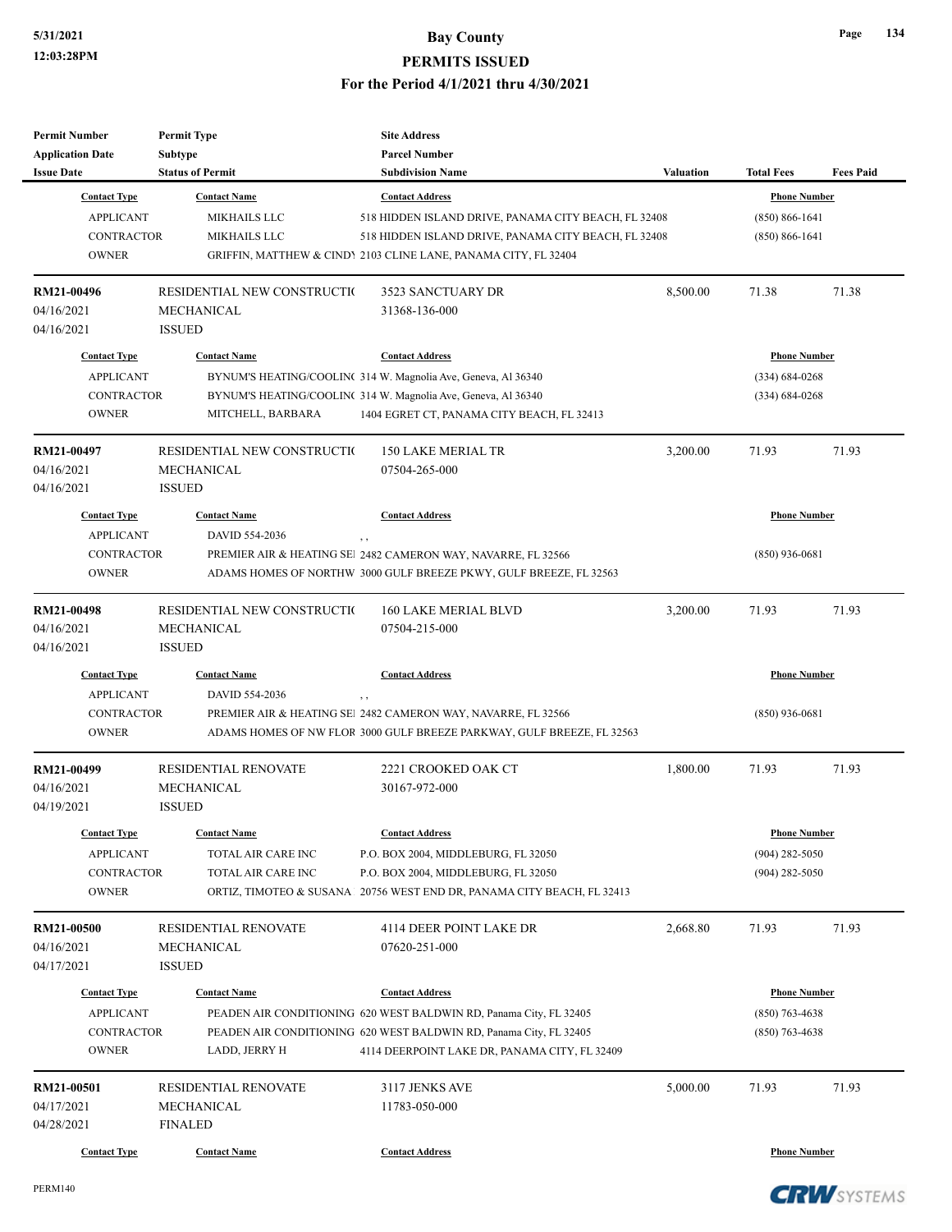| <b>Permit Number</b>    | <b>Permit Type</b>          | <b>Site Address</b>                                                    |                  |                     |                  |
|-------------------------|-----------------------------|------------------------------------------------------------------------|------------------|---------------------|------------------|
| <b>Application Date</b> | <b>Subtype</b>              | <b>Parcel Number</b>                                                   |                  |                     |                  |
| <b>Issue Date</b>       | <b>Status of Permit</b>     | <b>Subdivision Name</b>                                                | <b>Valuation</b> | <b>Total Fees</b>   | <b>Fees Paid</b> |
| <b>Contact Type</b>     | <b>Contact Name</b>         | <b>Contact Address</b>                                                 |                  | <b>Phone Number</b> |                  |
| <b>APPLICANT</b>        | MIKHAILS LLC                | 518 HIDDEN ISLAND DRIVE, PANAMA CITY BEACH, FL 32408                   |                  | $(850) 866 - 1641$  |                  |
| <b>CONTRACTOR</b>       | MIKHAILS LLC                | 518 HIDDEN ISLAND DRIVE, PANAMA CITY BEACH, FL 32408                   |                  | $(850) 866 - 1641$  |                  |
| <b>OWNER</b>            |                             | GRIFFIN, MATTHEW & CINDY 2103 CLINE LANE, PANAMA CITY, FL 32404        |                  |                     |                  |
| RM21-00496              | RESIDENTIAL NEW CONSTRUCTIO | 3523 SANCTUARY DR                                                      | 8,500.00         | 71.38               | 71.38            |
| 04/16/2021              | MECHANICAL                  | 31368-136-000                                                          |                  |                     |                  |
| 04/16/2021              | <b>ISSUED</b>               |                                                                        |                  |                     |                  |
| <b>Contact Type</b>     | <b>Contact Name</b>         | <b>Contact Address</b>                                                 |                  | <b>Phone Number</b> |                  |
| <b>APPLICANT</b>        |                             | BYNUM'S HEATING/COOLIN( 314 W. Magnolia Ave, Geneva, Al 36340          |                  | $(334) 684 - 0268$  |                  |
| <b>CONTRACTOR</b>       |                             | BYNUM'S HEATING/COOLIN( 314 W. Magnolia Ave, Geneva, Al 36340          |                  | $(334) 684 - 0268$  |                  |
| <b>OWNER</b>            | MITCHELL, BARBARA           | 1404 EGRET CT, PANAMA CITY BEACH, FL 32413                             |                  |                     |                  |
| RM21-00497              | RESIDENTIAL NEW CONSTRUCTIO | <b>150 LAKE MERIAL TR</b>                                              | 3,200.00         | 71.93               | 71.93            |
| 04/16/2021              | MECHANICAL                  | 07504-265-000                                                          |                  |                     |                  |
| 04/16/2021              | <b>ISSUED</b>               |                                                                        |                  |                     |                  |
| <b>Contact Type</b>     | <b>Contact Name</b>         | <b>Contact Address</b>                                                 |                  | <b>Phone Number</b> |                  |
| <b>APPLICANT</b>        | DAVID 554-2036              | , ,                                                                    |                  |                     |                  |
| <b>CONTRACTOR</b>       |                             | PREMIER AIR & HEATING SE 2482 CAMERON WAY, NAVARRE, FL 32566           |                  | $(850)$ 936-0681    |                  |
| <b>OWNER</b>            |                             | ADAMS HOMES OF NORTHW 3000 GULF BREEZE PKWY, GULF BREEZE, FL 32563     |                  |                     |                  |
| RM21-00498              | RESIDENTIAL NEW CONSTRUCTIO | <b>160 LAKE MERIAL BLVD</b>                                            | 3,200.00         | 71.93               | 71.93            |
| 04/16/2021              | MECHANICAL                  | 07504-215-000                                                          |                  |                     |                  |
| 04/16/2021              | <b>ISSUED</b>               |                                                                        |                  |                     |                  |
| <b>Contact Type</b>     | <b>Contact Name</b>         | <b>Contact Address</b>                                                 |                  | <b>Phone Number</b> |                  |
| <b>APPLICANT</b>        | DAVID 554-2036              | $, \, , \,$                                                            |                  |                     |                  |
| <b>CONTRACTOR</b>       |                             | PREMIER AIR & HEATING SEI 2482 CAMERON WAY, NAVARRE, FL 32566          |                  | $(850)$ 936-0681    |                  |
| <b>OWNER</b>            |                             | ADAMS HOMES OF NW FLOR 3000 GULF BREEZE PARKWAY, GULF BREEZE, FL 32563 |                  |                     |                  |
| RM21-00499              | RESIDENTIAL RENOVATE        | 2221 CROOKED OAK CT                                                    | 1,800.00         | 71.93               | 71.93            |
| 04/16/2021              | <b>MECHANICAL</b>           | 30167-972-000                                                          |                  |                     |                  |
| 04/19/2021              | <b>ISSUED</b>               |                                                                        |                  |                     |                  |
| <b>Contact Type</b>     | <b>Contact Name</b>         | <b>Contact Address</b>                                                 |                  | <b>Phone Number</b> |                  |
| <b>APPLICANT</b>        | TOTAL AIR CARE INC          | P.O. BOX 2004, MIDDLEBURG, FL 32050                                    |                  | $(904)$ 282-5050    |                  |
| <b>CONTRACTOR</b>       | TOTAL AIR CARE INC          | P.O. BOX 2004, MIDDLEBURG, FL 32050                                    |                  | $(904)$ 282-5050    |                  |
| <b>OWNER</b>            |                             | ORTIZ, TIMOTEO & SUSANA 20756 WEST END DR, PANAMA CITY BEACH, FL 32413 |                  |                     |                  |
| RM21-00500              | RESIDENTIAL RENOVATE        | 4114 DEER POINT LAKE DR                                                | 2,668.80         | 71.93               | 71.93            |
| 04/16/2021              | MECHANICAL                  | 07620-251-000                                                          |                  |                     |                  |
| 04/17/2021              | <b>ISSUED</b>               |                                                                        |                  |                     |                  |
| <b>Contact Type</b>     | <b>Contact Name</b>         | <b>Contact Address</b>                                                 |                  | <b>Phone Number</b> |                  |
| <b>APPLICANT</b>        |                             | PEADEN AIR CONDITIONING 620 WEST BALDWIN RD, Panama City, FL 32405     |                  | $(850)$ 763-4638    |                  |
| CONTRACTOR              |                             | PEADEN AIR CONDITIONING 620 WEST BALDWIN RD, Panama City, FL 32405     |                  | $(850)$ 763-4638    |                  |
| <b>OWNER</b>            | LADD, JERRY H               | 4114 DEERPOINT LAKE DR, PANAMA CITY, FL 32409                          |                  |                     |                  |
| RM21-00501              | <b>RESIDENTIAL RENOVATE</b> | 3117 JENKS AVE                                                         | 5,000.00         | 71.93               | 71.93            |
| 04/17/2021              | MECHANICAL                  | 11783-050-000                                                          |                  |                     |                  |
| 04/28/2021              | <b>FINALED</b>              |                                                                        |                  |                     |                  |
| <b>Contact Type</b>     | <b>Contact Name</b>         | <b>Contact Address</b>                                                 |                  | <b>Phone Number</b> |                  |
|                         |                             |                                                                        |                  |                     |                  |

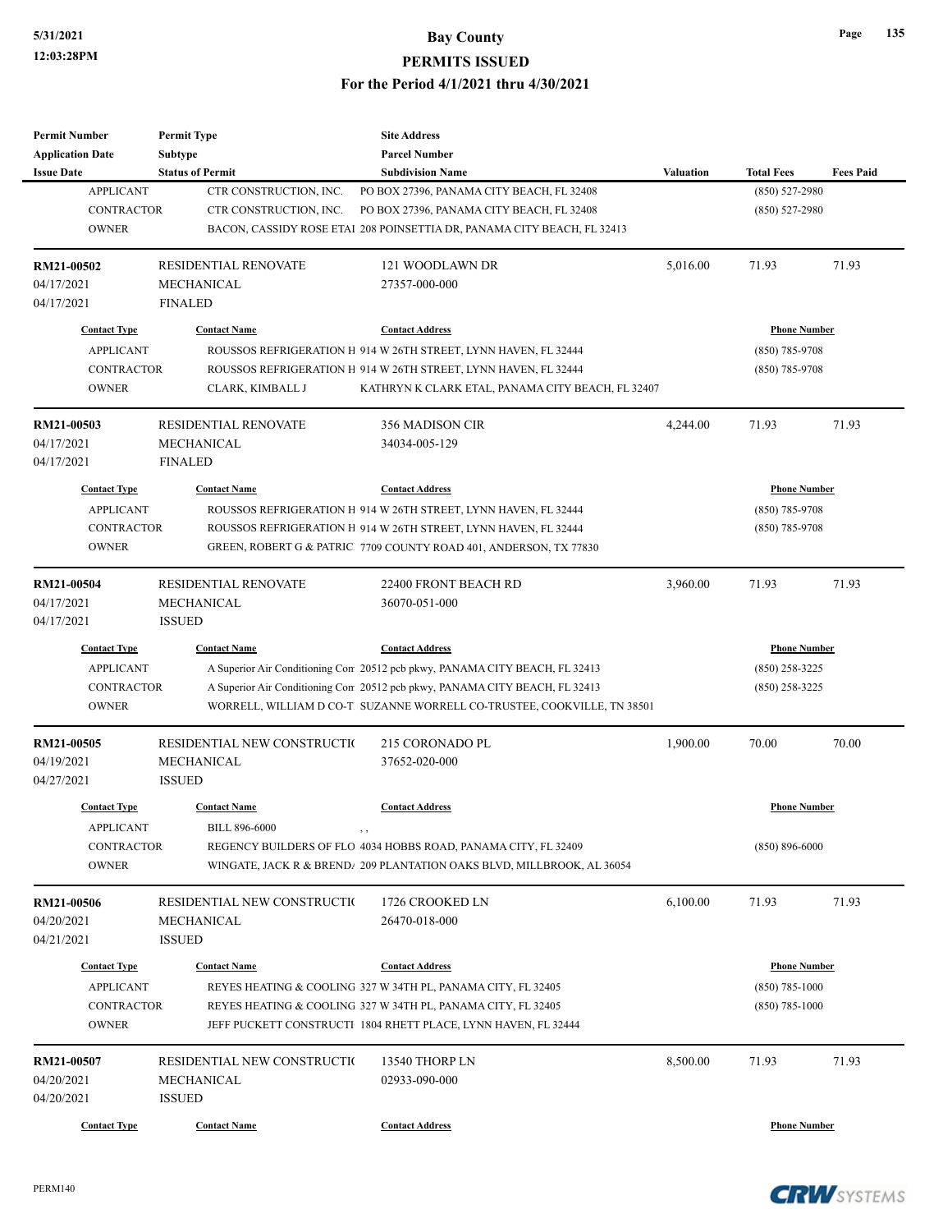| <b>Permit Number</b>    | <b>Permit Type</b>          | <b>Site Address</b>                                                         |                  |                     |                  |
|-------------------------|-----------------------------|-----------------------------------------------------------------------------|------------------|---------------------|------------------|
| <b>Application Date</b> | Subtype                     | <b>Parcel Number</b>                                                        |                  |                     |                  |
| <b>Issue Date</b>       | <b>Status of Permit</b>     | <b>Subdivision Name</b>                                                     | <b>Valuation</b> | <b>Total Fees</b>   | <b>Fees Paid</b> |
| <b>APPLICANT</b>        | CTR CONSTRUCTION, INC.      | PO BOX 27396, PANAMA CITY BEACH, FL 32408                                   |                  | $(850) 527 - 2980$  |                  |
| <b>CONTRACTOR</b>       | CTR CONSTRUCTION, INC.      | PO BOX 27396, PANAMA CITY BEACH, FL 32408                                   |                  | $(850) 527 - 2980$  |                  |
| <b>OWNER</b>            |                             | BACON, CASSIDY ROSE ETAI 208 POINSETTIA DR, PANAMA CITY BEACH, FL 32413     |                  |                     |                  |
| RM21-00502              | <b>RESIDENTIAL RENOVATE</b> | 121 WOODLAWN DR                                                             | 5,016.00         | 71.93               | 71.93            |
| 04/17/2021              | <b>MECHANICAL</b>           | 27357-000-000                                                               |                  |                     |                  |
| 04/17/2021              | <b>FINALED</b>              |                                                                             |                  |                     |                  |
| <b>Contact Type</b>     | <b>Contact Name</b>         | <b>Contact Address</b>                                                      |                  | <b>Phone Number</b> |                  |
| <b>APPLICANT</b>        |                             | ROUSSOS REFRIGERATION H 914 W 26TH STREET, LYNN HAVEN, FL 32444             |                  | $(850)$ 785-9708    |                  |
| <b>CONTRACTOR</b>       |                             | ROUSSOS REFRIGERATION H 914 W 26TH STREET, LYNN HAVEN, FL 32444             |                  | $(850)$ 785-9708    |                  |
| <b>OWNER</b>            | CLARK, KIMBALL J            | KATHRYN K CLARK ETAL, PANAMA CITY BEACH, FL 32407                           |                  |                     |                  |
| RM21-00503              | <b>RESIDENTIAL RENOVATE</b> | 356 MADISON CIR                                                             | 4,244.00         | 71.93               | 71.93            |
| 04/17/2021              | MECHANICAL                  | 34034-005-129                                                               |                  |                     |                  |
| 04/17/2021              | <b>FINALED</b>              |                                                                             |                  |                     |                  |
| <b>Contact Type</b>     | <b>Contact Name</b>         | <b>Contact Address</b>                                                      |                  | <b>Phone Number</b> |                  |
| <b>APPLICANT</b>        |                             | ROUSSOS REFRIGERATION H 914 W 26TH STREET, LYNN HAVEN, FL 32444             |                  | $(850)$ 785-9708    |                  |
| <b>CONTRACTOR</b>       |                             | ROUSSOS REFRIGERATION H 914 W 26TH STREET, LYNN HAVEN, FL 32444             |                  | $(850)$ 785-9708    |                  |
| <b>OWNER</b>            |                             | GREEN, ROBERT G & PATRIC 7709 COUNTY ROAD 401, ANDERSON, TX 77830           |                  |                     |                  |
|                         |                             |                                                                             |                  |                     |                  |
| RM21-00504              | RESIDENTIAL RENOVATE        | 22400 FRONT BEACH RD                                                        | 3,960.00         | 71.93               | 71.93            |
| 04/17/2021              | <b>MECHANICAL</b>           | 36070-051-000                                                               |                  |                     |                  |
| 04/17/2021              | <b>ISSUED</b>               |                                                                             |                  |                     |                  |
| <b>Contact Type</b>     | <b>Contact Name</b>         | <b>Contact Address</b>                                                      |                  | <b>Phone Number</b> |                  |
| <b>APPLICANT</b>        |                             | A Superior Air Conditioning Cor 20512 pcb pkwy, PANAMA CITY BEACH, FL 32413 |                  | $(850)$ 258-3225    |                  |
| <b>CONTRACTOR</b>       |                             | A Superior Air Conditioning Cor 20512 pcb pkwy, PANAMA CITY BEACH, FL 32413 |                  | $(850)$ 258-3225    |                  |
| <b>OWNER</b>            |                             | WORRELL, WILLIAM D CO-T. SUZANNE WORRELL CO-TRUSTEE, COOKVILLE, TN 38501    |                  |                     |                  |
| RM21-00505              | RESIDENTIAL NEW CONSTRUCTIO | 215 CORONADO PL                                                             | 1,900.00         | 70.00               | 70.00            |
| 04/19/2021              | <b>MECHANICAL</b>           | 37652-020-000                                                               |                  |                     |                  |
| 04/27/2021              | <b>ISSUED</b>               |                                                                             |                  |                     |                  |
| <b>Contact Type</b>     | <b>Contact Name</b>         | <b>Contact Address</b>                                                      |                  | <b>Phone Number</b> |                  |
| <b>APPLICANT</b>        | <b>BILL 896-6000</b>        | , ,                                                                         |                  |                     |                  |
| <b>CONTRACTOR</b>       |                             | REGENCY BUILDERS OF FLO 4034 HOBBS ROAD, PANAMA CITY, FL 32409              |                  | $(850) 896 - 6000$  |                  |
| <b>OWNER</b>            |                             | WINGATE, JACK R & BREND/ 209 PLANTATION OAKS BLVD, MILLBROOK, AL 36054      |                  |                     |                  |
| RM21-00506              | RESIDENTIAL NEW CONSTRUCTIO | 1726 CROOKED LN                                                             | 6,100.00         | 71.93               | 71.93            |
| 04/20/2021              | <b>MECHANICAL</b>           | 26470-018-000                                                               |                  |                     |                  |
| 04/21/2021              | <b>ISSUED</b>               |                                                                             |                  |                     |                  |
|                         |                             |                                                                             |                  |                     |                  |
| <b>Contact Type</b>     | <b>Contact Name</b>         | <b>Contact Address</b>                                                      |                  | <b>Phone Number</b> |                  |
| <b>APPLICANT</b>        |                             | REYES HEATING & COOLING 327 W 34TH PL, PANAMA CITY, FL 32405                |                  | $(850) 785 - 1000$  |                  |
| CONTRACTOR              |                             | REYES HEATING & COOLING 327 W 34TH PL, PANAMA CITY, FL 32405                |                  | $(850) 785 - 1000$  |                  |
| <b>OWNER</b>            |                             | JEFF PUCKETT CONSTRUCTI 1804 RHETT PLACE, LYNN HAVEN, FL 32444              |                  |                     |                  |
| RM21-00507              | RESIDENTIAL NEW CONSTRUCTIO | 13540 THORP LN                                                              | 8,500.00         | 71.93               | 71.93            |
| 04/20/2021              | MECHANICAL                  | 02933-090-000                                                               |                  |                     |                  |
| 04/20/2021              | <b>ISSUED</b>               |                                                                             |                  |                     |                  |
| <b>Contact Type</b>     | <b>Contact Name</b>         | <b>Contact Address</b>                                                      |                  | <b>Phone Number</b> |                  |
|                         |                             |                                                                             |                  |                     |                  |



**Page 135**

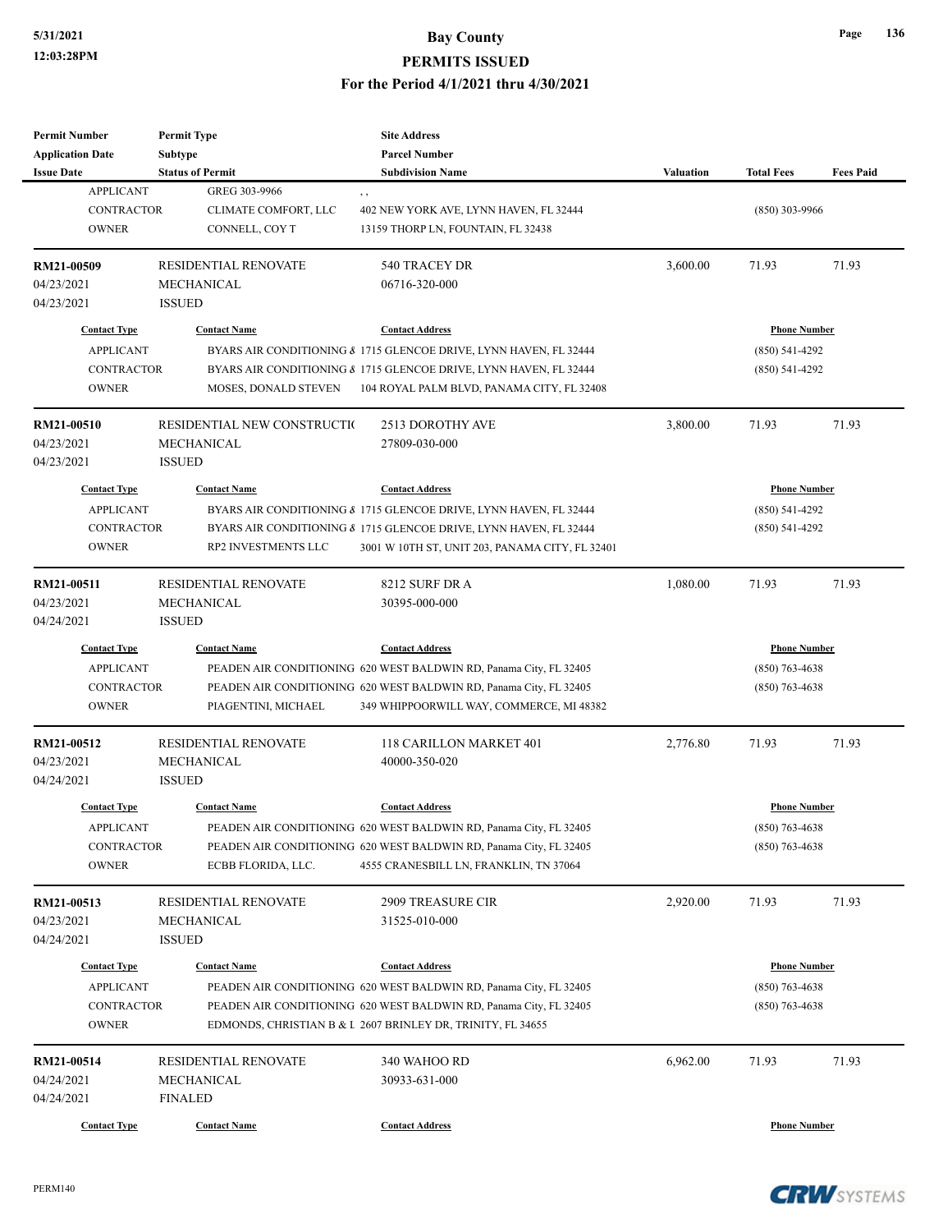| <b>Permit Number</b>     | <b>Permit Type</b>          | <b>Site Address</b>                                                |                  |                     |                  |
|--------------------------|-----------------------------|--------------------------------------------------------------------|------------------|---------------------|------------------|
| <b>Application Date</b>  | <b>Subtype</b>              | <b>Parcel Number</b>                                               |                  |                     |                  |
| <b>Issue Date</b>        | <b>Status of Permit</b>     | <b>Subdivision Name</b>                                            | <b>Valuation</b> | <b>Total Fees</b>   | <b>Fees Paid</b> |
| <b>APPLICANT</b>         | GREG 303-9966               | , ,                                                                |                  |                     |                  |
| <b>CONTRACTOR</b>        | CLIMATE COMFORT, LLC        | 402 NEW YORK AVE, LYNN HAVEN, FL 32444                             |                  | $(850)$ 303-9966    |                  |
| <b>OWNER</b>             | CONNELL, COY T              | 13159 THORP LN, FOUNTAIN, FL 32438                                 |                  |                     |                  |
|                          |                             |                                                                    |                  |                     |                  |
| RM21-00509               | <b>RESIDENTIAL RENOVATE</b> | 540 TRACEY DR                                                      | 3,600.00         | 71.93               | 71.93            |
| 04/23/2021               | <b>MECHANICAL</b>           | 06716-320-000                                                      |                  |                     |                  |
| 04/23/2021               | <b>ISSUED</b>               |                                                                    |                  |                     |                  |
| <b>Contact Type</b>      | <b>Contact Name</b>         | <b>Contact Address</b>                                             |                  | <b>Phone Number</b> |                  |
| <b>APPLICANT</b>         |                             | BYARS AIR CONDITIONING & 1715 GLENCOE DRIVE, LYNN HAVEN, FL 32444  |                  | $(850) 541 - 4292$  |                  |
| CONTRACTOR               |                             | BYARS AIR CONDITIONING & 1715 GLENCOE DRIVE, LYNN HAVEN, FL 32444  |                  | $(850) 541 - 4292$  |                  |
| <b>OWNER</b>             | MOSES, DONALD STEVEN        | 104 ROYAL PALM BLVD, PANAMA CITY, FL 32408                         |                  |                     |                  |
|                          |                             |                                                                    |                  |                     |                  |
| RM21-00510               | RESIDENTIAL NEW CONSTRUCTIO | 2513 DOROTHY AVE                                                   | 3,800.00         | 71.93               | 71.93            |
| 04/23/2021               | <b>MECHANICAL</b>           | 27809-030-000                                                      |                  |                     |                  |
| 04/23/2021               | <b>ISSUED</b>               |                                                                    |                  |                     |                  |
| <b>Contact Type</b>      | <b>Contact Name</b>         | <b>Contact Address</b>                                             |                  | <b>Phone Number</b> |                  |
| <b>APPLICANT</b>         |                             | BYARS AIR CONDITIONING & 1715 GLENCOE DRIVE, LYNN HAVEN, FL 32444  |                  | $(850) 541 - 4292$  |                  |
| <b>CONTRACTOR</b>        |                             |                                                                    |                  |                     |                  |
|                          |                             | BYARS AIR CONDITIONING & 1715 GLENCOE DRIVE, LYNN HAVEN, FL 32444  |                  | $(850) 541 - 4292$  |                  |
| <b>OWNER</b>             | RP2 INVESTMENTS LLC         | 3001 W 10TH ST, UNIT 203, PANAMA CITY, FL 32401                    |                  |                     |                  |
| RM21-00511               | RESIDENTIAL RENOVATE        | 8212 SURF DR A                                                     | 1,080.00         | 71.93               | 71.93            |
| 04/23/2021               | <b>MECHANICAL</b>           | 30395-000-000                                                      |                  |                     |                  |
| 04/24/2021               | <b>ISSUED</b>               |                                                                    |                  |                     |                  |
| <b>Contact Type</b>      | <b>Contact Name</b>         | <b>Contact Address</b>                                             |                  | <b>Phone Number</b> |                  |
|                          |                             |                                                                    |                  |                     |                  |
| <b>APPLICANT</b>         |                             | PEADEN AIR CONDITIONING 620 WEST BALDWIN RD, Panama City, FL 32405 |                  | $(850)$ 763-4638    |                  |
| <b>CONTRACTOR</b>        |                             | PEADEN AIR CONDITIONING 620 WEST BALDWIN RD, Panama City, FL 32405 |                  | $(850)$ 763-4638    |                  |
| <b>OWNER</b>             | PIAGENTINI, MICHAEL         | 349 WHIPPOORWILL WAY, COMMERCE, MI 48382                           |                  |                     |                  |
| RM21-00512               | <b>RESIDENTIAL RENOVATE</b> | 118 CARILLON MARKET 401                                            | 2,776.80         | 71.93               | 71.93            |
| 04/23/2021               | MECHANICAL                  | 40000-350-020                                                      |                  |                     |                  |
| 04/24/2021               | <b>ISSUED</b>               |                                                                    |                  |                     |                  |
|                          |                             |                                                                    |                  |                     |                  |
| <b>Contact Type</b>      | <b>Contact Name</b>         | <b>Contact Address</b>                                             |                  | <b>Phone Number</b> |                  |
| <b>APPLICANT</b>         |                             | PEADEN AIR CONDITIONING 620 WEST BALDWIN RD, Panama City, FL 32405 |                  | $(850)$ 763-4638    |                  |
| CONTRACTOR               |                             | PEADEN AIR CONDITIONING 620 WEST BALDWIN RD, Panama City, FL 32405 |                  | $(850)$ 763-4638    |                  |
| <b>OWNER</b>             | ECBB FLORIDA, LLC.          | 4555 CRANESBILL LN, FRANKLIN, TN 37064                             |                  |                     |                  |
|                          | RESIDENTIAL RENOVATE        |                                                                    | 2,920.00         | 71.93               | 71.93            |
| RM21-00513<br>04/23/2021 | MECHANICAL                  | <b>2909 TREASURE CIR</b><br>31525-010-000                          |                  |                     |                  |
|                          |                             |                                                                    |                  |                     |                  |
| 04/24/2021               | <b>ISSUED</b>               |                                                                    |                  |                     |                  |
| <b>Contact Type</b>      | <b>Contact Name</b>         | <b>Contact Address</b>                                             |                  | <b>Phone Number</b> |                  |
| <b>APPLICANT</b>         |                             | PEADEN AIR CONDITIONING 620 WEST BALDWIN RD, Panama City, FL 32405 |                  | $(850)$ 763-4638    |                  |
| CONTRACTOR               |                             | PEADEN AIR CONDITIONING 620 WEST BALDWIN RD, Panama City, FL 32405 |                  | $(850)$ 763-4638    |                  |
| <b>OWNER</b>             |                             | EDMONDS, CHRISTIAN B & I 2607 BRINLEY DR, TRINITY, FL 34655        |                  |                     |                  |
|                          |                             |                                                                    |                  |                     |                  |
| RM21-00514               | RESIDENTIAL RENOVATE        | 340 WAHOO RD                                                       | 6,962.00         | 71.93               | 71.93            |
| 04/24/2021               | MECHANICAL                  | 30933-631-000                                                      |                  |                     |                  |
| 04/24/2021               | <b>FINALED</b>              |                                                                    |                  |                     |                  |
| <b>Contact Type</b>      | <b>Contact Name</b>         | <b>Contact Address</b>                                             |                  | <b>Phone Number</b> |                  |



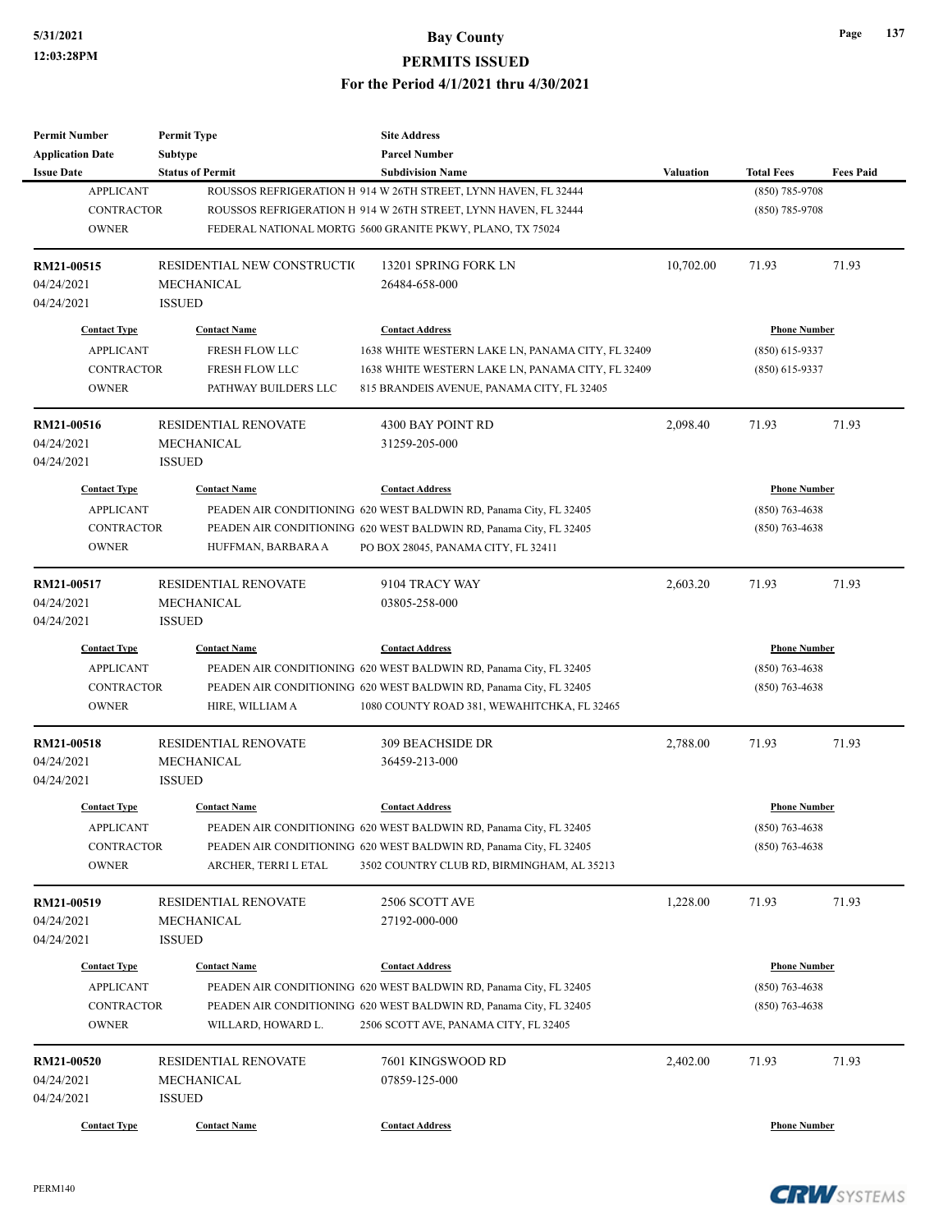| <b>Subtype</b><br><b>Parcel Number</b><br><b>Application Date</b><br><b>Issue Date</b><br><b>Status of Permit</b><br><b>Subdivision Name</b><br>Valuation<br><b>Total Fees</b><br><b>APPLICANT</b><br>(850) 785-9708<br>ROUSSOS REFRIGERATION H 914 W 26TH STREET, LYNN HAVEN, FL 32444<br><b>CONTRACTOR</b><br>ROUSSOS REFRIGERATION H 914 W 26TH STREET, LYNN HAVEN, FL 32444<br>$(850)$ 785-9708<br><b>OWNER</b><br>FEDERAL NATIONAL MORTG 5600 GRANITE PKWY, PLANO, TX 75024<br>71.93<br>RM21-00515<br>RESIDENTIAL NEW CONSTRUCTIO<br>13201 SPRING FORK LN<br>10,702.00<br>71.93<br>04/24/2021<br>MECHANICAL<br>26484-658-000<br><b>ISSUED</b><br>04/24/2021<br><b>Contact Type</b><br><b>Contact Name</b><br><b>Contact Address</b><br><b>Phone Number</b><br><b>APPLICANT</b><br>FRESH FLOW LLC<br>$(850)$ 615-9337<br>1638 WHITE WESTERN LAKE LN, PANAMA CITY, FL 32409<br><b>CONTRACTOR</b><br>FRESH FLOW LLC<br>$(850)$ 615-9337<br>1638 WHITE WESTERN LAKE LN, PANAMA CITY, FL 32409<br><b>OWNER</b><br>PATHWAY BUILDERS LLC<br>815 BRANDEIS AVENUE, PANAMA CITY, FL 32405<br>2,098.40<br>71.93<br>RM21-00516<br><b>RESIDENTIAL RENOVATE</b><br>4300 BAY POINT RD<br>71.93<br>04/24/2021<br>MECHANICAL<br>31259-205-000<br>04/24/2021<br><b>ISSUED</b><br><b>Contact Type</b><br><b>Contact Name</b><br><b>Contact Address</b><br><b>Phone Number</b><br><b>APPLICANT</b><br>PEADEN AIR CONDITIONING 620 WEST BALDWIN RD, Panama City, FL 32405<br>$(850)$ 763-4638<br><b>CONTRACTOR</b><br>PEADEN AIR CONDITIONING 620 WEST BALDWIN RD, Panama City, FL 32405<br>$(850)$ 763-4638<br><b>OWNER</b><br>HUFFMAN, BARBARA A<br>PO BOX 28045, PANAMA CITY, FL 32411<br>RM21-00517<br><b>RESIDENTIAL RENOVATE</b><br>9104 TRACY WAY<br>2,603.20<br>71.93<br>71.93<br>04/24/2021<br>MECHANICAL<br>03805-258-000<br>04/24/2021<br><b>ISSUED</b><br><b>Contact Type</b><br><b>Contact Name</b><br><b>Contact Address</b><br><b>Phone Number</b><br><b>APPLICANT</b><br>PEADEN AIR CONDITIONING 620 WEST BALDWIN RD, Panama City, FL 32405<br>$(850)$ 763-4638<br><b>CONTRACTOR</b><br>PEADEN AIR CONDITIONING 620 WEST BALDWIN RD, Panama City, FL 32405<br>$(850)$ 763-4638<br><b>OWNER</b><br>HIRE, WILLIAM A<br>1080 COUNTY ROAD 381, WEWAHITCHKA, FL 32465<br>2,788.00<br>71.93<br><b>RESIDENTIAL RENOVATE</b><br><b>309 BEACHSIDE DR</b><br>71.93<br>RM21-00518<br>04/24/2021<br>MECHANICAL<br>36459-213-000<br>04/24/2021<br><b>ISSUED</b><br><b>Contact Type</b><br><b>Contact Name</b><br><b>Contact Address</b><br><b>Phone Number</b><br>PEADEN AIR CONDITIONING 620 WEST BALDWIN RD, Panama City, FL 32405<br>$(850) 763 - 4638$<br>APPLICANT<br>CONTRACTOR<br>PEADEN AIR CONDITIONING 620 WEST BALDWIN RD, Panama City, FL 32405<br>$(850)$ 763-4638<br><b>OWNER</b><br>3502 COUNTRY CLUB RD, BIRMINGHAM, AL 35213<br>ARCHER, TERRI L ETAL<br>1,228.00<br>71.93<br>RESIDENTIAL RENOVATE<br>2506 SCOTT AVE<br>71.93<br>RM21-00519<br>04/24/2021<br>MECHANICAL<br>27192-000-000<br><b>ISSUED</b><br>04/24/2021<br><b>Contact Type</b><br><b>Contact Name</b><br><b>Contact Address</b><br><b>Phone Number</b><br><b>APPLICANT</b><br>$(850)$ 763-4638<br>PEADEN AIR CONDITIONING 620 WEST BALDWIN RD, Panama City, FL 32405<br><b>CONTRACTOR</b><br>PEADEN AIR CONDITIONING 620 WEST BALDWIN RD, Panama City, FL 32405<br>$(850)$ 763-4638<br><b>OWNER</b><br>2506 SCOTT AVE, PANAMA CITY, FL 32405<br>WILLARD, HOWARD L.<br>7601 KINGSWOOD RD<br>71.93<br>RM21-00520<br>RESIDENTIAL RENOVATE<br>2,402.00<br>71.93<br>04/24/2021<br>MECHANICAL<br>07859-125-000<br>04/24/2021<br><b>ISSUED</b><br><b>Contact Type</b><br><b>Contact Name</b><br><b>Contact Address</b><br><b>Phone Number</b> | <b>Permit Number</b> | <b>Permit Type</b> | <b>Site Address</b> |  |                  |
|-----------------------------------------------------------------------------------------------------------------------------------------------------------------------------------------------------------------------------------------------------------------------------------------------------------------------------------------------------------------------------------------------------------------------------------------------------------------------------------------------------------------------------------------------------------------------------------------------------------------------------------------------------------------------------------------------------------------------------------------------------------------------------------------------------------------------------------------------------------------------------------------------------------------------------------------------------------------------------------------------------------------------------------------------------------------------------------------------------------------------------------------------------------------------------------------------------------------------------------------------------------------------------------------------------------------------------------------------------------------------------------------------------------------------------------------------------------------------------------------------------------------------------------------------------------------------------------------------------------------------------------------------------------------------------------------------------------------------------------------------------------------------------------------------------------------------------------------------------------------------------------------------------------------------------------------------------------------------------------------------------------------------------------------------------------------------------------------------------------------------------------------------------------------------------------------------------------------------------------------------------------------------------------------------------------------------------------------------------------------------------------------------------------------------------------------------------------------------------------------------------------------------------------------------------------------------------------------------------------------------------------------------------------------------------------------------------------------------------------------------------------------------------------------------------------------------------------------------------------------------------------------------------------------------------------------------------------------------------------------------------------------------------------------------------------------------------------------------------------------------------------------------------------------------------------------------------------------------------------------------------------------------------------------------------------------------------------------------------------------------------------------------------------------------------------------------------------------------------------------------------------------------------------------------------------------------------------------------------------------------------------------------------------------------------------------------------------|----------------------|--------------------|---------------------|--|------------------|
|                                                                                                                                                                                                                                                                                                                                                                                                                                                                                                                                                                                                                                                                                                                                                                                                                                                                                                                                                                                                                                                                                                                                                                                                                                                                                                                                                                                                                                                                                                                                                                                                                                                                                                                                                                                                                                                                                                                                                                                                                                                                                                                                                                                                                                                                                                                                                                                                                                                                                                                                                                                                                                                                                                                                                                                                                                                                                                                                                                                                                                                                                                                                                                                                                                                                                                                                                                                                                                                                                                                                                                                                                                                                                                           |                      |                    |                     |  |                  |
|                                                                                                                                                                                                                                                                                                                                                                                                                                                                                                                                                                                                                                                                                                                                                                                                                                                                                                                                                                                                                                                                                                                                                                                                                                                                                                                                                                                                                                                                                                                                                                                                                                                                                                                                                                                                                                                                                                                                                                                                                                                                                                                                                                                                                                                                                                                                                                                                                                                                                                                                                                                                                                                                                                                                                                                                                                                                                                                                                                                                                                                                                                                                                                                                                                                                                                                                                                                                                                                                                                                                                                                                                                                                                                           |                      |                    |                     |  | <b>Fees Paid</b> |
|                                                                                                                                                                                                                                                                                                                                                                                                                                                                                                                                                                                                                                                                                                                                                                                                                                                                                                                                                                                                                                                                                                                                                                                                                                                                                                                                                                                                                                                                                                                                                                                                                                                                                                                                                                                                                                                                                                                                                                                                                                                                                                                                                                                                                                                                                                                                                                                                                                                                                                                                                                                                                                                                                                                                                                                                                                                                                                                                                                                                                                                                                                                                                                                                                                                                                                                                                                                                                                                                                                                                                                                                                                                                                                           |                      |                    |                     |  |                  |
|                                                                                                                                                                                                                                                                                                                                                                                                                                                                                                                                                                                                                                                                                                                                                                                                                                                                                                                                                                                                                                                                                                                                                                                                                                                                                                                                                                                                                                                                                                                                                                                                                                                                                                                                                                                                                                                                                                                                                                                                                                                                                                                                                                                                                                                                                                                                                                                                                                                                                                                                                                                                                                                                                                                                                                                                                                                                                                                                                                                                                                                                                                                                                                                                                                                                                                                                                                                                                                                                                                                                                                                                                                                                                                           |                      |                    |                     |  |                  |
|                                                                                                                                                                                                                                                                                                                                                                                                                                                                                                                                                                                                                                                                                                                                                                                                                                                                                                                                                                                                                                                                                                                                                                                                                                                                                                                                                                                                                                                                                                                                                                                                                                                                                                                                                                                                                                                                                                                                                                                                                                                                                                                                                                                                                                                                                                                                                                                                                                                                                                                                                                                                                                                                                                                                                                                                                                                                                                                                                                                                                                                                                                                                                                                                                                                                                                                                                                                                                                                                                                                                                                                                                                                                                                           |                      |                    |                     |  |                  |
|                                                                                                                                                                                                                                                                                                                                                                                                                                                                                                                                                                                                                                                                                                                                                                                                                                                                                                                                                                                                                                                                                                                                                                                                                                                                                                                                                                                                                                                                                                                                                                                                                                                                                                                                                                                                                                                                                                                                                                                                                                                                                                                                                                                                                                                                                                                                                                                                                                                                                                                                                                                                                                                                                                                                                                                                                                                                                                                                                                                                                                                                                                                                                                                                                                                                                                                                                                                                                                                                                                                                                                                                                                                                                                           |                      |                    |                     |  |                  |
|                                                                                                                                                                                                                                                                                                                                                                                                                                                                                                                                                                                                                                                                                                                                                                                                                                                                                                                                                                                                                                                                                                                                                                                                                                                                                                                                                                                                                                                                                                                                                                                                                                                                                                                                                                                                                                                                                                                                                                                                                                                                                                                                                                                                                                                                                                                                                                                                                                                                                                                                                                                                                                                                                                                                                                                                                                                                                                                                                                                                                                                                                                                                                                                                                                                                                                                                                                                                                                                                                                                                                                                                                                                                                                           |                      |                    |                     |  |                  |
|                                                                                                                                                                                                                                                                                                                                                                                                                                                                                                                                                                                                                                                                                                                                                                                                                                                                                                                                                                                                                                                                                                                                                                                                                                                                                                                                                                                                                                                                                                                                                                                                                                                                                                                                                                                                                                                                                                                                                                                                                                                                                                                                                                                                                                                                                                                                                                                                                                                                                                                                                                                                                                                                                                                                                                                                                                                                                                                                                                                                                                                                                                                                                                                                                                                                                                                                                                                                                                                                                                                                                                                                                                                                                                           |                      |                    |                     |  |                  |
|                                                                                                                                                                                                                                                                                                                                                                                                                                                                                                                                                                                                                                                                                                                                                                                                                                                                                                                                                                                                                                                                                                                                                                                                                                                                                                                                                                                                                                                                                                                                                                                                                                                                                                                                                                                                                                                                                                                                                                                                                                                                                                                                                                                                                                                                                                                                                                                                                                                                                                                                                                                                                                                                                                                                                                                                                                                                                                                                                                                                                                                                                                                                                                                                                                                                                                                                                                                                                                                                                                                                                                                                                                                                                                           |                      |                    |                     |  |                  |
|                                                                                                                                                                                                                                                                                                                                                                                                                                                                                                                                                                                                                                                                                                                                                                                                                                                                                                                                                                                                                                                                                                                                                                                                                                                                                                                                                                                                                                                                                                                                                                                                                                                                                                                                                                                                                                                                                                                                                                                                                                                                                                                                                                                                                                                                                                                                                                                                                                                                                                                                                                                                                                                                                                                                                                                                                                                                                                                                                                                                                                                                                                                                                                                                                                                                                                                                                                                                                                                                                                                                                                                                                                                                                                           |                      |                    |                     |  |                  |
|                                                                                                                                                                                                                                                                                                                                                                                                                                                                                                                                                                                                                                                                                                                                                                                                                                                                                                                                                                                                                                                                                                                                                                                                                                                                                                                                                                                                                                                                                                                                                                                                                                                                                                                                                                                                                                                                                                                                                                                                                                                                                                                                                                                                                                                                                                                                                                                                                                                                                                                                                                                                                                                                                                                                                                                                                                                                                                                                                                                                                                                                                                                                                                                                                                                                                                                                                                                                                                                                                                                                                                                                                                                                                                           |                      |                    |                     |  |                  |
|                                                                                                                                                                                                                                                                                                                                                                                                                                                                                                                                                                                                                                                                                                                                                                                                                                                                                                                                                                                                                                                                                                                                                                                                                                                                                                                                                                                                                                                                                                                                                                                                                                                                                                                                                                                                                                                                                                                                                                                                                                                                                                                                                                                                                                                                                                                                                                                                                                                                                                                                                                                                                                                                                                                                                                                                                                                                                                                                                                                                                                                                                                                                                                                                                                                                                                                                                                                                                                                                                                                                                                                                                                                                                                           |                      |                    |                     |  |                  |
|                                                                                                                                                                                                                                                                                                                                                                                                                                                                                                                                                                                                                                                                                                                                                                                                                                                                                                                                                                                                                                                                                                                                                                                                                                                                                                                                                                                                                                                                                                                                                                                                                                                                                                                                                                                                                                                                                                                                                                                                                                                                                                                                                                                                                                                                                                                                                                                                                                                                                                                                                                                                                                                                                                                                                                                                                                                                                                                                                                                                                                                                                                                                                                                                                                                                                                                                                                                                                                                                                                                                                                                                                                                                                                           |                      |                    |                     |  |                  |
|                                                                                                                                                                                                                                                                                                                                                                                                                                                                                                                                                                                                                                                                                                                                                                                                                                                                                                                                                                                                                                                                                                                                                                                                                                                                                                                                                                                                                                                                                                                                                                                                                                                                                                                                                                                                                                                                                                                                                                                                                                                                                                                                                                                                                                                                                                                                                                                                                                                                                                                                                                                                                                                                                                                                                                                                                                                                                                                                                                                                                                                                                                                                                                                                                                                                                                                                                                                                                                                                                                                                                                                                                                                                                                           |                      |                    |                     |  |                  |
|                                                                                                                                                                                                                                                                                                                                                                                                                                                                                                                                                                                                                                                                                                                                                                                                                                                                                                                                                                                                                                                                                                                                                                                                                                                                                                                                                                                                                                                                                                                                                                                                                                                                                                                                                                                                                                                                                                                                                                                                                                                                                                                                                                                                                                                                                                                                                                                                                                                                                                                                                                                                                                                                                                                                                                                                                                                                                                                                                                                                                                                                                                                                                                                                                                                                                                                                                                                                                                                                                                                                                                                                                                                                                                           |                      |                    |                     |  |                  |
|                                                                                                                                                                                                                                                                                                                                                                                                                                                                                                                                                                                                                                                                                                                                                                                                                                                                                                                                                                                                                                                                                                                                                                                                                                                                                                                                                                                                                                                                                                                                                                                                                                                                                                                                                                                                                                                                                                                                                                                                                                                                                                                                                                                                                                                                                                                                                                                                                                                                                                                                                                                                                                                                                                                                                                                                                                                                                                                                                                                                                                                                                                                                                                                                                                                                                                                                                                                                                                                                                                                                                                                                                                                                                                           |                      |                    |                     |  |                  |
|                                                                                                                                                                                                                                                                                                                                                                                                                                                                                                                                                                                                                                                                                                                                                                                                                                                                                                                                                                                                                                                                                                                                                                                                                                                                                                                                                                                                                                                                                                                                                                                                                                                                                                                                                                                                                                                                                                                                                                                                                                                                                                                                                                                                                                                                                                                                                                                                                                                                                                                                                                                                                                                                                                                                                                                                                                                                                                                                                                                                                                                                                                                                                                                                                                                                                                                                                                                                                                                                                                                                                                                                                                                                                                           |                      |                    |                     |  |                  |
|                                                                                                                                                                                                                                                                                                                                                                                                                                                                                                                                                                                                                                                                                                                                                                                                                                                                                                                                                                                                                                                                                                                                                                                                                                                                                                                                                                                                                                                                                                                                                                                                                                                                                                                                                                                                                                                                                                                                                                                                                                                                                                                                                                                                                                                                                                                                                                                                                                                                                                                                                                                                                                                                                                                                                                                                                                                                                                                                                                                                                                                                                                                                                                                                                                                                                                                                                                                                                                                                                                                                                                                                                                                                                                           |                      |                    |                     |  |                  |
|                                                                                                                                                                                                                                                                                                                                                                                                                                                                                                                                                                                                                                                                                                                                                                                                                                                                                                                                                                                                                                                                                                                                                                                                                                                                                                                                                                                                                                                                                                                                                                                                                                                                                                                                                                                                                                                                                                                                                                                                                                                                                                                                                                                                                                                                                                                                                                                                                                                                                                                                                                                                                                                                                                                                                                                                                                                                                                                                                                                                                                                                                                                                                                                                                                                                                                                                                                                                                                                                                                                                                                                                                                                                                                           |                      |                    |                     |  |                  |
|                                                                                                                                                                                                                                                                                                                                                                                                                                                                                                                                                                                                                                                                                                                                                                                                                                                                                                                                                                                                                                                                                                                                                                                                                                                                                                                                                                                                                                                                                                                                                                                                                                                                                                                                                                                                                                                                                                                                                                                                                                                                                                                                                                                                                                                                                                                                                                                                                                                                                                                                                                                                                                                                                                                                                                                                                                                                                                                                                                                                                                                                                                                                                                                                                                                                                                                                                                                                                                                                                                                                                                                                                                                                                                           |                      |                    |                     |  |                  |
|                                                                                                                                                                                                                                                                                                                                                                                                                                                                                                                                                                                                                                                                                                                                                                                                                                                                                                                                                                                                                                                                                                                                                                                                                                                                                                                                                                                                                                                                                                                                                                                                                                                                                                                                                                                                                                                                                                                                                                                                                                                                                                                                                                                                                                                                                                                                                                                                                                                                                                                                                                                                                                                                                                                                                                                                                                                                                                                                                                                                                                                                                                                                                                                                                                                                                                                                                                                                                                                                                                                                                                                                                                                                                                           |                      |                    |                     |  |                  |
|                                                                                                                                                                                                                                                                                                                                                                                                                                                                                                                                                                                                                                                                                                                                                                                                                                                                                                                                                                                                                                                                                                                                                                                                                                                                                                                                                                                                                                                                                                                                                                                                                                                                                                                                                                                                                                                                                                                                                                                                                                                                                                                                                                                                                                                                                                                                                                                                                                                                                                                                                                                                                                                                                                                                                                                                                                                                                                                                                                                                                                                                                                                                                                                                                                                                                                                                                                                                                                                                                                                                                                                                                                                                                                           |                      |                    |                     |  |                  |
|                                                                                                                                                                                                                                                                                                                                                                                                                                                                                                                                                                                                                                                                                                                                                                                                                                                                                                                                                                                                                                                                                                                                                                                                                                                                                                                                                                                                                                                                                                                                                                                                                                                                                                                                                                                                                                                                                                                                                                                                                                                                                                                                                                                                                                                                                                                                                                                                                                                                                                                                                                                                                                                                                                                                                                                                                                                                                                                                                                                                                                                                                                                                                                                                                                                                                                                                                                                                                                                                                                                                                                                                                                                                                                           |                      |                    |                     |  |                  |
|                                                                                                                                                                                                                                                                                                                                                                                                                                                                                                                                                                                                                                                                                                                                                                                                                                                                                                                                                                                                                                                                                                                                                                                                                                                                                                                                                                                                                                                                                                                                                                                                                                                                                                                                                                                                                                                                                                                                                                                                                                                                                                                                                                                                                                                                                                                                                                                                                                                                                                                                                                                                                                                                                                                                                                                                                                                                                                                                                                                                                                                                                                                                                                                                                                                                                                                                                                                                                                                                                                                                                                                                                                                                                                           |                      |                    |                     |  |                  |
|                                                                                                                                                                                                                                                                                                                                                                                                                                                                                                                                                                                                                                                                                                                                                                                                                                                                                                                                                                                                                                                                                                                                                                                                                                                                                                                                                                                                                                                                                                                                                                                                                                                                                                                                                                                                                                                                                                                                                                                                                                                                                                                                                                                                                                                                                                                                                                                                                                                                                                                                                                                                                                                                                                                                                                                                                                                                                                                                                                                                                                                                                                                                                                                                                                                                                                                                                                                                                                                                                                                                                                                                                                                                                                           |                      |                    |                     |  |                  |
|                                                                                                                                                                                                                                                                                                                                                                                                                                                                                                                                                                                                                                                                                                                                                                                                                                                                                                                                                                                                                                                                                                                                                                                                                                                                                                                                                                                                                                                                                                                                                                                                                                                                                                                                                                                                                                                                                                                                                                                                                                                                                                                                                                                                                                                                                                                                                                                                                                                                                                                                                                                                                                                                                                                                                                                                                                                                                                                                                                                                                                                                                                                                                                                                                                                                                                                                                                                                                                                                                                                                                                                                                                                                                                           |                      |                    |                     |  |                  |
|                                                                                                                                                                                                                                                                                                                                                                                                                                                                                                                                                                                                                                                                                                                                                                                                                                                                                                                                                                                                                                                                                                                                                                                                                                                                                                                                                                                                                                                                                                                                                                                                                                                                                                                                                                                                                                                                                                                                                                                                                                                                                                                                                                                                                                                                                                                                                                                                                                                                                                                                                                                                                                                                                                                                                                                                                                                                                                                                                                                                                                                                                                                                                                                                                                                                                                                                                                                                                                                                                                                                                                                                                                                                                                           |                      |                    |                     |  |                  |
|                                                                                                                                                                                                                                                                                                                                                                                                                                                                                                                                                                                                                                                                                                                                                                                                                                                                                                                                                                                                                                                                                                                                                                                                                                                                                                                                                                                                                                                                                                                                                                                                                                                                                                                                                                                                                                                                                                                                                                                                                                                                                                                                                                                                                                                                                                                                                                                                                                                                                                                                                                                                                                                                                                                                                                                                                                                                                                                                                                                                                                                                                                                                                                                                                                                                                                                                                                                                                                                                                                                                                                                                                                                                                                           |                      |                    |                     |  |                  |
|                                                                                                                                                                                                                                                                                                                                                                                                                                                                                                                                                                                                                                                                                                                                                                                                                                                                                                                                                                                                                                                                                                                                                                                                                                                                                                                                                                                                                                                                                                                                                                                                                                                                                                                                                                                                                                                                                                                                                                                                                                                                                                                                                                                                                                                                                                                                                                                                                                                                                                                                                                                                                                                                                                                                                                                                                                                                                                                                                                                                                                                                                                                                                                                                                                                                                                                                                                                                                                                                                                                                                                                                                                                                                                           |                      |                    |                     |  |                  |
|                                                                                                                                                                                                                                                                                                                                                                                                                                                                                                                                                                                                                                                                                                                                                                                                                                                                                                                                                                                                                                                                                                                                                                                                                                                                                                                                                                                                                                                                                                                                                                                                                                                                                                                                                                                                                                                                                                                                                                                                                                                                                                                                                                                                                                                                                                                                                                                                                                                                                                                                                                                                                                                                                                                                                                                                                                                                                                                                                                                                                                                                                                                                                                                                                                                                                                                                                                                                                                                                                                                                                                                                                                                                                                           |                      |                    |                     |  |                  |
|                                                                                                                                                                                                                                                                                                                                                                                                                                                                                                                                                                                                                                                                                                                                                                                                                                                                                                                                                                                                                                                                                                                                                                                                                                                                                                                                                                                                                                                                                                                                                                                                                                                                                                                                                                                                                                                                                                                                                                                                                                                                                                                                                                                                                                                                                                                                                                                                                                                                                                                                                                                                                                                                                                                                                                                                                                                                                                                                                                                                                                                                                                                                                                                                                                                                                                                                                                                                                                                                                                                                                                                                                                                                                                           |                      |                    |                     |  |                  |
|                                                                                                                                                                                                                                                                                                                                                                                                                                                                                                                                                                                                                                                                                                                                                                                                                                                                                                                                                                                                                                                                                                                                                                                                                                                                                                                                                                                                                                                                                                                                                                                                                                                                                                                                                                                                                                                                                                                                                                                                                                                                                                                                                                                                                                                                                                                                                                                                                                                                                                                                                                                                                                                                                                                                                                                                                                                                                                                                                                                                                                                                                                                                                                                                                                                                                                                                                                                                                                                                                                                                                                                                                                                                                                           |                      |                    |                     |  |                  |
|                                                                                                                                                                                                                                                                                                                                                                                                                                                                                                                                                                                                                                                                                                                                                                                                                                                                                                                                                                                                                                                                                                                                                                                                                                                                                                                                                                                                                                                                                                                                                                                                                                                                                                                                                                                                                                                                                                                                                                                                                                                                                                                                                                                                                                                                                                                                                                                                                                                                                                                                                                                                                                                                                                                                                                                                                                                                                                                                                                                                                                                                                                                                                                                                                                                                                                                                                                                                                                                                                                                                                                                                                                                                                                           |                      |                    |                     |  |                  |
|                                                                                                                                                                                                                                                                                                                                                                                                                                                                                                                                                                                                                                                                                                                                                                                                                                                                                                                                                                                                                                                                                                                                                                                                                                                                                                                                                                                                                                                                                                                                                                                                                                                                                                                                                                                                                                                                                                                                                                                                                                                                                                                                                                                                                                                                                                                                                                                                                                                                                                                                                                                                                                                                                                                                                                                                                                                                                                                                                                                                                                                                                                                                                                                                                                                                                                                                                                                                                                                                                                                                                                                                                                                                                                           |                      |                    |                     |  |                  |
|                                                                                                                                                                                                                                                                                                                                                                                                                                                                                                                                                                                                                                                                                                                                                                                                                                                                                                                                                                                                                                                                                                                                                                                                                                                                                                                                                                                                                                                                                                                                                                                                                                                                                                                                                                                                                                                                                                                                                                                                                                                                                                                                                                                                                                                                                                                                                                                                                                                                                                                                                                                                                                                                                                                                                                                                                                                                                                                                                                                                                                                                                                                                                                                                                                                                                                                                                                                                                                                                                                                                                                                                                                                                                                           |                      |                    |                     |  |                  |
|                                                                                                                                                                                                                                                                                                                                                                                                                                                                                                                                                                                                                                                                                                                                                                                                                                                                                                                                                                                                                                                                                                                                                                                                                                                                                                                                                                                                                                                                                                                                                                                                                                                                                                                                                                                                                                                                                                                                                                                                                                                                                                                                                                                                                                                                                                                                                                                                                                                                                                                                                                                                                                                                                                                                                                                                                                                                                                                                                                                                                                                                                                                                                                                                                                                                                                                                                                                                                                                                                                                                                                                                                                                                                                           |                      |                    |                     |  |                  |
|                                                                                                                                                                                                                                                                                                                                                                                                                                                                                                                                                                                                                                                                                                                                                                                                                                                                                                                                                                                                                                                                                                                                                                                                                                                                                                                                                                                                                                                                                                                                                                                                                                                                                                                                                                                                                                                                                                                                                                                                                                                                                                                                                                                                                                                                                                                                                                                                                                                                                                                                                                                                                                                                                                                                                                                                                                                                                                                                                                                                                                                                                                                                                                                                                                                                                                                                                                                                                                                                                                                                                                                                                                                                                                           |                      |                    |                     |  |                  |
|                                                                                                                                                                                                                                                                                                                                                                                                                                                                                                                                                                                                                                                                                                                                                                                                                                                                                                                                                                                                                                                                                                                                                                                                                                                                                                                                                                                                                                                                                                                                                                                                                                                                                                                                                                                                                                                                                                                                                                                                                                                                                                                                                                                                                                                                                                                                                                                                                                                                                                                                                                                                                                                                                                                                                                                                                                                                                                                                                                                                                                                                                                                                                                                                                                                                                                                                                                                                                                                                                                                                                                                                                                                                                                           |                      |                    |                     |  |                  |
|                                                                                                                                                                                                                                                                                                                                                                                                                                                                                                                                                                                                                                                                                                                                                                                                                                                                                                                                                                                                                                                                                                                                                                                                                                                                                                                                                                                                                                                                                                                                                                                                                                                                                                                                                                                                                                                                                                                                                                                                                                                                                                                                                                                                                                                                                                                                                                                                                                                                                                                                                                                                                                                                                                                                                                                                                                                                                                                                                                                                                                                                                                                                                                                                                                                                                                                                                                                                                                                                                                                                                                                                                                                                                                           |                      |                    |                     |  |                  |
|                                                                                                                                                                                                                                                                                                                                                                                                                                                                                                                                                                                                                                                                                                                                                                                                                                                                                                                                                                                                                                                                                                                                                                                                                                                                                                                                                                                                                                                                                                                                                                                                                                                                                                                                                                                                                                                                                                                                                                                                                                                                                                                                                                                                                                                                                                                                                                                                                                                                                                                                                                                                                                                                                                                                                                                                                                                                                                                                                                                                                                                                                                                                                                                                                                                                                                                                                                                                                                                                                                                                                                                                                                                                                                           |                      |                    |                     |  |                  |
|                                                                                                                                                                                                                                                                                                                                                                                                                                                                                                                                                                                                                                                                                                                                                                                                                                                                                                                                                                                                                                                                                                                                                                                                                                                                                                                                                                                                                                                                                                                                                                                                                                                                                                                                                                                                                                                                                                                                                                                                                                                                                                                                                                                                                                                                                                                                                                                                                                                                                                                                                                                                                                                                                                                                                                                                                                                                                                                                                                                                                                                                                                                                                                                                                                                                                                                                                                                                                                                                                                                                                                                                                                                                                                           |                      |                    |                     |  |                  |
|                                                                                                                                                                                                                                                                                                                                                                                                                                                                                                                                                                                                                                                                                                                                                                                                                                                                                                                                                                                                                                                                                                                                                                                                                                                                                                                                                                                                                                                                                                                                                                                                                                                                                                                                                                                                                                                                                                                                                                                                                                                                                                                                                                                                                                                                                                                                                                                                                                                                                                                                                                                                                                                                                                                                                                                                                                                                                                                                                                                                                                                                                                                                                                                                                                                                                                                                                                                                                                                                                                                                                                                                                                                                                                           |                      |                    |                     |  |                  |
|                                                                                                                                                                                                                                                                                                                                                                                                                                                                                                                                                                                                                                                                                                                                                                                                                                                                                                                                                                                                                                                                                                                                                                                                                                                                                                                                                                                                                                                                                                                                                                                                                                                                                                                                                                                                                                                                                                                                                                                                                                                                                                                                                                                                                                                                                                                                                                                                                                                                                                                                                                                                                                                                                                                                                                                                                                                                                                                                                                                                                                                                                                                                                                                                                                                                                                                                                                                                                                                                                                                                                                                                                                                                                                           |                      |                    |                     |  |                  |
|                                                                                                                                                                                                                                                                                                                                                                                                                                                                                                                                                                                                                                                                                                                                                                                                                                                                                                                                                                                                                                                                                                                                                                                                                                                                                                                                                                                                                                                                                                                                                                                                                                                                                                                                                                                                                                                                                                                                                                                                                                                                                                                                                                                                                                                                                                                                                                                                                                                                                                                                                                                                                                                                                                                                                                                                                                                                                                                                                                                                                                                                                                                                                                                                                                                                                                                                                                                                                                                                                                                                                                                                                                                                                                           |                      |                    |                     |  |                  |
|                                                                                                                                                                                                                                                                                                                                                                                                                                                                                                                                                                                                                                                                                                                                                                                                                                                                                                                                                                                                                                                                                                                                                                                                                                                                                                                                                                                                                                                                                                                                                                                                                                                                                                                                                                                                                                                                                                                                                                                                                                                                                                                                                                                                                                                                                                                                                                                                                                                                                                                                                                                                                                                                                                                                                                                                                                                                                                                                                                                                                                                                                                                                                                                                                                                                                                                                                                                                                                                                                                                                                                                                                                                                                                           |                      |                    |                     |  |                  |
|                                                                                                                                                                                                                                                                                                                                                                                                                                                                                                                                                                                                                                                                                                                                                                                                                                                                                                                                                                                                                                                                                                                                                                                                                                                                                                                                                                                                                                                                                                                                                                                                                                                                                                                                                                                                                                                                                                                                                                                                                                                                                                                                                                                                                                                                                                                                                                                                                                                                                                                                                                                                                                                                                                                                                                                                                                                                                                                                                                                                                                                                                                                                                                                                                                                                                                                                                                                                                                                                                                                                                                                                                                                                                                           |                      |                    |                     |  |                  |

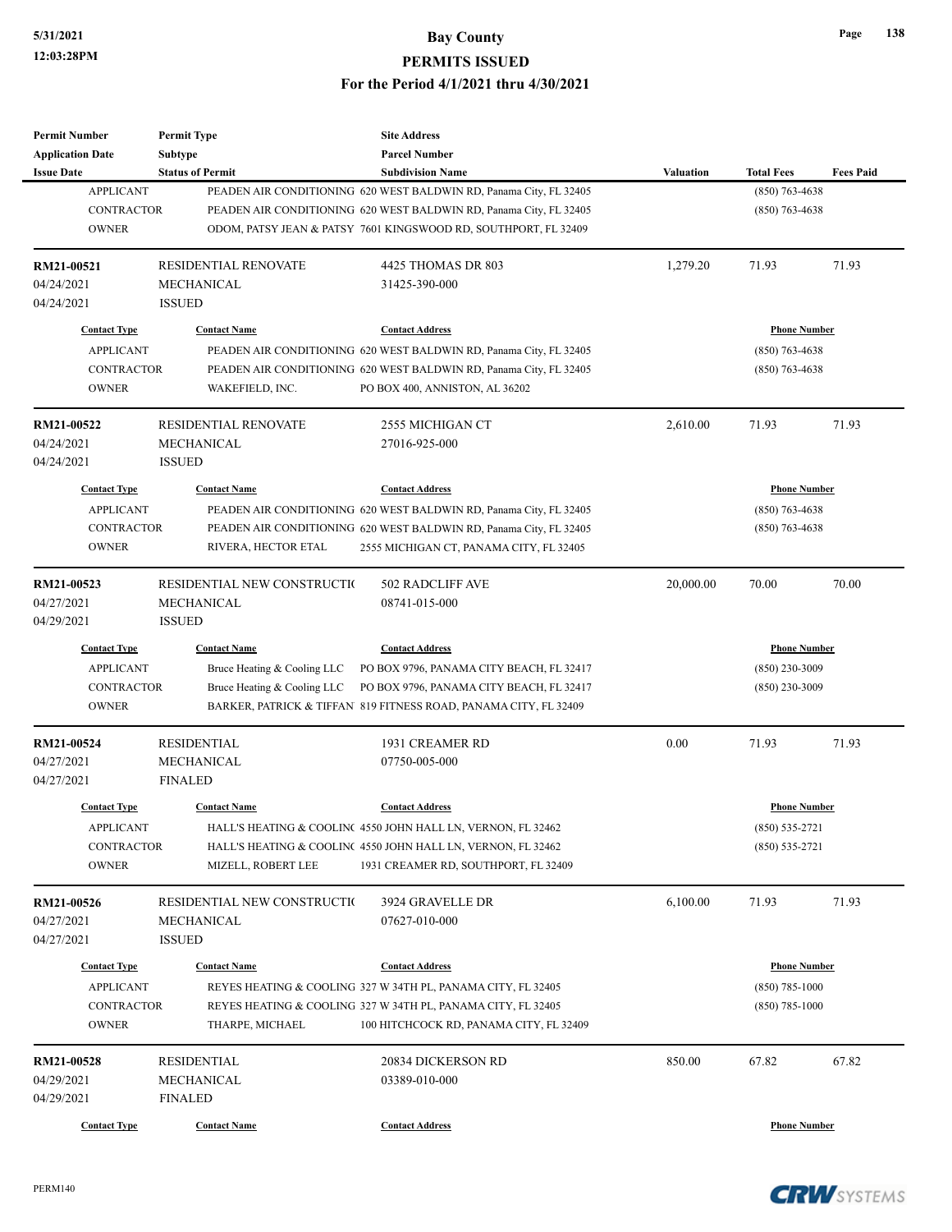| <b>Permit Number</b>    | <b>Permit Type</b>           | <b>Site Address</b>                                                |           |                     |                  |
|-------------------------|------------------------------|--------------------------------------------------------------------|-----------|---------------------|------------------|
| <b>Application Date</b> | <b>Subtype</b>               | <b>Parcel Number</b>                                               |           |                     |                  |
| <b>Issue Date</b>       | <b>Status of Permit</b>      | <b>Subdivision Name</b>                                            | Valuation | <b>Total Fees</b>   | <b>Fees Paid</b> |
| <b>APPLICANT</b>        |                              | PEADEN AIR CONDITIONING 620 WEST BALDWIN RD, Panama City, FL 32405 |           | $(850)$ 763-4638    |                  |
| <b>CONTRACTOR</b>       |                              | PEADEN AIR CONDITIONING 620 WEST BALDWIN RD, Panama City, FL 32405 |           | $(850)$ 763-4638    |                  |
| <b>OWNER</b>            |                              | ODOM, PATSY JEAN & PATSY 7601 KINGSWOOD RD, SOUTHPORT, FL 32409    |           |                     |                  |
| RM21-00521              | <b>RESIDENTIAL RENOVATE</b>  | 4425 THOMAS DR 803                                                 | 1,279.20  | 71.93               | 71.93            |
| 04/24/2021              | <b>MECHANICAL</b>            | 31425-390-000                                                      |           |                     |                  |
| 04/24/2021              | <b>ISSUED</b>                |                                                                    |           |                     |                  |
| <b>Contact Type</b>     | <b>Contact Name</b>          | <b>Contact Address</b>                                             |           | <b>Phone Number</b> |                  |
| <b>APPLICANT</b>        |                              | PEADEN AIR CONDITIONING 620 WEST BALDWIN RD, Panama City, FL 32405 |           | $(850)$ 763-4638    |                  |
| <b>CONTRACTOR</b>       |                              | PEADEN AIR CONDITIONING 620 WEST BALDWIN RD, Panama City, FL 32405 |           | $(850)$ 763-4638    |                  |
| <b>OWNER</b>            | WAKEFIELD, INC.              | PO BOX 400, ANNISTON, AL 36202                                     |           |                     |                  |
| RM21-00522              | <b>RESIDENTIAL RENOVATE</b>  | 2555 MICHIGAN CT                                                   | 2,610.00  | 71.93               | 71.93            |
| 04/24/2021              | MECHANICAL                   | 27016-925-000                                                      |           |                     |                  |
| 04/24/2021              | <b>ISSUED</b>                |                                                                    |           |                     |                  |
| <b>Contact Type</b>     | <b>Contact Name</b>          | <b>Contact Address</b>                                             |           | <b>Phone Number</b> |                  |
| <b>APPLICANT</b>        |                              | PEADEN AIR CONDITIONING 620 WEST BALDWIN RD, Panama City, FL 32405 |           | $(850)$ 763-4638    |                  |
| <b>CONTRACTOR</b>       |                              | PEADEN AIR CONDITIONING 620 WEST BALDWIN RD, Panama City, FL 32405 |           | $(850)$ 763-4638    |                  |
| <b>OWNER</b>            | RIVERA, HECTOR ETAL          | 2555 MICHIGAN CT, PANAMA CITY, FL 32405                            |           |                     |                  |
|                         |                              |                                                                    |           |                     |                  |
| RM21-00523              | RESIDENTIAL NEW CONSTRUCTIO  | 502 RADCLIFF AVE                                                   | 20,000.00 | 70.00               | 70.00            |
| 04/27/2021              | MECHANICAL                   | 08741-015-000                                                      |           |                     |                  |
| 04/29/2021              | <b>ISSUED</b>                |                                                                    |           |                     |                  |
| <b>Contact Type</b>     | <b>Contact Name</b>          | <b>Contact Address</b>                                             |           | <b>Phone Number</b> |                  |
| <b>APPLICANT</b>        | Bruce Heating & Cooling LLC  | PO BOX 9796, PANAMA CITY BEACH, FL 32417                           |           | $(850)$ 230-3009    |                  |
| <b>CONTRACTOR</b>       | Bruce Heating & Cooling LLC  | PO BOX 9796, PANAMA CITY BEACH, FL 32417                           |           | $(850)$ 230-3009    |                  |
| <b>OWNER</b>            |                              | BARKER, PATRICK & TIFFAN 819 FITNESS ROAD, PANAMA CITY, FL 32409   |           |                     |                  |
| RM21-00524              | <b>RESIDENTIAL</b>           | 1931 CREAMER RD                                                    | 0.00      | 71.93               | 71.93            |
| 04/27/2021              | MECHANICAL                   | 07750-005-000                                                      |           |                     |                  |
| 04/27/2021              | <b>FINALED</b>               |                                                                    |           |                     |                  |
| <b>Contact Type</b>     | <b>Contact Name</b>          | <b>Contact Address</b>                                             |           | <b>Phone Number</b> |                  |
| <b>APPLICANT</b>        |                              | HALL'S HEATING & COOLINC 4550 JOHN HALL LN, VERNON, FL 32462       |           | $(850) 535 - 2721$  |                  |
| <b>CONTRACTOR</b>       |                              | HALL'S HEATING & COOLINC 4550 JOHN HALL LN, VERNON, FL 32462       |           | $(850) 535 - 2721$  |                  |
| <b>OWNER</b>            | MIZELL, ROBERT LEE           | 1931 CREAMER RD, SOUTHPORT, FL 32409                               |           |                     |                  |
|                         |                              |                                                                    |           |                     |                  |
| RM21-00526              | RESIDENTIAL NEW CONSTRUCTION | 3924 GRAVELLE DR                                                   | 6,100.00  | 71.93               | 71.93            |
| 04/27/2021              | MECHANICAL                   | 07627-010-000                                                      |           |                     |                  |
| 04/27/2021              | <b>ISSUED</b>                |                                                                    |           |                     |                  |
| <b>Contact Type</b>     | <b>Contact Name</b>          | <b>Contact Address</b>                                             |           | <b>Phone Number</b> |                  |
| <b>APPLICANT</b>        |                              | REYES HEATING & COOLING 327 W 34TH PL, PANAMA CITY, FL 32405       |           | $(850)$ 785-1000    |                  |
| <b>CONTRACTOR</b>       |                              | REYES HEATING & COOLING 327 W 34TH PL, PANAMA CITY, FL 32405       |           | $(850)$ 785-1000    |                  |
| <b>OWNER</b>            | THARPE, MICHAEL              | 100 HITCHCOCK RD, PANAMA CITY, FL 32409                            |           |                     |                  |
| RM21-00528              | <b>RESIDENTIAL</b>           | 20834 DICKERSON RD                                                 | 850.00    | 67.82               | 67.82            |
| 04/29/2021              | MECHANICAL                   | 03389-010-000                                                      |           |                     |                  |
| 04/29/2021              | <b>FINALED</b>               |                                                                    |           |                     |                  |
| <b>Contact Type</b>     | <b>Contact Name</b>          | <b>Contact Address</b>                                             |           | <b>Phone Number</b> |                  |
|                         |                              |                                                                    |           |                     |                  |

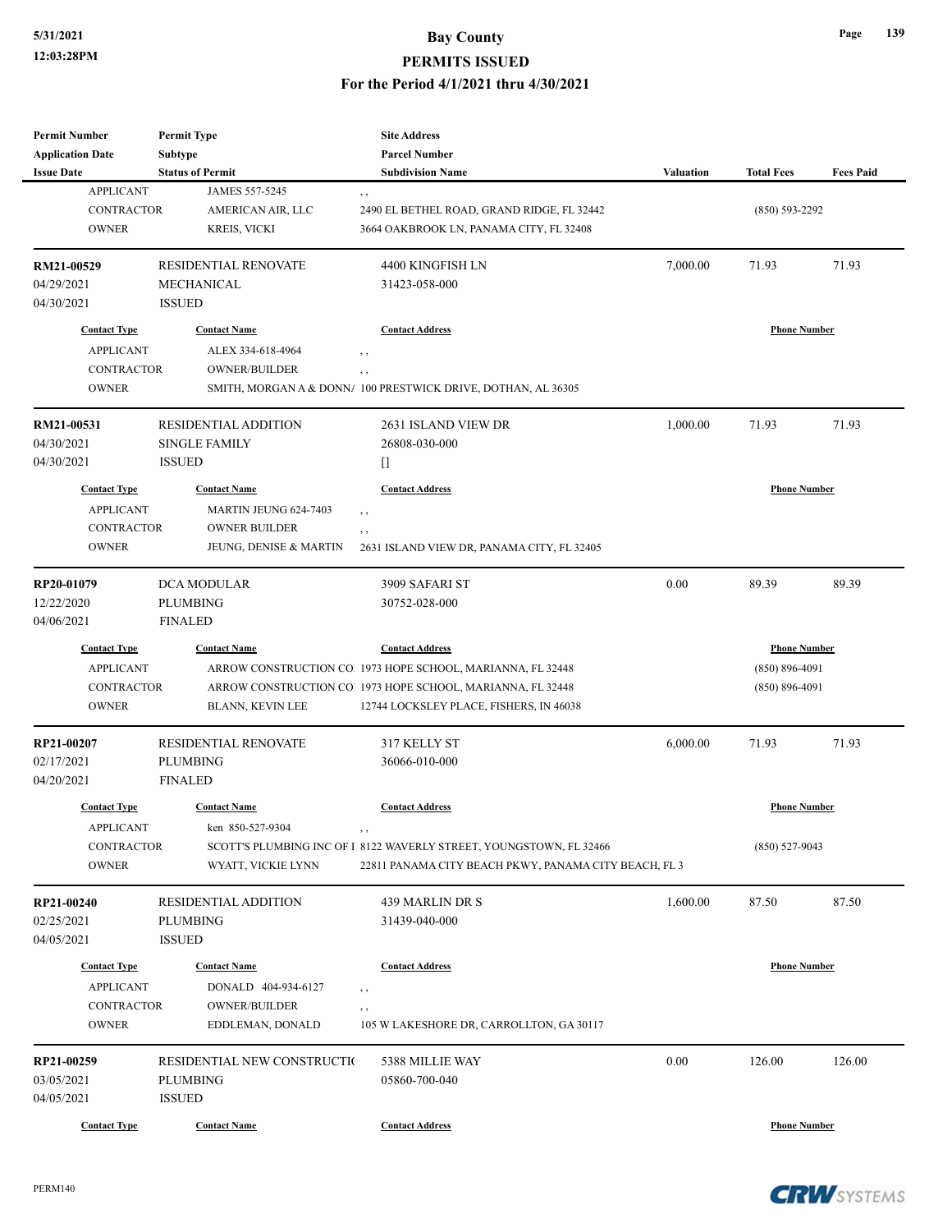#### **5/31/2021 Bay County PERMITS ISSUED**

#### **For the Period 4/1/2021 thru 4/30/2021**

| <b>Permit Number</b><br><b>Application Date</b>                              | <b>Permit Type</b><br><b>Subtype</b>                                                           | <b>Site Address</b><br><b>Parcel Number</b>                                                                                                                                                     |                  |                                                                 |                  |
|------------------------------------------------------------------------------|------------------------------------------------------------------------------------------------|-------------------------------------------------------------------------------------------------------------------------------------------------------------------------------------------------|------------------|-----------------------------------------------------------------|------------------|
| <b>Issue Date</b><br><b>APPLICANT</b><br><b>CONTRACTOR</b><br><b>OWNER</b>   | <b>Status of Permit</b><br>JAMES 557-5245<br>AMERICAN AIR, LLC<br><b>KREIS, VICKI</b>          | <b>Subdivision Name</b><br>, ,<br>2490 EL BETHEL ROAD, GRAND RIDGE, FL 32442<br>3664 OAKBROOK LN, PANAMA CITY, FL 32408                                                                         | <b>Valuation</b> | <b>Total Fees</b><br>$(850) 593 - 2292$                         | <b>Fees Paid</b> |
| RM21-00529<br>04/29/2021<br>04/30/2021                                       | <b>RESIDENTIAL RENOVATE</b><br>MECHANICAL<br><b>ISSUED</b>                                     | 4400 KINGFISH LN<br>31423-058-000                                                                                                                                                               | 7,000.00         | 71.93                                                           | 71.93            |
| <b>Contact Type</b>                                                          | <b>Contact Name</b>                                                                            | <b>Contact Address</b>                                                                                                                                                                          |                  | <b>Phone Number</b>                                             |                  |
| <b>APPLICANT</b><br><b>CONTRACTOR</b><br><b>OWNER</b>                        | ALEX 334-618-4964<br><b>OWNER/BUILDER</b>                                                      | $, \, , \,$<br>, ,<br>SMITH, MORGAN A & DONN/ 100 PRESTWICK DRIVE, DOTHAN, AL 36305                                                                                                             |                  |                                                                 |                  |
| RM21-00531<br>04/30/2021<br>04/30/2021                                       | <b>RESIDENTIAL ADDITION</b><br><b>SINGLE FAMILY</b><br><b>ISSUED</b>                           | 2631 ISLAND VIEW DR<br>26808-030-000<br>O                                                                                                                                                       | 1,000.00         | 71.93                                                           | 71.93            |
| <b>Contact Type</b><br><b>APPLICANT</b><br><b>CONTRACTOR</b><br><b>OWNER</b> | <b>Contact Name</b><br>MARTIN JEUNG 624-7403<br><b>OWNER BUILDER</b><br>JEUNG, DENISE & MARTIN | <b>Contact Address</b><br>$, \, , \,$<br>, ,<br>2631 ISLAND VIEW DR, PANAMA CITY, FL 32405                                                                                                      |                  | <b>Phone Number</b>                                             |                  |
| RP20-01079<br>12/22/2020<br>04/06/2021                                       | <b>DCA MODULAR</b><br><b>PLUMBING</b><br><b>FINALED</b>                                        | 3909 SAFARI ST<br>30752-028-000                                                                                                                                                                 | 0.00             | 89.39                                                           | 89.39            |
| <b>Contact Type</b><br><b>APPLICANT</b><br>CONTRACTOR<br><b>OWNER</b>        | <b>Contact Name</b><br>BLANN, KEVIN LEE                                                        | <b>Contact Address</b><br>ARROW CONSTRUCTION CO. 1973 HOPE SCHOOL, MARIANNA, FL 32448<br>ARROW CONSTRUCTION CO. 1973 HOPE SCHOOL, MARIANNA, FL 32448<br>12744 LOCKSLEY PLACE, FISHERS, IN 46038 |                  | <b>Phone Number</b><br>$(850) 896 - 4091$<br>$(850) 896 - 4091$ |                  |
| RP21-00207<br>02/17/2021<br>04/20/2021                                       | RESIDENTIAL RENOVATE<br><b>PLUMBING</b><br><b>FINALED</b>                                      | 317 KELLY ST<br>36066-010-000                                                                                                                                                                   | 6,000.00         | 71.93                                                           | 71.93            |
| <b>Contact Type</b><br><b>APPLICANT</b>                                      | <b>Contact Name</b><br>ken 850-527-9304                                                        | <b>Contact Address</b>                                                                                                                                                                          |                  | <b>Phone Number</b>                                             |                  |
| <b>CONTRACTOR</b><br><b>OWNER</b>                                            | WYATT, VICKIE LYNN                                                                             | , ,<br>SCOTT'S PLUMBING INC OF I 8122 WAVERLY STREET, YOUNGSTOWN, FL 32466<br>22811 PANAMA CITY BEACH PKWY, PANAMA CITY BEACH, FL 3                                                             |                  | $(850) 527 - 9043$                                              |                  |
| RP21-00240<br>02/25/2021<br>04/05/2021                                       | <b>RESIDENTIAL ADDITION</b><br><b>PLUMBING</b><br><b>ISSUED</b>                                | 439 MARLIN DR S<br>31439-040-000                                                                                                                                                                | 1,600.00         | 87.50                                                           | 87.50            |
| <b>Contact Type</b><br><b>APPLICANT</b><br>CONTRACTOR                        | <b>Contact Name</b><br>DONALD 404-934-6127<br><b>OWNER/BUILDER</b>                             | <b>Contact Address</b><br>, ,<br>, ,                                                                                                                                                            |                  | <b>Phone Number</b>                                             |                  |
| <b>OWNER</b>                                                                 | EDDLEMAN, DONALD                                                                               | 105 W LAKESHORE DR, CARROLLTON, GA 30117                                                                                                                                                        |                  |                                                                 |                  |
| RP21-00259<br>03/05/2021<br>04/05/2021                                       | RESIDENTIAL NEW CONSTRUCTIO<br><b>PLUMBING</b><br><b>ISSUED</b>                                | 5388 MILLIE WAY<br>05860-700-040                                                                                                                                                                | 0.00             | 126.00                                                          | 126.00           |
| <b>Contact Type</b>                                                          | <b>Contact Name</b>                                                                            | <b>Contact Address</b>                                                                                                                                                                          |                  | <b>Phone Number</b>                                             |                  |



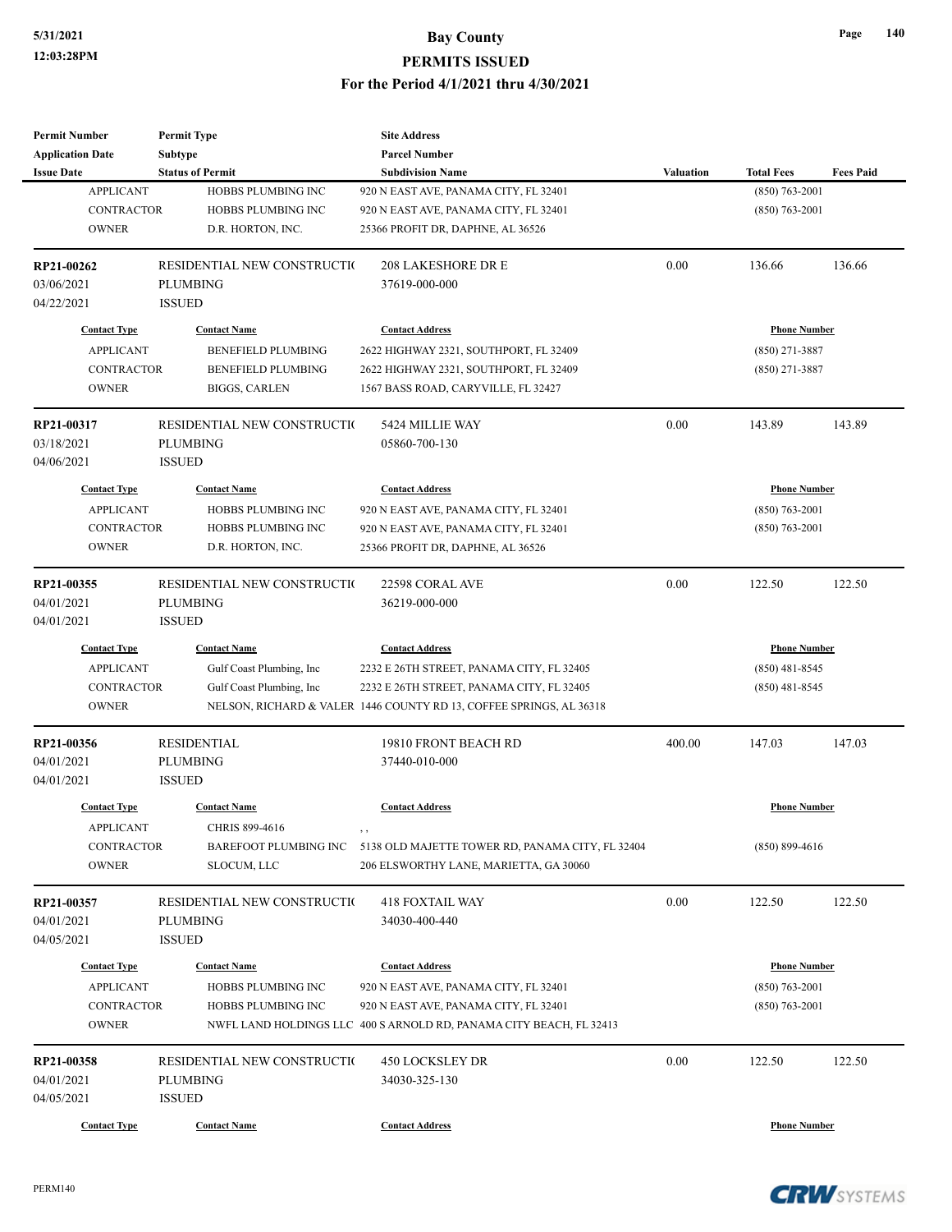| <b>Permit Number</b>       | <b>Permit Type</b>          | <b>Site Address</b>                                                                                          |                  |                     |                  |
|----------------------------|-----------------------------|--------------------------------------------------------------------------------------------------------------|------------------|---------------------|------------------|
| <b>Application Date</b>    | Subtype                     | <b>Parcel Number</b>                                                                                         |                  |                     |                  |
| <b>Issue Date</b>          | <b>Status of Permit</b>     | <b>Subdivision Name</b>                                                                                      | <b>Valuation</b> | <b>Total Fees</b>   | <b>Fees Paid</b> |
| <b>APPLICANT</b>           | HOBBS PLUMBING INC          | 920 N EAST AVE, PANAMA CITY, FL 32401                                                                        |                  | $(850)$ 763-2001    |                  |
| <b>CONTRACTOR</b>          | HOBBS PLUMBING INC          | 920 N EAST AVE, PANAMA CITY, FL 32401                                                                        |                  | $(850)$ 763-2001    |                  |
| <b>OWNER</b>               | D.R. HORTON, INC.           | 25366 PROFIT DR, DAPHNE, AL 36526                                                                            |                  |                     |                  |
| RP21-00262                 | RESIDENTIAL NEW CONSTRUCTIO | <b>208 LAKESHORE DR E</b>                                                                                    | 0.00             | 136.66              | 136.66           |
| 03/06/2021                 | <b>PLUMBING</b>             | 37619-000-000                                                                                                |                  |                     |                  |
| 04/22/2021                 | <b>ISSUED</b>               |                                                                                                              |                  |                     |                  |
| <b>Contact Type</b>        | <b>Contact Name</b>         | <b>Contact Address</b>                                                                                       |                  | <b>Phone Number</b> |                  |
| <b>APPLICANT</b>           | <b>BENEFIELD PLUMBING</b>   | 2622 HIGHWAY 2321, SOUTHPORT, FL 32409                                                                       |                  | $(850)$ 271-3887    |                  |
| <b>CONTRACTOR</b>          | <b>BENEFIELD PLUMBING</b>   | 2622 HIGHWAY 2321, SOUTHPORT, FL 32409                                                                       |                  | $(850)$ 271-3887    |                  |
| <b>OWNER</b>               | <b>BIGGS, CARLEN</b>        | 1567 BASS ROAD, CARYVILLE, FL 32427                                                                          |                  |                     |                  |
| RP21-00317                 | RESIDENTIAL NEW CONSTRUCTIO | 5424 MILLIE WAY                                                                                              | 0.00             | 143.89              | 143.89           |
| 03/18/2021                 | <b>PLUMBING</b>             | 05860-700-130                                                                                                |                  |                     |                  |
| 04/06/2021                 | <b>ISSUED</b>               |                                                                                                              |                  |                     |                  |
| <b>Contact Type</b>        | <b>Contact Name</b>         | <b>Contact Address</b>                                                                                       |                  | <b>Phone Number</b> |                  |
| <b>APPLICANT</b>           | HOBBS PLUMBING INC          | 920 N EAST AVE, PANAMA CITY, FL 32401                                                                        |                  | $(850)$ 763-2001    |                  |
| CONTRACTOR                 | HOBBS PLUMBING INC          | 920 N EAST AVE, PANAMA CITY, FL 32401                                                                        |                  | $(850)$ 763-2001    |                  |
| <b>OWNER</b>               | D.R. HORTON, INC.           | 25366 PROFIT DR, DAPHNE, AL 36526                                                                            |                  |                     |                  |
|                            |                             |                                                                                                              |                  |                     |                  |
| RP21-00355                 | RESIDENTIAL NEW CONSTRUCTIO | 22598 CORAL AVE                                                                                              | 0.00             | 122.50              | 122.50           |
| 04/01/2021                 | <b>PLUMBING</b>             | 36219-000-000                                                                                                |                  |                     |                  |
| 04/01/2021                 | <b>ISSUED</b>               |                                                                                                              |                  |                     |                  |
| <b>Contact Type</b>        | <b>Contact Name</b>         | <b>Contact Address</b>                                                                                       |                  | <b>Phone Number</b> |                  |
| <b>APPLICANT</b>           | Gulf Coast Plumbing, Inc    | 2232 E 26TH STREET, PANAMA CITY, FL 32405                                                                    |                  | $(850)$ 481-8545    |                  |
| CONTRACTOR                 | Gulf Coast Plumbing, Inc.   | 2232 E 26TH STREET, PANAMA CITY, FL 32405                                                                    |                  | $(850)$ 481-8545    |                  |
| <b>OWNER</b>               |                             | NELSON, RICHARD & VALER 1446 COUNTY RD 13, COFFEE SPRINGS, AL 36318                                          |                  |                     |                  |
| RP21-00356                 | <b>RESIDENTIAL</b>          | 19810 FRONT BEACH RD                                                                                         | 400.00           | 147.03              | 147.03           |
| 04/01/2021                 | <b>PLUMBING</b>             | 37440-010-000                                                                                                |                  |                     |                  |
| 04/01/2021                 | <b>ISSUED</b>               |                                                                                                              |                  |                     |                  |
| <b>Contact Type</b>        | <b>Contact Name</b>         | <b>Contact Address</b>                                                                                       |                  | <b>Phone Number</b> |                  |
| <b>APPLICANT</b>           | CHRIS 899-4616              | $, \, , \,$                                                                                                  |                  |                     |                  |
| CONTRACTOR                 | BAREFOOT PLUMBING INC       | 5138 OLD MAJETTE TOWER RD, PANAMA CITY, FL 32404                                                             |                  | $(850) 899 - 4616$  |                  |
| <b>OWNER</b>               | SLOCUM, LLC                 | 206 ELSWORTHY LANE, MARIETTA, GA 30060                                                                       |                  |                     |                  |
| RP21-00357                 | RESIDENTIAL NEW CONSTRUCTIO | <b>418 FOXTAIL WAY</b>                                                                                       | 0.00             | 122.50              | 122.50           |
| 04/01/2021                 | PLUMBING                    | 34030-400-440                                                                                                |                  |                     |                  |
| 04/05/2021                 | <b>ISSUED</b>               |                                                                                                              |                  |                     |                  |
| <b>Contact Type</b>        | <b>Contact Name</b>         | <b>Contact Address</b>                                                                                       |                  | <b>Phone Number</b> |                  |
|                            |                             |                                                                                                              |                  |                     |                  |
| <b>APPLICANT</b>           | HOBBS PLUMBING INC          | 920 N EAST AVE, PANAMA CITY, FL 32401                                                                        |                  | $(850) 763 - 2001$  |                  |
| CONTRACTOR<br><b>OWNER</b> | HOBBS PLUMBING INC          | 920 N EAST AVE, PANAMA CITY, FL 32401<br>NWFL LAND HOLDINGS LLC 400 S ARNOLD RD, PANAMA CITY BEACH, FL 32413 |                  | $(850)$ 763-2001    |                  |
|                            |                             |                                                                                                              |                  |                     |                  |
| RP21-00358                 | RESIDENTIAL NEW CONSTRUCTIO | <b>450 LOCKSLEY DR</b>                                                                                       | 0.00             | 122.50              | 122.50           |
| 04/01/2021                 | <b>PLUMBING</b>             | 34030-325-130                                                                                                |                  |                     |                  |
| 04/05/2021                 | <b>ISSUED</b>               |                                                                                                              |                  |                     |                  |
| <b>Contact Type</b>        | <b>Contact Name</b>         | <b>Contact Address</b>                                                                                       |                  | <b>Phone Number</b> |                  |

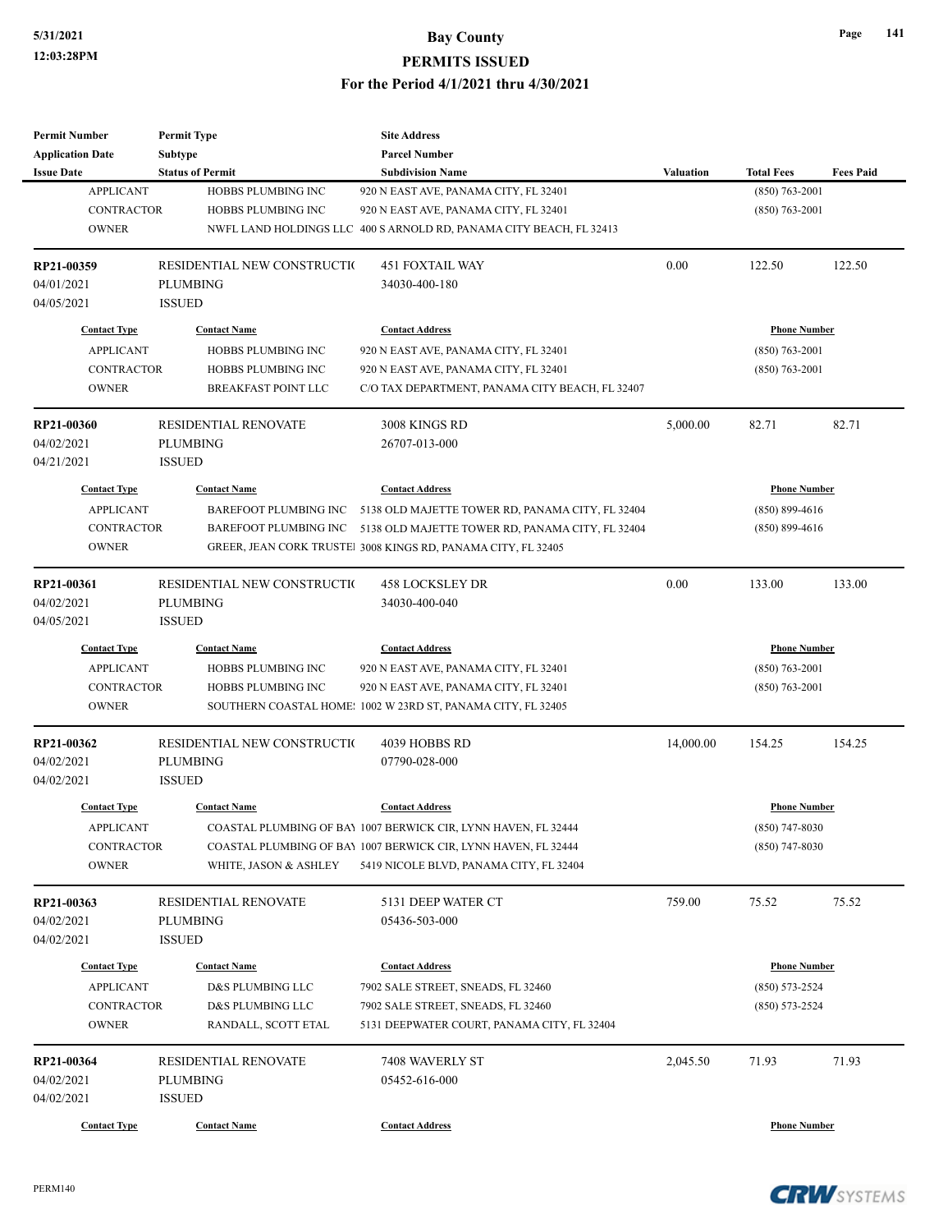| <b>Permit Number</b>    | <b>Permit Type</b>           | <b>Site Address</b>                                                 |                  |                     |                  |
|-------------------------|------------------------------|---------------------------------------------------------------------|------------------|---------------------|------------------|
| <b>Application Date</b> | <b>Subtype</b>               | <b>Parcel Number</b>                                                |                  |                     |                  |
| <b>Issue Date</b>       | <b>Status of Permit</b>      | <b>Subdivision Name</b>                                             | <b>Valuation</b> | <b>Total Fees</b>   | <b>Fees Paid</b> |
| <b>APPLICANT</b>        | HOBBS PLUMBING INC           | 920 N EAST AVE, PANAMA CITY, FL 32401                               |                  | $(850)$ 763-2001    |                  |
| <b>CONTRACTOR</b>       | HOBBS PLUMBING INC           | 920 N EAST AVE, PANAMA CITY, FL 32401                               |                  | $(850)$ 763-2001    |                  |
| <b>OWNER</b>            |                              | NWFL LAND HOLDINGS LLC 400 S ARNOLD RD, PANAMA CITY BEACH, FL 32413 |                  |                     |                  |
| RP21-00359              | RESIDENTIAL NEW CONSTRUCTIO  | <b>451 FOXTAIL WAY</b>                                              | 0.00             | 122.50              | 122.50           |
| 04/01/2021              | <b>PLUMBING</b>              | 34030-400-180                                                       |                  |                     |                  |
| 04/05/2021              | <b>ISSUED</b>                |                                                                     |                  |                     |                  |
| <b>Contact Type</b>     | <b>Contact Name</b>          | <b>Contact Address</b>                                              |                  | <b>Phone Number</b> |                  |
| <b>APPLICANT</b>        | HOBBS PLUMBING INC           | 920 N EAST AVE, PANAMA CITY, FL 32401                               |                  | $(850)$ 763-2001    |                  |
| <b>CONTRACTOR</b>       | HOBBS PLUMBING INC           | 920 N EAST AVE, PANAMA CITY, FL 32401                               |                  | $(850)$ 763-2001    |                  |
| <b>OWNER</b>            | BREAKFAST POINT LLC          | C/O TAX DEPARTMENT, PANAMA CITY BEACH, FL 32407                     |                  |                     |                  |
| RP21-00360              | <b>RESIDENTIAL RENOVATE</b>  | 3008 KINGS RD                                                       | 5,000.00         | 82.71               | 82.71            |
| 04/02/2021              | <b>PLUMBING</b>              | 26707-013-000                                                       |                  |                     |                  |
| 04/21/2021              | <b>ISSUED</b>                |                                                                     |                  |                     |                  |
| <b>Contact Type</b>     | <b>Contact Name</b>          | <b>Contact Address</b>                                              |                  | <b>Phone Number</b> |                  |
| <b>APPLICANT</b>        | <b>BAREFOOT PLUMBING INC</b> | 5138 OLD MAJETTE TOWER RD, PANAMA CITY, FL 32404                    |                  | $(850) 899 - 4616$  |                  |
| <b>CONTRACTOR</b>       | <b>BAREFOOT PLUMBING INC</b> | 5138 OLD MAJETTE TOWER RD, PANAMA CITY, FL 32404                    |                  | $(850) 899 - 4616$  |                  |
| <b>OWNER</b>            |                              |                                                                     |                  |                     |                  |
|                         |                              | GREER, JEAN CORK TRUSTE! 3008 KINGS RD, PANAMA CITY, FL 32405       |                  |                     |                  |
| RP21-00361              | RESIDENTIAL NEW CONSTRUCTIO  | <b>458 LOCKSLEY DR</b>                                              | 0.00             | 133.00              | 133.00           |
| 04/02/2021              | <b>PLUMBING</b>              | 34030-400-040                                                       |                  |                     |                  |
| 04/05/2021              | <b>ISSUED</b>                |                                                                     |                  |                     |                  |
| <b>Contact Type</b>     | <b>Contact Name</b>          | <b>Contact Address</b>                                              |                  | <b>Phone Number</b> |                  |
| <b>APPLICANT</b>        | HOBBS PLUMBING INC           | 920 N EAST AVE, PANAMA CITY, FL 32401                               |                  | $(850)$ 763-2001    |                  |
| <b>CONTRACTOR</b>       | HOBBS PLUMBING INC           | 920 N EAST AVE, PANAMA CITY, FL 32401                               |                  | $(850)$ 763-2001    |                  |
| <b>OWNER</b>            |                              | SOUTHERN COASTAL HOME: 1002 W 23RD ST, PANAMA CITY, FL 32405        |                  |                     |                  |
| RP21-00362              | RESIDENTIAL NEW CONSTRUCTIO  | 4039 HOBBS RD                                                       | 14,000.00        | 154.25              | 154.25           |
| 04/02/2021              | <b>PLUMBING</b>              | 07790-028-000                                                       |                  |                     |                  |
| 04/02/2021              | <b>ISSUED</b>                |                                                                     |                  |                     |                  |
| <b>Contact Type</b>     | <b>Contact Name</b>          | <b>Contact Address</b>                                              |                  | <b>Phone Number</b> |                  |
| <b>APPLICANT</b>        |                              | COASTAL PLUMBING OF BAY 1007 BERWICK CIR, LYNN HAVEN, FL 32444      |                  | $(850)$ 747-8030    |                  |
| CONTRACTOR              |                              | COASTAL PLUMBING OF BAY 1007 BERWICK CIR, LYNN HAVEN, FL 32444      |                  | $(850)$ 747-8030    |                  |
| <b>OWNER</b>            | WHITE, JASON & ASHLEY        | 5419 NICOLE BLVD, PANAMA CITY, FL 32404                             |                  |                     |                  |
| RP21-00363              | RESIDENTIAL RENOVATE         | 5131 DEEP WATER CT                                                  | 759.00           | 75.52               | 75.52            |
| 04/02/2021              | PLUMBING                     | 05436-503-000                                                       |                  |                     |                  |
| 04/02/2021              | <b>ISSUED</b>                |                                                                     |                  |                     |                  |
| <b>Contact Type</b>     | <b>Contact Name</b>          | <b>Contact Address</b>                                              |                  | <b>Phone Number</b> |                  |
| <b>APPLICANT</b>        | D&S PLUMBING LLC             | 7902 SALE STREET, SNEADS, FL 32460                                  |                  | $(850) 573 - 2524$  |                  |
| <b>CONTRACTOR</b>       | D&S PLUMBING LLC             | 7902 SALE STREET, SNEADS, FL 32460                                  |                  | $(850) 573 - 2524$  |                  |
| <b>OWNER</b>            | RANDALL, SCOTT ETAL          | 5131 DEEPWATER COURT, PANAMA CITY, FL 32404                         |                  |                     |                  |
|                         |                              |                                                                     |                  |                     |                  |
| RP21-00364              | RESIDENTIAL RENOVATE         | 7408 WAVERLY ST                                                     | 2,045.50         | 71.93               | 71.93            |
| 04/02/2021              | <b>PLUMBING</b>              | 05452-616-000                                                       |                  |                     |                  |
| 04/02/2021              | <b>ISSUED</b>                |                                                                     |                  |                     |                  |
| <b>Contact Type</b>     | <b>Contact Name</b>          | <b>Contact Address</b>                                              |                  | <b>Phone Number</b> |                  |

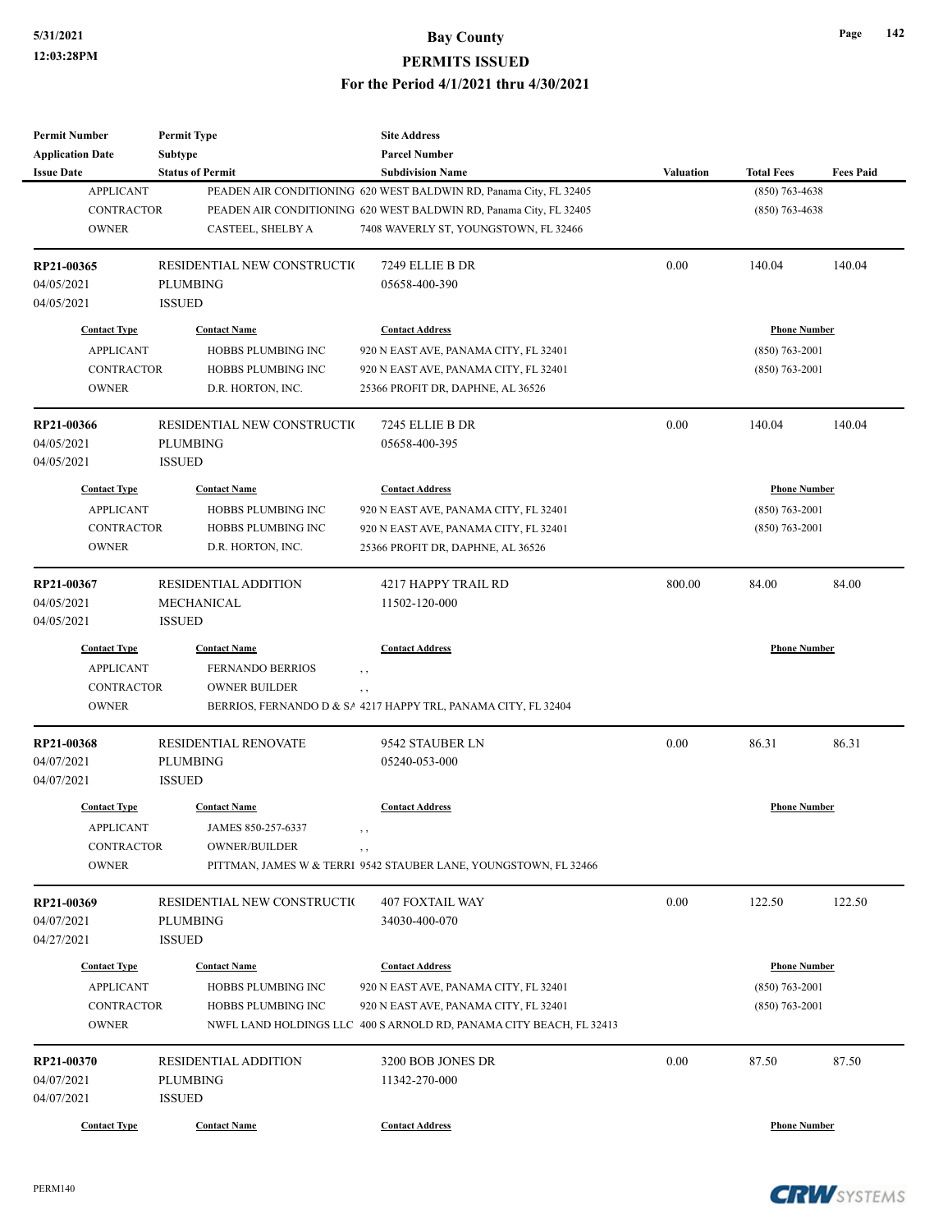| <b>Permit Number</b>     | <b>Permit Type</b>                             | <b>Site Address</b>                                                 |           |                     |                  |
|--------------------------|------------------------------------------------|---------------------------------------------------------------------|-----------|---------------------|------------------|
| <b>Application Date</b>  | <b>Subtype</b>                                 | <b>Parcel Number</b>                                                |           |                     |                  |
| <b>Issue Date</b>        | <b>Status of Permit</b>                        | <b>Subdivision Name</b>                                             | Valuation | <b>Total Fees</b>   | <b>Fees Paid</b> |
| <b>APPLICANT</b>         |                                                | PEADEN AIR CONDITIONING 620 WEST BALDWIN RD, Panama City, FL 32405  |           | $(850)$ 763-4638    |                  |
| <b>CONTRACTOR</b>        |                                                | PEADEN AIR CONDITIONING 620 WEST BALDWIN RD, Panama City, FL 32405  |           | $(850)$ 763-4638    |                  |
| <b>OWNER</b>             | CASTEEL, SHELBY A                              | 7408 WAVERLY ST, YOUNGSTOWN, FL 32466                               |           |                     |                  |
| RP21-00365               | RESIDENTIAL NEW CONSTRUCTIO                    | 7249 ELLIE B DR                                                     | 0.00      | 140.04              | 140.04           |
| 04/05/2021               | <b>PLUMBING</b>                                | 05658-400-390                                                       |           |                     |                  |
| 04/05/2021               | <b>ISSUED</b>                                  |                                                                     |           |                     |                  |
| <b>Contact Type</b>      | <b>Contact Name</b>                            | <b>Contact Address</b>                                              |           | <b>Phone Number</b> |                  |
| <b>APPLICANT</b>         | HOBBS PLUMBING INC                             | 920 N EAST AVE, PANAMA CITY, FL 32401                               |           | $(850)$ 763-2001    |                  |
| <b>CONTRACTOR</b>        | HOBBS PLUMBING INC                             | 920 N EAST AVE, PANAMA CITY, FL 32401                               |           | $(850)$ 763-2001    |                  |
| <b>OWNER</b>             | D.R. HORTON, INC.                              | 25366 PROFIT DR, DAPHNE, AL 36526                                   |           |                     |                  |
| RP21-00366               | RESIDENTIAL NEW CONSTRUCTIO                    | 7245 ELLIE B DR                                                     | 0.00      | 140.04              | 140.04           |
| 04/05/2021               | <b>PLUMBING</b>                                | 05658-400-395                                                       |           |                     |                  |
| 04/05/2021               | <b>ISSUED</b>                                  |                                                                     |           |                     |                  |
| <b>Contact Type</b>      | <b>Contact Name</b>                            | <b>Contact Address</b>                                              |           | <b>Phone Number</b> |                  |
| <b>APPLICANT</b>         | HOBBS PLUMBING INC                             | 920 N EAST AVE, PANAMA CITY, FL 32401                               |           | $(850)$ 763-2001    |                  |
| <b>CONTRACTOR</b>        | HOBBS PLUMBING INC                             | 920 N EAST AVE, PANAMA CITY, FL 32401                               |           | $(850)$ 763-2001    |                  |
| <b>OWNER</b>             | D.R. HORTON, INC.                              | 25366 PROFIT DR, DAPHNE, AL 36526                                   |           |                     |                  |
|                          |                                                |                                                                     |           |                     |                  |
| RP21-00367               | <b>RESIDENTIAL ADDITION</b>                    | 4217 HAPPY TRAIL RD                                                 | 800.00    | 84.00               | 84.00            |
| 04/05/2021               | MECHANICAL                                     | 11502-120-000                                                       |           |                     |                  |
| 04/05/2021               | <b>ISSUED</b>                                  |                                                                     |           |                     |                  |
| <b>Contact Type</b>      | <b>Contact Name</b>                            | <b>Contact Address</b>                                              |           | <b>Phone Number</b> |                  |
| <b>APPLICANT</b>         | <b>FERNANDO BERRIOS</b>                        | , ,                                                                 |           |                     |                  |
| <b>CONTRACTOR</b>        | <b>OWNER BUILDER</b>                           | , ,                                                                 |           |                     |                  |
| <b>OWNER</b>             |                                                | BERRIOS, FERNANDO D & SA 4217 HAPPY TRL, PANAMA CITY, FL 32404      |           |                     |                  |
| RP21-00368               | RESIDENTIAL RENOVATE                           | 9542 STAUBER LN                                                     | 0.00      | 86.31               | 86.31            |
| 04/07/2021               | <b>PLUMBING</b>                                | 05240-053-000                                                       |           |                     |                  |
| 04/07/2021               | <b>ISSUED</b>                                  |                                                                     |           |                     |                  |
| <b>Contact Type</b>      | <b>Contact Name</b>                            | <b>Contact Address</b>                                              |           | <b>Phone Number</b> |                  |
| <b>APPLICANT</b>         | JAMES 850-257-6337                             |                                                                     |           |                     |                  |
| <b>CONTRACTOR</b>        | OWNER/BUILDER                                  | $, \, , \,$                                                         |           |                     |                  |
| <b>OWNER</b>             |                                                | PITTMAN, JAMES W & TERRI 9542 STAUBER LANE, YOUNGSTOWN, FL 32466    |           |                     |                  |
|                          |                                                |                                                                     | 0.00      |                     |                  |
| RP21-00369<br>04/07/2021 | RESIDENTIAL NEW CONSTRUCTIO<br><b>PLUMBING</b> | 407 FOXTAIL WAY<br>34030-400-070                                    |           | 122.50              | 122.50           |
|                          |                                                |                                                                     |           |                     |                  |
| 04/27/2021               | <b>ISSUED</b>                                  |                                                                     |           |                     |                  |
| <b>Contact Type</b>      | <b>Contact Name</b>                            | <b>Contact Address</b>                                              |           | <b>Phone Number</b> |                  |
| <b>APPLICANT</b>         | HOBBS PLUMBING INC                             | 920 N EAST AVE, PANAMA CITY, FL 32401                               |           | $(850)$ 763-2001    |                  |
| CONTRACTOR               | HOBBS PLUMBING INC                             | 920 N EAST AVE, PANAMA CITY, FL 32401                               |           | $(850) 763 - 2001$  |                  |
| <b>OWNER</b>             |                                                | NWFL LAND HOLDINGS LLC 400 S ARNOLD RD, PANAMA CITY BEACH, FL 32413 |           |                     |                  |
| RP21-00370               | <b>RESIDENTIAL ADDITION</b>                    | 3200 BOB JONES DR                                                   | 0.00      | 87.50               | 87.50            |
| 04/07/2021               | <b>PLUMBING</b>                                | 11342-270-000                                                       |           |                     |                  |
| 04/07/2021               | <b>ISSUED</b>                                  |                                                                     |           |                     |                  |
| <b>Contact Type</b>      | <b>Contact Name</b>                            | <b>Contact Address</b>                                              |           | <b>Phone Number</b> |                  |
|                          |                                                |                                                                     |           |                     |                  |





**CRW**SYSTEMS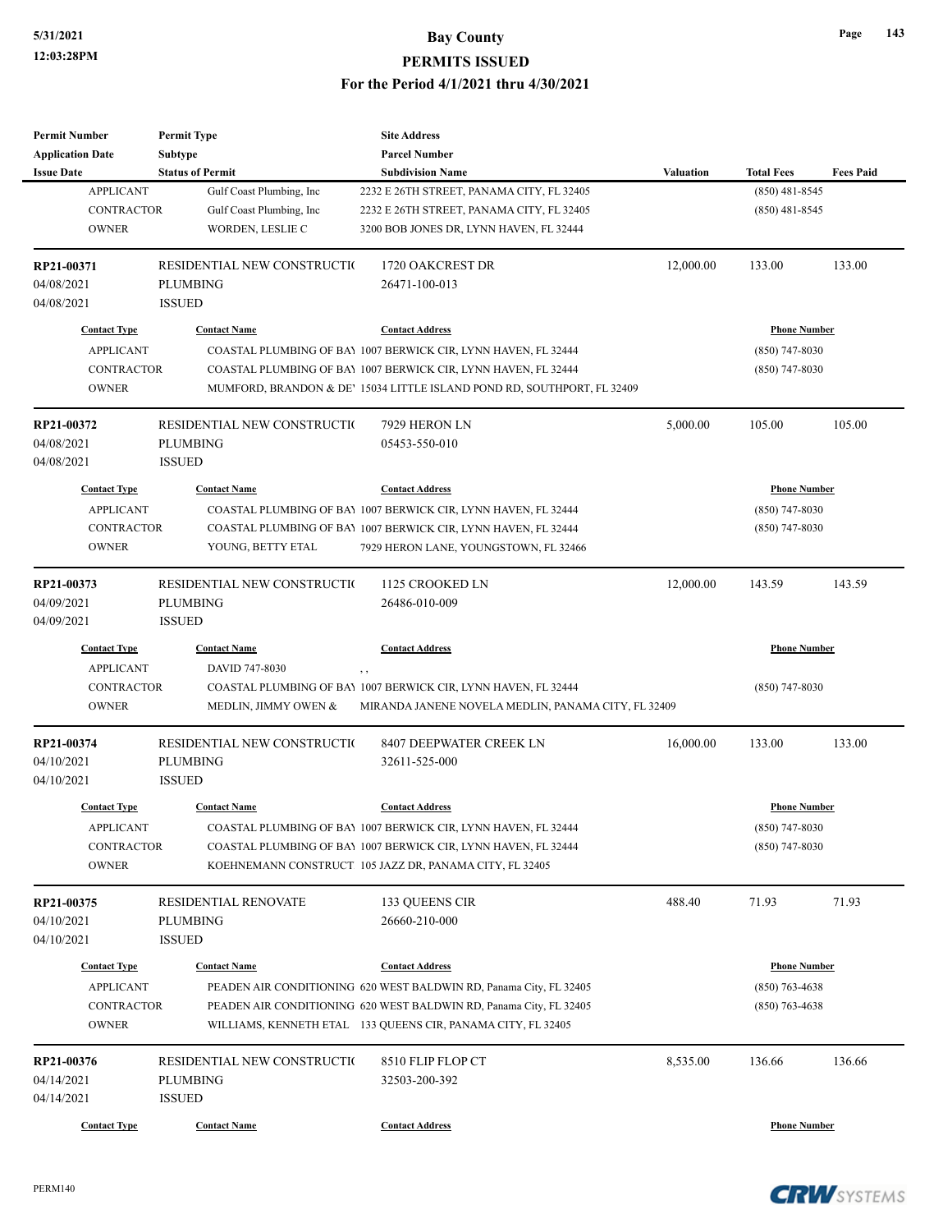| <b>Permit Number</b>    | <b>Permit Type</b>          | <b>Site Address</b>                                                     |                  |                     |                  |
|-------------------------|-----------------------------|-------------------------------------------------------------------------|------------------|---------------------|------------------|
| <b>Application Date</b> | Subtype                     | <b>Parcel Number</b>                                                    |                  |                     |                  |
| <b>Issue Date</b>       | <b>Status of Permit</b>     | <b>Subdivision Name</b>                                                 | <b>Valuation</b> | <b>Total Fees</b>   | <b>Fees Paid</b> |
| <b>APPLICANT</b>        | Gulf Coast Plumbing, Inc    | 2232 E 26TH STREET, PANAMA CITY, FL 32405                               |                  | $(850)$ 481-8545    |                  |
| <b>CONTRACTOR</b>       | Gulf Coast Plumbing, Inc.   | 2232 E 26TH STREET, PANAMA CITY, FL 32405                               |                  | $(850)$ 481-8545    |                  |
| <b>OWNER</b>            | WORDEN, LESLIE C            | 3200 BOB JONES DR, LYNN HAVEN, FL 32444                                 |                  |                     |                  |
| RP21-00371              | RESIDENTIAL NEW CONSTRUCTIO | 1720 OAKCREST DR                                                        | 12,000.00        | 133.00              | 133.00           |
| 04/08/2021              | <b>PLUMBING</b>             | 26471-100-013                                                           |                  |                     |                  |
| 04/08/2021              | <b>ISSUED</b>               |                                                                         |                  |                     |                  |
| <b>Contact Type</b>     | <b>Contact Name</b>         | <b>Contact Address</b>                                                  |                  | <b>Phone Number</b> |                  |
| <b>APPLICANT</b>        |                             | COASTAL PLUMBING OF BAY 1007 BERWICK CIR, LYNN HAVEN, FL 32444          |                  | $(850)$ 747-8030    |                  |
| <b>CONTRACTOR</b>       |                             | COASTAL PLUMBING OF BAY 1007 BERWICK CIR, LYNN HAVEN, FL 32444          |                  | $(850)$ 747-8030    |                  |
| <b>OWNER</b>            |                             | MUMFORD, BRANDON & DE' 15034 LITTLE ISLAND POND RD, SOUTHPORT, FL 32409 |                  |                     |                  |
| RP21-00372              | RESIDENTIAL NEW CONSTRUCTIO | 7929 HERON LN                                                           | 5,000.00         | 105.00              | 105.00           |
| 04/08/2021              | <b>PLUMBING</b>             | 05453-550-010                                                           |                  |                     |                  |
| 04/08/2021              | <b>ISSUED</b>               |                                                                         |                  |                     |                  |
| <b>Contact Type</b>     | <b>Contact Name</b>         | <b>Contact Address</b>                                                  |                  | <b>Phone Number</b> |                  |
| <b>APPLICANT</b>        |                             | COASTAL PLUMBING OF BAY 1007 BERWICK CIR, LYNN HAVEN, FL 32444          |                  | $(850)$ 747-8030    |                  |
| <b>CONTRACTOR</b>       |                             | COASTAL PLUMBING OF BAY 1007 BERWICK CIR, LYNN HAVEN, FL 32444          |                  | (850) 747-8030      |                  |
| <b>OWNER</b>            | YOUNG, BETTY ETAL           | 7929 HERON LANE, YOUNGSTOWN, FL 32466                                   |                  |                     |                  |
|                         |                             |                                                                         |                  |                     |                  |
| RP21-00373              | RESIDENTIAL NEW CONSTRUCTIO | 1125 CROOKED LN                                                         | 12,000.00        | 143.59              | 143.59           |
| 04/09/2021              | <b>PLUMBING</b>             | 26486-010-009                                                           |                  |                     |                  |
| 04/09/2021              | <b>ISSUED</b>               |                                                                         |                  |                     |                  |
| <b>Contact Type</b>     | <b>Contact Name</b>         | <b>Contact Address</b>                                                  |                  | <b>Phone Number</b> |                  |
| <b>APPLICANT</b>        | DAVID 747-8030              | , ,                                                                     |                  |                     |                  |
| <b>CONTRACTOR</b>       |                             | COASTAL PLUMBING OF BAY 1007 BERWICK CIR, LYNN HAVEN, FL 32444          |                  | $(850)$ 747-8030    |                  |
| <b>OWNER</b>            | MEDLIN, JIMMY OWEN &        | MIRANDA JANENE NOVELA MEDLIN, PANAMA CITY, FL 32409                     |                  |                     |                  |
| RP21-00374              | RESIDENTIAL NEW CONSTRUCTIO | 8407 DEEPWATER CREEK LN                                                 | 16,000.00        | 133.00              | 133.00           |
| 04/10/2021              | PLUMBING                    | 32611-525-000                                                           |                  |                     |                  |
| 04/10/2021              | <b>ISSUED</b>               |                                                                         |                  |                     |                  |
| <b>Contact Type</b>     | <b>Contact Name</b>         | <b>Contact Address</b>                                                  |                  | <b>Phone Number</b> |                  |
| <b>APPLICANT</b>        |                             | COASTAL PLUMBING OF BAY 1007 BERWICK CIR, LYNN HAVEN, FL 32444          |                  | $(850)$ 747-8030    |                  |
| CONTRACTOR              |                             | COASTAL PLUMBING OF BAY 1007 BERWICK CIR, LYNN HAVEN, FL 32444          |                  | (850) 747-8030      |                  |
| <b>OWNER</b>            |                             | KOEHNEMANN CONSTRUCT 105 JAZZ DR, PANAMA CITY, FL 32405                 |                  |                     |                  |
| RP21-00375              | RESIDENTIAL RENOVATE        | 133 QUEENS CIR                                                          | 488.40           | 71.93               | 71.93            |
| 04/10/2021              | <b>PLUMBING</b>             | 26660-210-000                                                           |                  |                     |                  |
| 04/10/2021              | <b>ISSUED</b>               |                                                                         |                  |                     |                  |
|                         |                             |                                                                         |                  |                     |                  |
| <b>Contact Type</b>     | <b>Contact Name</b>         | <b>Contact Address</b>                                                  |                  | <b>Phone Number</b> |                  |
| <b>APPLICANT</b>        |                             | PEADEN AIR CONDITIONING 620 WEST BALDWIN RD, Panama City, FL 32405      |                  | $(850)$ 763-4638    |                  |
| CONTRACTOR              |                             | PEADEN AIR CONDITIONING 620 WEST BALDWIN RD, Panama City, FL 32405      |                  | $(850)$ 763-4638    |                  |
| <b>OWNER</b>            |                             | WILLIAMS, KENNETH ETAL 133 QUEENS CIR, PANAMA CITY, FL 32405            |                  |                     |                  |
| RP21-00376              | RESIDENTIAL NEW CONSTRUCTIO | 8510 FLIP FLOP CT                                                       | 8,535.00         | 136.66              | 136.66           |
| 04/14/2021              | <b>PLUMBING</b>             | 32503-200-392                                                           |                  |                     |                  |
| 04/14/2021              | <b>ISSUED</b>               |                                                                         |                  |                     |                  |
|                         |                             | <b>Contact Address</b>                                                  |                  | <b>Phone Number</b> |                  |
| <b>Contact Type</b>     | <b>Contact Name</b>         |                                                                         |                  |                     |                  |

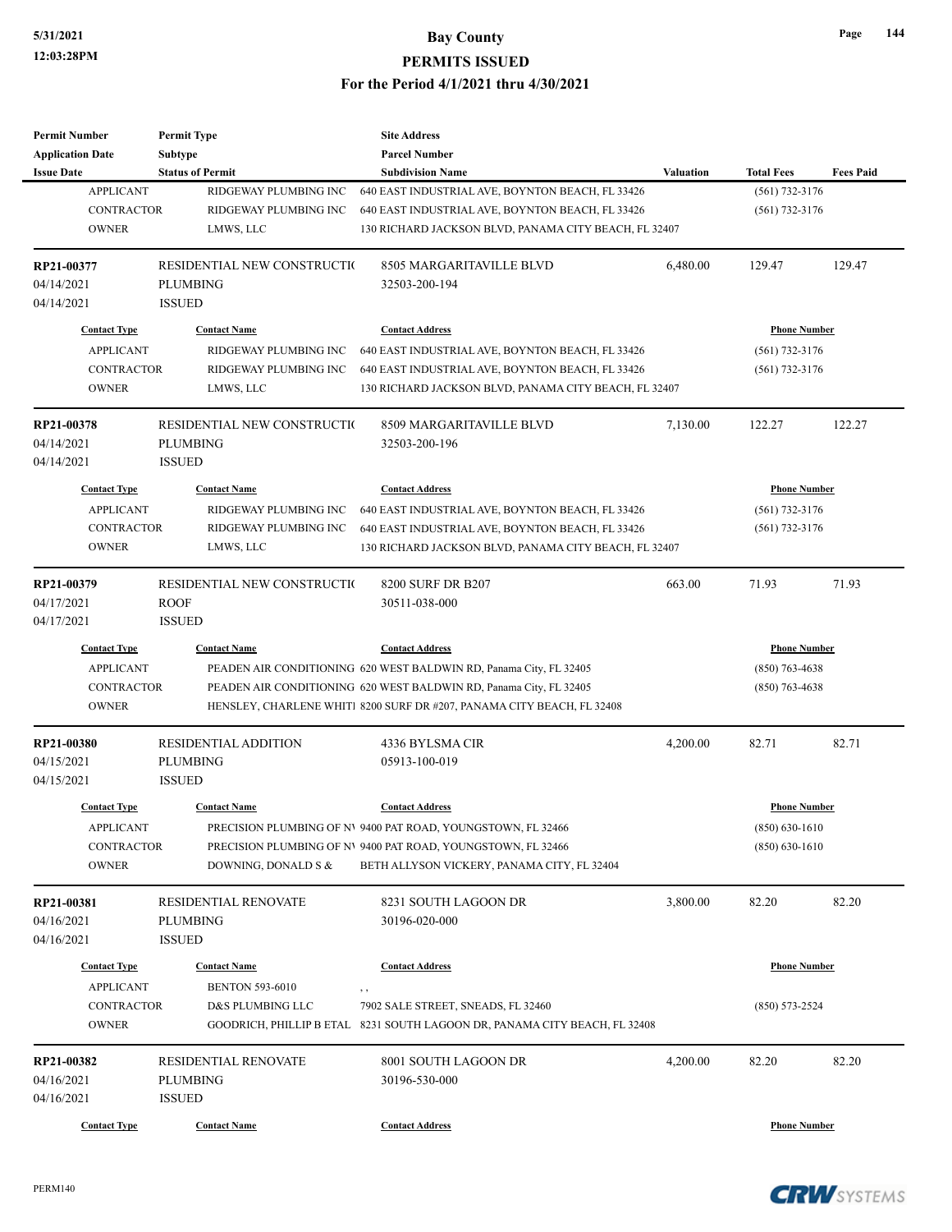| <b>Permit Number</b>                       | <b>Permit Type</b>          | <b>Site Address</b>                                                        |                  |                     |                  |  |
|--------------------------------------------|-----------------------------|----------------------------------------------------------------------------|------------------|---------------------|------------------|--|
| <b>Application Date</b>                    | <b>Subtype</b>              | <b>Parcel Number</b>                                                       |                  |                     |                  |  |
| <b>Issue Date</b>                          | <b>Status of Permit</b>     | <b>Subdivision Name</b>                                                    | <b>Valuation</b> | <b>Total Fees</b>   | <b>Fees Paid</b> |  |
| <b>APPLICANT</b>                           | RIDGEWAY PLUMBING INC       | 640 EAST INDUSTRIAL AVE, BOYNTON BEACH, FL 33426                           |                  | $(561) 732 - 3176$  |                  |  |
| <b>CONTRACTOR</b>                          | RIDGEWAY PLUMBING INC       | 640 EAST INDUSTRIAL AVE, BOYNTON BEACH, FL 33426                           |                  | $(561)$ 732-3176    |                  |  |
| <b>OWNER</b>                               | LMWS, LLC                   | 130 RICHARD JACKSON BLVD, PANAMA CITY BEACH, FL 32407                      |                  |                     |                  |  |
| RP21-00377                                 | RESIDENTIAL NEW CONSTRUCTIO | 8505 MARGARITAVILLE BLVD                                                   | 6,480.00         | 129.47              | 129.47           |  |
| 04/14/2021                                 | <b>PLUMBING</b>             | 32503-200-194                                                              |                  |                     |                  |  |
| 04/14/2021                                 | <b>ISSUED</b>               |                                                                            |                  |                     |                  |  |
| <b>Contact Type</b>                        | <b>Contact Name</b>         | <b>Contact Address</b>                                                     |                  | <b>Phone Number</b> |                  |  |
| <b>APPLICANT</b>                           | RIDGEWAY PLUMBING INC       | 640 EAST INDUSTRIAL AVE, BOYNTON BEACH, FL 33426                           |                  | $(561) 732 - 3176$  |                  |  |
| CONTRACTOR                                 | RIDGEWAY PLUMBING INC       | 640 EAST INDUSTRIAL AVE, BOYNTON BEACH, FL 33426                           |                  | $(561)$ 732-3176    |                  |  |
| <b>OWNER</b>                               | LMWS, LLC                   | 130 RICHARD JACKSON BLVD, PANAMA CITY BEACH, FL 32407                      |                  |                     |                  |  |
| RP21-00378                                 | RESIDENTIAL NEW CONSTRUCTIO | 8509 MARGARITAVILLE BLVD                                                   | 7,130.00         | 122.27              | 122.27           |  |
| 04/14/2021                                 | <b>PLUMBING</b>             | 32503-200-196                                                              |                  |                     |                  |  |
| 04/14/2021                                 | <b>ISSUED</b>               |                                                                            |                  |                     |                  |  |
| <b>Contact Type</b>                        | <b>Contact Name</b>         | <b>Contact Address</b>                                                     |                  | <b>Phone Number</b> |                  |  |
| <b>APPLICANT</b>                           | RIDGEWAY PLUMBING INC       | 640 EAST INDUSTRIAL AVE, BOYNTON BEACH, FL 33426                           |                  | $(561)$ 732-3176    |                  |  |
| <b>CONTRACTOR</b>                          | RIDGEWAY PLUMBING INC       | 640 EAST INDUSTRIAL AVE, BOYNTON BEACH, FL 33426                           |                  | $(561)$ 732-3176    |                  |  |
| <b>OWNER</b>                               | LMWS, LLC                   | 130 RICHARD JACKSON BLVD, PANAMA CITY BEACH, FL 32407                      |                  |                     |                  |  |
|                                            |                             |                                                                            |                  |                     |                  |  |
| RP21-00379                                 | RESIDENTIAL NEW CONSTRUCTIO | 8200 SURF DR B207                                                          | 663.00           | 71.93               | 71.93            |  |
| 04/17/2021                                 | <b>ROOF</b>                 | 30511-038-000                                                              |                  |                     |                  |  |
| 04/17/2021                                 | <b>ISSUED</b>               |                                                                            |                  |                     |                  |  |
| <b>Contact Type</b>                        | <b>Contact Name</b>         | <b>Contact Address</b>                                                     |                  | <b>Phone Number</b> |                  |  |
| <b>APPLICANT</b>                           |                             | PEADEN AIR CONDITIONING 620 WEST BALDWIN RD, Panama City, FL 32405         |                  | $(850)$ 763-4638    |                  |  |
| <b>CONTRACTOR</b>                          |                             | PEADEN AIR CONDITIONING 620 WEST BALDWIN RD, Panama City, FL 32405         |                  | $(850)$ 763-4638    |                  |  |
| <b>OWNER</b>                               |                             | HENSLEY, CHARLENE WHITI 8200 SURF DR #207, PANAMA CITY BEACH, FL 32408     |                  |                     |                  |  |
| RP21-00380                                 | <b>RESIDENTIAL ADDITION</b> | 4336 BYLSMA CIR                                                            | 4,200.00         | 82.71               | 82.71            |  |
| 04/15/2021                                 | <b>PLUMBING</b>             | 05913-100-019                                                              |                  |                     |                  |  |
| 04/15/2021                                 | <b>ISSUED</b>               |                                                                            |                  |                     |                  |  |
| <b>Contact Type</b>                        | <b>Contact Name</b>         | <b>Contact Address</b>                                                     |                  | <b>Phone Number</b> |                  |  |
| <b>APPLICANT</b>                           |                             | PRECISION PLUMBING OF NV 9400 PAT ROAD, YOUNGSTOWN, FL 32466               |                  | $(850) 630 - 1610$  |                  |  |
| CONTRACTOR                                 |                             | PRECISION PLUMBING OF NV 9400 PAT ROAD, YOUNGSTOWN, FL 32466               |                  | $(850) 630 - 1610$  |                  |  |
| <b>OWNER</b>                               | DOWNING, DONALD S &         | BETH ALLYSON VICKERY, PANAMA CITY, FL 32404                                |                  |                     |                  |  |
| RP21-00381                                 | RESIDENTIAL RENOVATE        | 8231 SOUTH LAGOON DR                                                       | 3,800.00         | 82.20               | 82.20            |  |
| 04/16/2021                                 | <b>PLUMBING</b>             | 30196-020-000                                                              |                  |                     |                  |  |
| 04/16/2021                                 | <b>ISSUED</b>               |                                                                            |                  |                     |                  |  |
| <b>Contact Type</b>                        | <b>Contact Name</b>         | <b>Contact Address</b>                                                     |                  |                     |                  |  |
| <b>APPLICANT</b><br><b>BENTON 593-6010</b> |                             | , ,                                                                        |                  | <b>Phone Number</b> |                  |  |
| CONTRACTOR                                 | D&S PLUMBING LLC            | 7902 SALE STREET, SNEADS, FL 32460                                         |                  | $(850) 573 - 2524$  |                  |  |
| <b>OWNER</b>                               |                             | GOODRICH, PHILLIP B ETAL 8231 SOUTH LAGOON DR, PANAMA CITY BEACH, FL 32408 |                  |                     |                  |  |
| RP21-00382                                 | RESIDENTIAL RENOVATE        | 8001 SOUTH LAGOON DR                                                       | 4,200.00         | 82.20               | 82.20            |  |
| 04/16/2021                                 | PLUMBING                    | 30196-530-000                                                              |                  |                     |                  |  |
| 04/16/2021                                 | <b>ISSUED</b>               |                                                                            |                  |                     |                  |  |
|                                            |                             |                                                                            |                  |                     |                  |  |
| <b>Contact Type</b>                        | <b>Contact Name</b>         | <b>Contact Address</b>                                                     |                  | <b>Phone Number</b> |                  |  |

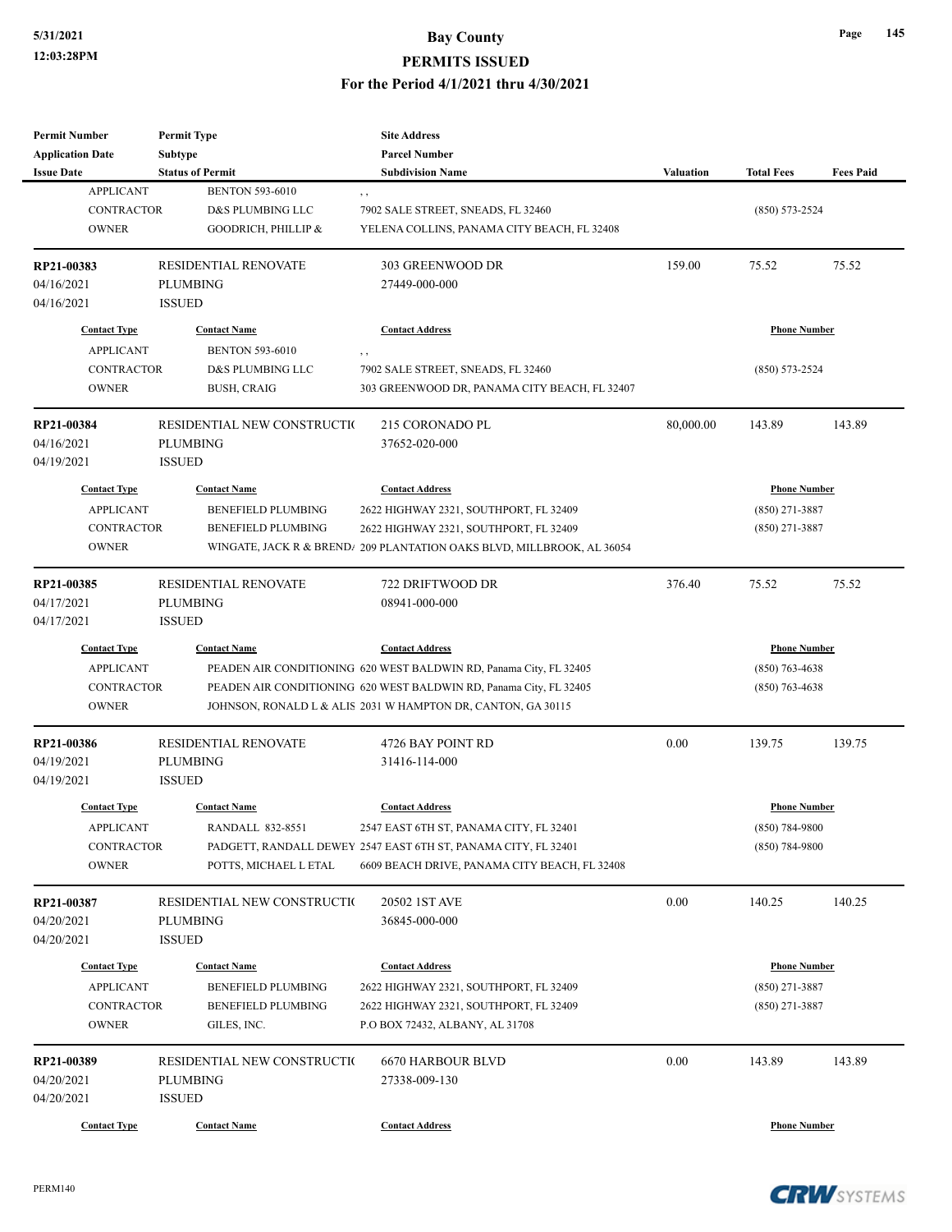| <b>Subtype</b><br><b>Parcel Number</b><br><b>Status of Permit</b><br><b>Subdivision Name</b><br><b>Valuation</b><br><b>Total Fees</b><br><b>Fees Paid</b><br><b>APPLICANT</b><br><b>BENTON 593-6010</b><br>, ,<br>CONTRACTOR<br>D&S PLUMBING LLC<br>7902 SALE STREET, SNEADS, FL 32460<br>$(850) 573 - 2524$<br><b>OWNER</b><br>GOODRICH, PHILLIP &<br>YELENA COLLINS, PANAMA CITY BEACH, FL 32408<br>RESIDENTIAL RENOVATE<br>303 GREENWOOD DR<br>159.00<br>75.52<br>75.52<br><b>PLUMBING</b><br>27449-000-000<br><b>ISSUED</b><br><b>Contact Address</b><br><b>Phone Number</b><br><b>Contact Type</b><br><b>Contact Name</b><br><b>APPLICANT</b><br><b>BENTON 593-6010</b><br>, ,<br>CONTRACTOR<br>D&S PLUMBING LLC<br>7902 SALE STREET, SNEADS, FL 32460<br>$(850) 573 - 2524$<br><b>OWNER</b><br><b>BUSH, CRAIG</b><br>303 GREENWOOD DR, PANAMA CITY BEACH, FL 32407<br>80,000.00<br>143.89<br>RESIDENTIAL NEW CONSTRUCTIO<br>215 CORONADO PL<br>143.89<br><b>PLUMBING</b><br>37652-020-000<br><b>ISSUED</b><br><b>Contact Name</b><br><b>Contact Address</b><br><b>Phone Number</b><br><b>Contact Type</b><br><b>APPLICANT</b><br><b>BENEFIELD PLUMBING</b><br>2622 HIGHWAY 2321, SOUTHPORT, FL 32409<br>$(850)$ 271-3887<br><b>CONTRACTOR</b><br><b>BENEFIELD PLUMBING</b><br>$(850)$ 271-3887<br>2622 HIGHWAY 2321, SOUTHPORT, FL 32409<br><b>OWNER</b><br>WINGATE, JACK R & BREND/ 209 PLANTATION OAKS BLVD, MILLBROOK, AL 36054<br><b>RESIDENTIAL RENOVATE</b><br>722 DRIFTWOOD DR<br>376.40<br>75.52<br>75.52<br><b>PLUMBING</b><br>08941-000-000<br><b>ISSUED</b><br><b>Contact Type</b><br><b>Phone Number</b><br><b>Contact Name</b><br><b>Contact Address</b><br><b>APPLICANT</b><br>PEADEN AIR CONDITIONING 620 WEST BALDWIN RD, Panama City, FL 32405<br>$(850)$ 763-4638<br><b>CONTRACTOR</b><br>PEADEN AIR CONDITIONING 620 WEST BALDWIN RD, Panama City, FL 32405<br>$(850)$ 763-4638<br><b>OWNER</b><br>JOHNSON, RONALD L & ALIS 2031 W HAMPTON DR, CANTON, GA 30115<br>0.00<br>139.75<br>RESIDENTIAL RENOVATE<br>4726 BAY POINT RD<br>139.75<br><b>PLUMBING</b><br>31416-114-000<br><b>ISSUED</b><br><b>Contact Type</b><br><b>Contact Name</b><br><b>Contact Address</b><br><b>Phone Number</b><br><b>APPLICANT</b><br>RANDALL 832-8551<br>2547 EAST 6TH ST, PANAMA CITY, FL 32401<br>(850) 784-9800<br><b>CONTRACTOR</b><br>PADGETT, RANDALL DEWEY 2547 EAST 6TH ST, PANAMA CITY, FL 32401<br>$(850) 784 - 9800$<br>6609 BEACH DRIVE, PANAMA CITY BEACH, FL 32408<br><b>OWNER</b><br>POTTS, MICHAEL L ETAL<br>0.00<br>140.25<br>RESIDENTIAL NEW CONSTRUCTIO<br>20502 1ST AVE<br>140.25<br><b>PLUMBING</b><br>36845-000-000<br><b>ISSUED</b><br><b>Contact Address</b><br><b>Phone Number</b><br><b>Contact Type</b><br><b>Contact Name</b><br><b>APPLICANT</b><br><b>BENEFIELD PLUMBING</b><br>$(850)$ 271-3887<br>2622 HIGHWAY 2321, SOUTHPORT, FL 32409<br>CONTRACTOR<br><b>BENEFIELD PLUMBING</b><br>2622 HIGHWAY 2321, SOUTHPORT, FL 32409<br>$(850)$ 271-3887<br><b>OWNER</b><br>GILES, INC.<br>P.O BOX 72432, ALBANY, AL 31708<br>RESIDENTIAL NEW CONSTRUCTIO<br><b>6670 HARBOUR BLVD</b><br>0.00<br>143.89<br>143.89<br>PLUMBING<br>27338-009-130<br><b>ISSUED</b><br><b>Contact Type</b><br><b>Contact Address</b><br><b>Phone Number</b><br><b>Contact Name</b> | <b>Permit Number</b>    | <b>Permit Type</b> | <b>Site Address</b> |  |  |
|-------------------------------------------------------------------------------------------------------------------------------------------------------------------------------------------------------------------------------------------------------------------------------------------------------------------------------------------------------------------------------------------------------------------------------------------------------------------------------------------------------------------------------------------------------------------------------------------------------------------------------------------------------------------------------------------------------------------------------------------------------------------------------------------------------------------------------------------------------------------------------------------------------------------------------------------------------------------------------------------------------------------------------------------------------------------------------------------------------------------------------------------------------------------------------------------------------------------------------------------------------------------------------------------------------------------------------------------------------------------------------------------------------------------------------------------------------------------------------------------------------------------------------------------------------------------------------------------------------------------------------------------------------------------------------------------------------------------------------------------------------------------------------------------------------------------------------------------------------------------------------------------------------------------------------------------------------------------------------------------------------------------------------------------------------------------------------------------------------------------------------------------------------------------------------------------------------------------------------------------------------------------------------------------------------------------------------------------------------------------------------------------------------------------------------------------------------------------------------------------------------------------------------------------------------------------------------------------------------------------------------------------------------------------------------------------------------------------------------------------------------------------------------------------------------------------------------------------------------------------------------------------------------------------------------------------------------------------------------------------------------------------------------------------------------------------------------------------------------------------------------------------------------------------------------------------------------------------------------------------------------------------------------------------------|-------------------------|--------------------|---------------------|--|--|
|                                                                                                                                                                                                                                                                                                                                                                                                                                                                                                                                                                                                                                                                                                                                                                                                                                                                                                                                                                                                                                                                                                                                                                                                                                                                                                                                                                                                                                                                                                                                                                                                                                                                                                                                                                                                                                                                                                                                                                                                                                                                                                                                                                                                                                                                                                                                                                                                                                                                                                                                                                                                                                                                                                                                                                                                                                                                                                                                                                                                                                                                                                                                                                                                                                                                                                 | <b>Application Date</b> |                    |                     |  |  |
|                                                                                                                                                                                                                                                                                                                                                                                                                                                                                                                                                                                                                                                                                                                                                                                                                                                                                                                                                                                                                                                                                                                                                                                                                                                                                                                                                                                                                                                                                                                                                                                                                                                                                                                                                                                                                                                                                                                                                                                                                                                                                                                                                                                                                                                                                                                                                                                                                                                                                                                                                                                                                                                                                                                                                                                                                                                                                                                                                                                                                                                                                                                                                                                                                                                                                                 | <b>Issue Date</b>       |                    |                     |  |  |
|                                                                                                                                                                                                                                                                                                                                                                                                                                                                                                                                                                                                                                                                                                                                                                                                                                                                                                                                                                                                                                                                                                                                                                                                                                                                                                                                                                                                                                                                                                                                                                                                                                                                                                                                                                                                                                                                                                                                                                                                                                                                                                                                                                                                                                                                                                                                                                                                                                                                                                                                                                                                                                                                                                                                                                                                                                                                                                                                                                                                                                                                                                                                                                                                                                                                                                 |                         |                    |                     |  |  |
|                                                                                                                                                                                                                                                                                                                                                                                                                                                                                                                                                                                                                                                                                                                                                                                                                                                                                                                                                                                                                                                                                                                                                                                                                                                                                                                                                                                                                                                                                                                                                                                                                                                                                                                                                                                                                                                                                                                                                                                                                                                                                                                                                                                                                                                                                                                                                                                                                                                                                                                                                                                                                                                                                                                                                                                                                                                                                                                                                                                                                                                                                                                                                                                                                                                                                                 |                         |                    |                     |  |  |
|                                                                                                                                                                                                                                                                                                                                                                                                                                                                                                                                                                                                                                                                                                                                                                                                                                                                                                                                                                                                                                                                                                                                                                                                                                                                                                                                                                                                                                                                                                                                                                                                                                                                                                                                                                                                                                                                                                                                                                                                                                                                                                                                                                                                                                                                                                                                                                                                                                                                                                                                                                                                                                                                                                                                                                                                                                                                                                                                                                                                                                                                                                                                                                                                                                                                                                 |                         |                    |                     |  |  |
|                                                                                                                                                                                                                                                                                                                                                                                                                                                                                                                                                                                                                                                                                                                                                                                                                                                                                                                                                                                                                                                                                                                                                                                                                                                                                                                                                                                                                                                                                                                                                                                                                                                                                                                                                                                                                                                                                                                                                                                                                                                                                                                                                                                                                                                                                                                                                                                                                                                                                                                                                                                                                                                                                                                                                                                                                                                                                                                                                                                                                                                                                                                                                                                                                                                                                                 | RP21-00383              |                    |                     |  |  |
|                                                                                                                                                                                                                                                                                                                                                                                                                                                                                                                                                                                                                                                                                                                                                                                                                                                                                                                                                                                                                                                                                                                                                                                                                                                                                                                                                                                                                                                                                                                                                                                                                                                                                                                                                                                                                                                                                                                                                                                                                                                                                                                                                                                                                                                                                                                                                                                                                                                                                                                                                                                                                                                                                                                                                                                                                                                                                                                                                                                                                                                                                                                                                                                                                                                                                                 | 04/16/2021              |                    |                     |  |  |
|                                                                                                                                                                                                                                                                                                                                                                                                                                                                                                                                                                                                                                                                                                                                                                                                                                                                                                                                                                                                                                                                                                                                                                                                                                                                                                                                                                                                                                                                                                                                                                                                                                                                                                                                                                                                                                                                                                                                                                                                                                                                                                                                                                                                                                                                                                                                                                                                                                                                                                                                                                                                                                                                                                                                                                                                                                                                                                                                                                                                                                                                                                                                                                                                                                                                                                 | 04/16/2021              |                    |                     |  |  |
|                                                                                                                                                                                                                                                                                                                                                                                                                                                                                                                                                                                                                                                                                                                                                                                                                                                                                                                                                                                                                                                                                                                                                                                                                                                                                                                                                                                                                                                                                                                                                                                                                                                                                                                                                                                                                                                                                                                                                                                                                                                                                                                                                                                                                                                                                                                                                                                                                                                                                                                                                                                                                                                                                                                                                                                                                                                                                                                                                                                                                                                                                                                                                                                                                                                                                                 |                         |                    |                     |  |  |
|                                                                                                                                                                                                                                                                                                                                                                                                                                                                                                                                                                                                                                                                                                                                                                                                                                                                                                                                                                                                                                                                                                                                                                                                                                                                                                                                                                                                                                                                                                                                                                                                                                                                                                                                                                                                                                                                                                                                                                                                                                                                                                                                                                                                                                                                                                                                                                                                                                                                                                                                                                                                                                                                                                                                                                                                                                                                                                                                                                                                                                                                                                                                                                                                                                                                                                 |                         |                    |                     |  |  |
|                                                                                                                                                                                                                                                                                                                                                                                                                                                                                                                                                                                                                                                                                                                                                                                                                                                                                                                                                                                                                                                                                                                                                                                                                                                                                                                                                                                                                                                                                                                                                                                                                                                                                                                                                                                                                                                                                                                                                                                                                                                                                                                                                                                                                                                                                                                                                                                                                                                                                                                                                                                                                                                                                                                                                                                                                                                                                                                                                                                                                                                                                                                                                                                                                                                                                                 |                         |                    |                     |  |  |
|                                                                                                                                                                                                                                                                                                                                                                                                                                                                                                                                                                                                                                                                                                                                                                                                                                                                                                                                                                                                                                                                                                                                                                                                                                                                                                                                                                                                                                                                                                                                                                                                                                                                                                                                                                                                                                                                                                                                                                                                                                                                                                                                                                                                                                                                                                                                                                                                                                                                                                                                                                                                                                                                                                                                                                                                                                                                                                                                                                                                                                                                                                                                                                                                                                                                                                 |                         |                    |                     |  |  |
|                                                                                                                                                                                                                                                                                                                                                                                                                                                                                                                                                                                                                                                                                                                                                                                                                                                                                                                                                                                                                                                                                                                                                                                                                                                                                                                                                                                                                                                                                                                                                                                                                                                                                                                                                                                                                                                                                                                                                                                                                                                                                                                                                                                                                                                                                                                                                                                                                                                                                                                                                                                                                                                                                                                                                                                                                                                                                                                                                                                                                                                                                                                                                                                                                                                                                                 | RP21-00384              |                    |                     |  |  |
|                                                                                                                                                                                                                                                                                                                                                                                                                                                                                                                                                                                                                                                                                                                                                                                                                                                                                                                                                                                                                                                                                                                                                                                                                                                                                                                                                                                                                                                                                                                                                                                                                                                                                                                                                                                                                                                                                                                                                                                                                                                                                                                                                                                                                                                                                                                                                                                                                                                                                                                                                                                                                                                                                                                                                                                                                                                                                                                                                                                                                                                                                                                                                                                                                                                                                                 | 04/16/2021              |                    |                     |  |  |
|                                                                                                                                                                                                                                                                                                                                                                                                                                                                                                                                                                                                                                                                                                                                                                                                                                                                                                                                                                                                                                                                                                                                                                                                                                                                                                                                                                                                                                                                                                                                                                                                                                                                                                                                                                                                                                                                                                                                                                                                                                                                                                                                                                                                                                                                                                                                                                                                                                                                                                                                                                                                                                                                                                                                                                                                                                                                                                                                                                                                                                                                                                                                                                                                                                                                                                 | 04/19/2021              |                    |                     |  |  |
|                                                                                                                                                                                                                                                                                                                                                                                                                                                                                                                                                                                                                                                                                                                                                                                                                                                                                                                                                                                                                                                                                                                                                                                                                                                                                                                                                                                                                                                                                                                                                                                                                                                                                                                                                                                                                                                                                                                                                                                                                                                                                                                                                                                                                                                                                                                                                                                                                                                                                                                                                                                                                                                                                                                                                                                                                                                                                                                                                                                                                                                                                                                                                                                                                                                                                                 |                         |                    |                     |  |  |
|                                                                                                                                                                                                                                                                                                                                                                                                                                                                                                                                                                                                                                                                                                                                                                                                                                                                                                                                                                                                                                                                                                                                                                                                                                                                                                                                                                                                                                                                                                                                                                                                                                                                                                                                                                                                                                                                                                                                                                                                                                                                                                                                                                                                                                                                                                                                                                                                                                                                                                                                                                                                                                                                                                                                                                                                                                                                                                                                                                                                                                                                                                                                                                                                                                                                                                 |                         |                    |                     |  |  |
|                                                                                                                                                                                                                                                                                                                                                                                                                                                                                                                                                                                                                                                                                                                                                                                                                                                                                                                                                                                                                                                                                                                                                                                                                                                                                                                                                                                                                                                                                                                                                                                                                                                                                                                                                                                                                                                                                                                                                                                                                                                                                                                                                                                                                                                                                                                                                                                                                                                                                                                                                                                                                                                                                                                                                                                                                                                                                                                                                                                                                                                                                                                                                                                                                                                                                                 |                         |                    |                     |  |  |
|                                                                                                                                                                                                                                                                                                                                                                                                                                                                                                                                                                                                                                                                                                                                                                                                                                                                                                                                                                                                                                                                                                                                                                                                                                                                                                                                                                                                                                                                                                                                                                                                                                                                                                                                                                                                                                                                                                                                                                                                                                                                                                                                                                                                                                                                                                                                                                                                                                                                                                                                                                                                                                                                                                                                                                                                                                                                                                                                                                                                                                                                                                                                                                                                                                                                                                 |                         |                    |                     |  |  |
|                                                                                                                                                                                                                                                                                                                                                                                                                                                                                                                                                                                                                                                                                                                                                                                                                                                                                                                                                                                                                                                                                                                                                                                                                                                                                                                                                                                                                                                                                                                                                                                                                                                                                                                                                                                                                                                                                                                                                                                                                                                                                                                                                                                                                                                                                                                                                                                                                                                                                                                                                                                                                                                                                                                                                                                                                                                                                                                                                                                                                                                                                                                                                                                                                                                                                                 |                         |                    |                     |  |  |
|                                                                                                                                                                                                                                                                                                                                                                                                                                                                                                                                                                                                                                                                                                                                                                                                                                                                                                                                                                                                                                                                                                                                                                                                                                                                                                                                                                                                                                                                                                                                                                                                                                                                                                                                                                                                                                                                                                                                                                                                                                                                                                                                                                                                                                                                                                                                                                                                                                                                                                                                                                                                                                                                                                                                                                                                                                                                                                                                                                                                                                                                                                                                                                                                                                                                                                 | RP21-00385              |                    |                     |  |  |
|                                                                                                                                                                                                                                                                                                                                                                                                                                                                                                                                                                                                                                                                                                                                                                                                                                                                                                                                                                                                                                                                                                                                                                                                                                                                                                                                                                                                                                                                                                                                                                                                                                                                                                                                                                                                                                                                                                                                                                                                                                                                                                                                                                                                                                                                                                                                                                                                                                                                                                                                                                                                                                                                                                                                                                                                                                                                                                                                                                                                                                                                                                                                                                                                                                                                                                 | 04/17/2021              |                    |                     |  |  |
|                                                                                                                                                                                                                                                                                                                                                                                                                                                                                                                                                                                                                                                                                                                                                                                                                                                                                                                                                                                                                                                                                                                                                                                                                                                                                                                                                                                                                                                                                                                                                                                                                                                                                                                                                                                                                                                                                                                                                                                                                                                                                                                                                                                                                                                                                                                                                                                                                                                                                                                                                                                                                                                                                                                                                                                                                                                                                                                                                                                                                                                                                                                                                                                                                                                                                                 | 04/17/2021              |                    |                     |  |  |
|                                                                                                                                                                                                                                                                                                                                                                                                                                                                                                                                                                                                                                                                                                                                                                                                                                                                                                                                                                                                                                                                                                                                                                                                                                                                                                                                                                                                                                                                                                                                                                                                                                                                                                                                                                                                                                                                                                                                                                                                                                                                                                                                                                                                                                                                                                                                                                                                                                                                                                                                                                                                                                                                                                                                                                                                                                                                                                                                                                                                                                                                                                                                                                                                                                                                                                 |                         |                    |                     |  |  |
|                                                                                                                                                                                                                                                                                                                                                                                                                                                                                                                                                                                                                                                                                                                                                                                                                                                                                                                                                                                                                                                                                                                                                                                                                                                                                                                                                                                                                                                                                                                                                                                                                                                                                                                                                                                                                                                                                                                                                                                                                                                                                                                                                                                                                                                                                                                                                                                                                                                                                                                                                                                                                                                                                                                                                                                                                                                                                                                                                                                                                                                                                                                                                                                                                                                                                                 |                         |                    |                     |  |  |
|                                                                                                                                                                                                                                                                                                                                                                                                                                                                                                                                                                                                                                                                                                                                                                                                                                                                                                                                                                                                                                                                                                                                                                                                                                                                                                                                                                                                                                                                                                                                                                                                                                                                                                                                                                                                                                                                                                                                                                                                                                                                                                                                                                                                                                                                                                                                                                                                                                                                                                                                                                                                                                                                                                                                                                                                                                                                                                                                                                                                                                                                                                                                                                                                                                                                                                 |                         |                    |                     |  |  |
|                                                                                                                                                                                                                                                                                                                                                                                                                                                                                                                                                                                                                                                                                                                                                                                                                                                                                                                                                                                                                                                                                                                                                                                                                                                                                                                                                                                                                                                                                                                                                                                                                                                                                                                                                                                                                                                                                                                                                                                                                                                                                                                                                                                                                                                                                                                                                                                                                                                                                                                                                                                                                                                                                                                                                                                                                                                                                                                                                                                                                                                                                                                                                                                                                                                                                                 |                         |                    |                     |  |  |
|                                                                                                                                                                                                                                                                                                                                                                                                                                                                                                                                                                                                                                                                                                                                                                                                                                                                                                                                                                                                                                                                                                                                                                                                                                                                                                                                                                                                                                                                                                                                                                                                                                                                                                                                                                                                                                                                                                                                                                                                                                                                                                                                                                                                                                                                                                                                                                                                                                                                                                                                                                                                                                                                                                                                                                                                                                                                                                                                                                                                                                                                                                                                                                                                                                                                                                 | RP21-00386              |                    |                     |  |  |
|                                                                                                                                                                                                                                                                                                                                                                                                                                                                                                                                                                                                                                                                                                                                                                                                                                                                                                                                                                                                                                                                                                                                                                                                                                                                                                                                                                                                                                                                                                                                                                                                                                                                                                                                                                                                                                                                                                                                                                                                                                                                                                                                                                                                                                                                                                                                                                                                                                                                                                                                                                                                                                                                                                                                                                                                                                                                                                                                                                                                                                                                                                                                                                                                                                                                                                 | 04/19/2021              |                    |                     |  |  |
|                                                                                                                                                                                                                                                                                                                                                                                                                                                                                                                                                                                                                                                                                                                                                                                                                                                                                                                                                                                                                                                                                                                                                                                                                                                                                                                                                                                                                                                                                                                                                                                                                                                                                                                                                                                                                                                                                                                                                                                                                                                                                                                                                                                                                                                                                                                                                                                                                                                                                                                                                                                                                                                                                                                                                                                                                                                                                                                                                                                                                                                                                                                                                                                                                                                                                                 | 04/19/2021              |                    |                     |  |  |
|                                                                                                                                                                                                                                                                                                                                                                                                                                                                                                                                                                                                                                                                                                                                                                                                                                                                                                                                                                                                                                                                                                                                                                                                                                                                                                                                                                                                                                                                                                                                                                                                                                                                                                                                                                                                                                                                                                                                                                                                                                                                                                                                                                                                                                                                                                                                                                                                                                                                                                                                                                                                                                                                                                                                                                                                                                                                                                                                                                                                                                                                                                                                                                                                                                                                                                 |                         |                    |                     |  |  |
|                                                                                                                                                                                                                                                                                                                                                                                                                                                                                                                                                                                                                                                                                                                                                                                                                                                                                                                                                                                                                                                                                                                                                                                                                                                                                                                                                                                                                                                                                                                                                                                                                                                                                                                                                                                                                                                                                                                                                                                                                                                                                                                                                                                                                                                                                                                                                                                                                                                                                                                                                                                                                                                                                                                                                                                                                                                                                                                                                                                                                                                                                                                                                                                                                                                                                                 |                         |                    |                     |  |  |
|                                                                                                                                                                                                                                                                                                                                                                                                                                                                                                                                                                                                                                                                                                                                                                                                                                                                                                                                                                                                                                                                                                                                                                                                                                                                                                                                                                                                                                                                                                                                                                                                                                                                                                                                                                                                                                                                                                                                                                                                                                                                                                                                                                                                                                                                                                                                                                                                                                                                                                                                                                                                                                                                                                                                                                                                                                                                                                                                                                                                                                                                                                                                                                                                                                                                                                 |                         |                    |                     |  |  |
|                                                                                                                                                                                                                                                                                                                                                                                                                                                                                                                                                                                                                                                                                                                                                                                                                                                                                                                                                                                                                                                                                                                                                                                                                                                                                                                                                                                                                                                                                                                                                                                                                                                                                                                                                                                                                                                                                                                                                                                                                                                                                                                                                                                                                                                                                                                                                                                                                                                                                                                                                                                                                                                                                                                                                                                                                                                                                                                                                                                                                                                                                                                                                                                                                                                                                                 |                         |                    |                     |  |  |
|                                                                                                                                                                                                                                                                                                                                                                                                                                                                                                                                                                                                                                                                                                                                                                                                                                                                                                                                                                                                                                                                                                                                                                                                                                                                                                                                                                                                                                                                                                                                                                                                                                                                                                                                                                                                                                                                                                                                                                                                                                                                                                                                                                                                                                                                                                                                                                                                                                                                                                                                                                                                                                                                                                                                                                                                                                                                                                                                                                                                                                                                                                                                                                                                                                                                                                 | RP21-00387              |                    |                     |  |  |
|                                                                                                                                                                                                                                                                                                                                                                                                                                                                                                                                                                                                                                                                                                                                                                                                                                                                                                                                                                                                                                                                                                                                                                                                                                                                                                                                                                                                                                                                                                                                                                                                                                                                                                                                                                                                                                                                                                                                                                                                                                                                                                                                                                                                                                                                                                                                                                                                                                                                                                                                                                                                                                                                                                                                                                                                                                                                                                                                                                                                                                                                                                                                                                                                                                                                                                 | 04/20/2021              |                    |                     |  |  |
|                                                                                                                                                                                                                                                                                                                                                                                                                                                                                                                                                                                                                                                                                                                                                                                                                                                                                                                                                                                                                                                                                                                                                                                                                                                                                                                                                                                                                                                                                                                                                                                                                                                                                                                                                                                                                                                                                                                                                                                                                                                                                                                                                                                                                                                                                                                                                                                                                                                                                                                                                                                                                                                                                                                                                                                                                                                                                                                                                                                                                                                                                                                                                                                                                                                                                                 | 04/20/2021              |                    |                     |  |  |
|                                                                                                                                                                                                                                                                                                                                                                                                                                                                                                                                                                                                                                                                                                                                                                                                                                                                                                                                                                                                                                                                                                                                                                                                                                                                                                                                                                                                                                                                                                                                                                                                                                                                                                                                                                                                                                                                                                                                                                                                                                                                                                                                                                                                                                                                                                                                                                                                                                                                                                                                                                                                                                                                                                                                                                                                                                                                                                                                                                                                                                                                                                                                                                                                                                                                                                 |                         |                    |                     |  |  |
|                                                                                                                                                                                                                                                                                                                                                                                                                                                                                                                                                                                                                                                                                                                                                                                                                                                                                                                                                                                                                                                                                                                                                                                                                                                                                                                                                                                                                                                                                                                                                                                                                                                                                                                                                                                                                                                                                                                                                                                                                                                                                                                                                                                                                                                                                                                                                                                                                                                                                                                                                                                                                                                                                                                                                                                                                                                                                                                                                                                                                                                                                                                                                                                                                                                                                                 |                         |                    |                     |  |  |
|                                                                                                                                                                                                                                                                                                                                                                                                                                                                                                                                                                                                                                                                                                                                                                                                                                                                                                                                                                                                                                                                                                                                                                                                                                                                                                                                                                                                                                                                                                                                                                                                                                                                                                                                                                                                                                                                                                                                                                                                                                                                                                                                                                                                                                                                                                                                                                                                                                                                                                                                                                                                                                                                                                                                                                                                                                                                                                                                                                                                                                                                                                                                                                                                                                                                                                 |                         |                    |                     |  |  |
|                                                                                                                                                                                                                                                                                                                                                                                                                                                                                                                                                                                                                                                                                                                                                                                                                                                                                                                                                                                                                                                                                                                                                                                                                                                                                                                                                                                                                                                                                                                                                                                                                                                                                                                                                                                                                                                                                                                                                                                                                                                                                                                                                                                                                                                                                                                                                                                                                                                                                                                                                                                                                                                                                                                                                                                                                                                                                                                                                                                                                                                                                                                                                                                                                                                                                                 |                         |                    |                     |  |  |
|                                                                                                                                                                                                                                                                                                                                                                                                                                                                                                                                                                                                                                                                                                                                                                                                                                                                                                                                                                                                                                                                                                                                                                                                                                                                                                                                                                                                                                                                                                                                                                                                                                                                                                                                                                                                                                                                                                                                                                                                                                                                                                                                                                                                                                                                                                                                                                                                                                                                                                                                                                                                                                                                                                                                                                                                                                                                                                                                                                                                                                                                                                                                                                                                                                                                                                 | RP21-00389              |                    |                     |  |  |
|                                                                                                                                                                                                                                                                                                                                                                                                                                                                                                                                                                                                                                                                                                                                                                                                                                                                                                                                                                                                                                                                                                                                                                                                                                                                                                                                                                                                                                                                                                                                                                                                                                                                                                                                                                                                                                                                                                                                                                                                                                                                                                                                                                                                                                                                                                                                                                                                                                                                                                                                                                                                                                                                                                                                                                                                                                                                                                                                                                                                                                                                                                                                                                                                                                                                                                 | 04/20/2021              |                    |                     |  |  |
|                                                                                                                                                                                                                                                                                                                                                                                                                                                                                                                                                                                                                                                                                                                                                                                                                                                                                                                                                                                                                                                                                                                                                                                                                                                                                                                                                                                                                                                                                                                                                                                                                                                                                                                                                                                                                                                                                                                                                                                                                                                                                                                                                                                                                                                                                                                                                                                                                                                                                                                                                                                                                                                                                                                                                                                                                                                                                                                                                                                                                                                                                                                                                                                                                                                                                                 | 04/20/2021              |                    |                     |  |  |
|                                                                                                                                                                                                                                                                                                                                                                                                                                                                                                                                                                                                                                                                                                                                                                                                                                                                                                                                                                                                                                                                                                                                                                                                                                                                                                                                                                                                                                                                                                                                                                                                                                                                                                                                                                                                                                                                                                                                                                                                                                                                                                                                                                                                                                                                                                                                                                                                                                                                                                                                                                                                                                                                                                                                                                                                                                                                                                                                                                                                                                                                                                                                                                                                                                                                                                 |                         |                    |                     |  |  |

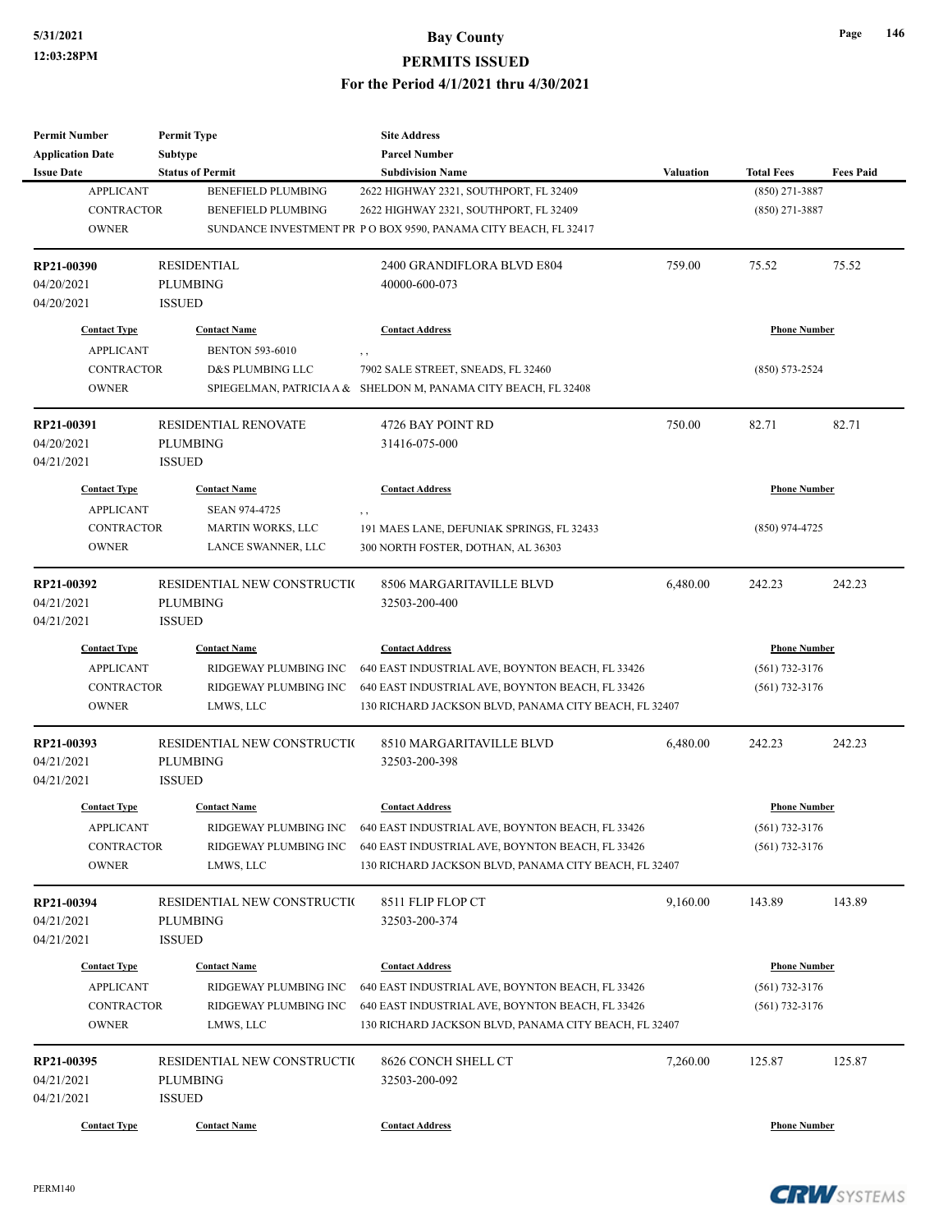| <b>Permit Number</b>     | <b>Permit Type</b>          | <b>Site Address</b>                                                    |                  |                     |                  |
|--------------------------|-----------------------------|------------------------------------------------------------------------|------------------|---------------------|------------------|
| <b>Application Date</b>  | <b>Subtype</b>              | <b>Parcel Number</b>                                                   |                  |                     |                  |
| <b>Issue Date</b>        | <b>Status of Permit</b>     | <b>Subdivision Name</b>                                                | <b>Valuation</b> | <b>Total Fees</b>   | <b>Fees Paid</b> |
| <b>APPLICANT</b>         | <b>BENEFIELD PLUMBING</b>   | 2622 HIGHWAY 2321, SOUTHPORT, FL 32409                                 |                  | $(850)$ 271-3887    |                  |
| <b>CONTRACTOR</b>        | <b>BENEFIELD PLUMBING</b>   | 2622 HIGHWAY 2321, SOUTHPORT, FL 32409                                 |                  | $(850)$ 271-3887    |                  |
| <b>OWNER</b>             |                             | SUNDANCE INVESTMENT PR PO BOX 9590, PANAMA CITY BEACH, FL 32417        |                  |                     |                  |
|                          |                             |                                                                        |                  |                     |                  |
| RP21-00390               | <b>RESIDENTIAL</b>          | 2400 GRANDIFLORA BLVD E804                                             | 759.00           | 75.52               | 75.52            |
| 04/20/2021               | <b>PLUMBING</b>             | 40000-600-073                                                          |                  |                     |                  |
| 04/20/2021               | <b>ISSUED</b>               |                                                                        |                  |                     |                  |
| <b>Contact Type</b>      | <b>Contact Name</b>         | <b>Contact Address</b>                                                 |                  | <b>Phone Number</b> |                  |
| <b>APPLICANT</b>         | <b>BENTON 593-6010</b>      | , ,                                                                    |                  |                     |                  |
| <b>CONTRACTOR</b>        | D&S PLUMBING LLC            | 7902 SALE STREET, SNEADS, FL 32460                                     |                  | $(850) 573 - 2524$  |                  |
| <b>OWNER</b>             |                             | SPIEGELMAN, PATRICIA A & SHELDON M, PANAMA CITY BEACH, FL 32408        |                  |                     |                  |
|                          |                             |                                                                        |                  |                     |                  |
| RP21-00391               | <b>RESIDENTIAL RENOVATE</b> | 4726 BAY POINT RD                                                      | 750.00           | 82.71               | 82.71            |
| 04/20/2021               | <b>PLUMBING</b>             | 31416-075-000                                                          |                  |                     |                  |
| 04/21/2021               | <b>ISSUED</b>               |                                                                        |                  |                     |                  |
| <b>Contact Type</b>      | <b>Contact Name</b>         | <b>Contact Address</b>                                                 |                  | <b>Phone Number</b> |                  |
| <b>APPLICANT</b>         | <b>SEAN 974-4725</b>        | , ,                                                                    |                  |                     |                  |
| <b>CONTRACTOR</b>        | <b>MARTIN WORKS, LLC</b>    | 191 MAES LANE, DEFUNIAK SPRINGS, FL 32433                              |                  | $(850)$ 974-4725    |                  |
| <b>OWNER</b>             | LANCE SWANNER, LLC          | 300 NORTH FOSTER, DOTHAN, AL 36303                                     |                  |                     |                  |
|                          |                             |                                                                        |                  |                     |                  |
| RP21-00392               | RESIDENTIAL NEW CONSTRUCTIO | 8506 MARGARITAVILLE BLVD                                               | 6,480.00         | 242.23              | 242.23           |
| 04/21/2021               | <b>PLUMBING</b>             | 32503-200-400                                                          |                  |                     |                  |
| 04/21/2021               | <b>ISSUED</b>               |                                                                        |                  |                     |                  |
| <b>Contact Type</b>      | <b>Contact Name</b>         | <b>Contact Address</b>                                                 |                  | <b>Phone Number</b> |                  |
| <b>APPLICANT</b>         | RIDGEWAY PLUMBING INC       | 640 EAST INDUSTRIAL AVE, BOYNTON BEACH, FL 33426                       |                  | $(561)$ 732-3176    |                  |
|                          |                             |                                                                        |                  |                     |                  |
| <b>CONTRACTOR</b>        | RIDGEWAY PLUMBING INC       | 640 EAST INDUSTRIAL AVE, BOYNTON BEACH, FL 33426                       |                  | $(561)$ 732-3176    |                  |
| <b>OWNER</b>             | LMWS, LLC                   | 130 RICHARD JACKSON BLVD, PANAMA CITY BEACH, FL 32407                  |                  |                     |                  |
| RP21-00393               | RESIDENTIAL NEW CONSTRUCTIO | 8510 MARGARITAVILLE BLVD                                               | 6,480.00         | 242.23              | 242.23           |
| 04/21/2021               | <b>PLUMBING</b>             | 32503-200-398                                                          |                  |                     |                  |
| 04/21/2021               | <b>ISSUED</b>               |                                                                        |                  |                     |                  |
|                          |                             |                                                                        |                  | <b>Phone Number</b> |                  |
| <b>Contact Type</b>      | <b>Contact Name</b>         | <b>Contact Address</b>                                                 |                  |                     |                  |
| <b>APPLICANT</b>         |                             | RIDGEWAY PLUMBING INC 640 EAST INDUSTRIAL AVE, BOYNTON BEACH, FL 33426 |                  | $(561) 732 - 3176$  |                  |
| <b>CONTRACTOR</b>        | RIDGEWAY PLUMBING INC       | 640 EAST INDUSTRIAL AVE, BOYNTON BEACH, FL 33426                       |                  | $(561)$ 732-3176    |                  |
| <b>OWNER</b>             | LMWS, LLC                   | 130 RICHARD JACKSON BLVD, PANAMA CITY BEACH, FL 32407                  |                  |                     |                  |
|                          | RESIDENTIAL NEW CONSTRUCTIO | 8511 FLIP FLOP CT                                                      | 9,160.00         | 143.89              | 143.89           |
| RP21-00394<br>04/21/2021 | <b>PLUMBING</b>             | 32503-200-374                                                          |                  |                     |                  |
|                          |                             |                                                                        |                  |                     |                  |
| 04/21/2021               | <b>ISSUED</b>               |                                                                        |                  |                     |                  |
| <b>Contact Type</b>      | <b>Contact Name</b>         | <b>Contact Address</b>                                                 |                  | <b>Phone Number</b> |                  |
| <b>APPLICANT</b>         | RIDGEWAY PLUMBING INC       | 640 EAST INDUSTRIAL AVE, BOYNTON BEACH, FL 33426                       |                  | $(561)$ 732-3176    |                  |
| <b>CONTRACTOR</b>        | RIDGEWAY PLUMBING INC       | 640 EAST INDUSTRIAL AVE, BOYNTON BEACH, FL 33426                       |                  | $(561)$ 732-3176    |                  |
| <b>OWNER</b>             | LMWS, LLC                   | 130 RICHARD JACKSON BLVD, PANAMA CITY BEACH, FL 32407                  |                  |                     |                  |
|                          |                             |                                                                        |                  |                     |                  |
| RP21-00395               | RESIDENTIAL NEW CONSTRUCTIO | 8626 CONCH SHELL CT                                                    | 7,260.00         | 125.87              | 125.87           |
| 04/21/2021               | PLUMBING                    | 32503-200-092                                                          |                  |                     |                  |
| 04/21/2021               | <b>ISSUED</b>               |                                                                        |                  |                     |                  |
| <b>Contact Type</b>      | <b>Contact Name</b>         | <b>Contact Address</b>                                                 |                  | <b>Phone Number</b> |                  |
|                          |                             |                                                                        |                  |                     |                  |

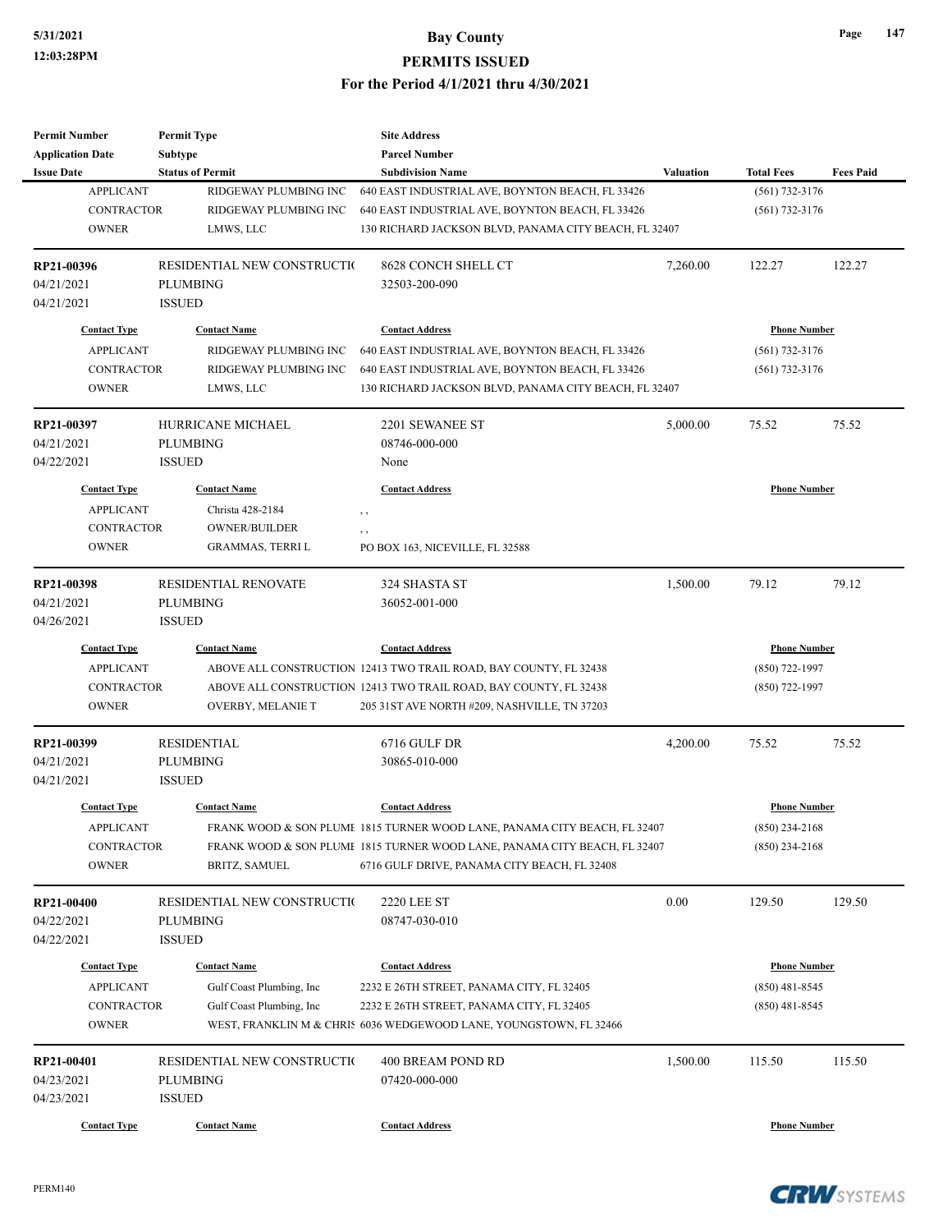| <b>Permit Number</b>    | <b>Permit Type</b>          | <b>Site Address</b>                                                       |                  |                     |                  |
|-------------------------|-----------------------------|---------------------------------------------------------------------------|------------------|---------------------|------------------|
| <b>Application Date</b> | Subtype                     | <b>Parcel Number</b>                                                      |                  |                     |                  |
| <b>Issue Date</b>       | <b>Status of Permit</b>     | <b>Subdivision Name</b>                                                   | <b>Valuation</b> | <b>Total Fees</b>   | <b>Fees Paid</b> |
| <b>APPLICANT</b>        | RIDGEWAY PLUMBING INC       | 640 EAST INDUSTRIAL AVE, BOYNTON BEACH, FL 33426                          |                  | $(561) 732 - 3176$  |                  |
| <b>CONTRACTOR</b>       | RIDGEWAY PLUMBING INC       | 640 EAST INDUSTRIAL AVE, BOYNTON BEACH, FL 33426                          |                  | $(561)$ 732-3176    |                  |
| <b>OWNER</b>            | LMWS, LLC                   | 130 RICHARD JACKSON BLVD, PANAMA CITY BEACH, FL 32407                     |                  |                     |                  |
|                         |                             |                                                                           |                  |                     |                  |
| RP21-00396              | RESIDENTIAL NEW CONSTRUCTIO | 8628 CONCH SHELL CT                                                       | 7,260.00         | 122.27              | 122.27           |
| 04/21/2021              | <b>PLUMBING</b>             | 32503-200-090                                                             |                  |                     |                  |
| 04/21/2021              | <b>ISSUED</b>               |                                                                           |                  |                     |                  |
| <b>Contact Type</b>     | <b>Contact Name</b>         | <b>Contact Address</b>                                                    |                  | <b>Phone Number</b> |                  |
| <b>APPLICANT</b>        | RIDGEWAY PLUMBING INC       | 640 EAST INDUSTRIAL AVE, BOYNTON BEACH, FL 33426                          |                  | $(561)$ 732-3176    |                  |
| <b>CONTRACTOR</b>       | RIDGEWAY PLUMBING INC       | 640 EAST INDUSTRIAL AVE, BOYNTON BEACH, FL 33426                          |                  | $(561)$ 732-3176    |                  |
| <b>OWNER</b>            | LMWS, LLC                   | 130 RICHARD JACKSON BLVD, PANAMA CITY BEACH, FL 32407                     |                  |                     |                  |
|                         |                             |                                                                           |                  |                     |                  |
| RP21-00397              | HURRICANE MICHAEL           | 2201 SEWANEE ST                                                           | 5,000.00         | 75.52               | 75.52            |
| 04/21/2021              | <b>PLUMBING</b>             | 08746-000-000                                                             |                  |                     |                  |
| 04/22/2021              | <b>ISSUED</b>               | None                                                                      |                  |                     |                  |
|                         |                             |                                                                           |                  | <b>Phone Number</b> |                  |
| <b>Contact Type</b>     | <b>Contact Name</b>         | <b>Contact Address</b>                                                    |                  |                     |                  |
| <b>APPLICANT</b>        | Christa 428-2184            | $, \, , \,$                                                               |                  |                     |                  |
| <b>CONTRACTOR</b>       | <b>OWNER/BUILDER</b>        | $, \, , \,$                                                               |                  |                     |                  |
| <b>OWNER</b>            | <b>GRAMMAS, TERRI L</b>     | PO BOX 163, NICEVILLE, FL 32588                                           |                  |                     |                  |
| RP21-00398              | RESIDENTIAL RENOVATE        | 324 SHASTA ST                                                             | 1,500.00         | 79.12               | 79.12            |
| 04/21/2021              | <b>PLUMBING</b>             | 36052-001-000                                                             |                  |                     |                  |
| 04/26/2021              | <b>ISSUED</b>               |                                                                           |                  |                     |                  |
| <b>Contact Type</b>     | <b>Contact Name</b>         | <b>Contact Address</b>                                                    |                  | <b>Phone Number</b> |                  |
| <b>APPLICANT</b>        |                             | ABOVE ALL CONSTRUCTION 12413 TWO TRAIL ROAD, BAY COUNTY, FL 32438         |                  | (850) 722-1997      |                  |
| <b>CONTRACTOR</b>       |                             | ABOVE ALL CONSTRUCTION 12413 TWO TRAIL ROAD, BAY COUNTY, FL 32438         |                  | $(850)$ 722-1997    |                  |
| <b>OWNER</b>            | OVERBY, MELANIE T           |                                                                           |                  |                     |                  |
|                         |                             | 205 31 ST AVE NORTH #209, NASHVILLE, TN 37203                             |                  |                     |                  |
| RP21-00399              | <b>RESIDENTIAL</b>          | 6716 GULF DR                                                              | 4,200.00         | 75.52               | 75.52            |
| 04/21/2021              | <b>PLUMBING</b>             | 30865-010-000                                                             |                  |                     |                  |
| 04/21/2021              | <b>ISSUED</b>               |                                                                           |                  |                     |                  |
| <b>Contact Type</b>     | <b>Contact Name</b>         | <b>Contact Address</b>                                                    |                  | <b>Phone Number</b> |                  |
| <b>APPLICANT</b>        |                             |                                                                           |                  | $(850)$ 234-2168    |                  |
|                         |                             | FRANK WOOD & SON PLUME 1815 TURNER WOOD LANE, PANAMA CITY BEACH, FL 32407 |                  |                     |                  |
| CONTRACTOR              |                             | FRANK WOOD & SON PLUME 1815 TURNER WOOD LANE, PANAMA CITY BEACH, FL 32407 |                  | $(850)$ 234-2168    |                  |
| <b>OWNER</b>            | BRITZ, SAMUEL               | 6716 GULF DRIVE, PANAMA CITY BEACH, FL 32408                              |                  |                     |                  |
| RP21-00400              | RESIDENTIAL NEW CONSTRUCTIO | <b>2220 LEE ST</b>                                                        | 0.00             | 129.50              | 129.50           |
| 04/22/2021              | <b>PLUMBING</b>             | 08747-030-010                                                             |                  |                     |                  |
| 04/22/2021              | <b>ISSUED</b>               |                                                                           |                  |                     |                  |
|                         |                             |                                                                           |                  |                     |                  |
| <b>Contact Type</b>     | <b>Contact Name</b>         | <b>Contact Address</b>                                                    |                  | <b>Phone Number</b> |                  |
| <b>APPLICANT</b>        | Gulf Coast Plumbing, Inc    | 2232 E 26TH STREET, PANAMA CITY, FL 32405                                 |                  | $(850)$ 481-8545    |                  |
| CONTRACTOR              | Gulf Coast Plumbing, Inc    | 2232 E 26TH STREET, PANAMA CITY, FL 32405                                 |                  | $(850)$ 481-8545    |                  |
| <b>OWNER</b>            |                             | WEST, FRANKLIN M & CHRIS 6036 WEDGEWOOD LANE, YOUNGSTOWN, FL 32466        |                  |                     |                  |
| RP21-00401              | RESIDENTIAL NEW CONSTRUCTIO | 400 BREAM POND RD                                                         | 1,500.00         | 115.50              | 115.50           |
| 04/23/2021              | PLUMBING                    | 07420-000-000                                                             |                  |                     |                  |
| 04/23/2021              | <b>ISSUED</b>               |                                                                           |                  |                     |                  |
|                         |                             |                                                                           |                  |                     |                  |
| <b>Contact Type</b>     | <b>Contact Name</b>         | <b>Contact Address</b>                                                    |                  | <b>Phone Number</b> |                  |

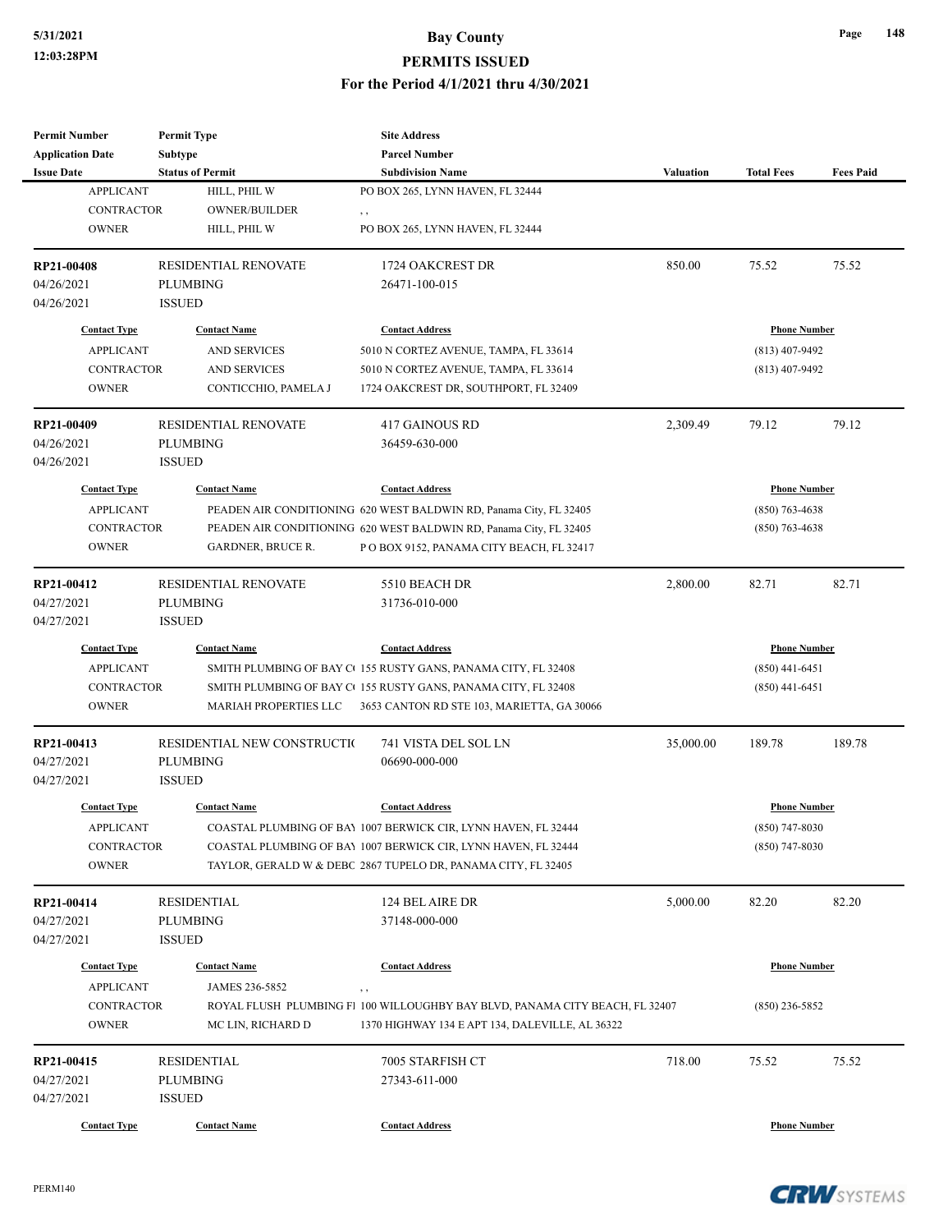| <b>Permit Number</b><br><b>Application Date</b>       | <b>Permit Type</b>                                                 | <b>Site Address</b><br><b>Parcel Number</b>                                                                                                                                                       |           |                                      |                  |
|-------------------------------------------------------|--------------------------------------------------------------------|---------------------------------------------------------------------------------------------------------------------------------------------------------------------------------------------------|-----------|--------------------------------------|------------------|
| <b>Issue Date</b>                                     | <b>Subtype</b><br><b>Status of Permit</b>                          | <b>Subdivision Name</b>                                                                                                                                                                           | Valuation | <b>Total Fees</b>                    | <b>Fees Paid</b> |
| <b>APPLICANT</b><br><b>CONTRACTOR</b><br><b>OWNER</b> | HILL, PHIL W<br>OWNER/BUILDER<br>HILL, PHIL W                      | PO BOX 265, LYNN HAVEN, FL 32444<br>, ,<br>PO BOX 265, LYNN HAVEN, FL 32444                                                                                                                       |           |                                      |                  |
| RP21-00408<br>04/26/2021<br>04/26/2021                | <b>RESIDENTIAL RENOVATE</b><br><b>PLUMBING</b><br><b>ISSUED</b>    | 1724 OAKCREST DR<br>26471-100-015                                                                                                                                                                 | 850.00    | 75.52                                | 75.52            |
| <b>Contact Type</b>                                   | <b>Contact Name</b>                                                | <b>Contact Address</b>                                                                                                                                                                            |           | <b>Phone Number</b>                  |                  |
| <b>APPLICANT</b><br><b>CONTRACTOR</b><br><b>OWNER</b> | <b>AND SERVICES</b><br><b>AND SERVICES</b><br>CONTICCHIO, PAMELA J | 5010 N CORTEZ AVENUE, TAMPA, FL 33614<br>5010 N CORTEZ AVENUE, TAMPA, FL 33614<br>1724 OAKCREST DR, SOUTHPORT, FL 32409                                                                           |           | $(813)$ 407-9492<br>$(813)$ 407-9492 |                  |
| RP21-00409<br>04/26/2021<br>04/26/2021                | <b>RESIDENTIAL RENOVATE</b><br><b>PLUMBING</b><br><b>ISSUED</b>    | <b>417 GAINOUS RD</b><br>36459-630-000                                                                                                                                                            | 2,309.49  | 79.12                                | 79.12            |
| <b>Contact Type</b>                                   | <b>Contact Name</b>                                                | <b>Contact Address</b>                                                                                                                                                                            |           | <b>Phone Number</b>                  |                  |
| <b>APPLICANT</b><br><b>CONTRACTOR</b><br><b>OWNER</b> | <b>GARDNER, BRUCE R.</b>                                           | PEADEN AIR CONDITIONING 620 WEST BALDWIN RD, Panama City, FL 32405<br>PEADEN AIR CONDITIONING 620 WEST BALDWIN RD, Panama City, FL 32405<br>P O BOX 9152, PANAMA CITY BEACH, FL 32417             |           | $(850)$ 763-4638<br>$(850)$ 763-4638 |                  |
| RP21-00412<br>04/27/2021<br>04/27/2021                | RESIDENTIAL RENOVATE<br><b>PLUMBING</b><br><b>ISSUED</b>           | 5510 BEACH DR<br>31736-010-000                                                                                                                                                                    | 2,800.00  | 82.71                                | 82.71            |
| <b>Contact Type</b>                                   | <b>Contact Name</b>                                                | <b>Contact Address</b>                                                                                                                                                                            |           | <b>Phone Number</b>                  |                  |
| <b>APPLICANT</b><br>CONTRACTOR<br><b>OWNER</b>        | MARIAH PROPERTIES LLC                                              | SMITH PLUMBING OF BAY CO155 RUSTY GANS, PANAMA CITY, FL 32408<br>SMITH PLUMBING OF BAY CO155 RUSTY GANS, PANAMA CITY, FL 32408<br>3653 CANTON RD STE 103, MARIETTA, GA 30066                      |           | $(850)$ 441-6451<br>$(850)$ 441-6451 |                  |
| RP21-00413<br>04/27/2021<br>04/27/2021                | RESIDENTIAL NEW CONSTRUCTIO<br><b>PLUMBING</b><br><b>ISSUED</b>    | 741 VISTA DEL SOL LN<br>06690-000-000                                                                                                                                                             | 35,000.00 | 189.78                               | 189.78           |
| <b>Contact Type</b>                                   | <b>Contact Name</b>                                                | <b>Contact Address</b>                                                                                                                                                                            |           | <b>Phone Number</b>                  |                  |
| <b>APPLICANT</b><br><b>CONTRACTOR</b><br><b>OWNER</b> |                                                                    | COASTAL PLUMBING OF BAY 1007 BERWICK CIR, LYNN HAVEN, FL 32444<br>COASTAL PLUMBING OF BAY 1007 BERWICK CIR, LYNN HAVEN, FL 32444<br>TAYLOR, GERALD W & DEBC 2867 TUPELO DR, PANAMA CITY, FL 32405 |           | $(850)$ 747-8030<br>$(850)$ 747-8030 |                  |
| RP21-00414<br>04/27/2021<br>04/27/2021                | <b>RESIDENTIAL</b><br><b>PLUMBING</b><br><b>ISSUED</b>             | 124 BEL AIRE DR<br>37148-000-000                                                                                                                                                                  | 5,000.00  | 82.20                                | 82.20            |
| <b>Contact Type</b><br><b>APPLICANT</b>               | <b>Contact Name</b><br>JAMES 236-5852                              | <b>Contact Address</b><br>, ,                                                                                                                                                                     |           | <b>Phone Number</b>                  |                  |
| CONTRACTOR<br><b>OWNER</b>                            | MC LIN, RICHARD D                                                  | ROYAL FLUSH PLUMBING F1 100 WILLOUGHBY BAY BLVD, PANAMA CITY BEACH, FL 32407<br>1370 HIGHWAY 134 E APT 134, DALEVILLE, AL 36322                                                                   |           | $(850)$ 236-5852                     |                  |
| RP21-00415<br>04/27/2021<br>04/27/2021                | <b>RESIDENTIAL</b><br><b>PLUMBING</b><br><b>ISSUED</b>             | 7005 STARFISH CT<br>27343-611-000                                                                                                                                                                 | 718.00    | 75.52                                | 75.52            |
| <b>Contact Type</b>                                   | <b>Contact Name</b>                                                | <b>Contact Address</b>                                                                                                                                                                            |           | <b>Phone Number</b>                  |                  |

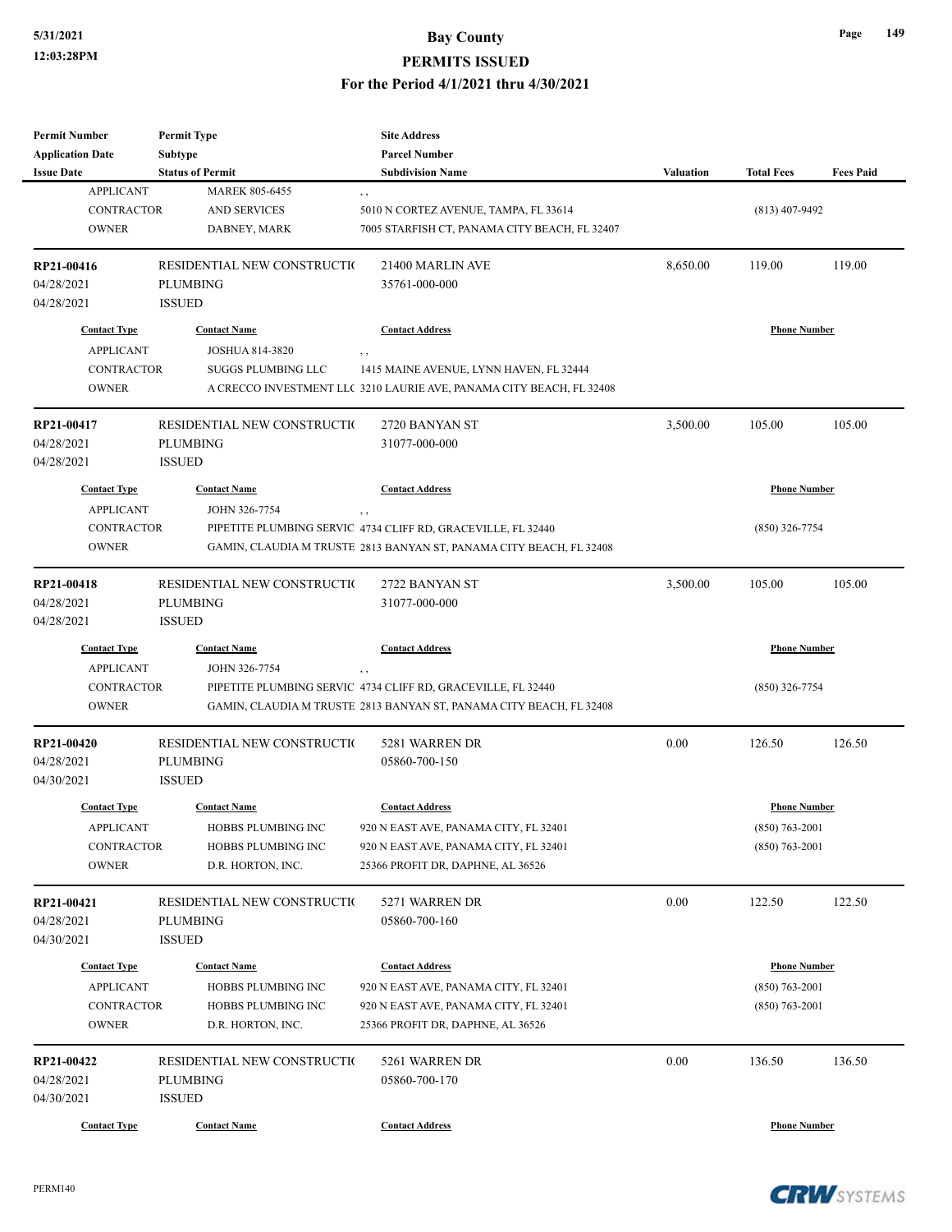| <b>Permit Number</b>                  | <b>Permit Type</b>                      | <b>Site Address</b>                                                        |                  |                     |                  |
|---------------------------------------|-----------------------------------------|----------------------------------------------------------------------------|------------------|---------------------|------------------|
| <b>Application Date</b>               | Subtype                                 | <b>Parcel Number</b>                                                       |                  |                     |                  |
| <b>Issue Date</b>                     | <b>Status of Permit</b>                 | <b>Subdivision Name</b>                                                    | <b>Valuation</b> | <b>Total Fees</b>   | <b>Fees Paid</b> |
| <b>APPLICANT</b><br><b>CONTRACTOR</b> | <b>MAREK 805-6455</b>                   | , ,                                                                        |                  |                     |                  |
| <b>OWNER</b>                          | <b>AND SERVICES</b>                     | 5010 N CORTEZ AVENUE, TAMPA, FL 33614                                      |                  | $(813)$ 407-9492    |                  |
|                                       | DABNEY, MARK                            | 7005 STARFISH CT, PANAMA CITY BEACH, FL 32407                              |                  |                     |                  |
| RP21-00416                            | RESIDENTIAL NEW CONSTRUCTIO             | 21400 MARLIN AVE                                                           | 8,650.00         | 119.00              | 119.00           |
| 04/28/2021                            | <b>PLUMBING</b>                         | 35761-000-000                                                              |                  |                     |                  |
| 04/28/2021                            | <b>ISSUED</b>                           |                                                                            |                  |                     |                  |
| <b>Contact Type</b>                   | <b>Contact Name</b>                     | <b>Contact Address</b>                                                     |                  | <b>Phone Number</b> |                  |
| <b>APPLICANT</b>                      | <b>JOSHUA 814-3820</b>                  | $, \, ,$                                                                   |                  |                     |                  |
| <b>CONTRACTOR</b>                     | <b>SUGGS PLUMBING LLC</b>               | 1415 MAINE AVENUE, LYNN HAVEN, FL 32444                                    |                  |                     |                  |
| <b>OWNER</b>                          |                                         | A CRECCO INVESTMENT LLC 3210 LAURIE AVE, PANAMA CITY BEACH, FL 32408       |                  |                     |                  |
| RP21-00417                            | RESIDENTIAL NEW CONSTRUCTIO             | 2720 BANYAN ST                                                             | 3,500.00         | 105.00              | 105.00           |
| 04/28/2021                            | <b>PLUMBING</b>                         | 31077-000-000                                                              |                  |                     |                  |
| 04/28/2021                            | <b>ISSUED</b>                           |                                                                            |                  |                     |                  |
| <b>Contact Type</b>                   | <b>Contact Name</b>                     | <b>Contact Address</b>                                                     |                  | <b>Phone Number</b> |                  |
| <b>APPLICANT</b>                      | JOHN 326-7754                           | $, \, ,$                                                                   |                  |                     |                  |
| <b>CONTRACTOR</b>                     |                                         | PIPETITE PLUMBING SERVIC 4734 CLIFF RD, GRACEVILLE, FL 32440               |                  | $(850)$ 326-7754    |                  |
| <b>OWNER</b>                          |                                         | GAMIN, CLAUDIA M TRUSTE 2813 BANYAN ST, PANAMA CITY BEACH, FL 32408        |                  |                     |                  |
| RP21-00418                            | RESIDENTIAL NEW CONSTRUCTIO             | 2722 BANYAN ST                                                             | 3,500.00         | 105.00              | 105.00           |
| 04/28/2021                            | <b>PLUMBING</b>                         | 31077-000-000                                                              |                  |                     |                  |
| 04/28/2021                            | <b>ISSUED</b>                           |                                                                            |                  |                     |                  |
| <b>Contact Type</b>                   | <b>Contact Name</b>                     | <b>Contact Address</b>                                                     |                  | <b>Phone Number</b> |                  |
| <b>APPLICANT</b>                      | JOHN 326-7754                           | , ,                                                                        |                  |                     |                  |
| <b>CONTRACTOR</b>                     |                                         | PIPETITE PLUMBING SERVIC 4734 CLIFF RD, GRACEVILLE, FL 32440               |                  | $(850)$ 326-7754    |                  |
| <b>OWNER</b>                          |                                         | GAMIN, CLAUDIA M TRUSTE 2813 BANYAN ST, PANAMA CITY BEACH, FL 32408        |                  |                     |                  |
| RP21-00420                            | RESIDENTIAL NEW CONSTRUCTIO             | 5281 WARREN DR                                                             | 0.00             | 126.50              | 126.50           |
| 04/28/2021                            | <b>PLUMBING</b>                         | 05860-700-150                                                              |                  |                     |                  |
| 04/30/2021                            | <b>ISSUED</b>                           |                                                                            |                  |                     |                  |
| <b>Contact Type</b>                   | <b>Contact Name</b>                     | <b>Contact Address</b>                                                     |                  | <b>Phone Number</b> |                  |
| APPLICANT                             | HOBBS PLUMBING INC                      | 920 N EAST AVE, PANAMA CITY, FL 32401                                      |                  | $(850) 763 - 2001$  |                  |
| CONTRACTOR                            | HOBBS PLUMBING INC                      | 920 N EAST AVE, PANAMA CITY, FL 32401                                      |                  | $(850)$ 763-2001    |                  |
| <b>OWNER</b>                          | D.R. HORTON, INC.                       | 25366 PROFIT DR, DAPHNE, AL 36526                                          |                  |                     |                  |
| RP21-00421                            | RESIDENTIAL NEW CONSTRUCTION            | 5271 WARREN DR                                                             | 0.00             | 122.50              | 122.50           |
| 04/28/2021                            | <b>PLUMBING</b>                         | 05860-700-160                                                              |                  |                     |                  |
| 04/30/2021                            | <b>ISSUED</b>                           |                                                                            |                  |                     |                  |
|                                       |                                         | <b>Contact Address</b>                                                     |                  |                     |                  |
| <b>Contact Type</b>                   | <b>Contact Name</b>                     |                                                                            |                  | <b>Phone Number</b> |                  |
| <b>APPLICANT</b>                      | HOBBS PLUMBING INC                      | 920 N EAST AVE, PANAMA CITY, FL 32401                                      |                  | $(850)$ 763-2001    |                  |
| CONTRACTOR<br><b>OWNER</b>            | HOBBS PLUMBING INC<br>D.R. HORTON, INC. | 920 N EAST AVE, PANAMA CITY, FL 32401<br>25366 PROFIT DR, DAPHNE, AL 36526 |                  | $(850)$ 763-2001    |                  |
|                                       |                                         |                                                                            |                  |                     |                  |
| RP21-00422                            | RESIDENTIAL NEW CONSTRUCTIO             | 5261 WARREN DR                                                             | 0.00             | 136.50              | 136.50           |
| 04/28/2021                            | <b>PLUMBING</b>                         | 05860-700-170                                                              |                  |                     |                  |
| 04/30/2021                            | <b>ISSUED</b>                           |                                                                            |                  |                     |                  |
| <b>Contact Type</b>                   | <b>Contact Name</b>                     | <b>Contact Address</b>                                                     |                  | <b>Phone Number</b> |                  |

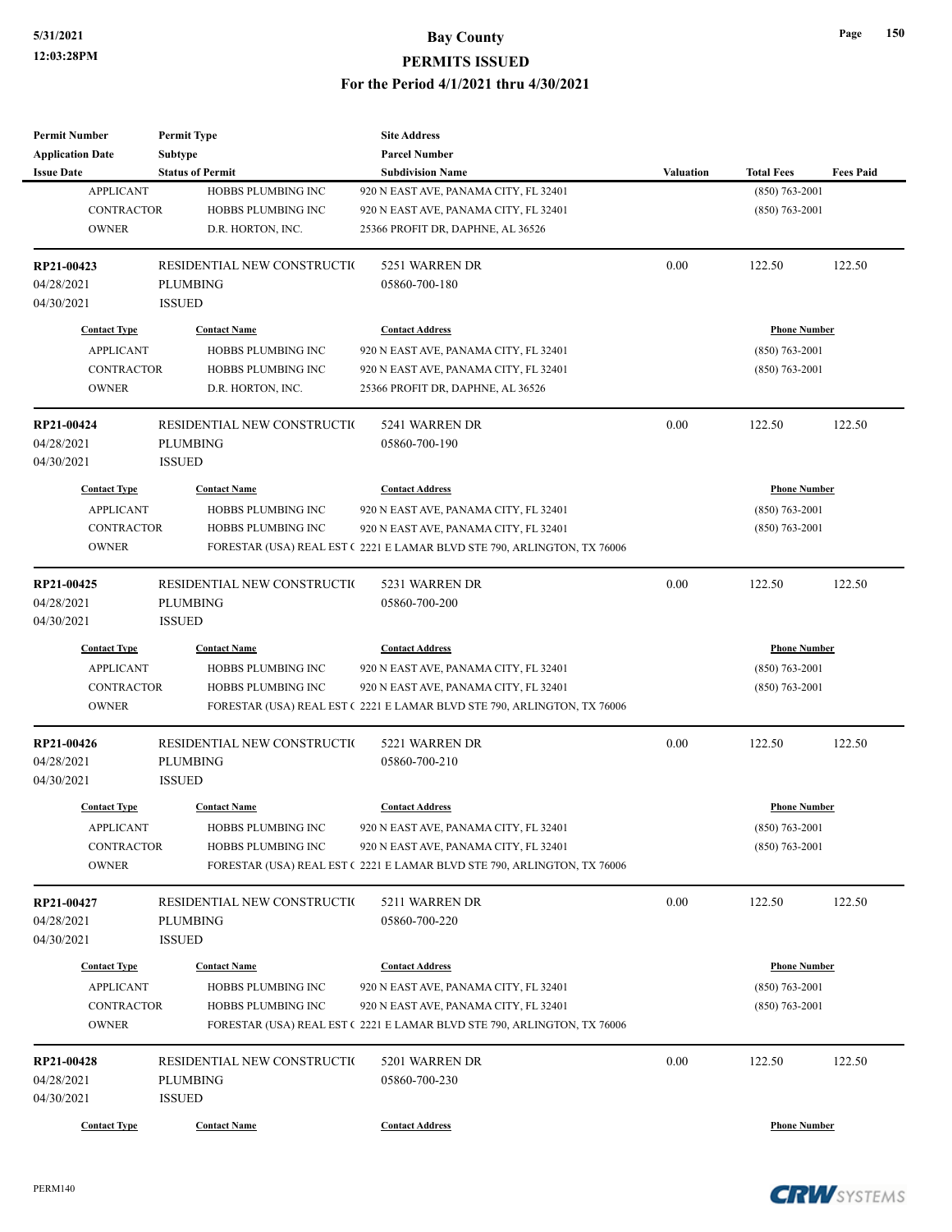| <b>Permit Number</b>    | <b>Permit Type</b>           | <b>Site Address</b>                                                     |           |                     |                  |
|-------------------------|------------------------------|-------------------------------------------------------------------------|-----------|---------------------|------------------|
| <b>Application Date</b> | <b>Subtype</b>               | <b>Parcel Number</b>                                                    |           |                     |                  |
| <b>Issue Date</b>       | <b>Status of Permit</b>      | <b>Subdivision Name</b>                                                 | Valuation | <b>Total Fees</b>   | <b>Fees Paid</b> |
| <b>APPLICANT</b>        | HOBBS PLUMBING INC           | 920 N EAST AVE, PANAMA CITY, FL 32401                                   |           | $(850) 763 - 2001$  |                  |
| <b>CONTRACTOR</b>       | HOBBS PLUMBING INC           | 920 N EAST AVE, PANAMA CITY, FL 32401                                   |           | $(850) 763 - 2001$  |                  |
| <b>OWNER</b>            | D.R. HORTON, INC.            | 25366 PROFIT DR, DAPHNE, AL 36526                                       |           |                     |                  |
| RP21-00423              | RESIDENTIAL NEW CONSTRUCTION | 5251 WARREN DR                                                          | 0.00      | 122.50              | 122.50           |
| 04/28/2021              | <b>PLUMBING</b>              | 05860-700-180                                                           |           |                     |                  |
| 04/30/2021              | <b>ISSUED</b>                |                                                                         |           |                     |                  |
| <b>Contact Type</b>     | <b>Contact Name</b>          | <b>Contact Address</b>                                                  |           | <b>Phone Number</b> |                  |
| <b>APPLICANT</b>        | HOBBS PLUMBING INC           | 920 N EAST AVE, PANAMA CITY, FL 32401                                   |           | $(850) 763 - 2001$  |                  |
| <b>CONTRACTOR</b>       | HOBBS PLUMBING INC           | 920 N EAST AVE, PANAMA CITY, FL 32401                                   |           | $(850)$ 763-2001    |                  |
| <b>OWNER</b>            | D.R. HORTON, INC.            | 25366 PROFIT DR, DAPHNE, AL 36526                                       |           |                     |                  |
| RP21-00424              | RESIDENTIAL NEW CONSTRUCTIO  | 5241 WARREN DR                                                          | 0.00      | 122.50              | 122.50           |
| 04/28/2021              | <b>PLUMBING</b>              | 05860-700-190                                                           |           |                     |                  |
| 04/30/2021              | <b>ISSUED</b>                |                                                                         |           |                     |                  |
| <b>Contact Type</b>     | <b>Contact Name</b>          | <b>Contact Address</b>                                                  |           | <b>Phone Number</b> |                  |
| <b>APPLICANT</b>        | <b>HOBBS PLUMBING INC</b>    | 920 N EAST AVE, PANAMA CITY, FL 32401                                   |           | $(850) 763 - 2001$  |                  |
| <b>CONTRACTOR</b>       | HOBBS PLUMBING INC           | 920 N EAST AVE, PANAMA CITY, FL 32401                                   |           | $(850) 763 - 2001$  |                  |
| <b>OWNER</b>            |                              | FORESTAR (USA) REAL EST (2221 E LAMAR BLVD STE 790, ARLINGTON, TX 76006 |           |                     |                  |
|                         |                              |                                                                         |           |                     |                  |
| RP21-00425              | RESIDENTIAL NEW CONSTRUCTIO  | 5231 WARREN DR                                                          | 0.00      | 122.50              | 122.50           |
| 04/28/2021              | <b>PLUMBING</b>              | 05860-700-200                                                           |           |                     |                  |
| 04/30/2021              | <b>ISSUED</b>                |                                                                         |           |                     |                  |
| <b>Contact Type</b>     | <b>Contact Name</b>          | <b>Contact Address</b>                                                  |           | <b>Phone Number</b> |                  |
| <b>APPLICANT</b>        | HOBBS PLUMBING INC           | 920 N EAST AVE, PANAMA CITY, FL 32401                                   |           | $(850)$ 763-2001    |                  |
| <b>CONTRACTOR</b>       | HOBBS PLUMBING INC           | 920 N EAST AVE, PANAMA CITY, FL 32401                                   |           | $(850)$ 763-2001    |                  |
| <b>OWNER</b>            |                              | FORESTAR (USA) REAL EST (2221 E LAMAR BLVD STE 790, ARLINGTON, TX 76006 |           |                     |                  |
| RP21-00426              | RESIDENTIAL NEW CONSTRUCTIO  | 5221 WARREN DR                                                          | 0.00      | 122.50              | 122.50           |
| 04/28/2021              | <b>PLUMBING</b>              | 05860-700-210                                                           |           |                     |                  |
| 04/30/2021              | <b>ISSUED</b>                |                                                                         |           |                     |                  |
| <b>Contact Type</b>     | <b>Contact Name</b>          | <b>Contact Address</b>                                                  |           | <b>Phone Number</b> |                  |
| <b>APPLICANT</b>        | HOBBS PLUMBING INC           | 920 N EAST AVE, PANAMA CITY, FL 32401                                   |           | $(850) 763 - 2001$  |                  |
| CONTRACTOR              | HOBBS PLUMBING INC           | 920 N EAST AVE, PANAMA CITY, FL 32401                                   |           | $(850)$ 763-2001    |                  |
| <b>OWNER</b>            |                              | FORESTAR (USA) REAL EST (2221 E LAMAR BLVD STE 790, ARLINGTON, TX 76006 |           |                     |                  |
| RP21-00427              | RESIDENTIAL NEW CONSTRUCTIO  | 5211 WARREN DR                                                          | 0.00      | 122.50              | 122.50           |
| 04/28/2021              | <b>PLUMBING</b>              | 05860-700-220                                                           |           |                     |                  |
| 04/30/2021              | <b>ISSUED</b>                |                                                                         |           |                     |                  |
|                         |                              |                                                                         |           |                     |                  |
| <b>Contact Type</b>     | <b>Contact Name</b>          | <b>Contact Address</b>                                                  |           | <b>Phone Number</b> |                  |
| <b>APPLICANT</b>        | HOBBS PLUMBING INC           | 920 N EAST AVE, PANAMA CITY, FL 32401                                   |           | $(850) 763 - 2001$  |                  |
| <b>CONTRACTOR</b>       | HOBBS PLUMBING INC           | 920 N EAST AVE, PANAMA CITY, FL 32401                                   |           | $(850) 763 - 2001$  |                  |
| <b>OWNER</b>            |                              | FORESTAR (USA) REAL EST (2221 E LAMAR BLVD STE 790, ARLINGTON, TX 76006 |           |                     |                  |
| RP21-00428              | RESIDENTIAL NEW CONSTRUCTIO  | 5201 WARREN DR                                                          | 0.00      | 122.50              | 122.50           |
| 04/28/2021              | <b>PLUMBING</b>              | 05860-700-230                                                           |           |                     |                  |
| 04/30/2021              | <b>ISSUED</b>                |                                                                         |           |                     |                  |
| <b>Contact Type</b>     | <b>Contact Name</b>          | <b>Contact Address</b>                                                  |           | <b>Phone Number</b> |                  |
|                         |                              |                                                                         |           |                     |                  |

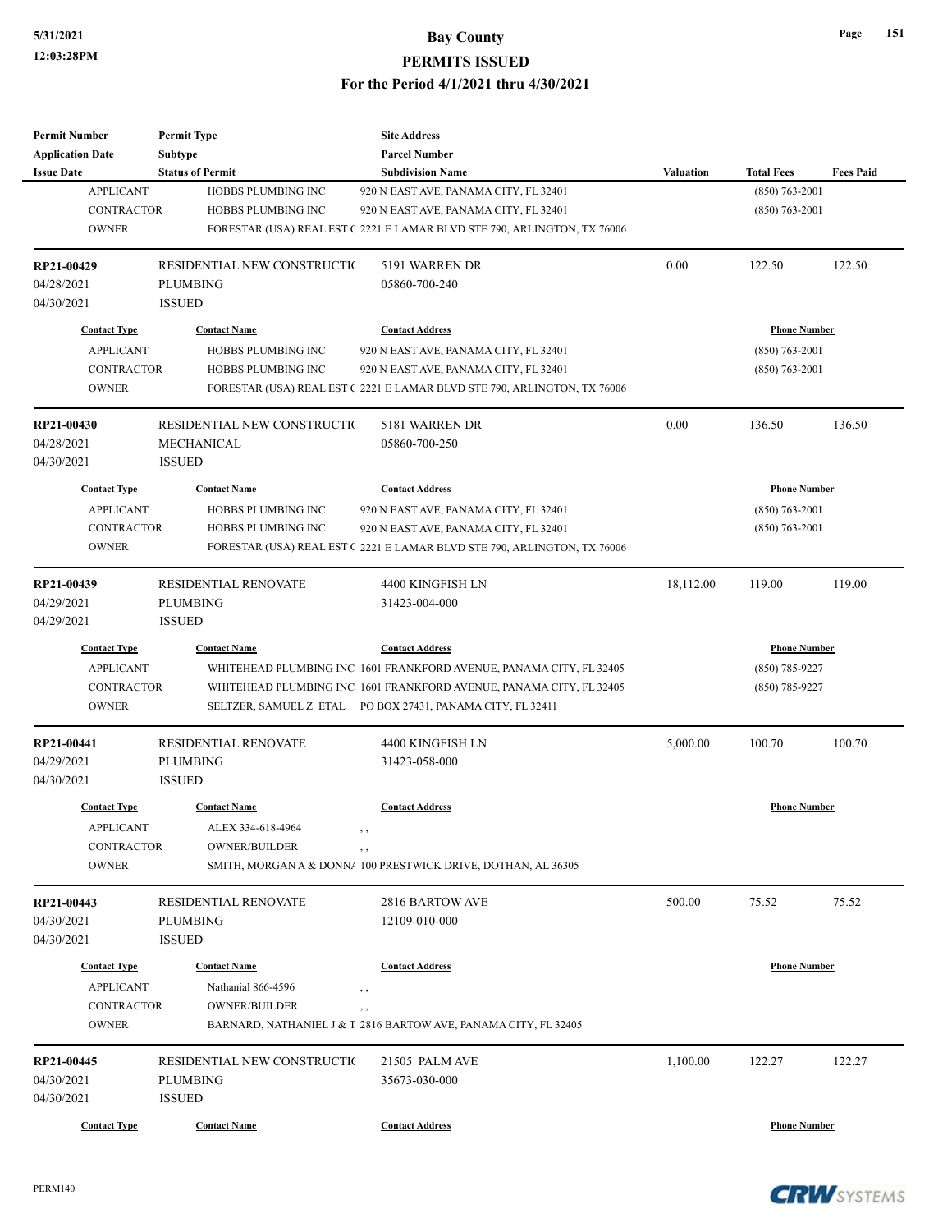| <b>Permit Number</b>    | <b>Permit Type</b>          | <b>Site Address</b>                                                         |                  |                     |                  |
|-------------------------|-----------------------------|-----------------------------------------------------------------------------|------------------|---------------------|------------------|
| <b>Application Date</b> | Subtype                     | <b>Parcel Number</b>                                                        |                  |                     |                  |
| <b>Issue Date</b>       | <b>Status of Permit</b>     | <b>Subdivision Name</b>                                                     | <b>Valuation</b> | <b>Total Fees</b>   | <b>Fees Paid</b> |
| <b>APPLICANT</b>        | HOBBS PLUMBING INC          | 920 N EAST AVE, PANAMA CITY, FL 32401                                       |                  | $(850)$ 763-2001    |                  |
| CONTRACTOR              | HOBBS PLUMBING INC          | 920 N EAST AVE, PANAMA CITY, FL 32401                                       |                  | $(850)$ 763-2001    |                  |
| <b>OWNER</b>            |                             | FORESTAR (USA) REAL EST (2221 E LAMAR BLVD STE 790, ARLINGTON, TX 76006     |                  |                     |                  |
| RP21-00429              | RESIDENTIAL NEW CONSTRUCTIO | 5191 WARREN DR                                                              | 0.00             | 122.50              | 122.50           |
| 04/28/2021              | <b>PLUMBING</b>             | 05860-700-240                                                               |                  |                     |                  |
| 04/30/2021              | <b>ISSUED</b>               |                                                                             |                  |                     |                  |
| <b>Contact Type</b>     | <b>Contact Name</b>         | <b>Contact Address</b>                                                      |                  | <b>Phone Number</b> |                  |
| <b>APPLICANT</b>        | HOBBS PLUMBING INC          | 920 N EAST AVE, PANAMA CITY, FL 32401                                       |                  | $(850)$ 763-2001    |                  |
| <b>CONTRACTOR</b>       | HOBBS PLUMBING INC          | 920 N EAST AVE, PANAMA CITY, FL 32401                                       |                  | $(850)$ 763-2001    |                  |
| <b>OWNER</b>            |                             | FORESTAR (USA) REAL EST (2221 E LAMAR BLVD STE 790, ARLINGTON, TX 76006     |                  |                     |                  |
| RP21-00430              | RESIDENTIAL NEW CONSTRUCTIO | 5181 WARREN DR                                                              | 0.00             | 136.50              | 136.50           |
| 04/28/2021              | MECHANICAL                  | 05860-700-250                                                               |                  |                     |                  |
| 04/30/2021              | <b>ISSUED</b>               |                                                                             |                  |                     |                  |
| <b>Contact Type</b>     | <b>Contact Name</b>         | <b>Contact Address</b>                                                      |                  | <b>Phone Number</b> |                  |
| <b>APPLICANT</b>        | HOBBS PLUMBING INC          | 920 N EAST AVE, PANAMA CITY, FL 32401                                       |                  | $(850) 763 - 2001$  |                  |
| <b>CONTRACTOR</b>       | HOBBS PLUMBING INC          | 920 N EAST AVE, PANAMA CITY, FL 32401                                       |                  | $(850) 763 - 2001$  |                  |
| <b>OWNER</b>            |                             | FORESTAR (USA) REAL EST (2221 E LAMAR BLVD STE 790, ARLINGTON, TX 76006     |                  |                     |                  |
|                         |                             |                                                                             |                  |                     |                  |
| RP21-00439              | RESIDENTIAL RENOVATE        | 4400 KINGFISH LN                                                            | 18,112.00        | 119.00              | 119.00           |
| 04/29/2021              | <b>PLUMBING</b>             | 31423-004-000                                                               |                  |                     |                  |
| 04/29/2021              | <b>ISSUED</b>               |                                                                             |                  |                     |                  |
| <b>Contact Type</b>     | <b>Contact Name</b>         | <b>Contact Address</b>                                                      |                  | <b>Phone Number</b> |                  |
| <b>APPLICANT</b>        |                             | WHITEHEAD PLUMBING INC 1601 FRANKFORD AVENUE, PANAMA CITY, FL 32405         |                  | $(850)$ 785-9227    |                  |
| <b>CONTRACTOR</b>       |                             | WHITEHEAD PLUMBING INC 1601 FRANKFORD AVENUE, PANAMA CITY, FL 32405         |                  | $(850)$ 785-9227    |                  |
| <b>OWNER</b>            |                             | SELTZER, SAMUEL Z ETAL PO BOX 27431, PANAMA CITY, FL 32411                  |                  |                     |                  |
| RP21-00441              | <b>RESIDENTIAL RENOVATE</b> | 4400 KINGFISH LN                                                            | 5,000.00         | 100.70              | 100.70           |
| 04/29/2021              | <b>PLUMBING</b>             | 31423-058-000                                                               |                  |                     |                  |
| 04/30/2021              | <b>ISSUED</b>               |                                                                             |                  |                     |                  |
| <b>Contact Type</b>     | <b>Contact Name</b>         | <b>Contact Address</b>                                                      |                  | <b>Phone Number</b> |                  |
| APPLICANT               | ALEX 334-618-4964           | , ,                                                                         |                  |                     |                  |
| CONTRACTOR              | OWNER/BUILDER               | , ,                                                                         |                  |                     |                  |
| <b>OWNER</b>            |                             | SMITH, MORGAN A & DONN/ 100 PRESTWICK DRIVE, DOTHAN, AL 36305               |                  |                     |                  |
| RP21-00443              | <b>RESIDENTIAL RENOVATE</b> | 2816 BARTOW AVE                                                             | 500.00           | 75.52               | 75.52            |
| 04/30/2021              | <b>PLUMBING</b>             | 12109-010-000                                                               |                  |                     |                  |
| 04/30/2021              | <b>ISSUED</b>               |                                                                             |                  |                     |                  |
| <b>Contact Type</b>     | <b>Contact Name</b>         | <b>Contact Address</b>                                                      |                  | <b>Phone Number</b> |                  |
| <b>APPLICANT</b>        | Nathanial 866-4596          |                                                                             |                  |                     |                  |
| <b>CONTRACTOR</b>       | <b>OWNER/BUILDER</b>        | , ,                                                                         |                  |                     |                  |
| <b>OWNER</b>            |                             | $, \, ,$<br>BARNARD, NATHANIEL J & T 2816 BARTOW AVE, PANAMA CITY, FL 32405 |                  |                     |                  |
|                         |                             |                                                                             |                  |                     |                  |
| RP21-00445              | RESIDENTIAL NEW CONSTRUCTIO | 21505 PALM AVE                                                              | 1,100.00         | 122.27              | 122.27           |
| 04/30/2021              | <b>PLUMBING</b>             | 35673-030-000                                                               |                  |                     |                  |
| 04/30/2021              | <b>ISSUED</b>               |                                                                             |                  |                     |                  |
| <b>Contact Type</b>     | <b>Contact Name</b>         | <b>Contact Address</b>                                                      |                  | <b>Phone Number</b> |                  |

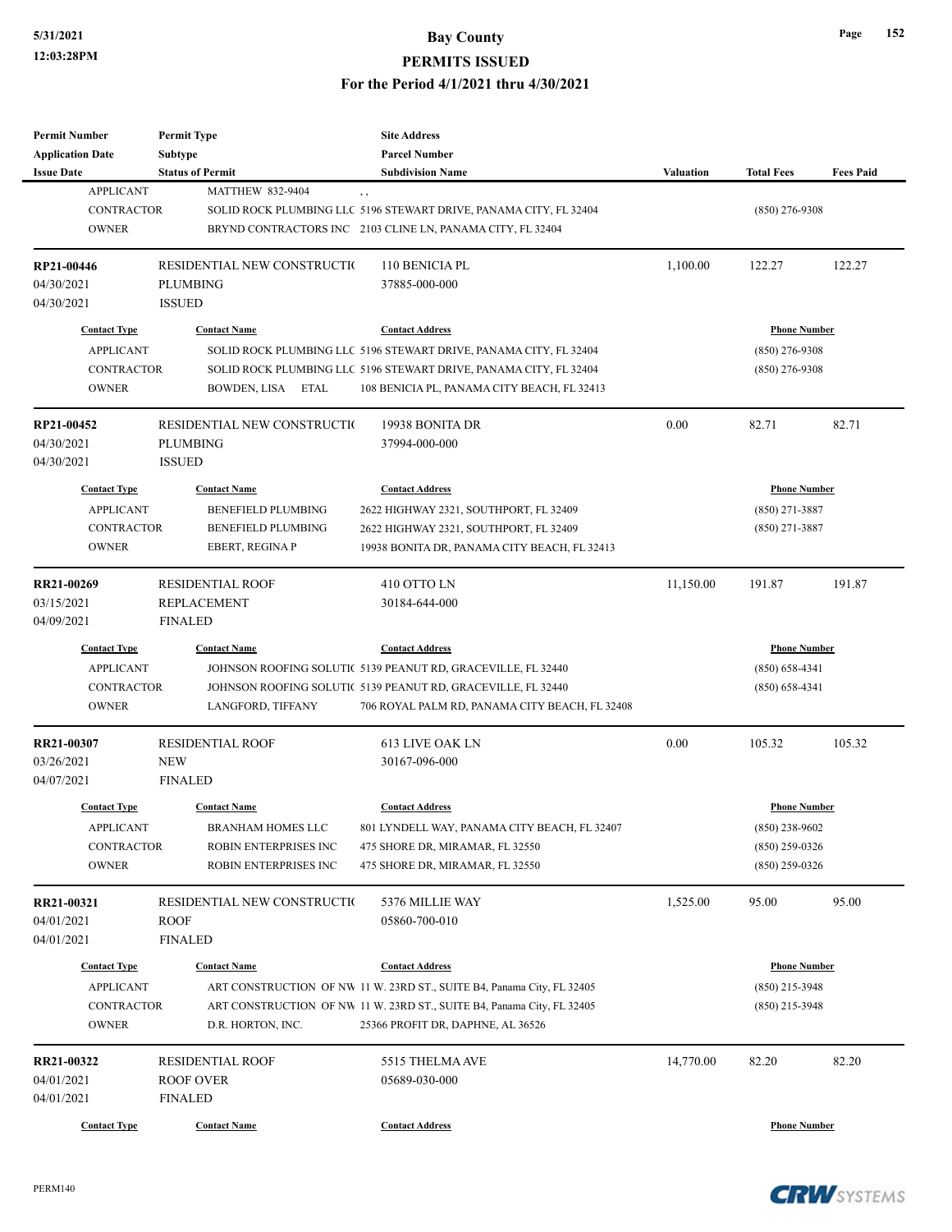| <b>Permit Number</b><br><b>Application Date</b>       | <b>Permit Type</b><br><b>Subtype</b>                            | <b>Site Address</b><br><b>Parcel Number</b>                                                                                                 |           |                                      |                  |
|-------------------------------------------------------|-----------------------------------------------------------------|---------------------------------------------------------------------------------------------------------------------------------------------|-----------|--------------------------------------|------------------|
| <b>Issue Date</b>                                     | <b>Status of Permit</b>                                         | <b>Subdivision Name</b>                                                                                                                     | Valuation | <b>Total Fees</b>                    | <b>Fees Paid</b> |
| <b>APPLICANT</b><br><b>CONTRACTOR</b><br><b>OWNER</b> | <b>MATTHEW 832-9404</b>                                         | $, \, ,$<br>SOLID ROCK PLUMBING LLC 5196 STEWART DRIVE, PANAMA CITY, FL 32404<br>BRYND CONTRACTORS INC 2103 CLINE LN, PANAMA CITY, FL 32404 |           | $(850)$ 276-9308                     |                  |
| RP21-00446<br>04/30/2021                              | RESIDENTIAL NEW CONSTRUCTIO<br><b>PLUMBING</b>                  | 110 BENICIA PL<br>37885-000-000                                                                                                             | 1,100.00  | 122.27                               | 122.27           |
| 04/30/2021                                            | <b>ISSUED</b>                                                   |                                                                                                                                             |           |                                      |                  |
| <b>Contact Type</b>                                   | <b>Contact Name</b>                                             | <b>Contact Address</b>                                                                                                                      |           | <b>Phone Number</b>                  |                  |
| <b>APPLICANT</b><br><b>CONTRACTOR</b>                 |                                                                 | SOLID ROCK PLUMBING LLC 5196 STEWART DRIVE, PANAMA CITY, FL 32404<br>SOLID ROCK PLUMBING LLC 5196 STEWART DRIVE, PANAMA CITY, FL 32404      |           | $(850)$ 276-9308<br>$(850)$ 276-9308 |                  |
| <b>OWNER</b>                                          | BOWDEN, LISA ETAL                                               | 108 BENICIA PL, PANAMA CITY BEACH, FL 32413                                                                                                 |           |                                      |                  |
| RP21-00452<br>04/30/2021<br>04/30/2021                | RESIDENTIAL NEW CONSTRUCTIO<br><b>PLUMBING</b><br><b>ISSUED</b> | 19938 BONITA DR<br>37994-000-000                                                                                                            | 0.00      | 82.71                                | 82.71            |
| <b>Contact Type</b>                                   | <b>Contact Name</b>                                             | <b>Contact Address</b>                                                                                                                      |           | <b>Phone Number</b>                  |                  |
| <b>APPLICANT</b>                                      | <b>BENEFIELD PLUMBING</b>                                       | 2622 HIGHWAY 2321, SOUTHPORT, FL 32409                                                                                                      |           | $(850)$ 271-3887                     |                  |
| <b>CONTRACTOR</b>                                     | <b>BENEFIELD PLUMBING</b>                                       | 2622 HIGHWAY 2321, SOUTHPORT, FL 32409                                                                                                      |           | $(850)$ 271-3887                     |                  |
| <b>OWNER</b>                                          | EBERT, REGINA P                                                 | 19938 BONITA DR, PANAMA CITY BEACH, FL 32413                                                                                                |           |                                      |                  |
| RR21-00269                                            | <b>RESIDENTIAL ROOF</b>                                         | 410 OTTO LN                                                                                                                                 | 11,150.00 | 191.87                               | 191.87           |
| 03/15/2021                                            | <b>REPLACEMENT</b>                                              | 30184-644-000                                                                                                                               |           |                                      |                  |
| 04/09/2021                                            | <b>FINALED</b>                                                  |                                                                                                                                             |           |                                      |                  |
| <b>Contact Type</b>                                   | <b>Contact Name</b>                                             | <b>Contact Address</b>                                                                                                                      |           | <b>Phone Number</b>                  |                  |
| <b>APPLICANT</b>                                      |                                                                 | JOHNSON ROOFING SOLUTIC 5139 PEANUT RD, GRACEVILLE, FL 32440                                                                                |           | $(850) 658 - 4341$                   |                  |
| CONTRACTOR                                            |                                                                 | JOHNSON ROOFING SOLUTIC 5139 PEANUT RD, GRACEVILLE, FL 32440                                                                                |           | $(850) 658 - 4341$                   |                  |
| <b>OWNER</b>                                          | LANGFORD, TIFFANY                                               | 706 ROYAL PALM RD, PANAMA CITY BEACH, FL 32408                                                                                              |           |                                      |                  |
| RR21-00307                                            | <b>RESIDENTIAL ROOF</b>                                         | <b>613 LIVE OAK LN</b>                                                                                                                      | 0.00      | 105.32                               | 105.32           |
| 03/26/2021                                            | <b>NEW</b>                                                      | 30167-096-000                                                                                                                               |           |                                      |                  |
| 04/07/2021                                            | <b>FINALED</b>                                                  |                                                                                                                                             |           |                                      |                  |
| <b>Contact Type</b>                                   | <b>Contact Name</b>                                             | <b>Contact Address</b>                                                                                                                      |           | <b>Phone Number</b>                  |                  |
| <b>APPLICANT</b>                                      | BRANHAM HOMES LLC                                               | 801 LYNDELL WAY, PANAMA CITY BEACH, FL 32407                                                                                                |           | $(850)$ 238-9602                     |                  |
| <b>CONTRACTOR</b>                                     | ROBIN ENTERPRISES INC                                           | 475 SHORE DR, MIRAMAR, FL 32550                                                                                                             |           | $(850)$ 259-0326                     |                  |
| <b>OWNER</b>                                          | ROBIN ENTERPRISES INC                                           | 475 SHORE DR, MIRAMAR, FL 32550                                                                                                             |           | $(850)$ 259-0326                     |                  |
| RR21-00321                                            | RESIDENTIAL NEW CONSTRUCTIO                                     | 5376 MILLIE WAY                                                                                                                             | 1,525.00  | 95.00                                | 95.00            |
| 04/01/2021                                            | <b>ROOF</b>                                                     | 05860-700-010                                                                                                                               |           |                                      |                  |
| 04/01/2021                                            | <b>FINALED</b>                                                  |                                                                                                                                             |           |                                      |                  |
| <b>Contact Type</b>                                   | <b>Contact Name</b>                                             | <b>Contact Address</b>                                                                                                                      |           | <b>Phone Number</b>                  |                  |
| <b>APPLICANT</b>                                      |                                                                 | ART CONSTRUCTION OF NW 11 W. 23RD ST., SUITE B4, Panama City, FL 32405                                                                      |           | $(850)$ 215-3948                     |                  |
| CONTRACTOR                                            |                                                                 | ART CONSTRUCTION OF NW 11 W. 23RD ST., SUITE B4, Panama City, FL 32405                                                                      |           | $(850)$ 215-3948                     |                  |
| <b>OWNER</b>                                          | D.R. HORTON, INC.                                               | 25366 PROFIT DR, DAPHNE, AL 36526                                                                                                           |           |                                      |                  |
| RR21-00322                                            | <b>RESIDENTIAL ROOF</b>                                         | 5515 THELMA AVE                                                                                                                             | 14,770.00 | 82.20                                | 82.20            |
| 04/01/2021                                            | ROOF OVER                                                       | 05689-030-000                                                                                                                               |           |                                      |                  |
| 04/01/2021                                            | FINALED                                                         |                                                                                                                                             |           |                                      |                  |
| <b>Contact Type</b>                                   | <b>Contact Name</b>                                             | <b>Contact Address</b>                                                                                                                      |           | <b>Phone Number</b>                  |                  |
|                                                       |                                                                 |                                                                                                                                             |           |                                      |                  |

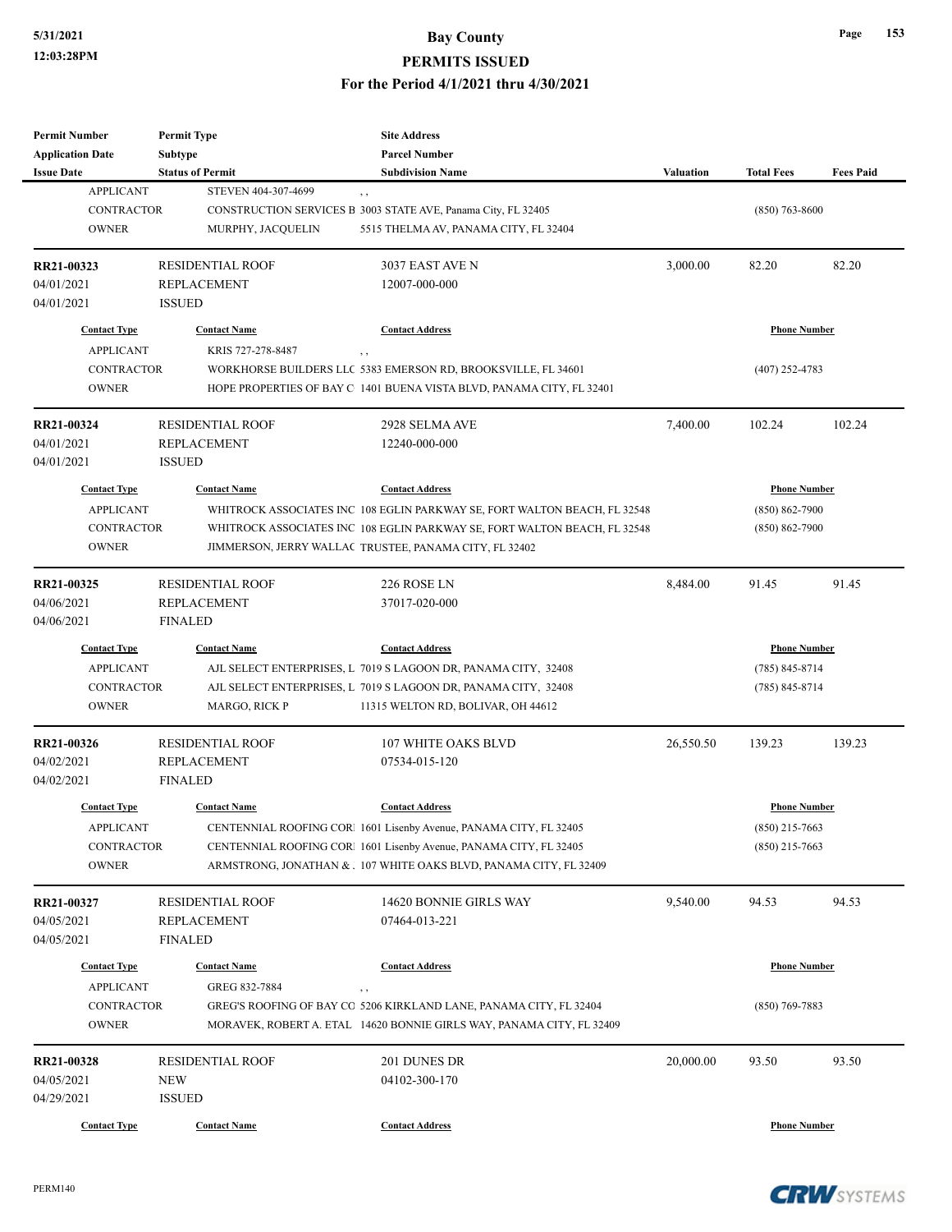| <b>Permit Number</b>    | <b>Permit Type</b>      | <b>Site Address</b>                                                       |                  |                     |                  |
|-------------------------|-------------------------|---------------------------------------------------------------------------|------------------|---------------------|------------------|
| <b>Application Date</b> | Subtype                 | <b>Parcel Number</b>                                                      |                  |                     |                  |
| <b>Issue Date</b>       | <b>Status of Permit</b> | <b>Subdivision Name</b>                                                   | <b>Valuation</b> | <b>Total Fees</b>   | <b>Fees Paid</b> |
| <b>APPLICANT</b>        | STEVEN 404-307-4699     | , ,                                                                       |                  |                     |                  |
| <b>CONTRACTOR</b>       |                         | CONSTRUCTION SERVICES B 3003 STATE AVE, Panama City, FL 32405             |                  | $(850)$ 763-8600    |                  |
| <b>OWNER</b>            | MURPHY, JACQUELIN       | 5515 THELMA AV, PANAMA CITY, FL 32404                                     |                  |                     |                  |
|                         |                         |                                                                           |                  |                     |                  |
| RR21-00323              | <b>RESIDENTIAL ROOF</b> | 3037 EAST AVE N                                                           | 3,000.00         | 82.20               | 82.20            |
| 04/01/2021              | <b>REPLACEMENT</b>      | 12007-000-000                                                             |                  |                     |                  |
| 04/01/2021              | <b>ISSUED</b>           |                                                                           |                  |                     |                  |
| <b>Contact Type</b>     | <b>Contact Name</b>     | <b>Contact Address</b>                                                    |                  | <b>Phone Number</b> |                  |
| <b>APPLICANT</b>        | KRIS 727-278-8487       | , ,                                                                       |                  |                     |                  |
| <b>CONTRACTOR</b>       |                         | WORKHORSE BUILDERS LLC 5383 EMERSON RD, BROOKSVILLE, FL 34601             |                  | $(407)$ 252-4783    |                  |
| <b>OWNER</b>            |                         | HOPE PROPERTIES OF BAY C 1401 BUENA VISTA BLVD, PANAMA CITY, FL 32401     |                  |                     |                  |
|                         |                         |                                                                           |                  |                     |                  |
| RR21-00324              | <b>RESIDENTIAL ROOF</b> | 2928 SELMA AVE                                                            | 7,400.00         | 102.24              | 102.24           |
| 04/01/2021              | <b>REPLACEMENT</b>      | 12240-000-000                                                             |                  |                     |                  |
| 04/01/2021              | <b>ISSUED</b>           |                                                                           |                  |                     |                  |
| <b>Contact Type</b>     | <b>Contact Name</b>     | <b>Contact Address</b>                                                    |                  | <b>Phone Number</b> |                  |
|                         |                         |                                                                           |                  |                     |                  |
| <b>APPLICANT</b>        |                         | WHITROCK ASSOCIATES INC 108 EGLIN PARKWAY SE, FORT WALTON BEACH, FL 32548 |                  | $(850) 862 - 7900$  |                  |
| <b>CONTRACTOR</b>       |                         | WHITROCK ASSOCIATES INC 108 EGLIN PARKWAY SE, FORT WALTON BEACH, FL 32548 |                  | $(850) 862 - 7900$  |                  |
| <b>OWNER</b>            |                         | JIMMERSON, JERRY WALLAC TRUSTEE, PANAMA CITY, FL 32402                    |                  |                     |                  |
| RR21-00325              | <b>RESIDENTIAL ROOF</b> | 226 ROSE LN                                                               | 8,484.00         | 91.45               | 91.45            |
| 04/06/2021              | <b>REPLACEMENT</b>      | 37017-020-000                                                             |                  |                     |                  |
| 04/06/2021              | <b>FINALED</b>          |                                                                           |                  |                     |                  |
| <b>Contact Type</b>     | <b>Contact Name</b>     | <b>Contact Address</b>                                                    |                  | <b>Phone Number</b> |                  |
| <b>APPLICANT</b>        |                         | AJL SELECT ENTERPRISES, L 7019 S LAGOON DR, PANAMA CITY, 32408            |                  | $(785) 845 - 8714$  |                  |
| <b>CONTRACTOR</b>       |                         |                                                                           |                  |                     |                  |
|                         |                         | AJL SELECT ENTERPRISES, L 7019 S LAGOON DR, PANAMA CITY, 32408            |                  | $(785) 845 - 8714$  |                  |
| <b>OWNER</b>            | MARGO, RICK P           | 11315 WELTON RD, BOLIVAR, OH 44612                                        |                  |                     |                  |
| RR21-00326              | <b>RESIDENTIAL ROOF</b> | 107 WHITE OAKS BLVD                                                       | 26,550.50        | 139.23              | 139.23           |
| 04/02/2021              | <b>REPLACEMENT</b>      | 07534-015-120                                                             |                  |                     |                  |
| 04/02/2021              | <b>FINALED</b>          |                                                                           |                  |                     |                  |
|                         |                         |                                                                           |                  |                     |                  |
| <b>Contact Type</b>     | <b>Contact Name</b>     | <b>Contact Address</b>                                                    |                  | <b>Phone Number</b> |                  |
| <b>APPLICANT</b>        |                         | CENTENNIAL ROOFING COR 1601 Lisenby Avenue, PANAMA CITY, FL 32405         |                  | $(850)$ 215-7663    |                  |
| CONTRACTOR              |                         | CENTENNIAL ROOFING COR 1601 Lisenby Avenue, PANAMA CITY, FL 32405         |                  | $(850)$ 215-7663    |                  |
| <b>OWNER</b>            |                         | ARMSTRONG, JONATHAN & . 107 WHITE OAKS BLVD, PANAMA CITY, FL 32409        |                  |                     |                  |
| RR21-00327              | <b>RESIDENTIAL ROOF</b> | 14620 BONNIE GIRLS WAY                                                    | 9,540.00         | 94.53               | 94.53            |
| 04/05/2021              | <b>REPLACEMENT</b>      | 07464-013-221                                                             |                  |                     |                  |
| 04/05/2021              | <b>FINALED</b>          |                                                                           |                  |                     |                  |
|                         |                         |                                                                           |                  |                     |                  |
| <b>Contact Type</b>     | <b>Contact Name</b>     | <b>Contact Address</b>                                                    |                  | <b>Phone Number</b> |                  |
| <b>APPLICANT</b>        | GREG 832-7884           | , ,                                                                       |                  |                     |                  |
| <b>CONTRACTOR</b>       |                         | GREG'S ROOFING OF BAY CO 5206 KIRKLAND LANE, PANAMA CITY, FL 32404        |                  | $(850)$ 769-7883    |                  |
| <b>OWNER</b>            |                         | MORAVEK, ROBERT A. ETAL 14620 BONNIE GIRLS WAY, PANAMA CITY, FL 32409     |                  |                     |                  |
|                         |                         |                                                                           |                  |                     |                  |
| RR21-00328              | <b>RESIDENTIAL ROOF</b> | 201 DUNES DR                                                              | 20,000.00        | 93.50               | 93.50            |
| 04/05/2021              | <b>NEW</b>              | 04102-300-170                                                             |                  |                     |                  |
| 04/29/2021              | <b>ISSUED</b>           |                                                                           |                  |                     |                  |
| <b>Contact Type</b>     | <b>Contact Name</b>     | <b>Contact Address</b>                                                    |                  | <b>Phone Number</b> |                  |

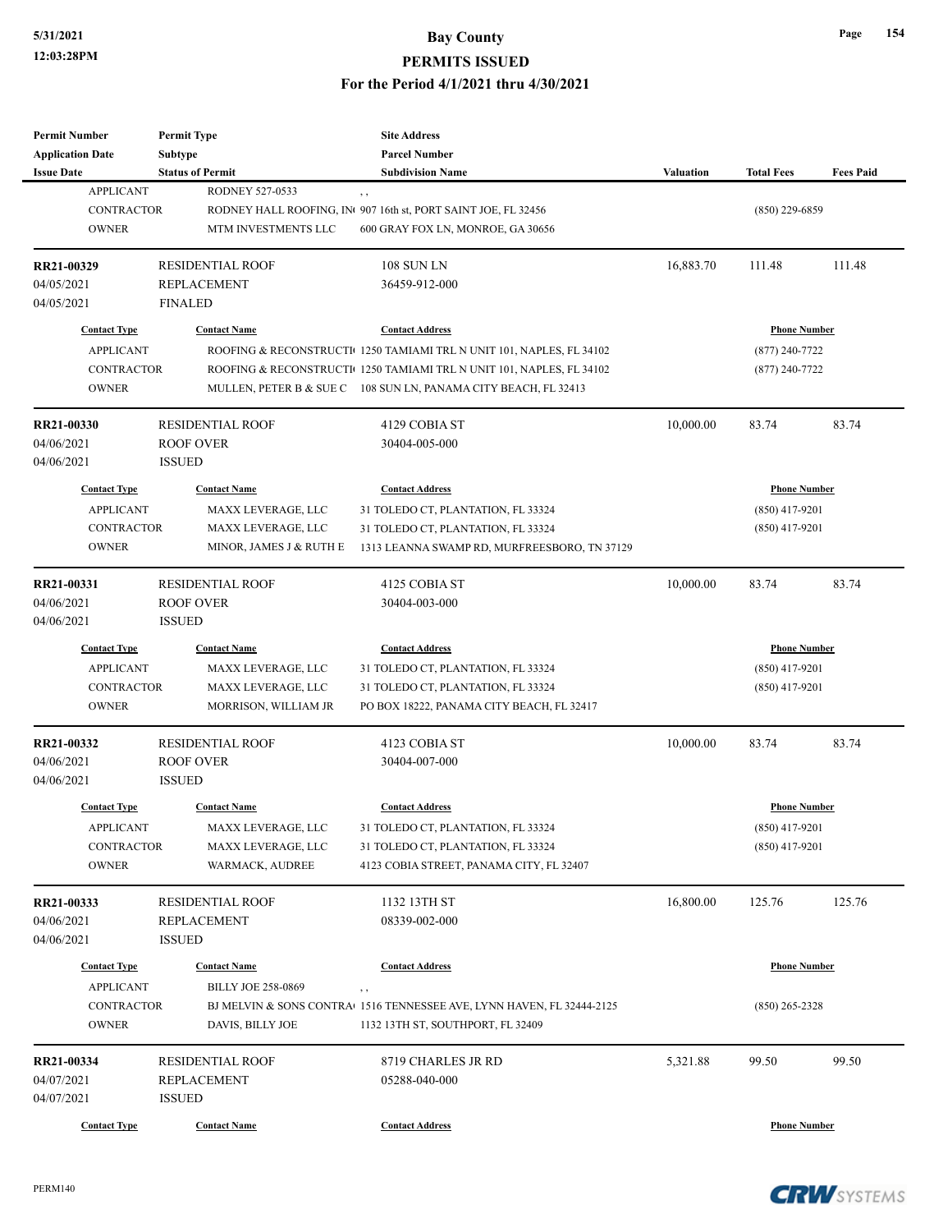| <b>Permit Number</b>    | <b>Permit Type</b>        | <b>Site Address</b>                                                           |                  |                     |                  |
|-------------------------|---------------------------|-------------------------------------------------------------------------------|------------------|---------------------|------------------|
| <b>Application Date</b> | Subtype                   | <b>Parcel Number</b>                                                          |                  |                     |                  |
| <b>Issue Date</b>       | <b>Status of Permit</b>   | <b>Subdivision Name</b>                                                       | <b>Valuation</b> | <b>Total Fees</b>   | <b>Fees Paid</b> |
| <b>APPLICANT</b>        | <b>RODNEY 527-0533</b>    | , ,                                                                           |                  |                     |                  |
| <b>CONTRACTOR</b>       |                           | RODNEY HALL ROOFING, INt 907 16th st, PORT SAINT JOE, FL 32456                |                  | $(850)$ 229-6859    |                  |
| <b>OWNER</b>            | MTM INVESTMENTS LLC       | 600 GRAY FOX LN, MONROE, GA 30656                                             |                  |                     |                  |
| RR21-00329              | <b>RESIDENTIAL ROOF</b>   | <b>108 SUN LN</b>                                                             | 16,883.70        | 111.48              | 111.48           |
| 04/05/2021              | <b>REPLACEMENT</b>        | 36459-912-000                                                                 |                  |                     |                  |
| 04/05/2021              | <b>FINALED</b>            |                                                                               |                  |                     |                  |
| <b>Contact Type</b>     | <b>Contact Name</b>       | <b>Contact Address</b>                                                        |                  | <b>Phone Number</b> |                  |
| <b>APPLICANT</b>        |                           | ROOFING & RECONSTRUCTI 1250 TAMIAMI TRL N UNIT 101, NAPLES, FL 34102          |                  |                     |                  |
|                         |                           |                                                                               |                  | $(877)$ 240-7722    |                  |
| <b>CONTRACTOR</b>       |                           | ROOFING & RECONSTRUCTI 1250 TAMIAMI TRL N UNIT 101, NAPLES, FL 34102          |                  | $(877)$ 240-7722    |                  |
| <b>OWNER</b>            |                           | MULLEN, PETER B & SUE C 108 SUN LN, PANAMA CITY BEACH, FL 32413               |                  |                     |                  |
| RR21-00330              | <b>RESIDENTIAL ROOF</b>   | 4129 COBIA ST                                                                 | 10,000.00        | 83.74               | 83.74            |
| 04/06/2021              | <b>ROOF OVER</b>          | 30404-005-000                                                                 |                  |                     |                  |
| 04/06/2021              | <b>ISSUED</b>             |                                                                               |                  |                     |                  |
| <b>Contact Type</b>     | <b>Contact Name</b>       | <b>Contact Address</b>                                                        |                  | <b>Phone Number</b> |                  |
| <b>APPLICANT</b>        | MAXX LEVERAGE, LLC        | 31 TOLEDO CT, PLANTATION, FL 33324                                            |                  | $(850)$ 417-9201    |                  |
| <b>CONTRACTOR</b>       | MAXX LEVERAGE, LLC        | 31 TOLEDO CT, PLANTATION, FL 33324                                            |                  | $(850)$ 417-9201    |                  |
| <b>OWNER</b>            | MINOR, JAMES J & RUTH E   | 1313 LEANNA SWAMP RD, MURFREESBORO, TN 37129                                  |                  |                     |                  |
|                         |                           |                                                                               |                  |                     |                  |
| RR21-00331              | <b>RESIDENTIAL ROOF</b>   | 4125 COBIA ST                                                                 | 10,000.00        | 83.74               | 83.74            |
| 04/06/2021              | <b>ROOF OVER</b>          | 30404-003-000                                                                 |                  |                     |                  |
| 04/06/2021              | <b>ISSUED</b>             |                                                                               |                  |                     |                  |
| <b>Contact Type</b>     | <b>Contact Name</b>       | <b>Contact Address</b>                                                        |                  | <b>Phone Number</b> |                  |
| <b>APPLICANT</b>        | MAXX LEVERAGE, LLC        | 31 TOLEDO CT, PLANTATION, FL 33324                                            |                  | $(850)$ 417-9201    |                  |
| CONTRACTOR              | MAXX LEVERAGE, LLC        | 31 TOLEDO CT, PLANTATION, FL 33324                                            |                  | $(850)$ 417-9201    |                  |
| <b>OWNER</b>            | MORRISON, WILLIAM JR      | PO BOX 18222, PANAMA CITY BEACH, FL 32417                                     |                  |                     |                  |
| RR21-00332              | <b>RESIDENTIAL ROOF</b>   | 4123 COBIA ST                                                                 | 10,000.00        | 83.74               | 83.74            |
| 04/06/2021              | <b>ROOF OVER</b>          | 30404-007-000                                                                 |                  |                     |                  |
| 04/06/2021              | <b>ISSUED</b>             |                                                                               |                  |                     |                  |
| <b>Contact Type</b>     | <b>Contact Name</b>       | <b>Contact Address</b>                                                        |                  |                     |                  |
|                         |                           |                                                                               |                  | <b>Phone Number</b> |                  |
| <b>APPLICANT</b>        | MAXX LEVERAGE, LLC        | 31 TOLEDO CT, PLANTATION, FL 33324                                            |                  | $(850)$ 417-9201    |                  |
| CONTRACTOR              | MAXX LEVERAGE, LLC        | 31 TOLEDO CT, PLANTATION, FL 33324                                            |                  | $(850)$ 417-9201    |                  |
| <b>OWNER</b>            | WARMACK, AUDREE           | 4123 COBIA STREET, PANAMA CITY, FL 32407                                      |                  |                     |                  |
| RR21-00333              | <b>RESIDENTIAL ROOF</b>   | 1132 13TH ST                                                                  | 16,800.00        | 125.76              | 125.76           |
| 04/06/2021              | <b>REPLACEMENT</b>        | 08339-002-000                                                                 |                  |                     |                  |
| 04/06/2021              | <b>ISSUED</b>             |                                                                               |                  |                     |                  |
|                         |                           |                                                                               |                  |                     |                  |
| <b>Contact Type</b>     | <b>Contact Name</b>       | <b>Contact Address</b>                                                        |                  | <b>Phone Number</b> |                  |
| <b>APPLICANT</b>        | <b>BILLY JOE 258-0869</b> | $, \, ,$                                                                      |                  |                     |                  |
| CONTRACTOR              |                           | BJ MELVIN & SONS CONTRA $\cdot$ 1516 TENNESSEE AVE, LYNN HAVEN, FL 32444-2125 |                  | $(850)$ 265-2328    |                  |
| <b>OWNER</b>            | DAVIS, BILLY JOE          | 1132 13TH ST, SOUTHPORT, FL 32409                                             |                  |                     |                  |
| RR21-00334              | <b>RESIDENTIAL ROOF</b>   | 8719 CHARLES JR RD                                                            | 5,321.88         | 99.50               | 99.50            |
| 04/07/2021              | <b>REPLACEMENT</b>        | 05288-040-000                                                                 |                  |                     |                  |
| 04/07/2021              | <b>ISSUED</b>             |                                                                               |                  |                     |                  |
|                         |                           |                                                                               |                  |                     |                  |
| <b>Contact Type</b>     | <b>Contact Name</b>       | <b>Contact Address</b>                                                        |                  | <b>Phone Number</b> |                  |

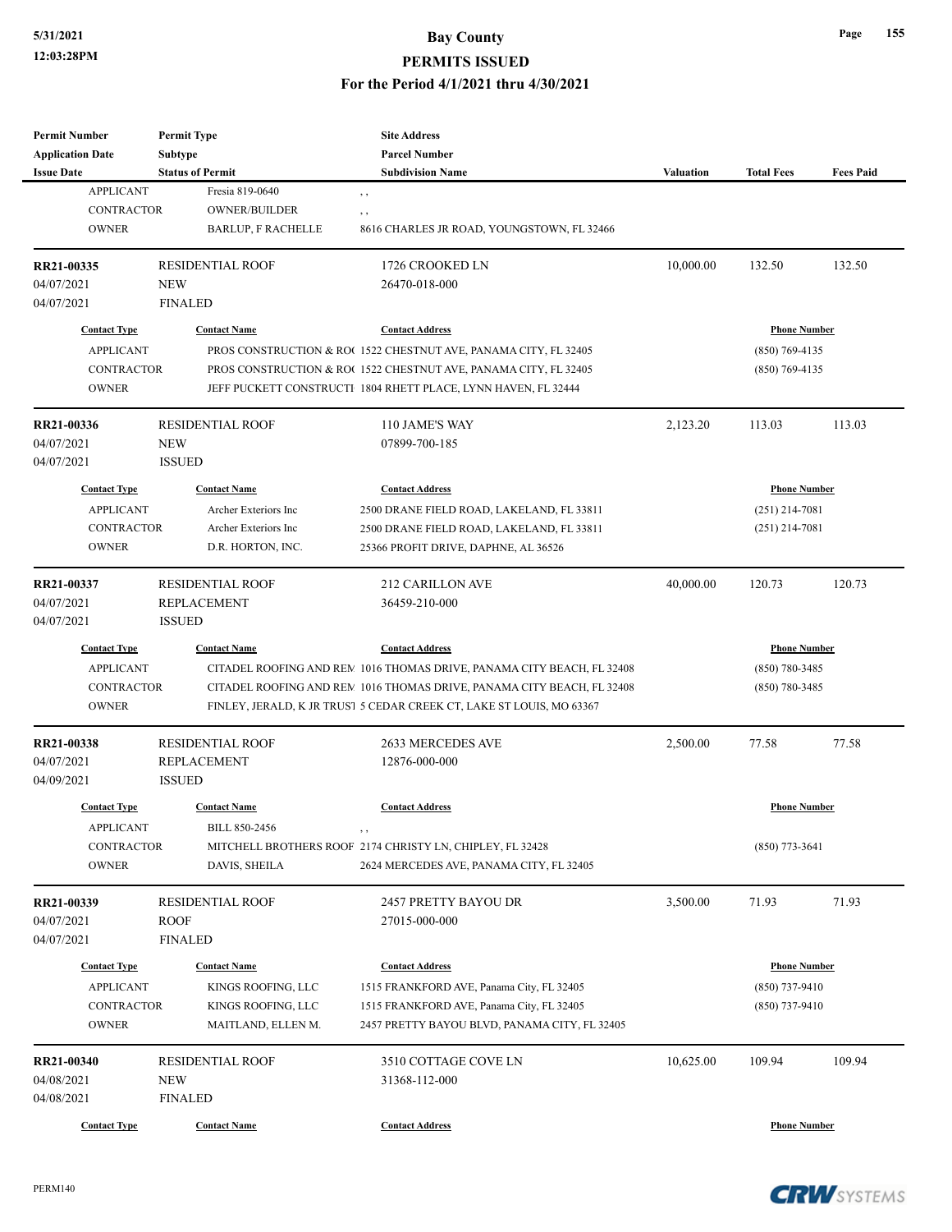## **5/31/2021 Bay County PERMITS ISSUED**

#### **For the Period 4/1/2021 thru 4/30/2021**

| Permit Number           | <b>Permit Type</b>        | <b>Site Address</b>                                                    |           |                     |                  |
|-------------------------|---------------------------|------------------------------------------------------------------------|-----------|---------------------|------------------|
| <b>Application Date</b> | Subtype                   | <b>Parcel Number</b>                                                   |           |                     |                  |
| <b>Issue Date</b>       | <b>Status of Permit</b>   | <b>Subdivision Name</b>                                                | Valuation | <b>Total Fees</b>   | <b>Fees Paid</b> |
| <b>APPLICANT</b>        | Fresia 819-0640           | $, \, , \,$                                                            |           |                     |                  |
| <b>CONTRACTOR</b>       | <b>OWNER/BUILDER</b>      | , ,                                                                    |           |                     |                  |
| <b>OWNER</b>            | <b>BARLUP, F RACHELLE</b> | 8616 CHARLES JR ROAD, YOUNGSTOWN, FL 32466                             |           |                     |                  |
| RR21-00335              | RESIDENTIAL ROOF          | 1726 CROOKED LN                                                        | 10,000.00 | 132.50              | 132.50           |
| 04/07/2021              | <b>NEW</b>                | 26470-018-000                                                          |           |                     |                  |
| 04/07/2021              | <b>FINALED</b>            |                                                                        |           |                     |                  |
| <b>Contact Type</b>     | <b>Contact Name</b>       | <b>Contact Address</b>                                                 |           | <b>Phone Number</b> |                  |
| <b>APPLICANT</b>        |                           | PROS CONSTRUCTION & RO(1522 CHESTNUT AVE, PANAMA CITY, FL 32405        |           | $(850)$ 769-4135    |                  |
| <b>CONTRACTOR</b>       |                           | PROS CONSTRUCTION & ROC 1522 CHESTNUT AVE, PANAMA CITY, FL 32405       |           | $(850)$ 769-4135    |                  |
| <b>OWNER</b>            |                           | JEFF PUCKETT CONSTRUCTI 1804 RHETT PLACE, LYNN HAVEN, FL 32444         |           |                     |                  |
| RR21-00336              | <b>RESIDENTIAL ROOF</b>   | 110 JAME'S WAY                                                         | 2,123.20  | 113.03              | 113.03           |
| 04/07/2021              | NEW                       | 07899-700-185                                                          |           |                     |                  |
| 04/07/2021              | <b>ISSUED</b>             |                                                                        |           |                     |                  |
| <b>Contact Type</b>     | <b>Contact Name</b>       | <b>Contact Address</b>                                                 |           | <b>Phone Number</b> |                  |
|                         |                           |                                                                        |           |                     |                  |
| <b>APPLICANT</b>        | Archer Exteriors Inc      | 2500 DRANE FIELD ROAD, LAKELAND, FL 33811                              |           | $(251)$ 214-7081    |                  |
| <b>CONTRACTOR</b>       | Archer Exteriors Inc      | 2500 DRANE FIELD ROAD, LAKELAND, FL 33811                              |           | $(251)$ 214-7081    |                  |
| <b>OWNER</b>            | D.R. HORTON, INC.         | 25366 PROFIT DRIVE, DAPHNE, AL 36526                                   |           |                     |                  |
| RR21-00337              | <b>RESIDENTIAL ROOF</b>   | <b>212 CARILLON AVE</b>                                                | 40,000.00 | 120.73              | 120.73           |
| 04/07/2021              | <b>REPLACEMENT</b>        | 36459-210-000                                                          |           |                     |                  |
| 04/07/2021              | <b>ISSUED</b>             |                                                                        |           |                     |                  |
| <b>Contact Type</b>     | <b>Contact Name</b>       | <b>Contact Address</b>                                                 |           | <b>Phone Number</b> |                  |
| <b>APPLICANT</b>        |                           | CITADEL ROOFING AND REM 1016 THOMAS DRIVE, PANAMA CITY BEACH, FL 32408 |           | $(850)$ 780-3485    |                  |
| <b>CONTRACTOR</b>       |                           | CITADEL ROOFING AND REM 1016 THOMAS DRIVE, PANAMA CITY BEACH, FL 32408 |           | $(850) 780 - 3485$  |                  |
| <b>OWNER</b>            |                           | FINLEY, JERALD, K JR TRUSI 5 CEDAR CREEK CT, LAKE ST LOUIS, MO 63367   |           |                     |                  |
| RR21-00338              | <b>RESIDENTIAL ROOF</b>   | 2633 MERCEDES AVE                                                      | 2,500.00  | 77.58               | 77.58            |
| 04/07/2021              | REPLACEMENT               | 12876-000-000                                                          |           |                     |                  |
| 04/09/2021              | <b>ISSUED</b>             |                                                                        |           |                     |                  |
| <b>Contact Type</b>     | <b>Contact Name</b>       | <b>Contact Address</b>                                                 |           | <b>Phone Number</b> |                  |
| <b>APPLICANT</b>        | <b>BILL 850-2456</b>      |                                                                        |           |                     |                  |
| CONTRACTOR              |                           | MITCHELL BROTHERS ROOF 2174 CHRISTY LN, CHIPLEY, FL 32428              |           | $(850)$ 773-3641    |                  |
| <b>OWNER</b>            | DAVIS, SHEILA             | 2624 MERCEDES AVE, PANAMA CITY, FL 32405                               |           |                     |                  |
| RR21-00339              | RESIDENTIAL ROOF          | 2457 PRETTY BAYOU DR                                                   | 3,500.00  | 71.93               | 71.93            |
| 04/07/2021              | <b>ROOF</b>               | 27015-000-000                                                          |           |                     |                  |
|                         |                           |                                                                        |           |                     |                  |
| 04/07/2021              | <b>FINALED</b>            |                                                                        |           |                     |                  |
| <b>Contact Type</b>     | <b>Contact Name</b>       | <b>Contact Address</b>                                                 |           | <b>Phone Number</b> |                  |
| <b>APPLICANT</b>        | KINGS ROOFING, LLC        | 1515 FRANKFORD AVE, Panama City, FL 32405                              |           | $(850)$ 737-9410    |                  |
| <b>CONTRACTOR</b>       | KINGS ROOFING, LLC        | 1515 FRANKFORD AVE, Panama City, FL 32405                              |           | $(850)$ 737-9410    |                  |
| <b>OWNER</b>            | MAITLAND, ELLEN M.        | 2457 PRETTY BAYOU BLVD, PANAMA CITY, FL 32405                          |           |                     |                  |
| RR21-00340              | <b>RESIDENTIAL ROOF</b>   | 3510 COTTAGE COVE LN                                                   | 10,625.00 | 109.94              | 109.94           |
| 04/08/2021              | <b>NEW</b>                | 31368-112-000                                                          |           |                     |                  |
| 04/08/2021              | <b>FINALED</b>            |                                                                        |           |                     |                  |
| <b>Contact Type</b>     | <b>Contact Name</b>       | <b>Contact Address</b>                                                 |           | <b>Phone Number</b> |                  |
|                         |                           |                                                                        |           |                     |                  |

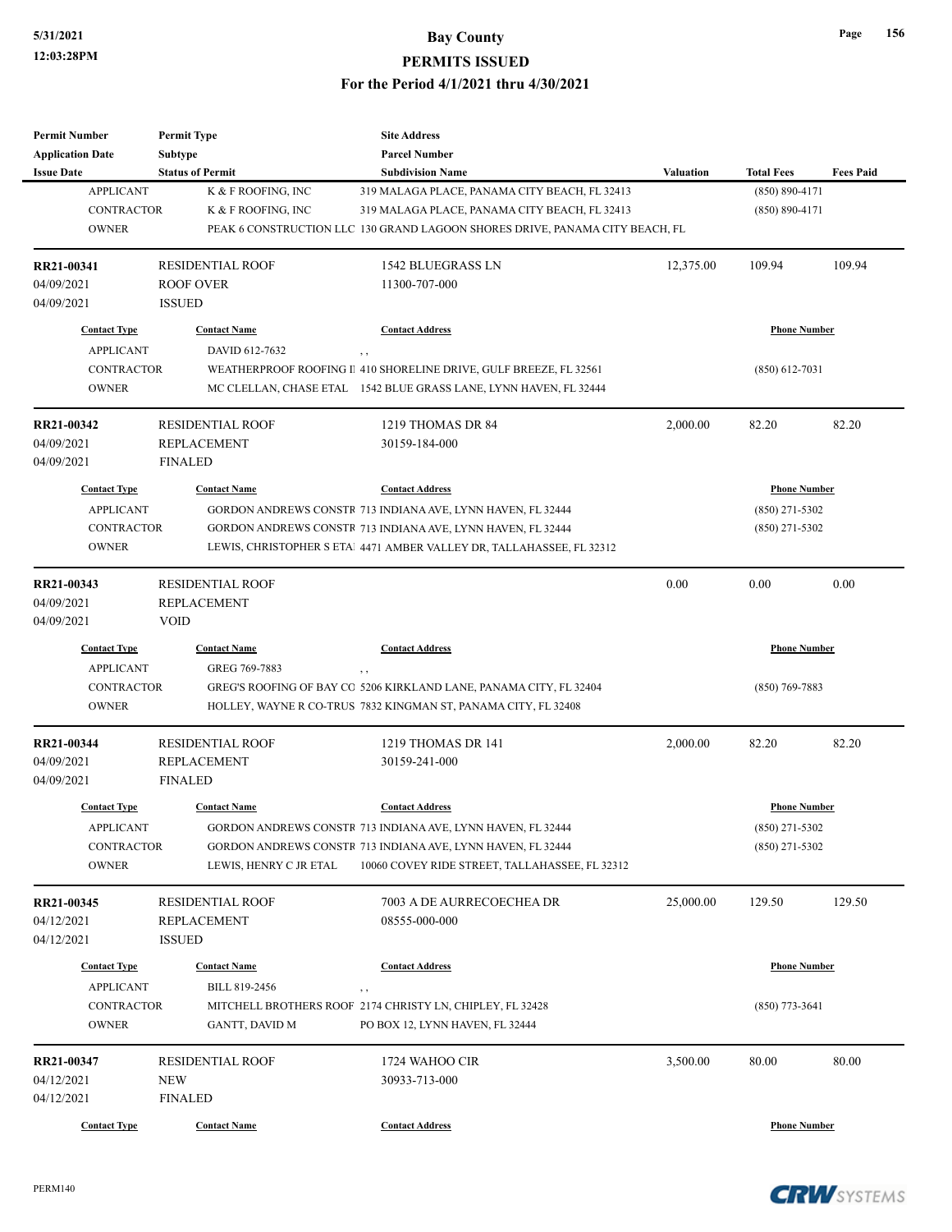| <b>Permit Number</b>    | <b>Permit Type</b>                   | <b>Site Address</b>                                                          |                  |                     |                  |
|-------------------------|--------------------------------------|------------------------------------------------------------------------------|------------------|---------------------|------------------|
| <b>Application Date</b> | Subtype                              | <b>Parcel Number</b>                                                         |                  |                     |                  |
| <b>Issue Date</b>       | <b>Status of Permit</b>              | <b>Subdivision Name</b>                                                      | <b>Valuation</b> | <b>Total Fees</b>   | <b>Fees Paid</b> |
| <b>APPLICANT</b>        | K & F ROOFING, INC                   | 319 MALAGA PLACE, PANAMA CITY BEACH, FL 32413                                |                  | $(850) 890 - 4171$  |                  |
| <b>CONTRACTOR</b>       | K & F ROOFING, INC                   | 319 MALAGA PLACE, PANAMA CITY BEACH, FL 32413                                |                  | $(850) 890 - 4171$  |                  |
| <b>OWNER</b>            |                                      | PEAK 6 CONSTRUCTION LLC 130 GRAND LAGOON SHORES DRIVE, PANAMA CITY BEACH, FL |                  |                     |                  |
| RR21-00341              | <b>RESIDENTIAL ROOF</b>              | <b>1542 BLUEGRASS LN</b>                                                     | 12,375.00        | 109.94              | 109.94           |
| 04/09/2021              | <b>ROOF OVER</b>                     | 11300-707-000                                                                |                  |                     |                  |
| 04/09/2021              | <b>ISSUED</b>                        |                                                                              |                  |                     |                  |
| <b>Contact Type</b>     | <b>Contact Name</b>                  | <b>Contact Address</b>                                                       |                  | <b>Phone Number</b> |                  |
| <b>APPLICANT</b>        | DAVID 612-7632                       | , ,                                                                          |                  |                     |                  |
| <b>CONTRACTOR</b>       |                                      | WEATHERPROOF ROOFING II 410 SHORELINE DRIVE, GULF BREEZE, FL 32561           |                  | $(850)$ 612-7031    |                  |
| <b>OWNER</b>            |                                      | MC CLELLAN, CHASE ETAL 1542 BLUE GRASS LANE, LYNN HAVEN, FL 32444            |                  |                     |                  |
| RR21-00342              | <b>RESIDENTIAL ROOF</b>              | 1219 THOMAS DR 84                                                            | 2,000.00         | 82.20               | 82.20            |
| 04/09/2021              | <b>REPLACEMENT</b>                   | 30159-184-000                                                                |                  |                     |                  |
| 04/09/2021              | <b>FINALED</b>                       |                                                                              |                  |                     |                  |
| <b>Contact Type</b>     | <b>Contact Name</b>                  | <b>Contact Address</b>                                                       |                  | <b>Phone Number</b> |                  |
| <b>APPLICANT</b>        |                                      | GORDON ANDREWS CONSTR 713 INDIANA AVE, LYNN HAVEN, FL 32444                  |                  | $(850)$ 271-5302    |                  |
| <b>CONTRACTOR</b>       |                                      | GORDON ANDREWS CONSTR 713 INDIANA AVE, LYNN HAVEN, FL 32444                  |                  | $(850)$ 271-5302    |                  |
| <b>OWNER</b>            |                                      | LEWIS, CHRISTOPHER S ETAL 4471 AMBER VALLEY DR, TALLAHASSEE, FL 32312        |                  |                     |                  |
|                         |                                      |                                                                              |                  |                     |                  |
| RR21-00343              | <b>RESIDENTIAL ROOF</b>              |                                                                              | 0.00             | 0.00                | 0.00             |
| 04/09/2021              | <b>REPLACEMENT</b>                   |                                                                              |                  |                     |                  |
| 04/09/2021              | <b>VOID</b>                          |                                                                              |                  |                     |                  |
| <b>Contact Type</b>     | <b>Contact Name</b>                  | <b>Contact Address</b>                                                       |                  | <b>Phone Number</b> |                  |
| <b>APPLICANT</b>        | GREG 769-7883                        | , ,                                                                          |                  |                     |                  |
| <b>CONTRACTOR</b>       |                                      | GREG'S ROOFING OF BAY CO 5206 KIRKLAND LANE, PANAMA CITY, FL 32404           |                  | $(850)$ 769-7883    |                  |
| <b>OWNER</b>            |                                      | HOLLEY, WAYNE R CO-TRUS 7832 KINGMAN ST, PANAMA CITY, FL 32408               |                  |                     |                  |
| RR21-00344              | <b>RESIDENTIAL ROOF</b>              | 1219 THOMAS DR 141                                                           | 2,000.00         | 82.20               | 82.20            |
| 04/09/2021              | <b>REPLACEMENT</b>                   | 30159-241-000                                                                |                  |                     |                  |
| 04/09/2021              | <b>FINALED</b>                       |                                                                              |                  |                     |                  |
| <b>Contact Type</b>     | <b>Contact Name</b>                  | <b>Contact Address</b>                                                       |                  | <b>Phone Number</b> |                  |
| <b>APPLICANT</b>        |                                      | GORDON ANDREWS CONSTR 713 INDIANA AVE, LYNN HAVEN, FL 32444                  |                  | (850) 271-5302      |                  |
| CONTRACTOR              |                                      | GORDON ANDREWS CONSTR 713 INDIANA AVE, LYNN HAVEN, FL 32444                  |                  | $(850)$ 271-5302    |                  |
| <b>OWNER</b>            | LEWIS, HENRY C JR ETAL               | 10060 COVEY RIDE STREET, TALLAHASSEE, FL 32312                               |                  |                     |                  |
| RR21-00345              | <b>RESIDENTIAL ROOF</b>              | 7003 A DE AURRECOECHEA DR                                                    | 25,000.00        | 129.50              | 129.50           |
| 04/12/2021              | REPLACEMENT                          | 08555-000-000                                                                |                  |                     |                  |
| 04/12/2021              | <b>ISSUED</b>                        |                                                                              |                  |                     |                  |
|                         |                                      |                                                                              |                  |                     |                  |
| <b>Contact Type</b>     | <b>Contact Name</b><br>BILL 819-2456 | <b>Contact Address</b>                                                       |                  | <b>Phone Number</b> |                  |
| <b>APPLICANT</b>        |                                      | $, \, , \,$                                                                  |                  |                     |                  |
| CONTRACTOR              |                                      | MITCHELL BROTHERS ROOF 2174 CHRISTY LN, CHIPLEY, FL 32428                    |                  | $(850)$ 773-3641    |                  |
| <b>OWNER</b>            | GANTT, DAVID M                       | PO BOX 12, LYNN HAVEN, FL 32444                                              |                  |                     |                  |
| RR21-00347              | <b>RESIDENTIAL ROOF</b>              | 1724 WAHOO CIR                                                               | 3,500.00         | 80.00               | 80.00            |
| 04/12/2021              | <b>NEW</b>                           | 30933-713-000                                                                |                  |                     |                  |
| 04/12/2021              | <b>FINALED</b>                       |                                                                              |                  |                     |                  |
| <b>Contact Type</b>     | <b>Contact Name</b>                  | <b>Contact Address</b>                                                       |                  | <b>Phone Number</b> |                  |

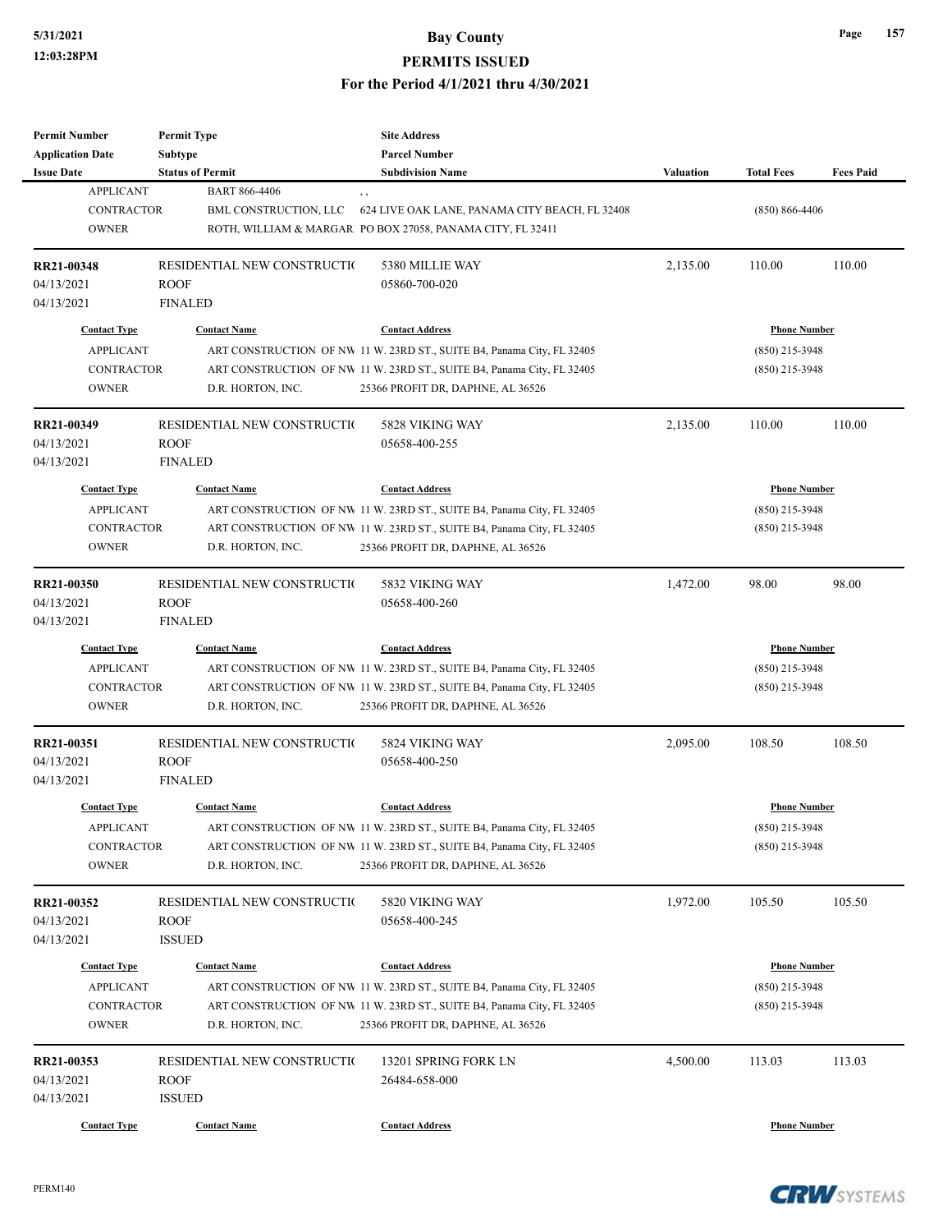**Permit Number**

**Permit Type**

## **5/31/2021 Bay County PERMITS ISSUED For the Period 4/1/2021 thru 4/30/2021**

**Site Address**

| <b>Application Date</b>                                                      | Subtype                                                       | <b>Parcel Number</b>                                                                                                                                                                                            |           |                                                             |                  |
|------------------------------------------------------------------------------|---------------------------------------------------------------|-----------------------------------------------------------------------------------------------------------------------------------------------------------------------------------------------------------------|-----------|-------------------------------------------------------------|------------------|
| <b>Issue Date</b>                                                            | <b>Status of Permit</b>                                       | <b>Subdivision Name</b>                                                                                                                                                                                         | Valuation | <b>Total Fees</b>                                           | <b>Fees Paid</b> |
| <b>APPLICANT</b><br><b>CONTRACTOR</b><br><b>OWNER</b>                        | <b>BART 866-4406</b><br>BML CONSTRUCTION, LLC                 | 624 LIVE OAK LANE, PANAMA CITY BEACH, FL 32408<br>ROTH, WILLIAM & MARGAR PO BOX 27058, PANAMA CITY, FL 32411                                                                                                    |           | $(850) 866 - 4406$                                          |                  |
| RR21-00348<br>04/13/2021<br>04/13/2021                                       | RESIDENTIAL NEW CONSTRUCTIO<br><b>ROOF</b><br><b>FINALED</b>  | 5380 MILLIE WAY<br>05860-700-020                                                                                                                                                                                | 2,135.00  | 110.00                                                      | 110.00           |
| <b>Contact Type</b><br><b>APPLICANT</b><br><b>CONTRACTOR</b><br><b>OWNER</b> | <b>Contact Name</b><br>D.R. HORTON, INC.                      | <b>Contact Address</b><br>ART CONSTRUCTION OF NW 11 W. 23RD ST., SUITE B4, Panama City, FL 32405<br>ART CONSTRUCTION OF NW 11 W. 23RD ST., SUITE B4, Panama City, FL 32405<br>25366 PROFIT DR, DAPHNE, AL 36526 |           | <b>Phone Number</b><br>(850) 215-3948<br>$(850)$ 215-3948   |                  |
| RR21-00349<br>04/13/2021<br>04/13/2021                                       | RESIDENTIAL NEW CONSTRUCTION<br><b>ROOF</b><br><b>FINALED</b> | 5828 VIKING WAY<br>05658-400-255                                                                                                                                                                                | 2,135.00  | 110.00                                                      | 110.00           |
| <b>Contact Type</b><br><b>APPLICANT</b><br><b>CONTRACTOR</b><br><b>OWNER</b> | <b>Contact Name</b><br>D.R. HORTON, INC.                      | <b>Contact Address</b><br>ART CONSTRUCTION OF NW 11 W. 23RD ST., SUITE B4, Panama City, FL 32405<br>ART CONSTRUCTION OF NW 11 W. 23RD ST., SUITE B4, Panama City, FL 32405<br>25366 PROFIT DR, DAPHNE, AL 36526 |           | <b>Phone Number</b><br>$(850)$ 215-3948<br>$(850)$ 215-3948 |                  |
| RR21-00350<br>04/13/2021<br>04/13/2021                                       | RESIDENTIAL NEW CONSTRUCTIO<br><b>ROOF</b><br><b>FINALED</b>  | 5832 VIKING WAY<br>05658-400-260                                                                                                                                                                                | 1,472.00  | 98.00                                                       | 98.00            |
| <b>Contact Type</b>                                                          | <b>Contact Name</b>                                           | <b>Contact Address</b>                                                                                                                                                                                          |           | <b>Phone Number</b>                                         |                  |
| <b>APPLICANT</b><br><b>CONTRACTOR</b><br><b>OWNER</b>                        | D.R. HORTON, INC.                                             | ART CONSTRUCTION OF NW 11 W. 23RD ST., SUITE B4, Panama City, FL 32405<br>ART CONSTRUCTION OF NW 11 W. 23RD ST., SUITE B4, Panama City, FL 32405<br>25366 PROFIT DR, DAPHNE, AL 36526                           |           | $(850)$ 215-3948<br>$(850)$ 215-3948                        |                  |
| RR21-00351<br>04/13/2021<br>04/13/2021                                       | RESIDENTIAL NEW CONSTRUCTIO<br><b>ROOF</b><br><b>FINALED</b>  | 5824 VIKING WAY<br>05658-400-250                                                                                                                                                                                | 2,095.00  | 108.50                                                      | 108.50           |
| <b>Contact Type</b><br><b>APPLICANT</b><br><b>CONTRACTOR</b><br><b>OWNER</b> | <b>Contact Name</b><br>D.R. HORTON, INC.                      | <b>Contact Address</b><br>ART CONSTRUCTION OF NW 11 W. 23RD ST., SUITE B4, Panama City, FL 32405<br>ART CONSTRUCTION OF NW 11 W. 23RD ST., SUITE B4, Panama City, FL 32405<br>25366 PROFIT DR, DAPHNE, AL 36526 |           | <b>Phone Number</b><br>$(850)$ 215-3948<br>$(850)$ 215-3948 |                  |
| RR21-00352<br>04/13/2021<br>04/13/2021                                       | RESIDENTIAL NEW CONSTRUCTIO<br>ROOF<br><b>ISSUED</b>          | 5820 VIKING WAY<br>05658-400-245                                                                                                                                                                                | 1,972.00  | 105.50                                                      | 105.50           |
| <b>Contact Type</b><br><b>APPLICANT</b><br><b>CONTRACTOR</b><br><b>OWNER</b> | <b>Contact Name</b><br>D.R. HORTON, INC.                      | <b>Contact Address</b><br>ART CONSTRUCTION OF NW 11 W. 23RD ST., SUITE B4, Panama City, FL 32405<br>ART CONSTRUCTION OF NW 11 W. 23RD ST., SUITE B4, Panama City, FL 32405<br>25366 PROFIT DR, DAPHNE, AL 36526 |           | <b>Phone Number</b><br>$(850)$ 215-3948<br>$(850)$ 215-3948 |                  |
| RR21-00353<br>04/13/2021<br>04/13/2021                                       | RESIDENTIAL NEW CONSTRUCTION<br><b>ROOF</b><br><b>ISSUED</b>  | 13201 SPRING FORK LN<br>26484-658-000                                                                                                                                                                           | 4,500.00  | 113.03                                                      | 113.03           |
| <b>Contact Type</b>                                                          | <b>Contact Name</b>                                           | <b>Contact Address</b>                                                                                                                                                                                          |           | <b>Phone Number</b>                                         |                  |

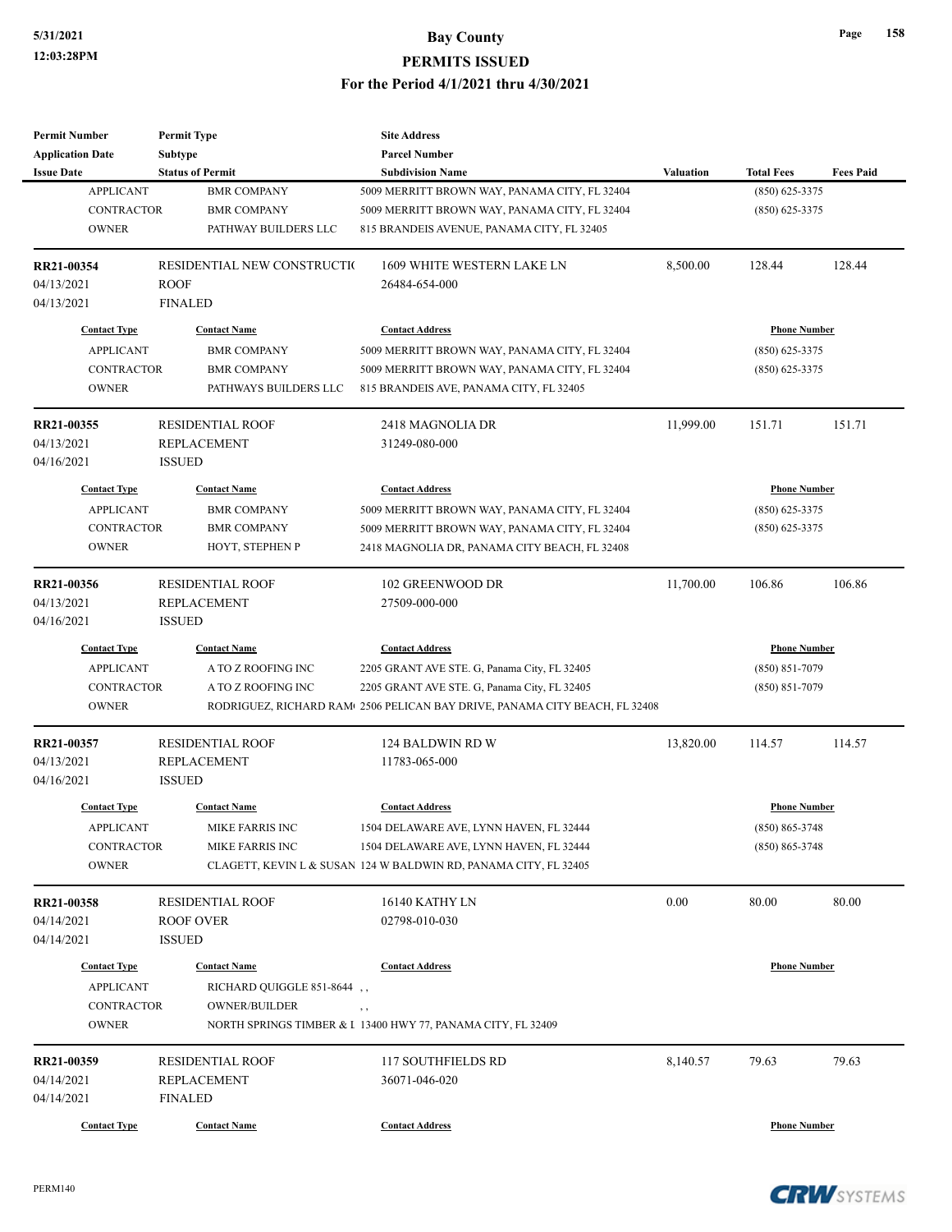| <b>Permit Number</b>    | <b>Permit Type</b>          | <b>Site Address</b>                                                                     |           |                     |                  |
|-------------------------|-----------------------------|-----------------------------------------------------------------------------------------|-----------|---------------------|------------------|
| <b>Application Date</b> | <b>Subtype</b>              | <b>Parcel Number</b>                                                                    |           |                     |                  |
| <b>Issue Date</b>       | <b>Status of Permit</b>     | <b>Subdivision Name</b>                                                                 | Valuation | <b>Total Fees</b>   | <b>Fees Paid</b> |
| <b>APPLICANT</b>        | <b>BMR COMPANY</b>          | 5009 MERRITT BROWN WAY, PANAMA CITY, FL 32404                                           |           | $(850) 625 - 3375$  |                  |
| <b>CONTRACTOR</b>       | <b>BMR COMPANY</b>          | 5009 MERRITT BROWN WAY, PANAMA CITY, FL 32404                                           |           | $(850) 625 - 3375$  |                  |
| <b>OWNER</b>            | PATHWAY BUILDERS LLC        | 815 BRANDEIS AVENUE, PANAMA CITY, FL 32405                                              |           |                     |                  |
| RR21-00354              | RESIDENTIAL NEW CONSTRUCTIO | 1609 WHITE WESTERN LAKE LN                                                              | 8,500.00  | 128.44              | 128.44           |
| 04/13/2021              | <b>ROOF</b>                 | 26484-654-000                                                                           |           |                     |                  |
| 04/13/2021              | <b>FINALED</b>              |                                                                                         |           |                     |                  |
| <b>Contact Type</b>     | <b>Contact Name</b>         | <b>Contact Address</b>                                                                  |           | <b>Phone Number</b> |                  |
| <b>APPLICANT</b>        | <b>BMR COMPANY</b>          | 5009 MERRITT BROWN WAY, PANAMA CITY, FL 32404                                           |           | $(850)$ 625-3375    |                  |
| <b>CONTRACTOR</b>       | <b>BMR COMPANY</b>          | 5009 MERRITT BROWN WAY, PANAMA CITY, FL 32404                                           |           | (850) 625-3375      |                  |
| <b>OWNER</b>            | PATHWAYS BUILDERS LLC       | 815 BRANDEIS AVE, PANAMA CITY, FL 32405                                                 |           |                     |                  |
| RR21-00355              | <b>RESIDENTIAL ROOF</b>     | 2418 MAGNOLIA DR                                                                        | 11,999.00 | 151.71              | 151.71           |
| 04/13/2021              | <b>REPLACEMENT</b>          | 31249-080-000                                                                           |           |                     |                  |
| 04/16/2021              | <b>ISSUED</b>               |                                                                                         |           |                     |                  |
| <b>Contact Type</b>     | <b>Contact Name</b>         | <b>Contact Address</b>                                                                  |           | <b>Phone Number</b> |                  |
| <b>APPLICANT</b>        | <b>BMR COMPANY</b>          | 5009 MERRITT BROWN WAY, PANAMA CITY, FL 32404                                           |           | $(850) 625 - 3375$  |                  |
| <b>CONTRACTOR</b>       | <b>BMR COMPANY</b>          | 5009 MERRITT BROWN WAY, PANAMA CITY, FL 32404                                           |           | $(850)$ 625-3375    |                  |
| <b>OWNER</b>            | HOYT, STEPHEN P             | 2418 MAGNOLIA DR, PANAMA CITY BEACH, FL 32408                                           |           |                     |                  |
|                         |                             |                                                                                         |           |                     |                  |
| RR21-00356              | <b>RESIDENTIAL ROOF</b>     | 102 GREENWOOD DR                                                                        | 11,700.00 | 106.86              | 106.86           |
| 04/13/2021              | <b>REPLACEMENT</b>          | 27509-000-000                                                                           |           |                     |                  |
| 04/16/2021              | <b>ISSUED</b>               |                                                                                         |           |                     |                  |
| <b>Contact Type</b>     | <b>Contact Name</b>         | <b>Contact Address</b>                                                                  |           | <b>Phone Number</b> |                  |
| <b>APPLICANT</b>        | A TO Z ROOFING INC          | 2205 GRANT AVE STE. G, Panama City, FL 32405                                            |           | $(850) 851 - 7079$  |                  |
| <b>CONTRACTOR</b>       | A TO Z ROOFING INC          | 2205 GRANT AVE STE. G, Panama City, FL 32405                                            |           | (850) 851-7079      |                  |
| <b>OWNER</b>            |                             | RODRIGUEZ, RICHARD RAM <sup>1</sup> 2506 PELICAN BAY DRIVE, PANAMA CITY BEACH, FL 32408 |           |                     |                  |
| RR21-00357              | <b>RESIDENTIAL ROOF</b>     | 124 BALDWIN RD W                                                                        | 13,820.00 | 114.57              | 114.57           |
| 04/13/2021              | <b>REPLACEMENT</b>          | 11783-065-000                                                                           |           |                     |                  |
| 04/16/2021              | <b>ISSUED</b>               |                                                                                         |           |                     |                  |
| <b>Contact Type</b>     | <b>Contact Name</b>         | <b>Contact Address</b>                                                                  |           | <b>Phone Number</b> |                  |
| <b>APPLICANT</b>        | MIKE FARRIS INC             | 1504 DELAWARE AVE, LYNN HAVEN, FL 32444                                                 |           | (850) 865-3748      |                  |
| CONTRACTOR              | MIKE FARRIS INC             | 1504 DELAWARE AVE, LYNN HAVEN, FL 32444                                                 |           | $(850) 865 - 3748$  |                  |
| <b>OWNER</b>            |                             | CLAGETT, KEVIN L & SUSAN 124 W BALDWIN RD, PANAMA CITY, FL 32405                        |           |                     |                  |
| RR21-00358              | <b>RESIDENTIAL ROOF</b>     | 16140 KATHY LN                                                                          | 0.00      | 80.00               | 80.00            |
| 04/14/2021              | <b>ROOF OVER</b>            | 02798-010-030                                                                           |           |                     |                  |
| 04/14/2021              | <b>ISSUED</b>               |                                                                                         |           |                     |                  |
| <b>Contact Type</b>     | <b>Contact Name</b>         | <b>Contact Address</b>                                                                  |           | <b>Phone Number</b> |                  |
| <b>APPLICANT</b>        | RICHARD QUIGGLE 851-8644,   |                                                                                         |           |                     |                  |
| CONTRACTOR              | <b>OWNER/BUILDER</b>        | $, \, ,$                                                                                |           |                     |                  |
| <b>OWNER</b>            |                             | NORTH SPRINGS TIMBER & I 13400 HWY 77, PANAMA CITY, FL 32409                            |           |                     |                  |
|                         |                             |                                                                                         |           |                     |                  |
| RR21-00359              | <b>RESIDENTIAL ROOF</b>     | 117 SOUTHFIELDS RD                                                                      | 8,140.57  | 79.63               | 79.63            |
| 04/14/2021              | <b>REPLACEMENT</b>          | 36071-046-020                                                                           |           |                     |                  |
| 04/14/2021              | <b>FINALED</b>              |                                                                                         |           |                     |                  |
| <b>Contact Type</b>     | <b>Contact Name</b>         | <b>Contact Address</b>                                                                  |           | <b>Phone Number</b> |                  |

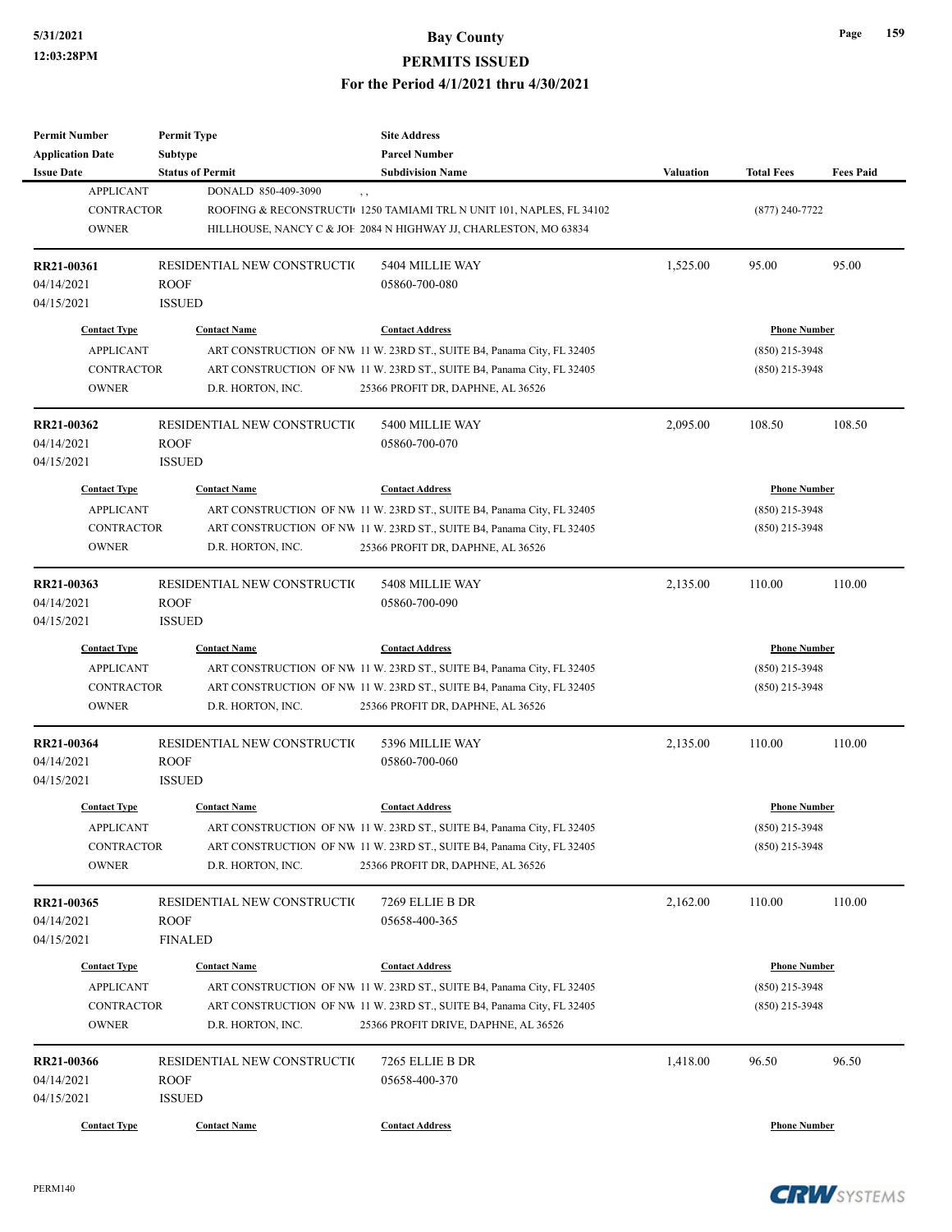**Permit Number Application Date**

**RR21-00361**

**Issue Date Status of Permit Subdivision Name Subdivision** Name

### **5/31/2021 Bay County PERMITS ISSUED** For the Period 4/1/2021 thru 4/30/2

| 'M                                                                           |                                                             | <b>Bay County</b><br><b>PERMITS ISSUED</b>                                                                                                                                                                      |                  |                                                             | 159<br>Page      |
|------------------------------------------------------------------------------|-------------------------------------------------------------|-----------------------------------------------------------------------------------------------------------------------------------------------------------------------------------------------------------------|------------------|-------------------------------------------------------------|------------------|
|                                                                              |                                                             | For the Period 4/1/2021 thru 4/30/2021                                                                                                                                                                          |                  |                                                             |                  |
| mber                                                                         | <b>Permit Type</b>                                          | <b>Site Address</b>                                                                                                                                                                                             |                  |                                                             |                  |
| ı Date                                                                       | Subtype                                                     | <b>Parcel Number</b>                                                                                                                                                                                            |                  |                                                             |                  |
|                                                                              | <b>Status of Permit</b>                                     | <b>Subdivision Name</b>                                                                                                                                                                                         | <b>Valuation</b> | <b>Total Fees</b>                                           | <b>Fees Paid</b> |
| <b>APPLICANT</b><br><b>CONTRACTOR</b><br><b>OWNER</b>                        | DONALD 850-409-3090                                         | , ,<br>ROOFING & RECONSTRUCTI 1250 TAMIAMI TRL N UNIT 101, NAPLES, FL 34102<br>HILLHOUSE, NANCY C & JOF 2084 N HIGHWAY JJ, CHARLESTON, MO 63834                                                                 |                  | $(877)$ 240-7722                                            |                  |
| 61                                                                           | RESIDENTIAL NEW CONSTRUCTIO<br><b>ROOF</b><br><b>ISSUED</b> | 5404 MILLIE WAY<br>05860-700-080                                                                                                                                                                                | 1,525.00         | 95.00                                                       | 95.00            |
| <b>Contact Type</b><br><b>APPLICANT</b><br><b>CONTRACTOR</b><br><b>OWNER</b> | <b>Contact Name</b><br>D.R. HORTON, INC.                    | <b>Contact Address</b><br>ART CONSTRUCTION OF NW 11 W. 23RD ST., SUITE B4, Panama City, FL 32405<br>ART CONSTRUCTION OF NW 11 W. 23RD ST., SUITE B4, Panama City, FL 32405<br>25366 PROFIT DR, DAPHNE, AL 36526 |                  | <b>Phone Number</b><br>$(850)$ 215-3948<br>$(850)$ 215-3948 |                  |
| 62                                                                           | RESIDENTIAL NEW CONSTRUCTIO<br><b>ROOF</b><br><b>ISSUED</b> | 5400 MILLIE WAY<br>05860-700-070                                                                                                                                                                                | 2,095.00         | 108.50                                                      | 108.50           |
| Contact Type                                                                 | <b>Contact Name</b>                                         | <b>Contact Address</b>                                                                                                                                                                                          |                  | <b>Phone Number</b>                                         |                  |
| <b>APPLICANT</b>                                                             |                                                             | ART CONSTRUCTION OF NW 11 W. 23RD ST., SUITE B4, Panama City, FL 32405                                                                                                                                          |                  | $(850)$ 215-3948                                            |                  |
| CONTRACTOR                                                                   |                                                             | ART CONSTRUCTION OF NW 11 W 23RD ST. SUITE B4. Panama City EL 32405                                                                                                                                             |                  | $(850)$ 215-3948                                            |                  |

| 04/14/2021<br>04/15/2021                                                     | <b>ROOF</b><br><b>ISSUED</b>                                 | 05860-700-080                                                                                                                                                                                                      |          |                                                             |        |
|------------------------------------------------------------------------------|--------------------------------------------------------------|--------------------------------------------------------------------------------------------------------------------------------------------------------------------------------------------------------------------|----------|-------------------------------------------------------------|--------|
| <b>Contact Type</b><br><b>APPLICANT</b><br><b>CONTRACTOR</b><br><b>OWNER</b> | <b>Contact Name</b><br>D.R. HORTON, INC.                     | <b>Contact Address</b><br>ART CONSTRUCTION OF NW 11 W. 23RD ST., SUITE B4, Panama City, FL 32405<br>ART CONSTRUCTION OF NW 11 W. 23RD ST., SUITE B4, Panama City, FL 32405<br>25366 PROFIT DR, DAPHNE, AL 36526    |          | <b>Phone Number</b><br>$(850)$ 215-3948<br>$(850)$ 215-3948 |        |
| RR21-00362<br>04/14/2021<br>04/15/2021                                       | RESIDENTIAL NEW CONSTRUCTIO<br><b>ROOF</b><br><b>ISSUED</b>  | 5400 MILLIE WAY<br>05860-700-070                                                                                                                                                                                   | 2,095.00 | 108.50                                                      | 108.50 |
| <b>Contact Type</b><br><b>APPLICANT</b><br><b>CONTRACTOR</b><br><b>OWNER</b> | <b>Contact Name</b><br>D.R. HORTON, INC.                     | <b>Contact Address</b><br>ART CONSTRUCTION OF NW 11 W. 23RD ST., SUITE B4, Panama City, FL 32405<br>ART CONSTRUCTION OF NW 11 W. 23RD ST., SUITE B4, Panama City, FL 32405<br>25366 PROFIT DR, DAPHNE, AL 36526    |          | <b>Phone Number</b><br>$(850)$ 215-3948<br>$(850)$ 215-3948 |        |
| RR21-00363<br>04/14/2021<br>04/15/2021                                       | RESIDENTIAL NEW CONSTRUCTIO<br><b>ROOF</b><br><b>ISSUED</b>  | 5408 MILLIE WAY<br>05860-700-090                                                                                                                                                                                   | 2,135.00 | 110.00                                                      | 110.00 |
| <b>Contact Type</b><br><b>APPLICANT</b><br><b>CONTRACTOR</b><br><b>OWNER</b> | <b>Contact Name</b><br>D.R. HORTON, INC.                     | <b>Contact Address</b><br>ART CONSTRUCTION OF NW 11 W. 23RD ST., SUITE B4, Panama City, FL 32405<br>ART CONSTRUCTION OF NW 11 W. 23RD ST., SUITE B4, Panama City, FL 32405<br>25366 PROFIT DR, DAPHNE, AL 36526    |          | <b>Phone Number</b><br>$(850)$ 215-3948<br>$(850)$ 215-3948 |        |
| RR21-00364<br>04/14/2021<br>04/15/2021                                       | RESIDENTIAL NEW CONSTRUCTIO<br><b>ROOF</b><br><b>ISSUED</b>  | 5396 MILLIE WAY<br>05860-700-060                                                                                                                                                                                   | 2,135.00 | 110.00                                                      | 110.00 |
| <b>Contact Type</b><br><b>APPLICANT</b><br><b>CONTRACTOR</b><br><b>OWNER</b> | <b>Contact Name</b><br>D.R. HORTON, INC.                     | <b>Contact Address</b><br>ART CONSTRUCTION OF NW 11 W. 23RD ST., SUITE B4, Panama City, FL 32405<br>ART CONSTRUCTION OF NW 11 W. 23RD ST., SUITE B4, Panama City, FL 32405<br>25366 PROFIT DR, DAPHNE, AL 36526    |          | <b>Phone Number</b><br>$(850)$ 215-3948<br>$(850)$ 215-3948 |        |
| RR21-00365<br>04/14/2021<br>04/15/2021                                       | RESIDENTIAL NEW CONSTRUCTIO<br><b>ROOF</b><br><b>FINALED</b> | 7269 ELLIE B DR<br>05658-400-365                                                                                                                                                                                   | 2,162.00 | 110.00                                                      | 110.00 |
| <b>Contact Type</b><br><b>APPLICANT</b><br>CONTRACTOR<br><b>OWNER</b>        | <b>Contact Name</b><br>D.R. HORTON, INC.                     | <b>Contact Address</b><br>ART CONSTRUCTION OF NW 11 W. 23RD ST., SUITE B4, Panama City, FL 32405<br>ART CONSTRUCTION OF NW 11 W. 23RD ST., SUITE B4, Panama City, FL 32405<br>25366 PROFIT DRIVE, DAPHNE, AL 36526 |          | <b>Phone Number</b><br>$(850)$ 215-3948<br>$(850)$ 215-3948 |        |
| RR21-00366<br>04/14/2021<br>04/15/2021                                       | RESIDENTIAL NEW CONSTRUCTIO<br><b>ROOF</b><br><b>ISSUED</b>  | 7265 ELLIE B DR<br>05658-400-370                                                                                                                                                                                   | 1,418.00 | 96.50                                                       | 96.50  |
| <b>Contact Type</b>                                                          | <b>Contact Name</b>                                          | <b>Contact Address</b>                                                                                                                                                                                             |          | <b>Phone Number</b>                                         |        |

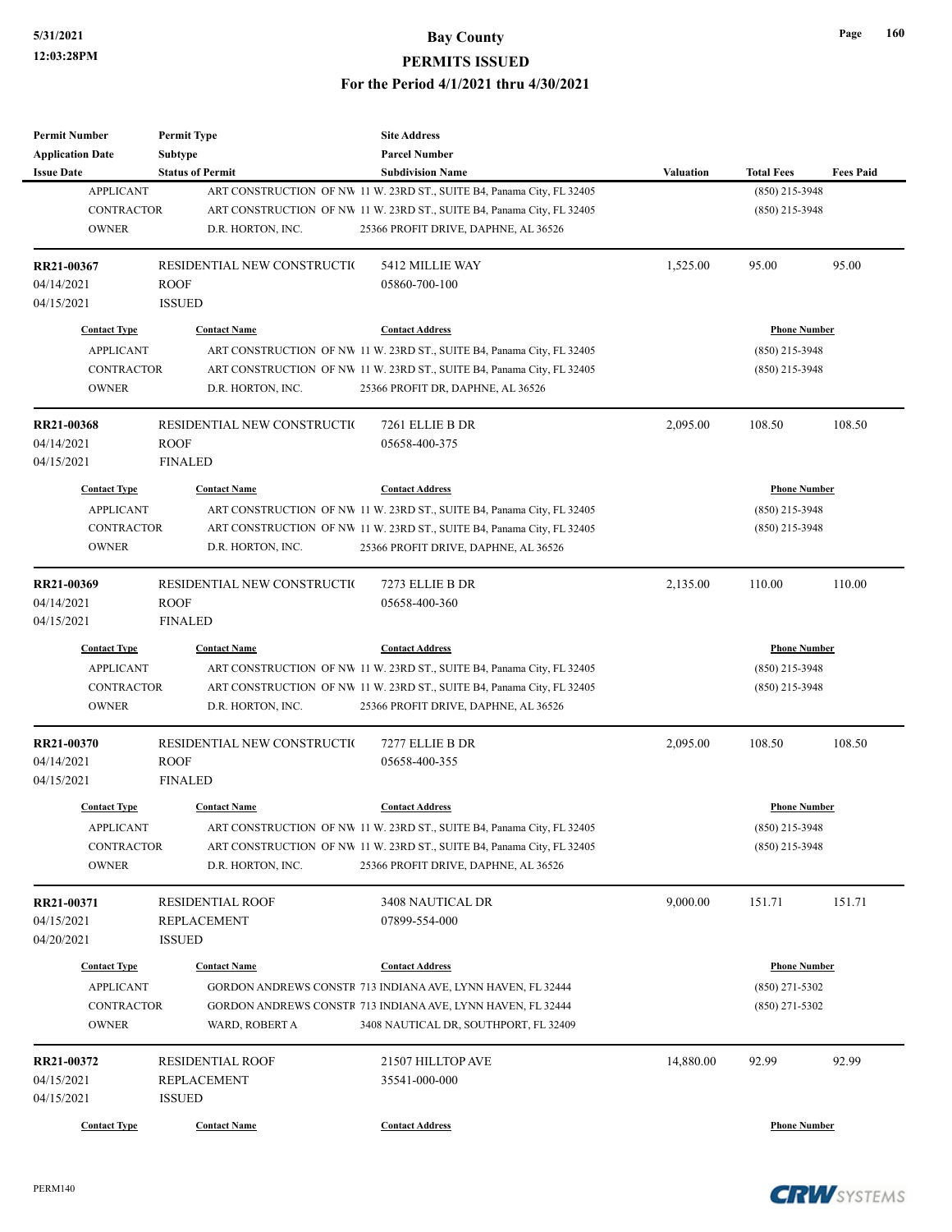| <b>Permit Number</b>    | <b>Permit Type</b>          | <b>Site Address</b>                                                    |                  |                     |                  |
|-------------------------|-----------------------------|------------------------------------------------------------------------|------------------|---------------------|------------------|
| <b>Application Date</b> | <b>Subtype</b>              | <b>Parcel Number</b>                                                   |                  |                     |                  |
| <b>Issue Date</b>       | <b>Status of Permit</b>     | <b>Subdivision Name</b>                                                | <b>Valuation</b> | <b>Total Fees</b>   | <b>Fees Paid</b> |
| <b>APPLICANT</b>        |                             | ART CONSTRUCTION OF NW 11 W. 23RD ST., SUITE B4, Panama City, FL 32405 |                  | $(850)$ 215-3948    |                  |
| <b>CONTRACTOR</b>       |                             | ART CONSTRUCTION OF NW 11 W. 23RD ST., SUITE B4, Panama City, FL 32405 |                  | $(850)$ 215-3948    |                  |
| <b>OWNER</b>            | D.R. HORTON, INC.           | 25366 PROFIT DRIVE, DAPHNE, AL 36526                                   |                  |                     |                  |
| RR21-00367              | RESIDENTIAL NEW CONSTRUCTIO | 5412 MILLIE WAY                                                        | 1,525.00         | 95.00               | 95.00            |
| 04/14/2021              | <b>ROOF</b>                 | 05860-700-100                                                          |                  |                     |                  |
| 04/15/2021              | <b>ISSUED</b>               |                                                                        |                  |                     |                  |
| <b>Contact Type</b>     | <b>Contact Name</b>         | <b>Contact Address</b>                                                 |                  | <b>Phone Number</b> |                  |
| <b>APPLICANT</b>        |                             | ART CONSTRUCTION OF NW 11 W. 23RD ST., SUITE B4, Panama City, FL 32405 |                  | $(850)$ 215-3948    |                  |
| <b>CONTRACTOR</b>       |                             | ART CONSTRUCTION OF NW 11 W. 23RD ST., SUITE B4, Panama City, FL 32405 |                  | $(850)$ 215-3948    |                  |
| <b>OWNER</b>            | D.R. HORTON, INC.           | 25366 PROFIT DR, DAPHNE, AL 36526                                      |                  |                     |                  |
| RR21-00368              | RESIDENTIAL NEW CONSTRUCTIO | 7261 ELLIE B DR                                                        | 2,095.00         | 108.50              | 108.50           |
| 04/14/2021              | <b>ROOF</b>                 | 05658-400-375                                                          |                  |                     |                  |
| 04/15/2021              | <b>FINALED</b>              |                                                                        |                  |                     |                  |
| <b>Contact Type</b>     | <b>Contact Name</b>         | <b>Contact Address</b>                                                 |                  | <b>Phone Number</b> |                  |
| <b>APPLICANT</b>        |                             | ART CONSTRUCTION OF NW 11 W. 23RD ST., SUITE B4, Panama City, FL 32405 |                  | $(850)$ 215-3948    |                  |
| <b>CONTRACTOR</b>       |                             | ART CONSTRUCTION OF NW 11 W. 23RD ST., SUITE B4, Panama City, FL 32405 |                  | $(850)$ 215-3948    |                  |
| <b>OWNER</b>            | D.R. HORTON, INC.           | 25366 PROFIT DRIVE, DAPHNE, AL 36526                                   |                  |                     |                  |
|                         |                             |                                                                        |                  |                     |                  |
| RR21-00369              | RESIDENTIAL NEW CONSTRUCTIO | 7273 ELLIE B DR                                                        | 2,135.00         | 110.00              | 110.00           |
| 04/14/2021              | <b>ROOF</b>                 | 05658-400-360                                                          |                  |                     |                  |
| 04/15/2021              | <b>FINALED</b>              |                                                                        |                  |                     |                  |
| <b>Contact Type</b>     | <b>Contact Name</b>         | <b>Contact Address</b>                                                 |                  | <b>Phone Number</b> |                  |
| <b>APPLICANT</b>        |                             | ART CONSTRUCTION OF NW 11 W. 23RD ST., SUITE B4, Panama City, FL 32405 |                  | $(850)$ 215-3948    |                  |
| <b>CONTRACTOR</b>       |                             | ART CONSTRUCTION OF NW 11 W. 23RD ST., SUITE B4, Panama City, FL 32405 |                  | $(850)$ 215-3948    |                  |
| <b>OWNER</b>            | D.R. HORTON, INC.           | 25366 PROFIT DRIVE, DAPHNE, AL 36526                                   |                  |                     |                  |
| RR21-00370              | RESIDENTIAL NEW CONSTRUCTIO | 7277 ELLIE B DR                                                        | 2,095.00         | 108.50              | 108.50           |
| 04/14/2021              | <b>ROOF</b>                 | 05658-400-355                                                          |                  |                     |                  |
| 04/15/2021              | <b>FINALED</b>              |                                                                        |                  |                     |                  |
| <b>Contact Type</b>     | <b>Contact Name</b>         | <b>Contact Address</b>                                                 |                  | <b>Phone Number</b> |                  |
|                         |                             |                                                                        |                  |                     |                  |
| <b>APPLICANT</b>        |                             | ART CONSTRUCTION OF NW 11 W. 23RD ST., SUITE B4, Panama City, FL 32405 |                  | $(850)$ 215-3948    |                  |
| <b>CONTRACTOR</b>       |                             | ART CONSTRUCTION OF NW 11 W. 23RD ST., SUITE B4, Panama City, FL 32405 |                  | $(850)$ 215-3948    |                  |
| <b>OWNER</b>            | D.R. HORTON, INC.           | 25366 PROFIT DRIVE, DAPHNE, AL 36526                                   |                  |                     |                  |
| RR21-00371              | <b>RESIDENTIAL ROOF</b>     | 3408 NAUTICAL DR                                                       | 9,000.00         | 151.71              | 151.71           |
| 04/15/2021              | <b>REPLACEMENT</b>          | 07899-554-000                                                          |                  |                     |                  |
| 04/20/2021              | <b>ISSUED</b>               |                                                                        |                  |                     |                  |
| <b>Contact Type</b>     | <b>Contact Name</b>         | <b>Contact Address</b>                                                 |                  | <b>Phone Number</b> |                  |
| <b>APPLICANT</b>        |                             | GORDON ANDREWS CONSTR 713 INDIANA AVE, LYNN HAVEN, FL 32444            |                  | $(850)$ 271-5302    |                  |
| CONTRACTOR              |                             | GORDON ANDREWS CONSTR 713 INDIANA AVE, LYNN HAVEN, FL 32444            |                  | $(850)$ 271-5302    |                  |
| <b>OWNER</b>            | WARD, ROBERT A              | 3408 NAUTICAL DR, SOUTHPORT, FL 32409                                  |                  |                     |                  |
|                         |                             |                                                                        |                  |                     |                  |
| RR21-00372              | <b>RESIDENTIAL ROOF</b>     | 21507 HILLTOP AVE                                                      | 14,880.00        | 92.99               | 92.99            |
| 04/15/2021              | REPLACEMENT                 | 35541-000-000                                                          |                  |                     |                  |
| 04/15/2021              | <b>ISSUED</b>               |                                                                        |                  |                     |                  |
| <b>Contact Type</b>     | <b>Contact Name</b>         | <b>Contact Address</b>                                                 |                  | <b>Phone Number</b> |                  |

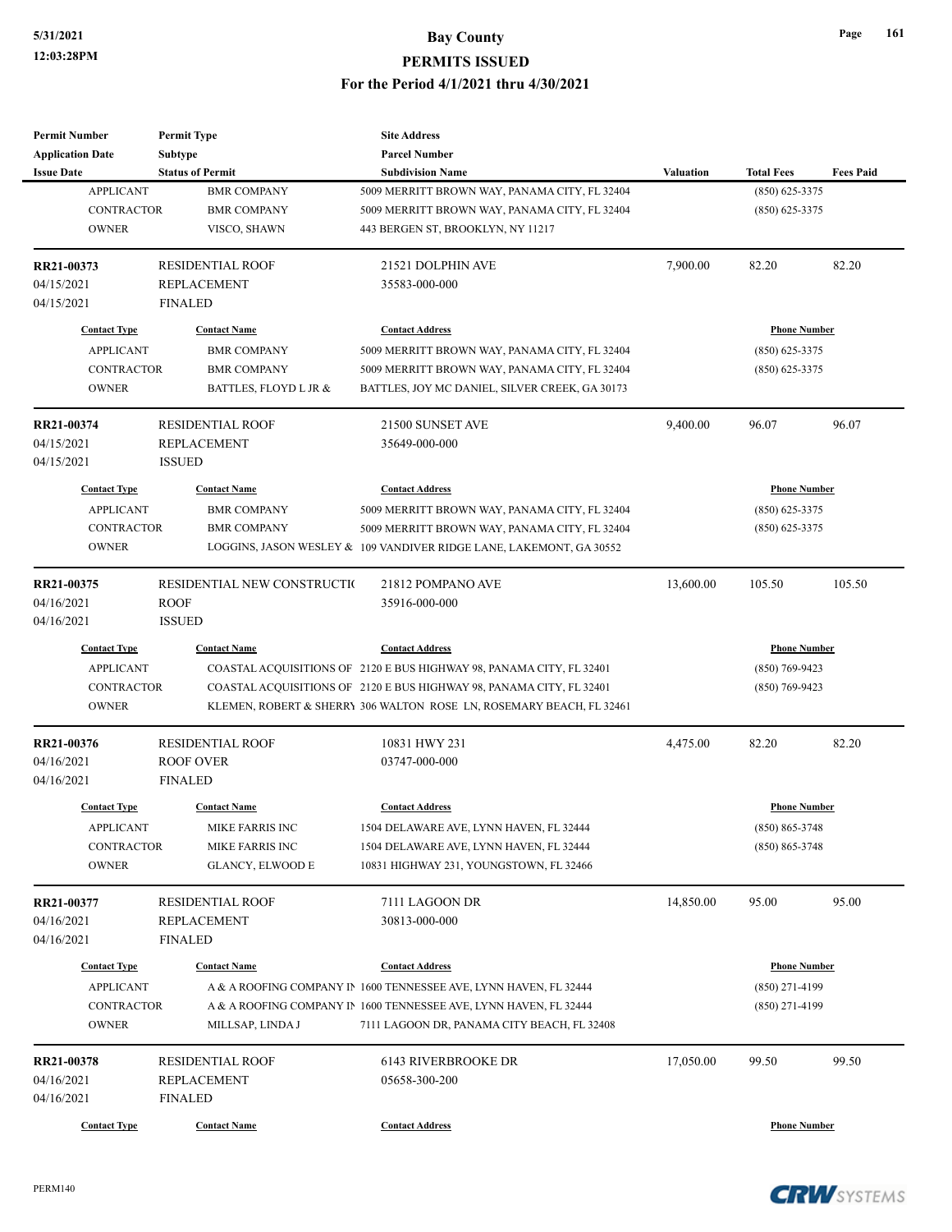| <b>Permit Number</b>                                                       | <b>Permit Type</b>                                                                  | <b>Site Address</b>                                                                                                                                                                                                  |                  |                                                             |                  |
|----------------------------------------------------------------------------|-------------------------------------------------------------------------------------|----------------------------------------------------------------------------------------------------------------------------------------------------------------------------------------------------------------------|------------------|-------------------------------------------------------------|------------------|
| <b>Application Date</b>                                                    | <b>Subtype</b>                                                                      | <b>Parcel Number</b><br><b>Subdivision Name</b>                                                                                                                                                                      |                  |                                                             |                  |
| <b>Issue Date</b><br><b>APPLICANT</b><br><b>CONTRACTOR</b><br><b>OWNER</b> | <b>Status of Permit</b><br><b>BMR COMPANY</b><br><b>BMR COMPANY</b><br>VISCO, SHAWN | 5009 MERRITT BROWN WAY, PANAMA CITY, FL 32404<br>5009 MERRITT BROWN WAY, PANAMA CITY, FL 32404<br>443 BERGEN ST, BROOKLYN, NY 11217                                                                                  | <b>Valuation</b> | <b>Total Fees</b><br>$(850) 625 - 3375$<br>$(850)$ 625-3375 | <b>Fees Paid</b> |
| RR21-00373                                                                 | <b>RESIDENTIAL ROOF</b>                                                             | 21521 DOLPHIN AVE                                                                                                                                                                                                    | 7,900.00         | 82.20                                                       | 82.20            |
| 04/15/2021<br>04/15/2021                                                   | <b>REPLACEMENT</b><br><b>FINALED</b>                                                | 35583-000-000                                                                                                                                                                                                        |                  |                                                             |                  |
| <b>Contact Type</b>                                                        | <b>Contact Name</b>                                                                 | <b>Contact Address</b>                                                                                                                                                                                               |                  | <b>Phone Number</b>                                         |                  |
| <b>APPLICANT</b><br><b>CONTRACTOR</b><br><b>OWNER</b>                      | <b>BMR COMPANY</b><br><b>BMR COMPANY</b><br>BATTLES, FLOYD L JR &                   | 5009 MERRITT BROWN WAY, PANAMA CITY, FL 32404<br>5009 MERRITT BROWN WAY, PANAMA CITY, FL 32404<br>BATTLES, JOY MC DANIEL, SILVER CREEK, GA 30173                                                                     |                  | $(850)$ 625-3375<br>$(850)$ 625-3375                        |                  |
| RR21-00374                                                                 | <b>RESIDENTIAL ROOF</b>                                                             | 21500 SUNSET AVE                                                                                                                                                                                                     | 9,400.00         | 96.07                                                       | 96.07            |
| 04/15/2021<br>04/15/2021                                                   | <b>REPLACEMENT</b><br><b>ISSUED</b>                                                 | 35649-000-000                                                                                                                                                                                                        |                  |                                                             |                  |
| <b>Contact Type</b>                                                        | <b>Contact Name</b>                                                                 | <b>Contact Address</b>                                                                                                                                                                                               |                  | <b>Phone Number</b>                                         |                  |
| <b>APPLICANT</b><br><b>CONTRACTOR</b><br><b>OWNER</b>                      | <b>BMR COMPANY</b><br><b>BMR COMPANY</b>                                            | 5009 MERRITT BROWN WAY, PANAMA CITY, FL 32404<br>5009 MERRITT BROWN WAY, PANAMA CITY, FL 32404<br>LOGGINS, JASON WESLEY & 109 VANDIVER RIDGE LANE, LAKEMONT, GA 30552                                                |                  | $(850)$ 625-3375<br>$(850)$ 625-3375                        |                  |
| RR21-00375                                                                 | RESIDENTIAL NEW CONSTRUCTIO                                                         | 21812 POMPANO AVE                                                                                                                                                                                                    | 13,600.00        | 105.50                                                      | 105.50           |
| 04/16/2021<br>04/16/2021                                                   | <b>ROOF</b><br><b>ISSUED</b>                                                        | 35916-000-000                                                                                                                                                                                                        |                  |                                                             |                  |
| <b>Contact Type</b>                                                        | <b>Contact Name</b>                                                                 | <b>Contact Address</b>                                                                                                                                                                                               |                  | <b>Phone Number</b>                                         |                  |
| <b>APPLICANT</b><br>CONTRACTOR<br><b>OWNER</b>                             |                                                                                     | COASTAL ACQUISITIONS OF 2120 E BUS HIGHWAY 98, PANAMA CITY, FL 32401<br>COASTAL ACQUISITIONS OF 2120 E BUS HIGHWAY 98, PANAMA CITY, FL 32401<br>KLEMEN, ROBERT & SHERRY 306 WALTON ROSE LN, ROSEMARY BEACH, FL 32461 |                  | $(850)$ 769-9423<br>$(850)$ 769-9423                        |                  |
| RR21-00376<br>04/16/2021<br>04/16/2021                                     | <b>RESIDENTIAL ROOF</b><br><b>ROOF OVER</b><br><b>FINALED</b>                       | 10831 HWY 231<br>03747-000-000                                                                                                                                                                                       | 4,475.00         | 82.20                                                       | 82.20            |
| <b>Contact Type</b>                                                        | <b>Contact Name</b>                                                                 | <b>Contact Address</b>                                                                                                                                                                                               |                  | <b>Phone Number</b>                                         |                  |
| <b>APPLICANT</b><br><b>CONTRACTOR</b><br><b>OWNER</b>                      | MIKE FARRIS INC<br>MIKE FARRIS INC<br>GLANCY, ELWOOD E                              | 1504 DELAWARE AVE, LYNN HAVEN, FL 32444<br>1504 DELAWARE AVE, LYNN HAVEN, FL 32444<br>10831 HIGHWAY 231, YOUNGSTOWN, FL 32466                                                                                        |                  | $(850) 865 - 3748$<br>$(850) 865 - 3748$                    |                  |
| RR21-00377<br>04/16/2021                                                   | <b>RESIDENTIAL ROOF</b><br>REPLACEMENT                                              | 7111 LAGOON DR<br>30813-000-000                                                                                                                                                                                      | 14,850.00        | 95.00                                                       | 95.00            |
| 04/16/2021                                                                 | <b>FINALED</b>                                                                      |                                                                                                                                                                                                                      |                  |                                                             |                  |
| <b>Contact Type</b><br><b>APPLICANT</b>                                    | <b>Contact Name</b>                                                                 | <b>Contact Address</b><br>A & A ROOFING COMPANY IN 1600 TENNESSEE AVE, LYNN HAVEN, FL 32444                                                                                                                          |                  | <b>Phone Number</b><br>$(850)$ 271-4199                     |                  |
| CONTRACTOR<br><b>OWNER</b>                                                 | MILLSAP, LINDA J                                                                    | A & A ROOFING COMPANY IN 1600 TENNESSEE AVE, LYNN HAVEN, FL 32444<br>7111 LAGOON DR, PANAMA CITY BEACH, FL 32408                                                                                                     |                  | $(850)$ 271-4199                                            |                  |
| RR21-00378<br>04/16/2021<br>04/16/2021                                     | <b>RESIDENTIAL ROOF</b><br>REPLACEMENT<br>FINALED                                   | 6143 RIVERBROOKE DR<br>05658-300-200                                                                                                                                                                                 | 17,050.00        | 99.50                                                       | 99.50            |
| <b>Contact Type</b>                                                        | <b>Contact Name</b>                                                                 | <b>Contact Address</b>                                                                                                                                                                                               |                  | <b>Phone Number</b>                                         |                  |



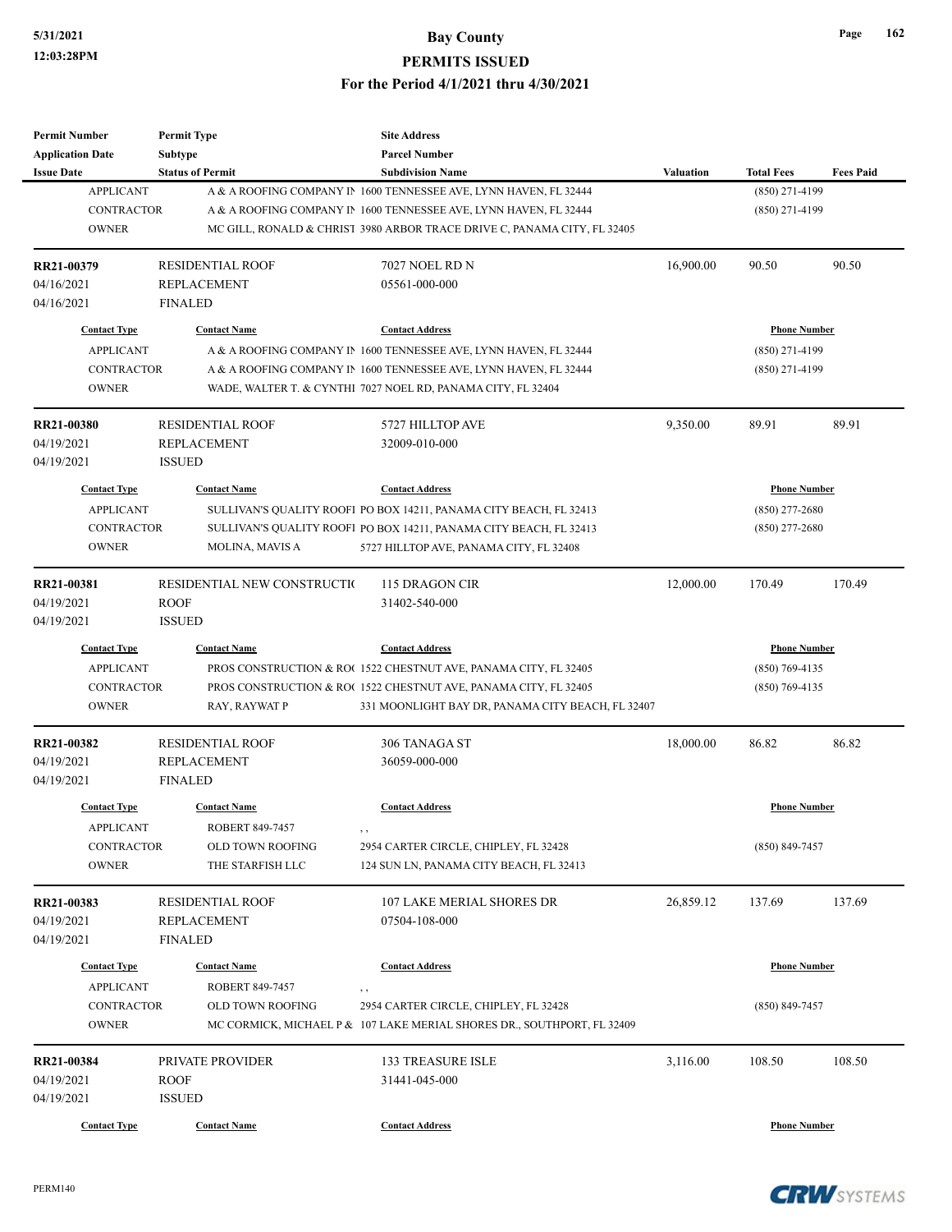| <b>Permit Number</b>                    | <b>Permit Type</b>                     | <b>Site Address</b>                                                      |                  |                     |                  |
|-----------------------------------------|----------------------------------------|--------------------------------------------------------------------------|------------------|---------------------|------------------|
| <b>Application Date</b>                 | <b>Subtype</b>                         | <b>Parcel Number</b>                                                     |                  |                     |                  |
| <b>Issue Date</b>                       | <b>Status of Permit</b>                | <b>Subdivision Name</b>                                                  | <b>Valuation</b> | <b>Total Fees</b>   | <b>Fees Paid</b> |
| <b>APPLICANT</b>                        |                                        | A & A ROOFING COMPANY IN 1600 TENNESSEE AVE, LYNN HAVEN, FL 32444        |                  | (850) 271-4199      |                  |
| <b>CONTRACTOR</b>                       |                                        | A & A ROOFING COMPANY IN 1600 TENNESSEE AVE, LYNN HAVEN, FL 32444        |                  | $(850)$ 271-4199    |                  |
| <b>OWNER</b>                            |                                        | MC GILL, RONALD & CHRIST 3980 ARBOR TRACE DRIVE C, PANAMA CITY, FL 32405 |                  |                     |                  |
| RR21-00379                              | <b>RESIDENTIAL ROOF</b>                | <b>7027 NOEL RD N</b>                                                    | 16,900.00        | 90.50               | 90.50            |
| 04/16/2021                              | <b>REPLACEMENT</b>                     | 05561-000-000                                                            |                  |                     |                  |
| 04/16/2021                              | <b>FINALED</b>                         |                                                                          |                  |                     |                  |
| <b>Contact Type</b>                     | <b>Contact Name</b>                    | <b>Contact Address</b>                                                   |                  | <b>Phone Number</b> |                  |
| <b>APPLICANT</b>                        |                                        | A & A ROOFING COMPANY IN 1600 TENNESSEE AVE, LYNN HAVEN, FL 32444        |                  | $(850)$ 271-4199    |                  |
| <b>CONTRACTOR</b>                       |                                        | A & A ROOFING COMPANY IN 1600 TENNESSEE AVE, LYNN HAVEN, FL 32444        |                  | $(850)$ 271-4199    |                  |
| <b>OWNER</b>                            |                                        | WADE, WALTER T. & CYNTHI 7027 NOEL RD, PANAMA CITY, FL 32404             |                  |                     |                  |
| RR21-00380                              | <b>RESIDENTIAL ROOF</b>                | 5727 HILLTOP AVE                                                         | 9,350.00         | 89.91               | 89.91            |
| 04/19/2021                              | <b>REPLACEMENT</b>                     | 32009-010-000                                                            |                  |                     |                  |
| 04/19/2021                              | <b>ISSUED</b>                          |                                                                          |                  |                     |                  |
| <b>Contact Type</b>                     | <b>Contact Name</b>                    | <b>Contact Address</b>                                                   |                  | <b>Phone Number</b> |                  |
| <b>APPLICANT</b>                        |                                        | SULLIVAN'S QUALITY ROOFI PO BOX 14211, PANAMA CITY BEACH, FL 32413       |                  | $(850)$ 277-2680    |                  |
| <b>CONTRACTOR</b>                       |                                        | SULLIVAN'S QUALITY ROOFI PO BOX 14211, PANAMA CITY BEACH, FL 32413       |                  | $(850)$ 277-2680    |                  |
| <b>OWNER</b>                            | MOLINA, MAVIS A                        | 5727 HILLTOP AVE, PANAMA CITY, FL 32408                                  |                  |                     |                  |
|                                         |                                        |                                                                          |                  |                     |                  |
| RR21-00381                              | RESIDENTIAL NEW CONSTRUCTIO            | 115 DRAGON CIR                                                           | 12,000.00        | 170.49              | 170.49           |
| 04/19/2021                              | <b>ROOF</b>                            | 31402-540-000                                                            |                  |                     |                  |
| 04/19/2021                              | <b>ISSUED</b>                          |                                                                          |                  |                     |                  |
| <b>Contact Type</b>                     | <b>Contact Name</b>                    | <b>Contact Address</b>                                                   |                  | <b>Phone Number</b> |                  |
| <b>APPLICANT</b>                        |                                        | PROS CONSTRUCTION & RO(1522 CHESTNUT AVE, PANAMA CITY, FL 32405          |                  | $(850)$ 769-4135    |                  |
| <b>CONTRACTOR</b>                       |                                        | PROS CONSTRUCTION & RO(1522 CHESTNUT AVE, PANAMA CITY, FL 32405          |                  | $(850)$ 769-4135    |                  |
| <b>OWNER</b>                            | RAY, RAYWAT P                          | 331 MOONLIGHT BAY DR, PANAMA CITY BEACH, FL 32407                        |                  |                     |                  |
| RR21-00382                              | <b>RESIDENTIAL ROOF</b>                | 306 TANAGA ST                                                            | 18,000.00        | 86.82               | 86.82            |
| 04/19/2021                              | <b>REPLACEMENT</b>                     | 36059-000-000                                                            |                  |                     |                  |
| 04/19/2021                              | <b>FINALED</b>                         |                                                                          |                  |                     |                  |
| <b>Contact Type</b>                     | <b>Contact Name</b>                    | <b>Contact Address</b>                                                   |                  | <b>Phone Number</b> |                  |
| <b>APPLICANT</b>                        | ROBERT 849-7457                        |                                                                          |                  |                     |                  |
| <b>CONTRACTOR</b>                       | OLD TOWN ROOFING                       | 2954 CARTER CIRCLE, CHIPLEY, FL 32428                                    |                  | (850) 849-7457      |                  |
| <b>OWNER</b>                            | THE STARFISH LLC                       | 124 SUN LN, PANAMA CITY BEACH, FL 32413                                  |                  |                     |                  |
| RR21-00383                              | <b>RESIDENTIAL ROOF</b>                | <b>107 LAKE MERIAL SHORES DR</b>                                         | 26,859.12        | 137.69              | 137.69           |
| 04/19/2021                              | <b>REPLACEMENT</b>                     | 07504-108-000                                                            |                  |                     |                  |
| 04/19/2021                              | FINALED                                |                                                                          |                  |                     |                  |
|                                         |                                        |                                                                          |                  |                     |                  |
| <b>Contact Type</b><br><b>APPLICANT</b> | <b>Contact Name</b><br>ROBERT 849-7457 | <b>Contact Address</b>                                                   |                  | <b>Phone Number</b> |                  |
|                                         |                                        | $, \, ,$                                                                 |                  |                     |                  |
| CONTRACTOR                              | OLD TOWN ROOFING                       | 2954 CARTER CIRCLE, CHIPLEY, FL 32428                                    |                  | $(850) 849 - 7457$  |                  |
| <b>OWNER</b>                            |                                        | MC CORMICK, MICHAEL P & 107 LAKE MERIAL SHORES DR., SOUTHPORT, FL 32409  |                  |                     |                  |
| RR21-00384                              | PRIVATE PROVIDER                       | <b>133 TREASURE ISLE</b>                                                 | 3,116.00         | 108.50              | 108.50           |
| 04/19/2021                              | <b>ROOF</b>                            | 31441-045-000                                                            |                  |                     |                  |
| 04/19/2021                              | <b>ISSUED</b>                          |                                                                          |                  |                     |                  |
| <b>Contact Type</b>                     | <b>Contact Name</b>                    | <b>Contact Address</b>                                                   |                  | <b>Phone Number</b> |                  |
|                                         |                                        |                                                                          |                  |                     |                  |

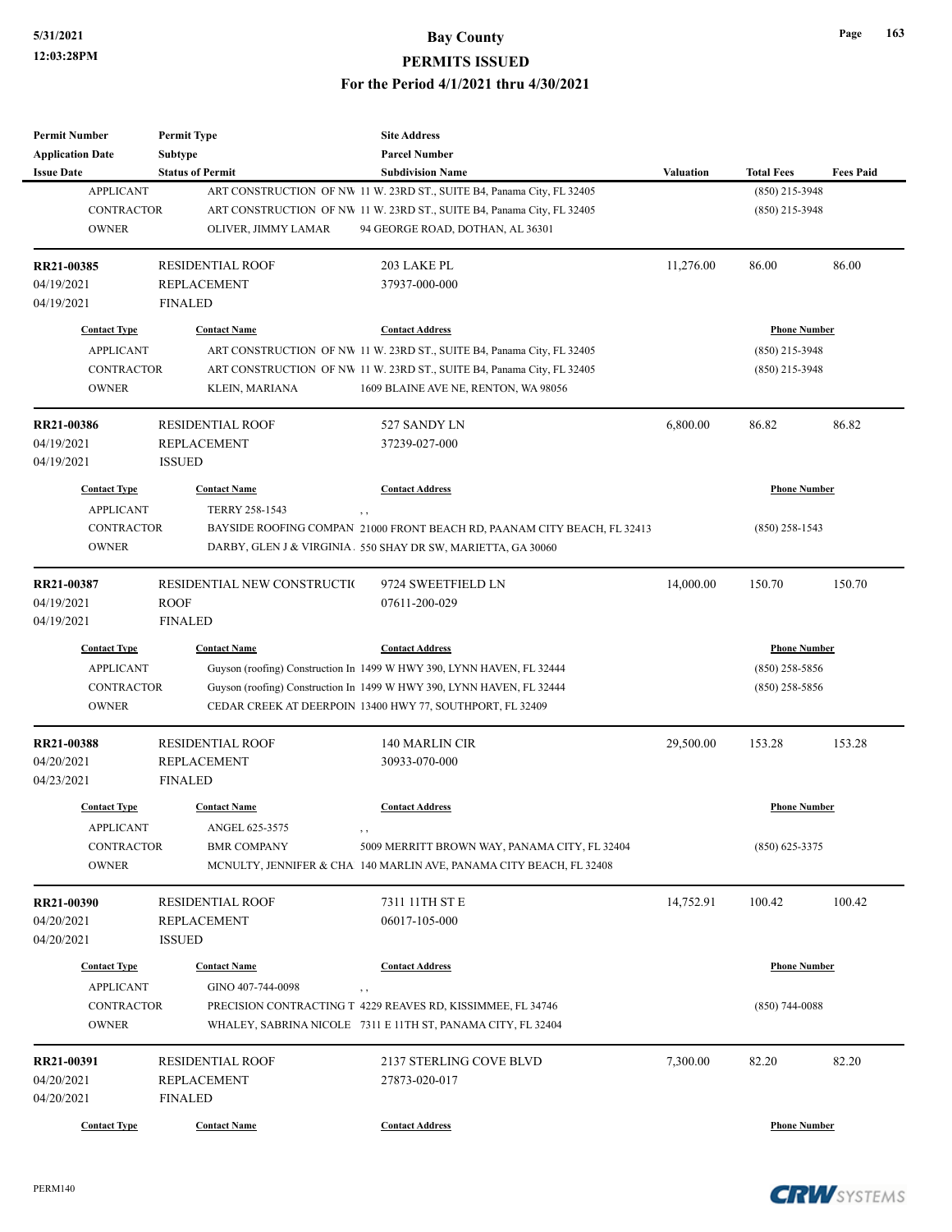| <b>Permit Number</b>    | <b>Permit Type</b>          | <b>Site Address</b>                                                      |                  |                     |                  |
|-------------------------|-----------------------------|--------------------------------------------------------------------------|------------------|---------------------|------------------|
| <b>Application Date</b> | Subtype                     | <b>Parcel Number</b>                                                     |                  |                     |                  |
| <b>Issue Date</b>       | <b>Status of Permit</b>     | <b>Subdivision Name</b>                                                  | <b>Valuation</b> | <b>Total Fees</b>   | <b>Fees Paid</b> |
| <b>APPLICANT</b>        |                             | ART CONSTRUCTION OF NW 11 W. 23RD ST., SUITE B4, Panama City, FL 32405   |                  | (850) 215-3948      |                  |
| <b>CONTRACTOR</b>       |                             | ART CONSTRUCTION OF NW 11 W. 23RD ST., SUITE B4, Panama City, FL 32405   |                  | $(850)$ 215-3948    |                  |
| <b>OWNER</b>            | OLIVER, JIMMY LAMAR         | 94 GEORGE ROAD, DOTHAN, AL 36301                                         |                  |                     |                  |
|                         |                             |                                                                          |                  |                     |                  |
| RR21-00385              | <b>RESIDENTIAL ROOF</b>     | 203 LAKE PL                                                              | 11,276.00        | 86.00               | 86.00            |
| 04/19/2021              | <b>REPLACEMENT</b>          | 37937-000-000                                                            |                  |                     |                  |
| 04/19/2021              | <b>FINALED</b>              |                                                                          |                  |                     |                  |
| <b>Contact Type</b>     | <b>Contact Name</b>         | <b>Contact Address</b>                                                   |                  | <b>Phone Number</b> |                  |
| <b>APPLICANT</b>        |                             | ART CONSTRUCTION OF NW 11 W. 23RD ST., SUITE B4, Panama City, FL 32405   |                  | (850) 215-3948      |                  |
| <b>CONTRACTOR</b>       |                             | ART CONSTRUCTION OF NW 11 W. 23RD ST., SUITE B4, Panama City, FL 32405   |                  | $(850)$ 215-3948    |                  |
| <b>OWNER</b>            | KLEIN, MARIANA              | 1609 BLAINE AVE NE, RENTON, WA 98056                                     |                  |                     |                  |
| RR21-00386              | <b>RESIDENTIAL ROOF</b>     | 527 SANDY LN                                                             | 6,800.00         | 86.82               | 86.82            |
| 04/19/2021              | <b>REPLACEMENT</b>          | 37239-027-000                                                            |                  |                     |                  |
| 04/19/2021              | <b>ISSUED</b>               |                                                                          |                  |                     |                  |
| <b>Contact Type</b>     | <b>Contact Name</b>         | <b>Contact Address</b>                                                   |                  | <b>Phone Number</b> |                  |
| <b>APPLICANT</b>        | TERRY 258-1543              |                                                                          |                  |                     |                  |
|                         |                             | , ,                                                                      |                  |                     |                  |
| <b>CONTRACTOR</b>       |                             | BAYSIDE ROOFING COMPAN 21000 FRONT BEACH RD, PAANAM CITY BEACH, FL 32413 |                  | $(850)$ 258-1543    |                  |
| <b>OWNER</b>            |                             | DARBY, GLEN J & VIRGINIA. 550 SHAY DR SW, MARIETTA, GA 30060             |                  |                     |                  |
| RR21-00387              | RESIDENTIAL NEW CONSTRUCTIO | 9724 SWEETFIELD LN                                                       | 14,000.00        | 150.70              | 150.70           |
| 04/19/2021              | <b>ROOF</b>                 | 07611-200-029                                                            |                  |                     |                  |
| 04/19/2021              | <b>FINALED</b>              |                                                                          |                  |                     |                  |
| <b>Contact Type</b>     | <b>Contact Name</b>         | <b>Contact Address</b>                                                   |                  | <b>Phone Number</b> |                  |
| <b>APPLICANT</b>        |                             | Guyson (roofing) Construction In 1499 W HWY 390, LYNN HAVEN, FL 32444    |                  | $(850)$ 258-5856    |                  |
| CONTRACTOR              |                             | Guyson (roofing) Construction In 1499 W HWY 390, LYNN HAVEN, FL 32444    |                  | $(850)$ 258-5856    |                  |
| <b>OWNER</b>            |                             | CEDAR CREEK AT DEERPOIN 13400 HWY 77, SOUTHPORT, FL 32409                |                  |                     |                  |
| RR21-00388              | <b>RESIDENTIAL ROOF</b>     | 140 MARLIN CIR                                                           | 29,500.00        | 153.28              | 153.28           |
| 04/20/2021              | <b>REPLACEMENT</b>          | 30933-070-000                                                            |                  |                     |                  |
| 04/23/2021              | <b>FINALED</b>              |                                                                          |                  |                     |                  |
| <b>Contact Type</b>     | <b>Contact Name</b>         | <b>Contact Address</b>                                                   |                  | <b>Phone Number</b> |                  |
|                         |                             |                                                                          |                  |                     |                  |
| <b>APPLICANT</b>        | ANGEL 625-3575              | , ,                                                                      |                  |                     |                  |
| CONTRACTOR              | <b>BMR COMPANY</b>          | 5009 MERRITT BROWN WAY, PANAMA CITY, FL 32404                            |                  | $(850)$ 625-3375    |                  |
| <b>OWNER</b>            |                             | MCNULTY, JENNIFER & CHA 140 MARLIN AVE, PANAMA CITY BEACH, FL 32408      |                  |                     |                  |
| RR21-00390              | <b>RESIDENTIAL ROOF</b>     | 7311 11TH ST E                                                           | 14,752.91        | 100.42              | 100.42           |
| 04/20/2021              | <b>REPLACEMENT</b>          | 06017-105-000                                                            |                  |                     |                  |
| 04/20/2021              | <b>ISSUED</b>               |                                                                          |                  |                     |                  |
| <b>Contact Type</b>     | <b>Contact Name</b>         | <b>Contact Address</b>                                                   |                  | <b>Phone Number</b> |                  |
| <b>APPLICANT</b>        | GINO 407-744-0098           |                                                                          |                  |                     |                  |
| CONTRACTOR              |                             | , ,<br>PRECISION CONTRACTING T 4229 REAVES RD, KISSIMMEE, FL 34746       |                  | $(850)$ 744-0088    |                  |
| <b>OWNER</b>            |                             | WHALEY, SABRINA NICOLE 7311 E 11TH ST, PANAMA CITY, FL 32404             |                  |                     |                  |
|                         |                             |                                                                          |                  |                     |                  |
| RR21-00391              | <b>RESIDENTIAL ROOF</b>     | 2137 STERLING COVE BLVD                                                  | 7,300.00         | 82.20               | 82.20            |
| 04/20/2021              | <b>REPLACEMENT</b>          | 27873-020-017                                                            |                  |                     |                  |
| 04/20/2021              | <b>FINALED</b>              |                                                                          |                  |                     |                  |
| <b>Contact Type</b>     | <b>Contact Name</b>         | <b>Contact Address</b>                                                   |                  | <b>Phone Number</b> |                  |

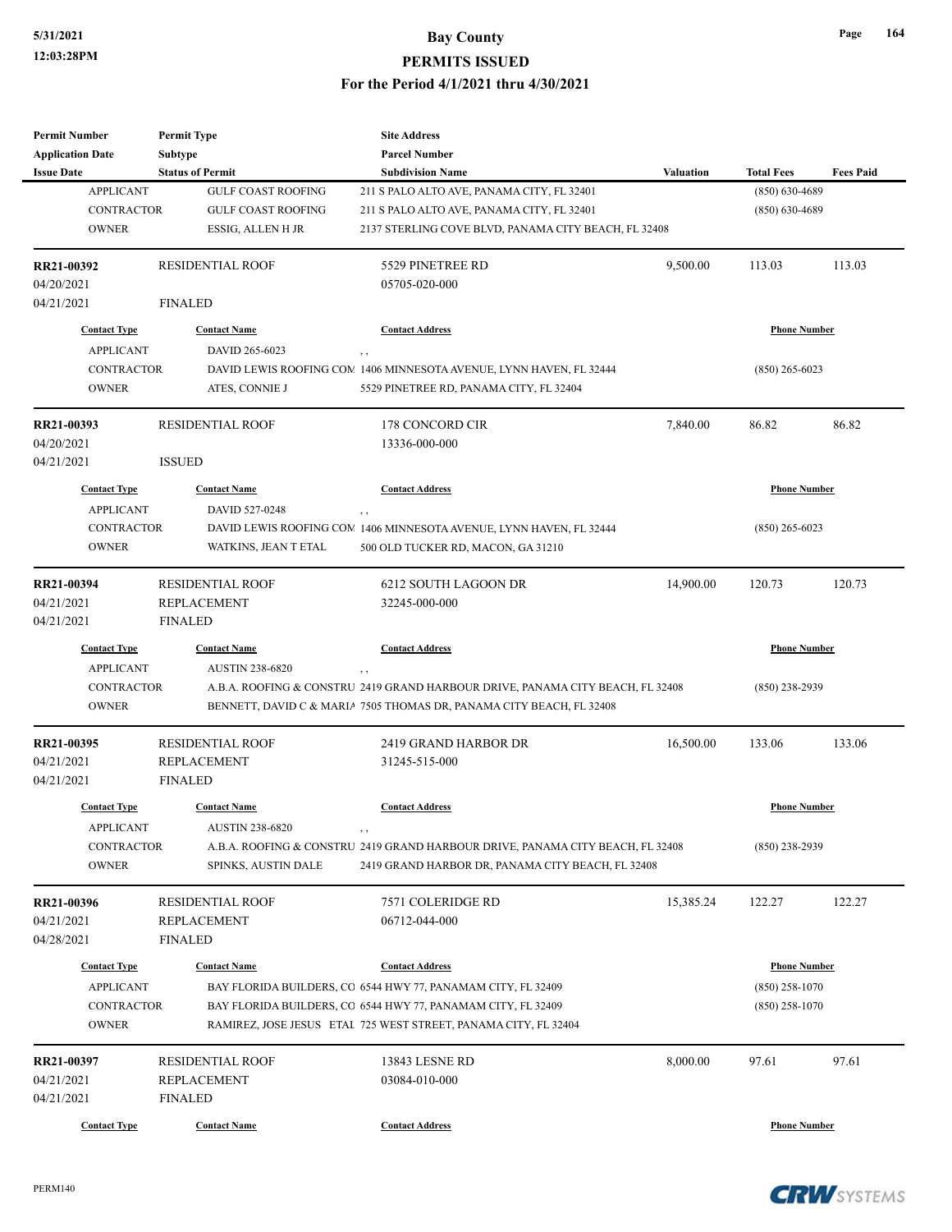| <b>Permit Number</b>    | <b>Permit Type</b>        | <b>Site Address</b>                                                            |                  |                     |                  |
|-------------------------|---------------------------|--------------------------------------------------------------------------------|------------------|---------------------|------------------|
| <b>Application Date</b> | <b>Subtype</b>            | <b>Parcel Number</b>                                                           |                  |                     |                  |
| <b>Issue Date</b>       | <b>Status of Permit</b>   | <b>Subdivision Name</b>                                                        | <b>Valuation</b> | <b>Total Fees</b>   | <b>Fees Paid</b> |
| <b>APPLICANT</b>        | <b>GULF COAST ROOFING</b> | 211 S PALO ALTO AVE, PANAMA CITY, FL 32401                                     |                  | $(850) 630 - 4689$  |                  |
| <b>CONTRACTOR</b>       | <b>GULF COAST ROOFING</b> | 211 S PALO ALTO AVE, PANAMA CITY, FL 32401                                     |                  | $(850) 630 - 4689$  |                  |
| <b>OWNER</b>            | ESSIG, ALLEN H JR         | 2137 STERLING COVE BLVD, PANAMA CITY BEACH, FL 32408                           |                  |                     |                  |
| RR21-00392              | <b>RESIDENTIAL ROOF</b>   | 5529 PINETREE RD                                                               | 9,500.00         | 113.03              | 113.03           |
| 04/20/2021              |                           | 05705-020-000                                                                  |                  |                     |                  |
| 04/21/2021              | <b>FINALED</b>            |                                                                                |                  |                     |                  |
| <b>Contact Type</b>     | <b>Contact Name</b>       | <b>Contact Address</b>                                                         |                  | <b>Phone Number</b> |                  |
| <b>APPLICANT</b>        | DAVID 265-6023            | , ,                                                                            |                  |                     |                  |
| <b>CONTRACTOR</b>       |                           | DAVID LEWIS ROOFING COM 1406 MINNESOTA AVENUE, LYNN HAVEN, FL 32444            |                  | $(850)$ 265-6023    |                  |
| <b>OWNER</b>            | ATES, CONNIE J            | 5529 PINETREE RD, PANAMA CITY, FL 32404                                        |                  |                     |                  |
| RR21-00393              | <b>RESIDENTIAL ROOF</b>   | 178 CONCORD CIR                                                                | 7,840.00         | 86.82               | 86.82            |
| 04/20/2021              |                           | 13336-000-000                                                                  |                  |                     |                  |
| 04/21/2021              | <b>ISSUED</b>             |                                                                                |                  |                     |                  |
| <b>Contact Type</b>     | <b>Contact Name</b>       | <b>Contact Address</b>                                                         |                  | <b>Phone Number</b> |                  |
| <b>APPLICANT</b>        | DAVID 527-0248            | , ,                                                                            |                  |                     |                  |
| <b>CONTRACTOR</b>       |                           | DAVID LEWIS ROOFING COM 1406 MINNESOTA AVENUE, LYNN HAVEN, FL 32444            |                  | $(850)$ 265-6023    |                  |
| <b>OWNER</b>            | WATKINS, JEAN T ETAL      | 500 OLD TUCKER RD, MACON, GA 31210                                             |                  |                     |                  |
|                         |                           |                                                                                |                  |                     |                  |
| RR21-00394              | <b>RESIDENTIAL ROOF</b>   | 6212 SOUTH LAGOON DR                                                           | 14,900.00        | 120.73              | 120.73           |
| 04/21/2021              | <b>REPLACEMENT</b>        | 32245-000-000                                                                  |                  |                     |                  |
| 04/21/2021              | <b>FINALED</b>            |                                                                                |                  |                     |                  |
| <b>Contact Type</b>     | <b>Contact Name</b>       | <b>Contact Address</b>                                                         |                  | <b>Phone Number</b> |                  |
| <b>APPLICANT</b>        | <b>AUSTIN 238-6820</b>    | , ,                                                                            |                  |                     |                  |
| <b>CONTRACTOR</b>       |                           | A.B.A. ROOFING & CONSTRU 2419 GRAND HARBOUR DRIVE, PANAMA CITY BEACH, FL 32408 |                  | $(850)$ 238-2939    |                  |
| <b>OWNER</b>            |                           | BENNETT, DAVID C & MARIA 7505 THOMAS DR, PANAMA CITY BEACH, FL 32408           |                  |                     |                  |
| RR21-00395              | <b>RESIDENTIAL ROOF</b>   | 2419 GRAND HARBOR DR                                                           | 16,500.00        | 133.06              | 133.06           |
| 04/21/2021              | <b>REPLACEMENT</b>        | 31245-515-000                                                                  |                  |                     |                  |
| 04/21/2021              | <b>FINALED</b>            |                                                                                |                  |                     |                  |
| <b>Contact Type</b>     | <b>Contact Name</b>       | <b>Contact Address</b>                                                         |                  | <b>Phone Number</b> |                  |
| <b>APPLICANT</b>        | <b>AUSTIN 238-6820</b>    | , ,                                                                            |                  |                     |                  |
| <b>CONTRACTOR</b>       |                           | A.B.A. ROOFING & CONSTRU 2419 GRAND HARBOUR DRIVE, PANAMA CITY BEACH, FL 32408 |                  | $(850)$ 238-2939    |                  |
| <b>OWNER</b>            | SPINKS, AUSTIN DALE       | 2419 GRAND HARBOR DR, PANAMA CITY BEACH, FL 32408                              |                  |                     |                  |
| RR21-00396              | <b>RESIDENTIAL ROOF</b>   | 7571 COLERIDGE RD                                                              | 15,385.24        | 122.27              | 122.27           |
| 04/21/2021              | <b>REPLACEMENT</b>        | 06712-044-000                                                                  |                  |                     |                  |
| 04/28/2021              | <b>FINALED</b>            |                                                                                |                  |                     |                  |
|                         |                           |                                                                                |                  |                     |                  |
| <b>Contact Type</b>     | <b>Contact Name</b>       | <b>Contact Address</b>                                                         |                  | <b>Phone Number</b> |                  |
| <b>APPLICANT</b>        |                           | BAY FLORIDA BUILDERS, CO 6544 HWY 77, PANAMAM CITY, FL 32409                   |                  | $(850)$ 258-1070    |                  |
| <b>CONTRACTOR</b>       |                           | BAY FLORIDA BUILDERS, CO 6544 HWY 77, PANAMAM CITY, FL 32409                   |                  | $(850)$ 258-1070    |                  |
| <b>OWNER</b>            |                           | RAMIREZ, JOSE JESUS ETAL 725 WEST STREET, PANAMA CITY, FL 32404                |                  |                     |                  |
| RR21-00397              | <b>RESIDENTIAL ROOF</b>   | 13843 LESNE RD                                                                 | 8,000.00         | 97.61               | 97.61            |
| 04/21/2021              | REPLACEMENT               | 03084-010-000                                                                  |                  |                     |                  |
| 04/21/2021              | <b>FINALED</b>            |                                                                                |                  |                     |                  |
| <b>Contact Type</b>     |                           | <b>Contact Address</b>                                                         |                  | <b>Phone Number</b> |                  |
|                         | <b>Contact Name</b>       |                                                                                |                  |                     |                  |

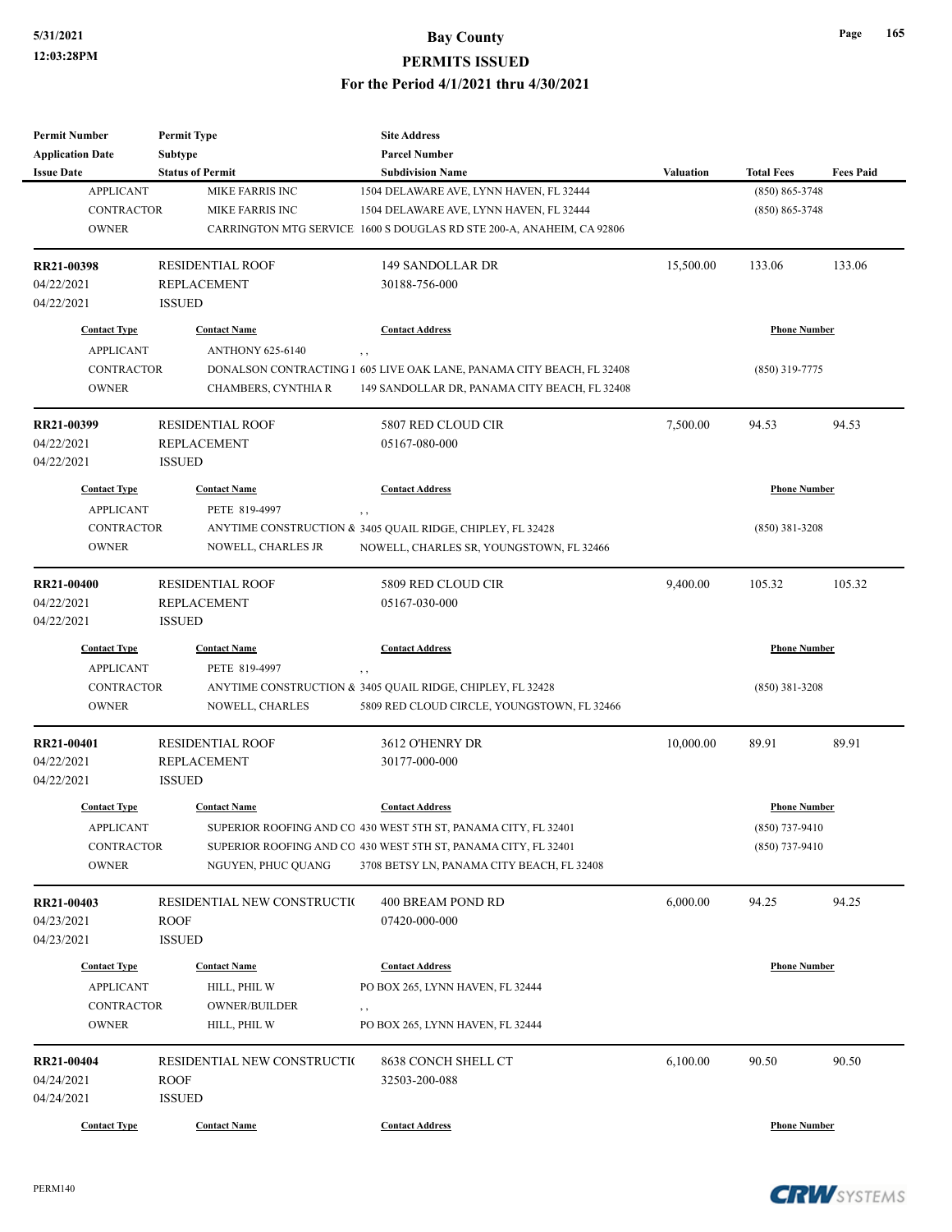| <b>Permit Number</b>    | <b>Permit Type</b>          | <b>Site Address</b>                                                   |                  |                     |                  |
|-------------------------|-----------------------------|-----------------------------------------------------------------------|------------------|---------------------|------------------|
| <b>Application Date</b> | Subtype                     | <b>Parcel Number</b>                                                  |                  |                     |                  |
| <b>Issue Date</b>       | <b>Status of Permit</b>     | <b>Subdivision Name</b>                                               | <b>Valuation</b> | <b>Total Fees</b>   | <b>Fees Paid</b> |
| <b>APPLICANT</b>        | <b>MIKE FARRIS INC</b>      | 1504 DELAWARE AVE, LYNN HAVEN, FL 32444                               |                  | $(850) 865 - 3748$  |                  |
| <b>CONTRACTOR</b>       | MIKE FARRIS INC             | 1504 DELAWARE AVE, LYNN HAVEN, FL 32444                               |                  | $(850) 865 - 3748$  |                  |
| <b>OWNER</b>            |                             | CARRINGTON MTG SERVICE 1600 S DOUGLAS RD STE 200-A, ANAHEIM, CA 92806 |                  |                     |                  |
| RR21-00398              | <b>RESIDENTIAL ROOF</b>     | 149 SANDOLLAR DR                                                      | 15,500.00        | 133.06              | 133.06           |
| 04/22/2021              | <b>REPLACEMENT</b>          | 30188-756-000                                                         |                  |                     |                  |
| 04/22/2021              | <b>ISSUED</b>               |                                                                       |                  |                     |                  |
| <b>Contact Type</b>     | <b>Contact Name</b>         | <b>Contact Address</b>                                                |                  | <b>Phone Number</b> |                  |
| <b>APPLICANT</b>        | <b>ANTHONY 625-6140</b>     | , ,                                                                   |                  |                     |                  |
| <b>CONTRACTOR</b>       |                             | DONALSON CONTRACTING I 605 LIVE OAK LANE, PANAMA CITY BEACH, FL 32408 |                  | $(850)$ 319-7775    |                  |
| <b>OWNER</b>            | CHAMBERS, CYNTHIA R         | 149 SANDOLLAR DR, PANAMA CITY BEACH, FL 32408                         |                  |                     |                  |
| RR21-00399              | <b>RESIDENTIAL ROOF</b>     | 5807 RED CLOUD CIR                                                    | 7,500.00         | 94.53               | 94.53            |
| 04/22/2021              | <b>REPLACEMENT</b>          | 05167-080-000                                                         |                  |                     |                  |
| 04/22/2021              | <b>ISSUED</b>               |                                                                       |                  |                     |                  |
| <b>Contact Type</b>     | <b>Contact Name</b>         | <b>Contact Address</b>                                                |                  | <b>Phone Number</b> |                  |
| <b>APPLICANT</b>        | PETE 819-4997               | , ,                                                                   |                  |                     |                  |
| <b>CONTRACTOR</b>       |                             | ANYTIME CONSTRUCTION & 3405 QUAIL RIDGE, CHIPLEY, FL 32428            |                  | $(850)$ 381-3208    |                  |
| <b>OWNER</b>            | NOWELL, CHARLES JR          | NOWELL, CHARLES SR, YOUNGSTOWN, FL 32466                              |                  |                     |                  |
|                         |                             |                                                                       |                  |                     |                  |
| <b>RR21-00400</b>       | <b>RESIDENTIAL ROOF</b>     | 5809 RED CLOUD CIR                                                    | 9,400.00         | 105.32              | 105.32           |
| 04/22/2021              | <b>REPLACEMENT</b>          | 05167-030-000                                                         |                  |                     |                  |
| 04/22/2021              | <b>ISSUED</b>               |                                                                       |                  |                     |                  |
| <b>Contact Type</b>     | <b>Contact Name</b>         | <b>Contact Address</b>                                                |                  | <b>Phone Number</b> |                  |
| <b>APPLICANT</b>        | PETE 819-4997               | , ,                                                                   |                  |                     |                  |
| <b>CONTRACTOR</b>       |                             | ANYTIME CONSTRUCTION & 3405 QUAIL RIDGE, CHIPLEY, FL 32428            |                  | $(850)$ 381-3208    |                  |
| <b>OWNER</b>            | NOWELL, CHARLES             | 5809 RED CLOUD CIRCLE, YOUNGSTOWN, FL 32466                           |                  |                     |                  |
| RR21-00401              | <b>RESIDENTIAL ROOF</b>     | 3612 O'HENRY DR                                                       | 10,000.00        | 89.91               | 89.91            |
| 04/22/2021              | <b>REPLACEMENT</b>          | 30177-000-000                                                         |                  |                     |                  |
| 04/22/2021              | <b>ISSUED</b>               |                                                                       |                  |                     |                  |
| <b>Contact Type</b>     | <b>Contact Name</b>         | <b>Contact Address</b>                                                |                  | <b>Phone Number</b> |                  |
| <b>APPLICANT</b>        |                             | SUPERIOR ROOFING AND CO 430 WEST 5TH ST, PANAMA CITY, FL 32401        |                  | (850) 737-9410      |                  |
| <b>CONTRACTOR</b>       |                             | SUPERIOR ROOFING AND CO 430 WEST 5TH ST, PANAMA CITY, FL 32401        |                  | $(850)$ 737-9410    |                  |
| <b>OWNER</b>            | NGUYEN, PHUC QUANG          | 3708 BETSY LN, PANAMA CITY BEACH, FL 32408                            |                  |                     |                  |
| RR21-00403              | RESIDENTIAL NEW CONSTRUCTIO | 400 BREAM POND RD                                                     | 6,000.00         | 94.25               | 94.25            |
| 04/23/2021              | <b>ROOF</b>                 | 07420-000-000                                                         |                  |                     |                  |
| 04/23/2021              | <b>ISSUED</b>               |                                                                       |                  |                     |                  |
| <b>Contact Type</b>     | <b>Contact Name</b>         | <b>Contact Address</b>                                                |                  | <b>Phone Number</b> |                  |
| <b>APPLICANT</b>        | HILL, PHIL W                | PO BOX 265, LYNN HAVEN, FL 32444                                      |                  |                     |                  |
| CONTRACTOR              | <b>OWNER/BUILDER</b>        | , ,                                                                   |                  |                     |                  |
| <b>OWNER</b>            | HILL, PHIL W                | PO BOX 265, LYNN HAVEN, FL 32444                                      |                  |                     |                  |
| RR21-00404              | RESIDENTIAL NEW CONSTRUCTIO | 8638 CONCH SHELL CT                                                   | 6,100.00         | 90.50               | 90.50            |
| 04/24/2021              | <b>ROOF</b>                 | 32503-200-088                                                         |                  |                     |                  |
| 04/24/2021              | <b>ISSUED</b>               |                                                                       |                  |                     |                  |
| <b>Contact Type</b>     | <b>Contact Name</b>         | <b>Contact Address</b>                                                |                  | <b>Phone Number</b> |                  |
|                         |                             |                                                                       |                  |                     |                  |





**Page 165**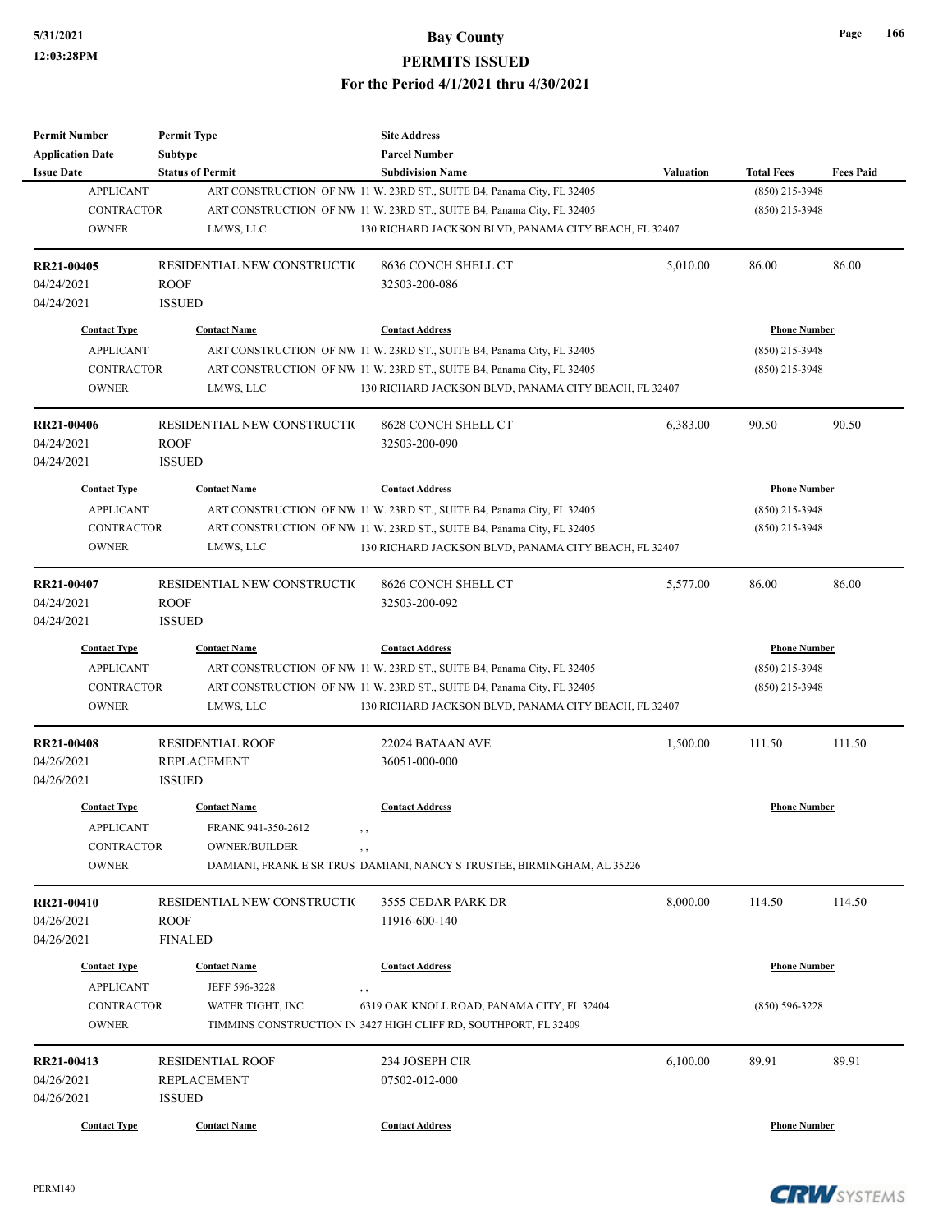| <b>Permit Number</b>     | <b>Permit Type</b>          | <b>Site Address</b>                                                     |           |                     |                  |
|--------------------------|-----------------------------|-------------------------------------------------------------------------|-----------|---------------------|------------------|
| <b>Application Date</b>  | Subtype                     | <b>Parcel Number</b>                                                    |           |                     |                  |
| <b>Issue Date</b>        | <b>Status of Permit</b>     | <b>Subdivision Name</b>                                                 | Valuation | <b>Total Fees</b>   | <b>Fees Paid</b> |
| <b>APPLICANT</b>         |                             | ART CONSTRUCTION OF NW 11 W. 23RD ST., SUITE B4, Panama City, FL 32405  |           | (850) 215-3948      |                  |
| <b>CONTRACTOR</b>        |                             | ART CONSTRUCTION OF NW 11 W. 23RD ST., SUITE B4, Panama City, FL 32405  |           | $(850)$ 215-3948    |                  |
| <b>OWNER</b>             | LMWS, LLC                   | 130 RICHARD JACKSON BLVD, PANAMA CITY BEACH, FL 32407                   |           |                     |                  |
| <b>RR21-00405</b>        | RESIDENTIAL NEW CONSTRUCTIO | 8636 CONCH SHELL CT                                                     | 5,010.00  | 86.00               | 86.00            |
| 04/24/2021               | <b>ROOF</b>                 | 32503-200-086                                                           |           |                     |                  |
| 04/24/2021               | <b>ISSUED</b>               |                                                                         |           |                     |                  |
| <b>Contact Type</b>      | <b>Contact Name</b>         | <b>Contact Address</b>                                                  |           | <b>Phone Number</b> |                  |
| <b>APPLICANT</b>         |                             | ART CONSTRUCTION OF NW 11 W. 23RD ST., SUITE B4, Panama City, FL 32405  |           | $(850)$ 215-3948    |                  |
| <b>CONTRACTOR</b>        |                             | ART CONSTRUCTION OF NW 11 W. 23RD ST., SUITE B4, Panama City, FL 32405  |           | $(850)$ 215-3948    |                  |
| <b>OWNER</b>             | LMWS, LLC                   | 130 RICHARD JACKSON BLVD, PANAMA CITY BEACH, FL 32407                   |           |                     |                  |
| <b>RR21-00406</b>        | RESIDENTIAL NEW CONSTRUCTIO | 8628 CONCH SHELL CT                                                     | 6,383.00  | 90.50               | 90.50            |
| 04/24/2021               | <b>ROOF</b>                 | 32503-200-090                                                           |           |                     |                  |
| 04/24/2021               | <b>ISSUED</b>               |                                                                         |           |                     |                  |
| <b>Contact Type</b>      | <b>Contact Name</b>         | <b>Contact Address</b>                                                  |           | <b>Phone Number</b> |                  |
| <b>APPLICANT</b>         |                             | ART CONSTRUCTION OF NW 11 W. 23RD ST., SUITE B4, Panama City, FL 32405  |           | $(850)$ 215-3948    |                  |
| <b>CONTRACTOR</b>        |                             | ART CONSTRUCTION OF NW 11 W. 23RD ST., SUITE B4, Panama City, FL 32405  |           | $(850)$ 215-3948    |                  |
| <b>OWNER</b>             | LMWS, LLC                   | 130 RICHARD JACKSON BLVD, PANAMA CITY BEACH, FL 32407                   |           |                     |                  |
|                          |                             |                                                                         |           |                     |                  |
| RR21-00407               | RESIDENTIAL NEW CONSTRUCTIO | 8626 CONCH SHELL CT                                                     | 5,577.00  | 86.00               | 86.00            |
| 04/24/2021               | <b>ROOF</b>                 | 32503-200-092                                                           |           |                     |                  |
| 04/24/2021               | <b>ISSUED</b>               |                                                                         |           |                     |                  |
| <b>Contact Type</b>      | <b>Contact Name</b>         | <b>Contact Address</b>                                                  |           | <b>Phone Number</b> |                  |
| <b>APPLICANT</b>         |                             | ART CONSTRUCTION OF NW 11 W. 23RD ST., SUITE B4, Panama City, FL 32405  |           | $(850)$ 215-3948    |                  |
| CONTRACTOR               |                             | ART CONSTRUCTION OF NW 11 W. 23RD ST., SUITE B4, Panama City, FL 32405  |           | $(850)$ 215-3948    |                  |
| <b>OWNER</b>             | LMWS, LLC                   | 130 RICHARD JACKSON BLVD, PANAMA CITY BEACH, FL 32407                   |           |                     |                  |
| <b>RR21-00408</b>        | <b>RESIDENTIAL ROOF</b>     | 22024 BATAAN AVE                                                        | 1,500.00  | 111.50              | 111.50           |
| 04/26/2021               | <b>REPLACEMENT</b>          | 36051-000-000                                                           |           |                     |                  |
| 04/26/2021               | <b>ISSUED</b>               |                                                                         |           |                     |                  |
| <b>Contact Type</b>      | <b>Contact Name</b>         | <b>Contact Address</b>                                                  |           | <b>Phone Number</b> |                  |
| <b>APPLICANT</b>         | FRANK 941-350-2612          |                                                                         |           |                     |                  |
| CONTRACTOR               | <b>OWNER/BUILDER</b>        |                                                                         |           |                     |                  |
| <b>OWNER</b>             |                             | DAMIANI, FRANK E SR TRUS DAMIANI, NANCY S TRUSTEE, BIRMINGHAM, AL 35226 |           |                     |                  |
|                          | RESIDENTIAL NEW CONSTRUCTIO | 3555 CEDAR PARK DR                                                      | 8,000.00  | 114.50              | 114.50           |
| RR21-00410<br>04/26/2021 | <b>ROOF</b>                 | 11916-600-140                                                           |           |                     |                  |
| 04/26/2021               | <b>FINALED</b>              |                                                                         |           |                     |                  |
|                          |                             |                                                                         |           |                     |                  |
| <b>Contact Type</b>      | <b>Contact Name</b>         | <b>Contact Address</b>                                                  |           | <b>Phone Number</b> |                  |
| <b>APPLICANT</b>         | JEFF 596-3228               | $, \, ,$                                                                |           |                     |                  |
| CONTRACTOR               | WATER TIGHT, INC            | 6319 OAK KNOLL ROAD, PANAMA CITY, FL 32404                              |           | $(850) 596 - 3228$  |                  |
| <b>OWNER</b>             |                             | TIMMINS CONSTRUCTION IN 3427 HIGH CLIFF RD, SOUTHPORT, FL 32409         |           |                     |                  |
| RR21-00413               | <b>RESIDENTIAL ROOF</b>     | 234 JOSEPH CIR                                                          | 6,100.00  | 89.91               | 89.91            |
| 04/26/2021               | <b>REPLACEMENT</b>          | 07502-012-000                                                           |           |                     |                  |
| 04/26/2021               | <b>ISSUED</b>               |                                                                         |           |                     |                  |
| <b>Contact Type</b>      | <b>Contact Name</b>         | <b>Contact Address</b>                                                  |           | <b>Phone Number</b> |                  |
|                          |                             |                                                                         |           |                     |                  |

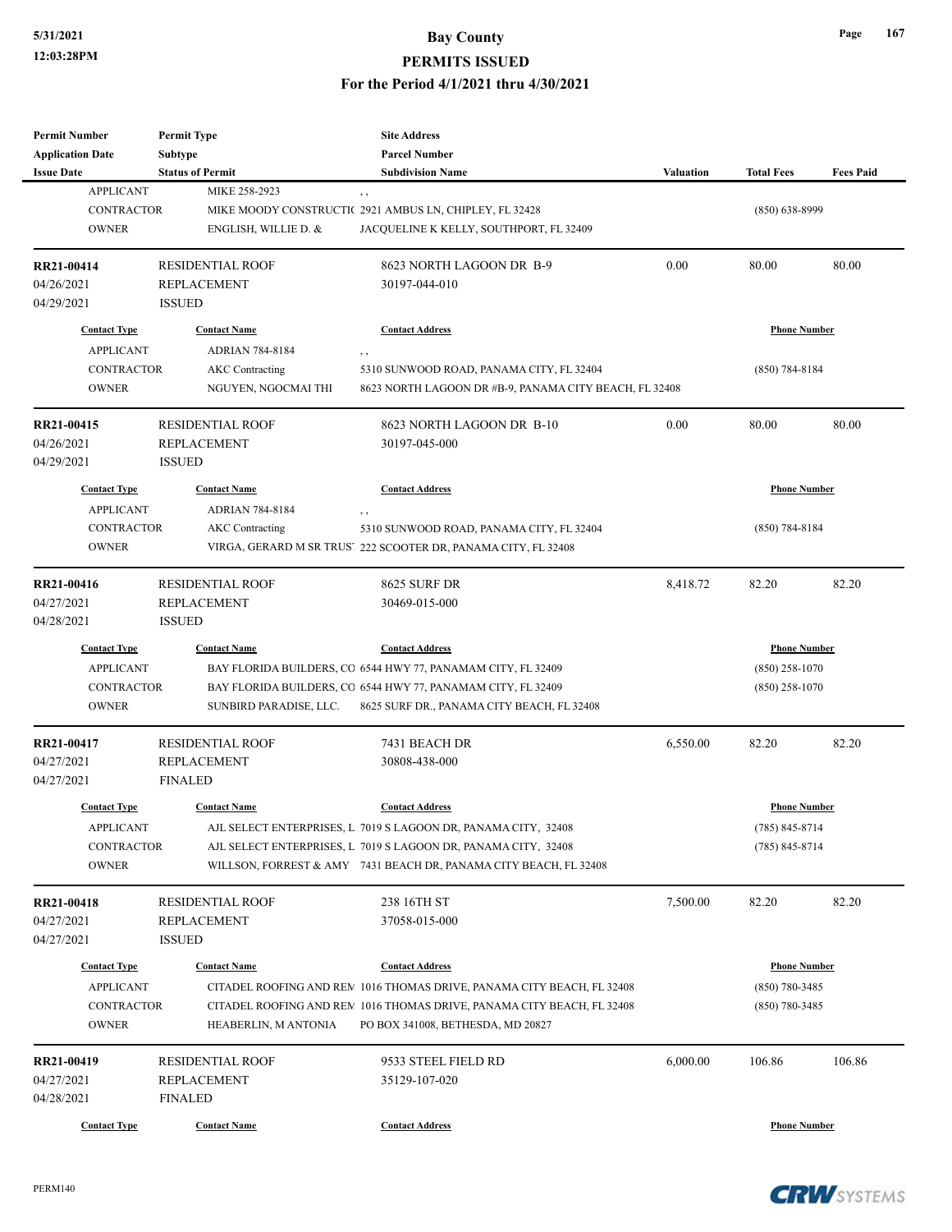| <b>Permit Number</b>    | <b>Permit Type</b>      | <b>Site Address</b>                                                    |                  |                     |                  |
|-------------------------|-------------------------|------------------------------------------------------------------------|------------------|---------------------|------------------|
| <b>Application Date</b> | Subtype                 | <b>Parcel Number</b>                                                   |                  |                     |                  |
| <b>Issue Date</b>       | <b>Status of Permit</b> | <b>Subdivision Name</b>                                                | <b>Valuation</b> | <b>Total Fees</b>   | <b>Fees Paid</b> |
| <b>APPLICANT</b>        | MIKE 258-2923           | , ,                                                                    |                  |                     |                  |
| <b>CONTRACTOR</b>       |                         | MIKE MOODY CONSTRUCTIC 2921 AMBUS LN, CHIPLEY, FL 32428                |                  | $(850) 638 - 8999$  |                  |
| <b>OWNER</b>            | ENGLISH, WILLIE D. &    | JACQUELINE K KELLY, SOUTHPORT, FL 32409                                |                  |                     |                  |
|                         |                         |                                                                        |                  |                     |                  |
| RR21-00414              | <b>RESIDENTIAL ROOF</b> | 8623 NORTH LAGOON DR B-9                                               | 0.00             | 80.00               | 80.00            |
| 04/26/2021              | <b>REPLACEMENT</b>      | 30197-044-010                                                          |                  |                     |                  |
| 04/29/2021              | <b>ISSUED</b>           |                                                                        |                  |                     |                  |
| <b>Contact Type</b>     | <b>Contact Name</b>     | <b>Contact Address</b>                                                 |                  | <b>Phone Number</b> |                  |
| <b>APPLICANT</b>        | <b>ADRIAN 784-8184</b>  |                                                                        |                  |                     |                  |
| <b>CONTRACTOR</b>       |                         | $, \, ,$                                                               |                  |                     |                  |
|                         | <b>AKC</b> Contracting  | 5310 SUNWOOD ROAD, PANAMA CITY, FL 32404                               |                  | $(850)$ 784-8184    |                  |
| <b>OWNER</b>            | NGUYEN, NGOCMAI THI     | 8623 NORTH LAGOON DR #B-9, PANAMA CITY BEACH, FL 32408                 |                  |                     |                  |
| RR21-00415              | <b>RESIDENTIAL ROOF</b> | 8623 NORTH LAGOON DR B-10                                              | 0.00             | 80.00               | 80.00            |
| 04/26/2021              | REPLACEMENT             | 30197-045-000                                                          |                  |                     |                  |
| 04/29/2021              | <b>ISSUED</b>           |                                                                        |                  |                     |                  |
| <b>Contact Type</b>     | <b>Contact Name</b>     | <b>Contact Address</b>                                                 |                  | <b>Phone Number</b> |                  |
|                         |                         |                                                                        |                  |                     |                  |
| <b>APPLICANT</b>        | <b>ADRIAN 784-8184</b>  | ,,                                                                     |                  |                     |                  |
| <b>CONTRACTOR</b>       | <b>AKC</b> Contracting  | 5310 SUNWOOD ROAD, PANAMA CITY, FL 32404                               |                  | $(850)$ 784-8184    |                  |
| <b>OWNER</b>            |                         | VIRGA, GERARD M SR TRUST 222 SCOOTER DR, PANAMA CITY, FL 32408         |                  |                     |                  |
| RR21-00416              | <b>RESIDENTIAL ROOF</b> | 8625 SURF DR                                                           | 8,418.72         | 82.20               | 82.20            |
| 04/27/2021              | <b>REPLACEMENT</b>      | 30469-015-000                                                          |                  |                     |                  |
| 04/28/2021              | <b>ISSUED</b>           |                                                                        |                  |                     |                  |
| <b>Contact Type</b>     | <b>Contact Name</b>     | <b>Contact Address</b>                                                 |                  | <b>Phone Number</b> |                  |
| <b>APPLICANT</b>        |                         | BAY FLORIDA BUILDERS, CO 6544 HWY 77, PANAMAM CITY, FL 32409           |                  | $(850)$ 258-1070    |                  |
| <b>CONTRACTOR</b>       |                         | BAY FLORIDA BUILDERS, CO 6544 HWY 77, PANAMAM CITY, FL 32409           |                  | $(850)$ 258-1070    |                  |
| <b>OWNER</b>            | SUNBIRD PARADISE, LLC.  |                                                                        |                  |                     |                  |
|                         |                         | 8625 SURF DR., PANAMA CITY BEACH, FL 32408                             |                  |                     |                  |
| RR21-00417              | <b>RESIDENTIAL ROOF</b> | 7431 BEACH DR                                                          | 6,550.00         | 82.20               | 82.20            |
| 04/27/2021              | <b>REPLACEMENT</b>      | 30808-438-000                                                          |                  |                     |                  |
| 04/27/2021              | <b>FINALED</b>          |                                                                        |                  |                     |                  |
| <b>Contact Type</b>     | <b>Contact Name</b>     | <b>Contact Address</b>                                                 |                  | <b>Phone Number</b> |                  |
|                         |                         |                                                                        |                  |                     |                  |
| <b>APPLICANT</b>        |                         | AJL SELECT ENTERPRISES, L 7019 S LAGOON DR, PANAMA CITY, 32408         |                  | $(785) 845 - 8714$  |                  |
| CONTRACTOR              |                         | AJL SELECT ENTERPRISES, L 7019 S LAGOON DR, PANAMA CITY, 32408         |                  | $(785) 845 - 8714$  |                  |
| <b>OWNER</b>            |                         | WILLSON, FORREST & AMY 7431 BEACH DR, PANAMA CITY BEACH, FL 32408      |                  |                     |                  |
| RR21-00418              | <b>RESIDENTIAL ROOF</b> | 238 16TH ST                                                            | 7,500.00         | 82.20               | 82.20            |
| 04/27/2021              | REPLACEMENT             | 37058-015-000                                                          |                  |                     |                  |
| 04/27/2021              | <b>ISSUED</b>           |                                                                        |                  |                     |                  |
|                         |                         |                                                                        |                  |                     |                  |
| <b>Contact Type</b>     | <b>Contact Name</b>     | <b>Contact Address</b>                                                 |                  | <b>Phone Number</b> |                  |
| <b>APPLICANT</b>        |                         | CITADEL ROOFING AND REM 1016 THOMAS DRIVE, PANAMA CITY BEACH, FL 32408 |                  | $(850) 780 - 3485$  |                  |
| <b>CONTRACTOR</b>       |                         | CITADEL ROOFING AND REM 1016 THOMAS DRIVE, PANAMA CITY BEACH, FL 32408 |                  | $(850) 780 - 3485$  |                  |
| <b>OWNER</b>            | HEABERLIN, M ANTONIA    | PO BOX 341008, BETHESDA, MD 20827                                      |                  |                     |                  |
| RR21-00419              | <b>RESIDENTIAL ROOF</b> | 9533 STEEL FIELD RD                                                    | 6,000.00         | 106.86              | 106.86           |
| 04/27/2021              | REPLACEMENT             | 35129-107-020                                                          |                  |                     |                  |
| 04/28/2021              | <b>FINALED</b>          |                                                                        |                  |                     |                  |
|                         |                         |                                                                        |                  |                     |                  |
| <b>Contact Type</b>     | <b>Contact Name</b>     | <b>Contact Address</b>                                                 |                  | <b>Phone Number</b> |                  |



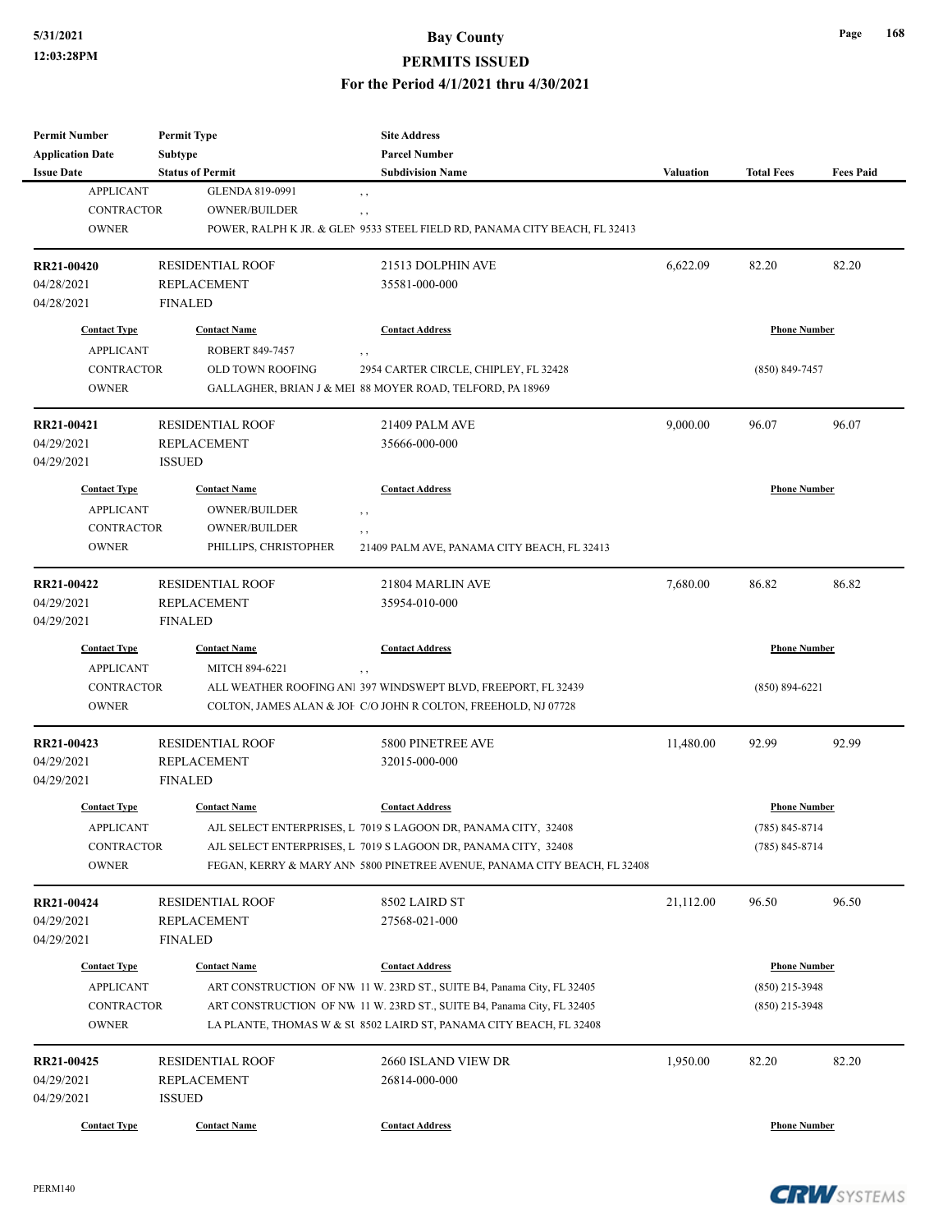### **5/31/2021 Bay County**

#### **PERMITS ISSUED**

#### **For the Period 4/1/2021 thru 4/30/2021**

| <b>Permit Number</b>     | <b>Permit Type</b>                            | <b>Site Address</b>                                                        |                     |                     |                  |
|--------------------------|-----------------------------------------------|----------------------------------------------------------------------------|---------------------|---------------------|------------------|
| <b>Application Date</b>  | Subtype                                       | <b>Parcel Number</b>                                                       |                     |                     |                  |
| <b>Issue Date</b>        | <b>Status of Permit</b>                       | <b>Subdivision Name</b>                                                    | Valuation           | <b>Total Fees</b>   | <b>Fees Paid</b> |
| <b>APPLICANT</b>         | GLENDA 819-0991                               | , ,                                                                        |                     |                     |                  |
| <b>CONTRACTOR</b>        | <b>OWNER/BUILDER</b>                          | $, \, ,$                                                                   |                     |                     |                  |
| <b>OWNER</b>             |                                               | POWER, RALPH K JR. & GLEN 9533 STEEL FIELD RD, PANAMA CITY BEACH, FL 32413 |                     |                     |                  |
|                          |                                               |                                                                            |                     |                     |                  |
| RR21-00420               | <b>RESIDENTIAL ROOF</b>                       | 21513 DOLPHIN AVE                                                          | 6,622.09            | 82.20               | 82.20            |
| 04/28/2021               | <b>REPLACEMENT</b>                            | 35581-000-000                                                              |                     |                     |                  |
| 04/28/2021               | <b>FINALED</b>                                |                                                                            |                     |                     |                  |
| <b>Contact Type</b>      | <b>Contact Name</b>                           | <b>Contact Address</b>                                                     |                     | <b>Phone Number</b> |                  |
| <b>APPLICANT</b>         | <b>ROBERT 849-7457</b>                        |                                                                            |                     |                     |                  |
| <b>CONTRACTOR</b>        | OLD TOWN ROOFING                              | $, \,$<br>2954 CARTER CIRCLE, CHIPLEY, FL 32428                            |                     | (850) 849-7457      |                  |
| <b>OWNER</b>             |                                               | GALLAGHER, BRIAN J & MEI 88 MOYER ROAD, TELFORD, PA 18969                  |                     |                     |                  |
|                          |                                               |                                                                            |                     |                     |                  |
| RR21-00421               | <b>RESIDENTIAL ROOF</b>                       | 21409 PALM AVE                                                             | 9,000.00            | 96.07               | 96.07            |
| 04/29/2021               | <b>REPLACEMENT</b>                            | 35666-000-000                                                              |                     |                     |                  |
| 04/29/2021               | <b>ISSUED</b>                                 |                                                                            |                     |                     |                  |
| <b>Contact Type</b>      | <b>Contact Name</b>                           | <b>Contact Address</b>                                                     |                     | <b>Phone Number</b> |                  |
|                          |                                               |                                                                            |                     |                     |                  |
| <b>APPLICANT</b>         | <b>OWNER/BUILDER</b>                          | $, \, , \,$                                                                |                     |                     |                  |
| <b>CONTRACTOR</b>        | <b>OWNER/BUILDER</b>                          | $, \, ,$                                                                   |                     |                     |                  |
| <b>OWNER</b>             | PHILLIPS, CHRISTOPHER                         | 21409 PALM AVE, PANAMA CITY BEACH, FL 32413                                |                     |                     |                  |
| RR21-00422               | <b>RESIDENTIAL ROOF</b>                       | 21804 MARLIN AVE                                                           | 7,680.00            | 86.82               | 86.82            |
| 04/29/2021               | <b>REPLACEMENT</b>                            | 35954-010-000                                                              |                     |                     |                  |
| 04/29/2021               | <b>FINALED</b>                                |                                                                            |                     |                     |                  |
| <b>Contact Type</b>      | <b>Contact Name</b>                           | <b>Contact Address</b>                                                     | <b>Phone Number</b> |                     |                  |
| <b>APPLICANT</b>         | MITCH 894-6221                                |                                                                            |                     |                     |                  |
| <b>CONTRACTOR</b>        |                                               | , ,<br>ALL WEATHER ROOFING ANI 397 WINDSWEPT BLVD, FREEPORT, FL 32439      |                     |                     |                  |
| <b>OWNER</b>             |                                               |                                                                            |                     | $(850) 894 - 6221$  |                  |
|                          |                                               | COLTON, JAMES ALAN & JOF C/O JOHN R COLTON, FREEHOLD, NJ 07728             |                     |                     |                  |
| RR21-00423               | <b>RESIDENTIAL ROOF</b>                       | 5800 PINETREE AVE                                                          | 11,480.00           | 92.99               | 92.99            |
| 04/29/2021               | <b>REPLACEMENT</b>                            | 32015-000-000                                                              |                     |                     |                  |
| 04/29/2021               | <b>FINALED</b>                                |                                                                            |                     |                     |                  |
|                          |                                               |                                                                            |                     |                     |                  |
| <b>Contact Type</b>      | <b>Contact Name</b>                           | <b>Contact Address</b>                                                     |                     | <b>Phone Number</b> |                  |
| APPLICANT                |                                               | AJL SELECT ENTERPRISES, L 7019 S LAGOON DR, PANAMA CITY, 32408             |                     | $(785) 845 - 8714$  |                  |
| <b>CONTRACTOR</b>        |                                               | AJL SELECT ENTERPRISES, L 7019 S LAGOON DR, PANAMA CITY, 32408             |                     | $(785) 845 - 8714$  |                  |
| <b>OWNER</b>             |                                               | FEGAN, KERRY & MARY ANN 5800 PINETREE AVENUE, PANAMA CITY BEACH, FL 32408  |                     |                     |                  |
|                          |                                               | 8502 LAIRD ST                                                              |                     | 96.50               | 96.50            |
| RR21-00424<br>04/29/2021 | <b>RESIDENTIAL ROOF</b><br><b>REPLACEMENT</b> | 27568-021-000                                                              | 21,112.00           |                     |                  |
|                          |                                               |                                                                            |                     |                     |                  |
| 04/29/2021               | <b>FINALED</b>                                |                                                                            |                     |                     |                  |
| <b>Contact Type</b>      | <b>Contact Name</b>                           | <b>Contact Address</b>                                                     |                     | <b>Phone Number</b> |                  |
| <b>APPLICANT</b>         |                                               | ART CONSTRUCTION OF NW 11 W. 23RD ST., SUITE B4, Panama City, FL 32405     | (850) 215-3948      |                     |                  |
| <b>CONTRACTOR</b>        |                                               | ART CONSTRUCTION OF NW 11 W. 23RD ST., SUITE B4, Panama City, FL 32405     | (850) 215-3948      |                     |                  |
| <b>OWNER</b>             |                                               | LA PLANTE, THOMAS W & SU 8502 LAIRD ST, PANAMA CITY BEACH, FL 32408        |                     |                     |                  |
|                          |                                               |                                                                            |                     |                     |                  |
| RR21-00425               | <b>RESIDENTIAL ROOF</b>                       | 2660 ISLAND VIEW DR                                                        | 1,950.00            | 82.20               | 82.20            |
| 04/29/2021               | <b>REPLACEMENT</b>                            | 26814-000-000                                                              |                     |                     |                  |
| 04/29/2021               | <b>ISSUED</b>                                 |                                                                            |                     |                     |                  |
| <b>Contact Type</b>      | <b>Contact Name</b>                           | <b>Contact Address</b>                                                     |                     | <b>Phone Number</b> |                  |

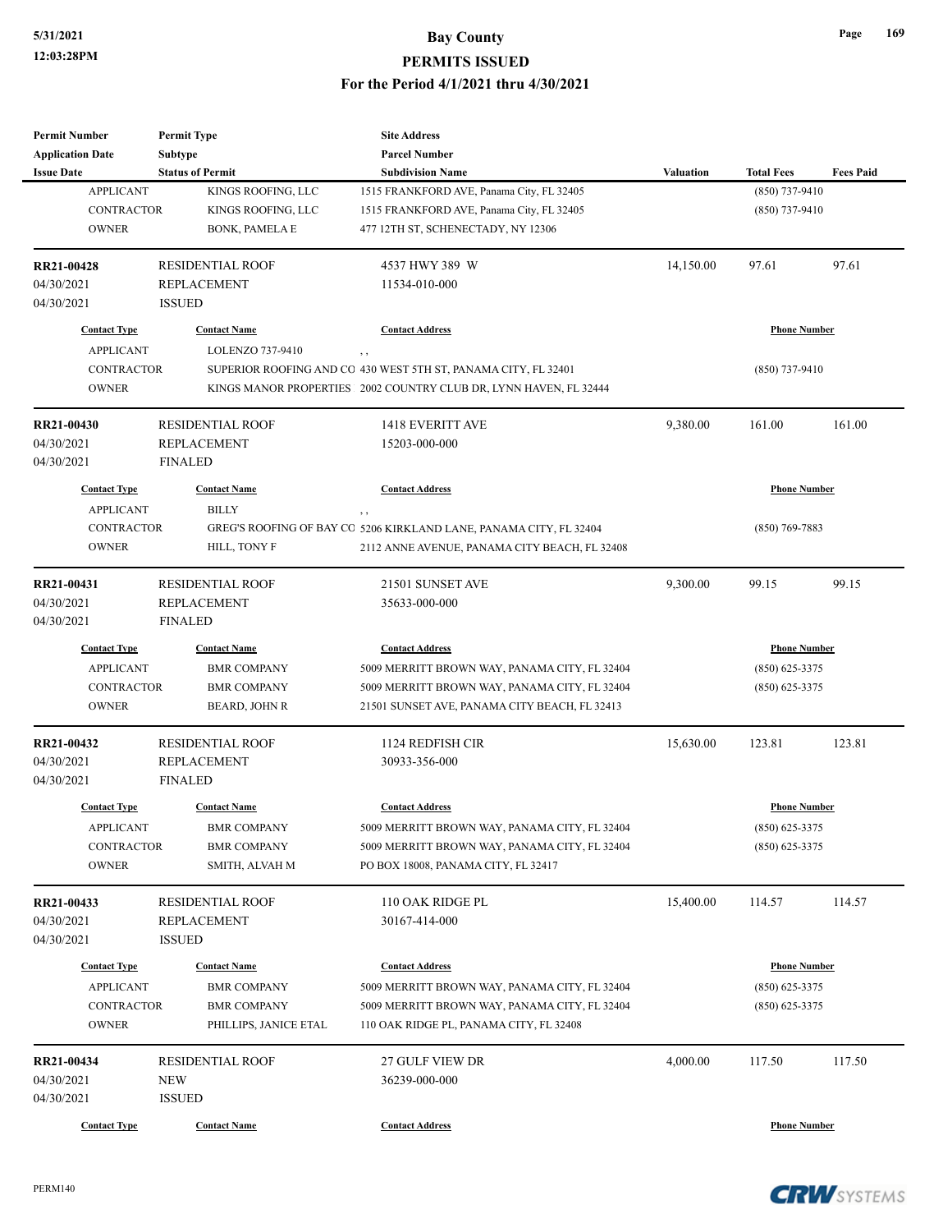| <b>Permit Number</b>    | <b>Permit Type</b>      | <b>Site Address</b>                                                |                                         |                     |                  |  |
|-------------------------|-------------------------|--------------------------------------------------------------------|-----------------------------------------|---------------------|------------------|--|
| <b>Application Date</b> | Subtype                 | <b>Parcel Number</b>                                               |                                         |                     |                  |  |
| <b>Issue Date</b>       | <b>Status of Permit</b> | <b>Subdivision Name</b>                                            | <b>Valuation</b>                        | <b>Total Fees</b>   | <b>Fees Paid</b> |  |
| <b>APPLICANT</b>        | KINGS ROOFING, LLC      | 1515 FRANKFORD AVE, Panama City, FL 32405                          |                                         | $(850)$ 737-9410    |                  |  |
| <b>CONTRACTOR</b>       | KINGS ROOFING, LLC      | 1515 FRANKFORD AVE, Panama City, FL 32405                          |                                         | $(850)$ 737-9410    |                  |  |
| <b>OWNER</b>            | <b>BONK, PAMELA E</b>   | 477 12TH ST, SCHENECTADY, NY 12306                                 |                                         |                     |                  |  |
| RR21-00428              | <b>RESIDENTIAL ROOF</b> | 4537 HWY 389 W                                                     | 14,150.00                               | 97.61               | 97.61            |  |
| 04/30/2021              | <b>REPLACEMENT</b>      | 11534-010-000                                                      |                                         |                     |                  |  |
| 04/30/2021              | <b>ISSUED</b>           |                                                                    |                                         |                     |                  |  |
| <b>Contact Type</b>     | <b>Contact Name</b>     | <b>Contact Address</b>                                             |                                         | <b>Phone Number</b> |                  |  |
| <b>APPLICANT</b>        | LOLENZO 737-9410        | $, \, ,$                                                           |                                         |                     |                  |  |
| <b>CONTRACTOR</b>       |                         | SUPERIOR ROOFING AND CO 430 WEST 5TH ST, PANAMA CITY, FL 32401     |                                         | $(850)$ 737-9410    |                  |  |
| <b>OWNER</b>            |                         | KINGS MANOR PROPERTIES 2002 COUNTRY CLUB DR, LYNN HAVEN, FL 32444  |                                         |                     |                  |  |
| RR21-00430              | <b>RESIDENTIAL ROOF</b> | 1418 EVERITT AVE                                                   | 9,380.00                                | 161.00              | 161.00           |  |
| 04/30/2021              | <b>REPLACEMENT</b>      | 15203-000-000                                                      |                                         |                     |                  |  |
| 04/30/2021              | <b>FINALED</b>          |                                                                    |                                         |                     |                  |  |
| <b>Contact Type</b>     | <b>Contact Name</b>     | <b>Contact Address</b>                                             |                                         | <b>Phone Number</b> |                  |  |
| <b>APPLICANT</b>        | <b>BILLY</b>            |                                                                    |                                         |                     |                  |  |
| CONTRACTOR              |                         | GREG'S ROOFING OF BAY CO 5206 KIRKLAND LANE, PANAMA CITY, FL 32404 |                                         | $(850)$ 769-7883    |                  |  |
| <b>OWNER</b>            | HILL, TONY F            | 2112 ANNE AVENUE, PANAMA CITY BEACH, FL 32408                      |                                         |                     |                  |  |
|                         |                         |                                                                    |                                         |                     |                  |  |
| RR21-00431              | <b>RESIDENTIAL ROOF</b> | 21501 SUNSET AVE                                                   | 9,300.00                                | 99.15               | 99.15            |  |
| 04/30/2021              | <b>REPLACEMENT</b>      | 35633-000-000                                                      |                                         |                     |                  |  |
| 04/30/2021              | <b>FINALED</b>          |                                                                    |                                         |                     |                  |  |
| <b>Contact Type</b>     | <b>Contact Name</b>     | <b>Contact Address</b>                                             |                                         | <b>Phone Number</b> |                  |  |
| <b>APPLICANT</b>        | <b>BMR COMPANY</b>      | 5009 MERRITT BROWN WAY, PANAMA CITY, FL 32404                      |                                         | $(850)$ 625-3375    |                  |  |
| <b>CONTRACTOR</b>       | <b>BMR COMPANY</b>      | 5009 MERRITT BROWN WAY, PANAMA CITY, FL 32404                      |                                         | $(850)$ 625-3375    |                  |  |
| <b>OWNER</b>            | <b>BEARD, JOHN R</b>    | 21501 SUNSET AVE, PANAMA CITY BEACH, FL 32413                      |                                         |                     |                  |  |
| RR21-00432              | <b>RESIDENTIAL ROOF</b> | 1124 REDFISH CIR                                                   | 15,630.00                               | 123.81              | 123.81           |  |
| 04/30/2021              | <b>REPLACEMENT</b>      | 30933-356-000                                                      |                                         |                     |                  |  |
| 04/30/2021              | <b>FINALED</b>          |                                                                    |                                         |                     |                  |  |
| <b>Contact Type</b>     | <b>Contact Name</b>     | <b>Contact Address</b>                                             |                                         | <b>Phone Number</b> |                  |  |
| <b>APPLICANT</b>        | <b>BMR COMPANY</b>      | 5009 MERRITT BROWN WAY, PANAMA CITY, FL 32404                      |                                         | $(850)$ 625-3375    |                  |  |
| <b>CONTRACTOR</b>       | <b>BMR COMPANY</b>      | 5009 MERRITT BROWN WAY, PANAMA CITY, FL 32404                      |                                         | $(850)$ 625-3375    |                  |  |
| <b>OWNER</b>            | SMITH, ALVAH M          | PO BOX 18008, PANAMA CITY, FL 32417                                |                                         |                     |                  |  |
| RR21-00433              | <b>RESIDENTIAL ROOF</b> | 110 OAK RIDGE PL                                                   | 15,400.00                               | 114.57              | 114.57           |  |
| 04/30/2021              | REPLACEMENT             | 30167-414-000                                                      |                                         |                     |                  |  |
| 04/30/2021              | <b>ISSUED</b>           |                                                                    |                                         |                     |                  |  |
| <b>Contact Type</b>     | <b>Contact Name</b>     | <b>Contact Address</b>                                             | <b>Phone Number</b><br>$(850)$ 625-3375 |                     |                  |  |
| <b>APPLICANT</b>        | <b>BMR COMPANY</b>      | 5009 MERRITT BROWN WAY, PANAMA CITY, FL 32404                      |                                         |                     |                  |  |
| <b>CONTRACTOR</b>       | <b>BMR COMPANY</b>      | 5009 MERRITT BROWN WAY, PANAMA CITY, FL 32404                      |                                         | $(850)$ 625-3375    |                  |  |
| <b>OWNER</b>            | PHILLIPS, JANICE ETAL   | 110 OAK RIDGE PL, PANAMA CITY, FL 32408                            |                                         |                     |                  |  |
| RR21-00434              | <b>RESIDENTIAL ROOF</b> | 27 GULF VIEW DR                                                    | 4,000.00                                | 117.50              | 117.50           |  |
| 04/30/2021              | NEW                     | 36239-000-000                                                      |                                         |                     |                  |  |
| 04/30/2021              | <b>ISSUED</b>           |                                                                    |                                         |                     |                  |  |
| <b>Contact Type</b>     | <b>Contact Name</b>     | <b>Contact Address</b>                                             |                                         | <b>Phone Number</b> |                  |  |
|                         |                         |                                                                    |                                         |                     |                  |  |



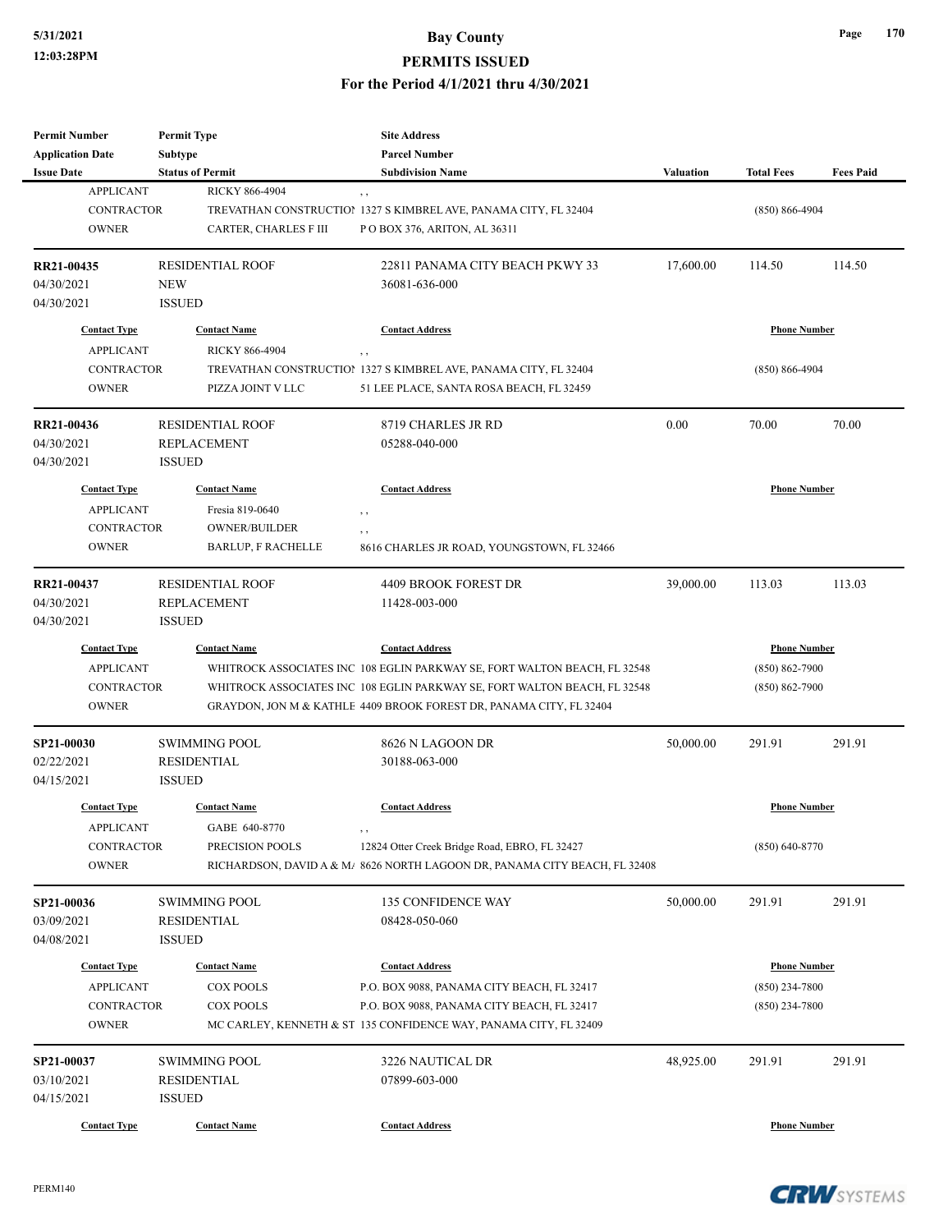| <b>Permit Number</b>                 | <b>Permit Type</b>        | <b>Site Address</b>                                                        |                    |                     |                  |
|--------------------------------------|---------------------------|----------------------------------------------------------------------------|--------------------|---------------------|------------------|
| <b>Application Date</b>              | Subtype                   | <b>Parcel Number</b>                                                       |                    |                     |                  |
| <b>Issue Date</b>                    | <b>Status of Permit</b>   | <b>Subdivision Name</b>                                                    | <b>Valuation</b>   | <b>Total Fees</b>   | <b>Fees Paid</b> |
| <b>APPLICANT</b>                     | RICKY 866-4904            | $, \, , \,$                                                                |                    |                     |                  |
| <b>CONTRACTOR</b>                    |                           | TREVATHAN CONSTRUCTION 1327 S KIMBREL AVE, PANAMA CITY, FL 32404           |                    | $(850) 866 - 4904$  |                  |
| <b>OWNER</b>                         | CARTER, CHARLES F III     | PO BOX 376, ARITON, AL 36311                                               |                    |                     |                  |
|                                      |                           |                                                                            |                    |                     |                  |
| RR21-00435                           | <b>RESIDENTIAL ROOF</b>   | 22811 PANAMA CITY BEACH PKWY 33                                            | 17,600.00          | 114.50              | 114.50           |
| 04/30/2021                           | <b>NEW</b>                | 36081-636-000                                                              |                    |                     |                  |
| 04/30/2021                           | <b>ISSUED</b>             |                                                                            |                    |                     |                  |
| <b>Contact Type</b>                  | <b>Contact Name</b>       | <b>Contact Address</b>                                                     |                    | <b>Phone Number</b> |                  |
| <b>APPLICANT</b>                     | RICKY 866-4904            |                                                                            |                    |                     |                  |
|                                      |                           | , ,                                                                        |                    |                     |                  |
| <b>CONTRACTOR</b>                    |                           | TREVATHAN CONSTRUCTION 1327 S KIMBREL AVE, PANAMA CITY, FL 32404           |                    | $(850) 866 - 4904$  |                  |
| <b>OWNER</b>                         | PIZZA JOINT V LLC         | 51 LEE PLACE, SANTA ROSA BEACH, FL 32459                                   |                    |                     |                  |
| RR21-00436                           | <b>RESIDENTIAL ROOF</b>   | 8719 CHARLES JR RD                                                         | 0.00               | 70.00               | 70.00            |
| 04/30/2021                           | <b>REPLACEMENT</b>        | 05288-040-000                                                              |                    |                     |                  |
| 04/30/2021                           | <b>ISSUED</b>             |                                                                            |                    |                     |                  |
| <b>Contact Type</b>                  | <b>Contact Name</b>       | <b>Contact Address</b>                                                     |                    | <b>Phone Number</b> |                  |
|                                      |                           |                                                                            |                    |                     |                  |
| <b>APPLICANT</b>                     | Fresia 819-0640           | $, \, , \,$                                                                |                    |                     |                  |
| CONTRACTOR                           | <b>OWNER/BUILDER</b>      | , ,                                                                        |                    |                     |                  |
| <b>OWNER</b>                         | <b>BARLUP, F RACHELLE</b> | 8616 CHARLES JR ROAD, YOUNGSTOWN, FL 32466                                 |                    |                     |                  |
| RR21-00437                           | <b>RESIDENTIAL ROOF</b>   | 4409 BROOK FOREST DR                                                       | 39,000.00          | 113.03              | 113.03           |
| 04/30/2021                           | <b>REPLACEMENT</b>        | 11428-003-000                                                              |                    |                     |                  |
| 04/30/2021                           | <b>ISSUED</b>             |                                                                            |                    |                     |                  |
| <b>Contact Type</b>                  | <b>Contact Name</b>       | <b>Contact Address</b>                                                     |                    | <b>Phone Number</b> |                  |
| <b>APPLICANT</b>                     |                           | WHITROCK ASSOCIATES INC 108 EGLIN PARKWAY SE, FORT WALTON BEACH, FL 32548  | $(850) 862 - 7900$ |                     |                  |
|                                      |                           |                                                                            |                    |                     |                  |
| CONTRACTOR                           |                           | WHITROCK ASSOCIATES INC 108 EGLIN PARKWAY SE, FORT WALTON BEACH, FL 32548  |                    | $(850) 862 - 7900$  |                  |
| <b>OWNER</b>                         |                           | GRAYDON, JON M & KATHLE 4409 BROOK FOREST DR, PANAMA CITY, FL 32404        |                    |                     |                  |
| SP21-00030                           | <b>SWIMMING POOL</b>      | 8626 N LAGOON DR                                                           | 50,000.00          | 291.91              | 291.91           |
| 02/22/2021                           | <b>RESIDENTIAL</b>        | 30188-063-000                                                              |                    |                     |                  |
| 04/15/2021                           | <b>ISSUED</b>             |                                                                            |                    |                     |                  |
|                                      |                           |                                                                            |                    |                     |                  |
| <b>Contact Type</b>                  | <b>Contact Name</b>       | <b>Contact Address</b>                                                     |                    | <b>Phone Number</b> |                  |
| <b>APPLICANT</b>                     | GABE 640-8770             | $, \, , \,$                                                                |                    |                     |                  |
| CONTRACTOR                           | PRECISION POOLS           | 12824 Otter Creek Bridge Road, EBRO, FL 32427                              |                    | $(850) 640 - 8770$  |                  |
| <b>OWNER</b>                         |                           | RICHARDSON, DAVID A & M/ 8626 NORTH LAGOON DR, PANAMA CITY BEACH, FL 32408 |                    |                     |                  |
| SP21-00036                           | <b>SWIMMING POOL</b>      | 135 CONFIDENCE WAY                                                         | 50,000.00          | 291.91              | 291.91           |
| 03/09/2021                           | <b>RESIDENTIAL</b>        | 08428-050-060                                                              |                    |                     |                  |
| 04/08/2021                           | <b>ISSUED</b>             |                                                                            |                    |                     |                  |
|                                      |                           |                                                                            |                    |                     |                  |
| <b>Contact Type</b>                  | <b>Contact Name</b>       | <b>Contact Address</b>                                                     |                    | <b>Phone Number</b> |                  |
| <b>APPLICANT</b><br><b>COX POOLS</b> |                           | P.O. BOX 9088, PANAMA CITY BEACH, FL 32417                                 | $(850)$ 234-7800   |                     |                  |
| <b>CONTRACTOR</b>                    | <b>COX POOLS</b>          | P.O. BOX 9088, PANAMA CITY BEACH, FL 32417                                 |                    | $(850)$ 234-7800    |                  |
| <b>OWNER</b>                         |                           | MC CARLEY, KENNETH & ST 135 CONFIDENCE WAY, PANAMA CITY, FL 32409          |                    |                     |                  |
| SP21-00037                           | <b>SWIMMING POOL</b>      | 3226 NAUTICAL DR                                                           | 48,925.00          | 291.91              | 291.91           |
| 03/10/2021                           | <b>RESIDENTIAL</b>        | 07899-603-000                                                              |                    |                     |                  |
| 04/15/2021                           | <b>ISSUED</b>             |                                                                            |                    |                     |                  |
|                                      |                           |                                                                            |                    |                     |                  |
| <b>Contact Type</b>                  | <b>Contact Name</b>       | <b>Contact Address</b>                                                     |                    | <b>Phone Number</b> |                  |

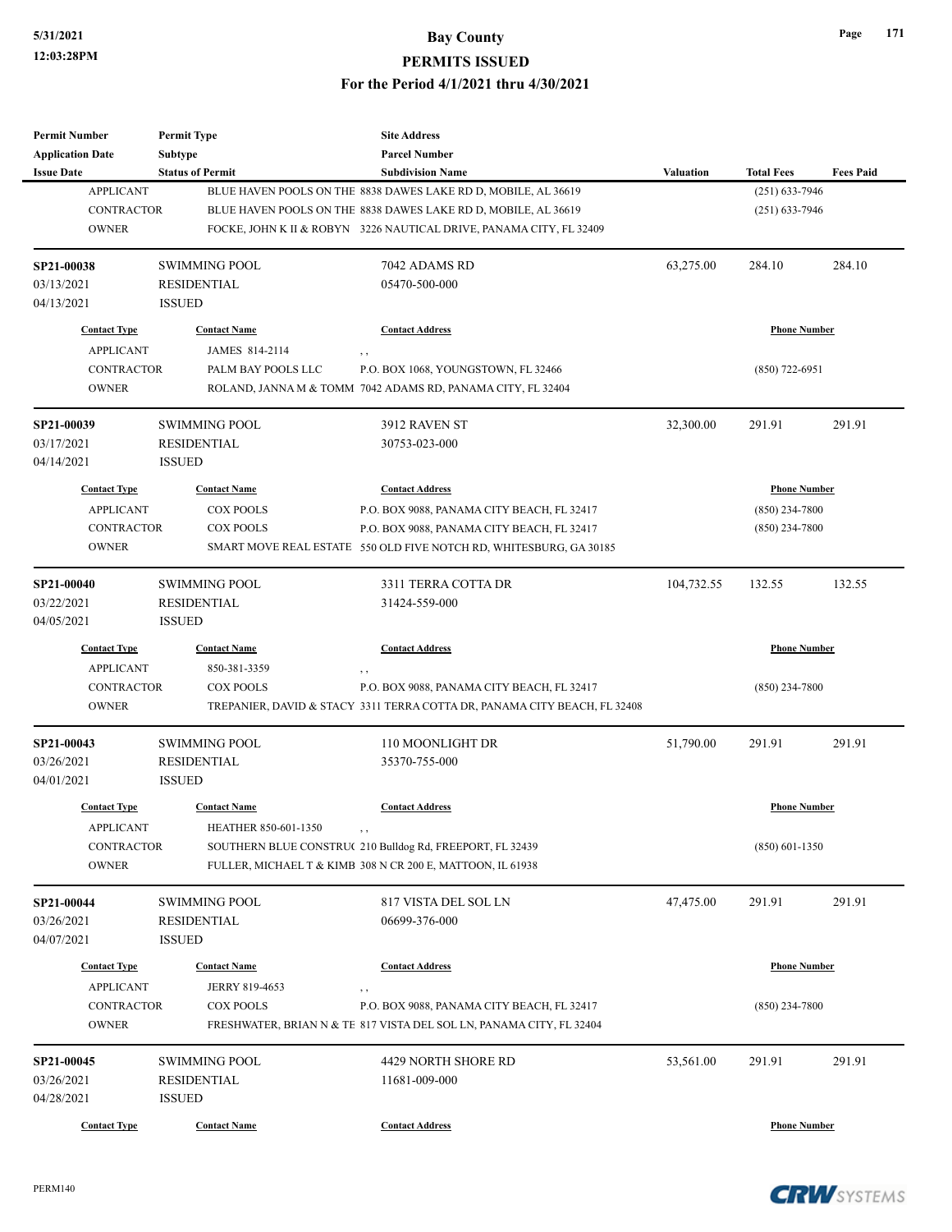| <b>Permit Number</b>       | <b>Permit Type</b>                    | <b>Site Address</b>                                                                                                |                     |                     |                  |
|----------------------------|---------------------------------------|--------------------------------------------------------------------------------------------------------------------|---------------------|---------------------|------------------|
| <b>Application Date</b>    | <b>Subtype</b>                        | <b>Parcel Number</b>                                                                                               |                     |                     |                  |
| <b>Issue Date</b>          | <b>Status of Permit</b>               | <b>Subdivision Name</b>                                                                                            | <b>Valuation</b>    | <b>Total Fees</b>   | <b>Fees Paid</b> |
| <b>APPLICANT</b>           |                                       | BLUE HAVEN POOLS ON THE 8838 DAWES LAKE RD D, MOBILE, AL 36619                                                     |                     | $(251) 633 - 7946$  |                  |
| CONTRACTOR                 |                                       | BLUE HAVEN POOLS ON THE 8838 DAWES LAKE RD D, MOBILE, AL 36619                                                     |                     | $(251)$ 633-7946    |                  |
| <b>OWNER</b>               |                                       | FOCKE, JOHN K II & ROBYN 3226 NAUTICAL DRIVE, PANAMA CITY, FL 32409                                                |                     |                     |                  |
| SP21-00038                 | <b>SWIMMING POOL</b>                  | 7042 ADAMS RD                                                                                                      | 63,275.00           | 284.10              | 284.10           |
| 03/13/2021                 | <b>RESIDENTIAL</b>                    | 05470-500-000                                                                                                      |                     |                     |                  |
| 04/13/2021                 | <b>ISSUED</b>                         |                                                                                                                    |                     |                     |                  |
| <b>Contact Type</b>        | <b>Contact Name</b>                   | <b>Contact Address</b>                                                                                             |                     | <b>Phone Number</b> |                  |
| <b>APPLICANT</b>           | JAMES 814-2114                        | , ,                                                                                                                |                     |                     |                  |
| CONTRACTOR                 | PALM BAY POOLS LLC                    | P.O. BOX 1068, YOUNGSTOWN, FL 32466                                                                                |                     | $(850)$ 722-6951    |                  |
| <b>OWNER</b>               |                                       | ROLAND, JANNA M & TOMM 7042 ADAMS RD, PANAMA CITY, FL 32404                                                        |                     |                     |                  |
| SP21-00039                 | <b>SWIMMING POOL</b>                  | 3912 RAVEN ST                                                                                                      | 32,300.00           | 291.91              | 291.91           |
| 03/17/2021                 | <b>RESIDENTIAL</b>                    | 30753-023-000                                                                                                      |                     |                     |                  |
| 04/14/2021                 | <b>ISSUED</b>                         |                                                                                                                    |                     |                     |                  |
| <b>Contact Type</b>        | <b>Contact Name</b>                   | <b>Contact Address</b>                                                                                             |                     | <b>Phone Number</b> |                  |
| <b>APPLICANT</b>           | <b>COX POOLS</b>                      | P.O. BOX 9088, PANAMA CITY BEACH, FL 32417                                                                         |                     | (850) 234-7800      |                  |
| <b>CONTRACTOR</b>          | <b>COX POOLS</b>                      | P.O. BOX 9088, PANAMA CITY BEACH, FL 32417                                                                         |                     | (850) 234-7800      |                  |
| <b>OWNER</b>               |                                       | SMART MOVE REAL ESTATE 550 OLD FIVE NOTCH RD, WHITESBURG, GA 30185                                                 |                     |                     |                  |
|                            |                                       |                                                                                                                    |                     |                     |                  |
| SP21-00040                 | <b>SWIMMING POOL</b>                  | 3311 TERRA COTTA DR                                                                                                | 104,732.55          | 132.55              | 132.55           |
| 03/22/2021                 | <b>RESIDENTIAL</b>                    | 31424-559-000                                                                                                      |                     |                     |                  |
| 04/05/2021                 | <b>ISSUED</b>                         |                                                                                                                    |                     |                     |                  |
| <b>Contact Type</b>        | <b>Contact Name</b>                   | <b>Contact Address</b>                                                                                             | <b>Phone Number</b> |                     |                  |
| <b>APPLICANT</b>           | 850-381-3359                          | $, \, ,$                                                                                                           |                     |                     |                  |
| <b>CONTRACTOR</b>          | <b>COX POOLS</b>                      | P.O. BOX 9088, PANAMA CITY BEACH, FL 32417                                                                         |                     | (850) 234-7800      |                  |
| <b>OWNER</b>               |                                       | TREPANIER, DAVID & STACY 3311 TERRA COTTA DR, PANAMA CITY BEACH, FL 32408                                          |                     |                     |                  |
| SP21-00043                 | <b>SWIMMING POOL</b>                  | 110 MOONLIGHT DR                                                                                                   | 51,790.00           | 291.91              | 291.91           |
| 03/26/2021                 | <b>RESIDENTIAL</b>                    | 35370-755-000                                                                                                      |                     |                     |                  |
| 04/01/2021                 | <b>ISSUED</b>                         |                                                                                                                    |                     |                     |                  |
| <b>Contact Type</b>        | <b>Contact Name</b>                   | <b>Contact Address</b>                                                                                             |                     | <b>Phone Number</b> |                  |
| <b>APPLICANT</b>           | HEATHER 850-601-1350                  |                                                                                                                    |                     |                     |                  |
| <b>CONTRACTOR</b>          |                                       | SOUTHERN BLUE CONSTRU(210 Bulldog Rd, FREEPORT, FL 32439                                                           |                     | $(850)$ 601-1350    |                  |
| <b>OWNER</b>               |                                       | FULLER, MICHAEL T & KIMB 308 N CR 200 E, MATTOON, IL 61938                                                         |                     |                     |                  |
| SP21-00044                 | SWIMMING POOL                         | 817 VISTA DEL SOL LN                                                                                               | 47,475.00           | 291.91              | 291.91           |
| 03/26/2021                 | <b>RESIDENTIAL</b>                    | 06699-376-000                                                                                                      |                     |                     |                  |
| 04/07/2021                 | <b>ISSUED</b>                         |                                                                                                                    |                     |                     |                  |
|                            |                                       |                                                                                                                    |                     |                     |                  |
| <b>Contact Type</b>        | <b>Contact Name</b><br>JERRY 819-4653 | <b>Contact Address</b>                                                                                             |                     | <b>Phone Number</b> |                  |
| <b>APPLICANT</b>           |                                       |                                                                                                                    |                     |                     |                  |
| CONTRACTOR<br><b>OWNER</b> | <b>COX POOLS</b>                      | P.O. BOX 9088, PANAMA CITY BEACH, FL 32417<br>FRESHWATER, BRIAN N & TE 817 VISTA DEL SOL LN, PANAMA CITY, FL 32404 |                     | $(850)$ 234-7800    |                  |
|                            |                                       |                                                                                                                    |                     |                     |                  |
| SP21-00045                 | <b>SWIMMING POOL</b>                  | 4429 NORTH SHORE RD                                                                                                | 53,561.00           | 291.91              | 291.91           |
| 03/26/2021                 | <b>RESIDENTIAL</b>                    | 11681-009-000                                                                                                      |                     |                     |                  |
| 04/28/2021                 | <b>ISSUED</b>                         |                                                                                                                    |                     |                     |                  |
| <b>Contact Type</b>        | <b>Contact Name</b>                   | <b>Contact Address</b>                                                                                             |                     | <b>Phone Number</b> |                  |

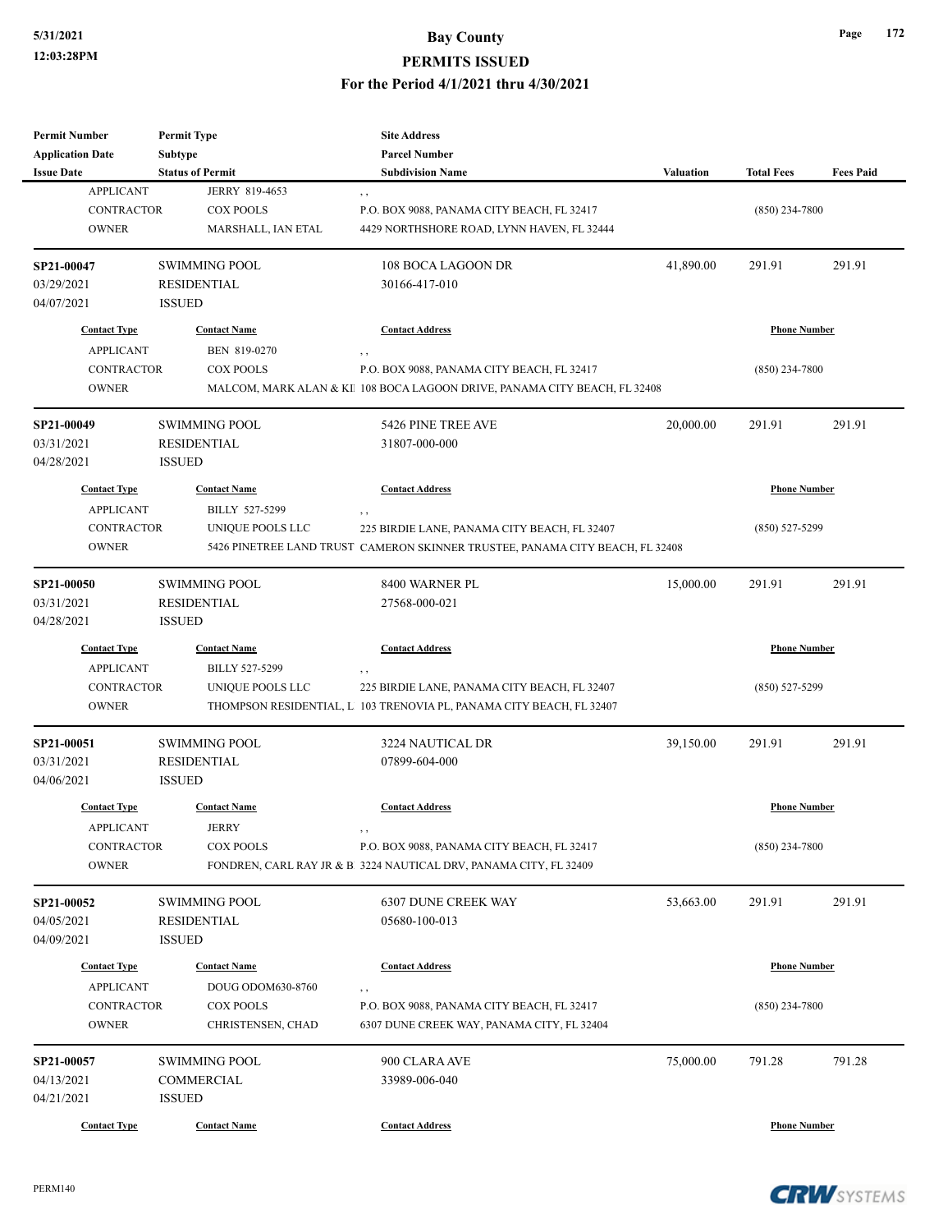| <b>Parcel Number</b><br>Subtype<br><b>Status of Permit</b><br><b>Total Fees</b><br><b>Fees Paid</b><br><b>Subdivision Name</b><br><b>Valuation</b><br><b>APPLICANT</b><br>JERRY 819-4653<br>, ,<br><b>CONTRACTOR</b><br>COX POOLS<br>P.O. BOX 9088, PANAMA CITY BEACH, FL 32417<br>$(850)$ 234-7800<br><b>OWNER</b><br>4429 NORTHSHORE ROAD, LYNN HAVEN, FL 32444<br>MARSHALL, IAN ETAL<br>41,890.00<br>291.91<br><b>SWIMMING POOL</b><br>108 BOCA LAGOON DR<br>291.91<br><b>RESIDENTIAL</b><br>30166-417-010<br><b>ISSUED</b><br><b>Phone Number</b><br><b>Contact Type</b><br><b>Contact Name</b><br><b>Contact Address</b><br>BEN 819-0270<br><b>APPLICANT</b><br>$, \, ,$<br><b>CONTRACTOR</b><br><b>COX POOLS</b><br>P.O. BOX 9088, PANAMA CITY BEACH, FL 32417<br>$(850)$ 234-7800<br><b>OWNER</b><br>MALCOM, MARK ALAN & KI 108 BOCA LAGOON DRIVE, PANAMA CITY BEACH, FL 32408<br>SP21-00049<br><b>SWIMMING POOL</b><br>20,000.00<br>291.91<br>291.91<br>5426 PINE TREE AVE<br>03/31/2021<br><b>RESIDENTIAL</b><br>31807-000-000<br><b>ISSUED</b><br><b>Contact Address</b><br><b>Phone Number</b><br><b>Contact Type</b><br><b>Contact Name</b><br>BILLY 527-5299<br><b>APPLICANT</b><br>$, \, ,$<br><b>CONTRACTOR</b><br>UNIQUE POOLS LLC<br>225 BIRDIE LANE, PANAMA CITY BEACH, FL 32407<br>$(850)$ 527-5299<br><b>OWNER</b><br>5426 PINETREE LAND TRUST CAMERON SKINNER TRUSTEE, PANAMA CITY BEACH, FL 32408<br><b>SWIMMING POOL</b><br>8400 WARNER PL<br>15,000.00<br>291.91<br>291.91<br><b>RESIDENTIAL</b><br>27568-000-021<br><b>ISSUED</b><br><b>Contact Address</b><br><b>Phone Number</b><br><b>Contact Type</b><br><b>Contact Name</b><br><b>APPLICANT</b><br>BILLY 527-5299<br>, ,<br>CONTRACTOR<br>UNIQUE POOLS LLC<br>225 BIRDIE LANE, PANAMA CITY BEACH, FL 32407<br>$(850)$ 527-5299<br><b>OWNER</b><br>THOMPSON RESIDENTIAL, L 103 TRENOVIA PL, PANAMA CITY BEACH, FL 32407<br><b>SWIMMING POOL</b><br>39,150.00<br>291.91<br>291.91<br>3224 NAUTICAL DR<br><b>RESIDENTIAL</b><br>07899-604-000<br><b>ISSUED</b><br><b>Contact Type</b><br><b>Contact Address</b><br><b>Phone Number</b><br><b>Contact Name</b><br><b>APPLICANT</b><br>JERRY<br><b>CONTRACTOR</b><br><b>COX POOLS</b><br>P.O. BOX 9088, PANAMA CITY BEACH, FL 32417<br>$(850)$ 234-7800<br><b>OWNER</b><br>FONDREN, CARL RAY JR & B 3224 NAUTICAL DRV, PANAMA CITY, FL 32409<br>291.91<br><b>SWIMMING POOL</b><br><b>6307 DUNE CREEK WAY</b><br>53,663.00<br>291.91<br>SP21-00052<br><b>RESIDENTIAL</b><br>05680-100-013<br><b>ISSUED</b><br><b>Contact Name</b><br><b>Contact Address</b><br><b>Phone Number</b><br><b>Contact Type</b><br><b>APPLICANT</b><br>DOUG ODOM630-8760<br>$, \, ,$<br>CONTRACTOR<br><b>COX POOLS</b><br>P.O. BOX 9088, PANAMA CITY BEACH, FL 32417<br>(850) 234-7800<br><b>OWNER</b><br>CHRISTENSEN, CHAD<br>6307 DUNE CREEK WAY, PANAMA CITY, FL 32404<br>SP21-00057<br><b>SWIMMING POOL</b><br>900 CLARA AVE<br>75,000.00<br>791.28<br>791.28<br>04/13/2021<br>COMMERCIAL<br>33989-006-040<br><b>ISSUED</b><br><b>Contact Address</b><br><b>Phone Number</b><br><b>Contact Type</b><br><b>Contact Name</b> | <b>Permit Number</b>    | <b>Permit Type</b> | <b>Site Address</b> |  |  |  |
|----------------------------------------------------------------------------------------------------------------------------------------------------------------------------------------------------------------------------------------------------------------------------------------------------------------------------------------------------------------------------------------------------------------------------------------------------------------------------------------------------------------------------------------------------------------------------------------------------------------------------------------------------------------------------------------------------------------------------------------------------------------------------------------------------------------------------------------------------------------------------------------------------------------------------------------------------------------------------------------------------------------------------------------------------------------------------------------------------------------------------------------------------------------------------------------------------------------------------------------------------------------------------------------------------------------------------------------------------------------------------------------------------------------------------------------------------------------------------------------------------------------------------------------------------------------------------------------------------------------------------------------------------------------------------------------------------------------------------------------------------------------------------------------------------------------------------------------------------------------------------------------------------------------------------------------------------------------------------------------------------------------------------------------------------------------------------------------------------------------------------------------------------------------------------------------------------------------------------------------------------------------------------------------------------------------------------------------------------------------------------------------------------------------------------------------------------------------------------------------------------------------------------------------------------------------------------------------------------------------------------------------------------------------------------------------------------------------------------------------------------------------------------------------------------------------------------------------------------------------------------------------------------------------------------------------------------------------------------------------------------------------------------------------------------------------------------------------------------------------------------------|-------------------------|--------------------|---------------------|--|--|--|
|                                                                                                                                                                                                                                                                                                                                                                                                                                                                                                                                                                                                                                                                                                                                                                                                                                                                                                                                                                                                                                                                                                                                                                                                                                                                                                                                                                                                                                                                                                                                                                                                                                                                                                                                                                                                                                                                                                                                                                                                                                                                                                                                                                                                                                                                                                                                                                                                                                                                                                                                                                                                                                                                                                                                                                                                                                                                                                                                                                                                                                                                                                                                  | <b>Application Date</b> |                    |                     |  |  |  |
|                                                                                                                                                                                                                                                                                                                                                                                                                                                                                                                                                                                                                                                                                                                                                                                                                                                                                                                                                                                                                                                                                                                                                                                                                                                                                                                                                                                                                                                                                                                                                                                                                                                                                                                                                                                                                                                                                                                                                                                                                                                                                                                                                                                                                                                                                                                                                                                                                                                                                                                                                                                                                                                                                                                                                                                                                                                                                                                                                                                                                                                                                                                                  | <b>Issue Date</b>       |                    |                     |  |  |  |
|                                                                                                                                                                                                                                                                                                                                                                                                                                                                                                                                                                                                                                                                                                                                                                                                                                                                                                                                                                                                                                                                                                                                                                                                                                                                                                                                                                                                                                                                                                                                                                                                                                                                                                                                                                                                                                                                                                                                                                                                                                                                                                                                                                                                                                                                                                                                                                                                                                                                                                                                                                                                                                                                                                                                                                                                                                                                                                                                                                                                                                                                                                                                  |                         |                    |                     |  |  |  |
|                                                                                                                                                                                                                                                                                                                                                                                                                                                                                                                                                                                                                                                                                                                                                                                                                                                                                                                                                                                                                                                                                                                                                                                                                                                                                                                                                                                                                                                                                                                                                                                                                                                                                                                                                                                                                                                                                                                                                                                                                                                                                                                                                                                                                                                                                                                                                                                                                                                                                                                                                                                                                                                                                                                                                                                                                                                                                                                                                                                                                                                                                                                                  |                         |                    |                     |  |  |  |
|                                                                                                                                                                                                                                                                                                                                                                                                                                                                                                                                                                                                                                                                                                                                                                                                                                                                                                                                                                                                                                                                                                                                                                                                                                                                                                                                                                                                                                                                                                                                                                                                                                                                                                                                                                                                                                                                                                                                                                                                                                                                                                                                                                                                                                                                                                                                                                                                                                                                                                                                                                                                                                                                                                                                                                                                                                                                                                                                                                                                                                                                                                                                  |                         |                    |                     |  |  |  |
|                                                                                                                                                                                                                                                                                                                                                                                                                                                                                                                                                                                                                                                                                                                                                                                                                                                                                                                                                                                                                                                                                                                                                                                                                                                                                                                                                                                                                                                                                                                                                                                                                                                                                                                                                                                                                                                                                                                                                                                                                                                                                                                                                                                                                                                                                                                                                                                                                                                                                                                                                                                                                                                                                                                                                                                                                                                                                                                                                                                                                                                                                                                                  | SP21-00047              |                    |                     |  |  |  |
|                                                                                                                                                                                                                                                                                                                                                                                                                                                                                                                                                                                                                                                                                                                                                                                                                                                                                                                                                                                                                                                                                                                                                                                                                                                                                                                                                                                                                                                                                                                                                                                                                                                                                                                                                                                                                                                                                                                                                                                                                                                                                                                                                                                                                                                                                                                                                                                                                                                                                                                                                                                                                                                                                                                                                                                                                                                                                                                                                                                                                                                                                                                                  | 03/29/2021              |                    |                     |  |  |  |
|                                                                                                                                                                                                                                                                                                                                                                                                                                                                                                                                                                                                                                                                                                                                                                                                                                                                                                                                                                                                                                                                                                                                                                                                                                                                                                                                                                                                                                                                                                                                                                                                                                                                                                                                                                                                                                                                                                                                                                                                                                                                                                                                                                                                                                                                                                                                                                                                                                                                                                                                                                                                                                                                                                                                                                                                                                                                                                                                                                                                                                                                                                                                  | 04/07/2021              |                    |                     |  |  |  |
|                                                                                                                                                                                                                                                                                                                                                                                                                                                                                                                                                                                                                                                                                                                                                                                                                                                                                                                                                                                                                                                                                                                                                                                                                                                                                                                                                                                                                                                                                                                                                                                                                                                                                                                                                                                                                                                                                                                                                                                                                                                                                                                                                                                                                                                                                                                                                                                                                                                                                                                                                                                                                                                                                                                                                                                                                                                                                                                                                                                                                                                                                                                                  |                         |                    |                     |  |  |  |
|                                                                                                                                                                                                                                                                                                                                                                                                                                                                                                                                                                                                                                                                                                                                                                                                                                                                                                                                                                                                                                                                                                                                                                                                                                                                                                                                                                                                                                                                                                                                                                                                                                                                                                                                                                                                                                                                                                                                                                                                                                                                                                                                                                                                                                                                                                                                                                                                                                                                                                                                                                                                                                                                                                                                                                                                                                                                                                                                                                                                                                                                                                                                  |                         |                    |                     |  |  |  |
|                                                                                                                                                                                                                                                                                                                                                                                                                                                                                                                                                                                                                                                                                                                                                                                                                                                                                                                                                                                                                                                                                                                                                                                                                                                                                                                                                                                                                                                                                                                                                                                                                                                                                                                                                                                                                                                                                                                                                                                                                                                                                                                                                                                                                                                                                                                                                                                                                                                                                                                                                                                                                                                                                                                                                                                                                                                                                                                                                                                                                                                                                                                                  |                         |                    |                     |  |  |  |
|                                                                                                                                                                                                                                                                                                                                                                                                                                                                                                                                                                                                                                                                                                                                                                                                                                                                                                                                                                                                                                                                                                                                                                                                                                                                                                                                                                                                                                                                                                                                                                                                                                                                                                                                                                                                                                                                                                                                                                                                                                                                                                                                                                                                                                                                                                                                                                                                                                                                                                                                                                                                                                                                                                                                                                                                                                                                                                                                                                                                                                                                                                                                  |                         |                    |                     |  |  |  |
|                                                                                                                                                                                                                                                                                                                                                                                                                                                                                                                                                                                                                                                                                                                                                                                                                                                                                                                                                                                                                                                                                                                                                                                                                                                                                                                                                                                                                                                                                                                                                                                                                                                                                                                                                                                                                                                                                                                                                                                                                                                                                                                                                                                                                                                                                                                                                                                                                                                                                                                                                                                                                                                                                                                                                                                                                                                                                                                                                                                                                                                                                                                                  |                         |                    |                     |  |  |  |
|                                                                                                                                                                                                                                                                                                                                                                                                                                                                                                                                                                                                                                                                                                                                                                                                                                                                                                                                                                                                                                                                                                                                                                                                                                                                                                                                                                                                                                                                                                                                                                                                                                                                                                                                                                                                                                                                                                                                                                                                                                                                                                                                                                                                                                                                                                                                                                                                                                                                                                                                                                                                                                                                                                                                                                                                                                                                                                                                                                                                                                                                                                                                  |                         |                    |                     |  |  |  |
|                                                                                                                                                                                                                                                                                                                                                                                                                                                                                                                                                                                                                                                                                                                                                                                                                                                                                                                                                                                                                                                                                                                                                                                                                                                                                                                                                                                                                                                                                                                                                                                                                                                                                                                                                                                                                                                                                                                                                                                                                                                                                                                                                                                                                                                                                                                                                                                                                                                                                                                                                                                                                                                                                                                                                                                                                                                                                                                                                                                                                                                                                                                                  | 04/28/2021              |                    |                     |  |  |  |
|                                                                                                                                                                                                                                                                                                                                                                                                                                                                                                                                                                                                                                                                                                                                                                                                                                                                                                                                                                                                                                                                                                                                                                                                                                                                                                                                                                                                                                                                                                                                                                                                                                                                                                                                                                                                                                                                                                                                                                                                                                                                                                                                                                                                                                                                                                                                                                                                                                                                                                                                                                                                                                                                                                                                                                                                                                                                                                                                                                                                                                                                                                                                  |                         |                    |                     |  |  |  |
|                                                                                                                                                                                                                                                                                                                                                                                                                                                                                                                                                                                                                                                                                                                                                                                                                                                                                                                                                                                                                                                                                                                                                                                                                                                                                                                                                                                                                                                                                                                                                                                                                                                                                                                                                                                                                                                                                                                                                                                                                                                                                                                                                                                                                                                                                                                                                                                                                                                                                                                                                                                                                                                                                                                                                                                                                                                                                                                                                                                                                                                                                                                                  |                         |                    |                     |  |  |  |
|                                                                                                                                                                                                                                                                                                                                                                                                                                                                                                                                                                                                                                                                                                                                                                                                                                                                                                                                                                                                                                                                                                                                                                                                                                                                                                                                                                                                                                                                                                                                                                                                                                                                                                                                                                                                                                                                                                                                                                                                                                                                                                                                                                                                                                                                                                                                                                                                                                                                                                                                                                                                                                                                                                                                                                                                                                                                                                                                                                                                                                                                                                                                  |                         |                    |                     |  |  |  |
|                                                                                                                                                                                                                                                                                                                                                                                                                                                                                                                                                                                                                                                                                                                                                                                                                                                                                                                                                                                                                                                                                                                                                                                                                                                                                                                                                                                                                                                                                                                                                                                                                                                                                                                                                                                                                                                                                                                                                                                                                                                                                                                                                                                                                                                                                                                                                                                                                                                                                                                                                                                                                                                                                                                                                                                                                                                                                                                                                                                                                                                                                                                                  |                         |                    |                     |  |  |  |
|                                                                                                                                                                                                                                                                                                                                                                                                                                                                                                                                                                                                                                                                                                                                                                                                                                                                                                                                                                                                                                                                                                                                                                                                                                                                                                                                                                                                                                                                                                                                                                                                                                                                                                                                                                                                                                                                                                                                                                                                                                                                                                                                                                                                                                                                                                                                                                                                                                                                                                                                                                                                                                                                                                                                                                                                                                                                                                                                                                                                                                                                                                                                  | SP21-00050              |                    |                     |  |  |  |
|                                                                                                                                                                                                                                                                                                                                                                                                                                                                                                                                                                                                                                                                                                                                                                                                                                                                                                                                                                                                                                                                                                                                                                                                                                                                                                                                                                                                                                                                                                                                                                                                                                                                                                                                                                                                                                                                                                                                                                                                                                                                                                                                                                                                                                                                                                                                                                                                                                                                                                                                                                                                                                                                                                                                                                                                                                                                                                                                                                                                                                                                                                                                  | 03/31/2021              |                    |                     |  |  |  |
|                                                                                                                                                                                                                                                                                                                                                                                                                                                                                                                                                                                                                                                                                                                                                                                                                                                                                                                                                                                                                                                                                                                                                                                                                                                                                                                                                                                                                                                                                                                                                                                                                                                                                                                                                                                                                                                                                                                                                                                                                                                                                                                                                                                                                                                                                                                                                                                                                                                                                                                                                                                                                                                                                                                                                                                                                                                                                                                                                                                                                                                                                                                                  | 04/28/2021              |                    |                     |  |  |  |
|                                                                                                                                                                                                                                                                                                                                                                                                                                                                                                                                                                                                                                                                                                                                                                                                                                                                                                                                                                                                                                                                                                                                                                                                                                                                                                                                                                                                                                                                                                                                                                                                                                                                                                                                                                                                                                                                                                                                                                                                                                                                                                                                                                                                                                                                                                                                                                                                                                                                                                                                                                                                                                                                                                                                                                                                                                                                                                                                                                                                                                                                                                                                  |                         |                    |                     |  |  |  |
|                                                                                                                                                                                                                                                                                                                                                                                                                                                                                                                                                                                                                                                                                                                                                                                                                                                                                                                                                                                                                                                                                                                                                                                                                                                                                                                                                                                                                                                                                                                                                                                                                                                                                                                                                                                                                                                                                                                                                                                                                                                                                                                                                                                                                                                                                                                                                                                                                                                                                                                                                                                                                                                                                                                                                                                                                                                                                                                                                                                                                                                                                                                                  |                         |                    |                     |  |  |  |
|                                                                                                                                                                                                                                                                                                                                                                                                                                                                                                                                                                                                                                                                                                                                                                                                                                                                                                                                                                                                                                                                                                                                                                                                                                                                                                                                                                                                                                                                                                                                                                                                                                                                                                                                                                                                                                                                                                                                                                                                                                                                                                                                                                                                                                                                                                                                                                                                                                                                                                                                                                                                                                                                                                                                                                                                                                                                                                                                                                                                                                                                                                                                  |                         |                    |                     |  |  |  |
|                                                                                                                                                                                                                                                                                                                                                                                                                                                                                                                                                                                                                                                                                                                                                                                                                                                                                                                                                                                                                                                                                                                                                                                                                                                                                                                                                                                                                                                                                                                                                                                                                                                                                                                                                                                                                                                                                                                                                                                                                                                                                                                                                                                                                                                                                                                                                                                                                                                                                                                                                                                                                                                                                                                                                                                                                                                                                                                                                                                                                                                                                                                                  |                         |                    |                     |  |  |  |
|                                                                                                                                                                                                                                                                                                                                                                                                                                                                                                                                                                                                                                                                                                                                                                                                                                                                                                                                                                                                                                                                                                                                                                                                                                                                                                                                                                                                                                                                                                                                                                                                                                                                                                                                                                                                                                                                                                                                                                                                                                                                                                                                                                                                                                                                                                                                                                                                                                                                                                                                                                                                                                                                                                                                                                                                                                                                                                                                                                                                                                                                                                                                  | SP21-00051              |                    |                     |  |  |  |
|                                                                                                                                                                                                                                                                                                                                                                                                                                                                                                                                                                                                                                                                                                                                                                                                                                                                                                                                                                                                                                                                                                                                                                                                                                                                                                                                                                                                                                                                                                                                                                                                                                                                                                                                                                                                                                                                                                                                                                                                                                                                                                                                                                                                                                                                                                                                                                                                                                                                                                                                                                                                                                                                                                                                                                                                                                                                                                                                                                                                                                                                                                                                  | 03/31/2021              |                    |                     |  |  |  |
|                                                                                                                                                                                                                                                                                                                                                                                                                                                                                                                                                                                                                                                                                                                                                                                                                                                                                                                                                                                                                                                                                                                                                                                                                                                                                                                                                                                                                                                                                                                                                                                                                                                                                                                                                                                                                                                                                                                                                                                                                                                                                                                                                                                                                                                                                                                                                                                                                                                                                                                                                                                                                                                                                                                                                                                                                                                                                                                                                                                                                                                                                                                                  | 04/06/2021              |                    |                     |  |  |  |
|                                                                                                                                                                                                                                                                                                                                                                                                                                                                                                                                                                                                                                                                                                                                                                                                                                                                                                                                                                                                                                                                                                                                                                                                                                                                                                                                                                                                                                                                                                                                                                                                                                                                                                                                                                                                                                                                                                                                                                                                                                                                                                                                                                                                                                                                                                                                                                                                                                                                                                                                                                                                                                                                                                                                                                                                                                                                                                                                                                                                                                                                                                                                  |                         |                    |                     |  |  |  |
|                                                                                                                                                                                                                                                                                                                                                                                                                                                                                                                                                                                                                                                                                                                                                                                                                                                                                                                                                                                                                                                                                                                                                                                                                                                                                                                                                                                                                                                                                                                                                                                                                                                                                                                                                                                                                                                                                                                                                                                                                                                                                                                                                                                                                                                                                                                                                                                                                                                                                                                                                                                                                                                                                                                                                                                                                                                                                                                                                                                                                                                                                                                                  |                         |                    |                     |  |  |  |
|                                                                                                                                                                                                                                                                                                                                                                                                                                                                                                                                                                                                                                                                                                                                                                                                                                                                                                                                                                                                                                                                                                                                                                                                                                                                                                                                                                                                                                                                                                                                                                                                                                                                                                                                                                                                                                                                                                                                                                                                                                                                                                                                                                                                                                                                                                                                                                                                                                                                                                                                                                                                                                                                                                                                                                                                                                                                                                                                                                                                                                                                                                                                  |                         |                    |                     |  |  |  |
|                                                                                                                                                                                                                                                                                                                                                                                                                                                                                                                                                                                                                                                                                                                                                                                                                                                                                                                                                                                                                                                                                                                                                                                                                                                                                                                                                                                                                                                                                                                                                                                                                                                                                                                                                                                                                                                                                                                                                                                                                                                                                                                                                                                                                                                                                                                                                                                                                                                                                                                                                                                                                                                                                                                                                                                                                                                                                                                                                                                                                                                                                                                                  |                         |                    |                     |  |  |  |
|                                                                                                                                                                                                                                                                                                                                                                                                                                                                                                                                                                                                                                                                                                                                                                                                                                                                                                                                                                                                                                                                                                                                                                                                                                                                                                                                                                                                                                                                                                                                                                                                                                                                                                                                                                                                                                                                                                                                                                                                                                                                                                                                                                                                                                                                                                                                                                                                                                                                                                                                                                                                                                                                                                                                                                                                                                                                                                                                                                                                                                                                                                                                  |                         |                    |                     |  |  |  |
|                                                                                                                                                                                                                                                                                                                                                                                                                                                                                                                                                                                                                                                                                                                                                                                                                                                                                                                                                                                                                                                                                                                                                                                                                                                                                                                                                                                                                                                                                                                                                                                                                                                                                                                                                                                                                                                                                                                                                                                                                                                                                                                                                                                                                                                                                                                                                                                                                                                                                                                                                                                                                                                                                                                                                                                                                                                                                                                                                                                                                                                                                                                                  | 04/05/2021              |                    |                     |  |  |  |
|                                                                                                                                                                                                                                                                                                                                                                                                                                                                                                                                                                                                                                                                                                                                                                                                                                                                                                                                                                                                                                                                                                                                                                                                                                                                                                                                                                                                                                                                                                                                                                                                                                                                                                                                                                                                                                                                                                                                                                                                                                                                                                                                                                                                                                                                                                                                                                                                                                                                                                                                                                                                                                                                                                                                                                                                                                                                                                                                                                                                                                                                                                                                  | 04/09/2021              |                    |                     |  |  |  |
|                                                                                                                                                                                                                                                                                                                                                                                                                                                                                                                                                                                                                                                                                                                                                                                                                                                                                                                                                                                                                                                                                                                                                                                                                                                                                                                                                                                                                                                                                                                                                                                                                                                                                                                                                                                                                                                                                                                                                                                                                                                                                                                                                                                                                                                                                                                                                                                                                                                                                                                                                                                                                                                                                                                                                                                                                                                                                                                                                                                                                                                                                                                                  |                         |                    |                     |  |  |  |
|                                                                                                                                                                                                                                                                                                                                                                                                                                                                                                                                                                                                                                                                                                                                                                                                                                                                                                                                                                                                                                                                                                                                                                                                                                                                                                                                                                                                                                                                                                                                                                                                                                                                                                                                                                                                                                                                                                                                                                                                                                                                                                                                                                                                                                                                                                                                                                                                                                                                                                                                                                                                                                                                                                                                                                                                                                                                                                                                                                                                                                                                                                                                  |                         |                    |                     |  |  |  |
|                                                                                                                                                                                                                                                                                                                                                                                                                                                                                                                                                                                                                                                                                                                                                                                                                                                                                                                                                                                                                                                                                                                                                                                                                                                                                                                                                                                                                                                                                                                                                                                                                                                                                                                                                                                                                                                                                                                                                                                                                                                                                                                                                                                                                                                                                                                                                                                                                                                                                                                                                                                                                                                                                                                                                                                                                                                                                                                                                                                                                                                                                                                                  |                         |                    |                     |  |  |  |
|                                                                                                                                                                                                                                                                                                                                                                                                                                                                                                                                                                                                                                                                                                                                                                                                                                                                                                                                                                                                                                                                                                                                                                                                                                                                                                                                                                                                                                                                                                                                                                                                                                                                                                                                                                                                                                                                                                                                                                                                                                                                                                                                                                                                                                                                                                                                                                                                                                                                                                                                                                                                                                                                                                                                                                                                                                                                                                                                                                                                                                                                                                                                  |                         |                    |                     |  |  |  |
|                                                                                                                                                                                                                                                                                                                                                                                                                                                                                                                                                                                                                                                                                                                                                                                                                                                                                                                                                                                                                                                                                                                                                                                                                                                                                                                                                                                                                                                                                                                                                                                                                                                                                                                                                                                                                                                                                                                                                                                                                                                                                                                                                                                                                                                                                                                                                                                                                                                                                                                                                                                                                                                                                                                                                                                                                                                                                                                                                                                                                                                                                                                                  |                         |                    |                     |  |  |  |
|                                                                                                                                                                                                                                                                                                                                                                                                                                                                                                                                                                                                                                                                                                                                                                                                                                                                                                                                                                                                                                                                                                                                                                                                                                                                                                                                                                                                                                                                                                                                                                                                                                                                                                                                                                                                                                                                                                                                                                                                                                                                                                                                                                                                                                                                                                                                                                                                                                                                                                                                                                                                                                                                                                                                                                                                                                                                                                                                                                                                                                                                                                                                  |                         |                    |                     |  |  |  |
|                                                                                                                                                                                                                                                                                                                                                                                                                                                                                                                                                                                                                                                                                                                                                                                                                                                                                                                                                                                                                                                                                                                                                                                                                                                                                                                                                                                                                                                                                                                                                                                                                                                                                                                                                                                                                                                                                                                                                                                                                                                                                                                                                                                                                                                                                                                                                                                                                                                                                                                                                                                                                                                                                                                                                                                                                                                                                                                                                                                                                                                                                                                                  | 04/21/2021              |                    |                     |  |  |  |
|                                                                                                                                                                                                                                                                                                                                                                                                                                                                                                                                                                                                                                                                                                                                                                                                                                                                                                                                                                                                                                                                                                                                                                                                                                                                                                                                                                                                                                                                                                                                                                                                                                                                                                                                                                                                                                                                                                                                                                                                                                                                                                                                                                                                                                                                                                                                                                                                                                                                                                                                                                                                                                                                                                                                                                                                                                                                                                                                                                                                                                                                                                                                  |                         |                    |                     |  |  |  |